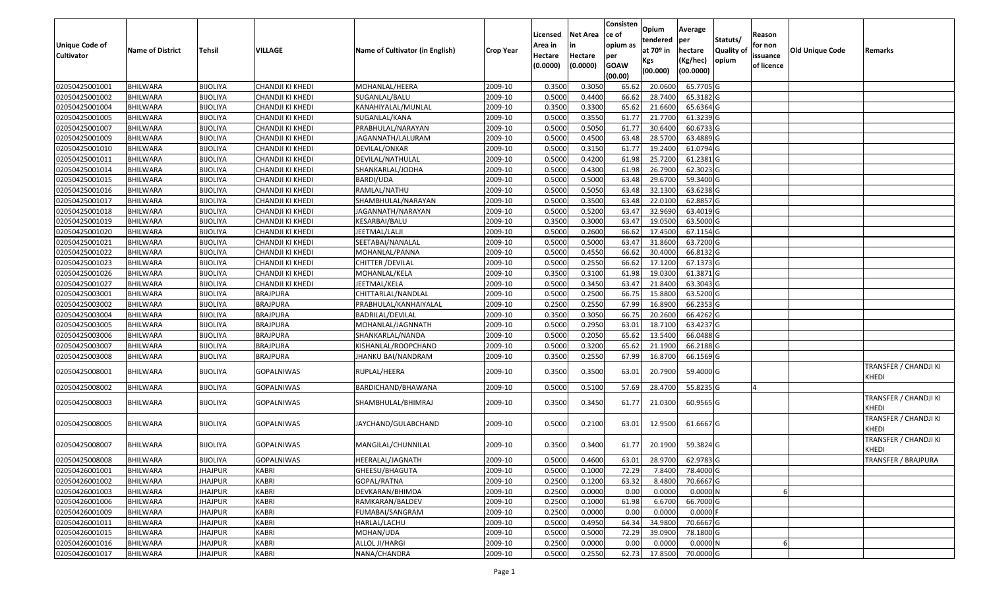| <b>Unique Code of</b><br><b>Cultivator</b> | <b>Name of District</b> | <b>Tehsil</b>   | VILLAGE           | Name of Cultivator (in English) | <b>Crop Year</b> | Licensed<br>Area in<br>Hectare<br>(0.0000) | Net Area<br>in<br>Hectare<br>(0.0000) | Consisten<br>ce of<br>opium as<br>per<br><b>GOAW</b><br>(00.00) | Opium<br>tendered<br>at 70 <sup>o</sup> in<br>Kgs<br>(00.000) | Average<br>per<br>hectare<br>(Kg/hec)<br>(00.0000) | Statuts/<br><b>Quality of</b><br>opium | Reason<br>for non<br>issuance<br>of licence | <b>Old Unique Code</b> | Remarks                        |
|--------------------------------------------|-------------------------|-----------------|-------------------|---------------------------------|------------------|--------------------------------------------|---------------------------------------|-----------------------------------------------------------------|---------------------------------------------------------------|----------------------------------------------------|----------------------------------------|---------------------------------------------|------------------------|--------------------------------|
| 02050425001001                             | <b>BHILWARA</b>         | <b>BIJOLIYA</b> | CHANDJI KI KHEDI  | MOHANLAL/HEERA                  | 2009-10          | 0.3500                                     | 0.3050                                | 65.62                                                           | 20.0600                                                       | 65.7705 G                                          |                                        |                                             |                        |                                |
| 02050425001002                             | <b>BHILWARA</b>         | <b>BIJOLIYA</b> | CHANDJI KI KHEDI  | SUGANLAL/BALU                   | 2009-10          | 0.5000                                     | 0.4400                                | 66.62                                                           | 28.7400                                                       | 65.3182 G                                          |                                        |                                             |                        |                                |
| 02050425001004                             | BHILWARA                | <b>BIJOLIYA</b> | CHANDJI KI KHEDI  | KANAHIYALAL/MUNLAL              | 2009-10          | 0.3500                                     | 0.3300                                | 65.62                                                           | 21.6600                                                       | 65.6364 G                                          |                                        |                                             |                        |                                |
| 02050425001005                             | <b>BHILWARA</b>         | <b>BIJOLIYA</b> | CHANDJI KI KHEDI  | SUGANLAL/KANA                   | 2009-10          | 0.5000                                     | 0.3550                                | 61.77                                                           | 21.7700                                                       | 61.3239 G                                          |                                        |                                             |                        |                                |
| 02050425001007                             | <b>BHILWARA</b>         | <b>BIJOLIYA</b> | CHANDJI KI KHEDI  | PRABHULAL/NARAYAN               | 2009-10          | 0.5000                                     | 0.5050                                | 61.77                                                           | 30.6400                                                       | 60.6733 G                                          |                                        |                                             |                        |                                |
| 02050425001009                             | <b>BHILWARA</b>         | <b>BIJOLIYA</b> | CHANDJI KI KHEDI  | JAGANNATH/LALURAM               | 2009-10          | 0.5000                                     | 0.4500                                | 63.48                                                           | 28.5700                                                       | 63.4889 G                                          |                                        |                                             |                        |                                |
| 02050425001010                             | <b>BHILWARA</b>         | <b>BIJOLIYA</b> | CHANDJI KI KHEDI  | DEVILAL/ONKAR                   | 2009-10          | 0.5000                                     | 0.3150                                | 61.77                                                           | 19.2400                                                       | 61.0794 G                                          |                                        |                                             |                        |                                |
| 02050425001011                             | <b>BHILWARA</b>         | <b>BIJOLIYA</b> | CHANDJI KI KHEDI  | DEVILAL/NATHULAL                | 2009-10          | 0.5000                                     | 0.4200                                | 61.98                                                           | 25.7200                                                       | 61.2381 G                                          |                                        |                                             |                        |                                |
| 02050425001014                             | <b>BHILWARA</b>         | <b>BIJOLIYA</b> | CHANDJI KI KHEDI  | SHANKARLAL/JODHA                | 2009-10          | 0.5000                                     | 0.4300                                | 61.98                                                           | 26.7900                                                       | 62.3023 G                                          |                                        |                                             |                        |                                |
| 02050425001015                             | <b>BHILWARA</b>         | <b>BIJOLIYA</b> | CHANDJI KI KHEDI  | BARDI/UDA                       | 2009-10          | 0.5000                                     | 0.5000                                | 63.48                                                           | 29.6700                                                       | 59.3400 G                                          |                                        |                                             |                        |                                |
| 02050425001016                             | <b>BHILWARA</b>         | <b>BIJOLIYA</b> | CHANDJI KI KHEDI  | RAMLAL/NATHU                    | 2009-10          | 0.5000                                     | 0.5050                                | 63.48                                                           | 32.1300                                                       | $63.6238$ G                                        |                                        |                                             |                        |                                |
| 02050425001017                             | <b>BHILWARA</b>         | <b>BIJOLIYA</b> | CHANDJI KI KHEDI  | SHAMBHULAL/NARAYAN              | 2009-10          | 0.5000                                     | 0.3500                                | 63.48                                                           | 22.0100                                                       | 62.8857 G                                          |                                        |                                             |                        |                                |
| 02050425001018                             | <b>BHILWARA</b>         | <b>BIJOLIYA</b> | CHANDJI KI KHEDI  | JAGANNATH/NARAYAN               | 2009-10          | 0.5000                                     | 0.5200                                | 63.47                                                           | 32.9690                                                       | 63.4019 G                                          |                                        |                                             |                        |                                |
| 02050425001019                             | BHILWARA                | <b>BIJOLIYA</b> | CHANDJI KI KHEDI  | KESARBAI/BALU                   | 2009-10          | 0.3500                                     | 0.3000                                | 63.47                                                           | 19.0500                                                       | 63.5000 G                                          |                                        |                                             |                        |                                |
| 02050425001020                             | <b>BHILWARA</b>         | <b>BIJOLIYA</b> | CHANDJI KI KHEDI  | JEETMAL/LALJI                   | 2009-10          | 0.5000                                     | 0.2600                                | 66.62                                                           | 17.4500                                                       | 67.1154 G                                          |                                        |                                             |                        |                                |
| 02050425001021                             | <b>BHILWARA</b>         | <b>BIJOLIYA</b> | CHANDJI KI KHEDI  | SEETABAI/NANALAL                | 2009-10          | 0.5000                                     | 0.5000                                | 63.47                                                           | 31.8600                                                       | 63.7200 G                                          |                                        |                                             |                        |                                |
| 02050425001022                             | <b>BHILWARA</b>         | <b>BIJOLIYA</b> | CHANDJI KI KHEDI  | MOHANLAL/PANNA                  | 2009-10          | 0.5000                                     | 0.4550                                | 66.62                                                           | 30.4000                                                       | 66.8132 G                                          |                                        |                                             |                        |                                |
| 02050425001023                             | <b>BHILWARA</b>         | <b>BIJOLIYA</b> | CHANDJI KI KHEDI  | CHITTER / DEVILAL               | 2009-10          | 0.5000                                     | 0.2550                                | 66.62                                                           | 17.1200                                                       | 67.1373 G                                          |                                        |                                             |                        |                                |
| 02050425001026                             | <b>BHILWARA</b>         | <b>BIJOLIYA</b> | CHANDJI KI KHEDI  | MOHANLAL/KELA                   | 2009-10          | 0.3500                                     | 0.3100                                | 61.98                                                           | 19.0300                                                       | 61.3871 G                                          |                                        |                                             |                        |                                |
| 02050425001027                             | BHILWARA                | <b>BIJOLIYA</b> | CHANDJI KI KHEDI  | JEETMAL/KELA                    | 2009-10          | 0.5000                                     | 0.3450                                | 63.47                                                           | 21.8400                                                       | 63.3043 G                                          |                                        |                                             |                        |                                |
| 02050425003001                             | <b>BHILWARA</b>         | <b>BIJOLIYA</b> | <b>BRAJPURA</b>   | CHITTARLAL/NANDLAL              | 2009-10          | 0.5000                                     | 0.2500                                | 66.75                                                           | 15.8800                                                       | 63.5200 G                                          |                                        |                                             |                        |                                |
| 02050425003002                             | <b>BHILWARA</b>         | <b>BIJOLIYA</b> | <b>BRAJPURA</b>   | PRABHULAL/KANHAIYALAL           | 2009-10          | 0.2500                                     | 0.2550                                | 67.99                                                           | 16.8900                                                       | 66.2353 G                                          |                                        |                                             |                        |                                |
| 02050425003004                             | <b>BHILWARA</b>         | <b>BIJOLIYA</b> | <b>BRAJPURA</b>   | BADRILAL/DEVILAL                | 2009-10          | 0.3500                                     | 0.3050                                | 66.75                                                           | 20.2600                                                       | 66.4262 G                                          |                                        |                                             |                        |                                |
| 02050425003005                             | BHILWARA                | <b>BIJOLIYA</b> | <b>BRAJPURA</b>   | MOHANLAL/JAGNNATH               | 2009-10          | 0.5000                                     | 0.2950                                | 63.01                                                           | 18.7100                                                       | 63.4237 G                                          |                                        |                                             |                        |                                |
| 02050425003006                             | <b>BHILWARA</b>         | <b>BIJOLIYA</b> | <b>BRAJPURA</b>   | SHANKARLAL/NANDA                | 2009-10          | 0.5000                                     | 0.2050                                | 65.62                                                           | 13.5400                                                       | 66.0488 G                                          |                                        |                                             |                        |                                |
| 02050425003007                             | <b>BHILWARA</b>         | <b>BIJOLIYA</b> | <b>BRAJPURA</b>   | KISHANLAL/ROOPCHAND             | 2009-10          | 0.5000                                     | 0.3200                                | 65.62                                                           | 21.1900                                                       | 66.2188 G                                          |                                        |                                             |                        |                                |
| 02050425003008                             | <b>BHILWARA</b>         | <b>BIJOLIYA</b> | <b>BRAJPURA</b>   | JHANKU BAI/NANDRAM              | 2009-10          | 0.3500                                     | 0.2550                                | 67.99                                                           | 16.8700                                                       | 66.1569 G                                          |                                        |                                             |                        |                                |
| 02050425008001                             | BHILWARA                | <b>BIJOLIYA</b> | GOPALNIWAS        | RUPLAL/HEERA                    | 2009-10          | 0.3500                                     | 0.3500                                | 63.01                                                           | 20.7900                                                       | 59.4000 G                                          |                                        |                                             |                        | TRANSFER / CHANDJI KI<br>KHEDI |
| 02050425008002                             | <b>BHILWARA</b>         | <b>BIJOLIYA</b> | <b>GOPALNIWAS</b> | BARDICHAND/BHAWANA              | 2009-10          | 0.5000                                     | 0.5100                                | 57.69                                                           | 28.4700                                                       | 55.8235 G                                          |                                        | ıΔ                                          |                        |                                |
| 02050425008003                             | <b>BHILWARA</b>         | <b>BIJOLIYA</b> | GOPALNIWAS        | SHAMBHULAL/BHIMRAJ              | 2009-10          | 0.3500                                     | 0.3450                                | 61.77                                                           | 21.0300                                                       | 60.9565 G                                          |                                        |                                             |                        | TRANSFER / CHANDJI KI<br>KHEDI |
| 02050425008005                             | BHILWARA                | <b>BIJOLIYA</b> | GOPALNIWAS        | JAYCHAND/GULABCHAND             | 2009-10          | 0.5000                                     | 0.2100                                | 63.01                                                           | 12.9500                                                       | 61.6667 G                                          |                                        |                                             |                        | TRANSFER / CHANDJI KI<br>KHEDI |
| 02050425008007                             | BHILWARA                | <b>BIJOLIYA</b> | GOPALNIWAS        | MANGILAL/CHUNNILAL              | 2009-10          | 0.3500                                     | 0.3400                                | 61.77                                                           | 20.1900                                                       | 59.3824 G                                          |                                        |                                             |                        | TRANSFER / CHANDJI KI<br>KHEDI |
| 02050425008008                             | BHILWARA                | <b>BIJOLIYA</b> | GOPALNIWAS        | HEERALAL/JAGNATH                | 2009-10          | 0.5000                                     | 0.4600                                | 63.01                                                           | 28.9700                                                       | 62.9783 G                                          |                                        |                                             |                        | TRANSFER / BRAJPURA            |
| 02050426001001                             | <b>BHILWARA</b>         | <b>JHAJPUR</b>  | KABRI             | GHEESU/BHAGUTA                  | 2009-10          | 0.5000                                     | 0.1000                                | 72.29                                                           | 7.8400                                                        | 78.4000 G                                          |                                        |                                             |                        |                                |
| 02050426001002                             | <b>BHILWARA</b>         | <b>JHAJPUR</b>  | <b>KABRI</b>      | GOPAL/RATNA                     | 2009-10          | 0.2500                                     | 0.1200                                | 63.32                                                           | 8.4800                                                        | 70.6667 G                                          |                                        |                                             |                        |                                |
| 02050426001003                             | <b>BHILWARA</b>         | <b>JHAJPUR</b>  | <b>KABRI</b>      | DEVKARAN/BHIMDA                 | 2009-10          | 0.2500                                     | 0.0000                                | 0.00                                                            | 0.0000                                                        | 0.0000N                                            |                                        |                                             |                        |                                |
| 02050426001006                             | <b>BHILWARA</b>         | <b>JHAJPUR</b>  | <b>KABRI</b>      | RAMKARAN/BALDEV                 | 2009-10          | 0.2500                                     | 0.1000                                | 61.98                                                           | 6.6700                                                        | 66.7000 G                                          |                                        |                                             |                        |                                |
| 02050426001009                             | <b>BHILWARA</b>         | <b>JHAJPUR</b>  | <b>KABRI</b>      | FUMABAI/SANGRAM                 | 2009-10          | 0.2500                                     | 0.0000                                | 0.00                                                            | 0.0000                                                        | $0.0000$ F                                         |                                        |                                             |                        |                                |
| 02050426001011                             | <b>BHILWARA</b>         | <b>JHAJPUR</b>  | <b>KABRI</b>      | HARLAL/LACHU                    | 2009-10          | 0.5000                                     | 0.4950                                | 64.34                                                           | 34.9800                                                       | 70.6667 G                                          |                                        |                                             |                        |                                |
| 02050426001015                             | <b>BHILWARA</b>         | <b>JHAJPUR</b>  | <b>KABRI</b>      | MOHAN/UDA                       | 2009-10          | 0.5000                                     | 0.5000                                | 72.29                                                           | 39.0900                                                       | 78.1800 G                                          |                                        |                                             |                        |                                |
| 02050426001016                             | <b>BHILWARA</b>         | <b>JHAJPUR</b>  | <b>KABRI</b>      | ALLOL JI/HARGI                  | 2009-10          | 0.2500                                     | 0.0000                                | 0.00                                                            | 0.0000                                                        | 0.0000N                                            |                                        |                                             |                        |                                |
| 02050426001017                             | <b>BHILWARA</b>         | <b>JHAJPUR</b>  | KABRI             | NANA/CHANDRA                    | 2009-10          | 0.5000                                     | 0.2550                                | 62.73                                                           | 17.8500                                                       | 70.0000 G                                          |                                        |                                             |                        |                                |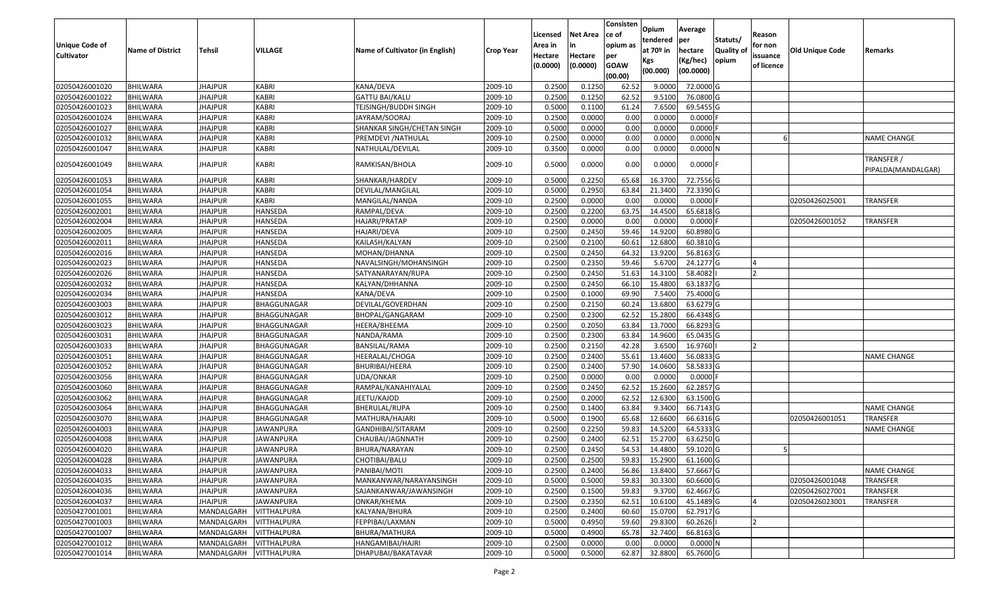| Unique Code of<br><b>Cultivator</b> | <b>Name of District</b>            | Tehsil                           | VILLAGE                           | Name of Cultivator (in English)    | <b>Crop Year</b>   | Licensed<br>Area in<br>Hectare<br>(0.0000) | Net Area<br>in<br>Hectare<br>(0.0000) | Consisten<br>ce of<br>opium as<br>per<br><b>GOAW</b> | Opium<br>tendered<br>at 70º in<br>Kgs<br>(00.000) | Average<br>per<br>hectare<br>(Kg/hec)<br>(00.0000) | Statuts/<br><b>Quality of</b><br>opium | Reason<br>for non<br>issuance<br>of licence | <b>Old Unique Code</b> | Remarks                          |
|-------------------------------------|------------------------------------|----------------------------------|-----------------------------------|------------------------------------|--------------------|--------------------------------------------|---------------------------------------|------------------------------------------------------|---------------------------------------------------|----------------------------------------------------|----------------------------------------|---------------------------------------------|------------------------|----------------------------------|
|                                     |                                    |                                  |                                   |                                    |                    |                                            |                                       | (00.00)                                              |                                                   |                                                    |                                        |                                             |                        |                                  |
| 02050426001020                      | <b>BHILWARA</b>                    | <b>JHAJPUR</b>                   | KABRI                             | KANA/DEVA                          | 2009-10            | 0.2500                                     | 0.1250                                | 62.52                                                | 9.0000                                            | 72.0000 G                                          |                                        |                                             |                        |                                  |
| 02050426001022                      | <b>BHILWARA</b>                    | <b>JHAJPUR</b>                   | KABRI                             | <b>GATTU BAI/KALU</b>              | 2009-10            | 0.2500                                     | 0.1250                                | 62.52                                                | 9.5100                                            | 76.0800 G                                          |                                        |                                             |                        |                                  |
| 02050426001023                      | BHILWARA                           | JHAJPUR                          | <b>KABRI</b>                      | TEJSINGH/BUDDH SINGH               | 2009-10            | 0.5000                                     | 0.1100                                | 61.24                                                | 7.6500                                            | 69.5455 G                                          |                                        |                                             |                        |                                  |
| 02050426001024                      | <b>BHILWARA</b>                    | <b>JHAJPUR</b>                   | KABRI                             | JAYRAM/SOORAJ                      | 2009-10            | 0.2500                                     | 0.0000                                | 0.00                                                 | 0.0000                                            | $0.0000$ F                                         |                                        |                                             |                        |                                  |
| 02050426001027<br>02050426001032    | BHILWARA<br><b>BHILWARA</b>        | <b>JHAJPUR</b><br><b>JHAJPUR</b> | KABRI<br><b>KABRI</b>             | SHANKAR SINGH/CHETAN SINGH         | 2009-10<br>2009-10 | 0.5000<br>0.2500                           | 0.0000<br>0.0000                      | 0.00<br>0.00                                         | 0.0000<br>0.0000                                  | $0.0000$ F                                         |                                        |                                             |                        |                                  |
|                                     |                                    |                                  | <b>KABRI</b>                      | PREMDEVI / NATHULAL                |                    | 0.3500                                     | 0.0000                                | 0.00                                                 | 0.0000                                            | $0.0000$ N<br>0.0000N                              |                                        |                                             |                        | <b>NAME CHANGE</b>               |
| 02050426001047<br>02050426001049    | <b>BHILWARA</b><br><b>BHILWARA</b> | JHAJPUR<br><b>JHAJPUR</b>        | KABRI                             | NATHULAL/DEVILAL<br>RAMKISAN/BHOLA | 2009-10<br>2009-10 | 0.5000                                     | 0.0000                                | 0.00                                                 | 0.0000                                            | $0.0000$ F                                         |                                        |                                             |                        | TRANSFER /<br>PIPALDA(MANDALGAR) |
| 02050426001053                      | <b>BHILWARA</b>                    | <b>JHAJPUR</b>                   | <b>KABRI</b>                      | SHANKAR/HARDEV                     | 2009-10            | 0.500                                      | 0.2250                                | 65.68                                                | 16.3700                                           | 72.7556 G                                          |                                        |                                             |                        |                                  |
| 02050426001054                      | BHILWARA                           | JHAJPUR                          | KABRI                             | DEVILAL/MANGILAL                   | 2009-10            | 0.5000                                     | 0.2950                                | 63.84                                                | 21.3400                                           | 72.3390 G                                          |                                        |                                             |                        |                                  |
| 02050426001055                      | <b>BHILWARA</b>                    | <b>JHAJPUR</b>                   | <b>KABRI</b>                      | MANGILAL/NANDA                     | 2009-10            | 0.2500                                     | 0.0000                                | 0.00                                                 | 0.0000                                            | $0.0000$ F                                         |                                        |                                             | 02050426025001         | <b>TRANSFER</b>                  |
| 02050426002001                      | <b>BHILWARA</b>                    | <b>JHAJPUR</b>                   | HANSEDA                           | RAMPAL/DEVA                        | 2009-10            | 0.2500                                     | 0.2200                                | 63.75                                                | 14.4500                                           | 65.6818 G                                          |                                        |                                             |                        |                                  |
| 02050426002004                      | <b>BHILWARA</b>                    | <b>JHAJPUR</b>                   | HANSEDA                           | HAJARI/PRATAP                      | 2009-10            | 0.2500                                     | 0.0000                                | 0.00                                                 | 0.0000                                            | $0.0000$ F                                         |                                        |                                             | 02050426001052         | <b>TRANSFER</b>                  |
| 02050426002005                      | <b>BHILWARA</b>                    | JHAJPUR                          | HANSEDA                           | HAJARI/DEVA                        | 2009-10            | 0.2500                                     | 0.2450                                | 59.46                                                | 14.9200                                           | 60.8980 G                                          |                                        |                                             |                        |                                  |
| 02050426002011                      | <b>BHILWARA</b>                    | <b>JHAJPUR</b>                   | HANSEDA                           | KAILASH/KALYAN                     | 2009-10            | 0.2500                                     | 0.2100                                | 60.61                                                | 12.6800                                           | 60.3810 G                                          |                                        |                                             |                        |                                  |
| 02050426002016                      | <b>BHILWARA</b>                    | <b>JHAJPUR</b>                   | <b>HANSEDA</b>                    | MOHAN/DHANNA                       | 2009-10            | 0.2500                                     | 0.2450                                | 64.32                                                | 13.9200                                           | 56.8163 G                                          |                                        |                                             |                        |                                  |
| 02050426002023                      | <b>BHILWARA</b>                    | <b>JHAJPUR</b>                   | HANSEDA                           | NAVALSINGH/MOHANSINGH              | 2009-10            | 0.2500                                     | 0.2350                                | 59.46                                                | 5.6700                                            | 24.1277 G                                          |                                        |                                             |                        |                                  |
| 02050426002026                      | <b>BHILWARA</b>                    | <b>JHAJPUR</b>                   | HANSEDA                           | SATYANARAYAN/RUPA                  | 2009-10            | 0.2500                                     | 0.2450                                | 51.63                                                | 14.3100                                           | 58.4082                                            |                                        |                                             |                        |                                  |
| 02050426002032                      | BHILWARA                           | <b>JHAJPUR</b>                   | HANSEDA                           | KALYAN/DHHANNA                     | 2009-10            | 0.2500                                     | 0.2450                                | 66.10                                                | 15.4800                                           | 63.1837 G                                          |                                        |                                             |                        |                                  |
| 02050426002034                      | <b>BHILWARA</b>                    | <b>JHAJPUR</b>                   | HANSEDA                           | KANA/DEVA                          | 2009-10            | 0.2500                                     | 0.1000                                | 69.90                                                | 7.5400                                            | 75.4000 G                                          |                                        |                                             |                        |                                  |
| 02050426003003                      | <b>BHILWARA</b>                    | <b>JHAJPUR</b>                   | BHAGGUNAGAR                       | DEVILAL/GOVERDHAN                  | 2009-10            | 0.2500                                     | 0.2150                                | 60.24                                                | 13.6800                                           | 63.6279 G                                          |                                        |                                             |                        |                                  |
| 02050426003012                      | <b>BHILWARA</b>                    | <b>JHAJPUR</b>                   | BHAGGUNAGAR                       | BHOPAL/GANGARAM                    | 2009-10            | 0.2500                                     | 0.2300                                | 62.52                                                | 15.2800                                           | 66.4348 G                                          |                                        |                                             |                        |                                  |
| 02050426003023                      | BHILWARA                           | JHAJPUR                          | BHAGGUNAGAR                       | HEERA/BHEEMA                       | 2009-10            | 0.2500                                     | 0.2050                                | 63.84                                                | 13.7000                                           | 66.8293 G                                          |                                        |                                             |                        |                                  |
| 02050426003031                      | <b>BHILWARA</b>                    | <b>JHAJPUR</b>                   | BHAGGUNAGAR                       | NANDA/RAMA                         | 2009-10            | 0.2500                                     | 0.2300                                | 63.84                                                | 14.9600                                           | 65.0435 G                                          |                                        |                                             |                        |                                  |
| 02050426003033                      | <b>BHILWARA</b>                    | <b>JHAJPUR</b>                   | BHAGGUNAGAR                       | BANSILAL/RAMA                      | 2009-10            | 0.2500                                     | 0.2150                                | 42.28                                                | 3.6500                                            | 16.9760                                            |                                        |                                             |                        |                                  |
| 02050426003051                      | <b>BHILWARA</b>                    | <b>JHAJPUR</b>                   | BHAGGUNAGAR                       | HEERALAL/CHOGA                     | 2009-10            | 0.2500                                     | 0.2400                                | 55.61                                                | 13.4600                                           | 56.0833 G                                          |                                        |                                             |                        | <b>NAME CHANGE</b>               |
| 02050426003052                      | BHILWARA                           | <b>JHAJPUR</b>                   | BHAGGUNAGAR                       | BHURIBAI/HEERA                     | 2009-10            | 0.2500                                     | 0.2400                                | 57.90                                                | 14.0600                                           | 58.5833 G                                          |                                        |                                             |                        |                                  |
| 02050426003056                      | <b>BHILWARA</b>                    | <b>JHAJPUR</b>                   | BHAGGUNAGAR                       | UDA/ONKAR                          | 2009-10            | 0.2500                                     | 0.0000                                | 0.00                                                 | 0.0000                                            | $0.0000$ F                                         |                                        |                                             |                        |                                  |
| 02050426003060                      | <b>BHILWARA</b>                    | <b>JHAJPUR</b>                   | BHAGGUNAGAR                       | RAMPAL/KANAHIYALAL                 | 2009-10            | 0.2500                                     | 0.2450                                | 62.52                                                | 15.2600                                           | 62.2857 G                                          |                                        |                                             |                        |                                  |
| 02050426003062                      | <b>BHILWARA</b>                    | <b>JHAJPUR</b>                   | BHAGGUNAGAR                       | JEETU/KAJOD                        | 2009-10            | 0.2500                                     | 0.2000                                | 62.52                                                | 12.6300                                           | 63.1500 G                                          |                                        |                                             |                        |                                  |
| 02050426003064                      | <b>BHILWARA</b>                    | JHAJPUR                          | BHAGGUNAGAR                       | BHERULAL/RUPA                      | 2009-10            | 0.2500                                     | 0.1400                                | 63.84                                                | 9.3400                                            | 66.7143 G                                          |                                        |                                             |                        | <b>NAME CHANGE</b>               |
| 02050426003070                      | <b>BHILWARA</b>                    | <b>JHAJPUR</b>                   | BHAGGUNAGAR                       | MATHURA/HAJARI                     | 2009-10            | 0.5000                                     | 0.1900                                | 65.68                                                | 12.6600                                           | 66.6316 G                                          |                                        |                                             | 02050426001051         | <b>TRANSFER</b>                  |
| 02050426004003                      | <b>BHILWARA</b>                    | <b>JHAJPUR</b>                   | <b>JAWANPURA</b>                  | GANDHIBAI/SITARAM                  | 2009-10            | 0.2500                                     | 0.2250                                | 59.83                                                | 14.5200                                           | 64.5333 G                                          |                                        |                                             |                        | <b>NAME CHANGE</b>               |
| 02050426004008                      | BHILWARA                           | JHAJPUR                          | JAWANPURA                         | CHAUBAI/JAGNNATH                   | 2009-10            | 0.2500                                     | 0.2400                                | 62.51                                                | 15.2700                                           | 63.6250 G                                          |                                        |                                             |                        |                                  |
| 02050426004020                      | <b>BHILWARA</b>                    | JHAJPUR                          | JAWANPURA                         | BHURA/NARAYAN                      | 2009-10            | 0.2500                                     | 0.2450                                | 54.53                                                | 14.4800                                           | 59.1020 G                                          |                                        |                                             |                        |                                  |
| 02050426004028                      | <b>BHILWARA</b>                    | <b>JHAJPUR</b>                   | <b>JAWANPURA</b>                  | CHOTIBAI/BALU                      | 2009-10            | 0.2500                                     | 0.2500                                | 59.83                                                | 15.2900                                           | 61.1600 G                                          |                                        |                                             |                        |                                  |
| 02050426004033                      | <b>BHILWARA</b>                    | <b>JHAJPUR</b>                   | JAWANPURA                         | PANIBAI/MOTI                       | 2009-10            | 0.2500                                     | 0.2400                                | 56.86                                                | 13.8400                                           | 57.6667 G                                          |                                        |                                             |                        | <b>NAME CHANGE</b>               |
| 02050426004035                      | <b>BHILWARA</b>                    | <b>JHAJPUR</b>                   | JAWANPURA                         | MANKANWAR/NARAYANSINGH             | 2009-10            | 0.5000                                     | 0.5000                                | 59.83                                                | 30.3300                                           | 60.6600 G                                          |                                        |                                             | 02050426001048         | <b>TRANSFER</b>                  |
| 02050426004036                      | <b>BHILWARA</b>                    | <b>JHAJPUR</b>                   | JAWANPURA                         | SAJANKANWAR/JAWANSINGH             | 2009-10            | 0.2500                                     | 0.1500                                | 59.83                                                | 9.3700                                            | 62.4667 G                                          |                                        |                                             | 02050426027001         | TRANSFER                         |
| 02050426004037                      | <b>BHILWARA</b>                    | <b>JHAJPUR</b>                   | JAWANPURA                         | ONKAR/KHEMA                        | 2009-10            | 0.2500                                     | 0.2350                                | 62.51                                                | 10.6100                                           | 45.1489 G                                          |                                        |                                             | 02050426023001         | <b>TRANSFER</b>                  |
| 02050427001001                      | <b>BHILWARA</b>                    | MANDALGARH                       | <b>VITTHALPURA</b>                | KALYANA/BHURA<br>FEPPIBAI/LAXMAN   | 2009-10            | 0.2500                                     | 0.2400                                | 60.60                                                | 15.0700                                           | 62.7917 G                                          |                                        |                                             |                        |                                  |
| 02050427001003<br>02050427001007    | <b>BHILWARA</b>                    | MANDALGARH                       | <b>VITTHALPURA</b><br>VITTHALPURA |                                    | 2009-10            | 0.5000<br>0.5000                           | 0.4950<br>0.4900                      | 59.60<br>65.78                                       | 29.8300<br>32.7400                                | 60.2626<br>66.8163 G                               |                                        |                                             |                        |                                  |
| 02050427001012                      | <b>BHILWARA</b><br><b>BHILWARA</b> | MANDALGARH<br>MANDALGARH         | VITTHALPURA                       | BHURA/MATHURA<br>HANGAMIBAI/HAJRI  | 2009-10<br>2009-10 | 0.2500                                     | 0.0000                                | 0.00                                                 | 0.0000                                            | 0.0000N                                            |                                        |                                             |                        |                                  |
| 02050427001014                      | <b>BHILWARA</b>                    | MANDALGARH                       |                                   |                                    |                    |                                            | 0.5000                                |                                                      | 32.8800                                           | 65.7600 G                                          |                                        |                                             |                        |                                  |
|                                     |                                    |                                  | <b>VITTHALPURA</b>                | DHAPUBAI/BAKATAVAR                 | 2009-10            | 0.5000                                     |                                       | 62.87                                                |                                                   |                                                    |                                        |                                             |                        |                                  |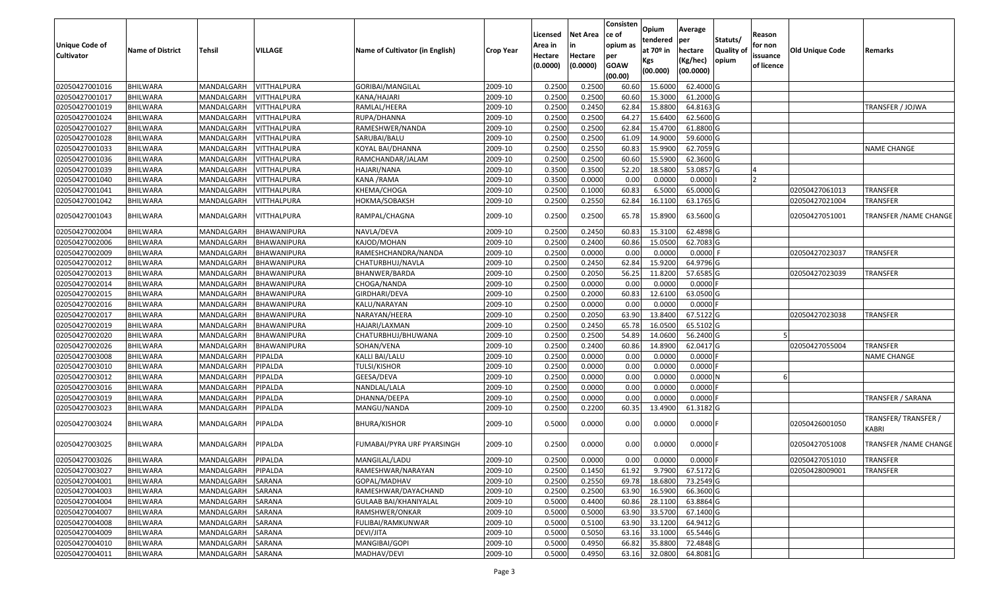| <b>Unique Code of</b><br><b>Cultivator</b> | <b>Name of District</b> | <b>Tehsil</b>      | VILLAGE     | Name of Cultivator (in English) | <b>Crop Year</b> | Licensed<br>Area in<br>Hectare<br>(0.0000) | Net Area<br>in<br>Hectare<br>(0.0000) | Consisten<br>ce of<br>opium as<br>per<br><b>GOAW</b> | Opium<br>tendered<br>at $70°$ in<br>Kgs<br>(00.000) | Average<br><b>per</b><br>hectare<br>(Kg/hec)<br>(00.0000) | Statuts/<br><b>Quality of</b><br>opium | Reason<br>for non<br>issuance<br>of licence | <b>Old Unique Code</b> | Remarks                       |
|--------------------------------------------|-------------------------|--------------------|-------------|---------------------------------|------------------|--------------------------------------------|---------------------------------------|------------------------------------------------------|-----------------------------------------------------|-----------------------------------------------------------|----------------------------------------|---------------------------------------------|------------------------|-------------------------------|
|                                            |                         |                    |             |                                 |                  |                                            |                                       | (00.00)                                              |                                                     |                                                           |                                        |                                             |                        |                               |
| 02050427001016                             | <b>BHILWARA</b>         | MANDALGARH         | VITTHALPURA | GORIBAI/MANGILAL                | 2009-10          | 0.2500                                     | 0.2500                                | 60.60                                                | 15.6000                                             | 62.4000 G                                                 |                                        |                                             |                        |                               |
| 02050427001017                             | <b>BHILWARA</b>         | MANDALGARH         | VITTHALPURA | KANA/HAJARI                     | 2009-10          | 0.2500                                     | 0.2500                                | 60.60                                                | 15.3000                                             | 61.2000 G                                                 |                                        |                                             |                        |                               |
| 02050427001019                             | <b>BHILWARA</b>         | MANDALGARH         | VITTHALPURA | RAMLAL/HEERA                    | 2009-10          | 0.2500                                     | 0.2450                                | 62.84                                                | 15.8800                                             | 64.8163 G                                                 |                                        |                                             |                        | TRANSFER / JOJWA              |
| 02050427001024                             | <b>BHILWARA</b>         | MANDALGARH         | VITTHALPURA | RUPA/DHANNA                     | 2009-10          | 0.2500                                     | 0.2500                                | 64.27                                                | 15.6400                                             | 62.5600 G                                                 |                                        |                                             |                        |                               |
| 02050427001027                             | <b>BHILWARA</b>         | MANDALGARH         | VITTHALPURA | RAMESHWER/NANDA                 | 2009-10          | 0.2500                                     | 0.2500                                | 62.84                                                | 15.4700                                             | 61.8800 G                                                 |                                        |                                             |                        |                               |
| 02050427001028                             | <b>BHILWARA</b>         | MANDALGARH         | VITTHALPURA | SARUBAI/BALU                    | 2009-10          | 0.2500                                     | 0.2500                                | 61.09                                                | 14.9000                                             | 59.6000 G                                                 |                                        |                                             |                        |                               |
| 02050427001033                             | BHILWARA                | MANDALGARH         | VITTHALPURA | KOYAL BAI/DHANNA                | 2009-10          | 0.2500                                     | 0.2550                                | 60.83                                                | 15.9900                                             | 62.7059 G                                                 |                                        |                                             |                        | <b>NAME CHANGE</b>            |
| 02050427001036                             | <b>BHILWARA</b>         | MANDALGARH         | VITTHALPURA | RAMCHANDAR/JALAM                | 2009-10          | 0.2500                                     | 0.2500                                | 60.60                                                | 15.5900                                             | 62.3600 G                                                 |                                        |                                             |                        |                               |
| 02050427001039                             | <b>BHILWARA</b>         | MANDALGARH         | VITTHALPURA | HAJARI/NANA                     | 2009-10          | 0.3500                                     | 0.3500                                | 52.20                                                | 18.5800                                             | 53.0857 G                                                 |                                        |                                             |                        |                               |
| 02050427001040                             | <b>BHILWARA</b>         | MANDALGARH         | VITTHALPURA | KANA / RAMA                     | 2009-10          | 0.3500                                     | 0.0000                                | 0.00                                                 | 0.0000                                              | 0.0000                                                    |                                        |                                             |                        |                               |
| 02050427001041                             | <b>BHILWARA</b>         | MANDALGARH         | VITTHALPURA | KHEMA/CHOGA                     | 2009-10          | 0.2500                                     | 0.1000                                | 60.83                                                | 6.5000                                              | 65.0000 G                                                 |                                        |                                             | 02050427061013         | TRANSFER                      |
| 02050427001042                             | <b>BHILWARA</b>         | MANDALGARH         | VITTHALPURA | HOKMA/SOBAKSH                   | 2009-10          | 0.2500                                     | 0.2550                                | 62.84                                                | 16.1100                                             | 63.1765 G                                                 |                                        |                                             | 02050427021004         | TRANSFER                      |
| 02050427001043                             | <b>BHILWARA</b>         | MANDALGARH         | VITTHALPURA | RAMPAL/CHAGNA                   | 2009-10          | 0.2500                                     | 0.2500                                | 65.78                                                | 15.8900                                             | 63.5600 G                                                 |                                        |                                             | 02050427051001         | <b>TRANSFER / NAME CHANGE</b> |
| 02050427002004                             | <b>BHILWARA</b>         | MANDALGARH         | BHAWANIPURA | NAVLA/DEVA                      | 2009-10          | 0.2500                                     | 0.2450                                | 60.83                                                | 15.3100                                             | 62.4898 G                                                 |                                        |                                             |                        |                               |
| 02050427002006                             | <b>BHILWARA</b>         | MANDALGARH         | BHAWANIPURA | KAJOD/MOHAN                     | 2009-10          | 0.2500                                     | 0.2400                                | 60.86                                                | 15.0500                                             | 62.7083 G                                                 |                                        |                                             |                        |                               |
| 02050427002009                             | <b>BHILWARA</b>         | MANDALGARH         | BHAWANIPURA | RAMESHCHANDRA/NANDA             | 2009-10          | 0.2500                                     | 0.0000                                | 0.00                                                 | 0.0000                                              | 0.0000 F                                                  |                                        |                                             | 02050427023037         | <b>TRANSFER</b>               |
| 02050427002012                             | <b>BHILWARA</b>         | MANDALGARH         | BHAWANIPURA | CHATURBHUJ/NAVLA                | 2009-10          | 0.2500                                     | 0.2450                                | 62.84                                                | 15.9200                                             | 64.9796 G                                                 |                                        |                                             |                        |                               |
| 02050427002013                             | <b>BHILWARA</b>         | MANDALGARH         | BHAWANIPURA | BHANWER/BARDA                   | 2009-10          | 0.2500                                     | 0.2050                                | 56.25                                                | 11.8200                                             | 57.6585 G                                                 |                                        |                                             | 02050427023039         | TRANSFER                      |
| 02050427002014                             | <b>BHILWARA</b>         | MANDALGARH         | BHAWANIPURA | CHOGA/NANDA                     | 2009-10          | 0.2500                                     | 0.0000                                | 0.00                                                 | 0.0000                                              | $0.0000$ F                                                |                                        |                                             |                        |                               |
| 02050427002015                             | <b>BHILWARA</b>         | MANDALGARH         | BHAWANIPURA | GIRDHARI/DEVA                   | 2009-10          | 0.2500                                     | 0.2000                                | 60.83                                                | 12.6100                                             | 63.0500 G                                                 |                                        |                                             |                        |                               |
| 02050427002016                             | <b>BHILWARA</b>         | MANDALGARH         | BHAWANIPURA | KALU/NARAYAN                    | 2009-10          | 0.2500                                     | 0.0000                                | 0.00                                                 | 0.0000                                              | 0.0000                                                    |                                        |                                             |                        |                               |
| 02050427002017                             | <b>BHILWARA</b>         | MANDALGARH         | BHAWANIPURA | NARAYAN/HEERA                   | 2009-10          | 0.2500                                     | 0.2050                                | 63.90                                                | 13.8400                                             | 67.5122 G                                                 |                                        |                                             | 02050427023038         | TRANSFER                      |
| 02050427002019                             | <b>BHILWARA</b>         | MANDALGARH         | BHAWANIPURA | HAJARI/LAXMAN                   | 2009-10          | 0.2500                                     | 0.2450                                | 65.78                                                | 16.0500                                             | 65.5102 G                                                 |                                        |                                             |                        |                               |
| 02050427002020                             | <b>BHILWARA</b>         | MANDALGARH         | BHAWANIPURA | CHATURBHUJ/BHUWANA              | 2009-10          | 0.2500                                     | 0.2500                                | 54.89                                                | 14.0600                                             | 56.2400 G                                                 |                                        |                                             |                        |                               |
| 02050427002026                             | <b>BHILWARA</b>         | MANDALGARH         | BHAWANIPURA | SOHAN/VENA                      | 2009-10          | 0.2500                                     | 0.2400                                | 60.86                                                | 14.8900                                             | 62.0417 G                                                 |                                        |                                             | 02050427055004         | <b>TRANSFER</b>               |
| 02050427003008                             | <b>BHILWARA</b>         | MANDALGARH         | PIPALDA     | KALLI BAI/LALU                  | 2009-10          | 0.2500                                     | 0.0000                                | 0.00                                                 | 0.0000                                              | $0.0000$ F                                                |                                        |                                             |                        | <b>NAME CHANGE</b>            |
| 02050427003010                             | <b>BHILWARA</b>         | MANDALGARH         | PIPALDA     | <b>TULSI/KISHOR</b>             | 2009-10          | 0.2500                                     | 0.0000                                | 0.00                                                 | 0.0000                                              | $0.0000$ F                                                |                                        |                                             |                        |                               |
| 02050427003012                             | <b>BHILWARA</b>         | MANDALGARH         | PIPALDA     | GEESA/DEVA                      | 2009-10          | 0.2500                                     | 0.0000                                | 0.00                                                 | 0.0000                                              | 0.0000N                                                   |                                        |                                             |                        |                               |
| 02050427003016                             | <b>BHILWARA</b>         | MANDALGARH         | PIPALDA     | NANDLAL/LALA                    | 2009-10          | 0.2500                                     | 0.0000                                | 0.00                                                 | 0.0000                                              | $0.0000$ F                                                |                                        |                                             |                        |                               |
| 02050427003019                             | <b>BHILWARA</b>         | MANDALGARH         | PIPALDA     | DHANNA/DEEPA                    | 2009-10          | 0.2500                                     | 0.0000                                | 0.00                                                 | 0.0000                                              | $0.0000$ F                                                |                                        |                                             |                        | TRANSFER / SARANA             |
| 02050427003023                             | <b>BHILWARA</b>         | MANDALGARH         | PIPALDA     | MANGU/NANDA                     | 2009-10          | 0.2500                                     | 0.2200                                | 60.35                                                | 13.4900                                             | 61.3182 G                                                 |                                        |                                             |                        |                               |
| 02050427003024                             | <b>BHILWARA</b>         | MANDALGARH         | PIPALDA     | <b>BHURA/KISHOR</b>             | 2009-10          | 0.5000                                     | 0.0000                                | 0.00                                                 | 0.0000                                              | $0.0000$ F                                                |                                        |                                             | 02050426001050         | TRANSFER/TRANSFER/<br>KABRI   |
| 02050427003025                             | <b>BHILWARA</b>         | MANDALGARH         | PIPALDA     | FUMABAI/PYRA URF PYARSINGH      | 2009-10          | 0.2500                                     | 0.0000                                | 0.00                                                 | 0.0000                                              | $0.0000$ F                                                |                                        |                                             | 02050427051008         | TRANSFER /NAME CHANGE         |
| 02050427003026                             | <b>BHILWARA</b>         | MANDALGARH PIPALDA |             | MANGILAL/LADU                   | 2009-10          | 0.2500                                     | 0.0000                                | 0.00                                                 | 0.0000                                              | $0.0000$ F                                                |                                        |                                             | 02050427051010         | <b>TRANSFER</b>               |
| 02050427003027                             | <b>BHILWARA</b>         | MANDALGARH         | PIPALDA     | RAMESHWAR/NARAYAN               | 2009-10          | 0.2500                                     | 0.1450                                | 61.92                                                | 9.7900                                              | 67.5172 G                                                 |                                        |                                             | 02050428009001         | <b>TRANSFER</b>               |
| 02050427004001                             | <b>BHILWARA</b>         | MANDALGARH         | SARANA      | GOPAL/MADHAV                    | 2009-10          | 0.2500                                     | 0.2550                                | 69.78                                                | 18.6800                                             | 73.2549 G                                                 |                                        |                                             |                        |                               |
| 02050427004003                             | <b>BHILWARA</b>         | MANDALGARH         | SARANA      | RAMESHWAR/DAYACHAND             | 2009-10          | 0.2500                                     | 0.2500                                | 63.90                                                | 16.5900                                             | 66.3600 G                                                 |                                        |                                             |                        |                               |
| 02050427004004                             | <b>BHILWARA</b>         | MANDALGARH         | SARANA      | <b>GULAAB BAI/KHANIYALAL</b>    | 2009-10          | 0.5000                                     | 0.4400                                | 60.86                                                | 28.1100                                             | 63.8864 G                                                 |                                        |                                             |                        |                               |
| 02050427004007                             | <b>BHILWARA</b>         | MANDALGARH         | SARANA      | RAMSHWER/ONKAR                  | 2009-10          | 0.5000                                     | 0.5000                                | 63.90                                                | 33.5700                                             | 67.1400 G                                                 |                                        |                                             |                        |                               |
| 02050427004008                             | <b>BHILWARA</b>         | MANDALGARH         | SARANA      | FULIBAI/RAMKUNWAR               | 2009-10          | 0.5000                                     | 0.5100                                | 63.90                                                | 33.1200                                             | 64.9412 G                                                 |                                        |                                             |                        |                               |
| 02050427004009                             | <b>BHILWARA</b>         | MANDALGARH         | SARANA      | DEVI/JITA                       | 2009-10          | 0.5000                                     | 0.5050                                | 63.16                                                | 33.1000                                             | 65.5446 G                                                 |                                        |                                             |                        |                               |
| 02050427004010                             | BHILWARA                | MANDALGARH         | SARANA      | MANGIBAI/GOPI                   | 2009-10          | 0.5000                                     | 0.4950                                | 66.82                                                | 35.8800                                             | 72.4848 G                                                 |                                        |                                             |                        |                               |
| 02050427004011                             | <b>BHILWARA</b>         | MANDALGARH         | SARANA      | MADHAV/DEVI                     | 2009-10          | 0.5000                                     | 0.4950                                | 63.16                                                | 32.0800                                             | 64.8081 G                                                 |                                        |                                             |                        |                               |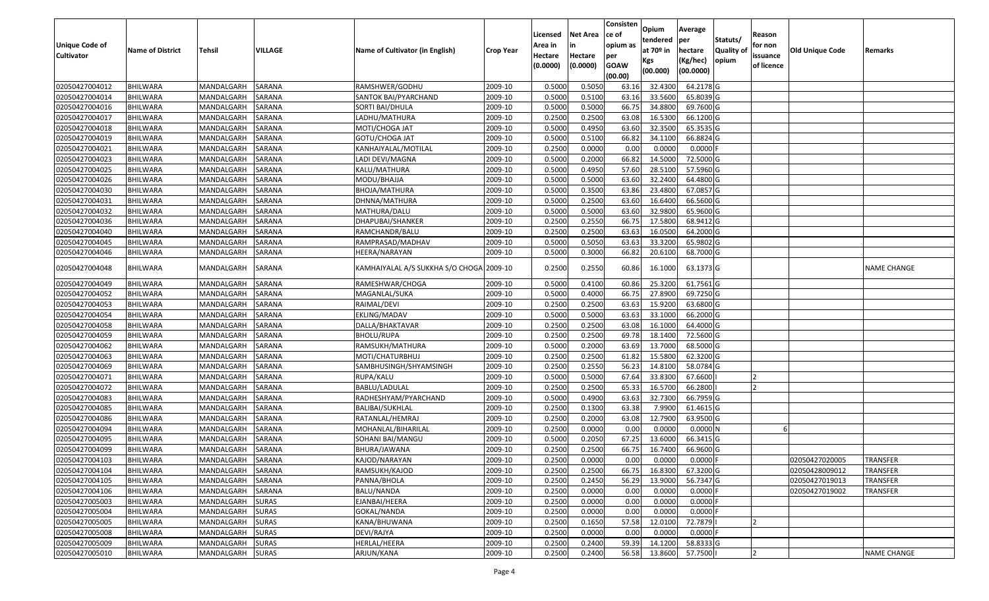|                   |                         |                   |                |                                          |                  | Licensed | <b>Net Area</b> | Consisten<br>ce of | Opium           | Average               |                  | Reason     |                        |                    |
|-------------------|-------------------------|-------------------|----------------|------------------------------------------|------------------|----------|-----------------|--------------------|-----------------|-----------------------|------------------|------------|------------------------|--------------------|
| Unique Code of    |                         |                   |                |                                          |                  | Area in  |                 | opium as           | tendered        | per                   | Statuts/         | for non    |                        |                    |
| <b>Cultivator</b> | <b>Name of District</b> | <b>Tehsil</b>     | <b>VILLAGE</b> | Name of Cultivator (in English)          | <b>Crop Year</b> | Hectare  | Hectare         | per                | at $70°$ in     | hectare               | <b>Quality o</b> | issuance   | <b>Old Unique Code</b> | Remarks            |
|                   |                         |                   |                |                                          |                  | (0.0000) | (0.0000)        | <b>GOAW</b>        | Kgs<br>(00.000) | (Kg/hec)<br>(00.0000) | opium            | of licence |                        |                    |
|                   |                         |                   |                |                                          |                  |          |                 | (00.00)            |                 |                       |                  |            |                        |                    |
| 02050427004012    | <b>BHILWARA</b>         | MANDALGARH        | <b>SARANA</b>  | RAMSHWER/GODHU                           | 2009-10          | 0.5000   | 0.5050          | 63.16              | 32.4300         | 64.2178 G             |                  |            |                        |                    |
| 02050427004014    | <b>BHILWARA</b>         | MANDALGARH        | SARANA         | SANTOK BAI/PYARCHAND                     | 2009-10          | 0.5000   | 0.5100          | 63.16              | 33.5600         | 65.8039 G             |                  |            |                        |                    |
| 02050427004016    | BHILWARA                | MANDALGARH        | SARANA         | SORTI BAI/DHULA                          | 2009-10          | 0.5000   | 0.5000          | 66.75              | 34.8800         | 69.7600 G             |                  |            |                        |                    |
| 02050427004017    | <b>BHILWARA</b>         | MANDALGARH        | <b>SARANA</b>  | LADHU/MATHURA                            | 2009-10          | 0.2500   | 0.2500          | 63.08              | 16.5300         | 66.1200 G             |                  |            |                        |                    |
| 02050427004018    | BHILWARA                | MANDALGARH        | SARANA         | MOTI/CHOGA JAT                           | 2009-10          | 0.5000   | 0.4950          | 63.60              | 32.3500         | 65.3535 G             |                  |            |                        |                    |
| 02050427004019    | <b>BHILWARA</b>         | MANDALGARH        | SARANA         | GOTU/CHOGA JAT                           | 2009-10          | 0.5000   | 0.5100          | 66.82              | 34.1100         | 66.8824 G             |                  |            |                        |                    |
| 02050427004021    | BHILWARA                | MANDALGARH        | SARANA         | KANHAIYALAL/MOTILAL                      | 2009-10          | 0.2500   | 0.0000          | 0.00               | 0.0000          | 0.0000                |                  |            |                        |                    |
| 02050427004023    | <b>BHILWARA</b>         | MANDALGARH        | SARANA         | LADI DEVI/MAGNA                          | 2009-10          | 0.5000   | 0.2000          | 66.82              | 14.5000         | 72.5000 G             |                  |            |                        |                    |
| 02050427004025    | BHILWARA                | MANDALGARH        | SARANA         | KALU/MATHURA                             | 2009-10          | 0.5000   | 0.4950          | 57.60              | 28.5100         | 57.5960 G             |                  |            |                        |                    |
| 02050427004026    | <b>BHILWARA</b>         | MANDALGARH        | SARANA         | MODU/BHAJJA                              | 2009-10          | 0.5000   | 0.5000          | 63.60              | 32.2400         | 64.4800 G             |                  |            |                        |                    |
| 02050427004030    | <b>BHILWARA</b>         | MANDALGARH        | SARANA         | BHOJA/MATHURA                            | 2009-10          | 0.5000   | 0.3500          | 63.86              | 23.4800         | 67.0857 G             |                  |            |                        |                    |
| 02050427004031    | <b>BHILWARA</b>         | MANDALGARH        | SARANA         | DHNNA/MATHURA                            | 2009-10          | 0.5000   | 0.2500          | 63.60              | 16.6400         | 66.5600 G             |                  |            |                        |                    |
| 02050427004032    | <b>BHILWARA</b>         | MANDALGARH        | SARANA         | MATHURA/DALU                             | 2009-10          | 0.5000   | 0.5000          | 63.60              | 32.9800         | 65.9600 G             |                  |            |                        |                    |
| 02050427004036    | <b>BHILWARA</b>         | MANDALGARH        | <b>SARANA</b>  | DHAPUBAI/SHANKER                         | 2009-10          | 0.2500   | 0.2550          | 66.75              | 17.5800         | 68.9412 G             |                  |            |                        |                    |
| 02050427004040    | BHILWARA                | MANDALGARH        | SARANA         | RAMCHANDR/BALU                           | 2009-10          | 0.2500   | 0.2500          | 63.63              | 16.0500         | 64.2000 G             |                  |            |                        |                    |
| 02050427004045    | <b>BHILWARA</b>         | MANDALGARH        | SARANA         | RAMPRASAD/MADHAV                         | 2009-10          | 0.5000   | 0.5050          | 63.63              | 33.3200         | 65.9802 G             |                  |            |                        |                    |
| 02050427004046    | BHILWARA                | MANDALGARH        | SARANA         | HEERA/NARAYAN                            | 2009-10          | 0.5000   | 0.3000          | 66.82              | 20.6100         | 68.7000G              |                  |            |                        |                    |
| 02050427004048    | <b>BHILWARA</b>         | MANDALGARH        | SARANA         | KAMHAIYALAL A/S SUKKHA S/O CHOGA 2009-10 |                  | 0.2500   | 0.2550          | 60.86              | 16.1000         | 63.1373 G             |                  |            |                        | <b>NAME CHANGE</b> |
| 02050427004049    | BHILWARA                | MANDALGARH        | <b>SARANA</b>  | RAMESHWAR/CHOGA                          | 2009-10          | 0.5000   | 0.4100          | 60.86              | 25.3200         | 61.7561G              |                  |            |                        |                    |
| 02050427004052    | <b>BHILWARA</b>         | MANDALGARH        | <b>SARANA</b>  | MAGANLAL/SUKA                            | 2009-10          | 0.5000   | 0.4000          | 66.75              | 27.8900         | 69.7250 G             |                  |            |                        |                    |
| 02050427004053    | <b>BHILWARA</b>         | MANDALGARH        | <b>SARANA</b>  | RAIMAL/DEVI                              | 2009-10          | 0.2500   | 0.2500          | 63.63              | 15.9200         | 63.6800 G             |                  |            |                        |                    |
| 02050427004054    | <b>BHILWARA</b>         | MANDALGARH        | SARANA         | EKLING/MADAV                             | 2009-10          | 0.5000   | 0.5000          | 63.63              | 33.1000         | 66.2000 G             |                  |            |                        |                    |
| 02050427004058    | BHILWARA                | MANDALGARH        | SARANA         | DALLA/BHAKTAVAR                          | 2009-10          | 0.2500   | 0.2500          | 63.08              | 16.1000         | 64.4000 G             |                  |            |                        |                    |
| 02050427004059    | <b>BHILWARA</b>         | MANDALGARH        | SARANA         | <b>BHOLU/RUPA</b>                        | 2009-10          | 0.2500   | 0.2500          | 69.78              | 18.1400         | 72.5600 G             |                  |            |                        |                    |
| 02050427004062    | <b>BHILWARA</b>         | MANDALGARH        | SARANA         | RAMSUKH/MATHURA                          | 2009-10          | 0.5000   | 0.2000          | 63.69              | 13.7000         | 68.5000 G             |                  |            |                        |                    |
| 02050427004063    | <b>BHILWARA</b>         | MANDALGARH        | SARANA         | MOTI/CHATURBHUJ                          | 2009-10          | 0.2500   | 0.2500          | 61.82              | 15.5800         | 62.3200 G             |                  |            |                        |                    |
| 02050427004069    | BHILWARA                | MANDALGARH        | SARANA         | SAMBHUSINGH/SHYAMSINGH                   | 2009-10          | 0.2500   | 0.2550          | 56.23              | 14.8100         | 58.0784 G             |                  |            |                        |                    |
| 02050427004071    | <b>BHILWARA</b>         | MANDALGARH        | SARANA         | RUPA/KALU                                | 2009-10          | 0.5000   | 0.5000          | 67.64              | 33.8300         | 67.6600               |                  |            |                        |                    |
| 02050427004072    | BHILWARA                | MANDALGARH        | SARANA         | BABLU/LADULAL                            | 2009-10          | 0.2500   | 0.2500          | 65.33              | 16.5700         | 66.2800               |                  |            |                        |                    |
| 02050427004083    | <b>BHILWARA</b>         | MANDALGARH        | SARANA         | RADHESHYAM/PYARCHAND                     | 2009-10          | 0.5000   | 0.4900          | 63.63              | 32.7300         | 66.7959 G             |                  |            |                        |                    |
| 02050427004085    | BHILWARA                | MANDALGARH        | SARANA         | BALIBAI/SUKHLAL                          | 2009-10          | 0.2500   | 0.1300          | 63.38              | 7.9900          | 61.4615 G             |                  |            |                        |                    |
| 02050427004086    | <b>BHILWARA</b>         | MANDALGARH        | SARANA         | RATANLAL/HEMRAJ                          | 2009-10          | 0.2500   | 0.2000          | 63.08              | 12.7900         | 63.9500 G             |                  |            |                        |                    |
| 02050427004094    | BHILWARA                | MANDALGARH        | <b>SARANA</b>  | MOHANLAL/BIHARILAL                       | 2009-10          | 0.2500   | 0.0000          | 0.00               | 0.0000          | 0.0000N               |                  |            |                        |                    |
| 02050427004095    | BHILWARA                | MANDALGARH        | <b>SARANA</b>  | SOHANI BAI/MANGU                         | 2009-10          | 0.500    | 0.2050          | 67.25              | 13.6000         | 66.3415 G             |                  |            |                        |                    |
| 02050427004099    | BHILWARA                | MANDALGARH        | <b>SARANA</b>  | BHURA/JAWANA                             | 2009-10          | 0.2500   | 0.2500          | 66.75              | 16.7400         | 66.9600 G             |                  |            |                        |                    |
| 02050427004103    | <b>BHILWARA</b>         | MANDALGARH SARANA |                | KAJOD/NARAYAN                            | 2009-10          | 0.2500   | 0.0000          | 0.00               | 0.0000          | $0.0000$ F            |                  |            | 02050427020005         | TRANSFER           |
| 02050427004104    | <b>BHILWARA</b>         | MANDALGARH        | SARANA         | RAMSUKH/KAJOD                            | 2009-10          | 0.2500   | 0.2500          | 66.75              | 16.8300         | 67.3200 G             |                  |            | 02050428009012         | <b>TRANSFER</b>    |
| 02050427004105    | <b>BHILWARA</b>         | MANDALGARH        | SARANA         | PANNA/BHOLA                              | 2009-10          | 0.2500   | 0.2450          | 56.29              | 13.9000         | 56.7347 G             |                  |            | 02050427019013         | <b>TRANSFER</b>    |
| 02050427004106    | <b>BHILWARA</b>         | MANDALGARH        | SARANA         | BALU/NANDA                               | 2009-10          | 0.2500   | 0.0000          | 0.00               | 0.0000          | $0.0000$ F            |                  |            | 02050427019002         | <b>TRANSFER</b>    |
| 02050427005003    | <b>BHILWARA</b>         | MANDALGARH        | <b>SURAS</b>   | EJANBAI/HEERA                            | 2009-10          | 0.2500   | 0.0000          | 0.00               | 0.0000          | 0.0000                |                  |            |                        |                    |
| 02050427005004    | <b>BHILWARA</b>         | MANDALGARH        | <b>SURAS</b>   | GOKAL/NANDA                              | 2009-10          | 0.2500   | 0.0000          | 0.00               | 0.0000          | $0.0000$ F            |                  |            |                        |                    |
| 02050427005005    | <b>BHILWARA</b>         | MANDALGARH        | <b>SURAS</b>   | KANA/BHUWANA                             | 2009-10          | 0.2500   | 0.1650          | 57.58              | 12.0100         | 72.7879               |                  |            |                        |                    |
| 02050427005008    | <b>BHILWARA</b>         | MANDALGARH        | <b>SURAS</b>   | DEVI/RAJYA                               | 2009-10          | 0.2500   | 0.0000          | 0.00               | 0.0000          | $0.0000$ F            |                  |            |                        |                    |
| 02050427005009    | <b>BHILWARA</b>         | MANDALGARH        | <b>SURAS</b>   | HERLAL/HEERA                             | 2009-10          | 0.2500   | 0.2400          | 59.39              | 14.1200         | 58.8333 G             |                  |            |                        |                    |
| 02050427005010    | <b>BHILWARA</b>         | MANDALGARH        | <b>SURAS</b>   | ARJUN/KANA                               | 2009-10          | 0.2500   | 0.2400          | 56.58              | 13.8600         | 57.7500               |                  |            |                        | <b>NAME CHANGE</b> |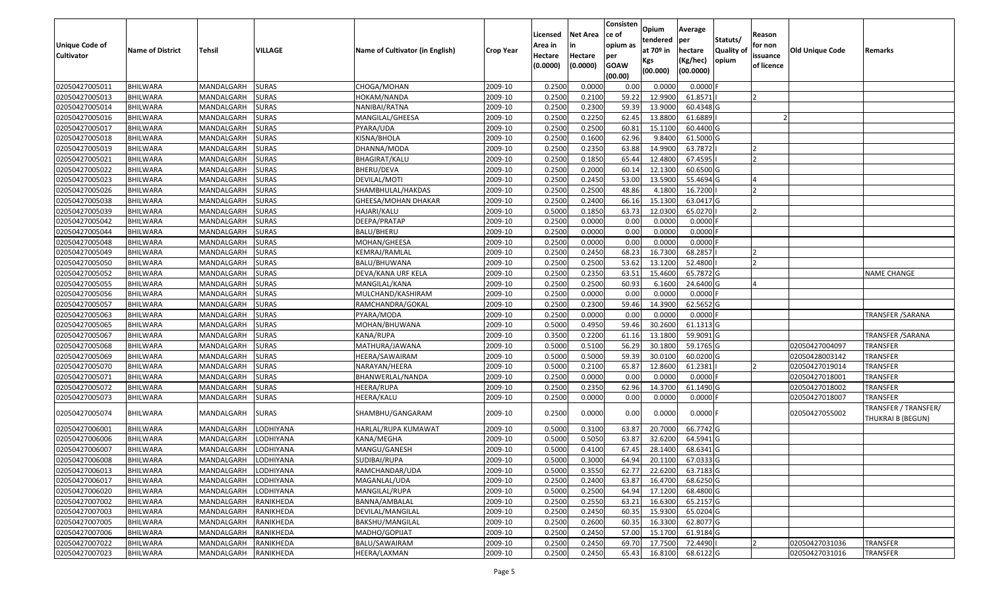| Unique Code of    | <b>Name of District</b> | <b>Tehsil</b> | VILLAGE          | Name of Cultivator (in English) | <b>Crop Year</b> | Licensed<br>Area in | <b>Net Area</b>     | Consisten<br>lce of<br>opium as | Opium<br>tendered<br>at $70°$ in | Average<br>per<br>hectare | Statuts/<br><b>Quality o</b> | Reason<br>for non      | <b>Old Unique Code</b> | Remarks                                   |
|-------------------|-------------------------|---------------|------------------|---------------------------------|------------------|---------------------|---------------------|---------------------------------|----------------------------------|---------------------------|------------------------------|------------------------|------------------------|-------------------------------------------|
| <b>Cultivator</b> |                         |               |                  |                                 |                  | Hectare<br>(0.0000) | Hectare<br>(0.0000) | per<br><b>GOAW</b><br>(00.00)   | Kgs<br>(00.000)                  | (Kg/hec)<br>(00.0000)     | opium                        | issuance<br>of licence |                        |                                           |
| 02050427005011    | <b>BHILWARA</b>         | MANDALGARH    | <b>SURAS</b>     | CHOGA/MOHAN                     | 2009-10          | 0.2500              | 0.0000              | 0.00                            | 0.0000                           | 0.0000F                   |                              |                        |                        |                                           |
| 02050427005013    | <b>BHILWARA</b>         | MANDALGARH    | <b>SURAS</b>     | HOKAM/NANDA                     | 2009-10          | 0.2500              | 0.2100              | 59.22                           | 12.9900                          | 61.8571                   |                              |                        |                        |                                           |
| 02050427005014    | BHILWARA                | MANDALGARH    | <b>SURAS</b>     | NANIBAI/RATNA                   | 2009-10          | 0.2500              | 0.2300              | 59.39                           | 13.9000                          | 60.4348 G                 |                              |                        |                        |                                           |
| 02050427005016    | <b>BHILWARA</b>         | MANDALGARH    | <b>SURAS</b>     | MANGILAL/GHEESA                 | 2009-10          | 0.2500              | 0.2250              | 62.45                           | 13.8800                          | 61.6889                   |                              |                        |                        |                                           |
| 02050427005017    | BHILWARA                | MANDALGARH    | <b>SURAS</b>     | PYARA/UDA                       | 2009-10          | 0.2500              | 0.2500              | 60.8                            | 15.1100                          | 60.4400 G                 |                              |                        |                        |                                           |
| 02050427005018    | <b>BHILWARA</b>         | MANDALGARH    | <b>SURAS</b>     | KISNA/BHOLA                     | 2009-10          | 0.2500              | 0.1600              | 62.96                           | 9.8400                           | 61.5000 G                 |                              |                        |                        |                                           |
| 02050427005019    | BHILWARA                | MANDALGARH    | <b>SURAS</b>     | DHANNA/MODA                     | 2009-10          | 0.2500              | 0.2350              | 63.88                           | 14.9900                          | 63.7872                   |                              |                        |                        |                                           |
| 02050427005021    | <b>BHILWARA</b>         | MANDALGARH    | <b>SURAS</b>     | <b>BHAGIRAT/KALU</b>            | 2009-10          | 0.2500              | 0.1850              | 65.44                           | 12.4800                          | 67.4595                   |                              |                        |                        |                                           |
| 02050427005022    | BHILWARA                | MANDALGARH    | <b>SURAS</b>     | BHERU/DEVA                      | 2009-10          | 0.2500              | 0.2000              | 60.1                            | 12.1300                          | 60.6500 G                 |                              |                        |                        |                                           |
| 02050427005023    | <b>BHILWARA</b>         | MANDALGARH    | <b>SURAS</b>     | DEVILAL/MOTI                    | 2009-10          | 0.2500              | 0.2450              | 53.00                           | 13.5900                          | 55.4694 G                 |                              |                        |                        |                                           |
| 02050427005026    | <b>BHILWARA</b>         | MANDALGARH    | <b>SURAS</b>     | SHAMBHULAL/HAKDAS               | 2009-10          | 0.2500              | 0.2500              | 48.86                           | 4.1800                           | 16.7200                   |                              | 12                     |                        |                                           |
| 02050427005038    | <b>BHILWARA</b>         | MANDALGARH    | <b>SURAS</b>     | GHEESA/MOHAN DHAKAR             | 2009-10          | 0.2500              | 0.2400              | 66.16                           | 15.1300                          | 63.0417 G                 |                              |                        |                        |                                           |
| 02050427005039    | <b>BHILWARA</b>         | MANDALGARH    | <b>SURAS</b>     | HAJARI/KALU                     | 2009-10          | 0.5000              | 0.1850              | 63.73                           | 12.0300                          | 65.0270                   |                              |                        |                        |                                           |
| 02050427005042    | <b>BHILWARA</b>         | MANDALGARH    | <b>SURAS</b>     | DEEPA/PRATAP                    | 2009-10          | 0.2500              | 0.0000              | 0.00                            | 0.0000                           | 0.0000F                   |                              |                        |                        |                                           |
| 02050427005044    | BHILWARA                | MANDALGARH    | <b>SURAS</b>     | BALU/BHERU                      | 2009-10          | 0.2500              | 0.0000              | 0.00                            | 0.0000                           | $0.0000$ F                |                              |                        |                        |                                           |
| 02050427005048    | <b>BHILWARA</b>         | MANDALGARH    | <b>SURAS</b>     | MOHAN/GHEESA                    | 2009-10          | 0.2500              | 0.0000              | 0.00                            | 0.0000                           | 0.0000                    |                              |                        |                        |                                           |
| 02050427005049    | BHILWARA                | MANDALGARH    | <b>SURAS</b>     | KEMRAJ/RAMLAL                   | 2009-10          | 0.2500              | 0.2450              | 68.23                           | 16.7300                          | 68.2857                   |                              |                        |                        |                                           |
| 02050427005050    | BHILWARA                | MANDALGARH    | <b>SURAS</b>     | BALU/BHUWANA                    | 2009-10          | 0.2500              | 0.2500              | 53.62                           | 13.1200                          | 52.4800                   |                              |                        |                        |                                           |
| 02050427005052    | <b>BHILWARA</b>         | MANDALGARH    | <b>SURAS</b>     | DEVA/KANA URF KELA              | 2009-10          | 0.2500              | 0.2350              | 63.5                            | 15.4600                          | 65.7872 G                 |                              |                        |                        | <b>NAME CHANGE</b>                        |
| 02050427005055    | <b>BHILWARA</b>         | MANDALGARH    | <b>SURAS</b>     | MANGILAL/KANA                   | 2009-10          | 0.2500              | 0.2500              | 60.93                           | 6.1600                           | 24.6400 G                 |                              |                        |                        |                                           |
| 02050427005056    | <b>BHILWARA</b>         | MANDALGARH    | <b>SURAS</b>     | MULCHAND/KASHIRAM               | 2009-10          | 0.2500              | 0.0000              | 0.00                            | 0.0000                           | 0.0000                    |                              |                        |                        |                                           |
| 02050427005057    | <b>BHILWARA</b>         | MANDALGARH    | <b>SURAS</b>     | RAMCHANDRA/GOKAL                | 2009-10          | 0.2500              | 0.2300              | 59.46                           | 14.3900                          | 62.5652 G                 |                              |                        |                        |                                           |
| 02050427005063    | <b>BHILWARA</b>         | MANDALGARH    | <b>SURAS</b>     | PYARA/MODA                      | 2009-10          | 0.2500              | 0.0000              | 0.00                            | 0.0000                           | $0.0000$ F                |                              |                        |                        | <b>TRANSFER / SARANA</b>                  |
| 02050427005065    | <b>BHILWARA</b>         | MANDALGARH    | <b>SURAS</b>     | MOHAN/BHUWANA                   | 2009-10          | 0.5000              | 0.4950              | 59.46                           | 30.2600                          | 61.1313 G                 |                              |                        |                        |                                           |
| 02050427005067    | <b>BHILWARA</b>         | MANDALGARH    | <b>SURAS</b>     | KANA/RUPA                       | 2009-10          | 0.3500              | 0.2200              | 61.16                           | 13.1800                          | 59.9091G                  |                              |                        |                        | <b>TRANSFER / SARANA</b>                  |
| 02050427005068    | <b>BHILWARA</b>         | MANDALGARH    | <b>SURAS</b>     | MATHURA/JAWANA                  | 2009-10          | 0.5000              | 0.5100              | 56.29                           | 30.1800                          | 59.1765 G                 |                              |                        | 02050427004097         | <b>TRANSFER</b>                           |
| 02050427005069    | <b>BHILWARA</b>         | MANDALGARH    | <b>SURAS</b>     | HEERA/SAWAIRAM                  | 2009-10          | 0.5000              | 0.5000              | 59.39                           | 30.0100                          | 60.0200G                  |                              |                        | 02050428003142         | <b>TRANSFER</b>                           |
| 02050427005070    | BHILWARA                | MANDALGARH    | <b>SURAS</b>     | NARAYAN/HEERA                   | 2009-10          | 0.5000              | 0.2100              | 65.87                           | 12.8600                          | 61.2381                   |                              |                        | 02050427019014         | <b>TRANSFER</b>                           |
| 02050427005071    | <b>BHILWARA</b>         | MANDALGARH    | <b>SURAS</b>     | BHANWERLAL/NANDA                | 2009-10          | 0.2500              | 0.0000              | 0.00                            | 0.0000                           | 0.0000F                   |                              |                        | 02050427018001         | <b>TRANSFER</b>                           |
| 02050427005072    | BHILWARA                | MANDALGARH    | <b>SURAS</b>     | <b>HEERA/RUPA</b>               | 2009-10          | 0.2500              | 0.2350              | 62.96                           | 14.3700                          | 61.1490 G                 |                              |                        | 02050427018002         | <b>TRANSFER</b>                           |
| 02050427005073    | BHILWARA                | MANDALGARH    | <b>SURAS</b>     | HEERA/KALU                      | 2009-10          | 0.2500              | 0.0000              | 0.00                            | 0.0000                           | 0.0000                    |                              |                        | 02050427018007         | <b>TRANSFER</b>                           |
| 02050427005074    | <b>BHILWARA</b>         | MANDALGARH    | <b>SURAS</b>     | SHAMBHU/GANGARAM                | 2009-10          | 0.2500              | 0.0000              | 0.00                            | 0.0000                           | $0.0000$ F                |                              |                        | 02050427055002         | TRANSFER / TRANSFER/<br>THUKRAI B (BEGUN) |
| 02050427006001    | <b>BHILWARA</b>         | MANDALGARH    | LODHIYANA        | HARLAL/RUPA KUMAWAT             | 2009-10          | 0.5000              | 0.3100              | 63.87                           | 20.7000                          | 66.7742 G                 |                              |                        |                        |                                           |
| 02050427006006    | BHILWARA                | MANDALGARH    | LODHIYANA        | KANA/MEGHA                      | 2009-10          | 0.500               | 0.5050              | 63.87                           | 32.6200                          | 64.5941 G                 |                              |                        |                        |                                           |
| 02050427006007    | BHILWARA                | MANDALGARH    | LODHIYANA        | MANGU/GANESH                    | 2009-10          | 0.5000              | 0.4100              | 67.45                           | 28.1400                          | 68.6341 G                 |                              |                        |                        |                                           |
| 02050427006008    | <b>BHILWARA</b>         | MANDALGARH    | LODHIYANA        | SUDIBAI/RUPA                    | 2009-10          | 0.5000              | 0.3000              | 64.94                           | 20.1100                          | 67.0333 G                 |                              |                        |                        |                                           |
| 02050427006013    | <b>BHILWARA</b>         | MANDALGARH    | LODHIYANA        | RAMCHANDAR/UDA                  | 2009-10          | 0.5000              | 0.3550              | 62.77                           | 22.6200                          | 63.7183 G                 |                              |                        |                        |                                           |
| 02050427006017    | <b>BHILWARA</b>         | MANDALGARH    | LODHIYANA        | MAGANLAL/UDA                    | 2009-10          | 0.2500              | 0.2400              | 63.87                           | 16.4700                          | 68.6250 G                 |                              |                        |                        |                                           |
| 02050427006020    | <b>BHILWARA</b>         | MANDALGARH    | <b>LODHIYANA</b> | MANGILAL/RUPA                   | 2009-10          | 0.5000              | 0.2500              | 64.94                           | 17.1200                          | 68.4800 G                 |                              |                        |                        |                                           |
| 02050427007002    | <b>BHILWARA</b>         | MANDALGARH    | RANIKHEDA        | BANNA/AMBALAL                   | 2009-10          | 0.2500              | 0.2550              | 63.21                           | 16.6300                          | 65.2157 G                 |                              |                        |                        |                                           |
| 02050427007003    | <b>BHILWARA</b>         | MANDALGARH    | RANIKHEDA        | DEVILAL/MANGILAL                | 2009-10          | 0.2500              | 0.2450              | 60.35                           | 15.9300                          | 65.0204 G                 |                              |                        |                        |                                           |
| 02050427007005    | <b>BHILWARA</b>         | MANDALGARH    | RANIKHEDA        | BAKSHU/MANGILAL                 | 2009-10          | 0.2500              | 0.2600              | 60.35                           | 16.3300                          | 62.8077 G                 |                              |                        |                        |                                           |
| 02050427007006    | <b>BHILWARA</b>         | MANDALGARH    | RANIKHEDA        | MADHO/GOPIJAT                   | 2009-10          | 0.2500              | 0.2450              | 57.00                           | 15.1700                          | 61.9184 G                 |                              |                        |                        |                                           |
| 02050427007022    | <b>BHILWARA</b>         | MANDALGARH    | RANIKHEDA        | BALU/SAWAIRAM                   | 2009-10          | 0.2500              | 0.2450              | 69.70                           | 17.7500                          | 72.4490                   |                              |                        | 02050427031036         | <b>TRANSFER</b>                           |
| 02050427007023    | <b>BHILWARA</b>         | MANDALGARH    | RANIKHEDA        | HEERA/LAXMAN                    | 2009-10          | 0.2500              | 0.2450              | 65.43                           | 16.8100                          | 68.6122 G                 |                              |                        | 02050427031016         | <b>TRANSFER</b>                           |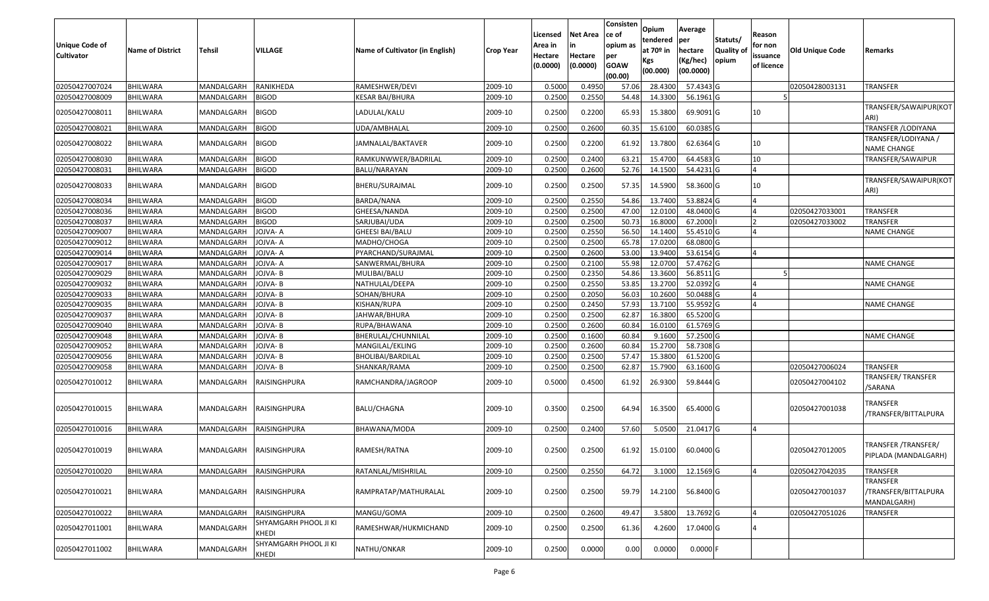| Unique Code of<br><b>Cultivator</b> | <b>Name of District</b> | <b>Tehsil</b> | VILLAGE                               | Name of Cultivator (in English) | <b>Crop Year</b> | Licensed<br>Area in<br>Hectare<br>(0.0000) | Net Area<br>Hectare<br>(0.0000) | Consisten<br>ce of<br>opium as<br>per<br><b>GOAW</b><br>(00.00) | Opium<br>tendered<br>at 70º in<br>Kgs<br>(00.000) | Average<br>per<br>hectare<br>(Kg/hec)<br>(00.0000) | Statuts/<br><b>Quality of</b><br>opium | Reason<br>for non<br>issuance<br>of licence | <b>Old Unique Code</b> | Remarks                                         |
|-------------------------------------|-------------------------|---------------|---------------------------------------|---------------------------------|------------------|--------------------------------------------|---------------------------------|-----------------------------------------------------------------|---------------------------------------------------|----------------------------------------------------|----------------------------------------|---------------------------------------------|------------------------|-------------------------------------------------|
| 02050427007024                      | <b>BHILWARA</b>         | MANDALGARH    | <b>RANIKHEDA</b>                      | RAMESHWER/DEVI                  | 2009-10          | 0.5000                                     | 0.4950                          | 57.06                                                           | 28.4300                                           | 57.4343 G                                          |                                        |                                             | 02050428003131         | TRANSFER                                        |
| 02050427008009                      | <b>BHILWARA</b>         | MANDALGARH    | <b>BIGOD</b>                          | <b>KESAR BAI/BHURA</b>          | 2009-10          | 0.2500                                     | 0.2550                          | 54.48                                                           | 14.3300                                           | 56.1961 G                                          |                                        |                                             |                        |                                                 |
| 02050427008011                      | <b>BHILWARA</b>         | MANDALGARH    | <b>BIGOD</b>                          | LADULAL/KALU                    | 2009-10          | 0.2500                                     | 0.2200                          | 65.93                                                           | 15.3800                                           | 69.9091 G                                          |                                        | 10                                          |                        | TRANSFER/SAWAIPUR(KOT<br>ARI)                   |
| 02050427008021                      | <b>BHILWARA</b>         | MANDALGARH    | <b>BIGOD</b>                          | UDA/AMBHALAL                    | 2009-10          | 0.2500                                     | 0.2600                          | 60.35                                                           | 15.6100                                           | 60.0385 G                                          |                                        |                                             |                        | <b>TRANSFER / LODIYANA</b>                      |
| 02050427008022                      | <b>BHILWARA</b>         | MANDALGARH    | <b>BIGOD</b>                          | JAMNALAL/BAKTAVER               | 2009-10          | 0.2500                                     | 0.2200                          | 61.92                                                           | 13.7800                                           | 62.6364 G                                          |                                        | 10                                          |                        | TRANSFER/LODIYANA /<br><b>NAME CHANGE</b>       |
| 02050427008030                      | <b>BHILWARA</b>         | MANDALGARH    | <b>BIGOD</b>                          | RAMKUNWWER/BADRILAL             | 2009-10          | 0.2500                                     | 0.2400                          | 63.21                                                           | 15.4700                                           | 64.4583 G                                          |                                        | 10                                          |                        | TRANSFER/SAWAIPUR                               |
| 02050427008031                      | <b>BHILWARA</b>         | MANDALGARH    | <b>BIGOD</b>                          | BALU/NARAYAN                    | 2009-10          | 0.2500                                     | 0.2600                          | 52.76                                                           | 14.1500                                           | 54.4231 G                                          |                                        | 4                                           |                        |                                                 |
| 02050427008033                      | <b>BHILWARA</b>         | MANDALGARH    | <b>BIGOD</b>                          | BHERU/SURAJMAL                  | 2009-10          | 0.2500                                     | 0.2500                          | 57.35                                                           | 14.5900                                           | 58.3600 G                                          |                                        | 10                                          |                        | TRANSFER/SAWAIPUR(KOT<br>ARI)                   |
| 02050427008034                      | <b>BHILWARA</b>         | MANDALGARH    | <b>BIGOD</b>                          | BARDA/NANA                      | 2009-10          | 0.2500                                     | 0.2550                          | 54.86                                                           | 13.7400                                           | 53.8824 G                                          |                                        | 4                                           |                        |                                                 |
| 02050427008036                      | <b>BHILWARA</b>         | MANDALGARH    | <b>BIGOD</b>                          | GHEESA/NANDA                    | 2009-10          | 0.2500                                     | 0.2500                          | 47.00                                                           | 12.0100                                           | 48.0400 G                                          |                                        |                                             | 02050427033001         | TRANSFER                                        |
| 02050427008037                      | <b>BHILWARA</b>         | MANDALGARH    | <b>BIGOD</b>                          | SARJUBAI/UDA                    | 2009-10          | 0.2500                                     | 0.2500                          | 50.73                                                           | 16.8000                                           | 67.2000                                            |                                        |                                             | 02050427033002         | <b>TRANSFER</b>                                 |
| 02050427009007                      | <b>BHILWARA</b>         | MANDALGARH    | JOJVA-A                               | GHEESI BAI/BALU                 | 2009-10          | 0.2500                                     | 0.2550                          | 56.50                                                           | 14.1400                                           | 55.4510 G                                          |                                        | IΔ                                          |                        | <b>NAME CHANGE</b>                              |
| 02050427009012                      | <b>BHILWARA</b>         | MANDALGARH    | JOJVA-A                               | MADHO/CHOGA                     | 2009-10          | 0.2500                                     | 0.2500                          | 65.78                                                           | 17.0200                                           | 68.0800 G                                          |                                        |                                             |                        |                                                 |
| 02050427009014                      | <b>BHILWARA</b>         | MANDALGARH    | JOJVA-A                               | PYARCHAND/SURAJMAL              | 2009-10          | 0.2500                                     | 0.2600                          | 53.00                                                           | 13.9400                                           | 53.6154 G                                          |                                        |                                             |                        |                                                 |
| 02050427009017                      | <b>BHILWARA</b>         | MANDALGARH    | JOJVA-A                               | SANWERMAL/BHURA                 | 2009-10          | 0.2500                                     | 0.2100                          | 55.98                                                           | 12.0700                                           | 57.4762 G                                          |                                        |                                             |                        | <b>NAME CHANGE</b>                              |
| 02050427009029                      | <b>BHILWARA</b>         | MANDALGARH    | JOJVA- B                              | MULIBAI/BALU                    | 2009-10          | 0.2500                                     | 0.2350                          | 54.86                                                           | 13.3600                                           | 56.8511 G                                          |                                        |                                             |                        |                                                 |
| 02050427009032                      | <b>BHILWARA</b>         | MANDALGARH    | JOJVA- B                              | NATHULAL/DEEPA                  | 2009-10          | 0.2500                                     | 0.2550                          | 53.85                                                           | 13.2700                                           | 52.0392 G                                          |                                        | IΔ                                          |                        | <b>NAME CHANGE</b>                              |
| 02050427009033                      | <b>BHILWARA</b>         | MANDALGARH    | JOJVA-B                               | SOHAN/BHURA                     | 2009-10          | 0.2500                                     | 0.2050                          | 56.03                                                           | 10.2600                                           | 50.0488 G                                          |                                        | $\overline{A}$                              |                        |                                                 |
| 02050427009035                      | <b>BHILWARA</b>         | MANDALGARH    | JOJVA-B                               | KISHAN/RUPA                     | 2009-10          | 0.2500                                     | 0.2450                          | 57.93                                                           | 13.7100                                           | 55.9592 G                                          |                                        | IΔ                                          |                        | <b>NAME CHANGE</b>                              |
| 02050427009037                      | <b>BHILWARA</b>         | MANDALGARH    | JOJVA- B                              | JAHWAR/BHURA                    | 2009-10          | 0.2500                                     | 0.2500                          | 62.87                                                           | 16.3800                                           | 65.5200 G                                          |                                        |                                             |                        |                                                 |
| 02050427009040                      | <b>BHILWARA</b>         | MANDALGARH    | JOJVA- B                              | RUPA/BHAWANA                    | 2009-10          | 0.2500                                     | 0.2600                          | 60.84                                                           | 16.0100                                           | 61.5769 G                                          |                                        |                                             |                        |                                                 |
| 02050427009048                      | <b>BHILWARA</b>         | MANDALGARH    | JOJVA-B                               | BHERULAL/CHUNNILAL              | 2009-10          | 0.2500                                     | 0.1600                          | 60.84                                                           | 9.1600                                            | 57.2500 G                                          |                                        |                                             |                        | <b>NAME CHANGE</b>                              |
| 02050427009052                      | <b>BHILWARA</b>         | MANDALGARH    | JOJVA- B                              | MANGILAL/EKLING                 | 2009-10          | 0.2500                                     | 0.2600                          | 60.84                                                           | 15.270                                            | 58.7308 G                                          |                                        |                                             |                        |                                                 |
| 02050427009056                      | <b>BHILWARA</b>         | MANDALGARH    | JOJVA-B                               | <b>BHOLIBAI/BARDILAL</b>        | 2009-10          | 0.2500                                     | 0.2500                          | 57.47                                                           | 15.3800                                           | 61.5200 G                                          |                                        |                                             |                        |                                                 |
| 02050427009058                      | <b>BHILWARA</b>         | MANDALGARH    | JOJVA- B                              | SHANKAR/RAMA                    | 2009-10          | 0.2500                                     | 0.2500                          | 62.87                                                           | 15.7900                                           | 63.1600 G                                          |                                        |                                             | 02050427006024         | TRANSFER                                        |
| 02050427010012                      | <b>BHILWARA</b>         | MANDALGARH    | RAISINGHPURA                          | RAMCHANDRA/JAGROOP              | 2009-10          | 0.5000                                     | 0.4500                          | 61.92                                                           | 26.9300                                           | 59.8444 G                                          |                                        |                                             | 02050427004102         | TRANSFER/ TRANSFER<br>/SARANA                   |
| 02050427010015                      | BHILWARA                | MANDALGARH    | RAISINGHPURA                          | <b>BALU/CHAGNA</b>              | 2009-10          | 0.3500                                     | 0.2500                          | 64.94                                                           | 16.3500                                           | 65.4000 G                                          |                                        |                                             | 02050427001038         | TRANSFER<br>/TRANSFER/BITTALPURA                |
| 02050427010016                      | <b>BHILWARA</b>         | MANDALGARH    | RAISINGHPURA                          | BHAWANA/MODA                    | 2009-10          | 0.2500                                     | 0.2400                          | 57.60                                                           | 5.0500                                            | 21.0417 G                                          |                                        | IΔ                                          |                        |                                                 |
| 02050427010019                      | <b>BHILWARA</b>         | MANDALGARH    | RAISINGHPURA                          | RAMESH/RATNA                    | 2009-10          | 0.2500                                     | 0.2500                          | 61.92                                                           | 15.0100                                           | 60.0400 G                                          |                                        |                                             | 02050427012005         | TRANSFER /TRANSFER/<br>PIPLADA (MANDALGARH)     |
| 02050427010020                      | <b>BHILWARA</b>         | MANDALGARH    | RAISINGHPURA                          | RATANLAL/MISHRILAL              | 2009-10          | 0.2500                                     | 0.2550                          | 64.72                                                           | 3.1000                                            | 12.1569 G                                          |                                        | $\overline{A}$                              | 02050427042035         | TRANSFER                                        |
| 02050427010021                      | <b>BHILWARA</b>         | MANDALGARH    | RAISINGHPURA                          | RAMPRATAP/MATHURALAL            | 2009-10          | 0.2500                                     | 0.2500                          | 59.79                                                           | 14.2100                                           | 56.8400 G                                          |                                        |                                             | 02050427001037         | TRANSFER<br>/TRANSFER/BITTALPURA<br>MANDALGARH) |
| 02050427010022                      | <b>BHILWARA</b>         | MANDALGARH    | RAISINGHPURA                          | MANGU/GOMA                      | 2009-10          | 0.2500                                     | 0.2600                          | 49.47                                                           | 3.5800                                            | 13.7692 G                                          |                                        | ۱A                                          | 02050427051026         | <b>TRANSFER</b>                                 |
| 02050427011001                      | <b>BHILWARA</b>         | MANDALGARH    | SHYAMGARH PHOOL JI KI<br><b>KHEDI</b> | RAMESHWAR/HUKMICHAND            | 2009-10          | 0.2500                                     | 0.2500                          | 61.36                                                           | 4.2600                                            | 17.0400 G                                          |                                        |                                             |                        |                                                 |
| 02050427011002                      | <b>BHILWARA</b>         | MANDALGARH    | SHYAMGARH PHOOL JI KI<br>KHEDI        | NATHU/ONKAR                     | 2009-10          | 0.2500                                     | 0.0000                          | 0.00                                                            | 0.0000                                            | 0.0000 F                                           |                                        |                                             |                        |                                                 |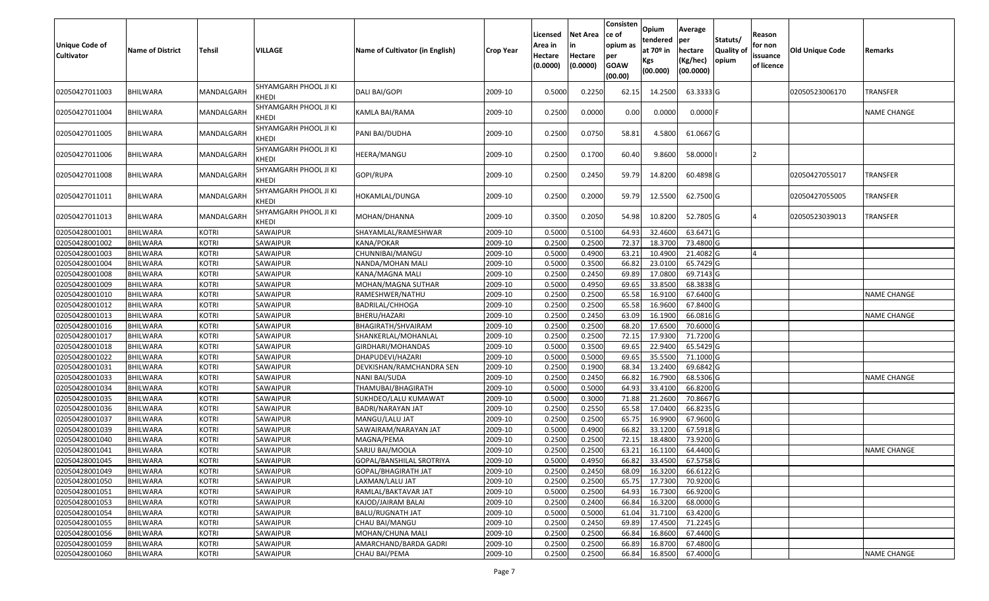| <b>Unique Code of</b><br><b>Cultivator</b> | <b>Name of District</b> | Tehsil       | VILLAGE                        | Name of Cultivator (in English) | <b>Crop Year</b> | Licensed<br>Area in<br>Hectare<br>(0.0000) | Net Area<br>in<br>Hectare<br>(0.0000) | Consisten<br>ce of<br>opium as<br>per<br><b>GOAW</b><br>(00.00) | Opium<br>tendered<br>at 70 <sup>o</sup> in<br>Kgs<br>(00.000) | Average<br>per<br>hectare<br>(Kg/hec)<br>(00.0000) | Statuts/<br>Quality of<br>opium | Reason<br>for non<br>issuance<br>of licence | <b>Old Unique Code</b> | Remarks            |
|--------------------------------------------|-------------------------|--------------|--------------------------------|---------------------------------|------------------|--------------------------------------------|---------------------------------------|-----------------------------------------------------------------|---------------------------------------------------------------|----------------------------------------------------|---------------------------------|---------------------------------------------|------------------------|--------------------|
| 02050427011003                             | BHILWARA                | MANDALGARH   | SHYAMGARH PHOOL JI KI<br>KHEDI | DALI BAI/GOPI                   | 2009-10          | 0.5000                                     | 0.2250                                | 62.1                                                            | 14.2500                                                       | 63.3333 G                                          |                                 |                                             | 02050523006170         | TRANSFER           |
| 02050427011004                             | <b>BHILWARA</b>         | MANDALGARH   | SHYAMGARH PHOOL JI KI<br>KHEDI | KAMLA BAI/RAMA                  | 2009-10          | 0.2500                                     | 0.0000                                | 0.00                                                            | 0.0000                                                        | $0.0000$ F                                         |                                 |                                             |                        | NAME CHANGE        |
| 02050427011005                             | <b>BHILWARA</b>         | MANDALGARH   | SHYAMGARH PHOOL JI KI<br>KHEDI | PANI BAI/DUDHA                  | 2009-10          | 0.2500                                     | 0.0750                                | 58.81                                                           | 4.5800                                                        | 61.0667 G                                          |                                 |                                             |                        |                    |
| 02050427011006                             | <b>BHILWARA</b>         | MANDALGARH   | SHYAMGARH PHOOL JI KI<br>KHEDI | HEERA/MANGU                     | 2009-10          | 0.2500                                     | 0.1700                                | 60.40                                                           | 9.8600                                                        | 58.0000                                            |                                 | 12                                          |                        |                    |
| 02050427011008                             | <b>BHILWARA</b>         | MANDALGARH   | SHYAMGARH PHOOL JI KI<br>KHEDI | GOPI/RUPA                       | 2009-10          | 0.2500                                     | 0.2450                                | 59.79                                                           | 14.8200                                                       | 60.4898 G                                          |                                 |                                             | 02050427055017         | TRANSFER           |
| 02050427011011                             | <b>BHILWARA</b>         | MANDALGARH   | SHYAMGARH PHOOL JI KI<br>KHEDI | HOKAMLAL/DUNGA                  | 2009-10          | 0.2500                                     | 0.2000                                | 59.79                                                           | 12.5500                                                       | 62.7500 G                                          |                                 |                                             | 02050427055005         | TRANSFER           |
| 02050427011013                             | <b>BHILWARA</b>         | MANDALGARH   | SHYAMGARH PHOOL JI KI<br>KHEDI | MOHAN/DHANNA                    | 2009-10          | 0.3500                                     | 0.2050                                | 54.98                                                           | 10.8200                                                       | 52.7805 G                                          |                                 | <b>4</b>                                    | 02050523039013         | TRANSFER           |
| 02050428001001                             | <b>BHILWARA</b>         | <b>KOTRI</b> | SAWAIPUR                       | SHAYAMLAL/RAMESHWAR             | 2009-10          | 0.5000                                     | 0.5100                                | 64.93                                                           | 32.4600                                                       | 63.6471 G                                          |                                 |                                             |                        |                    |
| 02050428001002                             | <b>BHILWARA</b>         | <b>KOTRI</b> | SAWAIPUR                       | KANA/POKAR                      | 2009-10          | 0.2500                                     | 0.2500                                | 72.37                                                           | 18.3700                                                       | 73.4800 G                                          |                                 |                                             |                        |                    |
| 02050428001003                             | <b>BHILWARA</b>         | KOTRI        | SAWAIPUR                       | CHUNNIBAI/MANGU                 | 2009-10          | 0.5000                                     | 0.4900                                | 63.21                                                           | 10.4900                                                       | 21.4082 G                                          |                                 |                                             |                        |                    |
| 02050428001004                             | <b>BHILWARA</b>         | <b>KOTRI</b> | SAWAIPUR                       | NANDA/MOHAN MALI                | 2009-10          | 0.5000                                     | 0.3500                                | 66.8                                                            | 23.0100                                                       | 65.7429 G                                          |                                 |                                             |                        |                    |
| 02050428001008                             | <b>BHILWARA</b>         | <b>KOTRI</b> | SAWAIPUR                       | KANA/MAGNA MALI                 | 2009-10          | 0.2500                                     | 0.2450                                | 69.89                                                           | 17.0800                                                       | 69.7143 G                                          |                                 |                                             |                        |                    |
| 02050428001009                             | <b>BHILWARA</b>         | <b>KOTRI</b> | SAWAIPUR                       | MOHAN/MAGNA SUTHAR              | 2009-10          | 0.5000                                     | 0.4950                                | 69.65                                                           | 33.8500                                                       | 68.3838 G                                          |                                 |                                             |                        |                    |
| 02050428001010                             | <b>BHILWARA</b>         | <b>KOTRI</b> | SAWAIPUR                       | RAMESHWER/NATHU                 | 2009-10          | 0.2500                                     | 0.2500                                | 65.58                                                           | 16.9100                                                       | 67.6400 G                                          |                                 |                                             |                        | NAME CHANGE        |
| 02050428001012                             | <b>BHILWARA</b>         | <b>KOTRI</b> | SAWAIPUR                       | BADRILAL/CHHOGA                 | 2009-10          | 0.2500                                     | 0.2500                                | 65.58                                                           | 16.9600                                                       | 67.8400 G                                          |                                 |                                             |                        |                    |
| 02050428001013                             | <b>BHILWARA</b>         | <b>KOTRI</b> | SAWAIPUR                       | BHERU/HAZARI                    | 2009-10          | 0.2500                                     | 0.2450                                | 63.09                                                           | 16.1900                                                       | 66.0816 G                                          |                                 |                                             |                        | <b>NAME CHANGE</b> |
| 02050428001016                             | <b>BHILWARA</b>         | <b>KOTRI</b> | SAWAIPUR                       | BHAGIRATH/SHVAIRAM              | 2009-10          | 0.2500                                     | 0.2500                                | 68.20                                                           | 17.6500                                                       | 70.6000 G                                          |                                 |                                             |                        |                    |
| 02050428001017                             | <b>BHILWARA</b>         | <b>KOTRI</b> | SAWAIPUR                       | SHANKERLAL/MOHANLAL             | 2009-10          | 0.2500                                     | 0.2500                                | 72.1                                                            | 17.9300                                                       | 71.7200 G                                          |                                 |                                             |                        |                    |
| 02050428001018                             | <b>BHILWARA</b>         | <b>KOTRI</b> | SAWAIPUR                       | GIRDHARI/MOHANDAS               | 2009-10          | 0.5000                                     | 0.3500                                | 69.65                                                           | 22.9400                                                       | 65.5429 G                                          |                                 |                                             |                        |                    |
| 02050428001022                             | <b>BHILWARA</b>         | <b>KOTRI</b> | SAWAIPUR                       | DHAPUDEVI/HAZARI                | 2009-10          | 0.5000                                     | 0.5000                                | 69.65                                                           | 35.5500                                                       | 71.1000 G                                          |                                 |                                             |                        |                    |
| 02050428001031                             | <b>BHILWARA</b>         | <b>KOTRI</b> | SAWAIPUR                       | DEVKISHAN/RAMCHANDRA SEN        | 2009-10          | 0.2500                                     | 0.1900                                | 68.3                                                            | 13.2400                                                       | 69.6842 G                                          |                                 |                                             |                        |                    |
| 02050428001033                             | <b>BHILWARA</b>         | <b>KOTRI</b> | SAWAIPUR                       | NANI BAI/SUDA                   | 2009-10          | 0.2500                                     | 0.2450                                | 66.8                                                            | 16.7900                                                       | 68.5306 G                                          |                                 |                                             |                        | NAME CHANGE        |
| 02050428001034                             | <b>BHILWARA</b>         | <b>KOTRI</b> | SAWAIPUR                       | THAMUBAI/BHAGIRATH              | 2009-10          | 0.5000                                     | 0.5000                                | 64.93                                                           | 33.4100                                                       | 66.8200 G                                          |                                 |                                             |                        |                    |
| 02050428001035                             | <b>BHILWARA</b>         | <b>KOTRI</b> | SAWAIPUR                       | SUKHDEO/LALU KUMAWAT            | 2009-10          | 0.5000                                     | 0.3000                                | 71.88                                                           | 21.2600                                                       | 70.8667 G                                          |                                 |                                             |                        |                    |
| 02050428001036                             | <b>BHILWARA</b>         | <b>KOTRI</b> | SAWAIPUR                       | BADRI/NARAYAN JAT               | 2009-10          | 0.2500                                     | 0.2550                                | 65.58                                                           | 17.0400                                                       | 66.8235 G                                          |                                 |                                             |                        |                    |
| 02050428001037                             | <b>BHILWARA</b>         | <b>KOTRI</b> | SAWAIPUR                       | MANGU/LALU JAT                  | 2009-10          | 0.2500                                     | 0.2500                                | 65.7                                                            | 16.9900                                                       | 67.9600 G                                          |                                 |                                             |                        |                    |
| 02050428001039                             | <b>BHILWARA</b>         | <b>KOTRI</b> | SAWAIPUR                       | SAWAIRAM/NARAYAN JAT            | 2009-10          | 0.5000                                     | 0.4900                                | 66.8                                                            | 33.1200                                                       | 67.5918 G                                          |                                 |                                             |                        |                    |
| 02050428001040                             | <b>BHILWARA</b>         | <b>KOTRI</b> | SAWAIPUR                       | MAGNA/PEMA                      | 2009-10          | 0.2500                                     | 0.2500                                | 72.1                                                            | 18.4800                                                       | 73.9200 G                                          |                                 |                                             |                        |                    |
| 02050428001041                             | <b>BHILWARA</b>         | KOTRI        | SAWAIPUR                       | SARJU BAI/MOOLA                 | 2009-10          | 0.2500                                     | 0.2500                                | 63.21                                                           | 16.1100                                                       | 64.4400 G                                          |                                 |                                             |                        | NAME CHANGE        |
| 02050428001045                             | BHILWARA                | <b>KOTRI</b> | SAWAIPUR                       | GOPAL/BANSHILAL SROTRIYA        | 2009-10          | 0.5000                                     | 0.4950                                | 66.82                                                           | 33.4500                                                       | 67.5758 G                                          |                                 |                                             |                        |                    |
| 02050428001049                             | <b>BHILWARA</b>         | <b>KOTRI</b> | SAWAIPUR                       | GOPAL/BHAGIRATH JAT             | 2009-10          | 0.2500                                     | 0.2450                                | 68.09                                                           | 16.3200                                                       | 66.6122 G                                          |                                 |                                             |                        |                    |
| 02050428001050                             | <b>BHILWARA</b>         | <b>KOTRI</b> | SAWAIPUR                       | LAXMAN/LALU JAT                 | 2009-10          | 0.2500                                     | 0.2500                                | 65.75                                                           | 17.7300                                                       | 70.9200 G                                          |                                 |                                             |                        |                    |
| 02050428001051                             | <b>BHILWARA</b>         | <b>KOTRI</b> | SAWAIPUR                       | RAMLAL/BAKTAVAR JAT             | 2009-10          | 0.5000                                     | 0.2500                                | 64.93                                                           | 16.7300                                                       | 66.9200 G                                          |                                 |                                             |                        |                    |
| 02050428001053                             | <b>BHILWARA</b>         | <b>KOTRI</b> | SAWAIPUR                       | KAJOD/JAIRAM BALAI              | 2009-10          | 0.2500                                     | 0.2400                                | 66.84                                                           | 16.3200                                                       | 68.0000 G                                          |                                 |                                             |                        |                    |
| 02050428001054                             | <b>BHILWARA</b>         | <b>KOTRI</b> | SAWAIPUR                       | BALU/RUGNATH JAT                | 2009-10          | 0.5000                                     | 0.5000                                | 61.04                                                           | 31.7100                                                       | 63.4200 G                                          |                                 |                                             |                        |                    |
| 02050428001055                             | <b>BHILWARA</b>         | <b>KOTRI</b> | SAWAIPUR                       | CHAU BAI/MANGU                  | 2009-10          | 0.2500                                     | 0.2450                                | 69.89                                                           | 17.4500                                                       | 71.2245 G                                          |                                 |                                             |                        |                    |
| 02050428001056                             | <b>BHILWARA</b>         | <b>KOTRI</b> | SAWAIPUR                       | MOHAN/CHUNA MALI                | 2009-10          | 0.2500                                     | 0.2500                                | 66.84                                                           | 16.8600                                                       | 67.4400 G                                          |                                 |                                             |                        |                    |
| 02050428001059                             | BHILWARA                | <b>KOTRI</b> | SAWAIPUR                       | AMARCHAND/BARDA GADRI           | 2009-10          | 0.2500                                     | 0.2500                                | 66.89                                                           | 16.8700                                                       | 67.4800 G                                          |                                 |                                             |                        |                    |
| 02050428001060                             | <b>BHILWARA</b>         | <b>KOTRI</b> | SAWAIPUR                       | CHAU BAI/PEMA                   | 2009-10          | 0.2500                                     | 0.2500                                | 66.84                                                           | 16.8500                                                       | 67.4000 G                                          |                                 |                                             |                        | <b>NAME CHANGE</b> |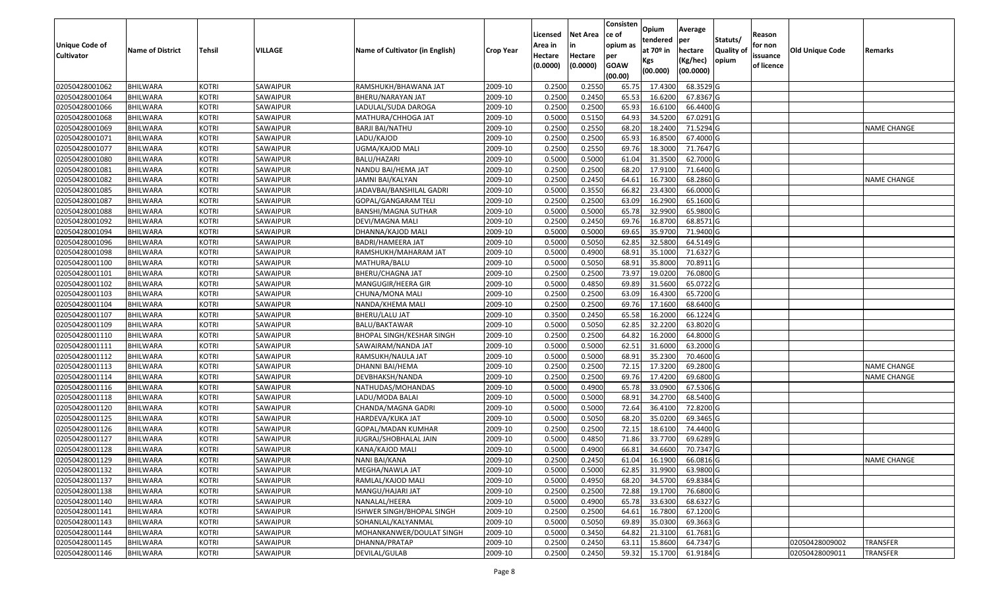|                       |                         |               |          |                                 |           | Licensed            | <b>Net Area</b>     | Consisten<br>ce of | Opium<br>tendered | Average<br><b>per</b> | Statuts/          | Reason                 |                        |                    |
|-----------------------|-------------------------|---------------|----------|---------------------------------|-----------|---------------------|---------------------|--------------------|-------------------|-----------------------|-------------------|------------------------|------------------------|--------------------|
| <b>Unique Code of</b> | <b>Name of District</b> | <b>Tehsil</b> | VILLAGE  | Name of Cultivator (in English) | Crop Year | Area in             | in                  | opium as           | at 70º in         | hectare               | <b>Quality of</b> | for non                | <b>Old Unique Code</b> | Remarks            |
| <b>Cultivator</b>     |                         |               |          |                                 |           | Hectare<br>(0.0000) | Hectare<br>(0.0000) | per<br><b>GOAW</b> | Kgs               | (Kg/hec)<br>(00.0000) | opium             | issuance<br>of licence |                        |                    |
|                       |                         |               |          |                                 |           |                     |                     | (00.00)            | (00.000)          |                       |                   |                        |                        |                    |
| 02050428001062        | <b>BHILWARA</b>         | KOTRI         | SAWAIPUR | RAMSHUKH/BHAWANA JAT            | 2009-10   | 0.2500              | 0.2550              | 65.75              | 17.4300           | 68.3529 G             |                   |                        |                        |                    |
| 02050428001064        | <b>BHILWARA</b>         | KOTRI         | SAWAIPUR | BHERU/NARAYAN JAT               | 2009-10   | 0.2500              | 0.2450              | 65.53              | 16.6200           | 67.8367 G             |                   |                        |                        |                    |
| 02050428001066        | <b>BHILWARA</b>         | KOTRI         | SAWAIPUR | LADULAL/SUDA DAROGA             | 2009-10   | 0.2500              | 0.2500              | 65.93              | 16.6100           | 66.4400 G             |                   |                        |                        |                    |
| 02050428001068        | <b>BHILWARA</b>         | KOTRI         | SAWAIPUR | MATHURA/CHHOGA JAT              | 2009-10   | 0.5000              | 0.5150              | 64.93              | 34.5200           | 67.0291 G             |                   |                        |                        |                    |
| 02050428001069        | <b>BHILWARA</b>         | <b>KOTRI</b>  | SAWAIPUR | BARJI BAI/NATHU                 | 2009-10   | 0.2500              | 0.2550              | 68.20              | 18.2400           | 71.5294 G             |                   |                        |                        | <b>NAME CHANGE</b> |
| 02050428001071        | <b>BHILWARA</b>         | <b>KOTRI</b>  | SAWAIPUR | LADU/KAJOD                      | 2009-10   | 0.2500              | 0.2500              | 65.93              | 16.8500           | 67.4000 G             |                   |                        |                        |                    |
| 02050428001077        | BHILWARA                | <b>KOTRI</b>  | SAWAIPUR | UGMA/KAJOD MALI                 | 2009-10   | 0.2500              | 0.2550              | 69.76              | 18.3000           | 71.7647 G             |                   |                        |                        |                    |
| 02050428001080        | <b>BHILWARA</b>         | KOTRI         | SAWAIPUR | <b>BALU/HAZARI</b>              | 2009-10   | 0.5000              | 0.5000              | 61.04              | 31.3500           | 62.7000 G             |                   |                        |                        |                    |
| 02050428001081        | <b>BHILWARA</b>         | <b>KOTRI</b>  | SAWAIPUR | NANDU BAI/HEMA JAT              | 2009-10   | 0.2500              | 0.2500              | 68.20              | 17.9100           | 71.6400 G             |                   |                        |                        |                    |
| 02050428001082        | <b>BHILWARA</b>         | <b>KOTRI</b>  | SAWAIPUR | JAMNI BAI/KALYAN                | 2009-10   | 0.2500              | 0.2450              | 64.61              | 16.7300           | 68.2860 G             |                   |                        |                        | <b>NAME CHANGE</b> |
| 02050428001085        | <b>BHILWARA</b>         | <b>KOTRI</b>  | SAWAIPUR | JADAVBAI/BANSHILAL GADRI        | 2009-10   | 0.5000              | 0.3550              | 66.82              | 23.4300           | 66.0000 G             |                   |                        |                        |                    |
| 02050428001087        | <b>BHILWARA</b>         | <b>KOTRI</b>  | SAWAIPUR | GOPAL/GANGARAM TELI             | 2009-10   | 0.2500              | 0.2500              | 63.09              | 16.2900           | 65.1600 G             |                   |                        |                        |                    |
| 02050428001088        | <b>BHILWARA</b>         | <b>KOTRI</b>  | SAWAIPUR | BANSHI/MAGNA SUTHAR             | 2009-10   | 0.5000              | 0.5000              | 65.78              | 32.9900           | 65.9800 G             |                   |                        |                        |                    |
| 02050428001092        | <b>BHILWARA</b>         | <b>KOTRI</b>  | SAWAIPUR | DEVI/MAGNA MALI                 | 2009-10   | 0.2500              | 0.2450              | 69.76              | 16.8700           | 68.8571 G             |                   |                        |                        |                    |
| 02050428001094        | <b>BHILWARA</b>         | KOTRI         | SAWAIPUR | DHANNA/KAJOD MALI               | 2009-10   | 0.5000              | 0.5000              | 69.65              | 35.9700           | 71.9400 G             |                   |                        |                        |                    |
| 02050428001096        | <b>BHILWARA</b>         | <b>KOTRI</b>  | SAWAIPUR | BADRI/HAMEERA JAT               | 2009-10   | 0.5000              | 0.5050              | 62.85              | 32.5800           | 64.5149 G             |                   |                        |                        |                    |
| 02050428001098        | <b>BHILWARA</b>         | <b>KOTRI</b>  | SAWAIPUR | RAMSHUKH/MAHARAM JAT            | 2009-10   | 0.5000              | 0.4900              | 68.91              | 35.1000           | 71.6327 G             |                   |                        |                        |                    |
| 02050428001100        | <b>BHILWARA</b>         | <b>KOTRI</b>  | SAWAIPUR | MATHURA/BALU                    | 2009-10   | 0.5000              | 0.5050              | 68.91              | 35.8000           | 70.8911 G             |                   |                        |                        |                    |
| 02050428001101        | <b>BHILWARA</b>         | <b>KOTRI</b>  | SAWAIPUR | BHERU/CHAGNA JAT                | 2009-10   | 0.2500              | 0.2500              | 73.97              | 19.0200           | 76.0800 G             |                   |                        |                        |                    |
| 02050428001102        | <b>BHILWARA</b>         | KOTRI         | SAWAIPUR | MANGUGIR/HEERA GIR              | 2009-10   | 0.5000              | 0.4850              | 69.89              | 31.5600           | 65.0722 G             |                   |                        |                        |                    |
| 02050428001103        | <b>BHILWARA</b>         | <b>KOTRI</b>  | SAWAIPUR | CHUNA/MONA MALI                 | 2009-10   | 0.2500              | 0.2500              | 63.09              | 16.4300           | 65.7200 G             |                   |                        |                        |                    |
| 02050428001104        | BHILWARA                | <b>KOTRI</b>  | SAWAIPUR | NANDA/KHEMA MALI                | 2009-10   | 0.2500              | 0.2500              | 69.76              | 17.1600           | 68.6400 G             |                   |                        |                        |                    |
| 02050428001107        | <b>BHILWARA</b>         | KOTRI         | SAWAIPUR | BHERU/LALU JAT                  | 2009-10   | 0.3500              | 0.2450              | 65.58              | 16.2000           | 66.1224 G             |                   |                        |                        |                    |
| 02050428001109        | <b>BHILWARA</b>         | KOTRI         | SAWAIPUR | BALU/BAKTAWAR                   | 2009-10   | 0.5000              | 0.5050              | 62.85              | 32.2200           | 63.8020 G             |                   |                        |                        |                    |
| 02050428001110        | <b>BHILWARA</b>         | KOTRI         | SAWAIPUR | BHOPAL SINGH/KESHAR SINGH       | 2009-10   | 0.2500              | 0.2500              | 64.82              | 16.2000           | 64.8000 G             |                   |                        |                        |                    |
| 02050428001111        | <b>BHILWARA</b>         | KOTRI         | SAWAIPUR | SAWAIRAM/NANDA JAT              | 2009-10   | 0.5000              | 0.5000              | 62.51              | 31.6000           | 63.2000 G             |                   |                        |                        |                    |
| 02050428001112        | <b>BHILWARA</b>         | <b>KOTRI</b>  | SAWAIPUR | RAMSUKH/NAULA JAT               | 2009-10   | 0.5000              | 0.5000              | 68.91              | 35.2300           | 70.4600 G             |                   |                        |                        |                    |
| 02050428001113        | <b>BHILWARA</b>         | KOTRI         | SAWAIPUR | DHANNI BAI/HEMA                 | 2009-10   | 0.2500              | 0.2500              | 72.15              | 17.3200           | 69.2800 G             |                   |                        |                        | NAME CHANGE        |
| 02050428001114        | <b>BHILWARA</b>         | <b>KOTRI</b>  | SAWAIPUR | DEVBHAKSH/NANDA                 | 2009-10   | 0.2500              | 0.2500              | 69.76              | 17.4200           | 69.6800 G             |                   |                        |                        | <b>NAME CHANGE</b> |
| 02050428001116        | <b>BHILWARA</b>         | <b>KOTRI</b>  | SAWAIPUR | NATHUDAS/MOHANDAS               | 2009-10   | 0.5000              | 0.4900              | 65.78              | 33.0900           | 67.5306 G             |                   |                        |                        |                    |
| 02050428001118        | <b>BHILWARA</b>         | <b>KOTRI</b>  | SAWAIPUR | LADU/MODA BALAI                 | 2009-10   | 0.5000              | 0.5000              | 68.91              | 34.2700           | 68.5400 G             |                   |                        |                        |                    |
| 02050428001120        | <b>BHILWARA</b>         | KOTRI         | SAWAIPUR | CHANDA/MAGNA GADRI              | 2009-10   | 0.5000              | 0.5000              | 72.64              | 36.4100           | 72.8200 G             |                   |                        |                        |                    |
| 02050428001125        | <b>BHILWARA</b>         | KOTRI         | SAWAIPUR | HARDEVA/KUKA JAT                | 2009-10   | 0.5000              | 0.5050              | 68.20              | 35.0200           | 69.3465 G             |                   |                        |                        |                    |
| 02050428001126        | <b>BHILWARA</b>         | KOTRI         | SAWAIPUR | GOPAL/MADAN KUMHAR              | 2009-10   | 0.2500              | 0.2500              | 72.15              | 18.6100           | 74.4400 G             |                   |                        |                        |                    |
| 02050428001127        | <b>BHILWARA</b>         | KOTRI         | SAWAIPUR | JUGRAJ/SHOBHALAL JAIN           | 2009-10   | 0.5000              | 0.4850              | 71.86              | 33.7700           | 69.6289 G             |                   |                        |                        |                    |
| 02050428001128        | <b>BHILWARA</b>         | KOTRI         | SAWAIPUR | KANA/KAJOD MALI                 | 2009-10   | 0.5000              | 0.4900              | 66.81              | 34.6600           | 70.7347 G             |                   |                        |                        |                    |
| 02050428001129        | BHILWARA                | <b>KOTRI</b>  | SAWAIPUR | NANI BAI/KANA                   | 2009-10   | 0.2500              | 0.2450              | 61.04              | 16.1900           | 66.0816 G             |                   |                        |                        | <b>NAME CHANGE</b> |
| 02050428001132        | BHILWARA                | <b>KOTRI</b>  | SAWAIPUR | MEGHA/NAWLA JAT                 | 2009-10   | 0.5000              | 0.5000              | 62.85              | 31.9900           | 63.9800 G             |                   |                        |                        |                    |
| 02050428001137        | <b>BHILWARA</b>         | <b>KOTRI</b>  | SAWAIPUR | RAMLAL/KAJOD MALI               | 2009-10   | 0.5000              | 0.4950              | 68.20              | 34.5700           | 69.8384 G             |                   |                        |                        |                    |
| 02050428001138        | <b>BHILWARA</b>         | <b>KOTRI</b>  | SAWAIPUR | MANGU/HAJARI JAT                | 2009-10   | 0.2500              | 0.2500              | 72.88              | 19.1700           | 76.6800 G             |                   |                        |                        |                    |
| 02050428001140        | <b>BHILWARA</b>         | <b>KOTRI</b>  | SAWAIPUR | NANALAL/HEERA                   | 2009-10   | 0.5000              | 0.4900              | 65.78              | 33.6300           | 68.6327 G             |                   |                        |                        |                    |
| 02050428001141        | <b>BHILWARA</b>         | <b>KOTRI</b>  | SAWAIPUR | ISHWER SINGH/BHOPAL SINGH       | 2009-10   | 0.2500              | 0.2500              | 64.61              | 16.7800           | 67.1200 G             |                   |                        |                        |                    |
| 02050428001143        | <b>BHILWARA</b>         | <b>KOTRI</b>  | SAWAIPUR | SOHANLAL/KALYANMAL              | 2009-10   | 0.5000              | 0.5050              | 69.89              | 35.0300           | 69.3663 G             |                   |                        |                        |                    |
| 02050428001144        | <b>BHILWARA</b>         | <b>KOTRI</b>  | SAWAIPUR | MOHANKANWER/DOULAT SINGH        | 2009-10   | 0.5000              | 0.3450              | 64.82              | 21.3100           | 61.7681 G             |                   |                        |                        |                    |
| 02050428001145        | <b>BHILWARA</b>         | <b>KOTRI</b>  | SAWAIPUR | DHANNA/PRATAP                   | 2009-10   | 0.2500              | 0.2450              | 63.1               | 15.8600           | 64.7347 G             |                   |                        | 02050428009002         | <b>TRANSFER</b>    |
| 02050428001146        | <b>BHILWARA</b>         | <b>KOTRI</b>  | SAWAIPUR | DEVILAL/GULAB                   | 2009-10   | 0.2500              | 0.2450              | 59.32              | 15.1700           | 61.9184 G             |                   |                        | 02050428009011         | <b>TRANSFER</b>    |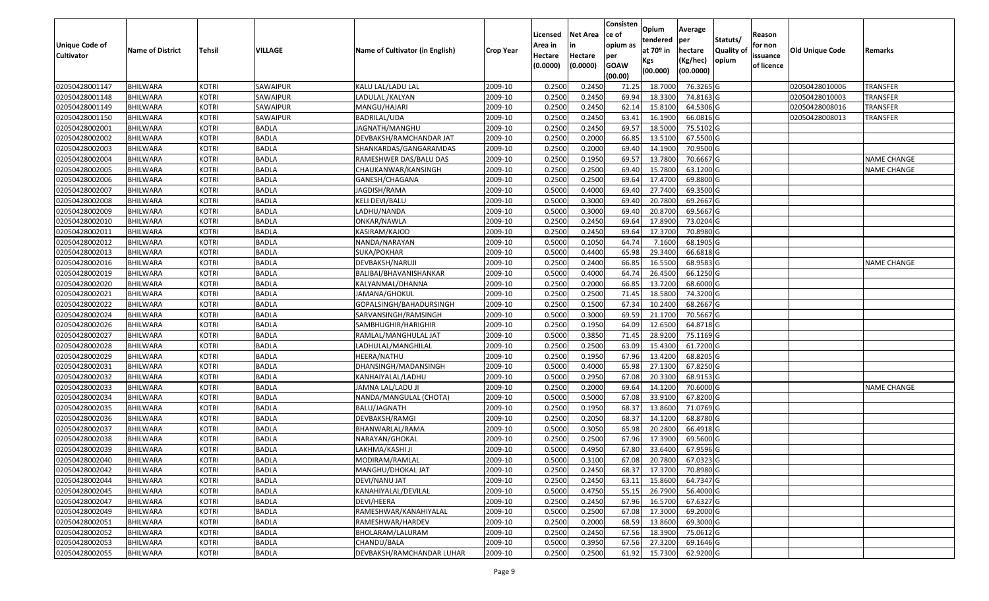| <b>Unique Code of</b><br><b>Cultivator</b> | <b>Name of District</b> | <b>Tehsil</b> | VILLAGE      | Name of Cultivator (in English) | Crop Year | Licensed<br>Area in<br>Hectare | <b>Net Area</b><br>in<br>Hectare | Consisten<br>ce of<br>opium as<br>per | Opium<br>tendered<br>at 70º in | Average<br><b>per</b><br>hectare<br>(Kg/hec) | Statuts/<br><b>Quality of</b><br>opium | Reason<br>for non<br>issuance | Old Unique Code | Remarks            |
|--------------------------------------------|-------------------------|---------------|--------------|---------------------------------|-----------|--------------------------------|----------------------------------|---------------------------------------|--------------------------------|----------------------------------------------|----------------------------------------|-------------------------------|-----------------|--------------------|
|                                            |                         |               |              |                                 |           | (0.0000)                       | (0.0000)                         | <b>GOAW</b><br>(00.00)                | Kgs<br>(00.000)                | (00.0000)                                    |                                        | of licence                    |                 |                    |
| 02050428001147                             | <b>BHILWARA</b>         | KOTRI         | SAWAIPUR     | KALU LAL/LADU LAL               | 2009-10   | 0.2500                         | 0.2450                           | 71.25                                 | 18.7000                        | 76.3265 G                                    |                                        |                               | 02050428010006  | <b>TRANSFER</b>    |
| 02050428001148                             | <b>BHILWARA</b>         | KOTRI         | SAWAIPUR     | LADULAL / KALYAN                | 2009-10   | 0.2500                         | 0.2450                           | 69.94                                 | 18.3300                        | 74.8163 G                                    |                                        |                               | 02050428010003  | TRANSFER           |
| 02050428001149                             | BHILWARA                | KOTRI         | SAWAIPUR     | MANGU/HAJARI                    | 2009-10   | 0.2500                         | 0.2450                           | 62.14                                 | 15.8100                        | 64.5306 G                                    |                                        |                               | 02050428008016  | TRANSFER           |
| 02050428001150                             | <b>BHILWARA</b>         | KOTRI         | SAWAIPUR     | BADRILAL/UDA                    | 2009-10   | 0.2500                         | 0.2450                           | 63.41                                 | 16.1900                        | 66.0816 G                                    |                                        |                               | 02050428008013  | <b>TRANSFER</b>    |
| 02050428002001                             | <b>BHILWARA</b>         | <b>KOTRI</b>  | BADLA        | JAGNATH/MANGHU                  | 2009-10   | 0.2500                         | 0.2450                           | 69.57                                 | 18.5000                        | 75.5102 G                                    |                                        |                               |                 |                    |
| 02050428002002                             | <b>BHILWARA</b>         | <b>KOTRI</b>  | <b>BADLA</b> | DEVBAKSH/RAMCHANDAR JAT         | 2009-10   | 0.2500                         | 0.2000                           | 66.85                                 | 13.5100                        | 67.5500 G                                    |                                        |                               |                 |                    |
| 02050428002003                             | <b>BHILWARA</b>         | <b>KOTRI</b>  | BADLA        | SHANKARDAS/GANGARAMDAS          | 2009-10   | 0.2500                         | 0.2000                           | 69.40                                 | 14.1900                        | 70.9500 G                                    |                                        |                               |                 |                    |
| 02050428002004                             | <b>BHILWARA</b>         | KOTRI         | <b>BADLA</b> | RAMESHWER DAS/BALU DAS          | 2009-10   | 0.2500                         | 0.1950                           | 69.57                                 | 13.7800                        | 70.6667 G                                    |                                        |                               |                 | <b>NAME CHANGE</b> |
| 02050428002005                             | <b>BHILWARA</b>         | <b>KOTRI</b>  | BADLA        | CHAUKANWAR/KANSINGH             | 2009-10   | 0.2500                         | 0.2500                           | 69.40                                 | 15.7800                        | 63.1200 G                                    |                                        |                               |                 | NAME CHANGE        |
| 02050428002006                             | <b>BHILWARA</b>         | <b>KOTRI</b>  | <b>BADLA</b> | GANESH/CHAGANA                  | 2009-10   | 0.2500                         | 0.2500                           | 69.64                                 | 17.4700                        | 69.8800 G                                    |                                        |                               |                 |                    |
| 02050428002007                             | <b>BHILWARA</b>         | KOTRI         | <b>BADLA</b> | JAGDISH/RAMA                    | 2009-10   | 0.5000                         | 0.4000                           | 69.40                                 | 27.7400                        | 69.3500 G                                    |                                        |                               |                 |                    |
| 02050428002008                             | <b>BHILWARA</b>         | <b>KOTRI</b>  | <b>BADLA</b> | KELI DEVI/BALU                  | 2009-10   | 0.5000                         | 0.3000                           | 69.40                                 | 20.7800                        | 69.2667 G                                    |                                        |                               |                 |                    |
| 02050428002009                             | <b>BHILWARA</b>         | <b>KOTRI</b>  | <b>BADLA</b> | LADHU/NANDA                     | 2009-10   | 0.5000                         | 0.3000                           | 69.40                                 | 20.8700                        | 69.5667 G                                    |                                        |                               |                 |                    |
| 02050428002010                             | <b>BHILWARA</b>         | <b>KOTRI</b>  | <b>BADLA</b> | ONKAR/NAWLA                     | 2009-10   | 0.2500                         | 0.2450                           | 69.64                                 | 17.8900                        | 73.0204 G                                    |                                        |                               |                 |                    |
| 02050428002011                             | <b>BHILWARA</b>         | KOTRI         | BADLA        | KASIRAM/KAJOD                   | 2009-10   | 0.2500                         | 0.2450                           | 69.64                                 | 17.3700                        | 70.8980 G                                    |                                        |                               |                 |                    |
| 02050428002012                             | <b>BHILWARA</b>         | <b>KOTRI</b>  | <b>BADLA</b> | NANDA/NARAYAN                   | 2009-10   | 0.5000                         | 0.1050                           | 64.74                                 | 7.1600                         | 68.1905 G                                    |                                        |                               |                 |                    |
| 02050428002013                             | <b>BHILWARA</b>         | <b>KOTRI</b>  | <b>BADLA</b> | SUKA/POKHAR                     | 2009-10   | 0.5000                         | 0.4400                           | 65.98                                 | 29.3400                        | 66.6818 G                                    |                                        |                               |                 |                    |
| 02050428002016                             | <b>BHILWARA</b>         | <b>KOTRI</b>  | <b>BADLA</b> | DEVBAKSH/NARUJI                 | 2009-10   | 0.2500                         | 0.2400                           | 66.85                                 | 16.5500                        | 68.9583 G                                    |                                        |                               |                 | <b>NAME CHANGE</b> |
| 02050428002019                             | <b>BHILWARA</b>         | <b>KOTRI</b>  | <b>BADLA</b> | BALIBAI/BHAVANISHANKAR          | 2009-10   | 0.5000                         | 0.4000                           | 64.74                                 | 26.4500                        | 66.1250 G                                    |                                        |                               |                 |                    |
| 02050428002020                             | <b>BHILWARA</b>         | KOTRI         | BADLA        | KALYANMAL/DHANNA                | 2009-10   | 0.2500                         | 0.2000                           | 66.85                                 | 13.7200                        | 68.6000 G                                    |                                        |                               |                 |                    |
| 02050428002021                             | <b>BHILWARA</b>         | <b>KOTRI</b>  | <b>BADLA</b> | JAMANA/GHOKUL                   | 2009-10   | 0.2500                         | 0.2500                           | 71.45                                 | 18.5800                        | 74.3200 G                                    |                                        |                               |                 |                    |
| 02050428002022                             | BHILWARA                | <b>KOTRI</b>  | BADLA        | GOPALSINGH/BAHADURSINGH         | 2009-10   | 0.2500                         | 0.1500                           | 67.34                                 | 10.2400                        | 68.2667 G                                    |                                        |                               |                 |                    |
| 02050428002024                             | <b>BHILWARA</b>         | KOTRI         | <b>BADLA</b> | SARVANSINGH/RAMSINGH            | 2009-10   | 0.5000                         | 0.3000                           | 69.59                                 | 21.1700                        | 70.5667 G                                    |                                        |                               |                 |                    |
| 02050428002026                             | <b>BHILWARA</b>         | KOTRI         | BADLA        | SAMBHUGHIR/HARIGHIR             | 2009-10   | 0.2500                         | 0.1950                           | 64.09                                 | 12.6500                        | 64.8718 G                                    |                                        |                               |                 |                    |
| 02050428002027                             | <b>BHILWARA</b>         | KOTRI         | <b>BADLA</b> | RAMLAL/MANGHULAL JAT            | 2009-10   | 0.5000                         | 0.3850                           | 71.45                                 | 28.9200                        | 75.1169 G                                    |                                        |                               |                 |                    |
| 02050428002028                             | <b>BHILWARA</b>         | KOTRI         | BADLA        | LADHULAL/MANGHILAL              | 2009-10   | 0.2500                         | 0.2500                           | 63.09                                 | 15.4300                        | 61.7200 G                                    |                                        |                               |                 |                    |
| 02050428002029                             | <b>BHILWARA</b>         | <b>KOTRI</b>  | <b>BADLA</b> | HEERA/NATHU                     | 2009-10   | 0.2500                         | 0.1950                           | 67.96                                 | 13.4200                        | 68.8205 G                                    |                                        |                               |                 |                    |
| 02050428002031                             | BHILWARA                | KOTRI         | <b>BADLA</b> | DHANSINGH/MADANSINGH            | 2009-10   | 0.5000                         | 0.4000                           | 65.98                                 | 27.1300                        | 67.8250 G                                    |                                        |                               |                 |                    |
| 02050428002032                             | <b>BHILWARA</b>         | <b>KOTRI</b>  | <b>BADLA</b> | KANHAIYALAL/LADHU               | 2009-10   | 0.5000                         | 0.2950                           | 67.08                                 | 20.3300                        | 68.9153 G                                    |                                        |                               |                 |                    |
| 02050428002033                             | <b>BHILWARA</b>         | <b>KOTRI</b>  | <b>BADLA</b> | JAMNA LAL/LADU JI               | 2009-10   | 0.2500                         | 0.2000                           | 69.64                                 | 14.1200                        | 70.6000 G                                    |                                        |                               |                 | <b>NAME CHANGE</b> |
| 02050428002034                             | <b>BHILWARA</b>         | <b>KOTRI</b>  | <b>BADLA</b> | NANDA/MANGULAL (CHOTA)          | 2009-10   | 0.5000                         | 0.5000                           | 67.08                                 | 33.9100                        | 67.8200 G                                    |                                        |                               |                 |                    |
| 02050428002035                             | <b>BHILWARA</b>         | KOTRI         | BADLA        | BALU/JAGNATH                    | 2009-10   | 0.2500                         | 0.1950                           | 68.37                                 | 13.8600                        | 71.0769 G                                    |                                        |                               |                 |                    |
| 02050428002036                             | <b>BHILWARA</b>         | KOTRI         | <b>BADLA</b> | DEVBAKSH/RAMGI                  | 2009-10   | 0.2500                         | 0.2050                           | 68.37                                 | 14.1200                        | 68.8780 G                                    |                                        |                               |                 |                    |
| 02050428002037                             | <b>BHILWARA</b>         | KOTRI         | BADLA        | BHANWARLAL/RAMA                 | 2009-10   | 0.5000                         | 0.3050                           | 65.98                                 | 20.2800                        | 66.4918 G                                    |                                        |                               |                 |                    |
| 02050428002038                             | <b>BHILWARA</b>         | KOTRI         | <b>BADLA</b> | NARAYAN/GHOKAL                  | 2009-10   | 0.2500                         | 0.2500                           | 67.96                                 | 17.3900                        | 69.5600 G                                    |                                        |                               |                 |                    |
| 02050428002039                             | <b>BHILWARA</b>         | KOTRI         | BADLA        | LAKHMA/KASHI JI                 | 2009-10   | 0.5000                         | 0.4950                           | 67.80                                 | 33.6400                        | 67.9596 G                                    |                                        |                               |                 |                    |
| 02050428002040                             | <b>BHILWARA</b>         | <b>KOTRI</b>  | <b>BADLA</b> | MODIRAM/RAMLAL                  | 2009-10   | 0.5000                         | 0.3100                           | 67.08                                 |                                | 20.7800 67.0323 G                            |                                        |                               |                 |                    |
| 02050428002042                             | <b>BHILWARA</b>         | <b>KOTRI</b>  | <b>BADLA</b> | MANGHU/DHOKAL JAT               | 2009-10   | 0.2500                         | 0.2450                           | 68.37                                 | 17.3700                        | 70.8980G                                     |                                        |                               |                 |                    |
| 02050428002044                             | <b>BHILWARA</b>         | <b>KOTRI</b>  | <b>BADLA</b> | DEVI/NANU JAT                   | 2009-10   | 0.2500                         | 0.2450                           | 63.11                                 | 15.8600                        | 64.7347 G                                    |                                        |                               |                 |                    |
| 02050428002045                             | <b>BHILWARA</b>         | <b>KOTRI</b>  | <b>BADLA</b> | KANAHIYALAL/DEVILAL             | 2009-10   | 0.5000                         | 0.4750                           | 55.15                                 | 26.7900                        | 56.4000 G                                    |                                        |                               |                 |                    |
| 02050428002047                             | <b>BHILWARA</b>         | <b>KOTRI</b>  | <b>BADLA</b> | DEVI/HEERA                      | 2009-10   | 0.2500                         | 0.2450                           | 67.96                                 | 16.5700                        | 67.6327 G                                    |                                        |                               |                 |                    |
| 02050428002049                             | <b>BHILWARA</b>         | <b>KOTRI</b>  | <b>BADLA</b> | RAMESHWAR/KANAHIYALAL           | 2009-10   | 0.5000                         | 0.2500                           | 67.08                                 | 17.3000                        | 69.2000 G                                    |                                        |                               |                 |                    |
| 02050428002051                             | <b>BHILWARA</b>         | <b>KOTRI</b>  | <b>BADLA</b> | RAMESHWAR/HARDEV                | 2009-10   | 0.2500                         | 0.2000                           | 68.59                                 | 13.8600                        | 69.3000 G                                    |                                        |                               |                 |                    |
| 02050428002052                             | <b>BHILWARA</b>         | <b>KOTRI</b>  | <b>BADLA</b> | BHOLARAM/LALURAM                | 2009-10   | 0.2500                         | 0.2450                           | 67.56                                 | 18.3900                        | 75.0612 G                                    |                                        |                               |                 |                    |
| 02050428002053                             | <b>BHILWARA</b>         | <b>KOTRI</b>  | <b>BADLA</b> | CHANDU/BALA                     | 2009-10   | 0.5000                         | 0.3950                           | 67.56                                 | 27.3200                        | 69.1646 G                                    |                                        |                               |                 |                    |
| 02050428002055                             | <b>BHILWARA</b>         | <b>KOTRI</b>  | BADLA        | DEVBAKSH/RAMCHANDAR LUHAR       | 2009-10   | 0.2500                         | 0.2500                           | 61.92                                 | 15.7300                        | 62.9200 G                                    |                                        |                               |                 |                    |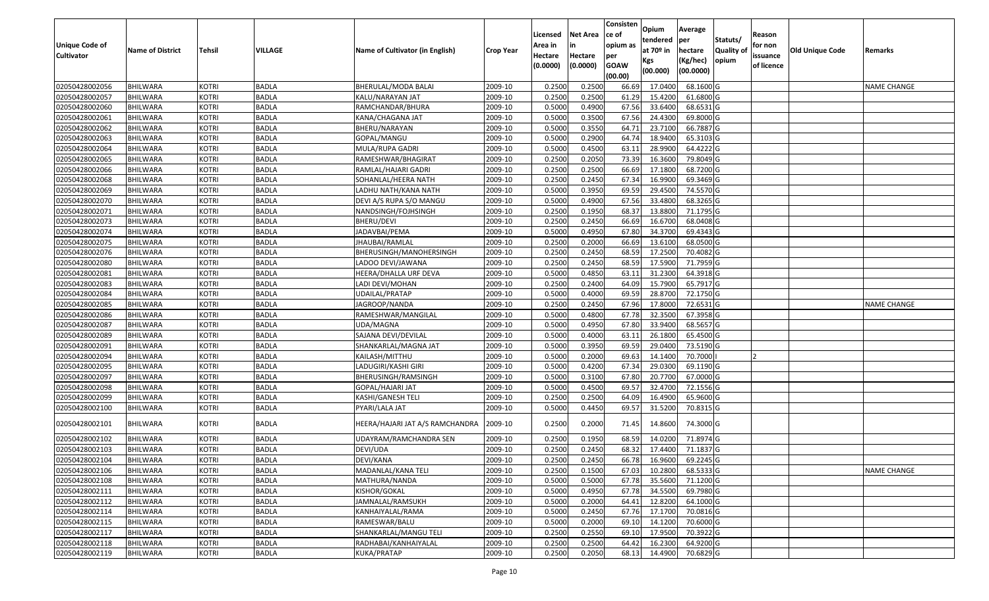| Unique Code of<br><b>Cultivator</b> | <b>Name of District</b> | <b>Tehsil</b> | VILLAGE      | Name of Cultivator (in English) | <b>Crop Year</b> | Licensed<br>Area in<br>Hectare | <b>Net Area</b><br>Hectare | Consisten<br>lce of<br>opium as<br>per | Opium<br>tendered<br>at $70°$ in | Average<br>per<br>hectare | Statuts/<br><b>Quality o</b> | Reason<br>for non<br>issuance | Old Unique Code | Remarks            |
|-------------------------------------|-------------------------|---------------|--------------|---------------------------------|------------------|--------------------------------|----------------------------|----------------------------------------|----------------------------------|---------------------------|------------------------------|-------------------------------|-----------------|--------------------|
|                                     |                         |               |              |                                 |                  | (0.0000)                       | (0.0000)                   | <b>GOAW</b><br>(00.00)                 | Kgs<br>(00.000)                  | (Kg/hec)<br>(00.0000)     | opium                        | of licence                    |                 |                    |
| 02050428002056                      | <b>BHILWARA</b>         | <b>KOTRI</b>  | <b>BADLA</b> | BHERULAL/MODA BALAI             | 2009-10          | 0.2500                         | 0.2500                     | 66.69                                  | 17.0400                          | 68.1600 G                 |                              |                               |                 | <b>NAME CHANGE</b> |
| 02050428002057                      | <b>BHILWARA</b>         | <b>KOTRI</b>  | <b>BADLA</b> | KALU/NARAYAN JAT                | 2009-10          | 0.2500                         | 0.2500                     | 61.29                                  | 15.4200                          | 61.6800 G                 |                              |                               |                 |                    |
| 02050428002060                      | BHILWARA                | <b>KOTRI</b>  | <b>BADLA</b> | RAMCHANDAR/BHURA                | 2009-10          | 0.5000                         | 0.4900                     | 67.56                                  | 33.6400                          | 68.6531 G                 |                              |                               |                 |                    |
| 02050428002061                      | <b>BHILWARA</b>         | <b>KOTRI</b>  | <b>BADLA</b> | KANA/CHAGANA JAT                | 2009-10          | 0.5000                         | 0.3500                     | 67.56                                  | 24.4300                          | 69.8000 G                 |                              |                               |                 |                    |
| 02050428002062                      | BHILWARA                | <b>KOTRI</b>  | <b>BADLA</b> | BHERU/NARAYAN                   | 2009-10          | 0.5000                         | 0.3550                     | 64.7                                   | 23.7100                          | 66.7887 G                 |                              |                               |                 |                    |
| 02050428002063                      | <b>BHILWARA</b>         | <b>KOTRI</b>  | <b>BADLA</b> | GOPAL/MANGU                     | 2009-10          | 0.5000                         | 0.2900                     | 64.7                                   | 18.9400                          | 65.3103 G                 |                              |                               |                 |                    |
| 02050428002064                      | BHILWARA                | <b>KOTRI</b>  | <b>BADLA</b> | MULA/RUPA GADRI                 | 2009-10          | 0.5000                         | 0.4500                     | 63.1                                   | 28.9900                          | 64.4222 G                 |                              |                               |                 |                    |
| 02050428002065                      | <b>BHILWARA</b>         | <b>KOTRI</b>  | <b>BADLA</b> | RAMESHWAR/BHAGIRAT              | 2009-10          | 0.2500                         | 0.2050                     | 73.39                                  | 16.3600                          | 79.8049 G                 |                              |                               |                 |                    |
| 02050428002066                      | <b>BHILWARA</b>         | <b>KOTRI</b>  | <b>BADLA</b> | RAMLAL/HAJARI GADRI             | 2009-10          | 0.2500                         | 0.2500                     | 66.69                                  | 17.1800                          | 68.7200 G                 |                              |                               |                 |                    |
| 02050428002068                      | <b>BHILWARA</b>         | <b>KOTRI</b>  | <b>BADLA</b> | SOHANLAL/HEERA NATH             | 2009-10          | 0.2500                         | 0.2450                     | 67.34                                  | 16.9900                          | 69.3469 G                 |                              |                               |                 |                    |
| 02050428002069                      | BHILWARA                | <b>KOTRI</b>  | <b>BADLA</b> | LADHU NATH/KANA NATH            | 2009-10          | 0.5000                         | 0.3950                     | 69.59                                  | 29.4500                          | 74.5570 G                 |                              |                               |                 |                    |
| 02050428002070                      | <b>BHILWARA</b>         | <b>KOTRI</b>  | <b>BADLA</b> | DEVI A/S RUPA S/O MANGU         | 2009-10          | 0.5000                         | 0.4900                     | 67.56                                  | 33.4800                          | 68.3265 G                 |                              |                               |                 |                    |
| 02050428002071                      | <b>BHILWARA</b>         | <b>KOTRI</b>  | <b>BADLA</b> | NANDSINGH/FOJHSINGH             | 2009-10          | 0.2500                         | 0.1950                     | 68.37                                  | 13.8800                          | 71.1795 G                 |                              |                               |                 |                    |
| 02050428002073                      | <b>BHILWARA</b>         | <b>KOTRI</b>  | <b>BADLA</b> | BHERU/DEVI                      | 2009-10          | 0.2500                         | 0.2450                     | 66.69                                  | 16.6700                          | 68.0408 G                 |                              |                               |                 |                    |
| 02050428002074                      | BHILWARA                | <b>KOTRI</b>  | <b>BADLA</b> | JADAVBAI/PEMA                   | 2009-10          | 0.5000                         | 0.4950                     | 67.80                                  | 34.3700                          | 69.4343 G                 |                              |                               |                 |                    |
| 02050428002075                      | <b>BHILWARA</b>         | <b>KOTRI</b>  | <b>BADLA</b> | JHAUBAI/RAMLAL                  | 2009-10          | 0.2500                         | 0.2000                     | 66.69                                  | 13.6100                          | 68.0500G                  |                              |                               |                 |                    |
| 02050428002076                      | <b>BHILWARA</b>         | <b>KOTRI</b>  | <b>BADLA</b> | BHERUSINGH/MANOHERSINGH         | 2009-10          | 0.2500                         | 0.2450                     | 68.59                                  | 17.2500                          | 70.4082G                  |                              |                               |                 |                    |
| 02050428002080                      | BHILWARA                | <b>KOTRI</b>  | <b>BADLA</b> | LADOO DEVI/JAWANA               | 2009-10          | 0.2500                         | 0.2450                     | 68.59                                  | 17.5900                          | 71.7959 G                 |                              |                               |                 |                    |
| 02050428002081                      | <b>BHILWARA</b>         | <b>KOTRI</b>  | <b>BADLA</b> | HEERA/DHALLA URF DEVA           | 2009-10          | 0.5000                         | 0.4850                     | 63.1                                   | 31.2300                          | 64.3918 G                 |                              |                               |                 |                    |
| 02050428002083                      | BHILWARA                | <b>KOTRI</b>  | <b>BADLA</b> | LADI DEVI/MOHAN                 | 2009-10          | 0.2500                         | 0.2400                     | 64.09                                  | 15.7900                          | 65.7917 G                 |                              |                               |                 |                    |
| 02050428002084                      | <b>BHILWARA</b>         | <b>KOTRI</b>  | <b>BADLA</b> | UDAILAL/PRATAP                  | 2009-10          | 0.5000                         | 0.4000                     | 69.59                                  | 28.8700                          | 72.1750 G                 |                              |                               |                 |                    |
| 02050428002085                      | <b>BHILWARA</b>         | <b>KOTRI</b>  | <b>BADLA</b> | JAGROOP/NANDA                   | 2009-10          | 0.250                          | 0.2450                     | 67.96                                  | 17.800                           | 72.6531 G                 |                              |                               |                 | <b>NAME CHANGE</b> |
| 02050428002086                      | <b>BHILWARA</b>         | <b>KOTRI</b>  | <b>BADLA</b> | RAMESHWAR/MANGILAL              | 2009-10          | 0.5000                         | 0.4800                     | 67.78                                  | 32.3500                          | 67.3958 G                 |                              |                               |                 |                    |
| 02050428002087                      | <b>BHILWARA</b>         | <b>KOTRI</b>  | <b>BADLA</b> | UDA/MAGNA                       | 2009-10          | 0.5000                         | 0.4950                     | 67.8                                   | 33.9400                          | 68.5657 G                 |                              |                               |                 |                    |
| 02050428002089                      | <b>BHILWARA</b>         | <b>KOTRI</b>  | <b>BADLA</b> | SAJANA DEVI/DEVILAL             | 2009-10          | 0.5000                         | 0.4000                     | 63.1                                   | 26.1800                          | 65.4500 G                 |                              |                               |                 |                    |
| 02050428002091                      | BHILWARA                | <b>KOTRI</b>  | <b>BADLA</b> | SHANKARLAL/MAGNA JAT            | 2009-10          | 0.5000                         | 0.3950                     | 69.59                                  | 29.0400                          | 73.5190 G                 |                              |                               |                 |                    |
| 02050428002094                      | <b>BHILWARA</b>         | <b>KOTRI</b>  | <b>BADLA</b> | KAILASH/MITTHU                  | 2009-10          | 0.5000                         | 0.2000                     | 69.63                                  | 14.1400                          | 70.7000                   |                              |                               |                 |                    |
| 02050428002095                      | BHILWARA                | <b>KOTRI</b>  | <b>BADLA</b> | LADUGIRI/KASHI GIRI             | 2009-10          | 0.5000                         | 0.4200                     | 67.34                                  | 29.0300                          | 69.1190 G                 |                              |                               |                 |                    |
| 02050428002097                      | <b>BHILWARA</b>         | <b>KOTRI</b>  | <b>BADLA</b> | BHERUSINGH/RAMSINGH             | 2009-10          | 0.5000                         | 0.3100                     | 67.80                                  | 20.7700                          | 67.0000 G                 |                              |                               |                 |                    |
| 02050428002098                      | <b>BHILWARA</b>         | <b>KOTRI</b>  | <b>BADLA</b> | GOPAL/HAJARI JAT                | 2009-10          | 0.5000                         | 0.4500                     | 69.5                                   | 32.4700                          | 72.1556 G                 |                              |                               |                 |                    |
| 02050428002099                      | <b>BHILWARA</b>         | <b>KOTRI</b>  | <b>BADLA</b> | KASHI/GANESH TELI               | 2009-10          | 0.250                          | 0.2500                     | 64.09                                  | 16.4900                          | 65.9600 G                 |                              |                               |                 |                    |
| 02050428002100                      | BHILWARA                | <b>KOTRI</b>  | <b>BADLA</b> | PYARI/LALA JAT                  | 2009-10          | 0.5000                         | 0.4450                     | 69.57                                  | 31.5200                          | 70.8315 G                 |                              |                               |                 |                    |
| 02050428002101                      | BHILWARA                | <b>KOTRI</b>  | <b>BADLA</b> | HEERA/HAJARI JAT A/S RAMCHANDRA | 2009-10          | 0.2500                         | 0.2000                     | 71.45                                  | 14.8600                          | 74.3000 G                 |                              |                               |                 |                    |
| 02050428002102                      | BHILWARA                | <b>KOTRI</b>  | <b>BADLA</b> | UDAYRAM/RAMCHANDRA SEN          | 2009-10          | 0.250                          | 0.1950                     | 68.59                                  | 14.0200                          | 71.8974 G                 |                              |                               |                 |                    |
| 02050428002103                      | BHILWARA                | <b>KOTRI</b>  | <b>BADLA</b> | DEVI/UDA                        | 2009-10          | 0.2500                         | 0.2450                     | 68.32                                  | 17.4400                          | 71.1837 G                 |                              |                               |                 |                    |
| 02050428002104                      | <b>BHILWARA</b>         | <b>KOTRI</b>  | <b>BADLA</b> | DEVI/KANA                       | 2009-10          | 0.2500                         | 0.2450                     |                                        | 66.78 16.9600                    | 69.2245 G                 |                              |                               |                 |                    |
| 02050428002106                      | <b>BHILWARA</b>         | <b>KOTRI</b>  | <b>BADLA</b> | MADANLAL/KANA TELI              | 2009-10          | 0.2500                         | 0.1500                     | 67.03                                  | 10.2800                          | 68.5333 G                 |                              |                               |                 | <b>NAME CHANGE</b> |
| 02050428002108                      | <b>BHILWARA</b>         | <b>KOTRI</b>  | <b>BADLA</b> | MATHURA/NANDA                   | 2009-10          | 0.5000                         | 0.5000                     | 67.78                                  | 35.5600                          | 71.1200 G                 |                              |                               |                 |                    |
| 02050428002111                      | <b>BHILWARA</b>         | <b>KOTRI</b>  | <b>BADLA</b> | KISHOR/GOKAL                    | 2009-10          | 0.5000                         | 0.4950                     | 67.78                                  | 34.5500                          | 69.7980 G                 |                              |                               |                 |                    |
| 02050428002112                      | <b>BHILWARA</b>         | <b>KOTRI</b>  | <b>BADLA</b> | JAMNALAL/RAMSUKH                | 2009-10          | 0.5000                         | 0.2000                     | 64.41                                  | 12.8200                          | 64.1000 G                 |                              |                               |                 |                    |
| 02050428002114                      | <b>BHILWARA</b>         | <b>KOTRI</b>  | <b>BADLA</b> | KANHAIYALAL/RAMA                | 2009-10          | 0.5000                         | 0.2450                     | 67.76                                  | 17.1700                          | 70.0816 G                 |                              |                               |                 |                    |
| 02050428002115                      | <b>BHILWARA</b>         | <b>KOTRI</b>  | <b>BADLA</b> | RAMESWAR/BALU                   | 2009-10          | 0.5000                         | 0.2000                     | 69.10                                  | 14.1200                          | 70.6000 G                 |                              |                               |                 |                    |
| 02050428002117                      | <b>BHILWARA</b>         | <b>KOTRI</b>  | <b>BADLA</b> | SHANKARLAL/MANGU TELI           | 2009-10          | 0.2500                         | 0.2550                     | 69.10                                  | 17.9500                          | 70.3922 G                 |                              |                               |                 |                    |
| 02050428002118                      | <b>BHILWARA</b>         | <b>KOTRI</b>  | <b>BADLA</b> | RADHABAI/KANHAIYALAL            | 2009-10          | 0.2500                         | 0.2500                     | 64.42                                  | 16.2300                          | 64.9200 G                 |                              |                               |                 |                    |
| 02050428002119                      | <b>BHILWARA</b>         | <b>KOTRI</b>  | <b>BADLA</b> | KUKA/PRATAP                     | 2009-10          | 0.2500                         | 0.2050                     | 68.13                                  | 14.4900                          | 70.6829 G                 |                              |                               |                 |                    |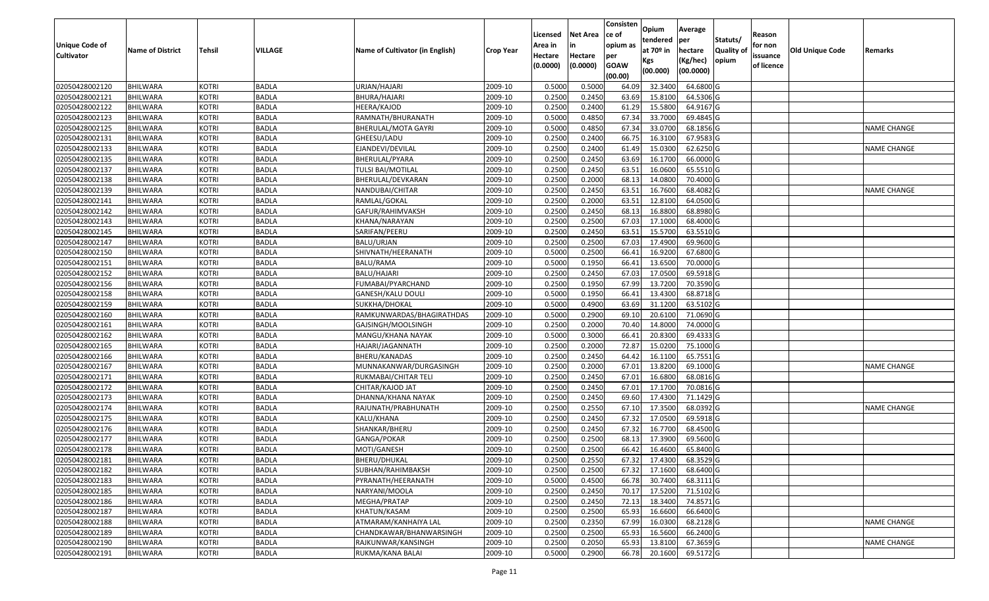| <b>Unique Code of</b><br><b>Cultivator</b> | <b>Name of District</b> | <b>Tehsil</b> | VILLAGE      | Name of Cultivator (in English) | <b>Crop Year</b> | Licensed<br>Area in<br>Hectare<br>(0.0000) | <b>Net Area</b><br>in<br>Hectare<br>(0.0000) | Consisten<br>ce of<br>opium as<br>per<br><b>GOAW</b><br>(00.00) | <b>Opium</b><br>tendered<br>at 70 <sup>o</sup> in<br>Kgs<br>(00.000) | Average<br><b>per</b><br>hectare<br>(Kg/hec)<br>(00.0000) | Statuts/<br><b>Quality of</b><br>opium | Reason<br>for non<br>issuance<br>of licence | <b>Old Unique Code</b> | Remarks            |
|--------------------------------------------|-------------------------|---------------|--------------|---------------------------------|------------------|--------------------------------------------|----------------------------------------------|-----------------------------------------------------------------|----------------------------------------------------------------------|-----------------------------------------------------------|----------------------------------------|---------------------------------------------|------------------------|--------------------|
| 02050428002120                             | <b>BHILWARA</b>         | KOTRI         | BADLA        | URJAN/HAJARI                    | 2009-10          | 0.5000                                     | 0.5000                                       | 64.09                                                           | 32.3400                                                              | 64.6800 G                                                 |                                        |                                             |                        |                    |
| 02050428002121                             | <b>BHILWARA</b>         | KOTRI         | BADLA        | BHURA/HAJARI                    | 2009-10          | 0.2500                                     | 0.2450                                       | 63.69                                                           | 15.8100                                                              | 64.5306 G                                                 |                                        |                                             |                        |                    |
| 02050428002122                             | <b>BHILWARA</b>         | <b>KOTRI</b>  | <b>BADLA</b> | HEERA/KAJOD                     | 2009-10          | 0.2500                                     | 0.2400                                       | 61.29                                                           | 15.5800                                                              | 64.9167 G                                                 |                                        |                                             |                        |                    |
| 02050428002123                             | <b>BHILWARA</b>         | KOTRI         | <b>BADLA</b> | RAMNATH/BHURANATH               | 2009-10          | 0.5000                                     | 0.4850                                       | 67.34                                                           | 33.7000                                                              | 69.4845 G                                                 |                                        |                                             |                        |                    |
| 02050428002125                             | <b>BHILWARA</b>         | KOTRI         | <b>BADLA</b> | BHERULAL/MOTA GAYRI             | 2009-10          | 0.5000                                     | 0.4850                                       | 67.34                                                           | 33.0700                                                              | 68.1856 G                                                 |                                        |                                             |                        | <b>NAME CHANGE</b> |
| 02050428002131                             | <b>BHILWARA</b>         | <b>KOTRI</b>  | <b>BADLA</b> | GHEESU/LADU                     | 2009-10          | 0.2500                                     | 0.2400                                       | 66.7                                                            | 16.3100                                                              | 67.9583 G                                                 |                                        |                                             |                        |                    |
| 02050428002133                             | <b>BHILWARA</b>         | KOTRI         | <b>BADLA</b> | EJANDEVI/DEVILAL                | 2009-10          | 0.2500                                     | 0.2400                                       | 61.49                                                           | 15.0300                                                              | 62.6250 G                                                 |                                        |                                             |                        | NAME CHANGE        |
| 02050428002135                             | <b>BHILWARA</b>         | KOTRI         | <b>BADLA</b> | BHERULAL/PYARA                  | 2009-10          | 0.2500                                     | 0.2450                                       | 63.69                                                           | 16.1700                                                              | 66.0000 G                                                 |                                        |                                             |                        |                    |
| 02050428002137                             | <b>BHILWARA</b>         | KOTRI         | <b>BADLA</b> | TULSI BAI/MOTILAL               | 2009-10          | 0.2500                                     | 0.2450                                       | 63.51                                                           | 16.0600                                                              | 65.5510 G                                                 |                                        |                                             |                        |                    |
| 02050428002138                             | <b>BHILWARA</b>         | KOTRI         | <b>BADLA</b> | BHERULAL/DEVKARAN               | 2009-10          | 0.2500                                     | 0.2000                                       | 68.1                                                            | 14.0800                                                              | 70.4000 G                                                 |                                        |                                             |                        |                    |
| 02050428002139                             | <b>BHILWARA</b>         | KOTRI         | <b>BADLA</b> | NANDUBAI/CHITAR                 | 2009-10          | 0.2500                                     | 0.2450                                       | 63.51                                                           | 16.7600                                                              | 68.4082 G                                                 |                                        |                                             |                        | <b>NAME CHANGE</b> |
| 02050428002141                             | <b>BHILWARA</b>         | KOTRI         | <b>BADLA</b> | RAMLAL/GOKAL                    | 2009-10          | 0.2500                                     | 0.2000                                       | 63.51                                                           | 12.8100                                                              | 64.0500 G                                                 |                                        |                                             |                        |                    |
| 02050428002142                             | <b>BHILWARA</b>         | <b>KOTRI</b>  | <b>BADLA</b> | GAFUR/RAHIMVAKSH                | 2009-10          | 0.2500                                     | 0.2450                                       | 68.1                                                            | 16.8800                                                              | 68.8980 G                                                 |                                        |                                             |                        |                    |
| 02050428002143                             | <b>BHILWARA</b>         | <b>KOTRI</b>  | <b>BADLA</b> | KHANA/NARAYAN                   | 2009-10          | 0.2500                                     | 0.2500                                       | 67.03                                                           | 17.1000                                                              | 68.4000 G                                                 |                                        |                                             |                        |                    |
| 02050428002145                             | BHILWARA                | KOTRI         | BADLA        | SARIFAN/PEERU                   | 2009-10          | 0.2500                                     | 0.2450                                       | 63.51                                                           | 15.5700                                                              | 63.5510 G                                                 |                                        |                                             |                        |                    |
| 02050428002147                             | <b>BHILWARA</b>         | <b>KOTRI</b>  | <b>BADLA</b> | BALU/URJAN                      | 2009-10          | 0.2500                                     | 0.2500                                       | 67.03                                                           | 17.4900                                                              | 69.9600 G                                                 |                                        |                                             |                        |                    |
| 02050428002150                             | <b>BHILWARA</b>         | <b>KOTRI</b>  | <b>BADLA</b> | SHIVNATH/HEERANATH              | 2009-10          | 0.5000                                     | 0.2500                                       | 66.41                                                           | 16.9200                                                              | 67.6800 G                                                 |                                        |                                             |                        |                    |
| 02050428002151                             | <b>BHILWARA</b>         | <b>KOTRI</b>  | <b>BADLA</b> | <b>BALU/RAMA</b>                | 2009-10          | 0.5000                                     | 0.1950                                       | 66.41                                                           | 13.6500                                                              | 70.0000 G                                                 |                                        |                                             |                        |                    |
| 02050428002152                             | <b>BHILWARA</b>         | KOTRI         | BADLA        | BALU/HAJARI                     | 2009-10          | 0.2500                                     | 0.2450                                       | 67.03                                                           | 17.0500                                                              | 69.5918 G                                                 |                                        |                                             |                        |                    |
| 02050428002156                             | <b>BHILWARA</b>         | <b>KOTRI</b>  | <b>BADLA</b> | FUMABAI/PYARCHAND               | 2009-10          | 0.2500                                     | 0.1950                                       | 67.99                                                           | 13.7200                                                              | 70.3590 G                                                 |                                        |                                             |                        |                    |
| 02050428002158                             | <b>BHILWARA</b>         | <b>KOTRI</b>  | <b>BADLA</b> | GANESH/KALU DOULI               | 2009-10          | 0.5000                                     | 0.1950                                       | 66.41                                                           | 13.4300                                                              | 68.8718 G                                                 |                                        |                                             |                        |                    |
| 02050428002159                             | <b>BHILWARA</b>         | <b>KOTRI</b>  | <b>BADLA</b> | SUKKHA/DHOKAL                   | 2009-10          | 0.5000                                     | 0.4900                                       | 63.69                                                           | 31.1200                                                              | 63.5102 G                                                 |                                        |                                             |                        |                    |
| 02050428002160                             | <b>BHILWARA</b>         | KOTRI         | BADLA        | RAMKUNWARDAS/BHAGIRATHDAS       | 2009-10          | 0.5000                                     | 0.2900                                       | 69.10                                                           | 20.6100                                                              | 71.0690 G                                                 |                                        |                                             |                        |                    |
| 02050428002161                             | <b>BHILWARA</b>         | <b>KOTRI</b>  | <b>BADLA</b> | GAJSINGH/MOOLSINGH              | 2009-10          | 0.2500                                     | 0.2000                                       | 70.40                                                           | 14.8000                                                              | 74.0000 G                                                 |                                        |                                             |                        |                    |
| 02050428002162                             | <b>BHILWARA</b>         | <b>KOTRI</b>  | <b>BADLA</b> | MANGU/KHANA NAYAK               | 2009-10          | 0.5000                                     | 0.3000                                       | 66.41                                                           | 20.8300                                                              | 69.4333 G                                                 |                                        |                                             |                        |                    |
| 02050428002165                             | <b>BHILWARA</b>         | KOTRI         | <b>BADLA</b> | HAJARI/JAGANNATH                | 2009-10          | 0.2500                                     | 0.2000                                       | 72.87                                                           | 15.0200                                                              | 75.1000 G                                                 |                                        |                                             |                        |                    |
| 02050428002166                             | <b>BHILWARA</b>         | KOTRI         | <b>BADLA</b> | BHERU/KANADAS                   | 2009-10          | 0.2500                                     | 0.2450                                       | 64.42                                                           | 16.1100                                                              | 65.7551 G                                                 |                                        |                                             |                        |                    |
| 02050428002167                             | <b>BHILWARA</b>         | KOTRI         | <b>BADLA</b> | MUNNAKANWAR/DURGASINGH          | 2009-10          | 0.2500                                     | 0.2000                                       | 67.01                                                           | 13.8200                                                              | 69.1000 G                                                 |                                        |                                             |                        | <b>NAME CHANGE</b> |
| 02050428002171                             | <b>BHILWARA</b>         | KOTRI         | <b>BADLA</b> | RUKMABAI/CHITAR TELI            | 2009-10          | 0.2500                                     | 0.2450                                       | 67.01                                                           | 16.6800                                                              | 68.0816 G                                                 |                                        |                                             |                        |                    |
| 02050428002172                             | <b>BHILWARA</b>         | <b>KOTRI</b>  | <b>BADLA</b> | CHITAR/KAJOD JAT                | 2009-10          | 0.2500                                     | 0.2450                                       | 67.01                                                           | 17.1700                                                              | 70.0816 G                                                 |                                        |                                             |                        |                    |
| 02050428002173                             | <b>BHILWARA</b>         | KOTRI         | <b>BADLA</b> | DHANNA/KHANA NAYAK              | 2009-10          | 0.2500                                     | 0.2450                                       | 69.60                                                           | 17.4300                                                              | 71.1429 G                                                 |                                        |                                             |                        |                    |
| 02050428002174                             | <b>BHILWARA</b>         | KOTRI         | <b>BADLA</b> | RAJUNATH/PRABHUNATH             | 2009-10          | 0.2500                                     | 0.2550                                       | 67.10                                                           | 17.3500                                                              | 68.0392 G                                                 |                                        |                                             |                        | NAME CHANGE        |
| 02050428002175                             | <b>BHILWARA</b>         | KOTRI         | <b>BADLA</b> | KALU/KHANA                      | 2009-10          | 0.2500                                     | 0.2450                                       | 67.32                                                           | 17.0500                                                              | 69.5918 G                                                 |                                        |                                             |                        |                    |
| 02050428002176                             | <b>BHILWARA</b>         | KOTRI         | BADLA        | SHANKAR/BHERU                   | 2009-10          | 0.2500                                     | 0.2450                                       | 67.32                                                           | 16.7700                                                              | 68.4500 G                                                 |                                        |                                             |                        |                    |
| 02050428002177                             | <b>BHILWARA</b>         | Kotri         | BADLA        | GANGA/POKAR                     | 2009-10          | 0.2500                                     | 0.2500                                       | 68.1                                                            | 17.3900                                                              | 69.5600 G                                                 |                                        |                                             |                        |                    |
| 02050428002178                             | <b>BHILWARA</b>         | KOTRI         | <b>BADLA</b> | MOTI/GANESH                     | 2009-10          | 0.2500                                     | 0.2500                                       | 66.42                                                           | 16.4600                                                              | 65.8400 G                                                 |                                        |                                             |                        |                    |
| 02050428002181                             | BHILWARA                | KOTRI         | <b>BADLA</b> | <b>BHERU/DHUKAL</b>             | 2009-10          | 0.2500                                     | 0.2550                                       | 67.32                                                           | 17.4300                                                              | 68.3529 G                                                 |                                        |                                             |                        |                    |
| 02050428002182                             | <b>BHILWARA</b>         | <b>KOTRI</b>  | BADLA        | SUBHAN/RAHIMBAKSH               | 2009-10          | 0.2500                                     | 0.2500                                       | 67.32                                                           | 17.1600                                                              | 68.6400 G                                                 |                                        |                                             |                        |                    |
| 02050428002183                             | <b>BHILWARA</b>         | <b>KOTRI</b>  | <b>BADLA</b> | PYRANATH/HEERANATH              | 2009-10          | 0.5000                                     | 0.4500                                       | 66.78                                                           | 30.7400                                                              | 68.3111 G                                                 |                                        |                                             |                        |                    |
| 02050428002185                             | <b>BHILWARA</b>         | <b>KOTRI</b>  | <b>BADLA</b> | NARYANI/MOOLA                   | 2009-10          | 0.2500                                     | 0.2450                                       | 70.17                                                           | 17.5200                                                              | 71.5102 G                                                 |                                        |                                             |                        |                    |
| 02050428002186                             | <b>BHILWARA</b>         | <b>KOTRI</b>  | <b>BADLA</b> | MEGHA/PRATAP                    | 2009-10          | 0.2500                                     | 0.2450                                       | 72.13                                                           | 18.3400                                                              | 74.8571 G                                                 |                                        |                                             |                        |                    |
| 02050428002187                             | <b>BHILWARA</b>         | <b>KOTRI</b>  | <b>BADLA</b> | KHATUN/KASAM                    | 2009-10          | 0.2500                                     | 0.2500                                       | 65.93                                                           | 16.6600                                                              | 66.6400 G                                                 |                                        |                                             |                        |                    |
| 02050428002188                             | <b>BHILWARA</b>         | <b>KOTRI</b>  | <b>BADLA</b> | ATMARAM/KANHAIYA LAL            | 2009-10          | 0.2500                                     | 0.2350                                       | 67.99                                                           | 16.0300                                                              | 68.2128 G                                                 |                                        |                                             |                        | <b>NAME CHANGE</b> |
| 02050428002189                             | BHILWARA                | <b>KOTRI</b>  | <b>BADLA</b> | CHANDKAWAR/BHANWARSINGH         | 2009-10          | 0.2500                                     | 0.2500                                       | 65.93                                                           | 16.5600                                                              | 66.2400 G                                                 |                                        |                                             |                        |                    |
| 02050428002190                             | <b>BHILWARA</b>         | <b>KOTRI</b>  | <b>BADLA</b> | RAJKUNWAR/KANSINGH              | 2009-10          | 0.2500                                     | 0.2050                                       | 65.93                                                           | 13.8100                                                              | 67.3659 G                                                 |                                        |                                             |                        | <b>NAME CHANGE</b> |
| 02050428002191                             | BHILWARA                | <b>KOTRI</b>  | BADLA        | RUKMA/KANA BALAI                | 2009-10          | 0.5000                                     | 0.2900                                       | 66.78                                                           | 20.1600                                                              | 69.5172 G                                                 |                                        |                                             |                        |                    |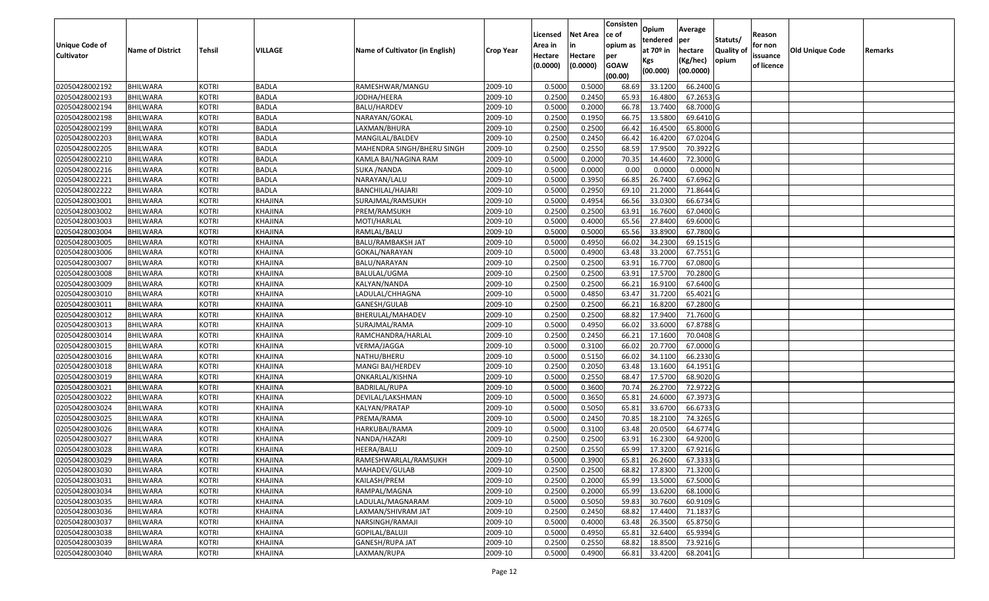| Unique Code of<br><b>Cultivator</b> | <b>Name of District</b> | Tehsil       | <b>VILLAGE</b> | Name of Cultivator (in English) | <b>Crop Year</b> | Licensed<br>Area in<br>Hectare<br>(0.0000) | Net Area<br>Hectare<br>(0.0000) | Consisten<br>ce of<br>opium as<br>per<br><b>GOAW</b><br>(00.00) | Opium<br>tendered<br>at 70 <sup>o</sup> in<br>Kgs<br>(00.000) | Average<br>per<br>hectare<br>(Kg/hec)<br>(00.0000) | Statuts/<br>Quality of<br>opium | Reason<br>for non<br>issuance<br>of licence | Old Unique Code | Remarks |
|-------------------------------------|-------------------------|--------------|----------------|---------------------------------|------------------|--------------------------------------------|---------------------------------|-----------------------------------------------------------------|---------------------------------------------------------------|----------------------------------------------------|---------------------------------|---------------------------------------------|-----------------|---------|
| 02050428002192                      | <b>BHILWARA</b>         | <b>KOTRI</b> | <b>BADLA</b>   | RAMESHWAR/MANGU                 | 2009-10          | 0.5000                                     | 0.5000                          | 68.69                                                           | 33.1200                                                       | 66.2400 G                                          |                                 |                                             |                 |         |
| 02050428002193                      | <b>BHILWARA</b>         | <b>KOTRI</b> | <b>BADLA</b>   | JODHA/HEERA                     | 2009-10          | 0.2500                                     | 0.2450                          | 65.93                                                           | 16.4800                                                       | 67.2653 G                                          |                                 |                                             |                 |         |
| 02050428002194                      | <b>BHILWARA</b>         | <b>KOTRI</b> | <b>BADLA</b>   | BALU/HARDEV                     | 2009-10          | 0.5000                                     | 0.2000                          | 66.78                                                           | 13.7400                                                       | 68.7000 G                                          |                                 |                                             |                 |         |
| 02050428002198                      | <b>BHILWARA</b>         | <b>KOTRI</b> | <b>BADLA</b>   | NARAYAN/GOKAL                   | 2009-10          | 0.2500                                     | 0.1950                          | 66.75                                                           | 13.5800                                                       | 69.6410 G                                          |                                 |                                             |                 |         |
| 02050428002199                      | <b>BHILWARA</b>         | <b>KOTRI</b> | <b>BADLA</b>   | LAXMAN/BHURA                    | 2009-10          | 0.2500                                     | 0.2500                          | 66.42                                                           | 16.4500                                                       | 65.8000 G                                          |                                 |                                             |                 |         |
| 02050428002203                      | <b>BHILWARA</b>         | <b>KOTRI</b> | <b>BADLA</b>   | MANGILAL/BALDEV                 | 2009-10          | 0.2500                                     | 0.2450                          | 66.42                                                           | 16.4200                                                       | 67.0204 G                                          |                                 |                                             |                 |         |
| 02050428002205                      | <b>BHILWARA</b>         | <b>KOTRI</b> | <b>BADLA</b>   | MAHENDRA SINGH/BHERU SINGH      | 2009-10          | 0.2500                                     | 0.2550                          | 68.59                                                           | 17.9500                                                       | 70.3922 G                                          |                                 |                                             |                 |         |
| 02050428002210                      | <b>BHILWARA</b>         | <b>KOTRI</b> | <b>BADLA</b>   | KAMLA BAI/NAGINA RAM            | 2009-10          | 0.5000                                     | 0.2000                          | 70.35                                                           | 14.4600                                                       | 72.3000 G                                          |                                 |                                             |                 |         |
| 02050428002216                      | <b>BHILWARA</b>         | <b>KOTRI</b> | <b>BADLA</b>   | <b>SUKA /NANDA</b>              | 2009-10          | 0.5000                                     | 0.0000                          | 0.00                                                            | 0.0000                                                        | 0.0000N                                            |                                 |                                             |                 |         |
| 02050428002221                      | <b>BHILWARA</b>         | <b>KOTRI</b> | <b>BADLA</b>   | NARAYAN/LALU                    | 2009-10          | 0.5000                                     | 0.3950                          | 66.85                                                           | 26.7400                                                       | 67.6962 G                                          |                                 |                                             |                 |         |
| 02050428002222                      | <b>BHILWARA</b>         | <b>KOTRI</b> | <b>BADLA</b>   | BANCHILAL/HAJARI                | 2009-10          | 0.5000                                     | 0.2950                          | 69.10                                                           | 21.2000                                                       | 71.8644 G                                          |                                 |                                             |                 |         |
| 02050428003001                      | <b>BHILWARA</b>         | <b>KOTRI</b> | <b>KHAJINA</b> | SURAJMAL/RAMSUKH                | 2009-10          | 0.5000                                     | 0.4954                          | 66.56                                                           | 33.0300                                                       | 66.6734 G                                          |                                 |                                             |                 |         |
| 02050428003002                      | <b>BHILWARA</b>         | <b>KOTRI</b> | <b>KHAJINA</b> | <b>PREM/RAMSUKH</b>             | 2009-10          | 0.2500                                     | 0.2500                          | 63.91                                                           | 16.7600                                                       | 67.0400 G                                          |                                 |                                             |                 |         |
| 02050428003003                      | <b>BHILWARA</b>         | <b>KOTRI</b> | <b>KHAJINA</b> | MOTI/HARLAL                     | 2009-10          | 0.5000                                     | 0.4000                          | 65.56                                                           | 27.8400                                                       | 69.6000 G                                          |                                 |                                             |                 |         |
| 02050428003004                      | <b>BHILWARA</b>         | <b>KOTRI</b> | <b>KHAJINA</b> | RAMLAL/BALU                     | 2009-10          | 0.5000                                     | 0.5000                          | 65.56                                                           | 33.8900                                                       | 67.7800 G                                          |                                 |                                             |                 |         |
| 02050428003005                      | <b>BHILWARA</b>         | <b>KOTRI</b> | <b>KHAJINA</b> | <b>BALU/RAMBAKSH JAT</b>        | 2009-10          | 0.5000                                     | 0.4950                          | 66.02                                                           | 34.2300                                                       | 69.1515 G                                          |                                 |                                             |                 |         |
| 02050428003006                      | <b>BHILWARA</b>         | <b>KOTRI</b> | <b>KHAJINA</b> | GOKAL/NARAYAN                   | 2009-10          | 0.5000                                     | 0.4900                          | 63.48                                                           | 33.2000                                                       | 67.7551 G                                          |                                 |                                             |                 |         |
| 02050428003007                      | <b>BHILWARA</b>         | <b>KOTRI</b> | <b>KHAJINA</b> | BALU/NARAYAN                    | 2009-10          | 0.2500                                     | 0.2500                          | 63.91                                                           | 16.7700                                                       | 67.0800 G                                          |                                 |                                             |                 |         |
| 02050428003008                      | <b>BHILWARA</b>         | <b>KOTRI</b> | <b>KHAJINA</b> | BALULAL/UGMA                    | 2009-10          | 0.2500                                     | 0.2500                          | 63.91                                                           | 17.5700                                                       | 70.2800 G                                          |                                 |                                             |                 |         |
| 02050428003009                      | <b>BHILWARA</b>         | <b>KOTRI</b> | <b>KHAJINA</b> | KALYAN/NANDA                    | 2009-10          | 0.2500                                     | 0.2500                          | 66.21                                                           | 16.9100                                                       | 67.6400 G                                          |                                 |                                             |                 |         |
| 02050428003010                      | <b>BHILWARA</b>         | <b>KOTRI</b> | <b>KHAJINA</b> | LADULAL/CHHAGNA                 | 2009-10          | 0.5000                                     | 0.4850                          | 63.47                                                           | 31.7200                                                       | 65.4021 G                                          |                                 |                                             |                 |         |
| 02050428003011                      | <b>BHILWARA</b>         | <b>KOTRI</b> | <b>KHAJINA</b> | GANESH/GULAB                    | 2009-10          | 0.2500                                     | 0.2500                          | 66.21                                                           | 16.8200                                                       | 67.2800 G                                          |                                 |                                             |                 |         |
| 02050428003012                      | <b>BHILWARA</b>         | <b>KOTRI</b> | <b>KHAJINA</b> | BHERULAL/MAHADEV                | 2009-10          | 0.2500                                     | 0.2500                          | 68.82                                                           | 17.9400                                                       | 71.7600 G                                          |                                 |                                             |                 |         |
| 02050428003013                      | <b>BHILWARA</b>         | <b>KOTRI</b> | <b>KHAJINA</b> | SURAJMAL/RAMA                   | 2009-10          | 0.5000                                     | 0.4950                          | 66.02                                                           | 33.6000                                                       | 67.8788 G                                          |                                 |                                             |                 |         |
| 02050428003014                      | <b>BHILWARA</b>         | <b>KOTRI</b> | <b>KHAJINA</b> | RAMCHANDRA/HARLAL               | 2009-10          | 0.2500                                     | 0.2450                          | 66.21                                                           | 17.1600                                                       | 70.0408 G                                          |                                 |                                             |                 |         |
| 02050428003015                      | <b>BHILWARA</b>         | <b>KOTRI</b> | <b>KHAJINA</b> | VERMA/JAGGA                     | 2009-10          | 0.5000                                     | 0.3100                          | 66.02                                                           | 20.7700                                                       | 67.0000 G                                          |                                 |                                             |                 |         |
| 02050428003016                      | <b>BHILWARA</b>         | <b>KOTRI</b> | <b>KHAJINA</b> | NATHU/BHERU                     | 2009-10          | 0.5000                                     | 0.5150                          | 66.02                                                           | 34.1100                                                       | 66.2330 G                                          |                                 |                                             |                 |         |
| 02050428003018                      | <b>BHILWARA</b>         | <b>KOTRI</b> | <b>KHAJINA</b> | MANGI BAI/HERDEV                | 2009-10          | 0.2500                                     | 0.2050                          | 63.48                                                           | 13.1600                                                       | 64.1951 G                                          |                                 |                                             |                 |         |
| 02050428003019                      | <b>BHILWARA</b>         | <b>KOTRI</b> | <b>KHAJINA</b> | ONKARLAL/KISHNA                 | 2009-10          | 0.5000                                     | 0.2550                          | 68.47                                                           | 17.5700                                                       | 68.9020 G                                          |                                 |                                             |                 |         |
| 02050428003021                      | <b>BHILWARA</b>         | <b>KOTRI</b> | <b>KHAJINA</b> | <b>BADRILAL/RUPA</b>            | 2009-10          | 0.5000                                     | 0.3600                          | 70.74                                                           | 26.2700                                                       | 72.9722 G                                          |                                 |                                             |                 |         |
| 02050428003022                      | <b>BHILWARA</b>         | <b>KOTRI</b> | <b>KHAJINA</b> | DEVILAL/LAKSHMAN                | 2009-10          | 0.5000                                     | 0.3650                          | 65.81                                                           | 24.6000                                                       | 67.3973 G                                          |                                 |                                             |                 |         |
| 02050428003024                      | BHILWARA                | <b>KOTRI</b> | <b>KHAJINA</b> | KALYAN/PRATAP                   | 2009-10          | 0.5000                                     | 0.5050                          | 65.81                                                           | 33.6700                                                       | 66.6733 G                                          |                                 |                                             |                 |         |
| 02050428003025                      | <b>BHILWARA</b>         | <b>KOTRI</b> | <b>KHAJINA</b> | PREMA/RAMA                      | 2009-10          | 0.5000                                     | 0.2450                          | 70.85                                                           | 18.2100                                                       | 74.3265 G                                          |                                 |                                             |                 |         |
| 02050428003026                      | <b>BHILWARA</b>         | <b>KOTRI</b> | <b>KHAJINA</b> | HARKUBAI/RAMA                   | 2009-10          | 0.5000                                     | 0.3100                          | 63.48                                                           | 20.0500                                                       | 64.6774 G                                          |                                 |                                             |                 |         |
| 02050428003027                      | <b>BHILWARA</b>         | <b>KOTRI</b> | <b>KHAJINA</b> | NANDA/HAZARI                    | 2009-10          | 0.2500                                     | 0.2500                          | 63.91                                                           | 16.2300                                                       | 64.9200 G                                          |                                 |                                             |                 |         |
| 02050428003028                      | <b>BHILWARA</b>         | <b>KOTRI</b> | <b>KHAJINA</b> | HEERA/BALU                      | 2009-10          | 0.2500                                     | 0.2550                          | 65.99                                                           | 17.3200                                                       | 67.9216 G                                          |                                 |                                             |                 |         |
| 02050428003029                      | <b>BHILWARA</b>         | <b>KOTRI</b> | <b>KHAJINA</b> | RAMESHWARLAL/RAMSUKH            | 2009-10          | 0.5000                                     | 0.3900                          | 65.81                                                           | 26.2600                                                       | 67.3333 G                                          |                                 |                                             |                 |         |
| 02050428003030                      | <b>BHILWARA</b>         | <b>KOTRI</b> | <b>KHAJINA</b> | MAHADEV/GULAB                   | 2009-10          | 0.2500                                     | 0.2500                          | 68.82                                                           | 17.8300                                                       | 71.3200 G                                          |                                 |                                             |                 |         |
| 02050428003031                      | BHILWARA                | <b>KOTRI</b> | KHAJINA        | KAILASH/PREM                    | 2009-10          | 0.2500                                     | 0.2000                          | 65.99                                                           | 13.5000                                                       | 67.5000 G                                          |                                 |                                             |                 |         |
| 02050428003034                      | <b>BHILWARA</b>         | <b>KOTRI</b> | <b>KHAJINA</b> | RAMPAL/MAGNA                    | 2009-10          | 0.2500                                     | 0.2000                          | 65.99                                                           | 13.6200                                                       | 68.1000 G                                          |                                 |                                             |                 |         |
| 02050428003035                      | <b>BHILWARA</b>         | <b>KOTRI</b> | <b>KHAJINA</b> | LADULAL/MAGNARAM                | 2009-10          | 0.5000                                     | 0.5050                          | 59.83                                                           | 30.7600                                                       | 60.9109 G                                          |                                 |                                             |                 |         |
| 02050428003036                      | <b>BHILWARA</b>         | <b>KOTRI</b> | <b>KHAJINA</b> | LAXMAN/SHIVRAM JAT              | 2009-10          | 0.2500                                     | 0.2450                          | 68.82                                                           | 17.4400                                                       | 71.1837 G                                          |                                 |                                             |                 |         |
| 02050428003037                      | <b>BHILWARA</b>         | <b>KOTRI</b> | KHAJINA        | NARSINGH/RAMAJI                 | 2009-10          | 0.5000                                     | 0.4000                          | 63.48                                                           | 26.3500                                                       | 65.8750 G                                          |                                 |                                             |                 |         |
| 02050428003038                      | <b>BHILWARA</b>         | <b>KOTRI</b> | <b>KHAJINA</b> | <b>GOPILAL/BALUJI</b>           | 2009-10          | 0.5000                                     | 0.4950                          | 65.81                                                           | 32.6400                                                       | 65.9394 G                                          |                                 |                                             |                 |         |
| 02050428003039                      | <b>BHILWARA</b>         | <b>KOTRI</b> | <b>KHAJINA</b> | GANESH/RUPA JAT                 | 2009-10          | 0.2500                                     | 0.2550                          | 68.82                                                           | 18.8500                                                       | 73.9216 G                                          |                                 |                                             |                 |         |
| 02050428003040                      | BHILWARA                | <b>KOTRI</b> | <b>KHAJINA</b> | LAXMAN/RUPA                     | 2009-10          | 0.5000                                     | 0.4900                          | 66.81                                                           | 33.4200                                                       | 68.2041 G                                          |                                 |                                             |                 |         |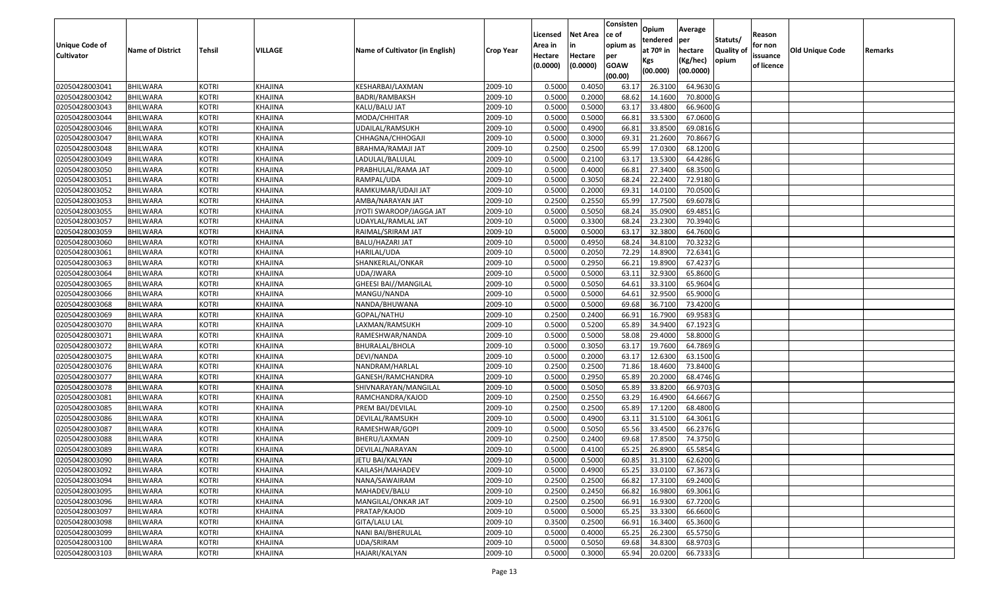|                   |                         |               |                |                                 |                  |          |                 | Consisten   | Opium         | Average   |                  |            |                        |         |
|-------------------|-------------------------|---------------|----------------|---------------------------------|------------------|----------|-----------------|-------------|---------------|-----------|------------------|------------|------------------------|---------|
|                   |                         |               |                |                                 |                  | Licensed | <b>Net Area</b> | ce of       | tendered      | per       | Statuts/         | Reason     |                        |         |
| Unique Code of    | <b>Name of District</b> | <b>Tehsil</b> | VILLAGE        | Name of Cultivator (in English) | <b>Crop Year</b> | Area in  |                 | opium as    | at $70°$ in   | hectare   | <b>Quality o</b> | for non    | <b>Old Unique Code</b> | Remarks |
| <b>Cultivator</b> |                         |               |                |                                 |                  | Hectare  | Hectare         | per         | Kgs           | (Kg/hec)  | opium            | issuance   |                        |         |
|                   |                         |               |                |                                 |                  | (0.0000) | (0.0000)        | <b>GOAW</b> | (00.000)      | (00.0000) |                  | of licence |                        |         |
|                   |                         |               |                |                                 |                  |          |                 | (00.00)     |               |           |                  |            |                        |         |
| 02050428003041    | <b>BHILWARA</b>         | <b>KOTRI</b>  | KHAJINA        | KESHARBAI/LAXMAN                | 2009-10          | 0.5000   | 0.4050          | 63.17       | 26.3100       | 64.9630 G |                  |            |                        |         |
| 02050428003042    | <b>BHILWARA</b>         | <b>KOTRI</b>  | KHAJINA        | BADRI/RAMBAKSH                  | 2009-10          | 0.5000   | 0.2000          | 68.62       | 14.1600       | 70.8000 G |                  |            |                        |         |
| 02050428003043    | BHILWARA                | <b>KOTRI</b>  | KHAJINA        | KALU/BALU JAT                   | 2009-10          | 0.5000   | 0.5000          | 63.17       | 33.4800       | 66.9600 G |                  |            |                        |         |
| 02050428003044    | <b>BHILWARA</b>         | <b>KOTRI</b>  | KHAJINA        | MODA/CHHITAR                    | 2009-10          | 0.5000   | 0.5000          | 66.81       | 33.5300       | 67.0600G  |                  |            |                        |         |
| 02050428003046    | BHILWARA                | <b>KOTRI</b>  | KHAJINA        | UDAILAL/RAMSUKH                 | 2009-10          | 0.5000   | 0.4900          | 66.8        | 33.8500       | 69.0816 G |                  |            |                        |         |
| 02050428003047    | <b>BHILWARA</b>         | <b>KOTRI</b>  | KHAJINA        | CHHAGNA/CHHOGAJI                | 2009-10          | 0.5000   | 0.3000          | 69.31       | 21.2600       | 70.8667 G |                  |            |                        |         |
| 02050428003048    | BHILWARA                | <b>KOTRI</b>  | KHAJINA        | BRAHMA/RAMAJI JAT               | 2009-10          | 0.2500   | 0.2500          | 65.99       | 17.0300       | 68.1200 G |                  |            |                        |         |
| 02050428003049    | <b>BHILWARA</b>         | <b>KOTRI</b>  | <b>KHAJINA</b> | LADULAL/BALULAL                 | 2009-10          | 0.5000   | 0.2100          | 63.17       | 13.5300       | 64.4286 G |                  |            |                        |         |
| 02050428003050    | <b>BHILWARA</b>         | <b>KOTRI</b>  | KHAJINA        | PRABHULAL/RAMA JAT              | 2009-10          | 0.5000   | 0.4000          | 66.8        | 27.3400       | 68.3500 G |                  |            |                        |         |
| 02050428003051    | <b>BHILWARA</b>         | <b>KOTRI</b>  | KHAJINA        | RAMPAL/UDA                      | 2009-10          | 0.5000   | 0.3050          | 68.24       | 22.2400       | 72.9180 G |                  |            |                        |         |
| 02050428003052    | BHILWARA                | <b>KOTRI</b>  | KHAJINA        | RAMKUMAR/UDAJI JAT              | 2009-10          | 0.5000   | 0.2000          | 69.31       | 14.0100       | 70.0500G  |                  |            |                        |         |
| 02050428003053    | <b>BHILWARA</b>         | <b>KOTRI</b>  | KHAJINA        | AMBA/NARAYAN JAT                | 2009-10          | 0.2500   | 0.2550          | 65.99       | 17.7500       | 69.6078 G |                  |            |                        |         |
| 02050428003055    | <b>BHILWARA</b>         | <b>KOTRI</b>  | KHAJINA        | JYOTI SWAROOP/JAGGA JAT         | 2009-10          | 0.5000   | 0.5050          | 68.24       | 35.0900       | 69.4851 G |                  |            |                        |         |
| 02050428003057    | <b>BHILWARA</b>         | <b>KOTRI</b>  | KHAJINA        | UDAYLAL/RAMLAL JAT              | 2009-10          | 0.5000   | 0.3300          | 68.24       | 23.2300       | 70.3940 G |                  |            |                        |         |
| 02050428003059    | BHILWARA                | <b>KOTRI</b>  | KHAJINA        | RAIMAL/SRIRAM JAT               | 2009-10          | 0.5000   | 0.5000          | 63.17       | 32.3800       | 64.7600 G |                  |            |                        |         |
| 02050428003060    | <b>BHILWARA</b>         | <b>KOTRI</b>  | KHAJINA        | BALU/HAZARI JAT                 | 2009-10          | 0.5000   | 0.4950          | 68.24       | 34.8100       | 70.3232 G |                  |            |                        |         |
| 02050428003061    | <b>BHILWARA</b>         | <b>KOTRI</b>  | KHAJINA        | HARILAL/UDA                     | 2009-10          | 0.5000   | 0.2050          | 72.29       | 14.8900       | 72.6341G  |                  |            |                        |         |
| 02050428003063    | BHILWARA                | <b>KOTRI</b>  | KHAJINA        | SHANKERLAL/ONKAR                | 2009-10          | 0.5000   | 0.2950          | 66.2        | 19.8900       | 67.4237 G |                  |            |                        |         |
| 02050428003064    | <b>BHILWARA</b>         | <b>KOTRI</b>  | KHAJINA        | UDA/JWARA                       | 2009-10          | 0.5000   | 0.5000          | 63.1        | 32.9300       | 65.8600 G |                  |            |                        |         |
| 02050428003065    | BHILWARA                | <b>KOTRI</b>  | KHAJINA        | GHEESI BAI//MANGILAL            | 2009-10          | 0.5000   | 0.5050          | 64.61       | 33.3100       | 65.9604 G |                  |            |                        |         |
| 02050428003066    | <b>BHILWARA</b>         | <b>KOTRI</b>  | KHAJINA        | MANGU/NANDA                     | 2009-10          | 0.5000   | 0.5000          | 64.6        | 32.9500       | 65.9000 G |                  |            |                        |         |
| 02050428003068    | <b>BHILWARA</b>         | <b>KOTRI</b>  | KHAJINA        | NANDA/BHUWANA                   | 2009-10          | 0.5000   | 0.5000          | 69.68       | 36.7100       | 73.4200 G |                  |            |                        |         |
| 02050428003069    | <b>BHILWARA</b>         | <b>KOTRI</b>  | KHAJINA        | GOPAL/NATHU                     | 2009-10          | 0.2500   | 0.2400          | 66.9        | 16.7900       | 69.9583 G |                  |            |                        |         |
| 02050428003070    | BHILWARA                | <b>KOTRI</b>  | KHAJINA        | LAXMAN/RAMSUKH                  | 2009-10          | 0.5000   | 0.5200          | 65.89       | 34.9400       | 67.1923 G |                  |            |                        |         |
| 02050428003071    | <b>BHILWARA</b>         | <b>KOTRI</b>  | <b>KHAJINA</b> | RAMESHWAR/NANDA                 | 2009-10          | 0.5000   | 0.5000          | 58.08       | 29.4000       | 58.8000 G |                  |            |                        |         |
| 02050428003072    | BHILWARA                | <b>KOTRI</b>  | KHAJINA        | BHURALAL/BHOLA                  | 2009-10          | 0.5000   | 0.3050          | 63.17       | 19.7600       | 64.7869 G |                  |            |                        |         |
| 02050428003075    | <b>BHILWARA</b>         | <b>KOTRI</b>  | KHAJINA        | DEVI/NANDA                      | 2009-10          | 0.5000   | 0.2000          | 63.17       | 12.6300       | 63.1500 G |                  |            |                        |         |
| 02050428003076    | BHILWARA                | <b>KOTRI</b>  | KHAJINA        | NANDRAM/HARLAL                  | 2009-10          | 0.2500   | 0.2500          | 71.86       | 18.4600       | 73.8400 G |                  |            |                        |         |
| 02050428003077    | <b>BHILWARA</b>         | <b>KOTRI</b>  | KHAJINA        | GANESH/RAMCHANDRA               | 2009-10          | 0.5000   | 0.2950          | 65.89       | 20.2000       | 68.4746 G |                  |            |                        |         |
| 02050428003078    | <b>BHILWARA</b>         | <b>KOTRI</b>  | KHAJINA        | SHIVNARAYAN/MANGILAL            | 2009-10          | 0.5000   | 0.5050          | 65.89       | 33.8200       | 66.9703 G |                  |            |                        |         |
| 02050428003081    | <b>BHILWARA</b>         | <b>KOTRI</b>  | KHAJINA        | RAMCHANDRA/KAJOD                | 2009-10          | 0.2500   | 0.2550          | 63.29       | 16.4900       | 64.6667 G |                  |            |                        |         |
| 02050428003085    | BHILWARA                | <b>KOTRI</b>  | KHAJINA        | PREM BAI/DEVILAL                | 2009-10          | 0.2500   | 0.2500          | 65.89       | 17.1200       | 68.4800 G |                  |            |                        |         |
| 02050428003086    | <b>BHILWARA</b>         | <b>KOTRI</b>  | KHAJINA        | DEVILAL/RAMSUKH                 | 2009-10          | 0.5000   | 0.4900          | 63.1        | 31.5100       | 64.3061G  |                  |            |                        |         |
| 02050428003087    | BHILWARA                | <b>KOTRI</b>  | KHAJINA        | RAMESHWAR/GOPI                  | 2009-10          | 0.5000   | 0.5050          | 65.56       | 33.4500       | 66.2376 G |                  |            |                        |         |
| 02050428003088    | BHILWARA                | <b>KOTRI</b>  | <b>KHAJINA</b> | BHERU/LAXMAN                    | 2009-10          | 0.250    | 0.2400          | 69.68       | 17.8500       | 74.3750 G |                  |            |                        |         |
| 02050428003089    | <b>BHILWARA</b>         | <b>KOTRI</b>  | KHAJINA        | DEVILAL/NARAYAN                 | 2009-10          | 0.5000   | 0.4100          | 65.25       | 26.8900       | 65.5854 G |                  |            |                        |         |
| 02050428003090    | <b>BHILWARA</b>         | <b>KOTRI</b>  | KHAJINA        | JETU BAI/KALYAN                 | 2009-10          | 0.5000   | 0.5000          |             | 60.85 31.3100 | 62.6200 G |                  |            |                        |         |
| 02050428003092    | <b>BHILWARA</b>         | <b>KOTRI</b>  | KHAJINA        | KAILASH/MAHADEV                 | 2009-10          | 0.5000   | 0.4900          | 65.25       | 33.0100       | 67.3673 G |                  |            |                        |         |
| 02050428003094    | <b>BHILWARA</b>         | <b>KOTRI</b>  | KHAJINA        | NANA/SAWAIRAM                   | 2009-10          | 0.2500   | 0.2500          | 66.82       | 17.3100       | 69.2400 G |                  |            |                        |         |
| 02050428003095    | <b>BHILWARA</b>         | <b>KOTRI</b>  | KHAJINA        | MAHADEV/BALU                    | 2009-10          | 0.2500   | 0.2450          | 66.82       | 16.9800       | 69.3061 G |                  |            |                        |         |
| 02050428003096    | <b>BHILWARA</b>         | <b>KOTRI</b>  | KHAJINA        | MANGILAL/ONKAR JAT              | 2009-10          | 0.2500   | 0.2500          | 66.91       | 16.9300       | 67.7200 G |                  |            |                        |         |
| 02050428003097    | <b>BHILWARA</b>         | <b>KOTRI</b>  | KHAJINA        | PRATAP/KAJOD                    | 2009-10          | 0.5000   | 0.5000          | 65.25       | 33.3300       | 66.6600 G |                  |            |                        |         |
| 02050428003098    | <b>BHILWARA</b>         | <b>KOTRI</b>  | KHAJINA        | GITA/LALU LAL                   | 2009-10          | 0.3500   | 0.2500          | 66.91       | 16.3400       | 65.3600 G |                  |            |                        |         |
| 02050428003099    | <b>BHILWARA</b>         | <b>KOTRI</b>  | KHAJINA        | NANI BAI/BHERULAL               | 2009-10          | 0.5000   | 0.4000          | 65.25       | 26.2300       | 65.5750 G |                  |            |                        |         |
| 02050428003100    | <b>BHILWARA</b>         | <b>KOTRI</b>  | KHAJINA        | UDA/SRIRAM                      | 2009-10          | 0.5000   | 0.5050          | 69.68       | 34.8300       | 68.9703 G |                  |            |                        |         |
| 02050428003103    | <b>BHILWARA</b>         | <b>KOTRI</b>  | KHAJINA        | HAJARI/KALYAN                   | 2009-10          | 0.5000   | 0.3000          | 65.94       | 20.0200       | 66.7333 G |                  |            |                        |         |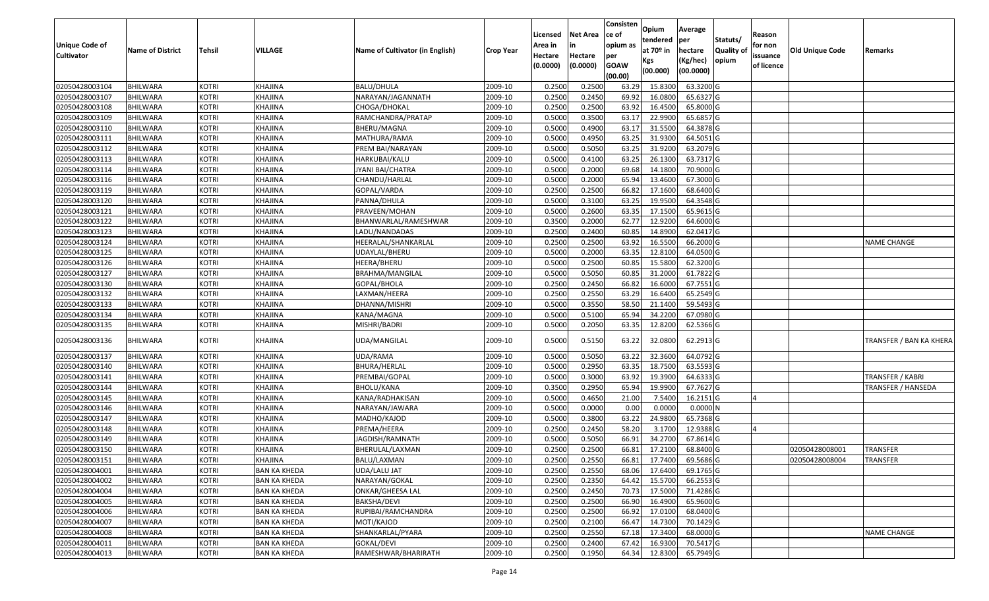| <b>Unique Code of</b><br><b>Cultivator</b> | <b>Name of District</b> | Tehsil       | VILLAGE             | Name of Cultivator (in English) | <b>Crop Year</b> | Licensed<br>Area in<br>Hectare | Net Area<br>in<br>Hectare | Consisten<br>ce of<br>opium as<br>per | Opium<br>tendered<br>at 70º in | Average<br>per<br>hectare | Statuts/<br><b>Quality of</b> | Reason<br>for non<br>issuance | Old Unique Code | Remarks                   |
|--------------------------------------------|-------------------------|--------------|---------------------|---------------------------------|------------------|--------------------------------|---------------------------|---------------------------------------|--------------------------------|---------------------------|-------------------------------|-------------------------------|-----------------|---------------------------|
|                                            |                         |              |                     |                                 |                  | (0.0000)                       | (0.0000)                  | <b>GOAW</b><br>(00.00)                | Kgs<br>(00.000)                | (Kg/hec)<br>(00.0000)     | opium                         | of licence                    |                 |                           |
| 02050428003104                             | <b>BHILWARA</b>         | <b>KOTRI</b> | KHAJINA             | <b>BALU/DHULA</b>               | 2009-10          | 0.2500                         | 0.2500                    | 63.29                                 | 15.8300                        | 63.3200 G                 |                               |                               |                 |                           |
| 02050428003107                             | <b>BHILWARA</b>         | <b>KOTRI</b> | KHAJINA             | NARAYAN/JAGANNATH               | 2009-10          | 0.2500                         | 0.2450                    | 69.92                                 | 16.0800                        | 65.6327 G                 |                               |                               |                 |                           |
| 02050428003108                             | BHILWARA                | <b>KOTRI</b> | KHAJINA             | CHOGA/DHOKAL                    | 2009-10          | 0.2500                         | 0.2500                    | 63.92                                 | 16.4500                        | 65.8000 G                 |                               |                               |                 |                           |
| 02050428003109                             | <b>BHILWARA</b>         | <b>KOTRI</b> | KHAJINA             | RAMCHANDRA/PRATAP               | 2009-10          | 0.5000                         | 0.3500                    | 63.17                                 | 22.9900                        | 65.6857 G                 |                               |                               |                 |                           |
| 02050428003110                             | BHILWARA                | <b>KOTRI</b> | KHAJINA             | BHERU/MAGNA                     | 2009-10          | 0.5000                         | 0.4900                    | 63.17                                 | 31.5500                        | 64.3878 G                 |                               |                               |                 |                           |
| 02050428003111                             | <b>BHILWARA</b>         | <b>KOTRI</b> | KHAJINA             | MATHURA/RAMA                    | 2009-10          | 0.5000                         | 0.4950                    | 63.25                                 | 31.9300                        | 64.5051 G                 |                               |                               |                 |                           |
| 02050428003112                             | BHILWARA                | <b>KOTRI</b> | KHAJINA             | PREM BAI/NARAYAN                | 2009-10          | 0.5000                         | 0.5050                    | 63.25                                 | 31.9200                        | 63.2079 G                 |                               |                               |                 |                           |
| 02050428003113                             | <b>BHILWARA</b>         | <b>KOTRI</b> | KHAJINA             | HARKUBAI/KALU                   | 2009-10          | 0.5000                         | 0.4100                    | 63.25                                 | 26.1300                        | 63.7317 G                 |                               |                               |                 |                           |
| 02050428003114                             | <b>BHILWARA</b>         | <b>KOTRI</b> | KHAJINA             | JYANI BAI/CHATRA                | 2009-10          | 0.5000                         | 0.2000                    | 69.68                                 | 14.1800                        | 70.9000 G                 |                               |                               |                 |                           |
| 02050428003116                             | <b>BHILWARA</b>         | <b>KOTRI</b> | KHAJINA             | CHANDU/HARLAL                   | 2009-10          | 0.5000                         | 0.2000                    | 65.94                                 | 13.4600                        | 67.3000 G                 |                               |                               |                 |                           |
| 02050428003119                             | <b>BHILWARA</b>         | <b>KOTRI</b> | KHAJINA             | GOPAL/VARDA                     | 2009-10          | 0.2500                         | 0.2500                    | 66.82                                 | 17.1600                        | 68.6400 G                 |                               |                               |                 |                           |
| 02050428003120                             | <b>BHILWARA</b>         | <b>KOTRI</b> | KHAJINA             | PANNA/DHULA                     | 2009-10          | 0.5000                         | 0.3100                    | 63.25                                 | 19.9500                        | 64.3548 G                 |                               |                               |                 |                           |
| 02050428003121                             | <b>BHILWARA</b>         | <b>KOTRI</b> | KHAJINA             | PRAVEEN/MOHAN                   | 2009-10          | 0.5000                         | 0.2600                    | 63.35                                 | 17.1500                        | 65.9615 G                 |                               |                               |                 |                           |
| 02050428003122                             | <b>BHILWARA</b>         | <b>KOTRI</b> | KHAJINA             | BHANWARLAL/RAMESHWAR            | 2009-10          | 0.3500                         | 0.2000                    | 62.77                                 | 12.9200                        | 64.6000 G                 |                               |                               |                 |                           |
| 02050428003123                             | BHILWARA                | <b>KOTRI</b> | KHAJINA             | LADU/NANDADAS                   | 2009-10          | 0.2500                         | 0.2400                    | 60.85                                 | 14.8900                        | 62.0417 G                 |                               |                               |                 |                           |
| 02050428003124                             | <b>BHILWARA</b>         | <b>KOTRI</b> | KHAJINA             | HEERALAL/SHANKARLAL             | 2009-10          | 0.2500                         | 0.2500                    | 63.92                                 | 16.5500                        | 66.2000 G                 |                               |                               |                 | NAME CHANGE               |
| 02050428003125                             | <b>BHILWARA</b>         | <b>KOTRI</b> | KHAJINA             | UDAYLAL/BHERU                   | 2009-10          | 0.5000                         | 0.2000                    | 63.35                                 | 12.8100                        | 64.0500 G                 |                               |                               |                 |                           |
| 02050428003126                             | <b>BHILWARA</b>         | <b>KOTRI</b> | KHAJINA             | HEERA/BHERU                     | 2009-10          | 0.5000                         | 0.2500                    | 60.85                                 | 15.5800                        | 62.3200 G                 |                               |                               |                 |                           |
| 02050428003127                             | <b>BHILWARA</b>         | <b>KOTRI</b> | KHAJINA             | BRAHMA/MANGILAL                 | 2009-10          | 0.5000                         | 0.5050                    | 60.85                                 | 31.2000                        | 61.7822 G                 |                               |                               |                 |                           |
| 02050428003130                             | <b>BHILWARA</b>         | <b>KOTRI</b> | KHAJINA             | GOPAL/BHOLA                     | 2009-10          | 0.2500                         | 0.2450                    | 66.82                                 | 16.6000                        | 67.7551 G                 |                               |                               |                 |                           |
| 02050428003132                             | <b>BHILWARA</b>         | <b>KOTRI</b> | <b>KHAJINA</b>      | LAXMAN/HEERA                    | 2009-10          | 0.2500                         | 0.2550                    | 63.29                                 | 16.6400                        | 65.2549 G                 |                               |                               |                 |                           |
| 02050428003133                             | <b>BHILWARA</b>         | <b>KOTRI</b> | KHAJINA             | DHANNA/MISHRI                   | 2009-10          | 0.5000                         | 0.3550                    | 58.50                                 | 21.1400                        | 59.5493 G                 |                               |                               |                 |                           |
| 02050428003134                             | <b>BHILWARA</b>         | <b>KOTRI</b> | KHAJINA             | KANA/MAGNA                      | 2009-10          | 0.5000                         | 0.5100                    | 65.94                                 | 34.2200                        | 67.0980 G                 |                               |                               |                 |                           |
| 02050428003135                             | BHILWARA                | <b>KOTRI</b> | KHAJINA             | MISHRI/BADRI                    | 2009-10          | 0.5000                         | 0.2050                    | 63.35                                 | 12.8200                        | 62.5366 G                 |                               |                               |                 |                           |
| 02050428003136                             | BHILWARA                | <b>KOTRI</b> | KHAJINA             | UDA/MANGILAL                    | 2009-10          | 0.5000                         | 0.5150                    | 63.22                                 | 32.0800                        | 62.2913 G                 |                               |                               |                 | TRANSFER / BAN KA KHERA   |
| 02050428003137                             | <b>BHILWARA</b>         | <b>KOTRI</b> | KHAJINA             | UDA/RAMA                        | 2009-10          | 0.5000                         | 0.5050                    | 63.22                                 | 32.3600                        | 64.0792 G                 |                               |                               |                 |                           |
| 02050428003140                             | <b>BHILWARA</b>         | <b>KOTRI</b> | KHAJINA             | BHURA/HERLAL                    | 2009-10          | 0.5000                         | 0.2950                    | 63.35                                 | 18.7500                        | 63.5593 G                 |                               |                               |                 |                           |
| 02050428003141                             | <b>BHILWARA</b>         | <b>KOTRI</b> | KHAJINA             | PREMBAI/GOPAL                   | 2009-10          | 0.5000                         | 0.3000                    | 63.92                                 | 19.3900                        | 64.6333 G                 |                               |                               |                 | TRANSFER / KABRI          |
| 02050428003144                             | <b>BHILWARA</b>         | <b>KOTRI</b> | KHAJINA             | BHOLU/KANA                      | 2009-10          | 0.3500                         | 0.2950                    | 65.94                                 | 19.9900                        | 67.7627 G                 |                               |                               |                 | <b>TRANSFER / HANSEDA</b> |
| 02050428003145                             | <b>BHILWARA</b>         | <b>KOTRI</b> | KHAJINA             | KANA/RADHAKISAN                 | 2009-10          | 0.5000                         | 0.4650                    | 21.00                                 | 7.5400                         | 16.2151 G                 |                               |                               |                 |                           |
| 02050428003146                             | <b>BHILWARA</b>         | <b>KOTRI</b> | KHAJINA             | NARAYAN/JAWARA                  | 2009-10          | 0.5000                         | 0.0000                    | 0.00                                  | 0.0000                         | 0.0000N                   |                               |                               |                 |                           |
| 02050428003147                             | <b>BHILWARA</b>         | <b>KOTRI</b> | KHAJINA             | MADHO/KAJOD                     | 2009-10          | 0.5000                         | 0.3800                    | 63.22                                 | 24.9800                        | 65.7368 G                 |                               |                               |                 |                           |
| 02050428003148                             | <b>BHILWARA</b>         | <b>KOTRI</b> | KHAJINA             | PREMA/HEERA                     | 2009-10          | 0.2500                         | 0.2450                    | 58.20                                 | 3.1700                         | 12.9388 G                 |                               | 4                             |                 |                           |
| 02050428003149                             | BHILWARA                | <b>KOTRI</b> | KHAJINA             | JAGDISH/RAMNATH                 | 2009-10          | 0.5000                         | 0.5050                    | 66.91                                 | 34.2700                        | 67.8614 G                 |                               |                               |                 |                           |
| 02050428003150                             | <b>BHILWARA</b>         | KOTRI        | KHAJINA             | BHERULAL/LAXMAN                 | 2009-10          | 0.2500                         | 0.2500                    | 66.81                                 | 17.2100                        | 68.8400 G                 |                               |                               | 02050428008001  | <b>TRANSFER</b>           |
| 02050428003151                             | <b>BHILWARA</b>         | <b>KOTRI</b> | KHAJINA             | BALU/LAXMAN                     | 2009-10          | 0.2500                         | 0.2550                    | 66.81                                 |                                | 17.7400 69.5686 G         |                               |                               | 02050428008004  | <b>TRANSFER</b>           |
| 02050428004001                             | <b>BHILWARA</b>         | <b>KOTRI</b> | <b>BAN KA KHEDA</b> | UDA/LALU JAT                    | 2009-10          | 0.2500                         | 0.2550                    | 68.06                                 | 17.6400                        | 69.1765 G                 |                               |                               |                 |                           |
| 02050428004002                             | <b>BHILWARA</b>         | <b>KOTRI</b> | <b>BAN KA KHEDA</b> | NARAYAN/GOKAL                   | 2009-10          | 0.2500                         | 0.2350                    | 64.42                                 | 15.5700                        | 66.2553 G                 |                               |                               |                 |                           |
| 02050428004004                             | <b>BHILWARA</b>         | <b>KOTRI</b> | <b>BAN KA KHEDA</b> | ONKAR/GHEESA LAL                | 2009-10          | 0.2500                         | 0.2450                    | 70.73                                 | 17.5000                        | 71.4286 G                 |                               |                               |                 |                           |
| 02050428004005                             | <b>BHILWARA</b>         | <b>KOTRI</b> | <b>BAN KA KHEDA</b> | BAKSHA/DEVI                     | 2009-10          | 0.2500                         | 0.2500                    | 66.90                                 | 16.4900                        | 65.9600 G                 |                               |                               |                 |                           |
| 02050428004006                             | <b>BHILWARA</b>         | <b>KOTRI</b> | <b>BAN KA KHEDA</b> | RUPIBAI/RAMCHANDRA              | 2009-10          | 0.2500                         | 0.2500                    | 66.92                                 | 17.0100                        | 68.0400 G                 |                               |                               |                 |                           |
| 02050428004007                             | <b>BHILWARA</b>         | <b>KOTRI</b> | <b>BAN KA KHEDA</b> | MOTI/KAJOD                      | 2009-10          | 0.2500                         | 0.2100                    | 66.47                                 | 14.7300                        | 70.1429 G                 |                               |                               |                 |                           |
| 02050428004008                             | <b>BHILWARA</b>         | <b>KOTRI</b> | <b>BAN KA KHEDA</b> | SHANKARLAL/PYARA                | 2009-10          | 0.2500                         | 0.2550                    | 67.18                                 | 17.3400                        | 68.0000 G                 |                               |                               |                 | NAME CHANGE               |
| 02050428004011                             | <b>BHILWARA</b>         | <b>KOTRI</b> | <b>BAN KA KHEDA</b> | GOKAL/DEVI                      | 2009-10          | 0.2500                         | 0.2400                    | 67.42                                 | 16.9300                        | 70.5417 G                 |                               |                               |                 |                           |
| 02050428004013                             | <b>BHILWARA</b>         | <b>KOTRI</b> | <b>BAN KA KHEDA</b> | RAMESHWAR/BHARIRATH             | 2009-10          | 0.2500                         | 0.1950                    | 64.34                                 | 12.8300                        | 65.7949 G                 |                               |                               |                 |                           |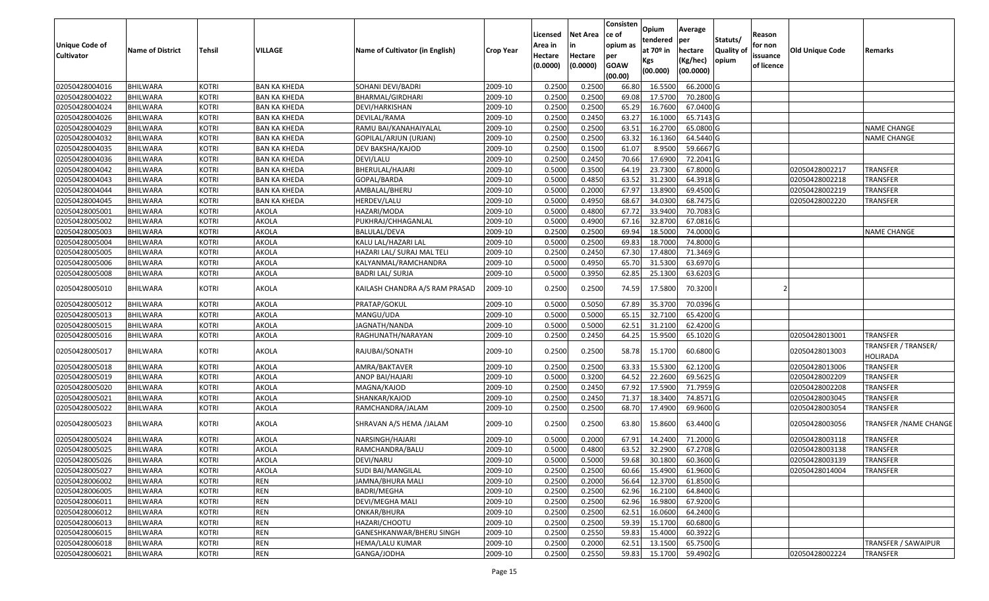| <b>Unique Code of</b><br><b>Cultivator</b> | <b>Name of District</b>     | <b>Tehsil</b>                | VILLAGE             | Name of Cultivator (in English)                           | <b>Crop Year</b>   | Licensed<br>Area in<br>Hectare<br>(0.0000) | Net Area<br>Hectare<br>(0.0000) | Consisten<br>ce of<br>opium as<br>per<br><b>GOAW</b><br>(00.00) | Opium<br>tendered<br>at 70º in<br>Kgs<br>(00.000) | Average<br>per<br>hectare<br>(Kg/hec)<br>(00.0000) | Statuts/<br><b>Quality of</b><br>opium | Reason<br>for non<br>issuance<br>of licence | Old Unique Code | Remarks                         |
|--------------------------------------------|-----------------------------|------------------------------|---------------------|-----------------------------------------------------------|--------------------|--------------------------------------------|---------------------------------|-----------------------------------------------------------------|---------------------------------------------------|----------------------------------------------------|----------------------------------------|---------------------------------------------|-----------------|---------------------------------|
| 02050428004016                             | <b>BHILWARA</b>             | <b>KOTRI</b>                 | <b>BAN KA KHEDA</b> | SOHANI DEVI/BADRI                                         | 2009-10            | 0.2500                                     | 0.2500                          | 66.80                                                           | 16.5500                                           | 66.2000 G                                          |                                        |                                             |                 |                                 |
| 02050428004022                             | BHILWARA                    | <b>KOTRI</b>                 | <b>BAN KA KHEDA</b> | BHARMAL/GIRDHARI                                          | 2009-10            | 0.2500                                     | 0.2500                          | 69.08                                                           | 17.5700                                           | 70.2800 G                                          |                                        |                                             |                 |                                 |
| 02050428004024                             | BHILWARA                    | <b>KOTRI</b>                 | BAN KA KHEDA        | DEVI/HARKISHAN                                            | 2009-10            | 0.2500                                     | 0.2500                          | 65.29                                                           | 16.7600                                           | 67.0400 G                                          |                                        |                                             |                 |                                 |
| 02050428004026                             | <b>BHILWARA</b>             | <b>KOTRI</b>                 | <b>BAN KA KHEDA</b> | DEVILAL/RAMA                                              | 2009-10            | 0.2500                                     | 0.2450                          | 63.27                                                           | 16.1000                                           | 65.7143 G                                          |                                        |                                             |                 |                                 |
| 02050428004029                             | BHILWARA                    | <b>KOTRI</b>                 | <b>BAN KA KHEDA</b> | RAMU BAI/KANAHAIYALAL                                     | 2009-10            | 0.2500                                     | 0.2500                          | 63.51                                                           | 16.2700                                           | 65.0800 G                                          |                                        |                                             |                 | NAME CHANGE                     |
| 02050428004032                             | <b>BHILWARA</b>             | <b>KOTRI</b>                 | <b>BAN KA KHEDA</b> | GOPILAL/ARJUN (URJAN)                                     | 2009-10            | 0.2500                                     | 0.2500                          | 63.32                                                           | 16.1360                                           | 64.5440 G                                          |                                        |                                             |                 | NAME CHANGE                     |
| 02050428004035                             | BHILWARA                    | <b>KOTRI</b>                 | BAN KA KHEDA        | DEV BAKSHA/KAJOD                                          | 2009-10            | 0.2500                                     | 0.1500                          | 61.07                                                           | 8.9500                                            | 59.6667 G                                          |                                        |                                             |                 |                                 |
| 02050428004036                             | <b>BHILWARA</b>             | <b>KOTRI</b>                 | <b>BAN KA KHEDA</b> | DEVI/LALU                                                 | 2009-10            | 0.2500                                     | 0.2450                          | 70.66                                                           | 17.6900                                           | 72.2041 G                                          |                                        |                                             |                 |                                 |
| 02050428004042                             | BHILWARA                    | <b>KOTRI</b>                 | <b>BAN KA KHEDA</b> | BHERULAL/HAJARI                                           | 2009-10            | 0.5000                                     | 0.3500                          | 64.19                                                           | 23.7300                                           | 67.8000 G                                          |                                        |                                             | 02050428002217  | <b>TRANSFER</b>                 |
| 02050428004043                             | BHILWARA                    | <b>KOTRI</b>                 | BAN KA KHEDA        | GOPAL/BARDA                                               | 2009-10            | 0.5000                                     | 0.4850                          | 63.52                                                           | 31.2300                                           | 64.3918 G                                          |                                        |                                             | 02050428002218  | TRANSFER                        |
| 02050428004044                             | BHILWARA                    | <b>KOTRI</b>                 | <b>BAN KA KHEDA</b> | AMBALAL/BHERU                                             | 2009-10            | 0.5000                                     | 0.2000                          | 67.97                                                           | 13.8900                                           | 69.4500 G                                          |                                        |                                             | 02050428002219  | TRANSFER                        |
| 02050428004045                             | <b>BHILWARA</b>             | <b>KOTRI</b>                 | <b>BAN KA KHEDA</b> | HERDEV/LALU                                               | 2009-10            | 0.5000                                     | 0.4950                          | 68.67                                                           | 34.0300                                           | 68.7475 G                                          |                                        |                                             | 02050428002220  | TRANSFER                        |
| 02050428005001                             | <b>BHILWARA</b>             | <b>KOTRI</b>                 | <b>AKOLA</b>        | HAZARI/MODA                                               | 2009-10            | 0.5000                                     | 0.4800                          | 67.72                                                           | 33.9400                                           | 70.7083 G                                          |                                        |                                             |                 |                                 |
| 02050428005002                             | BHILWARA                    | <b>KOTRI</b>                 | AKOLA               | PUKHRAJ/CHHAGANLAL                                        | 2009-10            | 0.5000                                     | 0.4900                          | 67.16                                                           | 32.8700                                           | 67.0816 G                                          |                                        |                                             |                 |                                 |
| 02050428005003                             | <b>BHILWARA</b>             | <b>KOTRI</b>                 | AKOLA               | BALULAL/DEVA                                              | 2009-10            | 0.2500                                     | 0.2500                          | 69.94                                                           | 18.5000                                           | 74.0000 G                                          |                                        |                                             |                 | <b>NAME CHANGE</b>              |
| 02050428005004                             | <b>BHILWARA</b>             | <b>KOTRI</b>                 | AKOLA               | KALU LAL/HAZARI LAL                                       | 2009-10            | 0.5000                                     | 0.2500                          | 69.83                                                           | 18.7000                                           | 74.8000 G                                          |                                        |                                             |                 |                                 |
| 02050428005005                             | <b>BHILWARA</b>             | <b>KOTRI</b>                 | AKOLA               | HAZARI LAL/ SURAJ MAL TELI                                | 2009-10            | 0.2500                                     | 0.2450                          | 67.30                                                           | 17.4800                                           | 71.3469 G                                          |                                        |                                             |                 |                                 |
| 02050428005006                             | <b>BHILWARA</b>             | <b>KOTRI</b>                 | AKOLA               | KALYANMAL/RAMCHANDRA                                      | 2009-10            | 0.5000                                     | 0.4950                          | 65.70                                                           | 31.5300                                           | 63.6970 G                                          |                                        |                                             |                 |                                 |
| 02050428005008<br>02050428005010           | BHILWARA<br><b>BHILWARA</b> | <b>KOTRI</b><br><b>KOTRI</b> | AKOLA<br>AKOLA      | <b>BADRI LAL/ SURJA</b><br>KAILASH CHANDRA A/S RAM PRASAD | 2009-10<br>2009-10 | 0.5000<br>0.2500                           | 0.3950<br>0.2500                | 62.85<br>74.59                                                  | 25.1300<br>17.5800                                | 63.6203 G<br>70.3200                               |                                        |                                             |                 |                                 |
| 02050428005012                             | BHILWARA                    | <b>KOTRI</b>                 | AKOLA               | PRATAP/GOKUL                                              | 2009-10            | 0.5000                                     | 0.5050                          | 67.89                                                           | 35.3700                                           | 70.0396 G                                          |                                        |                                             |                 |                                 |
| 02050428005013                             | <b>BHILWARA</b>             | <b>KOTRI</b>                 | AKOLA               | MANGU/UDA                                                 | 2009-10            | 0.5000                                     | 0.5000                          | 65.1                                                            | 32.7100                                           | 65.4200 G                                          |                                        |                                             |                 |                                 |
| 02050428005015                             | BHILWARA                    | <b>KOTRI</b>                 | AKOLA               | JAGNATH/NANDA                                             | 2009-10            | 0.5000                                     | 0.5000                          | 62.51                                                           | 31.2100                                           | 62.4200 G                                          |                                        |                                             |                 |                                 |
| 02050428005016                             | <b>BHILWARA</b>             | KOTRI                        | AKOLA               | RAGHUNATH/NARAYAN                                         | 2009-10            | 0.2500                                     | 0.2450                          | 64.25                                                           | 15.9500                                           | 65.1020 G                                          |                                        |                                             | 02050428013001  | <b>TRANSFER</b>                 |
| 02050428005017                             | BHILWARA                    | <b>KOTRI</b>                 | AKOLA               | RAJUBAI/SONATH                                            | 2009-10            | 0.2500                                     | 0.2500                          | 58.78                                                           | 15.1700                                           | 60.6800 G                                          |                                        |                                             | 02050428013003  | TRANSFER / TRANSER/<br>HOLIRADA |
| 02050428005018                             | BHILWARA                    | <b>KOTRI</b>                 | AKOLA               | AMRA/BAKTAVER                                             | 2009-10            | 0.2500                                     | 0.2500                          | 63.33                                                           | 15.5300                                           | 62.1200 G                                          |                                        |                                             | 02050428013006  | TRANSFER                        |
| 02050428005019                             | <b>BHILWARA</b>             | <b>KOTRI</b>                 | AKOLA               | ANOP BAI/HAJARI                                           | 2009-10            | 0.5000                                     | 0.3200                          | 64.52                                                           | 22.2600                                           | 69.5625 G                                          |                                        |                                             | 02050428002209  | <b>TRANSFER</b>                 |
| 02050428005020                             | BHILWARA                    | <b>KOTRI</b>                 | AKOLA               | MAGNA/KAJOD                                               | 2009-10            | 0.2500                                     | 0.2450                          | 67.92                                                           | 17.5900                                           | 71.7959 G                                          |                                        |                                             | 02050428002208  | <b>TRANSFER</b>                 |
| 02050428005021                             | BHILWARA                    | <b>KOTRI</b>                 | AKOLA               | SHANKAR/KAJOD                                             | 2009-10            | 0.2500                                     | 0.2450                          | 71.37                                                           | 18.3400                                           | 74.8571 G                                          |                                        |                                             | 02050428003045  | <b>TRANSFER</b>                 |
| 02050428005022                             | BHILWARA                    | <b>KOTRI</b>                 | AKOLA               | RAMCHANDRA/JALAM                                          | 2009-10            | 0.2500                                     | 0.2500                          | 68.70                                                           | 17.4900                                           | 69.9600 G                                          |                                        |                                             | 02050428003054  | TRANSFER                        |
| 02050428005023                             | <b>BHILWARA</b>             | <b>KOTRI</b>                 | AKOLA               | SHRAVAN A/S HEMA /JALAM                                   | 2009-10            | 0.2500                                     | 0.2500                          | 63.80                                                           | 15.8600                                           | 63.4400 G                                          |                                        |                                             | 02050428003056  | <b>TRANSFER / NAME CHANGE</b>   |
| 02050428005024                             | BHILWARA                    | <b>KOTRI</b>                 | AKOLA               | NARSINGH/HAJARI                                           | 2009-10            | 0.5000                                     | 0.2000                          | 67.91                                                           | 14.2400                                           | 71.2000 G                                          |                                        |                                             | 02050428003118  | TRANSFER                        |
| 02050428005025                             | <b>BHILWARA</b>             | KOTRI                        | AKOLA               | RAMCHANDRA/BALU                                           | 2009-10            | 0.5000                                     | 0.4800                          | 63.52                                                           | 32.2900                                           | 67.2708 G                                          |                                        |                                             | 02050428003138  | TRANSFER                        |
| 02050428005026                             | <b>BHILWARA</b>             | <b>KOTRI</b>                 | <b>AKOLA</b>        | DEVI/NARU                                                 | 2009-10            | 0.5000                                     | 0.5000                          | 59.68                                                           | 30.1800                                           | 60.3600 G                                          |                                        |                                             | 02050428003139  | <b>TRANSFER</b>                 |
| 02050428005027                             | <b>BHILWARA</b>             | <b>KOTRI</b>                 | <b>AKOLA</b>        | SUDI BAI/MANGILAL                                         | 2009-10            | 0.2500                                     | 0.2500                          | 60.66                                                           | 15.4900                                           | 61.9600 G                                          |                                        |                                             | 02050428014004  | <b>TRANSFER</b>                 |
| 02050428006002                             | <b>BHILWARA</b>             | <b>KOTRI</b>                 | <b>REN</b>          | JAMNA/BHURA MALI                                          | 2009-10            | 0.2500                                     | 0.2000                          | 56.64                                                           | 12.3700                                           | 61.8500 G                                          |                                        |                                             |                 |                                 |
| 02050428006005                             | <b>BHILWARA</b>             | <b>KOTRI</b>                 | <b>REN</b>          | BADRI/MEGHA                                               | 2009-10            | 0.2500                                     | 0.2500                          | 62.96                                                           | 16.2100                                           | 64.8400 G                                          |                                        |                                             |                 |                                 |
| 02050428006011                             | <b>BHILWARA</b>             | <b>KOTRI</b>                 | <b>REN</b>          | DEVI/MEGHA MALI                                           | 2009-10            | 0.2500                                     | 0.2500                          | 62.96                                                           | 16.9800                                           | 67.9200 G                                          |                                        |                                             |                 |                                 |
| 02050428006012                             | <b>BHILWARA</b>             | <b>KOTRI</b>                 | <b>REN</b>          | ONKAR/BHURA                                               | 2009-10            | 0.2500                                     | 0.2500                          | 62.51                                                           | 16.0600                                           | 64.2400 G                                          |                                        |                                             |                 |                                 |
| 02050428006013                             | <b>BHILWARA</b>             | <b>KOTRI</b>                 | <b>REN</b>          | HAZARI/CHOOTU                                             | 2009-10            | 0.2500                                     | 0.2500                          | 59.39                                                           | 15.1700                                           | 60.6800 G                                          |                                        |                                             |                 |                                 |
| 02050428006015                             | <b>BHILWARA</b>             | <b>KOTRI</b>                 | <b>REN</b>          | GANESHKANWAR/BHERU SINGH                                  | 2009-10            | 0.2500                                     | 0.2550                          | 59.83                                                           | 15.4000                                           | $60.3922$ G                                        |                                        |                                             |                 |                                 |
| 02050428006018                             | <b>BHILWARA</b>             | <b>KOTRI</b>                 | <b>REN</b>          | HEMA/LALU KUMAR                                           | 2009-10            | 0.2500                                     | 0.2000                          | 62.51                                                           | 13.1500                                           | 65.7500 G                                          |                                        |                                             |                 | <b>TRANSFER / SAWAIPUR</b>      |
| 02050428006021                             | <b>BHILWARA</b>             | <b>KOTRI</b>                 | <b>REN</b>          | GANGA/JODHA                                               | 2009-10            | 0.2500                                     | 0.2550                          | 59.83                                                           | 15.1700                                           | 59.4902 G                                          |                                        |                                             | 02050428002224  | <b>TRANSFER</b>                 |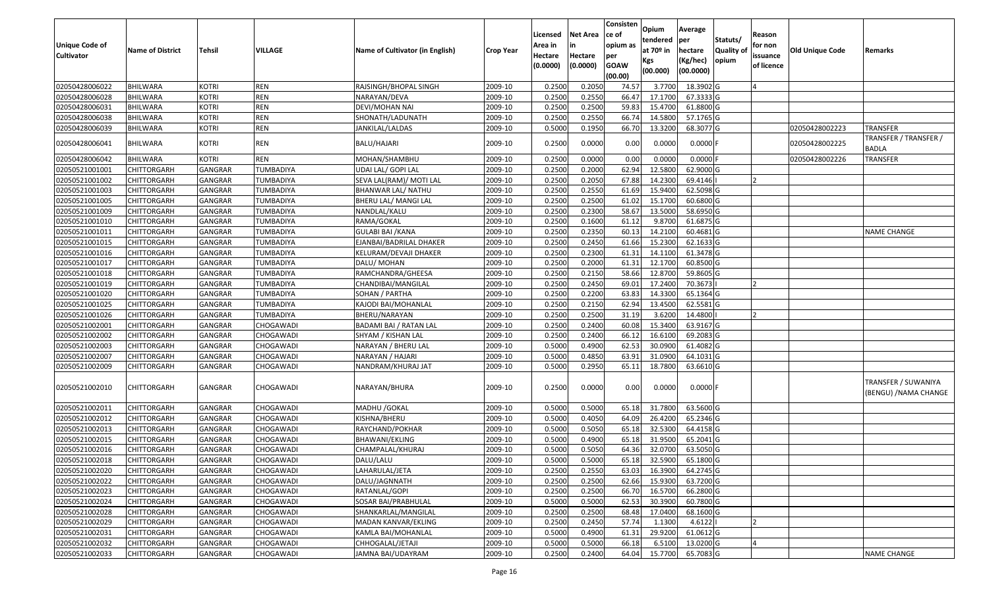| <b>Unique Code of</b><br><b>Cultivator</b> | <b>Name of District</b> | Tehsil         | VILLAGE          | Name of Cultivator (in English) | <b>Crop Year</b> | Licensed<br>Area in<br>Hectare<br>(0.0000) | Net Area<br>in<br>Hectare<br>(0.0000) | Consisten<br>ce of<br>opium as<br>per<br><b>GOAW</b><br>(00.00) | Opium<br>tendered<br>at 70º in<br>Kgs<br>(00.000) | Average<br> per<br>hectare<br>(Kg/hec)<br>(00.0000) | Statuts/<br><b>Quality of</b><br>opium | Reason<br>for non<br>issuance<br>of licence | <b>Old Unique Code</b> | Remarks                                     |
|--------------------------------------------|-------------------------|----------------|------------------|---------------------------------|------------------|--------------------------------------------|---------------------------------------|-----------------------------------------------------------------|---------------------------------------------------|-----------------------------------------------------|----------------------------------------|---------------------------------------------|------------------------|---------------------------------------------|
| 02050428006022                             | <b>BHILWARA</b>         | <b>KOTRI</b>   | <b>REN</b>       | RAJSINGH/BHOPAL SINGH           | 2009-10          | 0.2500                                     | 0.2050                                | 74.57                                                           | 3.7700                                            | 18.3902 G                                           |                                        |                                             |                        |                                             |
| 02050428006028                             | <b>BHILWARA</b>         | <b>KOTRI</b>   | <b>REN</b>       | NARAYAN/DEVA                    | 2009-10          | 0.2500                                     | 0.2550                                | 66.47                                                           | 17.1700                                           | 67.3333 G                                           |                                        |                                             |                        |                                             |
| 02050428006031                             | BHILWARA                | <b>KOTRI</b>   | <b>REN</b>       | DEVI/MOHAN NAI                  | 2009-10          | 0.2500                                     | 0.2500                                | 59.83                                                           | 15.4700                                           | 61.8800 G                                           |                                        |                                             |                        |                                             |
| 02050428006038                             | <b>BHILWARA</b>         | <b>KOTRI</b>   | <b>REN</b>       | SHONATH/LADUNATH                | 2009-10          | 0.2500                                     | 0.2550                                | 66.74                                                           | 14.5800                                           | 57.1765 G                                           |                                        |                                             |                        |                                             |
| 02050428006039                             | <b>BHILWARA</b>         | <b>KOTRI</b>   | <b>REN</b>       | JANKILAL/LALDAS                 | 2009-10          | 0.5000                                     | 0.1950                                | 66.70                                                           | 13.3200                                           | 68.3077 G                                           |                                        |                                             | 02050428002223         | <b>TRANSFER</b>                             |
| 02050428006041                             | BHILWARA                | <b>KOTRI</b>   | REN              | BALU/HAJARI                     | 2009-10          | 0.2500                                     | 0.0000                                | 0.00                                                            | 0.0000                                            | $0.0000$ F                                          |                                        |                                             | 02050428002225         | TRANSFER / TRANSFER /<br>BADLA              |
| 02050428006042                             | <b>BHILWARA</b>         | <b>KOTRI</b>   | <b>REN</b>       | MOHAN/SHAMBHU                   | 2009-10          | 0.2500                                     | 0.0000                                | 0.00                                                            | 0.0000                                            | $0.0000$ F                                          |                                        |                                             | 02050428002226         | <b>TRANSFER</b>                             |
| 02050521001001                             | CHITTORGARH             | GANGRAR        | TUMBADIYA        | UDAI LAL/ GOPI LAL              | 2009-10          | 0.2500                                     | 0.2000                                | 62.94                                                           | 12.5800                                           | 62.9000 G                                           |                                        |                                             |                        |                                             |
| 02050521001002                             | CHITTORGARH             | <b>GANGRAR</b> | TUMBADIYA        | SEVA LAL(RAM)/ MOTI LAL         | 2009-10          | 0.2500                                     | 0.2050                                | 67.88                                                           | 14.2300                                           | 69.4146                                             |                                        |                                             |                        |                                             |
| 02050521001003                             | CHITTORGARH             | GANGRAR        | TUMBADIYA        | BHANWAR LAL/ NATHU              | 2009-10          | 0.2500                                     | 0.2550                                | 61.69                                                           | 15.9400                                           | 62.5098 G                                           |                                        |                                             |                        |                                             |
| 02050521001005                             | CHITTORGARH             | <b>GANGRAR</b> | TUMBADIYA        | BHERU LAL/ MANGI LAL            | 2009-10          | 0.2500                                     | 0.2500                                | 61.02                                                           | 15.1700                                           | 60.6800 G                                           |                                        |                                             |                        |                                             |
| 02050521001009                             | CHITTORGARH             | <b>GANGRAR</b> | <b>TUMBADIYA</b> | NANDLAL/KALU                    | 2009-10          | 0.2500                                     | 0.2300                                | 58.67                                                           | 13.5000                                           | 58.6950 G                                           |                                        |                                             |                        |                                             |
| 02050521001010                             | CHITTORGARH             | <b>GANGRAR</b> | TUMBADIYA        | RAMA/GOKAL                      | 2009-10          | 0.2500                                     | 0.1600                                | 61.12                                                           | 9.8700                                            | 61.6875 G                                           |                                        |                                             |                        |                                             |
| 02050521001011                             | CHITTORGARH             | GANGRAR        | TUMBADIYA        | <b>GULABI BAI / KANA</b>        | 2009-10          | 0.2500                                     | 0.2350                                | 60.13                                                           | 14.2100                                           | 60.4681 G                                           |                                        |                                             |                        | <b>NAME CHANGE</b>                          |
| 02050521001015                             | CHITTORGARH             | GANGRAR        | TUMBADIYA        | EJANBAI/BADRILAL DHAKER         | 2009-10          | 0.2500                                     | 0.2450                                | 61.66                                                           | 15.2300                                           | 62.1633 G                                           |                                        |                                             |                        |                                             |
| 02050521001016                             | CHITTORGARH             | <b>GANGRAR</b> | <b>TUMBADIYA</b> | KELURAM/DEVAJI DHAKER           | 2009-10          | 0.2500                                     | 0.2300                                | 61.31                                                           | 14.1100                                           | 61.3478 G                                           |                                        |                                             |                        |                                             |
| 02050521001017                             | CHITTORGARH             | GANGRAR        | TUMBADIYA        | DALU/ MOHAN                     | 2009-10          | 0.2500                                     | 0.2000                                | 61.31                                                           | 12.1700                                           | 60.8500 G                                           |                                        |                                             |                        |                                             |
| 02050521001018                             | CHITTORGARH             | <b>GANGRAR</b> | TUMBADIYA        | RAMCHANDRA/GHEESA               | 2009-10          | 0.2500                                     | 0.2150                                | 58.66                                                           | 12.8700                                           | 59.8605 G                                           |                                        |                                             |                        |                                             |
| 02050521001019                             | CHITTORGARH             | GANGRAR        | TUMBADIYA        | CHANDIBAI/MANGILAL              | 2009-10          | 0.2500                                     | 0.2450                                | 69.01                                                           | 17.2400                                           | 70.3673                                             |                                        |                                             |                        |                                             |
| 02050521001020                             | <b>CHITTORGARH</b>      | <b>GANGRAR</b> | TUMBADIYA        | SOHAN / PARTHA                  | 2009-10          | 0.2500                                     | 0.2200                                | 63.83                                                           | 14.3300                                           | 65.1364 G                                           |                                        |                                             |                        |                                             |
| 02050521001025                             | CHITTORGARH             | <b>GANGRAR</b> | TUMBADIYA        | KAJODI BAI/MOHANLAL             | 2009-10          | 0.2500                                     | 0.2150                                | 62.94                                                           | 13.4500                                           | 62.5581 G                                           |                                        |                                             |                        |                                             |
| 02050521001026                             | CHITTORGARH             | <b>GANGRAR</b> | TUMBADIYA        | BHERU/NARAYAN                   | 2009-10          | 0.2500                                     | 0.2500                                | 31.19                                                           | 3.6200                                            | 14.4800                                             |                                        |                                             |                        |                                             |
| 02050521002001                             | CHITTORGARH             | GANGRAR        | CHOGAWADI        | BADAMI BAI / RATAN LAL          | 2009-10          | 0.2500                                     | 0.2400                                | 60.08                                                           | 15.3400                                           | 63.9167 G                                           |                                        |                                             |                        |                                             |
| 02050521002002                             | <b>CHITTORGARH</b>      | GANGRAR        | CHOGAWADI        | SHYAM / KISHAN LAL              | 2009-10          | 0.2500                                     | 0.2400                                | 66.12                                                           | 16.6100                                           | 69.2083 G                                           |                                        |                                             |                        |                                             |
| 02050521002003                             | CHITTORGARH             | GANGRAR        | CHOGAWADI        | NARAYAN / BHERU LAL             | 2009-10          | 0.5000                                     | 0.4900                                | 62.53                                                           | 30.0900                                           | 61.4082 G                                           |                                        |                                             |                        |                                             |
| 02050521002007                             | <b>CHITTORGARH</b>      | <b>GANGRAR</b> | CHOGAWADI        | NARAYAN / HAJARI                | 2009-10          | 0.5000                                     | 0.4850                                | 63.91                                                           | 31.0900                                           | 64.1031 G                                           |                                        |                                             |                        |                                             |
| 02050521002009                             | CHITTORGARH             | GANGRAR        | CHOGAWADI        | NANDRAM/KHURAJ JAT              | 2009-10          | 0.5000                                     | 0.2950                                | 65.11                                                           | 18.7800                                           | 63.6610 G                                           |                                        |                                             |                        |                                             |
| 02050521002010                             | <b>CHITTORGARH</b>      | <b>GANGRAR</b> | CHOGAWADI        | NARAYAN/BHURA                   | 2009-10          | 0.2500                                     | 0.0000                                | 0.00                                                            | 0.0000                                            | $0.0000$ F                                          |                                        |                                             |                        | TRANSFER / SUWANIYA<br>(BENGU) /NAMA CHANGE |
| 02050521002011                             | CHITTORGARH             | GANGRAR        | CHOGAWADI        | MADHU / GOKAL                   | 2009-10          | 0.5000                                     | 0.5000                                | 65.18                                                           | 31.7800                                           | 63.5600 G                                           |                                        |                                             |                        |                                             |
| 02050521002012                             | CHITTORGARH             | GANGRAR        | CHOGAWADI        | KISHNA/BHERU                    | 2009-10          | 0.5000                                     | 0.4050                                | 64.09                                                           | 26.4200                                           | 65.2346 G                                           |                                        |                                             |                        |                                             |
| 02050521002013                             | CHITTORGARH             | GANGRAR        | CHOGAWADI        | RAYCHAND/POKHAR                 | 2009-10          | 0.5000                                     | 0.5050                                | 65.18                                                           | 32.5300                                           | 64.4158 G                                           |                                        |                                             |                        |                                             |
| 02050521002015                             | CHITTORGARH             | GANGRAR        | CHOGAWADI        | BHAWANI/EKLING                  | 2009-10          | 0.5000                                     | 0.4900                                | 65.18                                                           | 31.9500                                           | 65.2041 G                                           |                                        |                                             |                        |                                             |
| 02050521002016                             | CHITTORGARH             | GANGRAR        | CHOGAWADI        | CHAMPALAL/KHURAJ                | 2009-10          | 0.5000                                     | 0.5050                                | 64.36                                                           | 32.0700                                           | 63.5050 G                                           |                                        |                                             |                        |                                             |
| 02050521002018                             | <b>CHITTORGARH</b>      | GANGRAR        | CHOGAWADI        | DALU/LALU                       | 2009-10          | 0.5000                                     | 0.5000                                | 65.18                                                           | 32.5900                                           | 65.1800 G                                           |                                        |                                             |                        |                                             |
| 02050521002020                             | <b>CHITTORGARH</b>      | <b>GANGRAR</b> | CHOGAWADI        | LAHARULAL/JETA                  | 2009-10          | 0.2500                                     | 0.2550                                | 63.03                                                           | 16.3900                                           | 64.2745 G                                           |                                        |                                             |                        |                                             |
| 02050521002022                             | <b>CHITTORGARH</b>      | <b>GANGRAR</b> | CHOGAWADI        | DALU/JAGNNATH                   | 2009-10          | 0.2500                                     | 0.2500                                | 62.66                                                           | 15.9300                                           | 63.7200 G                                           |                                        |                                             |                        |                                             |
| 02050521002023                             | <b>CHITTORGARH</b>      | <b>GANGRAR</b> | CHOGAWADI        | RATANLAL/GOPI                   | 2009-10          | 0.2500                                     | 0.2500                                | 66.70                                                           | 16.5700                                           | 66.2800 G                                           |                                        |                                             |                        |                                             |
| 02050521002024                             | <b>CHITTORGARH</b>      | <b>GANGRAR</b> | CHOGAWADI        | SOSAR BAI/PRABHULAL             | 2009-10          | 0.5000                                     | 0.5000                                | 62.53                                                           | 30.3900                                           | 60.7800 G                                           |                                        |                                             |                        |                                             |
| 02050521002028                             | <b>CHITTORGARH</b>      | <b>GANGRAR</b> | CHOGAWADI        | SHANKARLAL/MANGILAL             | 2009-10          | 0.2500                                     | 0.2500                                | 68.48                                                           | 17.0400                                           | 68.1600 G                                           |                                        |                                             |                        |                                             |
| 02050521002029                             | <b>CHITTORGARH</b>      | GANGRAR        | CHOGAWADI        | MADAN KANVAR/EKLING             | 2009-10          | 0.2500                                     | 0.2450                                | 57.74                                                           | 1.1300                                            | 4.6122                                              |                                        |                                             |                        |                                             |
| 02050521002031                             | <b>CHITTORGARH</b>      | <b>GANGRAR</b> | CHOGAWADI        | KAMLA BAI/MOHANLAL              | 2009-10          | 0.5000                                     | 0.4900                                | 61.31                                                           | 29.9200                                           | 61.0612 G                                           |                                        |                                             |                        |                                             |
| 02050521002032                             | CHITTORGARH             | GANGRAR        | CHOGAWADI        | CHHOGALAL/JETAJI                | 2009-10          | 0.5000                                     | 0.5000                                | 66.18                                                           | 6.5100                                            | 13.0200 G                                           |                                        |                                             |                        |                                             |
| 02050521002033                             | <b>CHITTORGARH</b>      | <b>GANGRAR</b> | CHOGAWADI        | JAMNA BAI/UDAYRAM               | 2009-10          | 0.2500                                     | 0.2400                                | 64.04                                                           |                                                   | 15.7700 65.7083 G                                   |                                        |                                             |                        | <b>NAME CHANGE</b>                          |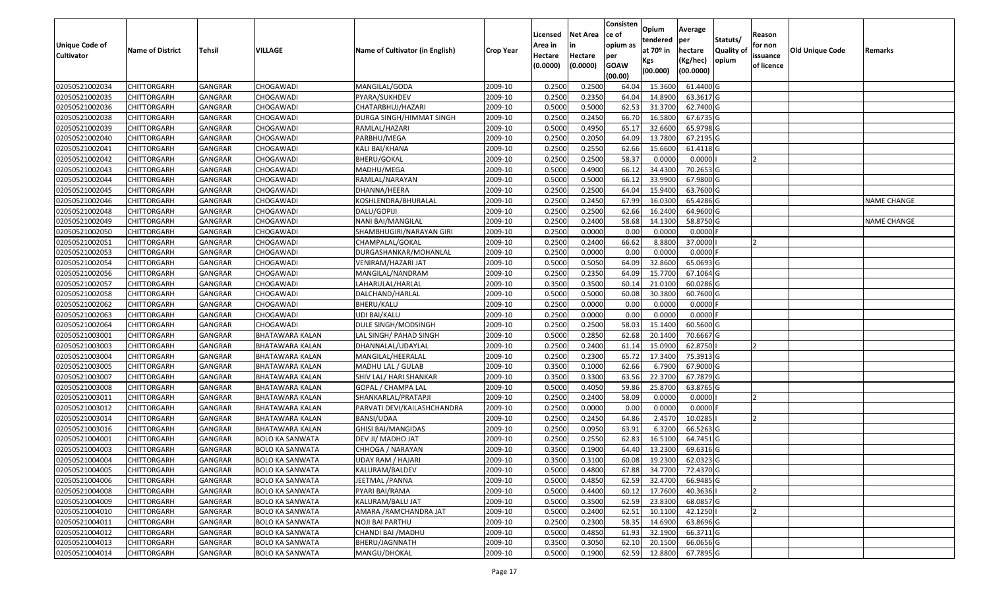|                   |                         |                |                        |                                 |                  |          |                 | Consisten          | Opium         | Average    |                  |            |                 |                    |
|-------------------|-------------------------|----------------|------------------------|---------------------------------|------------------|----------|-----------------|--------------------|---------------|------------|------------------|------------|-----------------|--------------------|
|                   |                         |                |                        |                                 |                  | Licensed | <b>Net Area</b> | ce of              | tendered      | per        | Statuts/         | Reason     |                 |                    |
| Unique Code of    | <b>Name of District</b> | <b>Tehsil</b>  | VILLAGE                | Name of Cultivator (in English) | <b>Crop Year</b> | Area in  | in              | opium as           | at $70°$ in   | hectare    | <b>Quality o</b> | for non    | Old Unique Code | Remarks            |
| <b>Cultivator</b> |                         |                |                        |                                 |                  | Hectare  | Hectare         | per<br><b>GOAW</b> | Kgs           | (Kg/hec)   | opium            | issuance   |                 |                    |
|                   |                         |                |                        |                                 |                  | (0.0000) | (0.0000)        | (00.00)            | (00.000)      | (00.0000)  |                  | of licence |                 |                    |
| 02050521002034    | CHITTORGARH             | GANGRAR        | CHOGAWADI              | MANGILAL/GODA                   | 2009-10          | 0.2500   | 0.2500          | 64.04              | 15.3600       | 61.4400 G  |                  |            |                 |                    |
| 02050521002035    | CHITTORGARH             | GANGRAR        | CHOGAWADI              | PYARA/SUKHDEV                   | 2009-10          | 0.2500   | 0.2350          | 64.04              | 14.8900       | 63.3617 G  |                  |            |                 |                    |
| 02050521002036    | CHITTORGARH             | GANGRAR        | CHOGAWADI              | CHATARBHUJ/HAZARI               | 2009-10          | 0.5000   | 0.5000          | 62.53              | 31.3700       | 62.7400 G  |                  |            |                 |                    |
| 02050521002038    | <b>CHITTORGARH</b>      | <b>GANGRAR</b> | CHOGAWADI              | DURGA SINGH/HIMMAT SINGH        | 2009-10          | 0.2500   | 0.2450          | 66.70              | 16.5800       | 67.6735 G  |                  |            |                 |                    |
| 02050521002039    | CHITTORGARH             | GANGRAR        | CHOGAWADI              | RAMLAL/HAZARI                   | 2009-10          | 0.5000   | 0.4950          | 65.1               | 32.6600       | 65.9798 G  |                  |            |                 |                    |
| 02050521002040    | CHITTORGARH             | <b>GANGRAR</b> | CHOGAWADI              | PARBHU/MEGA                     | 2009-10          | 0.2500   | 0.2050          | 64.09              | 13.7800       | 67.2195 G  |                  |            |                 |                    |
| 02050521002041    | CHITTORGARH             | GANGRAR        | CHOGAWADI              | KALI BAI/KHANA                  | 2009-10          | 0.2500   | 0.2550          | 62.66              | 15.6600       | 61.4118 G  |                  |            |                 |                    |
| 02050521002042    | CHITTORGARH             | <b>GANGRAR</b> | CHOGAWADI              | <b>BHERU/GOKAL</b>              | 2009-10          | 0.2500   | 0.2500          | 58.37              | 0.0000        | 0.0000     |                  |            |                 |                    |
| 02050521002043    | <b>CHITTORGARH</b>      | GANGRAR        | CHOGAWADI              | MADHU/MEGA                      | 2009-10          | 0.5000   | 0.4900          | 66.12              | 34.4300       | 70.2653 G  |                  |            |                 |                    |
| 02050521002044    | CHITTORGARH             | <b>GANGRAR</b> | CHOGAWADI              | RAMLAL/NARAYAN                  | 2009-10          | 0.5000   | 0.5000          | 66.12              | 33.9900       | 67.9800 G  |                  |            |                 |                    |
| 02050521002045    | CHITTORGARH             | GANGRAR        | CHOGAWADI              | DHANNA/HEERA                    | 2009-10          | 0.2500   | 0.2500          | 64.04              | 15.9400       | 63.7600 G  |                  |            |                 |                    |
| 02050521002046    | <b>CHITTORGARH</b>      | <b>GANGRAR</b> | CHOGAWADI              | KOSHLENDRA/BHURALAL             | 2009-10          | 0.2500   | 0.2450          | 67.99              | 16.0300       | 65.4286 G  |                  |            |                 | <b>NAME CHANGE</b> |
| 02050521002048    | <b>CHITTORGARH</b>      | <b>GANGRAR</b> | CHOGAWADI              | DALU/GOPIJI                     | 2009-10          | 0.2500   | 0.2500          | 62.66              | 16.2400       | 64.9600 G  |                  |            |                 |                    |
| 02050521002049    | <b>CHITTORGARH</b>      | GANGRAR        | CHOGAWADI              | NANI BAI/MANGILAL               | 2009-10          | 0.2500   | 0.2400          | 58.68              | 14.1300       | 58.8750 G  |                  |            |                 | <b>NAME CHANGE</b> |
| 02050521002050    | <b>CHITTORGARH</b>      | <b>GANGRAR</b> | CHOGAWADI              | SHAMBHUGIRI/NARAYAN GIRI        | 2009-10          | 0.2500   | 0.0000          | 0.00               | 0.0000        | $0.0000$ F |                  |            |                 |                    |
| 02050521002051    | <b>CHITTORGARH</b>      | <b>GANGRAR</b> | CHOGAWADI              | CHAMPALAL/GOKAL                 | 2009-10          | 0.2500   | 0.2400          | 66.62              | 8.8800        | 37.0000    |                  |            |                 |                    |
| 02050521002053    | <b>CHITTORGARH</b>      | <b>GANGRAR</b> | CHOGAWADI              | DURGASHANKAR/MOHANLAL           | 2009-10          | 0.2500   | 0.0000          | 0.00               | 0.0000        | $0.0000$ F |                  |            |                 |                    |
| 02050521002054    | CHITTORGARH             | GANGRAR        | CHOGAWADI              | VENIRAM/HAZARI JAT              | 2009-10          | 0.5000   | 0.5050          | 64.09              | 32.8600       | 65.0693 G  |                  |            |                 |                    |
| 02050521002056    | CHITTORGARH             | <b>GANGRAR</b> | CHOGAWADI              | MANGILAL/NANDRAM                | 2009-10          | 0.2500   | 0.2350          | 64.09              | 15.7700       | 67.1064 G  |                  |            |                 |                    |
| 02050521002057    | CHITTORGARH             | GANGRAR        | CHOGAWADI              | LAHARULAL/HARLAL                | 2009-10          | 0.3500   | 0.3500          | 60.1               | 21.0100       | 60.0286 G  |                  |            |                 |                    |
| 02050521002058    | CHITTORGARH             | <b>GANGRAR</b> | CHOGAWADI              | DALCHAND/HARLAL                 | 2009-10          | 0.5000   | 0.5000          | 60.08              | 30.3800       | 60.7600 G  |                  |            |                 |                    |
| 02050521002062    | CHITTORGARH             | GANGRAR        | CHOGAWADI              | BHERU/KALU                      | 2009-10          | 0.2500   | 0.0000          | 0.00               | 0.000         | 0.0000     |                  |            |                 |                    |
| 02050521002063    | CHITTORGARH             | GANGRAR        | CHOGAWADI              | UDI BAI/KALU                    | 2009-10          | 0.2500   | 0.0000          | 0.00               | 0.0000        | 0.0000F    |                  |            |                 |                    |
| 02050521002064    | <b>CHITTORGARH</b>      | <b>GANGRAR</b> | CHOGAWADI              | DULE SINGH/MODSINGH             | 2009-10          | 0.2500   | 0.2500          | 58.03              | 15.1400       | 60.5600 G  |                  |            |                 |                    |
| 02050521003001    | <b>CHITTORGARH</b>      | <b>GANGRAR</b> | BHATAWARA KALAN        | LAL SINGH/ PAHAD SINGH          | 2009-10          | 0.5000   | 0.2850          | 62.68              | 20.1400       | 70.6667 G  |                  |            |                 |                    |
| 02050521003003    | CHITTORGARH             | GANGRAR        | BHATAWARA KALAN        | DHANNALAL/UDAYLAL               | 2009-10          | 0.2500   | 0.2400          | 61.14              | 15.0900       | 62.8750    |                  |            |                 |                    |
| 02050521003004    | CHITTORGARH             | GANGRAR        | BHATAWARA KALAN        | MANGILAL/HEERALAL               | 2009-10          | 0.2500   | 0.2300          | 65.72              | 17.3400       | 75.3913 G  |                  |            |                 |                    |
| 02050521003005    | CHITTORGARH             | GANGRAR        | BHATAWARA KALAN        | MADHU LAL / GULAB               | 2009-10          | 0.3500   | 0.1000          | 62.66              | 6.7900        | 67.9000 G  |                  |            |                 |                    |
| 02050521003007    | CHITTORGARH             | <b>GANGRAR</b> | BHATAWARA KALAN        | SHIV LAL/ HARI SHANKAR          | 2009-10          | 0.3500   | 0.3300          | 63.56              | 22.3700       | 67.7879 G  |                  |            |                 |                    |
| 02050521003008    | CHITTORGARH             | <b>GANGRAR</b> | BHATAWARA KALAN        | GOPAL / CHAMPA LAL              | 2009-10          | 0.5000   | 0.4050          | 59.86              | 25.8700       | 63.8765 G  |                  |            |                 |                    |
| 02050521003011    | CHITTORGARH             | <b>GANGRAR</b> | BHATAWARA KALAN        | SHANKARLAL/PRATAPJI             | 2009-10          | 0.2500   | 0.2400          | 58.09              | 0.0000        | 0.0000     |                  |            |                 |                    |
| 02050521003012    | CHITTORGARH             | GANGRAR        | BHATAWARA KALAN        | PARVATI DEVI/KAILASHCHANDRA     | 2009-10          | 0.2500   | 0.0000          | 0.00               | 0.0000        | 0.0000     |                  |            |                 |                    |
| 02050521003014    | CHITTORGARH             | <b>GANGRAR</b> | BHATAWARA KALAN        | BANSI/UDAA                      | 2009-10          | 0.2500   | 0.2450          | 64.86              | 2.4570        | 10.0285    |                  |            |                 |                    |
| 02050521003016    | <b>CHITTORGARH</b>      | GANGRAR        | BHATAWARA KALAN        | <b>GHISI BAI/MANGIDAS</b>       | 2009-10          | 0.2500   | 0.0950          | 63.91              | 6.3200        | 66.5263 G  |                  |            |                 |                    |
| 02050521004001    | CHITTORGARH             | <b>GANGRAR</b> | <b>BOLO KA SANWATA</b> | DEV JI/ MADHO JAT               | 2009-10          | 0.2500   | 0.2550          | 62.83              | 16.5100       | 64.7451 G  |                  |            |                 |                    |
| 02050521004003    | CHITTORGARH             | GANGRAR        | <b>BOLO KA SANWATA</b> | CHHOGA / NARAYAN                | 2009-10          | 0.3500   | 0.1900          | 64.40              | 13.2300       | 69.6316 G  |                  |            |                 |                    |
| 02050521004004    | CHITTORGARH             | <b>GANGRAR</b> | <b>BOLO KA SANWATA</b> | <b>UDAY RAM / HAJARI</b>        | 2009-10          | 0.3500   | 0.3100          |                    | 60.08 19.2300 | 62.0323 G  |                  |            |                 |                    |
| 02050521004005    | CHITTORGARH             | <b>GANGRAR</b> | <b>BOLO KA SANWATA</b> | KALURAM/BALDEV                  | 2009-10          | 0.5000   | 0.4800          | 67.88              | 34.7700       | 72.4370 G  |                  |            |                 |                    |
| 02050521004006    | CHITTORGARH             | <b>GANGRAR</b> | <b>BOLO KA SANWATA</b> | JEETMAL / PANNA                 | 2009-10          | 0.5000   | 0.4850          | 62.59              | 32.4700       | 66.9485 G  |                  |            |                 |                    |
| 02050521004008    | <b>CHITTORGARH</b>      | <b>GANGRAR</b> | <b>BOLO KA SANWATA</b> | PYARI BAI/RAMA                  | 2009-10          | 0.5000   | 0.4400          | 60.12              | 17.7600       | 40.3636    |                  | <b>2</b>   |                 |                    |
| 02050521004009    | <b>CHITTORGARH</b>      | <b>GANGRAR</b> | <b>BOLO KA SANWATA</b> | KALURAM/BALU JAT                | 2009-10          | 0.5000   | 0.3500          | 62.59              | 23.8300       | 68.0857 G  |                  |            |                 |                    |
| 02050521004010    | <b>CHITTORGARH</b>      | <b>GANGRAR</b> | <b>BOLO KA SANWATA</b> | AMARA / RAMCHANDRA JAT          | 2009-10          | 0.5000   | 0.2400          | 62.51              | 10.1100       | 42.1250    |                  |            |                 |                    |
| 02050521004011    | <b>CHITTORGARH</b>      | <b>GANGRAR</b> | <b>BOLO KA SANWATA</b> | <b>NOJI BAI PARTHU</b>          | 2009-10          | 0.2500   | 0.2300          | 58.35              | 14.6900       | 63.8696 G  |                  |            |                 |                    |
| 02050521004012    | CHITTORGARH             | <b>GANGRAR</b> | <b>BOLO KA SANWATA</b> | CHANDI BAI / MADHU              | 2009-10          | 0.5000   | 0.4850          | 61.93              | 32.1900       | 66.3711 G  |                  |            |                 |                    |
| 02050521004013    | <b>CHITTORGARH</b>      | <b>GANGRAR</b> | <b>BOLO KA SANWATA</b> | BHERU/JAGNNATH                  | 2009-10          | 0.3500   | 0.3050          | 62.10              | 20.1500       | 66.0656 G  |                  |            |                 |                    |
| 02050521004014    | <b>CHITTORGARH</b>      | <b>GANGRAR</b> | <b>BOLO KA SANWATA</b> | MANGU/DHOKAL                    | 2009-10          | 0.5000   | 0.1900          | 62.59              | 12.8800       | 67.7895 G  |                  |            |                 |                    |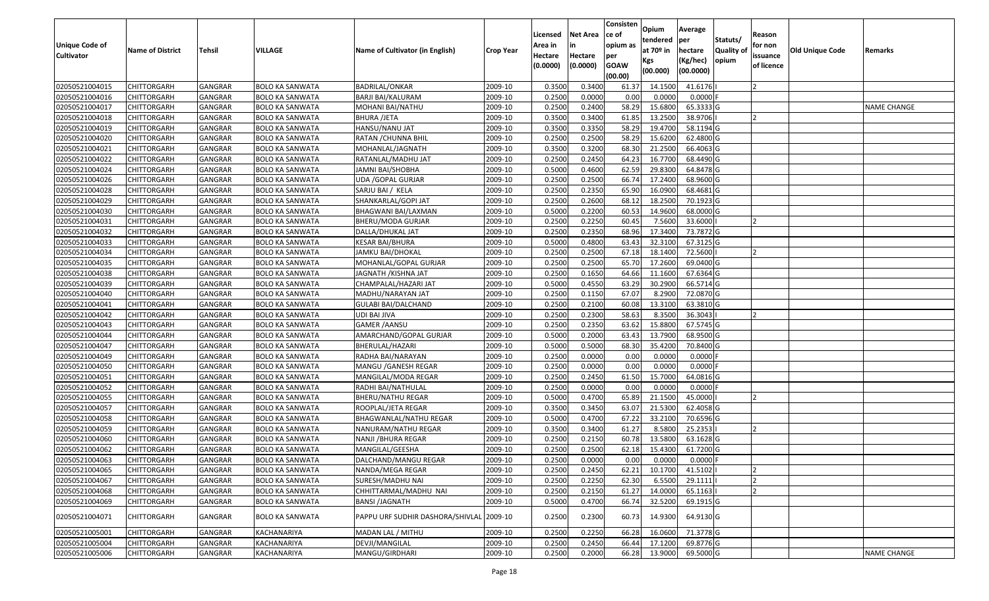| <b>Unique Code of</b><br><b>Cultivator</b> | <b>Name of District</b> | Tehsil         | VILLAGE                | Name of Cultivator (in English)          | <b>Crop Year</b> | Licensed<br>Area in<br>Hectare<br>(0.0000) | <b>Net Area</b><br>in<br>Hectare<br>(0.0000) | Consisten<br>ce of<br>opium as<br>per<br><b>GOAW</b><br>(00.00) | Opium<br>tendered<br>at 70º in<br>Kgs<br>(00.000) | Average<br>per<br>hectare<br>(Kg/hec)<br>(00.0000) | Statuts/<br><b>Quality of</b><br>opium | Reason<br>for non<br>issuance<br>of licence | <b>Old Unique Code</b> | Remarks            |
|--------------------------------------------|-------------------------|----------------|------------------------|------------------------------------------|------------------|--------------------------------------------|----------------------------------------------|-----------------------------------------------------------------|---------------------------------------------------|----------------------------------------------------|----------------------------------------|---------------------------------------------|------------------------|--------------------|
| 02050521004015                             | <b>CHITTORGARH</b>      | <b>GANGRAR</b> | <b>BOLO KA SANWATA</b> | BADRILAL/ONKAR                           | 2009-10          | 0.3500                                     | 0.3400                                       | 61.37                                                           | 14.1500                                           | 41.6176                                            |                                        |                                             |                        |                    |
| 02050521004016                             | CHITTORGARH             | GANGRAR        | <b>BOLO KA SANWATA</b> | BARJI BAI/KALURAM                        | 2009-10          | 0.2500                                     | 0.0000                                       | 0.00                                                            | 0.0000                                            | 0.0000                                             |                                        |                                             |                        |                    |
| 02050521004017                             | CHITTORGARH             | GANGRAR        | BOLO KA SANWATA        | MOHANI BAI/NATHU                         | 2009-10          | 0.2500                                     | 0.2400                                       | 58.29                                                           | 15.6800                                           | 65.3333 G                                          |                                        |                                             |                        | <b>NAME CHANGE</b> |
| 02050521004018                             | <b>CHITTORGARH</b>      | <b>GANGRAR</b> | <b>BOLO KA SANWATA</b> | <b>BHURA /JETA</b>                       | 2009-10          | 0.3500                                     | 0.3400                                       | 61.85                                                           | 13.2500                                           | 38.9706                                            |                                        |                                             |                        |                    |
| 02050521004019                             | <b>CHITTORGARH</b>      | <b>GANGRAR</b> | <b>BOLO KA SANWATA</b> | HANSU/NANU JAT                           | 2009-10          | 0.3500                                     | 0.3350                                       | 58.29                                                           | 19.4700                                           | 58.1194 G                                          |                                        |                                             |                        |                    |
| 02050521004020                             | <b>CHITTORGARH</b>      | GANGRAR        | BOLO KA SANWATA        | RATAN / CHUNNA BHIL                      | 2009-10          | 0.2500                                     | 0.2500                                       | 58.29                                                           | 15.6200                                           | 62.4800 G                                          |                                        |                                             |                        |                    |
| 02050521004021                             | CHITTORGARH             | GANGRAR        | <b>BOLO KA SANWATA</b> | MOHANLAL/JAGNATH                         | 2009-10          | 0.3500                                     | 0.3200                                       | 68.30                                                           | 21.2500                                           | 66.4063 G                                          |                                        |                                             |                        |                    |
| 02050521004022                             | <b>CHITTORGARH</b>      | GANGRAR        | <b>BOLO KA SANWATA</b> | RATANLAL/MADHU JAT                       | 2009-10          | 0.2500                                     | 0.2450                                       | 64.23                                                           | 16.7700                                           | 68.4490 G                                          |                                        |                                             |                        |                    |
| 02050521004024                             | <b>CHITTORGARH</b>      | GANGRAR        | <b>BOLO KA SANWATA</b> | JAMNI BAI/SHOBHA                         | 2009-10          | 0.5000                                     | 0.4600                                       | 62.59                                                           | 29.8300                                           | 64.8478 G                                          |                                        |                                             |                        |                    |
| 02050521004026                             | <b>CHITTORGARH</b>      | GANGRAR        | <b>BOLO KA SANWATA</b> | UDA / GOPAL GURJAR                       | 2009-10          | 0.2500                                     | 0.2500                                       | 66.74                                                           | 17.2400                                           | 68.9600 G                                          |                                        |                                             |                        |                    |
| 02050521004028                             | <b>CHITTORGARH</b>      | GANGRAR        | <b>BOLO KA SANWATA</b> | SARJU BAI / KELA                         | 2009-10          | 0.2500                                     | 0.2350                                       | 65.90                                                           | 16.0900                                           | 68.4681 G                                          |                                        |                                             |                        |                    |
| 02050521004029                             | <b>CHITTORGARH</b>      | GANGRAR        | <b>BOLO KA SANWATA</b> | SHANKARLAL/GOPI JAT                      | 2009-10          | 0.2500                                     | 0.2600                                       | 68.1                                                            | 18.2500                                           | 70.1923 G                                          |                                        |                                             |                        |                    |
| 02050521004030                             | <b>CHITTORGARH</b>      | GANGRAR        | <b>BOLO KA SANWATA</b> | BHAGWANI BAI/LAXMAN                      | 2009-10          | 0.5000                                     | 0.2200                                       | 60.53                                                           | 14.9600                                           | 68.0000 G                                          |                                        |                                             |                        |                    |
| 02050521004031                             | <b>CHITTORGARH</b>      | GANGRAR        | <b>BOLO KA SANWATA</b> | BHERU/MODA GURJAR                        | 2009-10          | 0.2500                                     | 0.2250                                       | 60.45                                                           | 7.5600                                            | 33.6000                                            |                                        |                                             |                        |                    |
| 02050521004032                             | <b>CHITTORGARH</b>      | GANGRAR        | <b>BOLO KA SANWATA</b> | DALLA/DHUKAL JAT                         | 2009-10          | 0.2500                                     | 0.2350                                       | 68.96                                                           | 17.3400                                           | 73.7872 G                                          |                                        |                                             |                        |                    |
| 02050521004033                             | <b>CHITTORGARH</b>      | GANGRAR        | <b>BOLO KA SANWATA</b> | KESAR BAI/BHURA                          | 2009-10          | 0.5000                                     | 0.4800                                       | 63.43                                                           | 32.3100                                           | 67.3125 G                                          |                                        |                                             |                        |                    |
| 02050521004034                             | <b>CHITTORGARH</b>      | GANGRAR        | <b>BOLO KA SANWATA</b> | JAMKU BAI/DHOKAL                         | 2009-10          | 0.2500                                     | 0.2500                                       | 67.18                                                           | 18.1400                                           | 72.5600                                            |                                        |                                             |                        |                    |
| 02050521004035                             | <b>CHITTORGARH</b>      | GANGRAR        | <b>BOLO KA SANWATA</b> | MOHANLAL/GOPAL GURJAR                    | 2009-10          | 0.2500                                     | 0.2500                                       | 65.70                                                           | 17.2600                                           | 69.0400 G                                          |                                        |                                             |                        |                    |
| 02050521004038                             | <b>CHITTORGARH</b>      | GANGRAR        | <b>BOLO KA SANWATA</b> | JAGNATH / KISHNA JAT                     | 2009-10          | 0.2500                                     | 0.1650                                       | 64.66                                                           | 11.1600                                           | 67.6364 G                                          |                                        |                                             |                        |                    |
| 02050521004039                             | <b>CHITTORGARH</b>      | GANGRAR        | <b>BOLO KA SANWATA</b> | CHAMPALAL/HAZARI JAT                     | 2009-10          | 0.5000                                     | 0.4550                                       | 63.29                                                           | 30.2900                                           | 66.5714 G                                          |                                        |                                             |                        |                    |
| 02050521004040                             | <b>CHITTORGARH</b>      | <b>GANGRAR</b> | <b>BOLO KA SANWATA</b> | MADHU/NARAYAN JAT                        | 2009-10          | 0.2500                                     | 0.1150                                       | 67.07                                                           | 8.2900                                            | 72.0870 G                                          |                                        |                                             |                        |                    |
| 02050521004041                             | <b>CHITTORGARH</b>      | GANGRAR        | <b>BOLO KA SANWATA</b> | <b>GULABI BAI/DALCHAND</b>               | 2009-10          | 0.2500                                     | 0.2100                                       | 60.08                                                           | 13.3100                                           | 63.3810 G                                          |                                        |                                             |                        |                    |
| 02050521004042                             | <b>CHITTORGARH</b>      | GANGRAR        | <b>BOLO KA SANWATA</b> | UDI BAI JIVA                             | 2009-10          | 0.2500                                     | 0.2300                                       | 58.63                                                           | 8.3500                                            | 36.3043                                            |                                        |                                             |                        |                    |
| 02050521004043                             | <b>CHITTORGARH</b>      | GANGRAR        | <b>BOLO KA SANWATA</b> | <b>GAMER / AANSU</b>                     | 2009-10          | 0.2500                                     | 0.2350                                       | 63.62                                                           | 15.8800                                           | 67.5745 G                                          |                                        |                                             |                        |                    |
| 02050521004044                             | <b>CHITTORGARH</b>      | GANGRAR        | <b>BOLO KA SANWATA</b> | AMARCHAND/GOPAL GURJAR                   | 2009-10          | 0.5000                                     | 0.2000                                       | 63.43                                                           | 13.7900                                           | 68.9500 G                                          |                                        |                                             |                        |                    |
| 02050521004047                             | <b>CHITTORGARH</b>      | GANGRAR        | <b>BOLO KA SANWATA</b> | BHERULAL/HAZARI                          | 2009-10          | 0.5000                                     | 0.5000                                       | 68.30                                                           | 35.4200                                           | 70.8400 G                                          |                                        |                                             |                        |                    |
| 02050521004049                             | <b>CHITTORGARH</b>      | GANGRAR        | <b>BOLO KA SANWATA</b> | RADHA BAI/NARAYAN                        | 2009-10          | 0.2500                                     | 0.0000                                       | 0.00                                                            | 0.0000                                            | 0.0000                                             |                                        |                                             |                        |                    |
| 02050521004050                             | CHITTORGARH             | GANGRAR        | BOLO KA SANWATA        | MANGU /GANESH REGAR                      | 2009-10          | 0.2500                                     | 0.0000                                       | 0.00                                                            | 0.0000                                            | 0.0000                                             |                                        |                                             |                        |                    |
| 02050521004051                             | <b>CHITTORGARH</b>      | <b>GANGRAR</b> | <b>BOLO KA SANWATA</b> | MANGILAL/MODA REGAR                      | 2009-10          | 0.2500                                     | 0.2450                                       | 61.50                                                           | 15.7000                                           | 64.0816 G                                          |                                        |                                             |                        |                    |
| 02050521004052                             | <b>CHITTORGARH</b>      | <b>GANGRAR</b> | <b>BOLO KA SANWATA</b> | RADHI BAI/NATHULAL                       | 2009-10          | 0.2500                                     | 0.0000                                       | 0.00                                                            | 0.0000                                            | 0.0000                                             |                                        |                                             |                        |                    |
| 02050521004055                             | <b>CHITTORGARH</b>      | GANGRAR        | <b>BOLO KA SANWATA</b> | <b>BHERU/NATHU REGAR</b>                 | 2009-10          | 0.5000                                     | 0.4700                                       | 65.89                                                           | 21.1500                                           | 45.0000                                            |                                        |                                             |                        |                    |
| 02050521004057                             | <b>CHITTORGARH</b>      | GANGRAR        | BOLO KA SANWATA        | ROOPLAL/JETA REGAR                       | 2009-10          | 0.3500                                     | 0.3450                                       | 63.07                                                           | 21.5300                                           | 62.4058 G                                          |                                        |                                             |                        |                    |
| 02050521004058                             | <b>CHITTORGARH</b>      | GANGRAR        | <b>BOLO KA SANWATA</b> | BHAGWANLAL/NATHU REGAR                   | 2009-10          | 0.5000                                     | 0.4700                                       | 67.22                                                           | 33.2100                                           | 70.6596 G                                          |                                        |                                             |                        |                    |
| 02050521004059                             | <b>CHITTORGARH</b>      | GANGRAR        | <b>BOLO KA SANWATA</b> | NANURAM/NATHU REGAR                      | 2009-10          | 0.3500                                     | 0.3400                                       | 61.27                                                           | 8.5800                                            | 25.2353                                            |                                        |                                             |                        |                    |
| 02050521004060                             | CHITTORGARH             | GANGRAR        | <b>BOLO KA SANWATA</b> | NANJI /BHURA REGAR                       | 2009-10          | 0.2500                                     | 0.2150                                       | 60.78                                                           | 13.5800                                           | 63.1628 G                                          |                                        |                                             |                        |                    |
| 02050521004062                             | <b>CHITTORGARH</b>      | GANGRAR        | <b>BOLO KA SANWATA</b> | MANGILAL/GEESHA                          | 2009-10          | 0.2500                                     | 0.2500                                       | 62.18                                                           | 15.4300                                           | 61.7200 G                                          |                                        |                                             |                        |                    |
| 02050521004063                             | <b>CHITTORGARH</b>      | GANGRAR        | <b>BOLO KA SANWATA</b> | DALCHAND/MANGU REGAR                     | 2009-10          | 0.2500                                     | 0.0000                                       | 0.00                                                            | 0.0000                                            | 0.0000                                             |                                        |                                             |                        |                    |
| 02050521004065                             | <b>CHITTORGARH</b>      | GANGRAR        | <b>BOLO KA SANWATA</b> | NANDA/MEGA REGAR                         | 2009-10          | 0.2500                                     | 0.2450                                       | 62.21                                                           | 10.1700                                           | 41.5102                                            |                                        |                                             |                        |                    |
| 02050521004067                             | <b>CHITTORGARH</b>      | GANGRAR        | <b>BOLO KA SANWATA</b> | SURESH/MADHU NAI                         | 2009-10          | 0.2500                                     | 0.2250                                       | 62.30                                                           | 6.5500                                            | 29.1111                                            |                                        |                                             |                        |                    |
| 02050521004068                             | <b>CHITTORGARH</b>      | GANGRAR        | <b>BOLO KA SANWATA</b> | CHHITTARMAL/MADHU NAI                    | 2009-10          | 0.2500                                     | 0.2150                                       | 61.27                                                           | 14.0000                                           | 65.1163                                            |                                        |                                             |                        |                    |
| 02050521004069                             | <b>CHITTORGARH</b>      | GANGRAR        | <b>BOLO KA SANWATA</b> | <b>BANSI /JAGNATH</b>                    | 2009-10          | 0.5000                                     | 0.4700                                       | 66.74                                                           | 32.5200                                           | 69.1915 G                                          |                                        |                                             |                        |                    |
| 02050521004071                             | <b>CHITTORGARH</b>      | GANGRAR        | BOLO KA SANWATA        | PAPPU URF SUDHIR DASHORA/SHIVLAL 2009-10 |                  | 0.2500                                     | 0.2300                                       | 60.73                                                           | 14.9300                                           | 64.9130 G                                          |                                        |                                             |                        |                    |
| 02050521005001                             | <b>CHITTORGARH</b>      | GANGRAR        | KACHANARIYA            | MADAN LAL / MITHU                        | 2009-10          | 0.2500                                     | 0.2250                                       | 66.28                                                           | 16.0600                                           | 71.3778 G                                          |                                        |                                             |                        |                    |
| 02050521005004                             | <b>CHITTORGARH</b>      | GANGRAR        | KACHANARIYA            | DEVJI/MANGILAL                           | 2009-10          | 0.2500                                     | 0.2450                                       | 66.44                                                           | 17.1200                                           | 69.8776 G                                          |                                        |                                             |                        |                    |
| 02050521005006                             | <b>CHITTORGARH</b>      | <b>GANGRAR</b> | KACHANARIYA            | MANGU/GIRDHARI                           | 2009-10          | 0.2500                                     | 0.2000                                       | 66.28                                                           | 13.9000                                           | 69.5000 G                                          |                                        |                                             |                        | <b>NAME CHANGE</b> |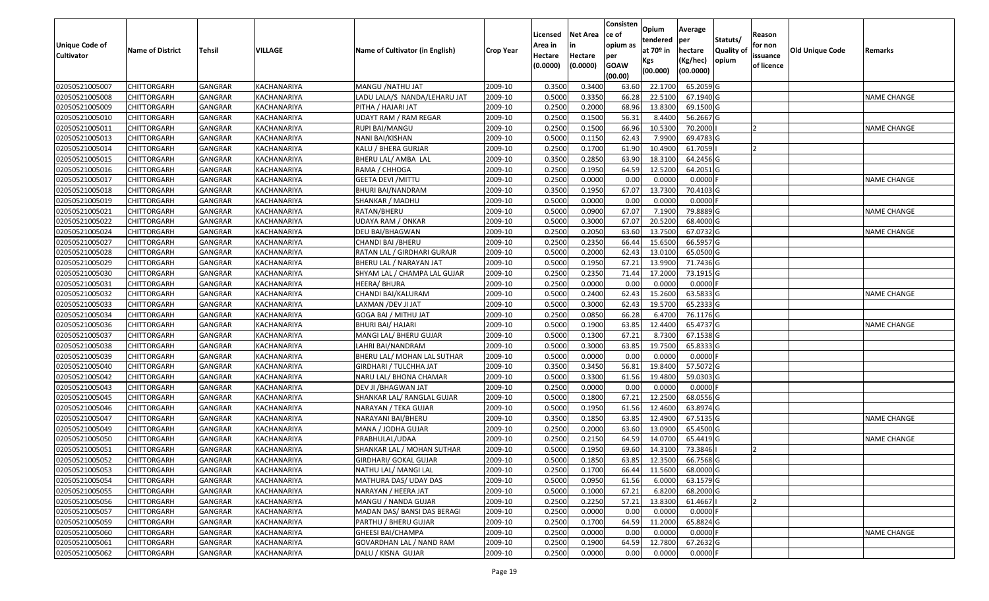|                                  |                                          |                    |                            |                                              |                    | Licensed            | <b>Net Area</b>     | Consisten<br>ce of | Opium<br>tendered  | Average<br>per         | Statuts/          | Reason                 |                        |                    |
|----------------------------------|------------------------------------------|--------------------|----------------------------|----------------------------------------------|--------------------|---------------------|---------------------|--------------------|--------------------|------------------------|-------------------|------------------------|------------------------|--------------------|
| <b>Unique Code of</b>            | <b>Name of District</b>                  | <b>Tehsil</b>      | VILLAGE                    | Name of Cultivator (in English)              | <b>Crop Year</b>   | Area in             | in                  | opium as           | at 70º in          | hectare                | <b>Quality of</b> | for non                | <b>Old Unique Code</b> | Remarks            |
| <b>Cultivator</b>                |                                          |                    |                            |                                              |                    | Hectare<br>(0.0000) | Hectare<br>(0.0000) | per<br><b>GOAW</b> | Kgs                | (Kg/hec)               | opium             | issuance<br>of licence |                        |                    |
|                                  |                                          |                    |                            |                                              |                    |                     |                     | (00.00)            | (00.000)           | (00.0000)              |                   |                        |                        |                    |
| 02050521005007                   | <b>CHITTORGARH</b>                       | GANGRAR            | KACHANARIYA                | MANGU /NATHU JAT                             | 2009-10            | 0.3500              | 0.3400              | 63.60              | 22.1700            | 65.2059 G              |                   |                        |                        |                    |
| 02050521005008                   | <b>CHITTORGARH</b>                       | GANGRAR            | KACHANARIYA                | LADU LALA/S NANDA/LEHARU JAT                 | 2009-10            | 0.5000              | 0.3350              | 66.28              | 22.5100            | 67.1940 G              |                   |                        |                        | <b>NAME CHANGE</b> |
| 02050521005009                   | <b>CHITTORGARH</b>                       | GANGRAR            | KACHANARIYA                | PITHA / HAJARI JAT                           | 2009-10            | 0.2500              | 0.2000              | 68.96              | 13.8300            | 69.1500 G              |                   |                        |                        |                    |
| 02050521005010                   | <b>CHITTORGARH</b>                       | GANGRAR            | KACHANARIYA                | <b>UDAYT RAM / RAM REGAR</b>                 | 2009-10            | 0.2500              | 0.1500              | 56.31              | 8.4400             | 56.2667 G              |                   |                        |                        |                    |
| 02050521005011                   | <b>CHITTORGARH</b>                       | GANGRAR            | KACHANARIYA                | RUPI BAI/MANGU                               | 2009-10            | 0.2500              | 0.1500              | 66.96              | 10.5300            | 70.2000                |                   |                        |                        | <b>NAME CHANGE</b> |
| 02050521005013                   | <b>CHITTORGARH</b>                       | GANGRAR            | KACHANARIYA                | NANI BAI/KISHAN                              | 2009-10            | 0.5000              | 0.1150              | 62.43              | 7.9900             | 69.4783 G              |                   |                        |                        |                    |
| 02050521005014                   | <b>CHITTORGARH</b>                       | GANGRAR            | KACHANARIYA                | KALU / BHERA GURJAR                          | 2009-10            | 0.2500              | 0.1700              | 61.90              | 10.4900            | 61.7059                |                   |                        |                        |                    |
| 02050521005015                   | <b>CHITTORGARH</b>                       | GANGRAR            | KACHANARIYA                | BHERU LAL/ AMBA LAL                          | 2009-10            | 0.3500              | 0.2850              | 63.90              | 18.3100            | 64.2456 G              |                   |                        |                        |                    |
| 02050521005016                   | <b>CHITTORGARH</b>                       | GANGRAR            | KACHANARIYA                | RAMA / CHHOGA                                | 2009-10            | 0.2500              | 0.1950              | 64.59              | 12.5200            | 64.2051 G              |                   |                        |                        |                    |
| 02050521005017                   | <b>CHITTORGARH</b>                       | GANGRAR            | KACHANARIYA                | <b>GEETA DEVI / MITTU</b>                    | 2009-10            | 0.2500              | 0.0000              | 0.00               | 0.0000             | $0.0000$ F             |                   |                        |                        | NAME CHANGE        |
| 02050521005018                   | <b>CHITTORGARH</b>                       | GANGRAR            | KACHANARIYA                | BHURI BAI/NANDRAM                            | 2009-10            | 0.3500              | 0.1950              | 67.07              | 13.7300            | 70.4103 G              |                   |                        |                        |                    |
| 02050521005019                   | <b>CHITTORGARH</b>                       | GANGRAR            | KACHANARIYA                | SHANKAR / MADHU                              | 2009-10            | 0.5000              | 0.0000              | 0.00               | 0.0000             | $0.0000$ F             |                   |                        |                        |                    |
| 02050521005021                   | <b>CHITTORGARH</b>                       | <b>GANGRAR</b>     | KACHANARIYA                | RATAN/BHERU                                  | 2009-10            | 0.5000              | 0.0900              | 67.07              | 7.1900             | 79.8889 G              |                   |                        |                        | <b>NAME CHANGE</b> |
| 02050521005022                   | <b>CHITTORGARH</b>                       | GANGRAR            | KACHANARIYA                | UDAYA RAM / ONKAR                            | 2009-10            | 0.5000              | 0.3000              | 67.07              | 20.5200            | 68.4000 G              |                   |                        |                        |                    |
| 02050521005024                   | <b>CHITTORGARH</b>                       | GANGRAR            | KACHANARIYA                | DEU BAI/BHAGWAN                              | 2009-10            | 0.2500              | 0.2050              | 63.60              | 13.7500            | 67.0732 G              |                   |                        |                        | <b>NAME CHANGE</b> |
| 02050521005027                   | <b>CHITTORGARH</b>                       | GANGRAR            | KACHANARIYA                | CHANDI BAI / BHERU                           | 2009-10            | 0.2500              | 0.2350              | 66.44              | 15.6500            | 66.5957 G              |                   |                        |                        |                    |
| 02050521005028                   | <b>CHITTORGARH</b>                       | GANGRAR            | KACHANARIYA                | RATAN LAL / GIRDHARI GURAJR                  | 2009-10            | 0.5000              | 0.2000              | 62.43              | 13.0100            | 65.0500 G              |                   |                        |                        |                    |
| 02050521005029                   | <b>CHITTORGARH</b>                       | GANGRAR            | KACHANARIYA                | BHERU LAL / NARAYAN JAT                      | 2009-10            | 0.5000              | 0.1950              | 67.21              | 13.9900            | 71.7436 G              |                   |                        |                        |                    |
| 02050521005030                   | <b>CHITTORGARH</b>                       | GANGRAR            | KACHANARIYA                | SHYAM LAL / CHAMPA LAL GUJAR                 | 2009-10            | 0.2500              | 0.2350              | 71.44              | 17.2000            | 73.1915 G              |                   |                        |                        |                    |
| 02050521005031                   | <b>CHITTORGARH</b>                       | GANGRAR            | KACHANARIYA                | HEERA/BHURA                                  | 2009-10            | 0.2500              | 0.0000              | 0.00               | 0.0000             | $0.0000$ F             |                   |                        |                        |                    |
| 02050521005032                   | <b>CHITTORGARH</b>                       | GANGRAR            | KACHANARIYA                | CHANDI BAI/KALURAM                           | 2009-10            | 0.5000              | 0.2400              | 62.43              | 15.2600            | 63.5833 G              |                   |                        |                        | <b>NAME CHANGE</b> |
| 02050521005033                   | <b>CHITTORGARH</b>                       | GANGRAR            | KACHANARIYA                | LAXMAN /DEV JI JAT                           | 2009-10            | 0.5000              | 0.3000              | 62.43              | 19.5700            | 65.2333 G              |                   |                        |                        |                    |
| 02050521005034                   | <b>CHITTORGARH</b>                       | GANGRAR            | KACHANARIYA                | GOGA BAI / MITHU JAT                         | 2009-10            | 0.2500              | 0.0850              | 66.28              | 6.4700             | 76.1176 G              |                   |                        |                        |                    |
| 02050521005036                   | <b>CHITTORGARH</b>                       | GANGRAR            | KACHANARIYA                | <b>BHURI BAI/ HAJARI</b>                     | 2009-10            | 0.5000              | 0.1900              | 63.85              | 12.4400            | 65.4737 G              |                   |                        |                        | <b>NAME CHANGE</b> |
| 02050521005037                   | <b>CHITTORGARH</b>                       | GANGRAR            | KACHANARIYA                | MANGI LAL/ BHERU GUJAR                       | 2009-10            | 0.5000              | 0.1300              | 67.21              | 8.7300             | 67.1538 G              |                   |                        |                        |                    |
| 02050521005038                   | <b>CHITTORGARH</b>                       | GANGRAR            | KACHANARIYA                | LAHRI BAI/NANDRAM                            | 2009-10            | 0.5000              | 0.3000              | 63.85              | 19.7500            | 65.8333 G              |                   |                        |                        |                    |
| 02050521005039                   | <b>CHITTORGARH</b>                       | GANGRAR            | KACHANARIYA                | BHERU LAL/ MOHAN LAL SUTHAR                  | 2009-10            | 0.5000              | 0.0000              | 0.00               | 0.0000             | $0.0000$ F             |                   |                        |                        |                    |
| 02050521005040                   | <b>CHITTORGARH</b>                       | GANGRAR            | KACHANARIYA                | GIRDHARI / TULCHHA JAT                       | 2009-10            | 0.3500              | 0.3450              | 56.81              | 19.8400            | 57.5072 G              |                   |                        |                        |                    |
| 02050521005042                   | <b>CHITTORGARH</b>                       | GANGRAR            | KACHANARIYA                | NARU LAL/ BHONA CHAMAR                       | 2009-10            | 0.5000              | 0.3300              | 61.56              | 19.4800            | 59.0303 G              |                   |                        |                        |                    |
| 02050521005043                   | <b>CHITTORGARH</b>                       | GANGRAR            | KACHANARIYA                | DEV JI / BHAGWAN JAT                         | 2009-10            | 0.2500              | 0.0000              | 0.00               | 0.0000             | $0.0000$ F             |                   |                        |                        |                    |
| 02050521005045                   | <b>CHITTORGARH</b>                       | GANGRAR            | KACHANARIYA                | SHANKAR LAL/ RANGLAL GUJAR                   | 2009-10            | 0.5000              | 0.1800              | 67.21              | 12.2500            | 68.0556 G              |                   |                        |                        |                    |
| 02050521005046                   | <b>CHITTORGARH</b>                       | GANGRAR            | KACHANARIYA                | NARAYAN / TEKA GUJAR                         | 2009-10            | 0.5000              | 0.1950              | 61.56              | 12.4600            | 63.8974 G              |                   |                        |                        |                    |
| 02050521005047                   | <b>CHITTORGARH</b>                       | GANGRAR            | KACHANARIYA                | NARAYANI BAI/BHERU                           | 2009-10            | 0.3500              | 0.1850              | 63.85              | 12.4900            | 67.5135 G              |                   |                        |                        | <b>NAME CHANGE</b> |
| 02050521005049<br>02050521005050 | <b>CHITTORGARH</b><br><b>CHITTORGARH</b> | GANGRAR<br>GANGRAR | KACHANARIYA                | MANA / JODHA GUJAR                           | 2009-10            | 0.2500<br>0.2500    | 0.2000<br>0.2150    | 63.60<br>64.59     | 13.0900<br>14.0700 | 65.4500 G<br>65.4419 G |                   |                        |                        |                    |
|                                  | <b>CHITTORGARH</b>                       |                    | KACHANARIYA                | PRABHULAL/UDAA                               | 2009-10            | 0.5000              | 0.1950              | 69.60              | 14.3100            |                        |                   |                        |                        | NAME CHANGE        |
| 02050521005051                   | CHITTORGARH                              | GANGRAR<br>GANGRAR | KACHANARIYA<br>KACHANARIYA | SHANKAR LAL / MOHAN SUTHAR                   | 2009-10<br>2009-10 | 0.5000              | 0.1850              | 63.85              | 12.3500            | 73.3846<br>66.7568 G   |                   |                        |                        |                    |
| 02050521005052                   |                                          |                    |                            | GIRDHARI/ GOKAL GUJAR                        |                    |                     | 0.1700              |                    | 11.5600            | 68.0000 G              |                   |                        |                        |                    |
| 02050521005053<br>02050521005054 | <b>CHITTORGARH</b><br><b>CHITTORGARH</b> | GANGRAR<br>GANGRAR | KACHANARIYA<br>KACHANARIYA | NATHU LAL/ MANGI LAL                         | 2009-10<br>2009-10 | 0.2500<br>0.5000    | 0.0950              | 66.44<br>61.56     | 6.0000             | 63.1579 G              |                   |                        |                        |                    |
| 02050521005055                   | <b>CHITTORGARH</b>                       | GANGRAR            | KACHANARIYA                | MATHURA DAS/ UDAY DAS<br>NARAYAN / HEERA JAT | 2009-10            | 0.5000              | 0.1000              | 67.21              | 6.8200             | 68.2000 G              |                   |                        |                        |                    |
| 02050521005056                   | <b>CHITTORGARH</b>                       | GANGRAR            | KACHANARIYA                | MANGU / NANDA GUJAR                          | 2009-10            | 0.2500              | 0.2250              | 57.21              | 13.8300            | 61.4667                |                   | 12                     |                        |                    |
| 02050521005057                   | <b>CHITTORGARH</b>                       | GANGRAR            | KACHANARIYA                | MADAN DAS/ BANSI DAS BERAGI                  | 2009-10            | 0.2500              | 0.0000              | 0.00               | 0.0000             | $0.0000$ F             |                   |                        |                        |                    |
| 02050521005059                   | <b>CHITTORGARH</b>                       | GANGRAR            | KACHANARIYA                | PARTHU / BHERU GUJAR                         | 2009-10            | 0.2500              | 0.1700              | 64.59              | 11.2000            | 65.8824 G              |                   |                        |                        |                    |
| 02050521005060                   | <b>CHITTORGARH</b>                       | GANGRAR            | KACHANARIYA                | <b>GHEESI BAI/CHAMPA</b>                     | 2009-10            | 0.2500              | 0.0000              | 0.00               | 0.0000             | $0.0000$ F             |                   |                        |                        | <b>NAME CHANGE</b> |
| 02050521005061                   | <b>CHITTORGARH</b>                       | GANGRAR            | KACHANARIYA                | GOVARDHAN LAL / NAND RAM                     | 2009-10            | 0.2500              | 0.1900              | 64.59              | 12.7800            | 67.2632 G              |                   |                        |                        |                    |
| 02050521005062                   | <b>CHITTORGARH</b>                       | GANGRAR            | KACHANARIYA                | DALU / KISNA GUJAR                           | 2009-10            | 0.2500              | 0.0000              | 0.00               | 0.0000             | 0.0000 F               |                   |                        |                        |                    |
|                                  |                                          |                    |                            |                                              |                    |                     |                     |                    |                    |                        |                   |                        |                        |                    |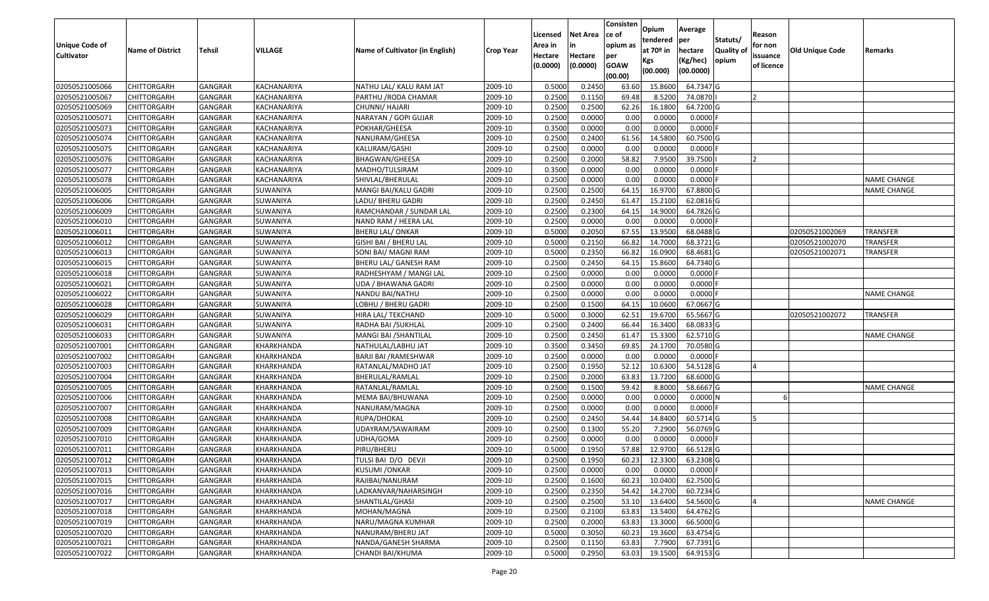| <b>Unique Code of</b><br><b>Cultivator</b> | <b>Name of District</b> | <b>Tehsil</b> | VILLAGE     | Name of Cultivator (in English) | <b>Crop Year</b> | Licensed<br>Area in<br>Hectare<br>(0.0000) | <b>Net Area</b><br>in<br>Hectare<br>(0.0000) | Consisten<br>ce of<br>opium as<br>per<br><b>GOAW</b><br>(00.00) | Opium<br>tendered<br>at 70º in<br>Kgs<br>(00.000) | Average<br><b>per</b><br>hectare<br>(Kg/hec)<br>(00.0000) | Statuts/<br><b>Quality of</b><br>opium | Reason<br>for non<br>issuance<br>of licence | <b>Old Unique Code</b> | Remarks            |
|--------------------------------------------|-------------------------|---------------|-------------|---------------------------------|------------------|--------------------------------------------|----------------------------------------------|-----------------------------------------------------------------|---------------------------------------------------|-----------------------------------------------------------|----------------------------------------|---------------------------------------------|------------------------|--------------------|
| 02050521005066                             | <b>CHITTORGARH</b>      | GANGRAR       | KACHANARIYA | NATHU LAL/ KALU RAM JAT         | 2009-10          | 0.5000                                     | 0.2450                                       | 63.60                                                           | 15.8600                                           | 64.7347 G                                                 |                                        |                                             |                        |                    |
| 02050521005067                             | <b>CHITTORGARH</b>      | GANGRAR       | KACHANARIYA | PARTHU /RODA CHAMAR             | 2009-10          | 0.2500                                     | 0.1150                                       | 69.48                                                           | 8.5200                                            | 74.0870                                                   |                                        |                                             |                        |                    |
| 02050521005069                             | <b>CHITTORGARH</b>      | GANGRAR       | KACHANARIYA | CHUNNI/ HAJARI                  | 2009-10          | 0.2500                                     | 0.2500                                       | 62.26                                                           | 16.1800                                           | 64.7200 G                                                 |                                        |                                             |                        |                    |
| 02050521005071                             | <b>CHITTORGARH</b>      | GANGRAR       | KACHANARIYA | NARAYAN / GOPI GUJAR            | 2009-10          | 0.2500                                     | 0.0000                                       | 0.00                                                            | 0.0000                                            | $0.0000$ F                                                |                                        |                                             |                        |                    |
| 02050521005073                             | <b>CHITTORGARH</b>      | GANGRAR       | KACHANARIYA | POKHAR/GHEESA                   | 2009-10          | 0.3500                                     | 0.0000                                       | 0.00                                                            | 0.0000                                            | $0.0000$ F                                                |                                        |                                             |                        |                    |
| 02050521005074                             | <b>CHITTORGARH</b>      | GANGRAR       | KACHANARIYA | NANURAM/GHEESA                  | 2009-10          | 0.2500                                     | 0.2400                                       | 61.56                                                           | 14.5800                                           | 60.7500 G                                                 |                                        |                                             |                        |                    |
| 02050521005075                             | <b>CHITTORGARH</b>      | GANGRAR       | KACHANARIYA | KALURAM/GASHI                   | 2009-10          | 0.2500                                     | 0.0000                                       | 0.00                                                            | 0.0000                                            | $0.0000$ F                                                |                                        |                                             |                        |                    |
| 02050521005076                             | <b>CHITTORGARH</b>      | GANGRAR       | KACHANARIYA | BHAGWAN/GHEESA                  | 2009-10          | 0.2500                                     | 0.2000                                       | 58.82                                                           | 7.9500                                            | 39.7500                                                   |                                        |                                             |                        |                    |
| 02050521005077                             | <b>CHITTORGARH</b>      | GANGRAR       | KACHANARIYA | MADHO/TULSIRAM                  | 2009-10          | 0.3500                                     | 0.0000                                       | 0.00                                                            | 0.0000                                            | $0.0000$ F                                                |                                        |                                             |                        |                    |
| 02050521005078                             | <b>CHITTORGARH</b>      | GANGRAR       | KACHANARIYA | SHIVLAL/BHERULAL                | 2009-10          | 0.2500                                     | 0.0000                                       | 0.00                                                            | 0.0000                                            | $0.0000$ F                                                |                                        |                                             |                        | <b>NAME CHANGE</b> |
| 02050521006005                             | <b>CHITTORGARH</b>      | GANGRAR       | SUWANIYA    | MANGI BAI/KALU GADRI            | 2009-10          | 0.2500                                     | 0.2500                                       | 64.1                                                            | 16.9700                                           | 67.8800 G                                                 |                                        |                                             |                        | <b>NAME CHANGE</b> |
| 02050521006006                             | <b>CHITTORGARH</b>      | GANGRAR       | SUWANIYA    | LADU/ BHERU GADRI               | 2009-10          | 0.2500                                     | 0.2450                                       | 61.47                                                           | 15.2100                                           | 62.0816 G                                                 |                                        |                                             |                        |                    |
| 02050521006009                             | <b>CHITTORGARH</b>      | GANGRAR       | SUWANIYA    | RAMCHANDAR / SUNDAR LAL         | 2009-10          | 0.2500                                     | 0.2300                                       | 64.15                                                           | 14.9000                                           | 64.7826 G                                                 |                                        |                                             |                        |                    |
| 02050521006010                             | <b>CHITTORGARH</b>      | GANGRAR       | SUWANIYA    | NAND RAM / HEERA LAL            | 2009-10          | 0.2500                                     | 0.0000                                       | 0.00                                                            | 0.0000                                            | 0.0000F                                                   |                                        |                                             |                        |                    |
| 02050521006011                             | <b>CHITTORGARH</b>      | GANGRAR       | SUWANIYA    | <b>BHERU LAL/ ONKAR</b>         | 2009-10          | 0.5000                                     | 0.2050                                       | 67.55                                                           | 13.9500                                           | 68.0488 G                                                 |                                        |                                             | 02050521002069         | TRANSFER           |
| 02050521006012                             | <b>CHITTORGARH</b>      | GANGRAR       | SUWANIYA    | GISHI BAI / BHERU LAL           | 2009-10          | 0.5000                                     | 0.2150                                       | 66.82                                                           | 14.7000                                           | 68.3721 G                                                 |                                        |                                             | 02050521002070         | <b>TRANSFER</b>    |
| 02050521006013                             | <b>CHITTORGARH</b>      | GANGRAR       | SUWANIYA    | SONI BAI/ MAGNI RAM             | 2009-10          | 0.5000                                     | 0.2350                                       | 66.82                                                           | 16.0900                                           | 68.4681 G                                                 |                                        |                                             | 02050521002071         | <b>TRANSFER</b>    |
| 02050521006015                             | <b>CHITTORGARH</b>      | GANGRAR       | SUWANIYA    | BHERU LAL/ GANESH RAM           | 2009-10          | 0.2500                                     | 0.2450                                       | 64.15                                                           | 15.8600                                           | 64.7340 G                                                 |                                        |                                             |                        |                    |
| 02050521006018                             | <b>CHITTORGARH</b>      | GANGRAR       | SUWANIYA    | RADHESHYAM / MANGI LAL          | 2009-10          | 0.2500                                     | 0.0000                                       | 0.00                                                            | 0.0000                                            | $0.0000$ F                                                |                                        |                                             |                        |                    |
| 02050521006021                             | <b>CHITTORGARH</b>      | GANGRAR       | SUWANIYA    | UDA / BHAWANA GADRI             | 2009-10          | 0.2500                                     | 0.0000                                       | 0.00                                                            | 0.0000                                            | $0.0000$ F                                                |                                        |                                             |                        |                    |
| 02050521006022                             | <b>CHITTORGARH</b>      | GANGRAR       | SUWANIYA    | NANDU BAI/NATHU                 | 2009-10          | 0.2500                                     | 0.0000                                       | 0.00                                                            | 0.0000                                            | $0.0000$ F                                                |                                        |                                             |                        | <b>NAME CHANGE</b> |
| 02050521006028                             | <b>CHITTORGARH</b>      | GANGRAR       | SUWANIYA    | LOBHU / BHERU GADRI             | 2009-10          | 0.2500                                     | 0.1500                                       | 64.15                                                           | 10.0600                                           | 67.0667 G                                                 |                                        |                                             |                        |                    |
| 02050521006029                             | <b>CHITTORGARH</b>      | GANGRAR       | SUWANIYA    | HIRA LAL/ TEKCHAND              | 2009-10          | 0.5000                                     | 0.3000                                       | 62.51                                                           | 19.6700                                           | 65.5667 G                                                 |                                        |                                             | 02050521002072         | TRANSFER           |
| 02050521006031                             | <b>CHITTORGARH</b>      | GANGRAR       | SUWANIYA    | RADHA BAI / SUKHLAL             | 2009-10          | 0.2500                                     | 0.2400                                       | 66.44                                                           | 16.3400                                           | 68.0833 G                                                 |                                        |                                             |                        |                    |
| 02050521006033                             | <b>CHITTORGARH</b>      | GANGRAR       | SUWANIYA    | MANGI BAI / SHANTILAL           | 2009-10          | 0.2500                                     | 0.2450                                       | 61.4                                                            | 15.3300                                           | 62.5710 G                                                 |                                        |                                             |                        | <b>NAME CHANGE</b> |
| 02050521007001                             | <b>CHITTORGARH</b>      | GANGRAR       | KHARKHANDA  | NATHULAL/LABHU JAT              | 2009-10          | 0.3500                                     | 0.3450                                       | 69.85                                                           | 24.1700                                           | 70.0580 G                                                 |                                        |                                             |                        |                    |
| 02050521007002                             | <b>CHITTORGARH</b>      | GANGRAR       | KHARKHANDA  | BARJI BAI /RAMESHWAR            | 2009-10          | 0.2500                                     | 0.0000                                       | 0.00                                                            | 0.0000                                            | $0.0000$ F                                                |                                        |                                             |                        |                    |
| 02050521007003                             | <b>CHITTORGARH</b>      | GANGRAR       | KHARKHANDA  | RATANLAL/MADHO JAT              | 2009-10          | 0.2500                                     | 0.1950                                       | 52.12                                                           | 10.6300                                           | 54.5128 G                                                 |                                        | IΔ                                          |                        |                    |
| 02050521007004                             | <b>CHITTORGARH</b>      | GANGRAR       | KHARKHANDA  | BHERULAL/RAMLAL                 | 2009-10          | 0.2500                                     | 0.2000                                       | 63.83                                                           | 13.7200                                           | 68.6000 G                                                 |                                        |                                             |                        |                    |
| 02050521007005                             | <b>CHITTORGARH</b>      | GANGRAR       | KHARKHANDA  | RATANLAL/RAMLAL                 | 2009-10          | 0.2500                                     | 0.1500                                       | 59.42                                                           | 8.8000                                            | 58.6667 G                                                 |                                        |                                             |                        | <b>NAME CHANGE</b> |
| 02050521007006                             | <b>CHITTORGARH</b>      | GANGRAR       | KHARKHANDA  | MEMA BAI/BHUWANA                | 2009-10          | 0.2500                                     | 0.0000                                       | 0.00                                                            | 0.0000                                            | 0.0000N                                                   |                                        |                                             |                        |                    |
| 02050521007007                             | <b>CHITTORGARH</b>      | GANGRAR       | KHARKHANDA  | NANURAM/MAGNA                   | 2009-10          | 0.2500                                     | 0.0000                                       | 0.00                                                            | 0.0000                                            | $0.0000$ F                                                |                                        |                                             |                        |                    |
| 02050521007008                             | <b>CHITTORGARH</b>      | GANGRAR       | KHARKHANDA  | RUPA/DHOKAL                     | 2009-10          | 0.2500                                     | 0.2450                                       | 54.44                                                           | 14.8400                                           | 60.5714 G                                                 |                                        |                                             |                        |                    |
| 02050521007009                             | <b>CHITTORGARH</b>      | GANGRAR       | KHARKHANDA  | UDAYRAM/SAWAIRAM                | 2009-10          | 0.2500                                     | 0.1300                                       | 55.20                                                           | 7.2900                                            | 56.0769 G                                                 |                                        |                                             |                        |                    |
| 02050521007010                             | CHITTORGARH             | GANGRAR       | KHARKHANDA  | UDHA/GOMA                       | 2009-10          | 0.2500                                     | 0.0000                                       | 0.00                                                            | 0.0000                                            | $0.0000$ F                                                |                                        |                                             |                        |                    |
| 02050521007011                             | <b>CHITTORGARH</b>      | GANGRAR       | KHARKHANDA  | PIRU/BHERU                      | 2009-10          | 0.5000                                     | 0.1950                                       | 57.88                                                           | 12.9700                                           | 66.5128 G                                                 |                                        |                                             |                        |                    |
| 02050521007012                             | <b>CHITTORGARH</b>      | GANGRAR       | KHARKHANDA  | TULSI BAI D/O DEVJI             | 2009-10          | 0.2500                                     | 0.1950                                       | 60.23                                                           | 12.3300                                           | 63.2308 G                                                 |                                        |                                             |                        |                    |
| 02050521007013                             | <b>CHITTORGARH</b>      | GANGRAR       | KHARKHANDA  | KUSUMI /ONKAR                   | 2009-10          | 0.2500                                     | 0.0000                                       | 0.00                                                            | 0.0000                                            | 0.0000F                                                   |                                        |                                             |                        |                    |
| 02050521007015                             | <b>CHITTORGARH</b>      | GANGRAR       | KHARKHANDA  | RAJIBAI/NANURAM                 | 2009-10          | 0.2500                                     | 0.1600                                       | 60.23                                                           | 10.0400                                           | 62.7500 G                                                 |                                        |                                             |                        |                    |
| 02050521007016                             | <b>CHITTORGARH</b>      | GANGRAR       | KHARKHANDA  | LADKANVAR/NAHARSINGH            | 2009-10          | 0.2500                                     | 0.2350                                       | 54.42                                                           | 14.2700                                           | 60.7234 G                                                 |                                        |                                             |                        |                    |
| 02050521007017                             | <b>CHITTORGARH</b>      | GANGRAR       | KHARKHANDA  | SHANTILAL/GHASI                 | 2009-10          | 0.2500                                     | 0.2500                                       | 53.10                                                           | 13.6400                                           | 54.5600 G                                                 |                                        |                                             |                        | <b>NAME CHANGE</b> |
| 02050521007018                             | <b>CHITTORGARH</b>      | GANGRAR       | KHARKHANDA  | MOHAN/MAGNA                     | 2009-10          | 0.2500                                     | 0.2100                                       | 63.83                                                           | 13.5400                                           | 64.4762 G                                                 |                                        |                                             |                        |                    |
| 02050521007019                             | <b>CHITTORGARH</b>      | GANGRAR       | KHARKHANDA  | NARU/MAGNA KUMHAR               | 2009-10          | 0.2500                                     | 0.2000                                       | 63.83                                                           | 13.3000                                           | 66.5000 G                                                 |                                        |                                             |                        |                    |
| 02050521007020                             | <b>CHITTORGARH</b>      | GANGRAR       | KHARKHANDA  | NANURAM/BHERU JAT               | 2009-10          | 0.5000                                     | 0.3050                                       | 60.23                                                           | 19.3600                                           | 63.4754 G                                                 |                                        |                                             |                        |                    |
| 02050521007021                             | <b>CHITTORGARH</b>      | GANGRAR       | KHARKHANDA  | NANDA/GANESH SHARMA             | 2009-10          | 0.2500                                     | 0.1150                                       | 63.83                                                           | 7.7900                                            | 67.7391 G                                                 |                                        |                                             |                        |                    |
| 02050521007022                             | <b>CHITTORGARH</b>      | GANGRAR       | KHARKHANDA  | CHANDI BAI/KHUMA                | 2009-10          | 0.5000                                     | 0.2950                                       | 63.03                                                           | 19.1500                                           | 64.9153 G                                                 |                                        |                                             |                        |                    |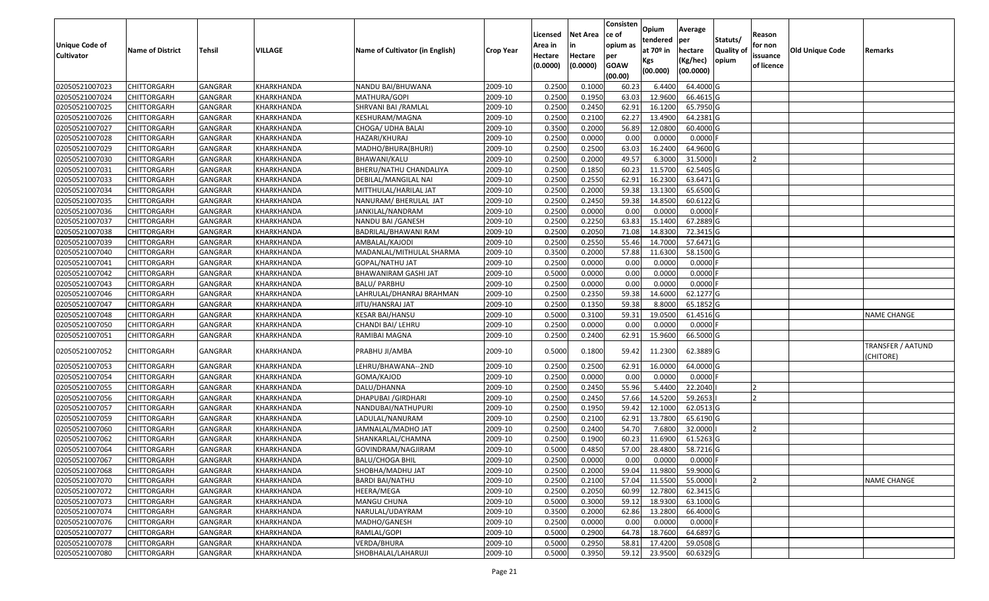|                       |                         |                |                |                                 |                  | Licensed | <b>Net Area</b> | Consisten<br>ce of | Opium       | Average    |                  | Reason     |                 |                                      |
|-----------------------|-------------------------|----------------|----------------|---------------------------------|------------------|----------|-----------------|--------------------|-------------|------------|------------------|------------|-----------------|--------------------------------------|
| <b>Unique Code of</b> |                         |                |                |                                 |                  | Area in  | in              | opium as           | tendered    | per        | Statuts/         | for non    |                 |                                      |
| <b>Cultivator</b>     | <b>Name of District</b> | <b>Tehsil</b>  | <b>VILLAGE</b> | Name of Cultivator (in English) | <b>Crop Year</b> | Hectare  | Hectare         | per                | at $70°$ in | hectare    | <b>Quality o</b> | issuance   | Old Unique Code | Remarks                              |
|                       |                         |                |                |                                 |                  | (0.0000) | (0.0000)        | <b>GOAW</b>        | Kgs         | (Kg/hec)   | opium            | of licence |                 |                                      |
|                       |                         |                |                |                                 |                  |          |                 | (00.00)            | (00.000)    | (00.0000)  |                  |            |                 |                                      |
| 02050521007023        | CHITTORGARH             | GANGRAR        | KHARKHANDA     | NANDU BAI/BHUWANA               | 2009-10          | 0.2500   | 0.1000          | 60.23              | 6.4400      | 64.4000 G  |                  |            |                 |                                      |
| 02050521007024        | CHITTORGARH             | GANGRAR        | KHARKHANDA     | MATHURA/GOPI                    | 2009-10          | 0.2500   | 0.1950          | 63.03              | 12.9600     | 66.4615 G  |                  |            |                 |                                      |
| 02050521007025        | CHITTORGARH             | GANGRAR        | KHARKHANDA     | SHRVANI BAI / RAMLAL            | 2009-10          | 0.2500   | 0.2450          | 62.91              | 16.1200     | 65.7950 G  |                  |            |                 |                                      |
| 02050521007026        | <b>CHITTORGARH</b>      | <b>GANGRAR</b> | KHARKHANDA     | KESHURAM/MAGNA                  | 2009-10          | 0.2500   | 0.2100          | 62.27              | 13.4900     | 64.2381G   |                  |            |                 |                                      |
| 02050521007027        | CHITTORGARH             | GANGRAR        | KHARKHANDA     | CHOGA/ UDHA BALAI               | 2009-10          | 0.3500   | 0.2000          | 56.89              | 12.0800     | 60.4000 G  |                  |            |                 |                                      |
| 02050521007028        | <b>CHITTORGARH</b>      | <b>GANGRAR</b> | KHARKHANDA     | HAZARI/KHURAJ                   | 2009-10          | 0.2500   | 0.0000          | 0.00               | 0.0000      | $0.0000$ F |                  |            |                 |                                      |
| 02050521007029        | CHITTORGARH             | GANGRAR        | KHARKHANDA     | MADHO/BHURA(BHURI)              | 2009-10          | 0.2500   | 0.2500          | 63.03              | 16.2400     | 64.9600 G  |                  |            |                 |                                      |
| 02050521007030        | <b>CHITTORGARH</b>      | <b>GANGRAR</b> | KHARKHANDA     | BHAWANI/KALU                    | 2009-10          | 0.2500   | 0.2000          | 49.57              | 6.3000      | 31.5000    |                  |            |                 |                                      |
| 02050521007031        | CHITTORGARH             | GANGRAR        | KHARKHANDA     | BHERU/NATHU CHANDALIYA          | 2009-10          | 0.2500   | 0.1850          | 60.23              | 11.5700     | 62.5405 G  |                  |            |                 |                                      |
| 02050521007033        | CHITTORGARH             | <b>GANGRAR</b> | KHARKHANDA     | DEBILAL/MANGILAL NAI            | 2009-10          | 0.2500   | 0.2550          | 62.91              | 16.2300     | 63.6471 G  |                  |            |                 |                                      |
| 02050521007034        | CHITTORGARH             | GANGRAR        | KHARKHANDA     | MITTHULAL/HARILAL JAT           | 2009-10          | 0.2500   | 0.2000          | 59.38              | 13.1300     | 65.6500 G  |                  |            |                 |                                      |
| 02050521007035        | <b>CHITTORGARH</b>      | <b>GANGRAR</b> | KHARKHANDA     | NANURAM/ BHERULAL JAT           | 2009-10          | 0.2500   | 0.2450          | 59.38              | 14.8500     | 60.6122 G  |                  |            |                 |                                      |
| 02050521007036        | <b>CHITTORGARH</b>      | <b>GANGRAR</b> | KHARKHANDA     | JANKILAL/NANDRAM                | 2009-10          | 0.2500   | 0.0000          | 0.00               | 0.0000      | $0.0000$ F |                  |            |                 |                                      |
| 02050521007037        | <b>CHITTORGARH</b>      | GANGRAR        | KHARKHANDA     | NANDU BAI / GANESH              | 2009-10          | 0.2500   | 0.2250          | 63.83              | 15.1400     | 67.2889 G  |                  |            |                 |                                      |
| 02050521007038        | CHITTORGARH             | <b>GANGRAR</b> | KHARKHANDA     | BADRILAL/BHAWANI RAM            | 2009-10          | 0.2500   | 0.2050          | 71.08              | 14.8300     | 72.3415G   |                  |            |                 |                                      |
| 02050521007039        | CHITTORGARH             | <b>GANGRAR</b> | KHARKHANDA     | AMBALAL/KAJODI                  | 2009-10          | 0.2500   | 0.2550          | 55.46              | 14.7000     | 57.6471 G  |                  |            |                 |                                      |
| 02050521007040        | CHITTORGARH             | <b>GANGRAR</b> | KHARKHANDA     | MADANLAL/MITHULAL SHARMA        | 2009-10          | 0.3500   | 0.2000          | 57.88              | 11.6300     | 58.1500 G  |                  |            |                 |                                      |
| 02050521007041        | CHITTORGARH             | GANGRAR        | KHARKHANDA     | GOPAL/NATHU JAT                 | 2009-10          | 0.2500   | 0.0000          | 0.00               | 0.0000      | 0.0000     |                  |            |                 |                                      |
| 02050521007042        | CHITTORGARH             | <b>GANGRAR</b> | KHARKHANDA     | BHAWANIRAM GASHI JAT            | 2009-10          | 0.5000   | 0.0000          | 0.00               | 0.0000      | 0.0000     |                  |            |                 |                                      |
| 02050521007043        | CHITTORGARH             | GANGRAR        | KHARKHANDA     | BALU/ PARBHU                    | 2009-10          | 0.2500   | 0.0000          | 0.00               | 0.0000      | 0.0000     |                  |            |                 |                                      |
| 02050521007046        | CHITTORGARH             | <b>GANGRAR</b> | KHARKHANDA     | LAHRULAL/DHANRAJ BRAHMAN        | 2009-10          | 0.2500   | 0.2350          | 59.38              | 14.6000     | 62.1277 G  |                  |            |                 |                                      |
| 02050521007047        | CHITTORGARH             | GANGRAR        | KHARKHANDA     | JITU/HANSRAJ JAT                | 2009-10          | 0.2500   | 0.1350          | 59.38              | 8.8000      | 65.1852 G  |                  |            |                 |                                      |
| 02050521007048        | CHITTORGARH             | GANGRAR        | KHARKHANDA     | KESAR BAI/HANSU                 | 2009-10          | 0.5000   | 0.3100          | 59.31              | 19.0500     | 61.4516 G  |                  |            |                 | <b>NAME CHANGE</b>                   |
| 02050521007050        | CHITTORGARH             | GANGRAR        | KHARKHANDA     | CHANDI BAI/ LEHRU               | 2009-10          | 0.2500   | 0.0000          | 0.00               | 0.0000      | 0.0000F    |                  |            |                 |                                      |
| 02050521007051        | CHITTORGARH             | <b>GANGRAR</b> | KHARKHANDA     | RAMIBAI MAGNA                   | 2009-10          | 0.2500   | 0.2400          | 62.91              | 15.9600     | 66.5000G   |                  |            |                 |                                      |
| 02050521007052        | CHITTORGARH             | GANGRAR        | KHARKHANDA     | PRABHU JI/AMBA                  | 2009-10          | 0.5000   | 0.1800          | 59.42              | 11.2300     | 62.3889 G  |                  |            |                 | <b>TRANSFER / AATUND</b><br>CHITORE) |
| 02050521007053        | CHITTORGARH             | <b>GANGRAR</b> | KHARKHANDA     | LEHRU/BHAWANA--2ND              | 2009-10          | 0.2500   | 0.2500          | 62.91              | 16.0000     | 64.0000 G  |                  |            |                 |                                      |
| 02050521007054        | CHITTORGARH             | <b>GANGRAR</b> | KHARKHANDA     | GOMA/KAJOD                      | 2009-10          | 0.2500   | 0.0000          | 0.00               | 0.0000      | $0.0000$ F |                  |            |                 |                                      |
| 02050521007055        | CHITTORGARH             | <b>GANGRAR</b> | KHARKHANDA     | DALU/DHANNA                     | 2009-10          | 0.2500   | 0.2450          | 55.96              | 5.4400      | 22.2040    |                  |            |                 |                                      |
| 02050521007056        | CHITTORGARH             | GANGRAR        | KHARKHANDA     | DHAPUBAI / GIRDHARI             | 2009-10          | 0.2500   | 0.2450          | 57.66              | 14.5200     | 59.2653    |                  |            |                 |                                      |
| 02050521007057        | CHITTORGARH             | GANGRAR        | KHARKHANDA     | NANDUBAI/NATHUPURI              | 2009-10          | 0.2500   | 0.1950          | 59.42              | 12.1000     | 62.0513 G  |                  |            |                 |                                      |
| 02050521007059        | CHITTORGARH             | <b>GANGRAR</b> | KHARKHANDA     | LADULAL/NANURAM                 | 2009-10          | 0.2500   | 0.2100          | 62.91              | 13.7800     | 65.6190 G  |                  |            |                 |                                      |
| 02050521007060        | <b>CHITTORGARH</b>      | <b>GANGRAR</b> | KHARKHANDA     | JAMNALAL/MADHO JAT              | 2009-10          | 0.2500   | 0.2400          | 54.70              | 7.6800      | 32.0000    |                  |            |                 |                                      |
| 02050521007062        | CHITTORGARH             | GANGRAR        | KHARKHANDA     | SHANKARLAL/CHAMNA               | 2009-10          | 0.250    | 0.1900          | 60.23              | 11.6900     | 61.5263 G  |                  |            |                 |                                      |
| 02050521007064        | CHITTORGARH             | GANGRAR        | KHARKHANDA     | GOVINDRAM/NAGJIRAM              | 2009-10          | 0.5000   | 0.4850          | 57.00              | 28.4800     | 58.7216 G  |                  |            |                 |                                      |
| 02050521007067        | <b>CHITTORGARH</b>      | GANGRAR        | KHARKHANDA     | <b>BALU/CHOGA BHIL</b>          | 2009-10          | 0.2500   | 0.0000          | 0.00               | 0.0000      | $0.0000$ F |                  |            |                 |                                      |
| 02050521007068        | <b>CHITTORGARH</b>      | <b>GANGRAR</b> | KHARKHANDA     | SHOBHA/MADHU JAT                | 2009-10          | 0.2500   | 0.2000          | 59.04              | 11.9800     | 59.9000 G  |                  |            |                 |                                      |
| 02050521007070        | <b>CHITTORGARH</b>      | <b>GANGRAR</b> | KHARKHANDA     | <b>BARDI BAI/NATHU</b>          | 2009-10          | 0.2500   | 0.2100          | 57.04              | 11.5500     | 55.0000    |                  |            |                 | <b>NAME CHANGE</b>                   |
| 02050521007072        | <b>CHITTORGARH</b>      | <b>GANGRAR</b> | KHARKHANDA     | HEERA/MEGA                      | 2009-10          | 0.2500   | 0.2050          | 60.99              | 12.7800     | 62.3415 G  |                  |            |                 |                                      |
| 02050521007073        | CHITTORGARH             | <b>GANGRAR</b> | KHARKHANDA     | MANGU CHUNA                     | 2009-10          | 0.5000   | 0.3000          | 59.12              | 18.9300     | 63.1000 G  |                  |            |                 |                                      |
| 02050521007074        | <b>CHITTORGARH</b>      | <b>GANGRAR</b> | KHARKHANDA     | NARULAL/UDAYRAM                 | 2009-10          | 0.3500   | 0.2000          | 62.86              | 13.2800     | 66.4000 G  |                  |            |                 |                                      |
| 02050521007076        | <b>CHITTORGARH</b>      | <b>GANGRAR</b> | KHARKHANDA     | MADHO/GANESH                    | 2009-10          | 0.2500   | 0.0000          | 0.00               | 0.0000      | $0.0000$ F |                  |            |                 |                                      |
| 02050521007077        | <b>CHITTORGARH</b>      | <b>GANGRAR</b> | KHARKHANDA     | RAMLAL/GOPI                     | 2009-10          | 0.5000   | 0.2900          | 64.78              | 18.7600     | 64.6897 G  |                  |            |                 |                                      |
| 02050521007078        | <b>CHITTORGARH</b>      | <b>GANGRAR</b> | KHARKHANDA     | VERDA/BHURA                     | 2009-10          | 0.5000   | 0.2950          | 58.81              | 17.4200     | 59.0508 G  |                  |            |                 |                                      |
| 02050521007080        | <b>CHITTORGARH</b>      | <b>GANGRAR</b> | KHARKHANDA     | SHOBHALAL/LAHARUJI              | 2009-10          | 0.5000   | 0.3950          | 59.12              | 23.9500     | 60.6329 G  |                  |            |                 |                                      |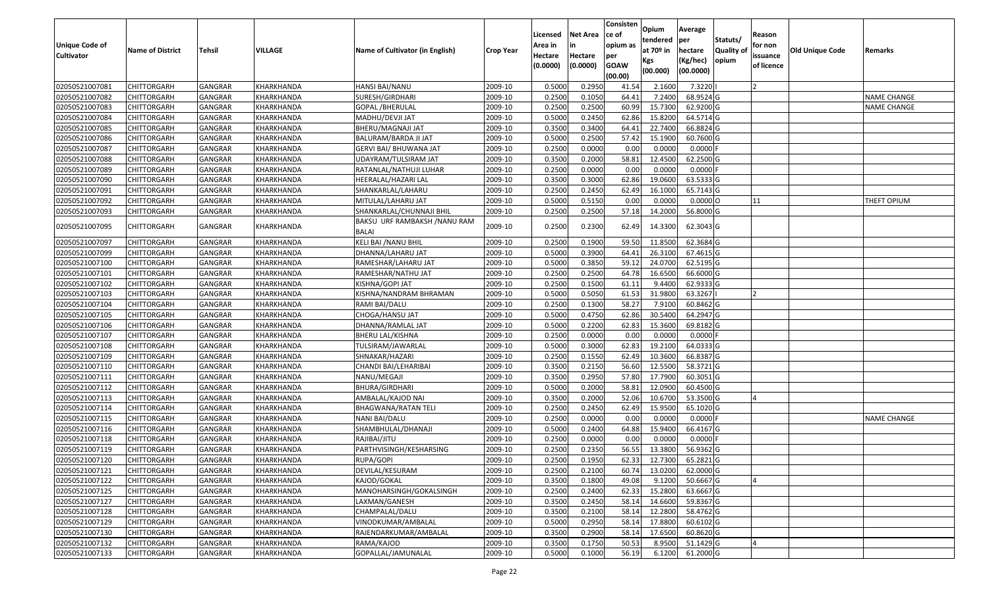| <b>Unique Code of</b> |                         |                |            |                                              |                  | Licensed<br>Area in | <b>Net Area</b><br>in | Consisten<br>lce of<br>opium as | Opium<br>tendered            | Average<br>per                   | Statuts/                  | Reason<br>for non      |                 |                    |
|-----------------------|-------------------------|----------------|------------|----------------------------------------------|------------------|---------------------|-----------------------|---------------------------------|------------------------------|----------------------------------|---------------------------|------------------------|-----------------|--------------------|
| <b>Cultivator</b>     | <b>Name of District</b> | Tehsil         | VILLAGE    | Name of Cultivator (in English)              | <b>Crop Year</b> | Hectare<br>(0.0000) | Hectare<br>(0.0000)   | per<br><b>GOAW</b><br>(00.00)   | at 70º in<br>Kgs<br>(00.000) | hectare<br>(Kg/hec)<br>(00.0000) | <b>Quality o</b><br>opium | issuance<br>of licence | Old Unique Code | Remarks            |
| 02050521007081        | <b>CHITTORGARH</b>      | GANGRAR        | KHARKHANDA | HANSI BAI/NANU                               | 2009-10          | 0.5000              | 0.2950                | 41.54                           | 2.1600                       | 7.3220                           |                           |                        |                 |                    |
| 02050521007082        | <b>CHITTORGARH</b>      | GANGRAR        | KHARKHANDA | SURESH/GIRDHARI                              | 2009-10          | 0.2500              | 0.1050                | 64.41                           | 7.2400                       | 68.9524 G                        |                           |                        |                 | <b>NAME CHANGE</b> |
| 02050521007083        | <b>CHITTORGARH</b>      | GANGRAR        | KHARKHANDA | GOPAL /BHERULAL                              | 2009-10          | 0.2500              | 0.2500                | 60.99                           | 15.7300                      | 62.9200 G                        |                           |                        |                 | <b>NAME CHANGE</b> |
| 02050521007084        | <b>CHITTORGARH</b>      | <b>GANGRAR</b> | KHARKHANDA | MADHU/DEVJI JAT                              | 2009-10          | 0.5000              | 0.2450                | 62.86                           | 15.8200                      | 64.5714 G                        |                           |                        |                 |                    |
| 02050521007085        | <b>CHITTORGARH</b>      | GANGRAR        | KHARKHANDA | BHERU/MAGNAJI JAT                            | 2009-10          | 0.3500              | 0.3400                | 64.41                           | 22.7400                      | 66.8824 G                        |                           |                        |                 |                    |
| 02050521007086        | <b>CHITTORGARH</b>      | <b>GANGRAR</b> | KHARKHANDA | BALURAM/BARDA JI JAT                         | 2009-10          | 0.5000              | 0.2500                | 57.42                           | 15.1900                      | 60.7600 G                        |                           |                        |                 |                    |
| 02050521007087        | CHITTORGARH             | GANGRAR        | KHARKHANDA | GERVI BAI/ BHUWANA JAT                       | 2009-10          | 0.2500              | 0.0000                | 0.00                            | 0.0000                       | 0.0000                           |                           |                        |                 |                    |
| 02050521007088        | <b>CHITTORGARH</b>      | GANGRAR        | KHARKHANDA | UDAYRAM/TULSIRAM JAT                         | 2009-10          | 0.3500              | 0.2000                | 58.81                           | 12.4500                      | 62.2500 G                        |                           |                        |                 |                    |
| 02050521007089        | <b>CHITTORGARH</b>      | GANGRAR        | KHARKHANDA | RATANLAL/NATHUJI LUHAR                       | 2009-10          | 0.2500              | 0.0000                | 0.00                            | 0.0000                       | 0.0000                           |                           |                        |                 |                    |
| 02050521007090        | <b>CHITTORGARH</b>      | <b>GANGRAR</b> | KHARKHANDA | HEERALAL/HAZARI LAL                          | 2009-10          | 0.3500              | 0.3000                | 62.86                           | 19.0600                      | 63.5333 G                        |                           |                        |                 |                    |
| 02050521007091        | <b>CHITTORGARH</b>      | <b>GANGRAR</b> | KHARKHANDA | SHANKARLAL/LAHARU                            | 2009-10          | 0.2500              | 0.2450                | 62.49                           | 16.1000                      | 65.7143 G                        |                           |                        |                 |                    |
| 02050521007092        | <b>CHITTORGARH</b>      | GANGRAR        | KHARKHANDA | MITULAL/LAHARU JAT                           | 2009-10          | 0.5000              | 0.5150                | 0.00                            | 0.0000                       | $0.0000$ O                       |                           | 11                     |                 | THEFT OPIUM        |
| 02050521007093        | <b>CHITTORGARH</b>      | GANGRAR        | KHARKHANDA | SHANKARLAL/CHUNNAJI BHIL                     | 2009-10          | 0.2500              | 0.2500                | 57.18                           | 14.2000                      | 56.8000 G                        |                           |                        |                 |                    |
| 02050521007095        | <b>CHITTORGARH</b>      | GANGRAR        | KHARKHANDA | BAKSU URF RAMBAKSH /NANU RAM<br><b>BALAI</b> | 2009-10          | 0.2500              | 0.2300                | 62.49                           | 14.3300                      | 62.3043 G                        |                           |                        |                 |                    |
| 02050521007097        | <b>CHITTORGARH</b>      | GANGRAR        | KHARKHANDA | KELI BAI / NANU BHIL                         | 2009-10          | 0.2500              | 0.1900                | 59.5                            | 11.8500                      | 62.3684 G                        |                           |                        |                 |                    |
| 02050521007099        | <b>CHITTORGARH</b>      | GANGRAR        | KHARKHANDA | DHANNA/LAHARU JAT                            | 2009-10          | 0.5000              | 0.3900                | 64.41                           | 26.3100                      | 67.4615 G                        |                           |                        |                 |                    |
| 02050521007100        | <b>CHITTORGARH</b>      | GANGRAR        | KHARKHANDA | RAMESHAR/LAHARU JAT                          | 2009-10          | 0.5000              | 0.3850                | 59.12                           | 24.0700                      | 62.5195 G                        |                           |                        |                 |                    |
| 02050521007101        | <b>CHITTORGARH</b>      | GANGRAR        | KHARKHANDA | RAMESHAR/NATHU JAT                           | 2009-10          | 0.2500              | 0.2500                | 64.78                           | 16.6500                      | 66.6000 G                        |                           |                        |                 |                    |
| 02050521007102        | <b>CHITTORGARH</b>      | <b>GANGRAR</b> | KHARKHANDA | KISHNA/GOPI JAT                              | 2009-10          | 0.2500              | 0.1500                | 61.11                           | 9.4400                       | 62.9333 G                        |                           |                        |                 |                    |
| 02050521007103        | <b>CHITTORGARH</b>      | GANGRAR        | KHARKHANDA | KISHNA/NANDRAM BHRAMAN                       | 2009-10          | 0.5000              | 0.5050                | 61.53                           | 31.9800                      | 63.3267                          |                           |                        |                 |                    |
| 02050521007104        | <b>CHITTORGARH</b>      | GANGRAR        | KHARKHANDA | RAMI BAI/DALU                                | 2009-10          | 0.2500              | 0.1300                | 58.27                           | 7.9100                       | 60.8462 G                        |                           |                        |                 |                    |
| 02050521007105        | <b>CHITTORGARH</b>      | <b>GANGRAR</b> | KHARKHANDA | CHOGA/HANSU JAT                              | 2009-10          | 0.5000              | 0.4750                | 62.86                           | 30.5400                      | 64.2947 G                        |                           |                        |                 |                    |
| 02050521007106        | CHITTORGARH             | GANGRAR        | KHARKHANDA | DHANNA/RAMLAL JAT                            | 2009-10          | 0.5000              | 0.2200                | 62.83                           | 15.3600                      | 69.8182 G                        |                           |                        |                 |                    |
| 02050521007107        | <b>CHITTORGARH</b>      | <b>GANGRAR</b> | KHARKHANDA | BHERU LAL/KISHNA                             | 2009-10          | 0.2500              | 0.0000                | 0.00                            | 0.0000                       | 0.0000                           |                           |                        |                 |                    |
| 02050521007108        | <b>CHITTORGARH</b>      | GANGRAR        | KHARKHANDA | TULSIRAM/JAWARLAL                            | 2009-10          | 0.5000              | 0.3000                | 62.83                           | 19.2100                      | 64.0333 G                        |                           |                        |                 |                    |
| 02050521007109        | <b>CHITTORGARH</b>      | GANGRAR        | KHARKHANDA | SHNAKAR/HAZARI                               | 2009-10          | 0.2500              | 0.1550                | 62.49                           | 10.3600                      | 66.8387 G                        |                           |                        |                 |                    |
| 02050521007110        | <b>CHITTORGARH</b>      | GANGRAR        | KHARKHANDA | CHANDI BAI/LEHARIBAI                         | 2009-10          | 0.3500              | 0.2150                | 56.60                           | 12.5500                      | 58.3721 G                        |                           |                        |                 |                    |
| 02050521007111        | <b>CHITTORGARH</b>      | GANGRAR        | KHARKHANDA | NANU/MEGAJI                                  | 2009-10          | 0.3500              | 0.2950                | 57.80                           | 17.7900                      | 60.3051 G                        |                           |                        |                 |                    |
| 02050521007112        | <b>CHITTORGARH</b>      | <b>GANGRAR</b> | KHARKHANDA | BHURA/GIRDHARI                               | 2009-10          | 0.5000              | 0.2000                | 58.81                           | 12.0900                      | 60.4500 G                        |                           |                        |                 |                    |
| 02050521007113        | <b>CHITTORGARH</b>      | GANGRAR        | KHARKHANDA | AMBALAL/KAJOD NAI                            | 2009-10          | 0.3500              | 0.2000                | 52.06                           | 10.6700                      | 53.3500 G                        |                           |                        |                 |                    |
| 02050521007114        | <b>CHITTORGARH</b>      | GANGRAR        | KHARKHANDA | BHAGWANA/RATAN TELI                          | 2009-10          | 0.2500              | 0.2450                | 62.49                           | 15.9500                      | 65.1020 G                        |                           |                        |                 |                    |
| 02050521007115        | <b>CHITTORGARH</b>      | <b>GANGRAR</b> | KHARKHANDA | NANI BAI/DALU                                | 2009-10          | 0.2500              | 0.0000                | 0.00                            | 0.0000                       | 0.0000                           |                           |                        |                 | <b>NAME CHANGE</b> |
| 02050521007116        | <b>CHITTORGARH</b>      | <b>GANGRAR</b> | KHARKHANDA | SHAMBHULAL/DHANAJI                           | 2009-10          | 0.5000              | 0.2400                | 64.88                           | 15.9400                      | 66.4167 G                        |                           |                        |                 |                    |
| 02050521007118        | <b>CHITTORGARH</b>      | GANGRAR        | KHARKHANDA | RAJIBAI/JITU                                 | 2009-10          | 0.2500              | 0.0000                | 0.00                            | 0.0000                       | 0.0000                           |                           |                        |                 |                    |
| 02050521007119        | <b>CHITTORGARH</b>      | GANGRAR        | KHARKHANDA | PARTHVISINGH/KESHARSING                      | 2009-10          | 0.2500              | 0.2350                | 56.55                           | 13.3800                      | 56.9362 G                        |                           |                        |                 |                    |
| 02050521007120        | <b>CHITTORGARH</b>      | GANGRAR        | KHARKHANDA | RUPA/GOPI                                    | 2009-10          | 0.2500              | 0.1950                | 62.33                           | 12.7300                      | 65.2821 G                        |                           |                        |                 |                    |
| 02050521007121        | <b>CHITTORGARH</b>      | <b>GANGRAR</b> | KHARKHANDA | DEVILAL/KESURAM                              | 2009-10          | 0.2500              | 0.2100                | 60.74                           | 13.0200                      | 62.0000 G                        |                           |                        |                 |                    |
| 02050521007122        | <b>CHITTORGARH</b>      | GANGRAR        | KHARKHANDA | KAJOD/GOKAL                                  | 2009-10          | 0.3500              | 0.1800                | 49.08                           | 9.1200                       | 50.6667 G                        |                           |                        |                 |                    |
| 02050521007125        | <b>CHITTORGARH</b>      | GANGRAR        | KHARKHANDA | MANOHARSINGH/GOKALSINGH                      | 2009-10          | 0.2500              | 0.2400                | 62.33                           | 15.2800                      | 63.6667 G                        |                           |                        |                 |                    |
| 02050521007127        | <b>CHITTORGARH</b>      | GANGRAR        | KHARKHANDA | LAXMAN/GANESH                                | 2009-10          | 0.3500              | 0.2450                | 58.14                           | 14.6600                      | 59.8367 G                        |                           |                        |                 |                    |
| 02050521007128        | <b>CHITTORGARH</b>      | GANGRAR        | KHARKHANDA | CHAMPALAL/DALU                               | 2009-10          | 0.3500              | 0.2100                | 58.14                           | 12.2800                      | 58.4762 G                        |                           |                        |                 |                    |
| 02050521007129        | <b>CHITTORGARH</b>      | GANGRAR        | KHARKHANDA | VINODKUMAR/AMBALAL                           | 2009-10          | 0.5000              | 0.2950                | 58.14                           | 17.8800                      | 60.6102 G                        |                           |                        |                 |                    |
| 02050521007130        | <b>CHITTORGARH</b>      | GANGRAR        | KHARKHANDA | RAJENDARKUMAR/AMBALAL                        | 2009-10          | 0.3500              | 0.2900                | 58.14                           | 17.6500                      | 60.8620 G                        |                           |                        |                 |                    |
| 02050521007132        | <b>CHITTORGARH</b>      | GANGRAR        | KHARKHANDA | RAMA/KAJOD                                   | 2009-10          | 0.3500              | 0.1750                | 50.53                           | 8.9500                       | 51.1429 G                        |                           |                        |                 |                    |
| 02050521007133        | <b>CHITTORGARH</b>      | <b>GANGRAR</b> | KHARKHANDA | GOPALLAL/JAMUNALAL                           | 2009-10          | 0.5000              | 0.1000                | 56.19                           | 6.1200                       | 61.2000 G                        |                           |                        |                 |                    |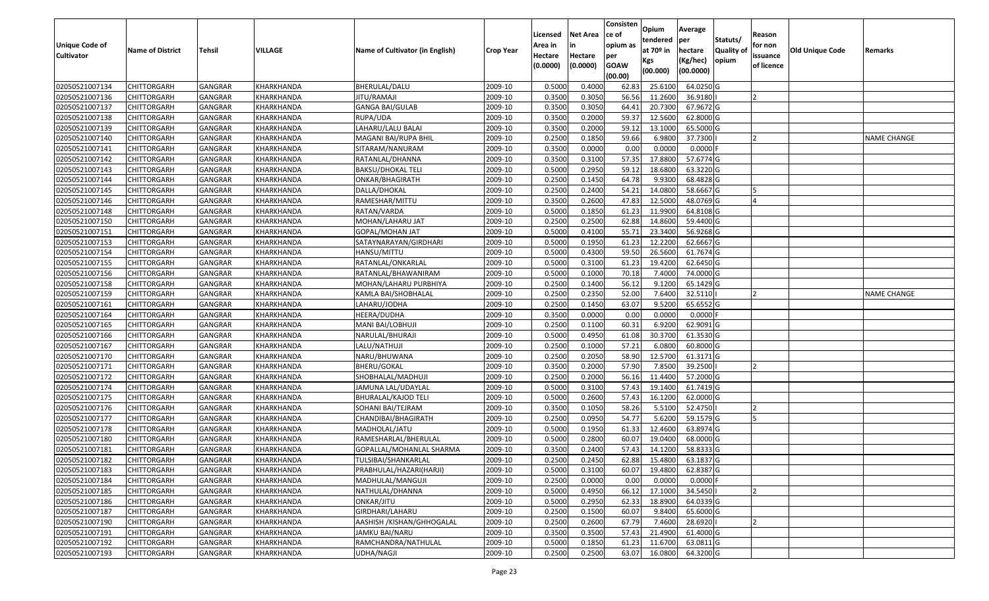|                                     |                         |                |            |                                 |                  | Licensed           | <b>Net Area</b> | Consisten<br>ce of | Opium         | Average     |                  |                   |                 |                    |
|-------------------------------------|-------------------------|----------------|------------|---------------------------------|------------------|--------------------|-----------------|--------------------|---------------|-------------|------------------|-------------------|-----------------|--------------------|
|                                     |                         |                |            |                                 |                  |                    | in              | opium as           | tendered      | per         | Statuts/         | Reason<br>for non |                 |                    |
| Unique Code of<br><b>Cultivator</b> | <b>Name of District</b> | <b>Tehsil</b>  | VILLAGE    | Name of Cultivator (in English) | <b>Crop Year</b> | Area in<br>Hectare | Hectare         | per                | at $70°$ in   | hectare     | <b>Quality o</b> | issuance          | Old Unique Code | Remarks            |
|                                     |                         |                |            |                                 |                  | (0.0000)           | (0.0000)        | <b>GOAW</b>        | Kgs           | (Kg/hec)    | opium            | of licence        |                 |                    |
|                                     |                         |                |            |                                 |                  |                    |                 | (00.00)            | (00.000)      | (00.0000)   |                  |                   |                 |                    |
| 02050521007134                      | CHITTORGARH             | GANGRAR        | KHARKHANDA | BHERULAL/DALU                   | 2009-10          | 0.5000             | 0.4000          | 62.83              | 25.6100       | 64.0250 G   |                  |                   |                 |                    |
| 02050521007136                      | CHITTORGARH             | GANGRAR        | KHARKHANDA | JITU/RAMAJI                     | 2009-10          | 0.3500             | 0.3050          | 56.56              | 11.2600       | 36.9180     |                  |                   |                 |                    |
| 02050521007137                      | CHITTORGARH             | GANGRAR        | KHARKHANDA | GANGA BAI/GULAB                 | 2009-10          | 0.3500             | 0.3050          | 64.41              | 20.7300       | 67.9672 G   |                  |                   |                 |                    |
| 02050521007138                      | <b>CHITTORGARH</b>      | <b>GANGRAR</b> | KHARKHANDA | RUPA/UDA                        | 2009-10          | 0.3500             | 0.2000          | 59.37              | 12.5600       | 62.8000 G   |                  |                   |                 |                    |
| 02050521007139                      | CHITTORGARH             | GANGRAR        | KHARKHANDA | LAHARU/LALU BALAI               | 2009-10          | 0.3500             | 0.2000          | 59.12              | 13.1000       | 65.5000 G   |                  |                   |                 |                    |
| 02050521007140                      | <b>CHITTORGARH</b>      | GANGRAR        | KHARKHANDA | MAGANI BAI/RUPA BHIL            | 2009-10          | 0.2500             | 0.1850          | 59.66              | 6.9800        | 37.7300     |                  |                   |                 | <b>NAME CHANGE</b> |
| 02050521007141                      | CHITTORGARH             | GANGRAR        | KHARKHANDA | SITARAM/NANURAM                 | 2009-10          | 0.3500             | 0.0000          | 0.00               | 0.0000        | 0.0000      |                  |                   |                 |                    |
| 02050521007142                      | CHITTORGARH             | <b>GANGRAR</b> | KHARKHANDA | RATANLAL/DHANNA                 | 2009-10          | 0.3500             | 0.3100          | 57.35              | 17.8800       | 57.6774 G   |                  |                   |                 |                    |
| 02050521007143                      | CHITTORGARH             | GANGRAR        | KHARKHANDA | <b>BAKSU/DHOKAL TELI</b>        | 2009-10          | 0.5000             | 0.2950          | 59.12              | 18.6800       | 63.3220 G   |                  |                   |                 |                    |
| 02050521007144                      | CHITTORGARH             | GANGRAR        | KHARKHANDA | ONKAR/BHAGIRATH                 | 2009-10          | 0.2500             | 0.1450          | 64.78              | 9.9300        | 68.4828 G   |                  |                   |                 |                    |
| 02050521007145                      | CHITTORGARH             | GANGRAR        | KHARKHANDA | DALLA/DHOKAL                    | 2009-10          | 0.2500             | 0.2400          | 54.21              | 14.0800       | 58.6667 G   |                  |                   |                 |                    |
| 02050521007146                      | <b>CHITTORGARH</b>      | GANGRAR        | KHARKHANDA | RAMESHAR/MITTU                  | 2009-10          | 0.3500             | 0.2600          | 47.83              | 12.5000       | 48.0769 G   |                  |                   |                 |                    |
| 02050521007148                      | <b>CHITTORGARH</b>      | <b>GANGRAR</b> | KHARKHANDA | RATAN/VARDA                     | 2009-10          | 0.5000             | 0.1850          | 61.23              | 11.9900       | 64.8108 G   |                  |                   |                 |                    |
| 02050521007150                      | <b>CHITTORGARH</b>      | GANGRAR        | KHARKHANDA | MOHAN/LAHARU JAT                | 2009-10          | 0.2500             | 0.2500          | 62.88              | 14.8600       | 59.4400 G   |                  |                   |                 |                    |
| 02050521007151                      | CHITTORGARH             | <b>GANGRAR</b> | KHARKHANDA | GOPAL/MOHAN JAT                 | 2009-10          | 0.5000             | 0.4100          | 55.71              | 23.3400       | 56.9268 G   |                  |                   |                 |                    |
| 02050521007153                      | CHITTORGARH             | <b>GANGRAR</b> | KHARKHANDA | SATAYNARAYAN/GIRDHARI           | 2009-10          | 0.5000             | 0.1950          | 61.23              | 12.2200       | 62.6667 G   |                  |                   |                 |                    |
| 02050521007154                      | CHITTORGARH             | <b>GANGRAR</b> | KHARKHANDA | HANSU/MITTU                     | 2009-10          | 0.5000             | 0.4300          | 59.50              | 26.5600       | 61.7674 G   |                  |                   |                 |                    |
| 02050521007155                      | CHITTORGARH             | GANGRAR        | KHARKHANDA | RATANLAL/ONKARLAL               | 2009-10          | 0.5000             | 0.3100          | 61.23              | 19.4200       | 62.6450 G   |                  |                   |                 |                    |
| 02050521007156                      | CHITTORGARH             | GANGRAR        | KHARKHANDA | RATANLAL/BHAWANIRAM             | 2009-10          | 0.5000             | 0.1000          | 70.18              | 7.4000        | 74.0000G    |                  |                   |                 |                    |
| 02050521007158                      | CHITTORGARH             | GANGRAR        | KHARKHANDA | MOHAN/LAHARU PURBHIYA           | 2009-10          | 0.2500             | 0.1400          | 56.12              | 9.1200        | 65.1429 G   |                  |                   |                 |                    |
| 02050521007159                      | CHITTORGARH             | <b>GANGRAR</b> | KHARKHANDA | KAMLA BAI/SHOBHALAL             | 2009-10          | 0.2500             | 0.2350          | 52.00              | 7.6400        | 32.5110     |                  |                   |                 | <b>NAME CHANGE</b> |
| 02050521007161                      | CHITTORGARH             | GANGRAR        | KHARKHANDA | LAHARU/JODHA                    | 2009-10          | 0.2500             | 0.1450          | 63.07              | 9.5200        | 65.6552 G   |                  |                   |                 |                    |
| 02050521007164                      | CHITTORGARH             | GANGRAR        | KHARKHANDA | HEERA/DUDHA                     | 2009-10          | 0.3500             | 0.0000          | 0.00               | 0.0000        | $0.0000$ F  |                  |                   |                 |                    |
| 02050521007165                      | CHITTORGARH             | GANGRAR        | KHARKHANDA | MANI BAI/LOBHUJI                | 2009-10          | 0.2500             | 0.1100          | 60.3               | 6.9200        | 62.9091G    |                  |                   |                 |                    |
| 02050521007166                      | <b>CHITTORGARH</b>      | <b>GANGRAR</b> | KHARKHANDA | NARULAL/BHURAJI                 | 2009-10          | 0.5000             | 0.4950          | 61.08              | 30.3700       | 61.3530 G   |                  |                   |                 |                    |
| 02050521007167                      | CHITTORGARH             | GANGRAR        | KHARKHANDA | LALU/NATHUJI                    | 2009-10          | 0.2500             | 0.1000          | 57.21              | 6.0800        | 60.8000 G   |                  |                   |                 |                    |
| 02050521007170                      | CHITTORGARH             | GANGRAR        | KHARKHANDA | NARU/BHUWANA                    | 2009-10          | 0.2500             | 0.2050          | 58.90              | 12.5700       | $61.3171$ G |                  |                   |                 |                    |
| 02050521007171                      | CHITTORGARH             | GANGRAR        | KHARKHANDA | BHERU/GOKAL                     | 2009-10          | 0.3500             | 0.2000          | 57.90              | 7.8500        | 39.2500     |                  |                   |                 |                    |
| 02050521007172                      | CHITTORGARH             | <b>GANGRAR</b> | KHARKHANDA | SHOBHALAL/MADHUJI               | 2009-10          | 0.2500             | 0.2000          | 56.16              | 11.4400       | 57.2000 G   |                  |                   |                 |                    |
| 02050521007174                      | CHITTORGARH             | <b>GANGRAR</b> | KHARKHANDA | JAMUNA LAL/UDAYLAL              | 2009-10          | 0.5000             | 0.3100          | 57.43              | 19.1400       | 61.7419 G   |                  |                   |                 |                    |
| 02050521007175                      | CHITTORGARH             | GANGRAR        | KHARKHANDA | BHURALAL/KAJOD TELI             | 2009-10          | 0.5000             | 0.2600          | 57.43              | 16.1200       | 62.0000G    |                  |                   |                 |                    |
| 02050521007176                      | CHITTORGARH             | GANGRAR        | KHARKHANDA | SOHANI BAI/TEJRAM               | 2009-10          | 0.3500             | 0.1050          | 58.26              | 5.5100        | 52.4750     |                  |                   |                 |                    |
| 02050521007177                      | CHITTORGARH             | <b>GANGRAR</b> | KHARKHANDA | CHANDIBAI/BHAGIRATH             | 2009-10          | 0.2500             | 0.0950          | 54.77              | 5.6200        | 59.1579 G   |                  |                   |                 |                    |
| 02050521007178                      | CHITTORGARH             | GANGRAR        | KHARKHANDA | MADHOLAL/JATU                   | 2009-10          | 0.5000             | 0.1950          | 61.33              | 12.4600       | 63.8974 G   |                  |                   |                 |                    |
| 02050521007180                      | CHITTORGARH             | GANGRAR        | KHARKHANDA | RAMESHARLAL/BHERULAL            | 2009-10          | 0.500              | 0.2800          | 60.07              | 19.0400       | 68.0000 G   |                  |                   |                 |                    |
| 02050521007181                      | CHITTORGARH             | GANGRAR        | KHARKHANDA | GOPALLAL/MOHANLAL SHARMA        | 2009-10          | 0.3500             | 0.2400          | 57.43              | 14.1200       | 58.8333 G   |                  |                   |                 |                    |
| 02050521007182                      | <b>CHITTORGARH</b>      | GANGRAR        | KHARKHANDA | TULSIBAI/SHANKARLAL             | 2009-10          | 0.2500             | 0.2450          |                    | 62.88 15.4800 | 63.1837 G   |                  |                   |                 |                    |
| 02050521007183                      | <b>CHITTORGARH</b>      | <b>GANGRAR</b> | KHARKHANDA | PRABHULAL/HAZARI(HARJI)         | 2009-10          | 0.5000             | 0.3100          | 60.07              | 19.4800       | 62.8387 G   |                  |                   |                 |                    |
| 02050521007184                      | <b>CHITTORGARH</b>      | <b>GANGRAR</b> | KHARKHANDA | MADHULAL/MANGUJI                | 2009-10          | 0.2500             | 0.0000          | 0.00               | 0.0000        | $0.0000$ F  |                  |                   |                 |                    |
| 02050521007185                      | <b>CHITTORGARH</b>      | <b>GANGRAR</b> | KHARKHANDA | NATHULAL/DHANNA                 | 2009-10          | 0.5000             | 0.4950          | 66.12              | 17.1000       | 34.5450     |                  | 12                |                 |                    |
| 02050521007186                      | CHITTORGARH             | <b>GANGRAR</b> | KHARKHANDA | ONKAR/JITU                      | 2009-10          | 0.5000             | 0.2950          | 62.33              | 18.8900       | 64.0339 G   |                  |                   |                 |                    |
| 02050521007187                      | <b>CHITTORGARH</b>      | <b>GANGRAR</b> | KHARKHANDA | GIRDHARI/LAHARU                 | 2009-10          | 0.2500             | 0.1500          | 60.07              | 9.8400        | 65.6000 G   |                  |                   |                 |                    |
| 02050521007190                      | <b>CHITTORGARH</b>      | <b>GANGRAR</b> | KHARKHANDA | AASHISH /KISHAN/GHHOGALAL       | 2009-10          | 0.2500             | 0.2600          | 67.79              | 7.4600        | 28.6920     |                  |                   |                 |                    |
| 02050521007191                      | <b>CHITTORGARH</b>      | <b>GANGRAR</b> | KHARKHANDA | JAMKU BAI/NARU                  | 2009-10          | 0.3500             | 0.3500          | 57.43              | 21.4900       | 61.4000 G   |                  |                   |                 |                    |
| 02050521007192                      | CHITTORGARH             | <b>GANGRAR</b> | KHARKHANDA | RAMCHANDRA/NATHULAL             | 2009-10          | 0.5000             | 0.1850          | 61.23              | 11.6700       | 63.0811 G   |                  |                   |                 |                    |
| 02050521007193                      | <b>CHITTORGARH</b>      | <b>GANGRAR</b> | KHARKHANDA | UDHA/NAGJI                      | 2009-10          | 0.2500             | 0.2500          | 63.07              | 16.0800       | 64.3200 G   |                  |                   |                 |                    |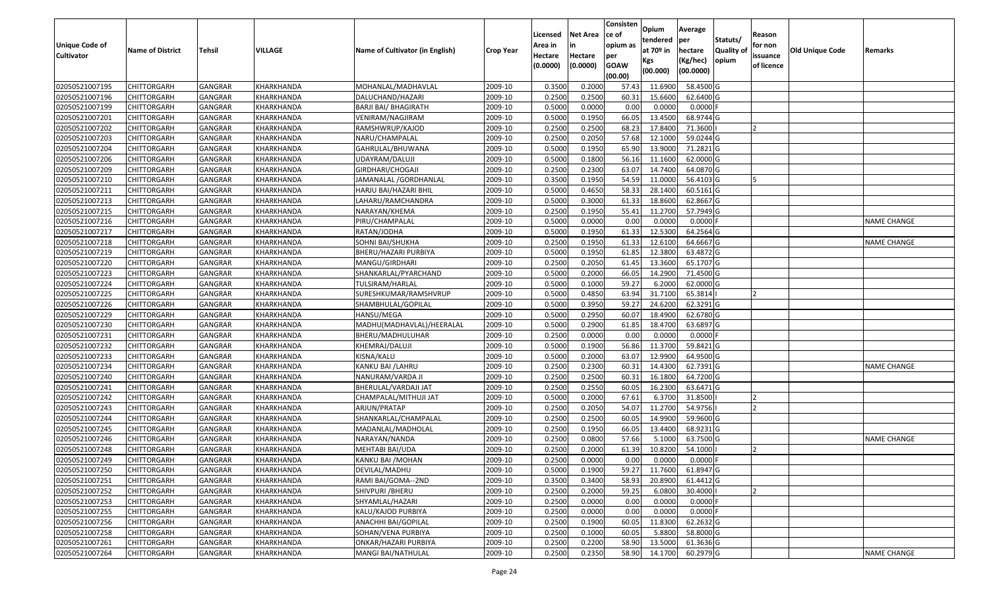|                                  |                                          |                           |                          |                                      |                    | Licensed         | <b>Net Area</b>  | Consisten<br>ce of | Opium<br>tendered  | Average<br>per         | Statuts/   | Reason     |                        |                    |
|----------------------------------|------------------------------------------|---------------------------|--------------------------|--------------------------------------|--------------------|------------------|------------------|--------------------|--------------------|------------------------|------------|------------|------------------------|--------------------|
| <b>Unique Code of</b>            | <b>Name of District</b>                  | <b>Tehsil</b>             | VILLAGE                  | Name of Cultivator (in English)      | <b>Crop Year</b>   | Area in          |                  | opium as           | at $70°$ in        | hectare                | Quality of | for non    | <b>Old Unique Code</b> | Remarks            |
| <b>Cultivator</b>                |                                          |                           |                          |                                      |                    | Hectare          | Hectare          | per<br><b>GOAW</b> | Kgs                | (Kg/hec)               | opium      | issuance   |                        |                    |
|                                  |                                          |                           |                          |                                      |                    | (0.0000)         | (0.0000)         | (00.00)            | (00.000)           | (00.0000)              |            | of licence |                        |                    |
| 02050521007195                   | <b>CHITTORGARH</b>                       | GANGRAR                   | KHARKHANDA               | MOHANLAL/MADHAVLAL                   | 2009-10            | 0.3500           | 0.2000           | 57.43              | 11.6900            | 58.4500 G              |            |            |                        |                    |
| 02050521007196                   | CHITTORGARH                              | GANGRAR                   | KHARKHANDA               | DALUCHAND/HAZARI                     | 2009-10            | 0.2500           | 0.2500           | 60.31              | 15.6600            | 62.6400 G              |            |            |                        |                    |
| 02050521007199                   | <b>CHITTORGARH</b>                       | GANGRAR                   | KHARKHANDA               | BARJI BAI/ BHAGIRATH                 | 2009-10            | 0.5000           | 0.0000           | 0.00               | 0.0000             | $0.0000$ F             |            |            |                        |                    |
| 02050521007201                   | <b>CHITTORGARH</b>                       | <b>GANGRAR</b>            | <b>KHARKHANDA</b>        | VENIRAM/NAGJIRAM                     | 2009-10            | 0.5000           | 0.1950           | 66.0               | 13.4500            | 68.9744 G              |            |            |                        |                    |
| 02050521007202                   | <b>CHITTORGARH</b>                       | GANGRAR                   | KHARKHANDA               | RAMSHWRUP/KAJOD                      | 2009-10            | 0.2500           | 0.2500           | 68.2               | 17.8400            | 71.3600                |            |            |                        |                    |
| 02050521007203                   | <b>CHITTORGARH</b>                       | GANGRAR                   | KHARKHANDA               | NARU/CHAMPALAL                       | 2009-10            | 0.2500           | 0.2050           | 57.68              | 12.1000            | 59.0244 G              |            |            |                        |                    |
| 02050521007204                   | CHITTORGARH                              | GANGRAR                   | KHARKHANDA               | GAHRULAL/BHUWANA                     | 2009-10            | 0.5000           | 0.1950           | 65.90              | 13.9000            | 71.2821 G              |            |            |                        |                    |
| 02050521007206                   | <b>CHITTORGARH</b>                       | <b>GANGRAR</b>            | KHARKHANDA               | UDAYRAM/DALUJI                       | 2009-10            | 0.5000           | 0.1800           | 56.16              | 11.1600            | 62.0000G               |            |            |                        |                    |
| 02050521007209                   | <b>CHITTORGARH</b>                       | GANGRAR                   | KHARKHANDA               | GIRDHARI/CHOGAJI                     | 2009-10            | 0.2500           | 0.2300           | 63.07              | 14.7400            | 64.0870 G              |            |            |                        |                    |
| 02050521007210                   | CHITTORGARH                              | <b>GANGRAR</b>            | KHARKHANDA               | IAMANALAL /GORDHANLAL                | 2009-10            | 0.3500           | 0.1950           | 54.59              | 11.0000            | 56.4103 G              |            | <b>5</b>   |                        |                    |
| 02050521007211                   | <b>CHITTORGARH</b>                       | <b>GANGRAR</b>            | KHARKHANDA               | HARJU BAI/HAZARI BHIL                | 2009-10            | 0.5000           | 0.4650           | 58.33              | 28.1400            | 60.5161 G              |            |            |                        |                    |
| 02050521007213                   | <b>CHITTORGARH</b>                       | <b>GANGRAR</b>            | KHARKHANDA               | LAHARU/RAMCHANDRA                    | 2009-10            | 0.5000           | 0.3000           | 61.3               | 18.8600            | 62.8667 G              |            |            |                        |                    |
| 02050521007215                   | <b>CHITTORGARH</b>                       | <b>GANGRAR</b>            | KHARKHANDA               | NARAYAN/KHEMA                        | 2009-10            | 0.2500           | 0.1950           | 55.41              | 11.2700            | 57.7949 G              |            |            |                        |                    |
| 02050521007216                   | <b>CHITTORGARH</b>                       | <b>GANGRAR</b>            | KHARKHANDA               | PIRU/CHAMPALAL                       | 2009-10            | 0.5000           | 0.0000           | 0.00               | 0.0000             | $0.0000$ F             |            |            |                        | NAME CHANGE        |
| 02050521007217                   | <b>CHITTORGARH</b>                       | GANGRAR                   | KHARKHANDA               | RATAN/JODHA                          | 2009-10            | 0.5000           | 0.1950           | 61.33              | 12.5300            | 64.2564 G              |            |            |                        |                    |
| 02050521007218                   | <b>CHITTORGARH</b>                       | <b>GANGRAR</b>            | KHARKHANDA               | SOHNI BAI/SHUKHA                     | 2009-10            | 0.2500           | 0.1950           | 61.33              | 12.6100            | 64.6667 G              |            |            |                        | NAME CHANGE        |
| 02050521007219                   | <b>CHITTORGARH</b>                       | GANGRAR                   | <b>KHARKHANDA</b>        | BHERU/HAZARI PURBIYA                 | 2009-10            | 0.5000           | 0.1950           | 61.8               | 12.3800            | 63.4872 G              |            |            |                        |                    |
| 02050521007220                   | <b>CHITTORGARH</b>                       | <b>GANGRAR</b>            | KHARKHANDA               | MANGU/GIRDHARI                       | 2009-10            | 0.2500           | 0.2050           | 61.45              | 13.3600            | 65.1707 G              |            |            |                        |                    |
| 02050521007223                   | <b>CHITTORGARH</b>                       | GANGRAR                   | KHARKHANDA               | SHANKARLAL/PYARCHAND                 | 2009-10            | 0.5000           | 0.2000           | 66.05              | 14.2900            | 71.4500 G              |            |            |                        |                    |
| 02050521007224                   | <b>CHITTORGARH</b>                       | GANGRAR                   | KHARKHANDA               | TULSIRAM/HARLAL                      | 2009-10            | 0.5000           | 0.1000           | 59.27              | 6.2000             | 62.0000 G              |            |            |                        |                    |
| 02050521007225                   | <b>CHITTORGARH</b>                       | GANGRAR                   | KHARKHANDA               | SURESHKUMAR/RAMSHVRUP                | 2009-10            | 0.5000           | 0.4850           | 63.94              | 31.7100            | 65.3814                |            |            |                        |                    |
| 02050521007226                   | <b>CHITTORGARH</b>                       | GANGRAR                   | KHARKHANDA               | SHAMBHULAL/GOPILAL                   | 2009-10            | 0.5000           | 0.3950           | 59.27              | 24.6200            | 62.3291 G              |            |            |                        |                    |
| 02050521007229                   | CHITTORGARH                              | GANGRAR                   | KHARKHANDA               | HANSU/MEGA                           | 2009-10            | 0.5000           | 0.2950           | 60.07              | 18.4900            | 62.6780 G              |            |            |                        |                    |
| 02050521007230                   | <b>CHITTORGARH</b>                       | GANGRAR                   | KHARKHANDA               | MADHU(MADHAVLAL)/HEERALAL            | 2009-10            | 0.5000           | 0.2900           | 61.8               | 18.4700            | 63.6897 G              |            |            |                        |                    |
| 02050521007231                   | <b>CHITTORGARH</b>                       | <b>GANGRAR</b>            | KHARKHANDA               | BHERU/MADHULUHAR                     | 2009-10            | 0.2500           | 0.0000           | 0.00               | 0.0000             | $0.0000$ F             |            |            |                        |                    |
| 02050521007232                   | <b>CHITTORGARH</b>                       | GANGRAR                   | <b>KHARKHANDA</b>        | KHEMRAJ/DALUJI                       | 2009-10            | 0.5000           | 0.1900           | 56.86              | 11.3700            | 59.8421 G              |            |            |                        |                    |
| 02050521007233                   | <b>CHITTORGARH</b>                       | <b>GANGRAR</b>            | KHARKHANDA               | KISNA/KALU                           | 2009-10            | 0.5000           | 0.2000           | 63.07              | 12.9900            | 64.9500 G              |            |            |                        |                    |
| 02050521007234                   | <b>CHITTORGARH</b>                       | GANGRAR                   | KHARKHANDA               | KANKU BAI /LAHRU                     | 2009-10            | 0.2500           | 0.2300           | 60.3               | 14.4300            | 62.7391 G              |            |            |                        | NAME CHANGE        |
| 02050521007240                   | <b>CHITTORGARH</b>                       | <b>GANGRAR</b>            | KHARKHANDA               | NANURAM/VARDA JI                     | 2009-10            | 0.2500           | 0.2500           | 60.3               | 16.1800            | 64.7200 G              |            |            |                        |                    |
| 02050521007241                   | <b>CHITTORGARH</b>                       | <b>GANGRAR</b>            | KHARKHANDA               | BHERULAL/VARDAJI JAT                 | 2009-10            | 0.2500           | 0.2550           | 60.05              | 16.2300            | 63.6471 G              |            |            |                        |                    |
| 02050521007242                   | CHITTORGARH                              | GANGRAR                   | KHARKHANDA               | CHAMPALAL/MITHUJI JAT                | 2009-10            | 0.5000           | 0.2000           | 67.61              | 6.3700             | 31.8500                |            |            |                        |                    |
| 02050521007243                   | CHITTORGARH                              | GANGRAR                   | KHARKHANDA               | ARJUN/PRATAP                         | 2009-10            | 0.2500           | 0.2050           | 54.07              | 11.2700            | 54.9756                |            |            |                        |                    |
| 02050521007244                   | <b>CHITTORGARH</b>                       | <b>GANGRAR</b>            | KHARKHANDA               | SHANKARLAL/CHAMPALAL                 | 2009-10            | 0.2500           | 0.2500           | 60.05              | 14.9900            | 59.9600 G<br>68.9231 G |            |            |                        |                    |
| 02050521007245<br>02050521007246 | <b>CHITTORGARH</b><br><b>CHITTORGARH</b> | GANGRAR<br>GANGRAR        | KHARKHANDA<br>KHARKHANDA | MADANLAL/MADHOLAL                    | 2009-10            | 0.2500<br>0.2500 | 0.1950<br>0.0800 | 66.05<br>57.66     | 13.4400<br>5.1000  | 63.7500 G              |            |            |                        | <b>NAME CHANGE</b> |
| 02050521007248                   | <b>CHITTORGARH</b>                       | GANGRAR                   | KHARKHANDA               | NARAYAN/NANDA                        | 2009-10<br>2009-10 | 0.2500           | 0.2000           | 61.39              | 10.8200            | 54.1000                |            |            |                        |                    |
| 02050521007249                   | <b>CHITTORGARH</b>                       | GANGRAR                   | KHARKHANDA               | MEHTABI BAI/UDA<br>KANKU BAI / MOHAN | 2009-10            | 0.2500           | 0.0000           | 0.00               | 0.0000             | 0.0000 F               |            |            |                        |                    |
| 02050521007250                   |                                          |                           | KHARKHANDA               |                                      |                    | 0.5000           | 0.1900           | 59.27              |                    |                        |            |            |                        |                    |
| 02050521007251                   | <b>CHITTORGARH</b>                       | <b>GANGRAR</b><br>GANGRAR | KHARKHANDA               | DEVILAL/MADHU<br>RAMI BAI/GOMA--2ND  | 2009-10<br>2009-10 | 0.3500           | 0.3400           | 58.93              | 11.7600<br>20.8900 | 61.8947 G<br>61.4412 G |            |            |                        |                    |
| 02050521007252                   | <b>CHITTORGARH</b><br><b>CHITTORGARH</b> | <b>GANGRAR</b>            | KHARKHANDA               | SHIVPURI / BHERU                     | 2009-10            | 0.2500           | 0.2000           | 59.25              | 6.0800             | 30.4000                |            | <b>2</b>   |                        |                    |
| 02050521007253                   | <b>CHITTORGARH</b>                       | <b>GANGRAR</b>            | KHARKHANDA               | SHYAMLAL/HAZARI                      | 2009-10            | 0.2500           | 0.0000           | 0.00               | 0.0000             | $0.0000$ F             |            |            |                        |                    |
| 02050521007255                   | <b>CHITTORGARH</b>                       | <b>GANGRAR</b>            | KHARKHANDA               | KALU/KAJOD PURBIYA                   | 2009-10            | 0.2500           | 0.0000           | 0.00               | 0.0000             | $0.0000$ F             |            |            |                        |                    |
| 02050521007256                   | <b>CHITTORGARH</b>                       | GANGRAR                   | KHARKHANDA               | ANACHHI BAI/GOPILAL                  | 2009-10            | 0.2500           | 0.1900           | 60.05              | 11.8300            | 62.2632 G              |            |            |                        |                    |
| 02050521007258                   | <b>CHITTORGARH</b>                       | GANGRAR                   | KHARKHANDA               | SOHAN/VENA PURBIYA                   | 2009-10            | 0.2500           | 0.1000           | 60.05              | 5.8800             | 58.8000 G              |            |            |                        |                    |
| 02050521007261                   | CHITTORGARH                              | GANGRAR                   | KHARKHANDA               | ONKAR/HAZARI PURBIYA                 | 2009-10            | 0.2500           | 0.2200           | 58.90              | 13.5000            | 61.3636 G              |            |            |                        |                    |
| 02050521007264                   | <b>CHITTORGARH</b>                       | GANGRAR                   | KHARKHANDA               | MANGI BAI/NATHULAL                   | 2009-10            | 0.2500           | 0.2350           | 58.90              | 14.1700            | 60.2979 G              |            |            |                        | <b>NAME CHANGE</b> |
|                                  |                                          |                           |                          |                                      |                    |                  |                  |                    |                    |                        |            |            |                        |                    |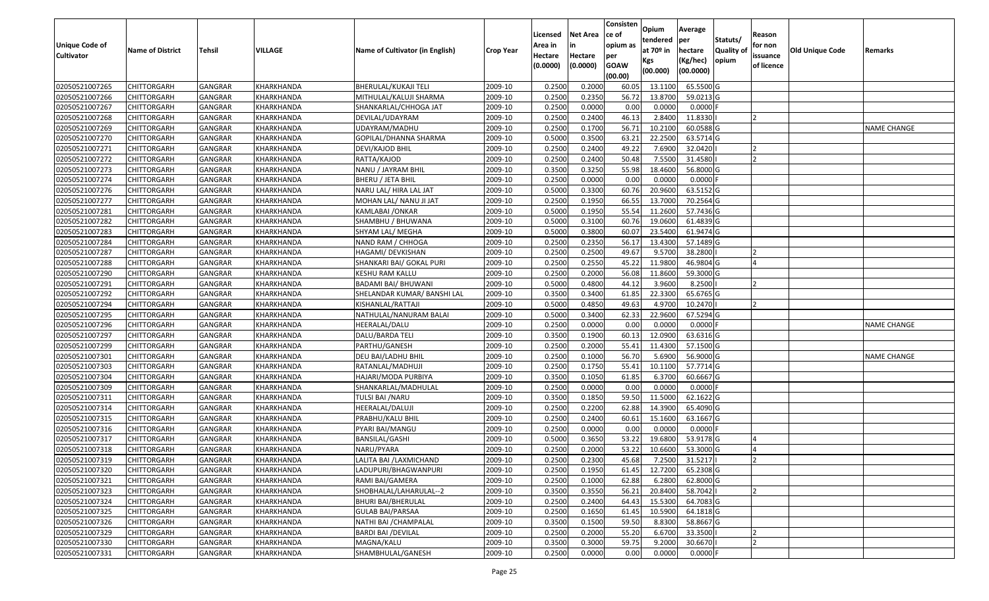|                                            |                                          |                           |                          |                                  |                    | Licensed                       | <b>Net Area</b>     | Consisten<br>ce of             | Opium<br>tendered              | Average<br>per                   | Statuts/            | Reason                            |                        |                    |
|--------------------------------------------|------------------------------------------|---------------------------|--------------------------|----------------------------------|--------------------|--------------------------------|---------------------|--------------------------------|--------------------------------|----------------------------------|---------------------|-----------------------------------|------------------------|--------------------|
| <b>Unique Code of</b><br><b>Cultivator</b> | <b>Name of District</b>                  | <b>Tehsil</b>             | <b>VILLAGE</b>           | Name of Cultivator (in English)  | <b>Crop Year</b>   | Area in<br>Hectare<br>(0.0000) | Hectare<br>(0.0000) | opium as<br>per<br><b>GOAW</b> | at $70°$ in<br>Kgs<br>(00.000) | hectare<br>(Kg/hec)<br>(00.0000) | Quality of<br>opium | for non<br>issuance<br>of licence | <b>Old Unique Code</b> | Remarks            |
|                                            |                                          |                           |                          |                                  |                    |                                |                     | (00.00)                        |                                |                                  |                     |                                   |                        |                    |
| 02050521007265                             | <b>CHITTORGARH</b>                       | GANGRAR                   | KHARKHANDA               | BHERULAL/KUKAJI TELI             | 2009-10            | 0.2500                         | 0.2000              | 60.05                          | 13.1100                        | 65.5500 G                        |                     |                                   |                        |                    |
| 02050521007266                             | CHITTORGARH                              | GANGRAR                   | KHARKHANDA               | MITHULAL/KALUJI SHARMA           | 2009-10            | 0.2500                         | 0.2350              | 56.72                          | 13.8700                        | 59.0213 G                        |                     |                                   |                        |                    |
| 02050521007267<br>02050521007268           | <b>CHITTORGARH</b><br><b>CHITTORGARH</b> | GANGRAR<br><b>GANGRAR</b> | KHARKHANDA<br>KHARKHANDA | SHANKARLAL/CHHOGA JAT            | 2009-10            | 0.2500<br>0.2500               | 0.0000<br>0.2400    | 0.00<br>46.13                  | 0.0000<br>2.8400               | $0.0000$ F<br>11.8330            |                     | $\overline{2}$                    |                        |                    |
| 02050521007269                             | <b>CHITTORGARH</b>                       | GANGRAR                   | KHARKHANDA               | DEVILAL/UDAYRAM<br>UDAYRAM/MADHU | 2009-10<br>2009-10 | 0.2500                         | 0.1700              | 56.7                           | 10.2100                        | 60.0588 G                        |                     |                                   |                        | <b>NAME CHANGE</b> |
| 02050521007270                             | CHITTORGARH                              | <b>GANGRAR</b>            | KHARKHANDA               | GOPILAL/DHANNA SHARMA            | 2009-10            | 0.5000                         | 0.3500              | 63.21                          | 22.2500                        | 63.5714 G                        |                     |                                   |                        |                    |
| 02050521007271                             |                                          | GANGRAR                   | KHARKHANDA               |                                  | 2009-10            | 0.2500                         | 0.2400              | 49.2                           | 7.6900                         | 32.0420                          |                     |                                   |                        |                    |
| 02050521007272                             | CHITTORGARH<br><b>CHITTORGARH</b>        | <b>GANGRAR</b>            | KHARKHANDA               | DEVI/KAJOD BHIL<br>RATTA/KAJOD   | 2009-10            | 0.2500                         | 0.2400              | 50.48                          | 7.5500                         | 31.4580                          |                     |                                   |                        |                    |
| 02050521007273                             | <b>CHITTORGARH</b>                       | <b>GANGRAR</b>            | KHARKHANDA               | NANU / JAYRAM BHIL               | 2009-10            | 0.3500                         | 0.3250              | 55.98                          | 18.4600                        | 56.8000 G                        |                     |                                   |                        |                    |
| 02050521007274                             | <b>CHITTORGARH</b>                       | <b>GANGRAR</b>            | KHARKHANDA               | BHERU / JETA BHIL                | 2009-10            | 0.2500                         | 0.0000              | 0.00                           | 0.0000                         | $0.0000$ F                       |                     |                                   |                        |                    |
| 02050521007276                             | <b>CHITTORGARH</b>                       | GANGRAR                   | KHARKHANDA               | NARU LAL/ HIRA LAL JAT           | 2009-10            | 0.5000                         | 0.3300              | 60.76                          | 20.9600                        | 63.5152 G                        |                     |                                   |                        |                    |
| 02050521007277                             | <b>CHITTORGARH</b>                       | <b>GANGRAR</b>            | KHARKHANDA               | MOHAN LAL/NANU JI JAT            | 2009-10            | 0.2500                         | 0.1950              | 66.55                          | 13.7000                        | 70.2564 G                        |                     |                                   |                        |                    |
| 02050521007281                             | <b>CHITTORGARH</b>                       | <b>GANGRAR</b>            | KHARKHANDA               | KAMLABAI /ONKAR                  | 2009-10            | 0.5000                         | 0.1950              | 55.54                          | 11.2600                        | 57.7436 G                        |                     |                                   |                        |                    |
| 02050521007282                             | <b>CHITTORGARH</b>                       | GANGRAR                   | KHARKHANDA               | SHAMBHU / BHUWANA                | 2009-10            | 0.5000                         | 0.3100              | 60.76                          | 19.0600                        | 61.4839 G                        |                     |                                   |                        |                    |
| 02050521007283                             | <b>CHITTORGARH</b>                       | GANGRAR                   | KHARKHANDA               | SHYAM LAL/ MEGHA                 | 2009-10            | 0.5000                         | 0.3800              | 60.07                          | 23.5400                        | 61.9474 G                        |                     |                                   |                        |                    |
| 02050521007284                             | <b>CHITTORGARH</b>                       | <b>GANGRAR</b>            | KHARKHANDA               | NAND RAM / CHHOGA                | 2009-10            | 0.2500                         | 0.2350              | 56.17                          | 13.4300                        | 57.1489 G                        |                     |                                   |                        |                    |
| 02050521007287                             | <b>CHITTORGARH</b>                       | GANGRAR                   | KHARKHANDA               | HAGAMI/ DEVKISHAN                | 2009-10            | 0.2500                         | 0.2500              | 49.67                          | 9.5700                         | 38.2800                          |                     |                                   |                        |                    |
| 02050521007288                             | <b>CHITTORGARH</b>                       | GANGRAR                   | KHARKHANDA               | SHANKARI BAI/ GOKAL PURI         | 2009-10            | 0.2500                         | 0.2550              | 45.22                          | 11.9800                        | 46.9804 G                        |                     | $\overline{a}$                    |                        |                    |
| 02050521007290                             | <b>CHITTORGARH</b>                       | GANGRAR                   | KHARKHANDA               | KESHU RAM KALLU                  | 2009-10            | 0.2500                         | 0.2000              | 56.08                          | 11.8600                        | 59.3000 G                        |                     |                                   |                        |                    |
| 02050521007291                             | <b>CHITTORGARH</b>                       | GANGRAR                   | KHARKHANDA               | BADAMI BAI/ BHUWANI              | 2009-10            | 0.5000                         | 0.4800              | 44.12                          | 3.9600                         | 8.2500                           |                     |                                   |                        |                    |
| 02050521007292                             | <b>CHITTORGARH</b>                       | GANGRAR                   | KHARKHANDA               | SHELANDAR KUMAR/ BANSHI LAL      | 2009-10            | 0.3500                         | 0.3400              | 61.8                           | 22.3300                        | 65.6765 G                        |                     |                                   |                        |                    |
| 02050521007294                             | CHITTORGARH                              | GANGRAR                   | KHARKHANDA               | KISHANLAL/RATTAJI                | 2009-10            | 0.5000                         | 0.4850              | 49.63                          | 4.9700                         | 10.2470                          |                     |                                   |                        |                    |
| 02050521007295                             | CHITTORGARH                              | GANGRAR                   | KHARKHANDA               | NATHULAL/NANURAM BALAI           | 2009-10            | 0.5000                         | 0.3400              | 62.33                          | 22.9600                        | 67.5294 G                        |                     |                                   |                        |                    |
| 02050521007296                             | <b>CHITTORGARH</b>                       | GANGRAR                   | KHARKHANDA               | HEERALAL/DALU                    | 2009-10            | 0.2500                         | 0.0000              | 0.00                           | 0.0000                         | 0.0000F                          |                     |                                   |                        | NAME CHANGE        |
| 02050521007297                             | <b>CHITTORGARH</b>                       | <b>GANGRAR</b>            | KHARKHANDA               | DALU/BARDA TELI                  | 2009-10            | 0.3500                         | 0.1900              | 60.1                           | 12.0900                        | 63.6316 G                        |                     |                                   |                        |                    |
| 02050521007299                             | <b>CHITTORGARH</b>                       | GANGRAR                   | KHARKHANDA               | PARTHU/GANESH                    | 2009-10            | 0.2500                         | 0.2000              | 55.41                          | 11.4300                        | 57.1500 G                        |                     |                                   |                        |                    |
| 02050521007301                             | <b>CHITTORGARH</b>                       | GANGRAR                   | KHARKHANDA               | DEU BAI/LADHU BHIL               | 2009-10            | 0.2500                         | 0.1000              | 56.70                          | 5.6900                         | 56.9000 G                        |                     |                                   |                        | <b>NAME CHANGE</b> |
| 02050521007303                             | <b>CHITTORGARH</b>                       | GANGRAR                   | KHARKHANDA               | RATANLAL/MADHUJI                 | 2009-10            | 0.2500                         | 0.1750              | 55.41                          | 10.1100                        | 57.7714 G                        |                     |                                   |                        |                    |
| 02050521007304                             | <b>CHITTORGARH</b>                       | <b>GANGRAR</b>            | KHARKHANDA               | HAJARI/MODA PURBIYA              | 2009-10            | 0.3500                         | 0.1050              | 61.85                          | 6.3700                         | 60.6667 G                        |                     |                                   |                        |                    |
| 02050521007309                             | <b>CHITTORGARH</b>                       | <b>GANGRAR</b>            | KHARKHANDA               | SHANKARLAL/MADHULAL              | 2009-10            | 0.2500                         | 0.0000              | 0.00                           | 0.0000                         | $0.0000$ F                       |                     |                                   |                        |                    |
| 02050521007311                             | CHITTORGARH                              | GANGRAR                   | KHARKHANDA               | TULSI BAI / NARU                 | 2009-10            | 0.3500                         | 0.1850              | 59.50                          | 11.5000                        | 62.1622 G                        |                     |                                   |                        |                    |
| 02050521007314                             | CHITTORGARH                              | GANGRAR                   | KHARKHANDA               | HEERALAL/DALUJI                  | 2009-10            | 0.2500                         | 0.2200              | 62.88                          | 14.3900                        | 65.4090 G                        |                     |                                   |                        |                    |
| 02050521007315                             | <b>CHITTORGARH</b>                       | <b>GANGRAR</b>            | KHARKHANDA               | PRABHU/KALU BHIL                 | 2009-10            | 0.2500                         | 0.2400              | 60.6                           | 15.1600                        | 63.1667 G                        |                     |                                   |                        |                    |
| 02050521007316                             | <b>CHITTORGARH</b>                       | GANGRAR                   | KHARKHANDA               | PYARI BAI/MANGU                  | 2009-10            | 0.2500                         | 0.0000              | 0.00                           | 0.0000                         | $0.0000$ F                       |                     |                                   |                        |                    |
| 02050521007317                             | CHITTORGARH                              | GANGRAR                   | KHARKHANDA               | BANSILAL/GASHI                   | 2009-10            | 0.500                          | 0.3650              | 53.22                          | 19.6800                        | 53.9178 G                        |                     |                                   |                        |                    |
| 02050521007318                             | <b>CHITTORGARH</b>                       | GANGRAR                   | KHARKHANDA               | NARU/PYARA                       | 2009-10            | 0.2500                         | 0.2000              | 53.22                          | 10.6600                        | 53.3000 G                        |                     | $\overline{4}$                    |                        |                    |
| 02050521007319                             | <b>CHITTORGARH</b>                       | GANGRAR                   | KHARKHANDA               | LALITA BAI /LAXMICHAND           | 2009-10            | 0.2500                         | 0.2300              | 45.68                          | 7.2500                         | 31.5217                          |                     | $\overline{2}$                    |                        |                    |
| 02050521007320                             | <b>CHITTORGARH</b>                       | <b>GANGRAR</b>            | KHARKHANDA               | LADUPURI/BHAGWANPURI             | 2009-10            | 0.2500                         | 0.1950              | 61.45                          | 12.7200                        | 65.2308 G                        |                     |                                   |                        |                    |
| 02050521007321                             | <b>CHITTORGARH</b>                       | GANGRAR                   | KHARKHANDA               | RAMI BAI/GAMERA                  | 2009-10            | 0.2500                         | 0.1000              | 62.88                          | 6.2800                         | 62.8000 G                        |                     |                                   |                        |                    |
| 02050521007323                             | <b>CHITTORGARH</b>                       | <b>GANGRAR</b>            | KHARKHANDA               | SHOBHALAL/LAHARULAL--2           | 2009-10            | 0.3500                         | 0.3550              | 56.21                          | 20.8400                        | 58.7042                          |                     | <b>2</b>                          |                        |                    |
| 02050521007324                             | CHITTORGARH                              | GANGRAR                   | KHARKHANDA               | BHURI BAI/BHERULAL               | 2009-10            | 0.2500                         | 0.2400              | 64.43                          | 15.5300                        | 64.7083 G                        |                     |                                   |                        |                    |
| 02050521007325                             | <b>CHITTORGARH</b>                       | <b>GANGRAR</b>            | KHARKHANDA               | <b>GULAB BAI/PARSAA</b>          | 2009-10            | 0.2500                         | 0.1650              | 61.45                          | 10.5900                        | 64.1818 G                        |                     |                                   |                        |                    |
| 02050521007326                             | <b>CHITTORGARH</b>                       | GANGRAR                   | KHARKHANDA               | NATHI BAI / CHAMPALAL            | 2009-10            | 0.3500                         | 0.1500              | 59.50                          | 8.8300                         | 58.8667 G                        |                     |                                   |                        |                    |
| 02050521007329                             | <b>CHITTORGARH</b>                       | GANGRAR                   | KHARKHANDA               | BARDI BAI /DEVILAL               | 2009-10            | 0.2500                         | 0.2000              | 55.20                          | 6.6700                         | 33.3500                          |                     | 12                                |                        |                    |
| 02050521007330                             | <b>CHITTORGARH</b>                       | GANGRAR                   | KHARKHANDA               | MAGNA/KALU                       | 2009-10            | 0.3500                         | 0.3000              | 59.75                          | 9.2000                         | 30.6670                          |                     |                                   |                        |                    |
| 02050521007331                             | <b>CHITTORGARH</b>                       | GANGRAR                   | KHARKHANDA               | SHAMBHULAL/GANESH                | 2009-10            | 0.2500                         | 0.0000              | 0.00                           | 0.0000                         | 0.0000 F                         |                     |                                   |                        |                    |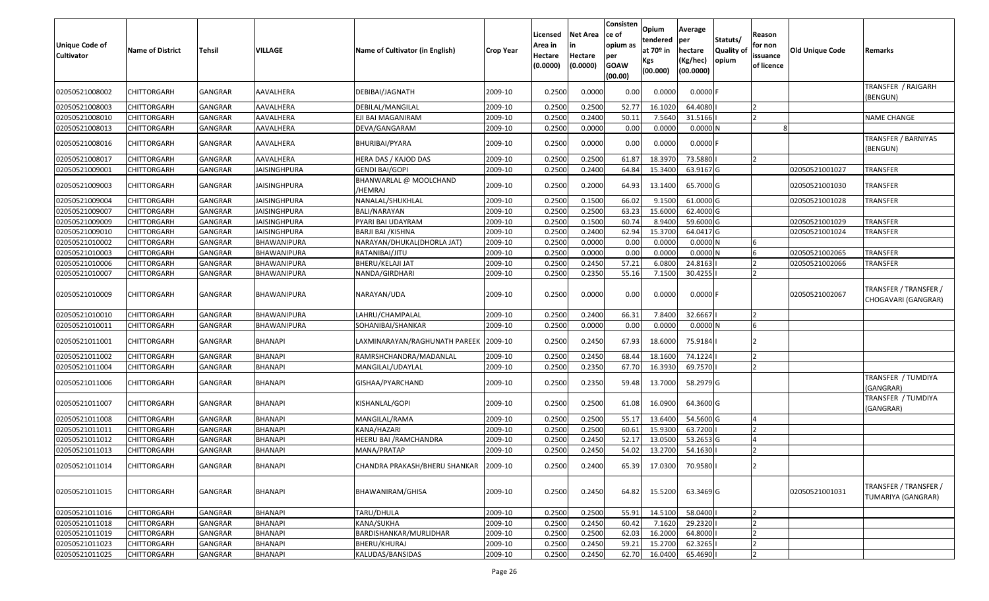| <b>Unique Code of</b><br>Cultivator | <b>Name of District</b> | Tehsil         | <b>VILLAGE</b>      | Name of Cultivator (in English)       | <b>Crop Year</b> | Licensed<br>Area in<br>Hectare<br>(0.0000) | Net Area<br>in<br>Hectare<br>(0.0000) | Consisten<br>ce of<br>opium as<br>per<br><b>GOAW</b><br>(00.00) | Opium<br>tendered<br>at $70°$ in<br>Kgs<br>(00.000) | Average<br>per<br>hectare<br>(Kg/hec)<br>(00.0000) | Statuts/<br>Quality of<br>opium | Reason<br>for non<br>issuance<br>of licence | Old Unique Code | Remarks                                      |
|-------------------------------------|-------------------------|----------------|---------------------|---------------------------------------|------------------|--------------------------------------------|---------------------------------------|-----------------------------------------------------------------|-----------------------------------------------------|----------------------------------------------------|---------------------------------|---------------------------------------------|-----------------|----------------------------------------------|
| 02050521008002                      | CHITTORGARH             | GANGRAR        | AAVALHERA           | DEBIBAI/JAGNATH                       | 2009-10          | 0.2500                                     | 0.0000                                | 0.00                                                            | 0.0000                                              | $0.0000$ F                                         |                                 |                                             |                 | TRANSFER / RAJGARH<br>(BENGUN)               |
| 02050521008003                      | <b>CHITTORGARH</b>      | <b>GANGRAR</b> | AAVALHERA           | DEBILAL/MANGILAL                      | 2009-10          | 0.2500                                     | 0.2500                                | 52.77                                                           | 16.1020                                             | 64.4080                                            |                                 |                                             |                 |                                              |
| 02050521008010                      | <b>CHITTORGARH</b>      | <b>GANGRAR</b> | AAVALHERA           | EJI BAI MAGANIRAM                     | 2009-10          | 0.2500                                     | 0.2400                                | 50.11                                                           | 7.5640                                              | 31.5166                                            |                                 |                                             |                 | <b>NAME CHANGE</b>                           |
| 02050521008013                      | <b>CHITTORGARH</b>      | GANGRAR        | AAVALHERA           | DEVA/GANGARAM                         | 2009-10          | 0.2500                                     | 0.0000                                | 0.00                                                            | 0.0000                                              | 0.0000N                                            |                                 |                                             |                 |                                              |
| 02050521008016                      | CHITTORGARH             | GANGRAR        | AAVALHERA           | BHURIBAI/PYARA                        | 2009-10          | 0.2500                                     | 0.0000                                | 0.00                                                            | 0.0000                                              | $0.0000$ F                                         |                                 |                                             |                 | TRANSFER / BARNIYAS<br>(BENGUN)              |
| 02050521008017                      | <b>CHITTORGARH</b>      | GANGRAR        | AAVALHERA           | <b>HERA DAS / KAJOD DAS</b>           | 2009-10          | 0.2500                                     | 0.2500                                | 61.87                                                           | 18.3970                                             | 73.5880                                            |                                 |                                             |                 |                                              |
| 02050521009001                      | <b>CHITTORGARH</b>      | GANGRAR        | <b>JAISINGHPURA</b> | <b>GENDI BAI/GOPI</b>                 | 2009-10          | 0.2500                                     | 0.2400                                | 64.84                                                           | 15.3400                                             | 63.9167 G                                          |                                 |                                             | 02050521001027  | <b>TRANSFER</b>                              |
| 02050521009003                      | <b>CHITTORGARH</b>      | GANGRAR        | <b>JAISINGHPURA</b> | BHANWARLAL @ MOOLCHAND<br>/HEMRAJ     | 2009-10          | 0.2500                                     | 0.2000                                | 64.93                                                           | 13.1400                                             | 65.7000 G                                          |                                 |                                             | 02050521001030  | TRANSFER                                     |
| 02050521009004                      | <b>CHITTORGARH</b>      | GANGRAR        | <b>JAISINGHPURA</b> | NANALAL/SHUKHLAL                      | 2009-10          | 0.2500                                     | 0.1500                                | 66.02                                                           | 9.1500                                              | 61.0000 G                                          |                                 |                                             | 02050521001028  | <b>TRANSFER</b>                              |
| 02050521009007                      | <b>CHITTORGARH</b>      | <b>GANGRAR</b> | <b>JAISINGHPURA</b> | <b>BALI/NARAYAN</b>                   | 2009-10          | 0.2500                                     | 0.2500                                | 63.23                                                           | 15.6000                                             | 62.4000 G                                          |                                 |                                             |                 |                                              |
| 02050521009009                      | <b>CHITTORGARH</b>      | <b>GANGRAR</b> | <b>JAISINGHPURA</b> | PYARI BAI UDAYRAM                     | 2009-10          | 0.2500                                     | 0.1500                                | 60.74                                                           | 8.9400                                              | 59.6000 G                                          |                                 |                                             | 02050521001029  | TRANSFER                                     |
| 02050521009010                      | <b>CHITTORGARH</b>      | <b>GANGRAR</b> | <b>JAISINGHPURA</b> | <b>BARJI BAI / KISHNA</b>             | 2009-10          | 0.2500                                     | 0.2400                                | 62.94                                                           | 15.3700                                             | 64.0417 G                                          |                                 |                                             | 02050521001024  | <b>TRANSFER</b>                              |
| 02050521010002                      | CHITTORGARH             | GANGRAR        | BHAWANIPURA         | NARAYAN/DHUKAL(DHORLA JAT)            | 2009-10          | 0.2500                                     | 0.0000                                | 0.00                                                            | 0.0000                                              | 0.0000N                                            |                                 |                                             |                 |                                              |
| 02050521010003                      | <b>CHITTORGARH</b>      | GANGRAR        | BHAWANIPURA         | RATANIBAI/JITU                        | 2009-10          | 0.2500                                     | 0.0000                                | 0.00                                                            | 0.0000                                              | 0.0000N                                            |                                 |                                             | 02050521002065  | <b>TRANSFER</b>                              |
| 02050521010006                      | CHITTORGARH             | <b>GANGRAR</b> | BHAWANIPURA         | <b>BHERU/KELAJI JAT</b>               | 2009-10          | 0.2500                                     | 0.2450                                | 57.21                                                           | 6.0800                                              | 24.8163                                            |                                 |                                             | 02050521002066  | <b>TRANSFER</b>                              |
| 02050521010007                      | CHITTORGARH             | <b>GANGRAR</b> | BHAWANIPURA         | NANDA/GIRDHARI                        | 2009-10          | 0.2500                                     | 0.2350                                | 55.16                                                           | 7.1500                                              | 30.4255                                            |                                 |                                             |                 |                                              |
| 02050521010009                      | <b>CHITTORGARH</b>      | GANGRAR        | BHAWANIPURA         | NARAYAN/UDA                           | 2009-10          | 0.2500                                     | 0.0000                                | 0.00                                                            | 0.0000                                              | $0.0000$ F                                         |                                 |                                             | 02050521002067  | TRANSFER / TRANSFER /<br>CHOGAVARI (GANGRAR) |
| 02050521010010                      | <b>CHITTORGARH</b>      | GANGRAR        | BHAWANIPURA         | LAHRU/CHAMPALAL                       | 2009-10          | 0.2500                                     | 0.2400                                | 66.31                                                           | 7.8400                                              | 32.6667                                            |                                 |                                             |                 |                                              |
| 02050521010011                      | <b>CHITTORGARH</b>      | GANGRAR        | BHAWANIPURA         | SOHANIBAI/SHANKAR                     | 2009-10          | 0.2500                                     | 0.0000                                | 0.00                                                            | 0.0000                                              | $0.0000$ N                                         |                                 |                                             |                 |                                              |
| 02050521011001                      | <b>CHITTORGARH</b>      | GANGRAR        | <b>BHANAPI</b>      | LAXMINARAYAN/RAGHUNATH PAREEK         | 2009-10          | 0.2500                                     | 0.2450                                | 67.93                                                           | 18.6000                                             | 75.9184                                            |                                 |                                             |                 |                                              |
| 02050521011002                      | <b>CHITTORGARH</b>      | <b>GANGRAR</b> | <b>BHANAPI</b>      | RAMRSHCHANDRA/MADANLAL                | 2009-10          | 0.2500                                     | 0.2450                                | 68.44                                                           | 18.1600                                             | 74.1224                                            |                                 |                                             |                 |                                              |
| 02050521011004                      | CHITTORGARH             | GANGRAR        | <b>BHANAPI</b>      | MANGILAL/UDAYLAL                      | 2009-10          | 0.2500                                     | 0.2350                                | 67.70                                                           | 16.3930                                             | 69.7570                                            |                                 |                                             |                 |                                              |
| 02050521011006                      | <b>CHITTORGARH</b>      | GANGRAR        | <b>BHANAPI</b>      | GISHAA/PYARCHAND                      | 2009-10          | 0.2500                                     | 0.2350                                | 59.48                                                           | 13.7000                                             | 58.2979 G                                          |                                 |                                             |                 | TRANSFER / TUMDIYA<br>(GANGRAR)              |
| 02050521011007                      | <b>CHITTORGARH</b>      | GANGRAR        | BHANAPI             | KISHANLAL/GOPI                        | 2009-10          | 0.2500                                     | 0.2500                                | 61.08                                                           | 16.0900                                             | 64.3600 G                                          |                                 |                                             |                 | TRANSFER / TUMDIYA<br>(GANGRAR)              |
| 02050521011008                      | CHITTORGARH             | GANGRAR        | <b>BHANAPI</b>      | MANGILAL/RAMA                         | 2009-10          | 0.2500                                     | 0.2500                                | 55.17                                                           | 13.6400                                             | 54.5600 G                                          |                                 |                                             |                 |                                              |
| 02050521011011                      | <b>CHITTORGARH</b>      | GANGRAR        | <b>BHANAPI</b>      | KANA/HAZARI                           | 2009-10          | 0.2500                                     | 0.2500                                | 60.61                                                           | 15.9300                                             | 63.7200                                            |                                 |                                             |                 |                                              |
| 02050521011012                      | CHITTORGARH             | GANGRAR        | <b>BHANAPI</b>      | HEERU BAI / RAMCHANDRA                | 2009-10          | 0.2500                                     | 0.2450                                | 52.17                                                           | 13.050                                              | 53.2653 G                                          |                                 |                                             |                 |                                              |
| 02050521011013                      | CHITTORGARH             | GANGRAR        | <b>BHANAPI</b>      | MANA/PRATAP                           | 2009-10          | 0.2500                                     | 0.2450                                | 54.02                                                           | 13.2700                                             | 54.1630                                            |                                 |                                             |                 |                                              |
| 02050521011014                      | <b>CHITTORGARH</b>      | GANGRAR        | <b>BHANAPI</b>      | CHANDRA PRAKASH/BHERU SHANKAR 2009-10 |                  | 0.2500                                     | 0.2400                                | 65.39                                                           | 17.0300                                             | 70.9580                                            |                                 |                                             |                 |                                              |
| 02050521011015                      | <b>CHITTORGARH</b>      | GANGRAR        | <b>BHANAPI</b>      | <b>BHAWANIRAM/GHISA</b>               | 2009-10          | 0.2500                                     | 0.2450                                | 64.82                                                           | 15.5200                                             | 63.3469 G                                          |                                 |                                             | 02050521001031  | TRANSFER / TRANSFER /<br>TUMARIYA (GANGRAR)  |
| 02050521011016                      | <b>CHITTORGARH</b>      | <b>GANGRAR</b> | <b>BHANAPI</b>      | TARU/DHULA                            | 2009-10          | 0.2500                                     | 0.2500                                | 55.91                                                           | 14.5100                                             | 58.0400                                            |                                 |                                             |                 |                                              |
| 02050521011018                      | <b>CHITTORGARH</b>      | <b>GANGRAR</b> | <b>BHANAPI</b>      | KANA/SUKHA                            | 2009-10          | 0.2500                                     | 0.2450                                | 60.42                                                           | 7.1620                                              | 29.2320                                            |                                 |                                             |                 |                                              |
| 02050521011019                      | <b>CHITTORGARH</b>      | <b>GANGRAR</b> | <b>BHANAPI</b>      | BARDISHANKAR/MURLIDHAR                | 2009-10          | 0.2500                                     | 0.2500                                | 62.03                                                           | 16.2000                                             | 64.8000                                            |                                 |                                             |                 |                                              |
| 02050521011023                      | <b>CHITTORGARH</b>      | <b>GANGRAR</b> | <b>BHANAPI</b>      | <b>BHERU/KHURAJ</b>                   | 2009-10          | 0.2500                                     | 0.2450                                | 59.21                                                           | 15.2700                                             | 62.3265                                            |                                 |                                             |                 |                                              |
| 02050521011025                      | <b>CHITTORGARH</b>      | <b>GANGRAR</b> | <b>BHANAPI</b>      | KALUDAS/BANSIDAS                      | 2009-10          | 0.2500                                     | 0.2450                                | 62.70                                                           | 16.0400                                             | 65.4690                                            |                                 |                                             |                 |                                              |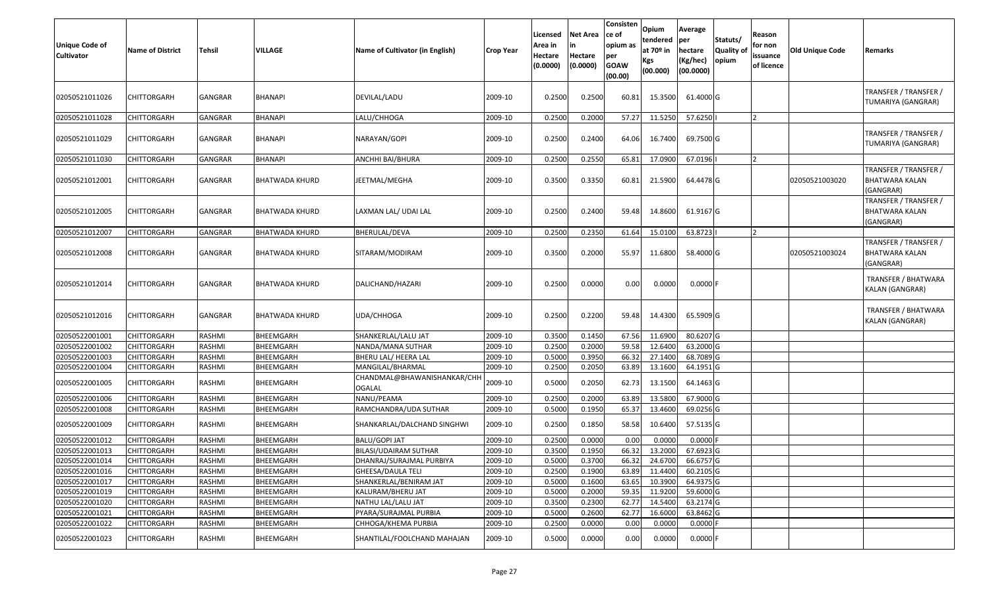| <b>Unique Code of</b><br><b>Cultivator</b> | <b>Name of District</b> | <b>Tehsil</b>  | <b>VILLAGE</b>        | Name of Cultivator (in English)              | <b>Crop Year</b> | Licensed<br>Area in<br>Hectare<br>(0.0000) | Net Area<br>Hectare<br>(0.0000) | Consisten<br>ce of<br>opium as<br>per<br><b>GOAW</b><br>(00.00) | <b>Opium</b><br><b>Itendered</b><br>at 70 <sup>o</sup> in<br><b>Kgs</b><br>(00.000) | Average<br>per<br>hectare<br>(Kg/hec)<br>(00.0000) | Statuts/<br>Quality of<br>opium | Reason<br>for non<br>issuance<br>of licence | Old Unique Code | Remarks                                              |
|--------------------------------------------|-------------------------|----------------|-----------------------|----------------------------------------------|------------------|--------------------------------------------|---------------------------------|-----------------------------------------------------------------|-------------------------------------------------------------------------------------|----------------------------------------------------|---------------------------------|---------------------------------------------|-----------------|------------------------------------------------------|
| 02050521011026                             | CHITTORGARH             | GANGRAR        | BHANAPI               | DEVILAL/LADU                                 | 2009-10          | 0.2500                                     | 0.2500                          | 60.81                                                           | 15.3500                                                                             | 61.4000 G                                          |                                 |                                             |                 | TRANSFER / TRANSFER /<br>TUMARIYA (GANGRAR)          |
| 02050521011028                             | <b>CHITTORGARH</b>      | <b>GANGRAR</b> | <b>BHANAPI</b>        | LALU/CHHOGA                                  | 2009-10          | 0.2500                                     | 0.2000                          | 57.27                                                           | 11.5250                                                                             | 57.6250                                            |                                 |                                             |                 |                                                      |
| 02050521011029                             | CHITTORGARH             | GANGRAR        | BHANAPI               | NARAYAN/GOPI                                 | 2009-10          | 0.2500                                     | 0.2400                          | 64.06                                                           | 16.7400                                                                             | 69.7500 G                                          |                                 |                                             |                 | TRANSFER / TRANSFER /<br>TUMARIYA (GANGRAR)          |
| 02050521011030                             | <b>CHITTORGARH</b>      | <b>GANGRAR</b> | <b>BHANAPI</b>        | ANCHHI BAI/BHURA                             | 2009-10          | 0.2500                                     | 0.2550                          | 65.81                                                           | 17.0900                                                                             | 67.0196                                            |                                 |                                             |                 |                                                      |
| 02050521012001                             | <b>CHITTORGARH</b>      | GANGRAR        | <b>BHATWADA KHURD</b> | JEETMAL/MEGHA                                | 2009-10          | 0.3500                                     | 0.3350                          | 60.81                                                           | 21.5900                                                                             | 64.4478 G                                          |                                 |                                             | 02050521003020  | TRANSFER / TRANSFER /<br>BHATWARA KALAN<br>(GANGRAR) |
| 02050521012005                             | <b>CHITTORGARH</b>      | <b>GANGRAR</b> | <b>BHATWADA KHURD</b> | LAXMAN LAL/ UDAI LAL                         | 2009-10          | 0.2500                                     | 0.2400                          | 59.48                                                           | 14.8600                                                                             | 61.9167 G                                          |                                 |                                             |                 | TRANSFER / TRANSFER /<br>BHATWARA KALAN<br>(GANGRAR) |
| 02050521012007                             | CHITTORGARH             | GANGRAR        | <b>BHATWADA KHURD</b> | BHERULAL/DEVA                                | 2009-10          | 0.2500                                     | 0.2350                          | 61.64                                                           | 15.0100                                                                             | 63.8723                                            |                                 |                                             |                 |                                                      |
| 02050521012008                             | <b>CHITTORGARH</b>      | <b>GANGRAR</b> | <b>BHATWADA KHURD</b> | SITARAM/MODIRAM                              | 2009-10          | 0.3500                                     | 0.2000                          | 55.97                                                           | 11.6800                                                                             | 58.4000 G                                          |                                 |                                             | 02050521003024  | TRANSFER / TRANSFER /<br>BHATWARA KALAN<br>(GANGRAR) |
| 02050521012014                             | <b>CHITTORGARH</b>      | GANGRAR        | BHATWADA KHURD        | DALICHAND/HAZARI                             | 2009-10          | 0.2500                                     | 0.0000                          | 0.00                                                            | 0.0000                                                                              | $0.0000$ F                                         |                                 |                                             |                 | TRANSFER / BHATWARA<br>KALAN (GANGRAR)               |
| 02050521012016                             | CHITTORGARH             | GANGRAR        | <b>BHATWADA KHURD</b> | UDA/CHHOGA                                   | 2009-10          | 0.2500                                     | 0.2200                          | 59.48                                                           | 14.4300                                                                             | 65.5909 G                                          |                                 |                                             |                 | TRANSFER / BHATWARA<br>KALAN (GANGRAR)               |
| 02050522001001                             | <b>CHITTORGARH</b>      | RASHMI         | BHEEMGARH             | SHANKERLAL/LALU JAT                          | 2009-10          | 0.3500                                     | 0.1450                          | 67.56                                                           | 11.6900                                                                             | 80.6207 G                                          |                                 |                                             |                 |                                                      |
| 02050522001002                             | <b>CHITTORGARH</b>      | RASHMI         | BHEEMGARH             | NANDA/MANA SUTHAR                            | 2009-10          | 0.2500                                     | 0.2000                          | 59.58                                                           | 12.6400                                                                             | 63.2000 G                                          |                                 |                                             |                 |                                                      |
| 02050522001003                             | <b>CHITTORGARH</b>      | RASHMI         | BHEEMGARH             | BHERU LAL/ HEERA LAL                         | 2009-10          | 0.5000                                     | 0.3950                          | 66.32                                                           | 27.1400                                                                             | 68.7089 G                                          |                                 |                                             |                 |                                                      |
| 02050522001004                             | <b>CHITTORGARH</b>      | RASHMI         | <b>BHEEMGARH</b>      | MANGILAL/BHARMAL                             | 2009-10          | 0.2500                                     | 0.2050                          | 63.89                                                           | 13.1600                                                                             | 64.1951 G                                          |                                 |                                             |                 |                                                      |
| 02050522001005                             | <b>CHITTORGARH</b>      | RASHMI         | <b>BHEEMGARH</b>      | CHANDMAL@BHAWANISHANKAR/CHF<br><b>OGALAL</b> | 2009-10          | 0.5000                                     | 0.2050                          | 62.73                                                           | 13.1500                                                                             | 64.1463 G                                          |                                 |                                             |                 |                                                      |
| 02050522001006                             | <b>CHITTORGARH</b>      | RASHMI         | BHEEMGARH             | NANU/PEAMA                                   | 2009-10          | 0.2500                                     | 0.2000                          | 63.89                                                           | 13.5800                                                                             | 67.9000 G                                          |                                 |                                             |                 |                                                      |
| 02050522001008                             | <b>CHITTORGARH</b>      | RASHMI         | <b>BHEEMGARH</b>      | RAMCHANDRA/UDA SUTHAR                        | 2009-10          | 0.5000                                     | 0.1950                          | 65.37                                                           | 13.4600                                                                             | 69.0256 G                                          |                                 |                                             |                 |                                                      |
| 02050522001009                             | <b>CHITTORGARH</b>      | RASHMI         | BHEEMGARH             | SHANKARLAL/DALCHAND SINGHWI                  | 2009-10          | 0.2500                                     | 0.1850                          | 58.58                                                           | 10.6400                                                                             | 57.5135 G                                          |                                 |                                             |                 |                                                      |
| 02050522001012                             | <b>CHITTORGARH</b>      | RASHMI         | BHEEMGARH             | <b>BALU/GOPI JAT</b>                         | 2009-10          | 0.2500                                     | 0.0000                          | 0.00                                                            | 0.0000                                                                              | $0.0000$ F                                         |                                 |                                             |                 |                                                      |
| 02050522001013                             | <b>CHITTORGARH</b>      | RASHMI         | BHEEMGARH             | BILASI/UDAIRAM SUTHAR                        | 2009-10          | 0.3500                                     | 0.1950                          | 66.32                                                           | 13.2000                                                                             | 67.6923 G                                          |                                 |                                             |                 |                                                      |
| 02050522001014                             | CHITTORGARH             | RASHMI         | BHEEMGARH             | DHANRAJ/SURAJMAL PURBIYA                     | 2009-10          | 0.5000                                     | 0.3700                          | 66.32                                                           | 24.6700                                                                             | 66.6757 G                                          |                                 |                                             |                 |                                                      |
| 02050522001016                             | <b>CHITTORGARH</b>      | RASHMI         | BHEEMGARH             | <b>GHEESA/DAULA TELI</b>                     | 2009-10          | 0.2500                                     | 0.1900                          | 63.89                                                           | 11.4400                                                                             | 60.2105 G                                          |                                 |                                             |                 |                                                      |
| 02050522001017                             | CHITTORGARH             | RASHMI         | BHEEMGARH             | SHANKERLAL/BENIRAM JAT                       | 2009-10          | 0.5000                                     | 0.1600                          | 63.65                                                           | 10.3900                                                                             | 64.9375 G                                          |                                 |                                             |                 |                                                      |
| 02050522001019                             | CHITTORGARH             | RASHMI         | BHEEMGARH             | KALURAM/BHERU JAT                            | 2009-10          | 0.5000                                     | 0.2000                          | 59.35                                                           | 11.9200                                                                             | 59.6000 G                                          |                                 |                                             |                 |                                                      |
| 02050522001020                             | CHITTORGARH             | RASHMI         | BHEEMGARH             | NATHU LAL/LALU JAT                           | 2009-10          | 0.3500                                     | 0.2300                          | 62.77                                                           | 14.5400                                                                             | 63.2174 G                                          |                                 |                                             |                 |                                                      |
| 02050522001021                             | <b>CHITTORGARH</b>      | RASHMI         | BHEEMGARH             | PYARA/SURAJMAL PURBIA                        | 2009-10          | 0.5000                                     | 0.2600                          | 62.77                                                           | 16.6000                                                                             | 63.8462 G                                          |                                 |                                             |                 |                                                      |
| 02050522001022                             | CHITTORGARH             | RASHMI         | BHEEMGARH             | CHHOGA/KHEMA PURBIA                          | 2009-10          | 0.2500                                     | 0.0000                          | 0.00                                                            | 0.0000                                                                              | $0.0000$ F                                         |                                 |                                             |                 |                                                      |
| 02050522001023                             | <b>CHITTORGARH</b>      | RASHMI         | BHEEMGARH             | SHANTILAL/FOOLCHAND MAHAJAN                  | 2009-10          | 0.5000                                     | 0.0000                          | 0.00                                                            | 0.0000                                                                              | $0.0000$ F                                         |                                 |                                             |                 |                                                      |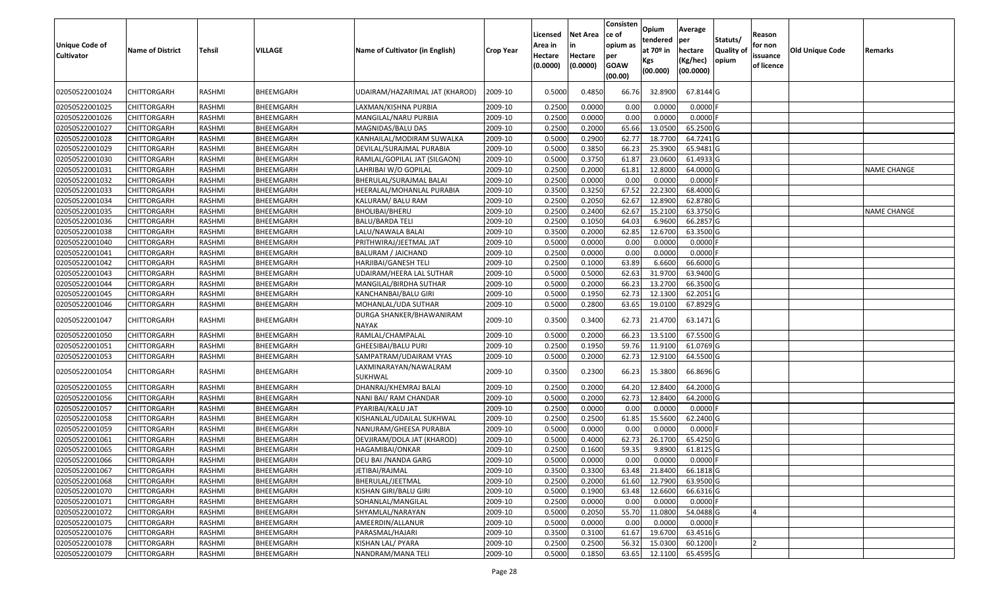| <b>Unique Code of</b><br><b>Cultivator</b> | <b>Name of District</b> | <b>Tehsil</b> | VILLAGE   | Name of Cultivator (in English)          | <b>Crop Year</b> | Licensed<br>Area in<br>Hectare<br>(0.0000) | <b>Net Area</b><br>in<br>Hectare<br>(0.0000) | Consisten<br>ce of<br>opium as<br>per<br><b>GOAW</b><br>(00.00) | Opium<br>tendered<br>at $70°$ in<br>Kgs<br>(00.000) | Average<br>per<br>hectare<br>(Kg/hec)<br>(00.0000) | Statuts/<br>Quality of<br>opium | Reason<br>for non<br>issuance<br>of licence | <b>Old Unique Code</b> | Remarks            |
|--------------------------------------------|-------------------------|---------------|-----------|------------------------------------------|------------------|--------------------------------------------|----------------------------------------------|-----------------------------------------------------------------|-----------------------------------------------------|----------------------------------------------------|---------------------------------|---------------------------------------------|------------------------|--------------------|
| 02050522001024                             | CHITTORGARH             | RASHMI        | BHEEMGARH | UDAIRAM/HAZARIMAL JAT (KHAROD)           | 2009-10          | 0.5000                                     | 0.4850                                       | 66.76                                                           | 32.8900                                             | 67.8144 G                                          |                                 |                                             |                        |                    |
| 02050522001025                             | CHITTORGARH             | RASHMI        | BHEEMGARH | LAXMAN/KISHNA PURBIA                     | 2009-10          | 0.2500                                     | 0.0000                                       | 0.00                                                            | 0.0000                                              | $0.0000$ F                                         |                                 |                                             |                        |                    |
| 02050522001026                             | <b>CHITTORGARH</b>      | RASHMI        | BHEEMGARH | MANGILAL/NARU PURBIA                     | 2009-10          | 0.2500                                     | 0.0000                                       | 0.00                                                            | 0.0000                                              | 0.0000F                                            |                                 |                                             |                        |                    |
| 02050522001027                             | <b>CHITTORGARH</b>      | RASHMI        | BHEEMGARH | MAGNIDAS/BALU DAS                        | 2009-10          | 0.2500                                     | 0.2000                                       | 65.66                                                           | 13.0500                                             | 65.2500 G                                          |                                 |                                             |                        |                    |
| 02050522001028                             | CHITTORGARH             | RASHMI        | BHEEMGARH | KANHAILAL/MODIRAM SUWALKA                | 2009-10          | 0.5000                                     | 0.2900                                       | 62.77                                                           | 18.7700                                             | 64.7241 G                                          |                                 |                                             |                        |                    |
| 02050522001029                             | CHITTORGARH             | RASHMI        | BHEEMGARH | DEVILAL/SURAJMAL PURABIA                 | 2009-10          | 0.5000                                     | 0.3850                                       | 66.23                                                           | 25.3900                                             | 65.9481G                                           |                                 |                                             |                        |                    |
| 02050522001030                             | CHITTORGARH             | RASHMI        | BHEEMGARH | RAMLAL/GOPILAL JAT (SILGAON)             | 2009-10          | 0.5000                                     | 0.3750                                       | 61.87                                                           | 23.0600                                             | 61.4933 G                                          |                                 |                                             |                        |                    |
| 02050522001031                             | CHITTORGARH             | RASHMI        | BHEEMGARH | LAHRIBAI W/O GOPILAL                     | 2009-10          | 0.2500                                     | 0.2000                                       | 61.81                                                           | 12.8000                                             | 64.0000 G                                          |                                 |                                             |                        | <b>NAME CHANGE</b> |
| 02050522001032                             | CHITTORGARH             | RASHMI        | BHEEMGARH | BHERULAL/SURAJMAL BALAI                  | 2009-10          | 0.2500                                     | 0.0000                                       | 0.00                                                            | 0.0000                                              | 0.0000                                             |                                 |                                             |                        |                    |
| 02050522001033                             | CHITTORGARH             | RASHMI        | BHEEMGARH | HEERALAL/MOHANLAL PURABIA                | 2009-10          | 0.3500                                     | 0.3250                                       | 67.52                                                           | 22.2300                                             | 68.4000 G                                          |                                 |                                             |                        |                    |
| 02050522001034                             | CHITTORGARH             | RASHMI        | BHEEMGARH | KALURAM/ BALU RAM                        | 2009-10          | 0.2500                                     | 0.2050                                       | 62.67                                                           | 12.8900                                             | 62.8780 G                                          |                                 |                                             |                        |                    |
| 02050522001035                             | CHITTORGARH             | RASHMI        | BHEEMGARH | <b>BHOLIBAI/BHERU</b>                    | 2009-10          | 0.2500                                     | 0.2400                                       | 62.67                                                           | 15.2100                                             | 63.3750 G                                          |                                 |                                             |                        | <b>NAME CHANGE</b> |
| 02050522001036                             | CHITTORGARH             | RASHMI        | BHEEMGARH | <b>BALU/BARDA TELI</b>                   | 2009-10          | 0.2500                                     | 0.1050                                       | 64.03                                                           | 6.9600                                              | 66.2857 G                                          |                                 |                                             |                        |                    |
| 02050522001038                             | CHITTORGARH             | RASHMI        | BHEEMGARH | LALU/NAWALA BALAI                        | 2009-10          | 0.3500                                     | 0.2000                                       | 62.85                                                           | 12.6700                                             | 63.3500 G                                          |                                 |                                             |                        |                    |
| 02050522001040                             | CHITTORGARH             | RASHMI        | BHEEMGARH | PRITHWIRAJ/JEETMAL JAT                   | 2009-10          | 0.5000                                     | 0.0000                                       | 0.00                                                            | 0.0000                                              | 0.0000                                             |                                 |                                             |                        |                    |
| 02050522001041                             | CHITTORGARH             | RASHMI        | BHEEMGARH | <b>BALURAM / JAICHAND</b>                | 2009-10          | 0.2500                                     | 0.0000                                       | 0.00                                                            | 0.0000                                              | 0.0000F                                            |                                 |                                             |                        |                    |
| 02050522001042                             | CHITTORGARH             | RASHMI        | BHEEMGARH | HARJIBAI/GANESH TELI                     | 2009-10          | 0.2500                                     | 0.1000                                       | 63.89                                                           | 6.6600                                              | 66.6000 G                                          |                                 |                                             |                        |                    |
| 02050522001043                             | CHITTORGARH             | RASHMI        | BHEEMGARH | UDAIRAM/HEERA LAL SUTHAR                 | 2009-10          | 0.5000                                     | 0.5000                                       | 62.63                                                           | 31.9700                                             | 63.9400 G                                          |                                 |                                             |                        |                    |
| 02050522001044                             | CHITTORGARH             | RASHMI        | BHEEMGARH | MANGILAL/BIRDHA SUTHAR                   | 2009-10          | 0.5000                                     | 0.2000                                       | 66.23                                                           | 13.2700                                             | 66.3500 G                                          |                                 |                                             |                        |                    |
| 02050522001045                             | <b>CHITTORGARH</b>      | RASHMI        | BHEEMGARH | KANCHANBAI/BALU GIRI                     | 2009-10          | 0.5000                                     | 0.1950                                       | 62.73                                                           | 12.1300                                             | 62.2051 G                                          |                                 |                                             |                        |                    |
| 02050522001046                             | CHITTORGARH             | RASHMI        | BHEEMGARH | MOHANLAL/UDA SUTHAR                      | 2009-10          | 0.5000                                     | 0.2800                                       | 63.65                                                           | 19.0100                                             | 67.8929 G                                          |                                 |                                             |                        |                    |
| 02050522001047                             | CHITTORGARH             | RASHMI        | BHEEMGARH | DURGA SHANKER/BHAWANIRAM<br><b>NAYAK</b> | 2009-10          | 0.3500                                     | 0.3400                                       | 62.73                                                           | 21.4700                                             | 63.1471 G                                          |                                 |                                             |                        |                    |
| 02050522001050                             | <b>CHITTORGARH</b>      | RASHMI        | BHEEMGARH | RAMLAL/CHAMPALAL                         | 2009-10          | 0.5000                                     | 0.2000                                       | 66.23                                                           | 13.5100                                             | 67.5500 G                                          |                                 |                                             |                        |                    |
| 02050522001051                             | <b>CHITTORGARH</b>      | RASHMI        | BHEEMGARH | <b>GHEESIBAI/BALU PURI</b>               | 2009-10          | 0.2500                                     | 0.1950                                       | 59.76                                                           | 11.9100                                             | 61.0769 G                                          |                                 |                                             |                        |                    |
| 02050522001053                             | CHITTORGARH             | RASHMI        | BHEEMGARH | SAMPATRAM/UDAIRAM VYAS                   | 2009-10          | 0.5000                                     | 0.2000                                       | 62.73                                                           | 12.9100                                             | 64.5500 G                                          |                                 |                                             |                        |                    |
| 02050522001054                             | CHITTORGARH             | RASHMI        | BHEEMGARH | LAXMINARAYAN/NAWALRAM<br>SUKHWAL         | 2009-10          | 0.3500                                     | 0.2300                                       | 66.23                                                           | 15.3800                                             | 66.8696 G                                          |                                 |                                             |                        |                    |
| 02050522001055                             | <b>CHITTORGARH</b>      | RASHMI        | BHEEMGARH | DHANRAJ/KHEMRAJ BALAI                    | 2009-10          | 0.2500                                     | 0.2000                                       | 64.20                                                           | 12.8400                                             | 64.2000 G                                          |                                 |                                             |                        |                    |
| 02050522001056                             | CHITTORGARH             | RASHMI        | BHEEMGARH | NANI BAI/ RAM CHANDAR                    | 2009-10          | 0.5000                                     | 0.2000                                       | 62.73                                                           | 12.8400                                             | 64.2000 G                                          |                                 |                                             |                        |                    |
| 02050522001057                             | CHITTORGARH             | RASHMI        | BHEEMGARH | PYARIBAI/KALU JAT                        | 2009-10          | 0.2500                                     | 0.0000                                       | 0.00                                                            | 0.0000                                              | $0.0000$ F                                         |                                 |                                             |                        |                    |
| 02050522001058                             | CHITTORGARH             | RASHMI        | BHEEMGARH | KISHANLAL/UDAILAL SUKHWAL                | 2009-10          | 0.2500                                     | 0.2500                                       | 61.85                                                           | 15.5600                                             | 62.2400 G                                          |                                 |                                             |                        |                    |
| 02050522001059                             | CHITTORGARH             | RASHMI        | BHEEMGARH | NANURAM/GHEESA PURABIA                   | 2009-10          | 0.5000                                     | 0.0000                                       | 0.00                                                            | 0.0000                                              | $0.0000$ F                                         |                                 |                                             |                        |                    |
| 02050522001061                             | CHITTORGARH             | RASHMI        | BHEEMGARH | DEVJIRAM/DOLA JAT (KHAROD)               | 2009-10          | 0.500                                      | 0.4000                                       | 62.73                                                           | 26.1700                                             | 65.4250 G                                          |                                 |                                             |                        |                    |
| 02050522001065                             | CHITTORGARH             | RASHMI        | BHEEMGARH | HAGAMIBAI/ONKAR                          | 2009-10          | 0.2500                                     | 0.1600                                       | 59.35                                                           | 9.8900                                              | 61.8125 G                                          |                                 |                                             |                        |                    |
| 02050522001066                             | <b>CHITTORGARH</b>      | RASHMI        | BHEEMGARH | DEU BAI / NANDA GARG                     | 2009-10          | 0.5000                                     | 0.0000                                       | 0.00                                                            | 0.0000                                              | $0.0000$ F                                         |                                 |                                             |                        |                    |
| 02050522001067                             | <b>CHITTORGARH</b>      | RASHMI        | BHEEMGARH | JETIBAI/RAJMAL                           | 2009-10          | 0.3500                                     | 0.3300                                       | 63.48                                                           | 21.8400                                             | 66.1818 G                                          |                                 |                                             |                        |                    |
| 02050522001068                             | <b>CHITTORGARH</b>      | RASHMI        | BHEEMGARH | BHERULAL/JEETMAL                         | 2009-10          | 0.2500                                     | 0.2000                                       | 61.60                                                           | 12.7900                                             | 63.9500 G                                          |                                 |                                             |                        |                    |
| 02050522001070                             | <b>CHITTORGARH</b>      | RASHMI        | BHEEMGARH | KISHAN GIRI/BALU GIRI                    | 2009-10          | 0.5000                                     | 0.1900                                       | 63.48                                                           | 12.6600                                             | 66.6316 G                                          |                                 |                                             |                        |                    |
| 02050522001071                             | CHITTORGARH             | RASHMI        | BHEEMGARH | SOHANLAL/MANGILAL                        | 2009-10          | 0.2500                                     | 0.0000                                       | 0.00                                                            | 0.0000                                              | $0.0000$ F                                         |                                 |                                             |                        |                    |
| 02050522001072                             | <b>CHITTORGARH</b>      | RASHMI        | BHEEMGARH | SHYAMLAL/NARAYAN                         | 2009-10          | 0.5000                                     | 0.2050                                       | 55.70                                                           | 11.0800                                             | 54.0488 G                                          |                                 |                                             |                        |                    |
| 02050522001075                             | <b>CHITTORGARH</b>      | RASHMI        | BHEEMGARH | AMEERDIN/ALLANUR                         | 2009-10          | 0.5000                                     | 0.0000                                       | 0.00                                                            | 0.0000                                              | $0.0000$ F                                         |                                 |                                             |                        |                    |
| 02050522001076                             | <b>CHITTORGARH</b>      | RASHMI        | BHEEMGARH | PARASMAL/HAJARI                          | 2009-10          | 0.3500                                     | 0.3100                                       | 61.67                                                           | 19.6700                                             | 63.4516 G                                          |                                 |                                             |                        |                    |
| 02050522001078                             | CHITTORGARH             | RASHMI        | BHEEMGARH | KISHAN LAL/ PYARA                        | 2009-10          | 0.2500                                     | 0.2500                                       | 56.32                                                           | 15.0300                                             | 60.1200                                            |                                 |                                             |                        |                    |
| 02050522001079                             | CHITTORGARH             | RASHMI        | BHEEMGARH | NANDRAM/MANA TELI                        | 2009-10          | 0.5000                                     | 0.1850                                       | 63.65                                                           | 12.1100                                             | 65.4595 G                                          |                                 |                                             |                        |                    |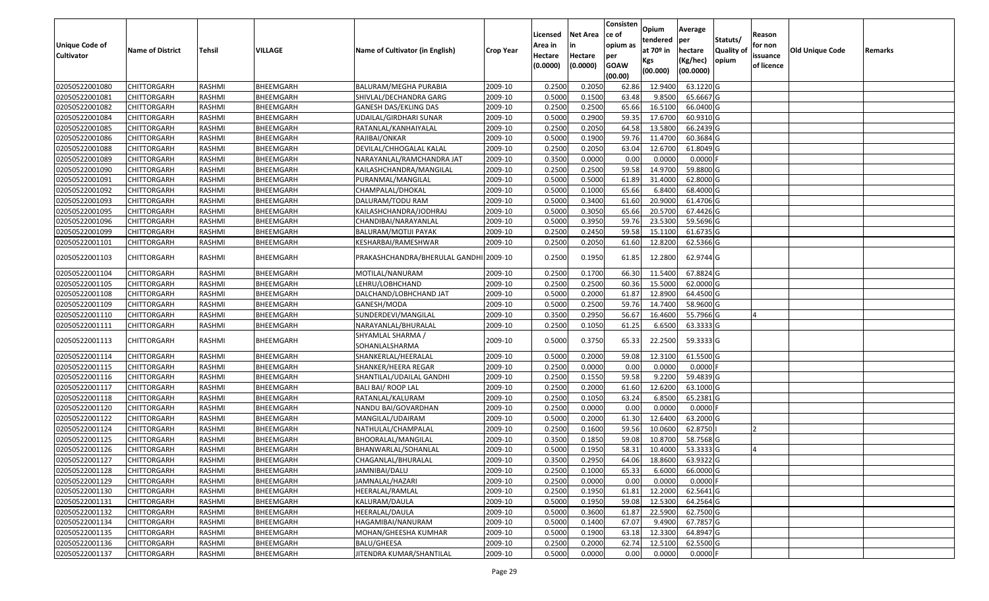|                   |                         |               |           |                                        |                  | Licensed | <b>Net Area</b> | Consisten<br>ce of | Opium       | Average    |                  | Reason     |                 |         |
|-------------------|-------------------------|---------------|-----------|----------------------------------------|------------------|----------|-----------------|--------------------|-------------|------------|------------------|------------|-----------------|---------|
| Unique Code of    |                         |               |           |                                        |                  | Area in  | in              | opium as           | tendered    | per        | Statuts/         | for non    |                 |         |
| <b>Cultivator</b> | <b>Name of District</b> | <b>Tehsil</b> | VILLAGE   | Name of Cultivator (in English)        | <b>Crop Year</b> | Hectare  | Hectare         | per                | at $70°$ in | hectare    | <b>Quality o</b> | issuance   | Old Unique Code | Remarks |
|                   |                         |               |           |                                        |                  | (0.0000) | (0.0000)        | <b>GOAW</b>        | Kgs         | (Kg/hec)   | opium            | of licence |                 |         |
|                   |                         |               |           |                                        |                  |          |                 | (00.00)            | (00.000)    | (00.0000)  |                  |            |                 |         |
| 02050522001080    | CHITTORGARH             | RASHMI        | BHEEMGARH | BALURAM/MEGHA PURABIA                  | 2009-10          | 0.2500   | 0.2050          | 62.86              | 12.9400     | 63.1220 G  |                  |            |                 |         |
| 02050522001081    | CHITTORGARH             | RASHMI        | BHEEMGARH | SHIVLAL/DECHANDRA GARG                 | 2009-10          | 0.5000   | 0.1500          | 63.48              | 9.8500      | 65.6667 G  |                  |            |                 |         |
| 02050522001082    | CHITTORGARH             | RASHMI        | BHEEMGARH | GANESH DAS/EKLING DAS                  | 2009-10          | 0.2500   | 0.2500          | 65.66              | 16.5100     | 66.0400 G  |                  |            |                 |         |
| 02050522001084    | <b>CHITTORGARH</b>      | RASHMI        | BHEEMGARH | UDAILAL/GIRDHARI SUNAR                 | 2009-10          | 0.5000   | 0.2900          | 59.35              | 17.6700     | 60.9310 G  |                  |            |                 |         |
| 02050522001085    | CHITTORGARH             | RASHMI        | BHEEMGARH | RATANLAL/KANHAIYALAL                   | 2009-10          | 0.2500   | 0.2050          | 64.58              | 13.5800     | 66.2439 G  |                  |            |                 |         |
| 02050522001086    | CHITTORGARH             | RASHMI        | BHEEMGARH | RAJIBAI/ONKAR                          | 2009-10          | 0.5000   | 0.1900          | 59.76              | 11.4700     | 60.3684 G  |                  |            |                 |         |
| 02050522001088    | CHITTORGARH             | RASHMI        | BHEEMGARH | DEVILAL/CHHOGALAL KALAL                | 2009-10          | 0.2500   | 0.2050          | 63.04              | 12.6700     | 61.8049 G  |                  |            |                 |         |
| 02050522001089    | CHITTORGARH             | <b>RASHMI</b> | BHEEMGARH | NARAYANLAL/RAMCHANDRA JAT              | 2009-10          | 0.3500   | 0.0000          | 0.00               | 0.0000      | $0.0000$ F |                  |            |                 |         |
| 02050522001090    | CHITTORGARH             | RASHMI        | BHEEMGARH | KAILASHCHANDRA/MANGILAL                | 2009-10          | 0.2500   | 0.2500          | 59.58              | 14.9700     | 59.8800 G  |                  |            |                 |         |
| 02050522001091    | CHITTORGARH             | RASHMI        | BHEEMGARH | PURANMAL/MANGILAL                      | 2009-10          | 0.5000   | 0.5000          | 61.89              | 31.4000     | 62.8000 G  |                  |            |                 |         |
| 02050522001092    | CHITTORGARH             | RASHMI        | BHEEMGARH | CHAMPALAL/DHOKAL                       | 2009-10          | 0.5000   | 0.1000          | 65.66              | 6.8400      | 68.4000 G  |                  |            |                 |         |
| 02050522001093    | <b>CHITTORGARH</b>      | RASHMI        | BHEEMGARH | DALURAM/TODU RAM                       | 2009-10          | 0.5000   | 0.3400          | 61.60              | 20.9000     | 61.4706 G  |                  |            |                 |         |
| 02050522001095    | <b>CHITTORGARH</b>      | RASHMI        | BHEEMGARH | KAILASHCHANDRA/JODHRAJ                 | 2009-10          | 0.5000   | 0.3050          | 65.66              | 20.5700     | 67.4426 G  |                  |            |                 |         |
| 02050522001096    | <b>CHITTORGARH</b>      | RASHMI        | BHEEMGARH | CHANDIBAI/NARAYANLAL                   | 2009-10          | 0.5000   | 0.3950          | 59.76              | 23.5300     | 59.5696 G  |                  |            |                 |         |
| 02050522001099    | CHITTORGARH             | RASHMI        | BHEEMGARH | BALURAM/MOTIJI PAYAK                   | 2009-10          | 0.2500   | 0.2450          | 59.58              | 15.1100     | 61.6735 G  |                  |            |                 |         |
| 02050522001101    | CHITTORGARH             | RASHMI        | BHEEMGARH | KESHARBAI/RAMESHWAR                    | 2009-10          | 0.2500   | 0.2050          | 61.60              | 12.8200     | 62.5366 G  |                  |            |                 |         |
| 02050522001103    | <b>CHITTORGARH</b>      | RASHMI        | BHEEMGARH | PRAKASHCHANDRA/BHERULAL GANDHI 2009-10 |                  | 0.2500   | 0.1950          | 61.85              | 12.2800     | 62.9744 G  |                  |            |                 |         |
| 02050522001104    | CHITTORGARH             | RASHMI        | BHEEMGARH | MOTILAL/NANURAM                        | 2009-10          | 0.2500   | 0.1700          | 66.30              | 11.5400     | 67.8824 G  |                  |            |                 |         |
| 02050522001105    | CHITTORGARH             | RASHMI        | BHEEMGARH | LEHRU/LOBHCHAND                        | 2009-10          | 0.2500   | 0.2500          | 60.36              | 15.5000     | 62.0000 G  |                  |            |                 |         |
| 02050522001108    | CHITTORGARH             | RASHMI        | BHEEMGARH | DALCHAND/LOBHCHAND JAT                 | 2009-10          | 0.5000   | 0.2000          | 61.87              | 12.8900     | 64.4500 G  |                  |            |                 |         |
| 02050522001109    | CHITTORGARH             | RASHMI        | BHEEMGARH | GANESH/MODA                            | 2009-10          | 0.5000   | 0.2500          | 59.76              | 14.7400     | 58.9600 G  |                  |            |                 |         |
| 02050522001110    | CHITTORGARH             | RASHMI        | BHEEMGARH | SUNDERDEVI/MANGILAL                    | 2009-10          | 0.3500   | 0.2950          | 56.67              | 16.4600     | 55.7966 G  |                  |            |                 |         |
| 02050522001111    | CHITTORGARH             | RASHMI        | BHEEMGARH | NARAYANLAL/BHURALAL                    | 2009-10          | 0.2500   | 0.1050          | 61.25              | 6.6500      | 63.3333 G  |                  |            |                 |         |
|                   |                         |               |           | SHYAMLAL SHARMA /                      |                  |          |                 |                    |             |            |                  |            |                 |         |
| 02050522001113    | CHITTORGARH             | RASHMI        | BHEEMGARH | SOHANLALSHARMA                         | 2009-10          | 0.5000   | 0.3750          | 65.33              | 22.2500     | 59.3333 G  |                  |            |                 |         |
| 02050522001114    | CHITTORGARH             | RASHMI        | BHEEMGARH | SHANKERLAL/HEERALAL                    | 2009-10          | 0.500    | 0.2000          | 59.08              | 12.3100     | 61.5500 G  |                  |            |                 |         |
| 02050522001115    | CHITTORGARH             | RASHMI        | BHEEMGARH | SHANKER/HEERA REGAR                    | 2009-10          | 0.2500   | 0.0000          | 0.00               | 0.0000      | $0.0000$ F |                  |            |                 |         |
| 02050522001116    | <b>CHITTORGARH</b>      | RASHMI        | BHEEMGARH | SHANTILAL/UDAILAL GANDHI               | 2009-10          | 0.2500   | 0.1550          | 59.58              | 9.2200      | 59.4839 G  |                  |            |                 |         |
| 02050522001117    | CHITTORGARH             | RASHMI        | BHEEMGARH | <b>BALI BAI/ ROOP LAL</b>              | 2009-10          | 0.2500   | 0.2000          | 61.60              | 12.6200     | 63.1000G   |                  |            |                 |         |
| 02050522001118    | CHITTORGARH             | RASHMI        | BHEEMGARH | RATANLAL/KALURAM                       | 2009-10          | 0.2500   | 0.1050          | 63.24              | 6.8500      | 65.2381 G  |                  |            |                 |         |
| 02050522001120    | <b>CHITTORGARH</b>      | RASHMI        | BHEEMGARH | NANDU BAI/GOVARDHAN                    | 2009-10          | 0.2500   | 0.0000          | 0.00               | 0.0000      | $0.0000$ F |                  |            |                 |         |
| 02050522001122    | CHITTORGARH             | RASHMI        | BHEEMGARH | MANGILAL/UDAIRAM                       | 2009-10          | 0.5000   | 0.2000          | 61.30              | 12.6400     | 63.2000 G  |                  |            |                 |         |
| 02050522001124    | <b>CHITTORGARH</b>      | RASHMI        | BHEEMGARH | NATHULAL/CHAMPALAL                     | 2009-10          | 0.2500   | 0.1600          | 59.56              | 10.0600     | 62.8750    |                  |            |                 |         |
| 02050522001125    | CHITTORGARH             | RASHMI        | BHEEMGARH | BHOORALAL/MANGILAL                     | 2009-10          | 0.350    | 0.1850          | 59.08              | 10.8700     | 58.7568 G  |                  |            |                 |         |
| 02050522001126    | CHITTORGARH             | RASHMI        | BHEEMGARH | BHANWARLAL/SOHANLAL                    | 2009-10          | 0.5000   | 0.1950          | 58.31              | 10.4000     | 53.3333 G  |                  |            |                 |         |
| 02050522001127    | <b>CHITTORGARH</b>      | RASHMI        | BHEEMGARH | CHAGANLAL/BHURALAL                     | 2009-10          | 0.3500   | 0.2950          | 64.06              | 18.8600     | 63.9322 G  |                  |            |                 |         |
| 02050522001128    | <b>CHITTORGARH</b>      | RASHMI        | BHEEMGARH | JAMNIBAI/DALU                          | 2009-10          | 0.2500   | 0.1000          | 65.33              | 6.6000      | 66.0000G   |                  |            |                 |         |
| 02050522001129    | <b>CHITTORGARH</b>      | RASHMI        | BHEEMGARH | JAMNALAL/HAZARI                        | 2009-10          | 0.2500   | 0.0000          | 0.00               | 0.0000      | $0.0000$ F |                  |            |                 |         |
| 02050522001130    | <b>CHITTORGARH</b>      | RASHMI        | BHEEMGARH | HEERALAL/RAMLAL                        | 2009-10          | 0.2500   | 0.1950          | 61.81              | 12.2000     | 62.5641 G  |                  |            |                 |         |
| 02050522001131    | <b>CHITTORGARH</b>      | RASHMI        | BHEEMGARH | KALURAM/DAULA                          | 2009-10          | 0.5000   | 0.1950          | 59.08              | 12.5300     | 64.2564 G  |                  |            |                 |         |
| 02050522001132    | <b>CHITTORGARH</b>      | RASHMI        | BHEEMGARH | HEERALAL/DAULA                         | 2009-10          | 0.5000   | 0.3600          | 61.87              | 22.5900     | 62.7500 G  |                  |            |                 |         |
| 02050522001134    | <b>CHITTORGARH</b>      | RASHMI        | BHEEMGARH | HAGAMIBAI/NANURAM                      | 2009-10          | 0.5000   | 0.1400          | 67.07              | 9.4900      | 67.7857 G  |                  |            |                 |         |
| 02050522001135    | <b>CHITTORGARH</b>      | RASHMI        | BHEEMGARH | MOHAN/GHEESHA KUMHAR                   | 2009-10          | 0.5000   | 0.1900          | 63.18              | 12.3300     | 64.8947 G  |                  |            |                 |         |
| 02050522001136    | <b>CHITTORGARH</b>      | RASHMI        | BHEEMGARH | BALU/GHEESA                            | 2009-10          | 0.2500   | 0.2000          | 62.74              | 12.5100     | 62.5500 G  |                  |            |                 |         |
| 02050522001137    | <b>CHITTORGARH</b>      | RASHMI        | BHEEMGARH | JITENDRA KUMAR/SHANTILAL               | 2009-10          | 0.5000   | 0.0000          | 0.00               | 0.0000      | $0.0000$ F |                  |            |                 |         |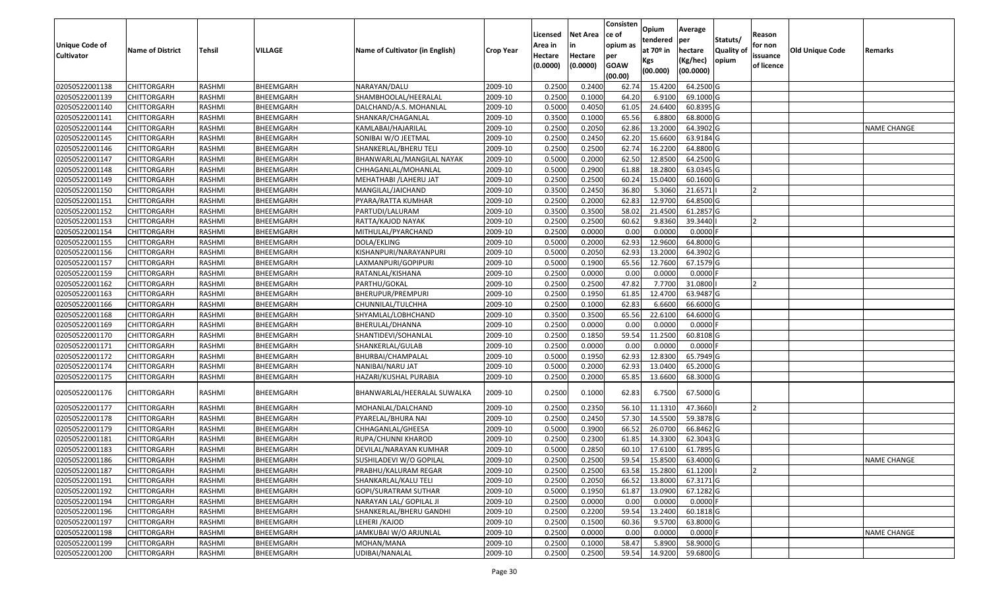| <b>Unique Code of</b><br><b>Cultivator</b> | <b>Name of District</b> | <b>Tehsil</b> | VILLAGE          | Name of Cultivator (in English) | <b>Crop Year</b> | Licensed<br>Area in<br>Hectare<br>(0.0000) | <b>Net Area</b><br>in<br>Hectare<br>(0.0000) | Consisten<br>ce of<br>opium as<br>per<br><b>GOAW</b><br>(00.00) | Opium<br>tendered<br>at $70°$ in<br>Kgs<br>(00.000) | Average<br>per<br>hectare<br>(Kg/hec)<br>(00.0000) | Statuts/<br>Quality of<br>opium | Reason<br>for non<br>issuance<br>of licence | <b>Old Unique Code</b> | Remarks            |
|--------------------------------------------|-------------------------|---------------|------------------|---------------------------------|------------------|--------------------------------------------|----------------------------------------------|-----------------------------------------------------------------|-----------------------------------------------------|----------------------------------------------------|---------------------------------|---------------------------------------------|------------------------|--------------------|
| 02050522001138                             | <b>CHITTORGARH</b>      | RASHMI        | BHEEMGARH        | NARAYAN/DALU                    | 2009-10          | 0.2500                                     | 0.2400                                       | 62.74                                                           | 15.4200                                             | 64.2500 G                                          |                                 |                                             |                        |                    |
| 02050522001139                             | CHITTORGARH             | RASHMI        | BHEEMGARH        | SHAMBHOOLAL/HEERALAL            | 2009-10          | 0.2500                                     | 0.1000                                       | 64.20                                                           | 6.9100                                              | 69.1000G                                           |                                 |                                             |                        |                    |
| 02050522001140                             | CHITTORGARH             | RASHMI        | BHEEMGARH        | DALCHAND/A.S. MOHANLAL          | 2009-10          | 0.5000                                     | 0.4050                                       | 61.05                                                           | 24.6400                                             | 60.8395 G                                          |                                 |                                             |                        |                    |
| 02050522001141                             | <b>CHITTORGARH</b>      | RASHMI        | BHEEMGARH        | SHANKAR/CHAGANLAL               | 2009-10          | 0.3500                                     | 0.1000                                       | 65.56                                                           | 6.8800                                              | 68.8000G                                           |                                 |                                             |                        |                    |
| 02050522001144                             | <b>CHITTORGARH</b>      | RASHMI        | BHEEMGARH        | KAMLABAI/HAJARILAL              | 2009-10          | 0.2500                                     | 0.2050                                       | 62.86                                                           | 13.2000                                             | 64.3902 G                                          |                                 |                                             |                        | <b>NAME CHANGE</b> |
| 02050522001145                             | CHITTORGARH             | RASHMI        | BHEEMGARH        | SONIBAI W/O JEETMAL             | 2009-10          | 0.2500                                     | 0.2450                                       | 62.20                                                           | 15.6600                                             | 63.9184 G                                          |                                 |                                             |                        |                    |
| 02050522001146                             | CHITTORGARH             | RASHMI        | BHEEMGARH        | SHANKERLAL/BHERU TELI           | 2009-10          | 0.2500                                     | 0.2500                                       | 62.74                                                           | 16.2200                                             | 64.8800 G                                          |                                 |                                             |                        |                    |
| 02050522001147                             | CHITTORGARH             | RASHMI        | BHEEMGARH        | BHANWARLAL/MANGILAL NAYAK       | 2009-10          | 0.5000                                     | 0.2000                                       | 62.50                                                           | 12.8500                                             | 64.2500 G                                          |                                 |                                             |                        |                    |
| 02050522001148                             | CHITTORGARH             | RASHMI        | BHEEMGARH        | CHHAGANLAL/MOHANLAL             | 2009-10          | 0.5000                                     | 0.2900                                       | 61.88                                                           | 18.2800                                             | 63.0345 G                                          |                                 |                                             |                        |                    |
| 02050522001149                             | CHITTORGARH             | RASHMI        | BHEEMGARH        | MEHATHABI /LAHERU JAT           | 2009-10          | 0.2500                                     | 0.2500                                       | 60.24                                                           | 15.0400                                             | 60.1600 G                                          |                                 |                                             |                        |                    |
| 02050522001150                             | CHITTORGARH             | RASHMI        | BHEEMGARH        | MANGILAL/JAICHAND               | 2009-10          | 0.3500                                     | 0.2450                                       | 36.80                                                           | 5.3060                                              | 21.6571                                            |                                 |                                             |                        |                    |
| 02050522001151                             | CHITTORGARH             | RASHMI        | BHEEMGARH        | PYARA/RATTA KUMHAR              | 2009-10          | 0.2500                                     | 0.2000                                       | 62.83                                                           | 12.9700                                             | 64.8500 G                                          |                                 |                                             |                        |                    |
| 02050522001152                             | CHITTORGARH             | RASHMI        | BHEEMGARH        | PARTUDI/LALURAM                 | 2009-10          | 0.3500                                     | 0.3500                                       | 58.02                                                           | 21.4500                                             | 61.2857 G                                          |                                 |                                             |                        |                    |
| 02050522001153                             | CHITTORGARH             | RASHMI        | BHEEMGARH        | RATTA/KAJOD NAYAK               | 2009-10          | 0.2500                                     | 0.2500                                       | 60.62                                                           | 9.8360                                              | 39.3440                                            |                                 |                                             |                        |                    |
| 02050522001154                             | CHITTORGARH             | RASHMI        | BHEEMGARH        | MITHULAL/PYARCHAND              | 2009-10          | 0.2500                                     | 0.0000                                       | 0.00                                                            | 0.0000                                              | 0.0000F                                            |                                 |                                             |                        |                    |
| 02050522001155                             | CHITTORGARH             | RASHMI        | BHEEMGARH        | DOLA/EKLING                     | 2009-10          | 0.5000                                     | 0.2000                                       | 62.93                                                           | 12.9600                                             | 64.8000 G                                          |                                 |                                             |                        |                    |
| 02050522001156                             | CHITTORGARH             | RASHMI        | BHEEMGARH        | KISHANPURI/NARAYANPURI          | 2009-10          | 0.5000                                     | 0.2050                                       | 62.93                                                           | 13.2000                                             | 64.3902 G                                          |                                 |                                             |                        |                    |
| 02050522001157                             | CHITTORGARH             | RASHMI        | BHEEMGARH        | LAXMANPURI/GOPIPURI             | 2009-10          | 0.5000                                     | 0.1900                                       | 65.56                                                           | 12.7600                                             | 67.1579 G                                          |                                 |                                             |                        |                    |
| 02050522001159                             | <b>CHITTORGARH</b>      | RASHMI        | BHEEMGARH        | RATANLAL/KISHANA                | 2009-10          | 0.2500                                     | 0.0000                                       | 0.00                                                            | 0.0000                                              | $0.0000$ F                                         |                                 |                                             |                        |                    |
| 02050522001162                             | CHITTORGARH             | RASHMI        | BHEEMGARH        | PARTHU/GOKAL                    | 2009-10          | 0.2500                                     | 0.2500                                       | 47.82                                                           | 7.7700                                              | 31.0800                                            |                                 |                                             |                        |                    |
| 02050522001163                             | <b>CHITTORGARH</b>      | RASHMI        | <b>BHEEMGARH</b> | BHERUPUR/PREMPURI               | 2009-10          | 0.2500                                     | 0.1950                                       | 61.85                                                           | 12.4700                                             | 63.9487 G                                          |                                 |                                             |                        |                    |
| 02050522001166                             | CHITTORGARH             | RASHMI        | BHEEMGARH        | CHUNNILAL/TULCHHA               | 2009-10          | 0.2500                                     | 0.1000                                       | 62.83                                                           | 6.6600                                              | 66.6000 G                                          |                                 |                                             |                        |                    |
| 02050522001168                             | CHITTORGARH             | RASHMI        | BHEEMGARH        | SHYAMLAL/LOBHCHAND              | 2009-10          | 0.3500                                     | 0.3500                                       | 65.56                                                           | 22.6100                                             | 64.6000 G                                          |                                 |                                             |                        |                    |
| 02050522001169                             | CHITTORGARH             | RASHMI        | BHEEMGARH        | BHERULAL/DHANNA                 | 2009-10          | 0.2500                                     | 0.0000                                       | 0.00                                                            | 0.0000                                              | $0.0000$ F                                         |                                 |                                             |                        |                    |
| 02050522001170                             | <b>CHITTORGARH</b>      | RASHMI        | BHEEMGARH        | SHANTIDEVI/SOHANLAL             | 2009-10          | 0.2500                                     | 0.1850                                       | 59.54                                                           | 11.2500                                             | 60.8108 G                                          |                                 |                                             |                        |                    |
| 02050522001171                             | CHITTORGARH             | RASHMI        | BHEEMGARH        | SHANKERLAL/GULAB                | 2009-10          | 0.2500                                     | 0.0000                                       | 0.00                                                            | 0.0000                                              | 0.0000                                             |                                 |                                             |                        |                    |
| 02050522001172                             | CHITTORGARH             | RASHMI        | BHEEMGARH        | BHURBAI/CHAMPALAL               | 2009-10          | 0.5000                                     | 0.1950                                       | 62.93                                                           | 12.8300                                             | 65.7949 G                                          |                                 |                                             |                        |                    |
| 02050522001174                             | CHITTORGARH             | RASHMI        | BHEEMGARH        | NANIBAI/NARU JAT                | 2009-10          | 0.5000                                     | 0.2000                                       | 62.93                                                           | 13.0400                                             | 65.2000 G                                          |                                 |                                             |                        |                    |
| 02050522001175                             | <b>CHITTORGARH</b>      | RASHMI        | BHEEMGARH        | HAZARI/KUSHAL PURABIA           | 2009-10          | 0.2500                                     | 0.2000                                       | 65.85                                                           | 13.6600                                             | 68.3000 G                                          |                                 |                                             |                        |                    |
| 02050522001176                             | CHITTORGARH             | RASHMI        | BHEEMGARH        | BHANWARLAL/HEERALAL SUWALKA     | 2009-10          | 0.2500                                     | 0.1000                                       | 62.83                                                           | 6.7500                                              | 67.5000 G                                          |                                 |                                             |                        |                    |
| 02050522001177                             | CHITTORGARH             | RASHMI        | BHEEMGARH        | MOHANLAL/DALCHAND               | 2009-10          | 0.2500                                     | 0.2350                                       | 56.10                                                           | 11.1310                                             | 47.3660                                            |                                 | כ ו                                         |                        |                    |
| 02050522001178                             | CHITTORGARH             | RASHMI        | BHEEMGARH        | PYARELAL/BHURA NAI              | 2009-10          | 0.2500                                     | 0.2450                                       | 57.30                                                           | 14.5500                                             | 59.3878 G                                          |                                 |                                             |                        |                    |
| 02050522001179                             | CHITTORGARH             | RASHMI        | BHEEMGARH        | CHHAGANLAL/GHEESA               | 2009-10          | 0.5000                                     | 0.3900                                       | 66.52                                                           | 26.0700                                             | 66.8462G                                           |                                 |                                             |                        |                    |
| 02050522001181                             | CHITTORGARH             | RASHMI        | BHEEMGARH        | RUPA/CHUNNI KHAROD              | 2009-10          | 0.2500                                     | 0.2300                                       | 61.85                                                           | 14.3300                                             | 62.3043 G                                          |                                 |                                             |                        |                    |
| 02050522001183                             | CHITTORGARH             | RASHMI        | BHEEMGARH        | DEVILAL/NARAYAN KUMHAR          | 2009-10          | 0.500                                      | 0.2850                                       | 60.10                                                           | 17.6100                                             | 61.7895 G                                          |                                 |                                             |                        |                    |
| 02050522001186                             | <b>CHITTORGARH</b>      | RASHMI        | BHEEMGARH        | SUSHILADEVI W/O GOPILAL         | 2009-10          | 0.2500                                     | 0.2500                                       | 59.54                                                           | 15.8500                                             | 63.4000 G                                          |                                 |                                             |                        | <b>NAME CHANGE</b> |
| 02050522001187                             | <b>CHITTORGARH</b>      | RASHMI        | BHEEMGARH        | PRABHU/KALURAM REGAR            | 2009-10          | 0.2500                                     | 0.2500                                       | 63.58                                                           | 15.2800                                             | 61.1200                                            |                                 |                                             |                        |                    |
| 02050522001191                             | <b>CHITTORGARH</b>      | RASHMI        | BHEEMGARH        | SHANKARLAL/KALU TELI            | 2009-10          | 0.2500                                     | 0.2050                                       | 66.52                                                           | 13.8000                                             | 67.3171 G                                          |                                 |                                             |                        |                    |
| 02050522001192                             | <b>CHITTORGARH</b>      | RASHMI        | BHEEMGARH        | GOPI/SURATRAM SUTHAR            | 2009-10          | 0.5000                                     | 0.1950                                       | 61.87                                                           | 13.0900                                             | $67.1282$ G                                        |                                 |                                             |                        |                    |
| 02050522001194                             | <b>CHITTORGARH</b>      | RASHMI        | BHEEMGARH        | NARAYAN LAL/ GOPILAL JI         | 2009-10          | 0.2500                                     | 0.0000                                       | 0.00                                                            | 0.0000                                              | $0.0000$ F                                         |                                 |                                             |                        |                    |
| 02050522001196                             | <b>CHITTORGARH</b>      | RASHMI        | BHEEMGARH        | SHANKERLAL/BHERU GANDHI         | 2009-10          | 0.2500                                     | 0.2200                                       | 59.54                                                           | 13.2400                                             | 60.1818 G                                          |                                 |                                             |                        |                    |
| 02050522001197                             | <b>CHITTORGARH</b>      | RASHMI        | BHEEMGARH        | LEHERI / KAJOD                  | 2009-10          | 0.2500                                     | 0.1500                                       | 60.36                                                           | 9.5700                                              | 63.8000 G                                          |                                 |                                             |                        |                    |
| 02050522001198                             | <b>CHITTORGARH</b>      | RASHMI        | BHEEMGARH        | JAMKUBAI W/O ARJUNLAL           | 2009-10          | 0.2500                                     | 0.0000                                       | 0.00                                                            | 0.0000                                              | $0.0000$ F                                         |                                 |                                             |                        | NAME CHANGE        |
| 02050522001199                             | CHITTORGARH             | RASHMI        | BHEEMGARH        | MOHAN/MANA                      | 2009-10          | 0.2500                                     | 0.1000                                       | 58.47                                                           | 5.8900                                              | 58.9000 G                                          |                                 |                                             |                        |                    |
| 02050522001200                             | <b>CHITTORGARH</b>      | RASHMI        | BHEEMGARH        | UDIBAI/NANALAL                  | 2009-10          | 0.2500                                     | 0.2500                                       | 59.54                                                           | 14.9200                                             | 59.6800 G                                          |                                 |                                             |                        |                    |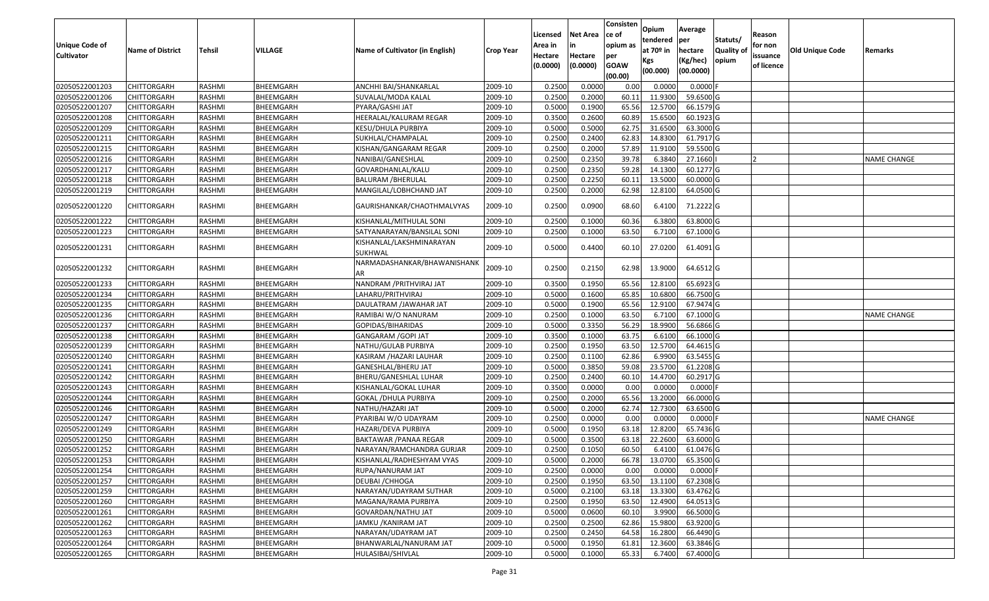| <b>Unique Code of</b><br><b>Cultivator</b> | <b>Name of District</b> | <b>Tehsil</b> | VILLAGE   | Name of Cultivator (in English)     | <b>Crop Year</b> | Licensed<br>Area in<br>Hectare<br>(0.0000) | <b>Net Area</b><br>in<br>Hectare<br>(0.0000) | Consisten<br>ce of<br>opium as<br>per<br><b>GOAW</b><br>(00.00) | Opium<br>tendered<br>at $70°$ in<br>Kgs<br>(00.000) | Average<br>per<br>hectare<br>(Kg/hec)<br>(00.0000) | Statuts/<br>Quality of<br>opium | Reason<br>for non<br>issuance<br>of licence | <b>Old Unique Code</b> | Remarks            |
|--------------------------------------------|-------------------------|---------------|-----------|-------------------------------------|------------------|--------------------------------------------|----------------------------------------------|-----------------------------------------------------------------|-----------------------------------------------------|----------------------------------------------------|---------------------------------|---------------------------------------------|------------------------|--------------------|
| 02050522001203                             | <b>CHITTORGARH</b>      | RASHMI        | BHEEMGARH | ANCHHI BAI/SHANKARLAL               | 2009-10          | 0.2500                                     | 0.0000                                       | 0.00                                                            | 0.0000                                              | 0.0000                                             |                                 |                                             |                        |                    |
| 02050522001206                             | CHITTORGARH             | RASHMI        | BHEEMGARH | SUVALAL/MODA KALAL                  | 2009-10          | 0.2500                                     | 0.2000                                       | 60.1                                                            | 11.9300                                             | 59.6500 G                                          |                                 |                                             |                        |                    |
| 02050522001207                             | CHITTORGARH             | RASHMI        | BHEEMGARH | PYARA/GASHI JAT                     | 2009-10          | 0.5000                                     | 0.1900                                       | 65.56                                                           | 12.5700                                             | 66.1579 G                                          |                                 |                                             |                        |                    |
| 02050522001208                             | <b>CHITTORGARH</b>      | RASHMI        | BHEEMGARH | HEERALAL/KALURAM REGAR              | 2009-10          | 0.3500                                     | 0.2600                                       | 60.89                                                           | 15.6500                                             | 60.1923 G                                          |                                 |                                             |                        |                    |
| 02050522001209                             | <b>CHITTORGARH</b>      | RASHMI        | BHEEMGARH | KESU/DHULA PURBIYA                  | 2009-10          | 0.5000                                     | 0.5000                                       | 62.75                                                           | 31.6500                                             | 63.3000 G                                          |                                 |                                             |                        |                    |
| 02050522001211                             | <b>CHITTORGARH</b>      | RASHMI        | BHEEMGARH | SUKHLAL/CHAMPALAL                   | 2009-10          | 0.2500                                     | 0.2400                                       | 62.83                                                           | 14.8300                                             | 61.7917 G                                          |                                 |                                             |                        |                    |
| 02050522001215                             | CHITTORGARH             | RASHMI        | BHEEMGARH | KISHAN/GANGARAM REGAR               | 2009-10          | 0.2500                                     | 0.2000                                       | 57.89                                                           | 11.9100                                             | 59.5500 G                                          |                                 |                                             |                        |                    |
| 02050522001216                             | CHITTORGARH             | RASHMI        | BHEEMGARH | NANIBAI/GANESHLAL                   | 2009-10          | 0.2500                                     | 0.2350                                       | 39.78                                                           | 6.3840                                              | 27.1660                                            |                                 |                                             |                        | <b>NAME CHANGE</b> |
| 02050522001217                             | CHITTORGARH             | RASHMI        | BHEEMGARH | GOVARDHANLAL/KALU                   | 2009-10          | 0.2500                                     | 0.2350                                       | 59.28                                                           | 14.1300                                             | 60.1277 G                                          |                                 |                                             |                        |                    |
| 02050522001218                             | <b>CHITTORGARH</b>      | RASHMI        | BHEEMGARH | <b>BALURAM / BHERULAL</b>           | 2009-10          | 0.2500                                     | 0.2250                                       | 60.1                                                            | 13.5000                                             | 60.0000 G                                          |                                 |                                             |                        |                    |
| 02050522001219                             | CHITTORGARH             | RASHMI        | BHEEMGARH | MANGILAL/LOBHCHAND JAT              | 2009-10          | 0.2500                                     | 0.2000                                       | 62.98                                                           | 12.8100                                             | 64.0500 G                                          |                                 |                                             |                        |                    |
| 02050522001220                             | CHITTORGARH             | RASHMI        | BHEEMGARH | GAURISHANKAR/CHAOTHMALVYAS          | 2009-10          | 0.2500                                     | 0.0900                                       | 68.60                                                           | 6.4100                                              | 71.2222 G                                          |                                 |                                             |                        |                    |
| 02050522001222                             | CHITTORGARH             | RASHMI        | BHEEMGARH | KISHANLAL/MITHULAL SONI             | 2009-10          | 0.2500                                     | 0.1000                                       | 60.36                                                           | 6.3800                                              | 63.8000 G                                          |                                 |                                             |                        |                    |
| 02050522001223                             | CHITTORGARH             | RASHMI        | BHEEMGARH | SATYANARAYAN/BANSILAL SONI          | 2009-10          | 0.2500                                     | 0.1000                                       | 63.50                                                           | 6.7100                                              | 67.1000 G                                          |                                 |                                             |                        |                    |
| 02050522001231                             | CHITTORGARH             | RASHMI        | BHEEMGARH | KISHANLAL/LAKSHMINARAYAN<br>SUKHWAL | 2009-10          | 0.5000                                     | 0.4400                                       | 60.10                                                           | 27.0200                                             | 61.4091G                                           |                                 |                                             |                        |                    |
| 02050522001232                             | CHITTORGARH             | RASHMI        | BHEEMGARH | NARMADASHANKAR/BHAWANISHANK<br>AR   | 2009-10          | 0.2500                                     | 0.2150                                       | 62.98                                                           | 13.9000                                             | 64.6512 G                                          |                                 |                                             |                        |                    |
| 02050522001233                             | CHITTORGARH             | RASHMI        | BHEEMGARH | NANDRAM / PRITHVIRAJ JAT            | 2009-10          | 0.3500                                     | 0.1950                                       | 65.56                                                           | 12.8100                                             | 65.6923 G                                          |                                 |                                             |                        |                    |
| 02050522001234                             | CHITTORGARH             | RASHMI        | BHEEMGARH | LAHARU/PRITHVIRAJ                   | 2009-10          | 0.5000                                     | 0.1600                                       | 65.85                                                           | 10.6800                                             | 66.7500 G                                          |                                 |                                             |                        |                    |
| 02050522001235                             | CHITTORGARH             | RASHMI        | BHEEMGARH | DAULATRAM /JAWAHAR JAT              | 2009-10          | 0.5000                                     | 0.1900                                       | 65.56                                                           | 12.9100                                             | 67.9474 G                                          |                                 |                                             |                        |                    |
| 02050522001236                             | <b>CHITTORGARH</b>      | RASHMI        | BHEEMGARH | RAMIBAI W/O NANURAM                 | 2009-10          | 0.2500                                     | 0.1000                                       | 63.50                                                           | 6.7100                                              | 67.1000 G                                          |                                 |                                             |                        | <b>NAME CHANGE</b> |
| 02050522001237                             | CHITTORGARH             | RASHMI        | BHEEMGARH | GOPIDAS/BIHARIDAS                   | 2009-10          | 0.5000                                     | 0.3350                                       | 56.29                                                           | 18.9900                                             | 56.6866 G                                          |                                 |                                             |                        |                    |
| 02050522001238                             | <b>CHITTORGARH</b>      | RASHMI        | BHEEMGARH | GANGARAM / GOPI JAT                 | 2009-10          | 0.3500                                     | 0.1000                                       | 63.75                                                           | 6.6100                                              | 66.1000 G                                          |                                 |                                             |                        |                    |
| 02050522001239                             | <b>CHITTORGARH</b>      | RASHMI        | BHEEMGARH | NATHU/GULAB PURBIYA                 | 2009-10          | 0.2500                                     | 0.1950                                       | 63.50                                                           | 12.5700                                             | 64.4615 G                                          |                                 |                                             |                        |                    |
| 02050522001240                             | CHITTORGARH             | RASHMI        | BHEEMGARH | KASIRAM / HAZARI LAUHAR             | 2009-10          | 0.2500                                     | 0.1100                                       | 62.86                                                           | 6.9900                                              | 63.5455 G                                          |                                 |                                             |                        |                    |
| 02050522001241                             | CHITTORGARH             | RASHMI        | BHEEMGARH | GANESHLAL/BHERU JAT                 | 2009-10          | 0.5000                                     | 0.3850                                       | 59.08                                                           | 23.5700                                             | 61.2208 G                                          |                                 |                                             |                        |                    |
| 02050522001242                             | CHITTORGARH             | RASHMI        | BHEEMGARH | BHERU/GANESHLAL LUHAR               | 2009-10          | 0.2500                                     | 0.2400                                       | 60.10                                                           | 14.4700                                             | 60.2917 G                                          |                                 |                                             |                        |                    |
| 02050522001243                             | <b>CHITTORGARH</b>      | RASHMI        | BHEEMGARH | KISHANLAL/GOKAL LUHAR               | 2009-10          | 0.3500                                     | 0.0000                                       | 0.00                                                            | 0.0000                                              | $0.0000$ F                                         |                                 |                                             |                        |                    |
| 02050522001244                             | CHITTORGARH             | RASHMI        | BHEEMGARH | GOKAL / DHULA PURBIYA               | 2009-10          | 0.2500                                     | 0.2000                                       | 65.56                                                           | 13.2000                                             | 66.0000 G                                          |                                 |                                             |                        |                    |
| 02050522001246                             | CHITTORGARH             | RASHMI        | BHEEMGARH | NATHU/HAZARI JAT                    | 2009-10          | 0.5000                                     | 0.2000                                       | 62.74                                                           | 12.7300                                             | 63.6500 G                                          |                                 |                                             |                        |                    |
| 02050522001247                             | CHITTORGARH             | RASHMI        | BHEEMGARH | PYARIBAI W/O UDAYRAM                | 2009-10          | 0.2500                                     | 0.0000                                       | 0.00                                                            | 0.0000                                              | 0.0000                                             |                                 |                                             |                        | <b>NAME CHANGE</b> |
| 02050522001249                             | CHITTORGARH             | RASHMI        | BHEEMGARH | HAZARI/DEVA PURBIYA                 | 2009-10          | 0.5000                                     | 0.1950                                       | 63.18                                                           | 12.8200                                             | 65.7436 G                                          |                                 |                                             |                        |                    |
| 02050522001250                             | CHITTORGARH             | RASHMI        | BHEEMGARH | BAKTAWAR /PANAA REGAR               | 2009-10          | 0.500                                      | 0.3500                                       | 63.18                                                           | 22.2600                                             | 63.6000 G                                          |                                 |                                             |                        |                    |
| 02050522001252                             | <b>CHITTORGARH</b>      | RASHMI        | BHEEMGARH | NARAYAN/RAMCHANDRA GURJAR           | 2009-10          | 0.2500                                     | 0.1050                                       | 60.50                                                           | 6.4100                                              | 61.0476 G                                          |                                 |                                             |                        |                    |
| 02050522001253                             | <b>CHITTORGARH</b>      | RASHMI        | BHEEMGARH | KISHANLAL/RADHESHYAM VYAS           | 2009-10          | 0.5000                                     | 0.2000                                       | 66.78                                                           | 13.0700                                             | 65.3500 G                                          |                                 |                                             |                        |                    |
| 02050522001254                             | <b>CHITTORGARH</b>      | RASHMI        | BHEEMGARH | RUPA/NANURAM JAT                    | 2009-10          | 0.2500                                     | 0.0000                                       | 0.00                                                            | 0.0000                                              | $0.0000$ F                                         |                                 |                                             |                        |                    |
| 02050522001257                             | <b>CHITTORGARH</b>      | RASHMI        | BHEEMGARH | DEUBAI / CHHOGA                     | 2009-10          | 0.2500                                     | 0.1950                                       | 63.50                                                           | 13.1100                                             | 67.2308 G                                          |                                 |                                             |                        |                    |
| 02050522001259                             | <b>CHITTORGARH</b>      | RASHMI        | BHEEMGARH | NARAYAN/UDAYRAM SUTHAR              | 2009-10          | 0.5000                                     | 0.2100                                       | 63.18                                                           | 13.3300                                             | 63.4762 G                                          |                                 |                                             |                        |                    |
| 02050522001260                             | CHITTORGARH             | RASHMI        | BHEEMGARH | MAGANA/RAMA PURBIYA                 | 2009-10          | 0.2500                                     | 0.1950                                       | 63.50                                                           | 12.4900                                             | 64.0513 G                                          |                                 |                                             |                        |                    |
| 02050522001261                             | <b>CHITTORGARH</b>      | RASHMI        | BHEEMGARH | GOVARDAN/NATHU JAT                  | 2009-10          | 0.5000                                     | 0.0600                                       | 60.10                                                           | 3.9900                                              | 66.5000 G                                          |                                 |                                             |                        |                    |
| 02050522001262                             | <b>CHITTORGARH</b>      | RASHMI        | BHEEMGARH | JAMKU / KANIRAM JAT                 | 2009-10          | 0.2500                                     | 0.2500                                       | 62.86                                                           | 15.9800                                             | $63.9200$ G                                        |                                 |                                             |                        |                    |
| 02050522001263                             | <b>CHITTORGARH</b>      | RASHMI        | BHEEMGARH | NARAYAN/UDAYRAM JAT                 | 2009-10          | 0.2500                                     | 0.2450                                       | 64.58                                                           | 16.2800                                             | 66.4490 G                                          |                                 |                                             |                        |                    |
| 02050522001264                             | CHITTORGARH             | RASHMI        | BHEEMGARH | BHANWARLAL/NANURAM JAT              | 2009-10          | 0.5000                                     | 0.1950                                       | 61.81                                                           | 12.3600                                             | 63.3846 G                                          |                                 |                                             |                        |                    |
| 02050522001265                             | <b>CHITTORGARH</b>      | RASHMI        | BHEEMGARH | HULASIBAI/SHIVLAL                   | 2009-10          | 0.5000                                     | 0.1000                                       | 65.33                                                           | 6.7400                                              | 67.4000 G                                          |                                 |                                             |                        |                    |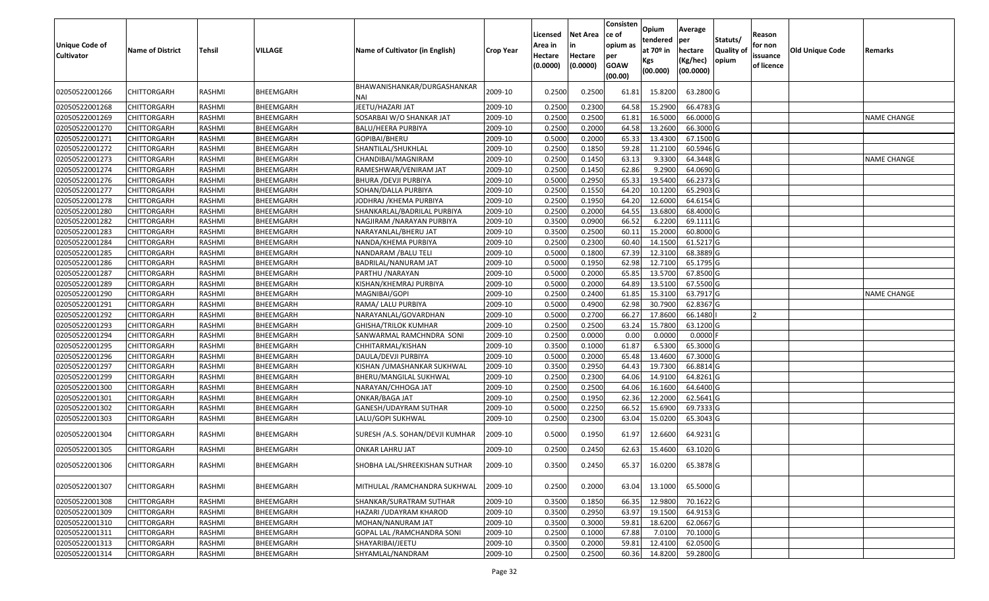| <b>Unique Code of</b><br><b>Cultivator</b> | <b>Name of District</b> | <b>Tehsil</b> | VILLAGE   | Name of Cultivator (in English)    | <b>Crop Year</b> | Licensed<br>Area in<br>Hectare<br>(0.0000) | Net Area<br>in<br>Hectare<br>(0.0000) | Consisten<br>ce of<br>opium as<br>per<br><b>GOAW</b><br>(00.00) | Opium<br>tendered<br>at 70 <sup>o</sup> in<br>Kgs<br>(00.000) | Average<br>per<br>hectare<br>(Kg/hec)<br>(00.0000) | Statuts/<br><b>Quality of</b><br>opium | Reason<br>for non<br>issuance<br>of licence | <b>Old Unique Code</b> | Remarks            |
|--------------------------------------------|-------------------------|---------------|-----------|------------------------------------|------------------|--------------------------------------------|---------------------------------------|-----------------------------------------------------------------|---------------------------------------------------------------|----------------------------------------------------|----------------------------------------|---------------------------------------------|------------------------|--------------------|
| 02050522001266                             | CHITTORGARH             | RASHMI        | BHEEMGARH | BHAWANISHANKAR/DURGASHANKAR<br>NAI | 2009-10          | 0.2500                                     | 0.2500                                | 61.81                                                           | 15.8200                                                       | 63.2800 G                                          |                                        |                                             |                        |                    |
| 02050522001268                             | CHITTORGARH             | RASHMI        | BHEEMGARH | JEETU/HAZARI JAT                   | 2009-10          | 0.2500                                     | 0.2300                                | 64.58                                                           | 15.2900                                                       | 66.4783 G                                          |                                        |                                             |                        |                    |
| 02050522001269                             | <b>CHITTORGARH</b>      | RASHMI        | BHEEMGARH | SOSARBAI W/O SHANKAR JAT           | 2009-10          | 0.2500                                     | 0.2500                                | 61.81                                                           | 16.5000                                                       | 66.0000 G                                          |                                        |                                             |                        | NAME CHANGE        |
| 02050522001270                             | <b>CHITTORGARH</b>      | RASHMI        | BHEEMGARH | BALU/HEERA PURBIYA                 | 2009-10          | 0.2500                                     | 0.2000                                | 64.58                                                           | 13.2600                                                       | 66.3000 G                                          |                                        |                                             |                        |                    |
| 02050522001271                             | CHITTORGARH             | RASHMI        | BHEEMGARH | GOPIBAI/BHERU                      | 2009-10          | 0.5000                                     | 0.2000                                | 65.33                                                           | 13.4300                                                       | 67.1500 G                                          |                                        |                                             |                        |                    |
| 02050522001272                             | CHITTORGARH             | RASHMI        | BHEEMGARH | SHANTILAL/SHUKHLAL                 | 2009-10          | 0.2500                                     | 0.1850                                | 59.28                                                           | 11.2100                                                       | 60.5946 G                                          |                                        |                                             |                        |                    |
| 02050522001273                             | <b>CHITTORGARH</b>      | RASHMI        | BHEEMGARH | CHANDIBAI/MAGNIRAM                 | 2009-10          | 0.2500                                     | 0.1450                                | 63.13                                                           | 9.3300                                                        | 64.3448 G                                          |                                        |                                             |                        | <b>NAME CHANGE</b> |
| 02050522001274                             | CHITTORGARH             | RASHMI        | BHEEMGARH | RAMESHWAR/VENIRAM JAT              | 2009-10          | 0.2500                                     | 0.1450                                | 62.86                                                           | 9.2900                                                        | 64.0690 G                                          |                                        |                                             |                        |                    |
| 02050522001276                             | CHITTORGARH             | RASHMI        | BHEEMGARH | <b>BHURA / DEVJI PURBIYA</b>       | 2009-10          | 0.5000                                     | 0.2950                                | 65.33                                                           | 19.5400                                                       | 66.2373 G                                          |                                        |                                             |                        |                    |
| 02050522001277                             | CHITTORGARH             | RASHMI        | BHEEMGARH | SOHAN/DALLA PURBIYA                | 2009-10          | 0.2500                                     | 0.1550                                | 64.20                                                           | 10.1200                                                       | 65.2903 G                                          |                                        |                                             |                        |                    |
| 02050522001278                             | CHITTORGARH             | RASHMI        | BHEEMGARH | JODHRAJ / KHEMA PURBIYA            | 2009-10          | 0.2500                                     | 0.1950                                | 64.20                                                           | 12.6000                                                       | 64.6154 G                                          |                                        |                                             |                        |                    |
| 02050522001280                             | CHITTORGARH             | RASHMI        | BHEEMGARH | SHANKARLAL/BADRILAL PURBIYA        | 2009-10          | 0.2500                                     | 0.2000                                | 64.55                                                           | 13.6800                                                       | 68.4000 G                                          |                                        |                                             |                        |                    |
| 02050522001282                             | CHITTORGARH             | RASHMI        | BHEEMGARH | NAGJIRAM / NARAYAN PURBIYA         | 2009-10          | 0.3500                                     | 0.0900                                | 66.52                                                           | 6.2200                                                        | 69.1111 G                                          |                                        |                                             |                        |                    |
| 02050522001283                             | CHITTORGARH             | RASHMI        | BHEEMGARH | NARAYANLAL/BHERU JAT               | 2009-10          | 0.3500                                     | 0.2500                                | 60.11                                                           | 15.2000                                                       | 60.8000 G                                          |                                        |                                             |                        |                    |
| 02050522001284                             | CHITTORGARH             | RASHMI        | BHEEMGARH | NANDA/KHEMA PURBIYA                | 2009-10          | 0.2500                                     | 0.2300                                | 60.40                                                           | 14.1500                                                       | 61.5217 G                                          |                                        |                                             |                        |                    |
| 02050522001285                             | CHITTORGARH             | RASHMI        | BHEEMGARH | NANDARAM / BALU TELI               | 2009-10          | 0.5000                                     | 0.1800                                | 67.39                                                           | 12.3100                                                       | 68.3889 G                                          |                                        |                                             |                        |                    |
| 02050522001286                             | CHITTORGARH             | RASHMI        | BHEEMGARH | BADRILAL/NANURAM JAT               | 2009-10          | 0.5000                                     | 0.1950                                | 62.98                                                           | 12.7100                                                       | 65.1795 G                                          |                                        |                                             |                        |                    |
| 02050522001287                             | CHITTORGARH             | RASHMI        | BHEEMGARH | PARTHU / NARAYAN                   | 2009-10          | 0.5000                                     | 0.2000                                | 65.85                                                           | 13.5700                                                       | 67.8500 G                                          |                                        |                                             |                        |                    |
| 02050522001289                             | CHITTORGARH             | RASHMI        | BHEEMGARH | KISHAN/KHEMRAJ PURBIYA             | 2009-10          | 0.5000                                     | 0.2000                                | 64.89                                                           | 13.5100                                                       | 67.5500 G                                          |                                        |                                             |                        |                    |
| 02050522001290                             | <b>CHITTORGARH</b>      | RASHMI        | BHEEMGARH | MAGNIBAI/GOPI                      | 2009-10          | 0.2500                                     | 0.2400                                | 61.85                                                           | 15.3100                                                       | 63.7917 G                                          |                                        |                                             |                        | <b>NAME CHANGE</b> |
| 02050522001291                             | CHITTORGARH             | <b>RASHMI</b> | BHEEMGARH | RAMA/ LALU PURBIYA                 | 2009-10          | 0.5000                                     | 0.4900                                | 62.98                                                           | 30.7900                                                       | 62.8367 G                                          |                                        |                                             |                        |                    |
| 02050522001292                             | <b>CHITTORGARH</b>      | RASHMI        | BHEEMGARH | NARAYANLAL/GOVARDHAN               | 2009-10          | 0.5000                                     | 0.2700                                | 66.27                                                           | 17.8600                                                       | 66.1480                                            |                                        |                                             |                        |                    |
| 02050522001293                             | CHITTORGARH             | RASHMI        | BHEEMGARH | GHISHA/TRILOK KUMHAR               | 2009-10          | 0.2500                                     | 0.2500                                | 63.24                                                           | 15.7800                                                       | 63.1200 G                                          |                                        |                                             |                        |                    |
| 02050522001294                             | CHITTORGARH             | <b>RASHMI</b> | BHEEMGARH | SANWARMAL RAMCHNDRA SONI           | 2009-10          | 0.2500                                     | 0.0000                                | 0.00                                                            | 0.0000                                                        | $0.0000$ F                                         |                                        |                                             |                        |                    |
| 02050522001295                             | CHITTORGARH             | <b>RASHMI</b> | BHEEMGARH | CHHITARMAL/KISHAN                  | 2009-10          | 0.3500                                     | 0.1000                                | 61.87                                                           | 6.5300                                                        | 65.3000 G                                          |                                        |                                             |                        |                    |
| 02050522001296                             | CHITTORGARH             | RASHMI        | BHEEMGARH | DAULA/DEVJI PURBIYA                | 2009-10          | 0.5000                                     | 0.2000                                | 65.48                                                           | 13.4600                                                       | 67.3000 G                                          |                                        |                                             |                        |                    |
| 02050522001297                             | <b>CHITTORGARH</b>      | RASHMI        | BHEEMGARH | KISHAN / UMASHANKAR SUKHWAL        | 2009-10          | 0.3500                                     | 0.2950                                | 64.43                                                           | 19.7300                                                       | 66.8814 G                                          |                                        |                                             |                        |                    |
| 02050522001299                             | <b>CHITTORGARH</b>      | RASHMI        | BHEEMGARH | BHERU/MANGILAL SUKHWAL             | 2009-10          | 0.2500                                     | 0.2300                                | 64.06                                                           | 14.9100                                                       | 64.8261 G                                          |                                        |                                             |                        |                    |
| 02050522001300                             | <b>CHITTORGARH</b>      | RASHMI        | BHEEMGARH | NARAYAN/CHHOGA JAT                 | 2009-10          | 0.2500                                     | 0.2500                                | 64.06                                                           | 16.1600                                                       | 64.6400 G                                          |                                        |                                             |                        |                    |
| 02050522001301                             | <b>CHITTORGARH</b>      | RASHMI        | BHEEMGARH | <b>ONKAR/BAGA JAT</b>              | 2009-10          | 0.2500                                     | 0.1950                                | 62.36                                                           | 12.2000                                                       | 62.5641 G                                          |                                        |                                             |                        |                    |
| 02050522001302                             | CHITTORGARH             | RASHMI        | BHEEMGARH | GANESH/UDAYRAM SUTHAR              | 2009-10          | 0.5000                                     | 0.2250                                | 66.52                                                           | 15.6900                                                       | 69.7333 G                                          |                                        |                                             |                        |                    |
| 02050522001303                             | CHITTORGARH             | RASHMI        | BHEEMGARH | LALU/GOPI SUKHWAL                  | 2009-10          | 0.2500                                     | 0.2300                                | 63.04                                                           | 15.0200                                                       | 65.3043 G                                          |                                        |                                             |                        |                    |
| 02050522001304                             | CHITTORGARH             | RASHMI        | BHEEMGARH | SURESH /A.S. SOHAN/DEVJI KUMHAR    | 2009-10          | 0.5000                                     | 0.1950                                | 61.97                                                           | 12.6600                                                       | 64.9231 G                                          |                                        |                                             |                        |                    |
| 02050522001305                             | CHITTORGARH             | RASHMI        | BHEEMGARH | <b>ONKAR LAHRU JAT</b>             | 2009-10          | 0.2500                                     | 0.2450                                | 62.63                                                           | 15.4600                                                       | 63.1020 G                                          |                                        |                                             |                        |                    |
| 02050522001306                             | <b>CHITTORGARH</b>      | RASHMI        | BHEEMGARH | SHOBHA LAL/SHREEKISHAN SUTHAR      | 2009-10          | 0.3500                                     | 0.2450                                |                                                                 | 65.37 16.0200                                                 | 65.3878 G                                          |                                        |                                             |                        |                    |
| 02050522001307                             | CHITTORGARH             | RASHMI        | BHEEMGARH | MITHULAL / RAMCHANDRA SUKHWAL      | 2009-10          | 0.2500                                     | 0.2000                                | 63.04                                                           | 13.1000                                                       | 65.5000 G                                          |                                        |                                             |                        |                    |
| 02050522001308                             | <b>CHITTORGARH</b>      | RASHMI        | BHEEMGARH | SHANKAR/SURATRAM SUTHAR            | 2009-10          | 0.3500                                     | 0.1850                                | 66.35                                                           | 12.9800                                                       | 70.1622 G                                          |                                        |                                             |                        |                    |
| 02050522001309                             | <b>CHITTORGARH</b>      | RASHMI        | BHEEMGARH | HAZARI / UDAYRAM KHAROD            | 2009-10          | 0.3500                                     | 0.2950                                | 63.97                                                           | 19.1500                                                       | 64.9153 G                                          |                                        |                                             |                        |                    |
| 02050522001310                             | <b>CHITTORGARH</b>      | RASHMI        | BHEEMGARH | MOHAN/NANURAM JAT                  | 2009-10          | 0.3500                                     | 0.3000                                | 59.81                                                           | 18.6200                                                       | 62.0667 G                                          |                                        |                                             |                        |                    |
| 02050522001311                             | <b>CHITTORGARH</b>      | RASHMI        | BHEEMGARH | <b>GOPAL LAL /RAMCHANDRA SONI</b>  | 2009-10          | 0.2500                                     | 0.1000                                | 67.88                                                           | 7.0100                                                        | 70.1000 G                                          |                                        |                                             |                        |                    |
| 02050522001313                             | <b>CHITTORGARH</b>      | RASHMI        | BHEEMGARH | SHAYARIBAI/JEETU                   | 2009-10          | 0.3500                                     | 0.2000                                | 59.81                                                           | 12.4100                                                       | 62.0500 G                                          |                                        |                                             |                        |                    |
| 02050522001314                             | CHITTORGARH             | RASHMI        | BHEEMGARH | SHYAMLAL/NANDRAM                   | 2009-10          | 0.2500                                     | 0.2500                                | 60.36                                                           |                                                               | 14.8200 59.2800 G                                  |                                        |                                             |                        |                    |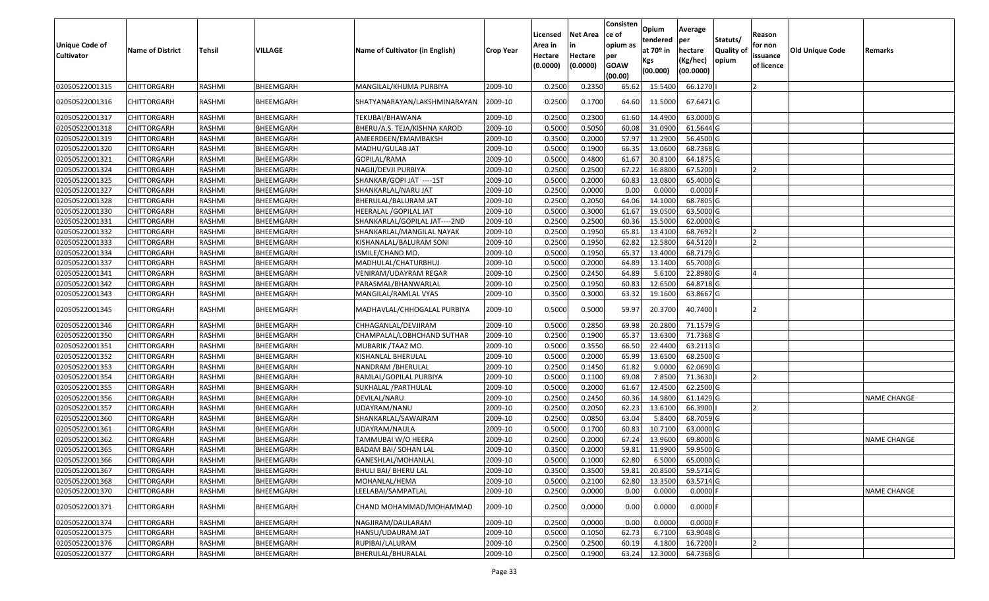| <b>Unique Code of</b><br><b>Cultivator</b> | <b>Name of District</b> | Tehsil        | VILLAGE   | Name of Cultivator (in English) | <b>Crop Year</b> | Licensed<br>Area in<br>Hectare | <b>Net Area</b><br>in<br>Hectare | Consisten<br>ce of<br>opium as<br>per | Opium<br>tendered<br>at $70°$ in<br>Kgs | Average<br>per<br>hectare<br>(Kg/hec) | Statuts/<br>Quality o<br>opium | Reason<br>for non<br>issuance | <b>Old Unique Code</b> | Remarks            |
|--------------------------------------------|-------------------------|---------------|-----------|---------------------------------|------------------|--------------------------------|----------------------------------|---------------------------------------|-----------------------------------------|---------------------------------------|--------------------------------|-------------------------------|------------------------|--------------------|
|                                            |                         |               |           |                                 |                  | (0.0000)                       | (0.0000)                         | <b>GOAW</b><br>(00.00)                | (00.000)                                | (00.0000)                             |                                | of licence                    |                        |                    |
| 02050522001315                             | <b>CHITTORGARH</b>      | RASHMI        | BHEEMGARH | MANGILAL/KHUMA PURBIYA          | 2009-10          | 0.2500                         | 0.2350                           | 65.62                                 | 15.5400                                 | 66.1270                               |                                |                               |                        |                    |
| 02050522001316                             | CHITTORGARH             | RASHMI        | BHEEMGARH | SHATYANARAYAN/LAKSHMINARAYAN    | 2009-10          | 0.2500                         | 0.1700                           | 64.60                                 | 11.5000                                 | 67.6471 G                             |                                |                               |                        |                    |
| 02050522001317                             | <b>CHITTORGARH</b>      | RASHMI        | BHEEMGARH | TEKUBAI/BHAWANA                 | 2009-10          | 0.2500                         | 0.2300                           | 61.60                                 | 14.4900                                 | 63.0000G                              |                                |                               |                        |                    |
| 02050522001318                             | <b>CHITTORGARH</b>      | RASHMI        | BHEEMGARH | BHERU/A.S. TEJA/KISHNA KAROD    | 2009-10          | 0.5000                         | 0.5050                           | 60.08                                 | 31.0900                                 | 61.5644 G                             |                                |                               |                        |                    |
| 02050522001319                             | CHITTORGARH             | RASHMI        | BHEEMGARH | AMEERDEEN/EMAMBAKSH             | 2009-10          | 0.3500                         | 0.2000                           | 57.97                                 | 11.2900                                 | 56.4500G                              |                                |                               |                        |                    |
| 02050522001320                             | CHITTORGARH             | RASHMI        | BHEEMGARH | MADHU/GULAB JAT                 | 2009-10          | 0.5000                         | 0.1900                           | 66.35                                 | 13.0600                                 | 68.7368 G                             |                                |                               |                        |                    |
| 02050522001321                             | <b>CHITTORGARH</b>      | RASHMI        | BHEEMGARH | GOPILAL/RAMA                    | 2009-10          | 0.5000                         | 0.4800                           | 61.67                                 | 30.8100                                 | 64.1875 G                             |                                |                               |                        |                    |
| 02050522001324                             | <b>CHITTORGARH</b>      | RASHMI        | BHEEMGARH | NAGJI/DEVJI PURBIYA             | 2009-10          | 0.2500                         | 0.2500                           | 67.22                                 | 16.8800                                 | 67.5200                               |                                |                               |                        |                    |
| 02050522001325                             | <b>CHITTORGARH</b>      | RASHMI        | BHEEMGARH | SHANKAR/GOPI JAT ----1ST        | 2009-10          | 0.5000                         | 0.2000                           | 60.83                                 | 13.0800                                 | 65.4000 G                             |                                |                               |                        |                    |
| 02050522001327                             | CHITTORGARH             | RASHMI        | BHEEMGARH | SHANKARLAL/NARU JAT             | 2009-10          | 0.2500                         | 0.0000                           | 0.00                                  | 0.0000                                  | $0.0000$ F                            |                                |                               |                        |                    |
| 02050522001328                             | CHITTORGARH             | RASHMI        | BHEEMGARH | BHERULAL/BALURAM JAT            | 2009-10          | 0.2500                         | 0.2050                           | 64.06                                 | 14.1000                                 | 68.7805 G                             |                                |                               |                        |                    |
| 02050522001330                             | <b>CHITTORGARH</b>      | RASHMI        | BHEEMGARH | HEERALAL /GOPILAL JAT           | 2009-10          | 0.5000                         | 0.3000                           | 61.67                                 | 19.0500                                 | 63.5000 G                             |                                |                               |                        |                    |
| 02050522001331                             | <b>CHITTORGARH</b>      | RASHMI        | BHEEMGARH | SHANKARLAL/GOPILAL JAT----2ND   | 2009-10          | 0.2500                         | 0.2500                           | 60.36                                 | 15.5000                                 | 62.0000G                              |                                |                               |                        |                    |
| 02050522001332                             | CHITTORGARH             | RASHMI        | BHEEMGARH | SHANKARLAL/MANGILAL NAYAK       | 2009-10          | 0.2500                         | 0.1950                           | 65.8                                  | 13.4100                                 | 68.7692                               |                                |                               |                        |                    |
| 02050522001333                             | CHITTORGARH             | RASHMI        | BHEEMGARH | KISHANALAL/BALURAM SONI         | 2009-10          | 0.2500                         | 0.1950                           | 62.82                                 | 12.5800                                 | 64.5120                               |                                |                               |                        |                    |
| 02050522001334                             | CHITTORGARH             | RASHMI        | BHEEMGARH | ISMILE/CHAND MO.                | 2009-10          | 0.5000                         | 0.1950                           | 65.37                                 | 13.4000                                 | 68.7179 G                             |                                |                               |                        |                    |
| 02050522001337                             | CHITTORGARH             | RASHMI        | BHEEMGARH | MADHULAL/CHATURBHUJ             | 2009-10          | 0.5000                         | 0.2000                           | 64.89                                 | 13.1400                                 | 65.7000 G                             |                                |                               |                        |                    |
| 02050522001341                             | CHITTORGARH             | RASHMI        | BHEEMGARH | VENIRAM/UDAYRAM REGAR           | 2009-10          | 0.2500                         | 0.2450                           | 64.89                                 | 5.6100                                  | 22.8980 G                             |                                |                               |                        |                    |
| 02050522001342                             | CHITTORGARH             | RASHMI        | BHEEMGARH | PARASMAL/BHANWARLAL             | 2009-10          | 0.2500                         | 0.1950                           | 60.83                                 | 12.6500                                 | 64.8718 G                             |                                |                               |                        |                    |
| 02050522001343                             | CHITTORGARH             | RASHMI        | BHEEMGARH | MANGILAL/RAMLAL VYAS            | 2009-10          | 0.3500                         | 0.3000                           | 63.32                                 | 19.1600                                 | 63.8667 G                             |                                |                               |                        |                    |
| 02050522001345                             | CHITTORGARH             | RASHMI        | BHEEMGARH | MADHAVLAL/CHHOGALAL PURBIYA     | 2009-10          | 0.5000                         | 0.5000                           | 59.97                                 | 20.3700                                 | 40.7400                               |                                |                               |                        |                    |
| 02050522001346                             | CHITTORGARH             | RASHMI        | BHEEMGARH | CHHAGANLAL/DEVJIRAM             | 2009-10          | 0.5000                         | 0.2850                           | 69.98                                 | 20.2800                                 | 71.1579 G                             |                                |                               |                        |                    |
| 02050522001350                             | CHITTORGARH             | RASHMI        | BHEEMGARH | CHAMPALAL/LOBHCHAND SUTHAR      | 2009-10          | 0.2500                         | 0.1900                           | 65.37                                 | 13.6300                                 | 71.7368 G                             |                                |                               |                        |                    |
| 02050522001351                             | CHITTORGARH             | RASHMI        | BHEEMGARH | MUBARIK / TAAZ MO.              | 2009-10          | 0.5000                         | 0.3550                           | 66.50                                 | 22.4400                                 | 63.2113 G                             |                                |                               |                        |                    |
| 02050522001352                             | <b>CHITTORGARH</b>      | RASHMI        | BHEEMGARH | KISHANLAL BHERULAL              | 2009-10          | 0.5000                         | 0.2000                           | 65.99                                 | 13.6500                                 | 68.2500 G                             |                                |                               |                        |                    |
| 02050522001353                             | CHITTORGARH             | RASHMI        | BHEEMGARH | NANDRAM /BHERULAL               | 2009-10          | 0.2500                         | 0.1450                           | 61.82                                 | 9.0000                                  | 62.0690 G                             |                                |                               |                        |                    |
| 02050522001354                             | CHITTORGARH             | <b>RASHMI</b> | BHEEMGARH | RAMLAL/GOPILAL PURBIYA          | 2009-10          | 0.5000                         | 0.1100                           | 69.08                                 | 7.8500                                  | 71.3630                               |                                |                               |                        |                    |
| 02050522001355                             | CHITTORGARH             | RASHMI        | BHEEMGARH | SUKHALAL / PARTHULAL            | 2009-10          | 0.5000                         | 0.2000                           | 61.67                                 | 12.4500                                 | 62.2500 G                             |                                |                               |                        |                    |
| 02050522001356                             | CHITTORGARH             | RASHMI        | BHEEMGARH | DEVILAL/NARU                    | 2009-10          | 0.2500                         | 0.2450                           | 60.36                                 | 14.9800                                 | 61.1429 G                             |                                |                               |                        | NAME CHANGE        |
| 02050522001357                             | <b>CHITTORGARH</b>      | RASHMI        | BHEEMGARH | UDAYRAM/NANU                    | 2009-10          | 0.2500                         | 0.2050                           | 62.23                                 | 13.6100                                 | 66.3900                               |                                | $\overline{2}$                |                        |                    |
| 02050522001360                             | <b>CHITTORGARH</b>      | RASHMI        | BHEEMGARH | SHANKARLAL/SAWAIRAM             | 2009-10          | 0.2500                         | 0.0850                           | 63.04                                 | 5.8400                                  | 68.7059 G                             |                                |                               |                        |                    |
| 02050522001361                             | <b>CHITTORGARH</b>      | RASHMI        | BHEEMGARH | UDAYRAM/NAULA                   | 2009-10          | 0.5000                         | 0.1700                           | 60.83                                 | 10.7100                                 | 63.0000G                              |                                |                               |                        |                    |
| 02050522001362                             | CHITTORGARH             | RASHMI        | BHEEMGARH | TAMMUBAI W/O HEERA              | 2009-10          | 0.250                          | 0.2000                           | 67.24                                 | 13.9600                                 | 69.8000 G                             |                                |                               |                        | <b>NAME CHANGE</b> |
| 02050522001365                             | <b>CHITTORGARH</b>      | RASHMI        | BHEEMGARH | BADAM BAI/ SOHAN LAL            | 2009-10          | 0.3500                         | 0.2000                           | 59.81                                 | 11.9900                                 | 59.9500 G                             |                                |                               |                        |                    |
| 02050522001366                             | <b>CHITTORGARH</b>      | RASHMI        | BHEEMGARH | GANESHLAL/MOHANLAL              | 2009-10          | 0.5000                         | 0.1000                           | 62.80                                 | 6.5000                                  | 65.0000 G                             |                                |                               |                        |                    |
| 02050522001367                             | <b>CHITTORGARH</b>      | RASHMI        | BHEEMGARH | <b>BHULI BAI/ BHERU LAL</b>     | 2009-10          | 0.3500                         | 0.3500                           | 59.81                                 | 20.8500                                 | 59.5714 G                             |                                |                               |                        |                    |
| 02050522001368                             | <b>CHITTORGARH</b>      | RASHMI        | BHEEMGARH | MOHANLAL/HEMA                   | 2009-10          | 0.5000                         | 0.2100                           | 62.80                                 | 13.3500                                 | 63.5714 G                             |                                |                               |                        |                    |
| 02050522001370                             | <b>CHITTORGARH</b>      | RASHMI        | BHEEMGARH | LEELABAI/SAMPATLAL              | 2009-10          | 0.2500                         | 0.0000                           | 0.00                                  | 0.0000                                  | $0.0000$ F                            |                                |                               |                        | <b>NAME CHANGE</b> |
| 02050522001371                             | <b>CHITTORGARH</b>      | RASHMI        | BHEEMGARH | CHAND MOHAMMAD/MOHAMMAD         | 2009-10          | 0.2500                         | 0.0000                           | 0.00                                  | 0.0000                                  | $0.0000$ F                            |                                |                               |                        |                    |
| 02050522001374                             | <b>CHITTORGARH</b>      | RASHMI        | BHEEMGARH | NAGJIRAM/DAULARAM               | 2009-10          | 0.2500                         | 0.0000                           | 0.00                                  | 0.0000                                  | $0.0000$ F                            |                                |                               |                        |                    |
| 02050522001375                             | <b>CHITTORGARH</b>      | RASHMI        | BHEEMGARH | HANSU/UDAURAM JAT               | 2009-10          | 0.5000                         | 0.1050                           | 62.73                                 | 6.7100                                  | 63.9048 G                             |                                |                               |                        |                    |
| 02050522001376                             | CHITTORGARH             | RASHMI        | BHEEMGARH | RUPIBAI/LALURAM                 | 2009-10          | 0.2500                         | 0.2500                           | 60.19                                 | 4.1800                                  | 16.7200                               |                                |                               |                        |                    |
| 02050522001377                             | <b>CHITTORGARH</b>      | RASHMI        | BHEEMGARH | BHERULAL/BHURALAL               | 2009-10          | 0.2500                         | 0.1900                           | 63.24                                 | 12.3000                                 | 64.7368 G                             |                                |                               |                        |                    |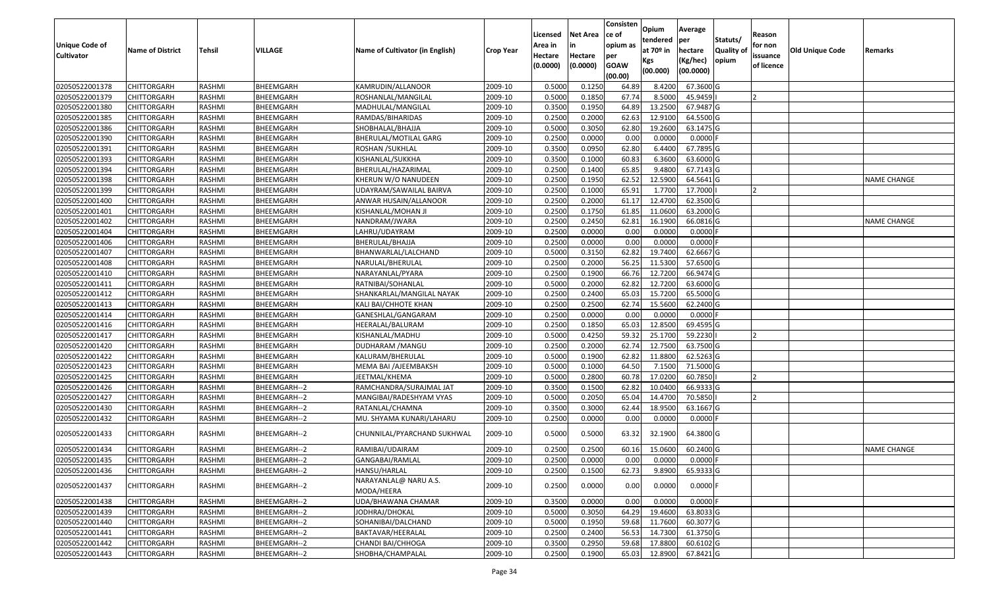| <b>Unique Code of</b><br><b>Cultivator</b> | <b>Name of District</b> | Tehsil        | VILLAGE      | Name of Cultivator (in English)     | <b>Crop Year</b> | Licensed<br>Area in<br>Hectare<br>(0.0000) | Net Area<br>in<br>Hectare<br>(0.0000) | Consisten<br>ce of<br>opium as<br>per<br><b>GOAW</b><br>(00.00) | Opium<br>tendered<br>at 70º in<br>Kgs<br>(00.000) | Average<br> per<br>hectare<br>(Kg/hec)<br>(00.0000) | Statuts/<br><b>Quality of</b><br>opium | Reason<br>for non<br>issuance<br>of licence | <b>Old Unique Code</b> | Remarks            |
|--------------------------------------------|-------------------------|---------------|--------------|-------------------------------------|------------------|--------------------------------------------|---------------------------------------|-----------------------------------------------------------------|---------------------------------------------------|-----------------------------------------------------|----------------------------------------|---------------------------------------------|------------------------|--------------------|
| 02050522001378                             | <b>CHITTORGARH</b>      | RASHMI        | BHEEMGARH    | KAMRUDIN/ALLANOOR                   | 2009-10          | 0.5000                                     | 0.125                                 | 64.89                                                           | 8.4200                                            | 67.3600 G                                           |                                        |                                             |                        |                    |
| 02050522001379                             | <b>CHITTORGARH</b>      | RASHMI        | BHEEMGARH    | ROSHANLAL/MANGILAL                  | 2009-10          | 0.5000                                     | 0.1850                                | 67.74                                                           | 8.5000                                            | 45.9459                                             |                                        |                                             |                        |                    |
| 02050522001380                             | CHITTORGARH             | RASHMI        | BHEEMGARH    | MADHULAL/MANGILAL                   | 2009-10          | 0.3500                                     | 0.1950                                | 64.89                                                           | 13.2500                                           | 67.9487 G                                           |                                        |                                             |                        |                    |
| 02050522001385                             | <b>CHITTORGARH</b>      | RASHMI        | BHEEMGARH    | RAMDAS/BIHARIDAS                    | 2009-10          | 0.2500                                     | 0.2000                                | 62.63                                                           | 12.9100                                           | 64.5500 G                                           |                                        |                                             |                        |                    |
| 02050522001386                             | <b>CHITTORGARH</b>      | RASHMI        | BHEEMGARH    | SHOBHALAL/BHAJJA                    | 2009-10          | 0.5000                                     | 0.3050                                | 62.80                                                           | 19.2600                                           | 63.1475 G                                           |                                        |                                             |                        |                    |
| 02050522001390                             | <b>CHITTORGARH</b>      | RASHMI        | BHEEMGARH    | BHERULAL/MOTILAL GARG               | 2009-10          | 0.2500                                     | 0.0000                                | 0.00                                                            | 0.0000                                            | $0.0000$ F                                          |                                        |                                             |                        |                    |
| 02050522001391                             | CHITTORGARH             | RASHMI        | BHEEMGARH    | ROSHAN /SUKHLAL                     | 2009-10          | 0.3500                                     | 0.0950                                | 62.80                                                           | 6.4400                                            | 67.7895 G                                           |                                        |                                             |                        |                    |
| 02050522001393                             | <b>CHITTORGARH</b>      | RASHMI        | BHEEMGARH    | KISHANLAL/SUKKHA                    | 2009-10          | 0.3500                                     | 0.1000                                | 60.83                                                           | 6.3600                                            | 63.6000 G                                           |                                        |                                             |                        |                    |
| 02050522001394                             | <b>CHITTORGARH</b>      | RASHMI        | BHEEMGARH    | BHERULAL/HAZARIMAL                  | 2009-10          | 0.2500                                     | 0.1400                                | 65.85                                                           | 9.4800                                            | 67.7143 G                                           |                                        |                                             |                        |                    |
| 02050522001398                             | <b>CHITTORGARH</b>      | RASHMI        | BHEEMGARH    | KHERUN W/O NANUDEEN                 | 2009-10          | 0.2500                                     | 0.1950                                | 62.52                                                           | 12.5900                                           | 64.5641 G                                           |                                        |                                             |                        | NAME CHANGE        |
| 02050522001399                             | CHITTORGARH             | RASHMI        | BHEEMGARH    | UDAYRAM/SAWAILAL BAIRVA             | 2009-10          | 0.2500                                     | 0.1000                                | 65.91                                                           | 1.7700                                            | 17.7000                                             |                                        |                                             |                        |                    |
| 02050522001400                             | CHITTORGARH             | RASHMI        | BHEEMGARH    | ANWAR HUSAIN/ALLANOOR               | 2009-10          | 0.2500                                     | 0.2000                                | 61.17                                                           | 12.4700                                           | 62.3500 G                                           |                                        |                                             |                        |                    |
| 02050522001401                             | CHITTORGARH             | RASHMI        | BHEEMGARH    | KISHANLAL/MOHAN JI                  | 2009-10          | 0.2500                                     | 0.1750                                | 61.85                                                           | 11.0600                                           | 63.2000 G                                           |                                        |                                             |                        |                    |
| 02050522001402                             | CHITTORGARH             | RASHMI        | BHEEMGARH    | NANDRAM/JWARA                       | 2009-10          | 0.2500                                     | 0.2450                                | 62.81                                                           | 16.1900                                           | 66.0816 G                                           |                                        |                                             |                        | NAME CHANGE        |
| 02050522001404                             | CHITTORGARH             | RASHMI        | BHEEMGARH    | LAHRU/UDAYRAM                       | 2009-10          | 0.2500                                     | 0.0000                                | 0.00                                                            | 0.0000                                            | $0.0000$ F                                          |                                        |                                             |                        |                    |
| 02050522001406                             | CHITTORGARH             | RASHMI        | BHEEMGARH    | BHERULAL/BHAJJA                     | 2009-10          | 0.2500                                     | 0.0000                                | 0.00                                                            | 0.0000                                            | $0.0000$ F                                          |                                        |                                             |                        |                    |
| 02050522001407                             | CHITTORGARH             | RASHMI        | BHEEMGARH    | BHANWARLAL/LALCHAND                 | 2009-10          | 0.5000                                     | 0.3150                                | 62.82                                                           | 19.7400                                           | 62.6667 G                                           |                                        |                                             |                        |                    |
| 02050522001408                             | <b>CHITTORGARH</b>      | RASHMI        | BHEEMGARH    | NARULAL/BHERULAL                    | 2009-10          | 0.2500                                     | 0.2000                                | 56.25                                                           | 11.5300                                           | 57.6500 G                                           |                                        |                                             |                        |                    |
| 02050522001410                             | <b>CHITTORGARH</b>      | RASHMI        | BHEEMGARH    | NARAYANLAL/PYARA                    | 2009-10          | 0.2500                                     | 0.1900                                | 66.76                                                           | 12.7200                                           | 66.9474 G                                           |                                        |                                             |                        |                    |
| 02050522001411                             | CHITTORGARH             | RASHMI        | BHEEMGARH    | RATNIBAI/SOHANLAL                   | 2009-10          | 0.5000                                     | 0.2000                                | 62.82                                                           | 12.7200                                           | 63.6000 G                                           |                                        |                                             |                        |                    |
| 02050522001412                             | <b>CHITTORGARH</b>      | RASHMI        | BHEEMGARH    | SHANKARLAL/MANGILAL NAYAK           | 2009-10          | 0.2500                                     | 0.2400                                | 65.03                                                           | 15.7200                                           | 65.5000 G                                           |                                        |                                             |                        |                    |
| 02050522001413                             | <b>CHITTORGARH</b>      | RASHMI        | BHEEMGARH    | KALI BAI/CHHOTE KHAN                | 2009-10          | 0.2500                                     | 0.2500                                | 62.74                                                           | 15.5600                                           | 62.2400 G                                           |                                        |                                             |                        |                    |
| 02050522001414                             | CHITTORGARH             | RASHMI        | BHEEMGARH    | GANESHLAL/GANGARAM                  | 2009-10          | 0.2500                                     | 0.0000                                | 0.00                                                            | 0.0000                                            | $0.0000$ F                                          |                                        |                                             |                        |                    |
| 02050522001416                             | CHITTORGARH             | RASHMI        | BHEEMGARH    | HEERALAL/BALURAM                    | 2009-10          | 0.2500                                     | 0.1850                                | 65.03                                                           | 12.8500                                           | 69.4595 G                                           |                                        |                                             |                        |                    |
| 02050522001417                             | <b>CHITTORGARH</b>      | <b>RASHMI</b> | BHEEMGARH    | KISHANLAL/MADHU                     | 2009-10          | 0.5000                                     | 0.4250                                | 59.32                                                           | 25.1700                                           | 59.2230                                             |                                        |                                             |                        |                    |
| 02050522001420                             | CHITTORGARH             | <b>RASHMI</b> | BHEEMGARH    | DUDHARAM / MANGU                    | 2009-10          | 0.2500                                     | 0.2000                                | 62.74                                                           | 12.7500                                           | 63.7500 G                                           |                                        |                                             |                        |                    |
| 02050522001422                             | CHITTORGARH             | RASHMI        | BHEEMGARH    | KALURAM/BHERULAL                    | 2009-10          | 0.5000                                     | 0.1900                                | 62.82                                                           | 11.8800                                           | 62.5263 G                                           |                                        |                                             |                        |                    |
| 02050522001423                             | CHITTORGARH             | RASHMI        | BHEEMGARH    | MEMA BAI /AJEEMBAKSH                | 2009-10          | 0.5000                                     | 0.1000                                | 64.50                                                           | 7.1500                                            | 71.5000 G                                           |                                        |                                             |                        |                    |
| 02050522001425                             | <b>CHITTORGARH</b>      | RASHMI        | BHEEMGARH    | JEETMAL/KHEMA                       | 2009-10          | 0.5000                                     | 0.2800                                | 60.78                                                           | 17.0200                                           | 60.7850                                             |                                        | 12                                          |                        |                    |
| 02050522001426                             | <b>CHITTORGARH</b>      | RASHMI        | BHEEMGARH--2 | RAMCHANDRA/SURAJMAL JAT             | 2009-10          | 0.3500                                     | 0.1500                                | 62.82                                                           | 10.0400                                           | 66.9333 G                                           |                                        |                                             |                        |                    |
| 02050522001427                             | <b>CHITTORGARH</b>      | RASHMI        | BHEEMGARH--2 | MANGIBAI/RADESHYAM VYAS             | 2009-10          | 0.5000                                     | 0.2050                                | 65.04                                                           | 14.4700                                           | 70.5850                                             |                                        |                                             |                        |                    |
| 02050522001430                             | CHITTORGARH             | RASHMI        | BHEEMGARH--2 | RATANLAL/CHAMNA                     | 2009-10          | 0.3500                                     | 0.3000                                | 62.44                                                           | 18.9500                                           | 63.1667 G                                           |                                        |                                             |                        |                    |
| 02050522001432                             | CHITTORGARH             | RASHMI        | BHEEMGARH--2 | MU. SHYAMA KUNARI/LAHARU            | 2009-10          | 0.2500                                     | 0.0000                                | 0.00                                                            | 0.0000                                            | $0.0000$ F                                          |                                        |                                             |                        |                    |
| 02050522001433                             | CHITTORGARH             | RASHMI        | BHEEMGARH--2 | CHUNNILAL/PYARCHAND SUKHWAL         | 2009-10          | 0.5000                                     | 0.5000                                | 63.32                                                           | 32.1900                                           | 64.3800 G                                           |                                        |                                             |                        |                    |
| 02050522001434                             | CHITTORGARH             | RASHMI        | BHEEMGARH--2 | RAMIBAI/UDAIRAM                     | 2009-10          | 0.2500                                     | 0.2500                                | 60.16                                                           | 15.0600                                           | 60.2400 G                                           |                                        |                                             |                        | <b>NAME CHANGE</b> |
| 02050522001435                             | <b>CHITTORGARH</b>      | RASHMI        | BHEEMGARH--2 | GANGABAI/RAMLAL                     | 2009-10          | 0.2500                                     | 0.0000                                | 0.00                                                            | 0.0000                                            | $0.0000$ F                                          |                                        |                                             |                        |                    |
| 02050522001436                             | <b>CHITTORGARH</b>      | RASHMI        | BHEEMGARH--2 | HANSU/HARLAL                        | 2009-10          | 0.2500                                     | 0.1500                                | 62.73                                                           | 9.8900                                            | 65.9333 G                                           |                                        |                                             |                        |                    |
| 02050522001437                             | CHITTORGARH             | RASHMI        | BHEEMGARH--2 | NARAYANLAL@ NARU A.S.<br>MODA/HEERA | 2009-10          | 0.2500                                     | 0.0000                                | 0.00                                                            | 0.0000                                            | 0.0000F                                             |                                        |                                             |                        |                    |
| 02050522001438                             | <b>CHITTORGARH</b>      | RASHMI        | BHEEMGARH--2 | UDA/BHAWANA CHAMAR                  | 2009-10          | 0.3500                                     | 0.0000                                | 0.00                                                            | 0.0000                                            | $0.0000$ F                                          |                                        |                                             |                        |                    |
| 02050522001439                             | <b>CHITTORGARH</b>      | RASHMI        | BHEEMGARH--2 | JODHRAJ/DHOKAL                      | 2009-10          | 0.5000                                     | 0.3050                                | 64.29                                                           | 19.4600                                           | 63.8033 G                                           |                                        |                                             |                        |                    |
| 02050522001440                             | <b>CHITTORGARH</b>      | RASHMI        | BHEEMGARH--2 | SOHANIBAI/DALCHAND                  | 2009-10          | 0.5000                                     | 0.1950                                | 59.68                                                           | 11.7600                                           | 60.3077 G                                           |                                        |                                             |                        |                    |
| 02050522001441                             | <b>CHITTORGARH</b>      | RASHMI        | BHEEMGARH--2 | BAKTAVAR/HEERALAL                   | 2009-10          | 0.2500                                     | 0.2400                                | 56.53                                                           | 14.7300                                           | 61.3750 G                                           |                                        |                                             |                        |                    |
| 02050522001442                             | CHITTORGARH             | RASHMI        | BHEEMGARH--2 | CHANDI BAI/CHHOGA                   | 2009-10          | 0.3500                                     | 0.2950                                | 59.68                                                           | 17.8800                                           | $60.6102$ G                                         |                                        |                                             |                        |                    |
| 02050522001443                             | <b>CHITTORGARH</b>      | RASHMI        | BHEEMGARH--2 | SHOBHA/CHAMPALAL                    | 2009-10          | 0.2500                                     | 0.1900                                | 65.03                                                           | 12.8900                                           | 67.8421G                                            |                                        |                                             |                        |                    |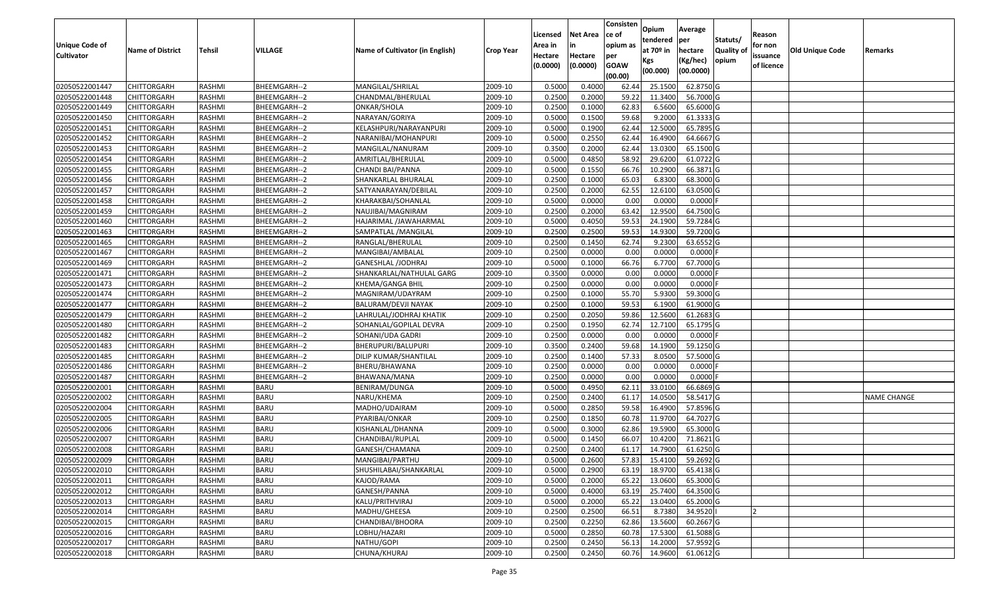| <b>Unique Code of</b><br><b>Cultivator</b> | <b>Name of District</b> | <b>Tehsil</b> | VILLAGE      | Name of Cultivator (in English) | <b>Crop Year</b> | Licensed<br>Area in<br>Hectare<br>(0.0000) | <b>Net Area</b><br>in<br>Hectare<br>(0.0000) | Consisten<br>ce of<br>opium as<br>per<br><b>GOAW</b><br>(00.00) | Opium<br>tendered<br>at $70°$ in<br>Kgs<br>(00.000) | Average<br>per<br>hectare<br>(Kg/hec)<br>(00.0000) | Statuts/<br>Quality of<br>opium | Reason<br>for non<br>issuance<br>of licence | <b>Old Unique Code</b> | Remarks     |
|--------------------------------------------|-------------------------|---------------|--------------|---------------------------------|------------------|--------------------------------------------|----------------------------------------------|-----------------------------------------------------------------|-----------------------------------------------------|----------------------------------------------------|---------------------------------|---------------------------------------------|------------------------|-------------|
| 02050522001447                             | <b>CHITTORGARH</b>      | RASHMI        | BHEEMGARH--2 | MANGILAL/SHRILAL                | 2009-10          | 0.5000                                     | 0.4000                                       | 62.44                                                           | 25.1500                                             | 62.8750 G                                          |                                 |                                             |                        |             |
| 02050522001448                             | CHITTORGARH             | RASHMI        | BHEEMGARH--2 | CHANDMAL/BHERULAL               | 2009-10          | 0.2500                                     | 0.2000                                       | 59.22                                                           | 11.3400                                             | 56.7000 G                                          |                                 |                                             |                        |             |
| 02050522001449                             | CHITTORGARH             | RASHMI        | BHEEMGARH--2 | ONKAR/SHOLA                     | 2009-10          | 0.2500                                     | 0.1000                                       | 62.83                                                           | 6.5600                                              | 65.6000G                                           |                                 |                                             |                        |             |
| 02050522001450                             | <b>CHITTORGARH</b>      | RASHMI        | BHEEMGARH--2 | NARAYAN/GORIYA                  | 2009-10          | 0.5000                                     | 0.1500                                       | 59.68                                                           | 9.2000                                              | 61.3333 G                                          |                                 |                                             |                        |             |
| 02050522001451                             | <b>CHITTORGARH</b>      | RASHMI        | BHEEMGARH--2 | KELASHPURI/NARAYANPURI          | 2009-10          | 0.5000                                     | 0.1900                                       | 62.44                                                           | 12.5000                                             | 65.7895 G                                          |                                 |                                             |                        |             |
| 02050522001452                             | <b>CHITTORGARH</b>      | RASHMI        | BHEEMGARH--2 | NARANIBAI/MOHANPURI             | 2009-10          | 0.5000                                     | 0.2550                                       | 62.44                                                           | 16.4900                                             | 64.6667 G                                          |                                 |                                             |                        |             |
| 02050522001453                             | CHITTORGARH             | RASHMI        | BHEEMGARH--2 | MANGILAL/NANURAM                | 2009-10          | 0.3500                                     | 0.2000                                       | 62.44                                                           | 13.0300                                             | 65.1500 G                                          |                                 |                                             |                        |             |
| 02050522001454                             | <b>CHITTORGARH</b>      | RASHMI        | BHEEMGARH--2 | AMRITLAL/BHERULAL               | 2009-10          | 0.5000                                     | 0.4850                                       | 58.92                                                           | 29.6200                                             | 61.0722 G                                          |                                 |                                             |                        |             |
| 02050522001455                             | CHITTORGARH             | RASHMI        | BHEEMGARH--2 | CHANDI BAI/PANNA                | 2009-10          | 0.5000                                     | 0.1550                                       | 66.76                                                           | 10.2900                                             | 66.3871 G                                          |                                 |                                             |                        |             |
| 02050522001456                             | CHITTORGARH             | RASHMI        | BHEEMGARH--2 | SHANKARLAL BHURALAL             | 2009-10          | 0.2500                                     | 0.1000                                       | 65.03                                                           | 6.8300                                              | 68.3000 G                                          |                                 |                                             |                        |             |
| 02050522001457                             | CHITTORGARH             | RASHMI        | BHEEMGARH--2 | SATYANARAYAN/DEBILAL            | 2009-10          | 0.2500                                     | 0.2000                                       | 62.55                                                           | 12.6100                                             | 63.0500G                                           |                                 |                                             |                        |             |
| 02050522001458                             | CHITTORGARH             | RASHMI        | BHEEMGARH--2 | KHARAKBAI/SOHANLAL              | 2009-10          | 0.5000                                     | 0.0000                                       | 0.00                                                            | 0.0000                                              | 0.0000                                             |                                 |                                             |                        |             |
| 02050522001459                             | CHITTORGARH             | RASHMI        | BHEEMGARH--2 | NAUJIBAI/MAGNIRAM               | 2009-10          | 0.2500                                     | 0.2000                                       | 63.42                                                           | 12.9500                                             | 64.7500 G                                          |                                 |                                             |                        |             |
| 02050522001460                             | CHITTORGARH             | RASHMI        | BHEEMGARH--2 | HAJARIMAL /JAWAHARMAL           | 2009-10          | 0.5000                                     | 0.4050                                       | 59.53                                                           | 24.1900                                             | 59.7284 G                                          |                                 |                                             |                        |             |
| 02050522001463                             | CHITTORGARH             | RASHMI        | BHEEMGARH--2 | SAMPATLAL /MANGILAL             | 2009-10          | 0.2500                                     | 0.2500                                       | 59.53                                                           | 14.9300                                             | 59.7200 G                                          |                                 |                                             |                        |             |
| 02050522001465                             | CHITTORGARH             | RASHMI        | BHEEMGARH--2 | RANGLAL/BHERULAL                | 2009-10          | 0.2500                                     | 0.1450                                       | 62.74                                                           | 9.2300                                              | 63.6552 G                                          |                                 |                                             |                        |             |
| 02050522001467                             | CHITTORGARH             | RASHMI        | BHEEMGARH--2 | MANGIBAI/AMBALAL                | 2009-10          | 0.2500                                     | 0.0000                                       | 0.00                                                            | 0.0000                                              | $0.0000$ F                                         |                                 |                                             |                        |             |
| 02050522001469                             | CHITTORGARH             | RASHMI        | BHEEMGARH--2 | GANESHLAL /JODHRAJ              | 2009-10          | 0.5000                                     | 0.1000                                       | 66.76                                                           | 6.7700                                              | 67.7000 G                                          |                                 |                                             |                        |             |
| 02050522001471                             | <b>CHITTORGARH</b>      | RASHMI        | BHEEMGARH--2 | SHANKARLAL/NATHULAL GARG        | 2009-10          | 0.3500                                     | 0.0000                                       | 0.00                                                            | 0.0000                                              | 0.0000F                                            |                                 |                                             |                        |             |
| 02050522001473                             | CHITTORGARH             | RASHMI        | BHEEMGARH--2 | KHEMA/GANGA BHIL                | 2009-10          | 0.2500                                     | 0.0000                                       | 0.00                                                            | 0.0000                                              | 0.0000F                                            |                                 |                                             |                        |             |
| 02050522001474                             | <b>CHITTORGARH</b>      | RASHMI        | BHEEMGARH--2 | MAGNIRAM/UDAYRAM                | 2009-10          | 0.2500                                     | 0.1000                                       | 55.70                                                           | 5.9300                                              | 59.3000G                                           |                                 |                                             |                        |             |
| 02050522001477                             | CHITTORGARH             | RASHMI        | BHEEMGARH--2 | BALURAM/DEVJI NAYAK             | 2009-10          | 0.2500                                     | 0.1000                                       | 59.53                                                           | 6.1900                                              | 61.9000G                                           |                                 |                                             |                        |             |
| 02050522001479                             | CHITTORGARH             | RASHMI        | BHEEMGARH--2 | LAHRULAL/JODHRAJ KHATIK         | 2009-10          | 0.2500                                     | 0.2050                                       | 59.86                                                           | 12.5600                                             | 61.2683 G                                          |                                 |                                             |                        |             |
| 02050522001480                             | CHITTORGARH             | RASHMI        | BHEEMGARH--2 | SOHANLAL/GOPILAL DEVRA          | 2009-10          | 0.2500                                     | 0.1950                                       | 62.74                                                           | 12.7100                                             | 65.1795 G                                          |                                 |                                             |                        |             |
| 02050522001482                             | CHITTORGARH             | RASHMI        | BHEEMGARH--2 | SOHANI/UDA GADRI                | 2009-10          | 0.2500                                     | 0.0000                                       | 0.00                                                            | 0.0000                                              | $0.0000$ F                                         |                                 |                                             |                        |             |
| 02050522001483                             | CHITTORGARH             | <b>RASHMI</b> | BHEEMGARH--2 | BHERUPURI/BALUPURI              | 2009-10          | 0.3500                                     | 0.2400                                       | 59.68                                                           | 14.1900                                             | 59.1250 G                                          |                                 |                                             |                        |             |
| 02050522001485                             | CHITTORGARH             | RASHMI        | BHEEMGARH--2 | DILIP KUMAR/SHANTILAL           | 2009-10          | 0.2500                                     | 0.1400                                       | 57.33                                                           | 8.0500                                              | 57.5000G                                           |                                 |                                             |                        |             |
| 02050522001486                             | CHITTORGARH             | RASHMI        | BHEEMGARH--2 | BHERU/BHAWANA                   | 2009-10          | 0.2500                                     | 0.0000                                       | 0.00                                                            | 0.0000                                              | 0.0000                                             |                                 |                                             |                        |             |
| 02050522001487                             | <b>CHITTORGARH</b>      | RASHMI        | BHEEMGARH--2 | BHAWANA/MANA                    | 2009-10          | 0.2500                                     | 0.0000                                       | 0.00                                                            | 0.0000                                              | $0.0000$ F                                         |                                 |                                             |                        |             |
| 02050522002001                             | <b>CHITTORGARH</b>      | RASHMI        | <b>BARU</b>  | BENIRAM/DUNGA                   | 2009-10          | 0.5000                                     | 0.4950                                       | 62.11                                                           | 33.0100                                             | 66.6869 G                                          |                                 |                                             |                        |             |
| 02050522002002                             | <b>CHITTORGARH</b>      | RASHMI        | <b>BARU</b>  | NARU/KHEMA                      | 2009-10          | 0.2500                                     | 0.2400                                       | 61.17                                                           | 14.0500                                             | 58.5417 G                                          |                                 |                                             |                        | NAME CHANGE |
| 02050522002004                             | <b>CHITTORGARH</b>      | RASHMI        | <b>BARU</b>  | MADHO/UDAIRAM                   | 2009-10          | 0.5000                                     | 0.2850                                       | 59.58                                                           | 16.4900                                             | 57.8596 G                                          |                                 |                                             |                        |             |
| 02050522002005                             | <b>CHITTORGARH</b>      | RASHMI        | <b>BARU</b>  | PYARIBAI/ONKAR                  | 2009-10          | 0.2500                                     | 0.1850                                       | 60.78                                                           | 11.9700                                             | 64.7027 G                                          |                                 |                                             |                        |             |
| 02050522002006                             | CHITTORGARH             | RASHMI        | <b>BARU</b>  | KISHANLAL/DHANNA                | 2009-10          | 0.5000                                     | 0.3000                                       | 62.86                                                           | 19.5900                                             | 65.3000G                                           |                                 |                                             |                        |             |
| 02050522002007                             | CHITTORGARH             | RASHMI        | <b>BARU</b>  | CHANDIBAI/RUPLAL                | 2009-10          | 0.500                                      | 0.1450                                       | 66.07                                                           | 10.4200                                             | 71.8621G                                           |                                 |                                             |                        |             |
| 02050522002008                             | CHITTORGARH             | RASHMI        | <b>BARU</b>  | GANESH/CHAMANA                  | 2009-10          | 0.2500                                     | 0.2400                                       | 61.17                                                           | 14.7900                                             | 61.6250 G                                          |                                 |                                             |                        |             |
| 02050522002009                             | <b>CHITTORGARH</b>      | RASHMI        | <b>BARU</b>  | MANGIBAI/PARTHU                 | 2009-10          | 0.5000                                     | 0.2600                                       | 57.83                                                           | 15.4100                                             | 59.2692 G                                          |                                 |                                             |                        |             |
| 02050522002010                             | <b>CHITTORGARH</b>      | RASHMI        | <b>BARU</b>  | SHUSHILABAI/SHANKARLAL          | 2009-10          | 0.5000                                     | 0.2900                                       | 63.19                                                           | 18.9700                                             | 65.4138 G                                          |                                 |                                             |                        |             |
| 02050522002011                             | <b>CHITTORGARH</b>      | RASHMI        | <b>BARU</b>  | KAJOD/RAMA                      | 2009-10          | 0.5000                                     | 0.2000                                       | 65.22                                                           | 13.0600                                             | 65.3000 G                                          |                                 |                                             |                        |             |
| 02050522002012                             | <b>CHITTORGARH</b>      | RASHMI        | <b>BARU</b>  | GANESH/PANNA                    | 2009-10          | 0.5000                                     | 0.4000                                       | 63.19                                                           | 25.7400                                             | 64.3500 G                                          |                                 |                                             |                        |             |
| 02050522002013                             | <b>CHITTORGARH</b>      | RASHMI        | <b>BARU</b>  | KALU/PRITHVIRAJ                 | 2009-10          | 0.5000                                     | 0.2000                                       | 65.22                                                           | 13.0400                                             | 65.2000 G                                          |                                 |                                             |                        |             |
| 02050522002014                             | <b>CHITTORGARH</b>      | RASHMI        | <b>BARU</b>  | MADHU/GHEESA                    | 2009-10          | 0.2500                                     | 0.2500                                       | 66.51                                                           | 8.7380                                              | 34.9520                                            |                                 |                                             |                        |             |
| 02050522002015                             | <b>CHITTORGARH</b>      | RASHMI        | <b>BARU</b>  | CHANDIBAI/BHOORA                | 2009-10          | 0.2500                                     | 0.2250                                       | 62.86                                                           | 13.5600                                             | 60.2667 G                                          |                                 |                                             |                        |             |
| 02050522002016                             | <b>CHITTORGARH</b>      | RASHMI        | <b>BARU</b>  | LOBHU/HAZARI                    | 2009-10          | 0.5000                                     | 0.2850                                       | 60.78                                                           | 17.5300                                             | 61.5088 G                                          |                                 |                                             |                        |             |
| 02050522002017                             | <b>CHITTORGARH</b>      | RASHMI        | <b>BARU</b>  | NATHU/GOPI                      | 2009-10          | 0.2500                                     | 0.2450                                       | 56.13                                                           | 14.2000                                             | 57.9592 G                                          |                                 |                                             |                        |             |
| 02050522002018                             | <b>CHITTORGARH</b>      | RASHMI        | <b>BARU</b>  | CHUNA/KHURAJ                    | 2009-10          | 0.2500                                     | 0.2450                                       | 60.76                                                           | 14.9600                                             | 61.0612 G                                          |                                 |                                             |                        |             |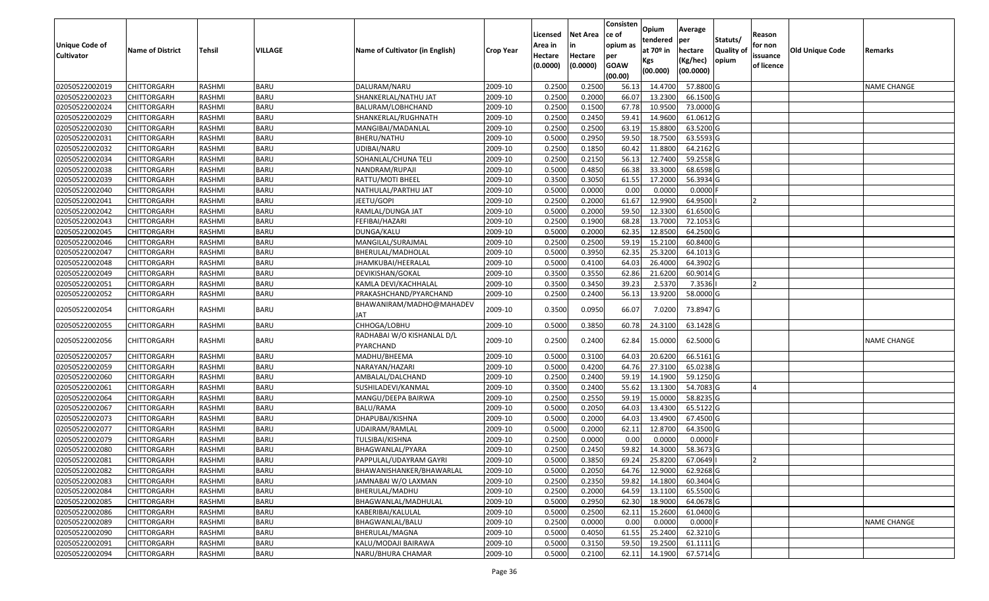|                   |                         |               |             |                                 |                  |          |                 | Consisten              | Opium       | Average     |                  |            |                        |                    |
|-------------------|-------------------------|---------------|-------------|---------------------------------|------------------|----------|-----------------|------------------------|-------------|-------------|------------------|------------|------------------------|--------------------|
|                   |                         |               |             |                                 |                  | Licensed | <b>Net Area</b> | ce of                  | tendered    | per         | Statuts/         | Reason     |                        |                    |
| Unique Code of    | <b>Name of District</b> | <b>Tehsil</b> | VILLAGE     | Name of Cultivator (in English) | <b>Crop Year</b> | Area in  | in              | opium as               | at $70°$ in | hectare     | <b>Quality o</b> | for non    | <b>Old Unique Code</b> | Remarks            |
| <b>Cultivator</b> |                         |               |             |                                 |                  | Hectare  | Hectare         | per                    | Kgs         | (Kg/hec)    | opium            | issuance   |                        |                    |
|                   |                         |               |             |                                 |                  | (0.0000) | (0.0000)        | <b>GOAW</b><br>(00.00) | (00.000)    | (00.0000)   |                  | of licence |                        |                    |
| 02050522002019    | <b>CHITTORGARH</b>      | RASHMI        | <b>BARU</b> | DALURAM/NARU                    | 2009-10          | 0.2500   | 0.2500          | 56.13                  | 14.4700     | 57.8800 G   |                  |            |                        | <b>NAME CHANGE</b> |
| 02050522002023    | CHITTORGARH             | RASHMI        | <b>BARU</b> | SHANKERLAL/NATHU JAT            | 2009-10          | 0.2500   | 0.2000          | 66.07                  | 13.2300     | 66.1500 G   |                  |            |                        |                    |
| 02050522002024    | CHITTORGARH             | RASHMI        | <b>BARU</b> | BALURAM/LOBHCHAND               | 2009-10          | 0.2500   | 0.1500          | 67.78                  | 10.9500     | 73.0000 G   |                  |            |                        |                    |
| 02050522002029    | CHITTORGARH             | RASHMI        | <b>BARU</b> | SHANKERLAL/RUGHNATH             | 2009-10          | 0.2500   | 0.2450          | 59.41                  | 14.9600     | 61.0612G    |                  |            |                        |                    |
| 02050522002030    | CHITTORGARH             | RASHMI        | <b>BARU</b> | MANGIBAI/MADANLAL               | 2009-10          | 0.2500   | 0.2500          | 63.19                  | 15.8800     | 63.5200 G   |                  |            |                        |                    |
| 02050522002031    | <b>CHITTORGARH</b>      | RASHMI        | <b>BARU</b> | BHERU/NATHU                     | 2009-10          | 0.5000   | 0.2950          | 59.50                  | 18.7500     | $63.5593$ G |                  |            |                        |                    |
| 02050522002032    | CHITTORGARH             | RASHMI        | <b>BARU</b> | JDIBAI/NARU                     | 2009-10          | 0.2500   | 0.1850          | 60.42                  | 11.8800     | 64.2162 G   |                  |            |                        |                    |
| 02050522002034    | CHITTORGARH             | <b>RASHMI</b> | <b>BARU</b> | SOHANLAL/CHUNA TELI             | 2009-10          | 0.2500   | 0.2150          | 56.13                  | 12.7400     | 59.2558 G   |                  |            |                        |                    |
| 02050522002038    | CHITTORGARH             | RASHMI        | <b>BARU</b> | NANDRAM/RUPAJI                  | 2009-10          | 0.5000   | 0.4850          | 66.38                  | 33.3000     | 68.6598 G   |                  |            |                        |                    |
| 02050522002039    | <b>CHITTORGARH</b>      | RASHMI        | <b>BARU</b> | RATTU/MOTI BHEEL                | 2009-10          | 0.3500   | 0.3050          | 61.55                  | 17.2000     | 56.3934 G   |                  |            |                        |                    |
| 02050522002040    | CHITTORGARH             | RASHMI        | <b>BARU</b> | NATHULAL/PARTHU JAT             | 2009-10          | 0.5000   | 0.0000          | 0.00                   | 0.0000      | $0.0000$ F  |                  |            |                        |                    |
| 02050522002041    | <b>CHITTORGARH</b>      | RASHMI        | <b>BARU</b> | JEETU/GOPI                      | 2009-10          | 0.2500   | 0.2000          | 61.67                  | 12.9900     | 64.9500     |                  | 12         |                        |                    |
| 02050522002042    | <b>CHITTORGARH</b>      | RASHMI        | <b>BARU</b> | RAMLAL/DUNGA JAT                | 2009-10          | 0.5000   | 0.2000          | 59.50                  | 12.3300     | 61.6500 G   |                  |            |                        |                    |
| 02050522002043    | CHITTORGARH             | RASHMI        | <b>BARU</b> | FEFIBAI/HAZARI                  | 2009-10          | 0.2500   | 0.1900          | 68.28                  | 13.7000     | 72.1053 G   |                  |            |                        |                    |
| 02050522002045    | <b>CHITTORGARH</b>      | RASHMI        | <b>BARU</b> | DUNGA/KALU                      | 2009-10          | 0.5000   | 0.2000          | 62.35                  | 12.8500     | 64.2500 G   |                  |            |                        |                    |
| 02050522002046    | CHITTORGARH             | RASHMI        | <b>BARU</b> | MANGILAL/SURAJMAL               | 2009-10          | 0.2500   | 0.2500          | 59.19                  | 15.2100     | 60.8400 G   |                  |            |                        |                    |
| 02050522002047    | CHITTORGARH             | RASHMI        | <b>BARU</b> | BHERULAL/MADHOLAL               | 2009-10          | 0.5000   | 0.3950          | 62.35                  | 25.3200     | 64.1013 G   |                  |            |                        |                    |
| 02050522002048    | CHITTORGARH             | RASHMI        | <b>BARU</b> | JHAMKUBAI/HEERALAL              | 2009-10          | 0.5000   | 0.4100          | 64.03                  | 26.4000     | 64.3902 G   |                  |            |                        |                    |
| 02050522002049    | CHITTORGARH             | RASHMI        | <b>BARU</b> | DEVIKISHAN/GOKAL                | 2009-10          | 0.3500   | 0.3550          | 62.86                  | 21.6200     | 60.9014 G   |                  |            |                        |                    |
| 02050522002051    | CHITTORGARH             | RASHMI        | <b>BARU</b> | KAMLA DEVI/KACHHALAL            | 2009-10          | 0.3500   | 0.3450          | 39.23                  | 2.5370      | 7.3536      |                  |            |                        |                    |
| 02050522002052    | CHITTORGARH             | RASHMI        | <b>BARU</b> | PRAKASHCHAND/PYARCHAND          | 2009-10          | 0.2500   | 0.2400          | 56.13                  | 13.9200     | 58.0000 G   |                  |            |                        |                    |
|                   |                         |               |             | BHAWANIRAM/MADHO@MAHADEV        |                  |          |                 |                        |             |             |                  |            |                        |                    |
| 02050522002054    | CHITTORGARH             | RASHMI        | <b>BARU</b> | JAT                             | 2009-10          | 0.3500   | 0.0950          | 66.07                  | 7.0200      | 73.8947 G   |                  |            |                        |                    |
| 02050522002055    | CHITTORGARH             | RASHMI        | <b>BARU</b> | CHHOGA/LOBHU                    | 2009-10          | 0.5000   | 0.3850          | 60.78                  | 24.3100     | 63.1428 G   |                  |            |                        |                    |
| 02050522002056    | CHITTORGARH             | RASHMI        | <b>BARU</b> | RADHABAI W/O KISHANLAL D/L      | 2009-10          | 0.2500   | 0.2400          | 62.84                  | 15.0000     | 62.5000 G   |                  |            |                        | NAME CHANGE        |
|                   |                         |               |             | PYARCHAND                       |                  |          |                 |                        |             |             |                  |            |                        |                    |
| 02050522002057    | CHITTORGARH             | RASHMI        | <b>BARU</b> | MADHU/BHEEMA                    | 2009-10          | 0.500    | 0.3100          | 64.03                  | 20.6200     | 66.5161 G   |                  |            |                        |                    |
| 02050522002059    | CHITTORGARH             | RASHMI        | <b>BARU</b> | NARAYAN/HAZARI                  | 2009-10          | 0.5000   | 0.4200          | 64.76                  | 27.3100     | 65.0238 G   |                  |            |                        |                    |
| 02050522002060    | CHITTORGARH             | <b>RASHMI</b> | <b>BARU</b> | AMBALAL/DALCHAND                | 2009-10          | 0.2500   | 0.2400          | 59.19                  | 14.1900     | 59.1250 G   |                  |            |                        |                    |
| 02050522002061    | <b>CHITTORGARH</b>      | RASHMI        | <b>BARU</b> | SUSHILADEVI/KANMAL              | 2009-10          | 0.3500   | 0.2400          | 55.62                  | 13.1300     | 54.7083 G   |                  |            |                        |                    |
| 02050522002064    | <b>CHITTORGARH</b>      | RASHMI        | <b>BARU</b> | MANGU/DEEPA BAIRWA              | 2009-10          | 0.2500   | 0.2550          | 59.19                  | 15.0000     | 58.8235 G   |                  |            |                        |                    |
| 02050522002067    | CHITTORGARH             | RASHMI        | <b>BARU</b> | BALU/RAMA                       | 2009-10          | 0.5000   | 0.2050          | 64.03                  | 13.4300     | 65.5122 G   |                  |            |                        |                    |
| 02050522002073    | CHITTORGARH             | RASHMI        | <b>BARU</b> | DHAPUBAI/KISHNA                 | 2009-10          | 0.5000   | 0.2000          | 64.03                  | 13.4900     | 67.4500 G   |                  |            |                        |                    |
| 02050522002077    | CHITTORGARH             | RASHMI        | <b>BARU</b> | UDAIRAM/RAMLAL                  | 2009-10          | 0.5000   | 0.2000          | 62.11                  | 12.8700     | 64.3500 G   |                  |            |                        |                    |
| 02050522002079    | CHITTORGARH             | RASHMI        | <b>BARU</b> | TULSIBAI/KISHNA                 | 2009-10          | 0.250    | 0.0000          | 0.00                   | 0.0000      | $0.0000$ F  |                  |            |                        |                    |
| 02050522002080    | CHITTORGARH             | RASHMI        | <b>BARU</b> | BHAGWANLAL/PYARA                | 2009-10          | 0.2500   | 0.2450          | 59.82                  | 14.3000     | 58.3673 G   |                  |            |                        |                    |
| 02050522002081    | <b>CHITTORGARH</b>      | RASHMI        | <b>BARU</b> | PAPPULAL/UDAYRAM GAYRI          | 2009-10          | 0.5000   | 0.3850          | 69.24                  | 25.8200     | 67.0649     |                  |            |                        |                    |
| 02050522002082    | <b>CHITTORGARH</b>      | RASHMI        | <b>BARU</b> | BHAWANISHANKER/BHAWARLAL        | 2009-10          | 0.5000   | 0.2050          | 64.76                  | 12.9000     | 62.9268 G   |                  |            |                        |                    |
| 02050522002083    | <b>CHITTORGARH</b>      | RASHMI        | <b>BARU</b> | JAMNABAI W/O LAXMAN             | 2009-10          | 0.2500   | 0.2350          | 59.82                  | 14.1800     | 60.3404 G   |                  |            |                        |                    |
| 02050522002084    | <b>CHITTORGARH</b>      | RASHMI        | <b>BARU</b> | BHERULAL/MADHU                  | 2009-10          | 0.2500   | 0.2000          | 64.59                  | 13.1100     | 65.5500 G   |                  |            |                        |                    |
| 02050522002085    | <b>CHITTORGARH</b>      | RASHMI        | <b>BARU</b> | BHAGWANLAL/MADHULAL             | 2009-10          | 0.5000   | 0.2950          | 62.30                  | 18.9000     | 64.0678 G   |                  |            |                        |                    |
| 02050522002086    | <b>CHITTORGARH</b>      | RASHMI        | <b>BARU</b> | KABERIBAI/KALULAL               | 2009-10          | 0.5000   | 0.2500          | 62.11                  | 15.2600     | 61.0400 G   |                  |            |                        |                    |
| 02050522002089    | <b>CHITTORGARH</b>      | RASHMI        | <b>BARU</b> | BHAGWANLAL/BALU                 | 2009-10          | 0.2500   | 0.0000          | 0.00                   | 0.0000      | $0.0000$ F  |                  |            |                        | <b>NAME CHANGE</b> |
| 02050522002090    | <b>CHITTORGARH</b>      | RASHMI        | <b>BARU</b> | BHERULAL/MAGNA                  | 2009-10          | 0.5000   | 0.4050          | 61.55                  | 25.2400     | 62.3210 G   |                  |            |                        |                    |
| 02050522002091    | <b>CHITTORGARH</b>      | RASHMI        | <b>BARU</b> | KALU/MODAJI BAIRAWA             | 2009-10          | 0.5000   | 0.3150          | 59.50                  | 19.2500     | 61.1111 G   |                  |            |                        |                    |
| 02050522002094    | <b>CHITTORGARH</b>      | RASHMI        | <b>BARU</b> | NARU/BHURA CHAMAR               | 2009-10          | 0.5000   | 0.2100          | 62.11                  | 14.1900     | 67.5714 G   |                  |            |                        |                    |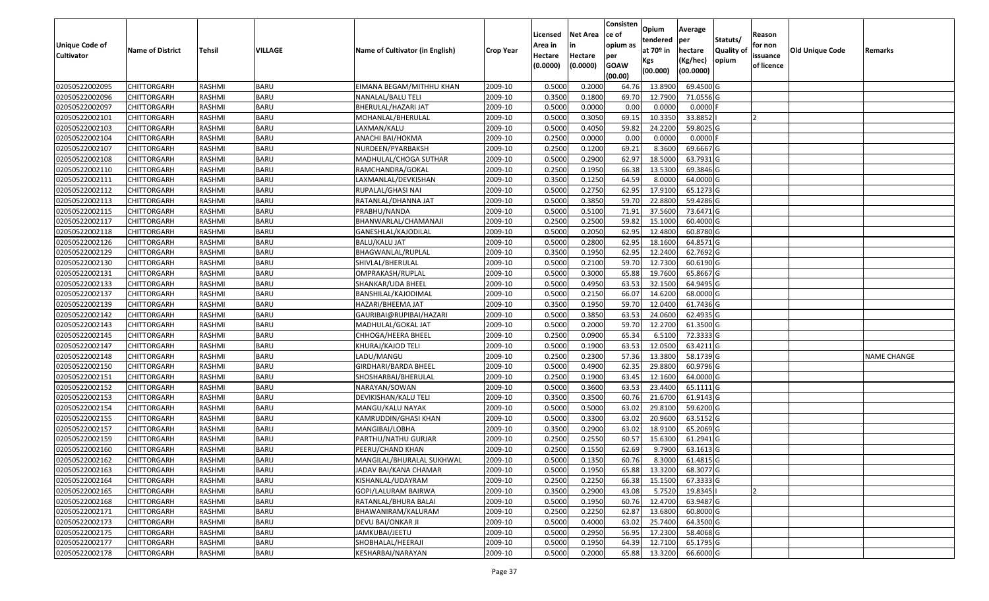|                       |                         |               |                |                                 |                  |          |                 | Consisten        | Opium       | Average     |                  |                |                        |                    |
|-----------------------|-------------------------|---------------|----------------|---------------------------------|------------------|----------|-----------------|------------------|-------------|-------------|------------------|----------------|------------------------|--------------------|
|                       |                         |               |                |                                 |                  | Licensed | <b>Net Area</b> | ce of            | tendered    | per         | Statuts/         | Reason         |                        |                    |
| <b>Unique Code of</b> | <b>Name of District</b> | <b>Tehsil</b> | <b>VILLAGE</b> | Name of Cultivator (in English) | <b>Crop Year</b> | Area in  | in              | opium as         | at $70°$ in | hectare     | <b>Quality o</b> | for non        | <b>Old Unique Code</b> | Remarks            |
| <b>Cultivator</b>     |                         |               |                |                                 |                  | Hectare  | Hectare         | per              | Kgs         | (Kg/hec)    | opium            | issuance       |                        |                    |
|                       |                         |               |                |                                 |                  | (0.0000) | (0.0000)        | <b>GOAW</b>      | (00.000)    | (00.0000)   |                  | of licence     |                        |                    |
| 02050522002095        | CHITTORGARH             | RASHMI        | <b>BARU</b>    | EIMANA BEGAM/MITHHU KHAN        | 2009-10          | 0.5000   | 0.2000          | (00.00)<br>64.76 | 13.8900     | 69.4500 G   |                  |                |                        |                    |
| 02050522002096        | CHITTORGARH             | RASHMI        | <b>BARU</b>    | NANALAL/BALU TELI               | 2009-10          | 0.3500   | 0.1800          | 69.70            | 12.7900     | 71.0556 G   |                  |                |                        |                    |
| 02050522002097        | CHITTORGARH             | RASHMI        | <b>BARU</b>    | BHERULAL/HAZARI JAT             | 2009-10          | 0.5000   | 0.0000          | 0.00             | 0.0000      | 0.0000      |                  |                |                        |                    |
| 02050522002101        | <b>CHITTORGARH</b>      | RASHMI        | <b>BARU</b>    | MOHANLAL/BHERULAL               | 2009-10          | 0.5000   | 0.3050          | 69.15            | 10.3350     | 33.8852     |                  |                |                        |                    |
| 02050522002103        | CHITTORGARH             | RASHMI        | <b>BARU</b>    | LAXMAN/KALU                     | 2009-10          | 0.5000   | 0.4050          | 59.82            | 24.2200     | 59.8025 G   |                  |                |                        |                    |
| 02050522002104        | <b>CHITTORGARH</b>      | RASHMI        | <b>BARU</b>    | ANACHI BAI/HOKMA                | 2009-10          | 0.2500   | 0.0000          | 0.00             | 0.0000      | $0.0000$ F  |                  |                |                        |                    |
| 02050522002107        | CHITTORGARH             | RASHMI        | <b>BARU</b>    | NURDEEN/PYARBAKSH               | 2009-10          | 0.2500   | 0.1200          | 69.21            | 8.3600      | 69.6667 G   |                  |                |                        |                    |
| 02050522002108        | CHITTORGARH             | <b>RASHMI</b> | <b>BARU</b>    | MADHULAL/CHOGA SUTHAR           | 2009-10          | 0.5000   | 0.2900          | 62.97            | 18.5000     | 63.7931 G   |                  |                |                        |                    |
| 02050522002110        | CHITTORGARH             | RASHMI        | <b>BARU</b>    | RAMCHANDRA/GOKAL                | 2009-10          | 0.2500   | 0.1950          | 66.38            | 13.5300     | 69.3846 G   |                  |                |                        |                    |
| 02050522002111        | CHITTORGARH             | RASHMI        | <b>BARU</b>    | LAXMANLAL/DEVKISHAN             | 2009-10          | 0.3500   | 0.1250          | 64.59            | 8.0000      | 64.0000 G   |                  |                |                        |                    |
| 02050522002112        | CHITTORGARH             | RASHMI        | <b>BARU</b>    | RUPALAL/GHASI NAI               | 2009-10          | 0.5000   | 0.2750          | 62.95            | 17.9100     | 65.1273 G   |                  |                |                        |                    |
| 02050522002113        | <b>CHITTORGARH</b>      | RASHMI        | <b>BARU</b>    | RATANLAL/DHANNA JAT             | 2009-10          | 0.5000   | 0.3850          | 59.70            | 22.8800     | 59.4286 G   |                  |                |                        |                    |
| 02050522002115        | <b>CHITTORGARH</b>      | RASHMI        | <b>BARU</b>    | PRABHU/NANDA                    | 2009-10          | 0.5000   | 0.5100          | 71.91            | 37.5600     | 73.6471 G   |                  |                |                        |                    |
| 02050522002117        | <b>CHITTORGARH</b>      | RASHMI        | <b>BARU</b>    | BHANWARLAL/CHAMANAJI            | 2009-10          | 0.2500   | 0.2500          | 59.82            | 15.1000     | 60.4000 G   |                  |                |                        |                    |
| 02050522002118        | CHITTORGARH             | RASHMI        | <b>BARU</b>    | GANESHLAL/KAJODILAL             | 2009-10          | 0.5000   | 0.2050          | 62.95            | 12.4800     | 60.8780 G   |                  |                |                        |                    |
| 02050522002126        | CHITTORGARH             | RASHMI        | <b>BARU</b>    | <b>BALU/KALU JAT</b>            | 2009-10          | 0.5000   | 0.2800          | 62.95            | 18.1600     | 64.8571 G   |                  |                |                        |                    |
| 02050522002129        | CHITTORGARH             | RASHMI        | <b>BARU</b>    | BHAGWANLAL/RUPLAL               | 2009-10          | 0.3500   | 0.1950          | 62.95            | 12.2400     | 62.7692 G   |                  |                |                        |                    |
| 02050522002130        | CHITTORGARH             | RASHMI        | <b>BARU</b>    | SHIVLAL/BHERULAL                | 2009-10          | 0.5000   | 0.2100          | 59.70            | 12.7300     | 60.6190 G   |                  |                |                        |                    |
| 02050522002131        | CHITTORGARH             | RASHMI        | <b>BARU</b>    | OMPRAKASH/RUPLAL                | 2009-10          | 0.5000   | 0.3000          | 65.88            | 19.7600     | 65.8667 G   |                  |                |                        |                    |
| 02050522002133        | CHITTORGARH             | RASHMI        | <b>BARU</b>    | SHANKAR/UDA BHEEL               | 2009-10          | 0.5000   | 0.4950          | 63.5             | 32.1500     | 64.9495 G   |                  |                |                        |                    |
| 02050522002137        | CHITTORGARH             | RASHMI        | <b>BARU</b>    | BANSHILAL/KAJODIMAL             | 2009-10          | 0.5000   | 0.2150          | 66.07            | 14.6200     | 68.0000G    |                  |                |                        |                    |
| 02050522002139        | CHITTORGARH             | RASHMI        | <b>BARU</b>    | HAZARI/BHEEMA JAT               | 2009-10          | 0.3500   | 0.1950          | 59.70            | 12.0400     | 61.7436 G   |                  |                |                        |                    |
| 02050522002142        | CHITTORGARH             | RASHMI        | <b>BARU</b>    | GAURIBAI@RUPIBAI/HAZARI         | 2009-10          | 0.5000   | 0.3850          | 63.53            | 24.0600     | 62.4935 G   |                  |                |                        |                    |
| 02050522002143        | CHITTORGARH             | RASHMI        | <b>BARU</b>    | MADHULAL/GOKAL JAT              | 2009-10          | 0.5000   | 0.2000          | 59.70            | 12.2700     | 61.3500 G   |                  |                |                        |                    |
| 02050522002145        | CHITTORGARH             | RASHMI        | <b>BARU</b>    | CHHOGA/HEERA BHEEL              | 2009-10          | 0.2500   | 0.0900          | 65.34            | 6.5100      | 72.3333 G   |                  |                |                        |                    |
| 02050522002147        | CHITTORGARH             | <b>RASHMI</b> | <b>BARU</b>    | KHURAJ/KAJOD TELI               | 2009-10          | 0.5000   | 0.1900          | 63.53            | 12.0500     | 63.4211G    |                  |                |                        |                    |
| 02050522002148        | CHITTORGARH             | RASHMI        | <b>BARU</b>    | LADU/MANGU                      | 2009-10          | 0.2500   | 0.2300          | 57.36            | 13.3800     | 58.1739 G   |                  |                |                        | <b>NAME CHANGE</b> |
| 02050522002150        | CHITTORGARH             | RASHMI        | <b>BARU</b>    | GIRDHARI/BARDA BHEEL            | 2009-10          | 0.5000   | 0.4900          | 62.35            | 29.8800     | 60.9796 G   |                  |                |                        |                    |
| 02050522002151        | CHITTORGARH             | RASHMI        | <b>BARU</b>    | SHOSHARBAI/BHERULAL             | 2009-10          | 0.2500   | 0.1900          | 63.45            | 12.1600     | 64.0000G    |                  |                |                        |                    |
| 02050522002152        | <b>CHITTORGARH</b>      | RASHMI        | <b>BARU</b>    | NARAYAN/SOWAN                   | 2009-10          | 0.5000   | 0.3600          | 63.53            | 23.4400     | 65.1111G    |                  |                |                        |                    |
| 02050522002153        | CHITTORGARH             | RASHMI        | <b>BARU</b>    | DEVIKISHAN/KALU TELI            | 2009-10          | 0.3500   | 0.3500          | 60.7             | 21.6700     | 61.9143 G   |                  |                |                        |                    |
| 02050522002154        | CHITTORGARH             | RASHMI        | <b>BARU</b>    | MANGU/KALU NAYAK                | 2009-10          | 0.5000   | 0.5000          | 63.02            | 29.8100     | 59.6200G    |                  |                |                        |                    |
| 02050522002155        | CHITTORGARH             | <b>RASHMI</b> | <b>BARU</b>    | KAMRUDDIN/GHASI KHAN            | 2009-10          | 0.5000   | 0.3300          | 63.02            | 20.9600     | 63.5152 G   |                  |                |                        |                    |
| 02050522002157        | CHITTORGARH             | RASHMI        | <b>BARU</b>    | MANGIBAI/LOBHA                  | 2009-10          | 0.3500   | 0.2900          | 63.02            | 18.9100     | 65.2069 G   |                  |                |                        |                    |
| 02050522002159        | CHITTORGARH             | RASHMI        | <b>BARU</b>    | PARTHU/NATHU GURJAR             | 2009-10          | 0.2500   | 0.2550          | 60.5             | 15.6300     | $61.2941$ G |                  |                |                        |                    |
| 02050522002160        | CHITTORGARH             | RASHMI        | <b>BARU</b>    | PEERU/CHAND KHAN                | 2009-10          | 0.2500   | 0.1550          | 62.69            | 9.7900      | 63.1613 G   |                  |                |                        |                    |
| 02050522002162        | <b>CHITTORGARH</b>      | RASHMI        | <b>BARU</b>    | MANGILAL/BHURALAL SUKHWAL       | 2009-10          | 0.5000   | 0.1350          | 60.76            | 8.3000      | 61.4815 G   |                  |                |                        |                    |
| 02050522002163        | <b>CHITTORGARH</b>      | RASHMI        | <b>BARU</b>    | JADAV BAI/KANA CHAMAR           | 2009-10          | 0.5000   | 0.1950          | 65.88            | 13.3200     | 68.3077 G   |                  |                |                        |                    |
| 02050522002164        | <b>CHITTORGARH</b>      | RASHMI        | <b>BARU</b>    | KISHANLAL/UDAYRAM               | 2009-10          | 0.2500   | 0.2250          | 66.38            | 15.1500     | 67.3333 G   |                  |                |                        |                    |
| 02050522002165        | <b>CHITTORGARH</b>      | RASHMI        | <b>BARU</b>    | GOPI/LALURAM BAIRWA             | 2009-10          | 0.3500   | 0.2900          | 43.08            | 5.7520      | 19.8345     |                  | $\overline{2}$ |                        |                    |
| 02050522002168        | <b>CHITTORGARH</b>      | RASHMI        | <b>BARU</b>    | RATANLAL/BHURA BALAI            | 2009-10          | 0.5000   | 0.1950          | 60.76            | 12.4700     | 63.9487 G   |                  |                |                        |                    |
| 02050522002171        | <b>CHITTORGARH</b>      | RASHMI        | <b>BARU</b>    | BHAWANIRAM/KALURAM              | 2009-10          | 0.2500   | 0.2250          | 62.87            | 13.6800     | 60.8000 G   |                  |                |                        |                    |
| 02050522002173        | <b>CHITTORGARH</b>      | RASHMI        | <b>BARU</b>    | DEVU BAI/ONKAR JI               | 2009-10          | 0.5000   | 0.4000          | 63.02            | 25.7400     | 64.3500 G   |                  |                |                        |                    |
| 02050522002175        | <b>CHITTORGARH</b>      | RASHMI        | <b>BARU</b>    | JAMKUBAI/JEETU                  | 2009-10          | 0.5000   | 0.2950          | 56.95            | 17.2300     | 58.4068 G   |                  |                |                        |                    |
| 02050522002177        | <b>CHITTORGARH</b>      | RASHMI        | <b>BARU</b>    | SHOBHALAL/HEERAJI               | 2009-10          | 0.5000   | 0.1950          | 64.39            | 12.7100     | 65.1795 G   |                  |                |                        |                    |
| 02050522002178        | <b>CHITTORGARH</b>      | RASHMI        | <b>BARU</b>    | KESHARBAI/NARAYAN               | 2009-10          | 0.5000   | 0.2000          | 65.88            | 13.3200     | 66.6000 G   |                  |                |                        |                    |
|                       |                         |               |                |                                 |                  |          |                 |                  |             |             |                  |                |                        |                    |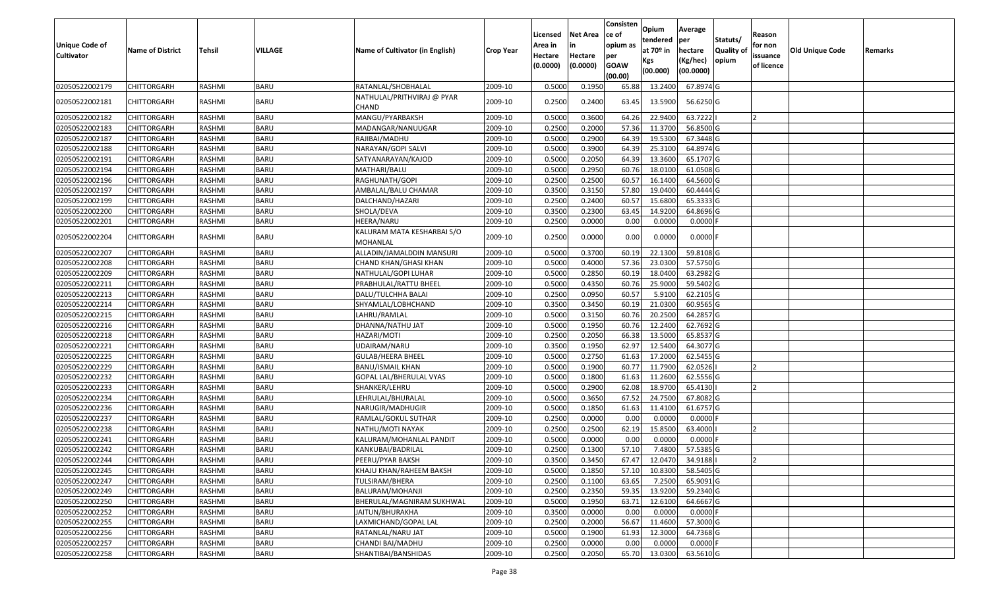| Unique Code of<br><b>Cultivator</b> | <b>Name of District</b> | <b>Tehsil</b> | VILLAGE     | Name of Cultivator (in English)        | <b>Crop Year</b> | Licensed<br>Area in<br>Hectare<br>(0.0000) | <b>Net Area</b><br>in<br>Hectare<br>(0.0000) | Consisten<br>ce of<br>opium as<br>per<br><b>GOAW</b><br>(00.00) | Opium<br>tendered<br>at 70º in<br>Kgs<br>(00.000) | Average<br>per<br>hectare<br>(Kg/hec)<br>(00.0000) | Statuts/<br>Quality of<br>opium | Reason<br>for non<br>issuance<br>of licence | <b>Old Unique Code</b> | Remarks |
|-------------------------------------|-------------------------|---------------|-------------|----------------------------------------|------------------|--------------------------------------------|----------------------------------------------|-----------------------------------------------------------------|---------------------------------------------------|----------------------------------------------------|---------------------------------|---------------------------------------------|------------------------|---------|
| 02050522002179                      | CHITTORGARH             | RASHMI        | <b>BARU</b> | RATANLAL/SHOBHALAL                     | 2009-10          | 0.5000                                     | 0.195                                        | 65.88                                                           | 13.2400                                           | 67.8974 G                                          |                                 |                                             |                        |         |
| 02050522002181                      | CHITTORGARH             | RASHMI        | <b>BARU</b> | NATHULAL/PRITHVIRAJ @ PYAR<br>CHAND    | 2009-10          | 0.2500                                     | 0.2400                                       | 63.45                                                           | 13.5900                                           | 56.6250 G                                          |                                 |                                             |                        |         |
| 02050522002182                      | <b>CHITTORGARH</b>      | RASHMI        | <b>BARU</b> | MANGU/PYARBAKSH                        | 2009-10          | 0.5000                                     | 0.3600                                       | 64.26                                                           | 22.9400                                           | 63.7222                                            |                                 | I۰                                          |                        |         |
| 02050522002183                      | CHITTORGARH             | RASHMI        | <b>BARU</b> | MADANGAR/NANUUGAR                      | 2009-10          | 0.2500                                     | 0.2000                                       | 57.36                                                           | 11.3700                                           | 56.8500 G                                          |                                 |                                             |                        |         |
| 02050522002187                      | <b>CHITTORGARH</b>      | RASHMI        | <b>BARU</b> | RAJIBAI/MADHU                          | 2009-10          | 0.5000                                     | 0.2900                                       | 64.39                                                           | 19.5300                                           | 67.3448 G                                          |                                 |                                             |                        |         |
| 02050522002188                      | CHITTORGARH             | RASHMI        | <b>BARU</b> | NARAYAN/GOPI SALVI                     | 2009-10          | 0.5000                                     | 0.3900                                       | 64.39                                                           | 25.3100                                           | 64.8974 G                                          |                                 |                                             |                        |         |
| 02050522002191                      | CHITTORGARH             | RASHMI        | <b>BARU</b> | SATYANARAYAN/KAJOD                     | 2009-10          | 0.5000                                     | 0.2050                                       | 64.39                                                           | 13.3600                                           | 65.1707 G                                          |                                 |                                             |                        |         |
| 02050522002194                      | CHITTORGARH             | RASHMI        | <b>BARU</b> | MATHARI/BALU                           | 2009-10          | 0.5000                                     | 0.2950                                       | 60.76                                                           | 18.0100                                           | 61.0508G                                           |                                 |                                             |                        |         |
| 02050522002196                      | CHITTORGARH             | RASHMI        | <b>BARU</b> | RAGHUNATH/GOPI                         | 2009-10          | 0.2500                                     | 0.2500                                       | 60.5                                                            | 16.1400                                           | 64.5600 G                                          |                                 |                                             |                        |         |
| 02050522002197                      | CHITTORGARH             | RASHMI        | <b>BARU</b> | AMBALAL/BALU CHAMAR                    | 2009-10          | 0.3500                                     | 0.3150                                       | 57.80                                                           | 19.0400                                           | 60.4444 G                                          |                                 |                                             |                        |         |
| 02050522002199                      | CHITTORGARH             | RASHMI        | <b>BARU</b> | DALCHAND/HAZARI                        | 2009-10          | 0.2500                                     | 0.2400                                       | 60.57                                                           | 15.6800                                           | 65.3333 G                                          |                                 |                                             |                        |         |
| 02050522002200                      | CHITTORGARH             | RASHMI        | <b>BARU</b> | SHOLA/DEVA                             | 2009-10          | 0.3500                                     | 0.2300                                       | 63.45                                                           | 14.9200                                           | 64.8696 G                                          |                                 |                                             |                        |         |
| 02050522002201                      | CHITTORGARH             | RASHMI        | <b>BARU</b> | HEERA/NARU                             | 2009-10          | 0.2500                                     | 0.0000                                       | 0.00                                                            | 0.0000                                            | $0.0000$ F                                         |                                 |                                             |                        |         |
| 02050522002204                      | CHITTORGARH             | RASHMI        | <b>BARU</b> | KALURAM MATA KESHARBAI S/O<br>MOHANLAL | 2009-10          | 0.2500                                     | 0.0000                                       | 0.00                                                            | 0.0000                                            | $0.0000$ F                                         |                                 |                                             |                        |         |
| 02050522002207                      | CHITTORGARH             | RASHMI        | <b>BARU</b> | ALLADIN/JAMALDDIN MANSURI              | 2009-10          | 0.5000                                     | 0.3700                                       | 60.19                                                           | 22.1300                                           | 59.8108 G                                          |                                 |                                             |                        |         |
| 02050522002208                      | CHITTORGARH             | RASHMI        | <b>BARU</b> | CHAND KHAN/GHASI KHAN                  | 2009-10          | 0.500                                      | 0.4000                                       | 57.36                                                           | 23.0300                                           | 57.5750 G                                          |                                 |                                             |                        |         |
| 02050522002209                      | CHITTORGARH             | RASHMI        | <b>BARU</b> | NATHULAL/GOPI LUHAR                    | 2009-10          | 0.5000                                     | 0.2850                                       | 60.19                                                           | 18.0400                                           | 63.2982 G                                          |                                 |                                             |                        |         |
| 02050522002211                      | CHITTORGARH             | RASHMI        | <b>BARU</b> | PRABHULAL/RATTU BHEEL                  | 2009-10          | 0.5000                                     | 0.4350                                       | 60.76                                                           | 25.9000                                           | 59.5402 G                                          |                                 |                                             |                        |         |
| 02050522002213                      | CHITTORGARH             | RASHMI        | <b>BARU</b> | DALU/TULCHHA BALAI                     | 2009-10          | 0.2500                                     | 0.0950                                       | 60.57                                                           | 5.9100                                            | 62.2105 G                                          |                                 |                                             |                        |         |
| 02050522002214                      | CHITTORGARH             | RASHMI        | <b>BARU</b> | SHYAMLAL/LOBHCHAND                     | 2009-10          | 0.3500                                     | 0.3450                                       | 60.19                                                           | 21.0300                                           | 60.9565 G                                          |                                 |                                             |                        |         |
| 02050522002215                      | CHITTORGARH             | RASHMI        | <b>BARU</b> | LAHRU/RAMLAL                           | 2009-10          | 0.5000                                     | 0.3150                                       | 60.76                                                           | 20.2500                                           | 64.2857 G                                          |                                 |                                             |                        |         |
| 02050522002216                      | CHITTORGARH             | RASHMI        | <b>BARU</b> | DHANNA/NATHU JAT                       | 2009-10          | 0.5000                                     | 0.1950                                       | 60.76                                                           | 12.2400                                           | 62.7692 G                                          |                                 |                                             |                        |         |
| 02050522002218                      | CHITTORGARH             | RASHMI        | <b>BARU</b> | HAZARI/MOTI                            | 2009-10          | 0.2500                                     | 0.2050                                       | 66.38                                                           | 13.5000                                           | 65.8537 G                                          |                                 |                                             |                        |         |
| 02050522002221                      | CHITTORGARH             | RASHMI        | <b>BARU</b> | UDAIRAM/NARU                           | 2009-10          | 0.3500                                     | 0.1950                                       | 62.97                                                           | 12.5400                                           | 64.3077 G                                          |                                 |                                             |                        |         |
| 02050522002225                      | CHITTORGARH             | RASHMI        | <b>BARU</b> | <b>GULAB/HEERA BHEEL</b>               | 2009-10          | 0.5000                                     | 0.2750                                       | 61.63                                                           | 17.2000                                           | 62.5455 G                                          |                                 |                                             |                        |         |
| 02050522002229                      | CHITTORGARH             | RASHMI        | <b>BARU</b> | BANU/ISMAIL KHAN                       | 2009-10          | 0.5000                                     | 0.1900                                       | 60.77                                                           | 11.7900                                           | 62.0526                                            |                                 |                                             |                        |         |
| 02050522002232                      | CHITTORGARH             | RASHMI        | <b>BARU</b> | GOPAL LAL/BHERULAL VYAS                | 2009-10          | 0.5000                                     | 0.1800                                       | 61.63                                                           | 11.2600                                           | 62.5556 G                                          |                                 |                                             |                        |         |
| 02050522002233                      | CHITTORGARH             | RASHMI        | <b>BARU</b> | SHANKER/LEHRU                          | 2009-10          | 0.5000                                     | 0.2900                                       | 62.08                                                           | 18.9700                                           | 65.4130                                            |                                 |                                             |                        |         |
| 02050522002234                      | CHITTORGARH             | RASHMI        | <b>BARU</b> | LEHRULAL/BHURALAL                      | 2009-10          | 0.5000                                     | 0.3650                                       | 67.52                                                           | 24.7500                                           | 67.8082 G                                          |                                 |                                             |                        |         |
| 02050522002236                      | CHITTORGARH             | RASHMI        | <b>BARU</b> | NARUGIR/MADHUGIR                       | 2009-10          | 0.5000                                     | 0.1850                                       | 61.63                                                           | 11.4100                                           | 61.6757 G                                          |                                 |                                             |                        |         |
| 02050522002237                      | CHITTORGARH             | <b>RASHMI</b> | <b>BARU</b> | RAMLAL/GOKUL SUTHAR                    | 2009-10          | 0.2500                                     | 0.0000                                       | 0.00                                                            | 0.0000                                            | $0.0000$ F                                         |                                 |                                             |                        |         |
| 02050522002238                      | CHITTORGARH             | RASHMI        | <b>BARU</b> | NATHU/MOTI NAYAK                       | 2009-10          | 0.2500                                     | 0.2500                                       | 62.19                                                           | 15.8500                                           | 63.4000                                            |                                 |                                             |                        |         |
| 02050522002241                      | CHITTORGARH             | RASHMI        | <b>BARU</b> | KALURAM/MOHANLAL PANDIT                | 2009-10          | 0.5000                                     | 0.0000                                       | 0.00                                                            | 0.0000                                            | 0.0000                                             |                                 |                                             |                        |         |
| 02050522002242                      | CHITTORGARH             | RASHMI        | <b>BARU</b> | KANKUBAI/BADRILAL                      | 2009-10          | 0.2500                                     | 0.1300                                       | 57.10                                                           | 7.4800                                            | 57.5385 G                                          |                                 |                                             |                        |         |
| 02050522002244                      | <b>CHITTORGARH</b>      | RASHMI        | <b>BARU</b> | PEERU/PYAR BAKSH                       | 2009-10          | 0.3500                                     | 0.3450                                       |                                                                 | 67.47 12.0470                                     | 34.9188                                            |                                 |                                             |                        |         |
| 02050522002245                      | <b>CHITTORGARH</b>      | RASHMI        | <b>BARU</b> | KHAJU KHAN/RAHEEM BAKSH                | 2009-10          | 0.5000                                     | 0.1850                                       | 57.10                                                           | 10.8300                                           | 58.5405 G                                          |                                 |                                             |                        |         |
| 02050522002247                      | <b>CHITTORGARH</b>      | RASHMI        | <b>BARU</b> | TULSIRAM/BHERA                         | 2009-10          | 0.2500                                     | 0.1100                                       | 63.65                                                           | 7.2500                                            | 65.9091 G                                          |                                 |                                             |                        |         |
| 02050522002249                      | <b>CHITTORGARH</b>      | RASHMI        | <b>BARU</b> | BALURAM/MOHANJI                        | 2009-10          | 0.2500                                     | 0.2350                                       | 59.35                                                           | 13.9200                                           | 59.2340 G                                          |                                 |                                             |                        |         |
| 02050522002250                      | <b>CHITTORGARH</b>      | RASHMI        | <b>BARU</b> | BHERULAL/MAGNIRAM SUKHWAL              | 2009-10          | 0.5000                                     | 0.1950                                       | 63.71                                                           | 12.6100                                           | 64.6667 G                                          |                                 |                                             |                        |         |
| 02050522002252                      | <b>CHITTORGARH</b>      | RASHMI        | <b>BARU</b> | JAITUN/BHURAKHA                        | 2009-10          | 0.3500                                     | 0.0000                                       | 0.00                                                            | 0.0000                                            | $0.0000$ F                                         |                                 |                                             |                        |         |
| 02050522002255                      | <b>CHITTORGARH</b>      | RASHMI        | <b>BARU</b> | LAXMICHAND/GOPAL LAL                   | 2009-10          | 0.2500                                     | 0.2000                                       | 56.67                                                           | 11.4600                                           | 57.3000 G                                          |                                 |                                             |                        |         |
| 02050522002256                      | <b>CHITTORGARH</b>      | RASHMI        | <b>BARU</b> | RATANLAL/NARU JAT                      | 2009-10          | 0.5000                                     | 0.1900                                       | 61.93                                                           | 12.3000                                           | 64.7368 G                                          |                                 |                                             |                        |         |
| 02050522002257                      | <b>CHITTORGARH</b>      | RASHMI        | <b>BARU</b> | CHANDI BAI/MADHU                       | 2009-10          | 0.2500                                     | 0.0000                                       | 0.00                                                            | 0.0000                                            | $0.0000$ F                                         |                                 |                                             |                        |         |
| 02050522002258                      | <b>CHITTORGARH</b>      | RASHMI        | <b>BARU</b> | SHANTIBAI/BANSHIDAS                    | 2009-10          | 0.2500                                     | 0.2050                                       | 65.70                                                           | 13.0300                                           | 63.5610 G                                          |                                 |                                             |                        |         |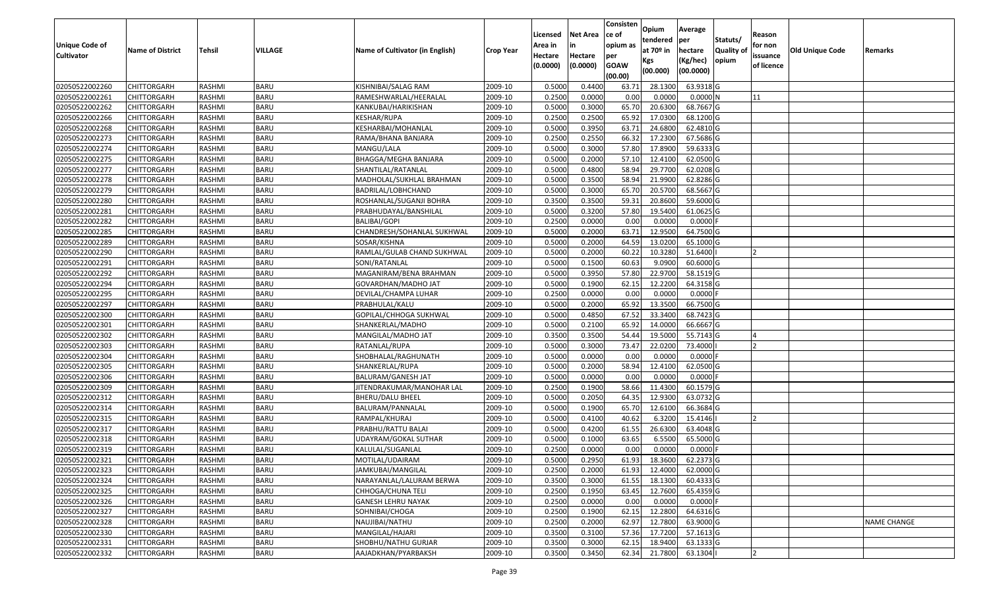|                                  |                            |                  |                            |                                                        |                    | Licensed         | <b>Net Area</b>  | Consisten<br>ce of | Opium             | Average                 |                  | Reason     |                 |                    |
|----------------------------------|----------------------------|------------------|----------------------------|--------------------------------------------------------|--------------------|------------------|------------------|--------------------|-------------------|-------------------------|------------------|------------|-----------------|--------------------|
| <b>Unique Code of</b>            |                            |                  |                            |                                                        |                    | Area in          |                  | opium as           | tendered          | per                     | Statuts/         | for non    |                 |                    |
| <b>Cultivator</b>                | <b>Name of District</b>    | <b>Tehsil</b>    | VILLAGE                    | Name of Cultivator (in English)                        | <b>Crop Year</b>   | Hectare          | Hectare          | per                | at $70°$ in       | hectare                 | <b>Quality o</b> | issuance   | Old Unique Code | Remarks            |
|                                  |                            |                  |                            |                                                        |                    | (0.0000)         | (0.0000)         | <b>GOAW</b>        | Kgs               | (Kg/hec)                | opium            | of licence |                 |                    |
|                                  |                            |                  |                            |                                                        |                    |                  |                  | (00.00)            | (00.000)          | (00.0000)               |                  |            |                 |                    |
| 02050522002260                   | CHITTORGARH                | RASHMI           | <b>BARU</b>                | KISHNIBAI/SALAG RAM                                    | 2009-10            | 0.5000           | 0.4400           | 63.71              | 28.1300           | 63.9318 G               |                  |            |                 |                    |
| 02050522002261                   | CHITTORGARH                | RASHMI           | <b>BARU</b>                | RAMESHWARLAL/HEERALAL                                  | 2009-10            | 0.2500           | 0.0000           | 0.00               | 0.0000            | 0.0000N                 |                  | 11         |                 |                    |
| 02050522002262                   | CHITTORGARH                | RASHMI           | <b>BARU</b>                | KANKUBAI/HARIKISHAN                                    | 2009-10            | 0.5000           | 0.3000           | 65.70              | 20.6300           | 68.7667 G               |                  |            |                 |                    |
| 02050522002266                   | <b>CHITTORGARH</b>         | RASHMI           | <b>BARU</b>                | KESHAR/RUPA                                            | 2009-10            | 0.2500           | 0.2500           | 65.92              | 17.0300           | 68.1200 G               |                  |            |                 |                    |
| 02050522002268                   | CHITTORGARH                | RASHMI           | <b>BARU</b>                | KESHARBAI/MOHANLAL                                     | 2009-10            | 0.5000           | 0.3950           | 63.7               | 24.6800           | 62.4810 G               |                  |            |                 |                    |
| 02050522002273                   | CHITTORGARH                | RASHMI           | <b>BARU</b>                | RAMA/BHANA BANJARA                                     | 2009-10            | 0.2500           | 0.2550           | 66.32              | 17.2300           | 67.5686 G               |                  |            |                 |                    |
| 02050522002274                   | CHITTORGARH                | RASHMI           | <b>BARU</b>                | MANGU/LALA                                             | 2009-10            | 0.5000           | 0.3000           | 57.80              | 17.8900           | 59.6333 G               |                  |            |                 |                    |
| 02050522002275                   | CHITTORGARH                | <b>RASHMI</b>    | <b>BARU</b>                | BHAGGA/MEGHA BANJARA                                   | 2009-10            | 0.5000           | 0.2000           | 57.10              | 12.4100           | 62.0500G                |                  |            |                 |                    |
| 02050522002277                   | CHITTORGARH                | RASHMI           | <b>BARU</b>                | SHANTILAL/RATANLAL                                     | 2009-10            | 0.5000           | 0.4800           | 58.94              | 29.7700           | 62.0208G                |                  |            |                 |                    |
| 02050522002278                   | CHITTORGARH                | RASHMI           | <b>BARU</b>                | MADHOLAL/SUKHLAL BRAHMAN                               | 2009-10            | 0.5000           | 0.3500           | 58.94              | 21.9900           | 62.8286 G               |                  |            |                 |                    |
| 02050522002279                   | CHITTORGARH                | RASHMI           | <b>BARU</b>                | BADRILAL/LOBHCHAND                                     | 2009-10            | 0.5000           | 0.3000           | 65.70              | 20.5700           | 68.5667 G               |                  |            |                 |                    |
| 02050522002280                   | <b>CHITTORGARH</b>         | RASHMI           | <b>BARU</b>                | ROSHANLAL/SUGANJI BOHRA                                | 2009-10            | 0.3500           | 0.3500           | 59.3               | 20.8600           | 59.6000 G               |                  |            |                 |                    |
| 02050522002281                   | <b>CHITTORGARH</b>         | RASHMI           | <b>BARU</b>                | PRABHUDAYAL/BANSHILAL                                  | 2009-10            | 0.5000           | 0.3200           | 57.80              | 19.5400           | 61.0625 G               |                  |            |                 |                    |
| 02050522002282                   | <b>CHITTORGARH</b>         | RASHMI           | <b>BARU</b>                | BALIBAI/GOPI                                           | 2009-10            | 0.2500           | 0.0000           | 0.00               | 0.0000            | $0.0000$ F              |                  |            |                 |                    |
| 02050522002285                   | CHITTORGARH                | RASHMI           | <b>BARU</b>                | CHANDRESH/SOHANLAL SUKHWAL                             | 2009-10            | 0.5000           | 0.2000           | 63.71              | 12.9500           | 64.7500 G               |                  |            |                 |                    |
| 02050522002289                   | CHITTORGARH                | RASHMI           | <b>BARU</b>                | SOSAR/KISHNA                                           | 2009-10            | 0.5000           | 0.2000           | 64.59              | 13.0200           | 65.1000G                |                  |            |                 |                    |
| 02050522002290                   | CHITTORGARH                | RASHMI           | <b>BARU</b>                | RAMLAL/GULAB CHAND SUKHWAL                             | 2009-10            | 0.5000           | 0.2000           | 60.22              | 10.3280           | 51.6400                 |                  |            |                 |                    |
| 02050522002291                   | CHITTORGARH                | RASHMI           | <b>BARU</b>                | SONI/RATANLAL                                          | 2009-10            | 0.5000           | 0.1500           | 60.63              | 9.0900            | 60.6000 G               |                  |            |                 |                    |
| 02050522002292                   | CHITTORGARH                | RASHMI           | <b>BARU</b>                | MAGANIRAM/BENA BRAHMAN                                 | 2009-10            | 0.500            | 0.3950           | 57.80              | 22.9700           | 58.1519 G               |                  |            |                 |                    |
| 02050522002294                   | CHITTORGARH                | RASHMI           | <b>BARU</b>                | GOVARDHAN/MADHO JAT                                    | 2009-10            | 0.5000           | 0.1900           | 62.15              | 12.2200           | 64.3158 G               |                  |            |                 |                    |
| 02050522002295                   | CHITTORGARH                | RASHMI           | <b>BARU</b>                | DEVILAL/CHAMPA LUHAR                                   | 2009-10            | 0.2500           | 0.0000           | 0.00               | 0.0000            | $0.0000$ F              |                  |            |                 |                    |
| 02050522002297                   | CHITTORGARH                | RASHMI           | <b>BARU</b>                | PRABHULAL/KALU                                         | 2009-10            | 0.500            | 0.2000           | 65.92              | 13.3500           | 66.7500 G               |                  |            |                 |                    |
| 02050522002300                   | CHITTORGARH                | RASHMI           | <b>BARU</b>                | GOPILAL/CHHOGA SUKHWAL                                 | 2009-10            | 0.5000           | 0.4850           | 67.52              | 33.3400           | 68.7423 G               |                  |            |                 |                    |
| 02050522002301                   | CHITTORGARH                | RASHMI           | <b>BARU</b>                | SHANKERLAL/MADHO                                       | 2009-10            | 0.5000           | 0.2100           | 65.92              | 14.0000           | 66.6667 G               |                  |            |                 |                    |
| 02050522002302                   | CHITTORGARH                | RASHMI           | <b>BARU</b>                | MANGILAL/MADHO JAT                                     | 2009-10            | 0.3500           | 0.3500           | 54.44              | 19.5000           | 55.7143 G               |                  |            |                 |                    |
| 02050522002303                   | CHITTORGARH                | RASHMI           | <b>BARU</b>                | RATANLAL/RUPA                                          | 2009-10            | 0.5000           | 0.3000           | 73.47              | 22.0200           | 73.4000                 |                  |            |                 |                    |
| 02050522002304                   | CHITTORGARH                | RASHMI           | <b>BARU</b>                | SHOBHALAL/RAGHUNATH                                    | 2009-10            | 0.5000           | 0.0000           | 0.00               | 0.0000            | $0.0000$ F              |                  |            |                 |                    |
| 02050522002305                   | CHITTORGARH                | RASHMI           | <b>BARU</b><br><b>BARU</b> | SHANKERLAL/RUPA                                        | 2009-10<br>2009-10 | 0.5000<br>0.5000 | 0.2000<br>0.0000 | 58.94<br>0.00      | 12.4100<br>0.0000 | 62.0500 G<br>$0.0000$ F |                  |            |                 |                    |
| 02050522002306<br>02050522002309 | CHITTORGARH<br>CHITTORGARH | RASHMI<br>RASHMI | <b>BARU</b>                | <b>BALURAM/GANESH JAT</b><br>JITENDRAKUMAR/MANOHAR LAL | 2009-10            | 0.2500           | 0.1900           | 58.66              | 11.4300           | 60.1579 G               |                  |            |                 |                    |
| 02050522002312                   | CHITTORGARH                | RASHMI           | <b>BARU</b>                | BHERU/DALU BHEEL                                       | 2009-10            | 0.5000           | 0.2050           | 64.35              | 12.9300           | 63.0732 G               |                  |            |                 |                    |
| 02050522002314                   | CHITTORGARH                | RASHMI           | <b>BARU</b>                |                                                        | 2009-10            | 0.5000           | 0.1900           | 65.70              | 12.6100           | 66.3684 G               |                  |            |                 |                    |
| 02050522002315                   | CHITTORGARH                | <b>RASHMI</b>    | <b>BARU</b>                | BALURAM/PANNALAL<br>RAMPAL/KHURAJ                      | 2009-10            | 0.5000           | 0.4100           | 40.62              | 6.3200            | 15.4146                 |                  |            |                 |                    |
| 02050522002317                   | CHITTORGARH                | RASHMI           | <b>BARU</b>                | PRABHU/RATTU BALAI                                     | 2009-10            | 0.5000           | 0.4200           | 61.55              | 26.6300           | 63.4048 G               |                  |            |                 |                    |
| 02050522002318                   | CHITTORGARH                | RASHMI           | <b>BARU</b>                | JDAYRAM/GOKAL SUTHAR                                   | 2009-10            | 0.500            | 0.1000           | 63.65              | 6.5500            | 65.5000 G               |                  |            |                 |                    |
| 02050522002319                   | CHITTORGARH                | RASHMI           | <b>BARU</b>                | KALULAL/SUGANLAL                                       | 2009-10            | 0.2500           | 0.0000           | 0.00               | 0.0000            | $0.0000$ F              |                  |            |                 |                    |
| 02050522002321                   | <b>CHITTORGARH</b>         | RASHMI           | <b>BARU</b>                | MOTILAL/UDAIRAM                                        | 2009-10            | 0.5000           | 0.2950           |                    | 61.93 18.3600     | 62.2373 G               |                  |            |                 |                    |
| 02050522002323                   | <b>CHITTORGARH</b>         | RASHMI           | <b>BARU</b>                | JAMKUBAI/MANGILAL                                      | 2009-10            | 0.2500           | 0.2000           | 61.93              | 12.4000           | 62.0000 G               |                  |            |                 |                    |
| 02050522002324                   | <b>CHITTORGARH</b>         | RASHMI           | <b>BARU</b>                | NARAYANLAL/LALURAM BERWA                               | 2009-10            | 0.3500           | 0.3000           | 61.55              | 18.1300           | 60.4333 G               |                  |            |                 |                    |
| 02050522002325                   | <b>CHITTORGARH</b>         | RASHMI           | <b>BARU</b>                | CHHOGA/CHUNA TELI                                      | 2009-10            | 0.2500           | 0.1950           | 63.45              | 12.7600           | 65.4359 G               |                  |            |                 |                    |
| 02050522002326                   | <b>CHITTORGARH</b>         | RASHMI           | <b>BARU</b>                | <b>GANESH LEHRU NAYAK</b>                              | 2009-10            | 0.2500           | 0.0000           | 0.00               | 0.0000            | $0.0000$ F              |                  |            |                 |                    |
| 02050522002327                   | <b>CHITTORGARH</b>         | RASHMI           | <b>BARU</b>                | SOHNIBAI/CHOGA                                         | 2009-10            | 0.2500           | 0.1900           | 62.15              | 12.2800           | 64.6316 G               |                  |            |                 |                    |
| 02050522002328                   | <b>CHITTORGARH</b>         | RASHMI           | <b>BARU</b>                | NAUJIBAI/NATHU                                         | 2009-10            | 0.2500           | 0.2000           | 62.97              | 12.7800           | 63.9000 G               |                  |            |                 | <b>NAME CHANGE</b> |
| 02050522002330                   | <b>CHITTORGARH</b>         | RASHMI           | <b>BARU</b>                | MANGILAL/HAJARI                                        | 2009-10            | 0.3500           | 0.3100           | 57.36              | 17.7200           | 57.1613 G               |                  |            |                 |                    |
| 02050522002331                   | <b>CHITTORGARH</b>         | RASHMI           | <b>BARU</b>                | SHOBHU/NATHU GURJAR                                    | 2009-10            | 0.3500           | 0.3000           | 62.15              | 18.9400           | 63.1333 G               |                  |            |                 |                    |
| 02050522002332                   | <b>CHITTORGARH</b>         | RASHMI           | <b>BARU</b>                | AAJADKHAN/PYARBAKSH                                    | 2009-10            | 0.3500           | 0.3450           | 62.34              | 21.7800           | 63.1304                 |                  |            |                 |                    |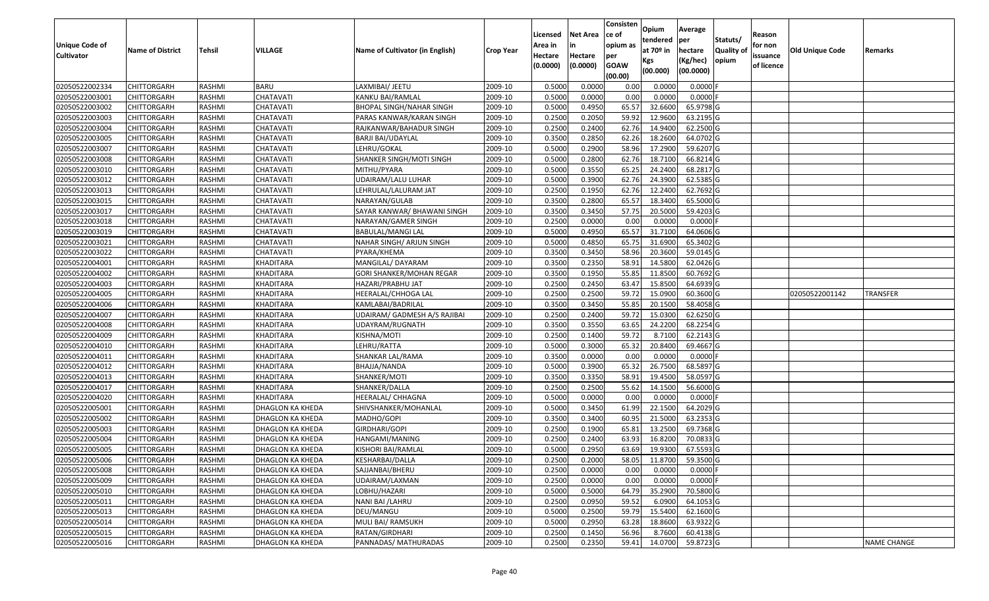| <b>Unique Code of</b><br><b>Cultivator</b> | <b>Name of District</b> | <b>Tehsil</b> | VILLAGE          | Name of Cultivator (in English) | <b>Crop Year</b> | Licensed<br>Area in<br>Hectare<br>(0.0000) | <b>Net Area</b><br>Hectare<br>(0.0000) | Consisten<br>ce of<br>opium as<br>per<br><b>GOAW</b><br>(00.00) | Opium<br>tendered<br>at $70°$ in<br>Kgs<br>(00.000) | Average<br>per<br>hectare<br>(Kg/hec)<br>(00.0000) | Statuts/<br>Quality o<br>opium | Reason<br>for non<br>issuance<br>of licence | Old Unique Code | Remarks            |
|--------------------------------------------|-------------------------|---------------|------------------|---------------------------------|------------------|--------------------------------------------|----------------------------------------|-----------------------------------------------------------------|-----------------------------------------------------|----------------------------------------------------|--------------------------------|---------------------------------------------|-----------------|--------------------|
| 02050522002334                             | CHITTORGARH             | RASHMI        | <b>BARU</b>      | LAXMIBAI/ JEETU                 | 2009-10          | 0.5000                                     | 0.0000                                 | 0.00                                                            | 0.0000                                              | 0.0000F                                            |                                |                                             |                 |                    |
| 02050522003001                             | CHITTORGARH             | RASHMI        | CHATAVATI        | KANKU BAI/RAMLAL                | 2009-10          | 0.5000                                     | 0.0000                                 | 0.00                                                            | 0.0000                                              | $0.0000$ F                                         |                                |                                             |                 |                    |
| 02050522003002                             | CHITTORGARH             | RASHMI        | CHATAVATI        | <b>BHOPAL SINGH/NAHAR SINGH</b> | 2009-10          | 0.5000                                     | 0.4950                                 | 65.57                                                           | 32.6600                                             | 65.9798 G                                          |                                |                                             |                 |                    |
| 02050522003003                             | <b>CHITTORGARH</b>      | RASHMI        | CHATAVATI        | PARAS KANWAR/KARAN SINGH        | 2009-10          | 0.2500                                     | 0.2050                                 | 59.92                                                           | 12.9600                                             | 63.2195 G                                          |                                |                                             |                 |                    |
| 02050522003004                             | CHITTORGARH             | RASHMI        | CHATAVATI        | RAJKANWAR/BAHADUR SINGH         | 2009-10          | 0.2500                                     | 0.2400                                 | 62.76                                                           | 14.9400                                             | 62.2500 G                                          |                                |                                             |                 |                    |
| 02050522003005                             | CHITTORGARH             | RASHMI        | CHATAVATI        | <b>BARJI BAI/UDAYLAL</b>        | 2009-10          | 0.3500                                     | 0.2850                                 | 62.26                                                           | 18.2600                                             | $\overline{64.0702}$ G                             |                                |                                             |                 |                    |
| 02050522003007                             | CHITTORGARH             | RASHMI        | CHATAVATI        | LEHRU/GOKAL                     | 2009-10          | 0.5000                                     | 0.2900                                 | 58.96                                                           | 17.2900                                             | 59.6207 G                                          |                                |                                             |                 |                    |
| 02050522003008                             | CHITTORGARH             | <b>RASHMI</b> | CHATAVATI        | SHANKER SINGH/MOTI SINGH        | 2009-10          | 0.5000                                     | 0.2800                                 | 62.76                                                           | 18.7100                                             | 66.8214 G                                          |                                |                                             |                 |                    |
| 02050522003010                             | CHITTORGARH             | RASHMI        | CHATAVATI        | MITHU/PYARA                     | 2009-10          | 0.5000                                     | 0.3550                                 | 65.25                                                           | 24.2400                                             | 68.2817 G                                          |                                |                                             |                 |                    |
| 02050522003012                             | CHITTORGARH             | RASHMI        | CHATAVATI        | UDAIRAM/LALU LUHAR              | 2009-10          | 0.5000                                     | 0.3900                                 | 62.76                                                           | 24.3900                                             | 62.5385 G                                          |                                |                                             |                 |                    |
| 02050522003013                             | CHITTORGARH             | RASHMI        | CHATAVATI        | LEHRULAL/LALURAM JAT            | 2009-10          | 0.2500                                     | 0.1950                                 | 62.76                                                           | 12.2400                                             | 62.7692 G                                          |                                |                                             |                 |                    |
| 02050522003015                             | <b>CHITTORGARH</b>      | RASHMI        | CHATAVATI        | NARAYAN/GULAB                   | 2009-10          | 0.3500                                     | 0.2800                                 | 65.57                                                           | 18.3400                                             | 65.5000 G                                          |                                |                                             |                 |                    |
| 02050522003017                             | <b>CHITTORGARH</b>      | RASHMI        | CHATAVATI        | SAYAR KANWAR/ BHAWANI SINGH     | 2009-10          | 0.3500                                     | 0.3450                                 | 57.75                                                           | 20.5000                                             | 59.4203 G                                          |                                |                                             |                 |                    |
| 02050522003018                             | <b>CHITTORGARH</b>      | RASHMI        | CHATAVATI        | NARAYAN/GAMER SINGH             | 2009-10          | 0.2500                                     | 0.0000                                 | 0.00                                                            | 0.0000                                              | $0.0000$ F                                         |                                |                                             |                 |                    |
| 02050522003019                             | CHITTORGARH             | RASHMI        | CHATAVATI        | BABULAL/MANGI LAL               | 2009-10          | 0.5000                                     | 0.4950                                 | 65.57                                                           | 31.7100                                             | 64.0606 G                                          |                                |                                             |                 |                    |
| 02050522003021                             | CHITTORGARH             | RASHMI        | CHATAVATI        | NAHAR SINGH/ ARJUN SINGH        | 2009-10          | 0.5000                                     | 0.4850                                 | 65.75                                                           | 31.6900                                             | 65.3402 G                                          |                                |                                             |                 |                    |
| 02050522003022                             | CHITTORGARH             | RASHMI        | CHATAVATI        | PYARA/KHEMA                     | 2009-10          | 0.3500                                     | 0.3450                                 | 58.96                                                           | 20.3600                                             | 59.0145 G                                          |                                |                                             |                 |                    |
| 02050522004001                             | CHITTORGARH             | RASHMI        | <b>KHADITARA</b> | MANGILAL/ DAYARAM               | 2009-10          | 0.3500                                     | 0.2350                                 | 58.9                                                            | 14.5800                                             | 62.0426 G                                          |                                |                                             |                 |                    |
| 02050522004002                             | CHITTORGARH             | RASHMI        | KHADITARA        | GORI SHANKER/MOHAN REGAR        | 2009-10          | 0.3500                                     | 0.1950                                 | 55.85                                                           | 11.8500                                             | 60.7692 G                                          |                                |                                             |                 |                    |
| 02050522004003                             | CHITTORGARH             | RASHMI        | KHADITARA        | HAZARI/PRABHU JAT               | 2009-10          | 0.2500                                     | 0.2450                                 | 63.47                                                           | 15.8500                                             | 64.6939 G                                          |                                |                                             |                 |                    |
| 02050522004005                             | CHITTORGARH             | RASHMI        | <b>KHADITARA</b> | HEERALAL/CHHOGA LAL             | 2009-10          | 0.2500                                     | 0.2500                                 | 59.72                                                           | 15.0900                                             | 60.3600G                                           |                                |                                             | 02050522001142  | <b>TRANSFER</b>    |
| 02050522004006                             | CHITTORGARH             | RASHMI        | KHADITARA        | KAMLABAI/BADRILAL               | 2009-10          | 0.3500                                     | 0.3450                                 | 55.85                                                           | 20.1500                                             | 58.4058 G                                          |                                |                                             |                 |                    |
| 02050522004007                             | CHITTORGARH             | RASHMI        | KHADITARA        | UDAIRAM/ GADMESH A/S RAJIBAI    | 2009-10          | 0.2500                                     | 0.2400                                 | 59.72                                                           | 15.0300                                             | 62.6250 G                                          |                                |                                             |                 |                    |
| 02050522004008                             | CHITTORGARH             | RASHMI        | KHADITARA        | JDAYRAM/RUGNATH                 | 2009-10          | 0.3500                                     | 0.3550                                 | 63.65                                                           | 24.2200                                             | 68.2254 G                                          |                                |                                             |                 |                    |
| 02050522004009                             | CHITTORGARH             | RASHMI        | <b>KHADITARA</b> | KISHNA/MOTI                     | 2009-10          | 0.2500                                     | 0.1400                                 | 59.72                                                           | 8.7100                                              | 62.2143 G                                          |                                |                                             |                 |                    |
| 02050522004010                             | CHITTORGARH             | RASHMI        | KHADITARA        | LEHRU/RATTA                     | 2009-10          | 0.5000                                     | 0.3000                                 | 65.32                                                           | 20.8400                                             | 69.4667 G                                          |                                |                                             |                 |                    |
| 02050522004011                             | CHITTORGARH             | RASHMI        | <b>KHADITARA</b> | SHANKAR LAL/RAMA                | 2009-10          | 0.3500                                     | 0.0000                                 | 0.00                                                            | 0.0000                                              | $0.0000$ F                                         |                                |                                             |                 |                    |
| 02050522004012                             | CHITTORGARH             | RASHMI        | KHADITARA        | BHAJJA/NANDA                    | 2009-10          | 0.5000                                     | 0.3900                                 | 65.32                                                           | 26.7500                                             | 68.5897 G                                          |                                |                                             |                 |                    |
| 02050522004013                             | CHITTORGARH             | RASHMI        | <b>KHADITARA</b> | SHANKER/MOTI                    | 2009-10          | 0.3500                                     | 0.3350                                 | 58.91                                                           | 19.4500                                             | 58.0597 G                                          |                                |                                             |                 |                    |
| 02050522004017                             | CHITTORGARH             | RASHMI        | <b>KHADITARA</b> | SHANKER/DALLA                   | 2009-10          | 0.2500                                     | 0.2500                                 | 55.62                                                           | 14.1500                                             | 56.6000 G                                          |                                |                                             |                 |                    |
| 02050522004020                             | CHITTORGARH             | RASHMI        | KHADITARA        | HEERALAL/ CHHAGNA               | 2009-10          | 0.5000                                     | 0.0000                                 | 0.00                                                            | 0.0000                                              | $0.0000$ F                                         |                                |                                             |                 |                    |
| 02050522005001                             | CHITTORGARH             | RASHMI        | DHAGLON KA KHEDA | SHIVSHANKER/MOHANLAL            | 2009-10          | 0.5000                                     | 0.3450                                 | 61.99                                                           | 22.1500                                             | 64.2029 G                                          |                                |                                             |                 |                    |
| 02050522005002                             | CHITTORGARH             | <b>RASHMI</b> | DHAGLON KA KHEDA | MADHO/GOPI                      | 2009-10          | 0.3500                                     | 0.3400                                 | 60.95                                                           | 21.5000                                             | 63.2353 G                                          |                                |                                             |                 |                    |
| 02050522005003                             | CHITTORGARH             | RASHMI        | DHAGLON KA KHEDA | GIRDHARI/GOPI                   | 2009-10          | 0.2500                                     | 0.1900                                 | 65.8                                                            | 13.2500                                             | 69.7368 G                                          |                                |                                             |                 |                    |
| 02050522005004                             | CHITTORGARH             | RASHMI        | DHAGLON KA KHEDA | HANGAMI/MANING                  | 2009-10          | 0.250                                      | 0.2400                                 | 63.93                                                           | 16.8200                                             | 70.0833 G                                          |                                |                                             |                 |                    |
| 02050522005005                             | CHITTORGARH             | RASHMI        | DHAGLON KA KHEDA | KISHORI BAI/RAMLAL              | 2009-10          | 0.5000                                     | 0.2950                                 | 63.69                                                           | 19.9300                                             | 67.5593 G                                          |                                |                                             |                 |                    |
| 02050522005006                             | <b>CHITTORGARH</b>      | RASHMI        | DHAGLON KA KHEDA | KESHARBAI/DALLA                 | 2009-10          | 0.2500                                     | 0.2000                                 | 58.05                                                           | 11.8700                                             | 59.3500 G                                          |                                |                                             |                 |                    |
| 02050522005008                             | <b>CHITTORGARH</b>      | RASHMI        | DHAGLON KA KHEDA | SAJJANBAI/BHERU                 | 2009-10          | 0.2500                                     | 0.0000                                 | 0.00                                                            | 0.0000                                              | $0.0000$ F                                         |                                |                                             |                 |                    |
| 02050522005009                             | <b>CHITTORGARH</b>      | RASHMI        | DHAGLON KA KHEDA | UDAIRAM/LAXMAN                  | 2009-10          | 0.2500                                     | 0.0000                                 | 0.00                                                            | 0.0000                                              | $0.0000$ F                                         |                                |                                             |                 |                    |
| 02050522005010                             | <b>CHITTORGARH</b>      | RASHMI        | DHAGLON KA KHEDA | LOBHU/HAZARI                    | 2009-10          | 0.5000                                     | 0.5000                                 | 64.79                                                           | 35.2900                                             | 70.5800 G                                          |                                |                                             |                 |                    |
| 02050522005011                             | <b>CHITTORGARH</b>      | RASHMI        | DHAGLON KA KHEDA | NANI BAI / LAHRU                | 2009-10          | 0.2500                                     | 0.0950                                 | 59.52                                                           | 6.0900                                              | 64.1053 G                                          |                                |                                             |                 |                    |
| 02050522005013                             | <b>CHITTORGARH</b>      | RASHMI        | DHAGLON KA KHEDA | DEU/MANGU                       | 2009-10          | 0.5000                                     | 0.2500                                 | 59.79                                                           | 15.5400                                             | 62.1600 G                                          |                                |                                             |                 |                    |
| 02050522005014                             | <b>CHITTORGARH</b>      | RASHMI        | DHAGLON KA KHEDA | MULI BAI/ RAMSUKH               | 2009-10          | 0.5000                                     | 0.2950                                 | 63.28                                                           | 18.8600                                             | 63.9322 G                                          |                                |                                             |                 |                    |
| 02050522005015                             | <b>CHITTORGARH</b>      | RASHMI        | DHAGLON KA KHEDA | RATAN/GIRDHARI                  | 2009-10          | 0.2500                                     | 0.1450                                 | 56.96                                                           | 8.7600                                              | 60.4138 G                                          |                                |                                             |                 |                    |
| 02050522005016                             | <b>CHITTORGARH</b>      | RASHMI        | DHAGLON KA KHEDA | PANNADAS/ MATHURADAS            | 2009-10          | 0.2500                                     | 0.2350                                 | 59.41                                                           | 14.0700                                             | 59.8723 G                                          |                                |                                             |                 | <b>NAME CHANGE</b> |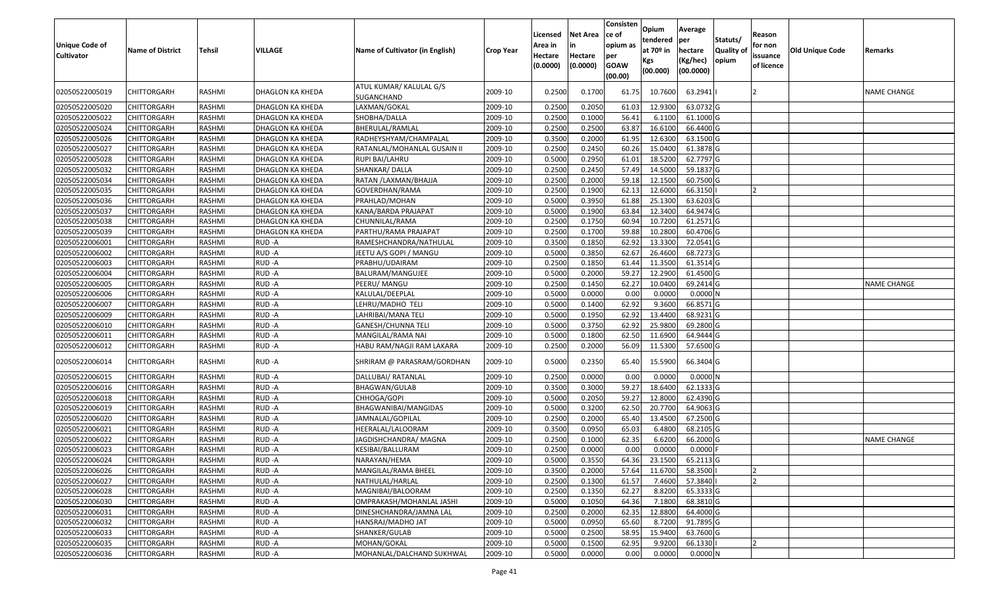| <b>Unique Code of</b><br><b>Cultivator</b> | <b>Name of District</b> | <b>Tehsil</b> | VILLAGE          | Name of Cultivator (in English)       | <b>Crop Year</b> | Licensed<br>Area in<br>Hectare<br>(0.0000) | <b>Net Area</b><br>in<br>Hectare<br>(0.0000) | Consisten<br>ce of<br>opium as<br>per<br><b>GOAW</b><br>(00.00) | Opium<br>tendered<br>at $70°$ in<br>Kgs<br>(00.000) | Average<br>per<br>hectare<br>(Kg/hec)<br>(00.0000) | Statuts/<br>Quality of<br>opium | Reason<br>for non<br>issuance<br>of licence | <b>Old Unique Code</b> | Remarks            |
|--------------------------------------------|-------------------------|---------------|------------------|---------------------------------------|------------------|--------------------------------------------|----------------------------------------------|-----------------------------------------------------------------|-----------------------------------------------------|----------------------------------------------------|---------------------------------|---------------------------------------------|------------------------|--------------------|
| 02050522005019                             | CHITTORGARH             | RASHMI        | DHAGLON KA KHEDA | ATUL KUMAR/ KALULAL G/S<br>SUGANCHAND | 2009-10          | 0.2500                                     | 0.1700                                       | 61.75                                                           | 10.7600                                             | 63.2941                                            |                                 |                                             |                        | <b>NAME CHANGE</b> |
| 02050522005020                             | CHITTORGARH             | RASHMI        | DHAGLON KA KHEDA | LAXMAN/GOKAL                          | 2009-10          | 0.2500                                     | 0.2050                                       | 61.03                                                           | 12.9300                                             | 63.0732 G                                          |                                 |                                             |                        |                    |
| 02050522005022                             | <b>CHITTORGARH</b>      | RASHMI        | DHAGLON KA KHEDA | SHOBHA/DALLA                          | 2009-10          | 0.2500                                     | 0.1000                                       | 56.41                                                           | 6.1100                                              | 61.1000G                                           |                                 |                                             |                        |                    |
| 02050522005024                             | <b>CHITTORGARH</b>      | RASHMI        | DHAGLON KA KHEDA | BHERULAL/RAMLAL                       | 2009-10          | 0.2500                                     | 0.2500                                       | 63.87                                                           | 16.6100                                             | 66.4400 G                                          |                                 |                                             |                        |                    |
| 02050522005026                             | <b>CHITTORGARH</b>      | RASHMI        | DHAGLON KA KHEDA | RADHEYSHYAM/CHAMPALAL                 | 2009-10          | 0.3500                                     | 0.2000                                       | 61.95                                                           | 12.6300                                             | 63.1500 G                                          |                                 |                                             |                        |                    |
| 02050522005027                             | CHITTORGARH             | RASHMI        | DHAGLON KA KHEDA | RATANLAL/MOHANLAL GUSAIN II           | 2009-10          | 0.2500                                     | 0.2450                                       | 60.26                                                           | 15.0400                                             | 61.3878 G                                          |                                 |                                             |                        |                    |
| 02050522005028                             | CHITTORGARH             | RASHMI        | DHAGLON KA KHEDA | RUPI BAI/LAHRU                        | 2009-10          | 0.5000                                     | 0.2950                                       | 61.01                                                           | 18.5200                                             | 62.7797 G                                          |                                 |                                             |                        |                    |
| 02050522005032                             | CHITTORGARH             | RASHMI        | DHAGLON KA KHEDA | SHANKAR/DALLA                         | 2009-10          | 0.2500                                     | 0.2450                                       | 57.49                                                           | 14.5000                                             | 59.1837 G                                          |                                 |                                             |                        |                    |
| 02050522005034                             | CHITTORGARH             | RASHMI        | DHAGLON KA KHEDA | RATAN / LAXMAN/BHAJJA                 | 2009-10          | 0.2500                                     | 0.2000                                       | 59.18                                                           | 12.1500                                             | 60.7500 G                                          |                                 |                                             |                        |                    |
| 02050522005035                             | CHITTORGARH             | RASHMI        | DHAGLON KA KHEDA | GOVERDHAN/RAMA                        | 2009-10          | 0.2500                                     | 0.1900                                       | 62.13                                                           | 12.6000                                             | 66.3150                                            |                                 |                                             |                        |                    |
| 02050522005036                             | CHITTORGARH             | RASHMI        | DHAGLON KA KHEDA | PRAHLAD/MOHAN                         | 2009-10          | 0.5000                                     | 0.3950                                       | 61.88                                                           | 25.1300                                             | 63.6203 G                                          |                                 |                                             |                        |                    |
| 02050522005037                             | <b>CHITTORGARH</b>      | RASHMI        | DHAGLON KA KHEDA | KANA/BARDA PRAJAPAT                   | 2009-10          | 0.5000                                     | 0.1900                                       | 63.84                                                           | 12.3400                                             | 64.9474 G                                          |                                 |                                             |                        |                    |
| 02050522005038                             | CHITTORGARH             | RASHMI        | DHAGLON KA KHEDA | CHUNNILAL/RAMA                        | 2009-10          | 0.2500                                     | 0.1750                                       | 60.94                                                           | 10.7200                                             | 61.2571 G                                          |                                 |                                             |                        |                    |
| 02050522005039                             | CHITTORGARH             | RASHMI        | DHAGLON KA KHEDA | PARTHU/RAMA PRAJAPAT                  | 2009-10          | 0.2500                                     | 0.1700                                       | 59.88                                                           | 10.2800                                             | 60.4706 G                                          |                                 |                                             |                        |                    |
| 02050522006001                             | CHITTORGARH             | RASHMI        | RUD-A            | RAMESHCHANDRA/NATHULAL                | 2009-10          | 0.3500                                     | 0.1850                                       | 62.92                                                           | 13.3300                                             | 72.0541G                                           |                                 |                                             |                        |                    |
| 02050522006002                             | CHITTORGARH             | RASHMI        | RUD-A            | JEETU A/S GOPI / MANGU                | 2009-10          | 0.5000                                     | 0.3850                                       | 62.67                                                           | 26.4600                                             | 68.7273 G                                          |                                 |                                             |                        |                    |
| 02050522006003                             | CHITTORGARH             | RASHMI        | RUD-A            | PRABHU/UDAIRAM                        | 2009-10          | 0.2500                                     | 0.1850                                       | 61.44                                                           | 11.3500                                             | 61.3514 G                                          |                                 |                                             |                        |                    |
| 02050522006004                             | <b>CHITTORGARH</b>      | RASHMI        | RUD-A            | BALURAM/MANGUJEE                      | 2009-10          | 0.5000                                     | 0.2000                                       | 59.27                                                           | 12.2900                                             | 61.4500 G                                          |                                 |                                             |                        |                    |
| 02050522006005                             | CHITTORGARH             | RASHMI        | RUD-A            | PEERU/ MANGU                          | 2009-10          | 0.2500                                     | 0.1450                                       | 62.27                                                           | 10.0400                                             | 69.2414 G                                          |                                 |                                             |                        | <b>NAME CHANGE</b> |
| 02050522006006                             | CHITTORGARH             | RASHMI        | RUD-A            | KALULAL/DEEPLAL                       | 2009-10          | 0.5000                                     | 0.0000                                       | 0.00                                                            | 0.0000                                              | 0.0000N                                            |                                 |                                             |                        |                    |
| 02050522006007                             | <b>CHITTORGARH</b>      | RASHMI        | RUD-A            | LEHRU/MADHO TELI                      | 2009-10          | 0.5000                                     | 0.1400                                       | 62.92                                                           | 9.3600                                              | 66.8571 G                                          |                                 |                                             |                        |                    |
| 02050522006009                             | CHITTORGARH             | RASHMI        | RUD-A            | LAHRIBAI/MANA TELI                    | 2009-10          | 0.5000                                     | 0.1950                                       | 62.92                                                           | 13.4400                                             | 68.9231 G                                          |                                 |                                             |                        |                    |
| 02050522006010                             | CHITTORGARH             | RASHMI        | RUD-A            | GANESH/CHUNNA TELI                    | 2009-10          | 0.5000                                     | 0.3750                                       | 62.92                                                           | 25.9800                                             | 69.2800 G                                          |                                 |                                             |                        |                    |
| 02050522006011                             | CHITTORGARH             | RASHMI        | RUD-A            | MANGILAL/RAMA NAI                     | 2009-10          | 0.5000                                     | 0.1800                                       | 62.50                                                           | 11.6900                                             | 64.9444 G                                          |                                 |                                             |                        |                    |
| 02050522006012                             | CHITTORGARH             | RASHMI        | RUD-A            | HABU RAM/NAGJI RAM LAKARA             | 2009-10          | 0.2500                                     | 0.2000                                       | 56.09                                                           | 11.5300                                             | 57.6500 G                                          |                                 |                                             |                        |                    |
| 02050522006014                             | CHITTORGARH             | RASHMI        | RUD-A            | SHRIRAM @ PARASRAM/GORDHAN            | 2009-10          | 0.5000                                     | 0.2350                                       | 65.40                                                           | 15.5900                                             | 66.3404 G                                          |                                 |                                             |                        |                    |
| 02050522006015                             | <b>CHITTORGARH</b>      | RASHMI        | RUD-A            | DALLUBAI/ RATANLAL                    | 2009-10          | 0.2500                                     | 0.0000                                       | 0.00                                                            | 0.0000                                              | 0.0000N                                            |                                 |                                             |                        |                    |
| 02050522006016                             | CHITTORGARH             | RASHMI        | RUD-A            | BHAGWAN/GULAB                         | 2009-10          | 0.3500                                     | 0.3000                                       | 59.27                                                           | 18.6400                                             | 62.1333 G                                          |                                 |                                             |                        |                    |
| 02050522006018                             | <b>CHITTORGARH</b>      | RASHMI        | RUD-A            | CHHOGA/GOPI                           | 2009-10          | 0.5000                                     | 0.2050                                       | 59.27                                                           | 12.8000                                             | 62.4390 G                                          |                                 |                                             |                        |                    |
| 02050522006019                             | CHITTORGARH             | RASHMI        | RUD-A            | BHAGWANIBAI/MANGIDAS                  | 2009-10          | 0.5000                                     | 0.3200                                       | 62.50                                                           | 20.7700                                             | 64.9063 G                                          |                                 |                                             |                        |                    |
| 02050522006020                             | CHITTORGARH             | RASHMI        | RUD-A            | JAMNALAL/GOPILAL                      | 2009-10          | 0.2500                                     | 0.2000                                       | 65.40                                                           | 13.4500                                             | 67.2500 G                                          |                                 |                                             |                        |                    |
| 02050522006021                             | CHITTORGARH             | RASHMI        | RUD-A            | HEERALAL/LALOORAM                     | 2009-10          | 0.3500                                     | 0.0950                                       | 65.03                                                           | 6.4800                                              | 68.2105 G                                          |                                 |                                             |                        |                    |
| 02050522006022                             | CHITTORGARH             | RASHMI        | RUD-A            | JAGDISHCHANDRA/ MAGNA                 | 2009-10          | 0.2500                                     | 0.1000                                       | 62.35                                                           | 6.6200                                              | 66.2000 G                                          |                                 |                                             |                        | <b>NAME CHANGE</b> |
| 02050522006023                             | CHITTORGARH             | RASHMI        | RUD-A            | KESIBAI/BALLURAM                      | 2009-10          | 0.2500                                     | 0.0000                                       | 0.00                                                            | 0.0000                                              | 0.0000                                             |                                 |                                             |                        |                    |
| 02050522006024                             | <b>CHITTORGARH</b>      | RASHMI        | RUD-A            | NARAYAN/HEMA                          | 2009-10          | 0.5000                                     | 0.3550                                       | 64.36                                                           | 23.1500                                             | 65.2113 G                                          |                                 |                                             |                        |                    |
| 02050522006026                             | <b>CHITTORGARH</b>      | RASHMI        | RUD-A            | MANGILAL/RAMA BHEEL                   | 2009-10          | 0.3500                                     | 0.2000                                       | 57.64                                                           | 11.6700                                             | 58.3500                                            |                                 |                                             |                        |                    |
| 02050522006027                             | <b>CHITTORGARH</b>      | RASHMI        | RUD-A            | NATHULAL/HARLAL                       | 2009-10          | 0.2500                                     | 0.1300                                       | 61.57                                                           | 7.4600                                              | 57.3840                                            |                                 |                                             |                        |                    |
| 02050522006028                             | <b>CHITTORGARH</b>      | RASHMI        | RUD-A            | MAGNIBAI/BALOORAM                     | 2009-10          | 0.2500                                     | 0.1350                                       | 62.27                                                           | 8.8200                                              | 65.3333 G                                          |                                 |                                             |                        |                    |
| 02050522006030                             | <b>CHITTORGARH</b>      | RASHMI        | RUD-A            | OMPRAKASH/MOHANLAL JASHI              | 2009-10          | 0.5000                                     | 0.1050                                       | 64.36                                                           | 7.1800                                              | 68.3810 G                                          |                                 |                                             |                        |                    |
| 02050522006031                             | <b>CHITTORGARH</b>      | RASHMI        | RUD-A            | DINESHCHANDRA/JAMNA LAL               | 2009-10          | 0.2500                                     | 0.2000                                       | 62.35                                                           | 12.8800                                             | 64.4000 G                                          |                                 |                                             |                        |                    |
| 02050522006032                             | <b>CHITTORGARH</b>      | RASHMI        | RUD-A            | HANSRAJ/MADHO JAT                     | 2009-10          | 0.5000                                     | 0.0950                                       | 65.60                                                           | 8.7200                                              | 91.7895 G                                          |                                 |                                             |                        |                    |
| 02050522006033                             | <b>CHITTORGARH</b>      | RASHMI        | RUD-A            | SHANKER/GULAB                         | 2009-10          | 0.5000                                     | 0.2500                                       | 58.95                                                           | 15.9400                                             | 63.7600 G                                          |                                 |                                             |                        |                    |
| 02050522006035                             | CHITTORGARH             | RASHMI        | RUD-A            | MOHAN/GOKAL                           | 2009-10          | 0.5000                                     | 0.1500                                       | 62.95                                                           | 9.9200                                              | 66.1330                                            |                                 |                                             |                        |                    |
| 02050522006036                             | <b>CHITTORGARH</b>      | RASHMI        | RUD-A            | MOHANLAL/DALCHAND SUKHWAL             | 2009-10          | 0.5000                                     | 0.0000                                       | 0.00                                                            | 0.0000                                              | 0.0000N                                            |                                 |                                             |                        |                    |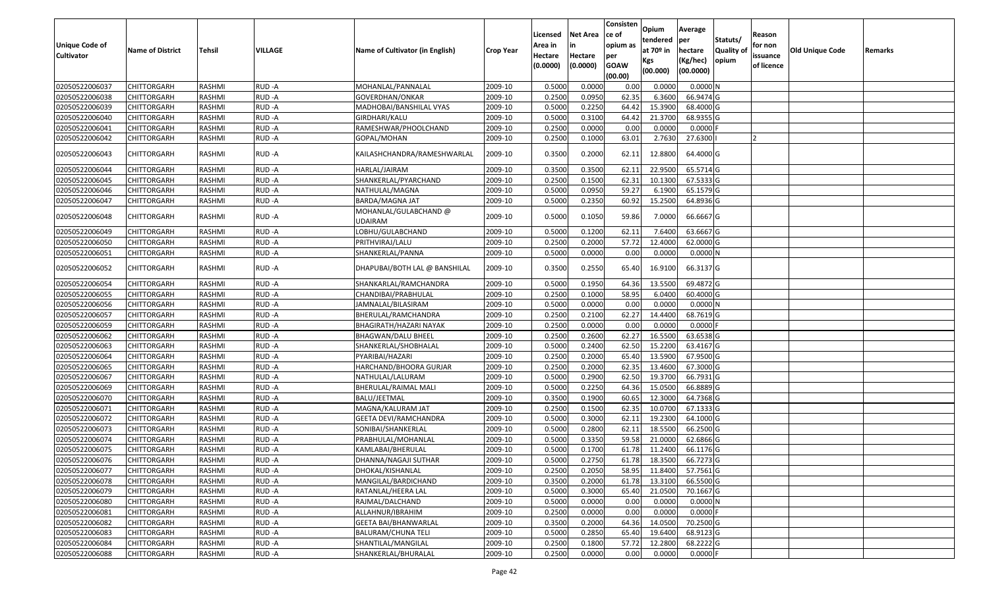| <b>Unique Code of</b><br><b>Cultivator</b> | <b>Name of District</b> | <b>Tehsil</b> | <b>VILLAGE</b> | Name of Cultivator (in English)         | Crop Year | Licensed<br>Area in<br>Hectare<br>(0.0000) | <b>Net Area</b><br>Hectare<br>(0.0000) | Consisten<br>ce of<br>opium as<br>per<br><b>GOAW</b><br>(00.00) | <b>Opium</b><br>tendered<br>at 70º in<br>Kgs<br>(00.000) | Average<br>per<br>hectare<br>(Kg/hec)<br>(00.0000) | Statuts/<br>Quality of<br>opium | Reason<br>for non<br>issuance<br>of licence | Old Unique Code | Remarks |
|--------------------------------------------|-------------------------|---------------|----------------|-----------------------------------------|-----------|--------------------------------------------|----------------------------------------|-----------------------------------------------------------------|----------------------------------------------------------|----------------------------------------------------|---------------------------------|---------------------------------------------|-----------------|---------|
| 02050522006037                             | <b>CHITTORGARH</b>      | RASHMI        | RUD-A          | MOHANLAL/PANNALAL                       | 2009-10   | 0.5000                                     | 0.0000                                 | 0.00                                                            | 0.0000                                                   | 0.0000N                                            |                                 |                                             |                 |         |
| 02050522006038                             | <b>CHITTORGARH</b>      | RASHMI        | RUD-A          | GOVERDHAN/ONKAR                         | 2009-10   | 0.2500                                     | 0.0950                                 | 62.35                                                           | 6.3600                                                   | 66.9474 G                                          |                                 |                                             |                 |         |
| 02050522006039                             | <b>CHITTORGARH</b>      | RASHMI        | RUD-A          | MADHOBAI/BANSHILAL VYAS                 | 2009-10   | 0.5000                                     | 0.2250                                 | 64.42                                                           | 15.3900                                                  | 68.4000 G                                          |                                 |                                             |                 |         |
| 02050522006040                             | CHITTORGARH             | <b>RASHMI</b> | RUD-A          | GIRDHARI/KALU                           | 2009-10   | 0.5000                                     | 0.3100                                 | 64.42                                                           | 21.3700                                                  | 68.9355 G                                          |                                 |                                             |                 |         |
| 02050522006041                             | <b>CHITTORGARH</b>      | RASHMI        | RUD-A          | RAMESHWAR/PHOOLCHAND                    | 2009-10   | 0.2500                                     | 0.0000                                 | 0.00                                                            | 0.0000                                                   | $0.0000$ F                                         |                                 |                                             |                 |         |
| 02050522006042                             | <b>CHITTORGARH</b>      | RASHMI        | RUD-A          | GOPAL/MOHAN                             | 2009-10   | 0.2500                                     | 0.1000                                 | 63.01                                                           | 2.7630                                                   | 27.6300                                            |                                 |                                             |                 |         |
| 02050522006043                             | <b>CHITTORGARH</b>      | RASHMI        | RUD-A          | KAILASHCHANDRA/RAMESHWARLAL             | 2009-10   | 0.3500                                     | 0.2000                                 | 62.11                                                           | 12.8800                                                  | 64.4000 G                                          |                                 |                                             |                 |         |
| 02050522006044                             | <b>CHITTORGARH</b>      | <b>RASHMI</b> | RUD-A          | HARLAL/JAIRAM                           | 2009-10   | 0.3500                                     | 0.3500                                 | 62.11                                                           | 22.9500                                                  | 65.5714 G                                          |                                 |                                             |                 |         |
| 02050522006045                             | <b>CHITTORGARH</b>      | RASHMI        | RUD-A          | SHANKERLAL/PYARCHAND                    | 2009-10   | 0.2500                                     | 0.1500                                 | 62.31                                                           | 10.1300                                                  | 67.5333 G                                          |                                 |                                             |                 |         |
| 02050522006046                             | <b>CHITTORGARH</b>      | RASHMI        | RUD-A          | NATHULAL/MAGNA                          | 2009-10   | 0.5000                                     | 0.0950                                 | 59.27                                                           | 6.1900                                                   | 65.1579 G                                          |                                 |                                             |                 |         |
| 02050522006047                             | <b>CHITTORGARH</b>      | RASHMI        | RUD-A          | BARDA/MAGNA JAT                         | 2009-10   | 0.5000                                     | 0.2350                                 | 60.92                                                           | 15.2500                                                  | 64.8936 G                                          |                                 |                                             |                 |         |
| 02050522006048                             | <b>CHITTORGARH</b>      | RASHMI        | RUD-A          | MOHANLAL/GULABCHAND @<br><b>UDAIRAM</b> | 2009-10   | 0.5000                                     | 0.1050                                 | 59.86                                                           | 7.0000                                                   | 66.6667 G                                          |                                 |                                             |                 |         |
| 02050522006049                             | <b>CHITTORGARH</b>      | RASHMI        | RUD-A          | LOBHU/GULABCHAND                        | 2009-10   | 0.5000                                     | 0.1200                                 | 62.11                                                           | 7.6400                                                   | 63.6667 G                                          |                                 |                                             |                 |         |
| 02050522006050                             | <b>CHITTORGARH</b>      | RASHMI        | RUD-A          | PRITHVIRAJ/LALU                         | 2009-10   | 0.2500                                     | 0.2000                                 | 57.72                                                           | 12.4000                                                  | 62.0000 G                                          |                                 |                                             |                 |         |
| 02050522006051                             | <b>CHITTORGARH</b>      | RASHMI        | RUD-A          | SHANKERLAL/PANNA                        | 2009-10   | 0.5000                                     | 0.0000                                 | 0.00                                                            | 0.0000                                                   | 0.0000N                                            |                                 |                                             |                 |         |
| 02050522006052                             | CHITTORGARH             | RASHMI        | RUD-A          | DHAPUBAI/BOTH LAL @ BANSHILAL           | 2009-10   | 0.3500                                     | 0.2550                                 | 65.40                                                           | 16.9100                                                  | 66.3137 G                                          |                                 |                                             |                 |         |
| 02050522006054                             | <b>CHITTORGARH</b>      | RASHMI        | RUD-A          | SHANKARLAL/RAMCHANDRA                   | 2009-10   | 0.5000                                     | 0.1950                                 | 64.36                                                           | 13.5500                                                  | 69.4872 G                                          |                                 |                                             |                 |         |
| 02050522006055                             | CHITTORGARH             | RASHMI        | RUD-A          | CHANDIBAI/PRABHULAL                     | 2009-10   | 0.2500                                     | 0.1000                                 | 58.95                                                           | 6.0400                                                   | 60.4000 G                                          |                                 |                                             |                 |         |
| 02050522006056                             | <b>CHITTORGARH</b>      | RASHMI        | RUD-A          | JAMNALAL/BILASIRAM                      | 2009-10   | 0.5000                                     | 0.0000                                 | 0.00                                                            | 0.0000                                                   | 0.0000N                                            |                                 |                                             |                 |         |
| 02050522006057                             | <b>CHITTORGARH</b>      | RASHMI        | RUD-A          | BHERULAL/RAMCHANDRA                     | 2009-10   | 0.2500                                     | 0.2100                                 | 62.27                                                           | 14.4400                                                  | 68.7619 G                                          |                                 |                                             |                 |         |
| 02050522006059                             | <b>CHITTORGARH</b>      | RASHMI        | RUD-A          | BHAGIRATH/HAZARI NAYAK                  | 2009-10   | 0.2500                                     | 0.0000                                 | 0.00                                                            | 0.0000                                                   | $0.0000$ F                                         |                                 |                                             |                 |         |
| 02050522006062                             | <b>CHITTORGARH</b>      | <b>RASHMI</b> | RUD-A          | <b>BHAGWAN/DALU BHEEL</b>               | 2009-10   | 0.2500                                     | 0.2600                                 | 62.27                                                           | 16.5500                                                  | 63.6538 G                                          |                                 |                                             |                 |         |
| 02050522006063                             | <b>CHITTORGARH</b>      | <b>RASHMI</b> | RUD-A          | SHANKERLAL/SHOBHALAL                    | 2009-10   | 0.5000                                     | 0.2400                                 | 62.50                                                           | 15.2200                                                  | 63.4167 G                                          |                                 |                                             |                 |         |
| 02050522006064                             | <b>CHITTORGARH</b>      | RASHMI        | RUD-A          | PYARIBAI/HAZARI                         | 2009-10   | 0.2500                                     | 0.2000                                 | 65.40                                                           | 13.5900                                                  | 67.9500 G                                          |                                 |                                             |                 |         |
| 02050522006065                             | <b>CHITTORGARH</b>      | RASHMI        | RUD-A          | HARCHAND/BHOORA GURJAR                  | 2009-10   | 0.2500                                     | 0.2000                                 | 62.35                                                           | 13.4600                                                  | 67.3000 G                                          |                                 |                                             |                 |         |
| 02050522006067                             | CHITTORGARH             | RASHMI        | RUD-A          | NATHULAL/LALURAM                        | 2009-10   | 0.5000                                     | 0.2900                                 | 62.50                                                           | 19.3700                                                  | 66.7931 G                                          |                                 |                                             |                 |         |
| 02050522006069                             | CHITTORGARH             | RASHMI        | RUD-A          | BHERULAL/RAIMAL MALI                    | 2009-10   | 0.5000                                     | 0.2250                                 | 64.36                                                           | 15.0500                                                  | 66.8889 G                                          |                                 |                                             |                 |         |
| 02050522006070                             | CHITTORGARH             | RASHMI        | RUD-A          | <b>BALU/JEETMAL</b>                     | 2009-10   | 0.3500                                     | 0.1900                                 | 60.65                                                           | 12.3000                                                  | 64.7368 G                                          |                                 |                                             |                 |         |
| 02050522006071                             | <b>CHITTORGARH</b>      | RASHMI        | RUD-A          | MAGNA/KALURAM JAT                       | 2009-10   | 0.2500                                     | 0.1500                                 | 62.35                                                           | 10.0700                                                  | 67.1333 G                                          |                                 |                                             |                 |         |
| 02050522006072                             | CHITTORGARH             | <b>RASHMI</b> | RUD-A          | GEETA DEVI/RAMCHANDRA                   | 2009-10   | 0.5000                                     | 0.3000                                 | 62.11                                                           | 19.2300                                                  | 64.1000 G                                          |                                 |                                             |                 |         |
| 02050522006073                             | CHITTORGARH             | RASHMI        | RUD-A          | SONIBAI/SHANKERLAL                      | 2009-10   | 0.5000                                     | 0.2800                                 | 62.11                                                           | 18.5500                                                  | 66.2500 G                                          |                                 |                                             |                 |         |
| 02050522006074                             | <b>CHITTORGARH</b>      | RASHMI        | RUD-A          | PRABHULAL/MOHANLAL                      | 2009-10   | 0.500                                      | 0.3350                                 | 59.58                                                           | 21.0000                                                  | 62.6866 G                                          |                                 |                                             |                 |         |
| 02050522006075                             | <b>CHITTORGARH</b>      | RASHMI        | RUD-A          | KAMLABAI/BHERULAL                       | 2009-10   | 0.5000                                     | 0.1700                                 | 61.78                                                           | 11.2400                                                  | 66.1176 G                                          |                                 |                                             |                 |         |
| 02050522006076                             | <b>CHITTORGARH</b>      | RASHMI        | RUD-A          | DHANNA/NAGAJI SUTHAR                    | 2009-10   | 0.5000                                     | 0.2750                                 | 61.78                                                           | 18.3500                                                  | 66.7273 G                                          |                                 |                                             |                 |         |
| 02050522006077                             | <b>CHITTORGARH</b>      | RASHMI        | RUD-A          | DHOKAL/KISHANLAL                        | 2009-10   | 0.2500                                     | 0.2050                                 | 58.95                                                           | 11.8400                                                  | 57.7561 G                                          |                                 |                                             |                 |         |
| 02050522006078                             | <b>CHITTORGARH</b>      | RASHMI        | RUD-A          | MANGILAL/BARDICHAND                     | 2009-10   | 0.3500                                     | 0.2000                                 | 61.78                                                           | 13.3100                                                  | 66.5500 G                                          |                                 |                                             |                 |         |
| 02050522006079                             | <b>CHITTORGARH</b>      | RASHMI        | RUD-A          | RATANLAL/HEERA LAL                      | 2009-10   | 0.5000                                     | 0.3000                                 | 65.40                                                           | 21.0500                                                  | 70.1667 G                                          |                                 |                                             |                 |         |
| 02050522006080                             | <b>CHITTORGARH</b>      | RASHMI        | RUD-A          | RAJMAL/DALCHAND                         | 2009-10   | 0.5000                                     | 0.0000                                 | 0.00                                                            | 0.0000                                                   | 0.0000N                                            |                                 |                                             |                 |         |
| 02050522006081                             | <b>CHITTORGARH</b>      | RASHMI        | RUD-A          | ALLAHNUR/IBRAHIM                        | 2009-10   | 0.2500                                     | 0.0000                                 | 0.00                                                            | 0.0000                                                   | $0.0000$ F                                         |                                 |                                             |                 |         |
| 02050522006082                             | <b>CHITTORGARH</b>      | RASHMI        | RUD-A          | <b>GEETA BAI/BHANWARLAL</b>             | 2009-10   | 0.3500                                     | 0.2000                                 | 64.36                                                           | 14.0500                                                  | $\overline{70.2500}$ G                             |                                 |                                             |                 |         |
| 02050522006083                             | <b>CHITTORGARH</b>      | RASHMI        | RUD-A          | <b>BALURAM/CHUNA TELI</b>               | 2009-10   | 0.5000                                     | 0.2850                                 | 65.40                                                           | 19.6400                                                  | 68.9123 G                                          |                                 |                                             |                 |         |
| 02050522006084                             | <b>CHITTORGARH</b>      | RASHMI        | RUD-A          | SHANTILAL/MANGILAL                      | 2009-10   | 0.2500                                     | 0.1800                                 | 57.72                                                           | 12.2800                                                  | 68.2222 G                                          |                                 |                                             |                 |         |
| 02050522006088                             | <b>CHITTORGARH</b>      | RASHMI        | RUD-A          | SHANKERLAL/BHURALAL                     | 2009-10   | 0.2500                                     | 0.0000                                 | 0.00                                                            | 0.0000                                                   | $0.0000$ F                                         |                                 |                                             |                 |         |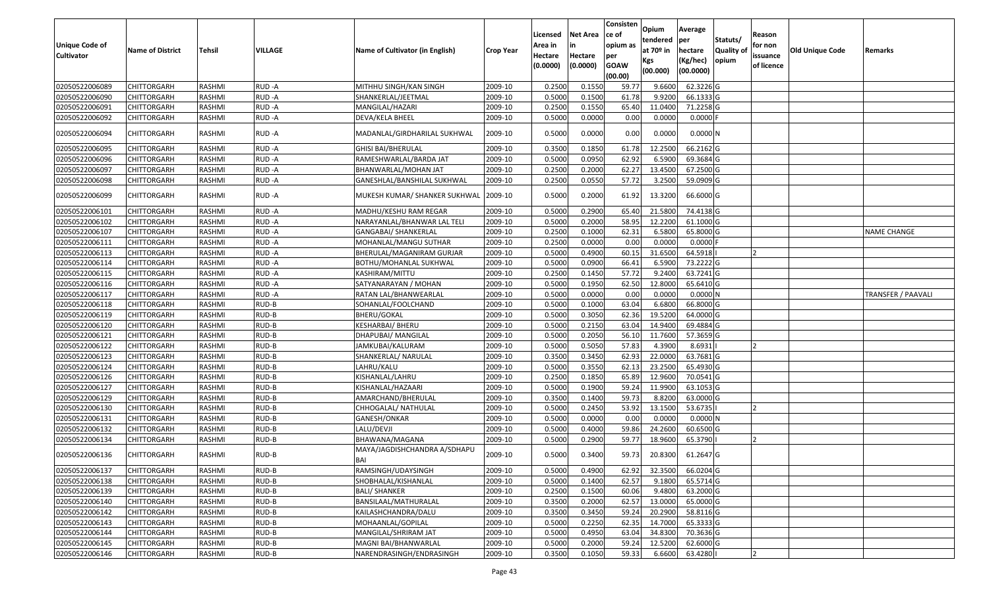| Unique Code of<br><b>Cultivator</b> | <b>Name of District</b> | Tehsil        | VILLAGE | Name of Cultivator (in English)            | <b>Crop Year</b> | Licensed<br>Area in<br>Hectare<br>(0.0000) | Net Area<br>in<br>Hectare<br>(0.0000) | Consisten<br>ce of<br>opium as<br>per<br><b>GOAW</b><br>(00.00) | Opium<br>tendered<br>at 70º in<br>Kgs<br>(00.000) | Average<br>per<br>hectare<br>(Kg/hec)<br>(00.0000) | Statuts/<br><b>Quality of</b><br>opium | Reason<br>for non<br>issuance<br>of licence | <b>Old Unique Code</b> | Remarks            |
|-------------------------------------|-------------------------|---------------|---------|--------------------------------------------|------------------|--------------------------------------------|---------------------------------------|-----------------------------------------------------------------|---------------------------------------------------|----------------------------------------------------|----------------------------------------|---------------------------------------------|------------------------|--------------------|
| 02050522006089                      | <b>CHITTORGARH</b>      | RASHMI        | RUD-A   | MITHHU SINGH/KAN SINGH                     | 2009-10          | 0.2500                                     | 0.1550                                | 59.77                                                           | 9.6600                                            | 62.3226 G                                          |                                        |                                             |                        |                    |
| 02050522006090                      | CHITTORGARH             | RASHMI        | RUD-A   | SHANKERLAL/JEETMAL                         | 2009-10          | 0.5000                                     | 0.1500                                | 61.78                                                           | 9.9200                                            | 66.1333 G                                          |                                        |                                             |                        |                    |
| 02050522006091                      | CHITTORGARH             | RASHMI        | RUD-A   | MANGILAL/HAZARI                            | 2009-10          | 0.2500                                     | 0.1550                                | 65.40                                                           | 11.0400                                           | 71.2258 G                                          |                                        |                                             |                        |                    |
| 02050522006092                      | CHITTORGARH             | RASHMI        | RUD-A   | DEVA/KELA BHEEL                            | 2009-10          | 0.5000                                     | 0.0000                                | 0.00                                                            | 0.0000                                            | $0.0000$ F                                         |                                        |                                             |                        |                    |
| 02050522006094                      | CHITTORGARH             | RASHMI        | RUD -A  | MADANLAL/GIRDHARILAL SUKHWAL               | 2009-10          | 0.5000                                     | 0.0000                                | 0.00                                                            | 0.0000                                            | $0.0000$ N                                         |                                        |                                             |                        |                    |
| 02050522006095                      | CHITTORGARH             | RASHMI        | RUD-A   | <b>GHISI BAI/BHERULAL</b>                  | 2009-10          | 0.3500                                     | 0.1850                                | 61.78                                                           | 12.2500                                           | 66.2162 G                                          |                                        |                                             |                        |                    |
| 02050522006096                      | <b>CHITTORGARH</b>      | <b>RASHMI</b> | RUD-A   | RAMESHWARLAL/BARDA JAT                     | 2009-10          | 0.5000                                     | 0.0950                                | 62.92                                                           | 6.5900                                            | 69.3684 G                                          |                                        |                                             |                        |                    |
| 02050522006097                      | CHITTORGARH             | RASHMI        | RUD-A   | BHANWARLAL/MOHAN JAT                       | 2009-10          | 0.2500                                     | 0.2000                                | 62.27                                                           | 13.4500                                           | 67.2500 G                                          |                                        |                                             |                        |                    |
| 02050522006098                      | <b>CHITTORGARH</b>      | RASHMI        | RUD-A   | GANESHLAL/BANSHILAL SUKHWAL                | 2009-10          | 0.2500                                     | 0.0550                                | 57.72                                                           | 3.2500                                            | 59.0909 G                                          |                                        |                                             |                        |                    |
| 02050522006099                      | CHITTORGARH             | RASHMI        | RUD-A   | MUKESH KUMAR/ SHANKER SUKHWAL              | 2009-10          | 0.5000                                     | 0.2000                                | 61.92                                                           | 13.3200                                           | 66.6000 G                                          |                                        |                                             |                        |                    |
| 02050522006101                      | CHITTORGARH             | RASHMI        | RUD-A   | MADHU/KESHU RAM REGAR                      | 2009-10          | 0.5000                                     | 0.2900                                | 65.40                                                           | 21.5800                                           | 74.4138 G                                          |                                        |                                             |                        |                    |
| 02050522006102                      | CHITTORGARH             | RASHMI        | RUD-A   | NARAYANLAL/BHANWAR LAL TELI                | 2009-10          | 0.5000                                     | 0.2000                                | 58.95                                                           | 12.2200                                           | 61.1000 G                                          |                                        |                                             |                        |                    |
| 02050522006107                      | CHITTORGARH             | RASHMI        | RUD-A   | GANGABAI/ SHANKERLAL                       | 2009-10          | 0.2500                                     | 0.1000                                | 62.31                                                           | 6.5800                                            | 65.8000 G                                          |                                        |                                             |                        | <b>NAME CHANGE</b> |
| 02050522006111                      | CHITTORGARH             | RASHMI        | RUD-A   | MOHANLAL/MANGU SUTHAR                      | 2009-10          | 0.2500                                     | 0.0000                                | 0.00                                                            | 0.0000                                            | $0.0000$ F                                         |                                        |                                             |                        |                    |
| 02050522006113                      | CHITTORGARH             | RASHMI        | RUD-A   | BHERULAL/MAGANIRAM GURJAR                  | 2009-10          | 0.5000                                     | 0.4900                                | 60.15                                                           | 31.6500                                           | 64.5918                                            |                                        |                                             |                        |                    |
| 02050522006114                      | CHITTORGARH             | RASHMI        | RUD-A   | BOTHU/MOHANLAL SUKHWAL                     | 2009-10          | 0.5000                                     | 0.0900                                | 66.41                                                           | 6.5900                                            | 73.2222 G                                          |                                        |                                             |                        |                    |
| 02050522006115                      | CHITTORGARH             | RASHMI        | RUD-A   | KASHIRAM/MITTU                             | 2009-10          | 0.2500                                     | 0.1450                                | 57.72                                                           | 9.2400                                            | 63.7241 G                                          |                                        |                                             |                        |                    |
| 02050522006116                      | CHITTORGARH             | RASHMI        | RUD-A   | SATYANARAYAN / MOHAN                       | 2009-10          | 0.5000                                     | 0.1950                                | 62.50                                                           | 12.8000                                           | 65.6410 G                                          |                                        |                                             |                        |                    |
| 02050522006117                      | <b>CHITTORGARH</b>      | RASHMI        | RUD-A   | RATAN LAL/BHANWEARLAL                      | 2009-10          | 0.5000                                     | 0.0000                                | 0.00                                                            | 0.0000                                            | 0.0000N                                            |                                        |                                             |                        | TRANSFER / PAAVALI |
| 02050522006118                      | CHITTORGARH             | RASHMI        | RUD-B   | SOHANLAL/FOOLCHAND                         | 2009-10          | 0.5000                                     | 0.1000                                | 63.04                                                           | 6.6800                                            | 66.8000 G                                          |                                        |                                             |                        |                    |
| 02050522006119                      | CHITTORGARH             | RASHMI        | RUD-B   | <b>BHERU/GOKAL</b>                         | 2009-10          | 0.5000                                     | 0.3050                                | 62.36                                                           | 19.5200                                           | 64.0000 G                                          |                                        |                                             |                        |                    |
| 02050522006120                      | CHITTORGARH             | RASHMI        | RUD-B   | KESHARBAI/ BHERU                           | 2009-10          | 0.5000                                     | 0.2150                                | 63.04                                                           | 14.9400                                           | 69.4884 G                                          |                                        |                                             |                        |                    |
| 02050522006121                      | CHITTORGARH             | RASHMI        | RUD-B   | DHAPUBAI/ MANGILAL                         | 2009-10          | 0.5000                                     | 0.2050                                | 56.10                                                           | 11.7600                                           | 57.3659 G                                          |                                        |                                             |                        |                    |
| 02050522006122                      | CHITTORGARH             | <b>RASHMI</b> | RUD-B   | JAMKUBAI/KALURAM                           | 2009-10          | 0.5000                                     | 0.5050                                | 57.83                                                           | 4.3900                                            | 8.6931                                             |                                        |                                             |                        |                    |
| 02050522006123                      | CHITTORGARH             | RASHMI        | RUD-B   | SHANKERLAL/ NARULAL                        | 2009-10          | 0.3500                                     | 0.3450                                | 62.93                                                           | 22.0000                                           | 63.7681 G                                          |                                        |                                             |                        |                    |
| 02050522006124                      | CHITTORGARH             | RASHMI        | RUD-B   | LAHRU/KALU                                 | 2009-10          | 0.5000                                     | 0.3550                                | 62.13                                                           | 23.2500                                           | 65.4930 G                                          |                                        |                                             |                        |                    |
| 02050522006126                      | <b>CHITTORGARH</b>      | <b>RASHMI</b> | RUD-B   | KISHANLAL/LAHRU                            | 2009-10          | 0.2500                                     | 0.1850                                | 65.89                                                           | 12.9600                                           | 70.0541 G                                          |                                        |                                             |                        |                    |
| 02050522006127                      | CHITTORGARH             | RASHMI        | RUD-B   | KISHANLAL/HAZAARI                          | 2009-10          | 0.5000                                     | 0.1900                                | 59.24                                                           | 11.9900                                           | 63.1053 G                                          |                                        |                                             |                        |                    |
| 02050522006129                      | CHITTORGARH             | RASHMI        | RUD-B   | AMARCHAND/BHERULAL                         | 2009-10          | 0.3500                                     | 0.1400                                | 59.73                                                           | 8.8200                                            | 63.0000 G                                          |                                        |                                             |                        |                    |
| 02050522006130                      | <b>CHITTORGARH</b>      | RASHMI        | RUD-B   | CHHOGALAL/ NATHULAL                        | 2009-10          | 0.5000                                     | 0.2450                                | 53.92                                                           | 13.1500                                           | 53.6735                                            |                                        | 12                                          |                        |                    |
| 02050522006131                      | <b>CHITTORGARH</b>      | <b>RASHMI</b> | RUD-B   | GANESH/ONKAR                               | 2009-10          | 0.5000                                     | 0.0000                                | 0.00                                                            | 0.0000                                            | 0.0000N                                            |                                        |                                             |                        |                    |
| 02050522006132                      | CHITTORGARH             | RASHMI        | RUD-B   | LALU/DEVJI                                 | 2009-10          | 0.5000                                     | 0.4000                                | 59.86                                                           | 24.2600                                           | 60.6500 G                                          |                                        |                                             |                        |                    |
| 02050522006134                      | <b>CHITTORGARH</b>      | RASHMI        | RUD-B   | BHAWANA/MAGANA                             | 2009-10          | 0.5000                                     | 0.2900                                | 59.77                                                           | 18.9600                                           | 65.3790                                            |                                        | 12                                          |                        |                    |
| 02050522006136                      | CHITTORGARH             | RASHMI        | RUD-B   | MAYA/JAGDISHCHANDRA A/SDHAPU<br><b>BAI</b> | 2009-10          | 0.5000                                     | 0.3400                                | 59.73                                                           | 20.8300                                           | 61.2647 G                                          |                                        |                                             |                        |                    |
| 02050522006137                      | <b>CHITTORGARH</b>      | RASHMI        | RUD-B   | RAMSINGH/UDAYSINGH                         | 2009-10          | 0.5000                                     | 0.4900                                | 62.92                                                           | 32.3500                                           | 66.0204 G                                          |                                        |                                             |                        |                    |
| 02050522006138                      | <b>CHITTORGARH</b>      | RASHMI        | RUD-B   | SHOBHALAL/KISHANLAL                        | 2009-10          | 0.5000                                     | 0.1400                                | 62.57                                                           | 9.1800                                            | 65.5714 G                                          |                                        |                                             |                        |                    |
| 02050522006139                      | <b>CHITTORGARH</b>      | RASHMI        | RUD-B   | <b>BALI/ SHANKER</b>                       | 2009-10          | 0.2500                                     | 0.1500                                | 60.06                                                           | 9.4800                                            | 63.2000 G                                          |                                        |                                             |                        |                    |
| 02050522006140                      | <b>CHITTORGARH</b>      | RASHMI        | RUD-B   | BANSILAAL/MATHURALAL                       | 2009-10          | 0.3500                                     | 0.2000                                | 62.57                                                           | 13.0000                                           | 65.0000 G                                          |                                        |                                             |                        |                    |
| 02050522006142                      | <b>CHITTORGARH</b>      | RASHMI        | RUD-B   | KAILASHCHANDRA/DALU                        | 2009-10          | 0.3500                                     | 0.3450                                | 59.24                                                           | 20.2900                                           | 58.8116 G                                          |                                        |                                             |                        |                    |
| 02050522006143                      | <b>CHITTORGARH</b>      | RASHMI        | RUD-B   | MOHAANLAL/GOPILAL                          | 2009-10          | 0.5000                                     | 0.2250                                | 62.35                                                           | 14.7000                                           | 65.3333 G                                          |                                        |                                             |                        |                    |
| 02050522006144                      | <b>CHITTORGARH</b>      | RASHMI        | RUD-B   | MANGILAL/SHRIRAM JAT                       | 2009-10          | 0.5000                                     | 0.4950                                | 63.04                                                           | 34.8300                                           | 70.3636 G                                          |                                        |                                             |                        |                    |
| 02050522006145                      | <b>CHITTORGARH</b>      | RASHMI        | RUD-B   | MAGNI BAI/BHANWARLAL                       | 2009-10          | 0.5000                                     | 0.2000                                | 59.24                                                           | 12.5200                                           | 62.6000 G                                          |                                        |                                             |                        |                    |
| 02050522006146                      | <b>CHITTORGARH</b>      | RASHMI        | RUD-B   | NARENDRASINGH/ENDRASINGH                   | 2009-10          | 0.3500                                     | 0.1050                                | 59.33                                                           | 6.6600                                            | 63.4280                                            |                                        | 12                                          |                        |                    |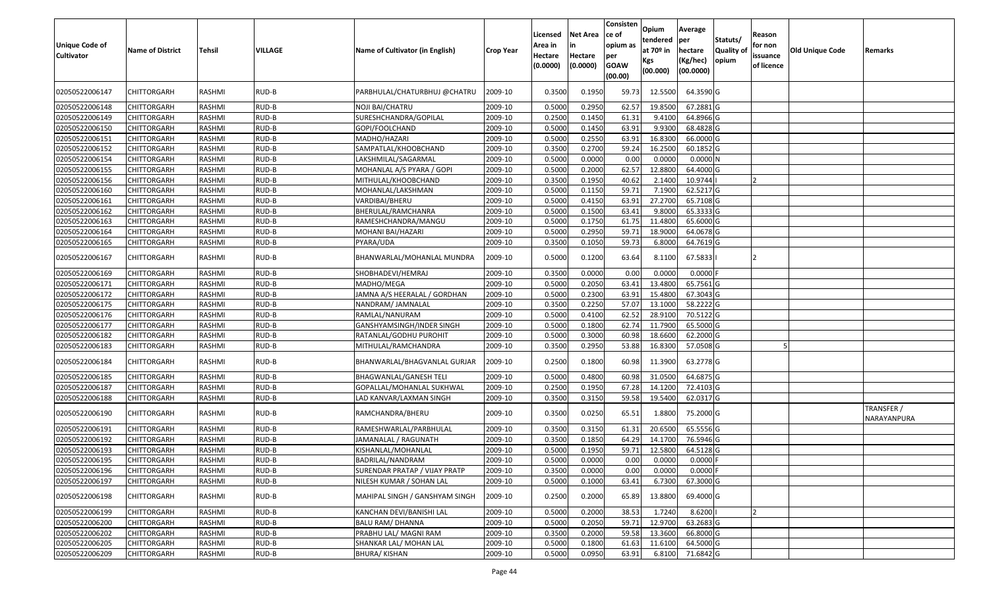| <b>Unique Code of</b><br><b>Cultivator</b> | <b>Name of District</b> | Tehsil        | VILLAGE | Name of Cultivator (in English) | <b>Crop Year</b> | Licensed<br>Area in<br>Hectare<br>(0.0000) | Net Area<br>in<br>Hectare<br>(0.0000) | Consisten<br>ce of<br>opium as<br>per<br><b>GOAW</b><br>(00.00) | Opium<br>tendered<br>at 70º in<br>Kgs<br>(00.000) | Average<br>per<br>hectare<br>(Kg/hec)<br>(00.0000) | Statuts/<br><b>Quality of</b><br>opium | Reason<br>for non<br>issuance<br>of licence | <b>Old Unique Code</b> | Remarks                   |
|--------------------------------------------|-------------------------|---------------|---------|---------------------------------|------------------|--------------------------------------------|---------------------------------------|-----------------------------------------------------------------|---------------------------------------------------|----------------------------------------------------|----------------------------------------|---------------------------------------------|------------------------|---------------------------|
| 02050522006147                             | CHITTORGARH             | RASHMI        | RUD-B   | PARBHULAL/CHATURBHUJ @CHATRU    | 2009-10          | 0.3500                                     | 0.1950                                | 59.73                                                           | 12.5500                                           | 64.3590 G                                          |                                        |                                             |                        |                           |
| 02050522006148                             | CHITTORGARH             | RASHMI        | RUD-B   | NOJI BAI/CHATRU                 | 2009-10          | 0.5000                                     | 0.2950                                | 62.57                                                           | 19.8500                                           | 67.2881 G                                          |                                        |                                             |                        |                           |
| 02050522006149                             | CHITTORGARH             | RASHMI        | RUD-B   | SURESHCHANDRA/GOPILAL           | 2009-10          | 0.2500                                     | 0.1450                                | 61.31                                                           | 9.4100                                            | 64.8966 G                                          |                                        |                                             |                        |                           |
| 02050522006150                             | CHITTORGARH             | RASHMI        | RUD-B   | GOPI/FOOLCHAND                  | 2009-10          | 0.5000                                     | 0.1450                                | 63.91                                                           | 9.9300                                            | 68.4828 G                                          |                                        |                                             |                        |                           |
| 02050522006151                             | CHITTORGARH             | RASHMI        | RUD-B   | MADHO/HAZARI                    | 2009-10          | 0.5000                                     | 0.2550                                | 63.91                                                           | 16.8300                                           | 66.0000 G                                          |                                        |                                             |                        |                           |
| 02050522006152                             | CHITTORGARH             | RASHMI        | RUD-B   | SAMPATLAL/KHOOBCHAND            | 2009-10          | 0.3500                                     | 0.2700                                | 59.24                                                           | 16.2500                                           | 60.1852 G                                          |                                        |                                             |                        |                           |
| 02050522006154                             | <b>CHITTORGARH</b>      | <b>RASHMI</b> | RUD-B   | LAKSHMILAL/SAGARMAL             | 2009-10          | 0.5000                                     | 0.0000                                | 0.00                                                            | 0.0000                                            | 0.0000N                                            |                                        |                                             |                        |                           |
| 02050522006155                             | <b>CHITTORGARH</b>      | RASHMI        | RUD-B   | MOHANLAL A/S PYARA / GOPI       | 2009-10          | 0.5000                                     | 0.2000                                | 62.57                                                           | 12.8800                                           | 64.4000 G                                          |                                        |                                             |                        |                           |
| 02050522006156                             | <b>CHITTORGARH</b>      | RASHMI        | RUD-B   | MITHULAL/KHOOBCHAND             | 2009-10          | 0.3500                                     | 0.1950                                | 40.62                                                           | 2.1400                                            | 10.9744                                            |                                        |                                             |                        |                           |
| 02050522006160                             | <b>CHITTORGARH</b>      | RASHMI        | RUD-B   | MOHANLAL/LAKSHMAN               | 2009-10          | 0.5000                                     | 0.1150                                | 59.71                                                           | 7.1900                                            | 62.5217 G                                          |                                        |                                             |                        |                           |
| 02050522006161                             | <b>CHITTORGARH</b>      | <b>RASHMI</b> | RUD-B   | VARDIBAI/BHERU                  | 2009-10          | 0.5000                                     | 0.4150                                | 63.91                                                           | 27.2700                                           | 65.7108 G                                          |                                        |                                             |                        |                           |
| 02050522006162                             | <b>CHITTORGARH</b>      | RASHMI        | RUD-B   | BHERULAL/RAMCHANRA              | 2009-10          | 0.5000                                     | 0.1500                                | 63.41                                                           | 9.8000                                            | 65.3333 G                                          |                                        |                                             |                        |                           |
| 02050522006163                             | <b>CHITTORGARH</b>      | RASHMI        | RUD-B   | RAMESHCHANDRA/MANGU             | 2009-10          | 0.5000                                     | 0.1750                                | 61.75                                                           | 11.4800                                           | 65.6000 G                                          |                                        |                                             |                        |                           |
| 02050522006164                             | CHITTORGARH             | RASHMI        | RUD-B   | MOHANI BAI/HAZARI               | 2009-10          | 0.5000                                     | 0.2950                                | 59.71                                                           | 18.9000                                           | 64.0678 G                                          |                                        |                                             |                        |                           |
| 02050522006165                             | CHITTORGARH             | RASHMI        | RUD-B   | PYARA/UDA                       | 2009-10          | 0.3500                                     | 0.1050                                | 59.73                                                           | 6.8000                                            | 64.7619 G                                          |                                        |                                             |                        |                           |
| 02050522006167                             | CHITTORGARH             | RASHMI        | RUD-B   | BHANWARLAL/MOHANLAL MUNDRA      | 2009-10          | 0.5000                                     | 0.1200                                | 63.64                                                           | 8.1100                                            | 67.5833                                            |                                        |                                             |                        |                           |
| 02050522006169                             | CHITTORGARH             | RASHMI        | RUD-B   | SHOBHADEVI/HEMRAJ               | 2009-10          | 0.3500                                     | 0.0000                                | 0.00                                                            | 0.0000                                            | $0.0000$ F                                         |                                        |                                             |                        |                           |
| 02050522006171                             | CHITTORGARH             | RASHMI        | RUD-B   | MADHO/MEGA                      | 2009-10          | 0.5000                                     | 0.2050                                | 63.41                                                           | 13.4800                                           | 65.7561 G                                          |                                        |                                             |                        |                           |
| 02050522006172                             | CHITTORGARH             | RASHMI        | RUD-B   | JAMNA A/S HEERALAL / GORDHAN    | 2009-10          | 0.5000                                     | 0.2300                                | 63.91                                                           | 15.4800                                           | 67.3043 G                                          |                                        |                                             |                        |                           |
| 02050522006175                             | CHITTORGARH             | RASHMI        | RUD-B   | NANDRAM/ JAMNALAL               | 2009-10          | 0.3500                                     | 0.2250                                | 57.07                                                           | 13.1000                                           | 58.2222 G                                          |                                        |                                             |                        |                           |
| 02050522006176                             | CHITTORGARH             | RASHMI        | RUD-B   | RAMLAL/NANURAM                  | 2009-10          | 0.5000                                     | 0.4100                                | 62.52                                                           | 28.9100                                           | 70.5122 G                                          |                                        |                                             |                        |                           |
| 02050522006177                             | CHITTORGARH             | RASHMI        | RUD-B   | GANSHYAMSINGH/INDER SINGH       | 2009-10          | 0.5000                                     | 0.1800                                | 62.74                                                           | 11.7900                                           | 65.5000 G                                          |                                        |                                             |                        |                           |
| 02050522006182                             | CHITTORGARH             | RASHMI        | RUD-B   | RATANLAL/GODHU PUROHIT          | 2009-10          | 0.5000                                     | 0.3000                                | 60.98                                                           | 18.6600                                           | 62.2000 G                                          |                                        |                                             |                        |                           |
| 02050522006183                             | CHITTORGARH             | RASHMI        | RUD-B   | MITHULAL/RAMCHANDRA             | 2009-10          | 0.3500                                     | 0.2950                                | 53.88                                                           | 16.8300                                           | 57.0508 G                                          |                                        |                                             |                        |                           |
| 02050522006184                             | CHITTORGARH             | RASHMI        | RUD-B   | BHANWARLAL/BHAGVANLAL GURJAR    | 2009-10          | 0.2500                                     | 0.1800                                | 60.98                                                           | 11.3900                                           | 63.2778 G                                          |                                        |                                             |                        |                           |
| 02050522006185                             | <b>CHITTORGARH</b>      | RASHMI        | RUD-B   | <b>BHAGWANLAL/GANESH TELI</b>   | 2009-10          | 0.5000                                     | 0.4800                                | 60.98                                                           | 31.0500                                           | 64.6875 G                                          |                                        |                                             |                        |                           |
| 02050522006187                             | <b>CHITTORGARH</b>      | RASHMI        | RUD-B   | GOPALLAL/MOHANLAL SUKHWAL       | 2009-10          | 0.2500                                     | 0.1950                                | 67.28                                                           | 14.1200                                           | 72.4103 G                                          |                                        |                                             |                        |                           |
| 02050522006188                             | CHITTORGARH             | RASHMI        | RUD-B   | LAD KANVAR/LAXMAN SINGH         | 2009-10          | 0.3500                                     | 0.3150                                | 59.58                                                           | 19.5400                                           | 62.0317 G                                          |                                        |                                             |                        |                           |
| 02050522006190                             | CHITTORGARH             | RASHMI        | RUD-B   | RAMCHANDRA/BHERU                | 2009-10          | 0.3500                                     | 0.0250                                | 65.51                                                           | 1.8800                                            | 75.2000 G                                          |                                        |                                             |                        | TRANSFER /<br>NARAYANPURA |
| 02050522006191                             | CHITTORGARH             | RASHMI        | RUD-B   | RAMESHWARLAL/PARBHULAL          | 2009-10          | 0.3500                                     | 0.3150                                | 61.31                                                           | 20.6500                                           | 65.5556 G                                          |                                        |                                             |                        |                           |
| 02050522006192                             | CHITTORGARH             | RASHMI        | RUD-B   | JAMANALAL / RAGUNATH            | 2009-10          | 0.3500                                     | 0.1850                                | 64.29                                                           | 14.1700                                           | 76.5946 G                                          |                                        |                                             |                        |                           |
| 02050522006193                             | <b>CHITTORGARH</b>      | RASHMI        | RUD-B   | KISHANLAL/MOHANLAL              | 2009-10          | 0.5000                                     | 0.1950                                | 59.71                                                           | 12.5800                                           | 64.5128 G                                          |                                        |                                             |                        |                           |
| 02050522006195                             | <b>CHITTORGARH</b>      | RASHMI        | RUD-B   | BADRILAL/NANDRAM                | 2009-10          | 0.5000                                     | 0.0000                                | 0.00                                                            | 0.0000                                            | $0.0000$ F                                         |                                        |                                             |                        |                           |
| 02050522006196                             | <b>CHITTORGARH</b>      | RASHMI        | RUD-B   | SURENDAR PRATAP / VIJAY PRATP   | 2009-10          | 0.3500                                     | 0.0000                                | 0.00                                                            | 0.0000                                            | $0.0000$ F                                         |                                        |                                             |                        |                           |
| 02050522006197                             | <b>CHITTORGARH</b>      | RASHMI        | RUD-B   | NILESH KUMAR / SOHAN LAL        | 2009-10          | 0.5000                                     | 0.1000                                | 63.41                                                           | 6.7300                                            | 67.3000 G                                          |                                        |                                             |                        |                           |
| 02050522006198                             | CHITTORGARH             | RASHMI        | RUD-B   | MAHIPAL SINGH / GANSHYAM SINGH  | 2009-10          | 0.2500                                     | 0.2000                                | 65.89                                                           | 13.8800                                           | 69.4000 G                                          |                                        |                                             |                        |                           |
| 02050522006199                             | <b>CHITTORGARH</b>      | RASHMI        | RUD-B   | KANCHAN DEVI/BANISHI LAL        | 2009-10          | 0.5000                                     | 0.2000                                | 38.53                                                           | 1.7240                                            | 8.6200                                             |                                        |                                             |                        |                           |
| 02050522006200                             | <b>CHITTORGARH</b>      | RASHMI        | RUD-B   | <b>BALU RAM/ DHANNA</b>         | 2009-10          | 0.5000                                     | 0.2050                                | 59.71                                                           | 12.9700                                           | 63.2683 G                                          |                                        |                                             |                        |                           |
| 02050522006202                             | <b>CHITTORGARH</b>      | RASHMI        | RUD-B   | PRABHU LAL/ MAGNI RAM           | 2009-10          | 0.3500                                     | 0.2000                                | 59.58                                                           | 13.3600                                           | 66.8000 G                                          |                                        |                                             |                        |                           |
| 02050522006205                             | CHITTORGARH             | RASHMI        | RUD-B   | SHANKAR LAL/ MOHAN LAL          | 2009-10          | 0.5000                                     | 0.1800                                | 61.63                                                           | 11.6100                                           | 64.5000 G                                          |                                        |                                             |                        |                           |
| 02050522006209                             | <b>CHITTORGARH</b>      | RASHMI        | RUD-B   | <b>BHURA/KISHAN</b>             | 2009-10          | 0.5000                                     | 0.0950                                | 63.91                                                           | 6.8100                                            | 71.6842 G                                          |                                        |                                             |                        |                           |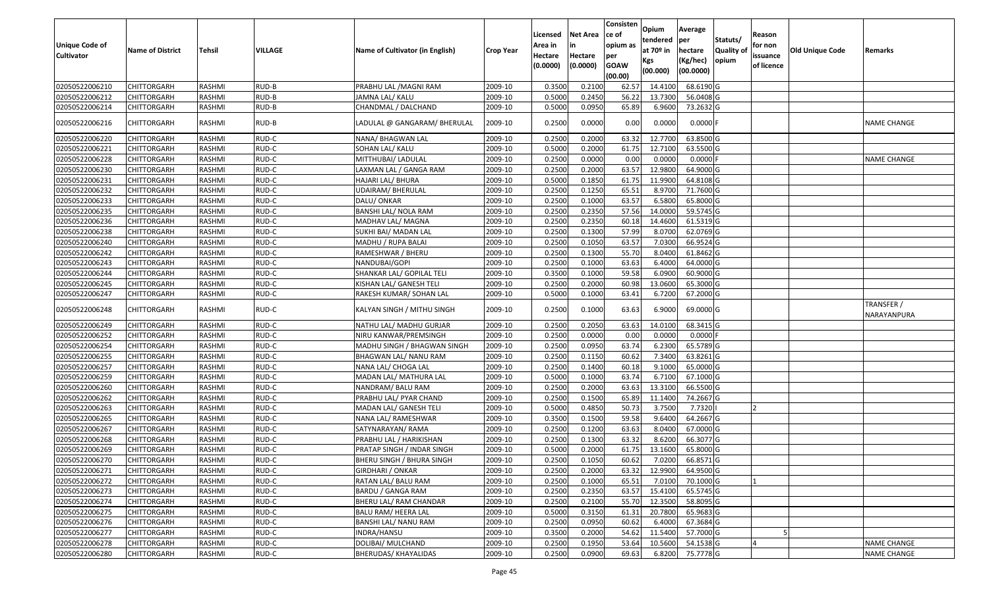| <b>Unique Code of</b><br><b>Cultivator</b> | <b>Name of District</b> | Tehsil        | VILLAGE | Name of Cultivator (in English) | <b>Crop Year</b> | Licensed<br>Area in<br>Hectare<br>(0.0000) | <b>Net Area</b><br>in<br>Hectare<br>(0.0000) | Consisten<br>ce of<br>opium as<br>per<br><b>GOAW</b><br>(00.00) | Opium<br>tendered<br>at $70°$ in<br>Kgs<br>(00.000) | Average<br>per<br>hectare<br>(Kg/hec)<br>(00.0000) | Statuts/<br><b>Quality of</b><br>opium | Reason<br>for non<br>issuance<br>of licence | <b>Old Unique Code</b> | Remarks                   |
|--------------------------------------------|-------------------------|---------------|---------|---------------------------------|------------------|--------------------------------------------|----------------------------------------------|-----------------------------------------------------------------|-----------------------------------------------------|----------------------------------------------------|----------------------------------------|---------------------------------------------|------------------------|---------------------------|
| 02050522006210                             | <b>CHITTORGARH</b>      | RASHMI        | RUD-B   | PRABHU LAL /MAGNI RAM           | 2009-10          | 0.3500                                     | 0.2100                                       | 62.57                                                           | 14.4100                                             | 68.6190 G                                          |                                        |                                             |                        |                           |
| 02050522006212                             | CHITTORGARH             | RASHMI        | RUD-B   | JAMNA LAL/ KALU                 | 2009-10          | 0.5000                                     | 0.2450                                       | 56.22                                                           | 13.7300                                             | 56.0408 G                                          |                                        |                                             |                        |                           |
| 02050522006214                             | CHITTORGARH             | RASHMI        | RUD-B   | CHANDMAL / DALCHAND             | 2009-10          | 0.5000                                     | 0.0950                                       | 65.89                                                           | 6.9600                                              | 73.2632 G                                          |                                        |                                             |                        |                           |
| 02050522006216                             | CHITTORGARH             | RASHMI        | RUD-B   | LADULAL @ GANGARAM/ BHERULAL    | 2009-10          | 0.2500                                     | 0.0000                                       | 0.00                                                            | 0.0000                                              | $0.0000$ F                                         |                                        |                                             |                        | <b>NAME CHANGE</b>        |
| 02050522006220                             | CHITTORGARH             | RASHMI        | RUD-C   | NANA/ BHAGWAN LAL               | 2009-10          | 0.2500                                     | 0.2000                                       | 63.32                                                           | 12.7700                                             | 63.8500 G                                          |                                        |                                             |                        |                           |
| 02050522006221                             | CHITTORGARH             | RASHMI        | RUD-C   | SOHAN LAL/ KALU                 | 2009-10          | 0.5000                                     | 0.2000                                       | 61.75                                                           | 12.7100                                             | 63.5500 G                                          |                                        |                                             |                        |                           |
| 02050522006228                             | CHITTORGARH             | <b>RASHMI</b> | RUD-C   | MITTHUBAI/ LADULAL              | 2009-10          | 0.2500                                     | 0.0000                                       | 0.00                                                            | 0.0000                                              | $0.0000$ F                                         |                                        |                                             |                        | <b>NAME CHANGE</b>        |
| 02050522006230                             | <b>CHITTORGARH</b>      | <b>RASHMI</b> | RUD-C   | LAXMAN LAL / GANGA RAM          | 2009-10          | 0.2500                                     | 0.2000                                       | 63.57                                                           | 12.9800                                             | 64.9000 G                                          |                                        |                                             |                        |                           |
| 02050522006231                             | <b>CHITTORGARH</b>      | RASHMI        | RUD-C   | HAJARI LAL/ BHURA               | 2009-10          | 0.5000                                     | 0.1850                                       | 61.75                                                           | 11.9900                                             | 64.8108 G                                          |                                        |                                             |                        |                           |
| 02050522006232                             | CHITTORGARH             | RASHMI        | RUD-C   | <b>UDAIRAM/ BHERULAL</b>        | 2009-10          | 0.2500                                     | 0.1250                                       | 65.51                                                           | 8.9700                                              | 71.7600 G                                          |                                        |                                             |                        |                           |
| 02050522006233                             | <b>CHITTORGARH</b>      | RASHMI        | RUD-C   | DALU/ ONKAR                     | 2009-10          | 0.2500                                     | 0.1000                                       | 63.57                                                           | 6.5800                                              | 65.8000 G                                          |                                        |                                             |                        |                           |
| 02050522006235                             | <b>CHITTORGARH</b>      | RASHMI        | RUD-C   | BANSHI LAL/ NOLA RAM            | 2009-10          | 0.2500                                     | 0.2350                                       | 57.56                                                           | 14.0000                                             | 59.5745 G                                          |                                        |                                             |                        |                           |
| 02050522006236                             | CHITTORGARH             | RASHMI        | RUD-C   | MADHAV LAL/ MAGNA               | 2009-10          | 0.2500                                     | 0.2350                                       | 60.18                                                           | 14.4600                                             | 61.5319 G                                          |                                        |                                             |                        |                           |
| 02050522006238                             | CHITTORGARH             | RASHMI        | RUD-C   | SUKHI BAI/ MADAN LAL            | 2009-10          | 0.2500                                     | 0.1300                                       | 57.99                                                           | 8.0700                                              | 62.0769 G                                          |                                        |                                             |                        |                           |
| 02050522006240                             | <b>CHITTORGARH</b>      | RASHMI        | RUD-C   | MADHU / RUPA BALAI              | 2009-10          | 0.2500                                     | 0.1050                                       | 63.57                                                           | 7.0300                                              | 66.9524 G                                          |                                        |                                             |                        |                           |
| 02050522006242                             | CHITTORGARH             | RASHMI        | RUD-C   | RAMESHWAR / BHERU               | 2009-10          | 0.2500                                     | 0.1300                                       | 55.70                                                           | 8.0400                                              | 61.8462 G                                          |                                        |                                             |                        |                           |
| 02050522006243                             | CHITTORGARH             | RASHMI        | RUD-C   | NANDUBAI/GOPI                   | 2009-10          | 0.2500                                     | 0.1000                                       | 63.63                                                           | 6.4000                                              | 64.0000 G                                          |                                        |                                             |                        |                           |
| 02050522006244                             | CHITTORGARH             | RASHMI        | RUD-C   | SHANKAR LAL/ GOPILAL TELI       | 2009-10          | 0.3500                                     | 0.1000                                       | 59.58                                                           | 6.0900                                              | 60.9000 G                                          |                                        |                                             |                        |                           |
| 02050522006245                             | CHITTORGARH             | RASHMI        | RUD-C   | KISHAN LAL/ GANESH TELI         | 2009-10          | 0.2500                                     | 0.2000                                       | 60.98                                                           | 13.0600                                             | 65.3000 G                                          |                                        |                                             |                        |                           |
| 02050522006247                             | <b>CHITTORGARH</b>      | RASHMI        | RUD-C   | RAKESH KUMAR/ SOHAN LAL         | 2009-10          | 0.5000                                     | 0.1000                                       | 63.41                                                           | 6.7200                                              | 67.2000 G                                          |                                        |                                             |                        |                           |
| 02050522006248                             | CHITTORGARH             | RASHMI        | RUD-C   | KALYAN SINGH / MITHU SINGH      | 2009-10          | 0.2500                                     | 0.1000                                       | 63.63                                                           | 6.9000                                              | 69.0000G                                           |                                        |                                             |                        | TRANSFER /<br>NARAYANPURA |
| 02050522006249                             | CHITTORGARH             | RASHMI        | RUD-C   | NATHU LAL/ MADHU GURJAR         | 2009-10          | 0.2500                                     | 0.2050                                       | 63.63                                                           | 14.0100                                             | 68.3415 G                                          |                                        |                                             |                        |                           |
| 02050522006252                             | CHITTORGARH             | RASHMI        | RUD-C   | NIRU KANWAR/PREMSINGH           | 2009-10          | 0.2500                                     | 0.0000                                       | 0.00                                                            | 0.0000                                              | $0.0000$ F                                         |                                        |                                             |                        |                           |
| 02050522006254                             | CHITTORGARH             | <b>RASHMI</b> | RUD-C   | MADHU SINGH / BHAGWAN SINGH     | 2009-10          | 0.2500                                     | 0.0950                                       | 63.74                                                           | 6.2300                                              | 65.5789 G                                          |                                        |                                             |                        |                           |
| 02050522006255                             | CHITTORGARH             | <b>RASHMI</b> | RUD-C   | BHAGWAN LAL/ NANU RAM           | 2009-10          | 0.2500                                     | 0.1150                                       | 60.62                                                           | 7.3400                                              | 63.8261 G                                          |                                        |                                             |                        |                           |
| 02050522006257                             | CHITTORGARH             | RASHMI        | RUD-C   | NANA LAL/ CHOGA LAL             | 2009-10          | 0.2500                                     | 0.1400                                       | 60.18                                                           | 9.1000                                              | 65.0000 G                                          |                                        |                                             |                        |                           |
| 02050522006259                             | <b>CHITTORGARH</b>      | <b>RASHMI</b> | RUD-C   | MADAN LAL/ MATHURA LAL          | 2009-10          | 0.5000                                     | 0.1000                                       | 63.74                                                           | 6.7100                                              | 67.1000 G                                          |                                        |                                             |                        |                           |
| 02050522006260                             | CHITTORGARH             | <b>RASHMI</b> | RUD-C   | NANDRAM/BALURAM                 | 2009-10          | 0.2500                                     | 0.2000                                       | 63.63                                                           | 13.3100                                             | 66.5500 G                                          |                                        |                                             |                        |                           |
| 02050522006262                             | CHITTORGARH             | RASHMI        | RUD-C   | PRABHU LAL/ PYAR CHAND          | 2009-10          | 0.2500                                     | 0.1500                                       | 65.89                                                           | 11.1400                                             | 74.2667 G                                          |                                        |                                             |                        |                           |
| 02050522006263                             | <b>CHITTORGARH</b>      | RASHMI        | RUD-C   | MADAN LAL/ GANESH TELI          | 2009-10          | 0.5000                                     | 0.4850                                       | 50.73                                                           | 3.7500                                              | 7.7320                                             |                                        | <b>2</b>                                    |                        |                           |
| 02050522006265                             | <b>CHITTORGARH</b>      | RASHMI        | RUD-C   | NANA LAL/ RAMESHWAR             | 2009-10          | 0.3500                                     | 0.1500                                       | 59.58                                                           | 9.6400                                              | 64.2667 G                                          |                                        |                                             |                        |                           |
| 02050522006267                             | <b>CHITTORGARH</b>      | RASHMI        | RUD-C   | SATYNARAYAN/RAMA                | 2009-10          | 0.2500                                     | 0.1200                                       | 63.63                                                           | 8.0400                                              | 67.0000 G                                          |                                        |                                             |                        |                           |
| 02050522006268                             | CHITTORGARH             | RASHMI        | RUD-C   | PRABHU LAL / HARIKISHAN         | 2009-10          | 0.2500                                     | 0.1300                                       | 63.32                                                           | 8.6200                                              | 66.3077 G                                          |                                        |                                             |                        |                           |
| 02050522006269                             | <b>CHITTORGARH</b>      | RASHMI        | RUD-C   | PRATAP SINGH / INDAR SINGH      | 2009-10          | 0.5000                                     | 0.2000                                       | 61.75                                                           | 13.1600                                             | 65.8000 G                                          |                                        |                                             |                        |                           |
| 02050522006270                             | <b>CHITTORGARH</b>      | RASHMI        | RUD-C   | BHERU SINGH / BHURA SINGH       | 2009-10          | 0.2500                                     | 0.1050                                       | 60.62                                                           | 7.0200                                              | 66.8571 G                                          |                                        |                                             |                        |                           |
| 02050522006271                             | <b>CHITTORGARH</b>      | RASHMI        | RUD-C   | GIRDHARI / ONKAR                | 2009-10          | 0.2500                                     | 0.2000                                       | 63.32                                                           | 12.9900                                             | 64.9500 G                                          |                                        |                                             |                        |                           |
| 02050522006272                             | <b>CHITTORGARH</b>      | RASHMI        | RUD-C   | RATAN LAL/ BALU RAM             | 2009-10          | 0.2500                                     | 0.1000                                       | 65.51                                                           | 7.0100                                              | 70.1000 G                                          |                                        |                                             |                        |                           |
| 02050522006273                             | <b>CHITTORGARH</b>      | RASHMI        | RUD-C   | BARDU / GANGA RAM               | 2009-10          | 0.2500                                     | 0.2350                                       | 63.57                                                           | 15.4100                                             | 65.5745 G                                          |                                        |                                             |                        |                           |
| 02050522006274                             | <b>CHITTORGARH</b>      | RASHMI        | RUD-C   | BHERU LAL/ RAM CHANDAR          | 2009-10          | 0.2500                                     | 0.2100                                       | 55.70                                                           | 12.3500                                             | 58.8095 G                                          |                                        |                                             |                        |                           |
| 02050522006275                             | <b>CHITTORGARH</b>      | RASHMI        | RUD-C   | <b>BALU RAM/ HEERA LAL</b>      | 2009-10          | 0.5000                                     | 0.3150                                       | 61.31                                                           | 20.7800                                             | 65.9683 G                                          |                                        |                                             |                        |                           |
| 02050522006276                             | <b>CHITTORGARH</b>      | RASHMI        | RUD-C   | BANSHI LAL/ NANU RAM            | 2009-10          | 0.2500                                     | 0.0950                                       | 60.62                                                           | 6.4000                                              | 67.3684 G                                          |                                        |                                             |                        |                           |
| 02050522006277                             | <b>CHITTORGARH</b>      | RASHMI        | RUD-C   | INDRA/HANSU                     | 2009-10          | 0.3500                                     | 0.2000                                       | 54.62                                                           | 11.5400                                             | 57.7000G                                           |                                        |                                             |                        |                           |
| 02050522006278                             | <b>CHITTORGARH</b>      | RASHMI        | RUD-C   | DOLIBAI/ MULCHAND               | 2009-10          | 0.2500                                     | 0.1950                                       | 53.64                                                           | 10.5600                                             | 54.1538 G                                          |                                        | $\overline{4}$                              |                        | NAME CHANGE               |
| 02050522006280                             | <b>CHITTORGARH</b>      | RASHMI        | RUD-C   | <b>BHERUDAS/ KHAYALIDAS</b>     | 2009-10          | 0.2500                                     | 0.0900                                       | 69.63                                                           | 6.8200                                              | 75.7778 G                                          |                                        |                                             |                        | <b>NAME CHANGE</b>        |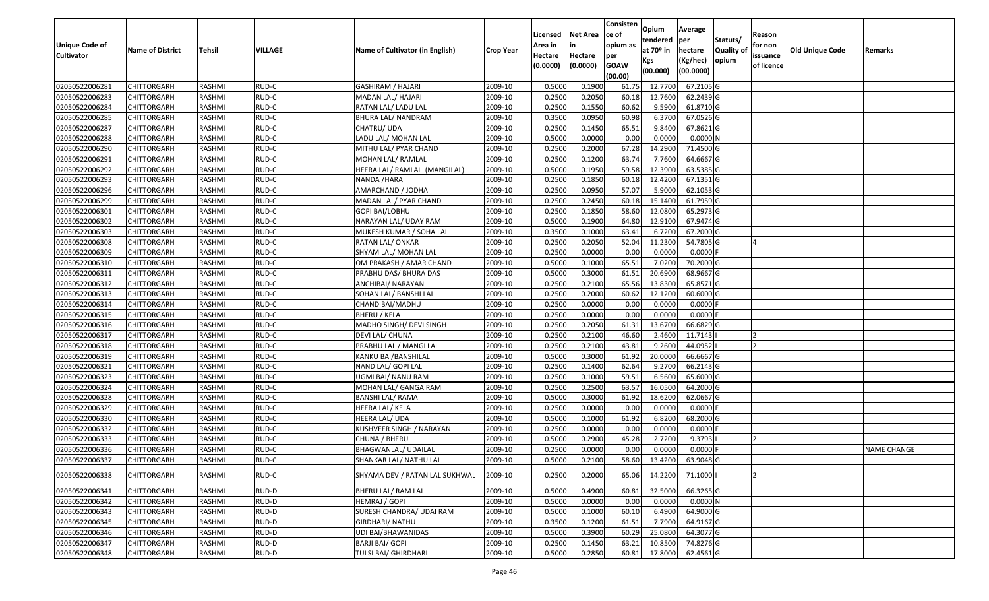|                   |                         |               |         |                                 |                  |          |                 | Consisten        | Opium       | Average    |                  |            |                 |                    |
|-------------------|-------------------------|---------------|---------|---------------------------------|------------------|----------|-----------------|------------------|-------------|------------|------------------|------------|-----------------|--------------------|
|                   |                         |               |         |                                 |                  | Licensed | <b>Net Area</b> | ce of            | tendered    | per        | Statuts/         | Reason     |                 |                    |
| Unique Code of    | <b>Name of District</b> | <b>Tehsil</b> | VILLAGE | Name of Cultivator (in English) | <b>Crop Year</b> | Area in  |                 | opium as         | at $70°$ in | hectare    | <b>Quality o</b> | for non    | Old Unique Code | Remarks            |
| <b>Cultivator</b> |                         |               |         |                                 |                  | Hectare  | Hectare         | per              | Kgs         | (Kg/hec)   | opium            | issuance   |                 |                    |
|                   |                         |               |         |                                 |                  | (0.0000) | (0.0000)        | <b>GOAW</b>      | (00.000)    | (00.0000)  |                  | of licence |                 |                    |
| 02050522006281    | CHITTORGARH             | RASHMI        | RUD-C   | <b>GASHIRAM / HAJARI</b>        | 2009-10          | 0.5000   | 0.1900          | (00.00)<br>61.75 | 12.7700     | 67.2105 G  |                  |            |                 |                    |
| 02050522006283    | CHITTORGARH             | RASHMI        | RUD-C   | MADAN LAL/ HAJARI               | 2009-10          | 0.2500   | 0.2050          | 60.18            | 12.7600     | 62.2439 G  |                  |            |                 |                    |
| 02050522006284    | CHITTORGARH             | RASHMI        | RUD-C   | RATAN LAL/ LADU LAL             | 2009-10          | 0.2500   | 0.1550          | 60.62            | 9.5900      | 61.8710 G  |                  |            |                 |                    |
| 02050522006285    | <b>CHITTORGARH</b>      | RASHMI        | RUD-C   | BHURA LAL/NANDRAM               | 2009-10          | 0.3500   | 0.0950          | 60.98            | 6.3700      | 67.0526 G  |                  |            |                 |                    |
| 02050522006287    | CHITTORGARH             | RASHMI        | RUD-C   | CHATRU/UDA                      | 2009-10          | 0.2500   | 0.1450          | 65.51            | 9.8400      | 67.8621 G  |                  |            |                 |                    |
| 02050522006288    | <b>CHITTORGARH</b>      | RASHMI        | RUD-C   | LADU LAL/ MOHAN LAL             | 2009-10          | 0.5000   | 0.0000          | 0.00             | 0.0000      | 0.0000N    |                  |            |                 |                    |
| 02050522006290    | CHITTORGARH             | RASHMI        | RUD-C   | MITHU LAL/ PYAR CHAND           | 2009-10          | 0.2500   | 0.2000          | 67.28            | 14.2900     | 71.4500G   |                  |            |                 |                    |
| 02050522006291    | <b>CHITTORGARH</b>      | <b>RASHMI</b> | RUD-C   | MOHAN LAL/ RAMLAL               | 2009-10          | 0.2500   | 0.1200          | 63.74            | 7.7600      | 64.6667 G  |                  |            |                 |                    |
| 02050522006292    | CHITTORGARH             | RASHMI        | RUD-C   | HEERA LAL/ RAMLAL (MANGILAL)    | 2009-10          | 0.5000   | 0.1950          | 59.58            | 12.3900     | 63.5385 G  |                  |            |                 |                    |
| 02050522006293    | CHITTORGARH             | RASHMI        | RUD-C   | NANDA / HARA                    | 2009-10          | 0.2500   | 0.1850          | 60.18            | 12.4200     | 67.1351 G  |                  |            |                 |                    |
| 02050522006296    | CHITTORGARH             | RASHMI        | RUD-C   | AMARCHAND / JODHA               | 2009-10          | 0.2500   | 0.0950          | 57.07            | 5.9000      | 62.1053 G  |                  |            |                 |                    |
| 02050522006299    | <b>CHITTORGARH</b>      | RASHMI        | RUD-C   | MADAN LAL/ PYAR CHAND           | 2009-10          | 0.2500   | 0.2450          | 60.18            | 15.1400     | 61.7959 G  |                  |            |                 |                    |
| 02050522006301    | <b>CHITTORGARH</b>      | RASHMI        | RUD-C   | <b>GOPI BAI/LOBHU</b>           | 2009-10          | 0.2500   | 0.1850          | 58.60            | 12.0800     | 65.2973 G  |                  |            |                 |                    |
| 02050522006302    | <b>CHITTORGARH</b>      | RASHMI        | RUD-C   | NARAYAN LAL/ UDAY RAM           | 2009-10          | 0.5000   | 0.1900          | 64.80            | 12.9100     | 67.9474 G  |                  |            |                 |                    |
| 02050522006303    | <b>CHITTORGARH</b>      | RASHMI        | RUD-C   | MUKESH KUMAR / SOHA LAL         | 2009-10          | 0.3500   | 0.1000          | 63.41            | 6.7200      | 67.2000 G  |                  |            |                 |                    |
| 02050522006308    | <b>CHITTORGARH</b>      | RASHMI        | RUD-C   | RATAN LAL/ONKAR                 | 2009-10          | 0.2500   | 0.2050          | 52.04            | 11.2300     | 54.7805 G  |                  |            |                 |                    |
| 02050522006309    | CHITTORGARH             | RASHMI        | RUD-C   | SHYAM LAL/ MOHAN LAL            | 2009-10          | 0.2500   | 0.0000          | 0.00             | 0.0000      | $0.0000$ F |                  |            |                 |                    |
| 02050522006310    | CHITTORGARH             | RASHMI        | RUD-C   | OM PRAKASH / AMAR CHAND         | 2009-10          | 0.5000   | 0.1000          | 65.51            | 7.0200      | 70.2000 G  |                  |            |                 |                    |
| 02050522006311    | CHITTORGARH             | RASHMI        | RUD-C   | PRABHU DAS/ BHURA DAS           | 2009-10          | 0.5000   | 0.3000          | 61.5             | 20.6900     | 68.9667 G  |                  |            |                 |                    |
| 02050522006312    | CHITTORGARH             | RASHMI        | RUD-C   | ANCHIBAI/ NARAYAN               | 2009-10          | 0.2500   | 0.2100          | 65.56            | 13.8300     | 65.8571 G  |                  |            |                 |                    |
| 02050522006313    | CHITTORGARH             | RASHMI        | RUD-C   | SOHAN LAL/ BANSHI LAL           | 2009-10          | 0.2500   | 0.2000          | 60.62            | 12.1200     | 60.6000 G  |                  |            |                 |                    |
| 02050522006314    | CHITTORGARH             | RASHMI        | RUD-C   | CHANDIBAI/MADHU                 | 2009-10          | 0.2500   | 0.0000          | 0.00             | 0.000       | 0.0000     |                  |            |                 |                    |
| 02050522006315    | CHITTORGARH             | RASHMI        | RUD-C   | BHERU / KELA                    | 2009-10          | 0.2500   | 0.0000          | 0.00             | 0.0000      | 0.0000F    |                  |            |                 |                    |
| 02050522006316    | CHITTORGARH             | RASHMI        | RUD-C   | MADHO SINGH/ DEVI SINGH         | 2009-10          | 0.2500   | 0.2050          | 61.3             | 13.6700     | 66.6829 G  |                  |            |                 |                    |
| 02050522006317    | CHITTORGARH             | RASHMI        | RUD-C   | DEVI LAL/ CHUNA                 | 2009-10          | 0.2500   | 0.2100          | 46.60            | 2.4600      | 11.7143    |                  |            |                 |                    |
| 02050522006318    | CHITTORGARH             | <b>RASHMI</b> | RUD-C   | PRABHU LAL / MANGI LAL          | 2009-10          | 0.2500   | 0.2100          | 43.81            | 9.2600      | 44.0952    |                  |            |                 |                    |
| 02050522006319    | CHITTORGARH             | RASHMI        | RUD-C   | KANKU BAI/BANSHILAL             | 2009-10          | 0.5000   | 0.3000          | 61.92            | 20.0000     | 66.6667 G  |                  |            |                 |                    |
| 02050522006321    | CHITTORGARH             | RASHMI        | RUD-C   | NAND LAL/ GOPI LAL              | 2009-10          | 0.2500   | 0.1400          | 62.64            | 9.2700      | 66.2143 G  |                  |            |                 |                    |
| 02050522006323    | CHITTORGARH             | RASHMI        | RUD-C   | UGMI BAI/ NANU RAM              | 2009-10          | 0.2500   | 0.1000          | 59.51            | 6.5600      | 65.6000G   |                  |            |                 |                    |
| 02050522006324    | CHITTORGARH             | RASHMI        | RUD-C   | MOHAN LAL/ GANGA RAM            | 2009-10          | 0.2500   | 0.2500          | 63.57            | 16.0500     | 64.2000 G  |                  |            |                 |                    |
| 02050522006328    | CHITTORGARH             | RASHMI        | RUD-C   | BANSHI LAL/ RAMA                | 2009-10          | 0.5000   | 0.3000          | 61.92            | 18.6200     | 62.0667 G  |                  |            |                 |                    |
| 02050522006329    | CHITTORGARH             | RASHMI        | RUD-C   | HEERA LAL/ KELA                 | 2009-10          | 0.2500   | 0.0000          | 0.00             | 0.0000      | 0.0000     |                  |            |                 |                    |
| 02050522006330    | CHITTORGARH             | <b>RASHMI</b> | RUD-C   | HEERA LAL/ UDA                  | 2009-10          | 0.5000   | 0.1000          | 61.92            | 6.8200      | 68.2000 G  |                  |            |                 |                    |
| 02050522006332    | CHITTORGARH             | RASHMI        | RUD-C   | KUSHVEER SINGH / NARAYAN        | 2009-10          | 0.2500   | 0.0000          | 0.00             | 0.0000      | 0.0000     |                  |            |                 |                    |
| 02050522006333    | CHITTORGARH             | RASHMI        | RUD-C   | CHUNA / BHERU                   | 2009-10          | 0.5000   | 0.2900          | 45.28            | 2.7200      | 9.3793     |                  |            |                 |                    |
| 02050522006336    | CHITTORGARH             | RASHMI        | RUD-C   | BHAGWANLAL/ UDAILAL             | 2009-10          | 0.2500   | 0.0000          | 0.00             | 0.0000      | $0.0000$ F |                  |            |                 | <b>NAME CHANGE</b> |
| 02050522006337    | <b>CHITTORGARH</b>      | RASHMI        | RUD-C   | SHANKAR LAL/ NATHU LAL          | 2009-10          | 0.5000   | 0.2100          | 58.60            | 13.4200     | 63.9048 G  |                  |            |                 |                    |
| 02050522006338    | <b>CHITTORGARH</b>      | RASHMI        | RUD-C   | SHYAMA DEVI/ RATAN LAL SUKHWAL  | 2009-10          | 0.2500   | 0.2000          | 65.06            | 14.2200     | 71.1000    |                  |            |                 |                    |
| 02050522006341    | <b>CHITTORGARH</b>      | RASHMI        | RUD-D   | BHERU LAL/ RAM LAL              | 2009-10          | 0.5000   | 0.4900          | 60.81            | 32.5000     | 66.3265 G  |                  |            |                 |                    |
| 02050522006342    | CHITTORGARH             | RASHMI        | RUD-D   | HEMRAJ / GOPI                   | 2009-10          | 0.5000   | 0.0000          | 0.00             | 0.0000      | 0.0000N    |                  |            |                 |                    |
| 02050522006343    | <b>CHITTORGARH</b>      | RASHMI        | RUD-D   | SURESH CHANDRA/ UDAI RAM        | 2009-10          | 0.5000   | 0.1000          | 60.10            | 6.4900      | 64.9000 G  |                  |            |                 |                    |
| 02050522006345    | <b>CHITTORGARH</b>      | RASHMI        | RUD-D   | <b>GIRDHARI/ NATHU</b>          | 2009-10          | 0.3500   | 0.1200          | 61.51            | 7.7900      | 64.9167 G  |                  |            |                 |                    |
| 02050522006346    | CHITTORGARH             | RASHMI        | RUD-D   | UDI BAI/BHAWANIDAS              | 2009-10          | 0.5000   | 0.3900          | 60.29            | 25.0800     | 64.3077 G  |                  |            |                 |                    |
| 02050522006347    | CHITTORGARH             | RASHMI        | RUD-D   | <b>BARJI BAI/ GOPI</b>          | 2009-10          | 0.2500   | 0.1450          | 63.21            | 10.8500     | 74.8276 G  |                  |            |                 |                    |
| 02050522006348    | <b>CHITTORGARH</b>      | RASHMI        | RUD-D   | TULSI BAI/ GHIRDHARI            | 2009-10          | 0.5000   | 0.2850          | 60.81            | 17.8000     | 62.4561 G  |                  |            |                 |                    |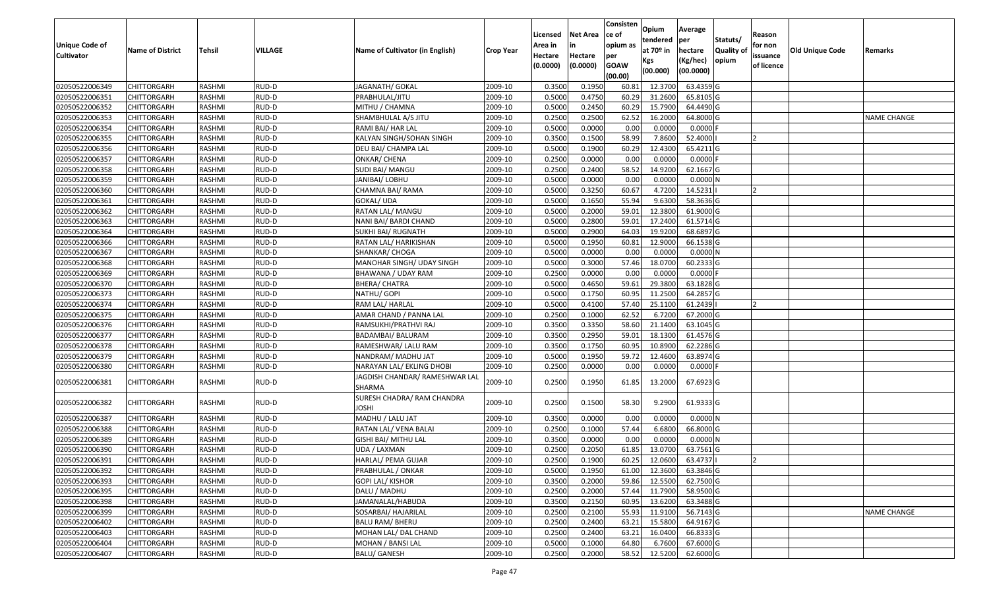| <b>Unique Code of</b><br><b>Cultivator</b> | <b>Name of District</b> | Tehsil        | VILLAGE | Name of Cultivator (in English)            | <b>Crop Year</b> | Licensed<br>Area in<br>Hectare<br>(0.0000) | Net Area<br>in<br>Hectare<br>(0.0000) | Consisten<br>ce of<br>opium as<br>per<br><b>GOAW</b><br>(00.00) | Opium<br>tendered<br>at 70º in<br>Kgs<br>(00.000) | Average<br>per<br>hectare<br>(Kg/hec)<br>(00.0000) | Statuts/<br><b>Quality of</b><br>opium | Reason<br>for non<br>issuance<br>of licence | <b>Old Unique Code</b> | Remarks            |
|--------------------------------------------|-------------------------|---------------|---------|--------------------------------------------|------------------|--------------------------------------------|---------------------------------------|-----------------------------------------------------------------|---------------------------------------------------|----------------------------------------------------|----------------------------------------|---------------------------------------------|------------------------|--------------------|
| 02050522006349                             | <b>CHITTORGARH</b>      | RASHMI        | RUD-D   | JAGANATH/ GOKAL                            | 2009-10          | 0.3500                                     | 0.1950                                | 60.81                                                           | 12.3700                                           | 63.4359 G                                          |                                        |                                             |                        |                    |
| 02050522006351                             | CHITTORGARH             | RASHMI        | RUD-D   | PRABHULAL/JITU                             | 2009-10          | 0.5000                                     | 0.4750                                | 60.29                                                           | 31.2600                                           | 65.8105 G                                          |                                        |                                             |                        |                    |
| 02050522006352                             | CHITTORGARH             | RASHMI        | RUD-D   | MITHU / CHAMNA                             | 2009-10          | 0.5000                                     | 0.2450                                | 60.29                                                           | 15.7900                                           | 64.4490 G                                          |                                        |                                             |                        |                    |
| 02050522006353                             | <b>CHITTORGARH</b>      | RASHMI        | RUD-D   | SHAMBHULAL A/S JITU                        | 2009-10          | 0.2500                                     | 0.2500                                | 62.52                                                           | 16.2000                                           | 64.8000 G                                          |                                        |                                             |                        | <b>NAME CHANGE</b> |
| 02050522006354                             | CHITTORGARH             | RASHMI        | RUD-D   | RAMI BAI/ HAR LAL                          | 2009-10          | 0.5000                                     | 0.0000                                | 0.00                                                            | 0.0000                                            | $0.0000$ F                                         |                                        |                                             |                        |                    |
| 02050522006355                             | CHITTORGARH             | RASHMI        | RUD-D   | KALYAN SINGH/SOHAN SINGH                   | 2009-10          | 0.3500                                     | 0.1500                                | 58.99                                                           | 7.8600                                            | 52.4000                                            |                                        |                                             |                        |                    |
| 02050522006356                             | CHITTORGARH             | RASHMI        | RUD-D   | DEU BAI/ CHAMPA LAL                        | 2009-10          | 0.5000                                     | 0.1900                                | 60.29                                                           | 12.4300                                           | 65.4211 G                                          |                                        |                                             |                        |                    |
| 02050522006357                             | <b>CHITTORGARH</b>      | <b>RASHMI</b> | RUD-D   | ONKAR/ CHENA                               | 2009-10          | 0.2500                                     | 0.0000                                | 0.00                                                            | 0.0000                                            | $0.0000$ F                                         |                                        |                                             |                        |                    |
| 02050522006358                             | CHITTORGARH             | RASHMI        | RUD-D   | SUDI BAI/ MANGU                            | 2009-10          | 0.2500                                     | 0.2400                                | 58.52                                                           | 14.9200                                           | 62.1667 G                                          |                                        |                                             |                        |                    |
| 02050522006359                             | CHITTORGARH             | RASHMI        | RUD-D   | JANIBAI/ LOBHU                             | 2009-10          | 0.5000                                     | 0.0000                                | 0.00                                                            | 0.0000                                            | 0.0000N                                            |                                        |                                             |                        |                    |
| 02050522006360                             | CHITTORGARH             | RASHMI        | RUD-D   | CHAMNA BAI/ RAMA                           | 2009-10          | 0.5000                                     | 0.3250                                | 60.67                                                           | 4.7200                                            | 14.5231                                            |                                        | 12                                          |                        |                    |
| 02050522006361                             | <b>CHITTORGARH</b>      | RASHMI        | RUD-D   | GOKAL/ UDA                                 | 2009-10          | 0.5000                                     | 0.1650                                | 55.94                                                           | 9.6300                                            | 58.3636 G                                          |                                        |                                             |                        |                    |
| 02050522006362                             | <b>CHITTORGARH</b>      | RASHMI        | RUD-D   | RATAN LAL/ MANGU                           | 2009-10          | 0.5000                                     | 0.2000                                | 59.01                                                           | 12.3800                                           | 61.9000 G                                          |                                        |                                             |                        |                    |
| 02050522006363                             | <b>CHITTORGARH</b>      | RASHMI        | RUD-D   | NANI BAI/ BARDI CHAND                      | 2009-10          | 0.5000                                     | 0.2800                                | 59.01                                                           | 17.2400                                           | 61.5714 G                                          |                                        |                                             |                        |                    |
| 02050522006364                             | CHITTORGARH             | RASHMI        | RUD-D   | SUKHI BAI/ RUGNATH                         | 2009-10          | 0.5000                                     | 0.2900                                | 64.03                                                           | 19.9200                                           | 68.6897 G                                          |                                        |                                             |                        |                    |
| 02050522006366                             | <b>CHITTORGARH</b>      | RASHMI        | RUD-D   | RATAN LAL/ HARIKISHAN                      | 2009-10          | 0.5000                                     | 0.1950                                | 60.81                                                           | 12.9000                                           | 66.1538 G                                          |                                        |                                             |                        |                    |
| 02050522006367                             | <b>CHITTORGARH</b>      | RASHMI        | RUD-D   | SHANKAR/ CHOGA                             | 2009-10          | 0.5000                                     | 0.0000                                | 0.00                                                            | 0.0000                                            | 0.0000N                                            |                                        |                                             |                        |                    |
| 02050522006368                             | CHITTORGARH             | RASHMI        | RUD-D   | MANOHAR SINGH/ UDAY SINGH                  | 2009-10          | 0.5000                                     | 0.3000                                | 57.46                                                           | 18.0700                                           | 60.2333 G                                          |                                        |                                             |                        |                    |
| 02050522006369                             | CHITTORGARH             | RASHMI        | RUD-D   | BHAWANA / UDAY RAM                         | 2009-10          | 0.2500                                     | 0.0000                                | 0.00                                                            | 0.0000                                            | $0.0000$ F                                         |                                        |                                             |                        |                    |
| 02050522006370                             | CHITTORGARH             | RASHMI        | RUD-D   | BHERA/ CHATRA                              | 2009-10          | 0.5000                                     | 0.4650                                | 59.61                                                           | 29.3800                                           | 63.1828 G                                          |                                        |                                             |                        |                    |
| 02050522006373                             | CHITTORGARH             | RASHMI        | RUD-D   | NATHU/ GOPI                                | 2009-10          | 0.5000                                     | 0.1750                                | 60.95                                                           | 11.2500                                           | 64.2857 G                                          |                                        |                                             |                        |                    |
| 02050522006374                             | CHITTORGARH             | RASHMI        | RUD-D   | RAM LAL/ HARLAL                            | 2009-10          | 0.5000                                     | 0.4100                                | 57.40                                                           | 25.1100                                           | 61.2439                                            |                                        |                                             |                        |                    |
| 02050522006375                             | CHITTORGARH             | RASHMI        | RUD-D   | AMAR CHAND / PANNA LAL                     | 2009-10          | 0.2500                                     | 0.1000                                | 62.52                                                           | 6.7200                                            | 67.2000 G                                          |                                        |                                             |                        |                    |
| 02050522006376                             | CHITTORGARH             | RASHMI        | RUD-D   | RAMSUKHI/PRATHVI RAJ                       | 2009-10          | 0.3500                                     | 0.3350                                | 58.60                                                           | 21.1400                                           | 63.1045 G                                          |                                        |                                             |                        |                    |
| 02050522006377                             | CHITTORGARH             | RASHMI        | RUD-D   | <b>BADAMBAI/ BALURAM</b>                   | 2009-10          | 0.3500                                     | 0.2950                                | 59.01                                                           | 18.1300                                           | 61.4576 G                                          |                                        |                                             |                        |                    |
| 02050522006378                             | CHITTORGARH             | RASHMI        | RUD-D   | RAMESHWAR/ LALU RAM                        | 2009-10          | 0.3500                                     | 0.1750                                | 60.95                                                           | 10.8900                                           | 62.2286 G                                          |                                        |                                             |                        |                    |
| 02050522006379                             | CHITTORGARH             | RASHMI        | RUD-D   | NANDRAM/ MADHU JAT                         | 2009-10          | 0.5000                                     | 0.1950                                | 59.72                                                           | 12.4600                                           | 63.8974 G                                          |                                        |                                             |                        |                    |
| 02050522006380                             | CHITTORGARH             | RASHMI        | RUD-D   | NARAYAN LAL/ EKLING DHOBI                  | 2009-10          | 0.2500                                     | 0.0000                                | 0.00                                                            | 0.0000                                            | $0.0000$ F                                         |                                        |                                             |                        |                    |
| 02050522006381                             | CHITTORGARH             | RASHMI        | RUD-D   | JAGDISH CHANDAR/ RAMESHWAR LAI<br>SHARMA   | 2009-10          | 0.2500                                     | 0.1950                                | 61.85                                                           | 13.2000                                           | 67.6923 G                                          |                                        |                                             |                        |                    |
| 02050522006382                             | CHITTORGARH             | RASHMI        | RUD-D   | SURESH CHADRA/ RAM CHANDRA<br><b>JOSHI</b> | 2009-10          | 0.2500                                     | 0.1500                                | 58.30                                                           | 9.2900                                            | 61.9333 G                                          |                                        |                                             |                        |                    |
| 02050522006387                             | CHITTORGARH             | RASHMI        | RUD-D   | MADHU / LALU JAT                           | 2009-10          | 0.3500                                     | 0.0000                                | 0.00                                                            | 0.0000                                            | 0.0000N                                            |                                        |                                             |                        |                    |
| 02050522006388                             | CHITTORGARH             | RASHMI        | RUD-D   | RATAN LAL/ VENA BALAI                      | 2009-10          | 0.2500                                     | 0.1000                                | 57.44                                                           | 6.6800                                            | 66.8000 G                                          |                                        |                                             |                        |                    |
| 02050522006389                             | CHITTORGARH             | RASHMI        | RUD-D   | GISHI BAI/ MITHU LAL                       | 2009-10          | 0.3500                                     | 0.0000                                | 0.00                                                            | 0.0000                                            | $0.0000$ N                                         |                                        |                                             |                        |                    |
| 02050522006390                             | <b>CHITTORGARH</b>      | RASHMI        | RUD-D   | UDA / LAXMAN                               | 2009-10          | 0.2500                                     | 0.2050                                | 61.85                                                           | 13.0700                                           | 63.7561 G                                          |                                        |                                             |                        |                    |
| 02050522006391                             | <b>CHITTORGARH</b>      | RASHMI        | RUD-D   | HARLAL/ PEMA GUJAR                         | 2009-10          | 0.2500                                     | 0.1900                                | 60.25                                                           | 12.0600                                           | 63.4737                                            |                                        | ız                                          |                        |                    |
| 02050522006392                             | <b>CHITTORGARH</b>      | RASHMI        | RUD-D   | PRABHULAL / ONKAR                          | 2009-10          | 0.5000                                     | 0.1950                                | 61.00                                                           | 12.3600                                           | 63.3846 G                                          |                                        |                                             |                        |                    |
| 02050522006393                             | <b>CHITTORGARH</b>      | RASHMI        | RUD-D   | <b>GOPI LAL/ KISHOR</b>                    | 2009-10          | 0.3500                                     | 0.2000                                | 59.86                                                           | 12.5500                                           | 62.7500 G                                          |                                        |                                             |                        |                    |
| 02050522006395                             | <b>CHITTORGARH</b>      | RASHMI        | RUD-D   | DALU / MADHU                               | 2009-10          | 0.2500                                     | 0.2000                                | 57.44                                                           | 11.7900                                           | 58.9500 G                                          |                                        |                                             |                        |                    |
| 02050522006398                             | <b>CHITTORGARH</b>      | RASHMI        | RUD-D   | JAMANALAL/HABUDA                           | 2009-10          | 0.3500                                     | 0.2150                                | 60.95                                                           | 13.6200                                           | 63.3488 G                                          |                                        |                                             |                        |                    |
| 02050522006399                             | <b>CHITTORGARH</b>      | RASHMI        | RUD-D   | SOSARBAI/ HAJARILAL                        | 2009-10          | 0.2500                                     | 0.2100                                | 55.93                                                           | 11.9100                                           | 56.7143 G                                          |                                        |                                             |                        | <b>NAME CHANGE</b> |
| 02050522006402                             | <b>CHITTORGARH</b>      | RASHMI        | RUD-D   | <b>BALU RAM/ BHERU</b>                     | 2009-10          | 0.2500                                     | 0.2400                                | 63.21                                                           | 15.5800                                           | 64.9167 G                                          |                                        |                                             |                        |                    |
| 02050522006403                             | <b>CHITTORGARH</b>      | RASHMI        | RUD-D   | MOHAN LAL/ DAL CHAND                       | 2009-10          | 0.2500                                     | 0.2400                                | 63.21                                                           | 16.0400                                           | 66.8333 G                                          |                                        |                                             |                        |                    |
| 02050522006404                             | <b>CHITTORGARH</b>      | RASHMI        | RUD-D   | MOHAN / BANSI LAL                          | 2009-10          | 0.5000                                     | 0.1000                                | 64.80                                                           | 6.7600                                            | 67.6000 G                                          |                                        |                                             |                        |                    |
| 02050522006407                             | <b>CHITTORGARH</b>      | RASHMI        | RUD-D   | <b>BALU/ GANESH</b>                        | 2009-10          | 0.2500                                     | 0.2000                                |                                                                 |                                                   | 58.52 12.5200 62.6000 G                            |                                        |                                             |                        |                    |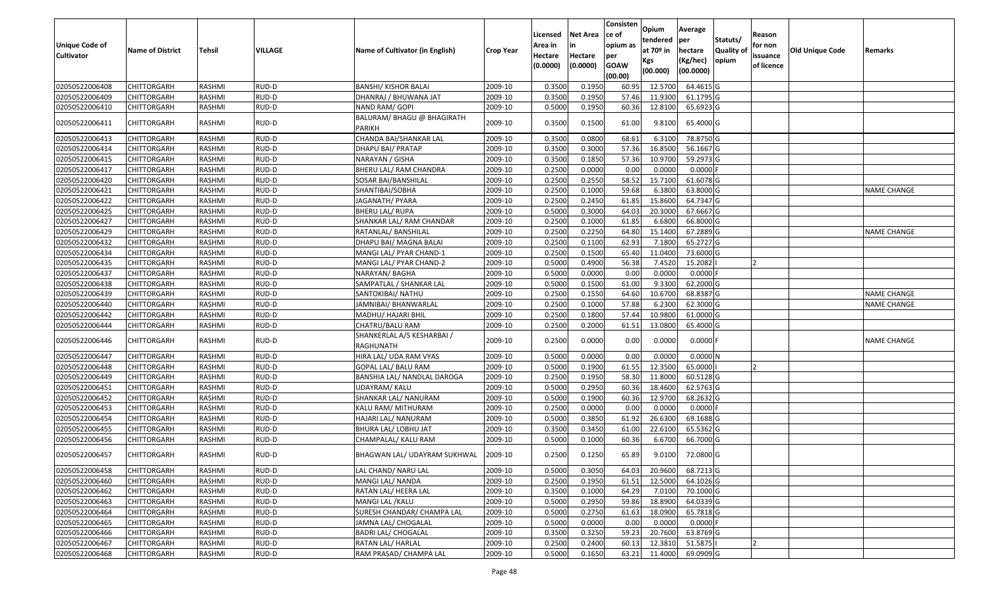| Unique Code of<br><b>Cultivator</b> | <b>Name of District</b> | Tehsil        | VILLAGE | Name of Cultivator (in English)             | <b>Crop Year</b> | Licensed<br>Area in<br>Hectare<br>(0.0000) | Net Area<br>in<br>Hectare<br>(0.0000) | Consisten<br>ce of<br>opium as<br>per<br><b>GOAW</b><br>(00.00) | Opium<br>tendered<br>at 70º in<br>Kgs<br>(00.000) | Average<br>per<br>hectare<br>(Kg/hec)<br>(00.0000) | Statuts/<br><b>Quality of</b><br>opium | Reason<br>for non<br>issuance<br>of licence | <b>Old Unique Code</b> | Remarks            |
|-------------------------------------|-------------------------|---------------|---------|---------------------------------------------|------------------|--------------------------------------------|---------------------------------------|-----------------------------------------------------------------|---------------------------------------------------|----------------------------------------------------|----------------------------------------|---------------------------------------------|------------------------|--------------------|
| 02050522006408                      | CHITTORGARH             | RASHMI        | RUD-D   | <b>BANSHI/ KISHOR BALAI</b>                 | 2009-10          | 0.3500                                     | 0.1950                                | 60.95                                                           | 12.5700                                           | 64.4615 G                                          |                                        |                                             |                        |                    |
| 02050522006409                      | CHITTORGARH             | RASHMI        | RUD-D   | DHANRAJ / BHUWANA JAT                       | 2009-10          | 0.3500                                     | 0.1950                                | 57.46                                                           | 11.9300                                           | 61.1795 G                                          |                                        |                                             |                        |                    |
| 02050522006410                      | CHITTORGARH             | RASHMI        | RUD-D   | NAND RAM/ GOPI                              | 2009-10          | 0.5000                                     | 0.1950                                | 60.36                                                           | 12.8100                                           | 65.6923 G                                          |                                        |                                             |                        |                    |
| 02050522006411                      | CHITTORGARH             | RASHMI        | RUD-D   | BALURAM/ BHAGU @ BHAGIRATH<br><b>PARIKH</b> | 2009-10          | 0.3500                                     | 0.1500                                | 61.00                                                           | 9.8100                                            | 65.4000 G                                          |                                        |                                             |                        |                    |
| 02050522006413                      | CHITTORGARH             | RASHMI        | RUD-D   | CHANDA BAI/SHANKAR LAL                      | 2009-10          | 0.3500                                     | 0.0800                                | 68.61                                                           | 6.3100                                            | 78.8750 G                                          |                                        |                                             |                        |                    |
| 02050522006414                      | CHITTORGARH             | RASHMI        | RUD-D   | DHAPU BAI/ PRATAP                           | 2009-10          | 0.3500                                     | 0.3000                                | 57.36                                                           | 16.8500                                           | 56.1667 G                                          |                                        |                                             |                        |                    |
| 02050522006415                      | <b>CHITTORGARH</b>      | <b>RASHMI</b> | RUD-D   | NARAYAN / GISHA                             | 2009-10          | 0.3500                                     | 0.1850                                | 57.36                                                           | 10.9700                                           | 59.2973 G                                          |                                        |                                             |                        |                    |
| 02050522006417                      | CHITTORGARH             | RASHMI        | RUD-D   | BHERU LAL/ RAM CHANDRA                      | 2009-10          | 0.2500                                     | 0.0000                                | 0.00                                                            | 0.0000                                            | $0.0000$ F                                         |                                        |                                             |                        |                    |
| 02050522006420                      | CHITTORGARH             | RASHMI        | RUD-D   | SOSAR BAI/BANSHILAL                         | 2009-10          | 0.2500                                     | 0.2550                                | 58.52                                                           | 15.7100                                           | 61.6078 G                                          |                                        |                                             |                        |                    |
| 02050522006421                      | CHITTORGARH             | RASHMI        | RUD-D   | SHANTIBAI/SOBHA                             | 2009-10          | 0.2500                                     | 0.1000                                | 59.68                                                           | 6.3800                                            | 63.8000 G                                          |                                        |                                             |                        | NAME CHANGE        |
| 02050522006422                      | <b>CHITTORGARH</b>      | <b>RASHMI</b> | RUD-D   | JAGANATH/ PYARA                             | 2009-10          | 0.2500                                     | 0.2450                                | 61.85                                                           | 15.8600                                           | 64.7347 G                                          |                                        |                                             |                        |                    |
| 02050522006425                      | <b>CHITTORGARH</b>      | RASHMI        | RUD-D   | <b>BHERU LAL/ RUPA</b>                      | 2009-10          | 0.5000                                     | 0.3000                                | 64.03                                                           | 20.3000                                           | 67.6667 G                                          |                                        |                                             |                        |                    |
| 02050522006427                      | CHITTORGARH             | RASHMI        | RUD-D   | SHANKAR LAL/ RAM CHANDAR                    | 2009-10          | 0.2500                                     | 0.1000                                | 61.85                                                           | 6.6800                                            | 66.8000 G                                          |                                        |                                             |                        |                    |
| 02050522006429                      | CHITTORGARH             | RASHMI        | RUD-D   | RATANLAL/ BANSHILAL                         | 2009-10          | 0.2500                                     | 0.2250                                | 64.80                                                           | 15.1400                                           | 67.2889 G                                          |                                        |                                             |                        | NAME CHANGE        |
| 02050522006432                      | CHITTORGARH             | <b>RASHMI</b> | RUD-D   | DHAPU BAI/ MAGNA BALAI                      | 2009-10          | 0.2500                                     | 0.1100                                | 62.93                                                           | 7.1800                                            | 65.2727 G                                          |                                        |                                             |                        |                    |
| 02050522006434                      | CHITTORGARH             | RASHMI        | RUD-D   | MANGI LAL/ PYAR CHAND-1                     | 2009-10          | 0.2500                                     | 0.1500                                | 65.40                                                           | 11.0400                                           | 73.6000 G                                          |                                        |                                             |                        |                    |
| 02050522006435                      | CHITTORGARH             | RASHMI        | RUD-D   | MANGI LAL/ PYAR CHAND-2                     | 2009-10          | 0.5000                                     | 0.4900                                | 56.38                                                           | 7.4520                                            | 15.2082                                            |                                        |                                             |                        |                    |
| 02050522006437                      | CHITTORGARH             | RASHMI        | RUD-D   | NARAYAN/ BAGHA                              | 2009-10          | 0.5000                                     | 0.0000                                | 0.00                                                            | 0.0000                                            | $0.0000$ F                                         |                                        |                                             |                        |                    |
| 02050522006438                      | CHITTORGARH             | RASHMI        | RUD-D   | SAMPATLAL / SHANKAR LAL                     | 2009-10          | 0.5000                                     | 0.1500                                | 61.00                                                           | 9.3300                                            | 62.2000 G                                          |                                        |                                             |                        |                    |
| 02050522006439                      | CHITTORGARH             | RASHMI        | RUD-D   | SANTOKIBAI/ NATHU                           | 2009-10          | 0.2500                                     | 0.1550                                | 64.60                                                           | 10.6700                                           | 68.8387 G                                          |                                        |                                             |                        | <b>NAME CHANGE</b> |
| 02050522006440                      | CHITTORGARH             | RASHMI        | RUD-D   | JAMNIBAI/ BHANWARLAL                        | 2009-10          | 0.2500                                     | 0.1000                                | 57.88                                                           | 6.2300                                            | 62.3000 G                                          |                                        |                                             |                        | <b>NAME CHANGE</b> |
| 02050522006442                      | CHITTORGARH             | RASHMI        | RUD-D   | MADHU/ HAJARI BHIL                          | 2009-10          | 0.2500                                     | 0.1800                                | 57.44                                                           | 10.9800                                           | 61.0000 G                                          |                                        |                                             |                        |                    |
| 02050522006444                      | CHITTORGARH             | RASHMI        | RUD-D   | CHATRU/BALU RAM                             | 2009-10          | 0.2500                                     | 0.2000                                | 61.51                                                           | 13.0800                                           | 65.4000 G                                          |                                        |                                             |                        |                    |
| 02050522006446                      | CHITTORGARH             | RASHMI        | RUD-D   | SHANKERLAL A/S KESHARBAI /<br>RAGHUNATH     | 2009-10          | 0.2500                                     | 0.0000                                | 0.00                                                            | 0.0000                                            | $0.0000$ F                                         |                                        |                                             |                        | <b>NAME CHANGE</b> |
| 02050522006447                      | CHITTORGARH             | RASHMI        | RUD-D   | HIRA LAL/ UDA RAM VYAS                      | 2009-10          | 0.5000                                     | 0.0000                                | 0.00                                                            | 0.0000                                            | 0.0000N                                            |                                        |                                             |                        |                    |
| 02050522006448                      | CHITTORGARH             | RASHMI        | RUD-D   | GOPAL LAL/ BALU RAM                         | 2009-10          | 0.5000                                     | 0.1900                                | 61.55                                                           | 12.3500                                           | 65.0000                                            |                                        |                                             |                        |                    |
| 02050522006449                      | <b>CHITTORGARH</b>      | <b>RASHMI</b> | RUD-D   | BANSHIA LAL/ NANDLAL DAROGA                 | 2009-10          | 0.2500                                     | 0.1950                                | 58.30                                                           | 11.8000                                           | 60.5128 G                                          |                                        |                                             |                        |                    |
| 02050522006451                      | CHITTORGARH             | RASHMI        | RUD-D   | UDAYRAM/ KALU                               | 2009-10          | 0.5000                                     | 0.2950                                | 60.36                                                           | 18.4600                                           | 62.5763 G                                          |                                        |                                             |                        |                    |
| 02050522006452                      | CHITTORGARH             | RASHMI        | RUD-D   | SHANKAR LAL/ NANURAM                        | 2009-10          | 0.5000                                     | 0.1900                                | 60.36                                                           | 12.9700                                           | 68.2632 G                                          |                                        |                                             |                        |                    |
| 02050522006453                      | CHITTORGARH             | RASHMI        | RUD-D   | KALU RAM/ MITHURAM                          | 2009-10          | 0.2500                                     | 0.0000                                | 0.00                                                            | 0.0000                                            | $0.0000$ F                                         |                                        |                                             |                        |                    |
| 02050522006454                      | CHITTORGARH             | <b>RASHMI</b> | RUD-D   | HAJARI LAL/ NANURAM                         | 2009-10          | 0.5000                                     | 0.3850                                | 61.92                                                           | 26.6300                                           | 69.1688 G                                          |                                        |                                             |                        |                    |
| 02050522006455                      | CHITTORGARH             | RASHMI        | RUD-D   | BHURA LAL/ LOBHU JAT                        | 2009-10          | 0.3500                                     | 0.3450                                | 61.00                                                           | 22.6100                                           | 65.5362 G                                          |                                        |                                             |                        |                    |
| 02050522006456                      | <b>CHITTORGARH</b>      | RASHMI        | RUD-D   | CHAMPALAL/ KALU RAM                         | 2009-10          | 0.5000                                     | 0.1000                                | 60.36                                                           | 6.6700                                            | 66.7000 G                                          |                                        |                                             |                        |                    |
| 02050522006457                      | CHITTORGARH             | RASHMI        | RUD-D   | BHAGWAN LAL/ UDAYRAM SUKHWAL                | 2009-10          | 0.2500                                     | 0.1250                                | 65.89                                                           | 9.0100                                            | 72.0800 G                                          |                                        |                                             |                        |                    |
| 02050522006458                      | <b>CHITTORGARH</b>      | RASHMI        | RUD-D   | LAL CHAND/ NARU LAL                         | 2009-10          | 0.5000                                     | 0.3050                                | 64.03                                                           | 20.9600                                           | 68.7213 G                                          |                                        |                                             |                        |                    |
| 02050522006460                      | <b>CHITTORGARH</b>      | RASHMI        | RUD-D   | MANGI LAL/ NANDA                            | 2009-10          | 0.2500                                     | 0.1950                                | 61.51                                                           | 12.5000                                           | 64.1026 G                                          |                                        |                                             |                        |                    |
| 02050522006462                      | <b>CHITTORGARH</b>      | RASHMI        | RUD-D   | RATAN LAL/ HEERA LAL                        | 2009-10          | 0.3500                                     | 0.1000                                | 64.29                                                           | 7.0100                                            | 70.1000 G                                          |                                        |                                             |                        |                    |
| 02050522006463                      | <b>CHITTORGARH</b>      | RASHMI        | RUD-D   | MANGI LAL / KALU                            | 2009-10          | 0.5000                                     | 0.2950                                | 59.86                                                           | 18.8900                                           | 64.0339 G                                          |                                        |                                             |                        |                    |
| 02050522006464                      | <b>CHITTORGARH</b>      | RASHMI        | RUD-D   | SURESH CHANDAR/ CHAMPA LAL                  | 2009-10          | 0.5000                                     | 0.2750                                | 61.63                                                           | 18.0900                                           | 65.7818 G                                          |                                        |                                             |                        |                    |
| 02050522006465                      | <b>CHITTORGARH</b>      | RASHMI        | RUD-D   | JAMNA LAL/ CHOGALAL                         | 2009-10          | 0.5000                                     | 0.0000                                | 0.00                                                            | 0.0000                                            | $0.0000$ F                                         |                                        |                                             |                        |                    |
| 02050522006466                      | <b>CHITTORGARH</b>      | RASHMI        | RUD-D   | <b>BADRI LAL/ CHOGALAL</b>                  | 2009-10          | 0.3500                                     | 0.3250                                | 59.23                                                           | 20.7600                                           | 63.8769 G                                          |                                        |                                             |                        |                    |
| 02050522006467                      | <b>CHITTORGARH</b>      | RASHMI        | RUD-D   | RATAN LAL/ HARLAL                           | 2009-10          | 0.2500                                     | 0.2400                                | 60.13                                                           | 12.3810                                           | 51.5875                                            |                                        |                                             |                        |                    |
| 02050522006468                      | <b>CHITTORGARH</b>      | RASHMI        | RUD-D   | RAM PRASAD/ CHAMPA LAL                      | 2009-10          | 0.5000                                     | 0.1650                                | 63.21                                                           | 11.4000                                           | 69.0909 G                                          |                                        |                                             |                        |                    |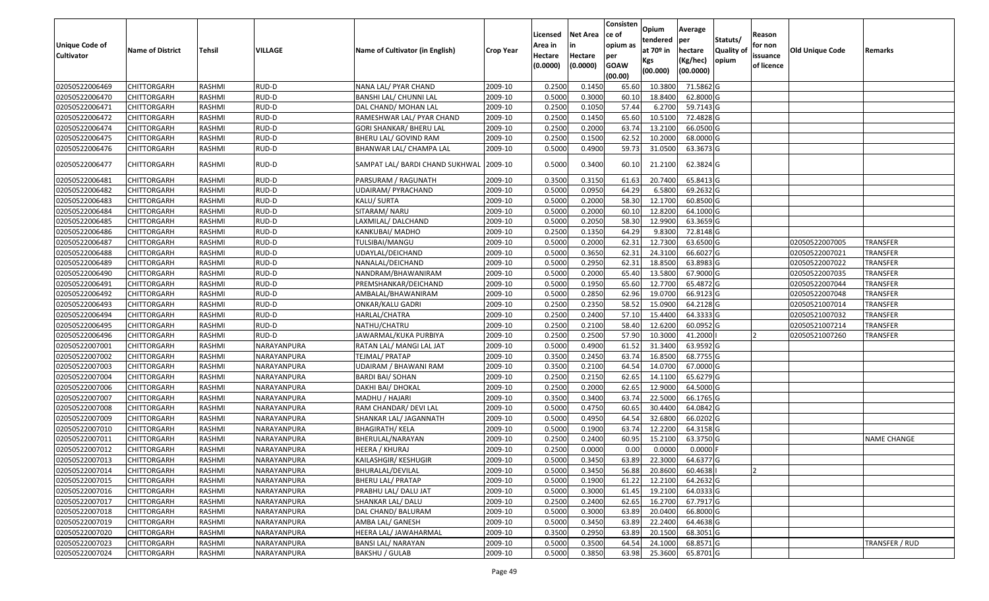| Unique Code of    | <b>Name of District</b> | Tehsil        | VILLAGE     | Name of Cultivator (in English)         | <b>Crop Year</b> | Licensed<br>Area in | Net Area<br>in      | Consisten<br>ce of<br>opium as | Opium<br>tendered<br>at 70º in | Average<br>per<br>hectare | Statuts/<br><b>Quality of</b> | Reason<br>for non      | <b>Old Unique Code</b> | Remarks         |
|-------------------|-------------------------|---------------|-------------|-----------------------------------------|------------------|---------------------|---------------------|--------------------------------|--------------------------------|---------------------------|-------------------------------|------------------------|------------------------|-----------------|
| <b>Cultivator</b> |                         |               |             |                                         |                  | Hectare<br>(0.0000) | Hectare<br>(0.0000) | per<br><b>GOAW</b><br>(00.00)  | Kgs<br>(00.000)                | (Kg/hec)<br>(00.0000)     | opium                         | issuance<br>of licence |                        |                 |
| 02050522006469    | <b>CHITTORGARH</b>      | RASHMI        | RUD-D       | NANA LAL/ PYAR CHAND                    | 2009-10          | 0.2500              | 0.1450              | 65.60                          | 10.3800                        | 71.5862 G                 |                               |                        |                        |                 |
| 02050522006470    | CHITTORGARH             | RASHMI        | RUD-D       | BANSHI LAL/ CHUNNI LAL                  | 2009-10          | 0.5000              | 0.3000              | 60.10                          | 18.8400                        | 62.8000 G                 |                               |                        |                        |                 |
| 02050522006471    | CHITTORGARH             | RASHMI        | RUD-D       | DAL CHAND/ MOHAN LAL                    | 2009-10          | 0.2500              | 0.1050              | 57.44                          | 6.2700                         | 59.7143 G                 |                               |                        |                        |                 |
| 02050522006472    | <b>CHITTORGARH</b>      | RASHMI        | RUD-D       | RAMESHWAR LAL/ PYAR CHAND               | 2009-10          | 0.2500              | 0.1450              | 65.60                          | 10.5100                        | 72.4828 G                 |                               |                        |                        |                 |
| 02050522006474    | CHITTORGARH             | RASHMI        | RUD-D       | <b>GORI SHANKAR/ BHERU LAL</b>          | 2009-10          | 0.2500              | 0.2000              | 63.74                          | 13.2100                        | 66.0500 G                 |                               |                        |                        |                 |
| 02050522006475    | <b>CHITTORGARH</b>      | RASHMI        | RUD-D       | BHERU LAL/ GOVIND RAM                   | 2009-10          | 0.2500              | 0.1500              | 62.52                          | 10.2000                        | 68.0000 G                 |                               |                        |                        |                 |
| 02050522006476    | CHITTORGARH             | RASHMI        | RUD-D       | BHANWAR LAL/ CHAMPA LAL                 | 2009-10          | 0.5000              | 0.4900              | 59.73                          | 31.0500                        | 63.3673 G                 |                               |                        |                        |                 |
| 02050522006477    | CHITTORGARH             | RASHMI        | RUD-D       | SAMPAT LAL/ BARDI CHAND SUKHWAL 2009-10 |                  | 0.5000              | 0.3400              | 60.10                          | 21.2100                        | 62.3824 G                 |                               |                        |                        |                 |
| 02050522006481    | <b>CHITTORGARH</b>      | RASHMI        | RUD-D       | PARSURAM / RAGUNATH                     | 2009-10          | 0.3500              | 0.3150              | 61.63                          | 20.7400                        | 65.8413 G                 |                               |                        |                        |                 |
| 02050522006482    | CHITTORGARH             | RASHMI        | RUD-D       | UDAIRAM/ PYRACHAND                      | 2009-10          | 0.5000              | 0.0950              | 64.29                          | 6.5800                         | 69.2632 G                 |                               |                        |                        |                 |
| 02050522006483    | <b>CHITTORGARH</b>      | RASHMI        | RUD-D       | KALU/ SURTA                             | 2009-10          | 0.5000              | 0.2000              | 58.30                          | 12.1700                        | 60.8500 G                 |                               |                        |                        |                 |
| 02050522006484    | <b>CHITTORGARH</b>      | RASHMI        | RUD-D       | SITARAM/ NARU                           | 2009-10          | 0.5000              | 0.2000              | 60.10                          | 12.8200                        | 64.1000 G                 |                               |                        |                        |                 |
| 02050522006485    | <b>CHITTORGARH</b>      | RASHMI        | RUD-D       | LAXMILAL/DALCHAND                       | 2009-10          | 0.5000              | 0.2050              | 58.30                          | 12.9900                        | 63.3659 G                 |                               |                        |                        |                 |
| 02050522006486    | CHITTORGARH             | RASHMI        | RUD-D       | KANKUBAI/ MADHO                         | 2009-10          | 0.2500              | 0.1350              | 64.29                          | 9.8300                         | 72.8148 G                 |                               |                        |                        |                 |
| 02050522006487    | CHITTORGARH             | RASHMI        | RUD-D       | TULSIBAI/MANGU                          | 2009-10          | 0.5000              | 0.2000              | 62.31                          | 12.7300                        | 63.6500 G                 |                               |                        | 02050522007005         | <b>TRANSFER</b> |
| 02050522006488    | CHITTORGARH             | RASHMI        | RUD-D       | UDAYLAL/DEICHAND                        | 2009-10          | 0.5000              | 0.3650              | 62.31                          | 24.3100                        | 66.6027 G                 |                               |                        | 02050522007021         | <b>TRANSFER</b> |
| 02050522006489    | CHITTORGARH             | RASHMI        | RUD-D       | NANALAL/DEICHAND                        | 2009-10          | 0.5000              | 0.2950              | 62.31                          | 18.8500                        | 63.8983 G                 |                               |                        | 02050522007022         | <b>TRANSFER</b> |
| 02050522006490    | CHITTORGARH             | RASHMI        | RUD-D       | NANDRAM/BHAWANIRAM                      | 2009-10          | 0.5000              | 0.2000              | 65.40                          | 13.5800                        | 67.9000 G                 |                               |                        | 02050522007035         | <b>TRANSFER</b> |
| 02050522006491    | CHITTORGARH             | RASHMI        | RUD-D       | PREMSHANKAR/DEICHAND                    | 2009-10          | 0.5000              | 0.1950              | 65.60                          | 12.7700                        | 65.4872 G                 |                               |                        | 02050522007044         | <b>TRANSFER</b> |
| 02050522006492    | CHITTORGARH             | RASHMI        | RUD-D       | AMBALAL/BHAWANIRAM                      | 2009-10          | 0.5000              | 0.2850              | 62.96                          | 19.0700                        | 66.9123 G                 |                               |                        | 02050522007048         | <b>TRANSFER</b> |
| 02050522006493    | CHITTORGARH             | RASHMI        | RUD-D       | <b>ONKAR/KALU GADRI</b>                 | 2009-10          | 0.2500              | 0.2350              | 58.52                          | 15.0900                        | 64.2128 G                 |                               |                        | 02050521007014         | <b>TRANSFER</b> |
| 02050522006494    | CHITTORGARH             | RASHMI        | RUD-D       | HARLAL/CHATRA                           | 2009-10          | 0.2500              | 0.2400              | 57.10                          | 15.4400                        | 64.3333 G                 |                               |                        | 02050521007032         | <b>TRANSFER</b> |
| 02050522006495    | CHITTORGARH             | RASHMI        | RUD-D       | NATHU/CHATRU                            | 2009-10          | 0.2500              | 0.2100              | 58.40                          | 12.6200                        | 60.0952 G                 |                               |                        | 02050521007214         | <b>TRANSFER</b> |
| 02050522006496    | CHITTORGARH             | RASHMI        | RUD-D       | JAWARMAL/KUKA PURBIYA                   | 2009-10          | 0.2500              | 0.2500              | 57.90                          | 10.3000                        | 41.2000                   |                               |                        | 02050521007260         | <b>TRANSFER</b> |
| 02050522007001    | CHITTORGARH             | RASHMI        | NARAYANPURA | RATAN LAL/ MANGI LAL JAT                | 2009-10          | 0.5000              | 0.4900              | 61.52                          | 31.3400                        | 63.9592 G                 |                               |                        |                        |                 |
| 02050522007002    | CHITTORGARH             | RASHMI        | NARAYANPURA | TEJMAL/ PRATAP                          | 2009-10          | 0.3500              | 0.2450              | 63.74                          | 16.8500                        | 68.7755 G                 |                               |                        |                        |                 |
| 02050522007003    | CHITTORGARH             | RASHMI        | NARAYANPURA | UDAIRAM / BHAWANI RAM                   | 2009-10          | 0.3500              | 0.2100              | 64.54                          | 14.0700                        | 67.0000 G                 |                               |                        |                        |                 |
| 02050522007004    | <b>CHITTORGARH</b>      | <b>RASHMI</b> | NARAYANPURA | <b>BARDI BAI/ SOHAN</b>                 | 2009-10          | 0.2500              | 0.2150              | 62.65                          | 14.1100                        | 65.6279 G                 |                               |                        |                        |                 |
| 02050522007006    | CHITTORGARH             | RASHMI        | NARAYANPURA | DAKHI BAI/ DHOKAL                       | 2009-10          | 0.2500              | 0.2000              | 62.65                          | 12.9000                        | 64.5000 G                 |                               |                        |                        |                 |
| 02050522007007    | CHITTORGARH             | RASHMI        | NARAYANPURA | MADHU / HAJARI                          | 2009-10          | 0.3500              | 0.3400              | 63.74                          | 22.5000                        | 66.1765 G                 |                               |                        |                        |                 |
| 02050522007008    | CHITTORGARH             | RASHMI        | NARAYANPURA | RAM CHANDAR/ DEVI LAL                   | 2009-10          | 0.5000              | 0.4750              | 60.65                          | 30.4400                        | 64.0842 G                 |                               |                        |                        |                 |
| 02050522007009    | <b>CHITTORGARH</b>      | RASHMI        | NARAYANPURA | SHANKAR LAL/ JAGANNATH                  | 2009-10          | 0.5000              | 0.4950              | 64.54                          | 32.6800                        | 66.0202 G                 |                               |                        |                        |                 |
| 02050522007010    | <b>CHITTORGARH</b>      | RASHMI        | NARAYANPURA | <b>BHAGIRATH/ KELA</b>                  | 2009-10          | 0.5000              | 0.1900              | 63.74                          | 12.2200                        | 64.3158 G                 |                               |                        |                        |                 |
| 02050522007011    | CHITTORGARH             | RASHMI        | NARAYANPURA | BHERULAL/NARAYAN                        | 2009-10          | 0.2500              | 0.2400              | 60.95                          | 15.2100                        | 63.3750 G                 |                               |                        |                        | NAME CHANGE     |
| 02050522007012    | <b>CHITTORGARH</b>      | RASHMI        | NARAYANPURA | HEERA / KHURAJ                          | 2009-10          | 0.2500              | 0.0000              | 0.00                           | 0.0000                         | $0.0000$ F                |                               |                        |                        |                 |
| 02050522007013    | <b>CHITTORGARH</b>      | RASHMI        | NARAYANPURA | KAILASHGIR/ KESHUGIR                    | 2009-10          | 0.5000              | 0.3450              | 63.89                          | 22.3000                        | 64.6377 G                 |                               |                        |                        |                 |
| 02050522007014    | <b>CHITTORGARH</b>      | RASHMI        | NARAYANPURA | BHURALAL/DEVILAL                        | 2009-10          | 0.5000              | 0.3450              | 56.88                          | 20.8600                        | 60.4638                   |                               | 12                     |                        |                 |
| 02050522007015    | <b>CHITTORGARH</b>      | RASHMI        | NARAYANPURA | <b>BHERU LAL/ PRATAP</b>                | 2009-10          | 0.5000              | 0.1900              | 61.22                          | 12.2100                        | 64.2632 G                 |                               |                        |                        |                 |
| 02050522007016    | <b>CHITTORGARH</b>      | RASHMI        | NARAYANPURA | PRABHU LAL/ DALU JAT                    | 2009-10          | 0.5000              | 0.3000              | 61.45                          | 19.2100                        | 64.0333 G                 |                               |                        |                        |                 |
| 02050522007017    | <b>CHITTORGARH</b>      | RASHMI        | NARAYANPURA | SHANKAR LAL/ DALU                       | 2009-10          | 0.2500              | 0.2400              | 62.65                          | 16.2700                        | 67.7917 G                 |                               |                        |                        |                 |
| 02050522007018    | <b>CHITTORGARH</b>      | RASHMI        | NARAYANPURA | DAL CHAND/ BALURAM                      | 2009-10          | 0.5000              | 0.3000              | 63.89                          | 20.0400                        | 66.8000 G                 |                               |                        |                        |                 |
| 02050522007019    | <b>CHITTORGARH</b>      | RASHMI        | NARAYANPURA | AMBA LAL/ GANESH                        | 2009-10          | 0.5000              | 0.3450              | 63.89                          | 22.2400                        | 64.4638 G                 |                               |                        |                        |                 |
| 02050522007020    | <b>CHITTORGARH</b>      | RASHMI        | NARAYANPURA | HEERA LAL/ JAWAHARMAL                   | 2009-10          | 0.3500              | 0.2950              | 63.89                          | 20.1500                        | 68.3051 G                 |                               |                        |                        |                 |
| 02050522007023    | <b>CHITTORGARH</b>      | RASHMI        | NARAYANPURA | <b>BANSI LAL/ NARAYAN</b>               | 2009-10          | 0.5000              | 0.3500              | 64.54                          | 24.1000                        | 68.8571 G                 |                               |                        |                        | TRANSFER / RUD  |
| 02050522007024    | <b>CHITTORGARH</b>      | RASHMI        | NARAYANPURA | <b>BAKSHU / GULAB</b>                   | 2009-10          | 0.5000              | 0.3850              | 63.98                          | 25.3600                        | 65.8701 G                 |                               |                        |                        |                 |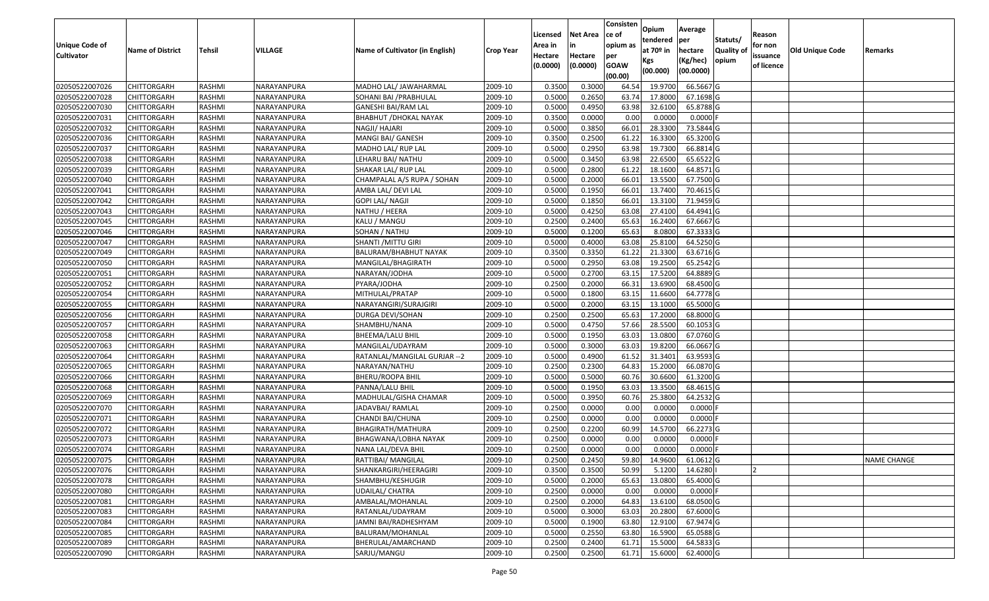| <b>Unique Code of</b> |                         |               |             |                                 |                  | Licensed<br>Area in | <b>Net Area</b><br>in | Consisten<br>ce of<br>opium as | Opium<br>tendered              | Average<br>per                   | Statuts/            | Reason<br>for non      |                        |                    |
|-----------------------|-------------------------|---------------|-------------|---------------------------------|------------------|---------------------|-----------------------|--------------------------------|--------------------------------|----------------------------------|---------------------|------------------------|------------------------|--------------------|
| <b>Cultivator</b>     | <b>Name of District</b> | <b>Tehsil</b> | VILLAGE     | Name of Cultivator (in English) | <b>Crop Year</b> | Hectare<br>(0.0000) | Hectare<br>(0.0000)   | per<br><b>GOAW</b><br>(00.00)  | at $70°$ in<br>Kgs<br>(00.000) | hectare<br>(Kg/hec)<br>(00.0000) | Quality of<br>opium | issuance<br>of licence | <b>Old Unique Code</b> | Remarks            |
| 02050522007026        | <b>CHITTORGARH</b>      | RASHMI        | NARAYANPURA | MADHO LAL/ JAWAHARMAL           | 2009-10          | 0.3500              | 0.3000                | 64.54                          | 19.9700                        | 66.5667 G                        |                     |                        |                        |                    |
| 02050522007028        | CHITTORGARH             | RASHMI        | NARAYANPURA | SOHANI BAI /PRABHULAL           | 2009-10          | 0.5000              | 0.2650                | 63.7                           | 17.8000                        | 67.1698 G                        |                     |                        |                        |                    |
| 02050522007030        | CHITTORGARH             | RASHMI        | NARAYANPURA | GANESHI BAI/RAM LAL             | 2009-10          | 0.5000              | 0.4950                | 63.98                          | 32.6100                        | 65.8788 G                        |                     |                        |                        |                    |
| 02050522007031        | <b>CHITTORGARH</b>      | RASHMI        | NARAYANPURA | BHABHUT / DHOKAL NAYAK          | 2009-10          | 0.3500              | 0.0000                | 0.00                           | 0.0000                         | $0.0000$ F                       |                     |                        |                        |                    |
| 02050522007032        | <b>CHITTORGARH</b>      | RASHMI        | NARAYANPURA | NAGJI/ HAJARI                   | 2009-10          | 0.5000              | 0.3850                | 66.01                          | 28.3300                        | 73.5844 G                        |                     |                        |                        |                    |
| 02050522007036        | <b>CHITTORGARH</b>      | RASHMI        | NARAYANPURA | MANGI BAI/ GANESH               | 2009-10          | 0.350               | 0.2500                | 61.22                          | 16.3300                        | 65.3200 G                        |                     |                        |                        |                    |
| 02050522007037        | <b>CHITTORGARH</b>      | RASHMI        | NARAYANPURA | MADHO LAL/ RUP LAL              | 2009-10          | 0.5000              | 0.2950                | 63.98                          | 19.7300                        | 66.8814 G                        |                     |                        |                        |                    |
| 02050522007038        | <b>CHITTORGARH</b>      | RASHMI        | NARAYANPURA | LEHARU BAI/ NATHU               | 2009-10          | 0.5000              | 0.3450                | 63.98                          | 22.6500                        | 65.6522 G                        |                     |                        |                        |                    |
| 02050522007039        | <b>CHITTORGARH</b>      | RASHMI        | NARAYANPURA | SHAKAR LAL/ RUP LAL             | 2009-10          | 0.5000              | 0.2800                | 61.22                          | 18.1600                        | 64.8571 G                        |                     |                        |                        |                    |
| 02050522007040        | CHITTORGARH             | RASHMI        | NARAYANPURA | CHAMPALAL A/S RUPA / SOHAN      | 2009-10          | 0.5000              | 0.2000                | 66.01                          | 13.5500                        | 67.7500 G                        |                     |                        |                        |                    |
| 02050522007041        | <b>CHITTORGARH</b>      | RASHMI        | NARAYANPURA | AMBA LAL/ DEVI LAL              | 2009-10          | 0.5000              | 0.1950                | 66.01                          | 13.7400                        | 70.4615 G                        |                     |                        |                        |                    |
| 02050522007042        | CHITTORGARH             | RASHMI        | NARAYANPURA | <b>GOPI LAL/ NAGJI</b>          | 2009-10          | 0.5000              | 0.1850                | 66.01                          | 13.3100                        | 71.9459 G                        |                     |                        |                        |                    |
| 02050522007043        | CHITTORGARH             | RASHMI        | NARAYANPURA | NATHU / HEERA                   | 2009-10          | 0.5000              | 0.4250                | 63.08                          | 27.4100                        | 64.4941 G                        |                     |                        |                        |                    |
| 02050522007045        | CHITTORGARH             | RASHMI        | NARAYANPURA | KALU / MANGU                    | 2009-10          | 0.2500              | 0.2400                | 65.63                          | 16.2400                        | 67.6667 G                        |                     |                        |                        |                    |
| 02050522007046        | CHITTORGARH             | RASHMI        | NARAYANPURA | SOHAN / NATHU                   | 2009-10          | 0.5000              | 0.1200                | 65.63                          | 8.0800                         | 67.3333 G                        |                     |                        |                        |                    |
| 02050522007047        | CHITTORGARH             | RASHMI        | NARAYANPURA | SHANTI /MITTU GIRI              | 2009-10          | 0.5000              | 0.4000                | 63.08                          | 25.8100                        | 64.5250 G                        |                     |                        |                        |                    |
| 02050522007049        | CHITTORGARH             | RASHMI        | NARAYANPURA | BALURAM/BHABHUT NAYAK           | 2009-10          | 0.3500              | 0.3350                | 61.22                          | 21.3300                        | 63.6716 G                        |                     |                        |                        |                    |
| 02050522007050        | CHITTORGARH             | RASHMI        | NARAYANPURA | MANGILAL/BHAGIRATH              | 2009-10          | 0.5000              | 0.2950                | 63.08                          | 19.2500                        | 65.2542 G                        |                     |                        |                        |                    |
| 02050522007051        | CHITTORGARH             | RASHMI        | NARAYANPURA | NARAYAN/JODHA                   | 2009-10          | 0.5000              | 0.2700                | 63.15                          | 17.5200                        | 64.8889 G                        |                     |                        |                        |                    |
| 02050522007052        | CHITTORGARH             | RASHMI        | NARAYANPURA | PYARA/JODHA                     | 2009-10          | 0.2500              | 0.2000                | 66.3                           | 13.6900                        | 68.4500 G                        |                     |                        |                        |                    |
| 02050522007054        | <b>CHITTORGARH</b>      | RASHMI        | NARAYANPURA | MITHULAL/PRATAP                 | 2009-10          | 0.5000              | 0.1800                | 63.15                          | 11.6600                        | 64.7778 G                        |                     |                        |                        |                    |
| 02050522007055        | CHITTORGARH             | RASHMI        | NARAYANPURA | NARAYANGIRI/SURAJGIRI           | 2009-10          | 0.5000              | 0.2000                | 63.15                          | 13.1000                        | 65.5000G                         |                     |                        |                        |                    |
| 02050522007056        | CHITTORGARH             | RASHMI        | NARAYANPURA | DURGA DEVI/SOHAN                | 2009-10          | 0.2500              | 0.2500                | 65.63                          | 17.2000                        | 68.8000 G                        |                     |                        |                        |                    |
| 02050522007057        | CHITTORGARH             | RASHMI        | NARAYANPURA | SHAMBHU/NANA                    | 2009-10          | 0.5000              | 0.4750                | 57.66                          | 28.5500                        | 60.1053 G                        |                     |                        |                        |                    |
| 02050522007058        | <b>CHITTORGARH</b>      | RASHMI        | NARAYANPURA | BHEEMA/LALU BHIL                | 2009-10          | 0.5000              | 0.1950                | 63.03                          | 13.0800                        | 67.0760 G                        |                     |                        |                        |                    |
| 02050522007063        | CHITTORGARH             | RASHMI        | NARAYANPURA | MANGILAL/UDAYRAM                | 2009-10          | 0.5000              | 0.3000                | 63.03                          | 19.8200                        | 66.0667 G                        |                     |                        |                        |                    |
| 02050522007064        | CHITTORGARH             | RASHMI        | NARAYANPURA | RATANLAL/MANGILAL GURJAR -- 2   | 2009-10          | 0.5000              | 0.4900                | 61.52                          | 31.3401                        | 63.9593 G                        |                     |                        |                        |                    |
| 02050522007065        | CHITTORGARH             | RASHMI        | NARAYANPURA | NARAYAN/NATHU                   | 2009-10          | 0.2500              | 0.2300                | 64.83                          | 15.2000                        | 66.0870 G                        |                     |                        |                        |                    |
| 02050522007066        | <b>CHITTORGARH</b>      | RASHMI        | NARAYANPURA | BHERU/ROOPA BHIL                | 2009-10          | 0.5000              | 0.5000                | 60.76                          | 30.6600                        | 61.3200 G                        |                     |                        |                        |                    |
| 02050522007068        | <b>CHITTORGARH</b>      | RASHMI        | NARAYANPURA | PANNA/LALU BHIL                 | 2009-10          | 0.5000              | 0.1950                | 63.03                          | 13.3500                        | 68.4615 G                        |                     |                        |                        |                    |
| 02050522007069        | CHITTORGARH             | RASHMI        | NARAYANPURA | MADHULAL/GISHA CHAMAR           | 2009-10          | 0.5000              | 0.3950                | 60.76                          | 25.3800                        | 64.2532 G                        |                     |                        |                        |                    |
| 02050522007070        | CHITTORGARH             | RASHMI        | NARAYANPURA | JADAVBAI/ RAMLAL                | 2009-10          | 0.2500              | 0.0000                | 0.00                           | 0.0000                         | $0.0000$ F                       |                     |                        |                        |                    |
| 02050522007071        | <b>CHITTORGARH</b>      | RASHMI        | NARAYANPURA | CHANDI BAI/CHUNA                | 2009-10          | 0.2500              | 0.0000                | 0.00                           | 0.0000                         | 0.0000                           |                     |                        |                        |                    |
| 02050522007072        | <b>CHITTORGARH</b>      | RASHMI        | NARAYANPURA | BHAGIRATH/MATHURA               | 2009-10          | 0.2500              | 0.2200                | 60.99                          | 14.5700                        | 66.2273 G                        |                     |                        |                        |                    |
| 02050522007073        | CHITTORGARH             | RASHMI        | NARAYANPURA | BHAGWANA/LOBHA NAYAK            | 2009-10          | 0.250               | 0.0000                | 0.00                           | 0.000                          | 0.0000                           |                     |                        |                        |                    |
| 02050522007074        | CHITTORGARH             | RASHMI        | NARAYANPURA | NANA LAL/DEVA BHIL              | 2009-10          | 0.2500              | 0.0000                | 0.00                           | 0.0000                         | 0.0000                           |                     |                        |                        |                    |
| 02050522007075        | <b>CHITTORGARH</b>      | RASHMI        | NARAYANPURA | RATTIBAI/ MANGILAL              | 2009-10          | 0.2500              | 0.2450                | 59.80                          | 14.9600                        | 61.0612 G                        |                     |                        |                        | <b>NAME CHANGE</b> |
| 02050522007076        | CHITTORGARH             | RASHMI        | NARAYANPURA | SHANKARGIRI/HEERAGIRI           | 2009-10          | 0.3500              | 0.3500                | 50.99                          | 5.1200                         | 14.6280                          |                     |                        |                        |                    |
| 02050522007078        | <b>CHITTORGARH</b>      | RASHMI        | NARAYANPURA | SHAMBHU/KESHUGIR                | 2009-10          | 0.5000              | 0.2000                | 65.63                          | 13.0800                        | 65.4000 G                        |                     |                        |                        |                    |
| 02050522007080        | <b>CHITTORGARH</b>      | RASHMI        | NARAYANPURA | UDAILAL/ CHATRA                 | 2009-10          | 0.2500              | 0.0000                | 0.00                           | 0.0000                         | $0.0000$ F                       |                     |                        |                        |                    |
| 02050522007081        | <b>CHITTORGARH</b>      | RASHMI        | NARAYANPURA | AMBALAL/MOHANLAL                | 2009-10          | 0.2500              | 0.2000                | 64.83                          | 13.6100                        | 68.0500 G                        |                     |                        |                        |                    |
| 02050522007083        | <b>CHITTORGARH</b>      | RASHMI        | NARAYANPURA | RATANLAL/UDAYRAM                | 2009-10          | 0.5000              | 0.3000                | 63.03                          | 20.2800                        | 67.6000 G                        |                     |                        |                        |                    |
| 02050522007084        | <b>CHITTORGARH</b>      | RASHMI        | NARAYANPURA | JAMNI BAI/RADHESHYAM            | 2009-10          | 0.5000              | 0.1900                | 63.80                          | 12.9100                        | 67.9474 G                        |                     |                        |                        |                    |
| 02050522007085        | <b>CHITTORGARH</b>      | RASHMI        | NARAYANPURA | BALURAM/MOHANLAL                | 2009-10          | 0.5000              | 0.2550                | 63.80                          | 16.5900                        | 65.0588 G                        |                     |                        |                        |                    |
| 02050522007089        | <b>CHITTORGARH</b>      | RASHMI        | NARAYANPURA | BHERULAL/AMARCHAND              | 2009-10          | 0.2500              | 0.2400                | 61.71                          | 15.5000                        | 64.5833 G                        |                     |                        |                        |                    |
| 02050522007090        | <b>CHITTORGARH</b>      | RASHMI        | NARAYANPURA | SARJU/MANGU                     | 2009-10          | 0.2500              | 0.2500                | 61.71                          | 15.6000                        | 62.4000 G                        |                     |                        |                        |                    |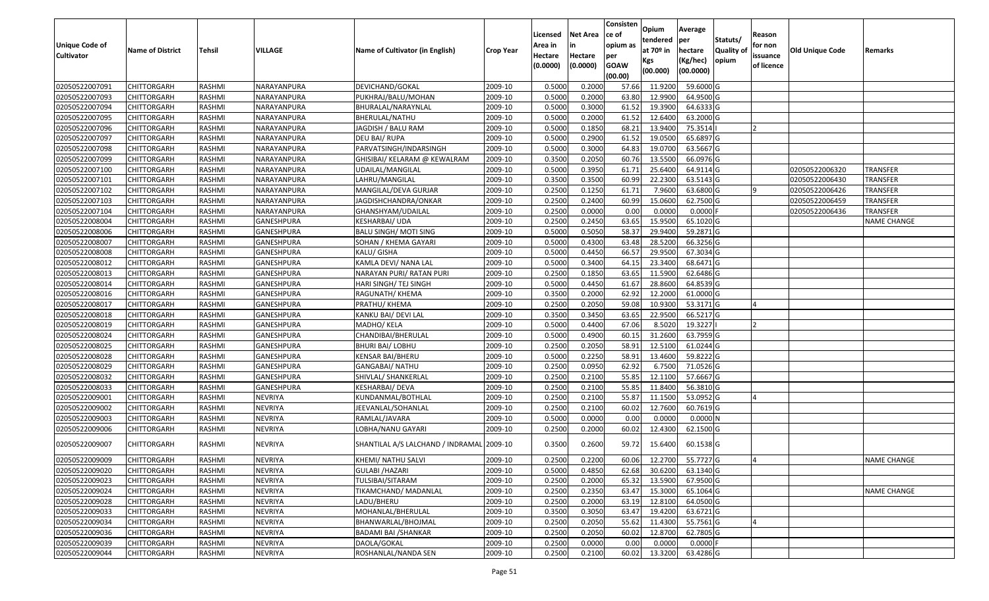| <b>Unique Code of</b><br><b>Cultivator</b> | <b>Name of District</b> | <b>Tehsil</b> | VILLAGE           | Name of Cultivator (in English)           | <b>Crop Year</b> | Licensed<br>Area in<br>Hectare<br>(0.0000) | <b>Net Area</b><br>in<br>Hectare<br>(0.0000) | Consisten<br>ce of<br>opium as<br>per<br><b>GOAW</b><br>(00.00) | Opium<br>tendered<br>at $70°$ in<br>Kgs<br>(00.000) | Average<br>per<br>hectare<br>(Kg/hec)<br>(00.0000) | Statuts/<br>Quality of<br>opium | Reason<br>for non<br>issuance<br>of licence | <b>Old Unique Code</b> | Remarks            |
|--------------------------------------------|-------------------------|---------------|-------------------|-------------------------------------------|------------------|--------------------------------------------|----------------------------------------------|-----------------------------------------------------------------|-----------------------------------------------------|----------------------------------------------------|---------------------------------|---------------------------------------------|------------------------|--------------------|
| 02050522007091                             | <b>CHITTORGARH</b>      | RASHMI        | NARAYANPURA       | DEVICHAND/GOKAL                           | 2009-10          | 0.5000                                     | 0.2000                                       | 57.66                                                           | 11.9200                                             | 59.6000G                                           |                                 |                                             |                        |                    |
| 02050522007093                             | CHITTORGARH             | RASHMI        | NARAYANPURA       | PUKHRAJ/BALU/MOHAN                        | 2009-10          | 0.5000                                     | 0.2000                                       | 63.80                                                           | 12.9900                                             | 64.9500 G                                          |                                 |                                             |                        |                    |
| 02050522007094                             | CHITTORGARH             | RASHMI        | NARAYANPURA       | BHURALAL/NARAYNLAL                        | 2009-10          | 0.5000                                     | 0.3000                                       | 61.52                                                           | 19.3900                                             | 64.6333 G                                          |                                 |                                             |                        |                    |
| 02050522007095                             | <b>CHITTORGARH</b>      | <b>RASHMI</b> | NARAYANPURA       | BHERULAL/NATHU                            | 2009-10          | 0.5000                                     | 0.2000                                       | 61.52                                                           | 12.6400                                             | 63.2000 G                                          |                                 |                                             |                        |                    |
| 02050522007096                             | <b>CHITTORGARH</b>      | RASHMI        | NARAYANPURA       | JAGDISH / BALU RAM                        | 2009-10          | 0.5000                                     | 0.1850                                       | 68.21                                                           | 13.9400                                             | 75.3514                                            |                                 | $\overline{2}$                              |                        |                    |
| 02050522007097                             | CHITTORGARH             | RASHMI        | NARAYANPURA       | DEU BAI/ RUPA                             | 2009-10          | 0.500                                      | 0.2900                                       | 61.52                                                           | 19.0500                                             | 65.6897 G                                          |                                 |                                             |                        |                    |
| 02050522007098                             | <b>CHITTORGARH</b>      | RASHMI        | NARAYANPURA       | PARVATSINGH/INDARSINGH                    | 2009-10          | 0.5000                                     | 0.3000                                       | 64.83                                                           | 19.0700                                             | 63.5667 G                                          |                                 |                                             |                        |                    |
| 02050522007099                             | <b>CHITTORGARH</b>      | RASHMI        | NARAYANPURA       | GHISIBAI/ KELARAM @ KEWALRAM              | 2009-10          | 0.3500                                     | 0.2050                                       | 60.76                                                           | 13.5500                                             | 66.0976 G                                          |                                 |                                             |                        |                    |
| 02050522007100                             | <b>CHITTORGARH</b>      | RASHMI        | NARAYANPURA       | UDAILAL/MANGILAL                          | 2009-10          | 0.5000                                     | 0.3950                                       | 61.71                                                           | 25.6400                                             | 64.9114 G                                          |                                 |                                             | 02050522006320         | <b>TRANSFER</b>    |
| 02050522007101                             | CHITTORGARH             | RASHMI        | NARAYANPURA       | LAHRU/MANGILAL                            | 2009-10          | 0.3500                                     | 0.3500                                       | 60.99                                                           | 22.2300                                             | 63.5143 G                                          |                                 |                                             | 02050522006430         | <b>TRANSFER</b>    |
| 02050522007102                             | <b>CHITTORGARH</b>      | RASHMI        | NARAYANPURA       | MANGILAL/DEVA GURJAR                      | 2009-10          | 0.2500                                     | 0.1250                                       | 61.7                                                            | 7.9600                                              | 63.6800 G                                          |                                 |                                             | 02050522006426         | <b>TRANSFER</b>    |
| 02050522007103                             | CHITTORGARH             | RASHMI        | NARAYANPURA       | JAGDISHCHANDRA/ONKAR                      | 2009-10          | 0.2500                                     | 0.2400                                       | 60.99                                                           | 15.0600                                             | 62.7500 G                                          |                                 |                                             | 02050522006459         | <b>TRANSFER</b>    |
| 02050522007104                             | CHITTORGARH             | RASHMI        | NARAYANPURA       | GHANSHYAM/UDAILAL                         | 2009-10          | 0.2500                                     | 0.0000                                       | 0.00                                                            | 0.0000                                              | 0.0000                                             |                                 |                                             | 02050522006436         | <b>TRANSFER</b>    |
| 02050522008004                             | CHITTORGARH             | RASHMI        | GANESHPURA        | KESHARBAI/ UDA                            | 2009-10          | 0.2500                                     | 0.2450                                       | 63.65                                                           | 15.9500                                             | 65.1020 G                                          |                                 |                                             |                        | <b>NAME CHANGE</b> |
| 02050522008006                             | CHITTORGARH             | RASHMI        | GANESHPURA        | <b>BALU SINGH/ MOTI SING</b>              | 2009-10          | 0.5000                                     | 0.5050                                       | 58.37                                                           | 29.9400                                             | 59.2871G                                           |                                 |                                             |                        |                    |
| 02050522008007                             | CHITTORGARH             | RASHMI        | GANESHPURA        | SOHAN / KHEMA GAYARI                      | 2009-10          | 0.5000                                     | 0.4300                                       | 63.48                                                           | 28.5200                                             | 66.3256 G                                          |                                 |                                             |                        |                    |
| 02050522008008                             | CHITTORGARH             | RASHMI        | <b>GANESHPURA</b> | KALU/ GISHA                               | 2009-10          | 0.5000                                     | 0.4450                                       | 66.57                                                           | 29.9500                                             | 67.3034 G                                          |                                 |                                             |                        |                    |
| 02050522008012                             | <b>CHITTORGARH</b>      | RASHMI        | GANESHPURA        | KAMLA DEVI/ NANA LAL                      | 2009-10          | 0.5000                                     | 0.3400                                       | 64.15                                                           | 23.3400                                             | 68.6471 G                                          |                                 |                                             |                        |                    |
| 02050522008013                             | CHITTORGARH             | RASHMI        | GANESHPURA        | NARAYAN PURI/ RATAN PURI                  | 2009-10          | 0.2500                                     | 0.1850                                       | 63.65                                                           | 11.5900                                             | 62.6486 G                                          |                                 |                                             |                        |                    |
| 02050522008014                             | CHITTORGARH             | RASHMI        | GANESHPURA        | HARI SINGH/ TEJ SINGH                     | 2009-10          | 0.5000                                     | 0.4450                                       | 61.67                                                           | 28.8600                                             | 64.8539 G                                          |                                 |                                             |                        |                    |
| 02050522008016                             | <b>CHITTORGARH</b>      | RASHMI        | <b>GANESHPURA</b> | RAGUNATH/ KHEMA                           | 2009-10          | 0.3500                                     | 0.2000                                       | 62.92                                                           | 12.2000                                             | 61.0000G                                           |                                 |                                             |                        |                    |
| 02050522008017                             | CHITTORGARH             | RASHMI        | GANESHPURA        | PRATHU/ KHEMA                             | 2009-10          | 0.2500                                     | 0.2050                                       | 59.08                                                           | 10.9300                                             | 53.3171 G                                          |                                 |                                             |                        |                    |
| 02050522008018                             | CHITTORGARH             | RASHMI        | GANESHPURA        | KANKU BAI/ DEVI LAL                       | 2009-10          | 0.3500                                     | 0.3450                                       | 63.65                                                           | 22.9500                                             | 66.5217 G                                          |                                 |                                             |                        |                    |
| 02050522008019                             | CHITTORGARH             | RASHMI        | GANESHPURA        | MADHO/ KELA                               | 2009-10          | 0.5000                                     | 0.4400                                       | 67.06                                                           | 8.5020                                              | 19.3227                                            |                                 |                                             |                        |                    |
| 02050522008024                             | CHITTORGARH             | RASHMI        | <b>GANESHPURA</b> | CHANDIBAI/BHERULAL                        | 2009-10          | 0.5000                                     | 0.4900                                       | 60.15                                                           | 31.2600                                             | 63.7959 G                                          |                                 |                                             |                        |                    |
| 02050522008025                             | CHITTORGARH             | RASHMI        | <b>GANESHPURA</b> | <b>BHURI BAI/ LOBHU</b>                   | 2009-10          | 0.2500                                     | 0.2050                                       | 58.9                                                            | 12.5100                                             | 61.0244 G                                          |                                 |                                             |                        |                    |
| 02050522008028                             | CHITTORGARH             | RASHMI        | GANESHPURA        | KENSAR BAI/BHERU                          | 2009-10          | 0.5000                                     | 0.2250                                       | 58.9                                                            | 13.4600                                             | 59.8222G                                           |                                 |                                             |                        |                    |
| 02050522008029                             | CHITTORGARH             | RASHMI        | GANESHPURA        | GANGABAI/ NATHU                           | 2009-10          | 0.2500                                     | 0.0950                                       | 62.92                                                           | 6.7500                                              | 71.0526 G                                          |                                 |                                             |                        |                    |
| 02050522008032                             | <b>CHITTORGARH</b>      | RASHMI        | GANESHPURA        | SHIVLAL/ SHANKERLAL                       | 2009-10          | 0.2500                                     | 0.2100                                       | 55.85                                                           | 12.1100                                             | 57.6667 G                                          |                                 |                                             |                        |                    |
| 02050522008033                             | <b>CHITTORGARH</b>      | RASHMI        | GANESHPURA        | <b>KESHARBAI/ DEVA</b>                    | 2009-10          | 0.2500                                     | 0.2100                                       | 55.85                                                           | 11.8400                                             | 56.3810 G                                          |                                 |                                             |                        |                    |
| 02050522009001                             | CHITTORGARH             | RASHMI        | <b>NEVRIYA</b>    | KUNDANMAL/BOTHLAL                         | 2009-10          | 0.2500                                     | 0.2100                                       | 55.87                                                           | 11.1500                                             | 53.0952 G                                          |                                 |                                             |                        |                    |
| 02050522009002                             | CHITTORGARH             | RASHMI        | <b>NEVRIYA</b>    | JEEVANLAL/SOHANLAL                        | 2009-10          | 0.2500                                     | 0.2100                                       | 60.02                                                           | 12.7600                                             | 60.7619G                                           |                                 |                                             |                        |                    |
| 02050522009003                             | <b>CHITTORGARH</b>      | RASHMI        | <b>NEVRIYA</b>    | RAMLAL/JAVARA                             | 2009-10          | 0.5000                                     | 0.0000                                       | 0.00                                                            | 0.0000                                              | 0.0000N                                            |                                 |                                             |                        |                    |
| 02050522009006                             | CHITTORGARH             | RASHMI        | <b>NEVRIYA</b>    | LOBHA/NANU GAYARI                         | 2009-10          | 0.2500                                     | 0.2000                                       | 60.02                                                           | 12.4300                                             | 62.1500 G                                          |                                 |                                             |                        |                    |
| 02050522009007                             | CHITTORGARH             | RASHMI        | <b>NEVRIYA</b>    | SHANTILAL A/S LALCHAND / INDRAMAL 2009-10 |                  | 0.3500                                     | 0.2600                                       | 59.72                                                           | 15.6400                                             | 60.1538 G                                          |                                 |                                             |                        |                    |
| 02050522009009                             | <b>CHITTORGARH</b>      | RASHMI        | <b>NEVRIYA</b>    | KHEMI/ NATHU SALVI                        | 2009-10          | 0.2500                                     | 0.2200                                       | 60.06                                                           |                                                     | 12.2700 55.7727 G                                  |                                 |                                             |                        | <b>NAME CHANGE</b> |
| 02050522009020                             | <b>CHITTORGARH</b>      | RASHMI        | <b>NEVRIYA</b>    | <b>GULABI /HAZARI</b>                     | 2009-10          | 0.5000                                     | 0.4850                                       | 62.68                                                           | 30.6200                                             | 63.1340 G                                          |                                 |                                             |                        |                    |
| 02050522009023                             | <b>CHITTORGARH</b>      | RASHMI        | <b>NEVRIYA</b>    | TULSIBAI/SITARAM                          | 2009-10          | 0.2500                                     | 0.2000                                       | 65.32                                                           | 13.5900                                             | 67.9500 G                                          |                                 |                                             |                        |                    |
| 02050522009024                             | <b>CHITTORGARH</b>      | RASHMI        | <b>NEVRIYA</b>    | TIKAMCHAND/ MADANLAL                      | 2009-10          | 0.2500                                     | 0.2350                                       | 63.47                                                           | 15.3000                                             | 65.1064 G                                          |                                 |                                             |                        | <b>NAME CHANGE</b> |
| 02050522009028                             | <b>CHITTORGARH</b>      | RASHMI        | <b>NEVRIYA</b>    | LADU/BHERU                                | 2009-10          | 0.2500                                     | 0.2000                                       | 63.19                                                           | 12.8100                                             | 64.0500 G                                          |                                 |                                             |                        |                    |
| 02050522009033                             | <b>CHITTORGARH</b>      | RASHMI        | <b>NEVRIYA</b>    | MOHANLAL/BHERULAL                         | 2009-10          | 0.3500                                     | 0.3050                                       | 63.47                                                           | 19.4200                                             | 63.6721 G                                          |                                 |                                             |                        |                    |
| 02050522009034                             | <b>CHITTORGARH</b>      | RASHMI        | NEVRIYA           | BHANWARLAL/BHOJMAL                        | 2009-10          | 0.2500                                     | 0.2050                                       | 55.62                                                           | 11.4300                                             | 55.7561 G                                          |                                 |                                             |                        |                    |
| 02050522009036                             | <b>CHITTORGARH</b>      | RASHMI        | <b>NEVRIYA</b>    | <b>BADAMI BAI /SHANKAR</b>                | 2009-10          | 0.2500                                     | 0.2050                                       | 60.02                                                           | 12.8700                                             | 62.7805 G                                          |                                 |                                             |                        |                    |
| 02050522009039                             | CHITTORGARH             | RASHMI        | NEVRIYA           | DAOLA/GOKAL                               | 2009-10          | 0.2500                                     | 0.0000                                       | 0.00                                                            | 0.0000                                              | $0.0000$ F                                         |                                 |                                             |                        |                    |
| 02050522009044                             | <b>CHITTORGARH</b>      | RASHMI        | NEVRIYA           | ROSHANLAL/NANDA SEN                       | 2009-10          | 0.2500                                     | 0.2100                                       | 60.02                                                           | 13.3200                                             | 63.4286 G                                          |                                 |                                             |                        |                    |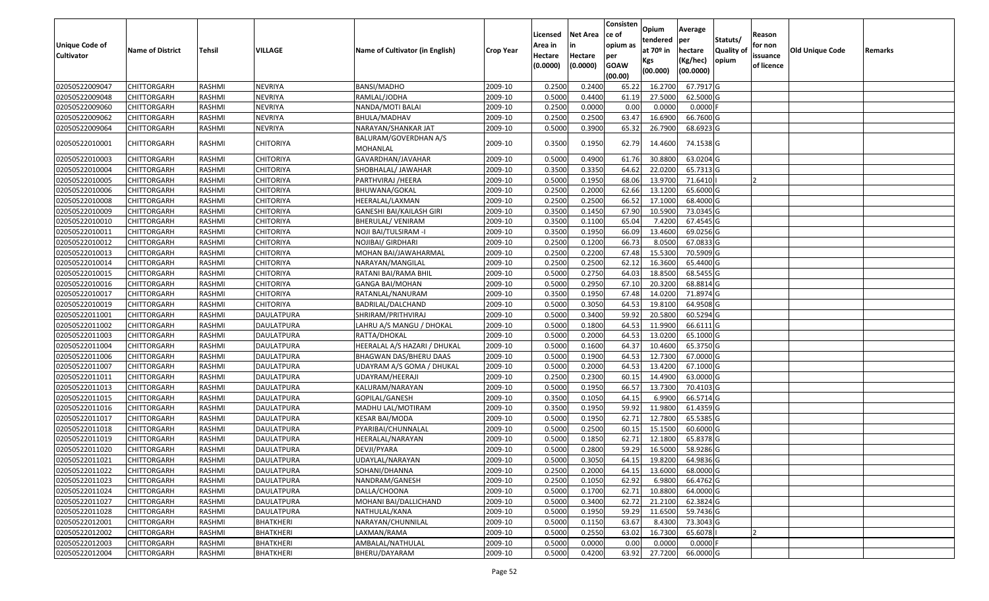| <b>Unique Code of</b><br><b>Cultivator</b> | <b>Name of District</b> | <b>Tehsil</b> | VILLAGE           | Name of Cultivator (in English)   | <b>Crop Year</b> | Licensed<br>Area in<br>Hectare<br>(0.0000) | <b>Net Area</b><br>in<br>Hectare<br>(0.0000) | Consisten<br>ce of<br>opium as<br>per<br><b>GOAW</b><br>(00.00) | Opium<br>tendered<br>at $70°$ in<br>Kgs<br>(00.000) | Average<br>per<br>hectare<br>(Kg/hec)<br>(00.0000) | Statuts/<br>Quality of<br>opium | Reason<br>for non<br>issuance<br>of licence | <b>Old Unique Code</b> | Remarks |
|--------------------------------------------|-------------------------|---------------|-------------------|-----------------------------------|------------------|--------------------------------------------|----------------------------------------------|-----------------------------------------------------------------|-----------------------------------------------------|----------------------------------------------------|---------------------------------|---------------------------------------------|------------------------|---------|
| 02050522009047                             | <b>CHITTORGARH</b>      | RASHMI        | <b>NEVRIYA</b>    | BANSI/MADHO                       | 2009-10          | 0.2500                                     | 0.2400                                       | 65.22                                                           | 16.2700                                             | 67.7917 G                                          |                                 |                                             |                        |         |
| 02050522009048                             | CHITTORGARH             | RASHMI        | <b>NEVRIYA</b>    | RAMLAL/JODHA                      | 2009-10          | 0.5000                                     | 0.4400                                       | 61.19                                                           | 27.5000                                             | 62.5000 G                                          |                                 |                                             |                        |         |
| 02050522009060                             | CHITTORGARH             | RASHMI        | <b>NEVRIYA</b>    | NANDA/MOTI BALAI                  | 2009-10          | 0.2500                                     | 0.0000                                       | 0.00                                                            | 0.0000                                              | $0.0000$ F                                         |                                 |                                             |                        |         |
| 02050522009062                             | CHITTORGARH             | RASHMI        | <b>NEVRIYA</b>    | BHULA/MADHAV                      | 2009-10          | 0.2500                                     | 0.2500                                       | 63.47                                                           | 16.6900                                             | 66.7600 G                                          |                                 |                                             |                        |         |
| 02050522009064                             | CHITTORGARH             | RASHMI        | <b>NEVRIYA</b>    | NARAYAN/SHANKAR JAT               | 2009-10          | 0.5000                                     | 0.3900                                       | 65.32                                                           | 26.7900                                             | 68.6923 G                                          |                                 |                                             |                        |         |
| 02050522010001                             | CHITTORGARH             | RASHMI        | <b>CHITORIYA</b>  | BALURAM/GOVERDHAN A/S<br>MOHANLAL | 2009-10          | 0.3500                                     | 0.1950                                       | 62.79                                                           | 14.4600                                             | 74.1538 G                                          |                                 |                                             |                        |         |
| 02050522010003                             | <b>CHITTORGARH</b>      | RASHMI        | <b>CHITORIYA</b>  | GAVARDHAN/JAVAHAR                 | 2009-10          | 0.5000                                     | 0.4900                                       | 61.76                                                           | 30.8800                                             | 63.0204 G                                          |                                 |                                             |                        |         |
| 02050522010004                             | CHITTORGARH             | RASHMI        | <b>CHITORIYA</b>  | SHOBHALAL/ JAWAHAR                | 2009-10          | 0.3500                                     | 0.3350                                       | 64.62                                                           | 22.0200                                             | 65.7313 G                                          |                                 |                                             |                        |         |
| 02050522010005                             | CHITTORGARH             | RASHMI        | CHITORIYA         | PARTHVIRAJ /HEERA                 | 2009-10          | 0.5000                                     | 0.1950                                       | 68.06                                                           | 13.9700                                             | 71.6410                                            |                                 |                                             |                        |         |
| 02050522010006                             | CHITTORGARH             | RASHMI        | <b>CHITORIYA</b>  | BHUWANA/GOKAL                     | 2009-10          | 0.2500                                     | 0.2000                                       | 62.66                                                           | 13.1200                                             | 65.6000G                                           |                                 |                                             |                        |         |
| 02050522010008                             | <b>CHITTORGARH</b>      | RASHMI        | <b>CHITORIYA</b>  | HEERALAL/LAXMAN                   | 2009-10          | 0.2500                                     | 0.2500                                       | 66.52                                                           | 17.1000                                             | 68.4000 G                                          |                                 |                                             |                        |         |
| 02050522010009                             | CHITTORGARH             | RASHMI        | <b>CHITORIYA</b>  | GANESHI BAI/KAILASH GIRI          | 2009-10          | 0.3500                                     | 0.1450                                       | 67.90                                                           | 10.5900                                             | 73.0345 G                                          |                                 |                                             |                        |         |
| 02050522010010                             | CHITTORGARH             | RASHMI        | <b>CHITORIYA</b>  | BHERULAL/ VENIRAM                 | 2009-10          | 0.3500                                     | 0.1100                                       | 65.04                                                           | 7.4200                                              | 67.4545 G                                          |                                 |                                             |                        |         |
| 02050522010011                             | CHITTORGARH             | RASHMI        | CHITORIYA         | NOJI BAI/TULSIRAM -I              | 2009-10          | 0.3500                                     | 0.1950                                       | 66.09                                                           | 13.4600                                             | 69.0256 G                                          |                                 |                                             |                        |         |
| 02050522010012                             | CHITTORGARH             | RASHMI        | CHITORIYA         | NOJIBAI/ GIRDHARI                 | 2009-10          | 0.2500                                     | 0.1200                                       | 66.73                                                           | 8.0500                                              | 67.0833 G                                          |                                 |                                             |                        |         |
| 02050522010013                             | CHITTORGARH             | RASHMI        | <b>CHITORIYA</b>  | MOHAN BAI/JAWAHARMAL              | 2009-10          | 0.2500                                     | 0.2200                                       | 67.48                                                           | 15.5300                                             | 70.5909 G                                          |                                 |                                             |                        |         |
| 02050522010014                             | CHITTORGARH             | RASHMI        | <b>CHITORIYA</b>  | NARAYAN/MANGILAL                  | 2009-10          | 0.2500                                     | 0.2500                                       | 62.12                                                           | 16.3600                                             | 65.4400 G                                          |                                 |                                             |                        |         |
| 02050522010015                             | CHITTORGARH             | RASHMI        | <b>CHITORIYA</b>  | RATANI BAI/RAMA BHIL              | 2009-10          | 0.5000                                     | 0.2750                                       | 64.03                                                           | 18.8500                                             | 68.5455 G                                          |                                 |                                             |                        |         |
| 02050522010016                             | CHITTORGARH             | RASHMI        | CHITORIYA         | <b>GANGA BAI/MOHAN</b>            | 2009-10          | 0.5000                                     | 0.2950                                       | 67.10                                                           | 20.3200                                             | 68.8814 G                                          |                                 |                                             |                        |         |
| 02050522010017                             | <b>CHITTORGARH</b>      | RASHMI        | <b>CHITORIYA</b>  | RATANLAL/NANURAM                  | 2009-10          | 0.3500                                     | 0.1950                                       | 67.48                                                           | 14.0200                                             | 71.8974 G                                          |                                 |                                             |                        |         |
| 02050522010019                             | CHITTORGARH             | RASHMI        | <b>CHITORIYA</b>  | BADRILAL/DALCHAND                 | 2009-10          | 0.5000                                     | 0.3050                                       | 64.53                                                           | 19.8100                                             | 64.9508 G                                          |                                 |                                             |                        |         |
| 02050522011001                             | CHITTORGARH             | RASHMI        | DAULATPURA        | SHRIRAM/PRITHVIRAJ                | 2009-10          | 0.5000                                     | 0.3400                                       | 59.92                                                           | 20.5800                                             | 60.5294 G                                          |                                 |                                             |                        |         |
| 02050522011002                             | CHITTORGARH             | RASHMI        | DAULATPURA        | LAHRU A/S MANGU / DHOKAL          | 2009-10          | 0.5000                                     | 0.1800                                       | 64.53                                                           | 11.9900                                             | 66.6111G                                           |                                 |                                             |                        |         |
| 02050522011003                             | <b>CHITTORGARH</b>      | RASHMI        | <b>DAULATPURA</b> | RATTA/DHOKAL                      | 2009-10          | 0.5000                                     | 0.2000                                       | 64.53                                                           | 13.0200                                             | 65.1000G                                           |                                 |                                             |                        |         |
| 02050522011004                             | CHITTORGARH             | RASHMI        | <b>DAULATPURA</b> | HEERALAL A/S HAZARI / DHUKAL      | 2009-10          | 0.5000                                     | 0.1600                                       | 64.37                                                           | 10.4600                                             | 65.3750 G                                          |                                 |                                             |                        |         |
| 02050522011006                             | <b>CHITTORGARH</b>      | RASHMI        | <b>DAULATPURA</b> | BHAGWAN DAS/BHERU DAAS            | 2009-10          | 0.5000                                     | 0.1900                                       | 64.53                                                           | 12.7300                                             | 67.0000 G                                          |                                 |                                             |                        |         |
| 02050522011007                             | <b>CHITTORGARH</b>      | RASHMI        | <b>DAULATPURA</b> | UDAYRAM A/S GOMA / DHUKAL         | 2009-10          | 0.5000                                     | 0.2000                                       | 64.53                                                           | 13.4200                                             | 67.1000G                                           |                                 |                                             |                        |         |
| 02050522011011                             | <b>CHITTORGARH</b>      | RASHMI        | DAULATPURA        | UDAYRAM/HEERAJI                   | 2009-10          | 0.2500                                     | 0.2300                                       | 60.15                                                           | 14.4900                                             | 63.0000G                                           |                                 |                                             |                        |         |
| 02050522011013                             | <b>CHITTORGARH</b>      | RASHMI        | <b>DAULATPURA</b> | KALURAM/NARAYAN                   | 2009-10          | 0.5000                                     | 0.1950                                       | 66.57                                                           | 13.7300                                             | 70.4103 G                                          |                                 |                                             |                        |         |
| 02050522011015                             | CHITTORGARH             | RASHMI        | <b>DAULATPURA</b> | GOPILAL/GANESH                    | 2009-10          | 0.3500                                     | 0.1050                                       | 64.15                                                           | 6.9900                                              | 66.5714 G                                          |                                 |                                             |                        |         |
| 02050522011016                             | <b>CHITTORGARH</b>      | RASHMI        | <b>DAULATPURA</b> | MADHU LAL/MOTIRAM                 | 2009-10          | 0.3500                                     | 0.1950                                       | 59.92                                                           | 11.9800                                             | 61.4359 G                                          |                                 |                                             |                        |         |
| 02050522011017                             | CHITTORGARH             | RASHMI        | <b>DAULATPURA</b> | KESAR BAI/MODA                    | 2009-10          | 0.5000                                     | 0.1950                                       | 62.7                                                            | 12.7800                                             | 65.5385 G                                          |                                 |                                             |                        |         |
| 02050522011018                             | <b>CHITTORGARH</b>      | RASHMI        | <b>DAULATPURA</b> | PYARIBAI/CHUNNALAL                | 2009-10          | 0.5000                                     | 0.2500                                       | 60.15                                                           | 15.1500                                             | 60.6000 G                                          |                                 |                                             |                        |         |
| 02050522011019                             | CHITTORGARH             | RASHMI        | <b>DAULATPURA</b> | HEERALAL/NARAYAN                  | 2009-10          | 0.500                                      | 0.1850                                       | 62.7                                                            | 12.1800                                             | 65.8378 G                                          |                                 |                                             |                        |         |
| 02050522011020                             | CHITTORGARH             | RASHMI        | DAULATPURA        | DEVJI/PYARA                       | 2009-10          | 0.500                                      | 0.2800                                       | 59.29                                                           | 16.5000                                             | 58.9286 G                                          |                                 |                                             |                        |         |
| 02050522011021                             | <b>CHITTORGARH</b>      | RASHMI        | DAULATPURA        | UDAYLAL/NARAYAN                   | 2009-10          | 0.5000                                     | 0.3050                                       | 64.15                                                           | 19.8200                                             | 64.9836 G                                          |                                 |                                             |                        |         |
| 02050522011022                             | <b>CHITTORGARH</b>      | RASHMI        | <b>DAULATPURA</b> | SOHANI/DHANNA                     | 2009-10          | 0.2500                                     | 0.2000                                       | 64.15                                                           | 13.6000                                             | 68.0000 G                                          |                                 |                                             |                        |         |
| 02050522011023                             | <b>CHITTORGARH</b>      | RASHMI        | <b>DAULATPURA</b> | NANDRAM/GANESH                    | 2009-10          | 0.2500                                     | 0.1050                                       | 62.92                                                           | 6.9800                                              | 66.4762 G                                          |                                 |                                             |                        |         |
| 02050522011024                             | <b>CHITTORGARH</b>      | RASHMI        | <b>DAULATPURA</b> | DALLA/CHOONA                      | 2009-10          | 0.5000                                     | 0.1700                                       | 62.71                                                           | 10.8800                                             | 64.0000 G                                          |                                 |                                             |                        |         |
| 02050522011027                             | <b>CHITTORGARH</b>      | RASHMI        | DAULATPURA        | MOHANI BAI/DALLICHAND             | 2009-10          | 0.5000                                     | 0.3400                                       | 62.72                                                           | 21.2100                                             | $62.3824$ G                                        |                                 |                                             |                        |         |
| 02050522011028                             | <b>CHITTORGARH</b>      | RASHMI        | <b>DAULATPURA</b> | NATHULAL/KANA                     | 2009-10          | 0.5000                                     | 0.1950                                       | 59.29                                                           | 11.6500                                             | 59.7436 G                                          |                                 |                                             |                        |         |
| 02050522012001                             | <b>CHITTORGARH</b>      | RASHMI        | <b>BHATKHERI</b>  | NARAYAN/CHUNNILAL                 | 2009-10          | 0.5000                                     | 0.1150                                       | 63.67                                                           | 8.4300                                              | 73.3043 G                                          |                                 |                                             |                        |         |
| 02050522012002                             | <b>CHITTORGARH</b>      | RASHMI        | <b>BHATKHERI</b>  | LAXMAN/RAMA                       | 2009-10          | 0.5000                                     | 0.2550                                       | 63.02                                                           | 16.7300                                             | 65.6078                                            |                                 |                                             |                        |         |
| 02050522012003                             | CHITTORGARH             | RASHMI        | BHATKHERI         | AMBALAL/NATHULAL                  | 2009-10          | 0.5000                                     | 0.0000                                       | 0.00                                                            | 0.0000                                              | $0.0000$ F                                         |                                 |                                             |                        |         |
| 02050522012004                             | <b>CHITTORGARH</b>      | RASHMI        | BHATKHERI         | BHERU/DAYARAM                     | 2009-10          | 0.5000                                     | 0.4200                                       | 63.92                                                           | 27.7200                                             | 66.0000 G                                          |                                 |                                             |                        |         |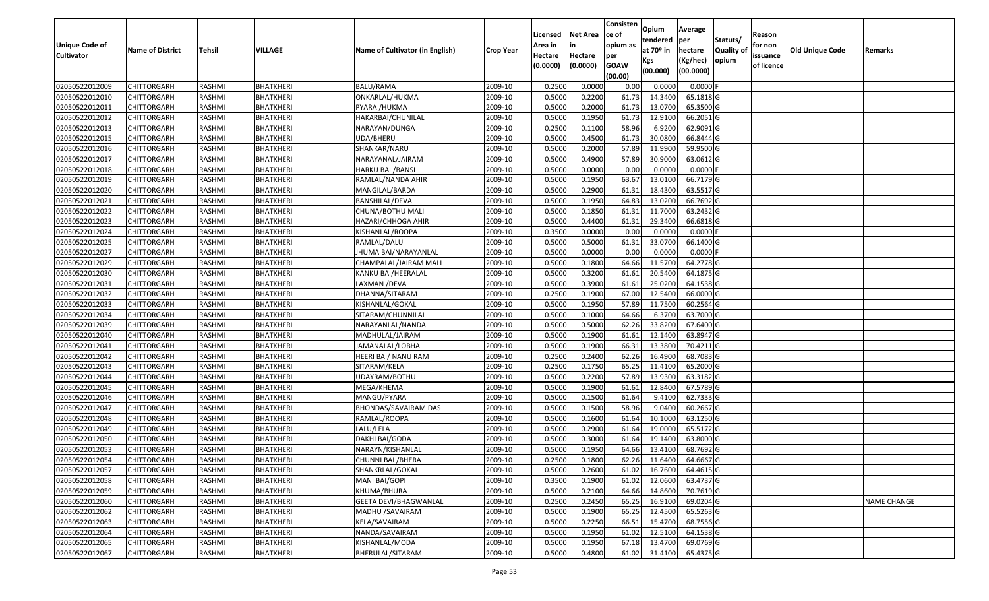|                                  |                            |                  |                               |                                        |                    | Licensed         | <b>Net Area</b>  | Consisten<br>ce of | Opium             | Average                |                  |                   |                 |                    |
|----------------------------------|----------------------------|------------------|-------------------------------|----------------------------------------|--------------------|------------------|------------------|--------------------|-------------------|------------------------|------------------|-------------------|-----------------|--------------------|
| Unique Code of                   |                            |                  |                               |                                        |                    | Area in          | in               | opium as           | tendered          | per                    | Statuts/         | Reason<br>for non |                 |                    |
| <b>Cultivator</b>                | <b>Name of District</b>    | <b>Tehsil</b>    | <b>VILLAGE</b>                | Name of Cultivator (in English)        | <b>Crop Year</b>   | Hectare          | Hectare          | per                | at $70°$ in       | hectare                | <b>Quality o</b> | issuance          | Old Unique Code | Remarks            |
|                                  |                            |                  |                               |                                        |                    | (0.0000)         | (0.0000)         | <b>GOAW</b>        | Kgs               | (Kg/hec)               | opium            | of licence        |                 |                    |
|                                  |                            |                  |                               |                                        |                    |                  |                  | (00.00)            | (00.000)          | (00.0000)              |                  |                   |                 |                    |
| 02050522012009                   | CHITTORGARH                | RASHMI           | <b>BHATKHERI</b>              | <b>BALU/RAMA</b>                       | 2009-10            | 0.2500           | 0.0000           | 0.00               | 0.0000            | 0.0000F                |                  |                   |                 |                    |
| 02050522012010                   | CHITTORGARH                | RASHMI           | <b>BHATKHERI</b>              | ONKARLAL/HUKMA                         | 2009-10            | 0.5000           | 0.2200           | 61.73              | 14.3400           | 65.1818 G              |                  |                   |                 |                    |
| 02050522012011                   | CHITTORGARH                | RASHMI           | BHATKHERI                     | PYARA /HUKMA                           | 2009-10            | 0.5000           | 0.2000           | 61.73              | 13.0700           | 65.3500 G              |                  |                   |                 |                    |
| 02050522012012                   | <b>CHITTORGARH</b>         | RASHMI           | <b>BHATKHERI</b>              | HAKARBAI/CHUNILAL                      | 2009-10            | 0.5000           | 0.1950           | 61.73              | 12.9100           | 66.2051G               |                  |                   |                 |                    |
| 02050522012013                   | CHITTORGARH                | RASHMI           | BHATKHERI                     | NARAYAN/DUNGA                          | 2009-10            | 0.2500           | 0.1100           | 58.96              | 6.9200            | 62.9091 G              |                  |                   |                 |                    |
| 02050522012015                   | CHITTORGARH                | RASHMI           | <b>BHATKHERI</b>              | UDA/BHERU                              | 2009-10            | 0.5000           | 0.4500           | 61.73              | 30.0800           | 66.8444 G              |                  |                   |                 |                    |
| 02050522012016                   | CHITTORGARH                | RASHMI           | BHATKHERI                     | SHANKAR/NARU                           | 2009-10            | 0.5000           | 0.2000           | 57.89              | 11.9900           | 59.9500 G              |                  |                   |                 |                    |
| 02050522012017                   | CHITTORGARH                | <b>RASHMI</b>    | <b>BHATKHERI</b>              | NARAYANAL/JAIRAM                       | 2009-10            | 0.5000           | 0.4900           | 57.89              | 30.9000           | 63.0612G               |                  |                   |                 |                    |
| 02050522012018                   | CHITTORGARH                | RASHMI           | <b>BHATKHERI</b>              | HARKU BAI / BANSI                      | 2009-10            | 0.5000           | 0.0000           | 0.00               | 0.0000            | $0.0000$ F             |                  |                   |                 |                    |
| 02050522012019                   | CHITTORGARH                | RASHMI           | <b>BHATKHERI</b>              | RAMLAL/NANDA AHIR                      | 2009-10            | 0.5000           | 0.1950           | 63.67              | 13.0100           | 66.7179 G              |                  |                   |                 |                    |
| 02050522012020                   | CHITTORGARH                | RASHMI           | BHATKHERI                     | MANGILAL/BARDA                         | 2009-10            | 0.5000           | 0.2900           | 61.31              | 18.4300           | 63.5517 G              |                  |                   |                 |                    |
| 02050522012021                   | <b>CHITTORGARH</b>         | RASHMI           | <b>BHATKHERI</b>              | BANSHILAL/DEVA                         | 2009-10            | 0.5000           | 0.1950           | 64.83              | 13.0200           | 66.7692 G              |                  |                   |                 |                    |
| 02050522012022                   | <b>CHITTORGARH</b>         | RASHMI           | <b>BHATKHERI</b>              | CHUNA/BOTHU MALI                       | 2009-10            | 0.5000           | 0.1850           | 61.31              | 11.7000           | 63.2432 G              |                  |                   |                 |                    |
| 02050522012023                   | <b>CHITTORGARH</b>         | RASHMI           | BHATKHERI                     | HAZARI/CHHOGA AHIR                     | 2009-10            | 0.5000           | 0.4400           | 61.31              | 29.3400           | 66.6818 G              |                  |                   |                 |                    |
| 02050522012024                   | <b>CHITTORGARH</b>         | RASHMI           | <b>BHATKHERI</b>              | KISHANLAL/ROOPA                        | 2009-10            | 0.3500           | 0.0000           | 0.00               | 0.0000            | $0.0000$ F             |                  |                   |                 |                    |
| 02050522012025                   | <b>CHITTORGARH</b>         | RASHMI           | <b>BHATKHERI</b>              | RAMLAL/DALU                            | 2009-10            | 0.5000           | 0.5000           | 61.31              | 33.0700           | 66.1400 G              |                  |                   |                 |                    |
| 02050522012027                   | <b>CHITTORGARH</b>         | RASHMI           | <b>BHATKHERI</b>              | JHUMA BAI/NARAYANLAL                   | 2009-10            | 0.5000           | 0.0000           | 0.00               | 0.0000            | $0.0000$ F             |                  |                   |                 |                    |
| 02050522012029                   | CHITTORGARH                | RASHMI           | BHATKHERI                     | CHAMPALAL/JAIRAM MALI                  | 2009-10            | 0.5000           | 0.1800           | 64.66              | 11.5700           | 64.2778 G              |                  |                   |                 |                    |
| 02050522012030                   | CHITTORGARH                | RASHMI           | BHATKHERI                     | KANKU BAI/HEERALAL                     | 2009-10            | 0.5000           | 0.3200           | 61.6               | 20.5400           | 64.1875 G              |                  |                   |                 |                    |
| 02050522012031                   | CHITTORGARH                | RASHMI           | BHATKHERI                     | LAXMAN / DEVA                          | 2009-10            | 0.5000           | 0.3900           | 61.6               | 25.0200           | 64.1538 G              |                  |                   |                 |                    |
| 02050522012032                   | CHITTORGARH                | RASHMI           | <b>BHATKHERI</b>              | DHANNA/SITARAM                         | 2009-10            | 0.2500           | 0.1900           | 67.00              | 12.5400           | 66.0000G               |                  |                   |                 |                    |
| 02050522012033                   | CHITTORGARH                | RASHMI           | BHATKHERI                     | KISHANLAL/GOKAL                        | 2009-10            | 0.5000           | 0.1950           | 57.89              | 11.7500           | 60.2564 G              |                  |                   |                 |                    |
| 02050522012034                   | CHITTORGARH                | RASHMI           | BHATKHERI                     | SITARAM/CHUNNILAL                      | 2009-10            | 0.5000           | 0.1000           | 64.66              | 6.3700            | 63.7000 G              |                  |                   |                 |                    |
| 02050522012039                   | <b>CHITTORGARH</b>         | RASHMI           | BHATKHERI                     | NARAYANLAL/NANDA                       | 2009-10            | 0.5000           | 0.5000           | 62.26              | 33.8200           | 67.6400 G              |                  |                   |                 |                    |
| 02050522012040                   | <b>CHITTORGARH</b>         | RASHMI           | <b>BHATKHERI</b>              | MADHULAL/JAIRAM                        | 2009-10            | 0.5000           | 0.1900           | 61.61              | 12.1400           | 63.8947 G              |                  |                   |                 |                    |
| 02050522012041                   | CHITTORGARH                | RASHMI           | BHATKHERI                     | JAMANALAL/LOBHA                        | 2009-10            | 0.5000           | 0.1900           | 66.3               | 13.3800           | 70.4211G               |                  |                   |                 |                    |
| 02050522012042                   | CHITTORGARH                | RASHMI           | <b>BHATKHERI</b>              | HEERI BAI/ NANU RAM                    | 2009-10            | 0.2500           | 0.2400           | 62.26              | 16.4900           | 68.7083 G              |                  |                   |                 |                    |
| 02050522012043                   | CHITTORGARH                | RASHMI           | BHATKHERI                     | SITARAM/KELA                           | 2009-10            | 0.2500           | 0.1750           | 65.25              | 11.4100           | 65.2000 G              |                  |                   |                 |                    |
| 02050522012044                   | CHITTORGARH                | RASHMI           | <b>BHATKHERI</b>              | JDAYRAM/BOTHU                          | 2009-10            | 0.5000           | 0.2200           | 57.89              | 13.9300           | 63.3182 G              |                  |                   |                 |                    |
| 02050522012045                   | CHITTORGARH                | RASHMI           | BHATKHERI                     | MEGA/KHEMA                             | 2009-10            | 0.5000           | 0.1900           | 61.61              | 12.8400           | 67.5789 G              |                  |                   |                 |                    |
| 02050522012046                   | CHITTORGARH                | RASHMI           | <b>BHATKHERI</b>              | MANGU/PYARA                            | 2009-10            | 0.5000           | 0.1500           | 61.64              | 9.4100            | 62.7333 G              |                  |                   |                 |                    |
| 02050522012047                   | CHITTORGARH                | RASHMI           | BHATKHERI                     | <b>BHONDAS/SAVAIRAM DAS</b>            | 2009-10            | 0.5000           | 0.1500           | 58.96              | 9.0400            | 60.2667 G              |                  |                   |                 |                    |
| 02050522012048                   | CHITTORGARH                | <b>RASHMI</b>    | <b>BHATKHERI</b>              | RAMLAL/ROOPA<br>LALU/LELA              | 2009-10            | 0.5000<br>0.5000 | 0.1600           | 61.64              | 10.1000           | 63.1250 G              |                  |                   |                 |                    |
| 02050522012049<br>02050522012050 | <b>CHITTORGARH</b>         | RASHMI<br>RASHMI | BHATKHERI<br><b>BHATKHERI</b> | DAKHI BAI/GODA                         | 2009-10            | 0.500            | 0.2900<br>0.3000 | 61.64              | 19.000<br>19.1400 | 65.5172 G<br>63.8000 G |                  |                   |                 |                    |
| 02050522012053                   | CHITTORGARH<br>CHITTORGARH | RASHMI           | <b>BHATKHERI</b>              |                                        | 2009-10<br>2009-10 | 0.5000           | 0.1950           | 61.64<br>64.66     | 13.4100           | 68.7692 G              |                  |                   |                 |                    |
| 02050522012054                   | <b>CHITTORGARH</b>         | RASHMI           | <b>BHATKHERI</b>              | NARAYN/KISHANLAL<br>CHUNNI BAI / BHERA | 2009-10            | 0.2500           | 0.1800           | 62.26              | 11.6400           | 64.6667 G              |                  |                   |                 |                    |
| 02050522012057                   | <b>CHITTORGARH</b>         | RASHMI           | <b>BHATKHERI</b>              | SHANKRLAL/GOKAL                        | 2009-10            | 0.5000           | 0.2600           | 61.02              | 16.7600           | 64.4615 G              |                  |                   |                 |                    |
| 02050522012058                   | <b>CHITTORGARH</b>         | RASHMI           | <b>BHATKHERI</b>              | MANI BAI/GOPI                          | 2009-10            | 0.3500           | 0.1900           | 61.02              | 12.0600           | 63.4737 G              |                  |                   |                 |                    |
| 02050522012059                   | <b>CHITTORGARH</b>         | RASHMI           | <b>BHATKHERI</b>              | KHUMA/BHURA                            | 2009-10            | 0.5000           | 0.2100           | 64.66              | 14.8600           | 70.7619 G              |                  |                   |                 |                    |
| 02050522012060                   | <b>CHITTORGARH</b>         | RASHMI           | <b>BHATKHERI</b>              | GEETA DEVI/BHAGWANLAL                  | 2009-10            | 0.2500           | 0.2450           | 65.25              | 16.9100           | 69.0204 G              |                  |                   |                 | <b>NAME CHANGE</b> |
| 02050522012062                   | <b>CHITTORGARH</b>         | RASHMI           | <b>BHATKHERI</b>              | MADHU / SAVAIRAM                       | 2009-10            | 0.5000           | 0.1900           | 65.25              | 12.4500           | 65.5263 G              |                  |                   |                 |                    |
| 02050522012063                   | <b>CHITTORGARH</b>         | RASHMI           | <b>BHATKHERI</b>              | KELA/SAVAIRAM                          | 2009-10            | 0.5000           | 0.2250           | 66.51              | 15.4700           | 68.7556 G              |                  |                   |                 |                    |
| 02050522012064                   | CHITTORGARH                | RASHMI           | <b>BHATKHERI</b>              | NANDA/SAVAIRAM                         | 2009-10            | 0.5000           | 0.1950           | 61.02              | 12.5100           | 64.1538 G              |                  |                   |                 |                    |
| 02050522012065                   | <b>CHITTORGARH</b>         | RASHMI           | <b>BHATKHERI</b>              | KISHANLAL/MODA                         | 2009-10            | 0.5000           | 0.1950           | 67.18              | 13.4700           | 69.0769 G              |                  |                   |                 |                    |
| 02050522012067                   | <b>CHITTORGARH</b>         | RASHMI           | <b>BHATKHERI</b>              | BHERULAL/SITARAM                       | 2009-10            | 0.5000           | 0.4800           | 61.02              | 31.4100           | 65.4375 G              |                  |                   |                 |                    |
|                                  |                            |                  |                               |                                        |                    |                  |                  |                    |                   |                        |                  |                   |                 |                    |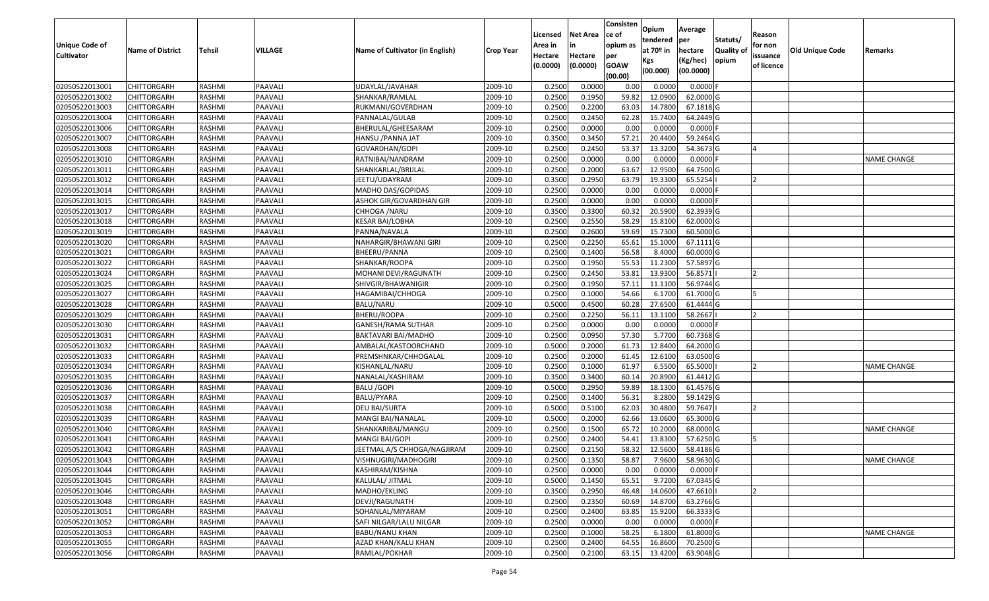|                   |                         |               |         |                                 |                  | Licensed | <b>Net Area</b> | Consisten<br>ce of | Opium<br>tendered | Average<br>per | Statuts/         | Reason         |                        |                    |
|-------------------|-------------------------|---------------|---------|---------------------------------|------------------|----------|-----------------|--------------------|-------------------|----------------|------------------|----------------|------------------------|--------------------|
| Unique Code of    | <b>Name of District</b> | <b>Tehsil</b> | VILLAGE | Name of Cultivator (in English) | <b>Crop Year</b> | Area in  |                 | opium as           | at $70°$ in       | hectare        | <b>Quality o</b> | for non        | <b>Old Unique Code</b> | Remarks            |
| <b>Cultivator</b> |                         |               |         |                                 |                  | Hectare  | Hectare         | per                | Kgs               | (Kg/hec)       | opium            | issuance       |                        |                    |
|                   |                         |               |         |                                 |                  | (0.0000) | (0.0000)        | <b>GOAW</b>        | (00.000)          | (00.0000)      |                  | of licence     |                        |                    |
| 02050522013001    | CHITTORGARH             | RASHMI        | PAAVALI | UDAYLAL/JAVAHAR                 | 2009-10          | 0.2500   | 0.0000          | (00.00)<br>0.00    | 0.0000            | 0.0000F        |                  |                |                        |                    |
| 02050522013002    | CHITTORGARH             | RASHMI        | PAAVALI | SHANKAR/RAMLAL                  | 2009-10          | 0.2500   | 0.1950          | 59.82              | 12.0900           | 62.0000G       |                  |                |                        |                    |
| 02050522013003    | CHITTORGARH             | RASHMI        | PAAVALI | RUKMANI/GOVERDHAN               | 2009-10          | 0.2500   | 0.2200          | 63.03              | 14.7800           | 67.1818 G      |                  |                |                        |                    |
| 02050522013004    | <b>CHITTORGARH</b>      | RASHMI        | PAAVALI | PANNALAL/GULAB                  | 2009-10          | 0.2500   | 0.2450          | 62.28              | 15.7400           | 64.2449 G      |                  |                |                        |                    |
| 02050522013006    | CHITTORGARH             | RASHMI        | PAAVALI | BHERULAL/GHEESARAM              | 2009-10          | 0.2500   | 0.0000          | 0.00               | 0.0000            | $0.0000$ F     |                  |                |                        |                    |
| 02050522013007    | CHITTORGARH             | RASHMI        | PAAVALI | HANSU /PANNA JAT                | 2009-10          | 0.3500   | 0.3450          | 57.21              | 20.4400           | 59.2464 G      |                  |                |                        |                    |
| 02050522013008    | CHITTORGARH             | RASHMI        | PAAVALI | GOVARDHAN/GOPI                  | 2009-10          | 0.2500   | 0.2450          | 53.37              | 13.3200           | 54.3673 G      |                  |                |                        |                    |
| 02050522013010    | <b>CHITTORGARH</b>      | <b>RASHMI</b> | PAAVALI | RATNIBAI/NANDRAM                | 2009-10          | 0.2500   | 0.0000          | 0.00               | 0.0000            | $0.0000$ F     |                  |                |                        | <b>NAME CHANGE</b> |
| 02050522013011    | CHITTORGARH             | RASHMI        | PAAVALI | SHANKARLAL/BRIJLAL              | 2009-10          | 0.2500   | 0.2000          | 63.67              | 12.9500           | 64.7500 G      |                  |                |                        |                    |
| 02050522013012    | CHITTORGARH             | RASHMI        | PAAVALI | JEETU/UDAYRAM                   | 2009-10          | 0.3500   | 0.2950          | 63.79              | 19.3300           | 65.5254        |                  |                |                        |                    |
| 02050522013014    | CHITTORGARH             | RASHMI        | PAAVALI | MADHO DAS/GOPIDAS               | 2009-10          | 0.2500   | 0.0000          | 0.00               | 0.0000            | $0.0000$ F     |                  |                |                        |                    |
| 02050522013015    | <b>CHITTORGARH</b>      | RASHMI        | PAAVALI | ASHOK GIR/GOVARDHAN GIR         | 2009-10          | 0.2500   | 0.0000          | 0.00               | 0.0000            | $0.0000$ F     |                  |                |                        |                    |
| 02050522013017    | <b>CHITTORGARH</b>      | RASHMI        | PAAVALI | CHHOGA /NARU                    | 2009-10          | 0.3500   | 0.3300          | 60.32              | 20.5900           | 62.3939 G      |                  |                |                        |                    |
| 02050522013018    | <b>CHITTORGARH</b>      | RASHMI        | PAAVALI | KESAR BAI/LOBHA                 | 2009-10          | 0.2500   | 0.2550          | 58.29              | 15.8100           | 62.0000G       |                  |                |                        |                    |
| 02050522013019    | <b>CHITTORGARH</b>      | RASHMI        | PAAVALI | PANNA/NAVALA                    | 2009-10          | 0.2500   | 0.2600          | 59.69              | 15.7300           | 60.5000 G      |                  |                |                        |                    |
| 02050522013020    | CHITTORGARH             | RASHMI        | PAAVALI | NAHARGIR/BHAWANI GIRI           | 2009-10          | 0.2500   | 0.2250          | 65.61              | 15.1000           | $67.1111$ G    |                  |                |                        |                    |
| 02050522013021    | CHITTORGARH             | RASHMI        | PAAVALI | BHEERU/PANNA                    | 2009-10          | 0.2500   | 0.1400          | 56.58              | 8.4000            | 60.0000G       |                  |                |                        |                    |
| 02050522013022    | CHITTORGARH             | RASHMI        | PAAVALI | SHANKAR/ROOPA                   | 2009-10          | 0.2500   | 0.1950          | 55.53              | 11.2300           | 57.5897 G      |                  |                |                        |                    |
| 02050522013024    | CHITTORGARH             | RASHMI        | PAAVALI | MOHANI DEVI/RAGUNATH            | 2009-10          | 0.2500   | 0.2450          | 53.8               | 13.9300           | 56.8571        |                  |                |                        |                    |
| 02050522013025    | CHITTORGARH             | RASHMI        | PAAVALI | SHIVGIR/BHAWANIGIR              | 2009-10          | 0.2500   | 0.1950          | 57.11              | 11.1100           | 56.9744 G      |                  |                |                        |                    |
| 02050522013027    | CHITTORGARH             | RASHMI        | PAAVALI | HAGAMIBAI/CHHOGA                | 2009-10          | 0.2500   | 0.1000          | 54.66              | 6.1700            | 61.7000 G      |                  |                |                        |                    |
| 02050522013028    | CHITTORGARH             | RASHMI        | PAAVALI | BALU/NARU                       | 2009-10          | 0.5000   | 0.4500          | 60.28              | 27.6500           | 61.4444 G      |                  |                |                        |                    |
| 02050522013029    | CHITTORGARH             | RASHMI        | PAAVALI | BHERU/ROOPA                     | 2009-10          | 0.2500   | 0.2250          | 56.1               | 13.1100           | 58.2667        |                  |                |                        |                    |
| 02050522013030    | CHITTORGARH             | RASHMI        | PAAVALI | GANESH/RAMA SUTHAR              | 2009-10          | 0.2500   | 0.0000          | 0.00               | 0.0000            | $0.0000$ F     |                  |                |                        |                    |
| 02050522013031    | <b>CHITTORGARH</b>      | RASHMI        | PAAVALI | BAKTAVARI BAI/MADHO             | 2009-10          | 0.2500   | 0.0950          | 57.30              | 5.7700            | 60.7368 G      |                  |                |                        |                    |
| 02050522013032    | CHITTORGARH             | RASHMI        | PAAVALI | AMBALAL/KASTOORCHAND            | 2009-10          | 0.5000   | 0.2000          | 61.73              | 12.8400           | 64.2000 G      |                  |                |                        |                    |
| 02050522013033    | CHITTORGARH             | RASHMI        | PAAVALI | PREMSHNKAR/CHHOGALAL            | 2009-10          | 0.2500   | 0.2000          | 61.45              | 12.6100           | 63.0500G       |                  |                |                        |                    |
| 02050522013034    | CHITTORGARH             | RASHMI        | PAAVALI | KISHANLAL/NARU                  | 2009-10          | 0.2500   | 0.1000          | 61.97              | 6.5500            | 65.5000        |                  |                |                        | <b>NAME CHANGE</b> |
| 02050522013035    | CHITTORGARH             | RASHMI        | PAAVALI | NANALAL/KASHIRAM                | 2009-10          | 0.3500   | 0.3400          | 60.14              | 20.8900           | 61.4412 G      |                  |                |                        |                    |
| 02050522013036    | CHITTORGARH             | RASHMI        | PAAVALI | <b>BALU /GOPI</b>               | 2009-10          | 0.5000   | 0.2950          | 59.89              | 18.1300           | 61.4576 G      |                  |                |                        |                    |
| 02050522013037    | CHITTORGARH             | RASHMI        | PAAVALI | BALU/PYARA                      | 2009-10          | 0.2500   | 0.1400          | 56.3               | 8.2800            | 59.1429 G      |                  |                |                        |                    |
| 02050522013038    | CHITTORGARH             | RASHMI        | PAAVALI | DEU BAI/SURTA                   | 2009-10          | 0.5000   | 0.5100          | 62.03              | 30.4800           | 59.7647        |                  |                |                        |                    |
| 02050522013039    | CHITTORGARH             | <b>RASHMI</b> | PAAVALI | MANGI BAI/NANALAL               | 2009-10          | 0.5000   | 0.2000          | 62.66              | 13.0600           | 65.3000G       |                  |                |                        |                    |
| 02050522013040    | <b>CHITTORGARH</b>      | RASHMI        | PAAVALI | SHANKARIBAI/MANGU               | 2009-10          | 0.2500   | 0.1500          | 65.72              | 10.2000           | 68.0000G       |                  |                |                        | <b>NAME CHANGE</b> |
| 02050522013041    | CHITTORGARH             | RASHMI        | PAAVALI | MANGI BAI/GOPI                  | 2009-10          | 0.2500   | 0.2400          | 54.41              | 13.8300           | 57.6250 G      |                  |                |                        |                    |
| 02050522013042    | CHITTORGARH             | RASHMI        | PAAVALI | JEETMAL A/S CHHOGA/NAGJIRAM     | 2009-10          | 0.2500   | 0.2150          | 58.32              | 12.5600           | 58.4186 G      |                  |                |                        |                    |
| 02050522013043    | <b>CHITTORGARH</b>      | RASHMI        | PAAVALI | VISHNUGIRI/MADHOGIRI            | 2009-10          | 0.2500   | 0.1350          | 58.87              | 7.9600            | 58.9630 G      |                  |                |                        | <b>NAME CHANGE</b> |
| 02050522013044    | <b>CHITTORGARH</b>      | RASHMI        | PAAVALI | KASHIRAM/KISHNA                 | 2009-10          | 0.2500   | 0.0000          | 0.00               | 0.0000            | $0.0000$ F     |                  |                |                        |                    |
| 02050522013045    | <b>CHITTORGARH</b>      | RASHMI        | PAAVALI | KALULAL/ JITMAL                 | 2009-10          | 0.5000   | 0.1450          | 65.51              | 9.7200            | 67.0345 G      |                  |                |                        |                    |
| 02050522013046    | <b>CHITTORGARH</b>      | RASHMI        | PAAVALI | MADHO/EKLING                    | 2009-10          | 0.3500   | 0.2950          | 46.48              | 14.0600           | 47.6610        |                  | $\overline{2}$ |                        |                    |
| 02050522013048    | <b>CHITTORGARH</b>      | RASHMI        | PAAVALI | DEVJI/RAGUNATH                  | 2009-10          | 0.2500   | 0.2350          | 60.69              | 14.8700           | 63.2766 G      |                  |                |                        |                    |
| 02050522013051    | <b>CHITTORGARH</b>      | RASHMI        | PAAVALI | SOHANLAL/MIYARAM                | 2009-10          | 0.2500   | 0.2400          | 63.85              | 15.9200           | 66.3333 G      |                  |                |                        |                    |
| 02050522013052    | <b>CHITTORGARH</b>      | RASHMI        | PAAVALI | SAFI NILGAR/LALU NILGAR         | 2009-10          | 0.2500   | 0.0000          | 0.00               | 0.0000            | $0.0000$ F     |                  |                |                        |                    |
| 02050522013053    | <b>CHITTORGARH</b>      | RASHMI        | PAAVALI | BABU/NANU KHAN                  | 2009-10          | 0.2500   | 0.1000          | 58.25              | 6.1800            | 61.8000 G      |                  |                |                        | <b>NAME CHANGE</b> |
| 02050522013055    | <b>CHITTORGARH</b>      | RASHMI        | PAAVALI | AZAD KHAN/KALU KHAN             | 2009-10          | 0.2500   | 0.2400          | 64.55              | 16.8600           | 70.2500 G      |                  |                |                        |                    |
| 02050522013056    | <b>CHITTORGARH</b>      | RASHMI        | PAAVALI | RAMLAL/POKHAR                   | 2009-10          | 0.2500   | 0.2100          | 63.15              | 13.4200           | 63.9048 G      |                  |                |                        |                    |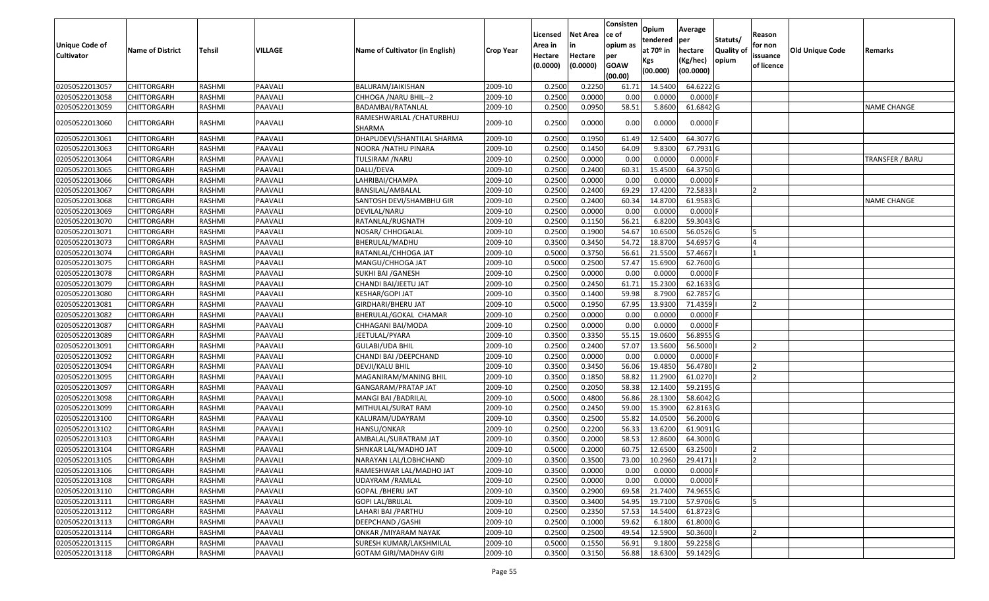| <b>Unique Code of</b><br><b>Cultivator</b> | <b>Name of District</b> | Tehsil        | VILLAGE | Name of Cultivator (in English)     | <b>Crop Year</b> | Licensed<br>Area in<br>Hectare<br>(0.0000) | <b>Net Area</b><br>in<br>Hectare<br>(0.0000) | Consisten<br>ce of<br>opium as<br>per<br><b>GOAW</b><br>(00.00) | Opium<br>tendered<br>at $70°$ in<br>Kgs<br>(00.000) | Average<br>per<br>hectare<br>(Kg/hec)<br>(00.0000) | Statuts/<br>Quality of<br>opium | Reason<br>for non<br>issuance<br>of licence | <b>Old Unique Code</b> | Remarks         |
|--------------------------------------------|-------------------------|---------------|---------|-------------------------------------|------------------|--------------------------------------------|----------------------------------------------|-----------------------------------------------------------------|-----------------------------------------------------|----------------------------------------------------|---------------------------------|---------------------------------------------|------------------------|-----------------|
| 02050522013057                             | <b>CHITTORGARH</b>      | RASHMI        | PAAVALI | BALURAM/JAIKISHAN                   | 2009-10          | 0.2500                                     | 0.2250                                       | 61.71                                                           | 14.5400                                             | 64.6222 G                                          |                                 |                                             |                        |                 |
| 02050522013058                             | CHITTORGARH             | RASHMI        | PAAVALI | CHHOGA / NARU BHIL--2               | 2009-10          | 0.2500                                     | 0.0000                                       | 0.00                                                            | 0.0000                                              | $0.0000$ F                                         |                                 |                                             |                        |                 |
| 02050522013059                             | CHITTORGARH             | RASHMI        | PAAVALI | BADAMBAI/RATANLAL                   | 2009-10          | 0.2500                                     | 0.0950                                       | 58.51                                                           | 5.8600                                              | 61.6842 G                                          |                                 |                                             |                        | NAME CHANGE     |
| 02050522013060                             | CHITTORGARH             | RASHMI        | PAAVALI | RAMESHWARLAL / CHATURBHUJ<br>SHARMA | 2009-10          | 0.2500                                     | 0.0000                                       | 0.00                                                            | 0.0000                                              | $0.0000$ F                                         |                                 |                                             |                        |                 |
| 02050522013061                             | CHITTORGARH             | RASHMI        | PAAVALI | DHAPUDEVI/SHANTILAL SHARMA          | 2009-10          | 0.250                                      | 0.1950                                       | 61.4                                                            | 12.5400                                             | 64.3077 G                                          |                                 |                                             |                        |                 |
| 02050522013063                             | CHITTORGARH             | RASHMI        | PAAVALI | NOORA /NATHU PINARA                 | 2009-10          | 0.2500                                     | 0.1450                                       | 64.09                                                           | 9.8300                                              | 67.7931 G                                          |                                 |                                             |                        |                 |
| 02050522013064                             | CHITTORGARH             | <b>RASHMI</b> | PAAVALI | <b>TULSIRAM /NARU</b>               | 2009-10          | 0.2500                                     | 0.0000                                       | 0.00                                                            | 0.0000                                              | $0.0000$ F                                         |                                 |                                             |                        | TRANSFER / BARU |
| 02050522013065                             | CHITTORGARH             | <b>RASHMI</b> | PAAVALI | DALU/DEVA                           | 2009-10          | 0.2500                                     | 0.2400                                       | 60.31                                                           | 15.4500                                             | 64.3750 G                                          |                                 |                                             |                        |                 |
| 02050522013066                             | <b>CHITTORGARH</b>      | RASHMI        | PAAVALI | LAHRIBAI/CHAMPA                     | 2009-10          | 0.2500                                     | 0.0000                                       | 0.00                                                            | 0.0000                                              | $0.0000$ F                                         |                                 |                                             |                        |                 |
| 02050522013067                             | CHITTORGARH             | RASHMI        | PAAVALI | BANSILAL/AMBALAL                    | 2009-10          | 0.2500                                     | 0.2400                                       | 69.29                                                           | 17.4200                                             | 72.5833                                            |                                 | <b>2</b>                                    |                        |                 |
| 02050522013068                             | <b>CHITTORGARH</b>      | RASHMI        | PAAVALI | SANTOSH DEVI/SHAMBHU GIR            | 2009-10          | 0.2500                                     | 0.2400                                       | 60.34                                                           | 14.8700                                             | 61.9583 G                                          |                                 |                                             |                        | NAME CHANGE     |
| 02050522013069                             | <b>CHITTORGARH</b>      | RASHMI        | PAAVALI | DEVILAL/NARU                        | 2009-10          | 0.2500                                     | 0.0000                                       | 0.00                                                            | 0.0000                                              | $0.0000$ F                                         |                                 |                                             |                        |                 |
| 02050522013070                             | CHITTORGARH             | RASHMI        | PAAVALI | RATANLAL/RUGNATH                    | 2009-10          | 0.2500                                     | 0.1150                                       | 56.21                                                           | 6.8200                                              | 59.3043 G                                          |                                 |                                             |                        |                 |
| 02050522013071                             | CHITTORGARH             | RASHMI        | PAAVALI | NOSAR/ CHHOGALAL                    | 2009-10          | 0.2500                                     | 0.1900                                       | 54.67                                                           | 10.6500                                             | 56.0526 G                                          |                                 | 15                                          |                        |                 |
| 02050522013073                             | <b>CHITTORGARH</b>      | <b>RASHMI</b> | PAAVALI | BHERULAL/MADHU                      | 2009-10          | 0.3500                                     | 0.3450                                       | 54.72                                                           | 18.8700                                             | 54.6957 G                                          |                                 |                                             |                        |                 |
| 02050522013074                             | CHITTORGARH             | RASHMI        | PAAVALI | RATANLAL/CHHOGA JAT                 | 2009-10          | 0.5000                                     | 0.3750                                       | 56.6                                                            | 21.5500                                             | 57.4667                                            |                                 |                                             |                        |                 |
| 02050522013075                             | CHITTORGARH             | RASHMI        | PAAVALI | MANGU/CHHOGA JAT                    | 2009-10          | 0.5000                                     | 0.2500                                       | 57.47                                                           | 15.6900                                             | 62.7600 G                                          |                                 |                                             |                        |                 |
| 02050522013078                             | CHITTORGARH             | RASHMI        | PAAVALI | SUKHI BAI / GANESH                  | 2009-10          | 0.2500                                     | 0.0000                                       | 0.00                                                            | 0.0000                                              | $0.0000$ F                                         |                                 |                                             |                        |                 |
| 02050522013079                             | CHITTORGARH             | RASHMI        | PAAVALI | CHANDI BAI/JEETU JAT                | 2009-10          | 0.2500                                     | 0.2450                                       | 61.7                                                            | 15.2300                                             | 62.1633 G                                          |                                 |                                             |                        |                 |
| 02050522013080                             | CHITTORGARH             | RASHMI        | PAAVALI | KESHAR/GOPI JAT                     | 2009-10          | 0.3500                                     | 0.1400                                       | 59.98                                                           | 8.7900                                              | 62.7857 G                                          |                                 |                                             |                        |                 |
| 02050522013081                             | <b>CHITTORGARH</b>      | RASHMI        | PAAVALI | GIRDHARI/BHERU JAT                  | 2009-10          | 0.5000                                     | 0.1950                                       | 67.95                                                           | 13.9300                                             | 71.4359                                            |                                 |                                             |                        |                 |
| 02050522013082                             | CHITTORGARH             | RASHMI        | PAAVALI | BHERULAL/GOKAL CHAMAR               | 2009-10          | 0.2500                                     | 0.0000                                       | 0.00                                                            | 0.0000                                              | $0.0000$ F                                         |                                 |                                             |                        |                 |
| 02050522013087                             | CHITTORGARH             | RASHMI        | PAAVALI | CHHAGANI BAI/MODA                   | 2009-10          | 0.2500                                     | 0.0000                                       | 0.00                                                            | 0.0000                                              | $0.0000$ F                                         |                                 |                                             |                        |                 |
| 02050522013089                             | <b>CHITTORGARH</b>      | <b>RASHMI</b> | PAAVALI | JEETULAL/PYARA                      | 2009-10          | 0.3500                                     | 0.3350                                       | 55.15                                                           | 19.0600                                             | 56.8955 G                                          |                                 |                                             |                        |                 |
| 02050522013091                             | CHITTORGARH             | RASHMI        | PAAVALI | <b>GULABI/UDA BHIL</b>              | 2009-10          | 0.2500                                     | 0.2400                                       | 57.07                                                           | 13.5600                                             | 56.5000                                            |                                 |                                             |                        |                 |
| 02050522013092                             | CHITTORGARH             | RASHMI        | PAAVALI | CHANDI BAI / DEEPCHAND              | 2009-10          | 0.2500                                     | 0.0000                                       | 0.00                                                            | 0.0000                                              | $0.0000$ F                                         |                                 |                                             |                        |                 |
| 02050522013094                             | CHITTORGARH             | RASHMI        | PAAVALI | DEVJI/KALU BHIL                     | 2009-10          | 0.3500                                     | 0.3450                                       | 56.06                                                           | 19.4850                                             | 56.4780                                            |                                 |                                             |                        |                 |
| 02050522013095                             | <b>CHITTORGARH</b>      | <b>RASHMI</b> | PAAVALI | MAGANIRAM/MANING BHIL               | 2009-10          | 0.3500                                     | 0.1850                                       | 58.82                                                           | 11.2900                                             | 61.0270                                            |                                 |                                             |                        |                 |
| 02050522013097                             | CHITTORGARH             | <b>RASHMI</b> | PAAVALI | GANGARAM/PRATAP JAT                 | 2009-10          | 0.2500                                     | 0.2050                                       | 58.38                                                           | 12.1400                                             | 59.2195 G                                          |                                 |                                             |                        |                 |
| 02050522013098                             | CHITTORGARH             | RASHMI        | PAAVALI | MANGI BAI / BADRILAL                | 2009-10          | 0.5000                                     | 0.4800                                       | 56.86                                                           | 28.1300                                             | 58.6042 G                                          |                                 |                                             |                        |                 |
| 02050522013099                             | CHITTORGARH             | RASHMI        | PAAVALI | MITHULAL/SURAT RAM                  | 2009-10          | 0.2500                                     | 0.2450                                       | 59.00                                                           | 15.3900                                             | 62.8163 G                                          |                                 |                                             |                        |                 |
| 02050522013100                             | <b>CHITTORGARH</b>      | RASHMI        | PAAVALI | KALURAM/UDAYRAM                     | 2009-10          | 0.3500                                     | 0.2500                                       | 55.82                                                           | 14.0500                                             | 56.2000 G                                          |                                 |                                             |                        |                 |
| 02050522013102                             | <b>CHITTORGARH</b>      | RASHMI        | PAAVALI | HANSU/ONKAR                         | 2009-10          | 0.2500                                     | 0.2200                                       | 56.33                                                           | 13.6200                                             | 61.9091 G                                          |                                 |                                             |                        |                 |
| 02050522013103                             | CHITTORGARH             | RASHMI        | PAAVALI | AMBALAL/SURATRAM JAT                | 2009-10          | 0.3500                                     | 0.2000                                       | 58.53                                                           | 12.8600                                             | 64.3000 G                                          |                                 |                                             |                        |                 |
| 02050522013104                             | <b>CHITTORGARH</b>      | RASHMI        | PAAVALI | SHNKAR LAL/MADHO JAT                | 2009-10          | 0.5000                                     | 0.2000                                       | 60.7                                                            | 12.6500                                             | 63.2500                                            |                                 |                                             |                        |                 |
| 02050522013105                             | <b>CHITTORGARH</b>      | RASHMI        | PAAVALI | NARAYAN LAL/LOBHCHAND               | 2009-10          | 0.3500                                     | 0.3500                                       | 73.00                                                           | 10.2960                                             | 29.4171                                            |                                 | 2                                           |                        |                 |
| 02050522013106                             | <b>CHITTORGARH</b>      | RASHMI        | PAAVALI | RAMESHWAR LAL/MADHO JAT             | 2009-10          | 0.3500                                     | 0.0000                                       | 0.00                                                            | 0.0000                                              | $0.0000$ F                                         |                                 |                                             |                        |                 |
| 02050522013108                             | <b>CHITTORGARH</b>      | RASHMI        | PAAVALI | UDAYRAM / RAMLAL                    | 2009-10          | 0.2500                                     | 0.0000                                       | 0.00                                                            | 0.0000                                              | 0.0000F                                            |                                 |                                             |                        |                 |
| 02050522013110                             | <b>CHITTORGARH</b>      | RASHMI        | PAAVALI | GOPAL / BHERU JAT                   | 2009-10          | 0.3500                                     | 0.2900                                       | 69.58                                                           | 21.7400                                             | 74.9655 G                                          |                                 |                                             |                        |                 |
| 02050522013111                             | <b>CHITTORGARH</b>      | RASHMI        | PAAVALI | <b>GOPI LAL/BRIJLAL</b>             | 2009-10          | 0.3500                                     | 0.3400                                       | 54.95                                                           | 19.7100                                             | 57.9706 G                                          |                                 | 15                                          |                        |                 |
| 02050522013112                             | <b>CHITTORGARH</b>      | RASHMI        | PAAVALI | LAHARI BAI / PARTHU                 | 2009-10          | 0.2500                                     | 0.2350                                       | 57.53                                                           | 14.5400                                             | 61.8723 G                                          |                                 |                                             |                        |                 |
| 02050522013113                             | <b>CHITTORGARH</b>      | RASHMI        | PAAVALI | DEEPCHAND / GASHI                   | 2009-10          | 0.2500                                     | 0.1000                                       | 59.62                                                           | 6.1800                                              | 61.8000 G                                          |                                 |                                             |                        |                 |
| 02050522013114                             | <b>CHITTORGARH</b>      | RASHMI        | PAAVALI | ONKAR / MIYARAM NAYAK               | 2009-10          | 0.2500                                     | 0.2500                                       | 49.54                                                           | 12.5900                                             | 50.3600                                            |                                 | $\overline{2}$                              |                        |                 |
| 02050522013115                             | <b>CHITTORGARH</b>      | RASHMI        | PAAVALI | SURESH KUMAR/LAKSHMILAL             | 2009-10          | 0.5000                                     | 0.1550                                       | 56.91                                                           | 9.1800                                              | 59.2258 G                                          |                                 |                                             |                        |                 |
| 02050522013118                             | <b>CHITTORGARH</b>      | RASHMI        | PAAVALI | <b>GOTAM GIRI/MADHAV GIRI</b>       | 2009-10          | 0.3500                                     | 0.3150                                       | 56.88                                                           | 18.6300                                             | 59.1429 G                                          |                                 |                                             |                        |                 |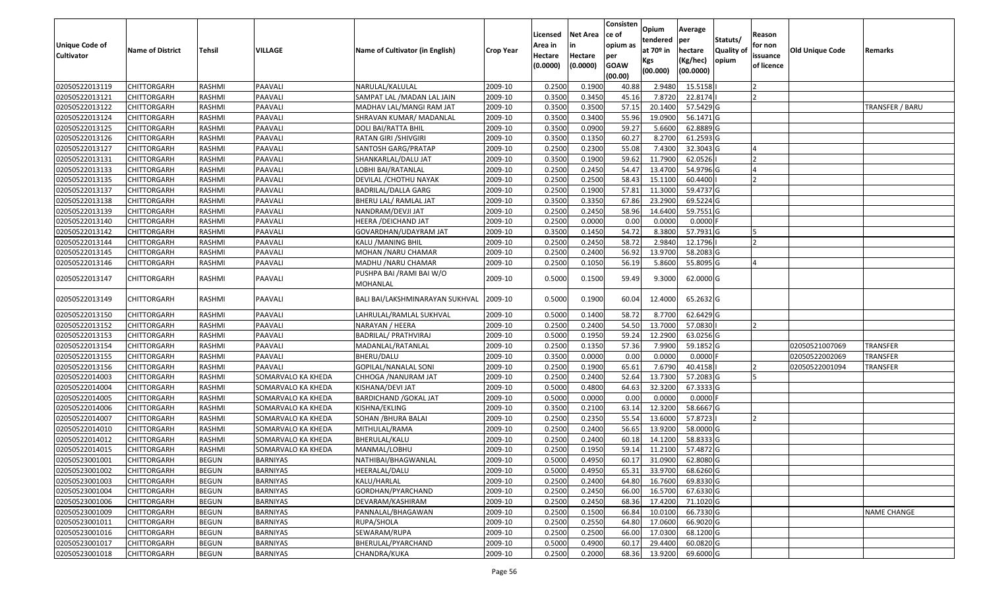|                                            |                         |               |                    |                                       |                  | Licensed           | <b>Net Area</b> | Consisten<br>ce of | Opium<br>tendered | Average<br>per | Statuts/         | Reason              |                        |                    |
|--------------------------------------------|-------------------------|---------------|--------------------|---------------------------------------|------------------|--------------------|-----------------|--------------------|-------------------|----------------|------------------|---------------------|------------------------|--------------------|
| <b>Unique Code of</b><br><b>Cultivator</b> | <b>Name of District</b> | <b>Tehsil</b> | <b>VILLAGE</b>     | Name of Cultivator (in English)       | <b>Crop Year</b> | Area in<br>Hectare | Hectare         | opium as<br>per    | at $70°$ in       | hectare        | <b>Quality o</b> | for non<br>issuance | <b>Old Unique Code</b> | Remarks            |
|                                            |                         |               |                    |                                       |                  | (0.0000)           | (0.0000)        | <b>GOAW</b>        | Kgs               | (Kg/hec)       | opium            | of licence          |                        |                    |
|                                            |                         |               |                    |                                       |                  |                    |                 | (00.00)            | (00.000)          | (00.0000)      |                  |                     |                        |                    |
| 02050522013119                             | CHITTORGARH             | RASHMI        | PAAVALI            | NARULAL/KALULAL                       | 2009-10          | 0.2500             | 0.1900          | 40.88              | 2.948             | 15.5158        |                  |                     |                        |                    |
| 02050522013121                             | CHITTORGARH             | RASHMI        | PAAVALI            | SAMPAT LAL / MADAN LAL JAIN           | 2009-10          | 0.3500             | 0.3450          | 45.16              | 7.8720            | 22.8174        |                  |                     |                        |                    |
| 02050522013122                             | CHITTORGARH             | RASHMI        | PAAVALI            | MADHAV LAL/MANGI RAM JAT              | 2009-10          | 0.3500             | 0.3500          | 57.15              | 20.1400           | 57.5429 G      |                  |                     |                        | TRANSFER / BARU    |
| 02050522013124                             | <b>CHITTORGARH</b>      | RASHMI        | PAAVALI            | SHRAVAN KUMAR/ MADANLAL               | 2009-10          | 0.3500             | 0.3400          | 55.96              | 19.0900           | 56.1471G       |                  |                     |                        |                    |
| 02050522013125                             | CHITTORGARH             | RASHMI        | PAAVALI            | DOLI BAI/RATTA BHIL                   | 2009-10          | 0.3500             | 0.0900          | 59.27              | 5.6600            | 62.8889 G      |                  |                     |                        |                    |
| 02050522013126                             | CHITTORGARH             | RASHMI        | PAAVALI            | RATAN GIRI / SHIVGIRI                 | 2009-10          | 0.3500             | 0.1350          | 60.27              | 8.2700            | 61.2593 G      |                  |                     |                        |                    |
| 02050522013127                             | CHITTORGARH             | RASHMI        | PAAVALI            | SANTOSH GARG/PRATAP                   | 2009-10          | 0.2500             | 0.2300          | 55.08              | 7.4300            | 32.3043 G      |                  |                     |                        |                    |
| 02050522013131                             | <b>CHITTORGARH</b>      | <b>RASHMI</b> | PAAVALI            | SHANKARLAL/DALU JAT                   | 2009-10          | 0.3500             | 0.1900          | 59.62              | 11.7900           | 62.0526        |                  |                     |                        |                    |
| 02050522013133                             | <b>CHITTORGARH</b>      | RASHMI        | PAAVALI            | LOBHI BAI/RATANLAL                    | 2009-10          | 0.2500             | 0.2450          | 54.47              | 13.4700           | 54.9796 G      |                  |                     |                        |                    |
| 02050522013135                             | CHITTORGARH             | RASHMI        | PAAVALI            | DEVILAL / CHOTHU NAYAK                | 2009-10          | 0.2500             | 0.2500          | 58.43              | 15.1100           | 60.4400        |                  |                     |                        |                    |
| 02050522013137                             | CHITTORGARH             | RASHMI        | PAAVALI            | BADRILAL/DALLA GARG                   | 2009-10          | 0.2500             | 0.1900          | 57.81              | 11.3000           | 59.4737 G      |                  |                     |                        |                    |
| 02050522013138                             | <b>CHITTORGARH</b>      | RASHMI        | PAAVALI            | BHERU LAL/ RAMLAL JAT                 | 2009-10          | 0.3500             | 0.3350          | 67.86              | 23.2900           | 69.5224 G      |                  |                     |                        |                    |
| 02050522013139                             | <b>CHITTORGARH</b>      | RASHMI        | PAAVALI            | NANDRAM/DEVJI JAT                     | 2009-10          | 0.2500             | 0.2450          | 58.96              | 14.6400           | 59.7551G       |                  |                     |                        |                    |
| 02050522013140                             | <b>CHITTORGARH</b>      | RASHMI        | PAAVALI            | HEERA / DEICHAND JAT                  | 2009-10          | 0.2500             | 0.0000          | 0.00               | 0.0000            | $0.0000$ F     |                  |                     |                        |                    |
| 02050522013142                             | <b>CHITTORGARH</b>      | RASHMI        | PAAVALI            | GOVARDHAN/UDAYRAM JAT                 | 2009-10          | 0.3500             | 0.1450          | 54.72              | 8.3800            | 57.7931 G      |                  |                     |                        |                    |
| 02050522013144                             | <b>CHITTORGARH</b>      | RASHMI        | PAAVALI            | KALU / MANING BHIL                    | 2009-10          | 0.2500             | 0.2450          | 58.72              | 2.9840            | 12.1796        |                  |                     |                        |                    |
| 02050522013145                             | CHITTORGARH             | RASHMI        | PAAVALI            | MOHAN /NARU CHAMAR                    | 2009-10          | 0.2500             | 0.2400          | 56.92              | 13.9700           | 58.2083 G      |                  |                     |                        |                    |
| 02050522013146                             | CHITTORGARH             | RASHMI        | PAAVALI            | MADHU / NARU CHAMAR                   | 2009-10          | 0.2500             | 0.1050          | 56.19              | 5.8600            | 55.8095 G      |                  |                     |                        |                    |
| 02050522013147                             | CHITTORGARH             | RASHMI        | PAAVALI            | PUSHPA BAI / RAMI BAI W/O<br>MOHANLAL | 2009-10          | 0.5000             | 0.1500          | 59.49              | 9.3000            | 62.0000 G      |                  |                     |                        |                    |
| 02050522013149                             | CHITTORGARH             | RASHMI        | PAAVALI            | BALI BAI/LAKSHMINARAYAN SUKHVAL       | 2009-10          | 0.5000             | 0.1900          | 60.04              | 12.4000           | 65.2632 G      |                  |                     |                        |                    |
| 02050522013150                             | CHITTORGARH             | RASHMI        | PAAVALI            | LAHRULAL/RAMLAL SUKHVAL               | 2009-10          | 0.5000             | 0.1400          | 58.72              | 8.7700            | 62.6429 G      |                  |                     |                        |                    |
| 02050522013152                             | CHITTORGARH             | RASHMI        | PAAVALI            | NARAYAN / HEERA                       | 2009-10          | 0.2500             | 0.2400          | 54.50              | 13.7000           | 57.0830        |                  |                     |                        |                    |
| 02050522013153                             | CHITTORGARH             | RASHMI        | PAAVALI            | BADRILAL/ PRATHVIRAJ                  | 2009-10          | 0.5000             | 0.1950          | 59.24              | 12.2900           | 63.0256 G      |                  |                     |                        |                    |
| 02050522013154                             | CHITTORGARH             | RASHMI        | PAAVALI            | MADANLAL/RATANLAL                     | 2009-10          | 0.2500             | 0.1350          | 57.36              | 7.9900            | 59.1852 G      |                  |                     | 02050521007069         | <b>TRANSFER</b>    |
| 02050522013155                             | CHITTORGARH             | RASHMI        | PAAVALI            | BHERU/DALU                            | 2009-10          | 0.3500             | 0.0000          | 0.00               | 0.0000            | $0.0000$ F     |                  |                     | 02050522002069         | <b>TRANSFER</b>    |
| 02050522013156                             | CHITTORGARH             | RASHMI        | PAAVALI            | GOPILAL/NANALAL SONI                  | 2009-10          | 0.2500             | 0.1900          | 65.6               | 7.6790            | 40.4158        |                  |                     | 02050522001094         | TRANSFER           |
| 02050522014003                             | CHITTORGARH             | <b>RASHMI</b> | SOMARVALO KA KHEDA | CHHOGA /NANURAM JAT                   | 2009-10          | 0.2500             | 0.2400          | 52.64              | 13.7300           | 57.2083 G      |                  |                     |                        |                    |
| 02050522014004                             | CHITTORGARH             | RASHMI        | SOMARVALO KA KHEDA | KISHANA/DEVI JAT                      | 2009-10          | 0.5000             | 0.4800          | 64.63              | 32.3200           | 67.3333 G      |                  |                     |                        |                    |
| 02050522014005                             | CHITTORGARH             | RASHMI        | SOMARVALO KA KHEDA | <b>BARDICHAND / GOKAL JAT</b>         | 2009-10          | 0.5000             | 0.0000          | 0.00               | 0.0000            | $0.0000$ F     |                  |                     |                        |                    |
| 02050522014006                             | <b>CHITTORGARH</b>      | RASHMI        | SOMARVALO KA KHEDA | KISHNA/EKLING                         | 2009-10          | 0.3500             | 0.2100          | 63.14              | 12.3200           | 58.6667 G      |                  |                     |                        |                    |
| 02050522014007                             | CHITTORGARH             | RASHMI        | SOMARVALO KA KHEDA | SOHAN /BHURA BALAI                    | 2009-10          | 0.2500             | 0.2350          | 55.54              | 13.6000           | 57.8723        |                  |                     |                        |                    |
| 02050522014010                             | <b>CHITTORGARH</b>      | RASHMI        | SOMARVALO KA KHEDA | MITHULAL/RAMA                         | 2009-10          | 0.2500             | 0.2400          | 56.65              | 13.9200           | 58.0000 G      |                  |                     |                        |                    |
| 02050522014012                             | CHITTORGARH             | RASHMI        | SOMARVALO KA KHEDA | BHERULAL/KALU                         | 2009-10          | 0.250              | 0.2400          | 60.18              | 14.1200           | 58.8333 G      |                  |                     |                        |                    |
| 02050522014015                             | CHITTORGARH             | RASHMI        | SOMARVALO KA KHEDA | MANMAL/LOBHU                          | 2009-10          | 0.2500             | 0.1950          | 59.14              | 11.2100           | 57.4872 G      |                  |                     |                        |                    |
| 02050523001001                             | <b>CHITTORGARH</b>      | <b>BEGUN</b>  | <b>BARNIYAS</b>    | NATHIBAI/BHAGWANLAL                   | 2009-10          | 0.5000             | 0.4950          | 60.17              | 31.0900           | 62.8080 G      |                  |                     |                        |                    |
| 02050523001002                             | <b>CHITTORGARH</b>      | <b>BEGUN</b>  | BARNIYAS           | HEERALAL/DALU                         | 2009-10          | 0.5000             | 0.4950          | 65.31              | 33.9700           | 68.6260 G      |                  |                     |                        |                    |
| 02050523001003                             | <b>CHITTORGARH</b>      | <b>BEGUN</b>  | BARNIYAS           | KALU/HARLAL                           | 2009-10          | 0.2500             | 0.2400          | 64.80              | 16.7600           | 69.8330 G      |                  |                     |                        |                    |
| 02050523001004                             | <b>CHITTORGARH</b>      | <b>BEGUN</b>  | BARNIYAS           | GORDHAN/PYARCHAND                     | 2009-10          | 0.2500             | 0.2450          | 66.00              | 16.5700           | 67.6330 G      |                  |                     |                        |                    |
| 02050523001006                             | <b>CHITTORGARH</b>      | <b>BEGUN</b>  | BARNIYAS           | DEVARAM/KASHIRAM                      | 2009-10          | 0.2500             | 0.2450          | 68.36              | 17.4200           | 71.1020G       |                  |                     |                        |                    |
| 02050523001009                             | <b>CHITTORGARH</b>      | <b>BEGUN</b>  | <b>BARNIYAS</b>    | PANNALAL/BHAGAWAN                     | 2009-10          | 0.2500             | 0.1500          | 66.84              | 10.0100           | 66.7330 G      |                  |                     |                        | <b>NAME CHANGE</b> |
| 02050523001011                             | <b>CHITTORGARH</b>      | <b>BEGUN</b>  | BARNIYAS           | RUPA/SHOLA                            | 2009-10          | 0.2500             | 0.2550          | 64.80              | 17.0600           | 66.9020 G      |                  |                     |                        |                    |
| 02050523001016                             | <b>CHITTORGARH</b>      | <b>BEGUN</b>  | BARNIYAS           | SEWARAM/RUPA                          | 2009-10          | 0.2500             | 0.2500          | 66.00              | 17.0300           | 68.1200 G      |                  |                     |                        |                    |
| 02050523001017                             | <b>CHITTORGARH</b>      | <b>BEGUN</b>  | <b>BARNIYAS</b>    | BHERULAL/PYARCHAND                    | 2009-10          | 0.5000             | 0.4900          | 60.17              | 29.4400           | 60.0820 G      |                  |                     |                        |                    |
| 02050523001018                             | <b>CHITTORGARH</b>      | <b>BEGUN</b>  | BARNIYAS           | CHANDRA/KUKA                          | 2009-10          | 0.2500             | 0.2000          | 68.36              | 13.9200           | 69.6000 G      |                  |                     |                        |                    |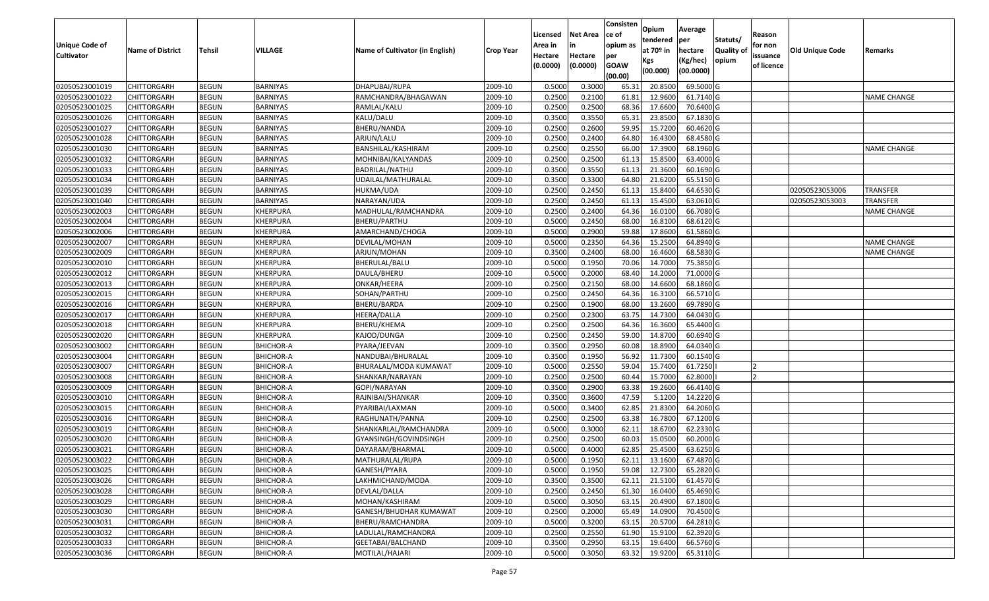|                                            |                         |               |                  |                                 |                  |                     |                     | Consisten          | Opium                 | Average   |                  |                        |                        |                    |
|--------------------------------------------|-------------------------|---------------|------------------|---------------------------------|------------------|---------------------|---------------------|--------------------|-----------------------|-----------|------------------|------------------------|------------------------|--------------------|
|                                            |                         |               |                  |                                 |                  | Licensed            | <b>Net Area</b>     | lce of             | tendered              | per       | Statuts/         | Reason                 |                        |                    |
| <b>Unique Code of</b><br><b>Cultivator</b> | <b>Name of District</b> | <b>Tehsil</b> | VILLAGE          | Name of Cultivator (in English) | <b>Crop Year</b> | Area in             |                     | opium as           | at 70 <sup>o</sup> in | hectare   | <b>Quality o</b> | for non                | <b>Old Unique Code</b> | Remarks            |
|                                            |                         |               |                  |                                 |                  | Hectare<br>(0.0000) | Hectare<br>(0.0000) | per<br><b>GOAW</b> | Kgs                   | (Kg/hec)  | opium            | issuance<br>of licence |                        |                    |
|                                            |                         |               |                  |                                 |                  |                     |                     | (00.00)            | (00.000)              | (00.0000) |                  |                        |                        |                    |
| 02050523001019                             | CHITTORGARH             | <b>BEGUN</b>  | BARNIYAS         | DHAPUBAI/RUPA                   | 2009-10          | 0.5000              | 0.3000              | 65.3               | 20.8500               | 69.5000G  |                  |                        |                        |                    |
| 02050523001022                             | CHITTORGARH             | <b>BEGUN</b>  | <b>BARNIYAS</b>  | RAMCHANDRA/BHAGAWAN             | 2009-10          | 0.2500              | 0.2100              | 61.8               | 12.9600               | 61.7140 G |                  |                        |                        | <b>NAME CHANGE</b> |
| 02050523001025                             | CHITTORGARH             | <b>BEGUN</b>  | BARNIYAS         | RAMLAL/KALU                     | 2009-10          | 0.2500              | 0.2500              | 68.36              | 17.6600               | 70.6400 G |                  |                        |                        |                    |
| 02050523001026                             | <b>CHITTORGARH</b>      | <b>BEGUN</b>  | <b>BARNIYAS</b>  | KALU/DALU                       | 2009-10          | 0.3500              | 0.3550              | 65.31              | 23.8500               | 67.1830 G |                  |                        |                        |                    |
| 02050523001027                             | CHITTORGARH             | <b>BEGUN</b>  | BARNIYAS         | <b>BHERU/NANDA</b>              | 2009-10          | 0.2500              | 0.2600              | 59.95              | 15.7200               | 60.4620 G |                  |                        |                        |                    |
| 02050523001028                             | CHITTORGARH             | <b>BEGUN</b>  | BARNIYAS         | ARJUN/LALU                      | 2009-10          | 0.2500              | 0.2400              | 64.80              | 16.4300               | 68.4580 G |                  |                        |                        |                    |
| 02050523001030                             | CHITTORGARH             | <b>BEGUN</b>  | BARNIYAS         | BANSHILAL/KASHIRAM              | 2009-10          | 0.2500              | 0.2550              | 66.00              | 17.3900               | 68.1960 G |                  |                        |                        | <b>NAME CHANGE</b> |
| 02050523001032                             | CHITTORGARH             | <b>BEGUN</b>  | BARNIYAS         | MOHNIBAI/KALYANDAS              | 2009-10          | 0.2500              | 0.2500              | 61.13              | 15.8500               | 63.4000G  |                  |                        |                        |                    |
| 02050523001033                             | CHITTORGARH             | <b>BEGUN</b>  | BARNIYAS         | BADRILAL/NATHU                  | 2009-10          | 0.3500              | 0.3550              | 61.13              | 21.3600               | 60.1690 G |                  |                        |                        |                    |
| 02050523001034                             | CHITTORGARH             | <b>BEGUN</b>  | BARNIYAS         | UDAILAL/MATHURALAL              | 2009-10          | 0.3500              | 0.3300              | 64.80              | 21.6200               | 65.5150 G |                  |                        |                        |                    |
| 02050523001039                             | CHITTORGARH             | <b>BEGUN</b>  | BARNIYAS         | HUKMA/UDA                       | 2009-10          | 0.2500              | 0.2450              | 61.13              | 15.8400               | 64.6530 G |                  |                        | 02050523053006         | <b>TRANSFER</b>    |
| 02050523001040                             | CHITTORGARH             | <b>BEGUN</b>  | <b>BARNIYAS</b>  | NARAYAN/UDA                     | 2009-10          | 0.2500              | 0.2450              | 61.13              | 15.4500               | 63.0610 G |                  |                        | 02050523053003         | <b>TRANSFER</b>    |
| 02050523002003                             | <b>CHITTORGARH</b>      | <b>BEGUN</b>  | KHERPURA         | MADHULAL/RAMCHANDRA             | 2009-10          | 0.2500              | 0.2400              | 64.36              | 16.0100               | 66.7080 G |                  |                        |                        | <b>NAME CHANGE</b> |
| 02050523002004                             | CHITTORGARH             | <b>BEGUN</b>  | KHERPURA         | BHERU/PARTHU                    | 2009-10          | 0.5000              | 0.2450              | 68.00              | 16.8100               | 68.6120 G |                  |                        |                        |                    |
| 02050523002006                             | CHITTORGARH             | <b>BEGUN</b>  | KHERPURA         | AMARCHAND/CHOGA                 | 2009-10          | 0.5000              | 0.2900              | 59.88              | 17.8600               | 61.5860 G |                  |                        |                        |                    |
| 02050523002007                             | CHITTORGARH             | <b>BEGUN</b>  | KHERPURA         | DEVILAL/MOHAN                   | 2009-10          | 0.5000              | 0.2350              | 64.36              | 15.2500               | 64.8940 G |                  |                        |                        | <b>NAME CHANGE</b> |
| 02050523002009                             | CHITTORGARH             | <b>BEGUN</b>  | KHERPURA         | ARJUN/MOHAN                     | 2009-10          | 0.3500              | 0.2400              | 68.00              | 16.4600               | 68.5830 G |                  |                        |                        | <b>NAME CHANGE</b> |
| 02050523002010                             | CHITTORGARH             | <b>BEGUN</b>  | KHERPURA         | BHERULAL/BALU                   | 2009-10          | 0.5000              | 0.1950              | 70.06              | 14.7000               | 75.3850 G |                  |                        |                        |                    |
| 02050523002012                             | CHITTORGARH             | <b>BEGUN</b>  | KHERPURA         | DAULA/BHERU                     | 2009-10          | 0.5000              | 0.2000              | 68.40              | 14.2000               | 71.0000G  |                  |                        |                        |                    |
| 02050523002013                             | CHITTORGARH             | <b>BEGUN</b>  | KHERPURA         | ONKAR/HEERA                     | 2009-10          | 0.2500              | 0.2150              | 68.00              | 14.6600               | 68.1860 G |                  |                        |                        |                    |
| 02050523002015                             | CHITTORGARH             | <b>BEGUN</b>  | <b>KHERPURA</b>  | SOHAN/PARTHU                    | 2009-10          | 0.2500              | 0.2450              | 64.36              | 16.3100               | 66.5710 G |                  |                        |                        |                    |
| 02050523002016                             | CHITTORGARH             | <b>BEGUN</b>  | KHERPURA         | BHERU/BARDA                     | 2009-10          | 0.2500              | 0.1900              | 68.00              | 13.2600               | 69.7890 G |                  |                        |                        |                    |
| 02050523002017                             | CHITTORGARH             | <b>BEGUN</b>  | KHERPURA         | HEERA/DALLA                     | 2009-10          | 0.2500              | 0.2300              | 63.75              | 14.7300               | 64.0430 G |                  |                        |                        |                    |
| 02050523002018                             | CHITTORGARH             | <b>BEGUN</b>  | KHERPURA         | BHERU/KHEMA                     | 2009-10          | 0.2500              | 0.2500              | 64.36              | 16.3600               | 65.4400 G |                  |                        |                        |                    |
| 02050523002020                             | CHITTORGARH             | <b>BEGUN</b>  | KHERPURA         | KAJOD/DUNGA                     | 2009-10          | 0.2500              | 0.2450              | 59.00              | 14.8700               | 60.6940 G |                  |                        |                        |                    |
| 02050523003002                             | CHITTORGARH             | <b>BEGUN</b>  | <b>BHICHOR-A</b> | PYARA/JEEVAN                    | 2009-10          | 0.3500              | 0.2950              | 60.08              | 18.8900               | 64.0340 G |                  |                        |                        |                    |
| 02050523003004                             | CHITTORGARH             | <b>BEGUN</b>  | <b>BHICHOR-A</b> | NANDUBAI/BHURALAL               | 2009-10          | 0.3500              | 0.1950              | 56.92              | 11.7300               | 60.1540 G |                  |                        |                        |                    |
| 02050523003007                             | CHITTORGARH             | <b>BEGUN</b>  | <b>BHICHOR-A</b> | BHURALAL/MODA KUMAWAT           | 2009-10          | 0.5000              | 0.2550              | 59.04              | 15.7400               | 61.7250   |                  |                        |                        |                    |
| 02050523003008                             | CHITTORGARH             | <b>BEGUN</b>  | <b>BHICHOR-A</b> | SHANKAR/NARAYAN                 | 2009-10          | 0.2500              | 0.2500              | 60.44              | 15.7000               | 62.8000   |                  |                        |                        |                    |
| 02050523003009                             | CHITTORGARH             | <b>BEGUN</b>  | <b>BHICHOR-A</b> | GOPI/NARAYAN                    | 2009-10          | 0.3500              | 0.2900              | 63.38              | 19.2600               | 66.4140 G |                  |                        |                        |                    |
| 02050523003010                             | CHITTORGARH             | <b>BEGUN</b>  | <b>BHICHOR-A</b> | RAJNIBAI/SHANKAR                | 2009-10          | 0.3500              | 0.3600              | 47.59              | 5.1200                | 14.2220 G |                  |                        |                        |                    |
| 02050523003015                             | CHITTORGARH             | <b>BEGUN</b>  | <b>BHICHOR-A</b> | PYARIBAI/LAXMAN                 | 2009-10          | 0.5000              | 0.3400              | 62.85              | 21.8300               | 64.2060 G |                  |                        |                        |                    |
| 02050523003016                             | CHITTORGARH             | <b>BEGUN</b>  | <b>BHICHOR-A</b> | RAGHUNATH/PANNA                 | 2009-10          | 0.2500              | 0.2500              | 63.38              | 16.7800               | 67.1200G  |                  |                        |                        |                    |
| 02050523003019                             | CHITTORGARH             | <b>BEGUN</b>  | <b>BHICHOR-A</b> | SHANKARLAL/RAMCHANDRA           | 2009-10          | 0.5000              | 0.3000              | 62.1               | 18.6700               | 62.2330 G |                  |                        |                        |                    |
| 02050523003020                             | CHITTORGARH             | <b>BEGUN</b>  | <b>BHICHOR-A</b> | GYANSINGH/GOVINDSINGH           | 2009-10          | 0.250               | 0.2500              | 60.03              | 15.0500               | 60.2000 G |                  |                        |                        |                    |
| 02050523003021                             | CHITTORGARH             | <b>BEGUN</b>  | <b>BHICHOR-A</b> | DAYARAM/BHARMAL                 | 2009-10          | 0.5000              | 0.4000              | 62.85              | 25.4500               | 63.6250 G |                  |                        |                        |                    |
| 02050523003022                             | <b>CHITTORGARH</b>      | <b>BEGUN</b>  | BHICHOR-A        | MATHURALAL/RUPA                 | 2009-10          | 0.5000              | 0.1950              |                    | 62.11 13.1600         | 67.4870 G |                  |                        |                        |                    |
| 02050523003025                             | <b>CHITTORGARH</b>      | <b>BEGUN</b>  | BHICHOR-A        | GANESH/PYARA                    | 2009-10          | 0.5000              | 0.1950              | 59.08              | 12.7300               | 65.2820 G |                  |                        |                        |                    |
| 02050523003026                             | <b>CHITTORGARH</b>      | <b>BEGUN</b>  | <b>BHICHOR-A</b> | LAKHMICHAND/MODA                | 2009-10          | 0.3500              | 0.3500              | 62.11              | 21.5100               | 61.4570 G |                  |                        |                        |                    |
| 02050523003028                             | <b>CHITTORGARH</b>      | <b>BEGUN</b>  | <b>BHICHOR-A</b> | DEVLAL/DALLA                    | 2009-10          | 0.2500              | 0.2450              | 61.30              | 16.0400               | 65.4690 G |                  |                        |                        |                    |
| 02050523003029                             | <b>CHITTORGARH</b>      | <b>BEGUN</b>  | <b>BHICHOR-A</b> | MOHAN/KASHIRAM                  | 2009-10          | 0.5000              | 0.3050              | 63.15              | 20.4900               | 67.1800 G |                  |                        |                        |                    |
| 02050523003030                             | <b>CHITTORGARH</b>      | <b>BEGUN</b>  | <b>BHICHOR-A</b> | GANESH/BHUDHAR KUMAWAT          | 2009-10          | 0.2500              | 0.2000              | 65.49              | 14.0900               | 70.4500 G |                  |                        |                        |                    |
| 02050523003031                             | <b>CHITTORGARH</b>      | <b>BEGUN</b>  | <b>BHICHOR-A</b> | BHERU/RAMCHANDRA                | 2009-10          | 0.5000              | 0.3200              | 63.15              | 20.5700               | 64.2810 G |                  |                        |                        |                    |
| 02050523003032                             | <b>CHITTORGARH</b>      | <b>BEGUN</b>  | <b>BHICHOR-A</b> | LADULAL/RAMCHANDRA              | 2009-10          | 0.2500              | 0.2550              | 61.90              | 15.9100               | 62.3920 G |                  |                        |                        |                    |
| 02050523003033                             | <b>CHITTORGARH</b>      | <b>BEGUN</b>  | <b>BHICHOR-A</b> | GEETABAI/BALCHAND               | 2009-10          | 0.3500              | 0.2950              | 63.15              | 19.6400               | 66.5760 G |                  |                        |                        |                    |
| 02050523003036                             | <b>CHITTORGARH</b>      | <b>BEGUN</b>  | <b>BHICHOR-A</b> | MOTILAL/HAJARI                  | 2009-10          | 0.5000              | 0.3050              | 63.32              | 19.9200               | 65.3110 G |                  |                        |                        |                    |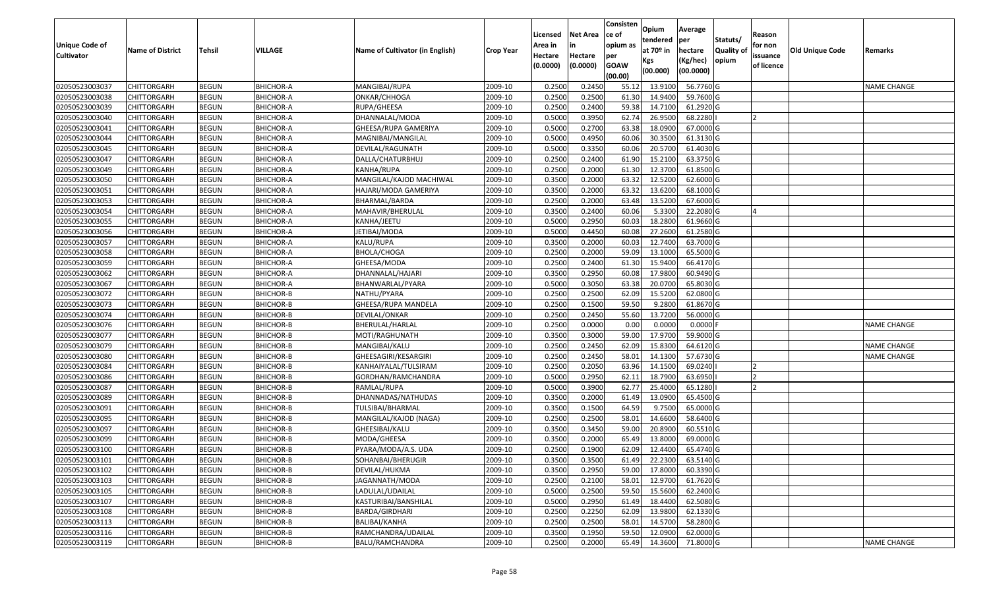| Unique Code of<br><b>Cultivator</b> | <b>Name of District</b> | Tehsil       | VILLAGE          | Name of Cultivator (in English) | <b>Crop Year</b> | Licensed<br>Area in<br>Hectare<br>(0.0000) | Net Area<br>in<br>Hectare<br>(0.0000) | Consisten<br>ce of<br>opium as<br>per<br><b>GOAW</b><br>(00.00) | Opium<br>tendered<br>at 70º in<br>Kgs<br>(00.000) | Average<br>per<br>hectare<br>(Kg/hec)<br>(00.0000) | Statuts/<br><b>Quality of</b><br>opium | Reason<br>for non<br>issuance<br>of licence | <b>Old Unique Code</b> | Remarks            |
|-------------------------------------|-------------------------|--------------|------------------|---------------------------------|------------------|--------------------------------------------|---------------------------------------|-----------------------------------------------------------------|---------------------------------------------------|----------------------------------------------------|----------------------------------------|---------------------------------------------|------------------------|--------------------|
| 02050523003037                      | CHITTORGARH             | <b>BEGUN</b> | <b>BHICHOR-A</b> | MANGIBAI/RUPA                   | 2009-10          | 0.2500                                     | 0.2450                                | 55.12                                                           | 13.9100                                           | 56.7760 G                                          |                                        |                                             |                        | <b>NAME CHANGE</b> |
| 02050523003038                      | CHITTORGARH             | <b>BEGUN</b> | <b>BHICHOR-A</b> | ONKAR/CHHOGA                    | 2009-10          | 0.2500                                     | 0.2500                                | 61.30                                                           | 14.9400                                           | 59.7600 G                                          |                                        |                                             |                        |                    |
| 02050523003039                      | CHITTORGARH             | <b>BEGUN</b> | <b>BHICHOR-A</b> | RUPA/GHEESA                     | 2009-10          | 0.2500                                     | 0.2400                                | 59.38                                                           | 14.7100                                           | 61.2920 G                                          |                                        |                                             |                        |                    |
| 02050523003040                      | <b>CHITTORGARH</b>      | <b>BEGUN</b> | <b>BHICHOR-A</b> | DHANNALAL/MODA                  | 2009-10          | 0.5000                                     | 0.3950                                | 62.74                                                           | 26.9500                                           | 68.2280                                            |                                        | 12                                          |                        |                    |
| 02050523003041                      | CHITTORGARH             | <b>BEGUN</b> | <b>BHICHOR-A</b> | GHEESA/RUPA GAMERIYA            | 2009-10          | 0.5000                                     | 0.2700                                | 63.38                                                           | 18.0900                                           | 67.0000 G                                          |                                        |                                             |                        |                    |
| 02050523003044                      | CHITTORGARH             | <b>BEGUN</b> | <b>BHICHOR-A</b> | MAGNIBAI/MANGILAL               | 2009-10          | 0.5000                                     | 0.4950                                | 60.06                                                           | 30.3500                                           | 61.3130 G                                          |                                        |                                             |                        |                    |
| 02050523003045                      | CHITTORGARH             | <b>BEGUN</b> | BHICHOR-A        | DEVILAL/RAGUNATH                | 2009-10          | 0.5000                                     | 0.3350                                | 60.06                                                           | 20.5700                                           | 61.4030 G                                          |                                        |                                             |                        |                    |
| 02050523003047                      | <b>CHITTORGARH</b>      | <b>BEGUN</b> | <b>BHICHOR-A</b> | DALLA/CHATURBHUJ                | 2009-10          | 0.2500                                     | 0.2400                                | 61.90                                                           | 15.2100                                           | 63.3750 G                                          |                                        |                                             |                        |                    |
| 02050523003049                      | CHITTORGARH             | <b>BEGUN</b> | <b>BHICHOR-A</b> | KANHA/RUPA                      | 2009-10          | 0.2500                                     | 0.2000                                | 61.30                                                           | 12.3700                                           | 61.8500 G                                          |                                        |                                             |                        |                    |
| 02050523003050                      | CHITTORGARH             | <b>BEGUN</b> | <b>BHICHOR-A</b> | MANGILAL/KAJOD MACHIWAL         | 2009-10          | 0.3500                                     | 0.2000                                | 63.32                                                           | 12.5200                                           | 62.6000 G                                          |                                        |                                             |                        |                    |
| 02050523003051                      | CHITTORGARH             | <b>BEGUN</b> | <b>BHICHOR-A</b> | HAJARI/MODA GAMERIYA            | 2009-10          | 0.3500                                     | 0.2000                                | 63.32                                                           | 13.6200                                           | 68.1000 G                                          |                                        |                                             |                        |                    |
| 02050523003053                      | <b>CHITTORGARH</b>      | <b>BEGUN</b> | <b>BHICHOR-A</b> | BHARMAL/BARDA                   | 2009-10          | 0.2500                                     | 0.2000                                | 63.48                                                           | 13.5200                                           | 67.6000 G                                          |                                        |                                             |                        |                    |
| 02050523003054                      | <b>CHITTORGARH</b>      | <b>BEGUN</b> | <b>BHICHOR-A</b> | MAHAVIR/BHERULAL                | 2009-10          | 0.3500                                     | 0.2400                                | 60.06                                                           | 5.3300                                            | 22.2080 G                                          |                                        |                                             |                        |                    |
| 02050523003055                      | <b>CHITTORGARH</b>      | <b>BEGUN</b> | <b>BHICHOR-A</b> | KANHA/JEETU                     | 2009-10          | 0.5000                                     | 0.2950                                | 60.03                                                           | 18.2800                                           | 61.9660 G                                          |                                        |                                             |                        |                    |
| 02050523003056                      | CHITTORGARH             | <b>BEGUN</b> | <b>BHICHOR-A</b> | JETIBAI/MODA                    | 2009-10          | 0.5000                                     | 0.4450                                | 60.08                                                           | 27.2600                                           | 61.2580 G                                          |                                        |                                             |                        |                    |
| 02050523003057                      | <b>CHITTORGARH</b>      | <b>BEGUN</b> | <b>BHICHOR-A</b> | KALU/RUPA                       | 2009-10          | 0.3500                                     | 0.2000                                | 60.03                                                           | 12.7400                                           | 63.7000 G                                          |                                        |                                             |                        |                    |
| 02050523003058                      | CHITTORGARH             | <b>BEGUN</b> | <b>BHICHOR-A</b> | BHOLA/CHOGA                     | 2009-10          | 0.2500                                     | 0.2000                                | 59.09                                                           | 13.1000                                           | 65.5000 G                                          |                                        |                                             |                        |                    |
| 02050523003059                      | CHITTORGARH             | <b>BEGUN</b> | <b>BHICHOR-A</b> | GHEESA/MODA                     | 2009-10          | 0.2500                                     | 0.2400                                | 61.30                                                           | 15.9400                                           | 66.4170 G                                          |                                        |                                             |                        |                    |
| 02050523003062                      | CHITTORGARH             | <b>BEGUN</b> | <b>BHICHOR-A</b> | DHANNALAL/HAJARI                | 2009-10          | 0.3500                                     | 0.2950                                | 60.08                                                           | 17.9800                                           | 60.9490 G                                          |                                        |                                             |                        |                    |
| 02050523003067                      | CHITTORGARH             | <b>BEGUN</b> | BHICHOR-A        | BHANWARLAL/PYARA                | 2009-10          | 0.5000                                     | 0.3050                                | 63.38                                                           | 20.0700                                           | 65.8030 G                                          |                                        |                                             |                        |                    |
| 02050523003072                      | CHITTORGARH             | <b>BEGUN</b> | <b>BHICHOR-B</b> | NATHU/PYARA                     | 2009-10          | 0.2500                                     | 0.2500                                | 62.09                                                           | 15.5200                                           | 62.0800 G                                          |                                        |                                             |                        |                    |
| 02050523003073                      | CHITTORGARH             | <b>BEGUN</b> | BHICHOR-B        | GHEESA/RUPA MANDELA             | 2009-10          | 0.2500                                     | 0.1500                                | 59.50                                                           | 9.2800                                            | 61.8670 G                                          |                                        |                                             |                        |                    |
| 02050523003074                      | CHITTORGARH             | <b>BEGUN</b> | <b>BHICHOR-B</b> | DEVILAL/ONKAR                   | 2009-10          | 0.2500                                     | 0.2450                                | 55.60                                                           | 13.7200                                           | 56.0000 G                                          |                                        |                                             |                        |                    |
| 02050523003076                      | CHITTORGARH             | <b>BEGUN</b> | <b>BHICHOR-B</b> | BHERULAL/HARLAL                 | 2009-10          | 0.2500                                     | 0.0000                                | 0.00                                                            | 0.0000                                            | $0.0000$ F                                         |                                        |                                             |                        | <b>NAME CHANGE</b> |
| 02050523003077                      | CHITTORGARH             | <b>BEGUN</b> | <b>BHICHOR-B</b> | MOTI/RAGHUNATH                  | 2009-10          | 0.3500                                     | 0.3000                                | 59.00                                                           | 17.9700                                           | 59.9000 G                                          |                                        |                                             |                        |                    |
| 02050523003079                      | CHITTORGARH             | <b>BEGUN</b> | <b>BHICHOR-B</b> | MANGIBAI/KALU                   | 2009-10          | 0.2500                                     | 0.2450                                | 62.09                                                           | 15.8300                                           | 64.6120 G                                          |                                        |                                             |                        | <b>NAME CHANGE</b> |
| 02050523003080                      | CHITTORGARH             | <b>BEGUN</b> | <b>BHICHOR-B</b> | GHEESAGIRI/KESARGIRI            | 2009-10          | 0.2500                                     | 0.2450                                | 58.01                                                           | 14.1300                                           | 57.6730 G                                          |                                        |                                             |                        | <b>NAME CHANGE</b> |
| 02050523003084                      | CHITTORGARH             | <b>BEGUN</b> | <b>BHICHOR-B</b> | KANHAIYALAL/TULSIRAM            | 2009-10          | 0.2500                                     | 0.2050                                | 63.96                                                           | 14.1500                                           | 69.0240                                            |                                        |                                             |                        |                    |
| 02050523003086                      | CHITTORGARH             | <b>BEGUN</b> | <b>BHICHOR-B</b> | GORDHAN/RAMCHANDRA              | 2009-10          | 0.5000                                     | 0.2950                                | 62.11                                                           | 18.7900                                           | 63.6950                                            |                                        |                                             |                        |                    |
| 02050523003087                      | CHITTORGARH             | <b>BEGUN</b> | <b>BHICHOR-B</b> | RAMLAL/RUPA                     | 2009-10          | 0.5000                                     | 0.3900                                | 62.77                                                           | 25.4000                                           | 65.1280                                            |                                        |                                             |                        |                    |
| 02050523003089                      | CHITTORGARH             | <b>BEGUN</b> | BHICHOR-B        | DHANNADAS/NATHUDAS              | 2009-10          | 0.3500                                     | 0.2000                                | 61.49                                                           | 13.0900                                           | 65.4500 G                                          |                                        |                                             |                        |                    |
| 02050523003091                      | CHITTORGARH             | <b>BEGUN</b> | <b>BHICHOR-B</b> | TULSIBAI/BHARMAL                | 2009-10          | 0.3500                                     | 0.1500                                | 64.59                                                           | 9.7500                                            | 65.0000 G                                          |                                        |                                             |                        |                    |
| 02050523003095                      | CHITTORGARH             | <b>BEGUN</b> | <b>BHICHOR-B</b> | MANGILAL/KAJOD (NAGA)           | 2009-10          | 0.2500                                     | 0.2500                                | 58.01                                                           | 14.6600                                           | 58.6400 G                                          |                                        |                                             |                        |                    |
| 02050523003097                      | CHITTORGARH             | <b>BEGUN</b> | <b>BHICHOR-B</b> | GHEESIBAI/KALU                  | 2009-10          | 0.3500                                     | 0.3450                                | 59.00                                                           | 20.8900                                           | 60.5510 G                                          |                                        |                                             |                        |                    |
| 02050523003099                      | CHITTORGARH             | <b>BEGUN</b> | <b>BHICHOR-B</b> | MODA/GHEESA                     | 2009-10          | 0.3500                                     | 0.2000                                | 65.49                                                           | 13.8000                                           | 69.0000 G                                          |                                        |                                             |                        |                    |
| 02050523003100                      | CHITTORGARH             | <b>BEGUN</b> | <b>BHICHOR-B</b> | PYARA/MODA/A.S. UDA             | 2009-10          | 0.2500                                     | 0.1900                                | 62.09                                                           | 12.4400                                           | 65.4740 G                                          |                                        |                                             |                        |                    |
| 02050523003101                      | <b>CHITTORGARH</b>      | <b>BEGUN</b> | <b>BHICHOR-B</b> | SOHANBAI/BHERUGIR               | 2009-10          | 0.3500                                     | 0.3500                                | 61.49                                                           | 22.2300                                           | 63.5140 G                                          |                                        |                                             |                        |                    |
| 02050523003102                      | <b>CHITTORGARH</b>      | <b>BEGUN</b> | <b>BHICHOR-B</b> | DEVILAL/HUKMA                   | 2009-10          | 0.3500                                     | 0.2950                                | 59.00                                                           | 17.8000                                           | 60.3390 G                                          |                                        |                                             |                        |                    |
| 02050523003103                      | <b>CHITTORGARH</b>      | <b>BEGUN</b> | <b>BHICHOR-B</b> | JAGANNATH/MODA                  | 2009-10          | 0.2500                                     | 0.2100                                | 58.01                                                           | 12.9700                                           | 61.7620 G                                          |                                        |                                             |                        |                    |
| 02050523003105                      | <b>CHITTORGARH</b>      | <b>BEGUN</b> | <b>BHICHOR-B</b> | LADULAL/UDAILAL                 | 2009-10          | 0.5000                                     | 0.2500                                | 59.50                                                           | 15.5600                                           | 62.2400 G                                          |                                        |                                             |                        |                    |
| 02050523003107                      | <b>CHITTORGARH</b>      | <b>BEGUN</b> | <b>BHICHOR-B</b> | KASTURIBAI/BANSHILAL            | 2009-10          | 0.5000                                     | 0.2950                                | 61.49                                                           | 18.4400                                           | 62.5080 G                                          |                                        |                                             |                        |                    |
| 02050523003108                      | <b>CHITTORGARH</b>      | <b>BEGUN</b> | <b>BHICHOR-B</b> | BARDA/GIRDHARI                  | 2009-10          | 0.2500                                     | 0.2250                                | 62.09                                                           | 13.9800                                           | 62.1330 G                                          |                                        |                                             |                        |                    |
| 02050523003113                      | <b>CHITTORGARH</b>      | <b>BEGUN</b> | <b>BHICHOR-B</b> | BALIBAI/KANHA                   | 2009-10          | 0.2500                                     | 0.2500                                | 58.01                                                           | 14.5700                                           | 58.2800 G                                          |                                        |                                             |                        |                    |
| 02050523003116                      | <b>CHITTORGARH</b>      | <b>BEGUN</b> | <b>BHICHOR-B</b> | RAMCHANDRA/UDAILAL              | 2009-10          | 0.3500                                     | 0.1950                                | 59.50                                                           | 12.0900                                           | 62.0000 G                                          |                                        |                                             |                        |                    |
| 02050523003119                      | <b>CHITTORGARH</b>      | <b>BEGUN</b> | <b>BHICHOR-B</b> | BALU/RAMCHANDRA                 | 2009-10          | 0.2500                                     | 0.2000                                | 65.49                                                           | 14.3600                                           | 71.8000G                                           |                                        |                                             |                        | <b>NAME CHANGE</b> |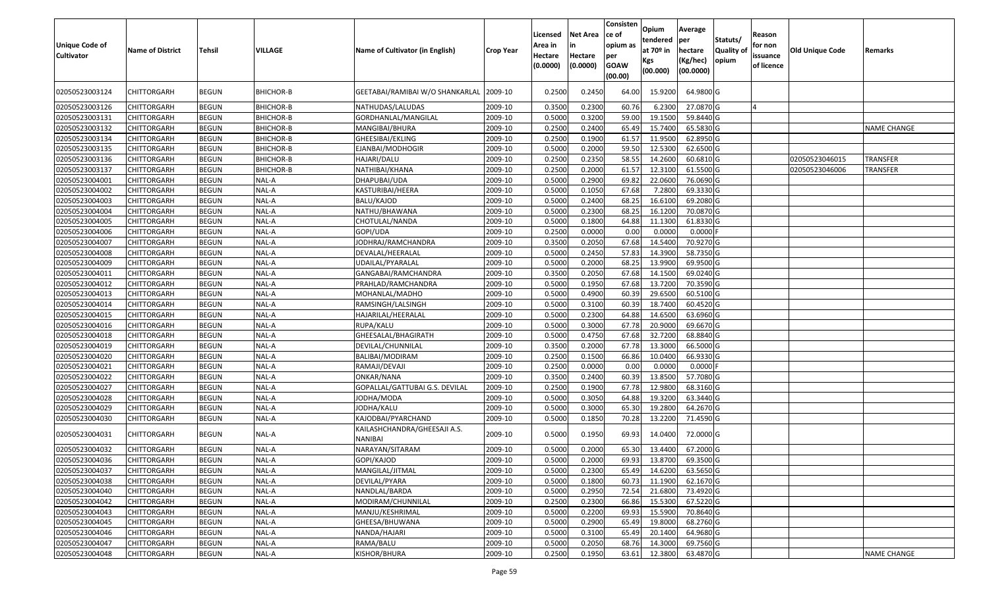| <b>Unique Code of</b><br><b>Cultivator</b> | <b>Name of District</b> | <b>Tehsil</b> | VILLAGE          | Name of Cultivator (in English)         | <b>Crop Year</b> | Licensed<br>Area in<br>Hectare<br>(0.0000) | <b>Net Area</b><br>in<br>Hectare<br>(0.0000) | Consisten<br>ce of<br>opium as<br>per<br><b>GOAW</b><br>(00.00) | Opium<br>tendered<br>at $70°$ in<br>Kgs<br>(00.000) | Average<br>per<br>hectare<br>(Kg/hec)<br>(00.0000) | Statuts/<br>Quality of<br>opium | Reason<br>for non<br>issuance<br>of licence | <b>Old Unique Code</b> | Remarks            |
|--------------------------------------------|-------------------------|---------------|------------------|-----------------------------------------|------------------|--------------------------------------------|----------------------------------------------|-----------------------------------------------------------------|-----------------------------------------------------|----------------------------------------------------|---------------------------------|---------------------------------------------|------------------------|--------------------|
| 02050523003124                             | CHITTORGARH             | <b>BEGUN</b>  | <b>BHICHOR-B</b> | GEETABAI/RAMIBAI W/O SHANKARLAL         | 2009-10          | 0.2500                                     | 0.2450                                       | 64.00                                                           | 15.9200                                             | 64.9800 G                                          |                                 |                                             |                        |                    |
| 02050523003126                             | <b>CHITTORGARH</b>      | <b>BEGUN</b>  | BHICHOR-B        | NATHUDAS/LALUDAS                        | 2009-10          | 0.3500                                     | 0.2300                                       | 60.76                                                           | 6.2300                                              | 27.0870 G                                          |                                 | $\overline{4}$                              |                        |                    |
| 02050523003131                             | <b>CHITTORGARH</b>      | <b>BEGUN</b>  | <b>BHICHOR-B</b> | GORDHANLAL/MANGILAL                     | 2009-10          | 0.5000                                     | 0.3200                                       | 59.00                                                           | 19.1500                                             | 59.8440 G                                          |                                 |                                             |                        |                    |
| 02050523003132                             | <b>CHITTORGARH</b>      | <b>BEGUN</b>  | <b>BHICHOR-B</b> | MANGIBAI/BHURA                          | 2009-10          | 0.2500                                     | 0.2400                                       | 65.49                                                           | 15.7400                                             | 65.5830 G                                          |                                 |                                             |                        | <b>NAME CHANGE</b> |
| 02050523003134                             | <b>CHITTORGARH</b>      | <b>BEGUN</b>  | BHICHOR-B        | GHEESIBAI/EKLING                        | 2009-10          | 0.2500                                     | 0.1900                                       | 61.57                                                           | 11.9500                                             | 62.8950 G                                          |                                 |                                             |                        |                    |
| 02050523003135                             | <b>CHITTORGARH</b>      | <b>BEGUN</b>  | BHICHOR-B        | EJANBAI/MODHOGIR                        | 2009-10          | 0.5000                                     | 0.2000                                       | 59.50                                                           | 12.5300                                             | 62.6500 G                                          |                                 |                                             |                        |                    |
| 02050523003136                             | CHITTORGARH             | <b>BEGUN</b>  | <b>BHICHOR-B</b> | HAJARI/DALU                             | 2009-10          | 0.2500                                     | 0.2350                                       | 58.55                                                           | 14.2600                                             | 60.6810 G                                          |                                 |                                             | 02050523046015         | <b>TRANSFER</b>    |
| 02050523003137                             | CHITTORGARH             | <b>BEGUN</b>  | <b>BHICHOR-B</b> | NATHIBAI/KHANA                          | 2009-10          | 0.2500                                     | 0.2000                                       | 61.57                                                           | 12.3100                                             | 61.5500 G                                          |                                 |                                             | 02050523046006         | <b>TRANSFER</b>    |
| 02050523004001                             | CHITTORGARH             | <b>BEGUN</b>  | NAL-A            | DHAPUBAI/UDA                            | 2009-10          | 0.500                                      | 0.2900                                       | 69.82                                                           | 22.0600                                             | 76.0690 G                                          |                                 |                                             |                        |                    |
| 02050523004002                             | CHITTORGARH             | <b>BEGUN</b>  | NAL-A            | KASTURIBAI/HEERA                        | 2009-10          | 0.5000                                     | 0.1050                                       | 67.68                                                           | 7.2800                                              | 69.3330 G                                          |                                 |                                             |                        |                    |
| 02050523004003                             | CHITTORGARH             | <b>BEGUN</b>  | NAL-A            | BALU/KAJOD                              | 2009-10          | 0.5000                                     | 0.2400                                       | 68.25                                                           | 16.6100                                             | 69.2080 G                                          |                                 |                                             |                        |                    |
| 02050523004004                             | CHITTORGARH             | <b>BEGUN</b>  | NAL-A            | NATHU/BHAWANA                           | 2009-10          | 0.5000                                     | 0.2300                                       | 68.25                                                           | 16.1200                                             | 70.0870 G                                          |                                 |                                             |                        |                    |
| 02050523004005                             | CHITTORGARH             | <b>BEGUN</b>  | NAL-A            | CHOTULAL/NANDA                          | 2009-10          | 0.5000                                     | 0.1800                                       | 64.88                                                           | 11.1300                                             | 61.8330 G                                          |                                 |                                             |                        |                    |
| 02050523004006                             | CHITTORGARH             | <b>BEGUN</b>  | NAL-A            | GOPI/UDA                                | 2009-10          | 0.2500                                     | 0.0000                                       | 0.00                                                            | 0.0000                                              | $0.0000$ F                                         |                                 |                                             |                        |                    |
| 02050523004007                             | CHITTORGARH             | <b>BEGUN</b>  | NAL-A            | IODHRAJ/RAMCHANDRA                      | 2009-10          | 0.3500                                     | 0.2050                                       | 67.68                                                           | 14.5400                                             | 70.9270 G                                          |                                 |                                             |                        |                    |
| 02050523004008                             | <b>CHITTORGARH</b>      | <b>BEGUN</b>  | NAL-A            | DEVALAL/HEERALAL                        | 2009-10          | 0.5000                                     | 0.2450                                       | 57.83                                                           | 14.3900                                             | 58.7350 G                                          |                                 |                                             |                        |                    |
| 02050523004009                             | CHITTORGARH             | <b>BEGUN</b>  | NAL-A            | UDAILAL/PYARALAL                        | 2009-10          | 0.5000                                     | 0.2000                                       | 68.25                                                           | 13.9900                                             | 69.9500 G                                          |                                 |                                             |                        |                    |
| 02050523004011                             | <b>CHITTORGARH</b>      | <b>BEGUN</b>  | NAL-A            | GANGABAI/RAMCHANDRA                     | 2009-10          | 0.3500                                     | 0.2050                                       | 67.68                                                           | 14.1500                                             | 69.0240 G                                          |                                 |                                             |                        |                    |
| 02050523004012                             | CHITTORGARH             | <b>BEGUN</b>  | NAL-A            | PRAHLAD/RAMCHANDRA                      | 2009-10          | 0.5000                                     | 0.1950                                       | 67.68                                                           | 13.7200                                             | 70.3590G                                           |                                 |                                             |                        |                    |
| 02050523004013                             | CHITTORGARH             | <b>BEGUN</b>  | NAL-A            | MOHANLAL/MADHO                          | 2009-10          | 0.5000                                     | 0.4900                                       | 60.39                                                           | 29.6500                                             | 60.5100 G                                          |                                 |                                             |                        |                    |
| 02050523004014                             | <b>CHITTORGARH</b>      | <b>BEGUN</b>  | NAL-A            | RAMSINGH/LALSINGH                       | 2009-10          | 0.5000                                     | 0.3100                                       | 60.39                                                           | 18.7400                                             | 60.4520 G                                          |                                 |                                             |                        |                    |
| 02050523004015                             | CHITTORGARH             | <b>BEGUN</b>  | NAL-A            | HAJARILAL/HEERALAL                      | 2009-10          | 0.5000                                     | 0.2300                                       | 64.88                                                           | 14.6500                                             | 63.6960 G                                          |                                 |                                             |                        |                    |
| 02050523004016                             | CHITTORGARH             | <b>BEGUN</b>  | NAL-A            | RUPA/KALU                               | 2009-10          | 0.5000                                     | 0.3000                                       | 67.78                                                           | 20.9000                                             | 69.6670 G                                          |                                 |                                             |                        |                    |
| 02050523004018                             | CHITTORGARH             | <b>BEGUN</b>  | NAL-A            | GHEESALAL/BHAGIRATH                     | 2009-10          | 0.5000                                     | 0.4750                                       | 67.68                                                           | 32.7200                                             | 68.8840 G                                          |                                 |                                             |                        |                    |
| 02050523004019                             | <b>CHITTORGARH</b>      | <b>BEGUN</b>  | NAL-A            | DEVILAL/CHUNNILAL                       | 2009-10          | 0.3500                                     | 0.2000                                       | 67.78                                                           | 13.3000                                             | 66.5000 G                                          |                                 |                                             |                        |                    |
| 02050523004020                             | <b>CHITTORGARH</b>      | <b>BEGUN</b>  | NAL-A            | BALIBAI/MODIRAM                         | 2009-10          | 0.2500                                     | 0.1500                                       | 66.86                                                           | 10.0400                                             | 66.9330 G                                          |                                 |                                             |                        |                    |
| 02050523004021                             | <b>CHITTORGARH</b>      | <b>BEGUN</b>  | NAL-A            | RAMAJI/DEVAJI                           | 2009-10          | 0.2500                                     | 0.0000                                       | 0.00                                                            | 0.0000                                              | $0.0000$ F                                         |                                 |                                             |                        |                    |
| 02050523004022                             | CHITTORGARH             | <b>BEGUN</b>  | NAL-A            | ONKAR/NANA                              | 2009-10          | 0.3500                                     | 0.2400                                       | 60.39                                                           | 13.8500                                             | 57.7080 G                                          |                                 |                                             |                        |                    |
| 02050523004027                             | <b>CHITTORGARH</b>      | <b>BEGUN</b>  | NAL-A            | GOPALLAL/GATTUBAI G.S. DEVILAL          | 2009-10          | 0.2500                                     | 0.1900                                       | 67.78                                                           | 12.9800                                             | 68.3160 G                                          |                                 |                                             |                        |                    |
| 02050523004028                             | <b>CHITTORGARH</b>      | <b>BEGUN</b>  | NAL-A            | JODHA/MODA                              | 2009-10          | 0.5000                                     | 0.3050                                       | 64.88                                                           | 19.3200                                             | 63.3440 G                                          |                                 |                                             |                        |                    |
| 02050523004029                             | <b>CHITTORGARH</b>      | <b>BEGUN</b>  | NAL-A            | JODHA/KALU                              | 2009-10          | 0.5000                                     | 0.3000                                       | 65.30                                                           | 19.2800                                             | 64.2670 G                                          |                                 |                                             |                        |                    |
| 02050523004030                             | CHITTORGARH             | <b>BEGUN</b>  | NAL-A            | KAJODBAI/PYARCHAND                      | 2009-10          | 0.500                                      | 0.1850                                       | 70.28                                                           | 13.2200                                             | 71.4590 G                                          |                                 |                                             |                        |                    |
| 02050523004031                             | CHITTORGARH             | <b>BEGUN</b>  | NAL-A            | KAILASHCHANDRA/GHEESAJI A.S.<br>NANIBAI | 2009-10          | 0.5000                                     | 0.1950                                       | 69.93                                                           | 14.0400                                             | 72.0000 G                                          |                                 |                                             |                        |                    |
| 02050523004032                             | CHITTORGARH             | <b>BEGUN</b>  | NAL-A            | NARAYAN/SITARAM                         | 2009-10          | 0.500                                      | 0.2000                                       | 65.30                                                           | 13.4400                                             | 67.2000 G                                          |                                 |                                             |                        |                    |
| 02050523004036                             | <b>CHITTORGARH</b>      | <b>BEGUN</b>  | NAL-A            | GOPI/KAJOD                              | 2009-10          | 0.5000                                     | 0.2000                                       | 69.93                                                           | 13.8700                                             | 69.3500 G                                          |                                 |                                             |                        |                    |
| 02050523004037                             | <b>CHITTORGARH</b>      | <b>BEGUN</b>  | NAL-A            | MANGILAL/JITMAL                         | 2009-10          | 0.5000                                     | 0.2300                                       | 65.49                                                           | 14.6200                                             | 63.5650 G                                          |                                 |                                             |                        |                    |
| 02050523004038                             | <b>CHITTORGARH</b>      | <b>BEGUN</b>  | NAL-A            | DEVILAL/PYARA                           | 2009-10          | 0.5000                                     | 0.1800                                       | 60.73                                                           | 11.1900                                             | 62.1670 G                                          |                                 |                                             |                        |                    |
| 02050523004040                             | <b>CHITTORGARH</b>      | <b>BEGUN</b>  | NAL-A            | NANDLAL/BARDA                           | 2009-10          | 0.5000                                     | 0.2950                                       | 72.54                                                           | 21.6800                                             | 73.4920 G                                          |                                 |                                             |                        |                    |
| 02050523004042                             | CHITTORGARH             | <b>BEGUN</b>  | NAL-A            | MODIRAM/CHUNNILAL                       | 2009-10          | 0.2500                                     | 0.2300                                       | 66.86                                                           | 15.5300                                             | 67.5220 G                                          |                                 |                                             |                        |                    |
| 02050523004043                             | <b>CHITTORGARH</b>      | <b>BEGUN</b>  | NAL-A            | MANJU/KESHRIMAL                         | 2009-10          | 0.5000                                     | 0.2200                                       | 69.93                                                           | 15.5900                                             | 70.8640 G                                          |                                 |                                             |                        |                    |
| 02050523004045                             | <b>CHITTORGARH</b>      | <b>BEGUN</b>  | NAL-A            | GHEESA/BHUWANA                          | 2009-10          | 0.5000                                     | 0.2900                                       | 65.49                                                           | 19.8000                                             | 68.2760 G                                          |                                 |                                             |                        |                    |
| 02050523004046                             | <b>CHITTORGARH</b>      | <b>BEGUN</b>  | NAL-A            | NANDA/HAJARI                            | 2009-10          | 0.5000                                     | 0.3100                                       | 65.49                                                           | 20.1400                                             | 64.9680 G                                          |                                 |                                             |                        |                    |
| 02050523004047                             | CHITTORGARH             | <b>BEGUN</b>  | NAL-A            | RAMA/BALU                               | 2009-10          | 0.5000                                     | 0.2050                                       | 68.76                                                           | 14.3000                                             | 69.7560 G                                          |                                 |                                             |                        |                    |
| 02050523004048                             | CHITTORGARH             | <b>BEGUN</b>  | $NAL-A$          | KISHOR/BHURA                            | 2009-10          | 0.2500                                     | 0.1950                                       | 63.61                                                           | 12.3800                                             | 63.4870 G                                          |                                 |                                             |                        | <b>NAME CHANGE</b> |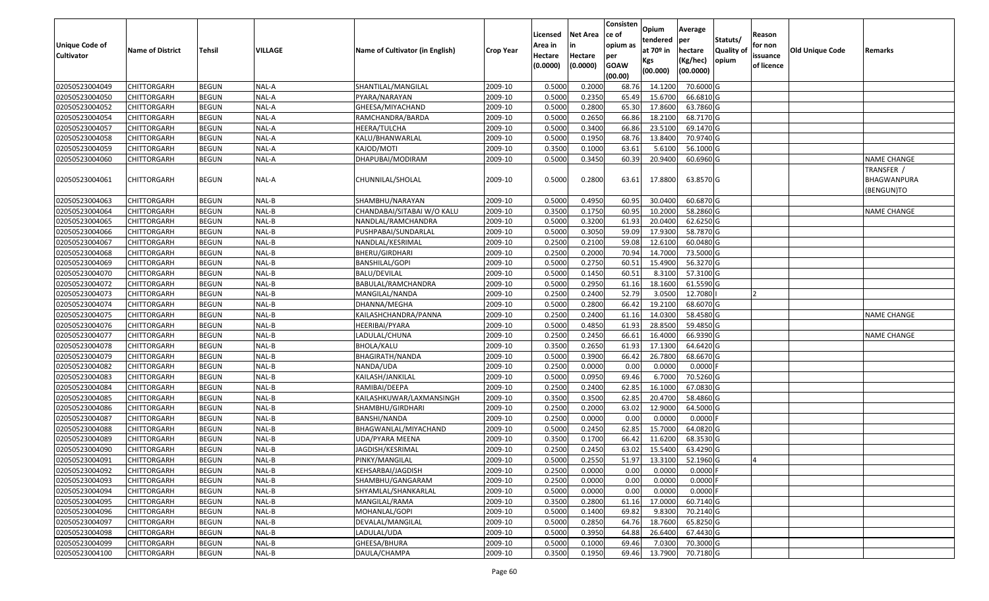| Unique Code of<br><b>Cultivator</b> | <b>Name of District</b> | Tehsil       | VILLAGE | Name of Cultivator (in English) | <b>Crop Year</b> | Licensed<br>Area in<br>Hectare<br>(0.0000) | Net Area<br>in<br>Hectare<br>(0.0000) | Consisten<br>ce of<br>opium as<br>per<br><b>GOAW</b><br>(00.00) | Opium<br>tendered<br>at 70º in<br>Kgs<br>(00.000) | Average<br>per<br>hectare<br>(Kg/hec)<br>(00.0000) | Statuts/<br><b>Quality of</b><br>opium | Reason<br>for non<br>issuance<br>of licence | <b>Old Unique Code</b> | Remarks                                 |
|-------------------------------------|-------------------------|--------------|---------|---------------------------------|------------------|--------------------------------------------|---------------------------------------|-----------------------------------------------------------------|---------------------------------------------------|----------------------------------------------------|----------------------------------------|---------------------------------------------|------------------------|-----------------------------------------|
| 02050523004049                      | CHITTORGARH             | <b>BEGUN</b> | NAL-A   | SHANTILAL/MANGILAL              | 2009-10          | 0.5000                                     | 0.2000                                | 68.76                                                           | 14.1200                                           | 70.6000 G                                          |                                        |                                             |                        |                                         |
| 02050523004050                      | CHITTORGARH             | <b>BEGUN</b> | NAL-A   | PYARA/NARAYAN                   | 2009-10          | 0.5000                                     | 0.2350                                | 65.49                                                           | 15.6700                                           | 66.6810 G                                          |                                        |                                             |                        |                                         |
| 02050523004052                      | CHITTORGARH             | <b>BEGUN</b> | NAL-A   | GHEESA/MIYACHAND                | 2009-10          | 0.5000                                     | 0.2800                                | 65.30                                                           | 17.8600                                           | 63.7860 G                                          |                                        |                                             |                        |                                         |
| 02050523004054                      | CHITTORGARH             | <b>BEGUN</b> | NAL-A   | RAMCHANDRA/BARDA                | 2009-10          | 0.5000                                     | 0.2650                                | 66.86                                                           | 18.2100                                           | 68.7170 G                                          |                                        |                                             |                        |                                         |
| 02050523004057                      | CHITTORGARH             | <b>BEGUN</b> | NAL-A   | HEERA/TULCHA                    | 2009-10          | 0.5000                                     | 0.3400                                | 66.86                                                           | 23.5100                                           | 69.1470 G                                          |                                        |                                             |                        |                                         |
| 02050523004058                      | CHITTORGARH             | <b>BEGUN</b> | NAL-A   | KALU/BHANWARLAL                 | 2009-10          | 0.5000                                     | 0.1950                                | 68.76                                                           | 13.8400                                           | 70.9740 G                                          |                                        |                                             |                        |                                         |
| 02050523004059                      | CHITTORGARH             | <b>BEGUN</b> | NAL-A   | KAJOD/MOTI                      | 2009-10          | 0.3500                                     | 0.1000                                | 63.61                                                           | 5.6100                                            | 56.1000 G                                          |                                        |                                             |                        |                                         |
| 02050523004060                      | CHITTORGARH             | <b>BEGUN</b> | NAL-A   | DHAPUBAI/MODIRAM                | 2009-10          | 0.5000                                     | 0.3450                                | 60.39                                                           | 20.9400                                           | 60.6960 G                                          |                                        |                                             |                        | <b>NAME CHANGE</b>                      |
| 02050523004061                      | CHITTORGARH             | <b>BEGUN</b> | NAL-A   | CHUNNILAL/SHOLAL                | 2009-10          | 0.5000                                     | 0.2800                                | 63.61                                                           | 17.8800                                           | 63.8570 G                                          |                                        |                                             |                        | TRANSFER /<br>BHAGWANPURA<br>(BENGUN)TO |
| 02050523004063                      | CHITTORGARH             | <b>BEGUN</b> | NAL-B   | SHAMBHU/NARAYAN                 | 2009-10          | 0.5000                                     | 0.4950                                | 60.95                                                           | 30.0400                                           | 60.6870 G                                          |                                        |                                             |                        |                                         |
| 02050523004064                      | CHITTORGARH             | <b>BEGUN</b> | NAL-B   | CHANDABAI/SITABAI W/O KALU      | 2009-10          | 0.3500                                     | 0.1750                                | 60.95                                                           | 10.2000                                           | 58.2860 G                                          |                                        |                                             |                        | NAME CHANGE                             |
| 02050523004065                      | CHITTORGARH             | <b>BEGUN</b> | NAL-B   | NANDLAL/RAMCHANDRA              | 2009-10          | 0.5000                                     | 0.3200                                | 61.93                                                           | 20.0400                                           | 62.6250 G                                          |                                        |                                             |                        |                                         |
| 02050523004066                      | CHITTORGARH             | <b>BEGUN</b> | NAL-B   | PUSHPABAI/SUNDARLAL             | 2009-10          | 0.5000                                     | 0.3050                                | 59.09                                                           | 17.9300                                           | 58.7870 G                                          |                                        |                                             |                        |                                         |
| 02050523004067                      | <b>CHITTORGARH</b>      | <b>BEGUN</b> | NAL-B   | NANDLAL/KESRIMAL                | 2009-10          | 0.2500                                     | 0.2100                                | 59.08                                                           | 12.6100                                           | 60.0480 G                                          |                                        |                                             |                        |                                         |
| 02050523004068                      | <b>CHITTORGARH</b>      | <b>BEGUN</b> | NAL-B   | BHERU/GIRDHARI                  | 2009-10          | 0.2500                                     | 0.2000                                | 70.94                                                           | 14.7000                                           | 73.5000 G                                          |                                        |                                             |                        |                                         |
| 02050523004069                      | CHITTORGARH             | <b>BEGUN</b> | NAL-B   | <b>BANSHILAL/GOPI</b>           | 2009-10          | 0.5000                                     | 0.2750                                | 60.51                                                           | 15.4900                                           | 56.3270 G                                          |                                        |                                             |                        |                                         |
| 02050523004070                      | CHITTORGARH             | <b>BEGUN</b> | NAL-B   | BALU/DEVILAL                    | 2009-10          | 0.5000                                     | 0.1450                                | 60.51                                                           | 8.3100                                            | 57.3100 G                                          |                                        |                                             |                        |                                         |
| 02050523004072                      | <b>CHITTORGARH</b>      | <b>BEGUN</b> | NAL-B   | BABULAL/RAMCHANDRA              | 2009-10          | 0.5000                                     | 0.2950                                | 61.16                                                           | 18.1600                                           | 61.5590 G                                          |                                        |                                             |                        |                                         |
| 02050523004073                      | <b>CHITTORGARH</b>      | <b>BEGUN</b> | NAL-B   | MANGILAL/NANDA                  | 2009-10          | 0.2500                                     | 0.2400                                | 52.79                                                           | 3.0500                                            | 12.7080                                            |                                        |                                             |                        |                                         |
| 02050523004074                      | CHITTORGARH             | <b>BEGUN</b> | NAL-B   | DHANNA/MEGHA                    | 2009-10          | 0.5000                                     | 0.2800                                | 66.42                                                           | 19.2100                                           | 68.6070 G                                          |                                        |                                             |                        |                                         |
| 02050523004075                      | CHITTORGARH             | <b>BEGUN</b> | NAL-B   | KAILASHCHANDRA/PANNA            | 2009-10          | 0.2500                                     | 0.2400                                | 61.16                                                           | 14.0300                                           | 58.4580 G                                          |                                        |                                             |                        | <b>NAME CHANGE</b>                      |
| 02050523004076                      | CHITTORGARH             | <b>BEGUN</b> | NAL-B   | HEERIBAI/PYARA                  | 2009-10          | 0.5000                                     | 0.4850                                | 61.93                                                           | 28.8500                                           | 59.4850 G                                          |                                        |                                             |                        |                                         |
| 02050523004077                      | CHITTORGARH             | <b>BEGUN</b> | NAL-B   | LADULAL/CHUNA                   | 2009-10          | 0.2500                                     | 0.2450                                | 66.61                                                           | 16.4000                                           | 66.9390 G                                          |                                        |                                             |                        | <b>NAME CHANGE</b>                      |
| 02050523004078                      | CHITTORGARH             | <b>BEGUN</b> | NAL-B   | <b>BHOLA/KALU</b>               | 2009-10          | 0.3500                                     | 0.2650                                | 61.93                                                           | 17.1300                                           | 64.6420 G                                          |                                        |                                             |                        |                                         |
| 02050523004079                      | CHITTORGARH             | <b>BEGUN</b> | NAL-B   | BHAGIRATH/NANDA                 | 2009-10          | 0.5000                                     | 0.3900                                | 66.42                                                           | 26.7800                                           | 68.6670 G                                          |                                        |                                             |                        |                                         |
| 02050523004082                      | CHITTORGARH             | <b>BEGUN</b> | NAL-B   | NANDA/UDA                       | 2009-10          | 0.2500                                     | 0.0000                                | 0.00                                                            | 0.0000                                            | $0.0000$ F                                         |                                        |                                             |                        |                                         |
| 02050523004083                      | <b>CHITTORGARH</b>      | <b>BEGUN</b> | NAL-B   | KAILASH/JANKILAL                | 2009-10          | 0.5000                                     | 0.0950                                | 69.46                                                           | 6.7000                                            | 70.5260 G                                          |                                        |                                             |                        |                                         |
| 02050523004084                      | CHITTORGARH             | <b>BEGUN</b> | NAL-B   | RAMIBAI/DEEPA                   | 2009-10          | 0.2500                                     | 0.2400                                | 62.85                                                           | 16.1000                                           | 67.0830 G                                          |                                        |                                             |                        |                                         |
| 02050523004085                      | CHITTORGARH             | <b>BEGUN</b> | NAL-B   | KAILASHKUWAR/LAXMANSINGH        | 2009-10          | 0.3500                                     | 0.3500                                | 62.85                                                           | 20.4700                                           | 58.4860 G                                          |                                        |                                             |                        |                                         |
| 02050523004086                      | CHITTORGARH             | <b>BEGUN</b> | NAL-B   | SHAMBHU/GIRDHARI                | 2009-10          | 0.2500                                     | 0.2000                                | 63.02                                                           | 12.9000                                           | 64.5000 G                                          |                                        |                                             |                        |                                         |
| 02050523004087                      | CHITTORGARH             | <b>BEGUN</b> | NAL-B   | BANSHI/NANDA                    | 2009-10          | 0.2500                                     | 0.0000                                | 0.00                                                            | 0.0000                                            | $0.0000$ F                                         |                                        |                                             |                        |                                         |
| 02050523004088                      | CHITTORGARH             | <b>BEGUN</b> | NAL-B   | BHAGWANLAL/MIYACHAND            | 2009-10          | 0.5000                                     | 0.2450                                | 62.85                                                           | 15.7000                                           | 64.0820 G                                          |                                        |                                             |                        |                                         |
| 02050523004089                      | CHITTORGARH             | <b>BEGUN</b> | NAL-B   | UDA/PYARA MEENA                 | 2009-10          | 0.3500                                     | 0.1700                                | 66.42                                                           | 11.6200                                           | 68.3530 G                                          |                                        |                                             |                        |                                         |
| 02050523004090                      | CHITTORGARH             | <b>BEGUN</b> | NAL-B   | JAGDISH/KESRIMAL                | 2009-10          | 0.2500                                     | 0.2450                                | 63.02                                                           | 15.5400                                           | 63.4290 G                                          |                                        |                                             |                        |                                         |
| 02050523004091                      | <b>CHITTORGARH</b>      | <b>BEGUN</b> | NAL-B   | PINKY/MANGILAL                  | 2009-10          | 0.5000                                     | 0.2550                                | 51.97                                                           | 13.3100                                           | 52.1960 G                                          |                                        |                                             |                        |                                         |
| 02050523004092                      | <b>CHITTORGARH</b>      | <b>BEGUN</b> | NAL-B   | KEHSARBAI/JAGDISH               | 2009-10          | 0.2500                                     | 0.0000                                | 0.00                                                            | 0.0000                                            | $0.0000$ F                                         |                                        |                                             |                        |                                         |
| 02050523004093                      | <b>CHITTORGARH</b>      | <b>BEGUN</b> | NAL-B   | SHAMBHU/GANGARAM                | 2009-10          | 0.2500                                     | 0.0000                                | 0.00                                                            | 0.0000                                            | $0.0000$ F                                         |                                        |                                             |                        |                                         |
| 02050523004094                      | <b>CHITTORGARH</b>      | <b>BEGUN</b> | NAL-B   | SHYAMLAL/SHANKARLAL             | 2009-10          | 0.5000                                     | 0.0000                                | 0.00                                                            | 0.0000                                            | $0.0000$ F                                         |                                        |                                             |                        |                                         |
| 02050523004095                      | <b>CHITTORGARH</b>      | <b>BEGUN</b> | NAL-B   | MANGILAL/RAMA                   | 2009-10          | 0.3500                                     | 0.2800                                | 61.16                                                           | 17.0000                                           | 60.7140 G                                          |                                        |                                             |                        |                                         |
| 02050523004096                      | <b>CHITTORGARH</b>      | <b>BEGUN</b> | NAL-B   | MOHANLAL/GOPI                   | 2009-10          | 0.5000                                     | 0.1400                                | 69.82                                                           | 9.8300                                            | 70.2140 G                                          |                                        |                                             |                        |                                         |
| 02050523004097                      | <b>CHITTORGARH</b>      | <b>BEGUN</b> | NAL-B   | DEVALAL/MANGILAL                | 2009-10          | 0.5000                                     | 0.2850                                | 64.76                                                           | 18.7600                                           | 65.8250 G                                          |                                        |                                             |                        |                                         |
| 02050523004098                      | <b>CHITTORGARH</b>      | <b>BEGUN</b> | NAL-B   | LADULAL/UDA                     | 2009-10          | 0.5000                                     | 0.3950                                | 64.88                                                           | 26.6400                                           | 67.4430 G                                          |                                        |                                             |                        |                                         |
| 02050523004099                      | <b>CHITTORGARH</b>      | <b>BEGUN</b> | NAL-B   | GHEESA/BHURA                    | 2009-10          | 0.5000                                     | 0.1000                                | 69.46                                                           | 7.0300                                            | 70.3000 G                                          |                                        |                                             |                        |                                         |
| 02050523004100                      | <b>CHITTORGARH</b>      | <b>BEGUN</b> | NAL-B   | DAULA/CHAMPA                    | 2009-10          | 0.3500                                     | 0.1950                                | 69.46                                                           | 13.7900                                           | 70.7180 G                                          |                                        |                                             |                        |                                         |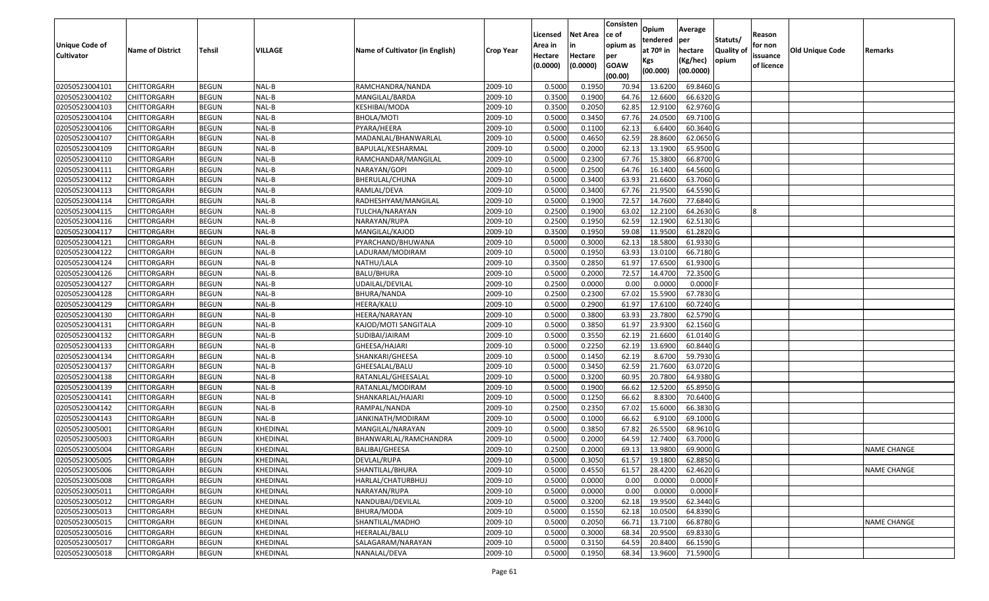|                   |                         |               |          |                                 |                  |          |                 | Consisten              | Opium       | Average    |                  |            |                        |                    |
|-------------------|-------------------------|---------------|----------|---------------------------------|------------------|----------|-----------------|------------------------|-------------|------------|------------------|------------|------------------------|--------------------|
|                   |                         |               |          |                                 |                  | Licensed | <b>Net Area</b> | ce of                  | tendered    | per        | Statuts/         | Reason     |                        |                    |
| Unique Code of    | <b>Name of District</b> | <b>Tehsil</b> | VILLAGE  | Name of Cultivator (in English) | <b>Crop Year</b> | Area in  | in              | opium as               | at $70°$ in | hectare    | <b>Quality o</b> | for non    | <b>Old Unique Code</b> | Remarks            |
| <b>Cultivator</b> |                         |               |          |                                 |                  | Hectare  | Hectare         | per                    | Kgs         | (Kg/hec)   | opium            | issuance   |                        |                    |
|                   |                         |               |          |                                 |                  | (0.0000) | (0.0000)        | <b>GOAW</b><br>(00.00) | (00.000)    | (00.0000)  |                  | of licence |                        |                    |
| 02050523004101    | CHITTORGARH             | <b>BEGUN</b>  | NAL-B    | RAMCHANDRA/NANDA                | 2009-10          | 0.5000   | 0.1950          | 70.94                  | 13.6200     | 69.8460 G  |                  |            |                        |                    |
| 02050523004102    | CHITTORGARH             | <b>BEGUN</b>  | NAL-B    | MANGILAL/BARDA                  | 2009-10          | 0.3500   | 0.1900          | 64.76                  | 12.6600     | 66.6320 G  |                  |            |                        |                    |
| 02050523004103    | CHITTORGARH             | <b>BEGUN</b>  | NAL-B    | KESHIBAI/MODA                   | 2009-10          | 0.3500   | 0.2050          | 62.85                  | 12.9100     | 62.9760 G  |                  |            |                        |                    |
| 02050523004104    | CHITTORGARH             | <b>BEGUN</b>  | NAL-B    | <b>BHOLA/MOTI</b>               | 2009-10          | 0.5000   | 0.3450          | 67.76                  | 24.0500     | 69.7100 G  |                  |            |                        |                    |
| 02050523004106    | CHITTORGARH             | <b>BEGUN</b>  | NAL-B    | PYARA/HEERA                     | 2009-10          | 0.5000   | 0.1100          | 62.13                  | 6.6400      | 60.3640 G  |                  |            |                        |                    |
| 02050523004107    | <b>CHITTORGARH</b>      | <b>BEGUN</b>  | NAL-B    | MADANLAL/BHANWARLAL             | 2009-10          | 0.5000   | 0.4650          | 62.59                  | 28.8600     | 62.0650 G  |                  |            |                        |                    |
| 02050523004109    | CHITTORGARH             | <b>BEGUN</b>  | NAL-B    | BAPULAL/KESHARMAL               | 2009-10          | 0.5000   | 0.2000          | 62.13                  | 13.1900     | 65.9500 G  |                  |            |                        |                    |
| 02050523004110    | <b>CHITTORGARH</b>      | <b>BEGUN</b>  | NAL-B    | RAMCHANDAR/MANGILAL             | 2009-10          | 0.5000   | 0.2300          | 67.76                  | 15.3800     | 66.8700 G  |                  |            |                        |                    |
| 02050523004111    | CHITTORGARH             | <b>BEGUN</b>  | NAL-B    | NARAYAN/GOPI                    | 2009-10          | 0.5000   | 0.2500          | 64.76                  | 16.1400     | 64.5600 G  |                  |            |                        |                    |
| 02050523004112    | <b>CHITTORGARH</b>      | <b>BEGUN</b>  | NAL-B    | BHERULAL/CHUNA                  | 2009-10          | 0.5000   | 0.3400          | 63.93                  | 21.6600     | 63.7060 G  |                  |            |                        |                    |
| 02050523004113    | CHITTORGARH             | <b>BEGUN</b>  | NAL-B    | RAMLAL/DEVA                     | 2009-10          | 0.5000   | 0.3400          | 67.76                  | 21.9500     | 64.5590 G  |                  |            |                        |                    |
| 02050523004114    | <b>CHITTORGARH</b>      | <b>BEGUN</b>  | NAL-B    | RADHESHYAM/MANGILAL             | 2009-10          | 0.5000   | 0.1900          | 72.57                  | 14.7600     | 77.6840 G  |                  |            |                        |                    |
| 02050523004115    | <b>CHITTORGARH</b>      | <b>BEGUN</b>  | NAL-B    | TULCHA/NARAYAN                  | 2009-10          | 0.2500   | 0.1900          | 63.02                  | 12.2100     | 64.2630 G  |                  | R          |                        |                    |
| 02050523004116    | <b>CHITTORGARH</b>      | <b>BEGUN</b>  | NAL-B    | NARAYAN/RUPA                    | 2009-10          | 0.2500   | 0.1950          | 62.59                  | 12.1900     | 62.5130 G  |                  |            |                        |                    |
| 02050523004117    | <b>CHITTORGARH</b>      | <b>BEGUN</b>  | NAL-B    | MANGILAL/KAJOD                  | 2009-10          | 0.3500   | 0.1950          | 59.08                  | 11.9500     | 61.2820 G  |                  |            |                        |                    |
| 02050523004121    | CHITTORGARH             | <b>BEGUN</b>  | NAL-B    | PYARCHAND/BHUWANA               | 2009-10          | 0.5000   | 0.3000          | 62.13                  | 18.5800     | 61.9330 G  |                  |            |                        |                    |
| 02050523004122    | CHITTORGARH             | <b>BEGUN</b>  | NAL-B    | LADURAM/MODIRAM                 | 2009-10          | 0.5000   | 0.1950          | 63.93                  | 13.0100     | 66.7180 G  |                  |            |                        |                    |
| 02050523004124    | CHITTORGARH             | <b>BEGUN</b>  | NAL-B    | NATHU/LALA                      | 2009-10          | 0.3500   | 0.2850          | 61.97                  | 17.6500     | 61.9300 G  |                  |            |                        |                    |
| 02050523004126    | CHITTORGARH             | <b>BEGUN</b>  | NAL-B    | BALU/BHURA                      | 2009-10          | 0.5000   | 0.2000          | 72.57                  | 14.4700     | 72.3500 G  |                  |            |                        |                    |
| 02050523004127    | CHITTORGARH             | <b>BEGUN</b>  | NAL-B    | JDAILAL/DEVILAL                 | 2009-10          | 0.2500   | 0.0000          | 0.00                   | 0.0000      | 0.0000     |                  |            |                        |                    |
| 02050523004128    | CHITTORGARH             | <b>BEGUN</b>  | NAL-B    | BHURA/NANDA                     | 2009-10          | 0.2500   | 0.2300          | 67.02                  | 15.5900     | 67.7830 G  |                  |            |                        |                    |
| 02050523004129    | CHITTORGARH             | <b>BEGUN</b>  | NAL-B    | HEERA/KALU                      | 2009-10          | 0.5000   | 0.2900          | 61.97                  | 17.6100     | 60.7240 G  |                  |            |                        |                    |
| 02050523004130    | CHITTORGARH             | <b>BEGUN</b>  | NAL-B    | HEERA/NARAYAN                   | 2009-10          | 0.5000   | 0.3800          | 63.93                  | 23.7800     | 62.5790 G  |                  |            |                        |                    |
| 02050523004131    | CHITTORGARH             | <b>BEGUN</b>  | NAL-B    | KAJOD/MOTI SANGITALA            | 2009-10          | 0.5000   | 0.3850          | 61.97                  | 23.9300     | 62.1560 G  |                  |            |                        |                    |
| 02050523004132    | CHITTORGARH             | <b>BEGUN</b>  | NAL-B    | SUDIBAI/JAIRAM                  | 2009-10          | 0.5000   | 0.3550          | 62.19                  | 21.6600     | 61.0140 G  |                  |            |                        |                    |
| 02050523004133    | CHITTORGARH             | <b>BEGUN</b>  | NAL-B    | GHEESA/HAJARI                   | 2009-10          | 0.5000   | 0.2250          | 62.19                  | 13.6900     | 60.8440 G  |                  |            |                        |                    |
| 02050523004134    | CHITTORGARH             | <b>BEGUN</b>  | NAL-B    | SHANKARI/GHEESA                 | 2009-10          | 0.5000   | 0.1450          | 62.19                  | 8.6700      | 59.7930 G  |                  |            |                        |                    |
| 02050523004137    | CHITTORGARH             | <b>BEGUN</b>  | NAL-B    | GHEESALAL/BALU                  | 2009-10          | 0.5000   | 0.3450          | 62.59                  | 21.7600     | 63.0720 G  |                  |            |                        |                    |
| 02050523004138    | CHITTORGARH             | <b>BEGUN</b>  | NAL-B    | RATANLAL/GHEESALAL              | 2009-10          | 0.5000   | 0.3200          | 60.95                  | 20.7800     | 64.9380 G  |                  |            |                        |                    |
| 02050523004139    | <b>CHITTORGARH</b>      | <b>BEGUN</b>  | NAL-B    | RATANLAL/MODIRAM                | 2009-10          | 0.5000   | 0.1900          | 66.62                  | 12.5200     | 65.8950 G  |                  |            |                        |                    |
| 02050523004141    | CHITTORGARH             | <b>BEGUN</b>  | NAL-B    | SHANKARLAL/HAJARI               | 2009-10          | 0.5000   | 0.1250          | 66.62                  | 8.8300      | 70.6400 G  |                  |            |                        |                    |
| 02050523004142    | CHITTORGARH             | <b>BEGUN</b>  | NAL-B    | RAMPAL/NANDA                    | 2009-10          | 0.2500   | 0.2350          | 67.02                  | 15.6000     | 66.3830 G  |                  |            |                        |                    |
| 02050523004143    | CHITTORGARH             | <b>BEGUN</b>  | NAL-B    | JANKINATH/MODIRAM               | 2009-10          | 0.5000   | 0.1000          | 66.62                  | 6.9100      | 69.1000G   |                  |            |                        |                    |
| 02050523005001    | CHITTORGARH             | <b>BEGUN</b>  | KHEDINAL | MANGILAL/NARAYAN                | 2009-10          | 0.5000   | 0.3850          | 67.82                  | 26.5500     | 68.9610 G  |                  |            |                        |                    |
| 02050523005003    | CHITTORGARH             | <b>BEGUN</b>  | KHEDINAL | BHANWARLAL/RAMCHANDRA           | 2009-10          | 0.500    | 0.2000          | 64.59                  | 12.7400     | 63.7000 G  |                  |            |                        |                    |
| 02050523005004    | CHITTORGARH             | <b>BEGUN</b>  | KHEDINAL | BALIBAI/GHEESA                  | 2009-10          | 0.2500   | 0.2000          | 69.13                  | 13.9800     | 69.9000 G  |                  |            |                        | <b>NAME CHANGE</b> |
| 02050523005005    | <b>CHITTORGARH</b>      | <b>BEGUN</b>  | KHEDINAL | DEVLAL/RUPA                     | 2009-10          | 0.5000   | 0.3050          | 61.57                  | 19.1800     | 62.8850 G  |                  |            |                        |                    |
| 02050523005006    | <b>CHITTORGARH</b>      | <b>BEGUN</b>  | KHEDINAL | SHANTILAL/BHURA                 | 2009-10          | 0.5000   | 0.4550          | 61.57                  | 28.4200     | 62.4620 G  |                  |            |                        | <b>NAME CHANGE</b> |
| 02050523005008    | <b>CHITTORGARH</b>      | <b>BEGUN</b>  | KHEDINAL | HARLAL/CHATURBHUJ               | 2009-10          | 0.5000   | 0.0000          | 0.00                   | 0.0000      | $0.0000$ F |                  |            |                        |                    |
| 02050523005011    | <b>CHITTORGARH</b>      | <b>BEGUN</b>  | KHEDINAL | NARAYAN/RUPA                    | 2009-10          | 0.5000   | 0.0000          | 0.00                   | 0.0000      | $0.0000$ F |                  |            |                        |                    |
| 02050523005012    | CHITTORGARH             | <b>BEGUN</b>  | KHEDINAL | NANDUBAI/DEVILAL                | 2009-10          | 0.5000   | 0.3200          | 62.18                  | 19.9500     | 62.3440 G  |                  |            |                        |                    |
| 02050523005013    | <b>CHITTORGARH</b>      | <b>BEGUN</b>  | KHEDINAL | BHURA/MODA                      | 2009-10          | 0.5000   | 0.1550          | 62.18                  | 10.0500     | 64.8390 G  |                  |            |                        |                    |
| 02050523005015    | <b>CHITTORGARH</b>      | <b>BEGUN</b>  | KHEDINAL | SHANTILAL/MADHO                 | 2009-10          | 0.5000   | 0.2050          | 66.71                  | 13.7100     | 66.8780 G  |                  |            |                        | <b>NAME CHANGE</b> |
| 02050523005016    | CHITTORGARH             | <b>BEGUN</b>  | KHEDINAL | HEERALAL/BALU                   | 2009-10          | 0.5000   | 0.3000          | 68.34                  | 20.9500     | 69.8330 G  |                  |            |                        |                    |
| 02050523005017    | <b>CHITTORGARH</b>      | <b>BEGUN</b>  | KHEDINAL | SALAGARAM/NARAYAN               | 2009-10          | 0.5000   | 0.3150          | 64.59                  | 20.8400     | 66.1590 G  |                  |            |                        |                    |
| 02050523005018    | <b>CHITTORGARH</b>      | <b>BEGUN</b>  | KHEDINAL | NANALAL/DEVA                    | 2009-10          | 0.5000   | 0.1950          | 68.34                  | 13.9600     | 71.5900 G  |                  |            |                        |                    |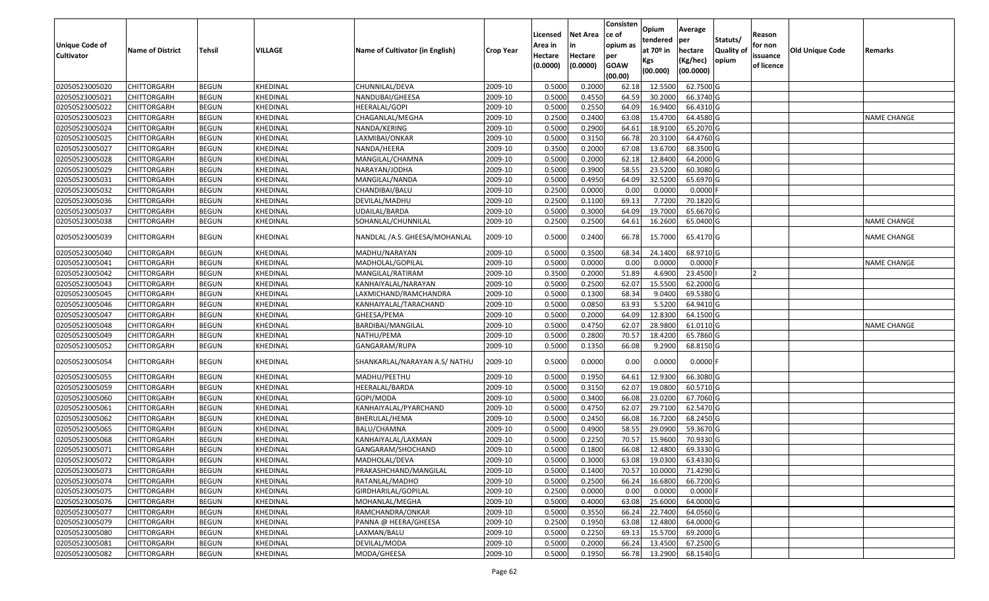| <b>Unique Code of</b> | <b>Name of District</b> | Tehsil       | VILLAGE  | Name of Cultivator (in English) | <b>Crop Year</b> | Licensed<br>Area in | Net Area            | Consisten<br>ce of<br>opium as | Opium<br>tendered<br>at 70 <sup>o</sup> in | Average<br>per<br>hectare | Statuts/<br><b>Quality of</b> | Reason<br>for non      | <b>Old Unique Code</b> | Remarks            |
|-----------------------|-------------------------|--------------|----------|---------------------------------|------------------|---------------------|---------------------|--------------------------------|--------------------------------------------|---------------------------|-------------------------------|------------------------|------------------------|--------------------|
| <b>Cultivator</b>     |                         |              |          |                                 |                  | Hectare<br>(0.0000) | Hectare<br>(0.0000) | per<br><b>GOAW</b><br>(00.00)  | Kgs<br>(00.000)                            | (Kg/hec)<br>(00.0000)     | opium                         | issuance<br>of licence |                        |                    |
| 02050523005020        | <b>CHITTORGARH</b>      | <b>BEGUN</b> | KHEDINAL | CHUNNILAL/DEVA                  | 2009-10          | 0.5000              | 0.2000              | 62.18                          | 12.5500                                    | 62.7500 G                 |                               |                        |                        |                    |
| 02050523005021        | CHITTORGARH             | <b>BEGUN</b> | KHEDINAL | NANDUBAI/GHEESA                 | 2009-10          | 0.5000              | 0.4550              | 64.59                          | 30.2000                                    | 66.3740 G                 |                               |                        |                        |                    |
| 02050523005022        | CHITTORGARH             | <b>BEGUN</b> | KHEDINAL | HEERALAL/GOPI                   | 2009-10          | 0.5000              | 0.2550              | 64.09                          | 16.9400                                    | 66.4310 G                 |                               |                        |                        |                    |
| 02050523005023        | <b>CHITTORGARH</b>      | <b>BEGUN</b> | KHEDINAL | CHAGANLAL/MEGHA                 | 2009-10          | 0.2500              | 0.2400              | 63.08                          | 15.4700                                    | 64.4580 G                 |                               |                        |                        | <b>NAME CHANGE</b> |
| 02050523005024        | CHITTORGARH             | <b>BEGUN</b> | KHEDINAL | NANDA/KERING                    | 2009-10          | 0.5000              | 0.2900              | 64.61                          | 18.9100                                    | 65.2070 G                 |                               |                        |                        |                    |
| 02050523005025        | CHITTORGARH             | <b>BEGUN</b> | KHEDINAL | LAXMIBAI/ONKAR                  | 2009-10          | 0.5000              | 0.3150              | 66.78                          | 20.3100                                    | 64.4760 G                 |                               |                        |                        |                    |
| 02050523005027        | CHITTORGARH             | <b>BEGUN</b> | KHEDINAL | NANDA/HEERA                     | 2009-10          | 0.3500              | 0.2000              | 67.08                          | 13.6700                                    | 68.3500 G                 |                               |                        |                        |                    |
| 02050523005028        | <b>CHITTORGARH</b>      | <b>BEGUN</b> | KHEDINAL | MANGILAL/CHAMNA                 | 2009-10          | 0.5000              | 0.2000              | 62.18                          | 12.8400                                    | 64.2000 G                 |                               |                        |                        |                    |
| 02050523005029        | CHITTORGARH             | <b>BEGUN</b> | KHEDINAL | NARAYAN/JODHA                   | 2009-10          | 0.5000              | 0.3900              | 58.55                          | 23.5200                                    | 60.3080 G                 |                               |                        |                        |                    |
| 02050523005031        | CHITTORGARH             | <b>BEGUN</b> | KHEDINAL | MANGILAL/NANDA                  | 2009-10          | 0.5000              | 0.4950              | 64.09                          | 32.5200                                    | 65.6970 G                 |                               |                        |                        |                    |
| 02050523005032        | CHITTORGARH             | <b>BEGUN</b> | KHEDINAL | CHANDIBAI/BALU                  | 2009-10          | 0.2500              | 0.0000              | 0.00                           | 0.0000                                     | $0.0000$ F                |                               |                        |                        |                    |
| 02050523005036        | <b>CHITTORGARH</b>      | <b>BEGUN</b> | KHEDINAL | DEVILAL/MADHU                   | 2009-10          | 0.2500              | 0.1100              | 69.13                          | 7.7200                                     | 70.1820 G                 |                               |                        |                        |                    |
| 02050523005037        | <b>CHITTORGARH</b>      | <b>BEGUN</b> | KHEDINAL | UDAILAL/BARDA                   | 2009-10          | 0.5000              | 0.3000              | 64.09                          | 19.7000                                    | 65.6670 G                 |                               |                        |                        |                    |
| 02050523005038        | CHITTORGARH             | <b>BEGUN</b> | KHEDINAL | SOHANLAL/CHUNNILAL              | 2009-10          | 0.2500              | 0.2500              | 64.61                          | 16.2600                                    | 65.0400 G                 |                               |                        |                        | NAME CHANGE        |
| 02050523005039        | CHITTORGARH             | <b>BEGUN</b> | KHEDINAL | NANDLAL /A.S. GHEESA/MOHANLAL   | 2009-10          | 0.5000              | 0.2400              | 66.78                          | 15.7000                                    | 65.4170 G                 |                               |                        |                        | NAME CHANGE        |
| 02050523005040        | CHITTORGARH             | <b>BEGUN</b> | KHEDINAL | MADHU/NARAYAN                   | 2009-10          | 0.5000              | 0.3500              | 68.34                          | 24.1400                                    | 68.9710 G                 |                               |                        |                        |                    |
| 02050523005041        | CHITTORGARH             | <b>BEGUN</b> | KHEDINAL | MADHOLAL/GOPILAL                | 2009-10          | 0.5000              | 0.0000              | 0.00                           | 0.0000                                     | $0.0000$ F                |                               |                        |                        | <b>NAME CHANGE</b> |
| 02050523005042        | CHITTORGARH             | <b>BEGUN</b> | KHEDINAL | MANGILAL/RATIRAM                | 2009-10          | 0.3500              | 0.2000              | 51.89                          | 4.6900                                     | 23.4500                   |                               |                        |                        |                    |
| 02050523005043        | CHITTORGARH             | <b>BEGUN</b> | KHEDINAL | KANHAIYALAL/NARAYAN             | 2009-10          | 0.5000              | 0.2500              | 62.07                          | 15.5500                                    | 62.2000 G                 |                               |                        |                        |                    |
| 02050523005045        | CHITTORGARH             | <b>BEGUN</b> | KHEDINAL | LAXMICHAND/RAMCHANDRA           | 2009-10          | 0.5000              | 0.1300              | 68.34                          | 9.0400                                     | 69.5380 G                 |                               |                        |                        |                    |
| 02050523005046        | CHITTORGARH             | <b>BEGUN</b> | KHEDINAL | KANHAIYALAL/TARACHAND           | 2009-10          | 0.5000              | 0.0850              | 63.93                          | 5.5200                                     | 64.9410 G                 |                               |                        |                        |                    |
| 02050523005047        | CHITTORGARH             | <b>BEGUN</b> | KHEDINAL | GHEESA/PEMA                     | 2009-10          | 0.5000              | 0.2000              | 64.09                          | 12.8300                                    | 64.1500 G                 |                               |                        |                        |                    |
| 02050523005048        | CHITTORGARH             | <b>BEGUN</b> | KHEDINAL | BARDIBAI/MANGILAL               | 2009-10          | 0.5000              | 0.4750              | 62.07                          | 28.9800                                    | 61.0110 G                 |                               |                        |                        | NAME CHANGE        |
| 02050523005049        | CHITTORGARH             | <b>BEGUN</b> | KHEDINAL | NATHU/PEMA                      | 2009-10          | 0.5000              | 0.2800              | 70.57                          | 18.4200                                    | 65.7860 G                 |                               |                        |                        |                    |
| 02050523005052        | CHITTORGARH             | <b>BEGUN</b> | KHEDINAL | GANGARAM/RUPA                   | 2009-10          | 0.5000              | 0.1350              | 66.08                          | 9.2900                                     | 68.8150 G                 |                               |                        |                        |                    |
| 02050523005054        | CHITTORGARH             | <b>BEGUN</b> | KHEDINAL | SHANKARLAL/NARAYAN A.S/ NATHU   | 2009-10          | 0.5000              | 0.0000              | 0.00                           | 0.0000                                     | $0.0000$ F                |                               |                        |                        |                    |
| 02050523005055        | CHITTORGARH             | <b>BEGUN</b> | KHEDINAL | MADHU/PEETHU                    | 2009-10          | 0.5000              | 0.1950              | 64.61                          | 12.9300                                    | 66.3080 G                 |                               |                        |                        |                    |
| 02050523005059        | CHITTORGARH             | <b>BEGUN</b> | KHEDINAL | HEERALAL/BARDA                  | 2009-10          | 0.5000              | 0.3150              | 62.07                          | 19.0800                                    | 60.5710 G                 |                               |                        |                        |                    |
| 02050523005060        | CHITTORGARH             | <b>BEGUN</b> | KHEDINAL | GOPI/MODA                       | 2009-10          | 0.5000              | 0.3400              | 66.08                          | 23.0200                                    | 67.7060 G                 |                               |                        |                        |                    |
| 02050523005061        | CHITTORGARH             | <b>BEGUN</b> | KHEDINAL | KANHAIYALAL/PYARCHAND           | 2009-10          | 0.5000              | 0.4750              | 62.07                          | 29.7100                                    | 62.5470 G                 |                               |                        |                        |                    |
| 02050523005062        | <b>CHITTORGARH</b>      | <b>BEGUN</b> | KHEDINAL | BHERULAL/HEMA                   | 2009-10          | 0.5000              | 0.2450              | 66.08                          | 16.7200                                    | 68.2450 G                 |                               |                        |                        |                    |
| 02050523005065        | CHITTORGARH             | <b>BEGUN</b> | KHEDINAL | BALU/CHAMNA                     | 2009-10          | 0.5000              | 0.4900              | 58.55                          | 29.0900                                    | 59.3670 G                 |                               |                        |                        |                    |
| 02050523005068        | CHITTORGARH             | <b>BEGUN</b> | KHEDINAL | KANHAIYALAL/LAXMAN              | 2009-10          | 0.5000              | 0.2250              | 70.57                          | 15.9600                                    | 70.9330 G                 |                               |                        |                        |                    |
| 02050523005071        | CHITTORGARH             | <b>BEGUN</b> | KHEDINAL | GANGARAM/SHOCHAND               | 2009-10          | 0.5000              | 0.1800              | 66.08                          | 12.4800                                    | 69.3330 G                 |                               |                        |                        |                    |
| 02050523005072        | <b>CHITTORGARH</b>      | <b>BEGUN</b> | KHEDINAL | MADHOLAL/DEVA                   | 2009-10          | 0.5000              | 0.3000              | 63.08                          | 19.0300                                    | 63.4330 G                 |                               |                        |                        |                    |
| 02050523005073        | <b>CHITTORGARH</b>      | <b>BEGUN</b> | KHEDINAL | PRAKASHCHAND/MANGILAL           | 2009-10          | 0.5000              | 0.1400              | 70.57                          | 10.0000                                    | 71.4290 G                 |                               |                        |                        |                    |
| 02050523005074        | <b>CHITTORGARH</b>      | <b>BEGUN</b> | KHEDINAL | RATANLAL/MADHO                  | 2009-10          | 0.5000              | 0.2500              | 66.24                          | 16.6800                                    | 66.7200 G                 |                               |                        |                        |                    |
| 02050523005075        | <b>CHITTORGARH</b>      | <b>BEGUN</b> | KHEDINAL | GIRDHARILAL/GOPILAL             | 2009-10          | 0.2500              | 0.0000              | 0.00                           | 0.0000                                     | $0.0000$ F                |                               |                        |                        |                    |
| 02050523005076        | <b>CHITTORGARH</b>      | <b>BEGUN</b> | KHEDINAL | MOHANLAL/MEGHA                  | 2009-10          | 0.5000              | 0.4000              | 63.08                          | 25.6000                                    | 64.0000 G                 |                               |                        |                        |                    |
| 02050523005077        | <b>CHITTORGARH</b>      | <b>BEGUN</b> | KHEDINAL | RAMCHANDRA/ONKAR                | 2009-10          | 0.5000              | 0.3550              | 66.24                          | 22.7400                                    | 64.0560 G                 |                               |                        |                        |                    |
| 02050523005079        | <b>CHITTORGARH</b>      | <b>BEGUN</b> | KHEDINAL | PANNA @ HEERA/GHEESA            | 2009-10          | 0.2500              | 0.1950              | 63.08                          | 12.4800                                    | 64.0000 G                 |                               |                        |                        |                    |
| 02050523005080        | <b>CHITTORGARH</b>      | <b>BEGUN</b> | KHEDINAL | LAXMAN/BALU                     | 2009-10          | 0.5000              | 0.2250              | 69.13                          | 15.5700                                    | 69.2000 G                 |                               |                        |                        |                    |
| 02050523005081        | <b>CHITTORGARH</b>      | <b>BEGUN</b> | KHEDINAL | DEVILAL/MODA                    | 2009-10          | 0.5000              | 0.2000              | 66.24                          | 13.4500                                    | 67.2500 G                 |                               |                        |                        |                    |
| 02050523005082        | <b>CHITTORGARH</b>      | <b>BEGUN</b> | KHEDINAL | MODA/GHEESA                     | 2009-10          | 0.5000              | 0.1950              | 66.78                          | 13.2900                                    | 68.1540 G                 |                               |                        |                        |                    |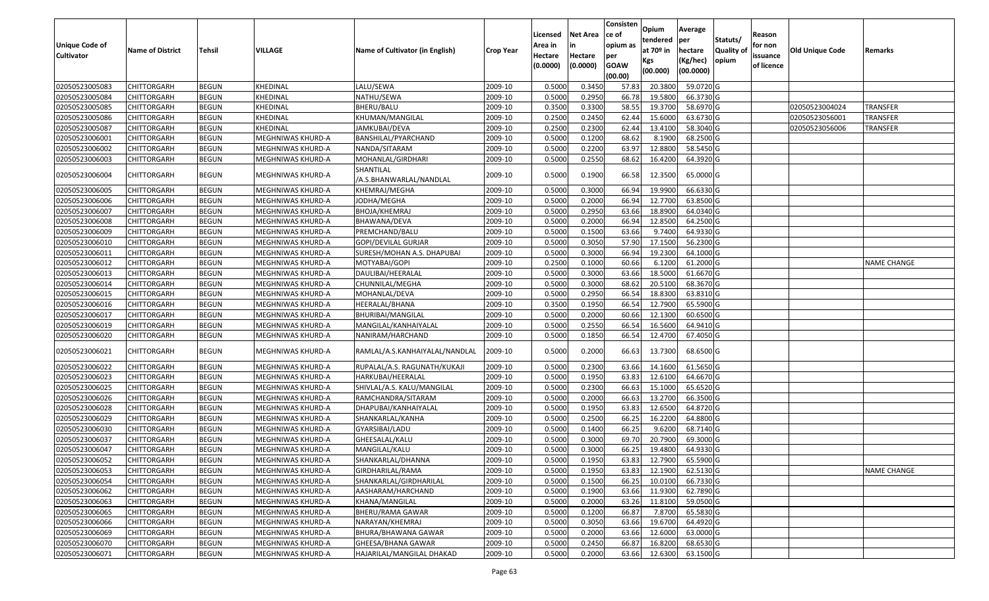| <b>Unique Code of</b><br><b>Cultivator</b> | <b>Name of District</b> | <b>Tehsil</b> | VILLAGE           | Name of Cultivator (in English)      | <b>Crop Year</b> | Licensed<br>Area in<br>Hectare<br>(0.0000) | <b>Net Area</b><br>in<br>Hectare<br>(0.0000) | Consisten<br>ce of<br>opium as<br>per<br><b>GOAW</b><br>(00.00) | Opium<br>tendered<br>at $70°$ in<br>Kgs<br>(00.000) | Average<br>per<br>hectare<br>(Kg/hec)<br>(00.0000) | Statuts/<br>Quality of<br>opium | Reason<br>for non<br>issuance<br>of licence | <b>Old Unique Code</b> | Remarks            |
|--------------------------------------------|-------------------------|---------------|-------------------|--------------------------------------|------------------|--------------------------------------------|----------------------------------------------|-----------------------------------------------------------------|-----------------------------------------------------|----------------------------------------------------|---------------------------------|---------------------------------------------|------------------------|--------------------|
| 02050523005083                             | <b>CHITTORGARH</b>      | <b>BEGUN</b>  | KHEDINAL          | LALU/SEWA                            | 2009-10          | 0.5000                                     | 0.3450                                       | 57.83                                                           | 20.3800                                             | 59.0720 G                                          |                                 |                                             |                        |                    |
| 02050523005084                             | CHITTORGARH             | <b>BEGUN</b>  | KHEDINAL          | NATHU/SEWA                           | 2009-10          | 0.5000                                     | 0.2950                                       | 66.78                                                           | 19.5800                                             | 66.3730 G                                          |                                 |                                             |                        |                    |
| 02050523005085                             | CHITTORGARH             | <b>BEGUN</b>  | KHEDINAL          | BHERU/BALU                           | 2009-10          | 0.3500                                     | 0.3300                                       | 58.55                                                           | 19.3700                                             | 58.6970 G                                          |                                 |                                             | 02050523004024         | <b>TRANSFER</b>    |
| 02050523005086                             | <b>CHITTORGARH</b>      | <b>BEGUN</b>  | KHEDINAL          | KHUMAN/MANGILAL                      | 2009-10          | 0.2500                                     | 0.2450                                       | 62.44                                                           | 15.6000                                             | 63.6730 G                                          |                                 |                                             | 02050523056001         | <b>TRANSFER</b>    |
| 02050523005087                             | <b>CHITTORGARH</b>      | <b>BEGUN</b>  | KHEDINAL          | JAMKUBAI/DEVA                        | 2009-10          | 0.2500                                     | 0.2300                                       | 62.44                                                           | 13.4100                                             | 58.3040 G                                          |                                 |                                             | 02050523056006         | <b>TRANSFER</b>    |
| 02050523006001                             | <b>CHITTORGARH</b>      | <b>BEGUN</b>  | MEGHNIWAS KHURD-A | BANSHILAL/PYARCHAND                  | 2009-10          | 0.5000                                     | 0.1200                                       | 68.62                                                           | 8.1900                                              | 68.2500 G                                          |                                 |                                             |                        |                    |
| 02050523006002                             | <b>CHITTORGARH</b>      | <b>BEGUN</b>  | MEGHNIWAS KHURD-A | NANDA/SITARAM                        | 2009-10          | 0.5000                                     | 0.2200                                       | 63.97                                                           | 12.8800                                             | 58.5450 G                                          |                                 |                                             |                        |                    |
| 02050523006003                             | <b>CHITTORGARH</b>      | <b>BEGUN</b>  | MEGHNIWAS KHURD-A | MOHANLAL/GIRDHARI                    | 2009-10          | 0.5000                                     | 0.2550                                       | 68.62                                                           | 16.4200                                             | 64.3920 G                                          |                                 |                                             |                        |                    |
| 02050523006004                             | CHITTORGARH             | <b>BEGUN</b>  | MEGHNIWAS KHURD-A | SHANTILAL<br>/A.S.BHANWARLAL/NANDLAL | 2009-10          | 0.5000                                     | 0.1900                                       | 66.58                                                           | 12.3500                                             | 65.0000 G                                          |                                 |                                             |                        |                    |
| 02050523006005                             | CHITTORGARH             | <b>BEGUN</b>  | MEGHNIWAS KHURD-A | KHEMRAJ/MEGHA                        | 2009-10          | 0.500                                      | 0.3000                                       | 66.94                                                           | 19.9900                                             | 66.6330 G                                          |                                 |                                             |                        |                    |
| 02050523006006                             | CHITTORGARH             | <b>BEGUN</b>  | MEGHNIWAS KHURD-A | JODHA/MEGHA                          | 2009-10          | 0.5000                                     | 0.2000                                       | 66.94                                                           | 12.7700                                             | 63.8500 G                                          |                                 |                                             |                        |                    |
| 02050523006007                             | CHITTORGARH             | <b>BEGUN</b>  | MEGHNIWAS KHURD-A | BHOJA/KHEMRAJ                        | 2009-10          | 0.5000                                     | 0.2950                                       | 63.66                                                           | 18.8900                                             | 64.0340 G                                          |                                 |                                             |                        |                    |
| 02050523006008                             | CHITTORGARH             | <b>BEGUN</b>  | MEGHNIWAS KHURD-A | BHAWANA/DEVA                         | 2009-10          | 0.5000                                     | 0.2000                                       | 66.94                                                           | 12.8500                                             | 64.2500 G                                          |                                 |                                             |                        |                    |
| 02050523006009                             | CHITTORGARH             | <b>BEGUN</b>  | MEGHNIWAS KHURD-A | PREMCHAND/BALU                       | 2009-10          | 0.5000                                     | 0.1500                                       | 63.66                                                           | 9.7400                                              | 64.9330 G                                          |                                 |                                             |                        |                    |
| 02050523006010                             | <b>CHITTORGARH</b>      | <b>BEGUN</b>  | MEGHNIWAS KHURD-A | GOPI/DEVILAL GURJAR                  | 2009-10          | 0.5000                                     | 0.3050                                       | 57.90                                                           | 17.1500                                             | 56.2300 G                                          |                                 |                                             |                        |                    |
| 02050523006011                             | CHITTORGARH             | <b>BEGUN</b>  | MEGHNIWAS KHURD-A | SURESH/MOHAN A.S. DHAPUBAI           | 2009-10          | 0.5000                                     | 0.3000                                       | 66.94                                                           | 19.2300                                             | 64.1000 G                                          |                                 |                                             |                        |                    |
| 02050523006012                             | CHITTORGARH             | <b>BEGUN</b>  | MEGHNIWAS KHURD-A | MOTYABAI/GOPI                        | 2009-10          | 0.2500                                     | 0.1000                                       | 60.66                                                           | 6.1200                                              | 61.2000 G                                          |                                 |                                             |                        | <b>NAME CHANGE</b> |
| 02050523006013                             | CHITTORGARH             | <b>BEGUN</b>  | MEGHNIWAS KHURD-A | DAULIBAI/HEERALAL                    | 2009-10          | 0.5000                                     | 0.3000                                       | 63.66                                                           | 18.5000                                             | 61.6670 G                                          |                                 |                                             |                        |                    |
| 02050523006014                             | CHITTORGARH             | <b>BEGUN</b>  | MEGHNIWAS KHURD-A | CHUNNILAL/MEGHA                      | 2009-10          | 0.5000                                     | 0.3000                                       | 68.62                                                           | 20.5100                                             | 68.3670 G                                          |                                 |                                             |                        |                    |
| 02050523006015                             | <b>CHITTORGARH</b>      | <b>BEGUN</b>  | MEGHNIWAS KHURD-A | MOHANLAL/DEVA                        | 2009-10          | 0.5000                                     | 0.2950                                       | 66.54                                                           | 18.8300                                             | 63.8310 G                                          |                                 |                                             |                        |                    |
| 02050523006016                             | CHITTORGARH             | <b>BEGUN</b>  | MEGHNIWAS KHURD-A | HEERALAL/BHANA                       | 2009-10          | 0.3500                                     | 0.1950                                       | 66.54                                                           | 12.7900                                             | 65.5900 G                                          |                                 |                                             |                        |                    |
| 02050523006017                             | CHITTORGARH             | <b>BEGUN</b>  | MEGHNIWAS KHURD-A | BHURIBAI/MANGILAL                    | 2009-10          | 0.5000                                     | 0.2000                                       | 60.66                                                           | 12.1300                                             | 60.6500 G                                          |                                 |                                             |                        |                    |
| 02050523006019                             | CHITTORGARH             | <b>BEGUN</b>  | MEGHNIWAS KHURD-A | MANGILAL/KANHAIYALAL                 | 2009-10          | 0.5000                                     | 0.2550                                       | 66.54                                                           | 16.5600                                             | 64.9410 G                                          |                                 |                                             |                        |                    |
| 02050523006020                             | CHITTORGARH             | <b>BEGUN</b>  | MEGHNIWAS KHURD-A | NANIRAM/HARCHAND                     | 2009-10          | 0.5000                                     | 0.1850                                       | 66.54                                                           | 12.4700                                             | 67.4050 G                                          |                                 |                                             |                        |                    |
| 02050523006021                             | CHITTORGARH             | <b>BEGUN</b>  | MEGHNIWAS KHURD-A | RAMLAL/A.S.KANHAIYALAL/NANDLAL       | 2009-10          | 0.5000                                     | 0.2000                                       | 66.63                                                           | 13.7300                                             | 68.6500 G                                          |                                 |                                             |                        |                    |
| 02050523006022                             | <b>CHITTORGARH</b>      | <b>BEGUN</b>  | MEGHNIWAS KHURD-A | RUPALAL/A.S. RAGUNATH/KUKAJI         | 2009-10          | 0.5000                                     | 0.2300                                       | 63.66                                                           | 14.1600                                             | 61.5650 G                                          |                                 |                                             |                        |                    |
| 02050523006023                             | <b>CHITTORGARH</b>      | <b>BEGUN</b>  | MEGHNIWAS KHURD-A | HARKUBAI/HEERALAL                    | 2009-10          | 0.5000                                     | 0.1950                                       | 63.83                                                           | 12.6100                                             | 64.6670 G                                          |                                 |                                             |                        |                    |
| 02050523006025                             | <b>CHITTORGARH</b>      | <b>BEGUN</b>  | MEGHNIWAS KHURD-A | SHIVLAL/A.S. KALU/MANGILAL           | 2009-10          | 0.5000                                     | 0.2300                                       | 66.63                                                           | 15.1000                                             | 65.6520 G                                          |                                 |                                             |                        |                    |
| 02050523006026                             | CHITTORGARH             | <b>BEGUN</b>  | MEGHNIWAS KHURD-A | RAMCHANDRA/SITARAM                   | 2009-10          | 0.5000                                     | 0.2000                                       | 66.63                                                           | 13.2700                                             | 66.3500 G                                          |                                 |                                             |                        |                    |
| 02050523006028                             | CHITTORGARH             | <b>BEGUN</b>  | MEGHNIWAS KHURD-A | DHAPUBAI/KANHAIYALAL                 | 2009-10          | 0.5000                                     | 0.1950                                       | 63.83                                                           | 12.6500                                             | 64.8720 G                                          |                                 |                                             |                        |                    |
| 02050523006029                             | CHITTORGARH             | <b>BEGUN</b>  | MEGHNIWAS KHURD-A | SHANKARLAL/KANHA                     | 2009-10          | 0.5000                                     | 0.2500                                       | 66.25                                                           | 16.2200                                             | 64.8800 G                                          |                                 |                                             |                        |                    |
| 02050523006030                             | CHITTORGARH             | <b>BEGUN</b>  | MEGHNIWAS KHURD-A | GYARSIBAI/LADU                       | 2009-10          | 0.5000                                     | 0.1400                                       | 66.25                                                           | 9.6200                                              | 68.7140 G                                          |                                 |                                             |                        |                    |
| 02050523006037                             | CHITTORGARH             | <b>BEGUN</b>  | MEGHNIWAS KHURD-A | GHEESALAL/KALU                       | 2009-10          | 0.500                                      | 0.3000                                       | 69.70                                                           | 20.7900                                             | 69.3000 G                                          |                                 |                                             |                        |                    |
| 02050523006047                             | CHITTORGARH             | <b>BEGUN</b>  | MEGHNIWAS KHURD-A | MANGILAL/KALU                        | 2009-10          | 0.500                                      | 0.3000                                       | 66.25                                                           | 19.4800                                             | 64.9330 G                                          |                                 |                                             |                        |                    |
| 02050523006052                             | <b>CHITTORGARH</b>      | <b>BEGUN</b>  | MEGHNIWAS KHURD-A | SHANKARLAL/DHANNA                    | 2009-10          | 0.5000                                     | 0.1950                                       | 63.83                                                           | 12.7900                                             | 65.5900 G                                          |                                 |                                             |                        |                    |
| 02050523006053                             | <b>CHITTORGARH</b>      | <b>BEGUN</b>  | MEGHNIWAS KHURD-A | GIRDHARILAL/RAMA                     | 2009-10          | 0.5000                                     | 0.1950                                       | 63.83                                                           | 12.1900                                             | 62.5130 G                                          |                                 |                                             |                        | <b>NAME CHANGE</b> |
| 02050523006054                             | <b>CHITTORGARH</b>      | <b>BEGUN</b>  | MEGHNIWAS KHURD-A | SHANKARLAL/GIRDHARILAL               | 2009-10          | 0.5000                                     | 0.1500                                       | 66.25                                                           | 10.0100                                             | 66.7330 G                                          |                                 |                                             |                        |                    |
| 02050523006062                             | <b>CHITTORGARH</b>      | <b>BEGUN</b>  | MEGHNIWAS KHURD-A | AASHARAM/HARCHAND                    | 2009-10          | 0.5000                                     | 0.1900                                       | 63.66                                                           | 11.9300                                             | 62.7890 G                                          |                                 |                                             |                        |                    |
| 02050523006063                             | <b>CHITTORGARH</b>      | <b>BEGUN</b>  | MEGHNIWAS KHURD-A | KHANA/MANGILAL                       | 2009-10          | 0.5000                                     | 0.2000                                       | 63.26                                                           | 11.8100                                             | 59.0500G                                           |                                 |                                             |                        |                    |
| 02050523006065                             | <b>CHITTORGARH</b>      | <b>BEGUN</b>  | MEGHNIWAS KHURD-A | BHERU/RAMA GAWAR                     | 2009-10          | 0.5000                                     | 0.1200                                       | 66.87                                                           | 7.8700                                              | 65.5830 G                                          |                                 |                                             |                        |                    |
| 02050523006066                             | <b>CHITTORGARH</b>      | <b>BEGUN</b>  | MEGHNIWAS KHURD-A | NARAYAN/KHEMRAJ                      | 2009-10          | 0.5000                                     | 0.3050                                       | 63.66                                                           | 19.6700                                             | 64.4920 G                                          |                                 |                                             |                        |                    |
| 02050523006069                             | <b>CHITTORGARH</b>      | <b>BEGUN</b>  | MEGHNIWAS KHURD-A | BHURA/BHAWANA GAWAR                  | 2009-10          | 0.5000                                     | 0.2000                                       | 63.66                                                           | 12.6000                                             | 63.0000 G                                          |                                 |                                             |                        |                    |
| 02050523006070                             | CHITTORGARH             | <b>BEGUN</b>  | MEGHNIWAS KHURD-A | GHEESA/BHANA GAWAR                   | 2009-10          | 0.5000                                     | 0.2450                                       | 66.87                                                           | 16.8200                                             | 68.6530 G                                          |                                 |                                             |                        |                    |
| 02050523006071                             | CHITTORGARH             | <b>BEGUN</b>  | MEGHNIWAS KHURD-A | HAJARILAL/MANGILAL DHAKAD            | 2009-10          | 0.5000                                     | 0.2000                                       | 63.66                                                           | 12.6300                                             | 63.1500 G                                          |                                 |                                             |                        |                    |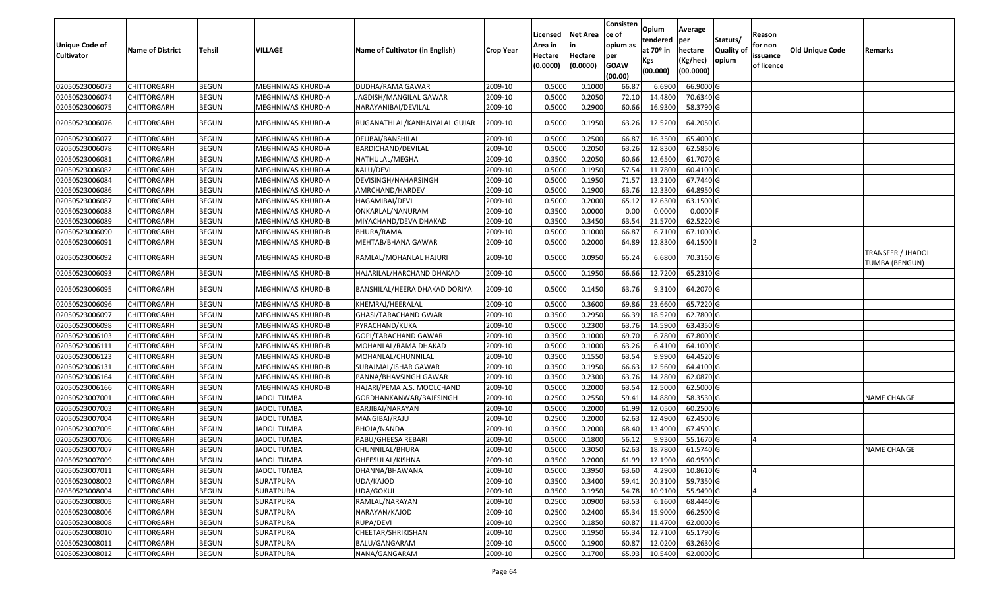| <b>Unique Code of</b><br><b>Cultivator</b> | <b>Name of District</b> | <b>Tehsil</b> | VILLAGE            | Name of Cultivator (in English) | <b>Crop Year</b> | Licensed<br>Area in<br>Hectare<br>(0.0000) | <b>Net Area</b><br>in<br>Hectare<br>(0.0000) | Consisten<br>ce of<br>opium as<br>per<br><b>GOAW</b><br>(00.00) | Opium<br>tendered<br>at $70°$ in<br>Kgs<br>(00.000) | Average<br>per<br>hectare<br>(Kg/hec)<br>(00.0000) | Statuts/<br>Quality of<br>opium | Reason<br>for non<br>issuance<br>of licence | <b>Old Unique Code</b> | Remarks                                    |
|--------------------------------------------|-------------------------|---------------|--------------------|---------------------------------|------------------|--------------------------------------------|----------------------------------------------|-----------------------------------------------------------------|-----------------------------------------------------|----------------------------------------------------|---------------------------------|---------------------------------------------|------------------------|--------------------------------------------|
| 02050523006073                             | <b>CHITTORGARH</b>      | <b>BEGUN</b>  | MEGHNIWAS KHURD-A  | DUDHA/RAMA GAWAR                | 2009-10          | 0.5000                                     | 0.1000                                       | 66.87                                                           | 6.6900                                              | 66.9000 G                                          |                                 |                                             |                        |                                            |
| 02050523006074                             | CHITTORGARH             | <b>BEGUN</b>  | MEGHNIWAS KHURD-A  | JAGDISH/MANGILAL GAWAR          | 2009-10          | 0.5000                                     | 0.2050                                       | 72.10                                                           | 14.4800                                             | 70.6340 G                                          |                                 |                                             |                        |                                            |
| 02050523006075                             | CHITTORGARH             | <b>BEGUN</b>  | MEGHNIWAS KHURD-A  | NARAYANIBAI/DEVILAL             | 2009-10          | 0.5000                                     | 0.2900                                       | 60.66                                                           | 16.9300                                             | 58.3790 G                                          |                                 |                                             |                        |                                            |
| 02050523006076                             | CHITTORGARH             | <b>BEGUN</b>  | MEGHNIWAS KHURD-A  | RUGANATHLAL/KANHAIYALAL GUJAR   | 2009-10          | 0.5000                                     | 0.1950                                       | 63.26                                                           | 12.5200                                             | 64.2050 G                                          |                                 |                                             |                        |                                            |
| 02050523006077                             | <b>CHITTORGARH</b>      | <b>BEGUN</b>  | MEGHNIWAS KHURD-A  | DEUBAI/BANSHILAL                | 2009-10          | 0.500                                      | 0.2500                                       | 66.87                                                           | 16.3500                                             | 65.4000 G                                          |                                 |                                             |                        |                                            |
| 02050523006078                             | <b>CHITTORGARH</b>      | <b>BEGUN</b>  | MEGHNIWAS KHURD-A  | BARDICHAND/DEVILAL              | 2009-10          | 0.5000                                     | 0.2050                                       | 63.26                                                           | 12.8300                                             | 62.5850 G                                          |                                 |                                             |                        |                                            |
| 02050523006081                             | <b>CHITTORGARH</b>      | <b>BEGUN</b>  | MEGHNIWAS KHURD-A  | NATHULAL/MEGHA                  | 2009-10          | 0.3500                                     | 0.2050                                       | 60.66                                                           | 12.6500                                             | 61.7070 G                                          |                                 |                                             |                        |                                            |
| 02050523006082                             | CHITTORGARH             | <b>BEGUN</b>  | MEGHNIWAS KHURD-A  | KALU/DEVI                       | 2009-10          | 0.5000                                     | 0.1950                                       | 57.54                                                           | 11.7800                                             | 60.4100G                                           |                                 |                                             |                        |                                            |
| 02050523006084                             | CHITTORGARH             | <b>BEGUN</b>  | MEGHNIWAS KHURD-A  | DEVISINGH/NAHARSINGH            | 2009-10          | 0.5000                                     | 0.1950                                       | 71.57                                                           | 13.2100                                             | 67.7440 G                                          |                                 |                                             |                        |                                            |
| 02050523006086                             | CHITTORGARH             | <b>BEGUN</b>  | MEGHNIWAS KHURD-A  | AMRCHAND/HARDEV                 | 2009-10          | 0.5000                                     | 0.1900                                       | 63.76                                                           | 12.3300                                             | 64.8950 G                                          |                                 |                                             |                        |                                            |
| 02050523006087                             | CHITTORGARH             | <b>BEGUN</b>  | MEGHNIWAS KHURD-A  | HAGAMIBAI/DEVI                  | 2009-10          | 0.5000                                     | 0.2000                                       | 65.12                                                           | 12.6300                                             | 63.1500 G                                          |                                 |                                             |                        |                                            |
| 02050523006088                             | CHITTORGARH             | <b>BEGUN</b>  | MEGHNIWAS KHURD-A  | ONKARLAL/NANURAM                | 2009-10          | 0.3500                                     | 0.0000                                       | 0.00                                                            | 0.0000                                              | $0.0000$ F                                         |                                 |                                             |                        |                                            |
| 02050523006089                             | CHITTORGARH             | <b>BEGUN</b>  | MEGHNIWAS KHURD-B  | MIYACHAND/DEVA DHAKAD           | 2009-10          | 0.3500                                     | 0.3450                                       | 63.54                                                           | 21.5700                                             | 62.5220 G                                          |                                 |                                             |                        |                                            |
| 02050523006090                             | CHITTORGARH             | <b>BEGUN</b>  | MEGHNIWAS KHURD-B  | BHURA/RAMA                      | 2009-10          | 0.5000                                     | 0.1000                                       | 66.87                                                           | 6.7100                                              | 67.1000 G                                          |                                 |                                             |                        |                                            |
| 02050523006091                             | CHITTORGARH             | <b>BEGUN</b>  | MEGHNIWAS KHURD-B  | MEHTAB/BHANA GAWAR              | 2009-10          | 0.5000                                     | 0.2000                                       | 64.89                                                           | 12.8300                                             | 64.1500                                            |                                 |                                             |                        |                                            |
| 02050523006092                             | CHITTORGARH             | <b>BEGUN</b>  | MEGHNIWAS KHURD-B  | RAMLAL/MOHANLAL HAJURI          | 2009-10          | 0.5000                                     | 0.0950                                       | 65.24                                                           | 6.6800                                              | 70.3160 G                                          |                                 |                                             |                        | TRANSFER / JHADOL<br><b>TUMBA (BENGUN)</b> |
| 02050523006093                             | CHITTORGARH             | <b>BEGUN</b>  | MEGHNIWAS KHURD-B  | HAJARILAL/HARCHAND DHAKAD       | 2009-10          | 0.5000                                     | 0.1950                                       | 66.66                                                           | 12.7200                                             | 65.2310 G                                          |                                 |                                             |                        |                                            |
| 02050523006095                             | CHITTORGARH             | <b>BEGUN</b>  | MEGHNIWAS KHURD-B  | BANSHILAL/HEERA DHAKAD DORIYA   | 2009-10          | 0.5000                                     | 0.1450                                       | 63.76                                                           | 9.3100                                              | 64.2070 G                                          |                                 |                                             |                        |                                            |
| 02050523006096                             | CHITTORGARH             | <b>BEGUN</b>  | MEGHNIWAS KHURD-B  | KHEMRAJ/HEERALAL                | 2009-10          | 0.500                                      | 0.3600                                       | 69.86                                                           | 23.6600                                             | 65.7220 G                                          |                                 |                                             |                        |                                            |
| 02050523006097                             | <b>CHITTORGARH</b>      | <b>BEGUN</b>  | MEGHNIWAS KHURD-B  | GHASI/TARACHAND GWAR            | 2009-10          | 0.3500                                     | 0.2950                                       | 66.39                                                           | 18.5200                                             | 62.7800 G                                          |                                 |                                             |                        |                                            |
| 02050523006098                             | CHITTORGARH             | <b>BEGUN</b>  | MEGHNIWAS KHURD-B  | PYRACHAND/KUKA                  | 2009-10          | 0.5000                                     | 0.2300                                       | 63.76                                                           | 14.5900                                             | 63.4350 G                                          |                                 |                                             |                        |                                            |
| 02050523006103                             | <b>CHITTORGARH</b>      | <b>BEGUN</b>  | MEGHNIWAS KHURD-B  | GOPI/TARACHAND GAWAR            | 2009-10          | 0.3500                                     | 0.1000                                       | 69.70                                                           | 6.7800                                              | 67.8000 G                                          |                                 |                                             |                        |                                            |
| 02050523006111                             | <b>CHITTORGARH</b>      | <b>BEGUN</b>  | MEGHNIWAS KHURD-B  | MOHANLAL/RAMA DHAKAD            | 2009-10          | 0.5000                                     | 0.1000                                       | 63.26                                                           | 6.4100                                              | 64.1000 G                                          |                                 |                                             |                        |                                            |
| 02050523006123                             | CHITTORGARH             | <b>BEGUN</b>  | MEGHNIWAS KHURD-B  | MOHANLAL/CHUNNILAL              | 2009-10          | 0.3500                                     | 0.1550                                       | 63.54                                                           | 9.9900                                              | 64.4520 G                                          |                                 |                                             |                        |                                            |
| 02050523006131                             | <b>CHITTORGARH</b>      | <b>BEGUN</b>  | MEGHNIWAS KHURD-B  | SURAJMAL/ISHAR GAWAR            | 2009-10          | 0.3500                                     | 0.1950                                       | 66.63                                                           | 12.5600                                             | 64.4100 G                                          |                                 |                                             |                        |                                            |
| 02050523006164                             | CHITTORGARH             | <b>BEGUN</b>  | MEGHNIWAS KHURD-B  | PANNA/BHAVSINGH GAWAR           | 2009-10          | 0.3500                                     | 0.2300                                       | 63.76                                                           | 14.2800                                             | 62.0870 G                                          |                                 |                                             |                        |                                            |
| 02050523006166                             | <b>CHITTORGARH</b>      | <b>BEGUN</b>  | MEGHNIWAS KHURD-B  | HAJARI/PEMA A.S. MOOLCHAND      | 2009-10          | 0.5000                                     | 0.2000                                       | 63.54                                                           | 12.5000                                             | 62.5000 G                                          |                                 |                                             |                        |                                            |
| 02050523007001                             | CHITTORGARH             | <b>BEGUN</b>  | <b>JADOL TUMBA</b> | GORDHANKANWAR/BAJESINGH         | 2009-10          | 0.2500                                     | 0.2550                                       | 59.4                                                            | 14.8800                                             | 58.3530 G                                          |                                 |                                             |                        | <b>NAME CHANGE</b>                         |
| 02050523007003                             | CHITTORGARH             | <b>BEGUN</b>  | <b>JADOL TUMBA</b> | BARJIBAI/NARAYAN                | 2009-10          | 0.5000                                     | 0.2000                                       | 61.99                                                           | 12.0500                                             | 60.2500 G                                          |                                 |                                             |                        |                                            |
| 02050523007004                             | CHITTORGARH             | <b>BEGUN</b>  | <b>JADOL TUMBA</b> | MANGIBAI/RAJU                   | 2009-10          | 0.2500                                     | 0.2000                                       | 62.63                                                           | 12.4900                                             | 62.4500 G                                          |                                 |                                             |                        |                                            |
| 02050523007005                             | CHITTORGARH             | <b>BEGUN</b>  | <b>JADOL TUMBA</b> | BHOJA/NANDA                     | 2009-10          | 0.3500                                     | 0.2000                                       | 68.40                                                           | 13.4900                                             | 67.4500 G                                          |                                 |                                             |                        |                                            |
| 02050523007006                             | CHITTORGARH             | <b>BEGUN</b>  | <b>JADOL TUMBA</b> | PABU/GHEESA REBARI              | 2009-10          | 0.500                                      | 0.1800                                       | 56.12                                                           | 9.9300                                              | 55.1670 G                                          |                                 |                                             |                        |                                            |
| 02050523007007                             | CHITTORGARH             | <b>BEGUN</b>  | <b>JADOL TUMBA</b> | CHUNNILAL/BHURA                 | 2009-10          | 0.5000                                     | 0.3050                                       | 62.63                                                           | 18.7800                                             | 61.5740 G                                          |                                 |                                             |                        | <b>NAME CHANGE</b>                         |
| 02050523007009                             | <b>CHITTORGARH</b>      | <b>BEGUN</b>  | <b>JADOL TUMBA</b> | GHEESULAL/KISHNA                | 2009-10          | 0.3500                                     | 0.2000                                       | 61.99                                                           | 12.1900                                             | $60.9500$ G                                        |                                 |                                             |                        |                                            |
| 02050523007011                             | <b>CHITTORGARH</b>      | <b>BEGUN</b>  | <b>JADOL TUMBA</b> | DHANNA/BHAWANA                  | 2009-10          | 0.5000                                     | 0.3950                                       | 63.60                                                           | 4.2900                                              | 10.8610 G                                          |                                 |                                             |                        |                                            |
| 02050523008002                             | <b>CHITTORGARH</b>      | <b>BEGUN</b>  | SURATPURA          | UDA/KAJOD                       | 2009-10          | 0.3500                                     | 0.3400                                       | 59.41                                                           | 20.3100                                             | 59.7350 G                                          |                                 |                                             |                        |                                            |
| 02050523008004                             | <b>CHITTORGARH</b>      | <b>BEGUN</b>  | SURATPURA          | UDA/GOKUL                       | 2009-10          | 0.3500                                     | 0.1950                                       | 54.78                                                           | 10.9100                                             | 55.9490 G                                          |                                 |                                             |                        |                                            |
| 02050523008005                             | CHITTORGARH             | <b>BEGUN</b>  | SURATPURA          | RAMLAL/NARAYAN                  | 2009-10          | 0.2500                                     | 0.0900                                       | 63.53                                                           | 6.1600                                              | 68.4440 G                                          |                                 |                                             |                        |                                            |
| 02050523008006                             | <b>CHITTORGARH</b>      | <b>BEGUN</b>  | <b>SURATPURA</b>   | NARAYAN/KAJOD                   | 2009-10          | 0.2500                                     | 0.2400                                       | 65.34                                                           | 15.9000                                             | 66.2500 G                                          |                                 |                                             |                        |                                            |
| 02050523008008                             | <b>CHITTORGARH</b>      | <b>BEGUN</b>  | SURATPURA          | RUPA/DEVI                       | 2009-10          | 0.2500                                     | 0.1850                                       | 60.87                                                           | 11.4700                                             | 62.0000 G                                          |                                 |                                             |                        |                                            |
| 02050523008010                             | <b>CHITTORGARH</b>      | <b>BEGUN</b>  | SURATPURA          | CHEETAR/SHRIKISHAN              | 2009-10          | 0.2500                                     | 0.1950                                       | 65.34                                                           | 12.7100                                             | 65.1790 G                                          |                                 |                                             |                        |                                            |
| 02050523008011                             | CHITTORGARH             | <b>BEGUN</b>  | SURATPURA          | BALU/GANGARAM                   | 2009-10          | 0.5000                                     | 0.1900                                       | 60.87                                                           | 12.0200                                             | 63.2630 G                                          |                                 |                                             |                        |                                            |
| 02050523008012                             | CHITTORGARH             | <b>BEGUN</b>  | SURATPURA          | NANA/GANGARAM                   | 2009-10          | 0.2500                                     | 0.1700                                       | 65.93                                                           | 10.5400                                             | 62.0000 G                                          |                                 |                                             |                        |                                            |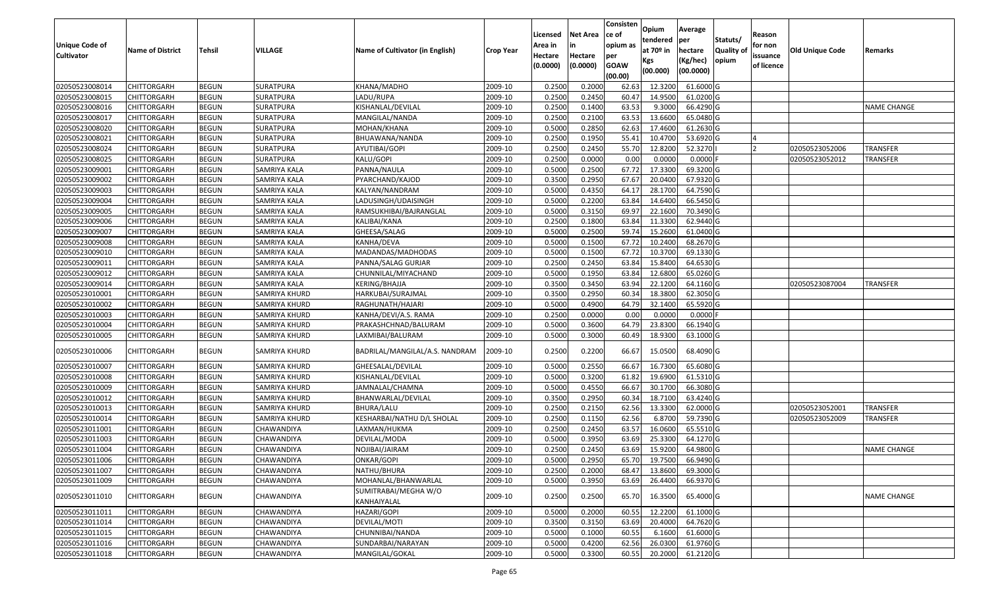|                                            |                         |               |                  |                                     |                  | Licensed           | <b>Net Area</b> | Consisten<br>ce of | Opium<br>tendered     | Average<br>per | Statuts/         | Reason              |                 |                    |
|--------------------------------------------|-------------------------|---------------|------------------|-------------------------------------|------------------|--------------------|-----------------|--------------------|-----------------------|----------------|------------------|---------------------|-----------------|--------------------|
| <b>Unique Code of</b><br><b>Cultivator</b> | <b>Name of District</b> | <b>Tehsil</b> | VILLAGE          | Name of Cultivator (in English)     | <b>Crop Year</b> | Area in<br>Hectare | Hectare         | opium as           | at 70 <sup>o</sup> in | hectare        | <b>Quality o</b> | for non<br>issuance | Old Unique Code | Remarks            |
|                                            |                         |               |                  |                                     |                  | (0.0000)           | (0.0000)        | per<br><b>GOAW</b> | Kgs                   | (Kg/hec)       | opium            | of licence          |                 |                    |
|                                            |                         |               |                  |                                     |                  |                    |                 | (00.00)            | (00.000)              | (00.0000)      |                  |                     |                 |                    |
| 02050523008014                             | CHITTORGARH             | <b>BEGUN</b>  | <b>SURATPURA</b> | KHANA/MADHO                         | 2009-10          | 0.2500             | 0.2000          | 62.63              | 12.3200               | 61.6000G       |                  |                     |                 |                    |
| 02050523008015                             | CHITTORGARH             | <b>BEGUN</b>  | <b>SURATPURA</b> | LADU/RUPA                           | 2009-10          | 0.2500             | 0.2450          | 60.47              | 14.9500               | 61.0200G       |                  |                     |                 |                    |
| 02050523008016                             | CHITTORGARH             | <b>BEGUN</b>  | SURATPURA        | KISHANLAL/DEVILAL                   | 2009-10          | 0.2500             | 0.1400          | 63.53              | 9.3000                | 66.4290 G      |                  |                     |                 | <b>NAME CHANGE</b> |
| 02050523008017                             | <b>CHITTORGARH</b>      | <b>BEGUN</b>  | <b>SURATPURA</b> | MANGILAL/NANDA                      | 2009-10          | 0.2500             | 0.2100          | 63.53              | 13.6600               | 65.0480 G      |                  |                     |                 |                    |
| 02050523008020                             | CHITTORGARH             | <b>BEGUN</b>  | SURATPURA        | MOHAN/KHANA                         | 2009-10          | 0.5000             | 0.2850          | 62.63              | 17.4600               | 61.2630 G      |                  |                     |                 |                    |
| 02050523008021                             | CHITTORGARH             | <b>BEGUN</b>  | SURATPURA        | BHUAWANA/NANDA                      | 2009-10          | 0.2500             | 0.1950          | 55.41              | 10.4700               | 53.6920 G      |                  |                     |                 |                    |
| 02050523008024                             | CHITTORGARH             | <b>BEGUN</b>  | SURATPURA        | AYUTIBAI/GOPI                       | 2009-10          | 0.2500             | 0.2450          | 55.70              | 12.8200               | 52.3270        |                  |                     | 02050523052006  | TRANSFER           |
| 02050523008025                             | CHITTORGARH             | <b>BEGUN</b>  | SURATPURA        | KALU/GOPI                           | 2009-10          | 0.2500             | 0.0000          | 0.00               | 0.0000                | $0.0000$ F     |                  |                     | 02050523052012  | <b>TRANSFER</b>    |
| 02050523009001                             | CHITTORGARH             | <b>BEGUN</b>  | SAMRIYA KALA     | PANNA/NAULA                         | 2009-10          | 0.5000             | 0.2500          | 67.72              | 17.3300               | 69.3200 G      |                  |                     |                 |                    |
| 02050523009002                             | CHITTORGARH             | <b>BEGUN</b>  | SAMRIYA KALA     | PYARCHAND/KAJOD                     | 2009-10          | 0.3500             | 0.2950          | 67.67              | 20.0400               | 67.9320 G      |                  |                     |                 |                    |
| 02050523009003                             | CHITTORGARH             | <b>BEGUN</b>  | SAMRIYA KALA     | KALYAN/NANDRAM                      | 2009-10          | 0.5000             | 0.4350          | 64.17              | 28.1700               | 64.7590 G      |                  |                     |                 |                    |
| 02050523009004                             | CHITTORGARH             | <b>BEGUN</b>  | SAMRIYA KALA     | LADUSINGH/UDAISINGH                 | 2009-10          | 0.5000             | 0.2200          | 63.84              | 14.6400               | 66.5450 G      |                  |                     |                 |                    |
| 02050523009005                             | <b>CHITTORGARH</b>      | <b>BEGUN</b>  | SAMRIYA KALA     | RAMSUKHIBAI/BAJRANGLAL              | 2009-10          | 0.5000             | 0.3150          | 69.97              | 22.1600               | 70.3490 G      |                  |                     |                 |                    |
| 02050523009006                             | <b>CHITTORGARH</b>      | <b>BEGUN</b>  | SAMRIYA KALA     | KALIBAI/KANA                        | 2009-10          | 0.2500             | 0.1800          | 63.84              | 11.3300               | 62.9440 G      |                  |                     |                 |                    |
| 02050523009007                             | CHITTORGARH             | <b>BEGUN</b>  | SAMRIYA KALA     | GHEESA/SALAG                        | 2009-10          | 0.5000             | 0.2500          | 59.74              | 15.2600               | 61.0400G       |                  |                     |                 |                    |
| 02050523009008                             | <b>CHITTORGARH</b>      | <b>BEGUN</b>  | SAMRIYA KALA     | KANHA/DEVA                          | 2009-10          | 0.5000             | 0.1500          | 67.72              | 10.2400               | 68.2670 G      |                  |                     |                 |                    |
| 02050523009010                             | <b>CHITTORGARH</b>      | <b>BEGUN</b>  | SAMRIYA KALA     | MADANDAS/MADHODAS                   | 2009-10          | 0.5000             | 0.1500          | 67.72              | 10.3700               | 69.1330 G      |                  |                     |                 |                    |
| 02050523009011                             | CHITTORGARH             | <b>BEGUN</b>  | SAMRIYA KALA     | PANNA/SALAG GURJAR                  | 2009-10          | 0.2500             | 0.2450          | 63.84              | 15.8400               | 64.6530 G      |                  |                     |                 |                    |
| 02050523009012                             | CHITTORGARH             | <b>BEGUN</b>  | SAMRIYA KALA     | CHUNNILAL/MIYACHAND                 | 2009-10          | 0.5000             | 0.1950          | 63.84              | 12.6800               | 65.0260 G      |                  |                     |                 |                    |
| 02050523009014                             | CHITTORGARH             | <b>BEGUN</b>  | SAMRIYA KALA     | KERING/BHAJJA                       | 2009-10          | 0.3500             | 0.3450          | 63.9               | 22.1200               | 64.1160 G      |                  |                     | 02050523087004  | <b>TRANSFER</b>    |
| 02050523010001                             | CHITTORGARH             | <b>BEGUN</b>  | SAMRIYA KHURD    | HARKUBAI/SURAJMAL                   | 2009-10          | 0.3500             | 0.2950          | 60.34              | 18.3800               | 62.3050 G      |                  |                     |                 |                    |
| 02050523010002                             | CHITTORGARH             | <b>BEGUN</b>  | SAMRIYA KHURD    | RAGHUNATH/HAJARI                    | 2009-10          | 0.5000             | 0.4900          | 64.79              | 32.1400               | 65.5920 G      |                  |                     |                 |                    |
| 02050523010003                             | CHITTORGARH             | <b>BEGUN</b>  | SAMRIYA KHURD    | KANHA/DEVI/A.S. RAMA                | 2009-10          | 0.2500             | 0.0000          | 0.00               | 0.0000                | $0.0000$ F     |                  |                     |                 |                    |
| 02050523010004                             | CHITTORGARH             | <b>BEGUN</b>  | SAMRIYA KHURD    | PRAKASHCHNAD/BALURAM                | 2009-10          | 0.5000             | 0.3600          | 64.79              | 23.8300               | 66.1940 G      |                  |                     |                 |                    |
| 02050523010005                             | CHITTORGARH             | <b>BEGUN</b>  | SAMRIYA KHURD    | LAXMIBAI/BALURAM                    | 2009-10          | 0.5000             | 0.3000          | 60.49              | 18.9300               | 63.1000G       |                  |                     |                 |                    |
| 02050523010006                             | CHITTORGARH             | <b>BEGUN</b>  | SAMRIYA KHURD    | BADRILAL/MANGILAL/A.S. NANDRAM      | 2009-10          | 0.2500             | 0.2200          | 66.67              | 15.0500               | 68.4090 G      |                  |                     |                 |                    |
| 02050523010007                             | CHITTORGARH             | <b>BEGUN</b>  | SAMRIYA KHURD    | GHEESALAL/DEVILAL                   | 2009-10          | 0.5000             | 0.2550          | 66.67              | 16.7300               | 65.6080 G      |                  |                     |                 |                    |
| 02050523010008                             | <b>CHITTORGARH</b>      | <b>BEGUN</b>  | SAMRIYA KHURD    | KISHANLAL/DEVILAL                   | 2009-10          | 0.5000             | 0.3200          | 61.82              | 19.6900               | 61.5310 G      |                  |                     |                 |                    |
| 02050523010009                             | CHITTORGARH             | <b>BEGUN</b>  | SAMRIYA KHURD    | JAMNALAL/CHAMNA                     | 2009-10          | 0.5000             | 0.4550          | 66.67              | 30.1700               | 66.3080 G      |                  |                     |                 |                    |
| 02050523010012                             | CHITTORGARH             | <b>BEGUN</b>  | SAMRIYA KHURD    | BHANWARLAL/DEVILAL                  | 2009-10          | 0.3500             | 0.2950          | 60.34              | 18.7100               | 63.4240 G      |                  |                     |                 |                    |
| 02050523010013                             | CHITTORGARH             | <b>BEGUN</b>  | SAMRIYA KHURD    | BHURA/LALU                          | 2009-10          | 0.2500             | 0.2150          | 62.56              | 13.3300               | 62.0000G       |                  |                     | 02050523052001  | <b>TRANSFER</b>    |
| 02050523010014                             | <b>CHITTORGARH</b>      | <b>BEGUN</b>  | SAMRIYA KHURD    | KESHARBAI/NATHU D/L SHOLAL          | 2009-10          | 0.2500             | 0.1150          | 62.56              | 6.8700                | 59.7390 G      |                  |                     | 02050523052009  | <b>TRANSFER</b>    |
| 02050523011001                             | <b>CHITTORGARH</b>      | <b>BEGUN</b>  | CHAWANDIYA       | LAXMAN/HUKMA                        | 2009-10          | 0.2500             | 0.2450          | 63.57              | 16.0600               | 65.5510 G      |                  |                     |                 |                    |
| 02050523011003                             | CHITTORGARH             | <b>BEGUN</b>  | CHAWANDIYA       | DEVILAL/MODA                        | 2009-10          | 0.500              | 0.3950          | 63.69              | 25.3300               | 64.1270 G      |                  |                     |                 |                    |
| 02050523011004                             | CHITTORGARH             | <b>BEGUN</b>  | CHAWANDIYA       | NOJIBAI/JAIRAM                      | 2009-10          | 0.2500             | 0.2450          | 63.69              | 15.9200               | 64.9800 G      |                  |                     |                 | <b>NAME CHANGE</b> |
| 02050523011006                             | <b>CHITTORGARH</b>      | <b>BEGUN</b>  | CHAWANDIYA       | ONKAR/GOPI                          | 2009-10          | 0.5000             | 0.2950          |                    | 65.70 19.7500         | 66.9490 G      |                  |                     |                 |                    |
| 02050523011007                             | <b>CHITTORGARH</b>      | <b>BEGUN</b>  | CHAWANDIYA       | NATHU/BHURA                         | 2009-10          | 0.2500             | 0.2000          | 68.47              | 13.8600               | 69.3000 G      |                  |                     |                 |                    |
| 02050523011009                             | <b>CHITTORGARH</b>      | <b>BEGUN</b>  | CHAWANDIYA       | MOHANLAL/BHANWARLAL                 | 2009-10          | 0.5000             | 0.3950          | 63.69              | 26.4400               | 66.9370 G      |                  |                     |                 |                    |
| 02050523011010                             | CHITTORGARH             | <b>BEGUN</b>  | CHAWANDIYA       | SUMITRABAI/MEGHA W/O<br>KANHAIYALAL | 2009-10          | 0.2500             | 0.2500          | 65.70              | 16.3500               | 65.4000 G      |                  |                     |                 | <b>NAME CHANGE</b> |
| 02050523011011                             | <b>CHITTORGARH</b>      | <b>BEGUN</b>  | CHAWANDIYA       | HAZARI/GOPI                         | 2009-10          | 0.5000             | 0.2000          | 60.55              | 12.2200               | 61.1000 G      |                  |                     |                 |                    |
| 02050523011014                             | <b>CHITTORGARH</b>      | <b>BEGUN</b>  | CHAWANDIYA       | DEVILAL/MOTI                        | 2009-10          | 0.3500             | 0.3150          | 63.69              | 20.4000               | 64.7620 G      |                  |                     |                 |                    |
| 02050523011015                             | <b>CHITTORGARH</b>      | <b>BEGUN</b>  | CHAWANDIYA       | CHUNNIBAI/NANDA                     | 2009-10          | 0.5000             | 0.1000          | 60.55              | 6.1600                | 61.6000 G      |                  |                     |                 |                    |
| 02050523011016                             | <b>CHITTORGARH</b>      | <b>BEGUN</b>  | CHAWANDIYA       | SUNDARBAI/NARAYAN                   | 2009-10          | 0.5000             | 0.4200          | 62.56              | 26.0300               | 61.9760 G      |                  |                     |                 |                    |
| 02050523011018                             | <b>CHITTORGARH</b>      | <b>BEGUN</b>  | CHAWANDIYA       | MANGILAL/GOKAL                      | 2009-10          | 0.5000             | 0.3300          | 60.55              | 20.2000               | $61.2120$ G    |                  |                     |                 |                    |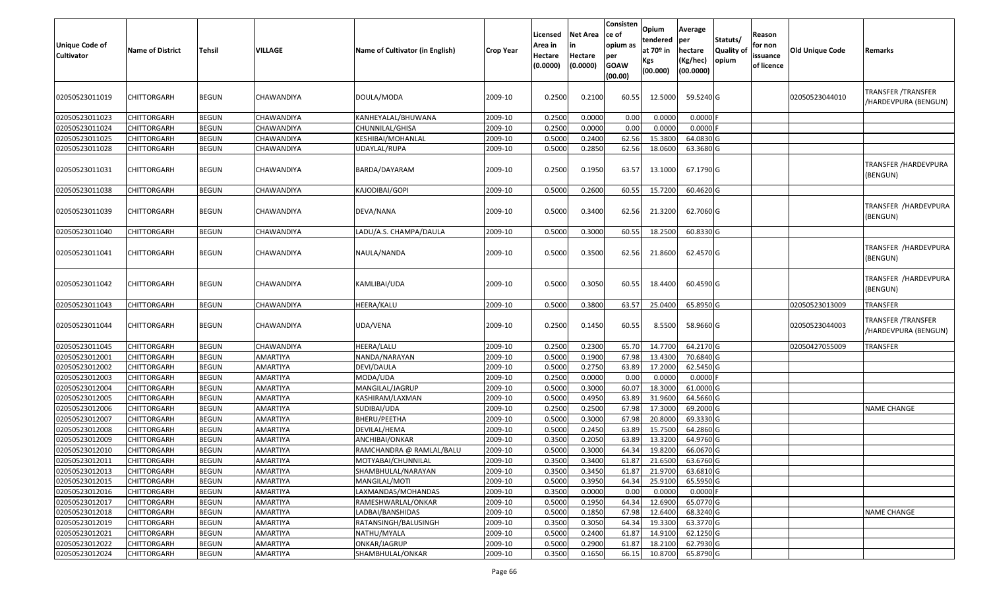| <b>Unique Code of</b><br>Cultivator | <b>Name of District</b> | Tehsil       | <b>VILLAGE</b>    | Name of Cultivator (in English) | <b>Crop Year</b> | Licensed<br>Area in<br>Hectare<br>(0.0000) | Net Area<br>Hectare<br>(0.0000) | Consisten<br>ce of<br>opium as<br>per<br><b>GOAW</b><br>(00.00) | <b>Opium</b><br>tendered<br>at 70º in<br>Kgs<br>(00.000) | Average<br>per<br>hectare<br>(Kg/hec)<br>(00.0000) | Statuts/<br>Quality of<br>opium | Reason<br>for non<br>issuance<br>of licence | Old Unique Code | Remarks                                    |
|-------------------------------------|-------------------------|--------------|-------------------|---------------------------------|------------------|--------------------------------------------|---------------------------------|-----------------------------------------------------------------|----------------------------------------------------------|----------------------------------------------------|---------------------------------|---------------------------------------------|-----------------|--------------------------------------------|
| 02050523011019                      | <b>CHITTORGARH</b>      | <b>BEGUN</b> | CHAWANDIYA        | DOULA/MODA                      | 2009-10          | 0.2500                                     | 0.2100                          | 60.55                                                           | 12.5000                                                  | 59.5240 G                                          |                                 |                                             | 02050523044010  | TRANSFER /TRANSFER<br>/HARDEVPURA (BENGUN) |
| 02050523011023                      | <b>CHITTORGARH</b>      | <b>BEGUN</b> | <b>CHAWANDIYA</b> | KANHEYALAL/BHUWANA              | 2009-10          | 0.2500                                     | 0.0000                          | 0.00                                                            | 0.0000                                                   | 0.0000                                             |                                 |                                             |                 |                                            |
| 02050523011024                      | CHITTORGARH             | <b>BEGUN</b> | CHAWANDIYA        | CHUNNILAL/GHISA                 | 2009-10          | 0.2500                                     | 0.0000                          | 0.00                                                            | 0.0000                                                   | 0.0000                                             |                                 |                                             |                 |                                            |
| 02050523011025                      | <b>CHITTORGARH</b>      | <b>BEGUN</b> | CHAWANDIYA        | KESHIBAI/MOHANLAL               | 2009-10          | 0.5000                                     | 0.2400                          | 62.56                                                           | 15.3800                                                  | 64.0830 G                                          |                                 |                                             |                 |                                            |
| 02050523011028                      | CHITTORGARH             | <b>BEGUN</b> | CHAWANDIYA        | UDAYLAL/RUPA                    | 2009-10          | 0.5000                                     | 0.2850                          | 62.56                                                           | 18.0600                                                  | 63.3680 G                                          |                                 |                                             |                 |                                            |
| 02050523011031                      | <b>CHITTORGARH</b>      | <b>BEGUN</b> | CHAWANDIYA        | BARDA/DAYARAM                   | 2009-10          | 0.2500                                     | 0.1950                          | 63.57                                                           | 13.1000                                                  | 67.1790 G                                          |                                 |                                             |                 | TRANSFER /HARDEVPURA<br>(BENGUN)           |
| 02050523011038                      | <b>CHITTORGARH</b>      | <b>BEGUN</b> | CHAWANDIYA        | KAJODIBAI/GOPI                  | 2009-10          | 0.5000                                     | 0.2600                          | 60.55                                                           | 15.7200                                                  | 60.4620 G                                          |                                 |                                             |                 |                                            |
| 02050523011039                      | <b>CHITTORGARH</b>      | <b>BEGUN</b> | CHAWANDIYA        | DEVA/NANA                       | 2009-10          | 0.5000                                     | 0.3400                          | 62.56                                                           | 21.3200                                                  | 62.7060 G                                          |                                 |                                             |                 | TRANSFER /HARDEVPURA<br>(BENGUN)           |
| 02050523011040                      | <b>CHITTORGARH</b>      | <b>BEGUN</b> | CHAWANDIYA        | LADU/A.S. CHAMPA/DAULA          | 2009-10          | 0.5000                                     | 0.3000                          | 60.55                                                           | 18.2500                                                  | 60.8330 G                                          |                                 |                                             |                 |                                            |
| 02050523011041                      | <b>CHITTORGARH</b>      | <b>BEGUN</b> | CHAWANDIYA        | NAULA/NANDA                     | 2009-10          | 0.5000                                     | 0.3500                          | 62.56                                                           | 21.8600                                                  | 62.4570 G                                          |                                 |                                             |                 | TRANSFER /HARDEVPURA<br>(BENGUN)           |
| 02050523011042                      | <b>CHITTORGARH</b>      | <b>BEGUN</b> | CHAWANDIYA        | KAMLIBAI/UDA                    | 2009-10          | 0.5000                                     | 0.3050                          | 60.55                                                           | 18.4400                                                  | 60.4590 G                                          |                                 |                                             |                 | TRANSFER /HARDEVPURA  <br>(BENGUN)         |
| 02050523011043                      | <b>CHITTORGARH</b>      | <b>BEGUN</b> | CHAWANDIYA        | <b>HEERA/KALU</b>               | 2009-10          | 0.5000                                     | 0.3800                          | 63.57                                                           | 25.0400                                                  | 65.8950 G                                          |                                 |                                             | 02050523013009  | <b>TRANSFER</b>                            |
| 02050523011044                      | <b>CHITTORGARH</b>      | <b>BEGUN</b> | CHAWANDIYA        | UDA/VENA                        | 2009-10          | 0.2500                                     | 0.1450                          | 60.55                                                           | 8.5500                                                   | 58.9660 G                                          |                                 |                                             | 02050523044003  | TRANSFER /TRANSFER<br>/HARDEVPURA (BENGUN) |
| 02050523011045                      | <b>CHITTORGARH</b>      | <b>BEGUN</b> | CHAWANDIYA        | <b>HEERA/LALU</b>               | 2009-10          | 0.2500                                     | 0.2300                          | 65.70                                                           | 14.7700                                                  | 64.2170 G                                          |                                 |                                             | 02050427055009  | TRANSFER                                   |
| 02050523012001                      | <b>CHITTORGARH</b>      | <b>BEGUN</b> | <b>AMARTIYA</b>   | NANDA/NARAYAN                   | 2009-10          | 0.5000                                     | 0.1900                          | 67.98                                                           | 13.4300                                                  | 70.6840 G                                          |                                 |                                             |                 |                                            |
| 02050523012002                      | <b>CHITTORGARH</b>      | <b>BEGUN</b> | AMARTIYA          | DEVI/DAULA                      | 2009-10          | 0.5000                                     | 0.2750                          | 63.89                                                           | 17.2000                                                  | 62.5450 G                                          |                                 |                                             |                 |                                            |
| 02050523012003                      | <b>CHITTORGARH</b>      | <b>BEGUN</b> | AMARTIYA          | MODA/UDA                        | 2009-10          | 0.2500                                     | 0.0000                          | 0.00                                                            | 0.0000                                                   | 0.0000                                             |                                 |                                             |                 |                                            |
| 02050523012004                      | <b>CHITTORGARH</b>      | <b>BEGUN</b> | <b>AMARTIYA</b>   | MANGILAL/JAGRUP                 | 2009-10          | 0.5000                                     | 0.3000                          | 60.07                                                           | 18.3000                                                  | 61.0000 G                                          |                                 |                                             |                 |                                            |
| 02050523012005                      | <b>CHITTORGARH</b>      | <b>BEGUN</b> | <b>AMARTIYA</b>   | KASHIRAM/LAXMAN                 | 2009-10          | 0.5000                                     | 0.4950                          | 63.89                                                           | 31.9600                                                  | 64.5660 G                                          |                                 |                                             |                 |                                            |
| 02050523012006                      | CHITTORGARH             | <b>BEGUN</b> | <b>AMARTIYA</b>   | SUDIBAI/UDA                     | 2009-10          | 0.2500                                     | 0.2500                          | 67.98                                                           | 17.3000                                                  | 69.2000 G                                          |                                 |                                             |                 | <b>NAME CHANGE</b>                         |
| 02050523012007                      | <b>CHITTORGARH</b>      | <b>BEGUN</b> | AMARTIYA          | <b>BHERU/PEETHA</b>             | 2009-10          | 0.5000                                     | 0.3000                          | 67.98                                                           | 20.8000                                                  | 69.3330 G                                          |                                 |                                             |                 |                                            |
| 02050523012008                      | CHITTORGARH             | <b>BEGUN</b> | <b>AMARTIYA</b>   | DEVILAL/HEMA                    | 2009-10          | 0.5000                                     | 0.2450                          | 63.89                                                           | 15.7500                                                  | 64.2860 G                                          |                                 |                                             |                 |                                            |
| 02050523012009                      | CHITTORGARH             | <b>BEGUN</b> | AMARTIYA          | ANCHIBAI/ONKAR                  | 2009-10          | 0.3500                                     | 0.2050                          | 63.89                                                           | 13.3200                                                  | 64.9760 G                                          |                                 |                                             |                 |                                            |
| 02050523012010                      | <b>CHITTORGARH</b>      | <b>BEGUN</b> | AMARTIYA          | RAMCHANDRA @ RAMLAL/BALU        | 2009-10          | 0.5000                                     | 0.3000                          | 64.34                                                           | 19.8200                                                  | 66.0670 G                                          |                                 |                                             |                 |                                            |
| 02050523012011                      | <b>CHITTORGARH</b>      | <b>BEGUN</b> | AMARTIYA          | MOTYABAI/CHUNNILAL              | 2009-10          | 0.3500                                     | 0.3400                          | 61.87                                                           | 21.6500                                                  | 63.6760 G                                          |                                 |                                             |                 |                                            |
| 02050523012013                      | <b>CHITTORGARH</b>      | <b>BEGUN</b> | <b>AMARTIYA</b>   | SHAMBHULAL/NARAYAN              | 2009-10          | 0.3500                                     | 0.3450                          | 61.87                                                           | 21.9700                                                  | 63.6810 G                                          |                                 |                                             |                 |                                            |
| 02050523012015                      | <b>CHITTORGARH</b>      | <b>BEGUN</b> | <b>AMARTIYA</b>   | MANGILAL/MOTI                   | 2009-10          | 0.5000                                     | 0.3950                          | 64.34                                                           | 25.9100                                                  | 65.5950 G                                          |                                 |                                             |                 |                                            |
| 02050523012016                      | <b>CHITTORGARH</b>      | <b>BEGUN</b> | <b>AMARTIYA</b>   | LAXMANDAS/MOHANDAS              | 2009-10          | 0.3500                                     | 0.0000                          | 0.00                                                            | 0.0000                                                   | 0.0000F                                            |                                 |                                             |                 |                                            |
| 02050523012017                      | <b>CHITTORGARH</b>      | <b>BEGUN</b> | <b>AMARTIYA</b>   | RAMESHWARLAL/ONKAR              | 2009-10          | 0.5000                                     | 0.1950                          | 64.34                                                           | 12.6900                                                  | 65.0770 G                                          |                                 |                                             |                 |                                            |
| 02050523012018                      | <b>CHITTORGARH</b>      | <b>BEGUN</b> | <b>AMARTIYA</b>   | LADBAI/BANSHIDAS                | 2009-10          | 0.5000                                     | 0.1850                          | 67.98                                                           | 12.6400                                                  | 68.3240 G                                          |                                 |                                             |                 | <b>NAME CHANGE</b>                         |
| 02050523012019                      | <b>CHITTORGARH</b>      | <b>BEGUN</b> | <b>AMARTIYA</b>   | RATANSINGH/BALUSINGH            | 2009-10          | 0.3500                                     | 0.3050                          | 64.34                                                           | 19.3300                                                  | $63.3770$ G                                        |                                 |                                             |                 |                                            |
| 02050523012021                      | <b>CHITTORGARH</b>      | <b>BEGUN</b> | <b>AMARTIYA</b>   | NATHU/MYALA                     | 2009-10          | 0.5000                                     | 0.2400                          | 61.87                                                           | 14.9100                                                  | 62.1250 G                                          |                                 |                                             |                 |                                            |
| 02050523012022                      | <b>CHITTORGARH</b>      | <b>BEGUN</b> | AMARTIYA          | ONKAR/JAGRUP                    | 2009-10          | 0.5000                                     | 0.2900                          | 61.87                                                           | 18.2100                                                  | 62.7930 G                                          |                                 |                                             |                 |                                            |
| 02050523012024                      | <b>CHITTORGARH</b>      | <b>BEGUN</b> | AMARTIYA          | SHAMBHULAL/ONKAR                | 2009-10          | 0.3500                                     | 0.1650                          | 66.15                                                           | 10.8700                                                  | 65.8790 G                                          |                                 |                                             |                 |                                            |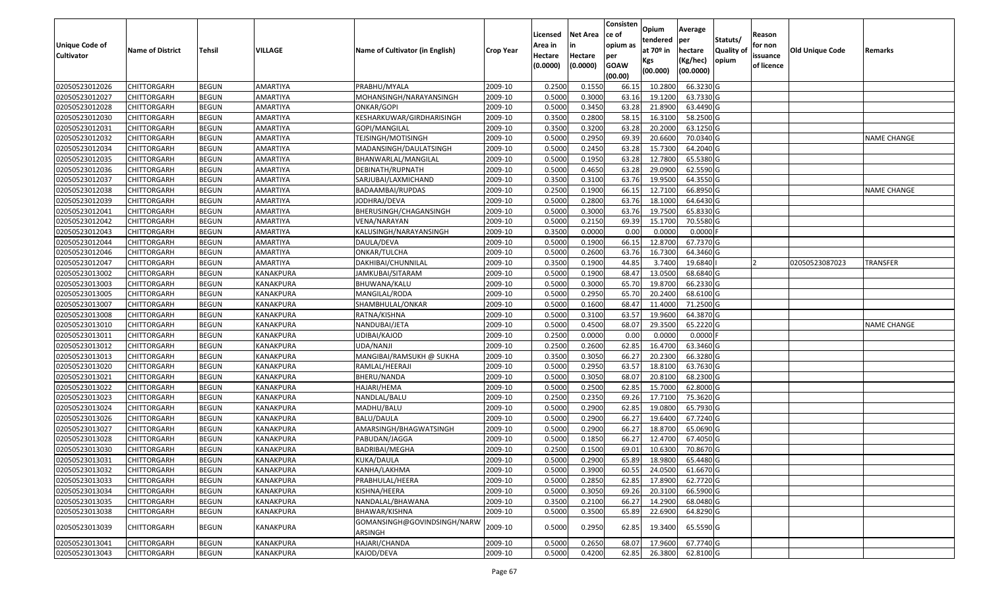| <b>Unique Code of</b> |                         |               |                  |                                        |                  | Licensed<br>Area in | <b>Net Area</b><br>in | Consisten<br>ce of<br>opium as | Opium<br>tendered              | Average<br>per                   | Statuts/                   | Reason<br>for non      |                        |                    |
|-----------------------|-------------------------|---------------|------------------|----------------------------------------|------------------|---------------------|-----------------------|--------------------------------|--------------------------------|----------------------------------|----------------------------|------------------------|------------------------|--------------------|
| <b>Cultivator</b>     | <b>Name of District</b> | <b>Tehsil</b> | VILLAGE          | Name of Cultivator (in English)        | <b>Crop Year</b> | Hectare<br>(0.0000) | Hectare<br>(0.0000)   | per<br><b>GOAW</b><br>(00.00)  | at $70°$ in<br>Kgs<br>(00.000) | hectare<br>(Kg/hec)<br>(00.0000) | <b>Quality of</b><br>opium | issuance<br>of licence | <b>Old Unique Code</b> | Remarks            |
| 02050523012026        | <b>CHITTORGARH</b>      | <b>BEGUN</b>  | AMARTIYA         | PRABHU/MYALA                           | 2009-10          | 0.2500              | 0.1550                | 66.15                          | 10.2800                        | 66.3230 G                        |                            |                        |                        |                    |
| 02050523012027        | <b>CHITTORGARH</b>      | <b>BEGUN</b>  | AMARTIYA         | MOHANSINGH/NARAYANSINGH                | 2009-10          | 0.5000              | 0.3000                | 63.16                          | 19.1200                        | 63.7330 G                        |                            |                        |                        |                    |
| 02050523012028        | <b>CHITTORGARH</b>      | <b>BEGUN</b>  | AMARTIYA         | ONKAR/GOPI                             | 2009-10          | 0.5000              | 0.3450                | 63.28                          | 21.8900                        | 63.4490 G                        |                            |                        |                        |                    |
| 02050523012030        | <b>CHITTORGARH</b>      | <b>BEGUN</b>  | AMARTIYA         | KESHARKUWAR/GIRDHARISINGH              | 2009-10          | 0.3500              | 0.2800                | 58.1                           | 16.3100                        | 58.2500 G                        |                            |                        |                        |                    |
| 02050523012031        | <b>CHITTORGARH</b>      | <b>BEGUN</b>  | AMARTIYA         | GOPI/MANGILAL                          | 2009-10          | 0.3500              | 0.3200                | 63.28                          | 20.2000                        | 63.1250 G                        |                            |                        |                        |                    |
| 02050523012032        | <b>CHITTORGARH</b>      | <b>BEGUN</b>  | AMARTIYA         | TEJSINGH/MOTISINGH                     | 2009-10          | 0.5000              | 0.2950                | 69.39                          | 20.6600                        | 70.0340 G                        |                            |                        |                        | <b>NAME CHANGE</b> |
| 02050523012034        | <b>CHITTORGARH</b>      | <b>BEGUN</b>  | AMARTIYA         | MADANSINGH/DAULATSINGH                 | 2009-10          | 0.5000              | 0.2450                | 63.28                          | 15.7300                        | 64.2040 G                        |                            |                        |                        |                    |
| 02050523012035        | <b>CHITTORGARH</b>      | <b>BEGUN</b>  | AMARTIYA         | BHANWARLAL/MANGILAL                    | 2009-10          | 0.5000              | 0.1950                | 63.28                          | 12.7800                        | 65.5380 G                        |                            |                        |                        |                    |
| 02050523012036        | <b>CHITTORGARH</b>      | <b>BEGUN</b>  | AMARTIYA         | DEBINATH/RUPNATH                       | 2009-10          | 0.5000              | 0.4650                | 63.28                          | 29.0900                        | 62.5590 G                        |                            |                        |                        |                    |
| 02050523012037        | <b>CHITTORGARH</b>      | <b>BEGUN</b>  | AMARTIYA         | SARJUBAI/LAXMICHAND                    | 2009-10          | 0.3500              | 0.3100                | 63.76                          | 19.9500                        | 64.3550 G                        |                            |                        |                        |                    |
| 02050523012038        | <b>CHITTORGARH</b>      | <b>BEGUN</b>  | AMARTIYA         | BADAAMBAI/RUPDAS                       | 2009-10          | 0.2500              | 0.1900                | 66.1                           | 12.7100                        | 66.8950 G                        |                            |                        |                        | <b>NAME CHANGE</b> |
| 02050523012039        | <b>CHITTORGARH</b>      | <b>BEGUN</b>  | AMARTIYA         | JODHRAJ/DEVA                           | 2009-10          | 0.5000              | 0.2800                | 63.76                          | 18.1000                        | 64.6430 G                        |                            |                        |                        |                    |
| 02050523012041        | <b>CHITTORGARH</b>      | <b>BEGUN</b>  | AMARTIYA         | BHERUSINGH/CHAGANSINGH                 | 2009-10          | 0.5000              | 0.3000                | 63.76                          | 19.7500                        | 65.8330 G                        |                            |                        |                        |                    |
| 02050523012042        | <b>CHITTORGARH</b>      | <b>BEGUN</b>  | AMARTIYA         | VENA/NARAYAN                           | 2009-10          | 0.5000              | 0.2150                | 69.39                          | 15.1700                        | 70.5580 G                        |                            |                        |                        |                    |
| 02050523012043        | <b>CHITTORGARH</b>      | <b>BEGUN</b>  | AMARTIYA         | KALUSINGH/NARAYANSINGH                 | 2009-10          | 0.3500              | 0.0000                | 0.00                           | 0.0000                         | $0.0000$ F                       |                            |                        |                        |                    |
| 02050523012044        | <b>CHITTORGARH</b>      | <b>BEGUN</b>  | AMARTIYA         | DAULA/DEVA                             | 2009-10          | 0.5000              | 0.1900                | 66.1                           | 12.8700                        | 67.7370 G                        |                            |                        |                        |                    |
| 02050523012046        | <b>CHITTORGARH</b>      | <b>BEGUN</b>  | AMARTIYA         | ONKAR/TULCHA                           | 2009-10          | 0.5000              | 0.2600                | 63.76                          | 16.7300                        | 64.3460 G                        |                            |                        |                        |                    |
| 02050523012047        | <b>CHITTORGARH</b>      | <b>BEGUN</b>  | AMARTIYA         | DAKHIBAI/CHUNNILAL                     | 2009-10          | 0.3500              | 0.1900                | 44.85                          | 3.7400                         | 19.6840                          |                            |                        | 02050523087023         | TRANSFER           |
| 02050523013002        | <b>CHITTORGARH</b>      | <b>BEGUN</b>  | KANAKPURA        | JAMKUBAI/SITARAM                       | 2009-10          | 0.5000              | 0.1900                | 68.47                          | 13.0500                        | 68.6840 G                        |                            |                        |                        |                    |
| 02050523013003        | <b>CHITTORGARH</b>      | <b>BEGUN</b>  | KANAKPURA        | BHUWANA/KALU                           | 2009-10          | 0.5000              | 0.3000                | 65.70                          | 19.8700                        | 66.2330 G                        |                            |                        |                        |                    |
| 02050523013005        | <b>CHITTORGARH</b>      | <b>BEGUN</b>  | KANAKPURA        | MANGILAL/RODA                          | 2009-10          | 0.5000              | 0.2950                | 65.70                          | 20.2400                        | 68.6100 G                        |                            |                        |                        |                    |
| 02050523013007        | <b>CHITTORGARH</b>      | <b>BEGUN</b>  | KANAKPURA        | SHAMBHULAL/ONKAR                       | 2009-10          | 0.5000              | 0.1600                | 68.47                          | 11.4000                        | 71.2500 G                        |                            |                        |                        |                    |
| 02050523013008        | <b>CHITTORGARH</b>      | <b>BEGUN</b>  | KANAKPURA        | RATNA/KISHNA                           | 2009-10          | 0.5000              | 0.3100                | 63.57                          | 19.9600                        | 64.3870 G                        |                            |                        |                        |                    |
| 02050523013010        | <b>CHITTORGARH</b>      | <b>BEGUN</b>  | KANAKPURA        | NANDUBAI/JETA                          | 2009-10          | 0.5000              | 0.4500                | 68.07                          | 29.3500                        | 65.2220 G                        |                            |                        |                        | NAME CHANGE        |
| 02050523013011        | <b>CHITTORGARH</b>      | <b>BEGUN</b>  | KANAKPURA        | UDIBAI/KAJOD                           | 2009-10          | 0.2500              | 0.0000                | 0.00                           | 0.0000                         | $0.0000$ F                       |                            |                        |                        |                    |
| 02050523013012        | <b>CHITTORGARH</b>      | <b>BEGUN</b>  | KANAKPURA        | UDA/NANJI                              | 2009-10          | 0.2500              | 0.2600                | 62.85                          | 16.4700                        | 63.3460 G                        |                            |                        |                        |                    |
| 02050523013013        | <b>CHITTORGARH</b>      | <b>BEGUN</b>  | KANAKPURA        | MANGIBAI/RAMSUKH @ SUKHA               | 2009-10          | 0.3500              | 0.3050                | 66.27                          | 20.2300                        | 66.3280 G                        |                            |                        |                        |                    |
| 02050523013020        | <b>CHITTORGARH</b>      | <b>BEGUN</b>  | KANAKPURA        | RAMLAL/HEERAJI                         | 2009-10          | 0.5000              | 0.2950                | 63.57                          | 18.8100                        | 63.7630 G                        |                            |                        |                        |                    |
| 02050523013021        | <b>CHITTORGARH</b>      | <b>BEGUN</b>  | KANAKPURA        | BHERU/NANDA                            | 2009-10          | 0.5000              | 0.3050                | 68.07                          | 20.8100                        | 68.2300 G                        |                            |                        |                        |                    |
| 02050523013022        | <b>CHITTORGARH</b>      | <b>BEGUN</b>  | KANAKPURA        | HAJARI/HEMA                            | 2009-10          | 0.5000              | 0.2500                | 62.85                          | 15.7000                        | 62.8000 G                        |                            |                        |                        |                    |
| 02050523013023        | <b>CHITTORGARH</b>      | <b>BEGUN</b>  | KANAKPURA        | NANDLAL/BALU                           | 2009-10          | 0.2500              | 0.2350                | 69.26                          | 17.7100                        | 75.3620 G                        |                            |                        |                        |                    |
| 02050523013024        | <b>CHITTORGARH</b>      | <b>BEGUN</b>  | KANAKPURA        | MADHU/BALU                             | 2009-10          | 0.5000              | 0.2900                | 62.85                          | 19.0800                        | 65.7930 G                        |                            |                        |                        |                    |
| 02050523013026        | <b>CHITTORGARH</b>      | <b>BEGUN</b>  | KANAKPURA        | BALU/DAULA                             | 2009-10          | 0.5000              | 0.2900                | 66.27                          | 19.6400                        | 67.7240 G                        |                            |                        |                        |                    |
| 02050523013027        | <b>CHITTORGARH</b>      | <b>BEGUN</b>  | KANAKPURA        | AMARSINGH/BHAGWATSINGH                 | 2009-10          | 0.5000              | 0.2900                | 66.27                          | 18.8700                        | 65.0690 G                        |                            |                        |                        |                    |
| 02050523013028        | <b>CHITTORGARH</b>      | <b>BEGUN</b>  | KANAKPURA        | PABUDAN/JAGGA                          | 2009-10          | 0.5000              | 0.1850                | 66.2                           | 12.4700                        | 67.4050 G                        |                            |                        |                        |                    |
| 02050523013030        | <b>CHITTORGARH</b>      | BEGUN         | KANAKPURA        | BADRIBAI/MEGHA                         | 2009-10          | 0.2500              | 0.1500                | 69.01                          | 10.6300                        | 70.8670 G                        |                            |                        |                        |                    |
| 02050523013031        | <b>CHITTORGARH</b>      | <b>BEGUN</b>  | KANAKPURA        | KUKA/DAULA                             | 2009-10          | 0.5000              | 0.2900                | 65.89                          | 18.9800                        | 65.4480 G                        |                            |                        |                        |                    |
| 02050523013032        | <b>CHITTORGARH</b>      | <b>BEGUN</b>  | KANAKPURA        | KANHA/LAKHMA                           | 2009-10          | 0.5000              | 0.3900                | 60.55                          | 24.0500                        | 61.6670 G                        |                            |                        |                        |                    |
| 02050523013033        | <b>CHITTORGARH</b>      | <b>BEGUN</b>  | KANAKPURA        | PRABHULAL/HEERA                        | 2009-10          | 0.5000              | 0.2850                | 62.85                          | 17.8900                        | 62.7720 G                        |                            |                        |                        |                    |
| 02050523013034        | <b>CHITTORGARH</b>      | <b>BEGUN</b>  | KANAKPURA        | KISHNA/HEERA                           | 2009-10          | 0.5000              | 0.3050                | 69.26                          | 20.3100                        | 66.5900 G                        |                            |                        |                        |                    |
| 02050523013035        | <b>CHITTORGARH</b>      | <b>BEGUN</b>  | KANAKPURA        | NANDALAL/BHAWANA                       | 2009-10          | 0.3500              | 0.2100                | 66.27                          | 14.2900                        | 68.0480 G                        |                            |                        |                        |                    |
| 02050523013038        | <b>CHITTORGARH</b>      | <b>BEGUN</b>  | KANAKPURA        | BHAWAR/KISHNA                          | 2009-10          | 0.5000              | 0.3500                | 65.89                          | 22.6900                        | 64.8290 G                        |                            |                        |                        |                    |
| 02050523013039        | <b>CHITTORGARH</b>      | BEGUN         | KANAKPURA        | GOMANSINGH@GOVINDSINGH/NARW<br>ARSINGH | 2009-10          | 0.5000              | 0.2950                | 62.85                          | 19.3400                        | 65.5590 G                        |                            |                        |                        |                    |
| 02050523013041        | <b>CHITTORGARH</b>      | <b>BEGUN</b>  | KANAKPURA        | HAJARI/CHANDA                          | 2009-10          | 0.5000              | 0.2650                | 68.07                          | 17.9600                        | 67.7740 G                        |                            |                        |                        |                    |
| 02050523013043        | <b>CHITTORGARH</b>      | <b>BEGUN</b>  | <b>KANAKPURA</b> | KAJOD/DEVA                             | 2009-10          | 0.5000              | 0.4200                | 62.85                          | 26.3800                        | 62.8100 G                        |                            |                        |                        |                    |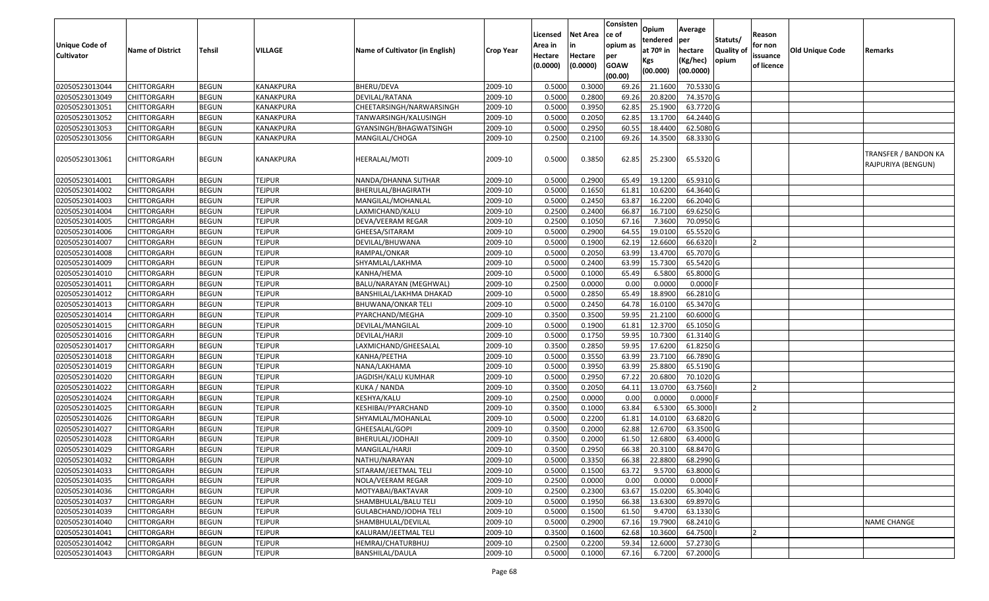|                       |                         |               |                  |                                 |                  |          |                 | Consisten              | Opium       | Average    |                  |            |                        |                                            |
|-----------------------|-------------------------|---------------|------------------|---------------------------------|------------------|----------|-----------------|------------------------|-------------|------------|------------------|------------|------------------------|--------------------------------------------|
|                       |                         |               |                  |                                 |                  | Licensed | <b>Net Area</b> | ce of                  | tendered    | per        | Statuts/         | Reason     |                        |                                            |
| <b>Unique Code of</b> | <b>Name of District</b> | <b>Tehsil</b> | VILLAGE          | Name of Cultivator (in English) | <b>Crop Year</b> | Area in  |                 | opium as               | at $70°$ in | hectare    | <b>Quality o</b> | for non    | <b>Old Unique Code</b> | Remarks                                    |
| <b>Cultivator</b>     |                         |               |                  |                                 |                  | Hectare  | Hectare         | per                    | Kgs         | (Kg/hec)   | opium            | issuance   |                        |                                            |
|                       |                         |               |                  |                                 |                  | (0.0000) | (0.0000)        | <b>GOAW</b><br>(00.00) | (00.000)    | (00.0000)  |                  | of licence |                        |                                            |
| 02050523013044        | CHITTORGARH             | <b>BEGUN</b>  | <b>KANAKPURA</b> | <b>BHERU/DEVA</b>               | 2009-10          | 0.5000   | 0.3000          | 69.26                  | 21.1600     | 70.5330 G  |                  |            |                        |                                            |
| 02050523013049        | CHITTORGARH             | <b>BEGUN</b>  | KANAKPURA        | DEVILAL/RATANA                  | 2009-10          | 0.5000   | 0.2800          | 69.26                  | 20.8200     | 74.3570 G  |                  |            |                        |                                            |
| 02050523013051        | CHITTORGARH             | <b>BEGUN</b>  | KANAKPURA        | CHEETARSINGH/NARWARSINGH        | 2009-10          | 0.5000   | 0.3950          | 62.85                  | 25.1900     | 63.7720 G  |                  |            |                        |                                            |
| 02050523013052        | <b>CHITTORGARH</b>      | <b>BEGUN</b>  | <b>KANAKPURA</b> | TANWARSINGH/KALUSINGH           | 2009-10          | 0.5000   | 0.2050          | 62.85                  | 13.1700     | 64.2440 G  |                  |            |                        |                                            |
| 02050523013053        | CHITTORGARH             | <b>BEGUN</b>  | <b>KANAKPURA</b> | GYANSINGH/BHAGWATSINGH          | 2009-10          | 0.5000   | 0.2950          | 60.5                   | 18.4400     | 62.5080 G  |                  |            |                        |                                            |
| 02050523013056        | CHITTORGARH             | <b>BEGUN</b>  | KANAKPURA        | MANGILAL/CHOGA                  | 2009-10          | 0.2500   | 0.2100          | 69.26                  | 14.3500     | 68.3330 G  |                  |            |                        |                                            |
|                       |                         |               |                  |                                 |                  |          |                 |                        |             |            |                  |            |                        |                                            |
| 02050523013061        | CHITTORGARH             | <b>BEGUN</b>  | KANAKPURA        | HEERALAL/MOTI                   | 2009-10          | 0.5000   | 0.3850          | 62.85                  | 25.2300     | 65.5320 G  |                  |            |                        | TRANSFER / BANDON KA<br>RAJPURIYA (BENGUN) |
| 02050523014001        | <b>CHITTORGARH</b>      | <b>BEGUN</b>  | <b>TEJPUR</b>    | NANDA/DHANNA SUTHAR             | 2009-10          | 0.5000   | 0.2900          | 65.49                  | 19.1200     | 65.9310 G  |                  |            |                        |                                            |
| 02050523014002        | <b>CHITTORGARH</b>      | <b>BEGUN</b>  | <b>TEJPUR</b>    | BHERULAL/BHAGIRATH              | 2009-10          | 0.5000   | 0.1650          | 61.81                  | 10.6200     | 64.3640 G  |                  |            |                        |                                            |
| 02050523014003        | CHITTORGARH             | <b>BEGUN</b>  | <b>TEJPUR</b>    | MANGILAL/MOHANLAL               | 2009-10          | 0.5000   | 0.2450          | 63.87                  | 16.2200     | 66.2040 G  |                  |            |                        |                                            |
| 02050523014004        | <b>CHITTORGARH</b>      | <b>BEGUN</b>  | <b>TEJPUR</b>    | LAXMICHAND/KALU                 | 2009-10          | 0.2500   | 0.2400          | 66.87                  | 16.7100     | 69.6250 G  |                  |            |                        |                                            |
| 02050523014005        | CHITTORGARH             | <b>BEGUN</b>  | <b>TEJPUR</b>    | DEVA/VEERAM REGAR               | 2009-10          | 0.2500   | 0.1050          | 67.16                  | 7.3600      | 70.0950 G  |                  |            |                        |                                            |
| 02050523014006        | CHITTORGARH             | <b>BEGUN</b>  | <b>TEJPUR</b>    | GHEESA/SITARAM                  | 2009-10          | 0.5000   | 0.2900          | 64.55                  | 19.0100     | 65.5520 G  |                  |            |                        |                                            |
| 02050523014007        | CHITTORGARH             | <b>BEGUN</b>  | <b>TEJPUR</b>    | DEVILAL/BHUWANA                 | 2009-10          | 0.5000   | 0.1900          | 62.19                  | 12.6600     | 66.6320    |                  |            |                        |                                            |
| 02050523014008        | CHITTORGARH             | <b>BEGUN</b>  | <b>TEJPUR</b>    | RAMPAL/ONKAR                    | 2009-10          | 0.5000   | 0.2050          | 63.99                  | 13.4700     | 65.7070 G  |                  |            |                        |                                            |
| 02050523014009        | CHITTORGARH             | <b>BEGUN</b>  | <b>TEJPUR</b>    | SHYAMLAL/LAKHMA                 | 2009-10          | 0.500    | 0.2400          | 63.99                  | 15.7300     | 65.5420 G  |                  |            |                        |                                            |
| 02050523014010        | CHITTORGARH             | <b>BEGUN</b>  | <b>TEJPUR</b>    | KANHA/HEMA                      | 2009-10          | 0.5000   | 0.1000          | 65.49                  | 6.5800      | 65.8000 G  |                  |            |                        |                                            |
| 02050523014011        | CHITTORGARH             | <b>BEGUN</b>  | <b>TEJPUR</b>    | BALU/NARAYAN (MEGHWAL)          | 2009-10          | 0.2500   | 0.0000          | 0.00                   | 0.0000      | 0.0000     |                  |            |                        |                                            |
| 02050523014012        | CHITTORGARH             | <b>BEGUN</b>  | <b>TEJPUR</b>    | BANSHILAL/LAKHMA DHAKAD         | 2009-10          | 0.5000   | 0.2850          | 65.49                  | 18.8900     | 66.2810 G  |                  |            |                        |                                            |
| 02050523014013        | CHITTORGARH             | <b>BEGUN</b>  | <b>TEJPUR</b>    | <b>BHUWANA/ONKAR TELI</b>       | 2009-10          | 0.5000   | 0.2450          | 64.78                  | 16.0100     | 65.3470 G  |                  |            |                        |                                            |
| 02050523014014        | CHITTORGARH             | <b>BEGUN</b>  | <b>TEJPUR</b>    | PYARCHAND/MEGHA                 | 2009-10          | 0.3500   | 0.3500          | 59.95                  | 21.2100     | 60.6000 G  |                  |            |                        |                                            |
| 02050523014015        | CHITTORGARH             | <b>BEGUN</b>  | <b>TEJPUR</b>    | DEVILAL/MANGILAL                | 2009-10          | 0.5000   | 0.1900          | 61.8                   | 12.3700     | 65.1050 G  |                  |            |                        |                                            |
| 02050523014016        | <b>CHITTORGARH</b>      | <b>BEGUN</b>  | <b>TEJPUR</b>    | DEVILAL/HARJI                   | 2009-10          | 0.5000   | 0.1750          | 59.95                  | 10.7300     | 61.3140 G  |                  |            |                        |                                            |
| 02050523014017        | CHITTORGARH             | <b>BEGUN</b>  | <b>TEJPUR</b>    | LAXMICHAND/GHEESALAL            | 2009-10          | 0.3500   | 0.2850          | 59.95                  | 17.6200     | 61.8250 G  |                  |            |                        |                                            |
| 02050523014018        | CHITTORGARH             | <b>BEGUN</b>  | <b>TEJPUR</b>    | KANHA/PEETHA                    | 2009-10          | 0.5000   | 0.3550          | 63.99                  | 23.7100     | 66.7890 G  |                  |            |                        |                                            |
| 02050523014019        | CHITTORGARH             | <b>BEGUN</b>  | <b>TEJPUR</b>    | NANA/LAKHAMA                    | 2009-10          | 0.5000   | 0.3950          | 63.99                  | 25.8800     | 65.5190 G  |                  |            |                        |                                            |
| 02050523014020        | <b>CHITTORGARH</b>      | <b>BEGUN</b>  | <b>TEJPUR</b>    | JAGDISH/KALU KUMHAR             | 2009-10          | 0.5000   | 0.2950          | 67.22                  | 20.6800     | 70.1020 G  |                  |            |                        |                                            |
| 02050523014022        | CHITTORGARH             | <b>BEGUN</b>  | <b>TEJPUR</b>    | KUKA / NANDA                    | 2009-10          | 0.3500   | 0.2050          | 64.1                   | 13.0700     | 63.7560    |                  |            |                        |                                            |
| 02050523014024        | CHITTORGARH             | <b>BEGUN</b>  | <b>TEJPUR</b>    | KESHYA/KALU                     | 2009-10          | 0.2500   | 0.0000          | 0.00                   | 0.0000      | 0.0000     |                  |            |                        |                                            |
| 02050523014025        | CHITTORGARH             | <b>BEGUN</b>  | <b>TEJPUR</b>    | KESHIBAI/PYARCHAND              | 2009-10          | 0.3500   | 0.1000          | 63.84                  | 6.5300      | 65.3000    |                  |            |                        |                                            |
| 02050523014026        | CHITTORGARH             | <b>BEGUN</b>  | <b>TEJPUR</b>    | SHYAMLAL/MOHANLAL               | 2009-10          | 0.5000   | 0.2200          | 61.81                  | 14.0100     | 63.6820 G  |                  |            |                        |                                            |
| 02050523014027        | <b>CHITTORGARH</b>      | <b>BEGUN</b>  | <b>TEJPUR</b>    | GHEESALAL/GOPI                  | 2009-10          | 0.3500   | 0.2000          | 62.88                  | 12.6700     | 63.3500 G  |                  |            |                        |                                            |
| 02050523014028        | CHITTORGARH             | <b>BEGUN</b>  | <b>TEJPUR</b>    | BHERULAL/JODHAJI                | 2009-10          | 0.350    | 0.2000          | 61.50                  | 12.6800     | 63.4000 G  |                  |            |                        |                                            |
| 02050523014029        | CHITTORGARH             | <b>BEGUN</b>  | <b>TEJPUR</b>    | MANGILAL/HARJI                  | 2009-10          | 0.3500   | 0.2950          | 66.38                  | 20.3100     | 68.8470 G  |                  |            |                        |                                            |
| 02050523014032        | <b>CHITTORGARH</b>      | <b>BEGUN</b>  | <b>TEJPUR</b>    | NATHU/NARAYAN                   | 2009-10          | 0.5000   | 0.3350          | 66.38                  | 22.8800     | 68.2990 G  |                  |            |                        |                                            |
| 02050523014033        | <b>CHITTORGARH</b>      | <b>BEGUN</b>  | <b>TEJPUR</b>    | SITARAM/JEETMAL TELI            | 2009-10          | 0.5000   | 0.1500          | 63.72                  | 9.5700      | 63.8000 G  |                  |            |                        |                                            |
| 02050523014035        | <b>CHITTORGARH</b>      | <b>BEGUN</b>  | <b>TEJPUR</b>    | NOLA/VEERAM REGAR               | 2009-10          | 0.2500   | 0.0000          | 0.00                   | 0.0000      | $0.0000$ F |                  |            |                        |                                            |
| 02050523014036        | <b>CHITTORGARH</b>      | <b>BEGUN</b>  | <b>TEJPUR</b>    | MOTYABAI/BAKTAVAR               | 2009-10          | 0.2500   | 0.2300          | 63.67                  | 15.0200     | 65.3040 G  |                  |            |                        |                                            |
| 02050523014037        | CHITTORGARH             | <b>BEGUN</b>  | <b>TEJPUR</b>    | SHAMBHULAL/BALU TELI            | 2009-10          | 0.5000   | 0.1950          | 66.38                  | 13.6300     | 69.8970 G  |                  |            |                        |                                            |
| 02050523014039        | <b>CHITTORGARH</b>      | <b>BEGUN</b>  | <b>TEJPUR</b>    | <b>GULABCHAND/JODHA TELI</b>    | 2009-10          | 0.5000   | 0.1500          | 61.50                  | 9.4700      | 63.1330 G  |                  |            |                        |                                            |
| 02050523014040        | <b>CHITTORGARH</b>      | <b>BEGUN</b>  | <b>TEJPUR</b>    | SHAMBHULAL/DEVILAL              | 2009-10          | 0.5000   | 0.2900          | 67.16                  | 19.7900     | 68.2410 G  |                  |            |                        | <b>NAME CHANGE</b>                         |
| 02050523014041        | CHITTORGARH             | <b>BEGUN</b>  | <b>TEJPUR</b>    | KALURAM/JEETMAL TELI            | 2009-10          | 0.3500   | 0.1600          | 62.68                  | 10.3600     | 64.7500    |                  |            |                        |                                            |
| 02050523014042        | CHITTORGARH             | <b>BEGUN</b>  | <b>TEJPUR</b>    | HEMRAJ/CHATURBHUJ               | 2009-10          | 0.2500   | 0.2200          | 59.34                  | 12.6000     | 57.2730 G  |                  |            |                        |                                            |
| 02050523014043        | <b>CHITTORGARH</b>      | <b>BEGUN</b>  | <b>TEJPUR</b>    | <b>BANSHILAL/DAULA</b>          | 2009-10          | 0.5000   | 0.1000          | 67.16                  | 6.7200      | 67.2000 G  |                  |            |                        |                                            |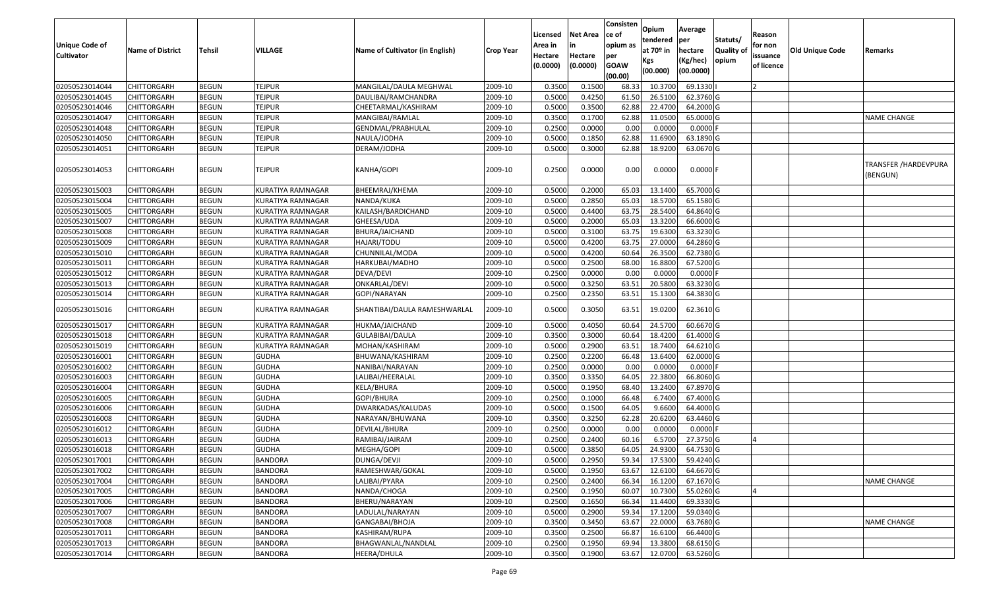| <b>Unique Code of</b> |                         |               |                          |                                 |                  | Licensed<br>Area in | <b>Net Area</b><br>in | Consisten<br>ce of<br>opium as | Opium<br>tendered              | Average<br>per                   | Statuts/                  | Reason<br>for non      |                        |                                         |
|-----------------------|-------------------------|---------------|--------------------------|---------------------------------|------------------|---------------------|-----------------------|--------------------------------|--------------------------------|----------------------------------|---------------------------|------------------------|------------------------|-----------------------------------------|
| <b>Cultivator</b>     | <b>Name of District</b> | <b>Tehsil</b> | VILLAGE                  | Name of Cultivator (in English) | <b>Crop Year</b> | Hectare<br>(0.0000) | Hectare<br>(0.0000)   | per<br><b>GOAW</b><br>(00.00)  | at $70°$ in<br>Kgs<br>(00.000) | hectare<br>(Kg/hec)<br>(00.0000) | <b>Quality o</b><br>opium | issuance<br>of licence | <b>Old Unique Code</b> | Remarks                                 |
| 02050523014044        | CHITTORGARH             | <b>BEGUN</b>  | <b>TEJPUR</b>            | MANGILAL/DAULA MEGHWAL          | 2009-10          | 0.3500              | 0.1500                | 68.33                          | 10.3700                        | 69.1330                          |                           |                        |                        |                                         |
| 02050523014045        | CHITTORGARH             | <b>BEGUN</b>  | <b>TEJPUR</b>            | DAULIBAI/RAMCHANDRA             | 2009-10          | 0.5000              | 0.4250                | 61.50                          | 26.5100                        | 62.3760 G                        |                           |                        |                        |                                         |
| 02050523014046        | CHITTORGARH             | <b>BEGUN</b>  | <b>TEJPUR</b>            | CHEETARMAL/KASHIRAM             | 2009-10          | 0.5000              | 0.3500                | 62.88                          | 22.4700                        | 64.2000 G                        |                           |                        |                        |                                         |
| 02050523014047        | <b>CHITTORGARH</b>      | <b>BEGUN</b>  | <b>TEJPUR</b>            | MANGIBAI/RAMLAL                 | 2009-10          | 0.3500              | 0.1700                | 62.88                          | 11.0500                        | 65.0000G                         |                           |                        |                        | <b>NAME CHANGE</b>                      |
| 02050523014048        | CHITTORGARH             | <b>BEGUN</b>  | <b>TEJPUR</b>            | GENDMAL/PRABHULAL               | 2009-10          | 0.2500              | 0.0000                | 0.00                           | 0.0000                         | $0.0000$ F                       |                           |                        |                        |                                         |
| 02050523014050        | <b>CHITTORGARH</b>      | <b>BEGUN</b>  | <b>TEJPUR</b>            | NAULA/JODHA                     | 2009-10          | 0.5000              | 0.1850                | 62.88                          | 11.6900                        | 63.1890 G                        |                           |                        |                        |                                         |
| 02050523014051        | CHITTORGARH             | <b>BEGUN</b>  | <b>TEJPUR</b>            | DERAM/JODHA                     | 2009-10          | 0.5000              | 0.3000                | 62.88                          | 18.9200                        | 63.0670 G                        |                           |                        |                        |                                         |
| 02050523014053        | <b>CHITTORGARH</b>      | <b>BEGUN</b>  | <b>TEJPUR</b>            | KANHA/GOPI                      | 2009-10          | 0.2500              | 0.0000                | 0.00                           | 0.0000                         | $0.0000$ F                       |                           |                        |                        | <b>TRANSFER /HARDEVPURA</b><br>(BENGUN) |
| 02050523015003        | <b>CHITTORGARH</b>      | <b>BEGUN</b>  | KURATIYA RAMNAGAR        | BHEEMRAJ/KHEMA                  | 2009-10          | 0.5000              | 0.2000                | 65.03                          | 13.1400                        | 65.7000 G                        |                           |                        |                        |                                         |
| 02050523015004        | CHITTORGARH             | <b>BEGUN</b>  | KURATIYA RAMNAGAR        | NANDA/KUKA                      | 2009-10          | 0.5000              | 0.2850                | 65.03                          | 18.5700                        | 65.1580 G                        |                           |                        |                        |                                         |
| 02050523015005        | <b>CHITTORGARH</b>      | <b>BEGUN</b>  | KURATIYA RAMNAGAR        | KAILASH/BARDICHAND              | 2009-10          | 0.5000              | 0.4400                | 63.75                          | 28.5400                        | 64.8640 G                        |                           |                        |                        |                                         |
| 02050523015007        | <b>CHITTORGARH</b>      | <b>BEGUN</b>  | KURATIYA RAMNAGAR        | GHEESA/UDA                      | 2009-10          | 0.5000              | 0.2000                | 65.03                          | 13.3200                        | 66.6000 G                        |                           |                        |                        |                                         |
| 02050523015008        | <b>CHITTORGARH</b>      | <b>BEGUN</b>  | KURATIYA RAMNAGAR        | BHURA/JAICHAND                  | 2009-10          | 0.5000              | 0.3100                | 63.75                          | 19.6300                        | 63.3230 G                        |                           |                        |                        |                                         |
| 02050523015009        | <b>CHITTORGARH</b>      | <b>BEGUN</b>  | KURATIYA RAMNAGAR        | HAJARI/TODU                     | 2009-10          | 0.5000              | 0.4200                | 63.75                          | 27.0000                        | 64.2860 G                        |                           |                        |                        |                                         |
| 02050523015010        | CHITTORGARH             | <b>BEGUN</b>  | <b>KURATIYA RAMNAGAR</b> | CHUNNILAL/MODA                  | 2009-10          | 0.5000              | 0.4200                | 60.64                          | 26.3500                        | 62.7380 G                        |                           |                        |                        |                                         |
| 02050523015011        | CHITTORGARH             | <b>BEGUN</b>  | <b>KURATIYA RAMNAGAR</b> | HARKUBAI/MADHO                  | 2009-10          | 0.5000              | 0.2500                | 68.00                          | 16.8800                        | 67.5200 G                        |                           |                        |                        |                                         |
| 02050523015012        | CHITTORGARH             | <b>BEGUN</b>  | <b>KURATIYA RAMNAGAR</b> | DEVA/DEVI                       | 2009-10          | 0.2500              | 0.0000                | 0.00                           | 0.0000                         | $0.0000$ F                       |                           |                        |                        |                                         |
| 02050523015013        | CHITTORGARH             | <b>BEGUN</b>  | <b>KURATIYA RAMNAGAR</b> | ONKARLAL/DEVI                   | 2009-10          | 0.5000              | 0.3250                | 63.5                           | 20.5800                        | 63.3230 G                        |                           |                        |                        |                                         |
| 02050523015014        | CHITTORGARH             | <b>BEGUN</b>  | <b>KURATIYA RAMNAGAR</b> | GOPI/NARAYAN                    | 2009-10          | 0.2500              | 0.2350                | 63.5                           | 15.1300                        | 64.3830 G                        |                           |                        |                        |                                         |
| 02050523015016        | CHITTORGARH             | <b>BEGUN</b>  | KURATIYA RAMNAGAR        | SHANTIBAI/DAULA RAMESHWARLAL    | 2009-10          | 0.5000              | 0.3050                | 63.5                           | 19.0200                        | 62.3610 G                        |                           |                        |                        |                                         |
| 02050523015017        | CHITTORGARH             | <b>BEGUN</b>  | KURATIYA RAMNAGAR        | HUKMA/JAICHAND                  | 2009-10          | 0.5000              | 0.4050                | 60.64                          | 24.5700                        | 60.6670 G                        |                           |                        |                        |                                         |
| 02050523015018        | CHITTORGARH             | <b>BEGUN</b>  | <b>KURATIYA RAMNAGAR</b> | GULABIBAI/DAULA                 | 2009-10          | 0.3500              | 0.3000                | 60.64                          | 18.4200                        | 61.4000 G                        |                           |                        |                        |                                         |
| 02050523015019        | CHITTORGARH             | <b>BEGUN</b>  | KURATIYA RAMNAGAR        | MOHAN/KASHIRAM                  | 2009-10          | 0.5000              | 0.2900                | 63.5                           | 18.7400                        | 64.6210 G                        |                           |                        |                        |                                         |
| 02050523016001        | CHITTORGARH             | <b>BEGUN</b>  | <b>GUDHA</b>             | BHUWANA/KASHIRAM                | 2009-10          | 0.2500              | 0.2200                | 66.48                          | 13.6400                        | 62.0000 G                        |                           |                        |                        |                                         |
| 02050523016002        | CHITTORGARH             | <b>BEGUN</b>  | <b>GUDHA</b>             | NANIBAI/NARAYAN                 | 2009-10          | 0.2500              | 0.0000                | 0.00                           | 0.0000                         | $0.0000$ F                       |                           |                        |                        |                                         |
| 02050523016003        | CHITTORGARH             | <b>BEGUN</b>  | <b>GUDHA</b>             | LALIBAI/HEERALAL                | 2009-10          | 0.3500              | 0.3350                | 64.05                          | 22.3800                        | 66.8060 G                        |                           |                        |                        |                                         |
| 02050523016004        | CHITTORGARH             | <b>BEGUN</b>  | <b>GUDHA</b>             | KELA/BHURA                      | 2009-10          | 0.5000              | 0.1950                | 68.40                          | 13.2400                        | 67.8970 G                        |                           |                        |                        |                                         |
| 02050523016005        | CHITTORGARH             | <b>BEGUN</b>  | <b>GUDHA</b>             | GOPI/BHURA                      | 2009-10          | 0.2500              | 0.1000                | 66.48                          | 6.7400                         | 67.4000 G                        |                           |                        |                        |                                         |
| 02050523016006        | <b>CHITTORGARH</b>      | <b>BEGUN</b>  | <b>GUDHA</b>             | DWARKADAS/KALUDAS               | 2009-10          | 0.5000              | 0.1500                | 64.05                          | 9.6600                         | 64.4000 G                        |                           |                        |                        |                                         |
| 02050523016008        | <b>CHITTORGARH</b>      | <b>BEGUN</b>  | <b>GUDHA</b>             | NARAYAN/BHUWANA                 | 2009-10          | 0.3500              | 0.3250                | 62.28                          | 20.6200                        | 63.4460 G                        |                           |                        |                        |                                         |
| 02050523016012        | <b>CHITTORGARH</b>      | <b>BEGUN</b>  | <b>GUDHA</b>             | DEVILAL/BHURA                   | 2009-10          | 0.2500              | 0.0000                | 0.00                           | 0.0000                         | $0.0000$ F                       |                           |                        |                        |                                         |
| 02050523016013        | CHITTORGARH             | <b>BEGUN</b>  | <b>GUDHA</b>             | RAMIBAI/JAIRAM                  | 2009-10          | 0.250               | 0.2400                | 60.16                          | 6.5700                         | 27.3750 G                        |                           |                        |                        |                                         |
| 02050523016018        | CHITTORGARH             | <b>BEGUN</b>  | <b>GUDHA</b>             | MEGHA/GOPI                      | 2009-10          | 0.5000              | 0.3850                | 64.05                          | 24.9300                        | 64.7530 G                        |                           |                        |                        |                                         |
| 02050523017001        | <b>CHITTORGARH</b>      | <b>BEGUN</b>  | <b>BANDORA</b>           | DUNGA/DEVJI                     | 2009-10          | 0.5000              | 0.2950                | 59.34                          | 17.5300                        | 59.4240 G                        |                           |                        |                        |                                         |
| 02050523017002        | <b>CHITTORGARH</b>      | <b>BEGUN</b>  | <b>BANDORA</b>           | RAMESHWAR/GOKAL                 | 2009-10          | 0.5000              | 0.1950                | 63.67                          | 12.6100                        | 64.6670 G                        |                           |                        |                        |                                         |
| 02050523017004        | <b>CHITTORGARH</b>      | <b>BEGUN</b>  | <b>BANDORA</b>           | LALIBAI/PYARA                   | 2009-10          | 0.2500              | 0.2400                | 66.34                          | 16.1200                        | 67.1670 G                        |                           |                        |                        | <b>NAME CHANGE</b>                      |
| 02050523017005        | <b>CHITTORGARH</b>      | <b>BEGUN</b>  | <b>BANDORA</b>           | NANDA/CHOGA                     | 2009-10          | 0.2500              | 0.1950                | 60.07                          | 10.7300                        | 55.0260 G                        |                           |                        |                        |                                         |
| 02050523017006        | <b>CHITTORGARH</b>      | <b>BEGUN</b>  | <b>BANDORA</b>           | BHERU/NARAYAN                   | 2009-10          | 0.2500              | 0.1650                | 66.34                          | 11.4400                        | 69.3330 G                        |                           |                        |                        |                                         |
| 02050523017007        | <b>CHITTORGARH</b>      | <b>BEGUN</b>  | <b>BANDORA</b>           | LADULAL/NARAYAN                 | 2009-10          | 0.5000              | 0.2900                | 59.34                          | 17.1200                        | 59.0340 G                        |                           |                        |                        |                                         |
| 02050523017008        | <b>CHITTORGARH</b>      | <b>BEGUN</b>  | <b>BANDORA</b>           | GANGABAI/BHOJA                  | 2009-10          | 0.3500              | 0.3450                | 63.67                          | 22.0000                        | 63.7680 G                        |                           |                        |                        | <b>NAME CHANGE</b>                      |
| 02050523017011        | <b>CHITTORGARH</b>      | <b>BEGUN</b>  | <b>BANDORA</b>           | KASHIRAM/RUPA                   | 2009-10          | 0.3500              | 0.2500                | 66.87                          | 16.6100                        | 66.4400 G                        |                           |                        |                        |                                         |
| 02050523017013        | <b>CHITTORGARH</b>      | <b>BEGUN</b>  | BANDORA                  | BHAGWANLAL/NANDLAL              | 2009-10          | 0.2500              | 0.1950                | 69.94                          | 13.3800                        | 68.6150 G                        |                           |                        |                        |                                         |
| 02050523017014        | <b>CHITTORGARH</b>      | <b>BEGUN</b>  | <b>BANDORA</b>           | HEERA/DHULA                     | 2009-10          | 0.3500              | 0.1900                | 63.67                          | 12.0700                        | 63.5260 G                        |                           |                        |                        |                                         |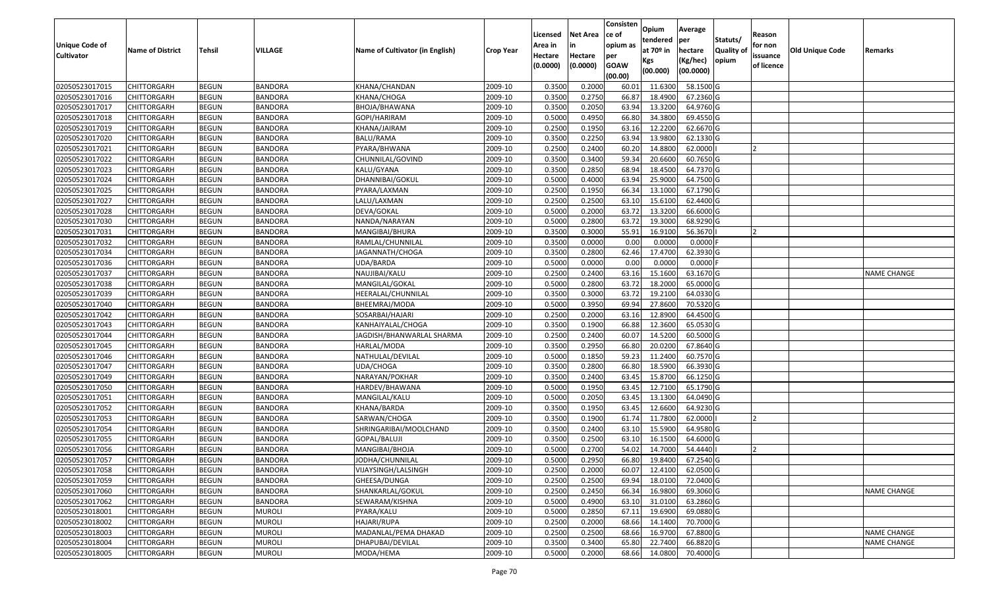|                                  |                                   |                              |                                  |                                      |                    | Licensed         | <b>Net Area</b>  | Consisten<br>lce of | Opium<br>tendered  | Average<br>per         | Statuts/         | Reason     |                        |                    |
|----------------------------------|-----------------------------------|------------------------------|----------------------------------|--------------------------------------|--------------------|------------------|------------------|---------------------|--------------------|------------------------|------------------|------------|------------------------|--------------------|
| Unique Code of                   | <b>Name of District</b>           | <b>Tehsil</b>                | <b>VILLAGE</b>                   | Name of Cultivator (in English)      | <b>Crop Year</b>   | Area in          |                  | opium as            | at $70°$ in        | hectare                | <b>Quality o</b> | for non    | <b>Old Unique Code</b> | Remarks            |
| <b>Cultivator</b>                |                                   |                              |                                  |                                      |                    | Hectare          | Hectare          | per                 | Kgs                | (Kg/hec)               | opium            | issuance   |                        |                    |
|                                  |                                   |                              |                                  |                                      |                    | (0.0000)         | (0.0000)         | <b>GOAW</b>         | (00.000)           | (00.0000)              |                  | of licence |                        |                    |
|                                  |                                   |                              |                                  |                                      |                    |                  |                  | (00.00)             |                    |                        |                  |            |                        |                    |
| 02050523017015                   | CHITTORGARH                       | <b>BEGUN</b>                 | <b>BANDORA</b>                   | KHANA/CHANDAN                        | 2009-10            | 0.3500           | 0.2000           | 60.01               | 11.6300            | 58.1500 G              |                  |            |                        |                    |
| 02050523017016                   | CHITTORGARH                       | <b>BEGUN</b>                 | <b>BANDORA</b>                   | KHANA/CHOGA                          | 2009-10            | 0.3500           | 0.2750           | 66.87               | 18.4900            | 67.2360 G              |                  |            |                        |                    |
| 02050523017017<br>02050523017018 | CHITTORGARH<br><b>CHITTORGARH</b> | <b>BEGUN</b><br><b>BEGUN</b> | <b>BANDORA</b><br><b>BANDORA</b> | BHOJA/BHAWANA                        | 2009-10<br>2009-10 | 0.3500<br>0.5000 | 0.2050<br>0.4950 | 63.94<br>66.80      | 13.3200<br>34.3800 | 64.9760 G<br>69.4550 G |                  |            |                        |                    |
| 02050523017019                   | CHITTORGARH                       | <b>BEGUN</b>                 | <b>BANDORA</b>                   | GOPI/HARIRAM<br>KHANA/JAIRAM         | 2009-10            | 0.2500           | 0.1950           | 63.1                | 12.2200            | 62.6670 G              |                  |            |                        |                    |
| 02050523017020                   | CHITTORGARH                       | <b>BEGUN</b>                 | <b>BANDORA</b>                   | BALU/RAMA                            | 2009-10            | 0.3500           | 0.2250           | 63.94               | 13.9800            | 62.1330 G              |                  |            |                        |                    |
| 02050523017021                   |                                   | <b>BEGUN</b>                 | <b>BANDORA</b>                   |                                      | 2009-10            | 0.2500           | 0.2400           | 60.20               | 14.8800            | 62.0000                |                  |            |                        |                    |
| 02050523017022                   | CHITTORGARH<br>CHITTORGARH        | <b>BEGUN</b>                 | <b>BANDORA</b>                   | PYARA/BHWANA<br>CHUNNILAL/GOVIND     | 2009-10            | 0.3500           | 0.3400           | 59.34               | 20.6600            | 60.7650 G              |                  |            |                        |                    |
| 02050523017023                   | CHITTORGARH                       | <b>BEGUN</b>                 | <b>BANDORA</b>                   | KALU/GYANA                           | 2009-10            | 0.3500           | 0.2850           | 68.94               | 18.4500            | 64.7370 G              |                  |            |                        |                    |
| 02050523017024                   | CHITTORGARH                       | <b>BEGUN</b>                 | <b>BANDORA</b>                   | DHANNIBAI/GOKUL                      | 2009-10            | 0.5000           | 0.4000           | 63.94               | 25.9000            | 64.7500 G              |                  |            |                        |                    |
| 02050523017025                   | CHITTORGARH                       | <b>BEGUN</b>                 | <b>BANDORA</b>                   |                                      | 2009-10            | 0.2500           | 0.1950           | 66.34               | 13.1000            | 67.1790 G              |                  |            |                        |                    |
| 02050523017027                   | CHITTORGARH                       | <b>BEGUN</b>                 | <b>BANDORA</b>                   | PYARA/LAXMAN<br>LALU/LAXMAN          | 2009-10            | 0.2500           | 0.2500           | 63.10               | 15.6100            | 62.4400 G              |                  |            |                        |                    |
|                                  |                                   |                              | <b>BANDORA</b>                   | DEVA/GOKAL                           |                    | 0.5000           | 0.2000           | 63.72               | 13.3200            | 66.6000 G              |                  |            |                        |                    |
| 02050523017028<br>02050523017030 | <b>CHITTORGARH</b>                | <b>BEGUN</b>                 | <b>BANDORA</b>                   |                                      | 2009-10            | 0.5000           | 0.2800           | 63.72               | 19.3000            | 68.9290 G              |                  |            |                        |                    |
|                                  | <b>CHITTORGARH</b>                | <b>BEGUN</b><br><b>BEGUN</b> | <b>BANDORA</b>                   | NANDA/NARAYAN                        | 2009-10            | 0.3500           | 0.3000           | 55.91               | 16.9100            | 56.3670                |                  |            |                        |                    |
| 02050523017031<br>02050523017032 | <b>CHITTORGARH</b><br>CHITTORGARH | <b>BEGUN</b>                 | <b>BANDORA</b>                   | MANGIBAI/BHURA<br>RAMLAL/CHUNNILAL   | 2009-10<br>2009-10 | 0.3500           | 0.0000           | 0.00                | 0.0000             | $0.0000$ F             |                  |            |                        |                    |
| 02050523017034                   | CHITTORGARH                       | <b>BEGUN</b>                 | <b>BANDORA</b>                   | JAGANNATH/CHOGA                      | 2009-10            | 0.3500           | 0.2800           | 62.46               | 17.4700            | 62.3930 G              |                  |            |                        |                    |
| 02050523017036                   | CHITTORGARH                       | <b>BEGUN</b>                 | <b>BANDORA</b>                   | UDA/BARDA                            | 2009-10            | 0.5000           | 0.0000           | 0.00                | 0.0000             | 0.0000F                |                  |            |                        |                    |
|                                  |                                   |                              |                                  |                                      |                    |                  |                  |                     |                    |                        |                  |            |                        |                    |
| 02050523017037                   | CHITTORGARH                       | <b>BEGUN</b><br><b>BEGUN</b> | <b>BANDORA</b><br><b>BANDORA</b> | NAUJIBAI/KALU                        | 2009-10<br>2009-10 | 0.2500<br>0.5000 | 0.2400<br>0.2800 | 63.16<br>63.72      | 15.1600<br>18.2000 | 63.1670 G<br>65.0000G  |                  |            |                        | <b>NAME CHANGE</b> |
| 02050523017038<br>02050523017039 | CHITTORGARH                       |                              | <b>BANDORA</b>                   | MANGILAL/GOKAL<br>HEERALAL/CHUNNILAL | 2009-10            | 0.3500           | 0.3000           | 63.72               | 19.2100            | 64.0330 G              |                  |            |                        |                    |
|                                  | CHITTORGARH                       | <b>BEGUN</b><br><b>BEGUN</b> | <b>BANDORA</b>                   |                                      | 2009-10            | 0.5000           | 0.3950           | 69.94               | 27.8600            | 70.5320 G              |                  |            |                        |                    |
| 02050523017040<br>02050523017042 | CHITTORGARH                       | <b>BEGUN</b>                 | <b>BANDORA</b>                   | BHEEMRAJ/MODA                        |                    | 0.2500           | 0.2000           | 63.16               | 12.8900            | 64.4500 G              |                  |            |                        |                    |
|                                  | CHITTORGARH                       |                              |                                  | SOSARBAI/HAJARI                      | 2009-10            | 0.3500           | 0.1900           | 66.88               | 12.3600            | 65.0530 G              |                  |            |                        |                    |
| 02050523017043                   | CHITTORGARH<br><b>CHITTORGARH</b> | <b>BEGUN</b>                 | <b>BANDORA</b>                   | KANHAIYALAL/CHOGA                    | 2009-10            |                  | 0.2400           |                     |                    |                        |                  |            |                        |                    |
| 02050523017044                   |                                   | <b>BEGUN</b>                 | <b>BANDORA</b>                   | JAGDISH/BHANWARLAL SHARMA            | 2009-10<br>2009-10 | 0.2500<br>0.3500 | 0.2950           | 60.07               | 14.5200<br>20.0200 | 60.5000 G<br>67.8640 G |                  |            |                        |                    |
| 02050523017045<br>02050523017046 | CHITTORGARH                       | <b>BEGUN</b><br><b>BEGUN</b> | <b>BANDORA</b><br><b>BANDORA</b> | HARLAL/MODA                          | 2009-10            | 0.5000           | 0.1850           | 66.80<br>59.23      | 11.2400            | 60.7570 G              |                  |            |                        |                    |
| 02050523017047                   | CHITTORGARH<br>CHITTORGARH        | <b>BEGUN</b>                 | <b>BANDORA</b>                   | NATHULAL/DEVILAL<br>JDA/CHOGA        | 2009-10            | 0.3500           | 0.2800           | 66.80               | 18.5900            | 66.3930 G              |                  |            |                        |                    |
| 02050523017049                   | CHITTORGARH                       | <b>BEGUN</b>                 | <b>BANDORA</b>                   | NARAYAN/POKHAR                       | 2009-10            | 0.3500           | 0.2400           | 63.45               | 15.8700            | 66.1250 G              |                  |            |                        |                    |
| 02050523017050                   | CHITTORGARH                       | <b>BEGUN</b>                 | <b>BANDORA</b>                   | HARDEV/BHAWANA                       | 2009-10            | 0.5000           | 0.1950           | 63.45               | 12.7100            | 65.1790 G              |                  |            |                        |                    |
| 02050523017051                   |                                   | <b>BEGUN</b>                 | <b>BANDORA</b>                   |                                      | 2009-10            | 0.5000           | 0.2050           | 63.45               | 13.1300            | 64.0490 G              |                  |            |                        |                    |
| 02050523017052                   | CHITTORGARH                       | <b>BEGUN</b>                 | <b>BANDORA</b>                   | MANGILAL/KALU<br>KHANA/BARDA         | 2009-10            | 0.3500           | 0.1950           | 63.45               | 12.6600            | 64.9230 G              |                  |            |                        |                    |
| 02050523017053                   | CHITTORGARH<br>CHITTORGARH        | <b>BEGUN</b>                 | <b>BANDORA</b>                   | SARWAN/CHOGA                         | 2009-10            | 0.3500           | 0.1900           | 61.7                | 11.7800            | 62.0000                |                  |            |                        |                    |
| 02050523017054                   | CHITTORGARH                       | <b>BEGUN</b>                 | <b>BANDORA</b>                   | SHRINGARIBAI/MOOLCHAND               | 2009-10            | 0.3500           | 0.2400           | 63.1                | 15.5900            | 64.9580 G              |                  |            |                        |                    |
| 02050523017055                   | CHITTORGARH                       | <b>BEGUN</b>                 | <b>BANDORA</b>                   | GOPAL/BALUJI                         | 2009-10            | 0.350            | 0.2500           | 63.1                | 16.1500            | 64.6000 G              |                  |            |                        |                    |
| 02050523017056                   | CHITTORGARH                       | <b>BEGUN</b>                 | <b>BANDORA</b>                   | MANGIBAI/BHOJA                       | 2009-10            | 0.5000           | 0.2700           | 54.02               | 14.7000            | 54.4440                |                  |            |                        |                    |
| 02050523017057                   | <b>CHITTORGARH</b>                | <b>BEGUN</b>                 | <b>BANDORA</b>                   | JODHA/CHUNNILAL                      | 2009-10            | 0.5000           | 0.2950           | 66.80               | 19.8400            | 67.2540 G              |                  |            |                        |                    |
|                                  |                                   |                              |                                  |                                      | 2009-10            | 0.2500           |                  | 60.07               |                    | 62.0500 G              |                  |            |                        |                    |
| 02050523017058<br>02050523017059 | <b>CHITTORGARH</b>                | <b>BEGUN</b>                 | <b>BANDORA</b>                   | VIJAYSINGH/LALSINGH                  |                    |                  | 0.2000           |                     | 12.4100            |                        |                  |            |                        |                    |
| 02050523017060                   | <b>CHITTORGARH</b>                | <b>BEGUN</b>                 | <b>BANDORA</b>                   | GHEESA/DUNGA                         | 2009-10            | 0.2500           | 0.2500           | 69.94               | 18.0100            | 72.0400 G              |                  |            |                        |                    |
|                                  | <b>CHITTORGARH</b>                | <b>BEGUN</b>                 | <b>BANDORA</b>                   | SHANKARLAL/GOKUL                     | 2009-10            | 0.2500           | 0.2450           | 66.34               | 16.9800            | 69.3060 G              |                  |            |                        | <b>NAME CHANGE</b> |
| 02050523017062<br>02050523018001 | CHITTORGARH<br><b>CHITTORGARH</b> | <b>BEGUN</b>                 | <b>BANDORA</b><br><b>MUROLI</b>  | SEWARAM/KISHNA<br>PYARA/KALU         | 2009-10            | 0.5000<br>0.5000 | 0.4900<br>0.2850 | 63.10<br>67.11      | 31.0100<br>19.6900 | 63.2860 G<br>69.0880 G |                  |            |                        |                    |
|                                  |                                   | <b>BEGUN</b>                 |                                  |                                      | 2009-10            |                  |                  |                     |                    |                        |                  |            |                        |                    |
| 02050523018002                   | <b>CHITTORGARH</b>                | <b>BEGUN</b>                 | <b>MUROLI</b>                    | HAJARI/RUPA                          | 2009-10            | 0.2500           | 0.2000           | 68.66               | 14.1400            | 70.7000 G<br>67.8800 G |                  |            |                        |                    |
| 02050523018003                   | <b>CHITTORGARH</b>                | <b>BEGUN</b>                 | <b>MUROLI</b>                    | MADANLAL/PEMA DHAKAD                 | 2009-10            | 0.2500           | 0.2500           | 68.66               | 16.9700            |                        |                  |            |                        | <b>NAME CHANGE</b> |
| 02050523018004                   | <b>CHITTORGARH</b>                | <b>BEGUN</b>                 | <b>MUROLI</b>                    | DHAPUBAI/DEVILAL                     | 2009-10            | 0.3500           | 0.3400           | 65.80               | 22.7400            | 66.8820 G              |                  |            |                        | NAME CHANGE        |
| 02050523018005                   | <b>CHITTORGARH</b>                | <b>BEGUN</b>                 | <b>MUROLI</b>                    | MODA/HEMA                            | 2009-10            | 0.5000           | 0.2000           | 68.66               | 14.0800            | 70.4000 G              |                  |            |                        |                    |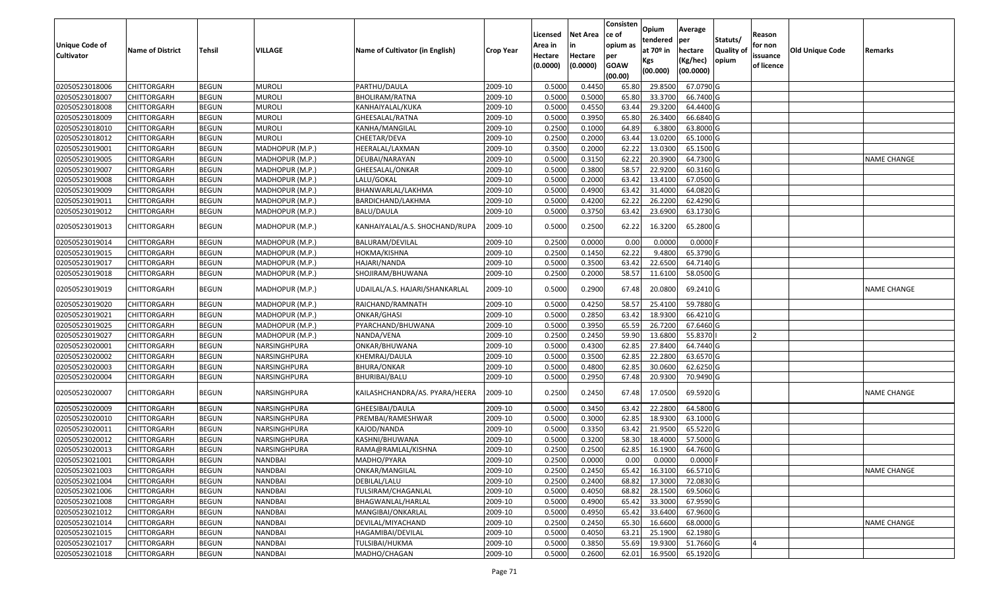|                       |                         |               |                 |                                 |                  | Licensed | <b>Net Area</b> | Consisten<br>ce of | Opium       | Average    |                  | Reason     |                        |                    |
|-----------------------|-------------------------|---------------|-----------------|---------------------------------|------------------|----------|-----------------|--------------------|-------------|------------|------------------|------------|------------------------|--------------------|
| <b>Unique Code of</b> |                         |               |                 |                                 |                  | Area in  |                 | opium as           | tendered    | per        | Statuts/         | for non    |                        |                    |
| <b>Cultivator</b>     | <b>Name of District</b> | <b>Tehsil</b> | VILLAGE         | Name of Cultivator (in English) | <b>Crop Year</b> | Hectare  | Hectare         | per                | at $70°$ in | hectare    | <b>Quality o</b> | issuance   | <b>Old Unique Code</b> | Remarks            |
|                       |                         |               |                 |                                 |                  | (0.0000) | (0.0000)        | <b>GOAW</b>        | Kgs         | (Kg/hec)   | opium            | of licence |                        |                    |
|                       |                         |               |                 |                                 |                  |          |                 | (00.00)            | (00.000)    | (00.0000)  |                  |            |                        |                    |
| 02050523018006        | CHITTORGARH             | <b>BEGUN</b>  | <b>MUROLI</b>   | PARTHU/DAULA                    | 2009-10          | 0.5000   | 0.4450          | 65.80              | 29.8500     | 67.0790G   |                  |            |                        |                    |
| 02050523018007        | CHITTORGARH             | <b>BEGUN</b>  | <b>MUROLI</b>   | BHOLIRAM/RATNA                  | 2009-10          | 0.5000   | 0.5000          | 65.80              | 33.3700     | 66.7400 G  |                  |            |                        |                    |
| 02050523018008        | CHITTORGARH             | <b>BEGUN</b>  | <b>MUROLI</b>   | KANHAIYALAL/KUKA                | 2009-10          | 0.5000   | 0.4550          | 63.44              | 29.3200     | 64.4400 G  |                  |            |                        |                    |
| 02050523018009        | CHITTORGARH             | <b>BEGUN</b>  | <b>MUROLI</b>   | GHEESALAL/RATNA                 | 2009-10          | 0.5000   | 0.3950          | 65.80              | 26.3400     | 66.6840 G  |                  |            |                        |                    |
| 02050523018010        | CHITTORGARH             | <b>BEGUN</b>  | <b>MUROLI</b>   | KANHA/MANGILAL                  | 2009-10          | 0.2500   | 0.1000          | 64.89              | 6.3800      | 63.8000 G  |                  |            |                        |                    |
| 02050523018012        | CHITTORGARH             | <b>BEGUN</b>  | <b>MUROLI</b>   | CHEETAR/DEVA                    | 2009-10          | 0.2500   | 0.2000          | 63.44              | 13.0200     | 65.1000 G  |                  |            |                        |                    |
| 02050523019001        | CHITTORGARH             | <b>BEGUN</b>  | MADHOPUR (M.P.) | HEERALAL/LAXMAN                 | 2009-10          | 0.3500   | 0.2000          | 62.22              | 13.0300     | 65.1500 G  |                  |            |                        |                    |
| 02050523019005        | CHITTORGARH             | <b>BEGUN</b>  | MADHOPUR (M.P.) | DEUBAI/NARAYAN                  | 2009-10          | 0.5000   | 0.3150          | 62.22              | 20.3900     | 64.7300 G  |                  |            |                        | <b>NAME CHANGE</b> |
| 02050523019007        | <b>CHITTORGARH</b>      | <b>BEGUN</b>  | MADHOPUR (M.P.) | GHEESALAL/ONKAR                 | 2009-10          | 0.5000   | 0.3800          | 58.57              | 22.9200     | 60.3160 G  |                  |            |                        |                    |
| 02050523019008        | CHITTORGARH             | <b>BEGUN</b>  | MADHOPUR (M.P.) | LALU/GOKAL                      | 2009-10          | 0.5000   | 0.2000          | 63.42              | 13.4100     | 67.0500 G  |                  |            |                        |                    |
| 02050523019009        | CHITTORGARH             | <b>BEGUN</b>  | MADHOPUR (M.P.) | BHANWARLAL/LAKHMA               | 2009-10          | 0.5000   | 0.4900          | 63.42              | 31.4000     | 64.0820 G  |                  |            |                        |                    |
| 02050523019011        | <b>CHITTORGARH</b>      | <b>BEGUN</b>  | MADHOPUR (M.P.) | BARDICHAND/LAKHMA               | 2009-10          | 0.5000   | 0.4200          | 62.22              | 26.2200     | 62.4290 G  |                  |            |                        |                    |
| 02050523019012        | <b>CHITTORGARH</b>      | <b>BEGUN</b>  | MADHOPUR (M.P.) | BALU/DAULA                      | 2009-10          | 0.5000   | 0.3750          | 63.42              | 23.6900     | 63.1730 G  |                  |            |                        |                    |
| 02050523019013        | CHITTORGARH             | <b>BEGUN</b>  | MADHOPUR (M.P.) | KANHAIYALAL/A.S. SHOCHAND/RUPA  | 2009-10          | 0.5000   | 0.2500          | 62.22              | 16.3200     | 65.2800 G  |                  |            |                        |                    |
| 02050523019014        | <b>CHITTORGARH</b>      | <b>BEGUN</b>  | MADHOPUR (M.P.) | BALURAM/DEVILAL                 | 2009-10          | 0.2500   | 0.0000          | 0.00               | 0.0000      | $0.0000$ F |                  |            |                        |                    |
| 02050523019015        | CHITTORGARH             | <b>BEGUN</b>  | MADHOPUR (M.P.) | HOKMA/KISHNA                    | 2009-10          | 0.2500   | 0.1450          | 62.22              | 9.4800      | 65.3790 G  |                  |            |                        |                    |
| 02050523019017        | CHITTORGARH             | <b>BEGUN</b>  | MADHOPUR (M.P.) | HAJARI/NANDA                    | 2009-10          | 0.5000   | 0.3500          | 63.42              | 22.6500     | 64.7140 G  |                  |            |                        |                    |
| 02050523019018        | CHITTORGARH             | <b>BEGUN</b>  | MADHOPUR (M.P.) | SHOJIRAM/BHUWANA                | 2009-10          | 0.2500   | 0.2000          | 58.57              | 11.6100     | 58.0500 G  |                  |            |                        |                    |
| 02050523019019        | CHITTORGARH             | <b>BEGUN</b>  | MADHOPUR (M.P.) | UDAILAL/A.S. HAJARI/SHANKARLAL  | 2009-10          | 0.5000   | 0.2900          | 67.48              | 20.0800     | 69.2410 G  |                  |            |                        | <b>NAME CHANGE</b> |
| 02050523019020        | CHITTORGARH             | <b>BEGUN</b>  | MADHOPUR (M.P.) | RAICHAND/RAMNATH                | 2009-10          | 0.5000   | 0.4250          | 58.57              | 25.4100     | 59.7880 G  |                  |            |                        |                    |
| 02050523019021        | CHITTORGARH             | <b>BEGUN</b>  | MADHOPUR (M.P.) | ONKAR/GHASI                     | 2009-10          | 0.5000   | 0.2850          | 63.42              | 18.9300     | 66.4210 G  |                  |            |                        |                    |
| 02050523019025        | CHITTORGARH             | <b>BEGUN</b>  | MADHOPUR (M.P.) | PYARCHAND/BHUWANA               | 2009-10          | 0.5000   | 0.3950          | 65.59              | 26.7200     | 67.6460 G  |                  |            |                        |                    |
| 02050523019027        | CHITTORGARH             | <b>BEGUN</b>  | MADHOPUR (M.P.) | NANDA/VENA                      | 2009-10          | 0.2500   | 0.2450          | 59.90              | 13.6800     | 55.8370    |                  |            |                        |                    |
| 02050523020001        | CHITTORGARH             | <b>BEGUN</b>  | NARSINGHPURA    | ONKAR/BHUWANA                   | 2009-10          | 0.5000   | 0.4300          | 62.85              | 27.8400     | 64.7440 G  |                  |            |                        |                    |
| 02050523020002        | CHITTORGARH             | <b>BEGUN</b>  | NARSINGHPURA    | KHEMRAJ/DAULA                   | 2009-10          | 0.5000   | 0.3500          | 62.85              | 22.2800     | 63.6570 G  |                  |            |                        |                    |
| 02050523020003        | CHITTORGARH             | <b>BEGUN</b>  | NARSINGHPURA    | BHURA/ONKAR                     | 2009-10          | 0.5000   | 0.4800          | 62.85              | 30.0600     | 62.6250 G  |                  |            |                        |                    |
| 02050523020004        | CHITTORGARH             | <b>BEGUN</b>  | NARSINGHPURA    | BHURIBAI/BALU                   | 2009-10          | 0.5000   | 0.2950          | 67.48              | 20.9300     | 70.9490 G  |                  |            |                        |                    |
| 02050523020007        | CHITTORGARH             | <b>BEGUN</b>  | NARSINGHPURA    | KAILASHCHANDRA/AS. PYARA/HEERA  | 2009-10          | 0.2500   | 0.2450          | 67.48              | 17.0500     | 69.5920 G  |                  |            |                        | <b>NAME CHANGE</b> |
| 02050523020009        | <b>CHITTORGARH</b>      | <b>BEGUN</b>  | NARSINGHPURA    | GHEESIBAI/DAULA                 | 2009-10          | 0.5000   | 0.3450          | 63.42              | 22.2800     | 64.5800 G  |                  |            |                        |                    |
| 02050523020010        | CHITTORGARH             | <b>BEGUN</b>  | NARSINGHPURA    | PREMBAI/RAMESHWAR               | 2009-10          | 0.5000   | 0.3000          | 62.85              | 18.9300     | 63.1000G   |                  |            |                        |                    |
| 02050523020011        | <b>CHITTORGARH</b>      | <b>BEGUN</b>  | NARSINGHPURA    | KAJOD/NANDA                     | 2009-10          | 0.5000   | 0.3350          | 63.42              | 21.9500     | 65.5220 G  |                  |            |                        |                    |
| 02050523020012        | CHITTORGARH             | <b>BEGUN</b>  | NARSINGHPURA    | KASHNI/BHUWANA                  | 2009-10          | 0.500    | 0.3200          | 58.30              | 18.4000     | 57.5000 G  |                  |            |                        |                    |
| 02050523020013        | CHITTORGARH             | <b>BEGUN</b>  | NARSINGHPURA    | RAMA@RAMLAL/KISHNA              | 2009-10          | 0.2500   | 0.2500          | 62.85              | 16.1900     | 64.7600 G  |                  |            |                        |                    |
| 02050523021001        | <b>CHITTORGARH</b>      | <b>BEGUN</b>  | <b>NANDBAI</b>  | MADHO/PYARA                     | 2009-10          | 0.2500   | 0.0000          | 0.00               | 0.0000      | $0.0000$ F |                  |            |                        |                    |
| 02050523021003        | <b>CHITTORGARH</b>      | <b>BEGUN</b>  | <b>NANDBAI</b>  | ONKAR/MANGILAL                  | 2009-10          | 0.2500   | 0.2450          | 65.42              | 16.3100     | 66.5710 G  |                  |            |                        | <b>NAME CHANGE</b> |
| 02050523021004        | <b>CHITTORGARH</b>      | <b>BEGUN</b>  | <b>NANDBAI</b>  | DEBILAL/LALU                    | 2009-10          | 0.2500   | 0.2400          | 68.82              | 17.3000     | 72.0830 G  |                  |            |                        |                    |
| 02050523021006        | <b>CHITTORGARH</b>      | <b>BEGUN</b>  | NANDBAI         | TULSIRAM/CHAGANLAL              | 2009-10          | 0.5000   | 0.4050          | 68.82              | 28.1500     | 69.5060 G  |                  |            |                        |                    |
| 02050523021008        | <b>CHITTORGARH</b>      | <b>BEGUN</b>  | NANDBAI         | BHAGWANLAL/HARLAL               | 2009-10          | 0.5000   | 0.4900          | 65.42              | 33.3000     | 67.9590 G  |                  |            |                        |                    |
| 02050523021012        | <b>CHITTORGARH</b>      | <b>BEGUN</b>  | <b>NANDBAI</b>  | MANGIBAI/ONKARLAL               | 2009-10          | 0.5000   | 0.4950          | 65.42              | 33.6400     | 67.9600 G  |                  |            |                        |                    |
| 02050523021014        | <b>CHITTORGARH</b>      | <b>BEGUN</b>  | <b>NANDBAI</b>  | DEVILAL/MIYACHAND               | 2009-10          | 0.2500   | 0.2450          | 65.30              | 16.6600     | 68.0000 G  |                  |            |                        | <b>NAME CHANGE</b> |
| 02050523021015        | <b>CHITTORGARH</b>      | <b>BEGUN</b>  | <b>NANDBAI</b>  | HAGAMIBAI/DEVILAL               | 2009-10          | 0.5000   | 0.4050          | 63.21              | 25.1900     | 62.1980 G  |                  |            |                        |                    |
| 02050523021017        | CHITTORGARH             | <b>BEGUN</b>  | NANDBAI         | TULSIBAI/HUKMA                  | 2009-10          | 0.5000   | 0.3850          | 55.69              | 19.9300     | 51.7660 G  |                  |            |                        |                    |
| 02050523021018        | <b>CHITTORGARH</b>      | <b>BEGUN</b>  | NANDBAI         | MADHO/CHAGAN                    | 2009-10          | 0.5000   | 0.2600          | 62.01              | 16.9500     | 65.1920 G  |                  |            |                        |                    |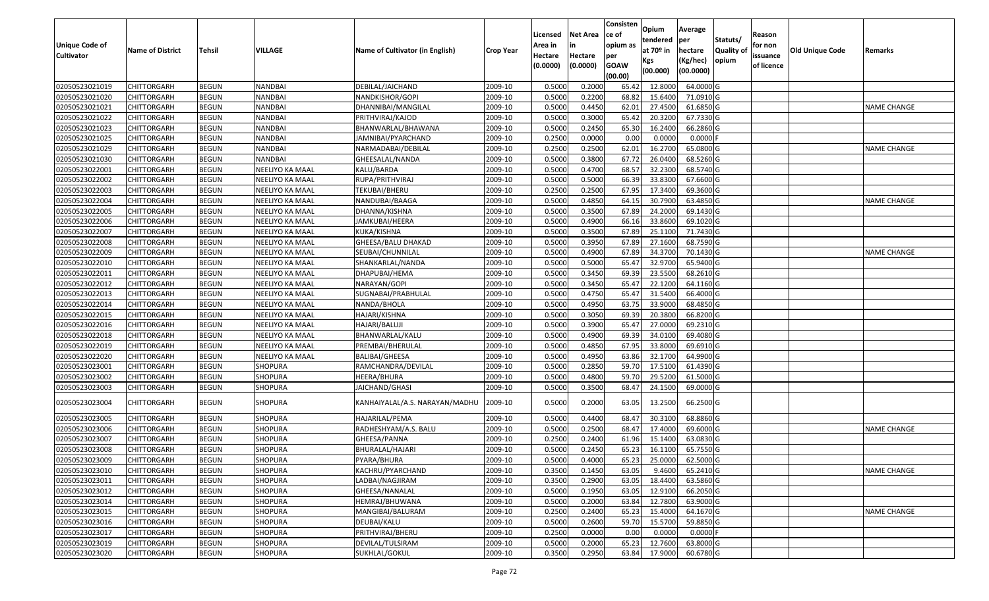|                                            |                         |               |                 |                                 |           | Licensed           | <b>Net Area</b> | Consisten<br>ce of     | Opium<br>tendered | Average<br><b>per</b> | Statuts/          | Reason              |                        |                    |
|--------------------------------------------|-------------------------|---------------|-----------------|---------------------------------|-----------|--------------------|-----------------|------------------------|-------------------|-----------------------|-------------------|---------------------|------------------------|--------------------|
| <b>Unique Code of</b><br><b>Cultivator</b> | <b>Name of District</b> | <b>Tehsil</b> | VILLAGE         | Name of Cultivator (in English) | Crop Year | Area in<br>Hectare | in<br>Hectare   | opium as<br>per        | at 70º in         | hectare               | <b>Quality of</b> | for non<br>issuance | <b>Old Unique Code</b> | Remarks            |
|                                            |                         |               |                 |                                 |           | (0.0000)           | (0.0000)        | <b>GOAW</b><br>(00.00) | Kgs<br>(00.000)   | (Kg/hec)<br>(00.0000) | opium             | of licence          |                        |                    |
| 02050523021019                             | <b>CHITTORGARH</b>      | <b>BEGUN</b>  | NANDBAI         | DEBILAL/JAICHAND                | 2009-10   | 0.5000             | 0.2000          | 65.42                  | 12.8000           | 64.0000 G             |                   |                     |                        |                    |
| 02050523021020                             | <b>CHITTORGARH</b>      | <b>BEGUN</b>  | NANDBAI         | NANDKISHOR/GOPI                 | 2009-10   | 0.5000             | 0.2200          | 68.82                  | 15.6400           | 71.0910 G             |                   |                     |                        |                    |
| 02050523021021                             | <b>CHITTORGARH</b>      | <b>BEGUN</b>  | NANDBAI         | DHANNIBAI/MANGILAL              | 2009-10   | 0.5000             | 0.4450          | 62.01                  | 27.4500           | 61.6850 G             |                   |                     |                        | NAME CHANGE        |
| 02050523021022                             | <b>CHITTORGARH</b>      | <b>BEGUN</b>  | NANDBAI         | PRITHVIRAJ/KAJOD                | 2009-10   | 0.5000             | 0.3000          | 65.42                  | 20.3200           | 67.7330 G             |                   |                     |                        |                    |
| 02050523021023                             | <b>CHITTORGARH</b>      | <b>BEGUN</b>  | NANDBAI         | BHANWARLAL/BHAWANA              | 2009-10   | 0.5000             | 0.2450          | 65.30                  | 16.2400           | 66.2860 G             |                   |                     |                        |                    |
| 02050523021025                             | <b>CHITTORGARH</b>      | <b>BEGUN</b>  | NANDBAI         | JAMNIBAI/PYARCHAND              | 2009-10   | 0.2500             | 0.0000          | 0.00                   | 0.0000            | $0.0000$ F            |                   |                     |                        |                    |
| 02050523021029                             | <b>CHITTORGARH</b>      | <b>BEGUN</b>  | NANDBAI         | NARMADABAI/DEBILAL              | 2009-10   | 0.2500             | 0.2500          | 62.01                  | 16.2700           | 65.0800 G             |                   |                     |                        | <b>NAME CHANGE</b> |
| 02050523021030                             | <b>CHITTORGARH</b>      | <b>BEGUN</b>  | NANDBAI         | GHEESALAL/NANDA                 | 2009-10   | 0.5000             | 0.3800          | 67.72                  | 26.0400           | 68.5260 G             |                   |                     |                        |                    |
| 02050523022001                             | <b>CHITTORGARH</b>      | <b>BEGUN</b>  | NEELIYO KA MAAL | KALU/BARDA                      | 2009-10   | 0.5000             | 0.4700          | 68.57                  | 32.2300           | 68.5740 G             |                   |                     |                        |                    |
| 02050523022002                             | <b>CHITTORGARH</b>      | <b>BEGUN</b>  | NEELIYO KA MAAL | RUPA/PRITHVIRAJ                 | 2009-10   | 0.5000             | 0.5000          | 66.39                  | 33.8300           | 67.6600 G             |                   |                     |                        |                    |
| 02050523022003                             | <b>CHITTORGARH</b>      | <b>BEGUN</b>  | NEELIYO KA MAAL | TEKUBAI/BHERU                   | 2009-10   | 0.2500             | 0.2500          | 67.95                  | 17.3400           | 69.3600 G             |                   |                     |                        |                    |
| 02050523022004                             | <b>CHITTORGARH</b>      | <b>BEGUN</b>  | NEELIYO KA MAAL | NANDUBAI/BAAGA                  | 2009-10   | 0.5000             | 0.4850          | 64.1                   | 30.7900           | 63.4850 G             |                   |                     |                        | NAME CHANGE        |
| 02050523022005                             | <b>CHITTORGARH</b>      | <b>BEGUN</b>  | NEELIYO KA MAAL | DHANNA/KISHNA                   | 2009-10   | 0.5000             | 0.3500          | 67.89                  | 24.2000           | 69.1430 G             |                   |                     |                        |                    |
| 02050523022006                             | <b>CHITTORGARH</b>      | <b>BEGUN</b>  | NEELIYO KA MAAL | JAMKUBAI/HEERA                  | 2009-10   | 0.5000             | 0.4900          | 66.16                  | 33.8600           | 69.1020 G             |                   |                     |                        |                    |
| 02050523022007                             | <b>CHITTORGARH</b>      | <b>BEGUN</b>  | NEELIYO KA MAAL | KUKA/KISHNA                     | 2009-10   | 0.5000             | 0.3500          | 67.89                  | 25.1100           | 71.7430 G             |                   |                     |                        |                    |
| 02050523022008                             | <b>CHITTORGARH</b>      | <b>BEGUN</b>  | NEELIYO KA MAAL | GHEESA/BALU DHAKAD              | 2009-10   | 0.5000             | 0.3950          | 67.89                  | 27.1600           | 68.7590 G             |                   |                     |                        |                    |
| 02050523022009                             | <b>CHITTORGARH</b>      | <b>BEGUN</b>  | NEELIYO KA MAAL | SEUBAI/CHUNNILAL                | 2009-10   | 0.5000             | 0.4900          | 67.89                  | 34.3700           | 70.1430 G             |                   |                     |                        | <b>NAME CHANGE</b> |
| 02050523022010                             | <b>CHITTORGARH</b>      | <b>BEGUN</b>  | NEELIYO KA MAAL | SHANKARLAL/NANDA                | 2009-10   | 0.5000             | 0.5000          | 65.47                  | 32.9700           | 65.9400 G             |                   |                     |                        |                    |
| 02050523022011                             | <b>CHITTORGARH</b>      | <b>BEGUN</b>  | NEELIYO KA MAAL | DHAPUBAI/HEMA                   | 2009-10   | 0.5000             | 0.3450          | 69.39                  | 23.5500           | 68.2610 G             |                   |                     |                        |                    |
| 02050523022012                             | <b>CHITTORGARH</b>      | <b>BEGUN</b>  | NEELIYO KA MAAL | NARAYAN/GOPI                    | 2009-10   | 0.5000             | 0.3450          | 65.4                   | 22.1200           | 64.1160 G             |                   |                     |                        |                    |
| 02050523022013                             | <b>CHITTORGARH</b>      | <b>BEGUN</b>  | NEELIYO KA MAAL | SUGNABAI/PRABHULAL              | 2009-10   | 0.5000             | 0.4750          | 65.47                  | 31.5400           | 66.4000 G             |                   |                     |                        |                    |
| 02050523022014                             | <b>CHITTORGARH</b>      | <b>BEGUN</b>  | NEELIYO KA MAAL | NANDA/BHOLA                     | 2009-10   | 0.5000             | 0.4950          | 63.75                  | 33.9000           | 68.4850 G             |                   |                     |                        |                    |
| 02050523022015                             | <b>CHITTORGARH</b>      | <b>BEGUN</b>  | NEELIYO KA MAAL | HAJARI/KISHNA                   | 2009-10   | 0.5000             | 0.3050          | 69.39                  | 20.3800           | 66.8200 G             |                   |                     |                        |                    |
| 02050523022016                             | <b>CHITTORGARH</b>      | <b>BEGUN</b>  | NEELIYO KA MAAL | HAJARI/BALUJI                   | 2009-10   | 0.5000             | 0.3900          | 65.4                   | 27.0000           | 69.2310 G             |                   |                     |                        |                    |
| 02050523022018                             | <b>CHITTORGARH</b>      | <b>BEGUN</b>  | NEELIYO KA MAAL | BHANWARLAL/KALU                 | 2009-10   | 0.5000             | 0.4900          | 69.39                  | 34.0100           | 69.4080 G             |                   |                     |                        |                    |
| 02050523022019                             | <b>CHITTORGARH</b>      | <b>BEGUN</b>  | NEELIYO KA MAAL | PREMBAI/BHERULAL                | 2009-10   | 0.5000             | 0.4850          | 67.95                  | 33.8000           | 69.6910 G             |                   |                     |                        |                    |
| 02050523022020                             | <b>CHITTORGARH</b>      | <b>BEGUN</b>  | NEELIYO KA MAAL | <b>BALIBAI/GHEESA</b>           | 2009-10   | 0.5000             | 0.4950          | 63.86                  | 32.1700           | 64.9900 G             |                   |                     |                        |                    |
| 02050523023001                             | <b>CHITTORGARH</b>      | <b>BEGUN</b>  | SHOPURA         | RAMCHANDRA/DEVILAL              | 2009-10   | 0.5000             | 0.2850          | 59.70                  | 17.5100           | 61.4390 G             |                   |                     |                        |                    |
| 02050523023002                             | <b>CHITTORGARH</b>      | <b>BEGUN</b>  | SHOPURA         | HEERA/BHURA                     | 2009-10   | 0.5000             | 0.4800          | 59.70                  | 29.5200           | 61.5000 G             |                   |                     |                        |                    |
| 02050523023003                             | <b>CHITTORGARH</b>      | <b>BEGUN</b>  | SHOPURA         | JAICHAND/GHASI                  | 2009-10   | 0.5000             | 0.3500          | 68.47                  | 24.1500           | 69.0000 G             |                   |                     |                        |                    |
| 02050523023004                             | <b>CHITTORGARH</b>      | <b>BEGUN</b>  | SHOPURA         | KANHAIYALAL/A.S. NARAYAN/MADHU  | 2009-10   | 0.5000             | 0.2000          | 63.05                  | 13.2500           | 66.2500 G             |                   |                     |                        |                    |
| 02050523023005                             | <b>CHITTORGARH</b>      | <b>BEGUN</b>  | SHOPURA         | HAJARILAL/PEMA                  | 2009-10   | 0.5000             | 0.4400          | 68.4                   | 30.3100           | 68.8860 G             |                   |                     |                        |                    |
| 02050523023006                             | <b>CHITTORGARH</b>      | <b>BEGUN</b>  | SHOPURA         | RADHESHYAM/A.S. BALU            | 2009-10   | 0.5000             | 0.2500          | 68.47                  | 17.4000           | 69.6000 G             |                   |                     |                        | <b>NAME CHANGE</b> |
| 02050523023007                             | <b>CHITTORGARH</b>      | <b>BEGUN</b>  | SHOPURA         | GHEESA/PANNA                    | 2009-10   | 0.2500             | 0.2400          | 61.96                  | 15.1400           | 63.0830 G             |                   |                     |                        |                    |
| 02050523023008                             | <b>CHITTORGARH</b>      | <b>BEGUN</b>  | SHOPURA         | BHURALAL/HAJARI                 | 2009-10   | 0.5000             | 0.2450          | 65.23                  | 16.1100           | 65.7550 G             |                   |                     |                        |                    |
| 02050523023009                             | <b>CHITTORGARH</b>      | <b>BEGUN</b>  | <b>SHOPURA</b>  | PYARA/BHURA                     | 2009-10   | 0.5000             | 0.4000          | 65.23                  | 25.0000           | 62.5000 G             |                   |                     |                        |                    |
| 02050523023010                             | CHITTORGARH             | <b>BEGUN</b>  | SHOPURA         | KACHRU/PYARCHAND                | 2009-10   | 0.3500             | 0.1450          | 63.05                  | 9.4600            | 65.2410 G             |                   |                     |                        | <b>NAME CHANGE</b> |
| 02050523023011                             | <b>CHITTORGARH</b>      | <b>BEGUN</b>  | SHOPURA         | LADBAI/NAGJIRAM                 | 2009-10   | 0.3500             | 0.2900          | 63.05                  | 18.4400           | 63.5860 G             |                   |                     |                        |                    |
| 02050523023012                             | <b>CHITTORGARH</b>      | <b>BEGUN</b>  | SHOPURA         | GHEESA/NANALAL                  | 2009-10   | 0.5000             | 0.1950          | 63.05                  | 12.9100           | 66.2050 G             |                   |                     |                        |                    |
| 02050523023014                             | <b>CHITTORGARH</b>      | <b>BEGUN</b>  | SHOPURA         | HEMRAJ/BHUWANA                  | 2009-10   | 0.5000             | 0.2000          | 63.84                  | 12.7800           | 63.9000 G             |                   |                     |                        |                    |
| 02050523023015                             | <b>CHITTORGARH</b>      | BEGUN         | SHOPURA         | MANGIBAI/BALURAM                | 2009-10   | 0.2500             | 0.2400          | 65.23                  | 15.4000           | 64.1670 G             |                   |                     |                        | <b>NAME CHANGE</b> |
| 02050523023016                             | <b>CHITTORGARH</b>      | <b>BEGUN</b>  | SHOPURA         | DEUBAI/KALU                     | 2009-10   | 0.5000             | 0.2600          | 59.70                  | 15.5700           | 59.8850 G             |                   |                     |                        |                    |
| 02050523023017                             | <b>CHITTORGARH</b>      | <b>BEGUN</b>  | SHOPURA         | PRITHVIRAJ/BHERU                | 2009-10   | 0.2500             | 0.0000          | 0.00                   | 0.0000            | $0.0000$ F            |                   |                     |                        |                    |
| 02050523023019                             | <b>CHITTORGARH</b>      | <b>BEGUN</b>  | SHOPURA         | DEVILAL/TULSIRAM                | 2009-10   | 0.5000             | 0.2000          | 65.23                  | 12.7600           | 63.8000 G             |                   |                     |                        |                    |
| 02050523023020                             | <b>CHITTORGARH</b>      | <b>BEGUN</b>  | SHOPURA         | SUKHLAL/GOKUL                   | 2009-10   | 0.3500             | 0.2950          | 63.84                  | 17.9000           | 60.6780 G             |                   |                     |                        |                    |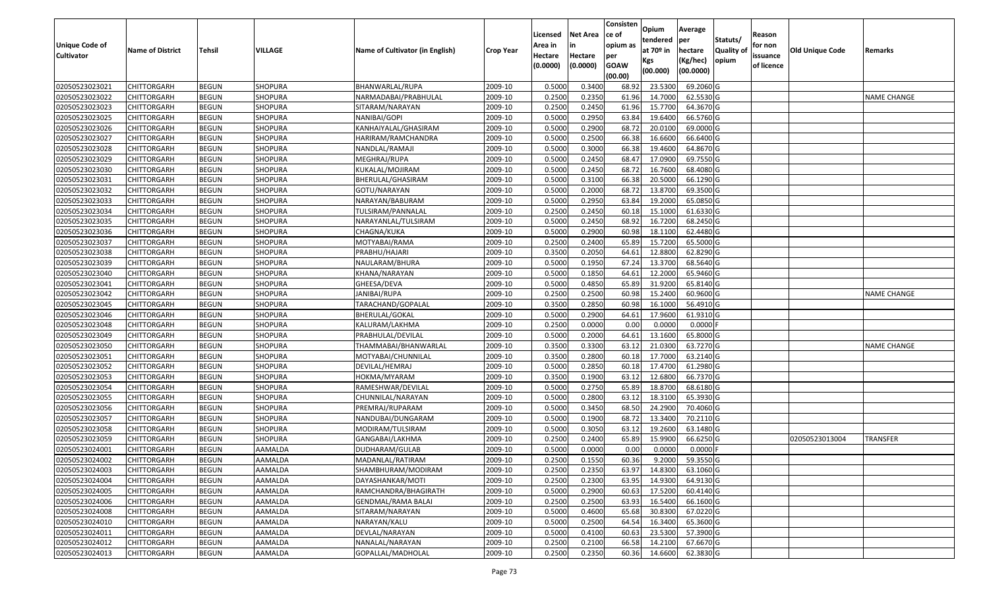|                                  |                            |                              |                |                                 |                    | Licensed | <b>Net Area</b> | Consisten<br>ce of | Opium                   | Average                | Statuts/         | Reason     |                        |                    |
|----------------------------------|----------------------------|------------------------------|----------------|---------------------------------|--------------------|----------|-----------------|--------------------|-------------------------|------------------------|------------------|------------|------------------------|--------------------|
| <b>Unique Code of</b>            | <b>Name of District</b>    | <b>Tehsil</b>                | VILLAGE        | Name of Cultivator (in English) | <b>Crop Year</b>   | Area in  |                 | opium as           | tendered<br>at $70°$ in | per<br>hectare         | <b>Quality o</b> | for non    | <b>Old Unique Code</b> | Remarks            |
| <b>Cultivator</b>                |                            |                              |                |                                 |                    | Hectare  | Hectare         | per                | Kgs                     | (Kg/hec)               | opium            | issuance   |                        |                    |
|                                  |                            |                              |                |                                 |                    | (0.0000) | (0.0000)        | <b>GOAW</b>        | (00.000)                | (00.0000)              |                  | of licence |                        |                    |
| 02050523023021                   | CHITTORGARH                | <b>BEGUN</b>                 | <b>SHOPURA</b> | BHANWARLAL/RUPA                 | 2009-10            | 0.5000   | 0.3400          | (00.00)<br>68.92   | 23.5300                 | 69.2060 G              |                  |            |                        |                    |
| 02050523023022                   | CHITTORGARH                | <b>BEGUN</b>                 | SHOPURA        | NARMADABAI/PRABHULAL            | 2009-10            | 0.2500   | 0.2350          | 61.96              | 14.7000                 | 62.5530 G              |                  |            |                        | <b>NAME CHANGE</b> |
| 02050523023023                   | CHITTORGARH                | <b>BEGUN</b>                 | <b>SHOPURA</b> | SITARAM/NARAYAN                 | 2009-10            | 0.2500   | 0.2450          | 61.96              | 15.7700                 | 64.3670 G              |                  |            |                        |                    |
| 02050523023025                   | <b>CHITTORGARH</b>         | <b>BEGUN</b>                 | SHOPURA        | NANIBAI/GOPI                    | 2009-10            | 0.5000   | 0.2950          | 63.84              | 19.6400                 | 66.5760 G              |                  |            |                        |                    |
| 02050523023026                   | CHITTORGARH                | <b>BEGUN</b>                 | <b>SHOPURA</b> | KANHAIYALAL/GHASIRAM            | 2009-10            | 0.5000   | 0.2900          | 68.72              | 20.0100                 | 69.0000G               |                  |            |                        |                    |
| 02050523023027                   | CHITTORGARH                | <b>BEGUN</b>                 | SHOPURA        | HARIRAM/RAMCHANDRA              | 2009-10            | 0.5000   | 0.2500          | 66.38              | 16.6600                 | 66.6400 G              |                  |            |                        |                    |
| 02050523023028                   | CHITTORGARH                | <b>BEGUN</b>                 | SHOPURA        | NANDLAL/RAMAJI                  | 2009-10            | 0.5000   | 0.3000          | 66.38              | 19.4600                 | 64.8670 G              |                  |            |                        |                    |
| 02050523023029                   | CHITTORGARH                | <b>BEGUN</b>                 | SHOPURA        | MEGHRAJ/RUPA                    | 2009-10            | 0.5000   | 0.2450          | 68.47              | 17.0900                 | 69.7550G               |                  |            |                        |                    |
| 02050523023030                   | CHITTORGARH                | <b>BEGUN</b>                 | <b>SHOPURA</b> | KUKALAL/MOJIRAM                 | 2009-10            | 0.5000   | 0.2450          | 68.72              | 16.7600                 | 68.4080 G              |                  |            |                        |                    |
| 02050523023031                   | CHITTORGARH                | <b>BEGUN</b>                 | SHOPURA        | BHERULAL/GHASIRAM               | 2009-10            | 0.5000   | 0.3100          | 66.38              | 20.5000                 | 66.1290 G              |                  |            |                        |                    |
| 02050523023032                   | CHITTORGARH                | <b>BEGUN</b>                 | <b>SHOPURA</b> | GOTU/NARAYAN                    | 2009-10            | 0.5000   | 0.2000          | 68.72              | 13.8700                 | 69.3500 G              |                  |            |                        |                    |
| 02050523023033                   | CHITTORGARH                | <b>BEGUN</b>                 | <b>SHOPURA</b> | NARAYAN/BABURAM                 | 2009-10            | 0.5000   | 0.2950          | 63.84              | 19.2000                 | 65.0850 G              |                  |            |                        |                    |
|                                  |                            |                              | <b>SHOPURA</b> | TULSIRAM/PANNALAL               |                    | 0.2500   | 0.2450          | 60.18              | 15.1000                 | 61.6330 G              |                  |            |                        |                    |
| 02050523023034<br>02050523023035 | <b>CHITTORGARH</b>         | <b>BEGUN</b>                 | <b>SHOPURA</b> |                                 | 2009-10            | 0.5000   | 0.2450          | 68.92              | 16.7200                 | 68.2450 G              |                  |            |                        |                    |
| 02050523023036                   | CHITTORGARH<br>CHITTORGARH | <b>BEGUN</b><br><b>BEGUN</b> | <b>SHOPURA</b> | NARAYANLAL/TULSIRAM             | 2009-10<br>2009-10 | 0.5000   | 0.2900          | 60.98              | 18.1100                 | 62.4480 G              |                  |            |                        |                    |
| 02050523023037                   | CHITTORGARH                | <b>BEGUN</b>                 | <b>SHOPURA</b> | CHAGNA/KUKA<br>MOTYABAI/RAMA    | 2009-10            | 0.2500   | 0.2400          | 65.89              | 15.7200                 | 65.5000G               |                  |            |                        |                    |
| 02050523023038                   | CHITTORGARH                | <b>BEGUN</b>                 | <b>SHOPURA</b> | PRABHU/HAJARI                   | 2009-10            | 0.3500   | 0.2050          | 64.6               | 12.8800                 | 62.8290 G              |                  |            |                        |                    |
| 02050523023039                   | CHITTORGARH                | <b>BEGUN</b>                 | <b>SHOPURA</b> | NAULARAM/BHURA                  | 2009-10            | 0.5000   | 0.1950          | 67.24              | 13.3700                 | 68.5640 G              |                  |            |                        |                    |
|                                  |                            |                              |                |                                 |                    |          |                 |                    |                         |                        |                  |            |                        |                    |
| 02050523023040                   | CHITTORGARH                | <b>BEGUN</b>                 | <b>SHOPURA</b> | KHANA/NARAYAN                   | 2009-10            | 0.5000   | 0.1850          | 64.6<br>65.89      | 12.2000                 | 65.9460 G              |                  |            |                        |                    |
| 02050523023041                   | CHITTORGARH                | <b>BEGUN</b>                 | <b>SHOPURA</b> | GHEESA/DEVA                     | 2009-10            | 0.5000   | 0.4850          |                    | 31.9200                 | 65.8140 G              |                  |            |                        |                    |
| 02050523023042                   | CHITTORGARH                | <b>BEGUN</b>                 | <b>SHOPURA</b> | JANIBAI/RUPA                    | 2009-10            | 0.2500   | 0.2500          | 60.98              | 15.2400                 | 60.9600 G              |                  |            |                        | <b>NAME CHANGE</b> |
| 02050523023045                   | CHITTORGARH                | <b>BEGUN</b>                 | <b>SHOPURA</b> | TARACHAND/GOPALAL               | 2009-10            | 0.3500   | 0.2850          | 60.98              | 16.1000                 | 56.4910 G              |                  |            |                        |                    |
| 02050523023046                   | CHITTORGARH                | <b>BEGUN</b>                 | <b>SHOPURA</b> | BHERULAL/GOKAL                  | 2009-10            | 0.5000   | 0.2900          | 64.61              | 17.9600                 | 61.9310 G              |                  |            |                        |                    |
| 02050523023048                   | CHITTORGARH                | <b>BEGUN</b>                 | <b>SHOPURA</b> | KALURAM/LAKHMA                  | 2009-10            | 0.2500   | 0.0000          | 0.00               | 0.0000                  | 0.0000F                |                  |            |                        |                    |
| 02050523023049                   | <b>CHITTORGARH</b>         | <b>BEGUN</b>                 | SHOPURA        | PRABHULAL/DEVILAL               | 2009-10            | 0.5000   | 0.2000          | 64.6               | 13.1600                 | 65.8000 G              |                  |            |                        |                    |
| 02050523023050                   | CHITTORGARH                | <b>BEGUN</b>                 | <b>SHOPURA</b> | THAMMABAI/BHANWARLAL            | 2009-10            | 0.3500   | 0.3300          | 63.12              | 21.0300                 | 63.7270 G              |                  |            |                        | <b>NAME CHANGE</b> |
| 02050523023051                   | CHITTORGARH                | <b>BEGUN</b>                 | SHOPURA        | MOTYABAI/CHUNNILAL              | 2009-10            | 0.3500   | 0.2800          | 60.18              | 17.7000                 | 63.2140 G              |                  |            |                        |                    |
| 02050523023052                   | CHITTORGARH                | <b>BEGUN</b>                 | <b>SHOPURA</b> | DEVILAL/HEMRAJ                  | 2009-10            | 0.5000   | 0.2850          | 60.18              | 17.4700                 | 61.2980 G              |                  |            |                        |                    |
| 02050523023053                   | CHITTORGARH                | <b>BEGUN</b>                 | <b>SHOPURA</b> | HOKMA/MYARAM                    | 2009-10            | 0.3500   | 0.1900          | 63.12              | 12.6800                 | 66.7370 G              |                  |            |                        |                    |
| 02050523023054                   | CHITTORGARH                | <b>BEGUN</b>                 | <b>SHOPURA</b> | RAMESHWAR/DEVILAL               | 2009-10            | 0.5000   | 0.2750          | 65.89              | 18.8700                 | 68.6180 G              |                  |            |                        |                    |
| 02050523023055                   | CHITTORGARH                | <b>BEGUN</b>                 | SHOPURA        | CHUNNILAL/NARAYAN               | 2009-10            | 0.5000   | 0.2800          | 63.1               | 18.3100                 | 65.3930 G              |                  |            |                        |                    |
| 02050523023056                   | CHITTORGARH<br>CHITTORGARH | <b>BEGUN</b>                 | SHOPURA        | PREMRAJ/RUPARAM                 | 2009-10            | 0.5000   | 0.3450          | 68.5               | 24.2900                 | 70.4060 G              |                  |            |                        |                    |
| 02050523023057                   |                            | <b>BEGUN</b>                 | <b>SHOPURA</b> | NANDUBAI/DUNGARAM               | 2009-10            | 0.5000   | 0.1900          | 68.72              | 13.3400                 | 70.2110 G              |                  |            |                        |                    |
| 02050523023058                   | CHITTORGARH                | <b>BEGUN</b>                 | <b>SHOPURA</b> | MODIRAM/TULSIRAM                | 2009-10            | 0.5000   | 0.3050          | 63.1               | 19.2600                 | 63.1480 G<br>66.6250 G |                  |            |                        |                    |
| 02050523023059                   | CHITTORGARH                | <b>BEGUN</b>                 | SHOPURA        | GANGABAI/LAKHMA                 | 2009-10            | 0.250    | 0.2400          | 65.89              | 15.9900                 |                        |                  |            | 02050523013004         | TRANSFER           |
| 02050523024001                   | CHITTORGARH                | <b>BEGUN</b>                 | AAMALDA        | DUDHARAM/GULAB                  | 2009-10            | 0.5000   | 0.0000          | 0.00               | 0.0000                  | $0.0000$ F             |                  |            |                        |                    |
| 02050523024002                   | <b>CHITTORGARH</b>         | <b>BEGUN</b>                 | AAMALDA        | MADANLAL/RATIRAM                | 2009-10            | 0.2500   | 0.1550          | 60.36              | 9.2000                  | 59.3550G               |                  |            |                        |                    |
| 02050523024003                   | <b>CHITTORGARH</b>         | <b>BEGUN</b>                 | AAMALDA        | SHAMBHURAM/MODIRAM              | 2009-10            | 0.2500   | 0.2350          | 63.97              | 14.8300                 | 63.1060 G              |                  |            |                        |                    |
| 02050523024004                   | <b>CHITTORGARH</b>         | <b>BEGUN</b>                 | AAMALDA        | DAYASHANKAR/MOTI                | 2009-10            | 0.2500   | 0.2300          | 63.95              | 14.9300                 | 64.9130 G              |                  |            |                        |                    |
| 02050523024005                   | <b>CHITTORGARH</b>         | <b>BEGUN</b>                 | AAMALDA        | RAMCHANDRA/BHAGIRATH            | 2009-10            | 0.5000   | 0.2900          | 60.63              | 17.5200                 | 60.4140 G              |                  |            |                        |                    |
| 02050523024006                   | CHITTORGARH                | <b>BEGUN</b>                 | AAMALDA        | GENDMAL/RAMA BALAI              | 2009-10            | 0.2500   | 0.2500          | 63.93              | 16.5400                 | 66.1600 G              |                  |            |                        |                    |
| 02050523024008                   | <b>CHITTORGARH</b>         | <b>BEGUN</b>                 | AAMALDA        | SITARAM/NARAYAN                 | 2009-10            | 0.5000   | 0.4600          | 65.68              | 30.8300                 | 67.0220 G              |                  |            |                        |                    |
| 02050523024010                   | <b>CHITTORGARH</b>         | <b>BEGUN</b>                 | AAMALDA        | NARAYAN/KALU                    | 2009-10            | 0.5000   | 0.2500          | 64.54              | 16.3400                 | 65.3600 G              |                  |            |                        |                    |
| 02050523024011                   | CHITTORGARH                | <b>BEGUN</b>                 | AAMALDA        | DEVLAL/NARAYAN                  | 2009-10            | 0.5000   | 0.4100          | 60.63              | 23.5300                 | 57.3900 G              |                  |            |                        |                    |
| 02050523024012                   | CHITTORGARH                | <b>BEGUN</b>                 | AAMALDA        | NANALAL/NARAYAN                 | 2009-10            | 0.2500   | 0.2100          | 66.58              | 14.2100                 | 67.6670 G              |                  |            |                        |                    |
| 02050523024013                   | <b>CHITTORGARH</b>         | <b>BEGUN</b>                 | AAMALDA        | GOPALLAL/MADHOLAL               | 2009-10            | 0.2500   | 0.2350          | 60.36              | 14.6600                 | 62.3830 G              |                  |            |                        |                    |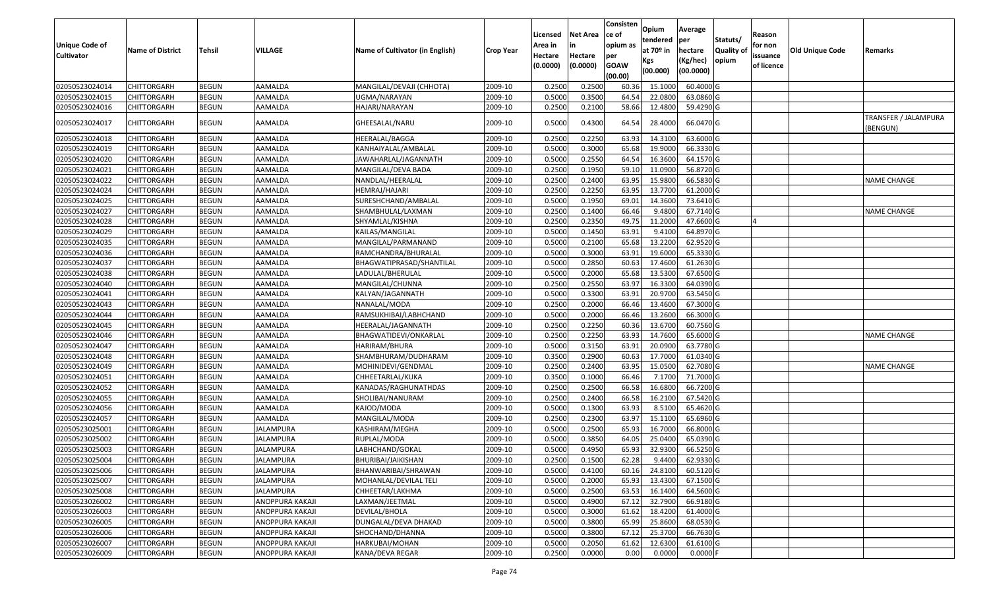| Unique Code of<br><b>Cultivator</b> | <b>Name of District</b> | Tehsil       | VILLAGE          | Name of Cultivator (in English) | <b>Crop Year</b> | Licensed<br>Area in<br>Hectare<br>(0.0000) | Net Area<br>in<br>Hectare<br>(0.0000) | Consisten<br>ce of<br>opium as<br>per<br><b>GOAW</b><br>(00.00) | Opium<br>tendered<br>at 70º in<br>Kgs<br>(00.000) | Average<br>per<br>hectare<br>(Kg/hec)<br>(00.0000) | Statuts/<br><b>Quality of</b><br>opium | Reason<br>for non<br>issuance<br>of licence | <b>Old Unique Code</b> | Remarks                          |
|-------------------------------------|-------------------------|--------------|------------------|---------------------------------|------------------|--------------------------------------------|---------------------------------------|-----------------------------------------------------------------|---------------------------------------------------|----------------------------------------------------|----------------------------------------|---------------------------------------------|------------------------|----------------------------------|
| 02050523024014                      | CHITTORGARH             | <b>BEGUN</b> | AAMALDA          | MANGILAL/DEVAJI (CHHOTA)        | 2009-10          | 0.2500                                     | 0.2500                                | 60.36                                                           | 15.1000                                           | 60.4000 G                                          |                                        |                                             |                        |                                  |
| 02050523024015                      | CHITTORGARH             | <b>BEGUN</b> | AAMALDA          | UGMA/NARAYAN                    | 2009-10          | 0.5000                                     | 0.3500                                | 64.54                                                           | 22.0800                                           | 63.0860 G                                          |                                        |                                             |                        |                                  |
| 02050523024016                      | CHITTORGARH             | <b>BEGUN</b> | AAMALDA          | HAJARI/NARAYAN                  | 2009-10          | 0.2500                                     | 0.2100                                | 58.66                                                           | 12.4800                                           | 59.4290 G                                          |                                        |                                             |                        |                                  |
| 02050523024017                      | CHITTORGARH             | <b>BEGUN</b> | AAMALDA          | GHEESALAL/NARU                  | 2009-10          | 0.5000                                     | 0.4300                                | 64.54                                                           | 28.4000                                           | 66.0470 G                                          |                                        |                                             |                        | TRANSFER / JALAMPURA<br>(BENGUN) |
| 02050523024018                      | CHITTORGARH             | <b>BEGUN</b> | AAMALDA          | HEERALAL/BAGGA                  | 2009-10          | 0.2500                                     | 0.2250                                | 63.93                                                           | 14.3100                                           | 63.6000 G                                          |                                        |                                             |                        |                                  |
| 02050523024019                      | CHITTORGARH             | <b>BEGUN</b> | AAMALDA          | KANHAIYALAL/AMBALAL             | 2009-10          | 0.5000                                     | 0.3000                                | 65.68                                                           | 19.9000                                           | 66.3330 G                                          |                                        |                                             |                        |                                  |
| 02050523024020                      | CHITTORGARH             | <b>BEGUN</b> | AAMALDA          | JAWAHARLAL/JAGANNATH            | 2009-10          | 0.5000                                     | 0.2550                                | 64.54                                                           | 16.3600                                           | 64.1570 G                                          |                                        |                                             |                        |                                  |
| 02050523024021                      | CHITTORGARH             | <b>BEGUN</b> | AAMALDA          | MANGILAL/DEVA BADA              | 2009-10          | 0.2500                                     | 0.1950                                | 59.10                                                           | 11.0900                                           | 56.8720 G                                          |                                        |                                             |                        |                                  |
| 02050523024022                      | CHITTORGARH             | <b>BEGUN</b> | AAMALDA          | NANDLAL/HEERALAL                | 2009-10          | 0.2500                                     | 0.2400                                | 63.95                                                           | 15.9800                                           | 66.5830 G                                          |                                        |                                             |                        | NAME CHANGE                      |
| 02050523024024                      | CHITTORGARH             | <b>BEGUN</b> | AAMALDA          | HEMRAJ/HAJARI                   | 2009-10          | 0.2500                                     | 0.2250                                | 63.95                                                           | 13.7700                                           | 61.2000 G                                          |                                        |                                             |                        |                                  |
| 02050523024025                      | <b>CHITTORGARH</b>      | <b>BEGUN</b> | AAMALDA          | SURESHCHAND/AMBALAL             | 2009-10          | 0.5000                                     | 0.1950                                | 69.01                                                           | 14.3600                                           | 73.6410 G                                          |                                        |                                             |                        |                                  |
| 02050523024027                      | <b>CHITTORGARH</b>      | <b>BEGUN</b> | AAMALDA          | SHAMBHULAL/LAXMAN               | 2009-10          | 0.2500                                     | 0.1400                                | 66.46                                                           | 9.4800                                            | 67.7140 G                                          |                                        |                                             |                        | <b>NAME CHANGE</b>               |
| 02050523024028                      | CHITTORGARH             | <b>BEGUN</b> | AAMALDA          | SHYAMLAL/KISHNA                 | 2009-10          | 0.2500                                     | 0.2350                                | 49.75                                                           | 11.2000                                           | 47.6600 G                                          |                                        |                                             |                        |                                  |
| 02050523024029                      | CHITTORGARH             | <b>BEGUN</b> | AAMALDA          | KAILAS/MANGILAL                 | 2009-10          | 0.5000                                     | 0.1450                                | 63.91                                                           | 9.4100                                            | 64.8970 G                                          |                                        |                                             |                        |                                  |
| 02050523024035                      | CHITTORGARH             | <b>BEGUN</b> | AAMALDA          | MANGILAL/PARMANAND              | 2009-10          | 0.5000                                     | 0.2100                                | 65.68                                                           | 13.2200                                           | 62.9520 G                                          |                                        |                                             |                        |                                  |
| 02050523024036                      | CHITTORGARH             | <b>BEGUN</b> | AAMALDA          | RAMCHANDRA/BHURALAL             | 2009-10          | 0.5000                                     | 0.3000                                | 63.91                                                           | 19.6000                                           | 65.3330 G                                          |                                        |                                             |                        |                                  |
| 02050523024037                      | CHITTORGARH             | <b>BEGUN</b> | AAMALDA          | BHAGWATIPRASAD/SHANTILAL        | 2009-10          | 0.5000                                     | 0.2850                                | 60.63                                                           | 17.4600                                           | 61.2630 G                                          |                                        |                                             |                        |                                  |
| 02050523024038                      | CHITTORGARH             | <b>BEGUN</b> | AAMALDA          | LADULAL/BHERULAL                | 2009-10          | 0.5000                                     | 0.2000                                | 65.68                                                           | 13.5300                                           | 67.6500 G                                          |                                        |                                             |                        |                                  |
| 02050523024040                      | CHITTORGARH             | <b>BEGUN</b> | AAMALDA          | MANGILAL/CHUNNA                 | 2009-10          | 0.2500                                     | 0.2550                                | 63.97                                                           | 16.3300                                           | 64.0390 G                                          |                                        |                                             |                        |                                  |
| 02050523024041                      | CHITTORGARH             | <b>BEGUN</b> | AAMALDA          | KALYAN/JAGANNATH                | 2009-10          | 0.5000                                     | 0.3300                                | 63.91                                                           | 20.9700                                           | 63.5450 G                                          |                                        |                                             |                        |                                  |
| 02050523024043                      | CHITTORGARH             | <b>BEGUN</b> | AAMALDA          | NANALAL/MODA                    | 2009-10          | 0.2500                                     | 0.2000                                | 66.46                                                           | 13.4600                                           | 67.3000 G                                          |                                        |                                             |                        |                                  |
| 02050523024044                      | CHITTORGARH             | <b>BEGUN</b> | AAMALDA          | RAMSUKHIBAI/LABHCHAND           | 2009-10          | 0.5000                                     | 0.2000                                | 66.46                                                           | 13.2600                                           | 66.3000 G                                          |                                        |                                             |                        |                                  |
| 02050523024045                      | CHITTORGARH             | <b>BEGUN</b> | AAMALDA          | HEERALAL/JAGANNATH              | 2009-10          | 0.2500                                     | 0.2250                                | 60.36                                                           | 13.6700                                           | 60.7560 G                                          |                                        |                                             |                        |                                  |
| 02050523024046                      | CHITTORGARH             | <b>BEGUN</b> | AAMALDA          | BHAGWATIDEVI/ONKARLAL           | 2009-10          | 0.2500                                     | 0.2250                                | 63.93                                                           | 14.7600                                           | 65.6000 G                                          |                                        |                                             |                        | <b>NAME CHANGE</b>               |
| 02050523024047                      | CHITTORGARH             | <b>BEGUN</b> | AAMALDA          | HARIRAM/BHURA                   | 2009-10          | 0.5000                                     | 0.3150                                | 63.91                                                           | 20.0900                                           | 63.7780 G                                          |                                        |                                             |                        |                                  |
| 02050523024048                      | CHITTORGARH             | <b>BEGUN</b> | AAMALDA          | SHAMBHURAM/DUDHARAM             | 2009-10          | 0.3500                                     | 0.2900                                | 60.63                                                           | 17.7000                                           | 61.0340 G                                          |                                        |                                             |                        |                                  |
| 02050523024049                      | CHITTORGARH             | <b>BEGUN</b> | AAMALDA          | MOHINIDEVI/GENDMAL              | 2009-10          | 0.2500                                     | 0.2400                                | 63.95                                                           | 15.0500                                           | 62.7080 G                                          |                                        |                                             |                        | NAME CHANGE                      |
| 02050523024051                      | <b>CHITTORGARH</b>      | <b>BEGUN</b> | AAMALDA          | CHHEETARLAL/KUKA                | 2009-10          | 0.3500                                     | 0.1000                                | 66.46                                                           | 7.1700                                            | 71.7000 G                                          |                                        |                                             |                        |                                  |
| 02050523024052                      | CHITTORGARH             | <b>BEGUN</b> | AAMALDA          | KANADAS/RAGHUNATHDAS            | 2009-10          | 0.2500                                     | 0.2500                                | 66.58                                                           | 16.6800                                           | 66.7200 G                                          |                                        |                                             |                        |                                  |
| 02050523024055                      | CHITTORGARH             | <b>BEGUN</b> | AAMALDA          | SHOLIBAI/NANURAM                | 2009-10          | 0.2500                                     | 0.2400                                | 66.58                                                           | 16.2100                                           | 67.5420 G                                          |                                        |                                             |                        |                                  |
| 02050523024056                      | CHITTORGARH             | <b>BEGUN</b> | AAMALDA          | KAJOD/MODA                      | 2009-10          | 0.5000                                     | 0.1300                                | 63.93                                                           | 8.5100                                            | 65.4620 G                                          |                                        |                                             |                        |                                  |
| 02050523024057                      | <b>CHITTORGARH</b>      | <b>BEGUN</b> | AAMALDA          | MANGILAL/MODA                   | 2009-10          | 0.2500                                     | 0.2300                                | 63.97                                                           | 15.1100                                           | 65.6960 G                                          |                                        |                                             |                        |                                  |
| 02050523025001                      | <b>CHITTORGARH</b>      | <b>BEGUN</b> | <b>JALAMPURA</b> | KASHIRAM/MEGHA                  | 2009-10          | 0.5000                                     | 0.2500                                | 65.93                                                           | 16.7000                                           | 66.8000 G                                          |                                        |                                             |                        |                                  |
| 02050523025002                      | CHITTORGARH             | <b>BEGUN</b> | JALAMPURA        | RUPLAL/MODA                     | 2009-10          | 0.5000                                     | 0.3850                                | 64.05                                                           | 25.0400                                           | 65.0390 G                                          |                                        |                                             |                        |                                  |
| 02050523025003                      | CHITTORGARH             | <b>BEGUN</b> | JALAMPURA        | LABHCHAND/GOKAL                 | 2009-10          | 0.5000                                     | 0.4950                                | 65.93                                                           | 32.9300                                           | 66.5250 G                                          |                                        |                                             |                        |                                  |
| 02050523025004                      | <b>CHITTORGARH</b>      | <b>BEGUN</b> | JALAMPURA        | BHURIBAI/JAIKISHAN              | 2009-10          | 0.2500                                     | 0.1500                                | 62.28                                                           | 9.4400                                            | 62.9330 G                                          |                                        |                                             |                        |                                  |
| 02050523025006                      | <b>CHITTORGARH</b>      | <b>BEGUN</b> | <b>JALAMPURA</b> | BHANWARIBAI/SHRAWAN             | 2009-10          | 0.5000                                     | 0.4100                                | 60.16                                                           | 24.8100                                           | 60.5120 G                                          |                                        |                                             |                        |                                  |
| 02050523025007                      | <b>CHITTORGARH</b>      | <b>BEGUN</b> | <b>JALAMPURA</b> | MOHANLAL/DEVILAL TELI           | 2009-10          | 0.5000                                     | 0.2000                                | 65.93                                                           | 13.4300                                           | 67.1500 G                                          |                                        |                                             |                        |                                  |
| 02050523025008                      | <b>CHITTORGARH</b>      | <b>BEGUN</b> | <b>JALAMPURA</b> | CHHEETAR/LAKHMA                 | 2009-10          | 0.5000                                     | 0.2500                                | 63.53                                                           | 16.1400                                           | 64.5600 G                                          |                                        |                                             |                        |                                  |
| 02050523026002                      | <b>CHITTORGARH</b>      | <b>BEGUN</b> | ANOPPURA KAKAJI  | LAXMAN/JEETMAL                  | 2009-10          | 0.5000                                     | 0.4900                                | 67.12                                                           | 32.7900                                           | 66.9180 G                                          |                                        |                                             |                        |                                  |
| 02050523026003                      | <b>CHITTORGARH</b>      | <b>BEGUN</b> | ANOPPURA KAKAJI  | DEVILAL/BHOLA                   | 2009-10          | 0.5000                                     | 0.3000                                | 61.62                                                           | 18.4200                                           | 61.4000 G                                          |                                        |                                             |                        |                                  |
| 02050523026005                      | <b>CHITTORGARH</b>      | <b>BEGUN</b> | ANOPPURA KAKAJI  | DUNGALAL/DEVA DHAKAD            | 2009-10          | 0.5000                                     | 0.3800                                | 65.99                                                           | 25.8600                                           | 68.0530 G                                          |                                        |                                             |                        |                                  |
| 02050523026006                      | <b>CHITTORGARH</b>      | <b>BEGUN</b> | ANOPPURA KAKAJI  | SHOCHAND/DHANNA                 | 2009-10          | 0.5000                                     | 0.3800                                | 67.12                                                           | 25.3700                                           | 66.7630 G                                          |                                        |                                             |                        |                                  |
| 02050523026007                      | <b>CHITTORGARH</b>      | <b>BEGUN</b> | ANOPPURA KAKAJI  | HARKUBAI/MOHAN                  | 2009-10          | 0.5000                                     | 0.2050                                | 61.62                                                           | 12.6300                                           | 61.6100 G                                          |                                        |                                             |                        |                                  |
| 02050523026009                      | <b>CHITTORGARH</b>      | <b>BEGUN</b> | ANOPPURA KAKAJI  | KANA/DEVA REGAR                 | 2009-10          | 0.2500                                     | 0.0000                                | 0.00                                                            | 0.0000                                            | $0.0000$ F                                         |                                        |                                             |                        |                                  |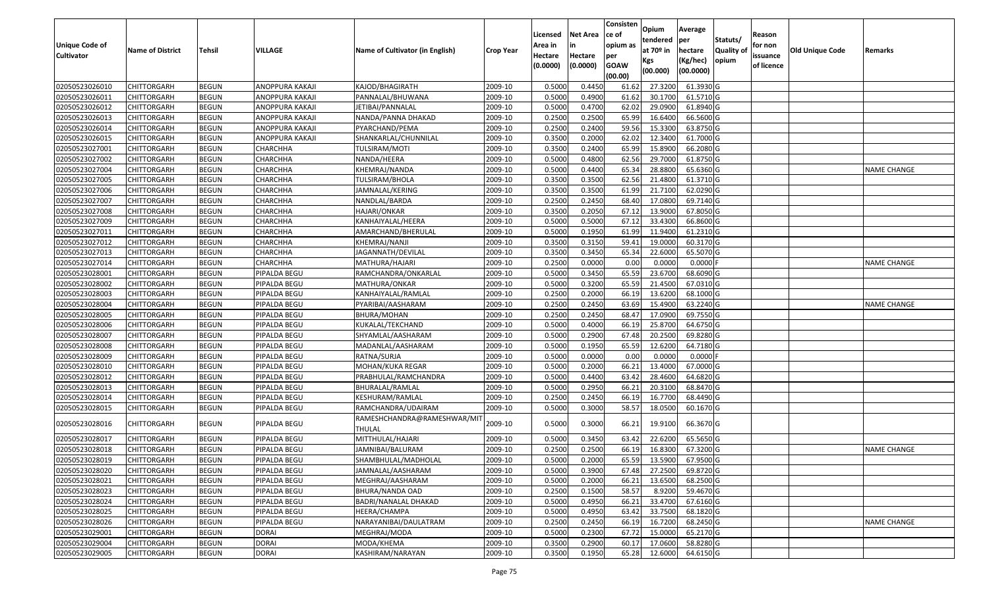|                   |                         |               |                        |                                       |                  | Licensed | <b>Net Area</b> | Consisten<br>ce of | Opium         | Average    |                  | Reason     |                        |                    |
|-------------------|-------------------------|---------------|------------------------|---------------------------------------|------------------|----------|-----------------|--------------------|---------------|------------|------------------|------------|------------------------|--------------------|
| Unique Code of    |                         |               |                        |                                       |                  | Area in  | in              | opium as           | tendered      | per        | Statuts/         | for non    |                        |                    |
| <b>Cultivator</b> | <b>Name of District</b> | <b>Tehsil</b> | VILLAGE                | Name of Cultivator (in English)       | <b>Crop Year</b> | Hectare  | Hectare         | per                | at $70°$ in   | hectare    | <b>Quality o</b> | issuance   | <b>Old Unique Code</b> | Remarks            |
|                   |                         |               |                        |                                       |                  | (0.0000) | (0.0000)        | <b>GOAW</b>        | Kgs           | (Kg/hec)   | opium            | of licence |                        |                    |
|                   |                         |               |                        |                                       |                  |          |                 | (00.00)            | (00.000)      | (00.0000)  |                  |            |                        |                    |
| 02050523026010    | CHITTORGARH             | <b>BEGUN</b>  | ANOPPURA KAKAJI        | KAJOD/BHAGIRATH                       | 2009-10          | 0.5000   | 0.4450          | 61.62              | 27.3200       | 61.3930 G  |                  |            |                        |                    |
| 02050523026011    | CHITTORGARH             | <b>BEGUN</b>  | ANOPPURA KAKAJI        | PANNALAL/BHUWANA                      | 2009-10          | 0.5000   | 0.4900          | 61.62              | 30.1700       | 61.5710 G  |                  |            |                        |                    |
| 02050523026012    | CHITTORGARH             | <b>BEGUN</b>  | ANOPPURA KAKAJI        | IETIBAI/PANNALAL                      | 2009-10          | 0.5000   | 0.4700          | 62.02              | 29.0900       | 61.8940 G  |                  |            |                        |                    |
| 02050523026013    | <b>CHITTORGARH</b>      | <b>BEGUN</b>  | ANOPPURA KAKAJI        | NANDA/PANNA DHAKAD                    | 2009-10          | 0.2500   | 0.2500          | 65.99              | 16.6400       | 66.5600 G  |                  |            |                        |                    |
| 02050523026014    | CHITTORGARH             | <b>BEGUN</b>  | ANOPPURA KAKAJI        | PYARCHAND/PEMA                        | 2009-10          | 0.2500   | 0.2400          | 59.56              | 15.3300       | 63.8750 G  |                  |            |                        |                    |
| 02050523026015    | CHITTORGARH             | <b>BEGUN</b>  | <b>ANOPPURA KAKAJI</b> | SHANKARLAL/CHUNNILAL                  | 2009-10          | 0.3500   | 0.2000          | 62.02              | 12.3400       | 61.7000G   |                  |            |                        |                    |
| 02050523027001    | CHITTORGARH             | <b>BEGUN</b>  | CHARCHHA               | TULSIRAM/MOTI                         | 2009-10          | 0.3500   | 0.2400          | 65.99              | 15.8900       | 66.2080 G  |                  |            |                        |                    |
| 02050523027002    | CHITTORGARH             | <b>BEGUN</b>  | CHARCHHA               | NANDA/HEERA                           | 2009-10          | 0.5000   | 0.4800          | 62.56              | 29.7000       | 61.8750 G  |                  |            |                        |                    |
| 02050523027004    | CHITTORGARH             | <b>BEGUN</b>  | CHARCHHA               | KHEMRAJ/NANDA                         | 2009-10          | 0.5000   | 0.4400          | 65.34              | 28.8800       | 65.6360 G  |                  |            |                        | <b>NAME CHANGE</b> |
| 02050523027005    | CHITTORGARH             | <b>BEGUN</b>  | CHARCHHA               | TULSIRAM/BHOLA                        | 2009-10          | 0.3500   | 0.3500          | 62.56              | 21.4800       | 61.3710 G  |                  |            |                        |                    |
| 02050523027006    | CHITTORGARH             | <b>BEGUN</b>  | CHARCHHA               | JAMNALAL/KERING                       | 2009-10          | 0.3500   | 0.3500          | 61.99              | 21.7100       | 62.0290 G  |                  |            |                        |                    |
| 02050523027007    | CHITTORGARH             | <b>BEGUN</b>  | CHARCHHA               | NANDLAL/BARDA                         | 2009-10          | 0.2500   | 0.2450          | 68.40              | 17.0800       | 69.7140 G  |                  |            |                        |                    |
| 02050523027008    | <b>CHITTORGARH</b>      | <b>BEGUN</b>  | CHARCHHA               | HAJARI/ONKAR                          | 2009-10          | 0.3500   | 0.2050          | 67.12              | 13.9000       | 67.8050 G  |                  |            |                        |                    |
| 02050523027009    | CHITTORGARH             | <b>BEGUN</b>  | CHARCHHA               | KANHAIYALAL/HEERA                     | 2009-10          | 0.5000   | 0.5000          | 67.12              | 33.4300       | 66.8600 G  |                  |            |                        |                    |
| 02050523027011    | CHITTORGARH             | <b>BEGUN</b>  | CHARCHHA               | AMARCHAND/BHERULAL                    | 2009-10          | 0.5000   | 0.1950          | 61.99              | 11.9400       | 61.2310 G  |                  |            |                        |                    |
| 02050523027012    | CHITTORGARH             | <b>BEGUN</b>  | CHARCHHA               | KHEMRAJ/NANJI                         | 2009-10          | 0.3500   | 0.3150          | 59.41              | 19.0000       | 60.3170 G  |                  |            |                        |                    |
| 02050523027013    | CHITTORGARH             | <b>BEGUN</b>  | CHARCHHA               | JAGANNATH/DEVILAL                     | 2009-10          | 0.3500   | 0.3450          | 65.34              | 22.6000       | 65.5070 G  |                  |            |                        |                    |
| 02050523027014    | CHITTORGARH             | <b>BEGUN</b>  | CHARCHHA               | MATHURA/HAJARI                        | 2009-10          | 0.2500   | 0.0000          | 0.00               | 0.0000        | 0.0000F    |                  |            |                        | <b>NAME CHANGE</b> |
| 02050523028001    | CHITTORGARH             | <b>BEGUN</b>  | PIPALDA BEGU           | RAMCHANDRA/ONKARLAL                   | 2009-10          | 0.5000   | 0.3450          | 65.59              | 23.6700       | 68.6090 G  |                  |            |                        |                    |
| 02050523028002    | CHITTORGARH             | <b>BEGUN</b>  | PIPALDA BEGU           | MATHURA/ONKAR                         | 2009-10          | 0.5000   | 0.3200          | 65.59              | 21.4500       | 67.0310 G  |                  |            |                        |                    |
| 02050523028003    | CHITTORGARH             | <b>BEGUN</b>  | PIPALDA BEGU           | KANHAIYALAL/RAMLAL                    | 2009-10          | 0.2500   | 0.2000          | 66.19              | 13.6200       | 68.1000 G  |                  |            |                        |                    |
| 02050523028004    | CHITTORGARH             | <b>BEGUN</b>  | PIPALDA BEGU           | PYARIBAI/AASHARAM                     | 2009-10          | 0.2500   | 0.2450          | 63.69              | 15.4900       | 63.2240 G  |                  |            |                        | <b>NAME CHANGE</b> |
| 02050523028005    | CHITTORGARH             | <b>BEGUN</b>  | PIPALDA BEGU           | BHURA/MOHAN                           | 2009-10          | 0.2500   | 0.2450          | 68.47              | 17.0900       | 69.7550 G  |                  |            |                        |                    |
| 02050523028006    | CHITTORGARH             | <b>BEGUN</b>  | PIPALDA BEGU           | KUKALAL/TEKCHAND                      | 2009-10          | 0.5000   | 0.4000          | 66.19              | 25.8700       | 64.6750 G  |                  |            |                        |                    |
| 02050523028007    | <b>CHITTORGARH</b>      | <b>BEGUN</b>  | PIPALDA BEGU           | SHYAMLAL/AASHARAM                     | 2009-10          | 0.5000   | 0.2900          | 67.48              | 20.2500       | 69.8280 G  |                  |            |                        |                    |
| 02050523028008    | CHITTORGARH             | <b>BEGUN</b>  | PIPALDA BEGU           | MADANLAL/AASHARAM                     | 2009-10          | 0.5000   | 0.1950          | 65.59              | 12.6200       | 64.7180 G  |                  |            |                        |                    |
| 02050523028009    | CHITTORGARH             | <b>BEGUN</b>  | PIPALDA BEGU           | RATNA/SURJA                           | 2009-10          | 0.5000   | 0.0000          | 0.00               | 0.0000        | $0.0000$ F |                  |            |                        |                    |
| 02050523028010    | CHITTORGARH             | <b>BEGUN</b>  | PIPALDA BEGU           | MOHAN/KUKA REGAR                      | 2009-10          | 0.5000   | 0.2000          | 66.21              | 13.4000       | 67.0000G   |                  |            |                        |                    |
| 02050523028012    | CHITTORGARH             | <b>BEGUN</b>  | PIPALDA BEGU           | PRABHULAL/RAMCHANDRA                  | 2009-10          | 0.5000   | 0.4400          | 63.42              | 28.4600       | 64.6820 G  |                  |            |                        |                    |
| 02050523028013    | CHITTORGARH             | <b>BEGUN</b>  | PIPALDA BEGU           | BHURALAL/RAMLAL                       | 2009-10          | 0.5000   | 0.2950          | 66.2               | 20.3100       | 68.8470 G  |                  |            |                        |                    |
| 02050523028014    | CHITTORGARH             | <b>BEGUN</b>  | PIPALDA BEGU           | KESHURAM/RAMLAL                       | 2009-10          | 0.2500   | 0.2450          | 66.1               | 16.7700       | 68.4490 G  |                  |            |                        |                    |
| 02050523028015    | CHITTORGARH             | <b>BEGUN</b>  | PIPALDA BEGU           | RAMCHANDRA/UDAIRAM                    | 2009-10          | 0.5000   | 0.3000          | 58.57              | 18.0500       | 60.1670 G  |                  |            |                        |                    |
| 02050523028016    | CHITTORGARH             | <b>BEGUN</b>  | PIPALDA BEGU           | RAMESHCHANDRA@RAMESHWAR/MI`<br>THULAL | 2009-10          | 0.5000   | 0.3000          | 66.21              | 19.9100       | 66.3670 G  |                  |            |                        |                    |
| 02050523028017    | CHITTORGARH             | <b>BEGUN</b>  | PIPALDA BEGU           | MITTHULAL/HAJARI                      | 2009-10          | 0.500    | 0.3450          | 63.42              | 22.6200       | 65.5650 G  |                  |            |                        |                    |
| 02050523028018    | CHITTORGARH             | <b>BEGUN</b>  | PIPALDA BEGU           | JAMNIBAI/BALURAM                      | 2009-10          | 0.2500   | 0.2500          | 66.19              | 16.8300       | 67.3200 G  |                  |            |                        | <b>NAME CHANGE</b> |
| 02050523028019    | <b>CHITTORGARH</b>      | <b>BEGUN</b>  | PIPALDA BEGU           | SHAMBHULAL/MADHOLAL                   | 2009-10          | 0.5000   | 0.2000          |                    | 65.59 13.5900 | 67.9500 G  |                  |            |                        |                    |
| 02050523028020    | <b>CHITTORGARH</b>      | <b>BEGUN</b>  | PIPALDA BEGU           | JAMNALAL/AASHARAM                     | 2009-10          | 0.5000   | 0.3900          | 67.48              | 27.2500       | 69.8720 G  |                  |            |                        |                    |
| 02050523028021    | <b>CHITTORGARH</b>      | <b>BEGUN</b>  | PIPALDA BEGU           | MEGHRAJ/AASHARAM                      | 2009-10          | 0.5000   | 0.2000          | 66.21              | 13.6500       | 68.2500 G  |                  |            |                        |                    |
| 02050523028023    | <b>CHITTORGARH</b>      | <b>BEGUN</b>  | PIPALDA BEGU           | BHURA/NANDA OAD                       | 2009-10          | 0.2500   | 0.1500          | 58.57              | 8.9200        | 59.4670 G  |                  |            |                        |                    |
| 02050523028024    | CHITTORGARH             | <b>BEGUN</b>  | PIPALDA BEGU           | BADRI/NANALAL DHAKAD                  | 2009-10          | 0.5000   | 0.4950          | 66.21              | 33.4700       | 67.6160 G  |                  |            |                        |                    |
| 02050523028025    | <b>CHITTORGARH</b>      | <b>BEGUN</b>  | PIPALDA BEGU           | HEERA/CHAMPA                          | 2009-10          | 0.5000   | 0.4950          | 63.42              | 33.7500       | 68.1820 G  |                  |            |                        |                    |
| 02050523028026    | <b>CHITTORGARH</b>      | <b>BEGUN</b>  | PIPALDA BEGU           | NARAYANIBAI/DAULATRAM                 | 2009-10          | 0.2500   | 0.2450          | 66.19              | 16.7200       | 68.2450 G  |                  |            |                        | <b>NAME CHANGE</b> |
| 02050523029001    | CHITTORGARH             | <b>BEGUN</b>  | <b>DORAI</b>           | MEGHRAJ/MODA                          | 2009-10          | 0.5000   | 0.2300          | 67.72              | 15.0000       | 65.2170 G  |                  |            |                        |                    |
| 02050523029004    | CHITTORGARH             | <b>BEGUN</b>  | <b>DORAI</b>           | MODA/KHEMA                            | 2009-10          | 0.3500   | 0.2900          | 60.17              | 17.0600       | 58.8280 G  |                  |            |                        |                    |
| 02050523029005    | <b>CHITTORGARH</b>      | <b>BEGUN</b>  | <b>DORAI</b>           | KASHIRAM/NARAYAN                      | 2009-10          | 0.3500   | 0.1950          | 65.28              | 12.6000       | 64.6150 G  |                  |            |                        |                    |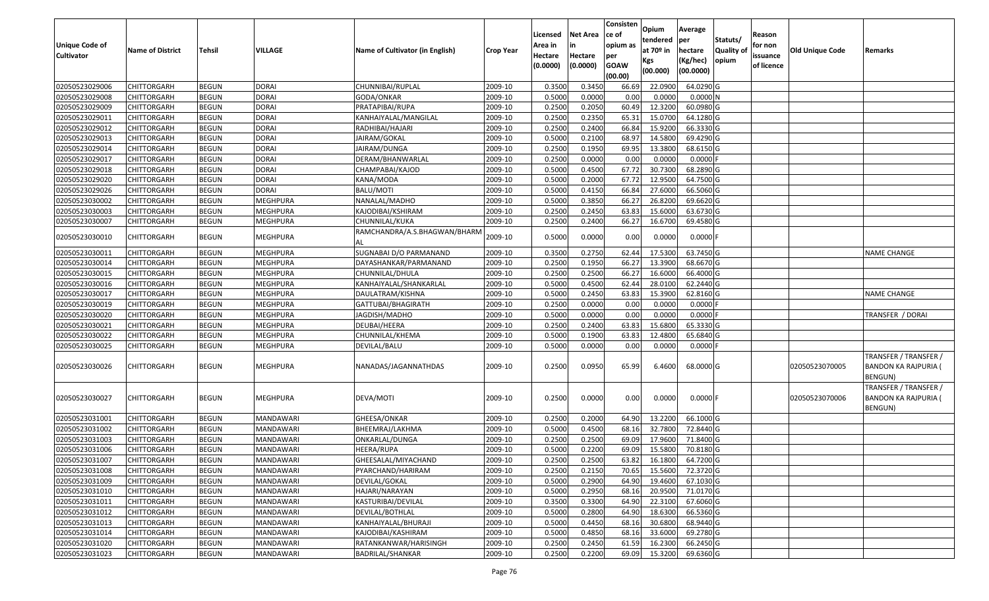| <b>Unique Code of</b><br><b>Cultivator</b> | <b>Name of District</b> | Tehsil       | VILLAGE         | Name of Cultivator (in English)    | <b>Crop Year</b> | Licensed<br>Area in<br>Hectare<br>(0.0000) | Net Area<br>in<br>Hectare<br>(0.0000) | Consisten<br>ce of<br>opium as<br>per<br><b>GOAW</b><br>(00.00) | Opium<br>tendered<br>at 70º in<br>Kgs<br>(00.000) | Average<br>per<br>hectare<br>(Kg/hec)<br>(00.0000) | Statuts/<br><b>Quality of</b><br>opium | Reason<br>for non<br>issuance<br>of licence | <b>Old Unique Code</b> | Remarks                                                         |
|--------------------------------------------|-------------------------|--------------|-----------------|------------------------------------|------------------|--------------------------------------------|---------------------------------------|-----------------------------------------------------------------|---------------------------------------------------|----------------------------------------------------|----------------------------------------|---------------------------------------------|------------------------|-----------------------------------------------------------------|
| 02050523029006                             | CHITTORGARH             | <b>BEGUN</b> | DORAI           | CHUNNIBAI/RUPLAL                   | 2009-10          | 0.3500                                     | 0.3450                                | 66.69                                                           | 22.0900                                           | 64.0290 G                                          |                                        |                                             |                        |                                                                 |
| 02050523029008                             | CHITTORGARH             | <b>BEGUN</b> | <b>DORAI</b>    | GODA/ONKAR                         | 2009-10          | 0.5000                                     | 0.0000                                | 0.00                                                            | 0.0000                                            | 0.0000N                                            |                                        |                                             |                        |                                                                 |
| 02050523029009                             | CHITTORGARH             | <b>BEGUN</b> | <b>DORAI</b>    | PRATAPIBAI/RUPA                    | 2009-10          | 0.2500                                     | 0.2050                                | 60.49                                                           | 12.3200                                           | 60.0980 G                                          |                                        |                                             |                        |                                                                 |
| 02050523029011                             | <b>CHITTORGARH</b>      | <b>BEGUN</b> | <b>DORAI</b>    | KANHAIYALAL/MANGILAL               | 2009-10          | 0.2500                                     | 0.2350                                | 65.31                                                           | 15.0700                                           | 64.1280 G                                          |                                        |                                             |                        |                                                                 |
| 02050523029012                             | CHITTORGARH             | <b>BEGUN</b> | <b>DORAI</b>    | RADHIBAI/HAJARI                    | 2009-10          | 0.2500                                     | 0.2400                                | 66.84                                                           | 15.9200                                           | 66.3330 G                                          |                                        |                                             |                        |                                                                 |
| 02050523029013                             | CHITTORGARH             | <b>BEGUN</b> | <b>DORAI</b>    | JAIRAM/GOKAL                       | 2009-10          | 0.5000                                     | 0.2100                                | 68.97                                                           | 14.5800                                           | 69.4290 G                                          |                                        |                                             |                        |                                                                 |
| 02050523029014                             | CHITTORGARH             | <b>BEGUN</b> | <b>DORAI</b>    | JAIRAM/DUNGA                       | 2009-10          | 0.2500                                     | 0.1950                                | 69.95                                                           | 13.3800                                           | 68.6150 G                                          |                                        |                                             |                        |                                                                 |
| 02050523029017                             | <b>CHITTORGARH</b>      | <b>BEGUN</b> | <b>DORAI</b>    | DERAM/BHANWARLAL                   | 2009-10          | 0.2500                                     | 0.0000                                | 0.00                                                            | 0.0000                                            | $0.0000$ F                                         |                                        |                                             |                        |                                                                 |
| 02050523029018                             | CHITTORGARH             | <b>BEGUN</b> | <b>DORAI</b>    | CHAMPABAI/KAJOD                    | 2009-10          | 0.5000                                     | 0.4500                                | 67.72                                                           | 30.7300                                           | 68.2890 G                                          |                                        |                                             |                        |                                                                 |
| 02050523029020                             | CHITTORGARH             | <b>BEGUN</b> | <b>DORAI</b>    | KANA/MODA                          | 2009-10          | 0.5000                                     | 0.2000                                | 67.72                                                           | 12.9500                                           | 64.7500 G                                          |                                        |                                             |                        |                                                                 |
| 02050523029026                             | CHITTORGARH             | <b>BEGUN</b> | <b>DORAI</b>    | BALU/MOTI                          | 2009-10          | 0.5000                                     | 0.4150                                | 66.84                                                           | 27.6000                                           | 66.5060 G                                          |                                        |                                             |                        |                                                                 |
| 02050523030002                             | <b>CHITTORGARH</b>      | <b>BEGUN</b> | MEGHPURA        | NANALAL/MADHO                      | 2009-10          | 0.5000                                     | 0.3850                                | 66.27                                                           | 26.8200                                           | 69.6620 G                                          |                                        |                                             |                        |                                                                 |
| 02050523030003                             | <b>CHITTORGARH</b>      | <b>BEGUN</b> | <b>MEGHPURA</b> | KAJODIBAI/KSHIRAM                  | 2009-10          | 0.2500                                     | 0.2450                                | 63.83                                                           | 15.6000                                           | 63.6730 G                                          |                                        |                                             |                        |                                                                 |
| 02050523030007                             | CHITTORGARH             | <b>BEGUN</b> | MEGHPURA        | CHUNNILAL/KUKA                     | 2009-10          | 0.2500                                     | 0.2400                                | 66.27                                                           | 16.6700                                           | 69.4580 G                                          |                                        |                                             |                        |                                                                 |
| 02050523030010                             | CHITTORGARH             | <b>BEGUN</b> | MEGHPURA        | RAMCHANDRA/A.S.BHAGWAN/BHARN<br>AL | 2009-10          | 0.5000                                     | 0.0000                                | 0.00                                                            | 0.0000                                            | $0.0000$ F                                         |                                        |                                             |                        |                                                                 |
| 02050523030011                             | CHITTORGARH             | <b>BEGUN</b> | <b>MEGHPURA</b> | SUGNABAI D/O PARMANAND             | 2009-10          | 0.3500                                     | 0.2750                                | 62.44                                                           | 17.5300                                           | 63.7450 G                                          |                                        |                                             |                        | <b>NAME CHANGE</b>                                              |
| 02050523030014                             | CHITTORGARH             | <b>BEGUN</b> | MEGHPURA        | DAYASHANKAR/PARMANAND              | 2009-10          | 0.2500                                     | 0.1950                                | 66.27                                                           | 13.3900                                           | 68.6670 G                                          |                                        |                                             |                        |                                                                 |
| 02050523030015                             | CHITTORGARH             | <b>BEGUN</b> | MEGHPURA        | CHUNNILAL/DHULA                    | 2009-10          | 0.2500                                     | 0.2500                                | 66.27                                                           | 16.6000                                           | 66.4000 G                                          |                                        |                                             |                        |                                                                 |
| 02050523030016                             | CHITTORGARH             | <b>BEGUN</b> | MEGHPURA        | KANHAIYALAL/SHANKARLAL             | 2009-10          | 0.5000                                     | 0.4500                                | 62.44                                                           | 28.0100                                           | 62.2440 G                                          |                                        |                                             |                        |                                                                 |
| 02050523030017                             | CHITTORGARH             | <b>BEGUN</b> | <b>MEGHPURA</b> | DAULATRAM/KISHNA                   | 2009-10          | 0.5000                                     | 0.2450                                | 63.83                                                           | 15.3900                                           | 62.8160 G                                          |                                        |                                             |                        | <b>NAME CHANGE</b>                                              |
| 02050523030019                             | CHITTORGARH             | <b>BEGUN</b> | MEGHPURA        | GATTUBAI/BHAGIRATH                 | 2009-10          | 0.2500                                     | 0.0000                                | 0.00                                                            | 0.0000                                            | 0.0000F                                            |                                        |                                             |                        |                                                                 |
| 02050523030020                             | CHITTORGARH             | <b>BEGUN</b> | MEGHPURA        | JAGDISH/MADHO                      | 2009-10          | 0.5000                                     | 0.0000                                | 0.00                                                            | 0.0000                                            | $0.0000$ F                                         |                                        |                                             |                        | TRANSFER / DORAI                                                |
| 02050523030021                             | CHITTORGARH             | <b>BEGUN</b> | MEGHPURA        | DEUBAI/HEERA                       | 2009-10          | 0.2500                                     | 0.2400                                | 63.83                                                           | 15.6800                                           | 65.3330 G                                          |                                        |                                             |                        |                                                                 |
| 02050523030022                             | CHITTORGARH             | <b>BEGUN</b> | MEGHPURA        | CHUNNILAL/KHEMA                    | 2009-10          | 0.5000                                     | 0.1900                                | 63.83                                                           | 12.4800                                           | 65.6840 G                                          |                                        |                                             |                        |                                                                 |
| 02050523030025                             | CHITTORGARH             | <b>BEGUN</b> | MEGHPURA        | DEVILAL/BALU                       | 2009-10          | 0.5000                                     | 0.0000                                | 0.00                                                            | 0.0000                                            | $0.0000$ F                                         |                                        |                                             |                        |                                                                 |
| 02050523030026                             | CHITTORGARH             | <b>BEGUN</b> | MEGHPURA        | NANADAS/JAGANNATHDAS               | 2009-10          | 0.2500                                     | 0.0950                                | 65.99                                                           | 6.4600                                            | 68.0000 G                                          |                                        |                                             | 02050523070005         | TRANSFER / TRANSFER /<br><b>BANDON KA RAJPURIA (</b><br>BENGUN) |
| 02050523030027                             | CHITTORGARH             | <b>BEGUN</b> | MEGHPURA        | DEVA/MOTI                          | 2009-10          | 0.2500                                     | 0.0000                                | 0.00                                                            | 0.0000                                            | $0.0000$ F                                         |                                        |                                             | 02050523070006         | TRANSFER / TRANSFER /<br><b>BANDON KA RAJPURIA (</b><br>BENGUN) |
| 02050523031001                             | <b>CHITTORGARH</b>      | <b>BEGUN</b> | MANDAWARI       | GHEESA/ONKAR                       | 2009-10          | 0.2500                                     | 0.2000                                | 64.90                                                           | 13.2200                                           | 66.1000 G                                          |                                        |                                             |                        |                                                                 |
| 02050523031002                             | CHITTORGARH             | <b>BEGUN</b> | MANDAWARI       | BHEEMRAJ/LAKHMA                    | 2009-10          | 0.5000                                     | 0.4500                                | 68.16                                                           | 32.7800                                           | 72.8440 G                                          |                                        |                                             |                        |                                                                 |
| 02050523031003                             | CHITTORGARH             | <b>BEGUN</b> | MANDAWARI       | ONKARLAL/DUNGA                     | 2009-10          | 0.2500                                     | 0.2500                                | 69.09                                                           | 17.9600                                           | 71.8400 G                                          |                                        |                                             |                        |                                                                 |
| 02050523031006                             | <b>CHITTORGARH</b>      | <b>BEGUN</b> | MANDAWARI       | HEERA/RUPA                         | 2009-10          | 0.5000                                     | 0.2200                                | 69.09                                                           | 15.5800                                           | 70.8180 G                                          |                                        |                                             |                        |                                                                 |
| 02050523031007                             | <b>CHITTORGARH</b>      | <b>BEGUN</b> | MANDAWARI       | GHEESALAL/MIYACHAND                | 2009-10          | 0.2500                                     | 0.2500                                | 63.82                                                           | 16.1800                                           | 64.7200 G                                          |                                        |                                             |                        |                                                                 |
| 02050523031008                             | <b>CHITTORGARH</b>      | <b>BEGUN</b> | MANDAWARI       | PYARCHAND/HARIRAM                  | 2009-10          | 0.2500                                     | 0.2150                                | 70.65                                                           | 15.5600                                           | 72.3720 G                                          |                                        |                                             |                        |                                                                 |
| 02050523031009                             | <b>CHITTORGARH</b>      | <b>BEGUN</b> | MANDAWARI       | DEVILAL/GOKAL                      | 2009-10          | 0.5000                                     | 0.2900                                | 64.90                                                           | 19.4600                                           | 67.1030 G                                          |                                        |                                             |                        |                                                                 |
| 02050523031010                             | <b>CHITTORGARH</b>      | <b>BEGUN</b> | MANDAWARI       | HAJARI/NARAYAN                     | 2009-10          | 0.5000                                     | 0.2950                                | 68.16                                                           | 20.9500                                           | 71.0170 G                                          |                                        |                                             |                        |                                                                 |
| 02050523031011                             | <b>CHITTORGARH</b>      | <b>BEGUN</b> | MANDAWARI       | KASTURIBAI/DEVILAL                 | 2009-10          | 0.3500                                     | 0.3300                                | 64.90                                                           | 22.3100                                           | 67.6060 G                                          |                                        |                                             |                        |                                                                 |
| 02050523031012                             | <b>CHITTORGARH</b>      | <b>BEGUN</b> | MANDAWARI       | DEVILAL/BOTHLAL                    | 2009-10          | 0.5000                                     | 0.2800                                | 64.90                                                           | 18.6300                                           | 66.5360 G                                          |                                        |                                             |                        |                                                                 |
| 02050523031013                             | <b>CHITTORGARH</b>      | <b>BEGUN</b> | MANDAWARI       | KANHAIYALAL/BHURAJI                | 2009-10          | 0.5000                                     | 0.4450                                | 68.16                                                           | 30.6800                                           | 68.9440 G                                          |                                        |                                             |                        |                                                                 |
| 02050523031014                             | <b>CHITTORGARH</b>      | <b>BEGUN</b> | MANDAWARI       | KAJODIBAI/KASHIRAM                 | 2009-10          | 0.5000                                     | 0.4850                                | 68.16                                                           | 33.6000                                           | 69.2780 G                                          |                                        |                                             |                        |                                                                 |
| 02050523031020                             | <b>CHITTORGARH</b>      | <b>BEGUN</b> | MANDAWARI       | RATANKANWAR/HARISINGH              | 2009-10          | 0.2500                                     | 0.2450                                | 61.59                                                           | 16.2300                                           | 66.2450 G                                          |                                        |                                             |                        |                                                                 |
| 02050523031023                             | <b>CHITTORGARH</b>      | <b>BEGUN</b> | MANDAWARI       | <b>BADRILAL/SHANKAR</b>            | 2009-10          | 0.2500                                     | 0.2200                                | 69.09                                                           | 15.3200                                           | 69.6360 G                                          |                                        |                                             |                        |                                                                 |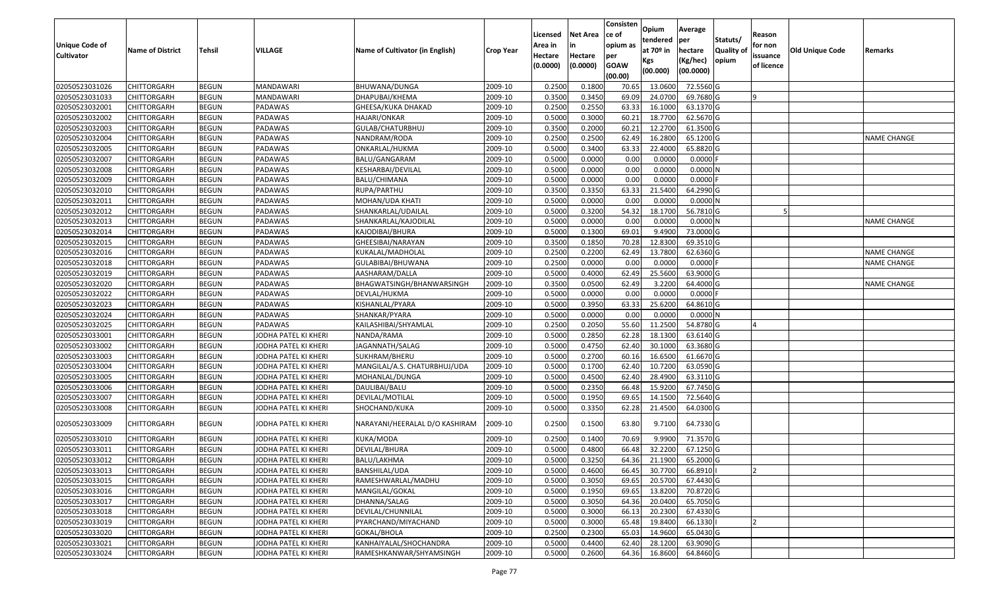|                       |                         |               |                      |                                 |                  | Licensed | <b>Net Area</b> | Consisten<br>ce of | Opium                 | Average    |                  |                   |                 |                    |
|-----------------------|-------------------------|---------------|----------------------|---------------------------------|------------------|----------|-----------------|--------------------|-----------------------|------------|------------------|-------------------|-----------------|--------------------|
| <b>Unique Code of</b> |                         |               |                      |                                 |                  | Area in  |                 | opium as           | tendered              | per        | Statuts/         | Reason<br>for non |                 |                    |
| <b>Cultivator</b>     | <b>Name of District</b> | <b>Tehsil</b> | VILLAGE              | Name of Cultivator (in English) | <b>Crop Year</b> | Hectare  | Hectare         | per                | at 70 <sup>o</sup> in | hectare    | <b>Quality o</b> | issuance          | Old Unique Code | Remarks            |
|                       |                         |               |                      |                                 |                  | (0.0000) | (0.0000)        | <b>GOAW</b>        | Kgs                   | (Kg/hec)   | opium            | of licence        |                 |                    |
|                       |                         |               |                      |                                 |                  |          |                 | (00.00)            | (00.000)              | (00.0000)  |                  |                   |                 |                    |
| 02050523031026        | CHITTORGARH             | <b>BEGUN</b>  | MANDAWARI            | BHUWANA/DUNGA                   | 2009-10          | 0.2500   | 0.1800          | 70.65              | 13.0600               | 72.5560 G  |                  |                   |                 |                    |
| 02050523031033        | CHITTORGARH             | <b>BEGUN</b>  | <b>MANDAWARI</b>     | DHAPUBAI/KHEMA                  | 2009-10          | 0.3500   | 0.3450          | 69.09              | 24.0700               | 69.7680 G  |                  |                   |                 |                    |
| 02050523032001        | CHITTORGARH             | <b>BEGUN</b>  | PADAWAS              | GHEESA/KUKA DHAKAD              | 2009-10          | 0.2500   | 0.2550          | 63.33              | 16.1000               | 63.1370 G  |                  |                   |                 |                    |
| 02050523032002        | <b>CHITTORGARH</b>      | <b>BEGUN</b>  | PADAWAS              | HAJARI/ONKAR                    | 2009-10          | 0.5000   | 0.3000          | 60.21              | 18.7700               | 62.5670 G  |                  |                   |                 |                    |
| 02050523032003        | CHITTORGARH             | <b>BEGUN</b>  | PADAWAS              | GULAB/CHATURBHUJ                | 2009-10          | 0.3500   | 0.2000          | 60.2               | 12.2700               | 61.3500 G  |                  |                   |                 |                    |
| 02050523032004        | CHITTORGARH             | <b>BEGUN</b>  | PADAWAS              | NANDRAM/RODA                    | 2009-10          | 0.2500   | 0.2500          | 62.49              | 16.2800               | 65.1200 G  |                  |                   |                 | <b>NAME CHANGE</b> |
| 02050523032005        | CHITTORGARH             | <b>BEGUN</b>  | PADAWAS              | ONKARLAL/HUKMA                  | 2009-10          | 0.5000   | 0.3400          | 63.33              | 22.4000               | 65.8820 G  |                  |                   |                 |                    |
| 02050523032007        | CHITTORGARH             | <b>BEGUN</b>  | PADAWAS              | BALU/GANGARAM                   | 2009-10          | 0.5000   | 0.0000          | 0.00               | 0.0000                | $0.0000$ F |                  |                   |                 |                    |
| 02050523032008        | CHITTORGARH             | <b>BEGUN</b>  | PADAWAS              | KESHARBAI/DEVILAL               | 2009-10          | 0.5000   | 0.0000          | 0.00               | 0.0000                | 0.0000N    |                  |                   |                 |                    |
| 02050523032009        | CHITTORGARH             | <b>BEGUN</b>  | PADAWAS              | BALU/CHIMANA                    | 2009-10          | 0.5000   | 0.0000          | 0.00               | 0.0000                | 0.0000 F   |                  |                   |                 |                    |
| 02050523032010        | CHITTORGARH             | <b>BEGUN</b>  | PADAWAS              | RUPA/PARTHU                     | 2009-10          | 0.3500   | 0.3350          | 63.33              | 21.5400               | 64.2990 G  |                  |                   |                 |                    |
| 02050523032011        | <b>CHITTORGARH</b>      | <b>BEGUN</b>  | PADAWAS              | MOHAN/UDA KHATI                 | 2009-10          | 0.5000   | 0.0000          | 0.00               | 0.0000                | 0.0000N    |                  |                   |                 |                    |
| 02050523032012        | <b>CHITTORGARH</b>      | <b>BEGUN</b>  | PADAWAS              | SHANKARLAL/UDAILAL              | 2009-10          | 0.5000   | 0.3200          | 54.32              | 18.1700               | 56.7810 G  |                  |                   |                 |                    |
| 02050523032013        | <b>CHITTORGARH</b>      | <b>BEGUN</b>  | PADAWAS              | SHANKARLAL/KAJODILAL            | 2009-10          | 0.5000   | 0.0000          | 0.00               | 0.0000                | 0.0000N    |                  |                   |                 | <b>NAME CHANGE</b> |
| 02050523032014        | CHITTORGARH             | <b>BEGUN</b>  | PADAWAS              | KAJODIBAI/BHURA                 | 2009-10          | 0.5000   | 0.1300          | 69.01              | 9.4900                | 73.0000G   |                  |                   |                 |                    |
| 02050523032015        | <b>CHITTORGARH</b>      | <b>BEGUN</b>  | PADAWAS              | GHEESIBAI/NARAYAN               | 2009-10          | 0.3500   | 0.1850          | 70.28              | 12.8300               | 69.3510 G  |                  |                   |                 |                    |
| 02050523032016        | CHITTORGARH             | <b>BEGUN</b>  | PADAWAS              | KUKALAL/MADHOLAL                | 2009-10          | 0.2500   | 0.2200          | 62.49              | 13.7800               | 62.6360 G  |                  |                   |                 | <b>NAME CHANGE</b> |
| 02050523032018        | CHITTORGARH             | <b>BEGUN</b>  | PADAWAS              | GULABIBAI/BHUWANA               | 2009-10          | 0.2500   | 0.0000          | 0.00               | 0.0000                | 0.0000F    |                  |                   |                 | <b>NAME CHANGE</b> |
| 02050523032019        | CHITTORGARH             | <b>BEGUN</b>  | PADAWAS              | AASHARAM/DALLA                  | 2009-10          | 0.5000   | 0.4000          | 62.49              | 25.5600               | 63.9000 G  |                  |                   |                 |                    |
| 02050523032020        | CHITTORGARH             | <b>BEGUN</b>  | PADAWAS              | BHAGWATSINGH/BHANWARSINGH       | 2009-10          | 0.3500   | 0.0500          | 62.49              | 3.2200                | 64.4000 G  |                  |                   |                 | <b>NAME CHANGE</b> |
| 02050523032022        | CHITTORGARH             | <b>BEGUN</b>  | PADAWAS              | DEVLAL/HUKMA                    | 2009-10          | 0.5000   | 0.0000          | 0.00               | 0.0000                | 0.0000F    |                  |                   |                 |                    |
| 02050523032023        | CHITTORGARH             | <b>BEGUN</b>  | PADAWAS              | KISHANLAL/PYARA                 | 2009-10          | 0.500    | 0.3950          | 63.33              | 25.6200               | 64.8610 G  |                  |                   |                 |                    |
| 02050523032024        | CHITTORGARH             | <b>BEGUN</b>  | PADAWAS              | SHANKAR/PYARA                   | 2009-10          | 0.5000   | 0.0000          | 0.00               | 0.0000                | 0.0000N    |                  |                   |                 |                    |
| 02050523032025        | <b>CHITTORGARH</b>      | <b>BEGUN</b>  | PADAWAS              | KAILASHIBAI/SHYAMLAL            | 2009-10          | 0.2500   | 0.2050          | 55.60              | 11.2500               | 54.8780 G  |                  |                   |                 |                    |
| 02050523033001        | CHITTORGARH             | <b>BEGUN</b>  | JODHA PATEL KI KHERI | NANDA/RAMA                      | 2009-10          | 0.5000   | 0.2850          | 62.28              | 18.1300               | 63.6140 G  |                  |                   |                 |                    |
| 02050523033002        | CHITTORGARH             | <b>BEGUN</b>  | JODHA PATEL KI KHERI | JAGANNATH/SALAG                 | 2009-10          | 0.5000   | 0.4750          | 62.40              | 30.1000               | 63.3680 G  |                  |                   |                 |                    |
| 02050523033003        | CHITTORGARH             | <b>BEGUN</b>  | JODHA PATEL KI KHERI | SUKHRAM/BHERU                   | 2009-10          | 0.5000   | 0.2700          | 60.1               | 16.6500               | 61.6670 G  |                  |                   |                 |                    |
| 02050523033004        | CHITTORGARH             | <b>BEGUN</b>  | JODHA PATEL KI KHERI | MANGILAL/A.S. CHATURBHUJ/UDA    | 2009-10          | 0.5000   | 0.1700          | 62.40              | 10.7200               | 63.0590 G  |                  |                   |                 |                    |
| 02050523033005        | CHITTORGARH             | <b>BEGUN</b>  | JODHA PATEL KI KHERI | MOHANLAL/DUNGA                  | 2009-10          | 0.5000   | 0.4500          | 62.40              | 28.4900               | 63.3110 G  |                  |                   |                 |                    |
| 02050523033006        | CHITTORGARH             | <b>BEGUN</b>  | JODHA PATEL KI KHERI | DAULIBAI/BALU                   | 2009-10          | 0.5000   | 0.2350          | 66.48              | 15.9200               | 67.7450 G  |                  |                   |                 |                    |
| 02050523033007        | CHITTORGARH             | <b>BEGUN</b>  | JODHA PATEL KI KHERI | DEVILAL/MOTILAL                 | 2009-10          | 0.500    | 0.1950          | 69.65              | 14.1500               | 72.5640 G  |                  |                   |                 |                    |
| 02050523033008        | CHITTORGARH             | <b>BEGUN</b>  | JODHA PATEL KI KHERI | SHOCHAND/KUKA                   | 2009-10          | 0.5000   | 0.3350          | 62.28              | 21.4500               | 64.0300 G  |                  |                   |                 |                    |
| 02050523033009        | CHITTORGARH             | <b>BEGUN</b>  | JODHA PATEL KI KHERI | NARAYANI/HEERALAL D/O KASHIRAM  | 2009-10          | 0.2500   | 0.1500          | 63.80              | 9.7100                | 64.7330 G  |                  |                   |                 |                    |
| 02050523033010        | CHITTORGARH             | <b>BEGUN</b>  | JODHA PATEL KI KHERI | KUKA/MODA                       | 2009-10          | 0.250    | 0.1400          | 70.69              | 9.9900                | 71.3570G   |                  |                   |                 |                    |
| 02050523033011        | CHITTORGARH             | <b>BEGUN</b>  | JODHA PATEL KI KHERI | DEVILAL/BHURA                   | 2009-10          | 0.5000   | 0.4800          | 66.48              | 32.2200               | 67.1250 G  |                  |                   |                 |                    |
| 02050523033012        | <b>CHITTORGARH</b>      | <b>BEGUN</b>  | JODHA PATEL KI KHERI | BALU/LAKHMA                     | 2009-10          | 0.5000   | 0.3250          |                    | 64.36 21.1900         | 65.2000 G  |                  |                   |                 |                    |
| 02050523033013        | <b>CHITTORGARH</b>      | <b>BEGUN</b>  | JODHA PATEL KI KHERI | BANSHILAL/UDA                   | 2009-10          | 0.5000   | 0.4600          | 66.45              | 30.7700               | 66.8910    |                  |                   |                 |                    |
| 02050523033015        | <b>CHITTORGARH</b>      | <b>BEGUN</b>  | JODHA PATEL KI KHERI | RAMESHWARLAL/MADHU              | 2009-10          | 0.5000   | 0.3050          | 69.65              | 20.5700               | 67.4430 G  |                  |                   |                 |                    |
| 02050523033016        | <b>CHITTORGARH</b>      | <b>BEGUN</b>  | JODHA PATEL KI KHERI | MANGILAL/GOKAL                  | 2009-10          | 0.5000   | 0.1950          | 69.65              | 13.8200               | 70.8720 G  |                  |                   |                 |                    |
| 02050523033017        | CHITTORGARH             | <b>BEGUN</b>  | JODHA PATEL KI KHERI | DHANNA/SALAG                    | 2009-10          | 0.5000   | 0.3050          | 64.36              | 20.0400               | 65.7050 G  |                  |                   |                 |                    |
| 02050523033018        | <b>CHITTORGARH</b>      | <b>BEGUN</b>  | JODHA PATEL KI KHERI | DEVILAL/CHUNNILAL               | 2009-10          | 0.5000   | 0.3000          | 66.13              | 20.2300               | 67.4330 G  |                  |                   |                 |                    |
| 02050523033019        | <b>CHITTORGARH</b>      | <b>BEGUN</b>  | JODHA PATEL KI KHERI | PYARCHAND/MIYACHAND             | 2009-10          | 0.5000   | 0.3000          | 65.48              | 19.8400               | 66.1330    |                  |                   |                 |                    |
| 02050523033020        | CHITTORGARH             | <b>BEGUN</b>  | JODHA PATEL KI KHERI | GOKAL/BHOLA                     | 2009-10          | 0.2500   | 0.2300          | 65.03              | 14.9600               | 65.0430 G  |                  |                   |                 |                    |
| 02050523033021        | CHITTORGARH             | <b>BEGUN</b>  | JODHA PATEL KI KHERI | KANHAIYALAL/SHOCHANDRA          | 2009-10          | 0.5000   | 0.4400          | 62.40              | 28.1200               | 63.9090 G  |                  |                   |                 |                    |
| 02050523033024        | <b>CHITTORGARH</b>      | <b>BEGUN</b>  | JODHA PATEL KI KHERI | RAMESHKANWAR/SHYAMSINGH         | 2009-10          | 0.5000   | 0.2600          | 64.36              | 16.8600               | 64.8460 G  |                  |                   |                 |                    |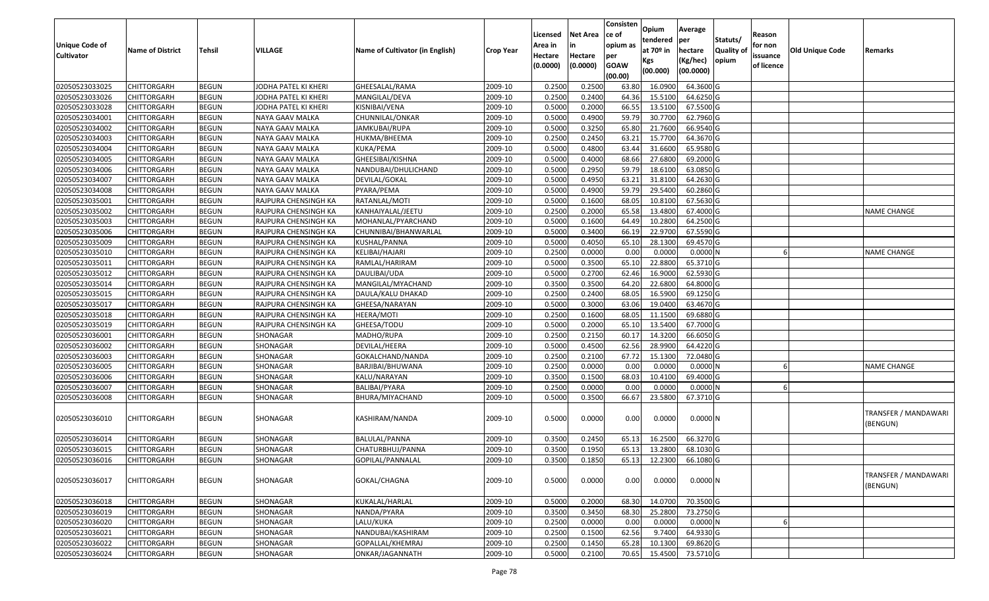|                       |                         |               |                      |                                 |                  | Licensed | <b>Net Area</b> | Consisten<br>ce of | Opium<br>tendered     | Average<br>per | Statuts/         | Reason     |                        |                                  |
|-----------------------|-------------------------|---------------|----------------------|---------------------------------|------------------|----------|-----------------|--------------------|-----------------------|----------------|------------------|------------|------------------------|----------------------------------|
| <b>Unique Code of</b> | <b>Name of District</b> | <b>Tehsil</b> | VILLAGE              | Name of Cultivator (in English) | <b>Crop Year</b> | Area in  |                 | opium as           | at 70 <sup>o</sup> in | hectare        | <b>Quality o</b> | for non    | <b>Old Unique Code</b> | Remarks                          |
| <b>Cultivator</b>     |                         |               |                      |                                 |                  | Hectare  | Hectare         | per                | Kgs                   | (Kg/hec)       | opium            | issuance   |                        |                                  |
|                       |                         |               |                      |                                 |                  | (0.0000) | (0.0000)        | <b>GOAW</b>        | (00.000)              | (00.0000)      |                  | of licence |                        |                                  |
| 02050523033025        | CHITTORGARH             | <b>BEGUN</b>  | JODHA PATEL KI KHERI | GHEESALAL/RAMA                  | 2009-10          | 0.2500   | 0.2500          | (00.00)<br>63.80   | 16.0900               | 64.3600 G      |                  |            |                        |                                  |
| 02050523033026        | CHITTORGARH             | <b>BEGUN</b>  | JODHA PATEL KI KHERI | MANGILAL/DEVA                   | 2009-10          | 0.2500   | 0.2400          | 64.36              | 15.5100               | 64.6250 G      |                  |            |                        |                                  |
| 02050523033028        | <b>CHITTORGARH</b>      | <b>BEGUN</b>  | JODHA PATEL KI KHERI | KISNIBAI/VENA                   | 2009-10          | 0.5000   | 0.2000          | 66.55              | 13.5100               | 67.5500 G      |                  |            |                        |                                  |
| 02050523034001        | <b>CHITTORGARH</b>      | <b>BEGUN</b>  | NAYA GAAV MALKA      | CHUNNILAL/ONKAR                 | 2009-10          | 0.5000   | 0.4900          | 59.79              | 30.7700               | 62.7960 G      |                  |            |                        |                                  |
| 02050523034002        | CHITTORGARH             | <b>BEGUN</b>  | NAYA GAAV MALKA      | JAMKUBAI/RUPA                   | 2009-10          | 0.5000   | 0.3250          | 65.80              | 21.7600               | 66.9540 G      |                  |            |                        |                                  |
| 02050523034003        | CHITTORGARH             | <b>BEGUN</b>  | NAYA GAAV MALKA      | HUKMA/BHEEMA                    | 2009-10          | 0.2500   | 0.2450          | 63.21              | 15.7700               | 64.3670 G      |                  |            |                        |                                  |
| 02050523034004        | CHITTORGARH             | <b>BEGUN</b>  | NAYA GAAV MALKA      | KUKA/PEMA                       | 2009-10          | 0.5000   | 0.4800          | 63.44              | 31.6600               | 65.9580 G      |                  |            |                        |                                  |
| 02050523034005        | CHITTORGARH             | <b>BEGUN</b>  | NAYA GAAV MALKA      | GHEESIBAI/KISHNA                | 2009-10          | 0.5000   | 0.4000          | 68.66              | 27.6800               | 69.2000 G      |                  |            |                        |                                  |
| 02050523034006        | <b>CHITTORGARH</b>      | <b>BEGUN</b>  | NAYA GAAV MALKA      | NANDUBAI/DHULICHAND             | 2009-10          | 0.5000   | 0.2950          | 59.79              | 18.6100               | 63.0850 G      |                  |            |                        |                                  |
| 02050523034007        | CHITTORGARH             | <b>BEGUN</b>  | NAYA GAAV MALKA      | DEVILAL/GOKAL                   | 2009-10          | 0.5000   | 0.4950          | 63.21              | 31.8100               | 64.2630 G      |                  |            |                        |                                  |
| 02050523034008        | CHITTORGARH             | <b>BEGUN</b>  | NAYA GAAV MALKA      | PYARA/PEMA                      | 2009-10          | 0.5000   | 0.4900          | 59.79              | 29.5400               | 60.2860 G      |                  |            |                        |                                  |
| 02050523035001        | <b>CHITTORGARH</b>      | <b>BEGUN</b>  | RAJPURA CHENSINGH KA | RATANLAL/MOTI                   | 2009-10          | 0.5000   | 0.1600          | 68.05              | 10.8100               | 67.5630 G      |                  |            |                        |                                  |
| 02050523035002        | <b>CHITTORGARH</b>      | <b>BEGUN</b>  | RAJPURA CHENSINGH KA | KANHAIYALAL/JEETU               | 2009-10          | 0.2500   | 0.2000          | 65.58              | 13.4800               | 67.4000G       |                  |            |                        | <b>NAME CHANGE</b>               |
| 02050523035003        | <b>CHITTORGARH</b>      | <b>BEGUN</b>  | RAJPURA CHENSINGH KA | MOHANLAL/PYARCHAND              | 2009-10          | 0.5000   | 0.1600          | 64.49              | 10.2800               | 64.2500 G      |                  |            |                        |                                  |
| 02050523035006        | CHITTORGARH             | <b>BEGUN</b>  | RAJPURA CHENSINGH KA | CHUNNIBAI/BHANWARLAL            | 2009-10          | 0.5000   | 0.3400          | 66.19              | 22.9700               | 67.5590 G      |                  |            |                        |                                  |
| 02050523035009        | <b>CHITTORGARH</b>      | <b>BEGUN</b>  | RAJPURA CHENSINGH KA | KUSHAL/PANNA                    | 2009-10          | 0.5000   | 0.4050          | 65.10              | 28.1300               | 69.4570 G      |                  |            |                        |                                  |
| 02050523035010        | <b>CHITTORGARH</b>      | <b>BEGUN</b>  | RAJPURA CHENSINGH KA | KELIBAI/HAJARI                  | 2009-10          | 0.2500   | 0.0000          | 0.00               | 0.0000                | 0.0000N        |                  |            |                        | <b>NAME CHANGE</b>               |
| 02050523035011        | CHITTORGARH             | <b>BEGUN</b>  | RAJPURA CHENSINGH KA | RAMLAL/HARIRAM                  | 2009-10          | 0.5000   | 0.3500          | 65.10              | 22.8800               | 65.3710 G      |                  |            |                        |                                  |
| 02050523035012        | CHITTORGARH             | <b>BEGUN</b>  | RAJPURA CHENSINGH KA | DAULIBAI/UDA                    | 2009-10          | 0.5000   | 0.2700          | 62.46              | 16.9000               | 62.5930 G      |                  |            |                        |                                  |
| 02050523035014        | CHITTORGARH             | <b>BEGUN</b>  | RAJPURA CHENSINGH KA | MANGILAL/MYACHAND               | 2009-10          | 0.3500   | 0.3500          | 64.20              | 22.6800               | 64.8000 G      |                  |            |                        |                                  |
| 02050523035015        | CHITTORGARH             | <b>BEGUN</b>  | RAJPURA CHENSINGH KA | DAULA/KALU DHAKAD               | 2009-10          | 0.2500   | 0.2400          | 68.05              | 16.5900               | 69.1250 G      |                  |            |                        |                                  |
| 02050523035017        | CHITTORGARH             | <b>BEGUN</b>  | RAJPURA CHENSINGH KA | GHEESA/NARAYAN                  | 2009-10          | 0.5000   | 0.3000          | 63.06              | 19.0400               | 63.4670 G      |                  |            |                        |                                  |
| 02050523035018        | CHITTORGARH             | <b>BEGUN</b>  | RAJPURA CHENSINGH KA | HEERA/MOTI                      | 2009-10          | 0.2500   | 0.1600          | 68.05              | 11.1500               | 69.6880 G      |                  |            |                        |                                  |
| 02050523035019        | <b>CHITTORGARH</b>      | <b>BEGUN</b>  | RAJPURA CHENSINGH KA | GHEESA/TODU                     | 2009-10          | 0.5000   | 0.2000          | 65.1               | 13.5400               | 67.7000 G      |                  |            |                        |                                  |
| 02050523036001        | CHITTORGARH             | <b>BEGUN</b>  | SHONAGAR             | MADHO/RUPA                      | 2009-10          | 0.2500   | 0.2150          | 60.1               | 14.3200               | 66.6050 G      |                  |            |                        |                                  |
| 02050523036002        | CHITTORGARH             | <b>BEGUN</b>  | SHONAGAR             | DEVILAL/HEERA                   | 2009-10          | 0.5000   | 0.4500          | 62.56              | 28.9900               | 64.4220 G      |                  |            |                        |                                  |
| 02050523036003        | CHITTORGARH             | <b>BEGUN</b>  | SHONAGAR             | GOKALCHAND/NANDA                | 2009-10          | 0.2500   | 0.2100          | 67.72              | 15.1300               | 72.0480 G      |                  |            |                        |                                  |
| 02050523036005        | <b>CHITTORGARH</b>      | <b>BEGUN</b>  | SHONAGAR             | BARJIBAI/BHUWANA                | 2009-10          | 0.2500   | 0.0000          | 0.00               | 0.0000                | 0.0000N        |                  |            |                        | <b>NAME CHANGE</b>               |
| 02050523036006        | CHITTORGARH             | <b>BEGUN</b>  | SHONAGAR             | KALU/NARAYAN                    | 2009-10          | 0.3500   | 0.1500          | 68.03              | 10.4100               | 69.4000 G      |                  |            |                        |                                  |
| 02050523036007        | CHITTORGARH             | <b>BEGUN</b>  | SHONAGAR             | BALIBAI/PYARA                   | 2009-10          | 0.2500   | 0.0000          | 0.00               | 0.0000                | 0.0000N        |                  |            |                        |                                  |
| 02050523036008        | CHITTORGARH             | <b>BEGUN</b>  | SHONAGAR             | BHURA/MIYACHAND                 | 2009-10          | 0.5000   | 0.3500          | 66.67              | 23.5800               | 67.3710 G      |                  |            |                        |                                  |
|                       |                         |               |                      |                                 |                  |          |                 |                    |                       |                |                  |            |                        |                                  |
| 02050523036010        | CHITTORGARH             | <b>BEGUN</b>  | SHONAGAR             | KASHIRAM/NANDA                  | 2009-10          | 0.5000   | 0.0000          | 0.00               | 0.0000                | 0.0000N        |                  |            |                        | TRANSFER / MANDAWARI<br>(BENGUN) |
| 02050523036014        | CHITTORGARH             | <b>BEGUN</b>  | SHONAGAR             | BALULAL/PANNA                   | 2009-10          | 0.3500   | 0.2450          | 65.13              | 16.2500               | 66.3270 G      |                  |            |                        |                                  |
| 02050523036015        | CHITTORGARH             | <b>BEGUN</b>  | SHONAGAR             | CHATURBHUJ/PANNA                | 2009-10          | 0.3500   | 0.1950          | 65.13              | 13.2800               | 68.1030 G      |                  |            |                        |                                  |
| 02050523036016        | CHITTORGARH             | <b>BEGUN</b>  | SHONAGAR             | GOPILAL/PANNALAL                | 2009-10          | 0.3500   | 0.1850          | 65.13              | 12.2300               | 66.1080 G      |                  |            |                        |                                  |
| 02050523036017        | CHITTORGARH             | <b>BEGUN</b>  | SHONAGAR             | GOKAL/CHAGNA                    | 2009-10          | 0.5000   | 0.0000          | 0.00               | 0.0000                | 0.0000N        |                  |            |                        | TRANSFER / MANDAWARI<br>(BENGUN) |
| 02050523036018        | <b>CHITTORGARH</b>      | <b>BEGUN</b>  | SHONAGAR             | KUKALAL/HARLAL                  | 2009-10          | 0.5000   | 0.2000          | 68.30              | 14.0700               | 70.3500 G      |                  |            |                        |                                  |
| 02050523036019        | <b>CHITTORGARH</b>      | <b>BEGUN</b>  | SHONAGAR             | NANDA/PYARA                     | 2009-10          | 0.3500   | 0.3450          | 68.30              | 25.2800               | 73.2750 G      |                  |            |                        |                                  |
| 02050523036020        | <b>CHITTORGARH</b>      | <b>BEGUN</b>  | SHONAGAR             | LALU/KUKA                       | 2009-10          | 0.2500   | 0.0000          | 0.00               | 0.0000                | 0.0000N        |                  |            |                        |                                  |
| 02050523036021        | <b>CHITTORGARH</b>      | <b>BEGUN</b>  | SHONAGAR             | NANDUBAI/KASHIRAM               | 2009-10          | 0.2500   | 0.1500          | 62.56              | 9.7400                | 64.9330 G      |                  |            |                        |                                  |
| 02050523036022        | <b>CHITTORGARH</b>      | <b>BEGUN</b>  | SHONAGAR             | GOPALLAL/KHEMRAJ                | 2009-10          | 0.2500   | 0.1450          | 65.28              | 10.1300               | 69.8620 G      |                  |            |                        |                                  |
| 02050523036024        | <b>CHITTORGARH</b>      | <b>BEGUN</b>  | SHONAGAR             | ONKAR/JAGANNATH                 | 2009-10          | 0.5000   | 0.2100          | 70.65              | 15.4500               | 73.5710 G      |                  |            |                        |                                  |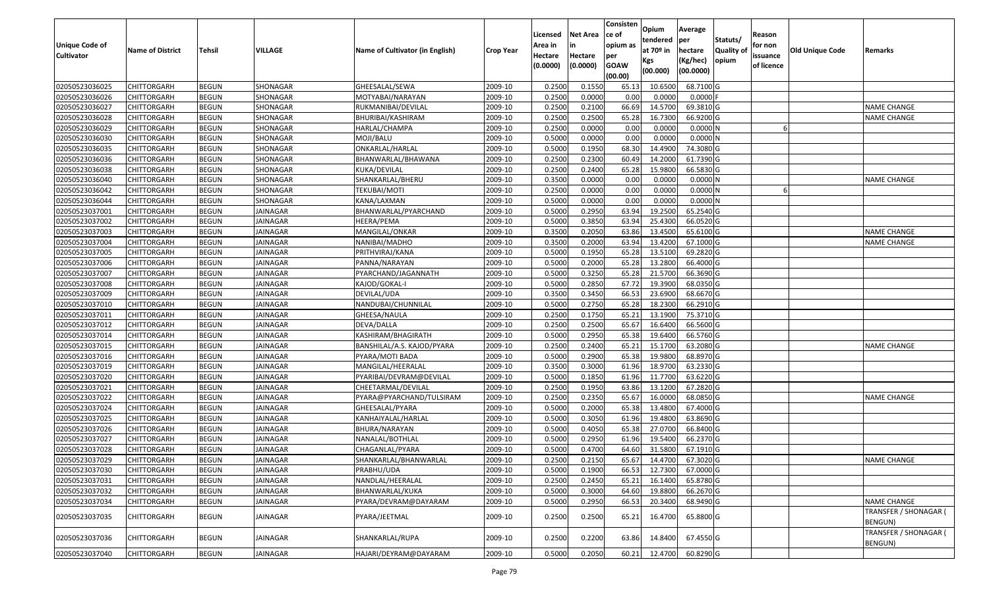| <b>Unique Code of</b><br><b>Cultivator</b> | <b>Name of District</b> | <b>Tehsil</b> | VILLAGE         | Name of Cultivator (in English) | <b>Crop Year</b> | Licensed<br>Area in<br>Hectare | <b>Net Area</b><br>Hectare | Consisten<br>ce of<br>opium as<br>per | Opium<br>tendered<br>at $70°$ in | Average<br>per<br>hectare | Statuts/<br><b>Quality of</b> | Reason<br>for non<br>issuance | <b>Old Unique Code</b> | Remarks                                 |
|--------------------------------------------|-------------------------|---------------|-----------------|---------------------------------|------------------|--------------------------------|----------------------------|---------------------------------------|----------------------------------|---------------------------|-------------------------------|-------------------------------|------------------------|-----------------------------------------|
|                                            |                         |               |                 |                                 |                  | (0.0000)                       | (0.0000)                   | <b>GOAW</b><br>(00.00)                | Kgs<br>(00.000)                  | (Kg/hec)<br>(00.0000)     | opium                         | of licence                    |                        |                                         |
| 02050523036025                             | <b>CHITTORGARH</b>      | <b>BEGUN</b>  | SHONAGAR        | GHEESALAL/SEWA                  | 2009-10          | 0.2500                         | 0.1550                     | 65.13                                 | 10.6500                          | 68.7100 G                 |                               |                               |                        |                                         |
| 02050523036026                             | CHITTORGARH             | <b>BEGUN</b>  | SHONAGAR        | MOTYABAI/NARAYAN                | 2009-10          | 0.2500                         | 0.0000                     | 0.00                                  | 0.0000                           | $0.0000$ F                |                               |                               |                        |                                         |
| 02050523036027                             | <b>CHITTORGARH</b>      | <b>BEGUN</b>  | SHONAGAR        | RUKMANIBAI/DEVILAL              | 2009-10          | 0.2500                         | 0.2100                     | 66.69                                 | 14.5700                          | 69.3810 G                 |                               |                               |                        | NAME CHANGE                             |
| 02050523036028                             | <b>CHITTORGARH</b>      | <b>BEGUN</b>  | <b>SHONAGAR</b> | BHURIBAI/KASHIRAM               | 2009-10          | 0.2500                         | 0.2500                     | 65.28                                 | 16.7300                          | 66.9200 G                 |                               |                               |                        | <b>NAME CHANGE</b>                      |
| 02050523036029                             | <b>CHITTORGARH</b>      | <b>BEGUN</b>  | SHONAGAR        | HARLAL/CHAMPA                   | 2009-10          | 0.2500                         | 0.0000                     | 0.00                                  | 0.0000                           | 0.0000N                   |                               |                               |                        |                                         |
| 02050523036030                             | CHITTORGARH             | <b>BEGUN</b>  | SHONAGAR        | MOJI/BALU                       | 2009-10          | 0.5000                         | 0.0000                     | 0.00                                  | 0.0000                           | 0.0000N                   |                               |                               |                        |                                         |
| 02050523036035                             | CHITTORGARH             | <b>BEGUN</b>  | SHONAGAR        | ONKARLAL/HARLAL                 | 2009-10          | 0.5000                         | 0.1950                     | 68.30                                 | 14.4900                          | 74.3080 G                 |                               |                               |                        |                                         |
| 02050523036036                             | <b>CHITTORGARH</b>      | <b>BEGUN</b>  | SHONAGAR        | BHANWARLAL/BHAWANA              | 2009-10          | 0.2500                         | 0.2300                     | 60.49                                 | 14.2000                          | 61.7390 G                 |                               |                               |                        |                                         |
| 02050523036038                             | CHITTORGARH             | <b>BEGUN</b>  | SHONAGAR        | KUKA/DEVILAL                    | 2009-10          | 0.2500                         | 0.2400                     | 65.28                                 | 15.9800                          | 66.5830 G                 |                               |                               |                        |                                         |
| 02050523036040                             | CHITTORGARH             | <b>BEGUN</b>  | SHONAGAR        | SHANKARLAL/BHERU                | 2009-10          | 0.3500                         | 0.0000                     | 0.00                                  | 0.0000                           | 0.0000N                   |                               |                               |                        | <b>NAME CHANGE</b>                      |
| 02050523036042                             | <b>CHITTORGARH</b>      | <b>BEGUN</b>  | SHONAGAR        | TEKUBAI/MOTI                    | 2009-10          | 0.2500                         | 0.0000                     | 0.00                                  | 0.0000                           | 0.0000N                   |                               |                               |                        |                                         |
| 02050523036044                             | <b>CHITTORGARH</b>      | <b>BEGUN</b>  | SHONAGAR        | KANA/LAXMAN                     | 2009-10          | 0.5000                         | 0.0000                     | 0.00                                  | 0.0000                           | 0.0000N                   |                               |                               |                        |                                         |
| 02050523037001                             | <b>CHITTORGARH</b>      | <b>BEGUN</b>  | <b>JAINAGAR</b> | BHANWARLAL/PYARCHAND            | 2009-10          | 0.5000                         | 0.2950                     | 63.94                                 | 19.2500                          | 65.2540 G                 |                               |                               |                        |                                         |
| 02050523037002                             | <b>CHITTORGARH</b>      | <b>BEGUN</b>  | JAINAGAR        | HEERA/PEMA                      | 2009-10          | 0.5000                         | 0.3850                     | 63.94                                 | 25.4300                          | 66.0520 G                 |                               |                               |                        |                                         |
| 02050523037003                             | <b>CHITTORGARH</b>      | <b>BEGUN</b>  | JAINAGAR        | MANGILAL/ONKAR                  | 2009-10          | 0.3500                         | 0.2050                     | 63.86                                 | 13.4500                          | 65.6100 G                 |                               |                               |                        | NAME CHANGE                             |
| 02050523037004                             | <b>CHITTORGARH</b>      | <b>BEGUN</b>  | <b>JAINAGAR</b> | NANIBAI/MADHO                   | 2009-10          | 0.3500                         | 0.2000                     | 63.94                                 | 13.4200                          | 67.1000 G                 |                               |                               |                        | NAME CHANGE                             |
| 02050523037005                             | <b>CHITTORGARH</b>      | <b>BEGUN</b>  | <b>JAINAGAR</b> | PRITHVIRAJ/KANA                 | 2009-10          | 0.5000                         | 0.1950                     | 65.28                                 | 13.5100                          | 69.2820 G                 |                               |                               |                        |                                         |
| 02050523037006                             | <b>CHITTORGARH</b>      | <b>BEGUN</b>  | <b>JAINAGAR</b> | PANNA/NARAYAN                   | 2009-10          | 0.5000                         | 0.2000                     | 65.28                                 | 13.2800                          | 66.4000 G                 |                               |                               |                        |                                         |
| 02050523037007                             | CHITTORGARH             | <b>BEGUN</b>  | JAINAGAR        | PYARCHAND/JAGANNATH             | 2009-10          | 0.5000                         | 0.3250                     | 65.28                                 | 21.5700                          | 66.3690 G                 |                               |                               |                        |                                         |
| 02050523037008                             | <b>CHITTORGARH</b>      | <b>BEGUN</b>  | <b>JAINAGAR</b> | KAJOD/GOKAL-I                   | 2009-10          | 0.5000                         | 0.2850                     | 67.72                                 | 19.3900                          | 68.0350 G                 |                               |                               |                        |                                         |
| 02050523037009                             | <b>CHITTORGARH</b>      | <b>BEGUN</b>  | <b>JAINAGAR</b> | DEVILAL/UDA                     | 2009-10          | 0.3500                         | 0.3450                     | 66.53                                 | 23.6900                          | 68.6670 G                 |                               |                               |                        |                                         |
| 02050523037010                             | CHITTORGARH             | <b>BEGUN</b>  | JAINAGAR        | NANDUBAI/CHUNNILAL              | 2009-10          | 0.500                          | 0.2750                     | 65.28                                 | 18.2300                          | 66.2910 G                 |                               |                               |                        |                                         |
| 02050523037011                             | CHITTORGARH             | <b>BEGUN</b>  | <b>JAINAGAR</b> | GHEESA/NAULA                    | 2009-10          | 0.2500                         | 0.1750                     | 65.21                                 | 13.1900                          | 75.3710 G                 |                               |                               |                        |                                         |
| 02050523037012                             | <b>CHITTORGARH</b>      | <b>BEGUN</b>  | JAINAGAR        | DEVA/DALLA                      | 2009-10          | 0.2500                         | 0.2500                     | 65.67                                 | 16.6400                          | 66.5600 G                 |                               |                               |                        |                                         |
| 02050523037014                             | <b>CHITTORGARH</b>      | <b>BEGUN</b>  | <b>JAINAGAR</b> | KASHIRAM/BHAGIRATH              | 2009-10          | 0.5000                         | 0.2950                     | 65.38                                 | 19.6400                          | 66.5760 G                 |                               |                               |                        |                                         |
| 02050523037015                             | <b>CHITTORGARH</b>      | <b>BEGUN</b>  | <b>JAINAGAR</b> | BANSHILAL/A.S. KAJOD/PYARA      | 2009-10          | 0.2500                         | 0.2400                     | 65.2                                  | 15.1700                          | 63.2080 G                 |                               |                               |                        | <b>NAME CHANGE</b>                      |
| 02050523037016                             | <b>CHITTORGARH</b>      | <b>BEGUN</b>  | <b>JAINAGAR</b> | PYARA/MOTI BADA                 | 2009-10          | 0.5000                         | 0.2900                     | 65.38                                 | 19.9800                          | 68.8970 G                 |                               |                               |                        |                                         |
| 02050523037019                             | <b>CHITTORGARH</b>      | <b>BEGUN</b>  | <b>JAINAGAR</b> | MANGILAL/HEERALAL               | 2009-10          | 0.3500                         | 0.3000                     | 61.96                                 | 18.9700                          | 63.2330 G                 |                               |                               |                        |                                         |
| 02050523037020                             | <b>CHITTORGARH</b>      | <b>BEGUN</b>  | <b>JAINAGAR</b> | PYARIBAI/DEVRAM@DEVILAL         | 2009-10          | 0.5000                         | 0.1850                     | 61.96                                 | 11.7700                          | 63.6220 G                 |                               |                               |                        |                                         |
| 02050523037021                             | <b>CHITTORGARH</b>      | <b>BEGUN</b>  | <b>JAINAGAR</b> | CHEETARMAL/DEVILAL              | 2009-10          | 0.2500                         | 0.1950                     | 63.86                                 | 13.1200                          | 67.2820 G                 |                               |                               |                        |                                         |
| 02050523037022                             | CHITTORGARH             | <b>BEGUN</b>  | <b>JAINAGAR</b> | PYARA@PYARCHAND/TULSIRAM        | 2009-10          | 0.2500                         | 0.2350                     | 65.67                                 | 16.0000                          | 68.0850 G                 |                               |                               |                        | <b>NAME CHANGE</b>                      |
| 02050523037024                             | CHITTORGARH             | <b>BEGUN</b>  | <b>JAINAGAR</b> | GHEESALAL/PYARA                 | 2009-10          | 0.5000                         | 0.2000                     | 65.38                                 | 13.4800                          | 67.4000 G                 |                               |                               |                        |                                         |
| 02050523037025                             | <b>CHITTORGARH</b>      | <b>BEGUN</b>  | <b>JAINAGAR</b> | KANHAIYALAL/HARLAL              | 2009-10          | 0.5000                         | 0.3050                     | 61.96                                 | 19.4800                          | 63.8690 G                 |                               |                               |                        |                                         |
| 02050523037026                             | <b>CHITTORGARH</b>      | <b>BEGUN</b>  | JAINAGAR        | BHURA/NARAYAN                   | 2009-10          | 0.500                          | 0.4050                     | 65.38                                 | 27.0700                          | 66.8400 G                 |                               |                               |                        |                                         |
| 02050523037027                             | CHITTORGARH             | <b>BEGUN</b>  | <b>JAINAGAR</b> | NANALAL/BOTHLAL                 | 2009-10          | 0.500                          | 0.2950                     | 61.96                                 | 19.5400                          | 66.2370 G                 |                               |                               |                        |                                         |
| 02050523037028                             | CHITTORGARH             | <b>BEGUN</b>  | <b>JAINAGAR</b> | CHAGANLAL/PYARA                 | 2009-10          | 0.5000                         | 0.4700                     | 64.60                                 | 31.5800                          | 67.1910 G                 |                               |                               |                        |                                         |
| 02050523037029                             | <b>CHITTORGARH</b>      | <b>BEGUN</b>  | <b>JAINAGAR</b> | SHANKARLAL/BHANWARLAL           | 2009-10          | 0.2500                         | 0.2150                     | 65.67                                 | 14.4700                          | $67.3020$ G               |                               |                               |                        | <b>NAME CHANGE</b>                      |
| 02050523037030                             | <b>CHITTORGARH</b>      | <b>BEGUN</b>  | <b>JAINAGAR</b> | PRABHU/UDA                      | 2009-10          | 0.5000                         | 0.1900                     | 66.53                                 | 12.7300                          | 67.0000 G                 |                               |                               |                        |                                         |
| 02050523037031                             | <b>CHITTORGARH</b>      | <b>BEGUN</b>  | JAINAGAR        | NANDLAL/HEERALAL                | 2009-10          | 0.2500                         | 0.2450                     | 65.21                                 | 16.1400                          | 65.8780 G                 |                               |                               |                        |                                         |
| 02050523037032                             | <b>CHITTORGARH</b>      | <b>BEGUN</b>  | JAINAGAR        | BHANWARLAL/KUKA                 | 2009-10          | 0.5000                         | 0.3000                     | 64.60                                 | 19.8800                          | 66.2670 G                 |                               |                               |                        |                                         |
| 02050523037034                             | <b>CHITTORGARH</b>      | <b>BEGUN</b>  | JAINAGAR        | PYARA/DEVRAM@DAYARAM            | 2009-10          | 0.5000                         | 0.2950                     | 66.53                                 | 20.3400                          | 68.9490 G                 |                               |                               |                        | <b>NAME CHANGE</b>                      |
| 02050523037035                             | <b>CHITTORGARH</b>      | <b>BEGUN</b>  | JAINAGAR        | PYARA/JEETMAL                   | 2009-10          | 0.2500                         | 0.2500                     | 65.21                                 | 16.4700                          | 65.8800 G                 |                               |                               |                        | TRANSFER / SHONAGAR (<br>BENGUN)        |
| 02050523037036                             | <b>CHITTORGARH</b>      | <b>BEGUN</b>  | JAINAGAR        | SHANKARLAL/RUPA                 | 2009-10          | 0.2500                         | 0.2200                     | 63.86                                 | 14.8400                          | 67.4550 G                 |                               |                               |                        | <b>TRANSFER / SHONAGAR (</b><br>BENGUN) |
| 02050523037040                             | <b>CHITTORGARH</b>      | <b>BEGUN</b>  | JAINAGAR        | HAJARI/DEYRAM@DAYARAM           | 2009-10          | 0.5000                         | 0.2050                     | 60.21                                 | 12.4700                          | 60.8290 G                 |                               |                               |                        |                                         |
|                                            |                         |               |                 |                                 |                  |                                |                            |                                       |                                  |                           |                               |                               |                        |                                         |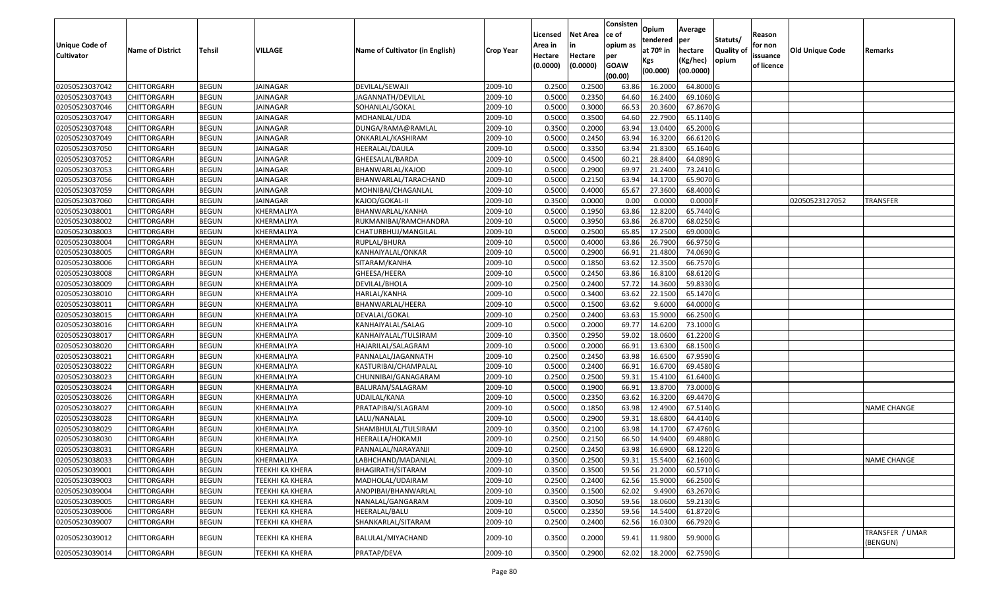|                                  |                            |                              |                        |                                 |                    | Licensed | <b>Net Area</b> | Consisten<br>ce of | Opium<br>tendered | Average<br>per | Statuts/         | Reason     |                 |                    |
|----------------------------------|----------------------------|------------------------------|------------------------|---------------------------------|--------------------|----------|-----------------|--------------------|-------------------|----------------|------------------|------------|-----------------|--------------------|
| Unique Code of                   | <b>Name of District</b>    | <b>Tehsil</b>                | VILLAGE                | Name of Cultivator (in English) | <b>Crop Year</b>   | Area in  |                 | opium as           | at $70°$ in       | hectare        | <b>Quality o</b> | for non    | Old Unique Code | Remarks            |
| <b>Cultivator</b>                |                            |                              |                        |                                 |                    | Hectare  | Hectare         | per                | Kgs               | (Kg/hec)       | opium            | issuance   |                 |                    |
|                                  |                            |                              |                        |                                 |                    | (0.0000) | (0.0000)        | <b>GOAW</b>        | (00.000)          | (00.0000)      |                  | of licence |                 |                    |
|                                  |                            |                              | JAINAGAR               | DEVILAL/SEWAJI                  | 2009-10            | 0.2500   | 0.2500          | (00.00)            | 16.2000           | 64.8000 G      |                  |            |                 |                    |
| 02050523037042<br>02050523037043 | CHITTORGARH<br>CHITTORGARH | <b>BEGUN</b><br><b>BEGUN</b> | JAINAGAR               | JAGANNATH/DEVILAL               | 2009-10            | 0.5000   | 0.2350          | 63.86<br>64.60     | 16.2400           | 69.1060 G      |                  |            |                 |                    |
| 02050523037046                   | CHITTORGARH                | <b>BEGUN</b>                 | JAINAGAR               | SOHANLAL/GOKAL                  | 2009-10            | 0.5000   | 0.3000          | 66.53              | 20.3600           | 67.8670 G      |                  |            |                 |                    |
| 02050523037047                   | <b>CHITTORGARH</b>         | <b>BEGUN</b>                 | <b>JAINAGAR</b>        | MOHANLAL/UDA                    | 2009-10            | 0.5000   | 0.3500          | 64.60              | 22.7900           | 65.1140 G      |                  |            |                 |                    |
| 02050523037048                   | CHITTORGARH                | <b>BEGUN</b>                 | <b>JAINAGAR</b>        | DUNGA/RAMA@RAMLAL               | 2009-10            | 0.3500   | 0.2000          | 63.94              | 13.0400           | 65.2000 G      |                  |            |                 |                    |
| 02050523037049                   | CHITTORGARH                | <b>BEGUN</b>                 | <b>JAINAGAR</b>        | ONKARLAL/KASHIRAM               | 2009-10            | 0.5000   | 0.2450          | 63.94              | 16.3200           | 66.6120G       |                  |            |                 |                    |
| 02050523037050                   | CHITTORGARH                | <b>BEGUN</b>                 | JAINAGAR               | HEERALAL/DAULA                  | 2009-10            | 0.5000   | 0.3350          | 63.94              | 21.8300           | 65.1640 G      |                  |            |                 |                    |
| 02050523037052                   | CHITTORGARH                | <b>BEGUN</b>                 | JAINAGAR               | GHEESALAL/BARDA                 | 2009-10            | 0.5000   | 0.4500          | 60.21              | 28.8400           | 64.0890 G      |                  |            |                 |                    |
| 02050523037053                   | CHITTORGARH                | <b>BEGUN</b>                 | <b>JAINAGAR</b>        | BHANWARLAL/KAJOD                | 2009-10            | 0.5000   | 0.2900          | 69.97              | 21.2400           | 73.2410 G      |                  |            |                 |                    |
| 02050523037056                   | CHITTORGARH                | <b>BEGUN</b>                 | <b>JAINAGAR</b>        | BHANWARLAL/TARACHAND            | 2009-10            | 0.5000   | 0.2150          | 63.94              | 14.1700           | 65.9070 G      |                  |            |                 |                    |
| 02050523037059                   | CHITTORGARH                | <b>BEGUN</b>                 | <b>JAINAGAR</b>        | MOHNIBAI/CHAGANLAL              | 2009-10            | 0.5000   | 0.4000          | 65.67              | 27.3600           | 68.4000 G      |                  |            |                 |                    |
| 02050523037060                   | <b>CHITTORGARH</b>         | <b>BEGUN</b>                 | <b>JAINAGAR</b>        | KAJOD/GOKAL-II                  | 2009-10            | 0.3500   | 0.0000          | 0.00               | 0.0000            | $0.0000$ F     |                  |            | 02050523127052  | <b>TRANSFER</b>    |
| 02050523038001                   | <b>CHITTORGARH</b>         | <b>BEGUN</b>                 | KHERMALIYA             | BHANWARLAL/KANHA                | 2009-10            | 0.5000   | 0.1950          | 63.86              | 12.8200           | 65.7440 G      |                  |            |                 |                    |
| 02050523038002                   | CHITTORGARH                | <b>BEGUN</b>                 | KHERMALIYA             | RUKMANIBAI/RAMCHANDRA           | 2009-10            | 0.5000   | 0.3950          | 63.86              | 26.8700           | 68.0250 G      |                  |            |                 |                    |
| 02050523038003                   |                            | <b>BEGUN</b>                 | KHERMALIYA             | CHATURBHUJ/MANGILAL             | 2009-10            | 0.5000   | 0.2500          | 65.85              | 17.2500           | 69.0000G       |                  |            |                 |                    |
| 02050523038004                   | CHITTORGARH<br>CHITTORGARH | <b>BEGUN</b>                 | KHERMALIYA             | RUPLAL/BHURA                    | 2009-10            | 0.5000   | 0.4000          | 63.86              | 26.7900           | 66.9750 G      |                  |            |                 |                    |
| 02050523038005                   | CHITTORGARH                | <b>BEGUN</b>                 | KHERMALIYA             | KANHAIYALAL/ONKAR               | 2009-10            | 0.5000   | 0.2900          | 66.9               | 21.4800           | 74.0690 G      |                  |            |                 |                    |
| 02050523038006                   | CHITTORGARH                | <b>BEGUN</b>                 | KHERMALIYA             | SITARAM/KANHA                   | 2009-10            | 0.5000   | 0.1850          | 63.62              | 12.3500           | 66.7570 G      |                  |            |                 |                    |
| 02050523038008                   | CHITTORGARH                | <b>BEGUN</b>                 | KHERMALIYA             | GHEESA/HEERA                    | 2009-10            | 0.5000   | 0.2450          | 63.86              | 16.8100           | 68.6120 G      |                  |            |                 |                    |
| 02050523038009                   | CHITTORGARH                | <b>BEGUN</b>                 | KHERMALIYA             | DEVILAL/BHOLA                   | 2009-10            | 0.2500   | 0.2400          | 57.72              | 14.3600           | 59.8330 G      |                  |            |                 |                    |
| 02050523038010                   | CHITTORGARH                | <b>BEGUN</b>                 | KHERMALIYA             | HARLAL/KANHA                    | 2009-10            | 0.5000   | 0.3400          | 63.62              | 22.1500           | 65.1470 G      |                  |            |                 |                    |
| 02050523038011                   | CHITTORGARH                | <b>BEGUN</b>                 | KHERMALIYA             | BHANWARLAL/HEERA                | 2009-10            | 0.5000   | 0.1500          | 63.62              | 9.6000            | 64.0000G       |                  |            |                 |                    |
| 02050523038015                   | CHITTORGARH                | <b>BEGUN</b>                 | KHERMALIYA             | DEVALAL/GOKAL                   | 2009-10            | 0.2500   | 0.2400          | 63.63              | 15.9000           | 66.2500 G      |                  |            |                 |                    |
| 02050523038016                   | <b>CHITTORGARH</b>         | <b>BEGUN</b>                 | KHERMALIYA             | KANHAIYALAL/SALAG               | 2009-10            | 0.5000   | 0.2000          | 69.7               | 14.6200           | 73.1000G       |                  |            |                 |                    |
| 02050523038017                   | CHITTORGARH                | <b>BEGUN</b>                 | KHERMALIYA             | KANHAIYALAL/TULSIRAM            | 2009-10            | 0.3500   | 0.2950          | 59.02              | 18.0600           | 61.2200 G      |                  |            |                 |                    |
| 02050523038020                   | CHITTORGARH                | <b>BEGUN</b>                 | KHERMALIYA             | HAJARILAL/SALAGRAM              | 2009-10            | 0.5000   | 0.2000          | 66.9               | 13.6300           | 68.1500 G      |                  |            |                 |                    |
| 02050523038021                   | CHITTORGARH                | <b>BEGUN</b>                 | KHERMALIYA             | PANNALAL/JAGANNATH              | 2009-10            | 0.2500   | 0.2450          | 63.98              | 16.6500           | 67.9590 G      |                  |            |                 |                    |
| 02050523038022                   | CHITTORGARH                | <b>BEGUN</b>                 | KHERMALIYA             | KASTURIBAI/CHAMPALAL            | 2009-10            | 0.5000   | 0.2400          | 66.9               | 16.6700           | 69.4580 G      |                  |            |                 |                    |
| 02050523038023                   | CHITTORGARH                | <b>BEGUN</b>                 | KHERMALIYA             | CHUNNIBAI/GANAGARAM             | 2009-10            | 0.2500   | 0.2500          | 59.33              | 15.4100           | 61.6400 G      |                  |            |                 |                    |
| 02050523038024                   | CHITTORGARH                | <b>BEGUN</b>                 | KHERMALIYA             | BALURAM/SALAGRAM                | 2009-10            | 0.5000   | 0.1900          | 66.91              | 13.8700           | 73.0000 G      |                  |            |                 |                    |
| 02050523038026                   | CHITTORGARH                | <b>BEGUN</b>                 | KHERMALIYA             | UDAILAL/KANA                    | 2009-10            | 0.5000   | 0.2350          | 63.62              | 16.3200           | 69.4470 G      |                  |            |                 |                    |
| 02050523038027                   | CHITTORGARH                | <b>BEGUN</b>                 | KHERMALIYA             | PRATAPIBAI/SLAGRAM              | 2009-10            | 0.5000   | 0.1850          | 63.98              | 12.4900           | 67.5140 G      |                  |            |                 | <b>NAME CHANGE</b> |
| 02050523038028                   | CHITTORGARH                | <b>BEGUN</b>                 | KHERMALIYA             | LALU/NANALAL                    | 2009-10            | 0.5000   | 0.2900          | 59.33              | 18.6800           | 64.4140 G      |                  |            |                 |                    |
| 02050523038029                   | CHITTORGARH                | <b>BEGUN</b>                 | KHERMALIYA             | SHAMBHULAL/TULSIRAM             | 2009-10            | 0.3500   | 0.2100          | 63.98              | 14.170            | 67.4760 G      |                  |            |                 |                    |
| 02050523038030                   | CHITTORGARH                | <b>BEGUN</b>                 | KHERMALIYA             | HEERALLA/HOKAMJI                | 2009-10            | 0.250    | 0.2150          | 66.50              | 14.9400           | 69.4880 G      |                  |            |                 |                    |
| 02050523038031                   | CHITTORGARH                | <b>BEGUN</b>                 | KHERMALIYA             | PANNALAL/NARAYANJI              | 2009-10            | 0.2500   | 0.2450          | 63.98              | 16.6900           | 68.1220 G      |                  |            |                 |                    |
| 02050523038033                   | <b>CHITTORGARH</b>         | <b>BEGUN</b>                 | KHERMALIYA             | LABHCHAND/MADANLAL              | 2009-10            | 0.3500   | 0.2500          |                    | 59.31 15.5400     | 62.1600 G      |                  |            |                 | <b>NAME CHANGE</b> |
| 02050523039001                   | <b>CHITTORGARH</b>         | <b>BEGUN</b>                 | TEEKHI KA KHERA        | BHAGIRATH/SITARAM               | 2009-10            | 0.3500   | 0.3500          | 59.56              | 21.2000           | 60.5710 G      |                  |            |                 |                    |
| 02050523039003                   | <b>CHITTORGARH</b>         | <b>BEGUN</b>                 | TEEKHI KA KHERA        | MADHOLAL/UDAIRAM                |                    | 0.2500   | 0.2400          | 62.56              | 15.9000           | 66.2500 G      |                  |            |                 |                    |
| 02050523039004                   | <b>CHITTORGARH</b>         | <b>BEGUN</b>                 | <b>TEEKHI KA KHERA</b> | ANOPIBAI/BHANWARLAL             | 2009-10<br>2009-10 | 0.3500   | 0.1500          | 62.02              | 9.4900            | 63.2670 G      |                  |            |                 |                    |
| 02050523039005                   | <b>CHITTORGARH</b>         | <b>BEGUN</b>                 | <b>TEEKHI KA KHERA</b> | NANALAL/GANGARAM                |                    | 0.3500   | 0.3050          | 59.56              | 18.0600           | 59.2130 G      |                  |            |                 |                    |
| 02050523039006                   | <b>CHITTORGARH</b>         | <b>BEGUN</b>                 | <b>TEEKHI KA KHERA</b> | HEERALAL/BALU                   | 2009-10<br>2009-10 | 0.5000   | 0.2350          | 59.56              | 14.5400           | 61.8720 G      |                  |            |                 |                    |
| 02050523039007                   | <b>CHITTORGARH</b>         | <b>BEGUN</b>                 | <b>TEEKHI KA KHERA</b> | SHANKARLAL/SITARAM              | 2009-10            | 0.2500   | 0.2400          | 62.56              | 16.0300           | 66.7920 G      |                  |            |                 |                    |
|                                  |                            |                              |                        |                                 |                    |          |                 |                    |                   |                |                  |            |                 | TRANSFER / UMAR    |
| 02050523039012                   | <b>CHITTORGARH</b>         | <b>BEGUN</b>                 | TEEKHI KA KHERA        | BALULAL/MIYACHAND               | 2009-10            | 0.3500   | 0.2000          | 59.41              | 11.9800           | 59.9000 G      |                  |            |                 | (BENGUN)           |
| 02050523039014                   | <b>CHITTORGARH</b>         | <b>BEGUN</b>                 | <b>TEEKHI KA KHERA</b> | PRATAP/DEVA                     | 2009-10            | 0.3500   | 0.2900          | 62.02              | 18.2000           | 62.7590 G      |                  |            |                 |                    |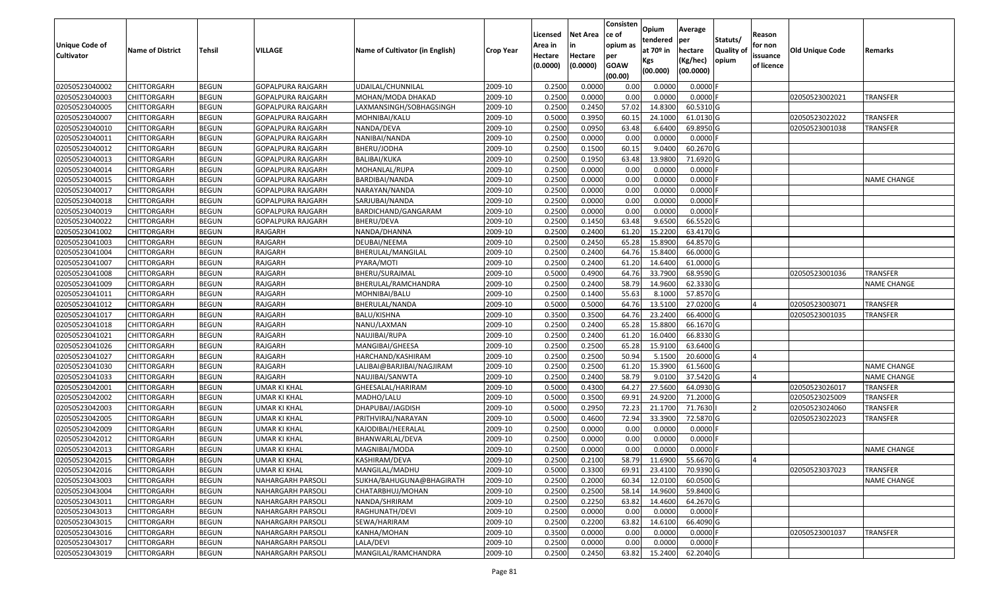| <b>Unique Code of</b><br><b>Cultivator</b> | <b>Name of District</b> | Tehsil       | VILLAGE                  | Name of Cultivator (in English) | Crop Year | Licensed<br>Area in<br>Hectare<br>(0.0000) | <b>Net Area</b><br>in<br>Hectare<br>(0.0000) | Consisten<br>ce of<br>opium as<br>per<br><b>GOAW</b><br>(00.00) | Opium<br>tendered<br>at $70°$ in<br>Kgs<br>(00.000) | Average<br>per<br>hectare<br>(Kg/hec)<br>(00.0000) | Statuts/<br>Quality of<br>opium | Reason<br>for non<br>issuance<br>of licence | <b>Old Unique Code</b> | Remarks            |
|--------------------------------------------|-------------------------|--------------|--------------------------|---------------------------------|-----------|--------------------------------------------|----------------------------------------------|-----------------------------------------------------------------|-----------------------------------------------------|----------------------------------------------------|---------------------------------|---------------------------------------------|------------------------|--------------------|
| 02050523040002                             | <b>CHITTORGARH</b>      | <b>BEGUN</b> | GOPALPURA RAJGARH        | UDAILAL/CHUNNILAL               | 2009-10   | 0.2500                                     | 0.0000                                       | 0.00                                                            | 0.0000                                              | $0.0000$ F                                         |                                 |                                             |                        |                    |
| 02050523040003                             | CHITTORGARH             | <b>BEGUN</b> | GOPALPURA RAJGARH        | MOHAN/MODA DHAKAD               | 2009-10   | 0.2500                                     | 0.0000                                       | 0.00                                                            | 0.0000                                              | $0.0000$ F                                         |                                 |                                             | 02050523002021         | TRANSFER           |
| 02050523040005                             | CHITTORGARH             | <b>BEGUN</b> | GOPALPURA RAJGARH        | LAXMANSINGH/SOBHAGSINGH         | 2009-10   | 0.2500                                     | 0.2450                                       | 57.02                                                           | 14.8300                                             | 60.5310 G                                          |                                 |                                             |                        |                    |
| 02050523040007                             | <b>CHITTORGARH</b>      | <b>BEGUN</b> | GOPALPURA RAJGARH        | MOHNIBAI/KALU                   | 2009-10   | 0.5000                                     | 0.3950                                       | 60.1                                                            | 24.1000                                             | 61.0130 G                                          |                                 |                                             | 02050523022022         | TRANSFER           |
| 02050523040010                             | CHITTORGARH             | <b>BEGUN</b> | GOPALPURA RAJGARH        | NANDA/DEVA                      | 2009-10   | 0.2500                                     | 0.0950                                       | 63.48                                                           | 6.6400                                              | 69.8950 G                                          |                                 |                                             | 02050523001038         | TRANSFER           |
| 02050523040011                             | CHITTORGARH             | <b>BEGUN</b> | GOPALPURA RAJGARH        | NANIBAI/NANDA                   | 2009-10   | 0.2500                                     | 0.0000                                       | 0.00                                                            | 0.0000                                              | $0.0000$ F                                         |                                 |                                             |                        |                    |
| 02050523040012                             | CHITTORGARH             | <b>BEGUN</b> | GOPALPURA RAJGARH        | BHERU/JODHA                     | 2009-10   | 0.2500                                     | 0.1500                                       | 60.15                                                           | 9.0400                                              | 60.2670 G                                          |                                 |                                             |                        |                    |
| 02050523040013                             | CHITTORGARH             | <b>BEGUN</b> | GOPALPURA RAJGARH        | <b>BALIBAI/KUKA</b>             | 2009-10   | 0.2500                                     | 0.1950                                       | 63.48                                                           | 13.9800                                             | 71.6920 G                                          |                                 |                                             |                        |                    |
| 02050523040014                             | CHITTORGARH             | <b>BEGUN</b> | GOPALPURA RAJGARH        | MOHANLAL/RUPA                   | 2009-10   | 0.2500                                     | 0.0000                                       | 0.00                                                            | 0.0000                                              | 0.0000                                             |                                 |                                             |                        |                    |
| 02050523040015                             | CHITTORGARH             | <b>BEGUN</b> | GOPALPURA RAJGARH        | BARDIBAI/NANDA                  | 2009-10   | 0.2500                                     | 0.0000                                       | 0.00                                                            | 0.0000                                              | 0.0000                                             |                                 |                                             |                        | <b>NAME CHANGE</b> |
| 02050523040017                             | CHITTORGARH             | <b>BEGUN</b> | GOPALPURA RAJGARH        | NARAYAN/NANDA                   | 2009-10   | 0.2500                                     | 0.0000                                       | 0.00                                                            | 0.0000                                              | 0.0000                                             |                                 |                                             |                        |                    |
| 02050523040018                             | <b>CHITTORGARH</b>      | <b>BEGUN</b> | GOPALPURA RAJGARH        | SARJUBAI/NANDA                  | 2009-10   | 0.2500                                     | 0.0000                                       | 0.00                                                            | 0.0000                                              | 0.0000                                             |                                 |                                             |                        |                    |
| 02050523040019                             | <b>CHITTORGARH</b>      | <b>BEGUN</b> | GOPALPURA RAJGARH        | BARDICHAND/GANGARAM             | 2009-10   | 0.2500                                     | 0.0000                                       | 0.00                                                            | 0.0000                                              | $0.0000$ F                                         |                                 |                                             |                        |                    |
| 02050523040022                             | CHITTORGARH             | <b>BEGUN</b> | GOPALPURA RAJGARH        | BHERU/DEVA                      | 2009-10   | 0.2500                                     | 0.1450                                       | 63.48                                                           | 9.6500                                              | 66.5520 G                                          |                                 |                                             |                        |                    |
| 02050523041002                             | CHITTORGARH             | <b>BEGUN</b> | RAJGARH                  | NANDA/DHANNA                    | 2009-10   | 0.2500                                     | 0.2400                                       | 61.20                                                           | 15.2200                                             | 63.4170 G                                          |                                 |                                             |                        |                    |
| 02050523041003                             | <b>CHITTORGARH</b>      | <b>BEGUN</b> | RAJGARH                  | DEUBAI/NEEMA                    | 2009-10   | 0.2500                                     | 0.2450                                       | 65.28                                                           | 15.8900                                             | 64.8570 G                                          |                                 |                                             |                        |                    |
| 02050523041004                             | CHITTORGARH             | <b>BEGUN</b> | RAJGARH                  | BHERULAL/MANGILAL               | 2009-10   | 0.2500                                     | 0.2400                                       | 64.76                                                           | 15.8400                                             | 66.0000 G                                          |                                 |                                             |                        |                    |
| 02050523041007                             | CHITTORGARH             | <b>BEGUN</b> | RAJGARH                  | PYARA/MOTI                      | 2009-10   | 0.2500                                     | 0.2400                                       | 61.20                                                           | 14.6400                                             | 61.0000 G                                          |                                 |                                             |                        |                    |
| 02050523041008                             | CHITTORGARH             | <b>BEGUN</b> | RAJGARH                  | BHERU/SURAJMAL                  | 2009-10   | 0.5000                                     | 0.4900                                       | 64.76                                                           | 33.7900                                             | 68.9590 G                                          |                                 |                                             | 02050523001036         | TRANSFER           |
| 02050523041009                             | CHITTORGARH             | <b>BEGUN</b> | RAJGARH                  | BHERULAL/RAMCHANDRA             | 2009-10   | 0.2500                                     | 0.2400                                       | 58.79                                                           | 14.9600                                             | 62.3330 G                                          |                                 |                                             |                        | <b>NAME CHANGE</b> |
| 02050523041011                             | CHITTORGARH             | <b>BEGUN</b> | RAJGARH                  | MOHNIBAI/BALU                   | 2009-10   | 0.2500                                     | 0.1400                                       | 55.63                                                           | 8.1000                                              | 57.8570 G                                          |                                 |                                             |                        |                    |
| 02050523041012                             | CHITTORGARH             | <b>BEGUN</b> | RAJGARH                  | BHERULAL/NANDA                  | 2009-10   | 0.5000                                     | 0.5000                                       | 64.76                                                           | 13.5100                                             | 27.0200 G                                          |                                 |                                             | 02050523003071         | TRANSFER           |
| 02050523041017                             | CHITTORGARH             | <b>BEGUN</b> | RAJGARH                  | BALU/KISHNA                     | 2009-10   | 0.3500                                     | 0.3500                                       | 64.76                                                           | 23.2400                                             | 66.4000 G                                          |                                 |                                             | 02050523001035         | TRANSFER           |
| 02050523041018                             | CHITTORGARH             | <b>BEGUN</b> | RAJGARH                  | NANU/LAXMAN                     | 2009-10   | 0.2500                                     | 0.2400                                       | 65.28                                                           | 15.8800                                             | 66.1670 G                                          |                                 |                                             |                        |                    |
| 02050523041021                             | CHITTORGARH             | <b>BEGUN</b> | RAJGARH                  | NAUJIBAI/RUPA                   | 2009-10   | 0.2500                                     | 0.2400                                       | 61.20                                                           | 16.0400                                             | 66.8330 G                                          |                                 |                                             |                        |                    |
| 02050523041026                             | CHITTORGARH             | <b>BEGUN</b> | RAJGARH                  | MANGIBAI/GHEESA                 | 2009-10   | 0.2500                                     | 0.2500                                       | 65.28                                                           | 15.9100                                             | 63.6400 G                                          |                                 |                                             |                        |                    |
| 02050523041027                             | CHITTORGARH             | <b>BEGUN</b> | RAJGARH                  | HARCHAND/KASHIRAM               | 2009-10   | 0.2500                                     | 0.2500                                       | 50.94                                                           | 5.1500                                              | 20.6000 G                                          |                                 |                                             |                        |                    |
| 02050523041030                             | CHITTORGARH             | <b>BEGUN</b> | RAJGARH                  | LALIBAI@BARJIBAI/NAGJIRAM       | 2009-10   | 0.2500                                     | 0.2500                                       | 61.20                                                           | 15.3900                                             | 61.5600 G                                          |                                 |                                             |                        | NAME CHANGE        |
| 02050523041033                             | <b>CHITTORGARH</b>      | <b>BEGUN</b> | RAJGARH                  | NAUJIBAI/SANWTA                 | 2009-10   | 0.2500                                     | 0.2400                                       | 58.79                                                           | 9.0100                                              | 37.5420 G                                          |                                 |                                             |                        | <b>NAME CHANGE</b> |
| 02050523042001                             | CHITTORGARH             | <b>BEGUN</b> | <b>UMAR KI KHAL</b>      | GHEESALAL/HARIRAM               | 2009-10   | 0.5000                                     | 0.4300                                       | 64.27                                                           | 27.5600                                             | 64.0930 G                                          |                                 |                                             | 02050523026017         | TRANSFER           |
| 02050523042002                             | CHITTORGARH             | <b>BEGUN</b> | UMAR KI KHAL             | MADHO/LALU                      | 2009-10   | 0.5000                                     | 0.3500                                       | 69.91                                                           | 24.9200                                             | 71.2000 G                                          |                                 |                                             | 02050523025009         | TRANSFER           |
| 02050523042003                             | CHITTORGARH             | <b>BEGUN</b> | UMAR KI KHAL             | DHAPUBAI/JAGDISH                | 2009-10   | 0.5000                                     | 0.2950                                       | 72.2                                                            | 21.1700                                             | 71.7630                                            |                                 |                                             | 02050523024060         | TRANSFER           |
| 02050523042005                             | CHITTORGARH             | <b>BEGUN</b> | <b>UMAR KI KHAL</b>      | PRITHVIRAJ/NARAYAN              | 2009-10   | 0.5000                                     | 0.4600                                       | 72.94                                                           | 33.3900                                             | 72.5870 G                                          |                                 |                                             | 02050523022023         | TRANSFER           |
| 02050523042009                             | CHITTORGARH             | <b>BEGUN</b> | UMAR KI KHAL             | KAJODIBAI/HEERALAL              | 2009-10   | 0.2500                                     | 0.0000                                       | 0.00                                                            | 0.0000                                              | $0.0000$ F                                         |                                 |                                             |                        |                    |
| 02050523042012                             | CHITTORGARH             | <b>BEGUN</b> | UMAR KI KHAL             | BHANWARLAL/DEVA                 | 2009-10   | 0.2500                                     | 0.0000                                       | 0.00                                                            | 0.0000                                              | 0.0000                                             |                                 |                                             |                        |                    |
| 02050523042013                             | CHITTORGARH             | <b>BEGUN</b> | UMAR KI KHAL             | MAGNIBAI/MODA                   | 2009-10   | 0.2500                                     | 0.0000                                       | 0.00                                                            | 0.0000                                              | $0.0000$ F                                         |                                 |                                             |                        | <b>NAME CHANGE</b> |
| 02050523042015                             | <b>CHITTORGARH</b>      | <b>BEGUN</b> | <b>UMAR KI KHAL</b>      | KASHIRAM/DEVA                   | 2009-10   | 0.2500                                     | 0.2100                                       | 58.79                                                           | 11.6900                                             | 55.6670 G                                          |                                 |                                             |                        |                    |
| 02050523042016                             | <b>CHITTORGARH</b>      | <b>BEGUN</b> | UMAR KI KHAL             | MANGILAL/MADHU                  | 2009-10   | 0.5000                                     | 0.3300                                       | 69.91                                                           | 23.4100                                             | 70.9390 G                                          |                                 |                                             | 02050523037023         | <b>TRANSFER</b>    |
| 02050523043003                             | <b>CHITTORGARH</b>      | <b>BEGUN</b> | <b>NAHARGARH PARSOLI</b> | SUKHA/BAHUGUNA@BHAGIRATH        | 2009-10   | 0.2500                                     | 0.2000                                       | 60.34                                                           | 12.0100                                             | 60.0500 G                                          |                                 |                                             |                        | <b>NAME CHANGE</b> |
| 02050523043004                             | <b>CHITTORGARH</b>      | <b>BEGUN</b> | NAHARGARH PARSOLI        | CHATARBHUJ/MOHAN                | 2009-10   | 0.2500                                     | 0.2500                                       | 58.14                                                           | 14.9600                                             | 59.8400 G                                          |                                 |                                             |                        |                    |
| 02050523043011                             | <b>CHITTORGARH</b>      | <b>BEGUN</b> | NAHARGARH PARSOLI        | NANDA/SHRIRAM                   | 2009-10   | 0.2500                                     | 0.2250                                       | 63.82                                                           | 14.4600                                             | 64.2670 G                                          |                                 |                                             |                        |                    |
| 02050523043013                             | <b>CHITTORGARH</b>      | <b>BEGUN</b> | <b>NAHARGARH PARSOLI</b> | RAGHUNATH/DEVI                  | 2009-10   | 0.2500                                     | 0.0000                                       | 0.00                                                            | 0.0000                                              | $0.0000$ F                                         |                                 |                                             |                        |                    |
| 02050523043015                             | <b>CHITTORGARH</b>      | <b>BEGUN</b> | NAHARGARH PARSOLI        | SEWA/HARIRAM                    | 2009-10   | 0.2500                                     | 0.2200                                       | 63.82                                                           | 14.6100                                             | 66.4090 G                                          |                                 |                                             |                        |                    |
| 02050523043016                             | <b>CHITTORGARH</b>      | <b>BEGUN</b> | NAHARGARH PARSOLI        | KANHA/MOHAN                     | 2009-10   | 0.3500                                     | 0.0000                                       | 0.00                                                            | 0.0000                                              | $0.0000$ F                                         |                                 |                                             | 02050523001037         | TRANSFER           |
| 02050523043017                             | <b>CHITTORGARH</b>      | <b>BEGUN</b> | NAHARGARH PARSOLI        | LALA/DEVI                       | 2009-10   | 0.2500                                     | 0.0000                                       | 0.00                                                            | 0.0000                                              | 0.0000                                             |                                 |                                             |                        |                    |
| 02050523043019                             | <b>CHITTORGARH</b>      | <b>BEGUN</b> | <b>NAHARGARH PARSOLI</b> | MANGILAL/RAMCHANDRA             | 2009-10   | 0.2500                                     | 0.2450                                       | 63.82                                                           | 15.2400                                             | 62.2040 G                                          |                                 |                                             |                        |                    |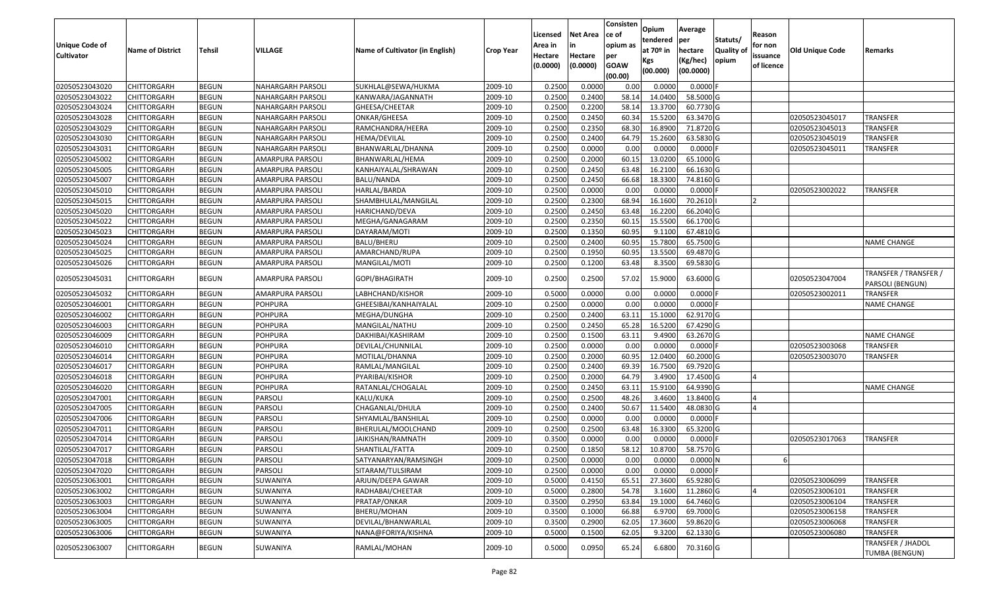| <b>Unique Code of</b><br><b>Cultivator</b> | <b>Name of District</b> | <b>Tehsil</b> | VILLAGE                  | Name of Cultivator (in English) | <b>Crop Year</b> | Licensed<br>Area in<br>Hectare<br>(0.0000) | <b>Net Area</b><br>in<br>Hectare<br>(0.0000) | Consisten<br>ce of<br>opium as<br>per<br><b>GOAW</b><br>(00.00) | Opium<br>tendered<br>at 70º in<br>Kgs<br>(00.000) | Average<br><b>per</b><br>hectare<br>(Kg/hec)<br>(00.0000) | Statuts/<br><b>Quality of</b><br>opium | Reason<br>for non<br>issuance<br>of licence | <b>Old Unique Code</b> | Remarks                                    |
|--------------------------------------------|-------------------------|---------------|--------------------------|---------------------------------|------------------|--------------------------------------------|----------------------------------------------|-----------------------------------------------------------------|---------------------------------------------------|-----------------------------------------------------------|----------------------------------------|---------------------------------------------|------------------------|--------------------------------------------|
| 02050523043020                             | <b>CHITTORGARH</b>      | <b>BEGUN</b>  | <b>NAHARGARH PARSOLI</b> | SUKHLAL@SEWA/HUKMA              | 2009-10          | 0.2500                                     | 0.0000                                       | 0.00                                                            | 0.0000                                            | $0.0000$ F                                                |                                        |                                             |                        |                                            |
| 02050523043022                             | <b>CHITTORGARH</b>      | <b>BEGUN</b>  | NAHARGARH PARSOLI        | KANWARA/JAGANNATH               | 2009-10          | 0.2500                                     | 0.2400                                       | 58.14                                                           | 14.0400                                           | 58.5000 G                                                 |                                        |                                             |                        |                                            |
| 02050523043024                             | <b>CHITTORGARH</b>      | <b>BEGUN</b>  | NAHARGARH PARSOLI        | GHEESA/CHEETAR                  | 2009-10          | 0.2500                                     | 0.2200                                       | 58.14                                                           | 13.3700                                           | 60.7730 G                                                 |                                        |                                             |                        |                                            |
| 02050523043028                             | <b>CHITTORGARH</b>      | <b>BEGUN</b>  | <b>NAHARGARH PARSOLI</b> | ONKAR/GHEESA                    | 2009-10          | 0.2500                                     | 0.2450                                       | 60.34                                                           | 15.5200                                           | 63.3470 G                                                 |                                        |                                             | 02050523045017         | TRANSFER                                   |
| 02050523043029                             | <b>CHITTORGARH</b>      | <b>BEGUN</b>  | NAHARGARH PARSOLI        | RAMCHANDRA/HEERA                | 2009-10          | 0.2500                                     | 0.2350                                       | 68.30                                                           | 16.8900                                           | 71.8720 G                                                 |                                        |                                             | 02050523045013         | <b>TRANSFER</b>                            |
| 02050523043030                             | <b>CHITTORGARH</b>      | <b>BEGUN</b>  | NAHARGARH PARSOLI        | HEMA/DEVILAL                    | 2009-10          | 0.2500                                     | 0.2400                                       | 64.79                                                           | 15.2600                                           | 63.5830 G                                                 |                                        |                                             | 02050523045019         | <b>TRANSFER</b>                            |
| 02050523043031                             | <b>CHITTORGARH</b>      | <b>BEGUN</b>  | NAHARGARH PARSOLI        | BHANWARLAL/DHANNA               | 2009-10          | 0.2500                                     | 0.0000                                       | 0.00                                                            | 0.0000                                            | $0.0000$ F                                                |                                        |                                             | 02050523045011         | <b>TRANSFER</b>                            |
| 02050523045002                             | <b>CHITTORGARH</b>      | <b>BEGUN</b>  | AMARPURA PARSOLI         | BHANWARLAL/HEMA                 | 2009-10          | 0.2500                                     | 0.2000                                       | 60.15                                                           | 13.0200                                           | 65.1000 G                                                 |                                        |                                             |                        |                                            |
| 02050523045005                             | <b>CHITTORGARH</b>      | <b>BEGUN</b>  | AMARPURA PARSOLI         | KANHAIYALAL/SHRAWAN             | 2009-10          | 0.2500                                     | 0.2450                                       | 63.48                                                           | 16.2100                                           | 66.1630 G                                                 |                                        |                                             |                        |                                            |
| 02050523045007                             | <b>CHITTORGARH</b>      | <b>BEGUN</b>  | AMARPURA PARSOLI         | BALU/NANDA                      | 2009-10          | 0.2500                                     | 0.2450                                       | 66.68                                                           | 18.3300                                           | 74.8160 G                                                 |                                        |                                             |                        |                                            |
| 02050523045010                             | <b>CHITTORGARH</b>      | <b>BEGUN</b>  | AMARPURA PARSOLI         | HARLAL/BARDA                    | 2009-10          | 0.2500                                     | 0.0000                                       | 0.00                                                            | 0.0000                                            | $0.0000$ F                                                |                                        |                                             | 02050523002022         | TRANSFER                                   |
| 02050523045015                             | <b>CHITTORGARH</b>      | <b>BEGUN</b>  | AMARPURA PARSOLI         | SHAMBHULAL/MANGILAL             | 2009-10          | 0.2500                                     | 0.2300                                       | 68.94                                                           | 16.1600                                           | 70.2610                                                   |                                        |                                             |                        |                                            |
| 02050523045020                             | <b>CHITTORGARH</b>      | <b>BEGUN</b>  | AMARPURA PARSOLI         | HARICHAND/DEVA                  | 2009-10          | 0.2500                                     | 0.2450                                       | 63.48                                                           | 16.2200                                           | 66.2040 G                                                 |                                        |                                             |                        |                                            |
| 02050523045022                             | <b>CHITTORGARH</b>      | <b>BEGUN</b>  | AMARPURA PARSOLI         | MEGHA/GANAGARAM                 | 2009-10          | 0.2500                                     | 0.2350                                       | 60.15                                                           | 15.5500                                           | 66.1700 G                                                 |                                        |                                             |                        |                                            |
| 02050523045023                             | <b>CHITTORGARH</b>      | <b>BEGUN</b>  | AMARPURA PARSOLI         | DAYARAM/MOTI                    | 2009-10          | 0.2500                                     | 0.1350                                       | 60.95                                                           | 9.1100                                            | 67.4810 G                                                 |                                        |                                             |                        |                                            |
| 02050523045024                             | <b>CHITTORGARH</b>      | <b>BEGUN</b>  | AMARPURA PARSOLI         | BALU/BHERU                      | 2009-10          | 0.2500                                     | 0.2400                                       | 60.95                                                           | 15.7800                                           | 65.7500 G                                                 |                                        |                                             |                        | <b>NAME CHANGE</b>                         |
| 02050523045025                             | <b>CHITTORGARH</b>      | <b>BEGUN</b>  | AMARPURA PARSOLI         | AMARCHAND/RUPA                  | 2009-10          | 0.2500                                     | 0.1950                                       | 60.95                                                           | 13.5500                                           | 69.4870 G                                                 |                                        |                                             |                        |                                            |
| 02050523045026                             | <b>CHITTORGARH</b>      | <b>BEGUN</b>  | AMARPURA PARSOLI         | MANGILAL/MOTI                   | 2009-10          | 0.2500                                     | 0.1200                                       | 63.48                                                           | 8.3500                                            | 69.5830 G                                                 |                                        |                                             |                        |                                            |
| 02050523045031                             | CHITTORGARH             | <b>BEGUN</b>  | AMARPURA PARSOLI         | GOPI/BHAGIRATH                  | 2009-10          | 0.2500                                     | 0.2500                                       | 57.02                                                           | 15.9000                                           | 63.6000 G                                                 |                                        |                                             | 02050523047004         | TRANSFER / TRANSFER /<br>PARSOLI (BENGUN)  |
| 02050523045032                             | <b>CHITTORGARH</b>      | <b>BEGUN</b>  | AMARPURA PARSOLI         | LABHCHAND/KISHOR                | 2009-10          | 0.5000                                     | 0.0000                                       | 0.00                                                            | 0.0000                                            | $0.0000$ F                                                |                                        |                                             | 02050523002011         | TRANSFER                                   |
| 02050523046001                             | <b>CHITTORGARH</b>      | <b>BEGUN</b>  | POHPURA                  | GHEESIBAI/KANHAIYALAL           | 2009-10          | 0.2500                                     | 0.0000                                       | 0.00                                                            | 0.0000                                            | $0.0000$ F                                                |                                        |                                             |                        | <b>NAME CHANGE</b>                         |
| 02050523046002                             | <b>CHITTORGARH</b>      | <b>BEGUN</b>  | POHPURA                  | MEGHA/DUNGHA                    | 2009-10          | 0.2500                                     | 0.2400                                       | 63.11                                                           | 15.1000                                           | 62.9170 G                                                 |                                        |                                             |                        |                                            |
| 02050523046003                             | <b>CHITTORGARH</b>      | <b>BEGUN</b>  | POHPURA                  | MANGILAL/NATHU                  | 2009-10          | 0.2500                                     | 0.2450                                       | 65.28                                                           | 16.5200                                           | 67.4290 G                                                 |                                        |                                             |                        |                                            |
| 02050523046009                             | <b>CHITTORGARH</b>      | <b>BEGUN</b>  | POHPURA                  | DAKHIBAI/KASHIRAM               | 2009-10          | 0.2500                                     | 0.1500                                       | 63.11                                                           | 9.4900                                            | 63.2670 G                                                 |                                        |                                             |                        | <b>NAME CHANGE</b>                         |
| 02050523046010                             | <b>CHITTORGARH</b>      | <b>BEGUN</b>  | POHPURA                  | DEVILAL/CHUNNILAL               | 2009-10          | 0.2500                                     | 0.0000                                       | 0.00                                                            | 0.0000                                            | $0.0000$ F                                                |                                        |                                             | 02050523003068         | TRANSFER                                   |
| 02050523046014                             | <b>CHITTORGARH</b>      | <b>BEGUN</b>  | POHPURA                  | MOTILAL/DHANNA                  | 2009-10          | 0.2500                                     | 0.2000                                       | 60.95                                                           | 12.0400                                           | 60.2000 G                                                 |                                        |                                             | 02050523003070         | TRANSFER                                   |
| 02050523046017                             | <b>CHITTORGARH</b>      | <b>BEGUN</b>  | POHPURA                  | RAMLAL/MANGILAL                 | 2009-10          | 0.2500                                     | 0.2400                                       | 69.39                                                           | 16.7500                                           | 69.7920 G                                                 |                                        |                                             |                        |                                            |
| 02050523046018                             | <b>CHITTORGARH</b>      | <b>BEGUN</b>  | POHPURA                  | PYARIBAI/KISHOR                 | 2009-10          | 0.2500                                     | 0.2000                                       | 64.79                                                           | 3.4900                                            | 17.4500 G                                                 |                                        | IΔ                                          |                        |                                            |
| 02050523046020                             | <b>CHITTORGARH</b>      | <b>BEGUN</b>  | POHPURA                  | RATANLAL/CHOGALAL               | 2009-10          | 0.2500                                     | 0.2450                                       | 63.11                                                           | 15.9100                                           | 64.9390 G                                                 |                                        |                                             |                        | <b>NAME CHANGE</b>                         |
| 02050523047001                             | <b>CHITTORGARH</b>      | <b>BEGUN</b>  | PARSOLI                  | KALU/KUKA                       | 2009-10          | 0.2500                                     | 0.2500                                       | 48.26                                                           | 3.4600                                            | 13.8400 G                                                 |                                        |                                             |                        |                                            |
| 02050523047005                             | <b>CHITTORGARH</b>      | <b>BEGUN</b>  | PARSOLI                  | CHAGANLAL/DHULA                 | 2009-10          | 0.2500                                     | 0.2400                                       | 50.67                                                           | 11.5400                                           | 48.0830 G                                                 |                                        | IΔ                                          |                        |                                            |
| 02050523047006                             | <b>CHITTORGARH</b>      | <b>BEGUN</b>  | PARSOLI                  | SHYAMLAL/BANSHILAL              | 2009-10          | 0.2500                                     | 0.0000                                       | 0.00                                                            | 0.0000                                            | $0.0000$ F                                                |                                        |                                             |                        |                                            |
| 02050523047011                             | <b>CHITTORGARH</b>      | <b>BEGUN</b>  | PARSOLI                  | BHERULAL/MOOLCHAND              | 2009-10          | 0.2500                                     | 0.2500                                       | 63.48                                                           | 16.3300                                           | 65.3200 G                                                 |                                        |                                             |                        |                                            |
| 02050523047014                             | CHITTORGARH             | <b>BEGUN</b>  | PARSOLI                  | JAIKISHAN/RAMNATH               | 2009-10          | 0.3500                                     | 0.0000                                       | 0.00                                                            | 0.0000                                            | 0.0000                                                    |                                        |                                             | 02050523017063         | <b>TRANSFER</b>                            |
| 02050523047017                             | <b>CHITTORGARH</b>      | <b>BEGUN</b>  | PARSOLI                  | SHANTILAL/FATTA                 | 2009-10          | 0.2500                                     | 0.1850                                       | 58.12                                                           | 10.8700                                           | 58.7570 G                                                 |                                        |                                             |                        |                                            |
| 02050523047018                             | <b>CHITTORGARH</b>      | <b>BEGUN</b>  | PARSOLI                  | SATYANARYAN/RAMSINGH            | 2009-10          | 0.2500                                     | 0.0000                                       | 0.00                                                            | 0.0000                                            | 0.0000N                                                   |                                        | b                                           |                        |                                            |
| 02050523047020                             | <b>CHITTORGARH</b>      | <b>BEGUN</b>  | PARSOLI                  | SITARAM/TULSIRAM                | 2009-10          | 0.2500                                     | 0.0000                                       | 0.00                                                            | 0.0000                                            | 0.0000F                                                   |                                        |                                             |                        |                                            |
| 02050523063001                             | <b>CHITTORGARH</b>      | <b>BEGUN</b>  | SUWANIYA                 | ARJUN/DEEPA GAWAR               | 2009-10          | 0.5000                                     | 0.4150                                       | 65.51                                                           | 27.3600                                           | 65.9280 G                                                 |                                        |                                             | 02050523006099         | <b>TRANSFER</b>                            |
| 02050523063002                             | <b>CHITTORGARH</b>      | <b>BEGUN</b>  | SUWANIYA                 | RADHABAI/CHEETAR                | 2009-10          | 0.5000                                     | 0.2800                                       | 54.78                                                           | 3.1600                                            | 11.2860 G                                                 |                                        |                                             | 02050523006101         | TRANSFER                                   |
| 02050523063003                             | <b>CHITTORGARH</b>      | <b>BEGUN</b>  | SUWANIYA                 | PRATAP/ONKAR                    | 2009-10          | 0.3500                                     | 0.2950                                       | 63.84                                                           | 19.1000                                           | 64.7460 G                                                 |                                        |                                             | 02050523006104         | TRANSFER                                   |
| 02050523063004                             | <b>CHITTORGARH</b>      | <b>BEGUN</b>  | SUWANIYA                 | BHERU/MOHAN                     | 2009-10          | 0.3500                                     | 0.1000                                       | 66.88                                                           | 6.9700                                            | 69.7000 G                                                 |                                        |                                             | 02050523006158         | <b>TRANSFER</b>                            |
| 02050523063005                             | <b>CHITTORGARH</b>      | <b>BEGUN</b>  | SUWANIYA                 | DEVILAL/BHANWARLAL              | 2009-10          | 0.3500                                     | 0.2900                                       | 62.05                                                           | 17.3600                                           | 59.8620 G                                                 |                                        |                                             | 02050523006068         | <b>TRANSFER</b>                            |
| 02050523063006                             | <b>CHITTORGARH</b>      | <b>BEGUN</b>  | SUWANIYA                 | NANA@FORIYA/KISHNA              | 2009-10          | 0.5000                                     | 0.1500                                       | 62.05                                                           | 9.3200                                            | 62.1330 G                                                 |                                        |                                             | 02050523006080         | <b>TRANSFER</b>                            |
| 02050523063007                             | <b>CHITTORGARH</b>      | <b>BEGUN</b>  | SUWANIYA                 | RAMLAL/MOHAN                    | 2009-10          | 0.5000                                     | 0.0950                                       | 65.24                                                           | 6.6800                                            | 70.3160 G                                                 |                                        |                                             |                        | TRANSFER / JHADOL<br><b>TUMBA (BENGUN)</b> |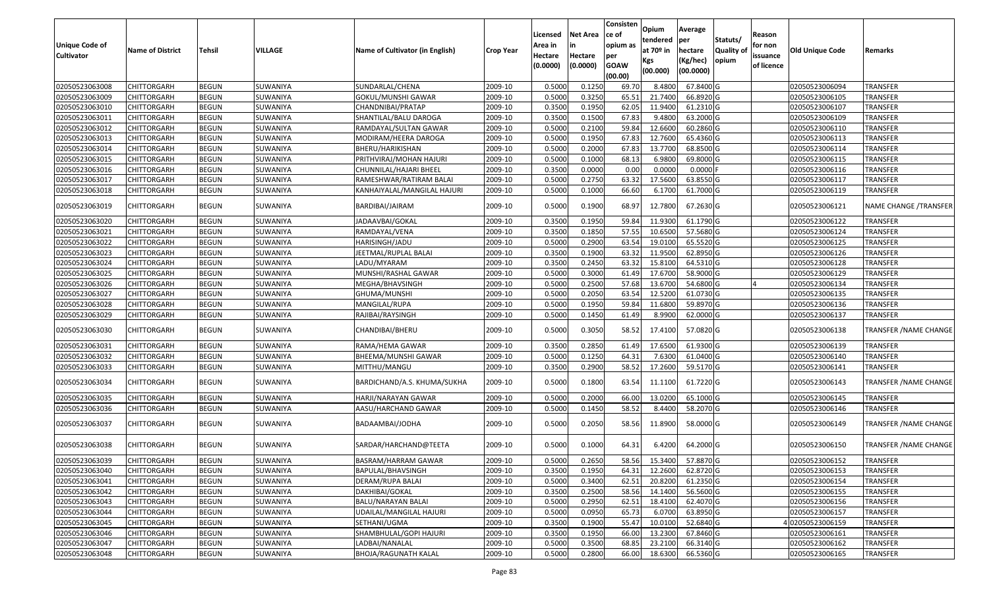| Unique Code of<br><b>Cultivator</b> | <b>Name of District</b> | Tehsil       | VILLAGE  | Name of Cultivator (in English) | <b>Crop Year</b> | Licensed<br>Area in<br>Hectare<br>(0.0000) | <b>Net Area</b><br>in<br>Hectare<br>(0.0000) | Consisten<br>ce of<br>opium as<br>per<br><b>GOAW</b><br>(00.00) | Opium<br>tendered<br>at $70°$ in<br>Kgs<br>(00.000) | Average<br>per<br>hectare<br>(Kg/hec)<br>(00.0000) | Statuts/<br>Quality of<br>opium | Reason<br>for non<br>issuance<br>of licence | <b>Old Unique Code</b> | Remarks               |
|-------------------------------------|-------------------------|--------------|----------|---------------------------------|------------------|--------------------------------------------|----------------------------------------------|-----------------------------------------------------------------|-----------------------------------------------------|----------------------------------------------------|---------------------------------|---------------------------------------------|------------------------|-----------------------|
| 02050523063008                      | <b>CHITTORGARH</b>      | <b>BEGUN</b> | SUWANIYA | SUNDARLAL/CHENA                 | 2009-10          | 0.500                                      | 0.1250                                       | 69.70                                                           | 8.4800                                              | 67.8400 G                                          |                                 |                                             | 02050523006094         | TRANSFER              |
| 02050523063009                      | CHITTORGARH             | <b>BEGUN</b> | SUWANIYA | GOKUL/MUNSHI GAWAR              | 2009-10          | 0.5000                                     | 0.3250                                       | 65.5                                                            | 21.7400                                             | 66.8920 G                                          |                                 |                                             | 02050523006105         | <b>TRANSFER</b>       |
| 02050523063010                      | CHITTORGARH             | <b>BEGUN</b> | SUWANIYA | CHANDNIBAI/PRATAP               | 2009-10          | 0.3500                                     | 0.1950                                       | 62.05                                                           | 11.9400                                             | 61.2310 G                                          |                                 |                                             | 02050523006107         | TRANSFER              |
| 02050523063011                      | CHITTORGARH             | <b>BEGUN</b> | SUWANIYA | SHANTILAL/BALU DAROGA           | 2009-10          | 0.3500                                     | 0.1500                                       | 67.83                                                           | 9.4800                                              | 63.2000 G                                          |                                 |                                             | 02050523006109         | TRANSFER              |
| 02050523063012                      | CHITTORGARH             | <b>BEGUN</b> | SUWANIYA | RAMDAYAL/SULTAN GAWAR           | 2009-10          | 0.5000                                     | 0.2100                                       | 59.84                                                           | 12.6600                                             | 60.2860 G                                          |                                 |                                             | 02050523006110         | TRANSFER              |
| 02050523063013                      | CHITTORGARH             | <b>BEGUN</b> | SUWANIYA | MODIRAM/HEERA DAROGA            | 2009-10          | 0.5000                                     | 0.1950                                       | 67.83                                                           | 12.7600                                             | 65.4360 G                                          |                                 |                                             | 02050523006113         | <b>TRANSFER</b>       |
| 02050523063014                      | CHITTORGARH             | <b>BEGUN</b> | SUWANIYA | BHERU/HARIKISHAN                | 2009-10          | 0.5000                                     | 0.2000                                       | 67.83                                                           | 13.7700                                             | 68.8500 G                                          |                                 |                                             | 02050523006114         | TRANSFER              |
| 02050523063015                      | <b>CHITTORGARH</b>      | <b>BEGUN</b> | SUWANIYA | PRITHVIRAJ/MOHAN HAJURI         | 2009-10          | 0.5000                                     | 0.1000                                       | 68.13                                                           | 6.9800                                              | 69.8000 G                                          |                                 |                                             | 02050523006115         | TRANSFER              |
| 02050523063016                      | <b>CHITTORGARH</b>      | <b>BEGUN</b> | SUWANIYA | CHUNNILAL/HAJARI BHEEL          | 2009-10          | 0.3500                                     | 0.0000                                       | 0.00                                                            | 0.0000                                              | $0.0000$ F                                         |                                 |                                             | 02050523006116         | TRANSFER              |
| 02050523063017                      | CHITTORGARH             | <b>BEGUN</b> | SUWANIYA | RAMESHWAR/RATIRAM BALAI         | 2009-10          | 0.5000                                     | 0.2750                                       | 63.32                                                           | 17.5600                                             | 63.8550 G                                          |                                 |                                             | 02050523006117         | TRANSFER              |
| 02050523063018                      | CHITTORGARH             | <b>BEGUN</b> | SUWANIYA | KANHAIYALAL/MANGILAL HAJURI     | 2009-10          | 0.5000                                     | 0.1000                                       | 66.60                                                           | 6.1700                                              | 61.7000 G                                          |                                 |                                             | 02050523006119         | TRANSFER              |
| 02050523063019                      | CHITTORGARH             | <b>BEGUN</b> | SUWANIYA | BARDIBAI/JAIRAM                 | 2009-10          | 0.5000                                     | 0.1900                                       | 68.97                                                           | 12.7800                                             | 67.2630 G                                          |                                 |                                             | 02050523006121         | NAME CHANGE /TRANSFER |
| 02050523063020                      | CHITTORGARH             | <b>BEGUN</b> | SUWANIYA | JADAAVBAI/GOKAL                 | 2009-10          | 0.350                                      | 0.1950                                       | 59.84                                                           | 11.9300                                             | 61.1790 G                                          |                                 |                                             | 02050523006122         | TRANSFER              |
| 02050523063021                      | CHITTORGARH             | <b>BEGUN</b> | SUWANIYA | RAMDAYAL/VENA                   | 2009-10          | 0.3500                                     | 0.1850                                       | 57.55                                                           | 10.6500                                             | 57.5680 G                                          |                                 |                                             | 02050523006124         | TRANSFER              |
| 02050523063022                      | CHITTORGARH             | <b>BEGUN</b> | SUWANIYA | HARISINGH/JADU                  | 2009-10          | 0.5000                                     | 0.2900                                       | 63.54                                                           | 19.0100                                             | 65.5520 G                                          |                                 |                                             | 02050523006125         | TRANSFER              |
| 02050523063023                      | CHITTORGARH             | <b>BEGUN</b> | SUWANIYA | JEETMAL/RUPLAL BALAI            | 2009-10          | 0.3500                                     | 0.1900                                       | 63.3                                                            | 11.9500                                             | 62.8950 G                                          |                                 |                                             | 02050523006126         | TRANSFER              |
| 02050523063024                      | CHITTORGARH             | <b>BEGUN</b> | SUWANIYA | LADU/MYARAM                     | 2009-10          | 0.3500                                     | 0.2450                                       | 63.32                                                           | 15.8100                                             | 64.5310 G                                          |                                 |                                             | 02050523006128         | TRANSFER              |
| 02050523063025                      | CHITTORGARH             | <b>BEGUN</b> | SUWANIYA | MUNSHI/RASHAL GAWAR             | 2009-10          | 0.5000                                     | 0.3000                                       | 61.49                                                           | 17.6700                                             | 58.9000 G                                          |                                 |                                             | 02050523006129         | TRANSFER              |
| 02050523063026                      | CHITTORGARH             | <b>BEGUN</b> | SUWANIYA | MEGHA/BHAVSINGH                 | 2009-10          | 0.5000                                     | 0.2500                                       | 57.68                                                           | 13.6700                                             | 54.6800 G                                          |                                 |                                             | 02050523006134         | TRANSFER              |
| 02050523063027                      | CHITTORGARH             | <b>BEGUN</b> | SUWANIYA | GHUMA/MUNSHI                    | 2009-10          | 0.5000                                     | 0.2050                                       | 63.54                                                           | 12.5200                                             | 61.0730 G                                          |                                 |                                             | 02050523006135         | TRANSFER              |
| 02050523063028                      | CHITTORGARH             | <b>BEGUN</b> | SUWANIYA | MANGILAL/RUPA                   | 2009-10          | 0.5000                                     | 0.1950                                       | 59.84                                                           | 11.6800                                             | 59.8970 G                                          |                                 |                                             | 02050523006136         | TRANSFER              |
| 02050523063029                      | CHITTORGARH             | <b>BEGUN</b> | SUWANIYA | RAJIBAI/RAYSINGH                | 2009-10          | 0.5000                                     | 0.1450                                       | 61.49                                                           | 8.9900                                              | 62.0000 G                                          |                                 |                                             | 02050523006137         | <b>TRANSFER</b>       |
| 02050523063030                      | CHITTORGARH             | <b>BEGUN</b> | SUWANIYA | CHANDIBAI/BHERU                 | 2009-10          | 0.5000                                     | 0.3050                                       | 58.52                                                           | 17.4100                                             | 57.0820 G                                          |                                 |                                             | 02050523006138         | TRANSFER /NAME CHANGE |
| 02050523063031                      | <b>CHITTORGARH</b>      | <b>BEGUN</b> | SUWANIYA | RAMA/HEMA GAWAR                 | 2009-10          | 0.3500                                     | 0.2850                                       | 61.49                                                           | 17.6500                                             | 61.9300 G                                          |                                 |                                             | 02050523006139         | <b>TRANSFER</b>       |
| 02050523063032                      | <b>CHITTORGARH</b>      | <b>BEGUN</b> | SUWANIYA | BHEEMA/MUNSHI GAWAR             | 2009-10          | 0.5000                                     | 0.1250                                       | 64.3                                                            | 7.6300                                              | 61.0400 G                                          |                                 |                                             | 02050523006140         | TRANSFER              |
| 02050523063033                      | CHITTORGARH             | <b>BEGUN</b> | SUWANIYA | MITTHU/MANGU                    | 2009-10          | 0.3500                                     | 0.2900                                       | 58.52                                                           | 17.2600                                             | 59.5170 G                                          |                                 |                                             | 02050523006141         | TRANSFER              |
| 02050523063034                      | CHITTORGARH             | <b>BEGUN</b> | SUWANIYA | BARDICHAND/A.S. KHUMA/SUKHA     | 2009-10          | 0.5000                                     | 0.1800                                       | 63.54                                                           | 11.1100                                             | 61.7220 G                                          |                                 |                                             | 02050523006143         | TRANSFER /NAME CHANGE |
| 02050523063035                      | CHITTORGARH             | <b>BEGUN</b> | SUWANIYA | HARJI/NARAYAN GAWAR             | 2009-10          | 0.500                                      | 0.2000                                       | 66.00                                                           | 13.0200                                             | 65.1000 G                                          |                                 |                                             | 02050523006145         | TRANSFER              |
| 02050523063036                      | CHITTORGARH             | <b>BEGUN</b> | SUWANIYA | AASU/HARCHAND GAWAR             | 2009-10          | 0.5000                                     | 0.1450                                       | 58.52                                                           | 8.4400                                              | 58.2070 G                                          |                                 |                                             | 02050523006146         | TRANSFER              |
| 02050523063037                      | CHITTORGARH             | <b>BEGUN</b> | SUWANIYA | BADAAMBAI/JODHA                 | 2009-10          | 0.5000                                     | 0.2050                                       | 58.56                                                           | 11.8900                                             | 58.0000 G                                          |                                 |                                             | 02050523006149         | TRANSFER /NAME CHANGE |
| 02050523063038                      | CHITTORGARH             | <b>BEGUN</b> | SUWANIYA | SARDAR/HARCHAND@TEETA           | 2009-10          | 0.5000                                     | 0.1000                                       | 64.31                                                           | 6.4200                                              | 64.2000 G                                          |                                 |                                             | 02050523006150         | TRANSFER /NAME CHANGE |
| 02050523063039                      | CHITTORGARH             | <b>BEGUN</b> | SUWANIYA | BASRAM/HARRAM GAWAR             | 2009-10          | 0.5000                                     | 0.2650                                       | 58.56                                                           | 15.3400                                             | 57.8870 G                                          |                                 |                                             | 02050523006152         | TRANSFER              |
| 02050523063040                      | <b>CHITTORGARH</b>      | <b>BEGUN</b> | SUWANIYA | BAPULAL/BHAVSINGH               | 2009-10          | 0.3500                                     | 0.1950                                       | 64.31                                                           | 12.2600                                             | 62.8720 G                                          |                                 |                                             | 02050523006153         | TRANSFER              |
| 02050523063041                      | <b>CHITTORGARH</b>      | <b>BEGUN</b> | SUWANIYA | DERAM/RUPA BALAI                | 2009-10          | 0.5000                                     | 0.3400                                       | 62.51                                                           | 20.8200                                             | 61.2350 G                                          |                                 |                                             | 02050523006154         | <b>TRANSFER</b>       |
| 02050523063042                      | <b>CHITTORGARH</b>      | <b>BEGUN</b> | SUWANIYA | DAKHIBAI/GOKAL                  | 2009-10          | 0.3500                                     | 0.2500                                       | 58.56                                                           | 14.1400                                             | 56.5600 G                                          |                                 |                                             | 02050523006155         | TRANSFER              |
| 02050523063043                      | <b>CHITTORGARH</b>      | <b>BEGUN</b> | SUWANIYA | BALU/NARAYAN BALAI              | 2009-10          | 0.5000                                     | 0.2950                                       | 62.51                                                           | 18.4100                                             | 62.4070 G                                          |                                 |                                             | 02050523006156         | TRANSFER              |
| 02050523063044                      | <b>CHITTORGARH</b>      | <b>BEGUN</b> | SUWANIYA | UDAILAL/MANGILAL HAJURI         | 2009-10          | 0.5000                                     | 0.0950                                       | 65.73                                                           | 6.0700                                              | 63.8950 G                                          |                                 |                                             | 02050523006157         | <b>TRANSFER</b>       |
| 02050523063045                      | <b>CHITTORGARH</b>      | <b>BEGUN</b> | SUWANIYA | SETHANI/UGMA                    | 2009-10          | 0.3500                                     | 0.1900                                       | 55.47                                                           | 10.0100                                             | 52.6840 G                                          |                                 |                                             | 402050523006159        | <b>TRANSFER</b>       |
| 02050523063046                      | <b>CHITTORGARH</b>      | <b>BEGUN</b> | SUWANIYA | SHAMBHULAL/GOPI HAJURI          | 2009-10          | 0.3500                                     | 0.1950                                       | 66.00                                                           | 13.2300                                             | 67.8460 G                                          |                                 |                                             | 02050523006161         | TRANSFER              |
| 02050523063047                      | <b>CHITTORGARH</b>      | <b>BEGUN</b> | SUWANIYA | LADBAI/NANALAL                  | 2009-10          | 0.5000                                     | 0.3500                                       | 68.85                                                           | 23.2100                                             | 66.3140 G                                          |                                 |                                             | 02050523006162         | <b>TRANSFER</b>       |
| 02050523063048                      | <b>CHITTORGARH</b>      | <b>BEGUN</b> | SUWANIYA | <b>BHOJA/RAGUNATH KALAL</b>     | 2009-10          | 0.5000                                     | 0.2800                                       | 66.00                                                           | 18.6300                                             | 66.5360 G                                          |                                 |                                             | 02050523006165         | TRANSFER              |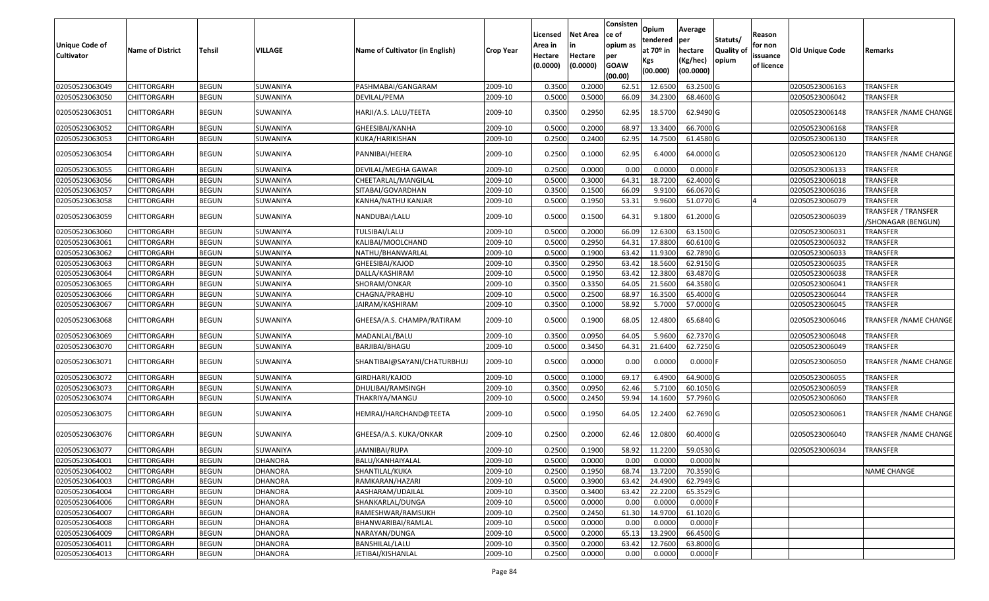| Unique Code of<br>Cultivator | <b>Name of District</b> | Tehsil       | VILLAGE        | Name of Cultivator (in English) | <b>Crop Year</b> | Licensed<br>Area in<br>Hectare<br>(0.0000) | Net Area<br>Hectare<br>(0.0000) | Consisten<br>ce of<br>opium as<br>per<br><b>GOAW</b><br>(00.00) | Opium<br>tendered<br>at 70º in<br>Kgs<br>(00.000) | Average<br>per<br>hectare<br>(Kg/hec)<br>(00.0000) | Statuts/<br>Quality of<br>opium | Reason<br>for non<br>issuance<br>of licence | Old Unique Code | Remarks                                          |
|------------------------------|-------------------------|--------------|----------------|---------------------------------|------------------|--------------------------------------------|---------------------------------|-----------------------------------------------------------------|---------------------------------------------------|----------------------------------------------------|---------------------------------|---------------------------------------------|-----------------|--------------------------------------------------|
| 02050523063049               | CHITTORGARH             | <b>BEGUN</b> | SUWANIYA       | PASHMABAI/GANGARAM              | 2009-10          | 0.3500                                     | 0.2000                          | 62.51                                                           | 12.6500                                           | 63.2500 G                                          |                                 |                                             | 02050523006163  | <b>TRANSFER</b>                                  |
| 02050523063050               | CHITTORGARH             | <b>BEGUN</b> | SUWANIYA       | DEVILAL/PEMA                    | 2009-10          | 0.5000                                     | 0.5000                          | 66.09                                                           | 34.2300                                           | 68.4600 G                                          |                                 |                                             | 02050523006042  | TRANSFER                                         |
| 02050523063051               | CHITTORGARH             | <b>BEGUN</b> | SUWANIYA       | HARJI/A.S. LALU/TEETA           | 2009-10          | 0.3500                                     | 0.2950                          | 62.95                                                           | 18.5700                                           | 62.9490 G                                          |                                 |                                             | 02050523006148  | <b>TRANSFER / NAME CHANGE</b>                    |
| 02050523063052               | CHITTORGARH             | <b>BEGUN</b> | SUWANIYA       | GHEESIBAI/KANHA                 | 2009-10          | 0.5000                                     | 0.2000                          | 68.97                                                           | 13.340                                            | 66.7000 G                                          |                                 |                                             | 02050523006168  | TRANSFER                                         |
| 02050523063053               | CHITTORGARH             | <b>BEGUN</b> | SUWANIYA       | KUKA/HARIKISHAN                 | 2009-10          | 0.2500                                     | 0.2400                          | 62.95                                                           | 14.7500                                           | 61.4580 G                                          |                                 |                                             | 02050523006130  | TRANSFER                                         |
| 02050523063054               | CHITTORGARH             | <b>BEGUN</b> | SUWANIYA       | PANNIBAI/HEERA                  | 2009-10          | 0.2500                                     | 0.1000                          | 62.95                                                           | 6.4000                                            | 64.0000 G                                          |                                 |                                             | 02050523006120  | <b>TRANSFER / NAME CHANGE</b>                    |
| 02050523063055               | <b>CHITTORGARH</b>      | <b>BEGUN</b> | SUWANIYA       | DEVILAL/MEGHA GAWAR             | 2009-10          | 0.2500                                     | 0.0000                          | 0.00                                                            | 0.0000                                            | $0.0000$ F                                         |                                 |                                             | 02050523006133  | <b>TRANSFER</b>                                  |
| 02050523063056               | <b>CHITTORGARH</b>      | <b>BEGUN</b> | SUWANIYA       | CHEETARLAL/MANGILAL             | 2009-10          | 0.5000                                     | 0.3000                          | 64.31                                                           | 18.7200                                           | 62.4000 G                                          |                                 |                                             | 02050523006018  | TRANSFER                                         |
| 02050523063057               | CHITTORGARH             | <b>BEGUN</b> | SUWANIYA       | SITABAI/GOVARDHAN               | 2009-10          | 0.3500                                     | 0.1500                          | 66.09                                                           | 9.9100                                            | 66.0670 G                                          |                                 |                                             | 02050523006036  | TRANSFER                                         |
| 02050523063058               | <b>CHITTORGARH</b>      | <b>BEGUN</b> | SUWANIYA       | KANHA/NATHU KANJAR              | 2009-10          | 0.5000                                     | 0.1950                          | 53.31                                                           | 9.9600                                            | 51.0770 G                                          |                                 |                                             | 02050523006079  | TRANSFER                                         |
| 02050523063059               | CHITTORGARH             | <b>BEGUN</b> | SUWANIYA       | NANDUBAI/LALU                   | 2009-10          | 0.5000                                     | 0.1500                          | 64.31                                                           | 9.1800                                            | 61.2000 G                                          |                                 |                                             | 02050523006039  | <b>TRANSFER / TRANSFER</b><br>/SHONAGAR (BENGUN) |
| 02050523063060               | CHITTORGARH             | <b>BEGUN</b> | SUWANIYA       | TULSIBAI/LALU                   | 2009-10          | 0.5000                                     | 0.2000                          | 66.09                                                           | 12.6300                                           | 63.1500 G                                          |                                 |                                             | 02050523006031  | TRANSFER                                         |
| 02050523063061               | CHITTORGARH             | <b>BEGUN</b> | SUWANIYA       | KALIBAI/MOOLCHAND               | 2009-10          | 0.5000                                     | 0.2950                          | 64.31                                                           | 17.8800                                           | 60.6100 G                                          |                                 |                                             | 02050523006032  | <b>TRANSFER</b>                                  |
| 02050523063062               | CHITTORGARH             | <b>BEGUN</b> | SUWANIYA       | NATHU/BHANWARLAL                | 2009-10          | 0.5000                                     | 0.1900                          | 63.42                                                           | 11.9300                                           | 62.7890 G                                          |                                 |                                             | 02050523006033  | <b>TRANSFER</b>                                  |
| 02050523063063               | CHITTORGARH             | <b>BEGUN</b> | SUWANIYA       | GHEESIBAI/KAJOD                 | 2009-10          | 0.3500                                     | 0.2950                          | 63.42                                                           | 18.5600                                           | 62.9150 G                                          |                                 |                                             | 02050523006035  | <b>TRANSFER</b>                                  |
| 02050523063064               | CHITTORGARH             | <b>BEGUN</b> | SUWANIYA       | DALLA/KASHIRAM                  | 2009-10          | 0.5000                                     | 0.1950                          | 63.42                                                           | 12.3800                                           | 63.4870 G                                          |                                 |                                             | 02050523006038  | <b>TRANSFER</b>                                  |
| 02050523063065               | CHITTORGARH             | <b>BEGUN</b> | SUWANIYA       | SHORAM/ONKAR                    | 2009-10          | 0.3500                                     | 0.3350                          | 64.05                                                           | 21.5600                                           | 64.3580 G                                          |                                 |                                             | 02050523006041  | <b>TRANSFER</b>                                  |
| 02050523063066               | CHITTORGARH             | <b>BEGUN</b> | SUWANIYA       | CHAGNA/PRABHU                   | 2009-10          | 0.5000                                     | 0.2500                          | 68.97                                                           | 16.3500                                           | 65.4000 G                                          |                                 |                                             | 02050523006044  | <b>TRANSFER</b>                                  |
| 02050523063067               | CHITTORGARH             | <b>BEGUN</b> | SUWANIYA       | JAIRAM/KASHIRAM                 | 2009-10          | 0.3500                                     | 0.1000                          | 58.92                                                           | 5.7000                                            | 57.0000 G                                          |                                 |                                             | 02050523006045  | <b>TRANSFER</b>                                  |
| 02050523063068               | CHITTORGARH             | <b>BEGUN</b> | SUWANIYA       | GHEESA/A.S. CHAMPA/RATIRAM      | 2009-10          | 0.5000                                     | 0.1900                          | 68.05                                                           | 12.4800                                           | 65.6840 G                                          |                                 |                                             | 02050523006046  | TRANSFER / NAME CHANGE                           |
| 02050523063069               | CHITTORGARH             | <b>BEGUN</b> | SUWANIYA       | MADANLAL/BALU                   | 2009-10          | 0.3500                                     | 0.0950                          | 64.05                                                           | 5.9600                                            | 62.7370 G                                          |                                 |                                             | 02050523006048  | <b>TRANSFER</b>                                  |
| 02050523063070               | CHITTORGARH             | <b>BEGUN</b> | SUWANIYA       | BARJIBAI/BHAGU                  | 2009-10          | 0.5000                                     | 0.3450                          | 64.31                                                           | 21.6400                                           | 62.7250 G                                          |                                 |                                             | 02050523006049  | <b>TRANSFER</b>                                  |
| 02050523063071               | CHITTORGARH             | <b>BEGUN</b> | SUWANIYA       | SHANTIBAI@SAYANI/CHATURBHUJ     | 2009-10          | 0.5000                                     | 0.0000                          | 0.00                                                            | 0.0000                                            | $0.0000$ F                                         |                                 |                                             | 02050523006050  | TRANSFER /NAME CHANGE                            |
| 02050523063072               | <b>CHITTORGARH</b>      | <b>BEGUN</b> | SUWANIYA       | GIRDHARI/KAJOD                  | 2009-10          | 0.5000                                     | 0.1000                          | 69.17                                                           | 6.4900                                            | 64.9000 G                                          |                                 |                                             | 02050523006055  | TRANSFER                                         |
| 02050523063073               | CHITTORGARH             | <b>BEGUN</b> | SUWANIYA       | DHULIBAI/RAMSINGH               | 2009-10          | 0.3500                                     | 0.0950                          | 62.46                                                           | 5.7100                                            | 60.1050 G                                          |                                 |                                             | 02050523006059  | <b>TRANSFER</b>                                  |
| 02050523063074               | CHITTORGARH             | <b>BEGUN</b> | SUWANIYA       | THAKRIYA/MANGU                  | 2009-10          | 0.5000                                     | 0.2450                          | 59.94                                                           | 14.1600                                           | 57.7960 G                                          |                                 |                                             | 02050523006060  | TRANSFER                                         |
| 02050523063075               | CHITTORGARH             | <b>BEGUN</b> | SUWANIYA       | HEMRAJ/HARCHAND@TEETA           | 2009-10          | 0.5000                                     | 0.1950                          | 64.05                                                           | 12.2400                                           | 62.7690 G                                          |                                 |                                             | 02050523006061  | TRANSFER / NAME CHANGE                           |
| 02050523063076               | CHITTORGARH             | <b>BEGUN</b> | SUWANIYA       | GHEESA/A.S. KUKA/ONKAR          | 2009-10          | 0.2500                                     | 0.2000                          | 62.46                                                           | 12.0800                                           | 60.4000 G                                          |                                 |                                             | 02050523006040  | <b>TRANSFER / NAME CHANGE</b>                    |
| 02050523063077               | CHITTORGARH             | <b>BEGUN</b> | SUWANIYA       | JAMNIBAI/RUPA                   | 2009-10          | 0.2500                                     | 0.1900                          | 58.92                                                           | 11.2200                                           | 59.0530 G                                          |                                 |                                             | 02050523006034  | <b>TRANSFER</b>                                  |
| 02050523064001               | CHITTORGARH             | <b>BEGUN</b> | DHANORA        | BALU/KANHAIYALAL                | 2009-10          | 0.5000                                     | 0.0000                          | 0.00                                                            | 0.0000                                            | 0.0000N                                            |                                 |                                             |                 |                                                  |
| 02050523064002               | <b>CHITTORGARH</b>      | <b>BEGUN</b> | <b>DHANORA</b> | SHANTILAL/KUKA                  | 2009-10          | 0.2500                                     | 0.1950                          | 68.74                                                           | 13.7200                                           | 70.3590 G                                          |                                 |                                             |                 | <b>NAME CHANGE</b>                               |
| 02050523064003               | <b>CHITTORGARH</b>      | <b>BEGUN</b> | <b>DHANORA</b> | RAMKARAN/HAZARI                 | 2009-10          | 0.5000                                     | 0.3900                          | 63.42                                                           | 24.4900                                           | 62.7949 G                                          |                                 |                                             |                 |                                                  |
| 02050523064004               | <b>CHITTORGARH</b>      | <b>BEGUN</b> | <b>DHANORA</b> | AASHARAM/UDAILAL                | 2009-10          | 0.3500                                     | 0.3400                          | 63.42                                                           | 22.2200                                           | 65.3529 G                                          |                                 |                                             |                 |                                                  |
| 02050523064006               | CHITTORGARH             | <b>BEGUN</b> | <b>DHANORA</b> | SHANKARLAL/DUNGA                | 2009-10          | 0.5000                                     | 0.0000                          | 0.00                                                            | 0.0000                                            | $0.0000$ F                                         |                                 |                                             |                 |                                                  |
| 02050523064007               | <b>CHITTORGARH</b>      | <b>BEGUN</b> | <b>DHANORA</b> | RAMESHWAR/RAMSUKH               | 2009-10          | 0.2500                                     | 0.2450                          | 61.30                                                           | 14.9700                                           | 61.1020 G                                          |                                 |                                             |                 |                                                  |
| 02050523064008               | <b>CHITTORGARH</b>      | <b>BEGUN</b> | <b>DHANORA</b> | BHANWARIBAI/RAMLAL              | 2009-10          | 0.5000                                     | 0.0000                          | 0.00                                                            | 0.0000                                            | $0.0000$ F                                         |                                 |                                             |                 |                                                  |
| 02050523064009               | <b>CHITTORGARH</b>      | <b>BEGUN</b> | <b>DHANORA</b> | NARAYAN/DUNGA                   | 2009-10          | 0.5000                                     | 0.2000                          | 65.13                                                           | 13.2900                                           | 66.4500 G                                          |                                 |                                             |                 |                                                  |
| 02050523064011               | <b>CHITTORGARH</b>      | <b>BEGUN</b> | <b>DHANORA</b> | BANSHILAL/LALU                  | 2009-10          | 0.3500                                     | 0.2000                          | 63.42                                                           | 12.7600                                           | 63.8000 G                                          |                                 |                                             |                 |                                                  |
| 02050523064013               | <b>CHITTORGARH</b>      | <b>BEGUN</b> | DHANORA        | JETIBAI/KISHANLAL               | 2009-10          | 0.2500                                     | 0.0000                          | 0.00                                                            | 0.0000                                            | $0.0000$ F                                         |                                 |                                             |                 |                                                  |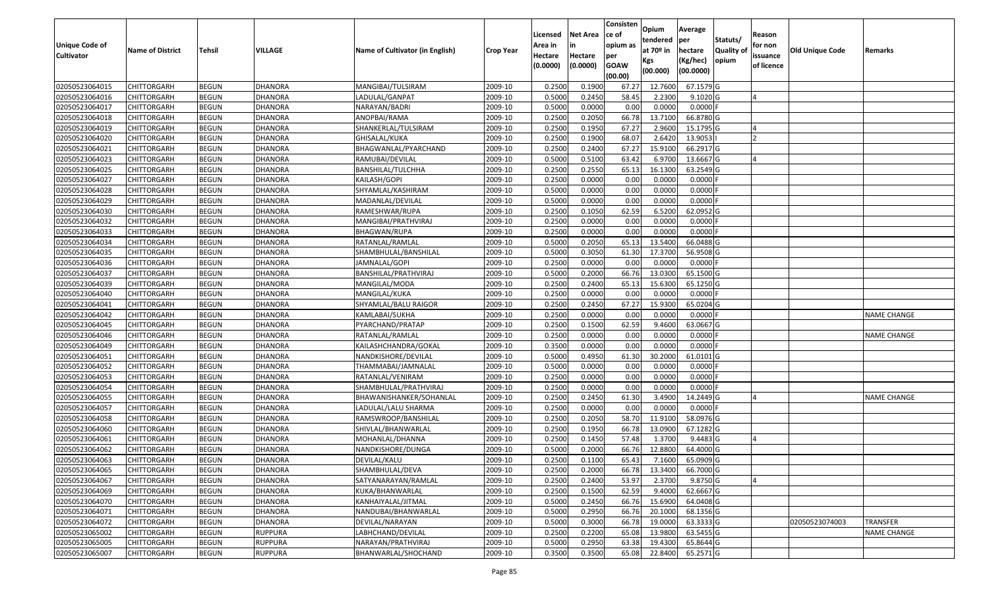|                   |                         |               |                |                                 |                  |          |                 | Consisten              | Opium       | Average    |                  |            |                        |                    |
|-------------------|-------------------------|---------------|----------------|---------------------------------|------------------|----------|-----------------|------------------------|-------------|------------|------------------|------------|------------------------|--------------------|
|                   |                         |               |                |                                 |                  | Licensed | <b>Net Area</b> | ce of                  | tendered    | per        | Statuts/         | Reason     |                        |                    |
| Unique Code of    | <b>Name of District</b> | <b>Tehsil</b> | <b>VILLAGE</b> | Name of Cultivator (in English) | <b>Crop Year</b> | Area in  |                 | opium as               | at $70°$ in | hectare    | <b>Quality o</b> | for non    | <b>Old Unique Code</b> | Remarks            |
| <b>Cultivator</b> |                         |               |                |                                 |                  | Hectare  | Hectare         | per                    | Kgs         | (Kg/hec)   | opium            | issuance   |                        |                    |
|                   |                         |               |                |                                 |                  | (0.0000) | (0.0000)        | <b>GOAW</b><br>(00.00) | (00.000)    | (00.0000)  |                  | of licence |                        |                    |
| 02050523064015    | CHITTORGARH             | <b>BEGUN</b>  | <b>DHANORA</b> | MANGIBAI/TULSIRAM               | 2009-10          | 0.2500   | 0.1900          | 67.27                  | 12.7600     | 67.1579 G  |                  |            |                        |                    |
| 02050523064016    | CHITTORGARH             | <b>BEGUN</b>  | <b>DHANORA</b> | LADULAL/GANPAT                  | 2009-10          | 0.5000   | 0.2450          | 58.45                  | 2.2300      | $9.1020$ G |                  |            |                        |                    |
| 02050523064017    | CHITTORGARH             | <b>BEGUN</b>  | <b>DHANORA</b> | NARAYAN/BADRI                   | 2009-10          | 0.5000   | 0.0000          | 0.00                   | 0.0000      | 0.0000     |                  |            |                        |                    |
| 02050523064018    | <b>CHITTORGARH</b>      | <b>BEGUN</b>  | <b>DHANORA</b> | ANOPBAI/RAMA                    | 2009-10          | 0.2500   | 0.2050          | 66.78                  | 13.7100     | 66.8780 G  |                  |            |                        |                    |
| 02050523064019    | CHITTORGARH             | <b>BEGUN</b>  | <b>DHANORA</b> | SHANKERLAL/TULSIRAM             | 2009-10          | 0.2500   | 0.1950          | 67.27                  | 2.9600      | 15.1795 G  |                  |            |                        |                    |
| 02050523064020    | CHITTORGARH             | <b>BEGUN</b>  | <b>DHANORA</b> | GHISALAL/KUKA                   | 2009-10          | 0.2500   | 0.1900          | 68.07                  | 2.6420      | 13.9053    |                  |            |                        |                    |
| 02050523064021    | CHITTORGARH             | <b>BEGUN</b>  | <b>DHANORA</b> | BHAGWANLAL/PYARCHAND            | 2009-10          | 0.2500   | 0.2400          | 67.27                  | 15.9100     | 66.2917 G  |                  |            |                        |                    |
| 02050523064023    | CHITTORGARH             | <b>BEGUN</b>  | <b>DHANORA</b> | RAMUBAI/DEVILAL                 | 2009-10          | 0.5000   | 0.5100          | 63.42                  | 6.9700      | 13.6667 G  |                  |            |                        |                    |
| 02050523064025    | CHITTORGARH             | <b>BEGUN</b>  | <b>DHANORA</b> | BANSHILAL/TULCHHA               | 2009-10          | 0.2500   | 0.2550          | 65.13                  | 16.1300     | 63.2549 G  |                  |            |                        |                    |
| 02050523064027    | CHITTORGARH             | <b>BEGUN</b>  | DHANORA        | KAILASH/GOPI                    | 2009-10          | 0.2500   | 0.0000          | 0.00                   | 0.0000      | 0.0000F    |                  |            |                        |                    |
| 02050523064028    | CHITTORGARH             | <b>BEGUN</b>  | <b>DHANORA</b> | SHYAMLAL/KASHIRAM               | 2009-10          | 0.5000   | 0.0000          | 0.00                   | 0.0000      | 0.0000F    |                  |            |                        |                    |
| 02050523064029    | CHITTORGARH             | <b>BEGUN</b>  | DHANORA        | MADANLAL/DEVILAL                | 2009-10          | 0.5000   | 0.0000          | 0.00                   | 0.0000      | 0.0000F    |                  |            |                        |                    |
| 02050523064030    | <b>CHITTORGARH</b>      | <b>BEGUN</b>  | <b>DHANORA</b> | RAMESHWAR/RUPA                  | 2009-10          | 0.2500   | 0.1050          | 62.59                  | 6.5200      | 62.0952 G  |                  |            |                        |                    |
| 02050523064032    | CHITTORGARH             | <b>BEGUN</b>  | DHANORA        | MANGIBAI/PRATHVIRAJ             | 2009-10          | 0.2500   | 0.0000          | 0.00                   | 0.0000      | 0.0000F    |                  |            |                        |                    |
| 02050523064033    | CHITTORGARH             | <b>BEGUN</b>  | <b>DHANORA</b> | BHAGWAN/RUPA                    | 2009-10          | 0.2500   | 0.0000          | 0.00                   | 0.0000      | 0.0000F    |                  |            |                        |                    |
| 02050523064034    | CHITTORGARH             | <b>BEGUN</b>  | <b>DHANORA</b> | RATANLAL/RAMLAL                 | 2009-10          | 0.5000   | 0.2050          | 65.13                  | 13.5400     | 66.0488 G  |                  |            |                        |                    |
| 02050523064035    | CHITTORGARH             | <b>BEGUN</b>  | <b>DHANORA</b> | SHAMBHULAL/BANSHILAL            | 2009-10          | 0.5000   | 0.3050          | 61.30                  | 17.3700     | 56.9508 G  |                  |            |                        |                    |
| 02050523064036    | CHITTORGARH             | <b>BEGUN</b>  | <b>DHANORA</b> | JAMNALAL/GOPI                   | 2009-10          | 0.2500   | 0.0000          | 0.00                   | 0.0000      | 0.0000F    |                  |            |                        |                    |
| 02050523064037    | CHITTORGARH             | <b>BEGUN</b>  | <b>DHANORA</b> | BANSHILAL/PRATHVIRAJ            | 2009-10          | 0.5000   | 0.2000          | 66.76                  | 13.0300     | 65.1500 G  |                  |            |                        |                    |
| 02050523064039    | CHITTORGARH             | <b>BEGUN</b>  | <b>DHANORA</b> | MANGILAL/MODA                   | 2009-10          | 0.2500   | 0.2400          | 65.13                  | 15.6300     | 65.1250 G  |                  |            |                        |                    |
| 02050523064040    | CHITTORGARH             | <b>BEGUN</b>  | <b>DHANORA</b> | MANGILAL/KUKA                   | 2009-10          | 0.2500   | 0.0000          | 0.00                   | 0.0000      | 0.0000     |                  |            |                        |                    |
| 02050523064041    | CHITTORGARH             | <b>BEGUN</b>  | <b>DHANORA</b> | SHYAMLAL/BALU RAIGOR            | 2009-10          | 0.2500   | 0.2450          | 67.27                  | 15.9300     | 65.0204 G  |                  |            |                        |                    |
| 02050523064042    | CHITTORGARH             | <b>BEGUN</b>  | <b>DHANORA</b> | KAMLABAI/SUKHA                  | 2009-10          | 0.2500   | 0.0000          | 0.00                   | 0.0000      | 0.0000F    |                  |            |                        | <b>NAME CHANGE</b> |
| 02050523064045    | CHITTORGARH             | <b>BEGUN</b>  | <b>DHANORA</b> | PYARCHAND/PRATAP                | 2009-10          | 0.2500   | 0.1500          | 62.59                  | 9.4600      | 63.0667 G  |                  |            |                        |                    |
| 02050523064046    | <b>CHITTORGARH</b>      | <b>BEGUN</b>  | <b>DHANORA</b> | RATANLAL/RAMLAL                 | 2009-10          | 0.2500   | 0.0000          | 0.00                   | 0.0000      | 0.0000F    |                  |            |                        | <b>NAME CHANGE</b> |
| 02050523064049    | CHITTORGARH             | <b>BEGUN</b>  | <b>DHANORA</b> | KAILASHCHANDRA/GOKAL            | 2009-10          | 0.3500   | 0.0000          | 0.00                   | 0.0000      | 0.0000F    |                  |            |                        |                    |
| 02050523064051    | CHITTORGARH             | <b>BEGUN</b>  | <b>DHANORA</b> | NANDKISHORE/DEVILAL             | 2009-10          | 0.5000   | 0.4950          | 61.30                  | 30.2000     | 61.0101G   |                  |            |                        |                    |
| 02050523064052    | CHITTORGARH             | <b>BEGUN</b>  | <b>DHANORA</b> | THAMMABAI/JAMNALAL              | 2009-10          | 0.5000   | 0.0000          | 0.00                   | 0.0000      | 0.0000     |                  |            |                        |                    |
| 02050523064053    | CHITTORGARH             | <b>BEGUN</b>  | <b>DHANORA</b> | RATANLAL/VENIRAM                | 2009-10          | 0.2500   | 0.0000          | 0.00                   | 0.0000      | 0.0000F    |                  |            |                        |                    |
| 02050523064054    | CHITTORGARH             | <b>BEGUN</b>  | <b>DHANORA</b> | SHAMBHULAL/PRATHVIRAJ           | 2009-10          | 0.2500   | 0.0000          | 0.00                   | 0.0000      | 0.0000     |                  |            |                        |                    |
| 02050523064055    | CHITTORGARH             | <b>BEGUN</b>  | <b>DHANORA</b> | BHAWANISHANKER/SOHANLAL         | 2009-10          | 0.2500   | 0.2450          | 61.30                  | 3.4900      | 14.2449 G  |                  |            |                        | <b>NAME CHANGE</b> |
| 02050523064057    | CHITTORGARH             | <b>BEGUN</b>  | <b>DHANORA</b> | LADULAL/LALU SHARMA             | 2009-10          | 0.2500   | 0.0000          | 0.00                   | 0.0000      | 0.0000     |                  |            |                        |                    |
| 02050523064058    | CHITTORGARH             | <b>BEGUN</b>  | <b>DHANORA</b> | RAMSWROOP/BANSHILAL             | 2009-10          | 0.2500   | 0.2050          | 58.70                  | 11.9100     | 58.0976 G  |                  |            |                        |                    |
| 02050523064060    | CHITTORGARH             | <b>BEGUN</b>  | <b>DHANORA</b> | SHIVLAL/BHANWARLAL              | 2009-10          | 0.2500   | 0.1950          | 66.78                  | 13.0900     | 67.1282 G  |                  |            |                        |                    |
| 02050523064061    | CHITTORGARH             | <b>BEGUN</b>  | <b>DHANORA</b> | MOHANLAL/DHANNA                 | 2009-10          | 0.250    | 0.1450          | 57.48                  | 1.3700      | 9.4483 G   |                  |            |                        |                    |
| 02050523064062    | CHITTORGARH             | <b>BEGUN</b>  | <b>DHANORA</b> | NANDKISHORE/DUNGA               | 2009-10          | 0.5000   | 0.2000          | 66.76                  | 12.8800     | 64.4000 G  |                  |            |                        |                    |
| 02050523064063    | <b>CHITTORGARH</b>      | <b>BEGUN</b>  | <b>DHANORA</b> | DEVILAL/KALU                    | 2009-10          | 0.2500   | 0.1100          | 65.43                  | 7.1600      | 65.0909 G  |                  |            |                        |                    |
| 02050523064065    | <b>CHITTORGARH</b>      | <b>BEGUN</b>  | <b>DHANORA</b> | SHAMBHULAL/DEVA                 | 2009-10          | 0.2500   | 0.2000          | 66.78                  | 13.3400     | 66.7000 G  |                  |            |                        |                    |
| 02050523064067    | <b>CHITTORGARH</b>      | <b>BEGUN</b>  | <b>DHANORA</b> | SATYANARAYAN/RAMLAL             | 2009-10          | 0.2500   | 0.2400          | 53.97                  | 2.3700      | 9.8750 G   |                  |            |                        |                    |
| 02050523064069    | <b>CHITTORGARH</b>      | <b>BEGUN</b>  | <b>DHANORA</b> | KUKA/BHANWARLAL                 | 2009-10          | 0.2500   | 0.1500          | 62.59                  | 9.4000      | 62.6667 G  |                  |            |                        |                    |
| 02050523064070    | CHITTORGARH             | <b>BEGUN</b>  | <b>DHANORA</b> | KANHAIYALAL/JITMAL              | 2009-10          | 0.5000   | 0.2450          | 66.76                  | 15.6900     | 64.0408 G  |                  |            |                        |                    |
| 02050523064071    | <b>CHITTORGARH</b>      | <b>BEGUN</b>  | <b>DHANORA</b> | NANDUBAI/BHANWARLAL             | 2009-10          | 0.5000   | 0.2950          | 66.76                  | 20.1000     | 68.1356 G  |                  |            |                        |                    |
| 02050523064072    | <b>CHITTORGARH</b>      | <b>BEGUN</b>  | <b>DHANORA</b> | DEVILAL/NARAYAN                 | 2009-10          | 0.5000   | 0.3000          | 66.78                  | 19.0000     | 63.3333 G  |                  |            | 02050523074003         | <b>TRANSFER</b>    |
| 02050523065002    | CHITTORGARH             | <b>BEGUN</b>  | <b>RUPPURA</b> | LABHCHAND/DEVILAL               | 2009-10          | 0.2500   | 0.2200          | 65.08                  | 13.9800     | 63.5455 G  |                  |            |                        | <b>NAME CHANGE</b> |
| 02050523065005    | <b>CHITTORGARH</b>      | <b>BEGUN</b>  | <b>RUPPURA</b> | NARAYAN/PRATHVIRAJ              | 2009-10          | 0.5000   | 0.2950          | 63.38                  | 19.4300     | 65.8644 G  |                  |            |                        |                    |
| 02050523065007    | <b>CHITTORGARH</b>      | <b>BEGUN</b>  | <b>RUPPURA</b> | BHANWARLAL/SHOCHAND             | 2009-10          | 0.3500   | 0.3500          | 65.08                  | 22.8400     | 65.2571 G  |                  |            |                        |                    |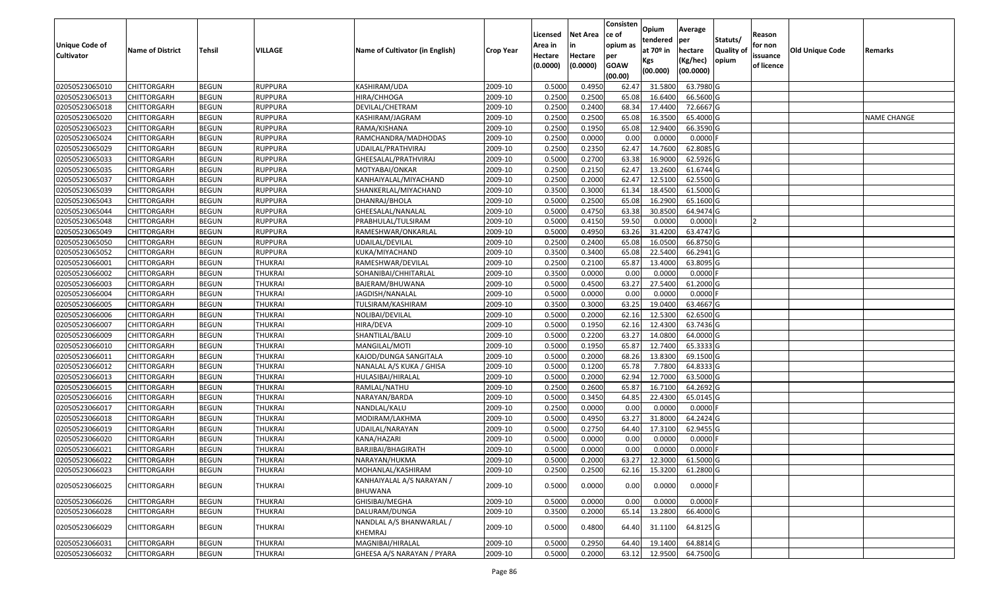| Unique Code of<br><b>Cultivator</b> | <b>Name of District</b> | Tehsil       | VILLAGE        | Name of Cultivator (in English)      | <b>Crop Year</b> | Licensed<br>Area in<br>Hectare<br>(0.0000) | Net Area<br>in<br>Hectare<br>(0.0000) | Consisten<br>ce of<br>opium as<br>per<br><b>GOAW</b> | Opium<br>tendered<br>at 70º in<br>Kgs<br>(00.000) | Average<br>per<br>hectare<br>(Kg/hec)<br>(00.0000) | Statuts/<br><b>Quality of</b><br>opium | Reason<br>for non<br>issuance<br>of licence | <b>Old Unique Code</b> | Remarks            |
|-------------------------------------|-------------------------|--------------|----------------|--------------------------------------|------------------|--------------------------------------------|---------------------------------------|------------------------------------------------------|---------------------------------------------------|----------------------------------------------------|----------------------------------------|---------------------------------------------|------------------------|--------------------|
|                                     |                         |              |                |                                      |                  |                                            |                                       | (00.00)                                              |                                                   |                                                    |                                        |                                             |                        |                    |
| 02050523065010                      | <b>CHITTORGARH</b>      | <b>BEGUN</b> | <b>RUPPURA</b> | KASHIRAM/UDA                         | 2009-10          | 0.5000                                     | 0.4950                                | 62.47                                                | 31.5800                                           | 63.7980 G                                          |                                        |                                             |                        |                    |
| 02050523065013                      | CHITTORGARH             | <b>BEGUN</b> | <b>RUPPURA</b> | HIRA/CHHOGA                          | 2009-10          | 0.2500                                     | 0.2500                                | 65.08                                                | 16.6400                                           | 66.5600 G                                          |                                        |                                             |                        |                    |
| 02050523065018                      | CHITTORGARH             | <b>BEGUN</b> | RUPPURA        | DEVILAL/CHETRAM                      | 2009-10          | 0.2500                                     | 0.2400                                | 68.34                                                | 17.4400                                           | 72.6667 G                                          |                                        |                                             |                        |                    |
| 02050523065020                      | <b>CHITTORGARH</b>      | <b>BEGUN</b> | <b>RUPPURA</b> | KASHIRAM/JAGRAM                      | 2009-10          | 0.2500                                     | 0.2500                                | 65.08                                                | 16.3500                                           | 65.4000 G                                          |                                        |                                             |                        | <b>NAME CHANGE</b> |
| 02050523065023                      | CHITTORGARH             | <b>BEGUN</b> | <b>RUPPURA</b> | RAMA/KISHANA                         | 2009-10          | 0.2500                                     | 0.1950                                | 65.08                                                | 12.9400                                           | 66.3590 G                                          |                                        |                                             |                        |                    |
| 02050523065024                      | CHITTORGARH             | <b>BEGUN</b> | <b>RUPPURA</b> | RAMCHANDRA/MADHODAS                  | 2009-10          | 0.2500                                     | 0.0000                                | 0.00                                                 | 0.0000                                            | $0.0000$ F                                         |                                        |                                             |                        |                    |
| 02050523065029                      | CHITTORGARH             | <b>BEGUN</b> | RUPPURA        | UDAILAL/PRATHVIRAJ                   | 2009-10          | 0.2500                                     | 0.2350                                | 62.47                                                | 14.7600                                           | 62.8085 G                                          |                                        |                                             |                        |                    |
| 02050523065033                      | <b>CHITTORGARH</b>      | <b>BEGUN</b> | <b>RUPPURA</b> | GHEESALAL/PRATHVIRAJ                 | 2009-10          | 0.5000                                     | 0.2700                                | 63.38                                                | 16.9000                                           | 62.5926 G                                          |                                        |                                             |                        |                    |
| 02050523065035                      | CHITTORGARH             | <b>BEGUN</b> | <b>RUPPURA</b> | MOTYABAI/ONKAR                       | 2009-10          | 0.2500                                     | 0.2150                                | 62.47                                                | 13.2600                                           | 61.6744 G                                          |                                        |                                             |                        |                    |
| 02050523065037                      | CHITTORGARH             | <b>BEGUN</b> | <b>RUPPURA</b> | KANHAIYALAL/MIYACHAND                | 2009-10          | 0.2500                                     | 0.2000                                | 62.47                                                | 12.5100                                           | 62.5500 G                                          |                                        |                                             |                        |                    |
| 02050523065039                      | CHITTORGARH             | <b>BEGUN</b> | <b>RUPPURA</b> | SHANKERLAL/MIYACHAND                 | 2009-10          | 0.3500                                     | 0.3000                                | 61.34                                                | 18.4500                                           | 61.5000 G                                          |                                        |                                             |                        |                    |
| 02050523065043                      | <b>CHITTORGARH</b>      | <b>BEGUN</b> | <b>RUPPURA</b> | DHANRAJ/BHOLA                        | 2009-10          | 0.5000                                     | 0.2500                                | 65.08                                                | 16.2900                                           | 65.1600 G                                          |                                        |                                             |                        |                    |
| 02050523065044                      | <b>CHITTORGARH</b>      | <b>BEGUN</b> | <b>RUPPURA</b> | GHEESALAL/NANALAL                    | 2009-10          | 0.5000                                     | 0.4750                                | 63.38                                                | 30.8500                                           | 64.9474 G                                          |                                        |                                             |                        |                    |
| 02050523065048                      | <b>CHITTORGARH</b>      | <b>BEGUN</b> | <b>RUPPURA</b> | PRABHULAL/TULSIRAM                   | 2009-10          | 0.5000                                     | 0.4150                                | 59.50                                                | 0.0000                                            | 0.0000                                             |                                        |                                             |                        |                    |
| 02050523065049                      | CHITTORGARH             | <b>BEGUN</b> | <b>RUPPURA</b> | RAMESHWAR/ONKARLAL                   | 2009-10          | 0.5000                                     | 0.4950                                | 63.26                                                | 31.4200                                           | 63.4747 G                                          |                                        |                                             |                        |                    |
| 02050523065050                      | <b>CHITTORGARH</b>      | <b>BEGUN</b> | <b>RUPPURA</b> | UDAILAL/DEVILAL                      | 2009-10          | 0.2500                                     | 0.2400                                | 65.08                                                | 16.0500                                           | 66.8750 G                                          |                                        |                                             |                        |                    |
| 02050523065052                      | CHITTORGARH             | <b>BEGUN</b> | <b>RUPPURA</b> | KUKA/MIYACHAND                       | 2009-10          | 0.3500                                     | 0.3400                                | 65.08                                                | 22.5400                                           | 66.2941 G                                          |                                        |                                             |                        |                    |
| 02050523066001                      | CHITTORGARH             | <b>BEGUN</b> | THUKRAI        | RAMESHWAR/DEVILAL                    | 2009-10          | 0.2500                                     | 0.2100                                | 65.87                                                | 13.4000                                           | 63.8095 G                                          |                                        |                                             |                        |                    |
| 02050523066002                      | CHITTORGARH             | <b>BEGUN</b> | <b>THUKRAI</b> | SOHANIBAI/CHHITARLAL                 | 2009-10          | 0.3500                                     | 0.0000                                | 0.00                                                 | 0.0000                                            | $0.0000$ F                                         |                                        |                                             |                        |                    |
| 02050523066003                      | CHITTORGARH             | <b>BEGUN</b> | <b>THUKRAI</b> | BAJERAM/BHUWANA                      | 2009-10          | 0.5000                                     | 0.4500                                | 63.27                                                | 27.5400                                           | 61.2000 G                                          |                                        |                                             |                        |                    |
| 02050523066004                      | CHITTORGARH             | <b>BEGUN</b> | <b>THUKRAI</b> | JAGDISH/NANALAL                      | 2009-10          | 0.5000                                     | 0.0000                                | 0.00                                                 | 0.0000                                            | $0.0000$ F                                         |                                        |                                             |                        |                    |
| 02050523066005                      | CHITTORGARH             | <b>BEGUN</b> | <b>THUKRAI</b> | TULSIRAM/KASHIRAM                    | 2009-10          | 0.3500                                     | 0.3000                                | 63.25                                                | 19.0400                                           | 63.4667 G                                          |                                        |                                             |                        |                    |
| 02050523066006                      | CHITTORGARH             | <b>BEGUN</b> | <b>THUKRAI</b> | NOLIBAI/DEVILAL                      | 2009-10          | 0.5000                                     | 0.2000                                | 62.16                                                | 12.5300                                           | 62.6500 G                                          |                                        |                                             |                        |                    |
| 02050523066007                      | CHITTORGARH             | <b>BEGUN</b> | <b>THUKRAI</b> | HIRA/DEVA                            | 2009-10          | 0.5000                                     | 0.1950                                | 62.16                                                | 12.4300                                           | 63.7436 G                                          |                                        |                                             |                        |                    |
| 02050523066009                      | CHITTORGARH             | <b>BEGUN</b> | <b>THUKRAI</b> | SHANTILAL/BALU                       | 2009-10          | 0.5000                                     | 0.2200                                | 63.27                                                | 14.0800                                           | 64.0000 G                                          |                                        |                                             |                        |                    |
| 02050523066010                      | CHITTORGARH             | <b>BEGUN</b> | <b>THUKRAI</b> | MANGILAL/MOTI                        | 2009-10          | 0.5000                                     | 0.1950                                | 65.87                                                | 12.7400                                           | 65.3333 G                                          |                                        |                                             |                        |                    |
| 02050523066011                      | CHITTORGARH             | <b>BEGUN</b> | <b>THUKRAI</b> | KAJOD/DUNGA SANGITALA                | 2009-10          | 0.5000                                     | 0.2000                                | 68.26                                                | 13.8300                                           | 69.1500 G                                          |                                        |                                             |                        |                    |
| 02050523066012                      | CHITTORGARH             | <b>BEGUN</b> | <b>THUKRAI</b> | NANALAL A/S KUKA / GHISA             | 2009-10          | 0.5000                                     | 0.1200                                | 65.78                                                | 7.7800                                            | 64.8333 G                                          |                                        |                                             |                        |                    |
| 02050523066013                      | CHITTORGARH             | <b>BEGUN</b> | <b>THUKRAI</b> | HULASIBAI/HIRALAL                    | 2009-10          | 0.5000                                     | 0.2000                                | 62.94                                                | 12.7000                                           | 63.5000 G                                          |                                        |                                             |                        |                    |
| 02050523066015                      | CHITTORGARH             | <b>BEGUN</b> | <b>THUKRAI</b> | RAMLAL/NATHU                         | 2009-10          | 0.2500                                     | 0.2600                                | 65.87                                                | 16.7100                                           | 64.2692 G                                          |                                        |                                             |                        |                    |
| 02050523066016                      | CHITTORGARH             | <b>BEGUN</b> | <b>THUKRAI</b> | NARAYAN/BARDA                        | 2009-10          | 0.5000                                     | 0.3450                                | 64.85                                                | 22.4300                                           | 65.0145 G                                          |                                        |                                             |                        |                    |
| 02050523066017                      | CHITTORGARH             | <b>BEGUN</b> | <b>THUKRAI</b> | NANDLAL/KALU                         | 2009-10          | 0.2500                                     | 0.0000                                | 0.00                                                 | 0.0000                                            | $0.0000$ F                                         |                                        |                                             |                        |                    |
| 02050523066018                      | CHITTORGARH             | <b>BEGUN</b> | <b>THUKRAI</b> | MODIRAM/LAKHMA                       | 2009-10          | 0.5000                                     | 0.4950                                | 63.27                                                | 31.8000                                           | 64.2424 G                                          |                                        |                                             |                        |                    |
| 02050523066019                      | CHITTORGARH             | <b>BEGUN</b> | <b>THUKRAI</b> | UDAILAL/NARAYAN                      | 2009-10          | 0.5000                                     | 0.2750                                | 64.40                                                | 17.3100                                           | 62.9455 G                                          |                                        |                                             |                        |                    |
| 02050523066020                      | CHITTORGARH             | <b>BEGUN</b> | <b>THUKRAI</b> | KANA/HAZARI                          | 2009-10          | 0.5000                                     | 0.0000                                | 0.00                                                 | 0.0000                                            | $0.0000$ F                                         |                                        |                                             |                        |                    |
| 02050523066021                      | CHITTORGARH             | <b>BEGUN</b> | <b>THUKRAI</b> | BARJIBAI/BHAGIRATH                   | 2009-10          | 0.5000                                     | 0.0000                                | 0.00                                                 | 0.0000                                            | 0.0000                                             |                                        |                                             |                        |                    |
| 02050523066022                      | <b>CHITTORGARH</b>      | <b>BEGUN</b> | <b>THUKRAI</b> | NARAYAN/HUKMA                        | 2009-10          | 0.5000                                     | 0.2000                                | 63.27                                                | 12.3000                                           | 61.5000 G                                          |                                        |                                             |                        |                    |
| 02050523066023                      | <b>CHITTORGARH</b>      | <b>BEGUN</b> | THUKRAI        | MOHANLAL/KASHIRAM                    | 2009-10          | 0.2500                                     | 0.2500                                | 62.16                                                | 15.3200                                           | 61.2800 G                                          |                                        |                                             |                        |                    |
| 02050523066025                      | CHITTORGARH             | <b>BEGUN</b> | THUKRAI        | KANHAIYALAL A/S NARAYAN /<br>BHUWANA | 2009-10          | 0.5000                                     | 0.0000                                | 0.00                                                 | 0.0000                                            | $0.0000$ F                                         |                                        |                                             |                        |                    |
| 02050523066026                      | <b>CHITTORGARH</b>      | <b>BEGUN</b> | <b>THUKRAI</b> | GHISIBAI/MEGHA                       | 2009-10          | 0.5000                                     | 0.0000                                | 0.00                                                 | 0.0000                                            | $0.0000$ F                                         |                                        |                                             |                        |                    |
| 02050523066028                      | <b>CHITTORGARH</b>      | <b>BEGUN</b> | <b>THUKRAI</b> | DALURAM/DUNGA                        | 2009-10          | 0.3500                                     | 0.2000                                | 65.14                                                | 13.2800                                           | 66.4000 G                                          |                                        |                                             |                        |                    |
| 02050523066029                      | <b>CHITTORGARH</b>      | <b>BEGUN</b> | THUKRAI        | NANDLAL A/S BHANWARLAL /<br>KHEMRAJ  | 2009-10          | 0.5000                                     | 0.4800                                | 64.40                                                | 31.1100                                           | 64.8125 G                                          |                                        |                                             |                        |                    |
| 02050523066031                      | <b>CHITTORGARH</b>      | <b>BEGUN</b> | <b>THUKRAI</b> | MAGNIBAI/HIRALAL                     | 2009-10          | 0.5000                                     | 0.2950                                | 64.40                                                | 19.1400                                           | 64.8814 G                                          |                                        |                                             |                        |                    |
| 02050523066032                      | <b>CHITTORGARH</b>      | <b>BEGUN</b> | THUKRAI        | GHEESA A/S NARAYAN / PYARA           | 2009-10          | 0.5000                                     | 0.2000                                | 63.12                                                | 12.9500                                           | 64.7500 G                                          |                                        |                                             |                        |                    |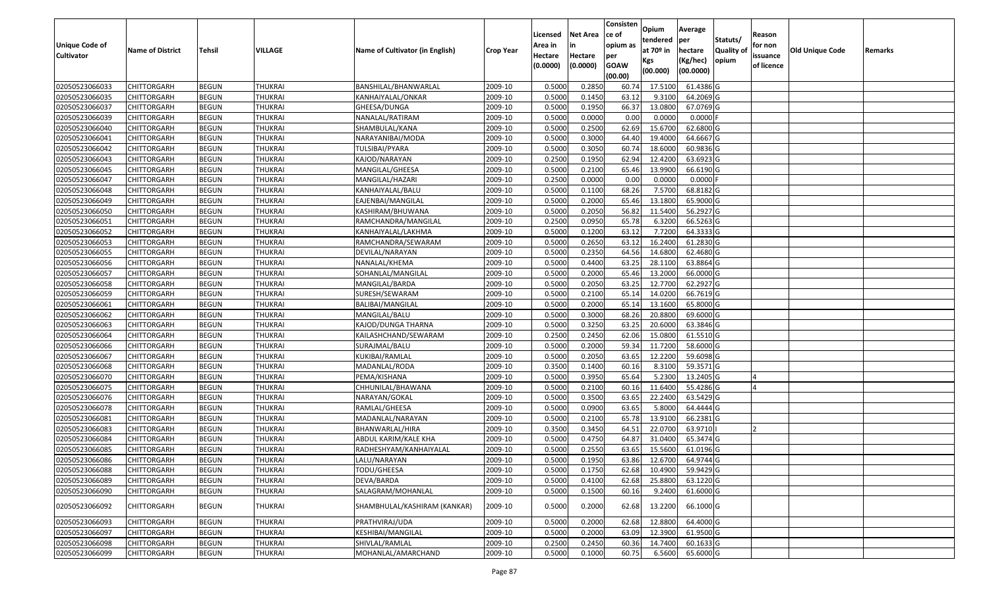|                       |                         |               |                |                                        |                  |          |                 | Consisten   | Opium       | Average                |                  |            |                 |         |
|-----------------------|-------------------------|---------------|----------------|----------------------------------------|------------------|----------|-----------------|-------------|-------------|------------------------|------------------|------------|-----------------|---------|
|                       |                         |               |                |                                        |                  | Licensed | <b>Net Area</b> | ce of       | tendered    | per                    | Statuts/         | Reason     |                 |         |
| <b>Unique Code of</b> | <b>Name of District</b> | <b>Tehsil</b> | VILLAGE        | <b>Name of Cultivator (in English)</b> | <b>Crop Year</b> | Area in  |                 | opium as    | at $70°$ in | hectare                | <b>Quality o</b> | for non    | Old Unique Code | Remarks |
| <b>Cultivator</b>     |                         |               |                |                                        |                  | Hectare  | Hectare         | per         | Kgs         | (Kg/hec)               | opium            | issuance   |                 |         |
|                       |                         |               |                |                                        |                  | (0.0000) | (0.0000)        | <b>GOAW</b> | (00.000)    | (00.0000)              |                  | of licence |                 |         |
|                       |                         |               |                |                                        |                  |          |                 | (00.00)     |             |                        |                  |            |                 |         |
| 02050523066033        | CHITTORGARH             | <b>BEGUN</b>  | <b>THUKRAI</b> | BANSHILAL/BHANWARLAL                   | 2009-10          | 0.5000   | 0.2850          | 60.7        | 17.5100     | 61.4386 G              |                  |            |                 |         |
| 02050523066035        | CHITTORGARH             | <b>BEGUN</b>  | <b>THUKRAI</b> | KANHAIYALAL/ONKAR                      | 2009-10          | 0.5000   | 0.1450          | 63.12       | 9.3100      | 64.2069 G              |                  |            |                 |         |
| 02050523066037        | CHITTORGARH             | <b>BEGUN</b>  | <b>THUKRAI</b> | GHEESA/DUNGA                           | 2009-10          | 0.5000   | 0.1950          | 66.37       | 13.0800     | 67.0769 G              |                  |            |                 |         |
| 02050523066039        | <b>CHITTORGARH</b>      | <b>BEGUN</b>  | <b>THUKRAI</b> | NANALAL/RATIRAM                        | 2009-10          | 0.5000   | 0.0000          | 0.00        | 0.0000      | $0.0000$ F             |                  |            |                 |         |
| 02050523066040        | CHITTORGARH             | <b>BEGUN</b>  | <b>THUKRAI</b> | SHAMBULAL/KANA                         | 2009-10          | 0.5000   | 0.2500          | 62.69       | 15.6700     | 62.6800 G              |                  |            |                 |         |
| 02050523066041        | CHITTORGARH             | <b>BEGUN</b>  | THUKRAI        | NARAYANIBAI/MODA                       | 2009-10          | 0.5000   | 0.3000          | 64.40       | 19.4000     | $\overline{64.6667}$ G |                  |            |                 |         |
| 02050523066042        | CHITTORGARH             | <b>BEGUN</b>  | THUKRAI        | TULSIBAI/PYARA                         | 2009-10          | 0.5000   | 0.3050          | 60.7        | 18.6000     | 60.9836 G              |                  |            |                 |         |
| 02050523066043        | CHITTORGARH             | <b>BEGUN</b>  | <b>THUKRAI</b> | KAJOD/NARAYAN                          | 2009-10          | 0.2500   | 0.1950          | 62.94       | 12.4200     | 63.6923 G              |                  |            |                 |         |
| 02050523066045        | CHITTORGARH             | <b>BEGUN</b>  | <b>THUKRAI</b> | MANGILAL/GHEESA                        | 2009-10          | 0.5000   | 0.2100          | 65.46       | 13.9900     | 66.6190 G              |                  |            |                 |         |
| 02050523066047        | CHITTORGARH             | <b>BEGUN</b>  | <b>THUKRAI</b> | MANGILAL/HAZARI                        | 2009-10          | 0.2500   | 0.0000          | 0.00        | 0.0000      | $0.0000$ F             |                  |            |                 |         |
| 02050523066048        | CHITTORGARH             | <b>BEGUN</b>  | <b>THUKRAI</b> | KANHAIYALAL/BALU                       | 2009-10          | 0.5000   | 0.1100          | 68.26       | 7.5700      | 68.8182 G              |                  |            |                 |         |
| 02050523066049        | CHITTORGARH             | <b>BEGUN</b>  | <b>THUKRAI</b> | EAJENBAI/MANGILAL                      | 2009-10          | 0.5000   | 0.2000          | 65.46       | 13.1800     | 65.9000 G              |                  |            |                 |         |
| 02050523066050        | <b>CHITTORGARH</b>      | <b>BEGUN</b>  | <b>THUKRAI</b> | KASHIRAM/BHUWANA                       | 2009-10          | 0.5000   | 0.2050          | 56.82       | 11.5400     | 56.2927 G              |                  |            |                 |         |
| 02050523066051        | CHITTORGARH             | <b>BEGUN</b>  | <b>THUKRAI</b> | RAMCHANDRA/MANGILAL                    | 2009-10          | 0.2500   | 0.0950          | 65.78       | 6.3200      | 66.5263 G              |                  |            |                 |         |
| 02050523066052        | CHITTORGARH             | <b>BEGUN</b>  | <b>THUKRAI</b> | KANHAIYALAL/LAKHMA                     | 2009-10          | 0.5000   | 0.1200          | 63.12       | 7.7200      | 64.3333 G              |                  |            |                 |         |
| 02050523066053        | CHITTORGARH             | <b>BEGUN</b>  | <b>THUKRAI</b> | RAMCHANDRA/SEWARAM                     | 2009-10          | 0.5000   | 0.2650          | 63.12       | 16.2400     | 61.2830 G              |                  |            |                 |         |
| 02050523066055        | CHITTORGARH             | <b>BEGUN</b>  | <b>THUKRAI</b> | DEVILAL/NARAYAN                        | 2009-10          | 0.5000   | 0.2350          | 64.56       | 14.6800     | 62.4680 G              |                  |            |                 |         |
| 02050523066056        | CHITTORGARH             | <b>BEGUN</b>  | THUKRAI        | NANALAL/KHEMA                          | 2009-10          | 0.5000   | 0.4400          | 63.25       | 28.1100     | 63.8864 G              |                  |            |                 |         |
| 02050523066057        | CHITTORGARH             | <b>BEGUN</b>  | <b>THUKRAI</b> | SOHANLAL/MANGILAL                      | 2009-10          | 0.5000   | 0.2000          | 65.46       | 13.2000     | 66.0000 G              |                  |            |                 |         |
| 02050523066058        | CHITTORGARH             | <b>BEGUN</b>  | <b>THUKRAI</b> | MANGILAL/BARDA                         | 2009-10          | 0.5000   | 0.2050          | 63.25       | 12.7700     | 62.2927 G              |                  |            |                 |         |
| 02050523066059        | CHITTORGARH             | <b>BEGUN</b>  | <b>THUKRAI</b> | SURESH/SEWARAM                         | 2009-10          | 0.5000   | 0.2100          | 65.14       | 14.0200     | 66.7619 G              |                  |            |                 |         |
| 02050523066061        | CHITTORGARH             | <b>BEGUN</b>  | <b>THUKRAI</b> | BALIBAI/MANGILAL                       | 2009-10          | 0.500    | 0.2000          | 65.1        | 13.1600     | 65.8000 G              |                  |            |                 |         |
| 02050523066062        | CHITTORGARH             | <b>BEGUN</b>  | <b>THUKRAI</b> | MANGILAL/BALU                          | 2009-10          | 0.5000   | 0.3000          | 68.26       | 20.8800     | 69.6000 G              |                  |            |                 |         |
| 02050523066063        | CHITTORGARH             | <b>BEGUN</b>  | <b>THUKRAI</b> | KAJOD/DUNGA THARNA                     | 2009-10          | 0.5000   | 0.3250          | 63.25       | 20.6000     | 63.3846 G              |                  |            |                 |         |
| 02050523066064        | CHITTORGARH             | <b>BEGUN</b>  | <b>THUKRAI</b> | KAILASHCHAND/SEWARAM                   | 2009-10          | 0.2500   | 0.2450          | 62.06       | 15.0800     | 61.5510G               |                  |            |                 |         |
| 02050523066066        | CHITTORGARH             | <b>BEGUN</b>  | <b>THUKRAI</b> | SURAJMAL/BALU                          | 2009-10          | 0.5000   | 0.2000          | 59.34       | 11.7200     | 58.6000 G              |                  |            |                 |         |
| 02050523066067        | CHITTORGARH             | <b>BEGUN</b>  | <b>THUKRAI</b> | KUKIBAI/RAMLAL                         | 2009-10          | 0.5000   | 0.2050          | 63.65       | 12.2200     | 59.6098 G              |                  |            |                 |         |
| 02050523066068        | CHITTORGARH             | <b>BEGUN</b>  | <b>THUKRAI</b> | MADANLAL/RODA                          | 2009-10          | 0.3500   | 0.1400          | 60.16       | 8.3100      | 59.3571G               |                  |            |                 |         |
| 02050523066070        | CHITTORGARH             | <b>BEGUN</b>  | <b>THUKRAI</b> | PEMA/KISHANA                           | 2009-10          | 0.5000   | 0.3950          | 65.64       | 5.2300      | 13.2405 G              |                  |            |                 |         |
| 02050523066075        | CHITTORGARH             | <b>BEGUN</b>  | <b>THUKRAI</b> | CHHUNILAL/BHAWANA                      | 2009-10          | 0.5000   | 0.2100          | 60.16       | 11.6400     | 55.4286 G              |                  |            |                 |         |
| 02050523066076        | CHITTORGARH             | <b>BEGUN</b>  | <b>THUKRAI</b> | NARAYAN/GOKAL                          | 2009-10          | 0.5000   | 0.3500          | 63.65       | 22.2400     | 63.5429 G              |                  |            |                 |         |
| 02050523066078        | CHITTORGARH             | <b>BEGUN</b>  | <b>THUKRAI</b> | RAMLAL/GHEESA                          | 2009-10          | 0.5000   | 0.0900          | 63.65       | 5.8000      | 64.4444 G              |                  |            |                 |         |
| 02050523066081        | CHITTORGARH             | <b>BEGUN</b>  | <b>THUKRAI</b> | MADANLAL/NARAYAN                       | 2009-10          | 0.5000   | 0.2100          | 65.78       | 13.9100     | 66.2381G               |                  |            |                 |         |
| 02050523066083        | CHITTORGARH             | <b>BEGUN</b>  | <b>THUKRAI</b> | BHANWARLAL/HIRA                        | 2009-10          | 0.3500   | 0.3450          | 64.5        | 22.070      | 63.9710                |                  |            |                 |         |
| 02050523066084        | CHITTORGARH             | <b>BEGUN</b>  | <b>THUKRAI</b> | ABDUL KARIM/KALE KHA                   | 2009-10          | 0.500    | 0.4750          | 64.87       | 31.0400     | 65.3474 G              |                  |            |                 |         |
| 02050523066085        | CHITTORGARH             | <b>BEGUN</b>  | <b>THUKRAI</b> | RADHESHYAM/KANHAIYALAL                 | 2009-10          | 0.5000   | 0.2550          | 63.65       | 15.5600     | 61.0196 G              |                  |            |                 |         |
| 02050523066086        | <b>CHITTORGARH</b>      | <b>BEGUN</b>  | THUKRAI        | LALU/NARAYAN                           | 2009-10          | 0.5000   | 0.1950          | 63.86       | 12.6700     | 64.9744 G              |                  |            |                 |         |
| 02050523066088        | <b>CHITTORGARH</b>      | <b>BEGUN</b>  | <b>THUKRAI</b> | TODU/GHEESA                            | 2009-10          | 0.5000   | 0.1750          | 62.68       | 10.4900     | 59.9429 G              |                  |            |                 |         |
| 02050523066089        | <b>CHITTORGARH</b>      | <b>BEGUN</b>  | <b>THUKRAI</b> | DEVA/BARDA                             | 2009-10          | 0.5000   | 0.4100          | 62.68       | 25.8800     | 63.1220 G              |                  |            |                 |         |
| 02050523066090        | <b>CHITTORGARH</b>      | <b>BEGUN</b>  | THUKRAI        | SALAGRAM/MOHANLAL                      | 2009-10          | 0.5000   | 0.1500          | 60.16       | 9.2400      | $61.6000$ G            |                  |            |                 |         |
| 02050523066092        | CHITTORGARH             | <b>BEGUN</b>  | THUKRAI        | SHAMBHULAL/KASHIRAM (KANKAR)           | 2009-10          | 0.5000   | 0.2000          | 62.68       | 13.2200     | 66.1000G               |                  |            |                 |         |
| 02050523066093        | <b>CHITTORGARH</b>      | <b>BEGUN</b>  | <b>THUKRAI</b> | PRATHVIRAJ/UDA                         | 2009-10          | 0.5000   | 0.2000          | 62.68       | 12.8800     | 64.4000 G              |                  |            |                 |         |
| 02050523066097        | CHITTORGARH             | <b>BEGUN</b>  | THUKRAI        | KESHIBAI/MANGILAL                      | 2009-10          | 0.5000   | 0.2000          | 63.09       | 12.3900     | 61.9500 G              |                  |            |                 |         |
| 02050523066098        | CHITTORGARH             | <b>BEGUN</b>  | <b>THUKRAI</b> | SHIVLAL/RAMLAL                         | 2009-10          | 0.2500   | 0.2450          | 60.36       | 14.7400     | $60.1633$ G            |                  |            |                 |         |
| 02050523066099        | <b>CHITTORGARH</b>      | <b>BEGUN</b>  | <b>THUKRAI</b> | MOHANLAL/AMARCHAND                     | 2009-10          | 0.5000   | 0.1000          | 60.75       | 6.5600      | 65.6000 G              |                  |            |                 |         |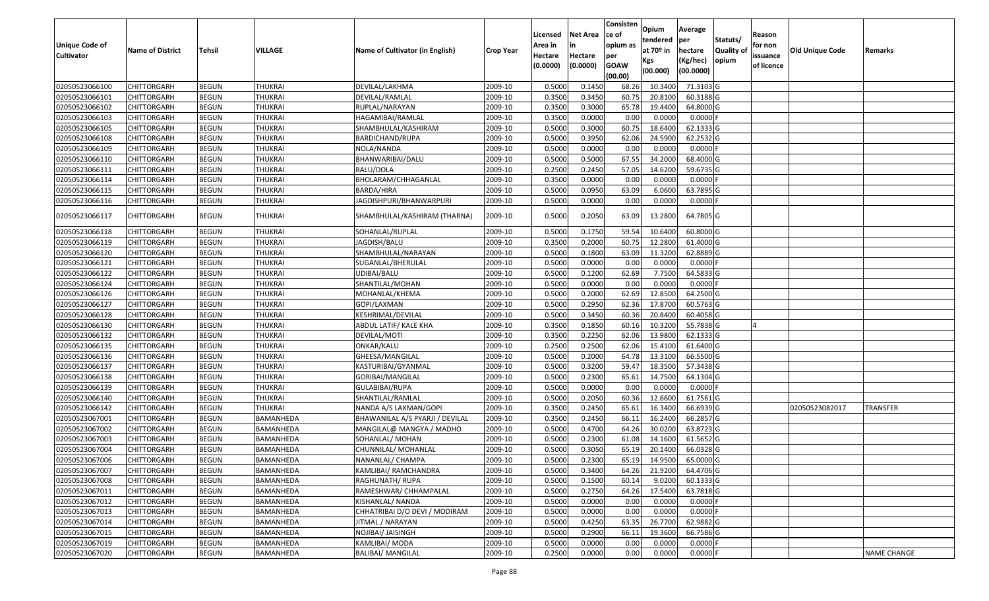|                       |                         |               |                |                                 |                  |          |                 | Consisten   | Opium         | Average    |                  |            |                 |                    |
|-----------------------|-------------------------|---------------|----------------|---------------------------------|------------------|----------|-----------------|-------------|---------------|------------|------------------|------------|-----------------|--------------------|
|                       |                         |               |                |                                 |                  | Licensed | <b>Net Area</b> | ce of       | tendered      | per        | Statuts/         | Reason     |                 |                    |
| <b>Unique Code of</b> | <b>Name of District</b> | <b>Tehsil</b> | <b>VILLAGE</b> | Name of Cultivator (in English) | <b>Crop Year</b> | Area in  |                 | opium as    | at $70°$ in   | hectare    | <b>Quality o</b> | for non    | Old Unique Code | Remarks            |
| <b>Cultivator</b>     |                         |               |                |                                 |                  | Hectare  | Hectare         | per         | Kgs           | (Kg/hec)   | opium            | issuance   |                 |                    |
|                       |                         |               |                |                                 |                  | (0.0000) | (0.0000)        | <b>GOAW</b> | (00.000)      | (00.0000)  |                  | of licence |                 |                    |
|                       |                         |               |                |                                 |                  |          |                 | (00.00)     |               |            |                  |            |                 |                    |
| 02050523066100        | CHITTORGARH             | <b>BEGUN</b>  | <b>THUKRAI</b> | DEVILAL/LAKHMA                  | 2009-10          | 0.5000   | 0.1450          | 68.26       | 10.3400       | 71.3103 G  |                  |            |                 |                    |
| 02050523066101        | CHITTORGARH             | <b>BEGUN</b>  | <b>THUKRAI</b> | DEVILAL/RAMLAL                  | 2009-10          | 0.3500   | 0.3450          | 60.75       | 20.8100       | 60.3188 G  |                  |            |                 |                    |
| 02050523066102        | CHITTORGARH             | <b>BEGUN</b>  | <b>THUKRAI</b> | RUPLAL/NARAYAN                  | 2009-10          | 0.3500   | 0.3000          | 65.78       | 19.4400       | 64.8000 G  |                  |            |                 |                    |
| 02050523066103        | <b>CHITTORGARH</b>      | <b>BEGUN</b>  | <b>THUKRAI</b> | HAGAMIBAI/RAMLAL                | 2009-10          | 0.3500   | 0.0000          | 0.00        | 0.0000        | $0.0000$ F |                  |            |                 |                    |
| 02050523066105        | CHITTORGARH             | <b>BEGUN</b>  | <b>THUKRAI</b> | SHAMBHULAL/KASHIRAM             | 2009-10          | 0.5000   | 0.3000          | 60.75       | 18.6400       | 62.1333 G  |                  |            |                 |                    |
| 02050523066108        | CHITTORGARH             | <b>BEGUN</b>  | <b>THUKRAI</b> | BARDICHAND/RUPA                 | 2009-10          | 0.5000   | 0.3950          | 62.06       | 24.5900       | 62.2532 G  |                  |            |                 |                    |
| 02050523066109        | CHITTORGARH             | <b>BEGUN</b>  | THUKRAI        | NOLA/NANDA                      | 2009-10          | 0.5000   | 0.0000          | 0.00        | 0.0000        | 0.0000     |                  |            |                 |                    |
| 02050523066110        | CHITTORGARH             | <b>BEGUN</b>  | <b>THUKRAI</b> | BHANWARIBAI/DALU                | 2009-10          | 0.5000   | 0.5000          | 67.55       | 34.2000       | 68.4000 G  |                  |            |                 |                    |
| 02050523066111        | CHITTORGARH             | <b>BEGUN</b>  | <b>THUKRAI</b> | BALU/DOLA                       | 2009-10          | 0.2500   | 0.2450          | 57.05       | 14.6200       | 59.6735 G  |                  |            |                 |                    |
| 02050523066114        | CHITTORGARH             | <b>BEGUN</b>  | <b>THUKRAI</b> | BHOLARAM/CHHAGANLAL             | 2009-10          | 0.3500   | 0.0000          | 0.00        | 0.0000        | $0.0000$ F |                  |            |                 |                    |
| 02050523066115        | CHITTORGARH             | <b>BEGUN</b>  | <b>THUKRAI</b> | BARDA/HIRA                      | 2009-10          | 0.5000   | 0.0950          | 63.09       | 6.0600        | 63.7895 G  |                  |            |                 |                    |
| 02050523066116        | CHITTORGARH             | <b>BEGUN</b>  | <b>THUKRAI</b> | JAGDISHPURI/BHANWARPURI         | 2009-10          | 0.5000   | 0.0000          | 0.00        | 0.0000        | 0.0000F    |                  |            |                 |                    |
| 02050523066117        | CHITTORGARH             | <b>BEGUN</b>  | THUKRAI        | SHAMBHULAL/KASHIRAM (THARNA)    | 2009-10          | 0.5000   | 0.2050          | 63.09       | 13.2800       | 64.7805 G  |                  |            |                 |                    |
| 02050523066118        | CHITTORGARH             | <b>BEGUN</b>  | THUKRAI        | SOHANLAL/RUPLAL                 | 2009-10          | 0.5000   | 0.1750          | 59.54       | 10.6400       | 60.8000 G  |                  |            |                 |                    |
| 02050523066119        | CHITTORGARH             | <b>BEGUN</b>  | <b>THUKRAI</b> | JAGDISH/BALU                    | 2009-10          | 0.3500   | 0.2000          | 60.75       | 12.2800       | 61.4000 G  |                  |            |                 |                    |
| 02050523066120        | CHITTORGARH             | <b>BEGUN</b>  | <b>THUKRAI</b> | SHAMBHULAL/NARAYAN              | 2009-10          | 0.5000   | 0.1800          | 63.09       | 11.3200       | 62.8889 G  |                  |            |                 |                    |
| 02050523066121        | CHITTORGARH             | <b>BEGUN</b>  | <b>THUKRAI</b> | SUGANLAL/BHERULAL               | 2009-10          | 0.5000   | 0.0000          | 0.00        | 0.0000        | 0.0000F    |                  |            |                 |                    |
| 02050523066122        | CHITTORGARH             | <b>BEGUN</b>  | <b>THUKRAI</b> | UDIBAI/BALU                     | 2009-10          | 0.5000   | 0.1200          | 62.69       | 7.7500        | 64.5833 G  |                  |            |                 |                    |
| 02050523066124        | CHITTORGARH             | <b>BEGUN</b>  | <b>THUKRAI</b> | SHANTILAL/MOHAN                 | 2009-10          | 0.5000   | 0.0000          | 0.00        | 0.0000        | 0.0000     |                  |            |                 |                    |
| 02050523066126        | CHITTORGARH             | <b>BEGUN</b>  | <b>THUKRAI</b> | MOHANLAL/KHEMA                  | 2009-10          | 0.5000   | 0.2000          | 62.69       | 12.8500       | 64.2500 G  |                  |            |                 |                    |
| 02050523066127        | CHITTORGARH             | <b>BEGUN</b>  | <b>THUKRAI</b> | GOPI/LAXMAN                     | 2009-10          | 0.5000   | 0.2950          | 62.36       | 17.8700       | 60.5763 G  |                  |            |                 |                    |
| 02050523066128        | CHITTORGARH             | <b>BEGUN</b>  | <b>THUKRAI</b> | KESHRIMAL/DEVILAL               | 2009-10          | 0.5000   | 0.3450          | 60.36       | 20.8400       | 60.4058 G  |                  |            |                 |                    |
| 02050523066130        | CHITTORGARH             | <b>BEGUN</b>  | <b>THUKRAI</b> | ABDUL LATIF/ KALE KHA           | 2009-10          | 0.3500   | 0.1850          | 60.1        | 10.3200       | 55.7838 G  |                  |            |                 |                    |
| 02050523066132        | CHITTORGARH             | <b>BEGUN</b>  | <b>THUKRAI</b> | DEVILAL/MOTI                    | 2009-10          | 0.3500   | 0.2250          | 62.06       | 13.9800       | 62.1333 G  |                  |            |                 |                    |
| 02050523066135        | CHITTORGARH             | <b>BEGUN</b>  | <b>THUKRAI</b> | ONKAR/KALU                      | 2009-10          | 0.2500   | 0.2500          | 62.06       | 15.4100       | 61.6400 G  |                  |            |                 |                    |
| 02050523066136        | CHITTORGARH             | <b>BEGUN</b>  | <b>THUKRAI</b> | GHEESA/MANGILAL                 | 2009-10          | 0.5000   | 0.2000          | 64.78       | 13.3100       | 66.5500 G  |                  |            |                 |                    |
| 02050523066137        | CHITTORGARH             | <b>BEGUN</b>  | <b>THUKRAI</b> | KASTURIBAI/GYANMAL              | 2009-10          | 0.5000   | 0.3200          | 59.47       | 18.3500       | 57.3438 G  |                  |            |                 |                    |
| 02050523066138        | CHITTORGARH             | <b>BEGUN</b>  | <b>THUKRAI</b> | GORIBAI/MANGILAL                | 2009-10          | 0.5000   | 0.2300          | 65.61       | 14.7500       | 64.1304 G  |                  |            |                 |                    |
| 02050523066139        | CHITTORGARH             | <b>BEGUN</b>  | <b>THUKRAI</b> | GULABIBAI/RUPA                  | 2009-10          | 0.5000   | 0.0000          | 0.00        | 0.0000        | 0.0000F    |                  |            |                 |                    |
| 02050523066140        | CHITTORGARH             | <b>BEGUN</b>  | <b>THUKRAI</b> | SHANTILAL/RAMLAL                | 2009-10          | 0.5000   | 0.2050          | 60.36       | 12.6600       | 61.7561G   |                  |            |                 |                    |
| 02050523066142        | CHITTORGARH             | <b>BEGUN</b>  | <b>THUKRAI</b> | NANDA A/S LAXMAN/GOPI           | 2009-10          | 0.3500   | 0.2450          | 65.6        | 16.3400       | 66.6939 G  |                  |            | 02050523082017  | <b>TRANSFER</b>    |
| 02050523067001        | CHITTORGARH             | <b>BEGUN</b>  | BAMANHEDA      | BHAWANILAL A/S PYARJI / DEVILAL | 2009-10          | 0.3500   | 0.2450          | 66.1        | 16.2400       | 66.2857 G  |                  |            |                 |                    |
| 02050523067002        | <b>CHITTORGARH</b>      | <b>BEGUN</b>  | BAMANHEDA      | MANGILAL@ MANGYA / MADHO        | 2009-10          | 0.5000   | 0.4700          | 64.26       | 30.0200       | 63.8723 G  |                  |            |                 |                    |
| 02050523067003        | CHITTORGARH             | <b>BEGUN</b>  | BAMANHEDA      | SOHANLAL/ MOHAN                 | 2009-10          | 0.500    | 0.2300          | 61.08       | 14.1600       | 61.5652 G  |                  |            |                 |                    |
| 02050523067004        | CHITTORGARH             | <b>BEGUN</b>  | BAMANHEDA      | CHUNNILAL/ MOHANLAL             | 2009-10          | 0.5000   | 0.3050          | 65.19       | 20.1400       | 66.0328 G  |                  |            |                 |                    |
| 02050523067006        | <b>CHITTORGARH</b>      | <b>BEGUN</b>  | BAMANHEDA      | NANANLAL/ CHAMPA                | 2009-10          | 0.5000   | 0.2300          |             | 65.19 14.9500 | 65.0000 G  |                  |            |                 |                    |
| 02050523067007        | <b>CHITTORGARH</b>      | <b>BEGUN</b>  | BAMANHEDA      | KAMLIBAI/ RAMCHANDRA            | 2009-10          | 0.5000   | 0.3400          | 64.26       | 21.9200       | 64.4706 G  |                  |            |                 |                    |
| 02050523067008        | <b>CHITTORGARH</b>      | <b>BEGUN</b>  | BAMANHEDA      | RAGHUNATH/RUPA                  | 2009-10          | 0.5000   | 0.1500          | 60.14       | 9.0200        | 60.1333 G  |                  |            |                 |                    |
| 02050523067011        | <b>CHITTORGARH</b>      | <b>BEGUN</b>  | BAMANHEDA      | RAMESHWAR/ CHHAMPALAL           | 2009-10          | 0.5000   | 0.2750          | 64.26       | 17.5400       | 63.7818 G  |                  |            |                 |                    |
| 02050523067012        | CHITTORGARH             | <b>BEGUN</b>  | BAMANHEDA      | KISHANLAL/ NANDA                | 2009-10          | 0.5000   | 0.0000          | 0.00        | 0.0000        | $0.0000$ F |                  |            |                 |                    |
| 02050523067013        | <b>CHITTORGARH</b>      | <b>BEGUN</b>  | BAMANHEDA      | CHHATRIBAI D/O DEVI / MODIRAM   | 2009-10          | 0.5000   | 0.0000          | 0.00        | 0.0000        | $0.0000$ F |                  |            |                 |                    |
| 02050523067014        | <b>CHITTORGARH</b>      | <b>BEGUN</b>  | BAMANHEDA      | JITMAL / NARAYAN                | 2009-10          | 0.5000   | 0.4250          | 63.35       | 26.7700       | 62.9882G   |                  |            |                 |                    |
| 02050523067015        | <b>CHITTORGARH</b>      | <b>BEGUN</b>  | BAMANHEDA      | NOJIBAI/ JAISINGH               | 2009-10          | 0.5000   | 0.2900          | 66.11       | 19.3600       | 66.7586 G  |                  |            |                 |                    |
| 02050523067019        | <b>CHITTORGARH</b>      | <b>BEGUN</b>  | BAMANHEDA      | KAMLIBAI/MODA                   | 2009-10          | 0.5000   | 0.0000          | 0.00        | 0.0000        | 0.0000F    |                  |            |                 |                    |
| 02050523067020        | <b>CHITTORGARH</b>      | <b>BEGUN</b>  | BAMANHEDA      | <b>BALIBAI/ MANGILAL</b>        | 2009-10          | 0.2500   | 0.0000          | 0.00        | 0.0000        | $0.0000$ F |                  |            |                 | <b>NAME CHANGE</b> |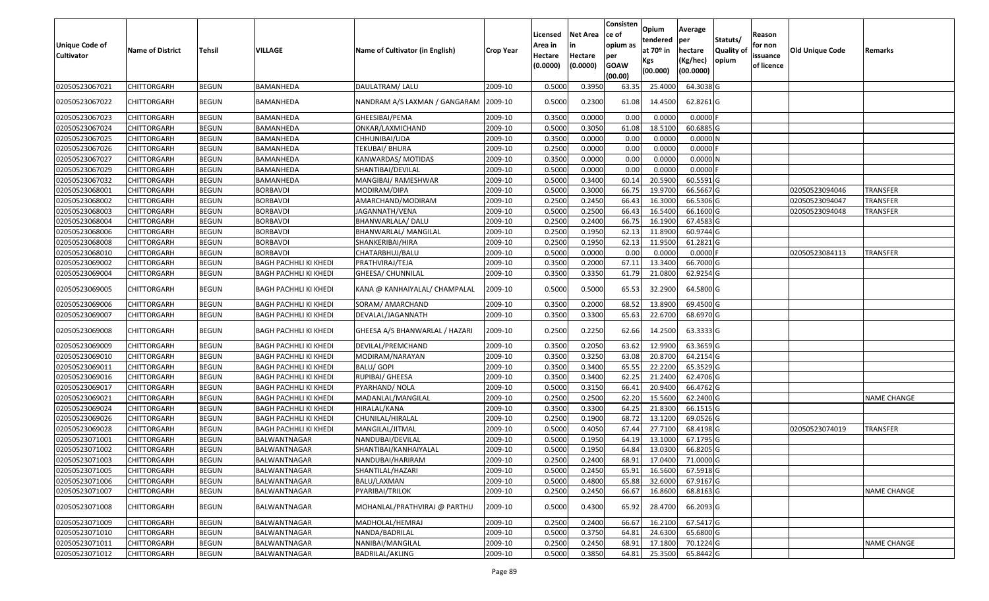| <b>Unique Code of</b><br><b>Cultivator</b> | <b>Name of District</b> | <b>Tehsil</b> | VILLAGE                      | Name of Cultivator (in English)        | Crop Year | Licensed<br>Area in<br>Hectare<br>(0.0000) | <b>Net Area</b><br>Hectare<br>(0.0000) | Consisten<br>ce of<br>opium as<br>per<br><b>GOAW</b><br>(00.00) | Opium<br>tendered<br>at $70°$ in<br>Kgs<br>(00.000) | Average<br>per<br>hectare<br>(Kg/hec)<br>(00.0000) | Statuts/<br>Quality of<br>opium | Reason<br>for non<br>issuance<br>of licence | <b>Old Unique Code</b> | Remarks            |
|--------------------------------------------|-------------------------|---------------|------------------------------|----------------------------------------|-----------|--------------------------------------------|----------------------------------------|-----------------------------------------------------------------|-----------------------------------------------------|----------------------------------------------------|---------------------------------|---------------------------------------------|------------------------|--------------------|
| 02050523067021                             | <b>CHITTORGARH</b>      | <b>BEGUN</b>  | <b>BAMANHEDA</b>             | DAULATRAM/LALU                         | 2009-10   | 0.5000                                     | 0.3950                                 | 63.35                                                           | 25.4000                                             | 64.3038 G                                          |                                 |                                             |                        |                    |
| 02050523067022                             | CHITTORGARH             | <b>BEGUN</b>  | BAMANHEDA                    | NANDRAM A/S LAXMAN / GANGARAM  2009-10 |           | 0.5000                                     | 0.2300                                 | 61.08                                                           | 14.4500                                             | 62.8261 G                                          |                                 |                                             |                        |                    |
| 02050523067023                             | <b>CHITTORGARH</b>      | <b>BEGUN</b>  | BAMANHEDA                    | GHEESIBAI/PEMA                         | 2009-10   | 0.3500                                     | 0.0000                                 | 0.00                                                            | 0.0000                                              | $0.0000$ F                                         |                                 |                                             |                        |                    |
| 02050523067024                             | CHITTORGARH             | <b>BEGUN</b>  | BAMANHEDA                    | ONKAR/LAXMICHAND                       | 2009-10   | 0.5000                                     | 0.3050                                 | 61.08                                                           | 18.5100                                             | 60.6885 G                                          |                                 |                                             |                        |                    |
| 02050523067025                             | <b>CHITTORGARH</b>      | <b>BEGUN</b>  | BAMANHEDA                    | CHHUNIBAI/UDA                          | 2009-10   | 0.3500                                     | 0.0000                                 | 0.00                                                            | 0.0000                                              | 0.0000N                                            |                                 |                                             |                        |                    |
| 02050523067026                             | CHITTORGARH             | <b>BEGUN</b>  | BAMANHEDA                    | TEKUBAI/ BHURA                         | 2009-10   | 0.2500                                     | 0.0000                                 | 0.00                                                            | 0.0000                                              | 0.0000F                                            |                                 |                                             |                        |                    |
| 02050523067027                             | <b>CHITTORGARH</b>      | <b>BEGUN</b>  | BAMANHEDA                    | KANWARDAS/ MOTIDAS                     | 2009-10   | 0.3500                                     | 0.0000                                 | 0.00                                                            | 0.0000                                              | 0.0000N                                            |                                 |                                             |                        |                    |
| 02050523067029                             | <b>CHITTORGARH</b>      | <b>BEGUN</b>  | BAMANHEDA                    | SHANTIBAI/DEVILAL                      | 2009-10   | 0.5000                                     | 0.0000                                 | 0.00                                                            | 0.0000                                              | $0.0000$ F                                         |                                 |                                             |                        |                    |
| 02050523067032                             | CHITTORGARH             | <b>BEGUN</b>  | BAMANHEDA                    | MANGIBAI/ RAMESHWAR                    | 2009-10   | 0.5000                                     | 0.3400                                 | 60.14                                                           | 20.5900                                             | 60.5591 G                                          |                                 |                                             |                        |                    |
| 02050523068001                             | <b>CHITTORGARH</b>      | <b>BEGUN</b>  | <b>BORBAVDI</b>              | MODIRAM/DIPA                           | 2009-10   | 0.5000                                     | 0.3000                                 | 66.75                                                           | 19.9700                                             | 66.5667 G                                          |                                 |                                             | 02050523094046         | TRANSFER           |
| 02050523068002                             | <b>CHITTORGARH</b>      | <b>BEGUN</b>  | <b>BORBAVDI</b>              | AMARCHAND/MODIRAM                      | 2009-10   | 0.2500                                     | 0.2450                                 | 66.43                                                           | 16.3000                                             | 66.5306 G                                          |                                 |                                             | 02050523094047         | TRANSFER           |
| 02050523068003                             | <b>CHITTORGARH</b>      | <b>BEGUN</b>  | <b>BORBAVDI</b>              | JAGANNATH/VENA                         | 2009-10   | 0.5000                                     | 0.2500                                 | 66.43                                                           | 16.5400                                             | 66.1600 G                                          |                                 |                                             | 02050523094048         | <b>TRANSFER</b>    |
| 02050523068004                             | <b>CHITTORGARH</b>      | <b>BEGUN</b>  | BORBAVDI                     | BHANWARLALA/ DALU                      | 2009-10   | 0.2500                                     | 0.2400                                 | 66.7                                                            | 16.1900                                             | 67.4583 G                                          |                                 |                                             |                        |                    |
| 02050523068006                             | CHITTORGARH             | <b>BEGUN</b>  | <b>BORBAVDI</b>              | BHANWARLAL/ MANGILAL                   | 2009-10   | 0.2500                                     | 0.1950                                 | 62.1                                                            | 11.8900                                             | 60.9744 G                                          |                                 |                                             |                        |                    |
| 02050523068008                             | <b>CHITTORGARH</b>      | <b>BEGUN</b>  | <b>BORBAVDI</b>              | SHANKERIBAI/HIRA                       | 2009-10   | 0.2500                                     | 0.1950                                 | 62.1                                                            | 11.9500                                             | 61.2821 G                                          |                                 |                                             |                        |                    |
| 02050523068010                             | <b>CHITTORGARH</b>      | <b>BEGUN</b>  | <b>BORBAVDI</b>              | CHATARBHUJ/BALU                        | 2009-10   | 0.5000                                     | 0.0000                                 | 0.00                                                            | 0.0000                                              | $0.0000$ F                                         |                                 |                                             | 02050523084113         | <b>TRANSFER</b>    |
| 02050523069002                             | CHITTORGARH             | <b>BEGUN</b>  | BAGH PACHHLI KI KHEDI        | PRATHVIRAJ/TEJA                        | 2009-10   | 0.3500                                     | 0.2000                                 | 67.1                                                            | 13.3400                                             | 66.7000 G                                          |                                 |                                             |                        |                    |
| 02050523069004                             | CHITTORGARH             | <b>BEGUN</b>  | BAGH PACHHLI KI KHEDI        | GHEESA/ CHUNNILAL                      | 2009-10   | 0.3500                                     | 0.3350                                 | 61.79                                                           | 21.0800                                             | 62.9254 G                                          |                                 |                                             |                        |                    |
| 02050523069005                             | CHITTORGARH             | <b>BEGUN</b>  | BAGH PACHHLI KI KHEDI        | KANA @ KANHAIYALAL/ CHAMPALAL          | 2009-10   | 0.5000                                     | 0.5000                                 | 65.53                                                           | 32.2900                                             | 64.5800 G                                          |                                 |                                             |                        |                    |
| 02050523069006                             | CHITTORGARH             | <b>BEGUN</b>  | <b>BAGH PACHHLI KI KHEDI</b> | SORAM/ AMARCHAND                       | 2009-10   | 0.3500                                     | 0.2000                                 | 68.52                                                           | 13.8900                                             | 69.4500 G                                          |                                 |                                             |                        |                    |
| 02050523069007                             | CHITTORGARH             | <b>BEGUN</b>  | <b>BAGH PACHHLI KI KHEDI</b> | DEVALAL/JAGANNATH                      | 2009-10   | 0.3500                                     | 0.3300                                 | 65.63                                                           | 22.6700                                             | 68.6970 G                                          |                                 |                                             |                        |                    |
| 02050523069008                             | CHITTORGARH             | <b>BEGUN</b>  | <b>BAGH PACHHLI KI KHEDI</b> | GHEESA A/S BHANWARLAL / HAZARI         | 2009-10   | 0.2500                                     | 0.2250                                 | 62.66                                                           | 14.2500                                             | 63.3333 G                                          |                                 |                                             |                        |                    |
| 02050523069009                             | CHITTORGARH             | <b>BEGUN</b>  | <b>BAGH PACHHLI KI KHEDI</b> | DEVILAL/PREMCHAND                      | 2009-10   | 0.3500                                     | 0.2050                                 | 63.62                                                           | 12.9900                                             | 63.3659 G                                          |                                 |                                             |                        |                    |
| 02050523069010                             | <b>CHITTORGARH</b>      | <b>BEGUN</b>  | <b>BAGH PACHHLI KI KHEDI</b> | MODIRAM/NARAYAN                        | 2009-10   | 0.3500                                     | 0.3250                                 | 63.08                                                           | 20.8700                                             | 64.2154 G                                          |                                 |                                             |                        |                    |
| 02050523069011                             | CHITTORGARH             | <b>BEGUN</b>  | BAGH PACHHLI KI KHEDI        | BALU/ GOPI                             | 2009-10   | 0.3500                                     | 0.3400                                 | 65.55                                                           | 22.2200                                             | 65.3529 G                                          |                                 |                                             |                        |                    |
| 02050523069016                             | <b>CHITTORGARH</b>      | <b>BEGUN</b>  | <b>BAGH PACHHLI KI KHEDI</b> | RUPIBAI/ GHEESA                        | 2009-10   | 0.3500                                     | 0.3400                                 | 62.25                                                           | 21.2400                                             | 62.4706 G                                          |                                 |                                             |                        |                    |
| 02050523069017                             | <b>CHITTORGARH</b>      | <b>BEGUN</b>  | <b>BAGH PACHHLI KI KHEDI</b> | PYARHAND/ NOLA                         | 2009-10   | 0.5000                                     | 0.3150                                 | 66.4                                                            | 20.9400                                             | 66.4762 G                                          |                                 |                                             |                        |                    |
| 02050523069021                             | <b>CHITTORGARH</b>      | <b>BEGUN</b>  | <b>BAGH PACHHLI KI KHEDI</b> | MADANLAL/MANGILAL                      | 2009-10   | 0.2500                                     | 0.2500                                 | 62.20                                                           | 15.5600                                             | 62.2400 G                                          |                                 |                                             |                        | <b>NAME CHANGE</b> |
| 02050523069024                             | <b>CHITTORGARH</b>      | <b>BEGUN</b>  | <b>BAGH PACHHLI KI KHEDI</b> | HIRALAL/KANA                           | 2009-10   | 0.3500                                     | 0.3300                                 | 64.25                                                           | 21.8300                                             | 66.1515 G                                          |                                 |                                             |                        |                    |
| 02050523069026                             | <b>CHITTORGARH</b>      | <b>BEGUN</b>  | BAGH PACHHLI KI KHEDI        | CHUNILAL/HIRALAL                       | 2009-10   | 0.2500                                     | 0.1900                                 | 68.7                                                            | 13.1200                                             | 69.0526 G                                          |                                 |                                             |                        |                    |
| 02050523069028                             | <b>CHITTORGARH</b>      | <b>BEGUN</b>  | <b>BAGH PACHHLI KI KHEDI</b> | MANGILAL/JITMAL                        | 2009-10   | 0.5000                                     | 0.4050                                 | 67.44                                                           | 27.7100                                             | 68.4198 G                                          |                                 |                                             | 02050523074019         | <b>TRANSFER</b>    |
| 02050523071001                             | CHITTORGARH             | <b>BEGUN</b>  | BALWANTNAGAR                 | NANDUBAI/DEVILAL                       | 2009-10   | 0.500                                      | 0.1950                                 | 64.19                                                           | 13.1000                                             | 67.1795 G                                          |                                 |                                             |                        |                    |
| 02050523071002                             | <b>CHITTORGARH</b>      | <b>BEGUN</b>  | <b>BALWANTNAGAR</b>          | SHANTIBAI/KANHAIYALAL                  | 2009-10   | 0.5000                                     | 0.1950                                 | 64.84                                                           | 13.0300                                             | 66.8205 G                                          |                                 |                                             |                        |                    |
| 02050523071003                             | <b>CHITTORGARH</b>      | <b>BEGUN</b>  | BALWANTNAGAR                 | NANDUBAI/HARIRAM                       | 2009-10   | 0.2500                                     | 0.2400                                 | 68.91                                                           | 17.0400                                             | 71.0000 G                                          |                                 |                                             |                        |                    |
| 02050523071005                             | <b>CHITTORGARH</b>      | <b>BEGUN</b>  | <b>BALWANTNAGAR</b>          | SHANTILAL/HAZARI                       | 2009-10   | 0.5000                                     | 0.2450                                 | 65.91                                                           | 16.5600                                             | 67.5918 G                                          |                                 |                                             |                        |                    |
| 02050523071006                             | <b>CHITTORGARH</b>      | <b>BEGUN</b>  | BALWANTNAGAR                 | BALU/LAXMAN                            | 2009-10   | 0.5000                                     | 0.4800                                 | 65.88                                                           | 32.6000                                             | 67.9167 G                                          |                                 |                                             |                        |                    |
| 02050523071007                             | <b>CHITTORGARH</b>      | <b>BEGUN</b>  | BALWANTNAGAR                 | PYARIBAI/TRILOK                        | 2009-10   | 0.2500                                     | 0.2450                                 | 66.67                                                           | 16.8600                                             | 68.8163 G                                          |                                 |                                             |                        | <b>NAME CHANGE</b> |
| 02050523071008                             | CHITTORGARH             | <b>BEGUN</b>  | <b>BALWANTNAGAR</b>          | MOHANLAL/PRATHVIRAJ @ PARTHU           | 2009-10   | 0.5000                                     | 0.4300                                 | 65.92                                                           | 28.4700                                             | 66.2093 G                                          |                                 |                                             |                        |                    |
| 02050523071009                             | <b>CHITTORGARH</b>      | <b>BEGUN</b>  | BALWANTNAGAR                 | MADHOLAL/HEMRAJ                        | 2009-10   | 0.2500                                     | 0.2400                                 | 66.67                                                           | 16.2100                                             | 67.5417 G                                          |                                 |                                             |                        |                    |
| 02050523071010                             | <b>CHITTORGARH</b>      | <b>BEGUN</b>  | BALWANTNAGAR                 | NANDA/BADRILAL                         | 2009-10   | 0.5000                                     | 0.3750                                 | 64.81                                                           | 24.6300                                             | 65.6800 G                                          |                                 |                                             |                        |                    |
| 02050523071011                             | <b>CHITTORGARH</b>      | <b>BEGUN</b>  | BALWANTNAGAR                 | NANIBAI/MANGILAL                       | 2009-10   | 0.2500                                     | 0.2450                                 | 68.91                                                           | 17.1800                                             | 70.1224 G                                          |                                 |                                             |                        | <b>NAME CHANGE</b> |
| 02050523071012                             | <b>CHITTORGARH</b>      | <b>BEGUN</b>  | <b>BALWANTNAGAR</b>          | BADRILAL/AKLING                        | 2009-10   | 0.5000                                     | 0.3850                                 | 64.81                                                           | 25.3500                                             | 65.8442 G                                          |                                 |                                             |                        |                    |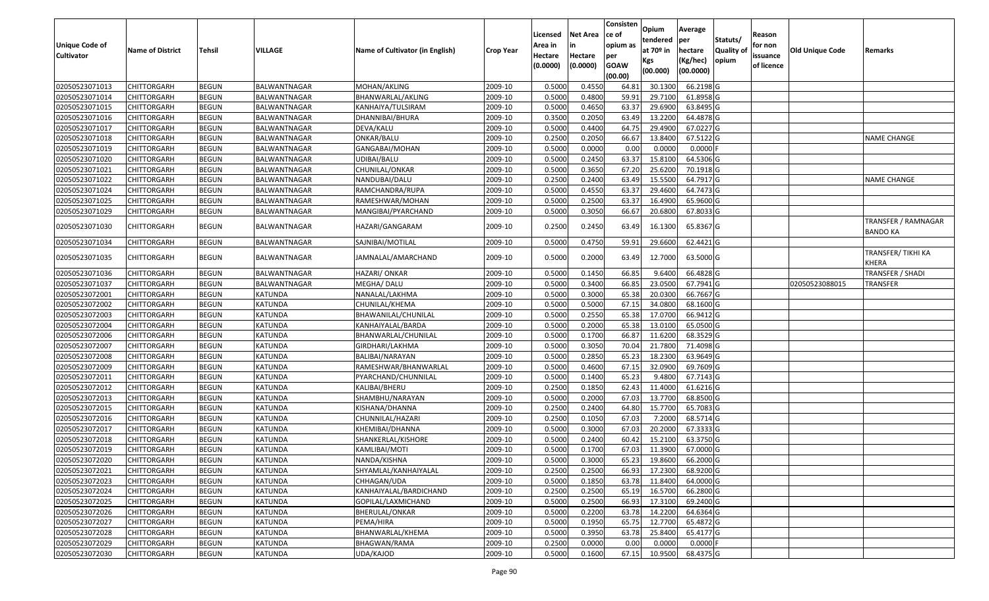|                       |                            |                              |                |                                 |                  | Licensed | <b>Net Area</b> | Consisten<br>ce of | Opium<br>tendered     | Average<br>per | Statuts/         | Reason     |                 |                                          |
|-----------------------|----------------------------|------------------------------|----------------|---------------------------------|------------------|----------|-----------------|--------------------|-----------------------|----------------|------------------|------------|-----------------|------------------------------------------|
| <b>Unique Code of</b> | <b>Name of District</b>    | <b>Tehsil</b>                | <b>VILLAGE</b> | Name of Cultivator (in English) | <b>Crop Year</b> | Area in  |                 | opium as           | at 70 <sup>o</sup> in | hectare        | <b>Quality o</b> | for non    | Old Unique Code | Remarks                                  |
| <b>Cultivator</b>     |                            |                              |                |                                 |                  | Hectare  | Hectare         | per                | Kgs                   | (Kg/hec)       | opium            | issuance   |                 |                                          |
|                       |                            |                              |                |                                 |                  | (0.0000) | (0.0000)        | <b>GOAW</b>        | (00.000)              | (00.0000)      |                  | of licence |                 |                                          |
| 02050523071013        |                            |                              | BALWANTNAGAR   | MOHAN/AKLING                    | 2009-10          | 0.5000   | 0.4550          | (00.00)            | 30.1300               | 66.2198 G      |                  |            |                 |                                          |
| 02050523071014        | CHITTORGARH<br>CHITTORGARH | <b>BEGUN</b><br><b>BEGUN</b> | BALWANTNAGAR   | BHANWARLAL/AKLING               | 2009-10          | 0.5000   | 0.4800          | 64.8<br>59.91      | 29.7100               | 61.8958 G      |                  |            |                 |                                          |
| 02050523071015        | CHITTORGARH                | <b>BEGUN</b>                 | BALWANTNAGAR   | KANHAIYA/TULSIRAM               | 2009-10          | 0.5000   | 0.4650          | 63.37              | 29.6900               | 63.8495 G      |                  |            |                 |                                          |
| 02050523071016        | <b>CHITTORGARH</b>         | <b>BEGUN</b>                 | BALWANTNAGAR   | DHANNIBAI/BHURA                 | 2009-10          | 0.3500   | 0.2050          | 63.49              | 13.2200               | 64.4878 G      |                  |            |                 |                                          |
| 02050523071017        | CHITTORGARH                | <b>BEGUN</b>                 | BALWANTNAGAR   | DEVA/KALU                       | 2009-10          | 0.5000   | 0.4400          | 64.75              | 29.4900               | 67.0227 G      |                  |            |                 |                                          |
| 02050523071018        | CHITTORGARH                | <b>BEGUN</b>                 | BALWANTNAGAR   | ONKAR/BALU                      | 2009-10          | 0.2500   | 0.2050          | 66.67              | 13.8400               | 67.5122 G      |                  |            |                 | <b>NAME CHANGE</b>                       |
| 02050523071019        | CHITTORGARH                | <b>BEGUN</b>                 | BALWANTNAGAR   | GANGABAI/MOHAN                  | 2009-10          | 0.5000   | 0.0000          | 0.00               | 0.0000                | 0.0000         |                  |            |                 |                                          |
| 02050523071020        | CHITTORGARH                | <b>BEGUN</b>                 | BALWANTNAGAR   | UDIBAI/BALU                     | 2009-10          | 0.5000   | 0.2450          | 63.37              | 15.8100               | 64.5306 G      |                  |            |                 |                                          |
| 02050523071021        | CHITTORGARH                | <b>BEGUN</b>                 | BALWANTNAGAR   | CHUNILAL/ONKAR                  | 2009-10          | 0.5000   | 0.3650          | 67.20              | 25.6200               | 70.1918 G      |                  |            |                 |                                          |
| 02050523071022        | CHITTORGARH                | <b>BEGUN</b>                 | BALWANTNAGAR   | NANDUBAI/DALU                   | 2009-10          | 0.2500   | 0.2400          | 63.49              | 15.5500               | 64.7917 G      |                  |            |                 | <b>NAME CHANGE</b>                       |
| 02050523071024        | CHITTORGARH                | <b>BEGUN</b>                 | BALWANTNAGAR   | RAMCHANDRA/RUPA                 | 2009-10          | 0.5000   | 0.4550          | 63.37              | 29.4600               | 64.7473 G      |                  |            |                 |                                          |
| 02050523071025        | CHITTORGARH                | <b>BEGUN</b>                 | BALWANTNAGAR   | RAMESHWAR/MOHAN                 | 2009-10          | 0.5000   | 0.2500          | 63.37              | 16.4900               | 65.9600 G      |                  |            |                 |                                          |
| 02050523071029        | CHITTORGARH                | <b>BEGUN</b>                 | BALWANTNAGAR   | MANGIBAI/PYARCHAND              | 2009-10          | 0.5000   | 0.3050          | 66.67              | 20.6800               | 67.8033 G      |                  |            |                 |                                          |
|                       |                            |                              |                |                                 |                  |          |                 |                    |                       |                |                  |            |                 | TRANSFER / RAMNAGAR                      |
| 02050523071030        | CHITTORGARH                | <b>BEGUN</b>                 | BALWANTNAGAR   | HAZARI/GANGARAM                 | 2009-10          | 0.2500   | 0.2450          | 63.49              | 16.1300               | 65.8367 G      |                  |            |                 | <b>BANDO KA</b>                          |
| 02050523071034        | CHITTORGARH                | <b>BEGUN</b>                 | BALWANTNAGAR   | SAJNIBAI/MOTILAL                | 2009-10          | 0.500    | 0.4750          | 59.9               | 29.6600               | 62.4421 G      |                  |            |                 |                                          |
| 02050523071035        | CHITTORGARH                | <b>BEGUN</b>                 | BALWANTNAGAR   | JAMNALAL/AMARCHAND              | 2009-10          | 0.5000   | 0.2000          | 63.49              | 12.7000               | 63.5000 G      |                  |            |                 | <b>TRANSFER/TIKHI KA</b><br><b>KHERA</b> |
| 02050523071036        | CHITTORGARH                | <b>BEGUN</b>                 | BALWANTNAGAR   | HAZARI/ ONKAR                   | 2009-10          | 0.5000   | 0.1450          | 66.85              | 9.6400                | 66.4828 G      |                  |            |                 | TRANSFER / SHADI                         |
| 02050523071037        | CHITTORGARH                | <b>BEGUN</b>                 | BALWANTNAGAR   | MEGHA/ DALU                     | 2009-10          | 0.5000   | 0.3400          | 66.85              | 23.0500               | 67.7941 G      |                  |            | 02050523088015  | <b>TRANSFER</b>                          |
| 02050523072001        | <b>CHITTORGARH</b>         | <b>BEGUN</b>                 | <b>KATUNDA</b> | NANALAL/LAKHMA                  | 2009-10          | 0.5000   | 0.3000          | 65.38              | 20.0300               | 66.7667 G      |                  |            |                 |                                          |
| 02050523072002        | CHITTORGARH                | <b>BEGUN</b>                 | <b>KATUNDA</b> | CHUNILAL/KHEMA                  | 2009-10          | 0.5000   | 0.5000          | 67.15              | 34.0800               | 68.1600 G      |                  |            |                 |                                          |
| 02050523072003        | CHITTORGARH                | <b>BEGUN</b>                 | <b>KATUNDA</b> | BHAWANILAL/CHUNILAL             | 2009-10          | 0.5000   | 0.2550          | 65.38              | 17.0700               | 66.9412 G      |                  |            |                 |                                          |
| 02050523072004        | CHITTORGARH                | <b>BEGUN</b>                 | KATUNDA        | KANHAIYALAL/BARDA               | 2009-10          | 0.5000   | 0.2000          | 65.38              | 13.0100               | 65.0500G       |                  |            |                 |                                          |
| 02050523072006        | CHITTORGARH                | <b>BEGUN</b>                 | <b>KATUNDA</b> | BHANWARLAL/CHUNILAL             | 2009-10          | 0.5000   | 0.1700          | 66.87              | 11.6200               | 68.3529 G      |                  |            |                 |                                          |
| 02050523072007        | CHITTORGARH                | <b>BEGUN</b>                 | KATUNDA        | GIRDHARI/LAKHMA                 | 2009-10          | 0.5000   | 0.3050          | 70.04              | 21.7800               | 71.4098 G      |                  |            |                 |                                          |
| 02050523072008        | CHITTORGARH                | <b>BEGUN</b>                 | <b>KATUNDA</b> | BALIBAI/NARAYAN                 | 2009-10          | 0.5000   | 0.2850          | 65.23              | 18.2300               | 63.9649 G      |                  |            |                 |                                          |
| 02050523072009        | CHITTORGARH                | <b>BEGUN</b>                 | KATUNDA        | RAMESHWAR/BHANWARLAL            | 2009-10          | 0.5000   | 0.4600          | 67.15              | 32.0900               | 69.7609 G      |                  |            |                 |                                          |
| 02050523072011        | CHITTORGARH                | <b>BEGUN</b>                 | <b>KATUNDA</b> | PYARCHAND/CHUNNILAL             | 2009-10          | 0.5000   | 0.1400          | 65.23              | 9.4800                | 67.7143 G      |                  |            |                 |                                          |
| 02050523072012        | CHITTORGARH                | <b>BEGUN</b>                 | <b>KATUNDA</b> | KALIBAI/BHERU                   | 2009-10          | 0.2500   | 0.1850          | 62.43              | 11.4000               | $61.6216$ G    |                  |            |                 |                                          |
| 02050523072013        | CHITTORGARH                | <b>BEGUN</b>                 | KATUNDA        | SHAMBHU/NARAYAN                 | 2009-10          | 0.5000   | 0.2000          | 67.03              | 13.7700               | 68.8500 G      |                  |            |                 |                                          |
| 02050523072015        | <b>CHITTORGARH</b>         | <b>BEGUN</b>                 | <b>KATUNDA</b> | KISHANA/DHANNA                  | 2009-10          | 0.2500   | 0.2400          | 64.80              | 15.7700               | 65.7083 G      |                  |            |                 |                                          |
| 02050523072016        | CHITTORGARH                | <b>BEGUN</b>                 | KATUNDA        | CHUNNILAL/HAZARI                | 2009-10          | 0.2500   | 0.1050          | 67.03              | 7.2000                | 68.5714 G      |                  |            |                 |                                          |
| 02050523072017        | <b>CHITTORGARH</b>         | <b>BEGUN</b>                 | <b>KATUNDA</b> | KHEMIBAI/DHANNA                 | 2009-10          | 0.5000   | 0.3000          | 67.03              | 20.2000               | 67.3333 G      |                  |            |                 |                                          |
| 02050523072018        | CHITTORGARH                | <b>BEGUN</b>                 | KATUNDA        | SHANKERLAL/KISHORE              | 2009-10          | 0.500    | 0.2400          | 60.42              | 15.2100               | 63.3750 G      |                  |            |                 |                                          |
| 02050523072019        | CHITTORGARH                | <b>BEGUN</b>                 | KATUNDA        | KAMLIBAI/MOTI                   | 2009-10          | 0.5000   | 0.1700          | 67.03              | 11.3900               | 67.0000G       |                  |            |                 |                                          |
| 02050523072020        | <b>CHITTORGARH</b>         | <b>BEGUN</b>                 | <b>KATUNDA</b> | NANDA/KISHNA                    | 2009-10          | 0.5000   | 0.3000          | 65.23              | 19.8600               | 66.2000 G      |                  |            |                 |                                          |
| 02050523072021        | <b>CHITTORGARH</b>         | <b>BEGUN</b>                 | KATUNDA        | SHYAMLAL/KANHAIYALAL            | 2009-10          | 0.2500   | 0.2500          | 66.93              | 17.2300               | 68.9200 G      |                  |            |                 |                                          |
| 02050523072023        | <b>CHITTORGARH</b>         | <b>BEGUN</b>                 | KATUNDA        | CHHAGAN/UDA                     | 2009-10          | 0.5000   | 0.1850          | 63.78              | 11.8400               | 64.0000 G      |                  |            |                 |                                          |
| 02050523072024        | <b>CHITTORGARH</b>         | <b>BEGUN</b>                 | KATUNDA        | KANHAIYALAL/BARDICHAND          | 2009-10          | 0.2500   | 0.2500          | 65.19              | 16.5700               | 66.2800 G      |                  |            |                 |                                          |
| 02050523072025        | <b>CHITTORGARH</b>         | <b>BEGUN</b>                 | KATUNDA        | GOPILAL/LAXMICHAND              | 2009-10          | 0.5000   | 0.2500          | 66.93              | 17.3100               | 69.2400 G      |                  |            |                 |                                          |
| 02050523072026        | <b>CHITTORGARH</b>         | <b>BEGUN</b>                 | <b>KATUNDA</b> | BHERULAL/ONKAR                  | 2009-10          | 0.5000   | 0.2200          | 63.78              | 14.2200               | 64.6364 G      |                  |            |                 |                                          |
| 02050523072027        | <b>CHITTORGARH</b>         | <b>BEGUN</b>                 | <b>KATUNDA</b> | PEMA/HIRA                       | 2009-10          | 0.5000   | 0.1950          | 65.75              | 12.7700               | 65.4872 G      |                  |            |                 |                                          |
| 02050523072028        | <b>CHITTORGARH</b>         | <b>BEGUN</b>                 | <b>KATUNDA</b> | BHANWARLAL/KHEMA                | 2009-10          | 0.5000   | 0.3950          | 63.78              | 25.8400               | 65.4177 G      |                  |            |                 |                                          |
| 02050523072029        | <b>CHITTORGARH</b>         | <b>BEGUN</b>                 | KATUNDA        | BHAGWAN/RAMA                    | 2009-10          | 0.2500   | 0.0000          | 0.00               | 0.0000                | $0.0000$ F     |                  |            |                 |                                          |
| 02050523072030        | <b>CHITTORGARH</b>         | <b>BEGUN</b>                 | KATUNDA        | UDA/KAJOD                       | 2009-10          | 0.5000   | 0.1600          | 67.15              | 10.9500               | 68.4375 G      |                  |            |                 |                                          |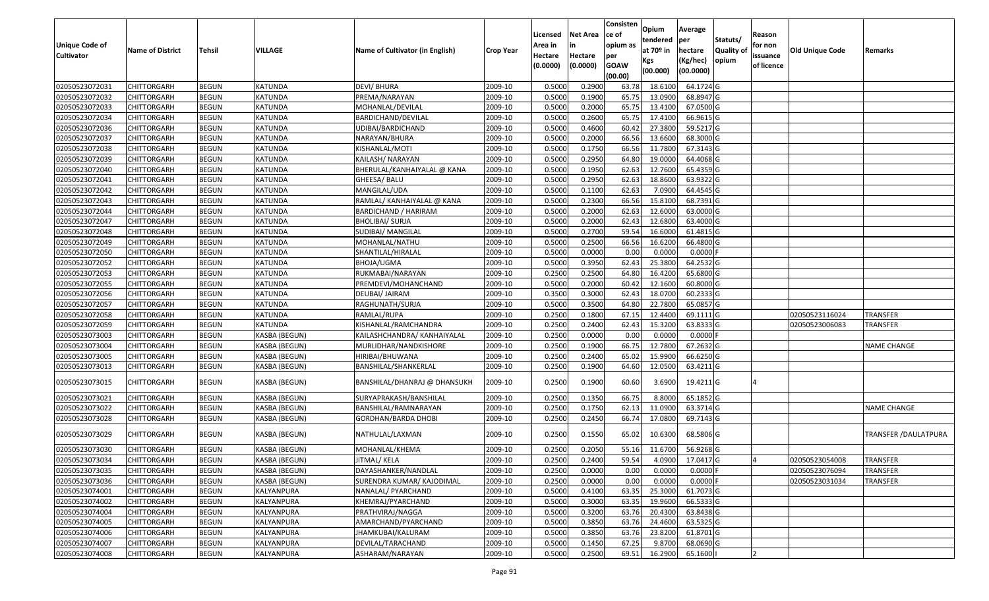| Unique Code of    | <b>Name of District</b> | <b>Tehsil</b> | VILLAGE              | Name of Cultivator (in English) | <b>Crop Year</b> | Licensed<br>Area in | <b>Net Area</b>     | Consisten<br>ce of<br>opium as | Opium<br>tendered<br>at 70 <sup>o</sup> in | Average<br>per<br>hectare | Statuts/<br><b>Quality o</b> | Reason<br>for non      | Old Unique Code | Remarks                      |
|-------------------|-------------------------|---------------|----------------------|---------------------------------|------------------|---------------------|---------------------|--------------------------------|--------------------------------------------|---------------------------|------------------------------|------------------------|-----------------|------------------------------|
| <b>Cultivator</b> |                         |               |                      |                                 |                  | Hectare<br>(0.0000) | Hectare<br>(0.0000) | per<br><b>GOAW</b><br>(00.00)  | Kgs<br>(00.000)                            | (Kg/hec)<br>(00.0000)     | opium                        | issuance<br>of licence |                 |                              |
| 02050523072031    | CHITTORGARH             | <b>BEGUN</b>  | KATUNDA              | <b>DEVI/BHURA</b>               | 2009-10          | 0.5000              | 0.2900              | 63.78                          | 18.6100                                    | 64.1724 G                 |                              |                        |                 |                              |
| 02050523072032    | CHITTORGARH             | <b>BEGUN</b>  | KATUNDA              | PREMA/NARAYAN                   | 2009-10          | 0.5000              | 0.1900              | 65.75                          | 13.0900                                    | 68.8947 G                 |                              |                        |                 |                              |
| 02050523072033    | CHITTORGARH             | <b>BEGUN</b>  | KATUNDA              | MOHANLAL/DEVILAL                | 2009-10          | 0.5000              | 0.2000              | 65.75                          | 13.4100                                    | 67.0500G                  |                              |                        |                 |                              |
| 02050523072034    | <b>CHITTORGARH</b>      | <b>BEGUN</b>  | <b>KATUNDA</b>       | BARDICHAND/DEVILAL              | 2009-10          | 0.5000              | 0.2600              | 65.75                          | 17.4100                                    | 66.9615G                  |                              |                        |                 |                              |
| 02050523072036    | CHITTORGARH             | <b>BEGUN</b>  | KATUNDA              | UDIBAI/BARDICHAND               | 2009-10          | 0.5000              | 0.4600              | 60.42                          | 27.3800                                    | 59.5217 G                 |                              |                        |                 |                              |
| 02050523072037    | <b>CHITTORGARH</b>      | <b>BEGUN</b>  | <b>KATUNDA</b>       | NARAYAN/BHURA                   | 2009-10          | 0.5000              | 0.2000              | 66.56                          | 13.6600                                    | $68.3000$ G               |                              |                        |                 |                              |
| 02050523072038    | CHITTORGARH             | <b>BEGUN</b>  | <b>KATUNDA</b>       | KISHANLAL/MOTI                  | 2009-10          | 0.5000              | 0.1750              | 66.56                          | 11.7800                                    | 67.3143 G                 |                              |                        |                 |                              |
| 02050523072039    | CHITTORGARH             | <b>BEGUN</b>  | <b>KATUNDA</b>       | KAILASH/ NARAYAN                | 2009-10          | 0.5000              | 0.2950              | 64.80                          | 19.0000                                    | 64.4068 G                 |                              |                        |                 |                              |
| 02050523072040    | CHITTORGARH             | <b>BEGUN</b>  | <b>KATUNDA</b>       | BHERULAL/KANHAIYALAL @ KANA     | 2009-10          | 0.5000              | 0.1950              | 62.63                          | 12.7600                                    | 65.4359 G                 |                              |                        |                 |                              |
| 02050523072041    | CHITTORGARH             | <b>BEGUN</b>  | <b>KATUNDA</b>       | GHEESA/ BALU                    | 2009-10          | 0.5000              | 0.2950              | 62.63                          | 18.8600                                    | 63.9322 G                 |                              |                        |                 |                              |
| 02050523072042    | CHITTORGARH             | <b>BEGUN</b>  | <b>KATUNDA</b>       | MANGILAL/UDA                    | 2009-10          | 0.5000              | 0.1100              | 62.63                          | 7.0900                                     | 64.4545 G                 |                              |                        |                 |                              |
| 02050523072043    | CHITTORGARH             | <b>BEGUN</b>  | <b>KATUNDA</b>       | RAMLAL/ KANHAIYALAL @ KANA      | 2009-10          | 0.5000              | 0.2300              | 66.56                          | 15.8100                                    | 68.7391 G                 |                              |                        |                 |                              |
| 02050523072044    | <b>CHITTORGARH</b>      | <b>BEGUN</b>  | <b>KATUNDA</b>       | <b>BARDICHAND / HARIRAM</b>     | 2009-10          | 0.5000              | 0.2000              | 62.63                          | 12.6000                                    | 63.0000G                  |                              |                        |                 |                              |
| 02050523072047    | CHITTORGARH             | <b>BEGUN</b>  | KATUNDA              | <b>BHOLIBAI/ SURJA</b>          | 2009-10          | 0.5000              | 0.2000              | 62.43                          | 12.6800                                    | 63.4000 G                 |                              |                        |                 |                              |
| 02050523072048    | <b>CHITTORGARH</b>      | <b>BEGUN</b>  | KATUNDA              | SUDIBAI/ MANGILAL               | 2009-10          | 0.5000              | 0.2700              | 59.54                          | 16.6000                                    | 61.4815G                  |                              |                        |                 |                              |
| 02050523072049    | <b>CHITTORGARH</b>      | <b>BEGUN</b>  | <b>KATUNDA</b>       | MOHANLAL/NATHU                  | 2009-10          | 0.5000              | 0.2500              | 66.56                          | 16.6200                                    | 66.4800 G                 |                              |                        |                 |                              |
| 02050523072050    | CHITTORGARH             | <b>BEGUN</b>  | <b>KATUNDA</b>       | SHANTILAL/HIRALAL               | 2009-10          | 0.5000              | 0.0000              | 0.00                           | 0.0000                                     | $0.0000$ F                |                              |                        |                 |                              |
| 02050523072052    | CHITTORGARH             | <b>BEGUN</b>  | <b>KATUNDA</b>       | BHOJA/UGMA                      | 2009-10          | 0.5000              | 0.3950              | 62.43                          | 25.3800                                    | 64.2532 G                 |                              |                        |                 |                              |
| 02050523072053    | CHITTORGARH             | <b>BEGUN</b>  | KATUNDA              | RUKMABAI/NARAYAN                | 2009-10          | 0.2500              | 0.2500              | 64.80                          | 16.4200                                    | 65.6800 G                 |                              |                        |                 |                              |
| 02050523072055    | CHITTORGARH             | <b>BEGUN</b>  | <b>KATUNDA</b>       | PREMDEVI/MOHANCHAND             | 2009-10          | 0.5000              | 0.2000              | 60.42                          | 12.1600                                    | 60.8000 G                 |                              |                        |                 |                              |
| 02050523072056    | CHITTORGARH             | <b>BEGUN</b>  | <b>KATUNDA</b>       | DEUBAI/ JAIRAM                  | 2009-10          | 0.3500              | 0.3000              | 62.43                          | 18.0700                                    | 60.2333 G                 |                              |                        |                 |                              |
| 02050523072057    | CHITTORGARH             | <b>BEGUN</b>  | <b>KATUNDA</b>       | RAGHUNATH/SURJA                 | 2009-10          | 0.5000              | 0.3500              | 64.80                          | 22.780                                     | 65.0857 G                 |                              |                        |                 |                              |
| 02050523072058    | CHITTORGARH             | <b>BEGUN</b>  | KATUNDA              | RAMLAL/RUPA                     | 2009-10          | 0.2500              | 0.1800              | 67.15                          | 12.4400                                    | 69.1111G                  |                              |                        | 02050523116024  | TRANSFER                     |
| 02050523072059    | <b>CHITTORGARH</b>      | <b>BEGUN</b>  | KATUNDA              | KISHANLAL/RAMCHANDRA            | 2009-10          | 0.2500              | 0.2400              | 62.43                          | 15.3200                                    | 63.8333 G                 |                              |                        | 02050523006083  | <b>TRANSFER</b>              |
| 02050523073003    | <b>CHITTORGARH</b>      | <b>BEGUN</b>  | KASBA (BEGUN)        | KAILASHCHANDRA/ KANHAIYALAL     | 2009-10          | 0.2500              | 0.0000              | 0.00                           | 0.0000                                     | $0.0000$ F                |                              |                        |                 |                              |
| 02050523073004    | CHITTORGARH             | <b>BEGUN</b>  | KASBA (BEGUN)        | MURLIDHAR/NANDKISHORE           | 2009-10          | 0.2500              | 0.1900              | 66.75                          | 12.7800                                    | 67.2632 G                 |                              |                        |                 | <b>NAME CHANGE</b>           |
| 02050523073005    | CHITTORGARH             | <b>BEGUN</b>  | KASBA (BEGUN)        | HIRIBAI/BHUWANA                 | 2009-10          | 0.2500              | 0.2400              | 65.02                          | 15.9900                                    | 66.6250 G                 |                              |                        |                 |                              |
| 02050523073013    | CHITTORGARH             | <b>BEGUN</b>  | KASBA (BEGUN)        | BANSHILAL/SHANKERLAL            | 2009-10          | 0.2500              | 0.1900              | 64.60                          | 12.0500                                    | 63.4211 G                 |                              |                        |                 |                              |
| 02050523073015    | CHITTORGARH             | <b>BEGUN</b>  | KASBA (BEGUN)        | BANSHILAL/DHANRAJ @ DHANSUKH    | 2009-10          | 0.2500              | 0.1900              | 60.60                          | 3.6900                                     | 19.4211 G                 |                              |                        |                 |                              |
| 02050523073021    | CHITTORGARH             | <b>BEGUN</b>  | KASBA (BEGUN)        | SURYAPRAKASH/BANSHILAL          | 2009-10          | 0.250               | 0.1350              | 66.75                          | 8.8000                                     | 65.1852 G                 |                              |                        |                 |                              |
| 02050523073022    | CHITTORGARH             | <b>BEGUN</b>  | KASBA (BEGUN)        | BANSHILAL/RAMNARAYAN            | 2009-10          | 0.2500              | 0.1750              | 62.13                          | 11.0900                                    | 63.3714 G                 |                              |                        |                 | <b>NAME CHANGE</b>           |
| 02050523073028    | CHITTORGARH             | <b>BEGUN</b>  | KASBA (BEGUN)        | GORDHAN/BARDA DHOBI             | 2009-10          | 0.2500              | 0.2450              | 66.7                           | 17.0800                                    | 69.7143 G                 |                              |                        |                 |                              |
| 02050523073029    | CHITTORGARH             | <b>BEGUN</b>  | KASBA (BEGUN)        | NATHULAL/LAXMAN                 | 2009-10          | 0.2500              | 0.1550              | 65.02                          | 10.6300                                    | 68.5806 G                 |                              |                        |                 | <b>TRANSFER / DAULATPURA</b> |
| 02050523073030    | CHITTORGARH             | <b>BEGUN</b>  | KASBA (BEGUN)        | MOHANLAL/KHEMA                  | 2009-10          | 0.2500              | 0.2050              | 55.16                          | 11.6700                                    | 56.9268 G                 |                              |                        |                 |                              |
| 02050523073034    | <b>CHITTORGARH</b>      | <b>BEGUN</b>  | KASBA (BEGUN)        | JITMAL/ KELA                    | 2009-10          | 0.2500              | 0.2400              | 59.54                          | 4.0900                                     | 17.0417 G                 |                              |                        | 02050523054008  | <b>TRANSFER</b>              |
| 02050523073035    | <b>CHITTORGARH</b>      | <b>BEGUN</b>  | <b>KASBA (BEGUN)</b> | DAYASHANKER/NANDLAL             | 2009-10          | 0.2500              | 0.0000              | 0.00                           | 0.0000                                     | $0.0000$ F                |                              |                        | 02050523076094  | <b>TRANSFER</b>              |
| 02050523073036    | <b>CHITTORGARH</b>      | <b>BEGUN</b>  | KASBA (BEGUN)        | SURENDRA KUMAR/ KAJODIMAL       | 2009-10          | 0.2500              | 0.0000              | 0.00                           | 0.0000                                     | $0.0000$ F                |                              |                        | 02050523031034  | <b>TRANSFER</b>              |
| 02050523074001    | <b>CHITTORGARH</b>      | <b>BEGUN</b>  | KALYANPURA           | NANALAL/ PYARCHAND              | 2009-10          | 0.5000              | 0.4100              | 63.35                          | 25.3000                                    | 61.7073 G                 |                              |                        |                 |                              |
| 02050523074002    | CHITTORGARH             | <b>BEGUN</b>  | KALYANPURA           | KHEMRAJ/PYARCHAND               | 2009-10          | 0.5000              | 0.3000              | 63.35                          | 19.9600                                    | 66.5333 G                 |                              |                        |                 |                              |
| 02050523074004    | <b>CHITTORGARH</b>      | <b>BEGUN</b>  | KALYANPURA           | PRATHVIRAJ/NAGGA                | 2009-10          | 0.5000              | 0.3200              | 63.76                          | 20.4300                                    | 63.8438 G                 |                              |                        |                 |                              |
| 02050523074005    | <b>CHITTORGARH</b>      | <b>BEGUN</b>  | KALYANPURA           | AMARCHAND/PYARCHAND             | 2009-10          | 0.5000              | 0.3850              | 63.76                          | 24.4600                                    | 63.5325 G                 |                              |                        |                 |                              |
| 02050523074006    | <b>CHITTORGARH</b>      | <b>BEGUN</b>  | KALYANPURA           | JHAMKUBAI/KALURAM               | 2009-10          | 0.5000              | 0.3850              | 63.76                          | 23.8200                                    | 61.8701 G                 |                              |                        |                 |                              |
| 02050523074007    | <b>CHITTORGARH</b>      | <b>BEGUN</b>  | KALYANPURA           | DEVILAL/TARACHAND               | 2009-10          | 0.5000              | 0.1450              | 67.25                          | 9.8700                                     | 68.0690 G                 |                              |                        |                 |                              |
| 02050523074008    | <b>CHITTORGARH</b>      | <b>BEGUN</b>  | KALYANPURA           | ASHARAM/NARAYAN                 | 2009-10          | 0.5000              | 0.2500              | 69.51                          | 16.2900                                    | 65.1600                   |                              | <b>2</b>               |                 |                              |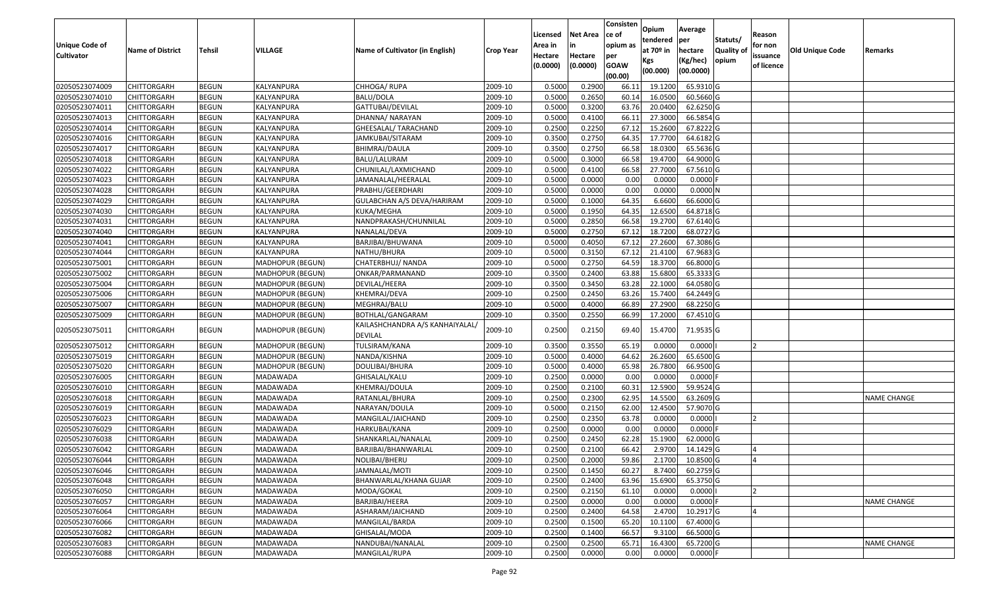|                                            |                         |               |                         |                                                   |                  |                     |                     | Consisten          | Opium       | Average    |           |                        |                 |                    |
|--------------------------------------------|-------------------------|---------------|-------------------------|---------------------------------------------------|------------------|---------------------|---------------------|--------------------|-------------|------------|-----------|------------------------|-----------------|--------------------|
|                                            |                         |               |                         |                                                   |                  | Licensed            | <b>Net Area</b>     | ce of              | tendered    | per        | Statuts/  | Reason                 |                 |                    |
| <b>Unique Code of</b><br><b>Cultivator</b> | <b>Name of District</b> | <b>Tehsil</b> | VILLAGE                 | Name of Cultivator (in English)                   | <b>Crop Year</b> | Area in             |                     | opium as           | at $70°$ in | hectare    | Quality o | for non                | Old Unique Code | Remarks            |
|                                            |                         |               |                         |                                                   |                  | Hectare<br>(0.0000) | Hectare<br>(0.0000) | per<br><b>GOAW</b> | Kgs         | (Kg/hec)   | opium     | issuance<br>of licence |                 |                    |
|                                            |                         |               |                         |                                                   |                  |                     |                     | (00.00)            | (00.000)    | (00.0000)  |           |                        |                 |                    |
| 02050523074009                             | CHITTORGARH             | <b>BEGUN</b>  | KALYANPURA              | CHHOGA/RUPA                                       | 2009-10          | 0.5000              | 0.2900              | 66.1               | 19.1200     | 65.9310 G  |           |                        |                 |                    |
| 02050523074010                             | CHITTORGARH             | <b>BEGUN</b>  | KALYANPURA              | BALU/DOLA                                         | 2009-10          | 0.5000              | 0.2650              | 60.1               | 16.0500     | 60.5660 G  |           |                        |                 |                    |
| 02050523074011                             | CHITTORGARH             | <b>BEGUN</b>  | KALYANPURA              | GATTUBAI/DEVILAL                                  | 2009-10          | 0.5000              | 0.3200              | 63.76              | 20.0400     | 62.6250 G  |           |                        |                 |                    |
| 02050523074013                             | <b>CHITTORGARH</b>      | <b>BEGUN</b>  | KALYANPURA              | DHANNA/ NARAYAN                                   | 2009-10          | 0.5000              | 0.4100              | 66.1               | 27.3000     | 66.5854 G  |           |                        |                 |                    |
| 02050523074014                             | CHITTORGARH             | <b>BEGUN</b>  | KALYANPURA              | GHEESALAL/ TARACHAND                              | 2009-10          | 0.2500              | 0.2250              | 67.12              | 15.2600     | 67.8222 G  |           |                        |                 |                    |
| 02050523074016                             | CHITTORGARH             | <b>BEGUN</b>  | KALYANPURA              | JAMKUBAI/SITARAM                                  | 2009-10          | 0.3500              | 0.2750              | 64.35              | 17.7700     | 64.6182 G  |           |                        |                 |                    |
| 02050523074017                             | CHITTORGARH             | <b>BEGUN</b>  | KALYANPURA              | BHIMRAJ/DAULA                                     | 2009-10          | 0.3500              | 0.2750              | 66.58              | 18.0300     | 65.5636 G  |           |                        |                 |                    |
| 02050523074018                             | <b>CHITTORGARH</b>      | <b>BEGUN</b>  | KALYANPURA              | BALU/LALURAM                                      | 2009-10          | 0.5000              | 0.3000              | 66.58              | 19.4700     | 64.9000 G  |           |                        |                 |                    |
| 02050523074022                             | CHITTORGARH             | <b>BEGUN</b>  | KALYANPURA              | CHUNILAL/LAXMICHAND                               | 2009-10          | 0.5000              | 0.4100              | 66.58              | 27.7000     | 67.5610 G  |           |                        |                 |                    |
| 02050523074023                             | CHITTORGARH             | <b>BEGUN</b>  | KALYANPURA              | JAMANALAL/HEERALAL                                | 2009-10          | 0.5000              | 0.0000              | 0.00               | 0.0000      | $0.0000$ F |           |                        |                 |                    |
| 02050523074028                             | CHITTORGARH             | <b>BEGUN</b>  | KALYANPURA              | PRABHU/GEERDHARI                                  | 2009-10          | 0.5000              | 0.0000              | 0.00               | 0.0000      | 0.0000N    |           |                        |                 |                    |
| 02050523074029                             | CHITTORGARH             | <b>BEGUN</b>  | KALYANPURA              | GULABCHAN A/S DEVA/HARIRAM                        | 2009-10          | 0.5000              | 0.1000              | 64.35              | 6.6600      | 66.6000 G  |           |                        |                 |                    |
| 02050523074030                             | <b>CHITTORGARH</b>      | <b>BEGUN</b>  | KALYANPURA              | KUKA/MEGHA                                        | 2009-10          | 0.5000              | 0.1950              | 64.35              | 12.6500     | 64.8718 G  |           |                        |                 |                    |
| 02050523074031                             | CHITTORGARH             | <b>BEGUN</b>  | KALYANPURA              | NANDPRAKASH/CHUNNILAL                             | 2009-10          | 0.5000              | 0.2850              | 66.58              | 19.2700     | 67.6140 G  |           |                        |                 |                    |
| 02050523074040                             | CHITTORGARH             | <b>BEGUN</b>  | KALYANPURA              | NANALAL/DEVA                                      | 2009-10          | 0.5000              | 0.2750              | 67.12              | 18.7200     | 68.0727 G  |           |                        |                 |                    |
| 02050523074041                             | <b>CHITTORGARH</b>      | <b>BEGUN</b>  | KALYANPURA              | BARJIBAI/BHUWANA                                  | 2009-10          | 0.5000              | 0.4050              | 67.12              | 27.2600     | 67.3086 G  |           |                        |                 |                    |
| 02050523074044                             | CHITTORGARH             | <b>BEGUN</b>  | KALYANPURA              | NATHU/BHURA                                       | 2009-10          | 0.5000              | 0.3150              | 67.12              | 21.4100     | 67.9683 G  |           |                        |                 |                    |
| 02050523075001                             | CHITTORGARH             | <b>BEGUN</b>  | MADHOPUR (BEGUN)        | CHATERBHUJ/ NANDA                                 | 2009-10          | 0.5000              | 0.2750              | 64.59              | 18.3700     | 66.8000 G  |           |                        |                 |                    |
| 02050523075002                             | CHITTORGARH             | <b>BEGUN</b>  | MADHOPUR (BEGUN)        | ONKAR/PARMANAND                                   | 2009-10          | 0.3500              | 0.2400              | 63.88              | 15.6800     | 65.3333 G  |           |                        |                 |                    |
| 02050523075004                             | CHITTORGARH             | <b>BEGUN</b>  | MADHOPUR (BEGUN)        | DEVILAL/HEERA                                     | 2009-10          | 0.3500              | 0.3450              | 63.28              | 22.1000     | 64.0580 G  |           |                        |                 |                    |
| 02050523075006                             | CHITTORGARH             | <b>BEGUN</b>  | <b>MADHOPUR (BEGUN)</b> | KHEMRAJ/DEVA                                      | 2009-10          | 0.2500              | 0.2450              | 63.26              | 15.7400     | 64.2449 G  |           |                        |                 |                    |
| 02050523075007                             | CHITTORGARH             | <b>BEGUN</b>  | MADHOPUR (BEGUN)        | MEGHRAJ/BALU                                      | 2009-10          | 0.5000              | 0.4000              | 66.89              | 27.2900     | 68.2250 G  |           |                        |                 |                    |
| 02050523075009                             | CHITTORGARH             | <b>BEGUN</b>  | MADHOPUR (BEGUN)        | BOTHLAL/GANGARAM                                  | 2009-10          | 0.3500              | 0.2550              | 66.99              | 17.2000     | 67.4510 G  |           |                        |                 |                    |
| 02050523075011                             | CHITTORGARH             | <b>BEGUN</b>  | MADHOPUR (BEGUN)        | KAILASHCHANDRA A/S KANHAIYALAL,<br><b>DEVILAL</b> | 2009-10          | 0.2500              | 0.2150              | 69.40              | 15.4700     | 71.9535 G  |           |                        |                 |                    |
| 02050523075012                             | CHITTORGARH             | <b>BEGUN</b>  | MADHOPUR (BEGUN)        | TULSIRAM/KANA                                     | 2009-10          | 0.3500              | 0.3550              | 65.19              | 0.0000      | 0.0000     |           |                        |                 |                    |
| 02050523075019                             | CHITTORGARH             | <b>BEGUN</b>  | MADHOPUR (BEGUN)        | NANDA/KISHNA                                      | 2009-10          | 0.5000              | 0.4000              | 64.62              | 26.2600     | 65.6500 G  |           |                        |                 |                    |
| 02050523075020                             | CHITTORGARH             | <b>BEGUN</b>  | MADHOPUR (BEGUN)        | DOULIBAI/BHURA                                    | 2009-10          | 0.5000              | 0.4000              | 65.98              | 26.7800     | 66.9500 G  |           |                        |                 |                    |
| 02050523076005                             | CHITTORGARH             | <b>BEGUN</b>  | MADAWADA                | GHISALAL/KALU                                     | 2009-10          | 0.2500              | 0.0000              | 0.00               | 0.0000      | $0.0000$ F |           |                        |                 |                    |
| 02050523076010                             | CHITTORGARH             | <b>BEGUN</b>  | MADAWADA                | KHEMRAJ/DOULA                                     | 2009-10          | 0.2500              | 0.2100              | 60.3               | 12.5900     | 59.9524 G  |           |                        |                 |                    |
| 02050523076018                             | CHITTORGARH             | <b>BEGUN</b>  | MADAWADA                | RATANLAL/BHURA                                    | 2009-10          | 0.2500              | 0.2300              | 62.95              | 14.5500     | 63.2609 G  |           |                        |                 | <b>NAME CHANGE</b> |
| 02050523076019                             | CHITTORGARH             | <b>BEGUN</b>  | MADAWADA                | NARAYAN/DOULA                                     | 2009-10          | 0.5000              | 0.2150              | 62.00              | 12.4500     | 57.9070 G  |           |                        |                 |                    |
| 02050523076023                             | CHITTORGARH             | <b>BEGUN</b>  | MADAWADA                | MANGILAL/JAICHAND                                 | 2009-10          | 0.2500              | 0.2350              | 63.78              | 0.0000      | 0.0000     |           |                        |                 |                    |
| 02050523076029                             | <b>CHITTORGARH</b>      | <b>BEGUN</b>  | MADAWADA                | HARKUBAI/KANA                                     | 2009-10          | 0.2500              | 0.0000              | 0.00               | 0.0000      | 0.0000F    |           |                        |                 |                    |
| 02050523076038                             | CHITTORGARH             | <b>BEGUN</b>  | MADAWADA                | SHANKARLAL/NANALAL                                | 2009-10          | 0.250               | 0.2450              | 62.28              | 15.1900     | 62.0000 G  |           |                        |                 |                    |
| 02050523076042                             | CHITTORGARH             | <b>BEGUN</b>  | MADAWADA                | BARJIBAI/BHANWARLAL                               | 2009-10          | 0.2500              | 0.2100              | 66.42              | 2.9700      | 14.1429 G  |           |                        |                 |                    |
| 02050523076044                             | <b>CHITTORGARH</b>      | <b>BEGUN</b>  | MADAWADA                | NOLIBAI/BHERU                                     | 2009-10          | 0.2500              | 0.2000              | 59.86              | 2.1700      | 10.8500 G  |           |                        |                 |                    |
| 02050523076046                             | <b>CHITTORGARH</b>      | <b>BEGUN</b>  | MADAWADA                | JAMNALAL/MOTI                                     | 2009-10          | 0.2500              | 0.1450              | 60.27              | 8.7400      | 60.2759 G  |           |                        |                 |                    |
| 02050523076048                             | <b>CHITTORGARH</b>      | <b>BEGUN</b>  | MADAWADA                | BHANWARLAL/KHANA GUJAR                            | 2009-10          | 0.2500              | 0.2400              | 63.96              | 15.6900     | 65.3750 G  |           |                        |                 |                    |
| 02050523076050                             | <b>CHITTORGARH</b>      | <b>BEGUN</b>  | MADAWADA                | MODA/GOKAL                                        | 2009-10          | 0.2500              | 0.2150              | 61.10              | 0.0000      | 0.0000     |           | 12                     |                 |                    |
| 02050523076057                             | CHITTORGARH             | <b>BEGUN</b>  | MADAWADA                | BARJIBAI/HEERA                                    | 2009-10          | 0.2500              | 0.0000              | 0.00               | 0.0000      | 0.0000     |           |                        |                 | <b>NAME CHANGE</b> |
| 02050523076064                             | <b>CHITTORGARH</b>      | <b>BEGUN</b>  | <b>MADAWADA</b>         | ASHARAM/JAICHAND                                  | 2009-10          | 0.2500              | 0.2400              | 64.58              | 2.4700      | 10.2917 G  |           |                        |                 |                    |
| 02050523076066                             | <b>CHITTORGARH</b>      | <b>BEGUN</b>  | MADAWADA                | MANGILAL/BARDA                                    | 2009-10          | 0.2500              | 0.1500              | 65.20              | 10.1100     | 67.4000 G  |           |                        |                 |                    |
| 02050523076082                             | <b>CHITTORGARH</b>      | <b>BEGUN</b>  | MADAWADA                | GHISALAL/MODA                                     | 2009-10          | 0.2500              | 0.1400              | 66.57              | 9.3100      | 66.5000 G  |           |                        |                 |                    |
| 02050523076083                             | <b>CHITTORGARH</b>      | <b>BEGUN</b>  | MADAWADA                | NANDUBAI/NANALAL                                  | 2009-10          | 0.2500              | 0.2500              | 65.71              | 16.4300     | 65.7200 G  |           |                        |                 | <b>NAME CHANGE</b> |
| 02050523076088                             | <b>CHITTORGARH</b>      | <b>BEGUN</b>  | MADAWADA                | MANGILAL/RUPA                                     | 2009-10          | 0.2500              | 0.0000              | 0.00               | 0.0000      | $0.0000$ F |           |                        |                 |                    |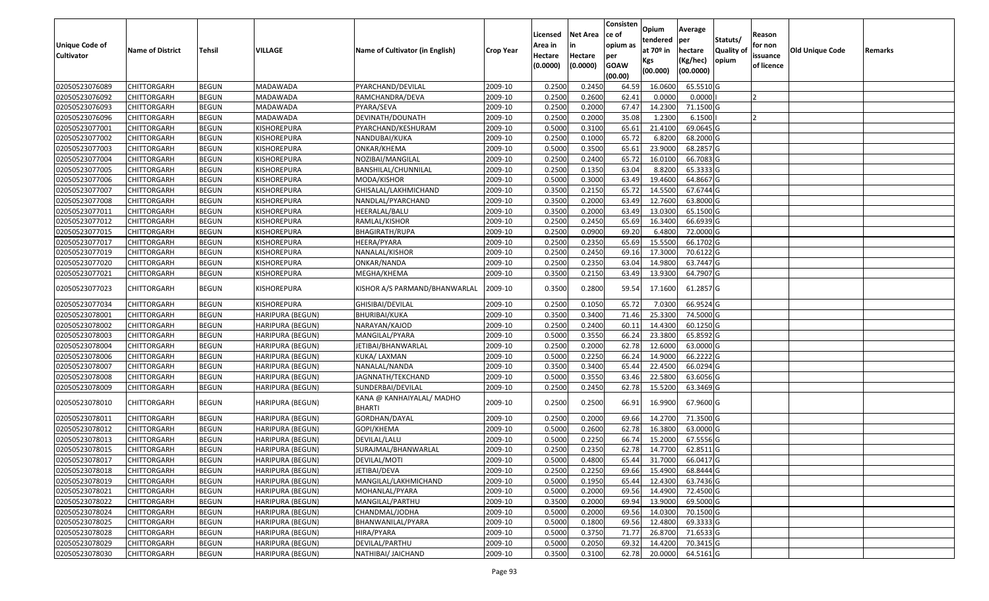|                       |                         |               |                         |                                            |                  | Licensed | <b>Net Area</b> | Consisten<br>ce of | Opium       | Average   |                  | Reason     |                        |         |
|-----------------------|-------------------------|---------------|-------------------------|--------------------------------------------|------------------|----------|-----------------|--------------------|-------------|-----------|------------------|------------|------------------------|---------|
| <b>Unique Code of</b> |                         |               |                         |                                            |                  | Area in  |                 | opium as           | tendered    | per       | Statuts/         | for non    |                        |         |
| <b>Cultivator</b>     | <b>Name of District</b> | <b>Tehsil</b> | VILLAGE                 | Name of Cultivator (in English)            | <b>Crop Year</b> | Hectare  | Hectare         | per                | at $70°$ in | hectare   | <b>Quality o</b> | issuance   | <b>Old Unique Code</b> | Remarks |
|                       |                         |               |                         |                                            |                  | (0.0000) | (0.0000)        | <b>GOAW</b>        | Kgs         | (Kg/hec)  | opium            | of licence |                        |         |
|                       |                         |               |                         |                                            |                  |          |                 | (00.00)            | (00.000)    | (00.0000) |                  |            |                        |         |
| 02050523076089        | CHITTORGARH             | <b>BEGUN</b>  | MADAWADA                | PYARCHAND/DEVILAL                          | 2009-10          | 0.2500   | 0.2450          | 64.59              | 16.0600     | 65.5510G  |                  |            |                        |         |
| 02050523076092        | CHITTORGARH             | <b>BEGUN</b>  | MADAWADA                | RAMCHANDRA/DEVA                            | 2009-10          | 0.2500   | 0.2600          | 62.41              | 0.0000      | 0.0000    |                  |            |                        |         |
| 02050523076093        | CHITTORGARH             | <b>BEGUN</b>  | MADAWADA                | PYARA/SEVA                                 | 2009-10          | 0.2500   | 0.2000          | 67.47              | 14.2300     | 71.1500G  |                  |            |                        |         |
| 02050523076096        | CHITTORGARH             | <b>BEGUN</b>  | MADAWADA                | DEVINATH/DOUNATH                           | 2009-10          | 0.2500   | 0.2000          | 35.08              | 1.2300      | 6.1500    |                  |            |                        |         |
| 02050523077001        | CHITTORGARH             | <b>BEGUN</b>  | KISHOREPURA             | PYARCHAND/KESHURAM                         | 2009-10          | 0.5000   | 0.3100          | 65.61              | 21.4100     | 69.0645 G |                  |            |                        |         |
| 02050523077002        | CHITTORGARH             | <b>BEGUN</b>  | KISHOREPURA             | NANDUBAI/KUKA                              | 2009-10          | 0.2500   | 0.1000          | 65.72              | 6.8200      | 68.2000 G |                  |            |                        |         |
| 02050523077003        | CHITTORGARH             | <b>BEGUN</b>  | KISHOREPURA             | ONKAR/KHEMA                                | 2009-10          | 0.5000   | 0.3500          | 65.61              | 23.9000     | 68.2857 G |                  |            |                        |         |
| 02050523077004        | CHITTORGARH             | <b>BEGUN</b>  | KISHOREPURA             | NOZIBAI/MANGILAL                           | 2009-10          | 0.2500   | 0.2400          | 65.72              | 16.0100     | 66.7083 G |                  |            |                        |         |
| 02050523077005        | <b>CHITTORGARH</b>      | <b>BEGUN</b>  | KISHOREPURA             | BANSHILAL/CHUNNILAL                        | 2009-10          | 0.2500   | 0.1350          | 63.04              | 8.8200      | 65.3333 G |                  |            |                        |         |
| 02050523077006        | CHITTORGARH             | <b>BEGUN</b>  | KISHOREPURA             | MODA/KISHOR                                | 2009-10          | 0.5000   | 0.3000          | 63.49              | 19.4600     | 64.8667 G |                  |            |                        |         |
| 02050523077007        | CHITTORGARH             | <b>BEGUN</b>  | KISHOREPURA             | GHISALAL/LAKHMICHAND                       | 2009-10          | 0.3500   | 0.2150          | 65.72              | 14.5500     | 67.6744 G |                  |            |                        |         |
| 02050523077008        | <b>CHITTORGARH</b>      | <b>BEGUN</b>  | KISHOREPURA             | NANDLAL/PYARCHAND                          | 2009-10          | 0.3500   | 0.2000          | 63.49              | 12.7600     | 63.8000 G |                  |            |                        |         |
| 02050523077011        | <b>CHITTORGARH</b>      | <b>BEGUN</b>  | KISHOREPURA             | HEERALAL/BALU                              | 2009-10          | 0.3500   | 0.2000          | 63.49              | 13.0300     | 65.1500G  |                  |            |                        |         |
| 02050523077012        | <b>CHITTORGARH</b>      | <b>BEGUN</b>  | KISHOREPURA             | RAMLAL/KISHOR                              | 2009-10          | 0.2500   | 0.2450          | 65.69              | 16.3400     | 66.6939 G |                  |            |                        |         |
| 02050523077015        | CHITTORGARH             | <b>BEGUN</b>  | KISHOREPURA             | BHAGIRATH/RUPA                             | 2009-10          | 0.2500   | 0.0900          | 69.20              | 6.4800      | 72.0000G  |                  |            |                        |         |
| 02050523077017        | <b>CHITTORGARH</b>      | <b>BEGUN</b>  | KISHOREPURA             | HEERA/PYARA                                | 2009-10          | 0.2500   | 0.2350          | 65.69              | 15.5500     | 66.1702 G |                  |            |                        |         |
| 02050523077019        | CHITTORGARH             | <b>BEGUN</b>  | KISHOREPURA             | NANALAL/KISHOR                             | 2009-10          | 0.2500   | 0.2450          | 69.16              | 17.3000     | 70.6122 G |                  |            |                        |         |
| 02050523077020        | CHITTORGARH             | <b>BEGUN</b>  | KISHOREPURA             | ONKAR/NANDA                                | 2009-10          | 0.2500   | 0.2350          | 63.04              | 14.9800     | 63.7447 G |                  |            |                        |         |
| 02050523077021        | CHITTORGARH             | <b>BEGUN</b>  | KISHOREPURA             | MEGHA/KHEMA                                | 2009-10          | 0.3500   | 0.2150          | 63.49              | 13.9300     | 64.7907 G |                  |            |                        |         |
| 02050523077023        | CHITTORGARH             | <b>BEGUN</b>  | KISHOREPURA             | KISHOR A/S PARMAND/BHANWARLAL              | 2009-10          | 0.3500   | 0.2800          | 59.54              | 17.1600     | 61.2857 G |                  |            |                        |         |
| 02050523077034        | CHITTORGARH             | <b>BEGUN</b>  | KISHOREPURA             | GHISIBAI/DEVILAL                           | 2009-10          | 0.2500   | 0.1050          | 65.72              | 7.0300      | 66.9524 G |                  |            |                        |         |
| 02050523078001        | CHITTORGARH             | <b>BEGUN</b>  | HARIPURA (BEGUN)        | BHURIBAI/KUKA                              | 2009-10          | 0.3500   | 0.3400          | 71.46              | 25.3300     | 74.5000G  |                  |            |                        |         |
| 02050523078002        | CHITTORGARH             | <b>BEGUN</b>  | HARIPURA (BEGUN)        | NARAYAN/KAJOD                              | 2009-10          | 0.2500   | 0.2400          | 60.1               | 14.4300     | 60.1250 G |                  |            |                        |         |
| 02050523078003        | CHITTORGARH             | <b>BEGUN</b>  | <b>HARIPURA (BEGUN)</b> | MANGILAL/PYARA                             | 2009-10          | 0.5000   | 0.3550          | 66.24              | 23.3800     | 65.8592 G |                  |            |                        |         |
| 02050523078004        | CHITTORGARH             | <b>BEGUN</b>  | HARIPURA (BEGUN)        | JETIBAI/BHANWARLAL                         | 2009-10          | 0.2500   | 0.2000          | 62.78              | 12.6000     | 63.0000G  |                  |            |                        |         |
| 02050523078006        | CHITTORGARH             | <b>BEGUN</b>  | HARIPURA (BEGUN)        | KUKA/ LAXMAN                               | 2009-10          | 0.5000   | 0.2250          | 66.24              | 14.9000     | 66.2222G  |                  |            |                        |         |
| 02050523078007        | CHITTORGARH             | <b>BEGUN</b>  | HARIPURA (BEGUN)        | NANALAL/NANDA                              | 2009-10          | 0.3500   | 0.3400          | 65.44              | 22.4500     | 66.0294 G |                  |            |                        |         |
| 02050523078008        | CHITTORGARH             | <b>BEGUN</b>  | <b>HARIPURA (BEGUN)</b> | JAGNNATH/TEKCHAND                          | 2009-10          | 0.5000   | 0.3550          | 63.46              | 22.5800     | 63.6056 G |                  |            |                        |         |
| 02050523078009        | CHITTORGARH             | <b>BEGUN</b>  | HARIPURA (BEGUN)        | SUNDERBAI/DEVILAL                          | 2009-10          | 0.2500   | 0.2450          | 62.78              | 15.5200     | 63.3469 G |                  |            |                        |         |
| 02050523078010        | CHITTORGARH             | <b>BEGUN</b>  | HARIPURA (BEGUN)        | KANA @ KANHAIYALAL/ MADHO<br><b>BHARTI</b> | 2009-10          | 0.2500   | 0.2500          | 66.91              | 16.9900     | 67.9600 G |                  |            |                        |         |
| 02050523078011        | <b>CHITTORGARH</b>      | <b>BEGUN</b>  | HARIPURA (BEGUN)        | GORDHAN/DAYAL                              | 2009-10          | 0.2500   | 0.2000          | 69.66              | 14.2700     | 71.3500 G |                  |            |                        |         |
| 02050523078012        | <b>CHITTORGARH</b>      | <b>BEGUN</b>  | HARIPURA (BEGUN)        | GOPI/KHEMA                                 | 2009-10          | 0.5000   | 0.2600          | 62.78              | 16.3800     | 63.0000G  |                  |            |                        |         |
| 02050523078013        | CHITTORGARH             | <b>BEGUN</b>  | HARIPURA (BEGUN)        | DEVILAL/LALU                               | 2009-10          | 0.500    | 0.2250          | 66.74              | 15.2000     | 67.5556 G |                  |            |                        |         |
| 02050523078015        | CHITTORGARH             | <b>BEGUN</b>  | HARIPURA (BEGUN)        | SURAJMAL/BHANWARLAL                        | 2009-10          | 0.2500   | 0.2350          | 62.78              | 14.7700     | 62.8511G  |                  |            |                        |         |
| 02050523078017        | <b>CHITTORGARH</b>      | <b>BEGUN</b>  | HARIPURA (BEGUN)        | DEVILAL/MOTI                               | 2009-10          | 0.5000   | 0.4800          | 65.44              | 31.7000     | 66.0417 G |                  |            |                        |         |
| 02050523078018        | <b>CHITTORGARH</b>      | <b>BEGUN</b>  | <b>HARIPURA (BEGUN)</b> | JETIBAI/DEVA                               | 2009-10          | 0.2500   | 0.2250          | 69.66              | 15.4900     | 68.8444 G |                  |            |                        |         |
| 02050523078019        | <b>CHITTORGARH</b>      | <b>BEGUN</b>  | HARIPURA (BEGUN)        | MANGILAL/LAKHMICHAND                       | 2009-10          | 0.5000   | 0.1950          | 65.44              | 12.4300     | 63.7436 G |                  |            |                        |         |
| 02050523078021        | <b>CHITTORGARH</b>      | <b>BEGUN</b>  | <b>HARIPURA (BEGUN)</b> | MOHANLAL/PYARA                             | 2009-10          | 0.5000   | 0.2000          | 69.56              | 14.4900     | 72.4500 G |                  |            |                        |         |
| 02050523078022        | CHITTORGARH             | <b>BEGUN</b>  | <b>HARIPURA (BEGUN)</b> | MANGILAL/PARTHU                            | 2009-10          | 0.3500   | 0.2000          | 69.94              | 13.9000     | 69.5000 G |                  |            |                        |         |
| 02050523078024        | <b>CHITTORGARH</b>      | <b>BEGUN</b>  | <b>HARIPURA (BEGUN)</b> | CHANDMAL/JODHA                             | 2009-10          | 0.5000   | 0.2000          | 69.56              | 14.0300     | 70.1500 G |                  |            |                        |         |
| 02050523078025        | <b>CHITTORGARH</b>      | <b>BEGUN</b>  | <b>HARIPURA (BEGUN)</b> | BHANWANILAL/PYARA                          | 2009-10          | 0.5000   | 0.1800          | 69.56              | 12.4800     | 69.3333 G |                  |            |                        |         |
| 02050523078028        | <b>CHITTORGARH</b>      | <b>BEGUN</b>  | <b>HARIPURA (BEGUN)</b> | HIRA/PYARA                                 | 2009-10          | 0.5000   | 0.3750          | 71.77              | 26.8700     | 71.6533 G |                  |            |                        |         |
| 02050523078029        | <b>CHITTORGARH</b>      | <b>BEGUN</b>  | <b>HARIPURA (BEGUN)</b> | DEVILAL/PARTHU                             | 2009-10          | 0.5000   | 0.2050          | 69.32              | 14.4200     | 70.3415 G |                  |            |                        |         |
| 02050523078030        | <b>CHITTORGARH</b>      | <b>BEGUN</b>  | HARIPURA (BEGUN)        | NATHIBAI/ JAICHAND                         | 2009-10          | 0.3500   | 0.3100          | 62.78              | 20.0000     | 64.5161 G |                  |            |                        |         |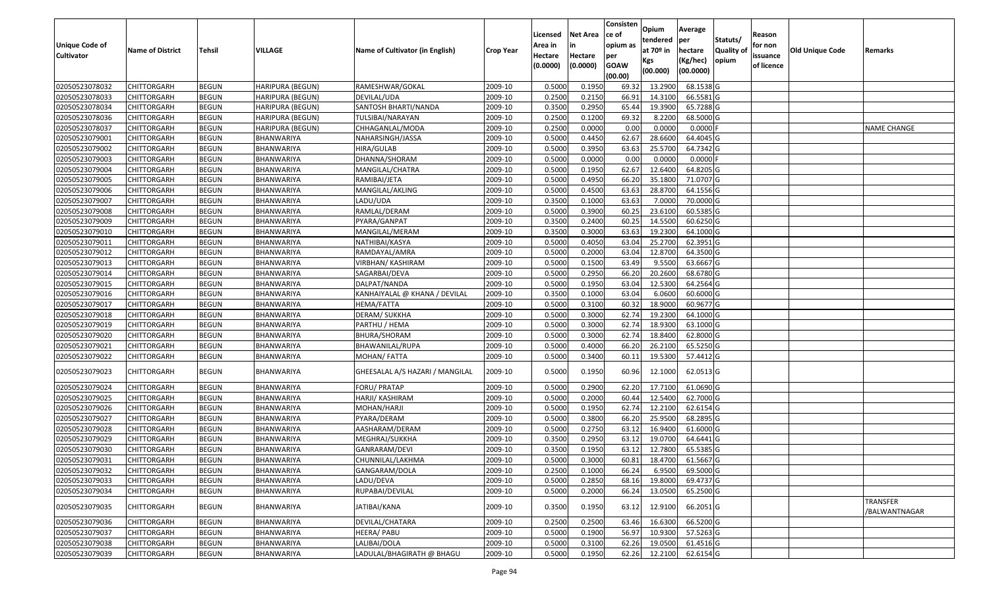|                       |                         |               |                         |                                 |                  | Licensed | <b>Net Area</b> | Consisten<br>ce of | Opium       | Average                |                  | Reason     |                        |                                  |
|-----------------------|-------------------------|---------------|-------------------------|---------------------------------|------------------|----------|-----------------|--------------------|-------------|------------------------|------------------|------------|------------------------|----------------------------------|
| <b>Unique Code of</b> |                         |               |                         |                                 |                  | Area in  |                 | opium as           | tendered    | per                    | Statuts/         | for non    |                        |                                  |
| <b>Cultivator</b>     | <b>Name of District</b> | <b>Tehsil</b> | <b>VILLAGE</b>          | Name of Cultivator (in English) | <b>Crop Year</b> | Hectare  | Hectare         | per                | at $70°$ in | hectare                | <b>Quality o</b> | issuance   | <b>Old Unique Code</b> | Remarks                          |
|                       |                         |               |                         |                                 |                  | (0.0000) | (0.0000)        | <b>GOAW</b>        | Kgs         | (Kg/hec)               | opium            | of licence |                        |                                  |
|                       |                         |               |                         |                                 |                  |          |                 | (00.00)            | (00.000)    | (00.0000)              |                  |            |                        |                                  |
| 02050523078032        | CHITTORGARH             | <b>BEGUN</b>  | HARIPURA (BEGUN)        | RAMESHWAR/GOKAL                 | 2009-10          | 0.5000   | 0.1950          | 69.32              | 13.2900     | 68.1538 G              |                  |            |                        |                                  |
| 02050523078033        | CHITTORGARH             | <b>BEGUN</b>  | HARIPURA (BEGUN)        | DEVILAL/UDA                     | 2009-10          | 0.2500   | 0.2150          | 66.9               | 14.3100     | 66.5581G               |                  |            |                        |                                  |
| 02050523078034        | CHITTORGARH             | <b>BEGUN</b>  | HARIPURA (BEGUN)        | SANTOSH BHARTI/NANDA            | 2009-10          | 0.3500   | 0.2950          | 65.44              | 19.3900     | 65.7288 G              |                  |            |                        |                                  |
| 02050523078036        | CHITTORGARH             | <b>BEGUN</b>  | <b>HARIPURA (BEGUN)</b> | TULSIBAI/NARAYAN                | 2009-10          | 0.2500   | 0.1200          | 69.32              | 8.2200      | 68.5000G               |                  |            |                        |                                  |
| 02050523078037        | CHITTORGARH             | <b>BEGUN</b>  | HARIPURA (BEGUN)        | CHHAGANLAL/MODA                 | 2009-10          | 0.2500   | 0.0000          | 0.00               | 0.0000      | 0.0000F                |                  |            |                        | <b>NAME CHANGE</b>               |
| 02050523079001        | CHITTORGARH             | <b>BEGUN</b>  | BHANWARIYA              | NAHARSINGH/JASSA                | 2009-10          | 0.5000   | 0.4450          | 62.67              | 28.6600     | $\overline{64.4045}$ G |                  |            |                        |                                  |
| 02050523079002        | CHITTORGARH             | <b>BEGUN</b>  | BHANWARIYA              | HIRA/GULAB                      | 2009-10          | 0.5000   | 0.3950          | 63.63              | 25.5700     | 64.7342 G              |                  |            |                        |                                  |
| 02050523079003        | CHITTORGARH             | <b>BEGUN</b>  | BHANWARIYA              | DHANNA/SHORAM                   | 2009-10          | 0.5000   | 0.0000          | 0.00               | 0.0000      | $0.0000$ F             |                  |            |                        |                                  |
| 02050523079004        | CHITTORGARH             | <b>BEGUN</b>  | BHANWARIYA              | MANGILAL/CHATRA                 | 2009-10          | 0.5000   | 0.1950          | 62.67              | 12.6400     | 64.8205 G              |                  |            |                        |                                  |
| 02050523079005        | CHITTORGARH             | <b>BEGUN</b>  | BHANWARIYA              | RAMIBAI/JETA                    | 2009-10          | 0.5000   | 0.4950          | 66.20              | 35.1800     | 71.0707 G              |                  |            |                        |                                  |
| 02050523079006        | CHITTORGARH             | <b>BEGUN</b>  | BHANWARIYA              | MANGILAL/AKLING                 | 2009-10          | 0.5000   | 0.4500          | 63.63              | 28.8700     | 64.1556 G              |                  |            |                        |                                  |
| 02050523079007        | CHITTORGARH             | <b>BEGUN</b>  | BHANWARIYA              | LADU/UDA                        | 2009-10          | 0.3500   | 0.1000          | 63.63              | 7.0000      | 70.0000 G              |                  |            |                        |                                  |
| 02050523079008        | <b>CHITTORGARH</b>      | <b>BEGUN</b>  | BHANWARIYA              | RAMLAL/DERAM                    | 2009-10          | 0.5000   | 0.3900          | 60.25              | 23.6100     | 60.5385 G              |                  |            |                        |                                  |
| 02050523079009        | <b>CHITTORGARH</b>      | <b>BEGUN</b>  | BHANWARIYA              | PYARA/GANPAT                    | 2009-10          | 0.3500   | 0.2400          | 60.25              | 14.5500     | 60.6250 G              |                  |            |                        |                                  |
| 02050523079010        | CHITTORGARH             | <b>BEGUN</b>  | BHANWARIYA              | MANGILAL/MERAM                  | 2009-10          | 0.3500   | 0.3000          | 63.63              | 19.2300     | 64.1000 G              |                  |            |                        |                                  |
| 02050523079011        | CHITTORGARH             | <b>BEGUN</b>  | BHANWARIYA              | NATHIBAI/KASYA                  | 2009-10          | 0.5000   | 0.4050          | 63.04              | 25.2700     | 62.3951 G              |                  |            |                        |                                  |
| 02050523079012        | CHITTORGARH             | <b>BEGUN</b>  | BHANWARIYA              | RAMDAYAL/AMRA                   | 2009-10          | 0.5000   | 0.2000          | 63.04              | 12.8700     | 64.3500 G              |                  |            |                        |                                  |
| 02050523079013        | CHITTORGARH             | <b>BEGUN</b>  | BHANWARIYA              | VIRBHAN/ KASHIRAM               | 2009-10          | 0.5000   | 0.1500          | 63.49              | 9.5500      | 63.6667 G              |                  |            |                        |                                  |
| 02050523079014        | CHITTORGARH             | <b>BEGUN</b>  | BHANWARIYA              | SAGARBAI/DEVA                   | 2009-10          | 0.5000   | 0.2950          | 66.20              | 20.2600     | 68.6780 G              |                  |            |                        |                                  |
| 02050523079015        | CHITTORGARH             | <b>BEGUN</b>  | BHANWARIYA              | DALPAT/NANDA                    | 2009-10          | 0.5000   | 0.1950          | 63.04              | 12.5300     | 64.2564 G              |                  |            |                        |                                  |
| 02050523079016        | CHITTORGARH             | <b>BEGUN</b>  | BHANWARIYA              | KANHAIYALAL @ KHANA / DEVILAL   | 2009-10          | 0.3500   | 0.1000          | 63.04              | 6.0600      | 60.6000 G              |                  |            |                        |                                  |
| 02050523079017        | CHITTORGARH             | <b>BEGUN</b>  | BHANWARIYA              | HEMA/FATTA                      | 2009-10          | 0.5000   | 0.3100          | 60.32              | 18.9000     | 60.9677 G              |                  |            |                        |                                  |
| 02050523079018        | CHITTORGARH             | <b>BEGUN</b>  | BHANWARIYA              | DERAM/ SUKKHA                   | 2009-10          | 0.5000   | 0.3000          | 62.7               | 19.2300     | 64.1000 G              |                  |            |                        |                                  |
| 02050523079019        | CHITTORGARH             | <b>BEGUN</b>  | BHANWARIYA              | PARTHU / HEMA                   | 2009-10          | 0.5000   | 0.3000          | 62.7               | 18.9300     | 63.1000 G              |                  |            |                        |                                  |
| 02050523079020        | <b>CHITTORGARH</b>      | <b>BEGUN</b>  | <b>BHANWARIYA</b>       | BHURA/SHORAM                    | 2009-10          | 0.5000   | 0.3000          | 62.74              | 18.8400     | 62.8000 G              |                  |            |                        |                                  |
| 02050523079021        | CHITTORGARH             | <b>BEGUN</b>  | BHANWARIYA              | BHAWANILAL/RUPA                 | 2009-10          | 0.5000   | 0.4000          | 66.20              | 26.2100     | 65.5250 G              |                  |            |                        |                                  |
| 02050523079022        | CHITTORGARH             | <b>BEGUN</b>  | BHANWARIYA              | MOHAN/ FATTA                    | 2009-10          | 0.5000   | 0.3400          | 60.1               | 19.5300     | 57.4412G               |                  |            |                        |                                  |
| 02050523079023        | CHITTORGARH             | <b>BEGUN</b>  | BHANWARIYA              | GHEESALAL A/S HAZARI / MANGILAL | 2009-10          | 0.5000   | 0.1950          | 60.96              | 12.1000     | 62.0513 G              |                  |            |                        |                                  |
| 02050523079024        | <b>CHITTORGARH</b>      | <b>BEGUN</b>  | BHANWARIYA              | <b>FORU/ PRATAP</b>             | 2009-10          | 0.500    | 0.2900          | 62.20              | 17.7100     | 61.0690 G              |                  |            |                        |                                  |
| 02050523079025        | CHITTORGARH             | <b>BEGUN</b>  | BHANWARIYA              | HARJI/ KASHIRAM                 | 2009-10          | 0.5000   | 0.2000          | 60.44              | 12.5400     | 62.7000 G              |                  |            |                        |                                  |
| 02050523079026        | CHITTORGARH             | <b>BEGUN</b>  | BHANWARIYA              | MOHAN/HARJI                     | 2009-10          | 0.5000   | 0.1950          | 62.7               | 12.2100     | 62.6154 G              |                  |            |                        |                                  |
| 02050523079027        | CHITTORGARH             | <b>BEGUN</b>  | BHANWARIYA              | PYARA/DERAM                     | 2009-10          | 0.5000   | 0.3800          | 66.20              | 25.9500     | 68.2895 G              |                  |            |                        |                                  |
| 02050523079028        | <b>CHITTORGARH</b>      | <b>BEGUN</b>  | BHANWARIYA              | AASHARAM/DERAM                  | 2009-10          | 0.5000   | 0.2750          | 63.12              | 16.9400     | 61.6000G               |                  |            |                        |                                  |
| 02050523079029        | CHITTORGARH             | <b>BEGUN</b>  | BHANWARIYA              | MEGHRAJ/SUKKHA                  | 2009-10          | 0.350    | 0.2950          | 63.12              | 19.0700     | 64.6441 G              |                  |            |                        |                                  |
| 02050523079030        | CHITTORGARH             | <b>BEGUN</b>  | BHANWARIYA              | GANRARAM/DEVI                   | 2009-10          | 0.3500   | 0.1950          | 63.12              | 12.7800     | 65.5385 G              |                  |            |                        |                                  |
| 02050523079031        | <b>CHITTORGARH</b>      | <b>BEGUN</b>  | BHANWARIYA              | CHUNNILAL/LAKHMA                | 2009-10          | 0.5000   | 0.3000          | 60.81              | 18.4700     | 61.5667 G              |                  |            |                        |                                  |
| 02050523079032        | <b>CHITTORGARH</b>      | <b>BEGUN</b>  | BHANWARIYA              | GANGARAM/DOLA                   | 2009-10          | 0.2500   | 0.1000          | 66.24              | 6.9500      | 69.5000 G              |                  |            |                        |                                  |
| 02050523079033        | <b>CHITTORGARH</b>      | <b>BEGUN</b>  | BHANWARIYA              | LADU/DEVA                       | 2009-10          | 0.5000   | 0.2850          | 68.16              | 19.8000     | 69.4737 G              |                  |            |                        |                                  |
| 02050523079034        | <b>CHITTORGARH</b>      | <b>BEGUN</b>  | BHANWARIYA              | RUPABAI/DEVILAL                 | 2009-10          | 0.5000   | 0.2000          | 66.24              | 13.0500     | 65.2500 G              |                  |            |                        |                                  |
| 02050523079035        | <b>CHITTORGARH</b>      | <b>BEGUN</b>  | BHANWARIYA              | JATIBAI/KANA                    | 2009-10          | 0.3500   | 0.1950          | 63.12              | 12.9100     | 66.2051 G              |                  |            |                        | <b>TRANSFER</b><br>/BALWANTNAGAR |
| 02050523079036        | <b>CHITTORGARH</b>      | <b>BEGUN</b>  | BHANWARIYA              | DEVILAL/CHATARA                 | 2009-10          | 0.2500   | 0.2500          | 63.46              | 16.6300     | 66.5200G               |                  |            |                        |                                  |
| 02050523079037        | <b>CHITTORGARH</b>      | <b>BEGUN</b>  | BHANWARIYA              | HEERA/ PABU                     | 2009-10          | 0.5000   | 0.1900          | 56.97              | 10.9300     | 57.5263 G              |                  |            |                        |                                  |
| 02050523079038        | <b>CHITTORGARH</b>      | <b>BEGUN</b>  | BHANWARIYA              | LALIBAI/DOLA                    | 2009-10          | 0.5000   | 0.3100          | 62.26              | 19.0500     | 61.4516 G              |                  |            |                        |                                  |
| 02050523079039        | <b>CHITTORGARH</b>      | <b>BEGUN</b>  | <b>BHANWARIYA</b>       | LADULAL/BHAGIRATH @ BHAGU       | 2009-10          | 0.5000   | 0.1950          | 62.26              | 12.2100     | 62.6154 G              |                  |            |                        |                                  |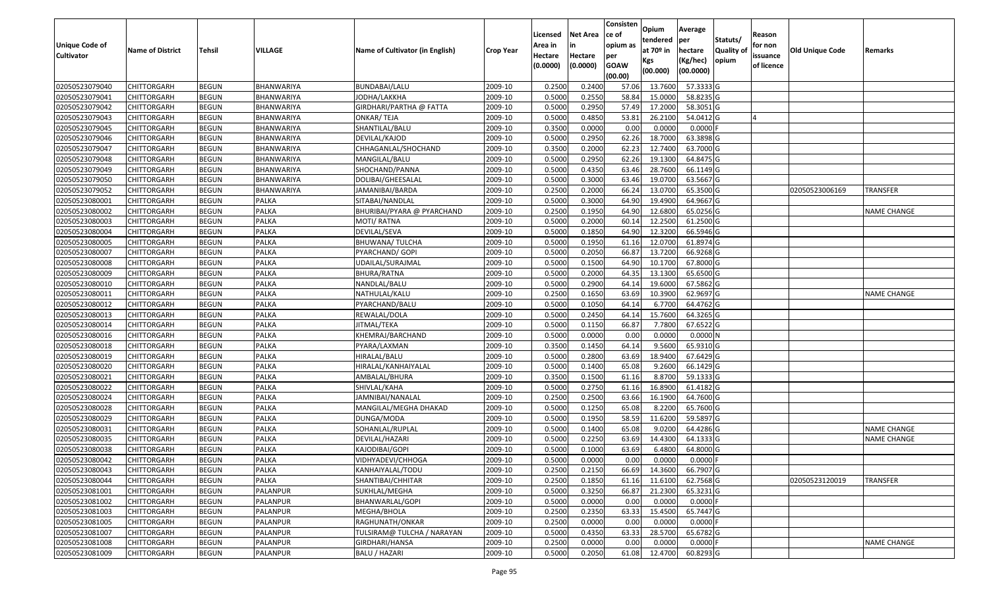|                       |                         |               |                   |                                 |                  | Licensed | <b>Net Area</b> | Consisten<br>ce of     | Opium                   | Average        |                               | Reason     |                        |                    |
|-----------------------|-------------------------|---------------|-------------------|---------------------------------|------------------|----------|-----------------|------------------------|-------------------------|----------------|-------------------------------|------------|------------------------|--------------------|
| <b>Unique Code of</b> | <b>Name of District</b> | <b>Tehsil</b> | VILLAGE           | Name of Cultivator (in English) | <b>Crop Year</b> | Area in  |                 | opium as               | tendered<br>at $70°$ in | per<br>hectare | Statuts/<br><b>Quality of</b> | for non    | <b>Old Unique Code</b> | Remarks            |
| <b>Cultivator</b>     |                         |               |                   |                                 |                  | Hectare  | Hectare         | per                    | Kgs                     | (Kg/hec)       | opium                         | issuance   |                        |                    |
|                       |                         |               |                   |                                 |                  | (0.0000) | (0.0000)        | <b>GOAW</b><br>(00.00) | (00.000)                | (00.0000)      |                               | of licence |                        |                    |
| 02050523079040        | <b>CHITTORGARH</b>      | <b>BEGUN</b>  | BHANWARIYA        | BUNDABAI/LALU                   | 2009-10          | 0.2500   | 0.2400          | 57.06                  | 13.7600                 | 57.3333 G      |                               |            |                        |                    |
| 02050523079041        | CHITTORGARH             | <b>BEGUN</b>  | BHANWARIYA        | JODHA/LAKKHA                    | 2009-10          | 0.5000   | 0.2550          | 58.84                  | 15.0000                 | 58.8235 G      |                               |            |                        |                    |
| 02050523079042        | <b>CHITTORGARH</b>      | <b>BEGUN</b>  | BHANWARIYA        | GIRDHARI/PARTHA @ FATTA         | 2009-10          | 0.5000   | 0.2950          | 57.49                  | 17.2000                 | 58.3051 G      |                               |            |                        |                    |
| 02050523079043        | <b>CHITTORGARH</b>      | <b>BEGUN</b>  | <b>BHANWARIYA</b> | ONKAR/TEJA                      | 2009-10          | 0.5000   | 0.4850          | 53.8                   | 26.2100                 | 54.0412 G      |                               |            |                        |                    |
| 02050523079045        | <b>CHITTORGARH</b>      | <b>BEGUN</b>  | BHANWARIYA        | SHANTILAL/BALU                  | 2009-10          | 0.3500   | 0.0000          | 0.00                   | 0.0000                  | $0.0000$ F     |                               |            |                        |                    |
| 02050523079046        | CHITTORGARH             | <b>BEGUN</b>  | BHANWARIYA        | DEVILAL/KAJOD                   | 2009-10          | 0.5000   | 0.2950          | 62.26                  | 18.7000                 | 63.3898 G      |                               |            |                        |                    |
| 02050523079047        | CHITTORGARH             | <b>BEGUN</b>  | BHANWARIYA        | CHHAGANLAL/SHOCHAND             | 2009-10          | 0.3500   | 0.2000          | 62.2                   | 12.7400                 | 63.7000 G      |                               |            |                        |                    |
| 02050523079048        | <b>CHITTORGARH</b>      | <b>BEGUN</b>  | BHANWARIYA        | MANGILAL/BALU                   | 2009-10          | 0.5000   | 0.2950          | 62.26                  | 19.1300                 | 64.8475 G      |                               |            |                        |                    |
| 02050523079049        | CHITTORGARH             | <b>BEGUN</b>  | <b>BHANWARIYA</b> | SHOCHAND/PANNA                  | 2009-10          | 0.5000   | 0.4350          | 63.46                  | 28.7600                 | 66.1149 G      |                               |            |                        |                    |
| 02050523079050        | <b>CHITTORGARH</b>      | <b>BEGUN</b>  | BHANWARIYA        | DOLIBAI/GHEESALAL               | 2009-10          | 0.5000   | 0.3000          | 63.46                  | 19.0700                 | 63.5667 G      |                               |            |                        |                    |
| 02050523079052        | <b>CHITTORGARH</b>      | <b>BEGUN</b>  | <b>BHANWARIYA</b> | IAMANIBAI/BARDA                 | 2009-10          | 0.2500   | 0.2000          | 66.24                  | 13.0700                 | 65.3500 G      |                               |            | 02050523006169         | TRANSFER           |
| 02050523080001        | <b>CHITTORGARH</b>      | <b>BEGUN</b>  | <b>PALKA</b>      | SITABAI/NANDLAL                 | 2009-10          | 0.5000   | 0.3000          | 64.90                  | 19.4900                 | 64.9667 G      |                               |            |                        |                    |
| 02050523080002        | <b>CHITTORGARH</b>      | <b>BEGUN</b>  | <b>PALKA</b>      | BHURIBAI/PYARA @ PYARCHAND      | 2009-10          | 0.2500   | 0.1950          | 64.90                  | 12.6800                 | 65.0256 G      |                               |            |                        | <b>NAME CHANGE</b> |
| 02050523080003        | <b>CHITTORGARH</b>      | <b>BEGUN</b>  | <b>PALKA</b>      | MOTI/ RATNA                     | 2009-10          | 0.5000   | 0.2000          | 60.14                  | 12.2500                 | 61.2500 G      |                               |            |                        |                    |
| 02050523080004        | <b>CHITTORGARH</b>      | <b>BEGUN</b>  | <b>PALKA</b>      | DEVILAL/SEVA                    | 2009-10          | 0.5000   | 0.1850          | 64.90                  | 12.3200                 | 66.5946 G      |                               |            |                        |                    |
| 02050523080005        | <b>CHITTORGARH</b>      | <b>BEGUN</b>  | <b>PALKA</b>      | BHUWANA/ TULCHA                 | 2009-10          | 0.5000   | 0.1950          | 61.16                  | 12.0700                 | 61.8974 G      |                               |            |                        |                    |
| 02050523080007        | <b>CHITTORGARH</b>      | <b>BEGUN</b>  | <b>PALKA</b>      | PYARCHAND/ GOPI                 | 2009-10          | 0.5000   | 0.2050          | 66.87                  | 13.7200                 | 66.9268 G      |                               |            |                        |                    |
| 02050523080008        | CHITTORGARH             | <b>BEGUN</b>  | <b>PALKA</b>      | UDAILAL/SURAJMAL                | 2009-10          | 0.5000   | 0.1500          | 64.90                  | 10.1700                 | 67.8000 G      |                               |            |                        |                    |
| 02050523080009        | CHITTORGARH             | <b>BEGUN</b>  | <b>PALKA</b>      | BHURA/RATNA                     | 2009-10          | 0.5000   | 0.2000          | 64.3                   | 13.1300                 | 65.6500 G      |                               |            |                        |                    |
| 02050523080010        | <b>CHITTORGARH</b>      | <b>BEGUN</b>  | PALKA             | NANDLAL/BALU                    | 2009-10          | 0.5000   | 0.2900          | 64.1                   | 19.6000                 | 67.5862 G      |                               |            |                        |                    |
| 02050523080011        | <b>CHITTORGARH</b>      | <b>BEGUN</b>  | <b>PALKA</b>      | NATHULAL/KALU                   | 2009-10          | 0.2500   | 0.1650          | 63.69                  | 10.3900                 | 62.9697 G      |                               |            |                        | <b>NAME CHANGE</b> |
| 02050523080012        | <b>CHITTORGARH</b>      | <b>BEGUN</b>  | <b>PALKA</b>      | PYARCHAND/BALU                  | 2009-10          | 0.5000   | 0.1050          | 64.14                  | 6.7700                  | 64.4762 G      |                               |            |                        |                    |
| 02050523080013        | CHITTORGARH             | <b>BEGUN</b>  | <b>PALKA</b>      | REWALAL/DOLA                    | 2009-10          | 0.5000   | 0.2450          | 64.14                  | 15.7600                 | 64.3265 G      |                               |            |                        |                    |
| 02050523080014        | <b>CHITTORGARH</b>      | <b>BEGUN</b>  | PALKA             | IITMAL/TEKA                     | 2009-10          | 0.5000   | 0.1150          | 66.87                  | 7.7800                  | 67.6522 G      |                               |            |                        |                    |
| 02050523080016        | <b>CHITTORGARH</b>      | <b>BEGUN</b>  | <b>PALKA</b>      | KHEMRAJ/BARCHAND                | 2009-10          | 0.5000   | 0.0000          | 0.00                   | 0.0000                  | 0.0000N        |                               |            |                        |                    |
| 02050523080018        | <b>CHITTORGARH</b>      | <b>BEGUN</b>  | <b>PALKA</b>      | PYARA/LAXMAN                    | 2009-10          | 0.3500   | 0.1450          | 64.14                  | 9.5600                  | 65.9310 G      |                               |            |                        |                    |
| 02050523080019        | <b>CHITTORGARH</b>      | <b>BEGUN</b>  | <b>PALKA</b>      | HIRALAL/BALU                    | 2009-10          | 0.5000   | 0.2800          | 63.69                  | 18.9400                 | 67.6429 G      |                               |            |                        |                    |
| 02050523080020        | <b>CHITTORGARH</b>      | <b>BEGUN</b>  | <b>PALKA</b>      | HIRALAL/KANHAIYALAL             | 2009-10          | 0.5000   | 0.1400          | 65.08                  | 9.2600                  | 66.1429 G      |                               |            |                        |                    |
| 02050523080021        | <b>CHITTORGARH</b>      | <b>BEGUN</b>  | <b>PALKA</b>      | AMBALAL/BHURA                   | 2009-10          | 0.3500   | 0.1500          | 61.16                  | 8.8700                  | 59.1333 G      |                               |            |                        |                    |
| 02050523080022        | <b>CHITTORGARH</b>      | <b>BEGUN</b>  | <b>PALKA</b>      | SHIVLAL/KAHA                    | 2009-10          | 0.5000   | 0.2750          | 61.16                  | 16.8900                 | 61.4182 G      |                               |            |                        |                    |
| 02050523080024        | CHITTORGARH             | <b>BEGUN</b>  | <b>PALKA</b>      | IAMNIBAI/NANALAL                | 2009-10          | 0.2500   | 0.2500          | 63.66                  | 16.1900                 | 64.7600 G      |                               |            |                        |                    |
| 02050523080028        | CHITTORGARH             | <b>BEGUN</b>  | <b>PALKA</b>      | MANGILAL/MEGHA DHAKAD           | 2009-10          | 0.5000   | 0.1250          | 65.08                  | 8.2200                  | 65.7600 G      |                               |            |                        |                    |
| 02050523080029        | <b>CHITTORGARH</b>      | <b>BEGUN</b>  | <b>PALKA</b>      | DUNGA/MODA                      | 2009-10          | 0.5000   | 0.1950          | 58.59                  | 11.6200                 | 59.5897 G      |                               |            |                        |                    |
| 02050523080031        | CHITTORGARH             | <b>BEGUN</b>  | <b>PALKA</b>      | SOHANLAL/RUPLAL                 | 2009-10          | 0.500    | 0.1400          | 65.08                  | 9.0200                  | 64.4286 G      |                               |            |                        | <b>NAME CHANGE</b> |
| 02050523080035        | CHITTORGARH             | <b>BEGUN</b>  | PALKA             | DEVILAL/HAZARI                  | 2009-10          | 0.500    | 0.2250          | 63.69                  | 14.4300                 | 64.1333 G      |                               |            |                        | <b>NAME CHANGE</b> |
| 02050523080038        | <b>CHITTORGARH</b>      | <b>BEGUN</b>  | <b>PALKA</b>      | KAJODIBAI/GOPI                  | 2009-10          | 0.5000   | 0.1000          | 63.69                  | 6.4800                  | 64.8000 G      |                               |            |                        |                    |
| 02050523080042        | <b>CHITTORGARH</b>      | <b>BEGUN</b>  | PALKA             | VIDHYADEVI/CHHOGA               | 2009-10          | 0.5000   | 0.0000          | 0.00                   | 0.0000                  | $0.0000$ F     |                               |            |                        |                    |
| 02050523080043        | <b>CHITTORGARH</b>      | <b>BEGUN</b>  | <b>PALKA</b>      | KANHAIYALAL/TODU                | 2009-10          | 0.2500   | 0.2150          | 66.69                  | 14.3600                 | 66.7907 G      |                               |            |                        |                    |
| 02050523080044        | <b>CHITTORGARH</b>      | <b>BEGUN</b>  | <b>PALKA</b>      | SHANTIBAI/CHHITAR               | 2009-10          | 0.2500   | 0.1850          | 61.16                  | 11.6100                 | 62.7568 G      |                               |            | 02050523120019         | TRANSFER           |
| 02050523081001        | <b>CHITTORGARH</b>      | <b>BEGUN</b>  | PALANPUR          | SUKHLAL/MEGHA                   | 2009-10          | 0.5000   | 0.3250          | 66.87                  | 21.2300                 | 65.3231 G      |                               |            |                        |                    |
| 02050523081002        | CHITTORGARH             | <b>BEGUN</b>  | PALANPUR          | BHANWARLAL/GOPI                 | 2009-10          | 0.5000   | 0.0000          | 0.00                   | 0.0000                  | $0.0000$ F     |                               |            |                        |                    |
| 02050523081003        | <b>CHITTORGARH</b>      | <b>BEGUN</b>  | PALANPUR          | MEGHA/BHOLA                     | 2009-10          | 0.2500   | 0.2350          | 63.33                  | 15.4500                 | 65.7447 G      |                               |            |                        |                    |
| 02050523081005        | <b>CHITTORGARH</b>      | <b>BEGUN</b>  | PALANPUR          | RAGHUNATH/ONKAR                 | 2009-10          | 0.2500   | 0.0000          | 0.00                   | 0.0000                  | $0.0000$ F     |                               |            |                        |                    |
| 02050523081007        | <b>CHITTORGARH</b>      | <b>BEGUN</b>  | PALANPUR          | TULSIRAM@ TULCHA / NARAYAN      | 2009-10          | 0.5000   | 0.4350          | 63.33                  | 28.5700                 | 65.6782 G      |                               |            |                        |                    |
| 02050523081008        | <b>CHITTORGARH</b>      | <b>BEGUN</b>  | PALANPUR          | GIRDHARI/HANSA                  | 2009-10          | 0.2500   | 0.0000          | 0.00                   | 0.0000                  | $0.0000$ F     |                               |            |                        | NAME CHANGE        |
| 02050523081009        | <b>CHITTORGARH</b>      | <b>BEGUN</b>  | PALANPUR          | <b>BALU / HAZARI</b>            | 2009-10          | 0.5000   | 0.2050          | 61.08                  | 12.4700                 | $60.8293$ G    |                               |            |                        |                    |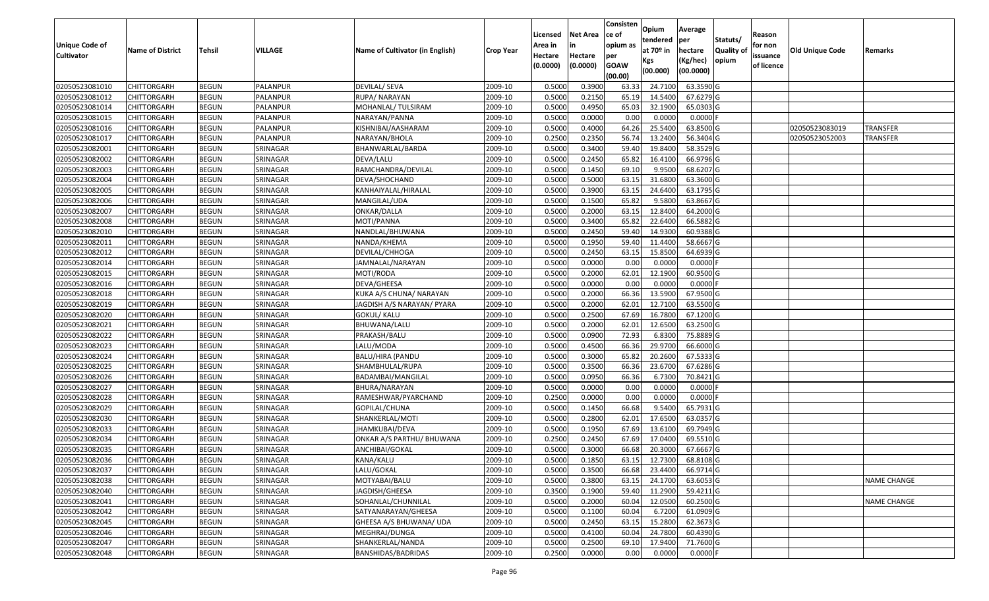|                       |                         |               |          |                                 |                  | Licensed | <b>Net Area</b> | Consisten<br>ce of     | Opium           | Average               |                   | Reason     |                 |                    |
|-----------------------|-------------------------|---------------|----------|---------------------------------|------------------|----------|-----------------|------------------------|-----------------|-----------------------|-------------------|------------|-----------------|--------------------|
| <b>Unique Code of</b> |                         |               |          |                                 |                  | Area in  | in              | opium as               | tendered        | per                   | Statuts/          | for non    |                 |                    |
| <b>Cultivator</b>     | <b>Name of District</b> | <b>Tehsil</b> | VILLAGE  | Name of Cultivator (in English) | <b>Crop Year</b> | Hectare  | Hectare         | per                    | at 70º in       | hectare               | <b>Quality of</b> | issuance   | Old Unique Code | Remarks            |
|                       |                         |               |          |                                 |                  | (0.0000) | (0.0000)        | <b>GOAW</b><br>(00.00) | Kgs<br>(00.000) | (Kg/hec)<br>(00.0000) | opium             | of licence |                 |                    |
| 02050523081010        | <b>CHITTORGARH</b>      | <b>BEGUN</b>  | PALANPUR | <b>DEVILAL/ SEVA</b>            | 2009-10          | 0.5000   | 0.3900          | 63.33                  | 24.7100         | 63.3590 G             |                   |            |                 |                    |
| 02050523081012        | <b>CHITTORGARH</b>      | <b>BEGUN</b>  | PALANPUR | RUPA/NARAYAN                    | 2009-10          | 0.5000   | 0.2150          | 65.19                  | 14.5400         | 67.6279 G             |                   |            |                 |                    |
| 02050523081014        | <b>CHITTORGARH</b>      | <b>BEGUN</b>  | PALANPUR | MOHANLAL/ TULSIRAM              | 2009-10          | 0.5000   | 0.4950          | 65.03                  | 32.1900         | 65.0303 G             |                   |            |                 |                    |
| 02050523081015        | <b>CHITTORGARH</b>      | <b>BEGUN</b>  | PALANPUR | NARAYAN/PANNA                   | 2009-10          | 0.5000   | 0.0000          | 0.00                   | 0.0000          | $0.0000$ F            |                   |            |                 |                    |
| 02050523081016        | <b>CHITTORGARH</b>      | <b>BEGUN</b>  | PALANPUR | KISHNIBAI/AASHARAM              | 2009-10          | 0.5000   | 0.4000          | 64.26                  | 25.5400         | 63.8500 G             |                   |            | 02050523083019  | TRANSFER           |
| 02050523081017        | <b>CHITTORGARH</b>      | <b>BEGUN</b>  | PALANPUR | NARAYAN/BHOLA                   | 2009-10          | 0.2500   | 0.2350          | 56.74                  | 13.2400         | 56.3404 G             |                   |            | 02050523052003  | TRANSFER           |
| 02050523082001        | CHITTORGARH             | <b>BEGUN</b>  | SRINAGAR | BHANWARLAL/BARDA                | 2009-10          | 0.5000   | 0.3400          | 59.40                  | 19.8400         | 58.3529 G             |                   |            |                 |                    |
| 02050523082002        | <b>CHITTORGARH</b>      | <b>BEGUN</b>  | SRINAGAR | DEVA/LALU                       | 2009-10          | 0.5000   | 0.2450          | 65.82                  | 16.4100         | 66.9796 G             |                   |            |                 |                    |
| 02050523082003        | <b>CHITTORGARH</b>      | <b>BEGUN</b>  | SRINAGAR | RAMCHANDRA/DEVILAL              | 2009-10          | 0.5000   | 0.1450          | 69.10                  | 9.9500          | 68.6207 G             |                   |            |                 |                    |
| 02050523082004        | <b>CHITTORGARH</b>      | <b>BEGUN</b>  | SRINAGAR | DEVA/SHOCHAND                   | 2009-10          | 0.5000   | 0.5000          | 63.15                  | 31.6800         | 63.3600 G             |                   |            |                 |                    |
| 02050523082005        | <b>CHITTORGARH</b>      | <b>BEGUN</b>  | SRINAGAR | KANHAIYALAL/HIRALAL             | 2009-10          | 0.5000   | 0.3900          | 63.15                  | 24.6400         | 63.1795 G             |                   |            |                 |                    |
| 02050523082006        | <b>CHITTORGARH</b>      | <b>BEGUN</b>  | SRINAGAR | MANGILAL/UDA                    | 2009-10          | 0.5000   | 0.1500          | 65.82                  | 9.5800          | 63.8667 G             |                   |            |                 |                    |
| 02050523082007        | <b>CHITTORGARH</b>      | <b>BEGUN</b>  | SRINAGAR | ONKAR/DALLA                     | 2009-10          | 0.5000   | 0.2000          | 63.15                  | 12.8400         | 64.2000 G             |                   |            |                 |                    |
| 02050523082008        | <b>CHITTORGARH</b>      | <b>BEGUN</b>  | SRINAGAR | MOTI/PANNA                      | 2009-10          | 0.5000   | 0.3400          | 65.82                  | 22.6400         | 66.5882 G             |                   |            |                 |                    |
| 02050523082010        | <b>CHITTORGARH</b>      | <b>BEGUN</b>  | SRINAGAR | NANDLAL/BHUWANA                 | 2009-10          | 0.5000   | 0.2450          | 59.40                  | 14.9300         | 60.9388 G             |                   |            |                 |                    |
| 02050523082011        | <b>CHITTORGARH</b>      | <b>BEGUN</b>  | SRINAGAR | NANDA/KHEMA                     | 2009-10          | 0.5000   | 0.1950          | 59.40                  | 11.4400         | 58.6667 G             |                   |            |                 |                    |
| 02050523082012        | <b>CHITTORGARH</b>      | <b>BEGUN</b>  | SRINAGAR | DEVILAL/CHHOGA                  | 2009-10          | 0.5000   | 0.2450          | 63.15                  | 15.8500         | 64.6939 G             |                   |            |                 |                    |
| 02050523082014        | <b>CHITTORGARH</b>      | <b>BEGUN</b>  | SRINAGAR | JAMNALAL/NARAYAN                | 2009-10          | 0.5000   | 0.0000          | 0.00                   | 0.0000          | $0.0000$ F            |                   |            |                 |                    |
| 02050523082015        | <b>CHITTORGARH</b>      | <b>BEGUN</b>  | SRINAGAR | MOTI/RODA                       | 2009-10          | 0.5000   | 0.2000          | 62.01                  | 12.1900         | 60.9500 G             |                   |            |                 |                    |
| 02050523082016        | CHITTORGARH             | <b>BEGUN</b>  | SRINAGAR | DEVA/GHEESA                     | 2009-10          | 0.5000   | 0.0000          | 0.00                   | 0.0000          | 0.0000F               |                   |            |                 |                    |
| 02050523082018        | <b>CHITTORGARH</b>      | <b>BEGUN</b>  | SRINAGAR | KUKA A/S CHUNA/ NARAYAN         | 2009-10          | 0.5000   | 0.2000          | 66.36                  | 13.5900         | 67.9500 G             |                   |            |                 |                    |
| 02050523082019        | <b>CHITTORGARH</b>      | <b>BEGUN</b>  | SRINAGAR | JAGDISH A/S NARAYAN/ PYARA      | 2009-10          | 0.5000   | 0.2000          | 62.01                  | 12.7100         | 63.5500 G             |                   |            |                 |                    |
| 02050523082020        | <b>CHITTORGARH</b>      | <b>BEGUN</b>  | SRINAGAR | GOKUL/ KALU                     | 2009-10          | 0.5000   | 0.2500          | 67.69                  | 16.7800         | 67.1200 G             |                   |            |                 |                    |
| 02050523082021        | <b>CHITTORGARH</b>      | <b>BEGUN</b>  | SRINAGAR | BHUWANA/LALU                    | 2009-10          | 0.5000   | 0.2000          | 62.01                  | 12.6500         | 63.2500 G             |                   |            |                 |                    |
| 02050523082022        | <b>CHITTORGARH</b>      | <b>BEGUN</b>  | SRINAGAR | PRAKASH/BALU                    | 2009-10          | 0.5000   | 0.0900          | 72.93                  | 6.8300          | 75.8889 G             |                   |            |                 |                    |
| 02050523082023        | <b>CHITTORGARH</b>      | <b>BEGUN</b>  | SRINAGAR | LALU/MODA                       | 2009-10          | 0.5000   | 0.4500          | 66.36                  | 29.9700         | 66.6000 G             |                   |            |                 |                    |
| 02050523082024        | <b>CHITTORGARH</b>      | <b>BEGUN</b>  | SRINAGAR | <b>BALU/HIRA (PANDU</b>         | 2009-10          | 0.5000   | 0.3000          | 65.82                  | 20.2600         | 67.5333 G             |                   |            |                 |                    |
| 02050523082025        | <b>CHITTORGARH</b>      | <b>BEGUN</b>  | SRINAGAR | SHAMBHULAL/RUPA                 | 2009-10          | 0.5000   | 0.3500          | 66.36                  | 23.6700         | 67.6286 G             |                   |            |                 |                    |
| 02050523082026        | <b>CHITTORGARH</b>      | <b>BEGUN</b>  | SRINAGAR | BADAMBAI/MANGILAL               | 2009-10          | 0.5000   | 0.0950          | 66.36                  | 6.7300          | 70.8421 G             |                   |            |                 |                    |
| 02050523082027        | <b>CHITTORGARH</b>      | <b>BEGUN</b>  | SRINAGAR | BHURA/NARAYAN                   | 2009-10          | 0.5000   | 0.0000          | 0.00                   | 0.0000          | $0.0000$ F            |                   |            |                 |                    |
| 02050523082028        | <b>CHITTORGARH</b>      | <b>BEGUN</b>  | SRINAGAR | RAMESHWAR/PYARCHAND             | 2009-10          | 0.2500   | 0.0000          | 0.00                   | 0.0000          | $0.0000$ F            |                   |            |                 |                    |
| 02050523082029        | <b>CHITTORGARH</b>      | <b>BEGUN</b>  | SRINAGAR | GOPILAL/CHUNA                   | 2009-10          | 0.5000   | 0.1450          | 66.68                  | 9.5400          | 65.7931 G             |                   |            |                 |                    |
| 02050523082030        | <b>CHITTORGARH</b>      | <b>BEGUN</b>  | SRINAGAR | SHANKERLAL/MOTI                 | 2009-10          | 0.5000   | 0.2800          | 62.01                  | 17.6500         | 63.0357 G             |                   |            |                 |                    |
| 02050523082033        | <b>CHITTORGARH</b>      | <b>BEGUN</b>  | SRINAGAR | JHAMKUBAI/DEVA                  | 2009-10          | 0.5000   | 0.1950          | 67.69                  | 13.6100         | 69.7949 G             |                   |            |                 |                    |
| 02050523082034        | <b>CHITTORGARH</b>      | <b>BEGUN</b>  | SRINAGAR | ONKAR A/S PARTHU/ BHUWANA       | 2009-10          | 0.2500   | 0.2450          | 67.69                  | 17.0400         | 69.5510 G             |                   |            |                 |                    |
| 02050523082035        | <b>CHITTORGARH</b>      | <b>BEGUN</b>  | SRINAGAR | ANCHIBAI/GOKAL                  | 2009-10          | 0.5000   | 0.3000          | 66.68                  | 20.3000         | 67.6667 G             |                   |            |                 |                    |
| 02050523082036        | CHITTORGARH             | <b>BEGUN</b>  | SRINAGAR | KANA/KALU                       | 2009-10          | 0.5000   | 0.1850          | 63.15                  | 12.7300         | 68.8108 G             |                   |            |                 |                    |
| 02050523082037        | <b>CHITTORGARH</b>      | <b>BEGUN</b>  | SRINAGAR | LALU/GOKAL                      | 2009-10          | 0.5000   | 0.3500          | 66.68                  | 23.4400         | 66.9714 G             |                   |            |                 |                    |
| 02050523082038        | <b>CHITTORGARH</b>      | <b>BEGUN</b>  | SRINAGAR | MOTYABAI/BALU                   | 2009-10          | 0.5000   | 0.3800          | 63.15                  | 24.1700         | 63.6053 G             |                   |            |                 | <b>NAME CHANGE</b> |
| 02050523082040        | <b>CHITTORGARH</b>      | BEGUN         | SRINAGAR | JAGDISH/GHEESA                  | 2009-10          | 0.3500   | 0.1900          | 59.40                  | 11.2900         | 59.4211 G             |                   |            |                 |                    |
| 02050523082041        | <b>CHITTORGARH</b>      | <b>BEGUN</b>  | SRINAGAR | SOHANLAL/CHUNNILAL              | 2009-10          | 0.5000   | 0.2000          | 60.04                  | 12.0500         | 60.2500 G             |                   |            |                 | NAME CHANGE        |
| 02050523082042        | <b>CHITTORGARH</b>      | <b>BEGUN</b>  | SRINAGAR | SATYANARAYAN/GHEESA             | 2009-10          | 0.5000   | 0.1100          | 60.04                  | 6.7200          | 61.0909 G             |                   |            |                 |                    |
| 02050523082045        | <b>CHITTORGARH</b>      | <b>BEGUN</b>  | SRINAGAR | GHEESA A/S BHUWANA/ UDA         | 2009-10          | 0.5000   | 0.2450          | 63.15                  | 15.2800         | 62.3673 G             |                   |            |                 |                    |
| 02050523082046        | <b>CHITTORGARH</b>      | <b>BEGUN</b>  | SRINAGAR | MEGHRAJ/DUNGA                   | 2009-10          | 0.5000   | 0.4100          | 60.04                  | 24.7800         | 60.4390 G             |                   |            |                 |                    |
| 02050523082047        | <b>CHITTORGARH</b>      | <b>BEGUN</b>  | SRINAGAR | SHANKERLAL/NANDA                | 2009-10          | 0.5000   | 0.2500          | 69.10                  | 17.9400         | 71.7600 G             |                   |            |                 |                    |
| 02050523082048        | <b>CHITTORGARH</b>      | <b>BEGUN</b>  | SRINAGAR | BANSHIDAS/BADRIDAS              | 2009-10          | 0.2500   | 0.0000          | 0.00                   | 0.0000          | $0.0000$ F            |                   |            |                 |                    |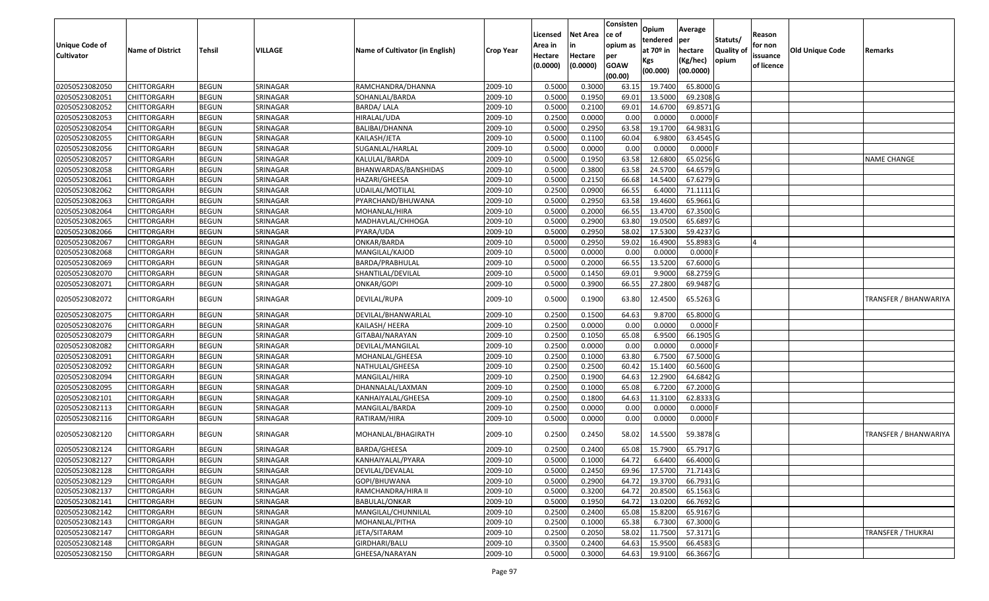| <b>Unique Code of</b><br><b>Cultivator</b> | <b>Name of District</b> | <b>Tehsil</b> | VILLAGE  | Name of Cultivator (in English) | <b>Crop Year</b> | Licensed<br>Area in<br>Hectare<br>(0.0000) | <b>Net Area</b><br>in<br>Hectare<br>(0.0000) | Consisten<br>ce of<br>opium as<br>per<br><b>GOAW</b><br>(00.00) | Opium<br>tendered<br>at $70°$ in<br>Kgs<br>(00.000) | Average<br>per<br>hectare<br>(Kg/hec)<br>(00.0000) | Statuts/<br>Quality of<br>opium | Reason<br>for non<br>issuance<br>of licence | <b>Old Unique Code</b> | Remarks                      |
|--------------------------------------------|-------------------------|---------------|----------|---------------------------------|------------------|--------------------------------------------|----------------------------------------------|-----------------------------------------------------------------|-----------------------------------------------------|----------------------------------------------------|---------------------------------|---------------------------------------------|------------------------|------------------------------|
| 02050523082050                             | <b>CHITTORGARH</b>      | <b>BEGUN</b>  | SRINAGAR | RAMCHANDRA/DHANNA               | 2009-10          | 0.5000                                     | 0.3000                                       | 63.15                                                           | 19.7400                                             | 65.8000 G                                          |                                 |                                             |                        |                              |
| 02050523082051                             | CHITTORGARH             | <b>BEGUN</b>  | SRINAGAR | SOHANLAL/BARDA                  | 2009-10          | 0.5000                                     | 0.1950                                       | 69.01                                                           | 13.5000                                             | 69.2308 G                                          |                                 |                                             |                        |                              |
| 02050523082052                             | CHITTORGARH             | <b>BEGUN</b>  | SRINAGAR | <b>BARDA/LALA</b>               | 2009-10          | 0.5000                                     | 0.2100                                       | 69.01                                                           | 14.6700                                             | 69.8571 G                                          |                                 |                                             |                        |                              |
| 02050523082053                             | <b>CHITTORGARH</b>      | <b>BEGUN</b>  | SRINAGAR | HIRALAL/UDA                     | 2009-10          | 0.2500                                     | 0.0000                                       | 0.00                                                            | 0.0000                                              | $0.0000$ F                                         |                                 |                                             |                        |                              |
| 02050523082054                             | <b>CHITTORGARH</b>      | <b>BEGUN</b>  | SRINAGAR | BALIBAI/DHANNA                  | 2009-10          | 0.5000                                     | 0.2950                                       | 63.58                                                           | 19.1700                                             | 64.9831 G                                          |                                 |                                             |                        |                              |
| 02050523082055                             | <b>CHITTORGARH</b>      | <b>BEGUN</b>  | SRINAGAR | KAILASH/JETA                    | 2009-10          | 0.5000                                     | 0.1100                                       | 60.04                                                           | 6.9800                                              | 63.4545 G                                          |                                 |                                             |                        |                              |
| 02050523082056                             | <b>CHITTORGARH</b>      | <b>BEGUN</b>  | SRINAGAR | SUGANLAL/HARLAL                 | 2009-10          | 0.5000                                     | 0.0000                                       | 0.00                                                            | 0.0000                                              | $0.0000$ F                                         |                                 |                                             |                        |                              |
| 02050523082057                             | CHITTORGARH             | <b>BEGUN</b>  | SRINAGAR | KALULAL/BARDA                   | 2009-10          | 0.5000                                     | 0.1950                                       | 63.58                                                           | 12.6800                                             | 65.0256 G                                          |                                 |                                             |                        | <b>NAME CHANGE</b>           |
| 02050523082058                             | CHITTORGARH             | <b>BEGUN</b>  | SRINAGAR | BHANWARDAS/BANSHIDAS            | 2009-10          | 0.5000                                     | 0.3800                                       | 63.58                                                           | 24.5700                                             | 64.6579 G                                          |                                 |                                             |                        |                              |
| 02050523082061                             | <b>CHITTORGARH</b>      | <b>BEGUN</b>  | SRINAGAR | HAZARI/GHEESA                   | 2009-10          | 0.5000                                     | 0.2150                                       | 66.68                                                           | 14.5400                                             | 67.6279 G                                          |                                 |                                             |                        |                              |
| 02050523082062                             | <b>CHITTORGARH</b>      | <b>BEGUN</b>  | SRINAGAR | UDAILAL/MOTILAL                 | 2009-10          | 0.2500                                     | 0.0900                                       | 66.55                                                           | 6.4000                                              | 71.1111G                                           |                                 |                                             |                        |                              |
| 02050523082063                             | <b>CHITTORGARH</b>      | <b>BEGUN</b>  | SRINAGAR | PYARCHAND/BHUWANA               | 2009-10          | 0.5000                                     | 0.2950                                       | 63.58                                                           | 19.4600                                             | 65.9661G                                           |                                 |                                             |                        |                              |
| 02050523082064                             | <b>CHITTORGARH</b>      | <b>BEGUN</b>  | SRINAGAR | MOHANLAL/HIRA                   | 2009-10          | 0.5000                                     | 0.2000                                       | 66.55                                                           | 13.4700                                             | 67.3500 G                                          |                                 |                                             |                        |                              |
| 02050523082065                             | CHITTORGARH             | <b>BEGUN</b>  | SRINAGAR | MADHAVLAL/CHHOGA                | 2009-10          | 0.5000                                     | 0.2900                                       | 63.80                                                           | 19.0500                                             | 65.6897 G                                          |                                 |                                             |                        |                              |
| 02050523082066                             | CHITTORGARH             | <b>BEGUN</b>  | SRINAGAR | PYARA/UDA                       | 2009-10          | 0.5000                                     | 0.2950                                       | 58.02                                                           | 17.5300                                             | 59.4237 G                                          |                                 |                                             |                        |                              |
| 02050523082067                             | CHITTORGARH             | <b>BEGUN</b>  | SRINAGAR | ONKAR/BARDA                     | 2009-10          | 0.5000                                     | 0.2950                                       | 59.02                                                           | 16.4900                                             | 55.8983 G                                          |                                 |                                             |                        |                              |
| 02050523082068                             | CHITTORGARH             | <b>BEGUN</b>  | SRINAGAR | MANGILAL/KAJOD                  | 2009-10          | 0.5000                                     | 0.0000                                       | 0.00                                                            | 0.0000                                              | 0.0000                                             |                                 |                                             |                        |                              |
| 02050523082069                             | CHITTORGARH             | <b>BEGUN</b>  | SRINAGAR | BARDA/PRABHULAL                 | 2009-10          | 0.500                                      | 0.2000                                       | 66.55                                                           | 13.5200                                             | 67.6000 G                                          |                                 |                                             |                        |                              |
| 02050523082070                             | CHITTORGARH             | <b>BEGUN</b>  | SRINAGAR | SHANTILAL/DEVILAL               | 2009-10          | 0.5000                                     | 0.1450                                       | 69.01                                                           | 9.9000                                              | 68.2759 G                                          |                                 |                                             |                        |                              |
| 02050523082071                             | CHITTORGARH             | <b>BEGUN</b>  | SRINAGAR | ONKAR/GOPI                      | 2009-10          | 0.5000                                     | 0.3900                                       | 66.55                                                           | 27.2800                                             | 69.9487 G                                          |                                 |                                             |                        |                              |
| 02050523082072                             | CHITTORGARH             | <b>BEGUN</b>  | SRINAGAR | DEVILAL/RUPA                    | 2009-10          | 0.5000                                     | 0.1900                                       | 63.80                                                           | 12.4500                                             | 65.5263 G                                          |                                 |                                             |                        | <b>TRANSFER / BHANWARIYA</b> |
| 02050523082075                             | CHITTORGARH             | <b>BEGUN</b>  | SRINAGAR | DEVILAL/BHANWARLAL              | 2009-10          | 0.250                                      | 0.1500                                       | 64.63                                                           | 9.8700                                              | 65.8000 G                                          |                                 |                                             |                        |                              |
| 02050523082076                             | CHITTORGARH             | <b>BEGUN</b>  | SRINAGAR | KAILASH/ HEERA                  | 2009-10          | 0.2500                                     | 0.0000                                       | 0.00                                                            | 0.0000                                              | 0.0000F                                            |                                 |                                             |                        |                              |
| 02050523082079                             | CHITTORGARH             | <b>BEGUN</b>  | SRINAGAR | GITABAI/NARAYAN                 | 2009-10          | 0.2500                                     | 0.1050                                       | 65.08                                                           | 6.9500                                              | 66.1905 G                                          |                                 |                                             |                        |                              |
| 02050523082082                             | <b>CHITTORGARH</b>      | <b>BEGUN</b>  | SRINAGAR | DEVILAL/MANGILAL                | 2009-10          | 0.2500                                     | 0.0000                                       | 0.00                                                            | 0.0000                                              | 0.0000                                             |                                 |                                             |                        |                              |
| 02050523082091                             | <b>CHITTORGARH</b>      | <b>BEGUN</b>  | SRINAGAR | MOHANLAL/GHEESA                 | 2009-10          | 0.2500                                     | 0.1000                                       | 63.80                                                           | 6.7500                                              | 67.5000 G                                          |                                 |                                             |                        |                              |
| 02050523082092                             | <b>CHITTORGARH</b>      | <b>BEGUN</b>  | SRINAGAR | NATHULAL/GHEESA                 | 2009-10          | 0.2500                                     | 0.2500                                       | 60.42                                                           | 15.1400                                             | 60.5600 G                                          |                                 |                                             |                        |                              |
| 02050523082094                             | CHITTORGARH             | <b>BEGUN</b>  | SRINAGAR | MANGILAL/HIRA                   | 2009-10          | 0.2500                                     | 0.1900                                       | 64.63                                                           | 12.2900                                             | 64.6842 G                                          |                                 |                                             |                        |                              |
| 02050523082095                             | <b>CHITTORGARH</b>      | <b>BEGUN</b>  | SRINAGAR | DHANNALAL/LAXMAN                | 2009-10          | 0.2500                                     | 0.1000                                       | 65.08                                                           | 6.7200                                              | 67.2000 G                                          |                                 |                                             |                        |                              |
| 02050523082101                             | <b>CHITTORGARH</b>      | <b>BEGUN</b>  | SRINAGAR | KANHAIYALAL/GHEESA              | 2009-10          | 0.2500                                     | 0.1800                                       | 64.63                                                           | 11.3100                                             | 62.8333 G                                          |                                 |                                             |                        |                              |
| 02050523082113                             | <b>CHITTORGARH</b>      | <b>BEGUN</b>  | SRINAGAR | MANGILAL/BARDA                  | 2009-10          | 0.2500                                     | 0.0000                                       | 0.00                                                            | 0.0000                                              | 0.0000 F                                           |                                 |                                             |                        |                              |
| 02050523082116                             | CHITTORGARH             | <b>BEGUN</b>  | SRINAGAR | RATIRAM/HIRA                    | 2009-10          | 0.500                                      | 0.0000                                       | 0.00                                                            | 0.0000                                              | 0.0000                                             |                                 |                                             |                        |                              |
| 02050523082120                             | CHITTORGARH             | <b>BEGUN</b>  | SRINAGAR | MOHANLAL/BHAGIRATH              | 2009-10          | 0.2500                                     | 0.2450                                       | 58.02                                                           | 14.5500                                             | 59.3878 G                                          |                                 |                                             |                        | TRANSFER / BHANWARIYA        |
| 02050523082124                             | CHITTORGARH             | <b>BEGUN</b>  | SRINAGAR | BARDA/GHEESA                    | 2009-10          | 0.2500                                     | 0.2400                                       | 65.08                                                           | 15.7900                                             | 65.7917 G                                          |                                 |                                             |                        |                              |
| 02050523082127                             | CHITTORGARH             | <b>BEGUN</b>  | SRINAGAR | KANHAIYALAL/PYARA               | 2009-10          | 0.5000                                     | 0.1000                                       | 64.72                                                           | 6.6400                                              | 66.4000 G                                          |                                 |                                             |                        |                              |
| 02050523082128                             | <b>CHITTORGARH</b>      | <b>BEGUN</b>  | SRINAGAR | DEVILAL/DEVALAL                 | 2009-10          | 0.5000                                     | 0.2450                                       | 69.96                                                           | 17.5700                                             | 71.7143 G                                          |                                 |                                             |                        |                              |
| 02050523082129                             | <b>CHITTORGARH</b>      | <b>BEGUN</b>  | SRINAGAR | GOPI/BHUWANA                    | 2009-10          | 0.5000                                     | 0.2900                                       | 64.72                                                           | 19.3700                                             | 66.7931 G                                          |                                 |                                             |                        |                              |
| 02050523082137                             | <b>CHITTORGARH</b>      | <b>BEGUN</b>  | SRINAGAR | RAMCHANDRA/HIRA II              | 2009-10          | 0.5000                                     | 0.3200                                       | 64.72                                                           | 20.8500                                             | 65.1563 G                                          |                                 |                                             |                        |                              |
| 02050523082141                             | CHITTORGARH             | <b>BEGUN</b>  | SRINAGAR | BABULAL/ONKAR                   | 2009-10          | 0.5000                                     | 0.1950                                       | 64.72                                                           | 13.0200                                             | 66.7692 G                                          |                                 |                                             |                        |                              |
| 02050523082142                             | <b>CHITTORGARH</b>      | <b>BEGUN</b>  | SRINAGAR | MANGILAL/CHUNNILAL              | 2009-10          | 0.2500                                     | 0.2400                                       | 65.08                                                           | 15.8200                                             | 65.9167 G                                          |                                 |                                             |                        |                              |
| 02050523082143                             | <b>CHITTORGARH</b>      | <b>BEGUN</b>  | SRINAGAR | MOHANLAL/PITHA                  | 2009-10          | 0.2500                                     | 0.1000                                       | 65.38                                                           | 6.7300                                              | 67.3000 G                                          |                                 |                                             |                        |                              |
| 02050523082147                             | CHITTORGARH             | <b>BEGUN</b>  | SRINAGAR | JETA/SITARAM                    | 2009-10          | 0.2500                                     | 0.2050                                       | 58.02                                                           | 11.7500                                             | 57.3171 G                                          |                                 |                                             |                        | <b>TRANSFER / THUKRAI</b>    |
| 02050523082148                             | CHITTORGARH             | <b>BEGUN</b>  | SRINAGAR | GIRDHARI/BALU                   | 2009-10          | 0.3500                                     | 0.2400                                       | 64.63                                                           | 15.9500                                             | 66.4583 G                                          |                                 |                                             |                        |                              |
| 02050523082150                             | <b>CHITTORGARH</b>      | <b>BEGUN</b>  | SRINAGAR | GHEESA/NARAYAN                  | 2009-10          | 0.5000                                     | 0.3000                                       | 64.63                                                           | 19.9100                                             | 66.3667 G                                          |                                 |                                             |                        |                              |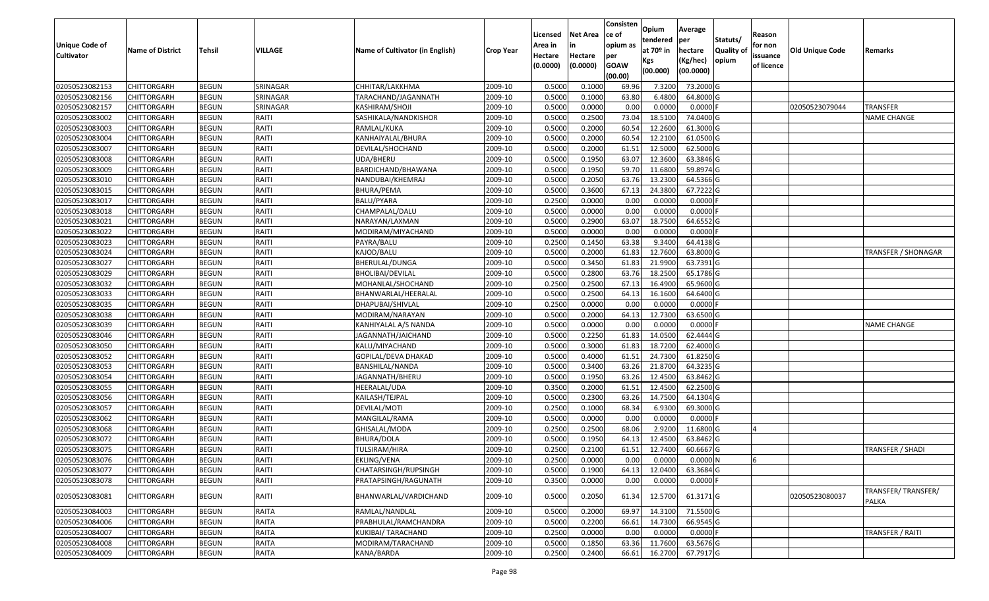| Unique Code of    |                         |               |              |                                 |                  | Licensed<br>Area in | <b>Net Area</b>     | Consisten<br>lce of<br>opium as | Opium<br>tendered              | Average<br>per                   | Statuts/                  | Reason<br>for non      |                        |                             |
|-------------------|-------------------------|---------------|--------------|---------------------------------|------------------|---------------------|---------------------|---------------------------------|--------------------------------|----------------------------------|---------------------------|------------------------|------------------------|-----------------------------|
| <b>Cultivator</b> | <b>Name of District</b> | <b>Tehsil</b> | VILLAGE      | Name of Cultivator (in English) | <b>Crop Year</b> | Hectare<br>(0.0000) | Hectare<br>(0.0000) | per<br><b>GOAW</b><br>(00.00)   | at $70°$ in<br>Kgs<br>(00.000) | hectare<br>(Kg/hec)<br>(00.0000) | <b>Quality o</b><br>opium | issuance<br>of licence | <b>Old Unique Code</b> | Remarks                     |
| 02050523082153    | CHITTORGARH             | <b>BEGUN</b>  | SRINAGAR     | CHHITAR/LAKKHMA                 | 2009-10          | 0.5000              | 0.1000              | 69.96                           | 7.3200                         | 73.2000 G                        |                           |                        |                        |                             |
| 02050523082156    | CHITTORGARH             | <b>BEGUN</b>  | SRINAGAR     | TARACHAND/JAGANNATH             | 2009-10          | 0.5000              | 0.1000              | 63.80                           | 6.4800                         | 64.8000 G                        |                           |                        |                        |                             |
| 02050523082157    | CHITTORGARH             | <b>BEGUN</b>  | SRINAGAR     | KASHIRAM/SHOJI                  | 2009-10          | 0.5000              | 0.0000              | 0.00                            | 0.0000                         | 0.0000                           |                           |                        | 02050523079044         | <b>TRANSFER</b>             |
| 02050523083002    | CHITTORGARH             | <b>BEGUN</b>  | RAITI        | SASHIKALA/NANDKISHOR            | 2009-10          | 0.5000              | 0.2500              | 73.04                           | 18.5100                        | 74.0400 G                        |                           |                        |                        | <b>NAME CHANGE</b>          |
| 02050523083003    | CHITTORGARH             | <b>BEGUN</b>  | RAITI        | RAMLAL/KUKA                     | 2009-10          | 0.5000              | 0.2000              | 60.54                           | 12.2600                        | 61.3000G                         |                           |                        |                        |                             |
| 02050523083004    | CHITTORGARH             | <b>BEGUN</b>  | RAITI        | KANHAIYALAL/BHURA               | 2009-10          | 0.5000              | 0.2000              | 60.54                           | 12.2100                        | 61.0500G                         |                           |                        |                        |                             |
| 02050523083007    | CHITTORGARH             | <b>BEGUN</b>  | RAITI        | DEVILAL/SHOCHAND                | 2009-10          | 0.5000              | 0.2000              | 61.5                            | 12.5000                        | 62.5000G                         |                           |                        |                        |                             |
| 02050523083008    | CHITTORGARH             | <b>BEGUN</b>  | RAITI        | UDA/BHERU                       | 2009-10          | 0.5000              | 0.1950              | 63.07                           | 12.3600                        | 63.3846 G                        |                           |                        |                        |                             |
| 02050523083009    | CHITTORGARH             | <b>BEGUN</b>  | RAITI        | BARDICHAND/BHAWANA              | 2009-10          | 0.5000              | 0.1950              | 59.70                           | 11.6800                        | 59.8974 G                        |                           |                        |                        |                             |
| 02050523083010    | CHITTORGARH             | <b>BEGUN</b>  | RAITI        | NANDUBAI/KHEMRAJ                | 2009-10          | 0.5000              | 0.2050              | 63.76                           | 13.2300                        | 64.5366 G                        |                           |                        |                        |                             |
| 02050523083015    | CHITTORGARH             | <b>BEGUN</b>  | RAITI        | BHURA/PEMA                      | 2009-10          | 0.5000              | 0.3600              | 67.13                           | 24.3800                        | 67.7222 G                        |                           |                        |                        |                             |
| 02050523083017    | <b>CHITTORGARH</b>      | <b>BEGUN</b>  | RAITI        | BALU/PYARA                      | 2009-10          | 0.2500              | 0.0000              | 0.00                            | 0.0000                         | $0.0000$ F                       |                           |                        |                        |                             |
| 02050523083018    | <b>CHITTORGARH</b>      | <b>BEGUN</b>  | RAITI        | CHAMPALAL/DALU                  | 2009-10          | 0.5000              | 0.0000              | 0.00                            | 0.0000                         | $0.0000$ F                       |                           |                        |                        |                             |
| 02050523083021    | <b>CHITTORGARH</b>      | <b>BEGUN</b>  | RAITI        | NARAYAN/LAXMAN                  | 2009-10          | 0.5000              | 0.2900              | 63.07                           | 18.7500                        | 64.6552 G                        |                           |                        |                        |                             |
| 02050523083022    | <b>CHITTORGARH</b>      | <b>BEGUN</b>  | RAITI        | MODIRAM/MIYACHAND               | 2009-10          | 0.5000              | 0.0000              | 0.00                            | 0.0000                         | $0.0000$ F                       |                           |                        |                        |                             |
| 02050523083023    | CHITTORGARH             | <b>BEGUN</b>  | RAITI        | PAYRA/BALU                      | 2009-10          | 0.2500              | 0.1450              | 63.38                           | 9.3400                         | 64.4138 G                        |                           |                        |                        |                             |
| 02050523083024    | CHITTORGARH             | <b>BEGUN</b>  | RAITI        | KAJOD/BALU                      | 2009-10          | 0.5000              | 0.2000              | 61.83                           | 12.7600                        | 63.8000 G                        |                           |                        |                        | <b>TRANSFER / SHONAGAR</b>  |
| 02050523083027    | CHITTORGARH             | <b>BEGUN</b>  | RAITI        | BHERULAL/DUNGA                  | 2009-10          | 0.500               | 0.3450              | 61.83                           | 21.9900                        | 63.7391 G                        |                           |                        |                        |                             |
| 02050523083029    | CHITTORGARH             | <b>BEGUN</b>  | RAITI        | BHOLIBAI/DEVILAL                | 2009-10          | 0.5000              | 0.2800              | 63.76                           | 18.2500                        | 65.1786 G                        |                           |                        |                        |                             |
| 02050523083032    | CHITTORGARH             | <b>BEGUN</b>  | RAITI        | MOHANLAL/SHOCHAND               | 2009-10          | 0.2500              | 0.2500              | 67.13                           | 16.4900                        | 65.9600 G                        |                           |                        |                        |                             |
| 02050523083033    | CHITTORGARH             | <b>BEGUN</b>  | RAITI        | BHANWARLAL/HEERALAL             | 2009-10          | 0.5000              | 0.2500              | 64.13                           | 16.1600                        | 64.6400 G                        |                           |                        |                        |                             |
| 02050523083035    | CHITTORGARH             | <b>BEGUN</b>  | RAITI        | DHAPUBAI/SHIVLAL                | 2009-10          | 0.2500              | 0.0000              | 0.00                            | 0.000                          | 0.0000                           |                           |                        |                        |                             |
| 02050523083038    | CHITTORGARH             | <b>BEGUN</b>  | RAITI        | MODIRAM/NARAYAN                 | 2009-10          | 0.5000              | 0.2000              | 64.13                           | 12.7300                        | 63.6500 G                        |                           |                        |                        |                             |
| 02050523083039    | CHITTORGARH             | <b>BEGUN</b>  | RAITI        | KANHIYALAL A/S NANDA            | 2009-10          | 0.5000              | 0.0000              | 0.00                            | 0.0000                         | 0.0000                           |                           |                        |                        | <b>NAME CHANGE</b>          |
| 02050523083046    | CHITTORGARH             | <b>BEGUN</b>  | RAITI        | JAGANNATH/JAICHAND              | 2009-10          | 0.5000              | 0.2250              | 61.83                           | 14.0500                        | 62.4444 G                        |                           |                        |                        |                             |
| 02050523083050    | CHITTORGARH             | <b>BEGUN</b>  | RAITI        | KALU/MIYACHAND                  | 2009-10          | 0.5000              | 0.3000              | 61.83                           | 18.7200                        | 62.4000 G                        |                           |                        |                        |                             |
| 02050523083052    | CHITTORGARH             | <b>BEGUN</b>  | RAITI        | GOPILAL/DEVA DHAKAD             | 2009-10          | 0.5000              | 0.4000              | 61.51                           | 24.7300                        | 61.8250 G                        |                           |                        |                        |                             |
| 02050523083053    | CHITTORGARH             | <b>BEGUN</b>  | RAITI        | BANSHILAL/NANDA                 | 2009-10          | 0.5000              | 0.3400              | 63.26                           | 21.8700                        | 64.3235 G                        |                           |                        |                        |                             |
| 02050523083054    | CHITTORGARH             | <b>BEGUN</b>  | RAITI        | JAGANNATH/BHERU                 | 2009-10          | 0.5000              | 0.1950              | 63.26                           | 12.4500                        | 63.8462 G                        |                           |                        |                        |                             |
| 02050523083055    | CHITTORGARH             | <b>BEGUN</b>  | RAITI        | HEERALAL/UDA                    | 2009-10          | 0.3500              | 0.2000              | 61.5                            | 12.4500                        | 62.2500 G                        |                           |                        |                        |                             |
| 02050523083056    | CHITTORGARH             | <b>BEGUN</b>  | RAITI        | KAILASH/TEJPAL                  | 2009-10          | 0.5000              | 0.2300              | 63.26                           | 14.7500                        | 64.1304 G                        |                           |                        |                        |                             |
| 02050523083057    | CHITTORGARH             | <b>BEGUN</b>  | RAITI        | DEVILAL/MOTI                    | 2009-10          | 0.2500              | 0.1000              | 68.34                           | 6.9300                         | 69.3000 G                        |                           |                        |                        |                             |
| 02050523083062    | CHITTORGARH             | <b>BEGUN</b>  | RAITI        | MANGILAL/RAMA                   | 2009-10          | 0.5000              | 0.0000              | 0.00                            | 0.0000                         | $0.0000$ F                       |                           |                        |                        |                             |
| 02050523083068    | CHITTORGARH             | <b>BEGUN</b>  | RAITI        | GHISALAL/MODA                   | 2009-10          | 0.2500              | 0.2500              | 68.06                           | 2.9200                         | 11.6800 G                        |                           |                        |                        |                             |
| 02050523083072    | CHITTORGARH             | <b>BEGUN</b>  | RAITI        | BHURA/DOLA                      | 2009-10          | 0.500               | 0.1950              | 64.13                           | 12.4500                        | 63.8462 G                        |                           |                        |                        |                             |
| 02050523083075    | CHITTORGARH             | <b>BEGUN</b>  | RAITI        | TULSIRAM/HIRA                   | 2009-10          | 0.2500              | 0.2100              | 61.5                            | 12.7400                        | 60.6667 G                        |                           |                        |                        | TRANSFER / SHADI            |
| 02050523083076    | <b>CHITTORGARH</b>      | <b>BEGUN</b>  | RAITI        | EKLING/VENA                     | 2009-10          | 0.2500              | 0.0000              | 0.00                            | 0.0000                         | 0.0000N                          |                           | l,                     |                        |                             |
| 02050523083077    | <b>CHITTORGARH</b>      | <b>BEGUN</b>  | RAITI        | CHATARSINGH/RUPSINGH            | 2009-10          | 0.5000              | 0.1900              | 64.13                           | 12.0400                        | 63.3684 G                        |                           |                        |                        |                             |
| 02050523083078    | CHITTORGARH             | <b>BEGUN</b>  | RAITI        | PRATAPSINGH/RAGUNATH            | 2009-10          | 0.3500              | 0.0000              | 0.00                            | 0.0000                         | $0.0000$ F                       |                           |                        |                        |                             |
| 02050523083081    | CHITTORGARH             | <b>BEGUN</b>  | RAITI        | BHANWARLAL/VARDICHAND           | 2009-10          | 0.5000              | 0.2050              | 61.34                           | 12.5700                        | 61.3171 G                        |                           |                        | 02050523080037         | TRANSFER/TRANSFER/<br>PALKA |
| 02050523084003    | <b>CHITTORGARH</b>      | <b>BEGUN</b>  | <b>RAITA</b> | RAMLAL/NANDLAL                  | 2009-10          | 0.5000              | 0.2000              | 69.97                           | 14.3100                        | 71.5500 G                        |                           |                        |                        |                             |
| 02050523084006    | <b>CHITTORGARH</b>      | <b>BEGUN</b>  | RAITA        | PRABHULAL/RAMCHANDRA            | 2009-10          | 0.5000              | 0.2200              | 66.61                           | 14.7300                        | 66.9545 G                        |                           |                        |                        |                             |
| 02050523084007    | CHITTORGARH             | <b>BEGUN</b>  | <b>RAITA</b> | KUKIBAI/ TARACHAND              | 2009-10          | 0.2500              | 0.0000              | 0.00                            | 0.0000                         | $0.0000$ F                       |                           |                        |                        | TRANSFER / RAITI            |
| 02050523084008    | CHITTORGARH             | <b>BEGUN</b>  | <b>RAITA</b> | MODIRAM/TARACHAND               | 2009-10          | 0.5000              | 0.1850              | 63.36                           | 11.7600                        | 63.5676 G                        |                           |                        |                        |                             |
| 02050523084009    | <b>CHITTORGARH</b>      | <b>BEGUN</b>  | RAITA        | KANA/BARDA                      | 2009-10          | 0.2500              | 0.2400              | 66.61                           | 16.2700                        | 67.7917 G                        |                           |                        |                        |                             |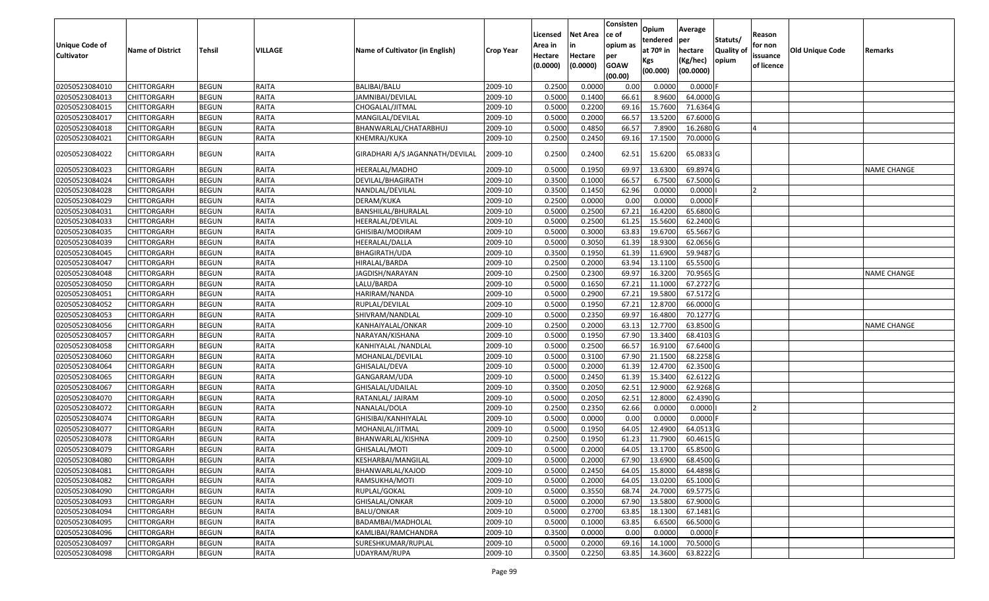| <b>Unique Code of</b><br><b>Cultivator</b> | <b>Name of District</b> | <b>Tehsil</b> | VILLAGE      | Name of Cultivator (in English) | <b>Crop Year</b> | Licensed<br>Area in<br>Hectare<br>(0.0000) | Net Area<br>Hectare<br>(0.0000) | Consisten<br>ce of<br>opium as<br>per<br><b>GOAW</b> | Opium<br>tendered<br>at 70º in<br>Kgs<br>(00.000) | Average<br>per<br>hectare<br>(Kg/hec)<br>(00.0000) | Statuts/<br><b>Quality of</b><br>opium | Reason<br>for non<br>issuance<br>of licence | <b>Old Unique Code</b> | Remarks            |
|--------------------------------------------|-------------------------|---------------|--------------|---------------------------------|------------------|--------------------------------------------|---------------------------------|------------------------------------------------------|---------------------------------------------------|----------------------------------------------------|----------------------------------------|---------------------------------------------|------------------------|--------------------|
|                                            |                         |               |              |                                 |                  |                                            |                                 | (00.00)                                              |                                                   |                                                    |                                        |                                             |                        |                    |
| 02050523084010                             | CHITTORGARH             | <b>BEGUN</b>  | RAITA        | <b>BALIBAI/BALU</b>             | 2009-10          | 0.2500                                     | 0.0000                          | 0.00                                                 | 0.0000                                            | $0.0000$ F                                         |                                        |                                             |                        |                    |
| 02050523084013                             | CHITTORGARH             | <b>BEGUN</b>  | RAITA        | JAMNIBAI/DEVILAL                | 2009-10          | 0.5000                                     | 0.1400                          | 66.61                                                | 8.9600                                            | 64.0000 G                                          |                                        |                                             |                        |                    |
| 02050523084015                             | CHITTORGARH             | <b>BEGUN</b>  | RAITA        | CHOGALAL/JITMAL                 | 2009-10          | 0.5000                                     | 0.2200                          | 69.16                                                | 15.7600                                           | 71.6364 G                                          |                                        |                                             |                        |                    |
| 02050523084017                             | CHITTORGARH             | <b>BEGUN</b>  | RAITA        | MANGILAL/DEVILAL                | 2009-10          | 0.5000                                     | 0.2000                          | 66.57                                                | 13.5200                                           | 67.6000 G                                          |                                        |                                             |                        |                    |
| 02050523084018                             | CHITTORGARH             | <b>BEGUN</b>  | RAITA        | BHANWARLAL/CHATARBHUJ           | 2009-10          | 0.5000                                     | 0.4850                          | 66.57                                                | 7.8900                                            | 16.2680 G                                          |                                        |                                             |                        |                    |
| 02050523084021                             | CHITTORGARH             | <b>BEGUN</b>  | RAITA        | KHEMRAJ/KUKA                    | 2009-10          | 0.2500                                     | 0.2450                          | 69.16                                                | 17.1500                                           | 70.0000 G                                          |                                        |                                             |                        |                    |
| 02050523084022                             | CHITTORGARH             | <b>BEGUN</b>  | RAITA        | GIRADHARI A/S JAGANNATH/DEVILAL | 2009-10          | 0.2500                                     | 0.2400                          | 62.51                                                | 15.6200                                           | 65.0833 G                                          |                                        |                                             |                        |                    |
| 02050523084023                             | CHITTORGARH             | <b>BEGUN</b>  | RAITA        | HEERALAL/MADHO                  | 2009-10          | 0.5000                                     | 0.1950                          | 69.97                                                | 13.6300                                           | 69.8974 G                                          |                                        |                                             |                        | <b>NAME CHANGE</b> |
| 02050523084024                             | CHITTORGARH             | <b>BEGUN</b>  | RAITA        | DEVILAL/BHAGIRATH               | 2009-10          | 0.3500                                     | 0.1000                          | 66.57                                                | 6.7500                                            | 67.5000 G                                          |                                        |                                             |                        |                    |
| 02050523084028                             | CHITTORGARH             | <b>BEGUN</b>  | RAITA        | NANDLAL/DEVILAL                 | 2009-10          | 0.3500                                     | 0.1450                          | 62.96                                                | 0.0000                                            | 0.0000                                             |                                        |                                             |                        |                    |
| 02050523084029                             | CHITTORGARH             | <b>BEGUN</b>  | RAITA        | DERAM/KUKA                      | 2009-10          | 0.2500                                     | 0.0000                          | 0.00                                                 | 0.0000                                            | $0.0000$ F                                         |                                        |                                             |                        |                    |
| 02050523084031                             | <b>CHITTORGARH</b>      | <b>BEGUN</b>  | RAITA        | BANSHILAL/BHURALAL              | 2009-10          | 0.5000                                     | 0.2500                          | 67.21                                                | 16.4200                                           | 65.6800 G                                          |                                        |                                             |                        |                    |
| 02050523084033                             | CHITTORGARH             | <b>BEGUN</b>  | RAITA        | HEERALAL/DEVILAL                | 2009-10          | 0.5000                                     | 0.2500                          | 61.25                                                | 15.5600                                           | 62.2400 G                                          |                                        |                                             |                        |                    |
| 02050523084035                             | CHITTORGARH             | <b>BEGUN</b>  | RAITA        | GHISIBAI/MODIRAM                | 2009-10          | 0.5000                                     | 0.3000                          | 63.83                                                | 19.6700                                           | 65.5667 G                                          |                                        |                                             |                        |                    |
| 02050523084039                             | CHITTORGARH             | <b>BEGUN</b>  | RAITA        | HEERALAL/DALLA                  | 2009-10          | 0.5000                                     | 0.3050                          | 61.39                                                | 18.9300                                           | 62.0656 G                                          |                                        |                                             |                        |                    |
| 02050523084045                             | CHITTORGARH             | <b>BEGUN</b>  | RAITA        | <b>BHAGIRATH/UDA</b>            | 2009-10          | 0.3500                                     | 0.1950                          | 61.39                                                | 11.6900                                           | 59.9487 G                                          |                                        |                                             |                        |                    |
| 02050523084047                             | CHITTORGARH             | <b>BEGUN</b>  | RAITA        | HIRALAL/BARDA                   | 2009-10          | 0.2500                                     | 0.2000                          | 63.94                                                | 13.1100                                           | 65.5500 G                                          |                                        |                                             |                        |                    |
| 02050523084048                             | CHITTORGARH             | <b>BEGUN</b>  | RAITA        | JAGDISH/NARAYAN                 | 2009-10          | 0.2500                                     | 0.2300                          | 69.97                                                | 16.3200                                           | 70.9565 G                                          |                                        |                                             |                        | <b>NAME CHANGE</b> |
| 02050523084050                             | CHITTORGARH             | <b>BEGUN</b>  | RAITA        | LALU/BARDA                      | 2009-10          | 0.5000                                     | 0.1650                          | 67.21                                                | 11.1000                                           | 67.2727 G                                          |                                        |                                             |                        |                    |
| 02050523084051                             | CHITTORGARH             | <b>BEGUN</b>  | RAITA        | HARIRAM/NANDA                   | 2009-10          | 0.5000                                     | 0.2900                          | 67.21                                                | 19.5800                                           | 67.5172 G                                          |                                        |                                             |                        |                    |
| 02050523084052                             | CHITTORGARH             | <b>BEGUN</b>  | RAITA        | RUPLAL/DEVILAL                  | 2009-10          | 0.5000                                     | 0.1950                          | 67.21                                                | 12.8700                                           | 66.0000 G                                          |                                        |                                             |                        |                    |
| 02050523084053                             | CHITTORGARH             | <b>BEGUN</b>  | RAITA        | SHIVRAM/NANDLAL                 | 2009-10          | 0.5000                                     | 0.2350                          | 69.97                                                | 16.4800                                           | 70.1277 G                                          |                                        |                                             |                        |                    |
| 02050523084056                             | CHITTORGARH             | <b>BEGUN</b>  | RAITA        | KANHAIYALAL/ONKAR               | 2009-10          | 0.2500                                     | 0.2000                          | 63.13                                                | 12.7700                                           | 63.8500 G                                          |                                        |                                             |                        | NAME CHANGE        |
| 02050523084057                             | CHITTORGARH             | <b>BEGUN</b>  | RAITA        | NARAYAN/KISHANA                 | 2009-10          | 0.5000                                     | 0.1950                          | 67.90                                                | 13.3400                                           | 68.4103 G                                          |                                        |                                             |                        |                    |
| 02050523084058                             | CHITTORGARH             | <b>BEGUN</b>  | RAITA        | KANHIYALAL /NANDLAL             | 2009-10          | 0.5000                                     | 0.2500                          | 66.57                                                | 16.9100                                           | 67.6400 G                                          |                                        |                                             |                        |                    |
| 02050523084060                             | CHITTORGARH             | <b>BEGUN</b>  | RAITA        | MOHANLAL/DEVILAL                | 2009-10          | 0.5000                                     | 0.3100                          | 67.90                                                | 21.1500                                           | 68.2258 G                                          |                                        |                                             |                        |                    |
| 02050523084064                             | CHITTORGARH             | <b>BEGUN</b>  | RAITA        | GHISALAL/DEVA                   | 2009-10          | 0.5000                                     | 0.2000                          | 61.39                                                | 12.4700                                           | 62.3500 G                                          |                                        |                                             |                        |                    |
| 02050523084065                             | <b>CHITTORGARH</b>      | <b>BEGUN</b>  | RAITA        | GANGARAM/UDA                    | 2009-10          | 0.5000                                     | 0.2450                          | 61.39                                                | 15.3400                                           | 62.6122 G                                          |                                        |                                             |                        |                    |
| 02050523084067                             | CHITTORGARH             | <b>BEGUN</b>  | RAITA        | GHISALAL/UDAILAL                | 2009-10          | 0.3500                                     | 0.2050                          | 62.51                                                | 12.9000                                           | 62.9268 G                                          |                                        |                                             |                        |                    |
| 02050523084070                             | CHITTORGARH             | <b>BEGUN</b>  | RAITA        | RATANLAL/ JAIRAM                | 2009-10          | 0.5000                                     | 0.2050                          | 62.51                                                | 12.8000                                           | 62.4390 G                                          |                                        |                                             |                        |                    |
| 02050523084072                             | CHITTORGARH             | <b>BEGUN</b>  | RAITA        | NANALAL/DOLA                    | 2009-10          | 0.2500                                     | 0.2350                          | 62.66                                                | 0.0000                                            | 0.0000                                             |                                        |                                             |                        |                    |
| 02050523084074                             | CHITTORGARH             | <b>BEGUN</b>  | RAITA        | GHISIBAI/KANHIYALAL             | 2009-10          | 0.5000                                     | 0.0000                          | 0.00                                                 | 0.0000                                            | $0.0000$ F                                         |                                        |                                             |                        |                    |
| 02050523084077                             | <b>CHITTORGARH</b>      | <b>BEGUN</b>  | RAITA        | MOHANLAL/JITMAL                 | 2009-10          | 0.5000                                     | 0.1950                          | 64.05                                                | 12.4900                                           | 64.0513 G                                          |                                        |                                             |                        |                    |
| 02050523084078                             | CHITTORGARH             | <b>BEGUN</b>  | RAITA        | BHANWARLAL/KISHNA               | 2009-10          | 0.2500                                     | 0.1950                          | 61.23                                                | 11.7900                                           | 60.4615 G                                          |                                        |                                             |                        |                    |
| 02050523084079                             | CHITTORGARH             | <b>BEGUN</b>  | RAITA        | GHISALAL/MOTI                   | 2009-10          | 0.5000                                     | 0.2000                          | 64.05                                                | 13.1700                                           | 65.8500 G                                          |                                        |                                             |                        |                    |
| 02050523084080                             | <b>CHITTORGARH</b>      | <b>BEGUN</b>  | <b>RAITA</b> | KESHARBAI/MANGILAL              | 2009-10          | 0.5000                                     | 0.2000                          | 67.90                                                | 13.6900                                           | 68.4500 G                                          |                                        |                                             |                        |                    |
| 02050523084081                             | <b>CHITTORGARH</b>      | <b>BEGUN</b>  | RAITA        | BHANWARLAL/KAJOD                | 2009-10          | 0.5000                                     | 0.2450                          | 64.05                                                | 15.8000                                           | 64.4898 G                                          |                                        |                                             |                        |                    |
| 02050523084082                             | <b>CHITTORGARH</b>      | <b>BEGUN</b>  | RAITA        | RAMSUKHA/MOTI                   | 2009-10          | 0.5000                                     | 0.2000                          | 64.05                                                | 13.0200                                           | 65.1000 G                                          |                                        |                                             |                        |                    |
| 02050523084090                             | <b>CHITTORGARH</b>      | <b>BEGUN</b>  | <b>RAITA</b> | RUPLAL/GOKAL                    | 2009-10          | 0.5000                                     | 0.3550                          | 68.74                                                | 24.7000                                           | 69.5775 G                                          |                                        |                                             |                        |                    |
| 02050523084093                             | <b>CHITTORGARH</b>      | <b>BEGUN</b>  | RAITA        | GHISALAL/ONKAR                  | 2009-10          | 0.5000                                     | 0.2000                          | 67.90                                                | 13.5800                                           | 67.9000 G                                          |                                        |                                             |                        |                    |
| 02050523084094                             | <b>CHITTORGARH</b>      | <b>BEGUN</b>  | <b>RAITA</b> | <b>BALU/ONKAR</b>               | 2009-10          | 0.5000                                     | 0.2700                          | 63.85                                                | 18.1300                                           | 67.1481 G                                          |                                        |                                             |                        |                    |
| 02050523084095                             | <b>CHITTORGARH</b>      | <b>BEGUN</b>  | RAITA        | BADAMBAI/MADHOLAL               | 2009-10          | 0.5000                                     | 0.1000                          | 63.85                                                | 6.6500                                            | 66.5000 G                                          |                                        |                                             |                        |                    |
| 02050523084096                             | <b>CHITTORGARH</b>      | <b>BEGUN</b>  | RAITA        | KAMLIBAI/RAMCHANDRA             | 2009-10          | 0.3500                                     | 0.0000                          | 0.00                                                 | 0.0000                                            | $0.0000$ F                                         |                                        |                                             |                        |                    |
| 02050523084097                             | <b>CHITTORGARH</b>      | <b>BEGUN</b>  | RAITA        | SURESHKUMAR/RUPLAL              | 2009-10          | 0.5000                                     | 0.2000                          | 69.16                                                | 14.1000                                           | 70.5000 G                                          |                                        |                                             |                        |                    |
| 02050523084098                             | <b>CHITTORGARH</b>      | <b>BEGUN</b>  | RAITA        | UDAYRAM/RUPA                    | 2009-10          | 0.3500                                     | 0.2250                          | 63.85                                                | 14.3600                                           | 63.8222 G                                          |                                        |                                             |                        |                    |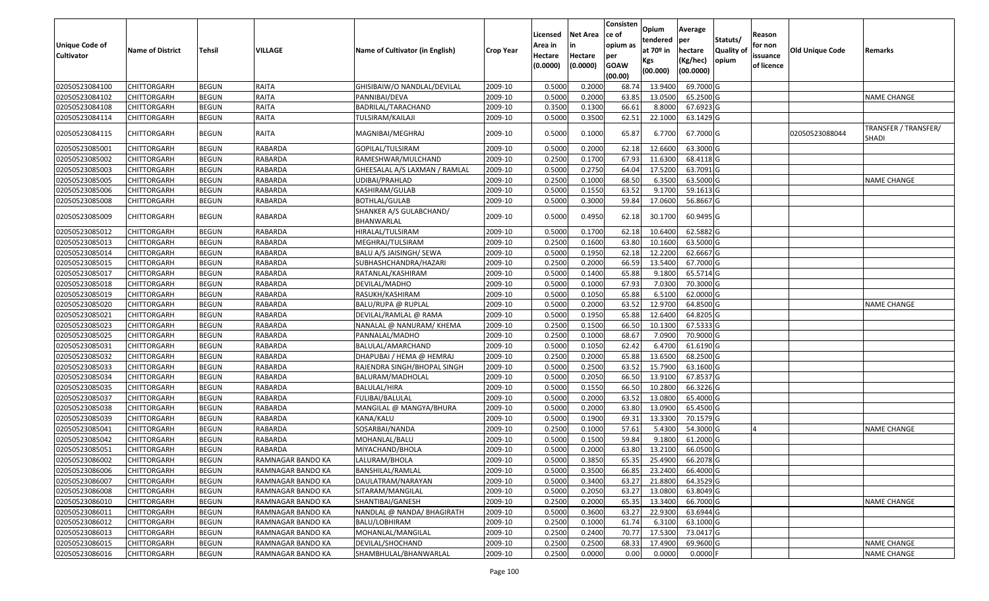| Unique Code of<br><b>Cultivator</b> | <b>Name of District</b> | <b>Tehsil</b> | VILLAGE           | Name of Cultivator (in English)       | Crop Year | Licensed<br>Area in<br>Hectare<br>(0.0000) | <b>Net Area</b><br>in<br>Hectare<br>(0.0000) | Consisten<br>ce of<br>opium as<br>per<br><b>GOAW</b><br>(00.00) | Opium<br>tendered<br>at $70°$ in<br>Kgs<br>(00.000) | Average<br>per<br>hectare<br>(Kg/hec)<br>(00.0000) | Statuts/<br>Quality of<br>opium | Reason<br>for non<br>issuance<br>of licence | <b>Old Unique Code</b> | Remarks                       |
|-------------------------------------|-------------------------|---------------|-------------------|---------------------------------------|-----------|--------------------------------------------|----------------------------------------------|-----------------------------------------------------------------|-----------------------------------------------------|----------------------------------------------------|---------------------------------|---------------------------------------------|------------------------|-------------------------------|
| 02050523084100                      | <b>CHITTORGARH</b>      | <b>BEGUN</b>  | RAITA             | GHISIBAIW/O NANDLAL/DEVILAL           | 2009-10   | 0.5000                                     | 0.2000                                       | 68.74                                                           | 13.9400                                             | 69.7000 G                                          |                                 |                                             |                        |                               |
| 02050523084102                      | CHITTORGARH             | <b>BEGUN</b>  | RAITA             | PANNIBAI/DEVA                         | 2009-10   | 0.5000                                     | 0.2000                                       | 63.85                                                           | 13.0500                                             | 65.2500 G                                          |                                 |                                             |                        | <b>NAME CHANGE</b>            |
| 02050523084108                      | CHITTORGARH             | <b>BEGUN</b>  | RAITA             | BADRILAL/TARACHAND                    | 2009-10   | 0.3500                                     | 0.1300                                       | 66.61                                                           | 8.8000                                              | 67.6923 G                                          |                                 |                                             |                        |                               |
| 02050523084114                      | CHITTORGARH             | <b>BEGUN</b>  | RAITA             | <b>TULSIRAM/KAILAJI</b>               | 2009-10   | 0.5000                                     | 0.3500                                       | 62.51                                                           | 22.1000                                             | 63.1429 G                                          |                                 |                                             |                        |                               |
| 02050523084115                      | CHITTORGARH             | <b>BEGUN</b>  | RAITA             | MAGNIBAI/MEGHRAJ                      | 2009-10   | 0.5000                                     | 0.1000                                       | 65.87                                                           | 6.7700                                              | 67.7000 G                                          |                                 |                                             | 02050523088044         | TRANSFER / TRANSFER/<br>SHADI |
| 02050523085001                      | CHITTORGARH             | <b>BEGUN</b>  | RABARDA           | GOPILAL/TULSIRAM                      | 2009-10   | 0.5000                                     | 0.2000                                       | 62.18                                                           | 12.6600                                             | 63.3000 G                                          |                                 |                                             |                        |                               |
| 02050523085002                      | <b>CHITTORGARH</b>      | <b>BEGUN</b>  | RABARDA           | RAMESHWAR/MULCHAND                    | 2009-10   | 0.2500                                     | 0.1700                                       | 67.93                                                           | 11.6300                                             | 68.4118 G                                          |                                 |                                             |                        |                               |
| 02050523085003                      | <b>CHITTORGARH</b>      | <b>BEGUN</b>  | <b>RABARDA</b>    | GHEESALAL A/S LAXMAN / RAMLAL         | 2009-10   | 0.5000                                     | 0.2750                                       | 64.04                                                           | 17.5200                                             | 63.7091 G                                          |                                 |                                             |                        |                               |
| 02050523085005                      | <b>CHITTORGARH</b>      | <b>BEGUN</b>  | RABARDA           | UDIBAI/PRAHLAD                        | 2009-10   | 0.2500                                     | 0.1000                                       | 68.50                                                           | 6.3500                                              | 63.5000 G                                          |                                 |                                             |                        | <b>NAME CHANGE</b>            |
| 02050523085006                      | CHITTORGARH             | <b>BEGUN</b>  | RABARDA           | KASHIRAM/GULAB                        | 2009-10   | 0.5000                                     | 0.1550                                       | 63.52                                                           | 9.1700                                              | 59.1613 G                                          |                                 |                                             |                        |                               |
| 02050523085008                      | <b>CHITTORGARH</b>      | <b>BEGUN</b>  | RABARDA           | BOTHLAL/GULAB                         | 2009-10   | 0.5000                                     | 0.3000                                       | 59.84                                                           | 17.0600                                             | 56.8667 G                                          |                                 |                                             |                        |                               |
| 02050523085009                      | CHITTORGARH             | <b>BEGUN</b>  | RABARDA           | SHANKER A/S GULABCHAND/<br>BHANWARLAL | 2009-10   | 0.5000                                     | 0.4950                                       | 62.18                                                           | 30.1700                                             | 60.9495 G                                          |                                 |                                             |                        |                               |
| 02050523085012                      | CHITTORGARH             | <b>BEGUN</b>  | RABARDA           | HIRALAL/TULSIRAM                      | 2009-10   | 0.5000                                     | 0.1700                                       | 62.18                                                           | 10.6400                                             | 62.5882 G                                          |                                 |                                             |                        |                               |
| 02050523085013                      | CHITTORGARH             | <b>BEGUN</b>  | RABARDA           | MEGHRAJ/TULSIRAM                      | 2009-10   | 0.2500                                     | 0.1600                                       | 63.80                                                           | 10.1600                                             | 63.5000 G                                          |                                 |                                             |                        |                               |
| 02050523085014                      | CHITTORGARH             | <b>BEGUN</b>  | <b>RABARDA</b>    | BALU A/S JAISINGH/ SEWA               | 2009-10   | 0.5000                                     | 0.1950                                       | 62.18                                                           | 12.2200                                             | 62.6667 G                                          |                                 |                                             |                        |                               |
| 02050523085015                      | CHITTORGARH             | <b>BEGUN</b>  | RABARDA           | SUBHASHCHANDRA/HAZARI                 | 2009-10   | 0.2500                                     | 0.2000                                       | 66.59                                                           | 13.5400                                             | 67.7000 G                                          |                                 |                                             |                        |                               |
| 02050523085017                      | CHITTORGARH             | <b>BEGUN</b>  | RABARDA           | RATANLAL/KASHIRAM                     | 2009-10   | 0.5000                                     | 0.1400                                       | 65.88                                                           | 9.1800                                              | 65.5714 G                                          |                                 |                                             |                        |                               |
| 02050523085018                      | CHITTORGARH             | <b>BEGUN</b>  | RABARDA           | DEVILAL/MADHO                         | 2009-10   | 0.5000                                     | 0.1000                                       | 67.93                                                           | 7.0300                                              | 70.3000 G                                          |                                 |                                             |                        |                               |
| 02050523085019                      | <b>CHITTORGARH</b>      | <b>BEGUN</b>  | <b>RABARDA</b>    | RASUKH/KASHIRAM                       | 2009-10   | 0.5000                                     | 0.1050                                       | 65.88                                                           | 6.5100                                              | 62.0000 G                                          |                                 |                                             |                        |                               |
| 02050523085020                      | CHITTORGARH             | <b>BEGUN</b>  | RABARDA           | BALU/RUPA @ RUPLAL                    | 2009-10   | 0.5000                                     | 0.2000                                       | 63.52                                                           | 12.9700                                             | 64.8500 G                                          |                                 |                                             |                        | <b>NAME CHANGE</b>            |
| 02050523085021                      | CHITTORGARH             | <b>BEGUN</b>  | <b>RABARDA</b>    | DEVILAL/RAMLAL @ RAMA                 | 2009-10   | 0.5000                                     | 0.1950                                       | 65.88                                                           | 12.6400                                             | 64.8205 G                                          |                                 |                                             |                        |                               |
| 02050523085023                      | CHITTORGARH             | <b>BEGUN</b>  | RABARDA           | NANALAL @ NANURAM/ KHEMA              | 2009-10   | 0.2500                                     | 0.1500                                       | 66.50                                                           | 10.1300                                             | 67.5333 G                                          |                                 |                                             |                        |                               |
| 02050523085025                      | CHITTORGARH             | <b>BEGUN</b>  | <b>RABARDA</b>    | PANNALAL/MADHO                        | 2009-10   | 0.2500                                     | 0.1000                                       | 68.67                                                           | 7.0900                                              | 70.9000 G                                          |                                 |                                             |                        |                               |
| 02050523085031                      | CHITTORGARH             | <b>BEGUN</b>  | <b>RABARDA</b>    | BALULAL/AMARCHAND                     | 2009-10   | 0.5000                                     | 0.1050                                       | 62.42                                                           | 6.4700                                              | 61.6190 G                                          |                                 |                                             |                        |                               |
| 02050523085032                      | <b>CHITTORGARH</b>      | <b>BEGUN</b>  | RABARDA           | DHAPUBAI / HEMA @ HEMRAJ              | 2009-10   | 0.2500                                     | 0.2000                                       | 65.88                                                           | 13.6500                                             | 68.2500 G                                          |                                 |                                             |                        |                               |
| 02050523085033                      | CHITTORGARH             | <b>BEGUN</b>  | RABARDA           | RAJENDRA SINGH/BHOPAL SINGH           | 2009-10   | 0.5000                                     | 0.2500                                       | 63.52                                                           | 15.7900                                             | 63.1600 G                                          |                                 |                                             |                        |                               |
| 02050523085034                      | <b>CHITTORGARH</b>      | <b>BEGUN</b>  | RABARDA           | BALURAM/MADHOLAL                      | 2009-10   | 0.5000                                     | 0.2050                                       | 66.50                                                           | 13.9100                                             | 67.8537 G                                          |                                 |                                             |                        |                               |
| 02050523085035                      | CHITTORGARH             | <b>BEGUN</b>  | <b>RABARDA</b>    | <b>BALULAL/HIRA</b>                   | 2009-10   | 0.5000                                     | 0.1550                                       | 66.50                                                           | 10.2800                                             | 66.3226 G                                          |                                 |                                             |                        |                               |
| 02050523085037                      | CHITTORGARH             | <b>BEGUN</b>  | RABARDA           | FULIBAI/BALULAL                       | 2009-10   | 0.5000                                     | 0.2000                                       | 63.52                                                           | 13.0800                                             | 65.4000 G                                          |                                 |                                             |                        |                               |
| 02050523085038                      | CHITTORGARH             | <b>BEGUN</b>  | RABARDA           | MANGILAL @ MANGYA/BHURA               | 2009-10   | 0.5000                                     | 0.2000                                       | 63.80                                                           | 13.0900                                             | 65.4500 G                                          |                                 |                                             |                        |                               |
| 02050523085039                      | <b>CHITTORGARH</b>      | <b>BEGUN</b>  | RABARDA           | KANA/KALU                             | 2009-10   | 0.5000                                     | 0.1900                                       | 69.3                                                            | 13.3300                                             | 70.1579 G                                          |                                 |                                             |                        |                               |
| 02050523085041                      | CHITTORGARH             | <b>BEGUN</b>  | RABARDA           | SOSARBAI/NANDA                        | 2009-10   | 0.2500                                     | 0.1000                                       | 57.61                                                           | 5.4300                                              | 54.3000 G                                          |                                 | $\overline{A}$                              |                        | <b>NAME CHANGE</b>            |
| 02050523085042                      | CHITTORGARH             | <b>BEGUN</b>  | RABARDA           | MOHANLAL/BALU                         | 2009-10   | 0.5000                                     | 0.1500                                       | 59.84                                                           | 9.1800                                              | 61.2000 G                                          |                                 |                                             |                        |                               |
| 02050523085051                      | <b>CHITTORGARH</b>      | <b>BEGUN</b>  | RABARDA           | MIYACHAND/BHOLA                       | 2009-10   | 0.5000                                     | 0.2000                                       | 63.80                                                           | 13.2100                                             | 66.0500 G                                          |                                 |                                             |                        |                               |
| 02050523086002                      | <b>CHITTORGARH</b>      | <b>BEGUN</b>  | RAMNAGAR BANDO KA | LALURAM/BHOLA                         | 2009-10   | 0.5000                                     | 0.3850                                       | 65.35                                                           | 25.4900                                             | 66.2078 G                                          |                                 |                                             |                        |                               |
| 02050523086006                      | <b>CHITTORGARH</b>      | <b>BEGUN</b>  | RAMNAGAR BANDO KA | <b>BANSHILAL/RAMLAL</b>               | 2009-10   | 0.5000                                     | 0.3500                                       | 66.85                                                           | 23.2400                                             | 66.4000 G                                          |                                 |                                             |                        |                               |
| 02050523086007                      | <b>CHITTORGARH</b>      | <b>BEGUN</b>  | RAMNAGAR BANDO KA | DAULATRAM/NARAYAN                     | 2009-10   | 0.5000                                     | 0.3400                                       | 63.27                                                           | 21.8800                                             | 64.3529 G                                          |                                 |                                             |                        |                               |
| 02050523086008                      | <b>CHITTORGARH</b>      | <b>BEGUN</b>  | RAMNAGAR BANDO KA | SITARAM/MANGILAL                      | 2009-10   | 0.5000                                     | 0.2050                                       | 63.27                                                           | 13.0800                                             | 63.8049 G                                          |                                 |                                             |                        |                               |
| 02050523086010                      | <b>CHITTORGARH</b>      | <b>BEGUN</b>  | RAMNAGAR BANDO KA | SHANTIBAI/GANESH                      | 2009-10   | 0.2500                                     | 0.2000                                       | 65.35                                                           | 13.3400                                             | 66.7000 G                                          |                                 |                                             |                        | NAME CHANGE                   |
| 02050523086011                      | <b>CHITTORGARH</b>      | <b>BEGUN</b>  | RAMNAGAR BANDO KA | NANDLAL @ NANDA/ BHAGIRATH            | 2009-10   | 0.5000                                     | 0.3600                                       | 63.27                                                           | 22.9300                                             | 63.6944 G                                          |                                 |                                             |                        |                               |
| 02050523086012                      | <b>CHITTORGARH</b>      | <b>BEGUN</b>  | RAMNAGAR BANDO KA | <b>BALU/LOBHIRAM</b>                  | 2009-10   | 0.2500                                     | 0.1000                                       | 61.74                                                           | 6.3100                                              | 63.1000 G                                          |                                 |                                             |                        |                               |
| 02050523086013                      | <b>CHITTORGARH</b>      | <b>BEGUN</b>  | RAMNAGAR BANDO KA | MOHANLAL/MANGILAL                     | 2009-10   | 0.2500                                     | 0.2400                                       | 70.77                                                           | 17.5300                                             | 73.0417 G                                          |                                 |                                             |                        |                               |
| 02050523086015                      | <b>CHITTORGARH</b>      | <b>BEGUN</b>  | RAMNAGAR BANDO KA | DEVILAL/SHOCHAND                      | 2009-10   | 0.2500                                     | 0.2500                                       | 68.33                                                           | 17.4900                                             | 69.9600 G                                          |                                 |                                             |                        | NAME CHANGE                   |
| 02050523086016                      | <b>CHITTORGARH</b>      | <b>BEGUN</b>  | RAMNAGAR BANDO KA | SHAMBHULAL/BHANWARLAL                 | 2009-10   | 0.2500                                     | 0.0000                                       | 0.00                                                            | 0.0000                                              | $0.0000$ F                                         |                                 |                                             |                        | <b>NAME CHANGE</b>            |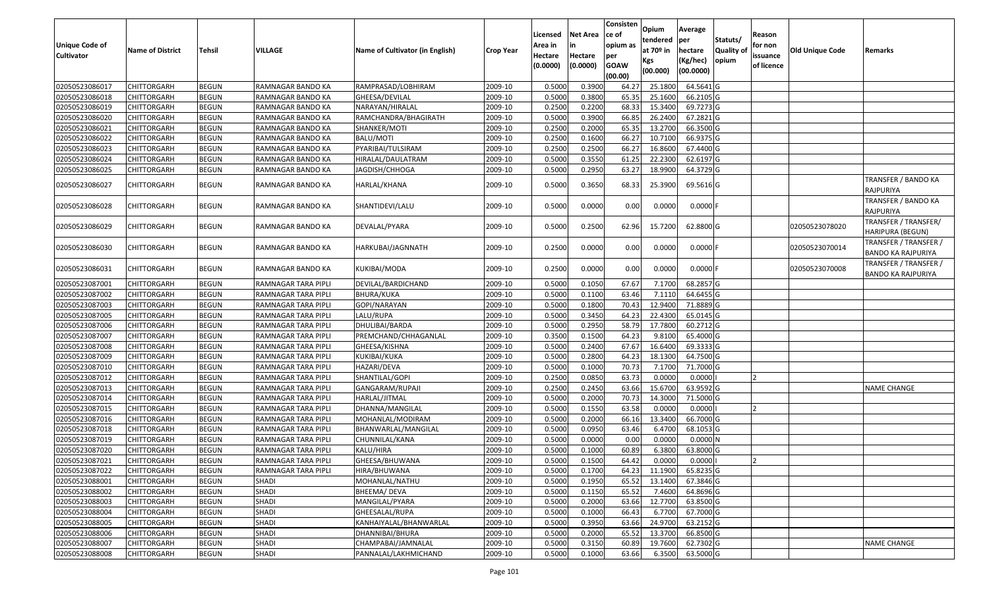| <b>Unique Code of</b><br><b>Cultivator</b> | <b>Name of District</b> | Tehsil       | VILLAGE             | Name of Cultivator (in English) | <b>Crop Year</b> | Licensed<br>Area in<br>Hectare<br>(0.0000) | Net Area<br>in<br>Hectare<br>(0.0000) | Consisten<br>ce of<br>opium as<br>per<br><b>GOAW</b><br>(00.00) | Opium<br>tendered<br>at 70º in<br>Kgs<br>(00.000) | Average<br>per<br>hectare<br>(Kg/hec)<br>(00.0000) | Statuts/<br>Quality of<br>opium | Reason<br>for non<br>issuance<br>of licence | <b>Old Unique Code</b> | Remarks                                            |
|--------------------------------------------|-------------------------|--------------|---------------------|---------------------------------|------------------|--------------------------------------------|---------------------------------------|-----------------------------------------------------------------|---------------------------------------------------|----------------------------------------------------|---------------------------------|---------------------------------------------|------------------------|----------------------------------------------------|
| 02050523086017                             | <b>CHITTORGARH</b>      | <b>BEGUN</b> | RAMNAGAR BANDO KA   | RAMPRASAD/LOBHIRAM              | 2009-10          | 0.5000                                     | 0.3900                                | 64.27                                                           | 25.1800                                           | 64.5641 G                                          |                                 |                                             |                        |                                                    |
| 02050523086018                             | CHITTORGARH             | <b>BEGUN</b> | RAMNAGAR BANDO KA   | GHEESA/DEVILAL                  | 2009-10          | 0.5000                                     | 0.3800                                | 65.35                                                           | 25.1600                                           | 66.2105 G                                          |                                 |                                             |                        |                                                    |
| 02050523086019                             | CHITTORGARH             | <b>BEGUN</b> | RAMNAGAR BANDO KA   | NARAYAN/HIRALAL                 | 2009-10          | 0.2500                                     | 0.2200                                | 68.33                                                           | 15.3400                                           | 69.7273 G                                          |                                 |                                             |                        |                                                    |
| 02050523086020                             | <b>CHITTORGARH</b>      | <b>BEGUN</b> | RAMNAGAR BANDO KA   | RAMCHANDRA/BHAGIRATH            | 2009-10          | 0.5000                                     | 0.3900                                | 66.85                                                           | 26.2400                                           | 67.2821 G                                          |                                 |                                             |                        |                                                    |
| 02050523086021                             | <b>CHITTORGARH</b>      | <b>BEGUN</b> | RAMNAGAR BANDO KA   | SHANKER/MOTI                    | 2009-10          | 0.2500                                     | 0.2000                                | 65.35                                                           | 13.2700                                           | 66.3500 G                                          |                                 |                                             |                        |                                                    |
| 02050523086022                             | <b>CHITTORGARH</b>      | <b>BEGUN</b> | RAMNAGAR BANDO KA   | <b>BALU/MOTI</b>                | 2009-10          | 0.2500                                     | 0.1600                                | 66.27                                                           | 10.7100                                           | 66.9375 G                                          |                                 |                                             |                        |                                                    |
| 02050523086023                             | CHITTORGARH             | <b>BEGUN</b> | RAMNAGAR BANDO KA   | PYARIBAI/TULSIRAM               | 2009-10          | 0.2500                                     | 0.2500                                | 66.27                                                           | 16.8600                                           | 67.4400 G                                          |                                 |                                             |                        |                                                    |
| 02050523086024                             | <b>CHITTORGARH</b>      | <b>BEGUN</b> | RAMNAGAR BANDO KA   | HIRALAL/DAULATRAM               | 2009-10          | 0.5000                                     | 0.3550                                | 61.25                                                           | 22.2300                                           | 62.6197 G                                          |                                 |                                             |                        |                                                    |
| 02050523086025                             | <b>CHITTORGARH</b>      | <b>BEGUN</b> | RAMNAGAR BANDO KA   | JAGDISH/CHHOGA                  | 2009-10          | 0.5000                                     | 0.2950                                | 63.27                                                           | 18.9900                                           | 64.3729 G                                          |                                 |                                             |                        |                                                    |
| 02050523086027                             | CHITTORGARH             | <b>BEGUN</b> | RAMNAGAR BANDO KA   | HARLAL/KHANA                    | 2009-10          | 0.5000                                     | 0.3650                                | 68.33                                                           | 25.3900                                           | 69.5616 G                                          |                                 |                                             |                        | TRANSFER / BANDO KA<br>RAJPURIYA                   |
| 02050523086028                             | <b>CHITTORGARH</b>      | <b>BEGUN</b> | RAMNAGAR BANDO KA   | SHANTIDEVI/LALU                 | 2009-10          | 0.5000                                     | 0.0000                                | 0.00                                                            | 0.0000                                            | $0.0000$ F                                         |                                 |                                             |                        | TRANSFER / BANDO KA<br>RAJPURIYA                   |
| 02050523086029                             | CHITTORGARH             | <b>BEGUN</b> | RAMNAGAR BANDO KA   | DEVALAL/PYARA                   | 2009-10          | 0.5000                                     | 0.2500                                | 62.96                                                           | 15.7200                                           | 62.8800 G                                          |                                 |                                             | 02050523078020         | TRANSFER / TRANSFER/<br>HARIPURA (BEGUN)           |
| 02050523086030                             | CHITTORGARH             | <b>BEGUN</b> | RAMNAGAR BANDO KA   | HARKUBAI/JAGNNATH               | 2009-10          | 0.2500                                     | 0.0000                                | 0.00                                                            | 0.0000                                            | $0.0000$ F                                         |                                 |                                             | 02050523070014         | TRANSFER / TRANSFER /<br><b>BANDO KA RAJPURIYA</b> |
| 02050523086031                             | CHITTORGARH             | <b>BEGUN</b> | RAMNAGAR BANDO KA   | KUKIBAI/MODA                    | 2009-10          | 0.2500                                     | 0.0000                                | 0.00                                                            | 0.0000                                            | $0.0000$ F                                         |                                 |                                             | 02050523070008         | TRANSFER / TRANSFER /<br><b>BANDO KA RAJPURIYA</b> |
| 02050523087001                             | <b>CHITTORGARH</b>      | <b>BEGUN</b> | RAMNAGAR TARA PIPLI | DEVILAL/BARDICHAND              | 2009-10          | 0.5000                                     | 0.1050                                | 67.67                                                           | 7.1700                                            | 68.2857 G                                          |                                 |                                             |                        |                                                    |
| 02050523087002                             | <b>CHITTORGARH</b>      | <b>BEGUN</b> | RAMNAGAR TARA PIPLI | BHURA/KUKA                      | 2009-10          | 0.5000                                     | 0.1100                                | 63.46                                                           | 7.1110                                            | 64.6455 G                                          |                                 |                                             |                        |                                                    |
| 02050523087003                             | <b>CHITTORGARH</b>      | <b>BEGUN</b> | RAMNAGAR TARA PIPLI | GOPI/NARAYAN                    | 2009-10          | 0.5000                                     | 0.1800                                | 70.43                                                           | 12.9400                                           | 71.8889 G                                          |                                 |                                             |                        |                                                    |
| 02050523087005                             | <b>CHITTORGARH</b>      | <b>BEGUN</b> | RAMNAGAR TARA PIPLI | LALU/RUPA                       | 2009-10          | 0.5000                                     | 0.3450                                | 64.23                                                           | 22.4300                                           | 65.0145 G                                          |                                 |                                             |                        |                                                    |
| 02050523087006                             | CHITTORGARH             | <b>BEGUN</b> | RAMNAGAR TARA PIPLI | DHULIBAI/BARDA                  | 2009-10          | 0.5000                                     | 0.2950                                | 58.79                                                           | 17.7800                                           | 60.2712 G                                          |                                 |                                             |                        |                                                    |
| 02050523087007                             | <b>CHITTORGARH</b>      | <b>BEGUN</b> | RAMNAGAR TARA PIPLI | PREMCHAND/CHHAGANLAL            | 2009-10          | 0.3500                                     | 0.1500                                | 64.23                                                           | 9.8100                                            | 65.4000 G                                          |                                 |                                             |                        |                                                    |
| 02050523087008                             | <b>CHITTORGARH</b>      | <b>BEGUN</b> | RAMNAGAR TARA PIPLI | GHEESA/KISHNA                   | 2009-10          | 0.5000                                     | 0.2400                                | 67.67                                                           | 16.6400                                           | 69.3333 G                                          |                                 |                                             |                        |                                                    |
| 02050523087009                             | <b>CHITTORGARH</b>      | <b>BEGUN</b> | RAMNAGAR TARA PIPLI | KUKIBAI/KUKA                    | 2009-10          | 0.5000                                     | 0.2800                                | 64.23                                                           | 18.1300                                           | 64.7500 G                                          |                                 |                                             |                        |                                                    |
| 02050523087010                             | <b>CHITTORGARH</b>      | <b>BEGUN</b> | RAMNAGAR TARA PIPLI | HAZARI/DEVA                     | 2009-10          | 0.5000                                     | 0.1000                                | 70.73                                                           | 7.1700                                            | 71.7000 G                                          |                                 |                                             |                        |                                                    |
| 02050523087012                             | <b>CHITTORGARH</b>      | <b>BEGUN</b> | RAMNAGAR TARA PIPLI | SHANTILAL/GOPI                  | 2009-10          | 0.2500                                     | 0.0850                                | 63.73                                                           | 0.0000                                            | 0.0000                                             |                                 |                                             |                        |                                                    |
| 02050523087013                             | <b>CHITTORGARH</b>      | <b>BEGUN</b> | RAMNAGAR TARA PIPLI | GANGARAM/RUPAJI                 | 2009-10          | 0.2500                                     | 0.2450                                | 63.66                                                           | 15.6700                                           | 63.9592 G                                          |                                 |                                             |                        | <b>NAME CHANGE</b>                                 |
| 02050523087014                             | <b>CHITTORGARH</b>      | <b>BEGUN</b> | RAMNAGAR TARA PIPLI | HARLAL/JITMAL                   | 2009-10          | 0.5000                                     | 0.2000                                | 70.73                                                           | 14.3000                                           | 71.5000 G                                          |                                 |                                             |                        |                                                    |
| 02050523087015                             | <b>CHITTORGARH</b>      | <b>BEGUN</b> | RAMNAGAR TARA PIPLI | DHANNA/MANGILAL                 | 2009-10          | 0.5000                                     | 0.1550                                | 63.58                                                           | 0.0000                                            | 0.0000                                             |                                 |                                             |                        |                                                    |
| 02050523087016                             | <b>CHITTORGARH</b>      | <b>BEGUN</b> | RAMNAGAR TARA PIPLI | MOHANLAL/MODIRAM                | 2009-10          | 0.5000                                     | 0.2000                                | 66.16                                                           | 13.3400                                           | 66.7000 G                                          |                                 |                                             |                        |                                                    |
| 02050523087018                             | <b>CHITTORGARH</b>      | <b>BEGUN</b> | RAMNAGAR TARA PIPLI | BHANWARLAL/MANGILAL             | 2009-10          | 0.5000                                     | 0.0950                                | 63.46                                                           | 6.4700                                            | 68.1053 G                                          |                                 |                                             |                        |                                                    |
| 02050523087019                             | CHITTORGARH             | <b>BEGUN</b> | RAMNAGAR TARA PIPLI | CHUNNILAL/KANA                  | 2009-10          | 0.5000                                     | 0.0000                                | 0.00                                                            | 0.0000                                            | 0.0000N                                            |                                 |                                             |                        |                                                    |
| 02050523087020                             | <b>CHITTORGARH</b>      | <b>BEGUN</b> | RAMNAGAR TARA PIPLI | KALU/HIRA                       | 2009-10          | 0.5000                                     | 0.1000                                | 60.89                                                           | 6.3800                                            | 63.8000 G                                          |                                 |                                             |                        |                                                    |
| 02050523087021                             | CHITTORGARH             | BEGUN        | RAMNAGAR TARA PIPLI | GHEESA/BHUWANA                  | 2009-10          | 0.5000                                     | 0.1500                                | 64.42                                                           | 0.0000                                            | 0.0000                                             |                                 |                                             |                        |                                                    |
| 02050523087022                             | <b>CHITTORGARH</b>      | <b>BEGUN</b> | RAMNAGAR TARA PIPLI | HIRA/BHUWANA                    | 2009-10          | 0.5000                                     | 0.1700                                | 64.23                                                           | 11.1900                                           | $65.8235$ G                                        |                                 |                                             |                        |                                                    |
| 02050523088001                             | <b>CHITTORGARH</b>      | <b>BEGUN</b> | <b>SHADI</b>        | MOHANLAL/NATHU                  | 2009-10          | 0.5000                                     | 0.1950                                | 65.52                                                           | 13.1400                                           | 67.3846 G                                          |                                 |                                             |                        |                                                    |
| 02050523088002                             | <b>CHITTORGARH</b>      | <b>BEGUN</b> | <b>SHADI</b>        | BHEEMA/ DEVA                    | 2009-10          | 0.5000                                     | 0.1150                                | 65.52                                                           | 7.4600                                            | 64.8696 G                                          |                                 |                                             |                        |                                                    |
| 02050523088003                             | <b>CHITTORGARH</b>      | <b>BEGUN</b> | <b>SHADI</b>        | MANGILAL/PYARA                  | 2009-10          | 0.5000                                     | 0.2000                                | 63.66                                                           | 12.7700                                           | 63.8500 G                                          |                                 |                                             |                        |                                                    |
| 02050523088004                             | <b>CHITTORGARH</b>      | <b>BEGUN</b> | <b>SHADI</b>        | GHEESALAL/RUPA                  | 2009-10          | 0.5000                                     | 0.1000                                | 66.43                                                           | 6.7700                                            | 67.7000 G                                          |                                 |                                             |                        |                                                    |
| 02050523088005                             | <b>CHITTORGARH</b>      | <b>BEGUN</b> | <b>SHADI</b>        | KANHAIYALAL/BHANWARLAL          | 2009-10          | 0.5000                                     | 0.3950                                | 63.66                                                           | 24.9700                                           | 63.2152 G                                          |                                 |                                             |                        |                                                    |
| 02050523088006                             | <b>CHITTORGARH</b>      | <b>BEGUN</b> | <b>SHADI</b>        | DHANNIBAI/BHURA                 | 2009-10          | 0.5000                                     | 0.2000                                | 65.52                                                           | 13.3700                                           | 66.8500 G                                          |                                 |                                             |                        |                                                    |
| 02050523088007                             | <b>CHITTORGARH</b>      | <b>BEGUN</b> | <b>SHADI</b>        | CHAMPABAI/JAMNALAL              | 2009-10          | 0.5000                                     | 0.3150                                | 60.89                                                           | 19.7600                                           | 62.7302 G                                          |                                 |                                             |                        | <b>NAME CHANGE</b>                                 |
| 02050523088008                             | <b>CHITTORGARH</b>      | <b>BEGUN</b> | SHADI               | PANNALAL/LAKHMICHAND            | 2009-10          | 0.5000                                     | 0.1000                                | 63.66                                                           | 6.3500                                            | 63.5000G                                           |                                 |                                             |                        |                                                    |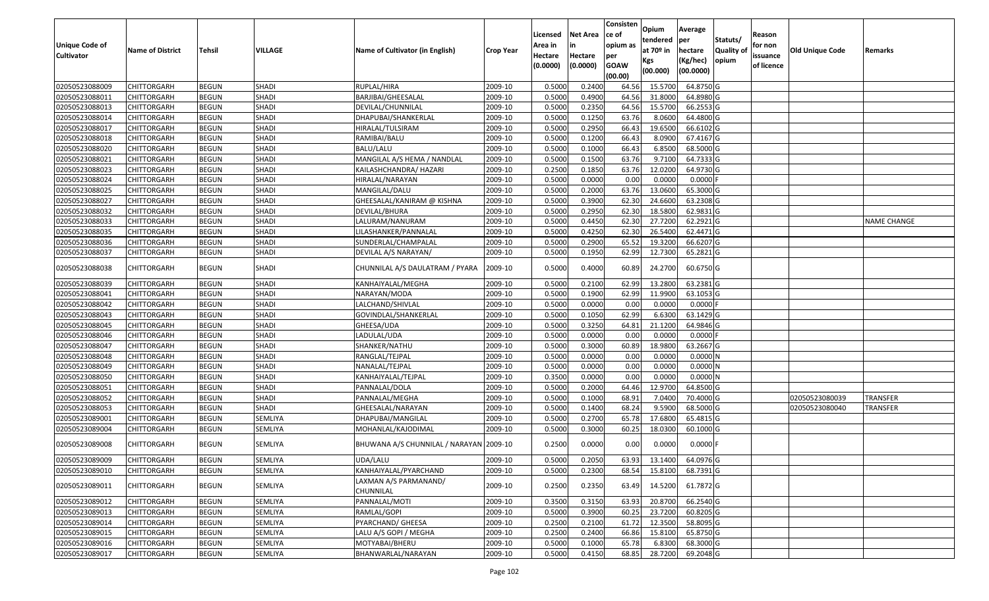| Unique Code of<br>Cultivator | <b>Name of District</b> | Tehsil       | <b>VILLAGE</b> | Name of Cultivator (in English)         | <b>Crop Year</b> | Licensed<br>Area in<br>Hectare<br>(0.0000) | Net Area<br>Hectare<br>(0.0000) | Consisten<br>ce of<br>opium as<br>per<br><b>GOAW</b><br>(00.00) | Opium<br>tendered<br>at 70º in<br>Kgs<br>(00.000) | Average<br>per<br>hectare<br>(Kg/hec)<br>(00.0000) | Statuts/<br>Quality of<br>opium | Reason<br>for non<br>issuance<br>of licence | Old Unique Code | Remarks            |
|------------------------------|-------------------------|--------------|----------------|-----------------------------------------|------------------|--------------------------------------------|---------------------------------|-----------------------------------------------------------------|---------------------------------------------------|----------------------------------------------------|---------------------------------|---------------------------------------------|-----------------|--------------------|
| 02050523088009               | <b>CHITTORGARH</b>      | <b>BEGUN</b> | <b>SHADI</b>   | RUPLAL/HIRA                             | 2009-10          | 0.5000                                     | 0.2400                          | 64.56                                                           | 15.5700                                           | 64.8750 G                                          |                                 |                                             |                 |                    |
| 02050523088011               | <b>CHITTORGARH</b>      | <b>BEGUN</b> | <b>SHADI</b>   | BARJIBAI/GHEESALAL                      | 2009-10          | 0.5000                                     | 0.4900                          | 64.56                                                           | 31.8000                                           | 64.8980 G                                          |                                 |                                             |                 |                    |
| 02050523088013               | CHITTORGARH             | <b>BEGUN</b> | <b>SHADI</b>   | DEVILAL/CHUNNILAL                       | 2009-10          | 0.5000                                     | 0.2350                          | 64.56                                                           | 15.5700                                           | 66.2553 G                                          |                                 |                                             |                 |                    |
| 02050523088014               | <b>CHITTORGARH</b>      | <b>BEGUN</b> | <b>SHADI</b>   | DHAPUBAI/SHANKERLAL                     | 2009-10          | 0.5000                                     | 0.1250                          | 63.76                                                           | 8.0600                                            | 64.4800 G                                          |                                 |                                             |                 |                    |
| 02050523088017               | CHITTORGARH             | <b>BEGUN</b> | <b>SHADI</b>   | HIRALAL/TULSIRAM                        | 2009-10          | 0.5000                                     | 0.2950                          | 66.43                                                           | 19.6500                                           | 66.6102 G                                          |                                 |                                             |                 |                    |
| 02050523088018               | <b>CHITTORGARH</b>      | <b>BEGUN</b> | <b>SHADI</b>   | RAMIBAI/BALU                            | 2009-10          | 0.5000                                     | 0.1200                          | 66.43                                                           | 8.0900                                            | 67.4167 G                                          |                                 |                                             |                 |                    |
| 02050523088020               | CHITTORGARH             | <b>BEGUN</b> | <b>SHADI</b>   | BALU/LALU                               | 2009-10          | 0.5000                                     | 0.1000                          | 66.43                                                           | 6.8500                                            | 68.5000 G                                          |                                 |                                             |                 |                    |
| 02050523088021               | CHITTORGARH             | <b>BEGUN</b> | <b>SHADI</b>   | MANGILAL A/S HEMA / NANDLAL             | 2009-10          | 0.5000                                     | 0.1500                          | 63.76                                                           | 9.7100                                            | 64.7333 G                                          |                                 |                                             |                 |                    |
| 02050523088023               | CHITTORGARH             | <b>BEGUN</b> | <b>SHADI</b>   | KAILASHCHANDRA/ HAZARI                  | 2009-10          | 0.2500                                     | 0.1850                          | 63.76                                                           | 12.0200                                           | 64.9730 G                                          |                                 |                                             |                 |                    |
| 02050523088024               | CHITTORGARH             | <b>BEGUN</b> | <b>SHADI</b>   | HIRALAL/NARAYAN                         | 2009-10          | 0.5000                                     | 0.0000                          | 0.00                                                            | 0.0000                                            | $0.0000$ F                                         |                                 |                                             |                 |                    |
| 02050523088025               | <b>CHITTORGARH</b>      | <b>BEGUN</b> | <b>SHADI</b>   | MANGILAL/DALU                           | 2009-10          | 0.5000                                     | 0.2000                          | 63.76                                                           | 13.0600                                           | 65.3000 G                                          |                                 |                                             |                 |                    |
| 02050523088027               | <b>CHITTORGARH</b>      | <b>BEGUN</b> | <b>SHADI</b>   | GHEESALAL/KANIRAM @ KISHNA              | 2009-10          | 0.5000                                     | 0.3900                          | 62.30                                                           | 24.6600                                           | 63.2308 G                                          |                                 |                                             |                 |                    |
| 02050523088032               | <b>CHITTORGARH</b>      | <b>BEGUN</b> | <b>SHADI</b>   | <b>DEVILAL/BHURA</b>                    | 2009-10          | 0.5000                                     | 0.2950                          | 62.30                                                           | 18.5800                                           | 62.9831 G                                          |                                 |                                             |                 |                    |
| 02050523088033               | <b>CHITTORGARH</b>      | <b>BEGUN</b> | <b>SHADI</b>   | LALURAM/NANURAM                         | 2009-10          | 0.5000                                     | 0.4450                          | 62.30                                                           | 27.7200                                           | 62.2921 G                                          |                                 |                                             |                 | <b>NAME CHANGE</b> |
| 02050523088035               | <b>CHITTORGARH</b>      | <b>BEGUN</b> | <b>SHADI</b>   | LILASHANKER/PANNALAL                    | 2009-10          | 0.5000                                     | 0.4250                          | 62.30                                                           | 26.5400                                           | 62.4471 G                                          |                                 |                                             |                 |                    |
| 02050523088036               | <b>CHITTORGARH</b>      | <b>BEGUN</b> | <b>SHADI</b>   | SUNDERLAL/CHAMPALAL                     | 2009-10          | 0.5000                                     | 0.2900                          | 65.52                                                           | 19.3200                                           | 66.6207 G                                          |                                 |                                             |                 |                    |
| 02050523088037               | <b>CHITTORGARH</b>      | <b>BEGUN</b> | <b>SHADI</b>   | DEVILAL A/S NARAYAN/                    | 2009-10          | 0.5000                                     | 0.1950                          | 62.99                                                           | 12.7300                                           | 65.2821 G                                          |                                 |                                             |                 |                    |
| 02050523088038               | CHITTORGARH             | <b>BEGUN</b> | SHADI          | CHUNNILAL A/S DAULATRAM / PYARA         | 2009-10          | 0.5000                                     | 0.4000                          | 60.89                                                           | 24.2700                                           | 60.6750 G                                          |                                 |                                             |                 |                    |
| 02050523088039               | CHITTORGARH             | <b>BEGUN</b> | <b>SHADI</b>   | KANHAIYALAL/MEGHA                       | 2009-10          | 0.5000                                     | 0.2100                          | 62.99                                                           | 13.2800                                           | 63.2381 G                                          |                                 |                                             |                 |                    |
| 02050523088041               | <b>CHITTORGARH</b>      | <b>BEGUN</b> | <b>SHADI</b>   | NARAYAN/MODA                            | 2009-10          | 0.5000                                     | 0.1900                          | 62.99                                                           | 11.9900                                           | 63.1053 G                                          |                                 |                                             |                 |                    |
| 02050523088042               | CHITTORGARH             | <b>BEGUN</b> | <b>SHADI</b>   | LALCHAND/SHIVLAL                        | 2009-10          | 0.5000                                     | 0.0000                          | 0.00                                                            | 0.0000                                            | 0.0000                                             |                                 |                                             |                 |                    |
| 02050523088043               | CHITTORGARH             | <b>BEGUN</b> | <b>SHADI</b>   | GOVINDLAL/SHANKERLAL                    | 2009-10          | 0.5000                                     | 0.1050                          | 62.99                                                           | 6.6300                                            | 63.1429 G                                          |                                 |                                             |                 |                    |
| 02050523088045               | CHITTORGARH             | <b>BEGUN</b> | <b>SHADI</b>   | GHEESA/UDA                              | 2009-10          | 0.5000                                     | 0.3250                          | 64.81                                                           | 21.1200                                           | 64.9846 G                                          |                                 |                                             |                 |                    |
| 02050523088046               | <b>CHITTORGARH</b>      | <b>BEGUN</b> | <b>SHADI</b>   | LADULAL/UDA                             | 2009-10          | 0.5000                                     | 0.0000                          | 0.00                                                            | 0.0000                                            | 0.0000                                             |                                 |                                             |                 |                    |
| 02050523088047               | <b>CHITTORGARH</b>      | <b>BEGUN</b> | <b>SHADI</b>   | SHANKER/NATHU                           | 2009-10          | 0.5000                                     | 0.3000                          | 60.89                                                           | 18.9800                                           | 63.2667 G                                          |                                 |                                             |                 |                    |
| 02050523088048               | <b>CHITTORGARH</b>      | <b>BEGUN</b> | <b>SHADI</b>   | RANGLAL/TEJPAL                          | 2009-10          | 0.5000                                     | 0.0000                          | 0.00                                                            | 0.0000                                            | $0.0000$ N                                         |                                 |                                             |                 |                    |
| 02050523088049               | <b>CHITTORGARH</b>      | <b>BEGUN</b> | <b>SHADI</b>   | NANALAL/TEJPAL                          | 2009-10          | 0.5000                                     | 0.0000                          | 0.00                                                            | 0.0000                                            | $0.0000$ N                                         |                                 |                                             |                 |                    |
| 02050523088050               | CHITTORGARH             | <b>BEGUN</b> | <b>SHADI</b>   | KANHAIYALAL/TEJPAL                      | 2009-10          | 0.3500                                     | 0.0000                          | 0.00                                                            | 0.0000                                            | 0.0000N                                            |                                 |                                             |                 |                    |
| 02050523088051               | CHITTORGARH             | <b>BEGUN</b> | <b>SHADI</b>   | PANNALAL/DOLA                           | 2009-10          | 0.5000                                     | 0.2000                          | 64.46                                                           | 12.9700                                           | 64.8500 G                                          |                                 |                                             |                 |                    |
| 02050523088052               | CHITTORGARH             | <b>BEGUN</b> | <b>SHADI</b>   | PANNALAL/MEGHA                          | 2009-10          | 0.5000                                     | 0.1000                          | 68.91                                                           | 7.0400                                            | 70.4000 G                                          |                                 |                                             | 02050523080039  | TRANSFER           |
| 02050523088053               | CHITTORGARH             | <b>BEGUN</b> | <b>SHADI</b>   | GHEESALAL/NARAYAN                       | 2009-10          | 0.5000                                     | 0.1400                          | 68.24                                                           | 9.5900                                            | 68.5000 G                                          |                                 |                                             | 02050523080040  | TRANSFER           |
| 02050523089001               | <b>CHITTORGARH</b>      | <b>BEGUN</b> | SEMLIYA        | DHAPUBAI/MANGILAL                       | 2009-10          | 0.5000                                     | 0.2700                          | 65.78                                                           | 17.6800                                           | 65.4815 G                                          |                                 |                                             |                 |                    |
| 02050523089004               | CHITTORGARH             | <b>BEGUN</b> | SEMLIYA        | MOHANLAL/KAJODIMAL                      | 2009-10          | 0.5000                                     | 0.3000                          | 60.25                                                           | 18.0300                                           | 60.1000 G                                          |                                 |                                             |                 |                    |
| 02050523089008               | CHITTORGARH             | <b>BEGUN</b> | SEMLIYA        | BHUWANA A/S CHUNNILAL / NARAYAN 2009-10 |                  | 0.2500                                     | 0.0000                          | 0.00                                                            | 0.0000                                            | $0.0000$ F                                         |                                 |                                             |                 |                    |
| 02050523089009               | <b>CHITTORGARH</b>      | <b>BEGUN</b> | SEMLIYA        | UDA/LALU                                | 2009-10          | 0.5000                                     | 0.2050                          | 63.93                                                           | 13.1400                                           | 64.0976 G                                          |                                 |                                             |                 |                    |
| 02050523089010               | <b>CHITTORGARH</b>      | <b>BEGUN</b> | SEMLIYA        | KANHAIYALAL/PYARCHAND                   | 2009-10          | 0.5000                                     | 0.2300                          | 68.54                                                           | 15.8100                                           | 68.7391 G                                          |                                 |                                             |                 |                    |
| 02050523089011               | <b>CHITTORGARH</b>      | <b>BEGUN</b> | SEMLIYA        | LAXMAN A/S PARMANAND/<br>CHUNNILAL      | 2009-10          | 0.2500                                     | 0.2350                          | 63.49                                                           | 14.5200                                           | 61.7872 G                                          |                                 |                                             |                 |                    |
| 02050523089012               | <b>CHITTORGARH</b>      | <b>BEGUN</b> | SEMLIYA        | PANNALAL/MOTI                           | 2009-10          | 0.3500                                     | 0.3150                          | 63.93                                                           | 20.8700                                           | 66.2540 G                                          |                                 |                                             |                 |                    |
| 02050523089013               | <b>CHITTORGARH</b>      | <b>BEGUN</b> | SEMLIYA        | RAMLAL/GOPI                             | 2009-10          | 0.5000                                     | 0.3900                          | 60.25                                                           | 23.7200                                           | 60.8205 G                                          |                                 |                                             |                 |                    |
| 02050523089014               | <b>CHITTORGARH</b>      | <b>BEGUN</b> | SEMLIYA        | PYARCHAND/ GHEESA                       | 2009-10          | 0.2500                                     | 0.2100                          | 61.72                                                           | 12.3500                                           | 58.8095 G                                          |                                 |                                             |                 |                    |
| 02050523089015               | <b>CHITTORGARH</b>      | <b>BEGUN</b> | SEMLIYA        | LALU A/S GOPI / MEGHA                   | 2009-10          | 0.2500                                     | 0.2400                          | 66.86                                                           | 15.8100                                           | 65.8750 G                                          |                                 |                                             |                 |                    |
| 02050523089016               | <b>CHITTORGARH</b>      | <b>BEGUN</b> | SEMLIYA        | MOTYABAI/BHERU                          | 2009-10          | 0.5000                                     | 0.1000                          | 65.78                                                           | 6.8300                                            | 68.3000 G                                          |                                 |                                             |                 |                    |
| 02050523089017               | <b>CHITTORGARH</b>      | <b>BEGUN</b> | SEMLIYA        | BHANWARLAL/NARAYAN                      | 2009-10          | 0.5000                                     | 0.4150                          | 68.85                                                           | 28.7200                                           | 69.2048 G                                          |                                 |                                             |                 |                    |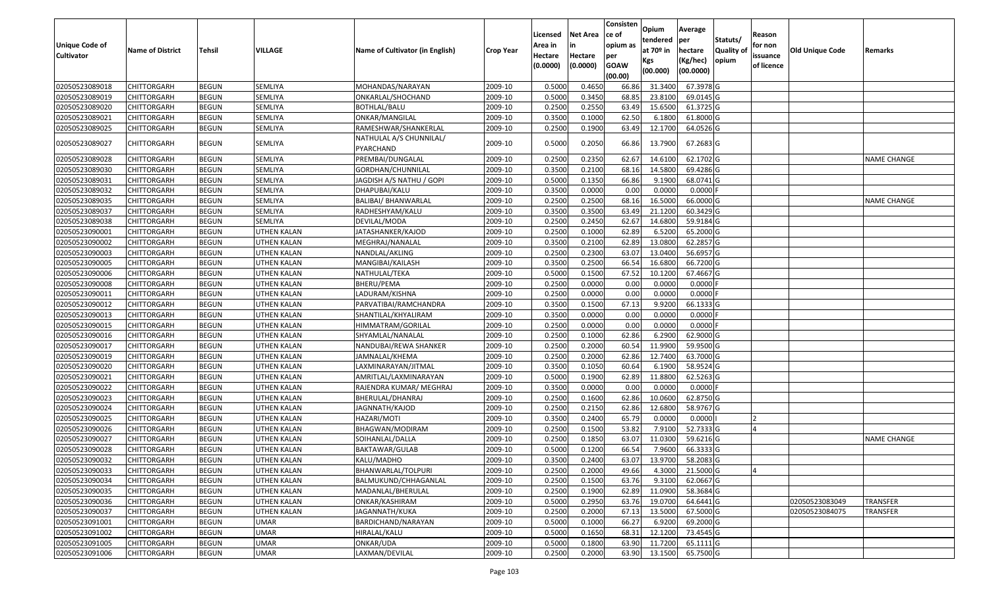| 02050523089018<br>MOHANDAS/NARAYAN<br>0.5000<br>0.4650<br>31.3400<br>67.3978 G<br><b>CHITTORGARH</b><br><b>BEGUN</b><br>SEMLIYA<br>2009-10<br>66.86<br>02050523089019<br>SEMLIYA<br>0.5000<br>0.3450<br>68.85<br>23.8100<br>69.0145 G<br>CHITTORGARH<br><b>BEGUN</b><br>ONKARLAL/SHOCHAND<br>2009-10<br><b>BEGUN</b><br>SEMLIYA<br>0.2500<br>0.2550<br>63.49<br>15.6500<br>61.3725 G<br>02050523089020<br>CHITTORGARH<br>BOTHLAL/BALU<br>2009-10<br>02050523089021<br><b>CHITTORGARH</b><br><b>BEGUN</b><br>SEMLIYA<br>2009-10<br>0.3500<br>0.1000<br>62.50<br>6.1800<br>61.8000 G<br>ONKAR/MANGILAL<br>0.2500<br>0.1900<br>63.49<br>12.1700<br>02050523089025<br>CHITTORGARH<br><b>BEGUN</b><br>SEMLIYA<br>RAMESHWAR/SHANKERLAL<br>2009-10<br>64.0526 G<br>NATHULAL A/S CHUNNILAL/<br>0.2050<br>13.7900<br><b>BEGUN</b><br>SEMLIYA<br>0.5000<br>66.86<br>67.2683 G<br>02050523089027<br>CHITTORGARH<br>2009-10<br>PYARCHAND<br>0.2350<br>62.67<br>14.6100<br>62.1702 G<br>02050523089028<br><b>BEGUN</b><br>SEMLIYA<br>PREMBAI/DUNGALAL<br>2009-10<br>0.2500<br>CHITTORGARH<br><b>NAME CHANGE</b><br>SEMLIYA<br>2009-10<br>0.3500<br>0.2100<br>68.16<br>14.5800<br>69.4286 G<br>02050523089030<br><b>CHITTORGARH</b><br><b>BEGUN</b><br>GORDHAN/CHUNNILAL<br>02050523089031<br><b>BEGUN</b><br>SEMLIYA<br>0.5000<br>0.1350<br>66.86<br>9.1900<br>68.0741 G<br><b>CHITTORGARH</b><br>JAGDISH A/S NATHU / GOPI<br>2009-10<br>0.3500<br>0.0000<br>0.00<br>0.0000<br>02050523089032<br><b>BEGUN</b><br>SEMLIYA<br>2009-10<br>$0.0000$ F<br>CHITTORGARH<br>DHAPUBAI/KALU<br>0.2500<br>68.16<br>02050523089035<br><b>BEGUN</b><br>SEMLIYA<br>2009-10<br>0.2500<br>16.5000<br>66.0000 G<br><b>CHITTORGARH</b><br>BALIBAI/ BHANWARLAL<br>NAME CHANGE<br>0.3500<br>02050523089037<br><b>BEGUN</b><br><b>SEMLIYA</b><br>0.3500<br>63.49<br>21.1200<br>60.3429 G<br><b>CHITTORGARH</b><br>RADHESHYAM/KALU<br>2009-10<br>14.6800<br>02050523089038<br><b>BEGUN</b><br>SEMLIYA<br>0.2500<br>0.2450<br>62.67<br>59.9184 G<br><b>CHITTORGARH</b><br>DEVILAL/MODA<br>2009-10<br>0.2500<br>6.5200<br><b>BEGUN</b><br>0.1000<br>62.89<br>65.2000 G<br>02050523090001<br>UTHEN KALAN<br>JATASHANKER/KAJOD<br>2009-10<br>CHITTORGARH<br>02050523090002<br><b>BEGUN</b><br>2009-10<br>0.3500<br>0.2100<br>62.89<br>13.0800<br>62.2857 G<br>CHITTORGARH<br>UTHEN KALAN<br>MEGHRAJ/NANALAL<br>0.2300<br>13.0400<br>02050523090003<br><b>BEGUN</b><br>0.2500<br>63.07<br>56.6957 G<br>CHITTORGARH<br>UTHEN KALAN<br>NANDLAL/AKLING<br>2009-10<br>02050523090005<br>0.3500<br>0.2500<br>66.54<br>16.6800<br>66.7200 G<br>CHITTORGARH<br><b>BEGUN</b><br>UTHEN KALAN<br>MANGIBAI/KAILASH<br>2009-10<br>0.5000<br>02050523090006<br>0.1500<br>67.52<br>10.1200<br>67.4667 G<br>CHITTORGARH<br><b>BEGUN</b><br>UTHEN KALAN<br>NATHULAL/TEKA<br>2009-10<br><b>BEGUN</b><br>0.2500<br>0.0000<br>0.00<br>0.0000<br>02050523090008<br>CHITTORGARH<br>UTHEN KALAN<br>BHERU/PEMA<br>2009-10<br>$0.0000$ F<br>02050523090011<br><b>BEGUN</b><br>0.2500<br>0.0000<br>0.00<br>0.0000<br>$0.0000$ F<br><b>CHITTORGARH</b><br>UTHEN KALAN<br>LADURAM/KISHNA<br>2009-10 | Unique Code of<br><b>Cultivator</b> | <b>Name of District</b> | Tehsil | VILLAGE | Name of Cultivator (in English) | <b>Crop Year</b> | Licensed<br>Area in<br>Hectare<br>(0.0000) | Net Area<br>in<br>Hectare<br>(0.0000) | Consisten<br>ce of<br>opium as<br>per<br><b>GOAW</b><br>(00.00) | Opium<br>tendered<br>at 70º in<br>Kgs<br>(00.000) | Average<br>per<br>hectare<br>(Kg/hec)<br>(00.0000) | Statuts/<br><b>Quality of</b><br>opium | Reason<br>for non<br>issuance<br>of licence | <b>Old Unique Code</b> | Remarks |
|----------------------------------------------------------------------------------------------------------------------------------------------------------------------------------------------------------------------------------------------------------------------------------------------------------------------------------------------------------------------------------------------------------------------------------------------------------------------------------------------------------------------------------------------------------------------------------------------------------------------------------------------------------------------------------------------------------------------------------------------------------------------------------------------------------------------------------------------------------------------------------------------------------------------------------------------------------------------------------------------------------------------------------------------------------------------------------------------------------------------------------------------------------------------------------------------------------------------------------------------------------------------------------------------------------------------------------------------------------------------------------------------------------------------------------------------------------------------------------------------------------------------------------------------------------------------------------------------------------------------------------------------------------------------------------------------------------------------------------------------------------------------------------------------------------------------------------------------------------------------------------------------------------------------------------------------------------------------------------------------------------------------------------------------------------------------------------------------------------------------------------------------------------------------------------------------------------------------------------------------------------------------------------------------------------------------------------------------------------------------------------------------------------------------------------------------------------------------------------------------------------------------------------------------------------------------------------------------------------------------------------------------------------------------------------------------------------------------------------------------------------------------------------------------------------------------------------------------------------------------------------------------------------------------------------------------------------------------------------------------------------------------------------------------------------------------------------------------------------------------------------|-------------------------------------|-------------------------|--------|---------|---------------------------------|------------------|--------------------------------------------|---------------------------------------|-----------------------------------------------------------------|---------------------------------------------------|----------------------------------------------------|----------------------------------------|---------------------------------------------|------------------------|---------|
|                                                                                                                                                                                                                                                                                                                                                                                                                                                                                                                                                                                                                                                                                                                                                                                                                                                                                                                                                                                                                                                                                                                                                                                                                                                                                                                                                                                                                                                                                                                                                                                                                                                                                                                                                                                                                                                                                                                                                                                                                                                                                                                                                                                                                                                                                                                                                                                                                                                                                                                                                                                                                                                                                                                                                                                                                                                                                                                                                                                                                                                                                                                                  |                                     |                         |        |         |                                 |                  |                                            |                                       |                                                                 |                                                   |                                                    |                                        |                                             |                        |         |
|                                                                                                                                                                                                                                                                                                                                                                                                                                                                                                                                                                                                                                                                                                                                                                                                                                                                                                                                                                                                                                                                                                                                                                                                                                                                                                                                                                                                                                                                                                                                                                                                                                                                                                                                                                                                                                                                                                                                                                                                                                                                                                                                                                                                                                                                                                                                                                                                                                                                                                                                                                                                                                                                                                                                                                                                                                                                                                                                                                                                                                                                                                                                  |                                     |                         |        |         |                                 |                  |                                            |                                       |                                                                 |                                                   |                                                    |                                        |                                             |                        |         |
|                                                                                                                                                                                                                                                                                                                                                                                                                                                                                                                                                                                                                                                                                                                                                                                                                                                                                                                                                                                                                                                                                                                                                                                                                                                                                                                                                                                                                                                                                                                                                                                                                                                                                                                                                                                                                                                                                                                                                                                                                                                                                                                                                                                                                                                                                                                                                                                                                                                                                                                                                                                                                                                                                                                                                                                                                                                                                                                                                                                                                                                                                                                                  |                                     |                         |        |         |                                 |                  |                                            |                                       |                                                                 |                                                   |                                                    |                                        |                                             |                        |         |
|                                                                                                                                                                                                                                                                                                                                                                                                                                                                                                                                                                                                                                                                                                                                                                                                                                                                                                                                                                                                                                                                                                                                                                                                                                                                                                                                                                                                                                                                                                                                                                                                                                                                                                                                                                                                                                                                                                                                                                                                                                                                                                                                                                                                                                                                                                                                                                                                                                                                                                                                                                                                                                                                                                                                                                                                                                                                                                                                                                                                                                                                                                                                  |                                     |                         |        |         |                                 |                  |                                            |                                       |                                                                 |                                                   |                                                    |                                        |                                             |                        |         |
|                                                                                                                                                                                                                                                                                                                                                                                                                                                                                                                                                                                                                                                                                                                                                                                                                                                                                                                                                                                                                                                                                                                                                                                                                                                                                                                                                                                                                                                                                                                                                                                                                                                                                                                                                                                                                                                                                                                                                                                                                                                                                                                                                                                                                                                                                                                                                                                                                                                                                                                                                                                                                                                                                                                                                                                                                                                                                                                                                                                                                                                                                                                                  |                                     |                         |        |         |                                 |                  |                                            |                                       |                                                                 |                                                   |                                                    |                                        |                                             |                        |         |
|                                                                                                                                                                                                                                                                                                                                                                                                                                                                                                                                                                                                                                                                                                                                                                                                                                                                                                                                                                                                                                                                                                                                                                                                                                                                                                                                                                                                                                                                                                                                                                                                                                                                                                                                                                                                                                                                                                                                                                                                                                                                                                                                                                                                                                                                                                                                                                                                                                                                                                                                                                                                                                                                                                                                                                                                                                                                                                                                                                                                                                                                                                                                  |                                     |                         |        |         |                                 |                  |                                            |                                       |                                                                 |                                                   |                                                    |                                        |                                             |                        |         |
|                                                                                                                                                                                                                                                                                                                                                                                                                                                                                                                                                                                                                                                                                                                                                                                                                                                                                                                                                                                                                                                                                                                                                                                                                                                                                                                                                                                                                                                                                                                                                                                                                                                                                                                                                                                                                                                                                                                                                                                                                                                                                                                                                                                                                                                                                                                                                                                                                                                                                                                                                                                                                                                                                                                                                                                                                                                                                                                                                                                                                                                                                                                                  |                                     |                         |        |         |                                 |                  |                                            |                                       |                                                                 |                                                   |                                                    |                                        |                                             |                        |         |
|                                                                                                                                                                                                                                                                                                                                                                                                                                                                                                                                                                                                                                                                                                                                                                                                                                                                                                                                                                                                                                                                                                                                                                                                                                                                                                                                                                                                                                                                                                                                                                                                                                                                                                                                                                                                                                                                                                                                                                                                                                                                                                                                                                                                                                                                                                                                                                                                                                                                                                                                                                                                                                                                                                                                                                                                                                                                                                                                                                                                                                                                                                                                  |                                     |                         |        |         |                                 |                  |                                            |                                       |                                                                 |                                                   |                                                    |                                        |                                             |                        |         |
|                                                                                                                                                                                                                                                                                                                                                                                                                                                                                                                                                                                                                                                                                                                                                                                                                                                                                                                                                                                                                                                                                                                                                                                                                                                                                                                                                                                                                                                                                                                                                                                                                                                                                                                                                                                                                                                                                                                                                                                                                                                                                                                                                                                                                                                                                                                                                                                                                                                                                                                                                                                                                                                                                                                                                                                                                                                                                                                                                                                                                                                                                                                                  |                                     |                         |        |         |                                 |                  |                                            |                                       |                                                                 |                                                   |                                                    |                                        |                                             |                        |         |
|                                                                                                                                                                                                                                                                                                                                                                                                                                                                                                                                                                                                                                                                                                                                                                                                                                                                                                                                                                                                                                                                                                                                                                                                                                                                                                                                                                                                                                                                                                                                                                                                                                                                                                                                                                                                                                                                                                                                                                                                                                                                                                                                                                                                                                                                                                                                                                                                                                                                                                                                                                                                                                                                                                                                                                                                                                                                                                                                                                                                                                                                                                                                  |                                     |                         |        |         |                                 |                  |                                            |                                       |                                                                 |                                                   |                                                    |                                        |                                             |                        |         |
|                                                                                                                                                                                                                                                                                                                                                                                                                                                                                                                                                                                                                                                                                                                                                                                                                                                                                                                                                                                                                                                                                                                                                                                                                                                                                                                                                                                                                                                                                                                                                                                                                                                                                                                                                                                                                                                                                                                                                                                                                                                                                                                                                                                                                                                                                                                                                                                                                                                                                                                                                                                                                                                                                                                                                                                                                                                                                                                                                                                                                                                                                                                                  |                                     |                         |        |         |                                 |                  |                                            |                                       |                                                                 |                                                   |                                                    |                                        |                                             |                        |         |
|                                                                                                                                                                                                                                                                                                                                                                                                                                                                                                                                                                                                                                                                                                                                                                                                                                                                                                                                                                                                                                                                                                                                                                                                                                                                                                                                                                                                                                                                                                                                                                                                                                                                                                                                                                                                                                                                                                                                                                                                                                                                                                                                                                                                                                                                                                                                                                                                                                                                                                                                                                                                                                                                                                                                                                                                                                                                                                                                                                                                                                                                                                                                  |                                     |                         |        |         |                                 |                  |                                            |                                       |                                                                 |                                                   |                                                    |                                        |                                             |                        |         |
|                                                                                                                                                                                                                                                                                                                                                                                                                                                                                                                                                                                                                                                                                                                                                                                                                                                                                                                                                                                                                                                                                                                                                                                                                                                                                                                                                                                                                                                                                                                                                                                                                                                                                                                                                                                                                                                                                                                                                                                                                                                                                                                                                                                                                                                                                                                                                                                                                                                                                                                                                                                                                                                                                                                                                                                                                                                                                                                                                                                                                                                                                                                                  |                                     |                         |        |         |                                 |                  |                                            |                                       |                                                                 |                                                   |                                                    |                                        |                                             |                        |         |
|                                                                                                                                                                                                                                                                                                                                                                                                                                                                                                                                                                                                                                                                                                                                                                                                                                                                                                                                                                                                                                                                                                                                                                                                                                                                                                                                                                                                                                                                                                                                                                                                                                                                                                                                                                                                                                                                                                                                                                                                                                                                                                                                                                                                                                                                                                                                                                                                                                                                                                                                                                                                                                                                                                                                                                                                                                                                                                                                                                                                                                                                                                                                  |                                     |                         |        |         |                                 |                  |                                            |                                       |                                                                 |                                                   |                                                    |                                        |                                             |                        |         |
|                                                                                                                                                                                                                                                                                                                                                                                                                                                                                                                                                                                                                                                                                                                                                                                                                                                                                                                                                                                                                                                                                                                                                                                                                                                                                                                                                                                                                                                                                                                                                                                                                                                                                                                                                                                                                                                                                                                                                                                                                                                                                                                                                                                                                                                                                                                                                                                                                                                                                                                                                                                                                                                                                                                                                                                                                                                                                                                                                                                                                                                                                                                                  |                                     |                         |        |         |                                 |                  |                                            |                                       |                                                                 |                                                   |                                                    |                                        |                                             |                        |         |
|                                                                                                                                                                                                                                                                                                                                                                                                                                                                                                                                                                                                                                                                                                                                                                                                                                                                                                                                                                                                                                                                                                                                                                                                                                                                                                                                                                                                                                                                                                                                                                                                                                                                                                                                                                                                                                                                                                                                                                                                                                                                                                                                                                                                                                                                                                                                                                                                                                                                                                                                                                                                                                                                                                                                                                                                                                                                                                                                                                                                                                                                                                                                  |                                     |                         |        |         |                                 |                  |                                            |                                       |                                                                 |                                                   |                                                    |                                        |                                             |                        |         |
|                                                                                                                                                                                                                                                                                                                                                                                                                                                                                                                                                                                                                                                                                                                                                                                                                                                                                                                                                                                                                                                                                                                                                                                                                                                                                                                                                                                                                                                                                                                                                                                                                                                                                                                                                                                                                                                                                                                                                                                                                                                                                                                                                                                                                                                                                                                                                                                                                                                                                                                                                                                                                                                                                                                                                                                                                                                                                                                                                                                                                                                                                                                                  |                                     |                         |        |         |                                 |                  |                                            |                                       |                                                                 |                                                   |                                                    |                                        |                                             |                        |         |
|                                                                                                                                                                                                                                                                                                                                                                                                                                                                                                                                                                                                                                                                                                                                                                                                                                                                                                                                                                                                                                                                                                                                                                                                                                                                                                                                                                                                                                                                                                                                                                                                                                                                                                                                                                                                                                                                                                                                                                                                                                                                                                                                                                                                                                                                                                                                                                                                                                                                                                                                                                                                                                                                                                                                                                                                                                                                                                                                                                                                                                                                                                                                  |                                     |                         |        |         |                                 |                  |                                            |                                       |                                                                 |                                                   |                                                    |                                        |                                             |                        |         |
|                                                                                                                                                                                                                                                                                                                                                                                                                                                                                                                                                                                                                                                                                                                                                                                                                                                                                                                                                                                                                                                                                                                                                                                                                                                                                                                                                                                                                                                                                                                                                                                                                                                                                                                                                                                                                                                                                                                                                                                                                                                                                                                                                                                                                                                                                                                                                                                                                                                                                                                                                                                                                                                                                                                                                                                                                                                                                                                                                                                                                                                                                                                                  |                                     |                         |        |         |                                 |                  |                                            |                                       |                                                                 |                                                   |                                                    |                                        |                                             |                        |         |
|                                                                                                                                                                                                                                                                                                                                                                                                                                                                                                                                                                                                                                                                                                                                                                                                                                                                                                                                                                                                                                                                                                                                                                                                                                                                                                                                                                                                                                                                                                                                                                                                                                                                                                                                                                                                                                                                                                                                                                                                                                                                                                                                                                                                                                                                                                                                                                                                                                                                                                                                                                                                                                                                                                                                                                                                                                                                                                                                                                                                                                                                                                                                  |                                     |                         |        |         |                                 |                  |                                            |                                       |                                                                 |                                                   |                                                    |                                        |                                             |                        |         |
| 02050523090012<br>0.3500<br>0.1500<br>67.13<br>9.9200<br>66.1333 G<br><b>CHITTORGARH</b><br><b>BEGUN</b><br>UTHEN KALAN<br>PARVATIBAI/RAMCHANDRA<br>2009-10                                                                                                                                                                                                                                                                                                                                                                                                                                                                                                                                                                                                                                                                                                                                                                                                                                                                                                                                                                                                                                                                                                                                                                                                                                                                                                                                                                                                                                                                                                                                                                                                                                                                                                                                                                                                                                                                                                                                                                                                                                                                                                                                                                                                                                                                                                                                                                                                                                                                                                                                                                                                                                                                                                                                                                                                                                                                                                                                                                      |                                     |                         |        |         |                                 |                  |                                            |                                       |                                                                 |                                                   |                                                    |                                        |                                             |                        |         |
| 02050523090013<br>0.3500<br>0.0000<br>0.00<br>0.0000<br>$0.0000$ F<br>CHITTORGARH<br><b>BEGUN</b><br>UTHEN KALAN<br>SHANTILAL/KHYALIRAM<br>2009-10                                                                                                                                                                                                                                                                                                                                                                                                                                                                                                                                                                                                                                                                                                                                                                                                                                                                                                                                                                                                                                                                                                                                                                                                                                                                                                                                                                                                                                                                                                                                                                                                                                                                                                                                                                                                                                                                                                                                                                                                                                                                                                                                                                                                                                                                                                                                                                                                                                                                                                                                                                                                                                                                                                                                                                                                                                                                                                                                                                               |                                     |                         |        |         |                                 |                  |                                            |                                       |                                                                 |                                                   |                                                    |                                        |                                             |                        |         |
| <b>BEGUN</b><br>0.2500<br>0.0000<br>0.00<br>0.0000<br>$0.0000$ F<br>02050523090015<br>CHITTORGARH<br>UTHEN KALAN<br>HIMMATRAM/GORILAL<br>2009-10                                                                                                                                                                                                                                                                                                                                                                                                                                                                                                                                                                                                                                                                                                                                                                                                                                                                                                                                                                                                                                                                                                                                                                                                                                                                                                                                                                                                                                                                                                                                                                                                                                                                                                                                                                                                                                                                                                                                                                                                                                                                                                                                                                                                                                                                                                                                                                                                                                                                                                                                                                                                                                                                                                                                                                                                                                                                                                                                                                                 |                                     |                         |        |         |                                 |                  |                                            |                                       |                                                                 |                                                   |                                                    |                                        |                                             |                        |         |
| 02050523090016<br><b>BEGUN</b><br>UTHEN KALAN<br>2009-10<br>0.2500<br>0.1000<br>62.86<br>6.2900<br>62.9000 G<br><b>CHITTORGARH</b><br>SHYAMLAL/NANALAL                                                                                                                                                                                                                                                                                                                                                                                                                                                                                                                                                                                                                                                                                                                                                                                                                                                                                                                                                                                                                                                                                                                                                                                                                                                                                                                                                                                                                                                                                                                                                                                                                                                                                                                                                                                                                                                                                                                                                                                                                                                                                                                                                                                                                                                                                                                                                                                                                                                                                                                                                                                                                                                                                                                                                                                                                                                                                                                                                                           |                                     |                         |        |         |                                 |                  |                                            |                                       |                                                                 |                                                   |                                                    |                                        |                                             |                        |         |
| 02050523090017<br>0.2500<br>0.2000<br>60.54<br>11.9900<br>59.9500 G<br>CHITTORGARH<br><b>BEGUN</b><br>UTHEN KALAN<br>NANDUBAI/REWA SHANKER<br>2009-10                                                                                                                                                                                                                                                                                                                                                                                                                                                                                                                                                                                                                                                                                                                                                                                                                                                                                                                                                                                                                                                                                                                                                                                                                                                                                                                                                                                                                                                                                                                                                                                                                                                                                                                                                                                                                                                                                                                                                                                                                                                                                                                                                                                                                                                                                                                                                                                                                                                                                                                                                                                                                                                                                                                                                                                                                                                                                                                                                                            |                                     |                         |        |         |                                 |                  |                                            |                                       |                                                                 |                                                   |                                                    |                                        |                                             |                        |         |
| 02050523090019<br><b>BEGUN</b><br>0.2500<br>0.2000<br>62.86<br>12.7400<br>63.7000 G<br>CHITTORGARH<br>UTHEN KALAN<br>JAMNALAL/KHEMA<br>2009-10                                                                                                                                                                                                                                                                                                                                                                                                                                                                                                                                                                                                                                                                                                                                                                                                                                                                                                                                                                                                                                                                                                                                                                                                                                                                                                                                                                                                                                                                                                                                                                                                                                                                                                                                                                                                                                                                                                                                                                                                                                                                                                                                                                                                                                                                                                                                                                                                                                                                                                                                                                                                                                                                                                                                                                                                                                                                                                                                                                                   |                                     |                         |        |         |                                 |                  |                                            |                                       |                                                                 |                                                   |                                                    |                                        |                                             |                        |         |
| 60.64<br><b>BEGUN</b><br>0.3500<br>0.1050<br>6.1900<br>58.9524 G<br>02050523090020<br>CHITTORGARH<br>UTHEN KALAN<br>2009-10<br>LAXMINARAYAN/JITMAL                                                                                                                                                                                                                                                                                                                                                                                                                                                                                                                                                                                                                                                                                                                                                                                                                                                                                                                                                                                                                                                                                                                                                                                                                                                                                                                                                                                                                                                                                                                                                                                                                                                                                                                                                                                                                                                                                                                                                                                                                                                                                                                                                                                                                                                                                                                                                                                                                                                                                                                                                                                                                                                                                                                                                                                                                                                                                                                                                                               |                                     |                         |        |         |                                 |                  |                                            |                                       |                                                                 |                                                   |                                                    |                                        |                                             |                        |         |
| 0.5000<br>0.1900<br>62.89<br>11.8800<br>62.5263 G<br>02050523090021<br><b>CHITTORGARH</b><br><b>BEGUN</b><br><b>UTHEN KALAN</b><br>2009-10<br>AMRITLAL/LAXMINARAYAN                                                                                                                                                                                                                                                                                                                                                                                                                                                                                                                                                                                                                                                                                                                                                                                                                                                                                                                                                                                                                                                                                                                                                                                                                                                                                                                                                                                                                                                                                                                                                                                                                                                                                                                                                                                                                                                                                                                                                                                                                                                                                                                                                                                                                                                                                                                                                                                                                                                                                                                                                                                                                                                                                                                                                                                                                                                                                                                                                              |                                     |                         |        |         |                                 |                  |                                            |                                       |                                                                 |                                                   |                                                    |                                        |                                             |                        |         |
| 02050523090022<br><b>BEGUN</b><br>0.3500<br>0.0000<br>0.00<br>0.0000<br>$0.0000$ F<br>CHITTORGARH<br>UTHEN KALAN<br>RAJENDRA KUMAR/ MEGHRAJ<br>2009-10                                                                                                                                                                                                                                                                                                                                                                                                                                                                                                                                                                                                                                                                                                                                                                                                                                                                                                                                                                                                                                                                                                                                                                                                                                                                                                                                                                                                                                                                                                                                                                                                                                                                                                                                                                                                                                                                                                                                                                                                                                                                                                                                                                                                                                                                                                                                                                                                                                                                                                                                                                                                                                                                                                                                                                                                                                                                                                                                                                           |                                     |                         |        |         |                                 |                  |                                            |                                       |                                                                 |                                                   |                                                    |                                        |                                             |                        |         |
| 02050523090023<br><b>BEGUN</b><br>2009-10<br>0.2500<br>0.1600<br>62.86<br>10.0600<br>62.8750 G<br>CHITTORGARH<br>UTHEN KALAN<br>BHERULAL/DHANRAJ                                                                                                                                                                                                                                                                                                                                                                                                                                                                                                                                                                                                                                                                                                                                                                                                                                                                                                                                                                                                                                                                                                                                                                                                                                                                                                                                                                                                                                                                                                                                                                                                                                                                                                                                                                                                                                                                                                                                                                                                                                                                                                                                                                                                                                                                                                                                                                                                                                                                                                                                                                                                                                                                                                                                                                                                                                                                                                                                                                                 |                                     |                         |        |         |                                 |                  |                                            |                                       |                                                                 |                                                   |                                                    |                                        |                                             |                        |         |
| <b>BEGUN</b><br>0.2500<br>0.2150<br>62.86<br>12.6800<br>58.9767 G<br>02050523090024<br>2009-10<br>CHITTORGARH<br>UTHEN KALAN<br>JAGNNATH/KAJOD<br>12                                                                                                                                                                                                                                                                                                                                                                                                                                                                                                                                                                                                                                                                                                                                                                                                                                                                                                                                                                                                                                                                                                                                                                                                                                                                                                                                                                                                                                                                                                                                                                                                                                                                                                                                                                                                                                                                                                                                                                                                                                                                                                                                                                                                                                                                                                                                                                                                                                                                                                                                                                                                                                                                                                                                                                                                                                                                                                                                                                             |                                     |                         |        |         |                                 |                  |                                            |                                       |                                                                 |                                                   |                                                    |                                        |                                             |                        |         |
| 02050523090025<br><b>BEGUN</b><br><b>UTHEN KALAN</b><br>2009-10<br>0.3500<br>0.2400<br>65.79<br>0.0000<br>0.0000<br><b>CHITTORGARH</b><br>HAZARI/MOTI<br>0.2500<br>0.1500<br>53.82<br>IΔ                                                                                                                                                                                                                                                                                                                                                                                                                                                                                                                                                                                                                                                                                                                                                                                                                                                                                                                                                                                                                                                                                                                                                                                                                                                                                                                                                                                                                                                                                                                                                                                                                                                                                                                                                                                                                                                                                                                                                                                                                                                                                                                                                                                                                                                                                                                                                                                                                                                                                                                                                                                                                                                                                                                                                                                                                                                                                                                                         |                                     |                         |        |         |                                 |                  |                                            |                                       |                                                                 |                                                   |                                                    |                                        |                                             |                        |         |
| 02050523090026<br>7.9100<br>52.7333 G<br><b>CHITTORGARH</b><br><b>BEGUN</b><br>UTHEN KALAN<br>BHAGWAN/MODIRAM<br>2009-10                                                                                                                                                                                                                                                                                                                                                                                                                                                                                                                                                                                                                                                                                                                                                                                                                                                                                                                                                                                                                                                                                                                                                                                                                                                                                                                                                                                                                                                                                                                                                                                                                                                                                                                                                                                                                                                                                                                                                                                                                                                                                                                                                                                                                                                                                                                                                                                                                                                                                                                                                                                                                                                                                                                                                                                                                                                                                                                                                                                                         |                                     |                         |        |         |                                 |                  |                                            |                                       |                                                                 |                                                   |                                                    |                                        |                                             |                        |         |
| 02050523090027<br>0.2500<br>0.1850<br>11.0300<br>59.6216 G<br>CHITTORGARH<br><b>BEGUN</b><br>UTHEN KALAN<br>SOIHANLAL/DALLA<br>2009-10<br>63.07<br><b>NAME CHANGE</b>                                                                                                                                                                                                                                                                                                                                                                                                                                                                                                                                                                                                                                                                                                                                                                                                                                                                                                                                                                                                                                                                                                                                                                                                                                                                                                                                                                                                                                                                                                                                                                                                                                                                                                                                                                                                                                                                                                                                                                                                                                                                                                                                                                                                                                                                                                                                                                                                                                                                                                                                                                                                                                                                                                                                                                                                                                                                                                                                                            |                                     |                         |        |         |                                 |                  |                                            |                                       |                                                                 |                                                   |                                                    |                                        |                                             |                        |         |
| 66.54<br>0.5000<br>0.1200<br>7.9600<br>66.3333 G<br>02050523090028<br><b>BEGUN</b><br>2009-10<br>CHITTORGARH<br>UTHEN KALAN<br>BAKTAWAR/GULAB<br>02050523090032<br><b>BEGUN</b><br>2009-10<br>0.3500<br>0.2400<br>13.9700 58.2083 G<br><b>CHITTORGARH</b><br><b>UTHEN KALAN</b><br>KALU/MADHO<br>63.07                                                                                                                                                                                                                                                                                                                                                                                                                                                                                                                                                                                                                                                                                                                                                                                                                                                                                                                                                                                                                                                                                                                                                                                                                                                                                                                                                                                                                                                                                                                                                                                                                                                                                                                                                                                                                                                                                                                                                                                                                                                                                                                                                                                                                                                                                                                                                                                                                                                                                                                                                                                                                                                                                                                                                                                                                           |                                     |                         |        |         |                                 |                  |                                            |                                       |                                                                 |                                                   |                                                    |                                        |                                             |                        |         |
| 2009-10<br>0.2500<br>0.2000<br>4.3000<br>21.5000 G<br>4<br>BHANWARLAL/TOLPURI                                                                                                                                                                                                                                                                                                                                                                                                                                                                                                                                                                                                                                                                                                                                                                                                                                                                                                                                                                                                                                                                                                                                                                                                                                                                                                                                                                                                                                                                                                                                                                                                                                                                                                                                                                                                                                                                                                                                                                                                                                                                                                                                                                                                                                                                                                                                                                                                                                                                                                                                                                                                                                                                                                                                                                                                                                                                                                                                                                                                                                                    |                                     |                         |        |         |                                 |                  |                                            |                                       |                                                                 |                                                   |                                                    |                                        |                                             |                        |         |
| 02050523090033<br><b>CHITTORGARH</b><br><b>BEGUN</b><br>UTHEN KALAN<br>49.66<br>02050523090034<br>62.0667 G<br><b>CHITTORGARH</b><br><b>BEGUN</b><br>UTHEN KALAN<br>BALMUKUND/CHHAGANLAL<br>0.2500<br>0.1500<br>63.76<br>9.3100                                                                                                                                                                                                                                                                                                                                                                                                                                                                                                                                                                                                                                                                                                                                                                                                                                                                                                                                                                                                                                                                                                                                                                                                                                                                                                                                                                                                                                                                                                                                                                                                                                                                                                                                                                                                                                                                                                                                                                                                                                                                                                                                                                                                                                                                                                                                                                                                                                                                                                                                                                                                                                                                                                                                                                                                                                                                                                  |                                     |                         |        |         |                                 |                  |                                            |                                       |                                                                 |                                                   |                                                    |                                        |                                             |                        |         |
| 2009-10<br>11.0900<br>58.3684 G<br>02050523090035<br><b>BEGUN</b><br>UTHEN KALAN<br>2009-10<br>0.2500<br>0.1900<br>62.89<br><b>CHITTORGARH</b><br>MADANLAL/BHERULAL                                                                                                                                                                                                                                                                                                                                                                                                                                                                                                                                                                                                                                                                                                                                                                                                                                                                                                                                                                                                                                                                                                                                                                                                                                                                                                                                                                                                                                                                                                                                                                                                                                                                                                                                                                                                                                                                                                                                                                                                                                                                                                                                                                                                                                                                                                                                                                                                                                                                                                                                                                                                                                                                                                                                                                                                                                                                                                                                                              |                                     |                         |        |         |                                 |                  |                                            |                                       |                                                                 |                                                   |                                                    |                                        |                                             |                        |         |
| 0.2950<br>64.6441 G<br>02050523090036<br><b>CHITTORGARH</b><br><b>BEGUN</b><br>UTHEN KALAN<br>ONKAR/KASHIRAM<br>2009-10<br>0.5000<br>63.76<br>19.0700<br>02050523083049<br>TRANSFER                                                                                                                                                                                                                                                                                                                                                                                                                                                                                                                                                                                                                                                                                                                                                                                                                                                                                                                                                                                                                                                                                                                                                                                                                                                                                                                                                                                                                                                                                                                                                                                                                                                                                                                                                                                                                                                                                                                                                                                                                                                                                                                                                                                                                                                                                                                                                                                                                                                                                                                                                                                                                                                                                                                                                                                                                                                                                                                                              |                                     |                         |        |         |                                 |                  |                                            |                                       |                                                                 |                                                   |                                                    |                                        |                                             |                        |         |
| 0.2000<br>13.5000<br>67.5000 G<br>02050523090037<br><b>CHITTORGARH</b><br><b>BEGUN</b><br>UTHEN KALAN<br>JAGANNATH/KUKA<br>2009-10<br>0.2500<br>67.13<br><b>TRANSFER</b><br>02050523084075                                                                                                                                                                                                                                                                                                                                                                                                                                                                                                                                                                                                                                                                                                                                                                                                                                                                                                                                                                                                                                                                                                                                                                                                                                                                                                                                                                                                                                                                                                                                                                                                                                                                                                                                                                                                                                                                                                                                                                                                                                                                                                                                                                                                                                                                                                                                                                                                                                                                                                                                                                                                                                                                                                                                                                                                                                                                                                                                       |                                     |                         |        |         |                                 |                  |                                            |                                       |                                                                 |                                                   |                                                    |                                        |                                             |                        |         |
| 02050523091001<br>69.2000 G<br><b>CHITTORGARH</b><br><b>BEGUN</b><br>BARDICHAND/NARAYAN<br>2009-10<br>0.5000<br>0.1000<br>66.27<br>6.9200<br>UMAR                                                                                                                                                                                                                                                                                                                                                                                                                                                                                                                                                                                                                                                                                                                                                                                                                                                                                                                                                                                                                                                                                                                                                                                                                                                                                                                                                                                                                                                                                                                                                                                                                                                                                                                                                                                                                                                                                                                                                                                                                                                                                                                                                                                                                                                                                                                                                                                                                                                                                                                                                                                                                                                                                                                                                                                                                                                                                                                                                                                |                                     |                         |        |         |                                 |                  |                                            |                                       |                                                                 |                                                   |                                                    |                                        |                                             |                        |         |
| 12.1200<br>73.4545 G<br>02050523091002<br><b>BEGUN</b><br>UMAR<br>0.5000<br>0.1650<br>68.31<br><b>CHITTORGARH</b><br>HIRALAL/KALU<br>2009-10                                                                                                                                                                                                                                                                                                                                                                                                                                                                                                                                                                                                                                                                                                                                                                                                                                                                                                                                                                                                                                                                                                                                                                                                                                                                                                                                                                                                                                                                                                                                                                                                                                                                                                                                                                                                                                                                                                                                                                                                                                                                                                                                                                                                                                                                                                                                                                                                                                                                                                                                                                                                                                                                                                                                                                                                                                                                                                                                                                                     |                                     |                         |        |         |                                 |                  |                                            |                                       |                                                                 |                                                   |                                                    |                                        |                                             |                        |         |
| 02050523091005<br><b>BEGUN</b><br><b>UMAR</b><br>ONKAR/UDA<br>0.5000<br>0.1800<br>63.90<br>11.7200<br>$65.1111$ G<br><b>CHITTORGARH</b><br>2009-10                                                                                                                                                                                                                                                                                                                                                                                                                                                                                                                                                                                                                                                                                                                                                                                                                                                                                                                                                                                                                                                                                                                                                                                                                                                                                                                                                                                                                                                                                                                                                                                                                                                                                                                                                                                                                                                                                                                                                                                                                                                                                                                                                                                                                                                                                                                                                                                                                                                                                                                                                                                                                                                                                                                                                                                                                                                                                                                                                                               |                                     |                         |        |         |                                 |                  |                                            |                                       |                                                                 |                                                   |                                                    |                                        |                                             |                        |         |
| 02050523091006<br>0.2000<br>13.1500 65.7500 G<br>LAXMAN/DEVILAL<br>2009-10<br>0.2500<br>63.90<br><b>CHITTORGARH</b><br><b>BEGUN</b><br><b>UMAR</b>                                                                                                                                                                                                                                                                                                                                                                                                                                                                                                                                                                                                                                                                                                                                                                                                                                                                                                                                                                                                                                                                                                                                                                                                                                                                                                                                                                                                                                                                                                                                                                                                                                                                                                                                                                                                                                                                                                                                                                                                                                                                                                                                                                                                                                                                                                                                                                                                                                                                                                                                                                                                                                                                                                                                                                                                                                                                                                                                                                               |                                     |                         |        |         |                                 |                  |                                            |                                       |                                                                 |                                                   |                                                    |                                        |                                             |                        |         |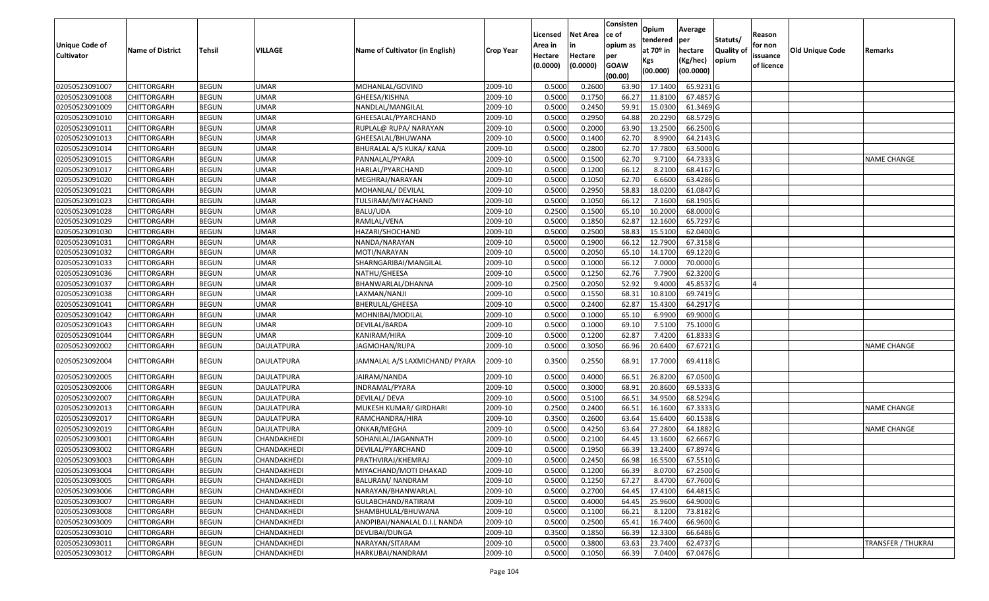|                   |                         |               |                   |                                 |                  |          |                 | Consisten              | Opium       | Average   |                  |            |                        |                           |
|-------------------|-------------------------|---------------|-------------------|---------------------------------|------------------|----------|-----------------|------------------------|-------------|-----------|------------------|------------|------------------------|---------------------------|
|                   |                         |               |                   |                                 |                  | Licensed | <b>Net Area</b> | ce of                  | tendered    | per       | Statuts/         | Reason     |                        |                           |
| Unique Code of    | <b>Name of District</b> | <b>Tehsil</b> | VILLAGE           | Name of Cultivator (in English) | <b>Crop Year</b> | Area in  |                 | opium as               | at $70°$ in | hectare   | <b>Quality o</b> | for non    | <b>Old Unique Code</b> | Remarks                   |
| <b>Cultivator</b> |                         |               |                   |                                 |                  | Hectare  | Hectare         | per                    | Kgs         | (Kg/hec)  | opium            | issuance   |                        |                           |
|                   |                         |               |                   |                                 |                  | (0.0000) | (0.0000)        | <b>GOAW</b><br>(00.00) | (00.000)    | (00.0000) |                  | of licence |                        |                           |
| 02050523091007    | CHITTORGARH             | <b>BEGUN</b>  | <b>UMAR</b>       | MOHANLAL/GOVIND                 | 2009-10          | 0.5000   | 0.2600          | 63.90                  | 17.1400     | 65.9231 G |                  |            |                        |                           |
| 02050523091008    | CHITTORGARH             | <b>BEGUN</b>  | <b>UMAR</b>       | GHEESA/KISHNA                   | 2009-10          | 0.5000   | 0.1750          | 66.27                  | 11.8100     | 67.4857 G |                  |            |                        |                           |
| 02050523091009    | CHITTORGARH             | <b>BEGUN</b>  | <b>UMAR</b>       | NANDLAL/MANGILAL                | 2009-10          | 0.5000   | 0.2450          | 59.91                  | 15.0300     | 61.3469 G |                  |            |                        |                           |
| 02050523091010    | <b>CHITTORGARH</b>      | <b>BEGUN</b>  | <b>UMAR</b>       | GHEESALAL/PYARCHAND             | 2009-10          | 0.5000   | 0.2950          | 64.88                  | 20.2290     | 68.5729 G |                  |            |                        |                           |
| 02050523091011    | CHITTORGARH             | <b>BEGUN</b>  | <b>UMAR</b>       | RUPLAL@ RUPA/ NARAYAN           | 2009-10          | 0.5000   | 0.2000          | 63.90                  | 13.2500     | 66.2500 G |                  |            |                        |                           |
| 02050523091013    | <b>CHITTORGARH</b>      | <b>BEGUN</b>  | <b>UMAR</b>       | GHEESALAL/BHUWANA               | 2009-10          | 0.5000   | 0.1400          | 62.70                  | 8.9900      | 64.2143 G |                  |            |                        |                           |
| 02050523091014    | CHITTORGARH             | <b>BEGUN</b>  | <b>UMAR</b>       | BHURALAL A/S KUKA/ KANA         | 2009-10          | 0.5000   | 0.2800          | 62.70                  | 17.7800     | 63.5000G  |                  |            |                        |                           |
| 02050523091015    | <b>CHITTORGARH</b>      | <b>BEGUN</b>  | <b>UMAR</b>       | PANNALAL/PYARA                  | 2009-10          | 0.5000   | 0.1500          | 62.70                  | 9.7100      | 64.7333 G |                  |            |                        | <b>NAME CHANGE</b>        |
| 02050523091017    | CHITTORGARH             | <b>BEGUN</b>  | <b>UMAR</b>       | HARLAL/PYARCHAND                | 2009-10          | 0.5000   | 0.1200          | 66.12                  | 8.2100      | 68.4167 G |                  |            |                        |                           |
| 02050523091020    | CHITTORGARH             | <b>BEGUN</b>  | <b>UMAR</b>       | MEGHRAJ/NARAYAN                 | 2009-10          | 0.5000   | 0.1050          | 62.70                  | 6.6600      | 63.4286 G |                  |            |                        |                           |
| 02050523091021    | CHITTORGARH             | <b>BEGUN</b>  | <b>UMAR</b>       | MOHANLAL/ DEVILAL               | 2009-10          | 0.5000   | 0.2950          | 58.83                  | 18.0200     | 61.0847 G |                  |            |                        |                           |
| 02050523091023    | <b>CHITTORGARH</b>      | <b>BEGUN</b>  | <b>UMAR</b>       | TULSIRAM/MIYACHAND              | 2009-10          | 0.5000   | 0.1050          | 66.12                  | 7.1600      | 68.1905 G |                  |            |                        |                           |
| 02050523091028    | <b>CHITTORGARH</b>      | <b>BEGUN</b>  | <b>UMAR</b>       | BALU/UDA                        | 2009-10          | 0.2500   | 0.1500          | 65.10                  | 10.2000     | 68.0000G  |                  |            |                        |                           |
| 02050523091029    | <b>CHITTORGARH</b>      | <b>BEGUN</b>  | <b>UMAR</b>       | RAMLAL/VENA                     | 2009-10          | 0.5000   | 0.1850          | 62.87                  | 12.1600     | 65.7297 G |                  |            |                        |                           |
| 02050523091030    | CHITTORGARH             | <b>BEGUN</b>  | <b>UMAR</b>       | HAZARI/SHOCHAND                 | 2009-10          | 0.5000   | 0.2500          | 58.83                  | 15.5100     | 62.0400 G |                  |            |                        |                           |
| 02050523091031    | CHITTORGARH             | <b>BEGUN</b>  | <b>UMAR</b>       | NANDA/NARAYAN                   | 2009-10          | 0.5000   | 0.1900          | 66.12                  | 12.7900     | 67.3158 G |                  |            |                        |                           |
| 02050523091032    | CHITTORGARH             | <b>BEGUN</b>  | <b>UMAR</b>       | MOTI/NARAYAN                    | 2009-10          | 0.5000   | 0.2050          | 65.10                  | 14.1700     | 69.1220 G |                  |            |                        |                           |
| 02050523091033    | CHITTORGARH             | <b>BEGUN</b>  | <b>UMAR</b>       | SHARNGARIBAI/MANGILAL           | 2009-10          | 0.5000   | 0.1000          | 66.12                  | 7.0000      | 70.0000 G |                  |            |                        |                           |
| 02050523091036    | CHITTORGARH             | <b>BEGUN</b>  | <b>UMAR</b>       | NATHU/GHEESA                    | 2009-10          | 0.5000   | 0.1250          | 62.76                  | 7.7900      | 62.3200 G |                  |            |                        |                           |
| 02050523091037    | CHITTORGARH             | <b>BEGUN</b>  | <b>UMAR</b>       | BHANWARLAL/DHANNA               | 2009-10          | 0.2500   | 0.2050          | 52.92                  | 9.4000      | 45.8537 G |                  |            |                        |                           |
| 02050523091038    | CHITTORGARH             | <b>BEGUN</b>  | <b>UMAR</b>       | LAXMAN/NANJI                    | 2009-10          | 0.5000   | 0.1550          | 68.3                   | 10.8100     | 69.7419 G |                  |            |                        |                           |
| 02050523091041    | CHITTORGARH             | <b>BEGUN</b>  | <b>UMAR</b>       | BHERULAL/GHEESA                 | 2009-10          | 0.5000   | 0.2400          | 62.87                  | 15.4300     | 64.2917 G |                  |            |                        |                           |
| 02050523091042    | CHITTORGARH             | <b>BEGUN</b>  | <b>UMAR</b>       | MOHNIBAI/MODILAL                | 2009-10          | 0.5000   | 0.1000          | 65.10                  | 6.9900      | 69.9000 G |                  |            |                        |                           |
| 02050523091043    | CHITTORGARH             | <b>BEGUN</b>  | <b>UMAR</b>       | DEVILAL/BARDA                   | 2009-10          | 0.5000   | 0.1000          | 69.10                  | 7.5100      | 75.1000G  |                  |            |                        |                           |
| 02050523091044    | CHITTORGARH             | <b>BEGUN</b>  | <b>UMAR</b>       | KANIRAM/HIRA                    | 2009-10          | 0.5000   | 0.1200          | 62.87                  | 7.4200      | 61.8333 G |                  |            |                        |                           |
| 02050523092002    | CHITTORGARH             | <b>BEGUN</b>  | DAULATPURA        | JAGMOHAN/RUPA                   | 2009-10          | 0.5000   | 0.3050          | 66.96                  | 20.6400     | 67.6721G  |                  |            |                        | <b>NAME CHANGE</b>        |
|                   |                         |               |                   |                                 |                  |          |                 |                        |             |           |                  |            |                        |                           |
| 02050523092004    | CHITTORGARH             | <b>BEGUN</b>  | DAULATPURA        | JAMNALAL A/S LAXMICHAND/ PYARA  | 2009-10          | 0.3500   | 0.2550          | 68.91                  | 17.7000     | 69.4118 G |                  |            |                        |                           |
| 02050523092005    | <b>CHITTORGARH</b>      | <b>BEGUN</b>  | DAULATPURA        | JAIRAM/NANDA                    | 2009-10          | 0.5000   | 0.4000          | 66.5                   | 26.8200     | 67.0500G  |                  |            |                        |                           |
| 02050523092006    | CHITTORGARH             | <b>BEGUN</b>  | DAULATPURA        | INDRAMAL/PYARA                  | 2009-10          | 0.5000   | 0.3000          | 68.9                   | 20.8600     | 69.5333 G |                  |            |                        |                           |
| 02050523092007    | CHITTORGARH             | <b>BEGUN</b>  | DAULATPURA        | DEVILAL/ DEVA                   | 2009-10          | 0.5000   | 0.5100          | 66.5                   | 34.9500     | 68.5294 G |                  |            |                        |                           |
| 02050523092013    | CHITTORGARH             | <b>BEGUN</b>  | <b>DAULATPURA</b> | MUKESH KUMAR/ GIRDHARI          | 2009-10          | 0.2500   | 0.2400          | 66.5                   | 16.1600     | 67.3333 G |                  |            |                        | <b>NAME CHANGE</b>        |
| 02050523092017    | <b>CHITTORGARH</b>      | <b>BEGUN</b>  | <b>DAULATPURA</b> | RAMCHANDRA/HIRA                 | 2009-10          | 0.3500   | 0.2600          | 63.64                  | 15.6400     | 60.1538 G |                  |            |                        |                           |
| 02050523092019    | <b>CHITTORGARH</b>      | <b>BEGUN</b>  | <b>DAULATPURA</b> | ONKAR/MEGHA                     | 2009-10          | 0.5000   | 0.4250          | 63.64                  | 27.2800     | 64.1882 G |                  |            |                        | <b>NAME CHANGE</b>        |
| 02050523093001    | CHITTORGARH             | <b>BEGUN</b>  | CHANDAKHEDI       | SOHANLAL/JAGANNATH              | 2009-10          | 0.500    | 0.2100          | 64.45                  | 13.1600     | 62.6667 G |                  |            |                        |                           |
| 02050523093002    | CHITTORGARH             | <b>BEGUN</b>  | CHANDAKHEDI       | DEVILAL/PYARCHAND               | 2009-10          | 0.5000   | 0.1950          | 66.39                  | 13.2400     | 67.8974 G |                  |            |                        |                           |
| 02050523093003    | <b>CHITTORGARH</b>      | <b>BEGUN</b>  | CHANDAKHEDI       | PRATHVIRAJ/KHEMRAJ              | 2009-10          | 0.5000   | 0.2450          | 66.98                  | 16.5500     | 67.5510 G |                  |            |                        |                           |
| 02050523093004    | <b>CHITTORGARH</b>      | <b>BEGUN</b>  | CHANDAKHEDI       | MIYACHAND/MOTI DHAKAD           | 2009-10          | 0.5000   | 0.1200          | 66.39                  | 8.0700      | 67.2500 G |                  |            |                        |                           |
| 02050523093005    | <b>CHITTORGARH</b>      | <b>BEGUN</b>  | CHANDAKHEDI       | BALURAM/ NANDRAM                | 2009-10          | 0.5000   | 0.1250          | 67.27                  | 8.4700      | 67.7600 G |                  |            |                        |                           |
| 02050523093006    | <b>CHITTORGARH</b>      | <b>BEGUN</b>  | CHANDAKHEDI       | NARAYAN/BHANWARLAL              | 2009-10          | 0.5000   | 0.2700          | 64.45                  | 17.4100     | 64.4815 G |                  |            |                        |                           |
| 02050523093007    | CHITTORGARH             | <b>BEGUN</b>  | CHANDAKHEDI       | GULABCHAND/RATIRAM              | 2009-10          | 0.5000   | 0.4000          | 64.45                  | 25.9600     | 64.9000G  |                  |            |                        |                           |
| 02050523093008    | <b>CHITTORGARH</b>      | <b>BEGUN</b>  | CHANDAKHEDI       | SHAMBHULAL/BHUWANA              | 2009-10          | 0.5000   | 0.1100          | 66.21                  | 8.1200      | 73.8182 G |                  |            |                        |                           |
| 02050523093009    | <b>CHITTORGARH</b>      | <b>BEGUN</b>  | CHANDAKHEDI       | ANOPIBAI/NANALAL D.I.L NANDA    | 2009-10          | 0.5000   | 0.2500          | 65.41                  | 16.7400     | 66.9600 G |                  |            |                        |                           |
| 02050523093010    | CHITTORGARH             | <b>BEGUN</b>  | CHANDAKHEDI       | DEVLIBAI/DUNGA                  | 2009-10          | 0.3500   | 0.1850          | 66.39                  | 12.3300     | 66.6486 G |                  |            |                        |                           |
| 02050523093011    | <b>CHITTORGARH</b>      | <b>BEGUN</b>  | CHANDAKHEDI       | NARAYAN/SITARAM                 | 2009-10          | 0.5000   | 0.3800          | 63.63                  | 23.7400     | 62.4737 G |                  |            |                        | <b>TRANSFER / THUKRAI</b> |
| 02050523093012    | <b>CHITTORGARH</b>      | <b>BEGUN</b>  | CHANDAKHEDI       | HARKUBAI/NANDRAM                | 2009-10          | 0.5000   | 0.1050          | 66.39                  | 7.0400      | 67.0476 G |                  |            |                        |                           |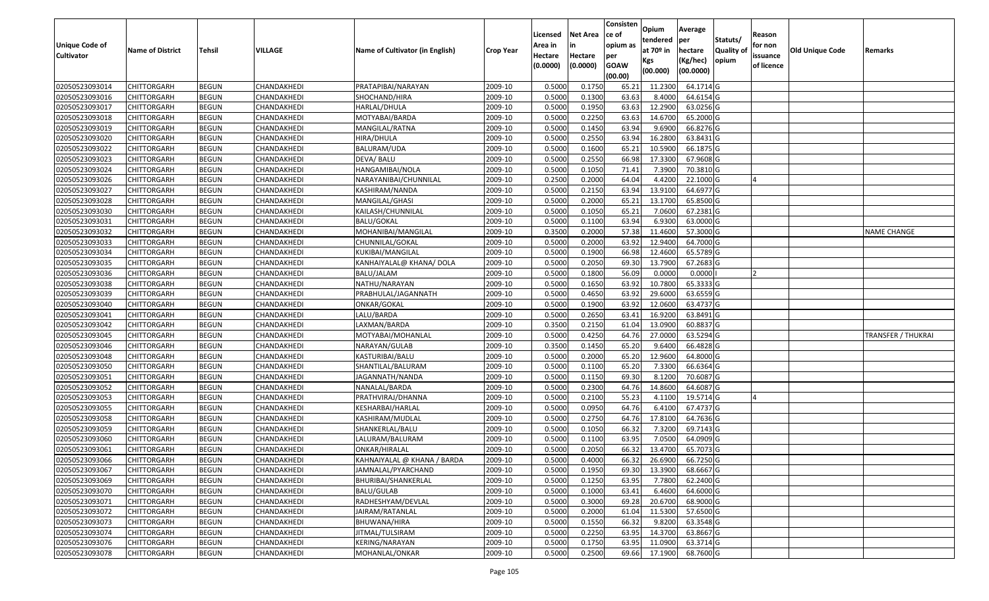|                       |                         |               |             |                                 |                  |          |                 | Consisten              | Opium         | Average   |                  |            |                        |                           |
|-----------------------|-------------------------|---------------|-------------|---------------------------------|------------------|----------|-----------------|------------------------|---------------|-----------|------------------|------------|------------------------|---------------------------|
|                       |                         |               |             |                                 |                  | Licensed | <b>Net Area</b> | ce of                  | tendered      | per       | Statuts/         | Reason     |                        |                           |
| <b>Unique Code of</b> | <b>Name of District</b> | <b>Tehsil</b> | VILLAGE     | Name of Cultivator (in English) | <b>Crop Year</b> | Area in  |                 | opium as               | at $70°$ in   | hectare   | <b>Quality o</b> | for non    | <b>Old Unique Code</b> | Remarks                   |
| <b>Cultivator</b>     |                         |               |             |                                 |                  | Hectare  | Hectare         | per                    | Kgs           | (Kg/hec)  | opium            | issuance   |                        |                           |
|                       |                         |               |             |                                 |                  | (0.0000) | (0.0000)        | <b>GOAW</b><br>(00.00) | (00.000)      | (00.0000) |                  | of licence |                        |                           |
| 02050523093014        | CHITTORGARH             | <b>BEGUN</b>  | CHANDAKHEDI | PRATAPIBAI/NARAYAN              | 2009-10          | 0.5000   | 0.1750          | 65.21                  | 11.2300       | 64.1714 G |                  |            |                        |                           |
| 02050523093016        | CHITTORGARH             | <b>BEGUN</b>  | CHANDAKHEDI | SHOCHAND/HIRA                   | 2009-10          | 0.5000   | 0.1300          | 63.63                  | 8.4000        | 64.6154 G |                  |            |                        |                           |
| 02050523093017        | CHITTORGARH             | <b>BEGUN</b>  | CHANDAKHEDI | HARLAL/DHULA                    | 2009-10          | 0.5000   | 0.1950          | 63.63                  | 12.2900       | 63.0256 G |                  |            |                        |                           |
| 02050523093018        | <b>CHITTORGARH</b>      | <b>BEGUN</b>  | CHANDAKHEDI | MOTYABAI/BARDA                  | 2009-10          | 0.5000   | 0.2250          | 63.63                  | 14.6700       | 65.2000 G |                  |            |                        |                           |
| 02050523093019        | CHITTORGARH             | <b>BEGUN</b>  | CHANDAKHEDI | MANGILAL/RATNA                  | 2009-10          | 0.5000   | 0.1450          | 63.94                  | 9.6900        | 66.8276 G |                  |            |                        |                           |
| 02050523093020        | CHITTORGARH             | <b>BEGUN</b>  | CHANDAKHEDI | HIRA/DHULA                      | 2009-10          | 0.5000   | 0.2550          | 63.94                  | 16.2800       | 63.8431 G |                  |            |                        |                           |
| 02050523093022        | CHITTORGARH             | <b>BEGUN</b>  | CHANDAKHEDI | BALURAM/UDA                     | 2009-10          | 0.5000   | 0.1600          | 65.2                   | 10.590        | 66.1875 G |                  |            |                        |                           |
| 02050523093023        | CHITTORGARH             | <b>BEGUN</b>  | CHANDAKHEDI | DEVA/ BALU                      | 2009-10          | 0.5000   | 0.2550          | 66.98                  | 17.3300       | 67.9608 G |                  |            |                        |                           |
| 02050523093024        | CHITTORGARH             | <b>BEGUN</b>  | CHANDAKHEDI | HANGAMIBAI/NOLA                 | 2009-10          | 0.5000   | 0.1050          | 71.41                  | 7.3900        | 70.3810 G |                  |            |                        |                           |
| 02050523093026        | CHITTORGARH             | <b>BEGUN</b>  | CHANDAKHEDI | NARAYANIBAI/CHUNNILAL           | 2009-10          | 0.2500   | 0.2000          | 64.04                  | 4.4200        | 22.1000G  |                  |            |                        |                           |
| 02050523093027        | CHITTORGARH             | <b>BEGUN</b>  | CHANDAKHEDI | KASHIRAM/NANDA                  | 2009-10          | 0.5000   | 0.2150          | 63.94                  | 13.9100       | 64.6977 G |                  |            |                        |                           |
| 02050523093028        | CHITTORGARH             | <b>BEGUN</b>  | CHANDAKHEDI | MANGILAL/GHASI                  | 2009-10          | 0.5000   | 0.2000          | 65.21                  | 13.1700       | 65.8500 G |                  |            |                        |                           |
| 02050523093030        | <b>CHITTORGARH</b>      | <b>BEGUN</b>  | CHANDAKHEDI | KAILASH/CHUNNILAL               | 2009-10          | 0.5000   | 0.1050          | 65.21                  | 7.0600        | 67.2381 G |                  |            |                        |                           |
| 02050523093031        | <b>CHITTORGARH</b>      | <b>BEGUN</b>  | CHANDAKHEDI | <b>BALU/GOKAL</b>               | 2009-10          | 0.5000   | 0.1100          | 63.94                  | 6.9300        | 63.0000 G |                  |            |                        |                           |
| 02050523093032        | CHITTORGARH             | <b>BEGUN</b>  | CHANDAKHEDI | MOHANIBAI/MANGILAL              | 2009-10          | 0.3500   | 0.2000          | 57.38                  | 11.4600       | 57.3000 G |                  |            |                        | <b>NAME CHANGE</b>        |
| 02050523093033        | <b>CHITTORGARH</b>      | <b>BEGUN</b>  | CHANDAKHEDI | CHUNNILAL/GOKAL                 | 2009-10          | 0.5000   | 0.2000          | 63.92                  | 12.9400       | 64.7000 G |                  |            |                        |                           |
| 02050523093034        | CHITTORGARH             | <b>BEGUN</b>  | CHANDAKHEDI | KUKIBAI/MANGILAL                | 2009-10          | 0.5000   | 0.1900          | 66.98                  | 12.4600       | 65.5789 G |                  |            |                        |                           |
| 02050523093035        | CHITTORGARH             | <b>BEGUN</b>  | CHANDAKHEDI | KANHAIYALAL@ KHANA/ DOLA        | 2009-10          | 0.5000   | 0.2050          | 69.30                  | 13.7900       | 67.2683 G |                  |            |                        |                           |
| 02050523093036        | CHITTORGARH             | <b>BEGUN</b>  | CHANDAKHEDI | BALU/JALAM                      | 2009-10          | 0.5000   | 0.1800          | 56.09                  | 0.0000        | 0.0000    |                  |            |                        |                           |
| 02050523093038        | CHITTORGARH             | <b>BEGUN</b>  | CHANDAKHEDI | NATHU/NARAYAN                   | 2009-10          | 0.5000   | 0.1650          | 63.92                  | 10.7800       | 65.3333 G |                  |            |                        |                           |
| 02050523093039        | CHITTORGARH             | <b>BEGUN</b>  | CHANDAKHEDI | PRABHULAL/JAGANNATH             | 2009-10          | 0.5000   | 0.4650          | 63.92                  | 29.6000       | 63.6559 G |                  |            |                        |                           |
| 02050523093040        | CHITTORGARH             | <b>BEGUN</b>  | CHANDAKHEDI | ONKAR/GOKAL                     | 2009-10          | 0.5000   | 0.1900          | 63.92                  | 12.0600       | 63.4737 G |                  |            |                        |                           |
| 02050523093041        | CHITTORGARH             | <b>BEGUN</b>  | CHANDAKHEDI | LALU/BARDA                      | 2009-10          | 0.5000   | 0.2650          | 63.41                  | 16.9200       | 63.8491 G |                  |            |                        |                           |
| 02050523093042        | CHITTORGARH             | <b>BEGUN</b>  | CHANDAKHEDI | LAXMAN/BARDA                    | 2009-10          | 0.3500   | 0.2150          | 61.04                  | 13.0900       | 60.8837 G |                  |            |                        |                           |
| 02050523093045        | CHITTORGARH             | <b>BEGUN</b>  | CHANDAKHEDI | MOTYABAI/MOHANLAL               | 2009-10          | 0.5000   | 0.4250          | 64.76                  | 27.0000       | 63.5294 G |                  |            |                        | <b>TRANSFER / THUKRAI</b> |
| 02050523093046        | CHITTORGARH             | <b>BEGUN</b>  | CHANDAKHEDI | NARAYAN/GULAB                   | 2009-10          | 0.3500   | 0.1450          | 65.20                  | 9.6400        | 66.4828 G |                  |            |                        |                           |
| 02050523093048        | CHITTORGARH             | <b>BEGUN</b>  | CHANDAKHEDI | KASTURIBAI/BALU                 | 2009-10          | 0.5000   | 0.2000          | 65.20                  | 12.9600       | 64.8000 G |                  |            |                        |                           |
| 02050523093050        | CHITTORGARH             | <b>BEGUN</b>  | CHANDAKHEDI | SHANTILAL/BALURAM               | 2009-10          | 0.5000   | 0.1100          | 65.20                  | 7.3300        | 66.6364 G |                  |            |                        |                           |
| 02050523093051        | CHITTORGARH             | <b>BEGUN</b>  | CHANDAKHEDI | JAGANNATH/NANDA                 | 2009-10          | 0.5000   | 0.1150          | 69.30                  | 8.1200        | 70.6087 G |                  |            |                        |                           |
| 02050523093052        | CHITTORGARH             | <b>BEGUN</b>  | CHANDAKHEDI | NANALAL/BARDA                   | 2009-10          | 0.5000   | 0.2300          | 64.76                  | 14.8600       | 64.6087 G |                  |            |                        |                           |
| 02050523093053        | CHITTORGARH             | <b>BEGUN</b>  | CHANDAKHEDI | PRATHVIRAJ/DHANNA               | 2009-10          | 0.5000   | 0.2100          | 55.23                  | 4.1100        | 19.5714G  |                  |            |                        |                           |
| 02050523093055        | CHITTORGARH             | <b>BEGUN</b>  | CHANDAKHEDI | KESHARBAI/HARLAL                | 2009-10          | 0.5000   | 0.0950          | 64.76                  | 6.4100        | 67.4737 G |                  |            |                        |                           |
| 02050523093058        | CHITTORGARH             | <b>BEGUN</b>  | CHANDAKHEDI | KASHIRAM/MUDLAL                 | 2009-10          | 0.5000   | 0.2750          | 64.76                  | 17.8100       | 64.7636 G |                  |            |                        |                           |
| 02050523093059        | CHITTORGARH             | <b>BEGUN</b>  | CHANDAKHEDI | SHANKERLAL/BALU                 | 2009-10          | 0.5000   | 0.1050          | 66.32                  | 7.3200        | 69.7143 G |                  |            |                        |                           |
| 02050523093060        | CHITTORGARH             | <b>BEGUN</b>  | CHANDAKHEDI | LALURAM/BALURAM                 | 2009-10          | 0.500    | 0.1100          | 63.95                  | 7.0500        | 64.0909 G |                  |            |                        |                           |
| 02050523093061        | CHITTORGARH             | <b>BEGUN</b>  | CHANDAKHEDI | ONKAR/HIRALAL                   | 2009-10          | 0.5000   | 0.2050          | 66.32                  | 13.4700       | 65.7073 G |                  |            |                        |                           |
| 02050523093066        | <b>CHITTORGARH</b>      | <b>BEGUN</b>  | CHANDAKHEDI | KAHNAIYALAL @ KHANA / BARDA     | 2009-10          | 0.5000   | 0.4000          |                        | 66.32 26.6900 | 66.7250 G |                  |            |                        |                           |
| 02050523093067        | <b>CHITTORGARH</b>      | <b>BEGUN</b>  | CHANDAKHEDI | JAMNALAL/PYARCHAND              | 2009-10          | 0.5000   | 0.1950          | 69.30                  | 13.3900       | 68.6667 G |                  |            |                        |                           |
| 02050523093069        | <b>CHITTORGARH</b>      | <b>BEGUN</b>  | CHANDAKHEDI | BHURIBAI/SHANKERLAL             | 2009-10          | 0.5000   | 0.1250          | 63.95                  | 7.7800        | 62.2400 G |                  |            |                        |                           |
| 02050523093070        | <b>CHITTORGARH</b>      | <b>BEGUN</b>  | CHANDAKHEDI | BALU/GULAB                      | 2009-10          | 0.5000   | 0.1000          | 63.41                  | 6.4600        | 64.6000 G |                  |            |                        |                           |
| 02050523093071        | CHITTORGARH             | <b>BEGUN</b>  | CHANDAKHEDI | RADHESHYAM/DEVLAL               | 2009-10          | 0.5000   | 0.3000          | 69.28                  | 20.6700       | 68.9000 G |                  |            |                        |                           |
| 02050523093072        | <b>CHITTORGARH</b>      | <b>BEGUN</b>  | CHANDAKHEDI | JAIRAM/RATANLAL                 | 2009-10          | 0.5000   | 0.2000          | 61.04                  | 11.5300       | 57.6500 G |                  |            |                        |                           |
| 02050523093073        | <b>CHITTORGARH</b>      | <b>BEGUN</b>  | CHANDAKHEDI | BHUWANA/HIRA                    | 2009-10          | 0.5000   | 0.1550          | 66.32                  | 9.8200        | 63.3548 G |                  |            |                        |                           |
| 02050523093074        | <b>CHITTORGARH</b>      | <b>BEGUN</b>  | CHANDAKHEDI | JITMAL/TULSIRAM                 | 2009-10          | 0.5000   | 0.2250          | 63.95                  | 14.3700       | 63.8667 G |                  |            |                        |                           |
| 02050523093076        | <b>CHITTORGARH</b>      | <b>BEGUN</b>  | CHANDAKHEDI | KERING/NARAYAN                  | 2009-10          | 0.5000   | 0.1750          | 63.95                  | 11.0900       | 63.3714 G |                  |            |                        |                           |
| 02050523093078        | <b>CHITTORGARH</b>      | <b>BEGUN</b>  | CHANDAKHEDI | MOHANLAL/ONKAR                  | 2009-10          | 0.5000   | 0.2500          | 69.66                  | 17.1900       | 68.7600 G |                  |            |                        |                           |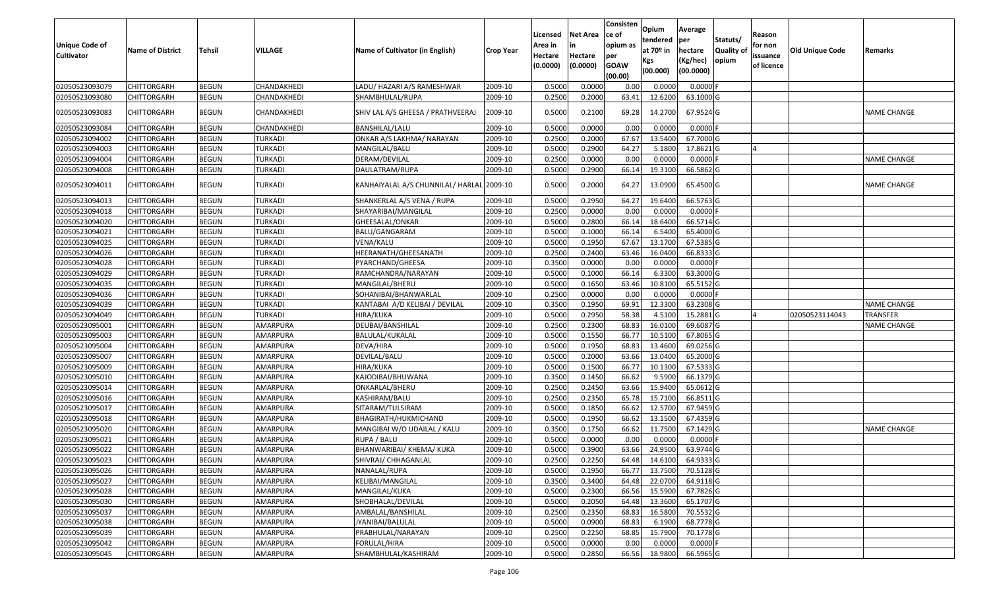| <b>Unique Code of</b><br><b>Cultivator</b> | <b>Name of District</b> | Tehsil       | VILLAGE        | Name of Cultivator (in English)           | <b>Crop Year</b> | Licensed<br>Area in<br>Hectare<br>(0.0000) | <b>Net Area</b><br>in<br>Hectare<br>(0.0000) | Consisten<br>ce of<br>opium as<br>per<br><b>GOAW</b><br>(00.00) | Opium<br>tendered<br>at $70°$ in<br>Kgs<br>(00.000) | Average<br>per<br>hectare<br>(Kg/hec)<br>(00.0000) | Statuts/<br>Quality of<br>opium | Reason<br>for non<br>issuance<br>of licence | <b>Old Unique Code</b> | Remarks            |
|--------------------------------------------|-------------------------|--------------|----------------|-------------------------------------------|------------------|--------------------------------------------|----------------------------------------------|-----------------------------------------------------------------|-----------------------------------------------------|----------------------------------------------------|---------------------------------|---------------------------------------------|------------------------|--------------------|
| 02050523093079                             | <b>CHITTORGARH</b>      | <b>BEGUN</b> | CHANDAKHEDI    | LADU/ HAZARI A/S RAMESHWAR                | 2009-10          | 0.5000                                     | 0.0000                                       | 0.00                                                            | 0.0000                                              | $0.0000$ F                                         |                                 |                                             |                        |                    |
| 02050523093080                             | CHITTORGARH             | <b>BEGUN</b> | CHANDAKHEDI    | SHAMBHULAL/RUPA                           | 2009-10          | 0.2500                                     | 0.2000                                       | 63.41                                                           | 12.6200                                             | 63.1000 G                                          |                                 |                                             |                        |                    |
| 02050523093083                             | CHITTORGARH             | <b>BEGUN</b> | CHANDAKHEDI    | SHIV LAL A/S GHEESA / PRATHVEERAJ         | 2009-10          | 0.5000                                     | 0.2100                                       | 69.28                                                           | 14.2700                                             | 67.9524 G                                          |                                 |                                             |                        | NAME CHANGE        |
| 02050523093084                             | CHITTORGARH             | <b>BEGUN</b> | CHANDAKHEDI    | BANSHILAL/LALU                            | 2009-10          | 0.500                                      | 0.0000                                       | 0.00                                                            | 0.0000                                              | $0.0000$ F                                         |                                 |                                             |                        |                    |
| 02050523094002                             | CHITTORGARH             | <b>BEGUN</b> | TURKADI        | ONKAR A/S LAKHMA/ NARAYAN                 | 2009-10          | 0.2500                                     | 0.2000                                       | 67.67                                                           | 13.5400                                             | 67.7000 G                                          |                                 |                                             |                        |                    |
| 02050523094003                             | CHITTORGARH             | <b>BEGUN</b> | TURKADI        | MANGILAL/BALU                             | 2009-10          | 0.5000                                     | 0.2900                                       | 64.27                                                           | 5.1800                                              | 17.8621 G                                          |                                 |                                             |                        |                    |
| 02050523094004                             | CHITTORGARH             | <b>BEGUN</b> | <b>TURKADI</b> | DERAM/DEVILAL                             | 2009-10          | 0.2500                                     | 0.0000                                       | 0.00                                                            | 0.0000                                              | $0.0000$ F                                         |                                 |                                             |                        | <b>NAME CHANGE</b> |
| 02050523094008                             | CHITTORGARH             | <b>BEGUN</b> | TURKADI        | DAULATRAM/RUPA                            | 2009-10          | 0.5000                                     | 0.2900                                       | 66.14                                                           | 19.3100                                             | 66.5862 G                                          |                                 |                                             |                        |                    |
| 02050523094011                             | CHITTORGARH             | <b>BEGUN</b> | TURKADI        | KANHAIYALAL A/S CHUNNILAL/ HARLAL 2009-10 |                  | 0.5000                                     | 0.2000                                       | 64.27                                                           | 13.0900                                             | 65.4500 G                                          |                                 |                                             |                        | <b>NAME CHANGE</b> |
| 02050523094013                             | <b>CHITTORGARH</b>      | <b>BEGUN</b> | TURKADI        | SHANKERLAL A/S VENA / RUPA                | 2009-10          | 0.5000                                     | 0.2950                                       | 64.27                                                           | 19.6400                                             | 66.5763 G                                          |                                 |                                             |                        |                    |
| 02050523094018                             | <b>CHITTORGARH</b>      | <b>BEGUN</b> | TURKADI        | SHAYARIBAI/MANGILAL                       | 2009-10          | 0.2500                                     | 0.0000                                       | 0.00                                                            | 0.0000                                              | $0.0000$ F                                         |                                 |                                             |                        |                    |
| 02050523094020                             | CHITTORGARH             | <b>BEGUN</b> | TURKADI        | GHEESALAL/ONKAR                           | 2009-10          | 0.5000                                     | 0.2800                                       | 66.14                                                           | 18.6400                                             | 66.5714 G                                          |                                 |                                             |                        |                    |
| 02050523094021                             | CHITTORGARH             | <b>BEGUN</b> | TURKADI        | BALU/GANGARAM                             | 2009-10          | 0.5000                                     | 0.1000                                       | 66.14                                                           | 6.5400                                              | 65.4000 G                                          |                                 |                                             |                        |                    |
| 02050523094025                             | CHITTORGARH             | <b>BEGUN</b> | <b>TURKADI</b> | VENA/KALU                                 | 2009-10          | 0.5000                                     | 0.1950                                       | 67.67                                                           | 13.1700                                             | 67.5385 G                                          |                                 |                                             |                        |                    |
| 02050523094026                             | CHITTORGARH             | <b>BEGUN</b> | TURKADI        | HEERANATH/GHEESANATH                      | 2009-10          | 0.2500                                     | 0.2400                                       | 63.46                                                           | 16.0400                                             | 66.8333 G                                          |                                 |                                             |                        |                    |
| 02050523094028                             | CHITTORGARH             | <b>BEGUN</b> | TURKADI        | PYARCHAND/GHEESA                          | 2009-10          | 0.3500                                     | 0.0000                                       | 0.00                                                            | 0.0000                                              | 0.0000                                             |                                 |                                             |                        |                    |
| 02050523094029                             | CHITTORGARH             | <b>BEGUN</b> | TURKADI        | RAMCHANDRA/NARAYAN                        | 2009-10          | 0.5000                                     | 0.1000                                       | 66.14                                                           | 6.3300                                              | 63.3000 G                                          |                                 |                                             |                        |                    |
| 02050523094035                             | CHITTORGARH             | <b>BEGUN</b> | TURKADI        | MANGILAL/BHERU                            | 2009-10          | 0.5000                                     | 0.1650                                       | 63.46                                                           | 10.8100                                             | 65.5152 G                                          |                                 |                                             |                        |                    |
| 02050523094036                             | <b>CHITTORGARH</b>      | <b>BEGUN</b> | TURKADI        | SOHANIBAI/BHANWARLAL                      | 2009-10          | 0.2500                                     | 0.0000                                       | 0.00                                                            | 0.0000                                              | $0.0000$ F                                         |                                 |                                             |                        |                    |
| 02050523094039                             | CHITTORGARH             | <b>BEGUN</b> | TURKADI        | KANTABAI A/D KELIBAI / DEVILAL            | 2009-10          | 0.3500                                     | 0.1950                                       | 69.91                                                           | 12.3300                                             | 63.2308 G                                          |                                 |                                             |                        | <b>NAME CHANGE</b> |
| 02050523094049                             | CHITTORGARH             | <b>BEGUN</b> | TURKADI        | HIRA/KUKA                                 | 2009-10          | 0.5000                                     | 0.2950                                       | 58.38                                                           | 4.5100                                              | 15.2881 G                                          |                                 |                                             | 02050523114043         | TRANSFER           |
| 02050523095001                             | CHITTORGARH             | <b>BEGUN</b> | AMARPURA       | DEUBAI/BANSHILAL                          | 2009-10          | 0.2500                                     | 0.2300                                       | 68.83                                                           | 16.0100                                             | 69.6087 G                                          |                                 |                                             |                        | NAME CHANGE        |
| 02050523095003                             | CHITTORGARH             | <b>BEGUN</b> | AMARPURA       | BALULAL/KUKALAL                           | 2009-10          | 0.5000                                     | 0.1550                                       | 66.7                                                            | 10.5100                                             | 67.8065 G                                          |                                 |                                             |                        |                    |
| 02050523095004                             | CHITTORGARH             | <b>BEGUN</b> | AMARPURA       | DEVA/HIRA                                 | 2009-10          | 0.5000                                     | 0.1950                                       | 68.83                                                           | 13.4600                                             | 69.0256 G                                          |                                 |                                             |                        |                    |
| 02050523095007                             | CHITTORGARH             | <b>BEGUN</b> | AMARPURA       | DEVILAL/BALU                              | 2009-10          | 0.5000                                     | 0.2000                                       | 63.66                                                           | 13.0400                                             | 65.2000 G                                          |                                 |                                             |                        |                    |
| 02050523095009                             | CHITTORGARH             | <b>BEGUN</b> | AMARPURA       | HIRA/KUKA                                 | 2009-10          | 0.5000                                     | 0.1500                                       | 66.77                                                           | 10.1300                                             | 67.5333 G                                          |                                 |                                             |                        |                    |
| 02050523095010                             | <b>CHITTORGARH</b>      | <b>BEGUN</b> | AMARPURA       | KAJODIBAI/BHUWANA                         | 2009-10          | 0.3500                                     | 0.1450                                       | 66.62                                                           | 9.5900                                              | 66.1379 G                                          |                                 |                                             |                        |                    |
| 02050523095014                             | CHITTORGARH             | <b>BEGUN</b> | AMARPURA       | ONKARLAL/BHERU                            | 2009-10          | 0.2500                                     | 0.2450                                       | 63.66                                                           | 15.9400                                             | 65.0612 G                                          |                                 |                                             |                        |                    |
| 02050523095016                             | CHITTORGARH             | <b>BEGUN</b> | AMARPURA       | KASHIRAM/BALU                             | 2009-10          | 0.2500                                     | 0.2350                                       | 65.78                                                           | 15.7100                                             | 66.8511G                                           |                                 |                                             |                        |                    |
| 02050523095017                             | <b>CHITTORGARH</b>      | <b>BEGUN</b> | AMARPURA       | SITARAM/TULSIRAM                          | 2009-10          | 0.5000                                     | 0.1850                                       | 66.62                                                           | 12.5700                                             | 67.9459 G                                          |                                 |                                             |                        |                    |
| 02050523095018                             | <b>CHITTORGARH</b>      | <b>BEGUN</b> | AMARPURA       | BHAGIRATH/HUKMICHAND                      | 2009-10          | 0.5000                                     | 0.1950                                       | 66.62                                                           | 13.1500                                             | 67.4359 G                                          |                                 |                                             |                        |                    |
| 02050523095020                             | <b>CHITTORGARH</b>      | <b>BEGUN</b> | AMARPURA       | MANGIBAI W/O UDAILAL / KALU               | 2009-10          | 0.3500                                     | 0.1750                                       | 66.62                                                           | 11.7500                                             | 67.1429 G                                          |                                 |                                             |                        | <b>NAME CHANGE</b> |
| 02050523095021                             | CHITTORGARH             | <b>BEGUN</b> | AMARPURA       | RUPA / BALU                               | 2009-10          | 0.5000                                     | 0.0000                                       | 0.00                                                            | 0.0000                                              | $0.0000$ F                                         |                                 |                                             |                        |                    |
| 02050523095022                             | CHITTORGARH             | <b>BEGUN</b> | AMARPURA       | BHANWARIBAI/KHEMA/KUKA                    | 2009-10          | 0.5000                                     | 0.3900                                       | 63.66                                                           | 24.9500                                             | 63.9744 G                                          |                                 |                                             |                        |                    |
| 02050523095023                             | <b>CHITTORGARH</b>      | <b>BEGUN</b> | AMARPURA       | SHIVRAJ/ CHHAGANLAL                       | 2009-10          | 0.2500                                     | 0.2250                                       | 64.48                                                           | 14.6100                                             | 64.9333 G                                          |                                 |                                             |                        |                    |
| 02050523095026                             | <b>CHITTORGARH</b>      | <b>BEGUN</b> | AMARPURA       | NANALAL/RUPA                              | 2009-10          | 0.5000                                     | 0.1950                                       | 66.77                                                           | 13.7500                                             | 70.5128 G                                          |                                 |                                             |                        |                    |
| 02050523095027                             | <b>CHITTORGARH</b>      | <b>BEGUN</b> | AMARPURA       | KELIBAI/MANGILAL                          | 2009-10          | 0.3500                                     | 0.3400                                       | 64.48                                                           | 22.0700                                             | 64.9118 G                                          |                                 |                                             |                        |                    |
| 02050523095028                             | <b>CHITTORGARH</b>      | <b>BEGUN</b> | AMARPURA       | MANGILAL/KUKA                             | 2009-10          | 0.5000                                     | 0.2300                                       | 66.56                                                           | 15.5900                                             | 67.7826 G                                          |                                 |                                             |                        |                    |
| 02050523095030                             | <b>CHITTORGARH</b>      | <b>BEGUN</b> | AMARPURA       | SHOBHALAL/DEVILAL                         | 2009-10          | 0.5000                                     | 0.2050                                       | 64.48                                                           | 13.3600                                             | 65.1707 G                                          |                                 |                                             |                        |                    |
| 02050523095037                             | <b>CHITTORGARH</b>      | <b>BEGUN</b> | AMARPURA       | AMBALAL/BANSHILAL                         | 2009-10          | 0.2500                                     | 0.2350                                       | 68.83                                                           | 16.5800                                             | 70.5532 G                                          |                                 |                                             |                        |                    |
| 02050523095038                             | <b>CHITTORGARH</b>      | <b>BEGUN</b> | AMARPURA       | JYANIBAI/BALULAL                          | 2009-10          | 0.5000                                     | 0.0900                                       | 68.83                                                           | 6.1900                                              | 68.7778 G                                          |                                 |                                             |                        |                    |
| 02050523095039                             | <b>CHITTORGARH</b>      | <b>BEGUN</b> | AMARPURA       | PRABHULAL/NARAYAN                         | 2009-10          | 0.2500                                     | 0.2250                                       | 68.85                                                           | 15.7900                                             | 70.1778G                                           |                                 |                                             |                        |                    |
| 02050523095042                             | <b>CHITTORGARH</b>      | <b>BEGUN</b> | AMARPURA       | FORULAL/HIRA                              | 2009-10          | 0.5000                                     | 0.0000                                       | 0.00                                                            | 0.0000                                              | $0.0000$ F                                         |                                 |                                             |                        |                    |
| 02050523095045                             | <b>CHITTORGARH</b>      | <b>BEGUN</b> | AMARPURA       | SHAMBHULAL/KASHIRAM                       | 2009-10          | 0.5000                                     | 0.2850                                       | 66.56                                                           | 18.9800                                             | 66.5965 G                                          |                                 |                                             |                        |                    |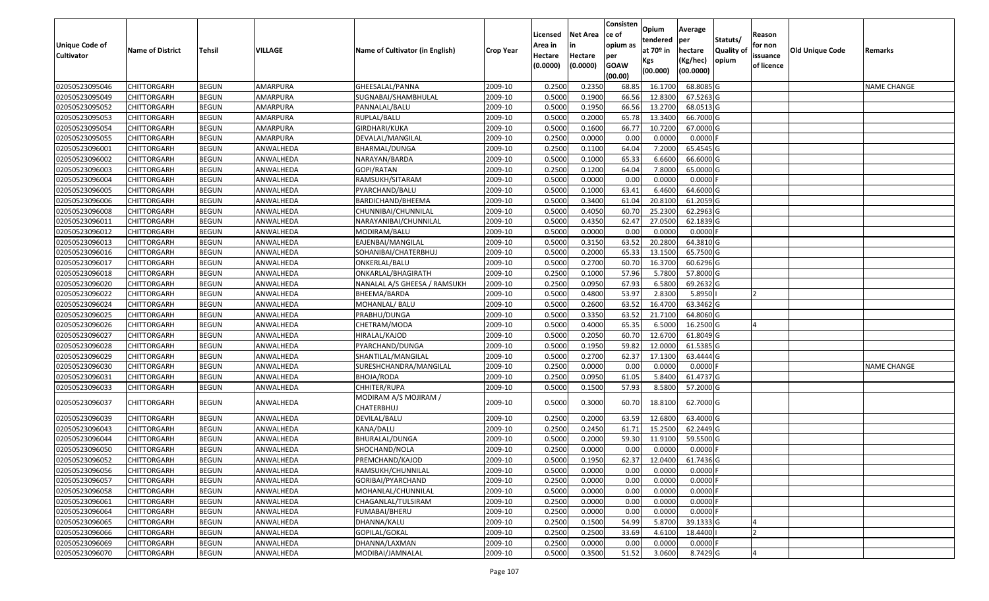| <b>Unique Code of</b><br><b>Cultivator</b> | <b>Name of District</b> | <b>Tehsil</b> | VILLAGE   | Name of Cultivator (in English)     | <b>Crop Year</b> | Licensed<br>Area in<br>Hectare<br>(0.0000) | Net Area<br>in<br>Hectare<br>(0.0000) | Consisten<br>ce of<br>opium as<br>per<br><b>GOAW</b><br>(00.00) | <b>Opium</b><br>tendered<br>at 70º in<br>Kgs<br>(00.000) | Average<br> per<br>hectare<br>(Kg/hec)<br>(00.0000) | Statuts/<br><b>Quality of</b><br>opium | Reason<br>for non<br>issuance<br>of licence | <b>Old Unique Code</b> | Remarks            |
|--------------------------------------------|-------------------------|---------------|-----------|-------------------------------------|------------------|--------------------------------------------|---------------------------------------|-----------------------------------------------------------------|----------------------------------------------------------|-----------------------------------------------------|----------------------------------------|---------------------------------------------|------------------------|--------------------|
| 02050523095046                             | <b>CHITTORGARH</b>      | <b>BEGUN</b>  | AMARPURA  | GHEESALAL/PANNA                     | 2009-10          | 0.2500                                     | 0.235                                 | 68.85                                                           | 16.1700                                                  | 68.8085 G                                           |                                        |                                             |                        | <b>NAME CHANGE</b> |
| 02050523095049                             | CHITTORGARH             | <b>BEGUN</b>  | AMARPURA  | SUGNABAI/SHAMBHULAL                 | 2009-10          | 0.5000                                     | 0.1900                                | 66.56                                                           | 12.8300                                                  | 67.5263 G                                           |                                        |                                             |                        |                    |
| 02050523095052                             | CHITTORGARH             | <b>BEGUN</b>  | AMARPURA  | PANNALAL/BALU                       | 2009-10          | 0.5000                                     | 0.1950                                | 66.56                                                           | 13.2700                                                  | 68.0513 G                                           |                                        |                                             |                        |                    |
| 02050523095053                             | <b>CHITTORGARH</b>      | <b>BEGUN</b>  | AMARPURA  | RUPLAL/BALU                         | 2009-10          | 0.5000                                     | 0.2000                                | 65.78                                                           | 13.3400                                                  | 66.7000 G                                           |                                        |                                             |                        |                    |
| 02050523095054                             | <b>CHITTORGARH</b>      | <b>BEGUN</b>  | AMARPURA  | GIRDHARI/KUKA                       | 2009-10          | 0.5000                                     | 0.1600                                | 66.77                                                           | 10.7200                                                  | 67.0000 G                                           |                                        |                                             |                        |                    |
| 02050523095055                             | CHITTORGARH             | <b>BEGUN</b>  | AMARPURA  | DEVALAL/MANGILAL                    | 2009-10          | 0.2500                                     | 0.0000                                | 0.00                                                            | 0.0000                                                   | 0.0000                                              |                                        |                                             |                        |                    |
| 02050523096001                             | CHITTORGARH             | <b>BEGUN</b>  | ANWALHEDA | BHARMAL/DUNGA                       | 2009-10          | 0.2500                                     | 0.1100                                | 64.04                                                           | 7.2000                                                   | 65.4545 G                                           |                                        |                                             |                        |                    |
| 02050523096002                             | <b>CHITTORGARH</b>      | <b>BEGUN</b>  | ANWALHEDA | NARAYAN/BARDA                       | 2009-10          | 0.5000                                     | 0.1000                                | 65.33                                                           | 6.6600                                                   | 66.6000 G                                           |                                        |                                             |                        |                    |
| 02050523096003                             | CHITTORGARH             | <b>BEGUN</b>  | ANWALHEDA | GOPI/RATAN                          | 2009-10          | 0.2500                                     | 0.1200                                | 64.04                                                           | 7.8000                                                   | 65.0000 G                                           |                                        |                                             |                        |                    |
| 02050523096004                             | CHITTORGARH             | <b>BEGUN</b>  | ANWALHEDA | RAMSUKH/SITARAM                     | 2009-10          | 0.5000                                     | 0.0000                                | 0.00                                                            | 0.0000                                                   | $0.0000$ F                                          |                                        |                                             |                        |                    |
| 02050523096005                             | <b>CHITTORGARH</b>      | <b>BEGUN</b>  | ANWALHEDA | PYARCHAND/BALU                      | 2009-10          | 0.5000                                     | 0.1000                                | 63.41                                                           | 6.4600                                                   | 64.6000 G                                           |                                        |                                             |                        |                    |
| 02050523096006                             | CHITTORGARH             | <b>BEGUN</b>  | ANWALHEDA | BARDICHAND/BHEEMA                   | 2009-10          | 0.5000                                     | 0.3400                                | 61.04                                                           | 20.8100                                                  | 61.2059 G                                           |                                        |                                             |                        |                    |
| 02050523096008                             | CHITTORGARH             | <b>BEGUN</b>  | ANWALHEDA | CHUNNIBAI/CHUNNILAL                 | 2009-10          | 0.5000                                     | 0.4050                                | 60.70                                                           | 25.2300                                                  | 62.2963 G                                           |                                        |                                             |                        |                    |
| 02050523096011                             | CHITTORGARH             | <b>BEGUN</b>  | ANWALHEDA | NARAYANIBAI/CHUNNILAL               | 2009-10          | 0.5000                                     | 0.4350                                | 62.47                                                           | 27.0500                                                  | 62.1839 G                                           |                                        |                                             |                        |                    |
| 02050523096012                             | CHITTORGARH             | <b>BEGUN</b>  | ANWALHEDA | MODIRAM/BALU                        | 2009-10          | 0.5000                                     | 0.0000                                | 0.00                                                            | 0.0000                                                   | $0.0000$ F                                          |                                        |                                             |                        |                    |
| 02050523096013                             | CHITTORGARH             | <b>BEGUN</b>  | ANWALHEDA | EAJENBAI/MANGILAL                   | 2009-10          | 0.5000                                     | 0.3150                                | 63.52                                                           | 20.2800                                                  | 64.3810 G                                           |                                        |                                             |                        |                    |
| 02050523096016                             | CHITTORGARH             | <b>BEGUN</b>  | ANWALHEDA | SOHANIBAI/CHATERBHUJ                | 2009-10          | 0.5000                                     | 0.2000                                | 65.33                                                           | 13.1500                                                  | 65.7500 G                                           |                                        |                                             |                        |                    |
| 02050523096017                             | CHITTORGARH             | <b>BEGUN</b>  | ANWALHEDA | ONKERLAL/BALU                       | 2009-10          | 0.5000                                     | 0.2700                                | 60.70                                                           | 16.3700                                                  | 60.6296 G                                           |                                        |                                             |                        |                    |
| 02050523096018                             | CHITTORGARH             | <b>BEGUN</b>  | ANWALHEDA | ONKARLAL/BHAGIRATH                  | 2009-10          | 0.2500                                     | 0.1000                                | 57.96                                                           | 5.7800                                                   | 57.8000 G                                           |                                        |                                             |                        |                    |
| 02050523096020                             | CHITTORGARH             | <b>BEGUN</b>  | ANWALHEDA | NANALAL A/S GHEESA / RAMSUKH        | 2009-10          | 0.2500                                     | 0.0950                                | 67.93                                                           | 6.5800                                                   | 69.2632 G                                           |                                        |                                             |                        |                    |
| 02050523096022                             | <b>CHITTORGARH</b>      | <b>BEGUN</b>  | ANWALHEDA | BHEEMA/BARDA                        | 2009-10          | 0.5000                                     | 0.4800                                | 53.97                                                           | 2.8300                                                   | 5.8950                                              |                                        |                                             |                        |                    |
| 02050523096024                             | CHITTORGARH             | <b>BEGUN</b>  | ANWALHEDA | MOHANLAL/ BALU                      | 2009-10          | 0.5000                                     | 0.2600                                | 63.52                                                           | 16.4700                                                  | 63.3462 G                                           |                                        |                                             |                        |                    |
| 02050523096025                             | CHITTORGARH             | <b>BEGUN</b>  | ANWALHEDA | PRABHU/DUNGA                        | 2009-10          | 0.5000                                     | 0.3350                                | 63.52                                                           | 21.7100                                                  | 64.8060 G                                           |                                        |                                             |                        |                    |
| 02050523096026                             | CHITTORGARH             | <b>BEGUN</b>  | ANWALHEDA | CHETRAM/MODA                        | 2009-10          | 0.5000                                     | 0.4000                                | 65.35                                                           | 6.5000                                                   | 16.2500 G                                           |                                        |                                             |                        |                    |
| 02050523096027                             | <b>CHITTORGARH</b>      | <b>BEGUN</b>  | ANWALHEDA | HIRALAL/KAJOD                       | 2009-10          | 0.5000                                     | 0.2050                                | 60.70                                                           | 12.6700                                                  | 61.8049 G                                           |                                        |                                             |                        |                    |
| 02050523096028                             | CHITTORGARH             | <b>BEGUN</b>  | ANWALHEDA | PYARCHAND/DUNGA                     | 2009-10          | 0.5000                                     | 0.1950                                | 59.82                                                           | 12.0000                                                  | 61.5385 G                                           |                                        |                                             |                        |                    |
| 02050523096029                             | CHITTORGARH             | <b>BEGUN</b>  | ANWALHEDA | SHANTILAL/MANGILAL                  | 2009-10          | 0.5000                                     | 0.2700                                | 62.37                                                           | 17.1300                                                  | 63.4444 G                                           |                                        |                                             |                        |                    |
| 02050523096030                             | CHITTORGARH             | <b>BEGUN</b>  | ANWALHEDA | SURESHCHANDRA/MANGILAL              | 2009-10          | 0.2500                                     | 0.0000                                | 0.00                                                            | 0.0000                                                   | $0.0000$ F                                          |                                        |                                             |                        | NAME CHANGE        |
| 02050523096031                             | <b>CHITTORGARH</b>      | <b>BEGUN</b>  | ANWALHEDA | BHOJA/RODA                          | 2009-10          | 0.2500                                     | 0.0950                                | 61.05                                                           | 5.8400                                                   | 61.4737 G                                           |                                        |                                             |                        |                    |
| 02050523096033                             | <b>CHITTORGARH</b>      | <b>BEGUN</b>  | ANWALHEDA | CHHITER/RUPA                        | 2009-10          | 0.5000                                     | 0.1500                                | 57.93                                                           | 8.5800                                                   | 57.2000 G                                           |                                        |                                             |                        |                    |
| 02050523096037                             | CHITTORGARH             | <b>BEGUN</b>  | ANWALHEDA | MODIRAM A/S MOJIRAM /<br>CHATERBHUJ | 2009-10          | 0.5000                                     | 0.3000                                | 60.70                                                           | 18.8100                                                  | 62.7000 G                                           |                                        |                                             |                        |                    |
| 02050523096039                             | CHITTORGARH             | <b>BEGUN</b>  | ANWALHEDA | DEVILAL/BALU                        | 2009-10          | 0.2500                                     | 0.2000                                | 63.59                                                           | 12.6800                                                  | 63.4000 G                                           |                                        |                                             |                        |                    |
| 02050523096043                             | CHITTORGARH             | <b>BEGUN</b>  | ANWALHEDA | KANA/DALU                           | 2009-10          | 0.2500                                     | 0.2450                                | 61.71                                                           | 15.2500                                                  | 62.2449 G                                           |                                        |                                             |                        |                    |
| 02050523096044                             | CHITTORGARH             | <b>BEGUN</b>  | ANWALHEDA | BHURALAL/DUNGA                      | 2009-10          | 0.5000                                     | 0.2000                                | 59.30                                                           | 11.910                                                   | 59.5500 G                                           |                                        |                                             |                        |                    |
| 02050523096050                             | CHITTORGARH             | <b>BEGUN</b>  | ANWALHEDA | SHOCHAND/NOLA                       | 2009-10          | 0.2500                                     | 0.0000                                | 0.00                                                            | 0.0000                                                   | $0.0000$ F                                          |                                        |                                             |                        |                    |
| 02050523096052                             | <b>CHITTORGARH</b>      | <b>BEGUN</b>  | ANWALHEDA | PREMCHAND/KAJOD                     | 2009-10          | 0.5000                                     | 0.1950                                | 62.37                                                           | 12.0400                                                  | 61.7436 G                                           |                                        |                                             |                        |                    |
| 02050523096056                             | <b>CHITTORGARH</b>      | <b>BEGUN</b>  | ANWALHEDA | RAMSUKH/CHUNNILAL                   | 2009-10          | 0.5000                                     | 0.0000                                | 0.00                                                            | 0.0000                                                   | 0.0000F                                             |                                        |                                             |                        |                    |
| 02050523096057                             | <b>CHITTORGARH</b>      | <b>BEGUN</b>  | ANWALHEDA | GORIBAI/PYARCHAND                   | 2009-10          | 0.2500                                     | 0.0000                                | 0.00                                                            | 0.0000                                                   | $0.0000$ F                                          |                                        |                                             |                        |                    |
| 02050523096058                             | <b>CHITTORGARH</b>      | <b>BEGUN</b>  | ANWALHEDA | MOHANLAL/CHUNNILAL                  | 2009-10          | 0.5000                                     | 0.0000                                | 0.00                                                            | 0.0000                                                   | $0.0000$ F                                          |                                        |                                             |                        |                    |
| 02050523096061                             | <b>CHITTORGARH</b>      | <b>BEGUN</b>  | ANWALHEDA | CHAGANLAL/TULSIRAM                  | 2009-10          | 0.2500                                     | 0.0000                                | 0.00                                                            | 0.0000                                                   | $0.0000$ F                                          |                                        |                                             |                        |                    |
| 02050523096064                             | <b>CHITTORGARH</b>      | <b>BEGUN</b>  | ANWALHEDA | FUMABAI/BHERU                       | 2009-10          | 0.2500                                     | 0.0000                                | 0.00                                                            | 0.0000                                                   | $0.0000$ F                                          |                                        |                                             |                        |                    |
| 02050523096065                             | <b>CHITTORGARH</b>      | <b>BEGUN</b>  | ANWALHEDA | DHANNA/KALU                         | 2009-10          | 0.2500                                     | 0.1500                                | 54.99                                                           | 5.8700                                                   | 39.1333 G                                           |                                        |                                             |                        |                    |
| 02050523096066                             | <b>CHITTORGARH</b>      | <b>BEGUN</b>  | ANWALHEDA | GOPILAL/GOKAL                       | 2009-10          | 0.2500                                     | 0.2500                                | 33.69                                                           | 4.6100                                                   | 18.4400                                             |                                        | 12                                          |                        |                    |
| 02050523096069                             | CHITTORGARH             | <b>BEGUN</b>  | ANWALHEDA | DHANNA/LAXMAN                       | 2009-10          | 0.2500                                     | 0.0000                                | 0.00                                                            | 0.0000                                                   | $0.0000$ F                                          |                                        |                                             |                        |                    |
| 02050523096070                             | <b>CHITTORGARH</b>      | <b>BEGUN</b>  | ANWALHEDA | MODIBAI/JAMNALAL                    | 2009-10          | 0.5000                                     | 0.3500                                | 51.52                                                           | 3.0600                                                   | 8.7429 G                                            |                                        | 4                                           |                        |                    |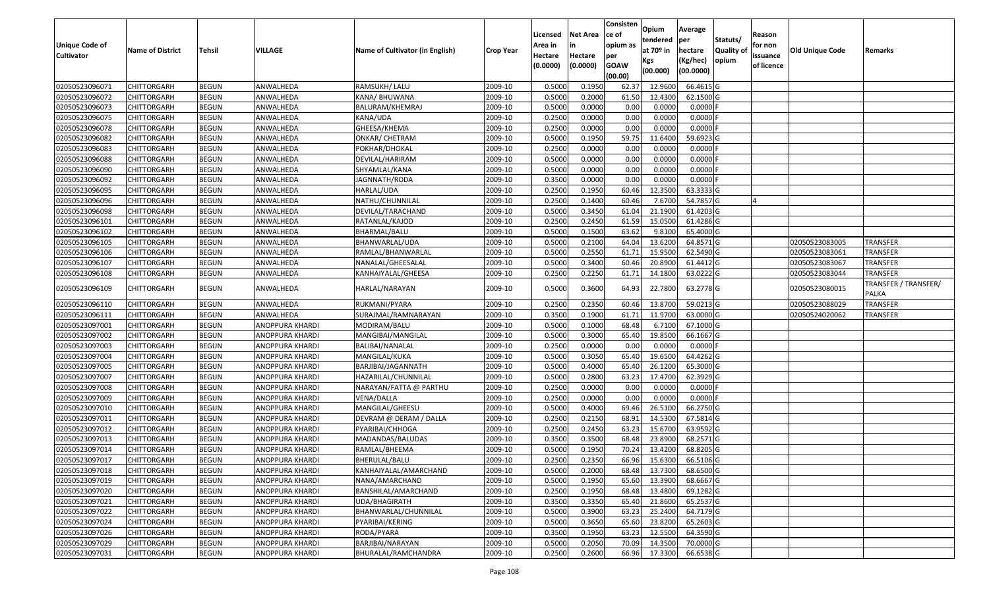| <b>Unique Code of</b><br><b>Cultivator</b> | <b>Name of District</b> | Tehsil       | VILLAGE                | Name of Cultivator (in English) | <b>Crop Year</b> | Licensed<br>Area in<br>Hectare<br>(0.0000) | <b>Net Area</b><br>in<br>Hectare<br>(0.0000) | Consisten<br>ce of<br>opium as<br>per<br><b>GOAW</b><br>(00.00) | Opium<br>tendered<br>at $70°$ in<br>Kgs<br>(00.000) | Average<br>per<br>hectare<br>(Kg/hec)<br>(00.0000) | Statuts/<br>Quality of<br>opium | Reason<br>for non<br>issuance<br>of licence | Old Unique Code | Remarks                       |
|--------------------------------------------|-------------------------|--------------|------------------------|---------------------------------|------------------|--------------------------------------------|----------------------------------------------|-----------------------------------------------------------------|-----------------------------------------------------|----------------------------------------------------|---------------------------------|---------------------------------------------|-----------------|-------------------------------|
| 02050523096071                             | <b>CHITTORGARH</b>      | <b>BEGUN</b> | ANWALHEDA              | RAMSUKH/ LALU                   | 2009-10          | 0.5000                                     | 0.1950                                       | 62.37                                                           | 12.9600                                             | 66.4615 G                                          |                                 |                                             |                 |                               |
| 02050523096072                             | <b>CHITTORGARH</b>      | <b>BEGUN</b> | ANWALHEDA              | KANA/ BHUWANA                   | 2009-10          | 0.5000                                     | 0.2000                                       | 61.50                                                           | 12.4300                                             | 62.1500 G                                          |                                 |                                             |                 |                               |
| 02050523096073                             | <b>CHITTORGARH</b>      | <b>BEGUN</b> | ANWALHEDA              | BALURAM/KHEMRAJ                 | 2009-10          | 0.5000                                     | 0.0000                                       | 0.00                                                            | 0.0000                                              | 0.0000                                             |                                 |                                             |                 |                               |
| 02050523096075                             | <b>CHITTORGARH</b>      | <b>BEGUN</b> | ANWALHEDA              | KANA/UDA                        | 2009-10          | 0.2500                                     | 0.0000                                       | 0.00                                                            | 0.0000                                              | 0.0000                                             |                                 |                                             |                 |                               |
| 02050523096078                             | <b>CHITTORGARH</b>      | <b>BEGUN</b> | ANWALHEDA              | GHEESA/KHEMA                    | 2009-10          | 0.2500                                     | 0.0000                                       | 0.00                                                            | 0.0000                                              | 0.0000                                             |                                 |                                             |                 |                               |
| 02050523096082                             | <b>CHITTORGARH</b>      | <b>BEGUN</b> | ANWALHEDA              | ONKAR/ CHETRAM                  | 2009-10          | 0.5000                                     | 0.1950                                       | 59.75                                                           | 11.6400                                             | 59.6923 G                                          |                                 |                                             |                 |                               |
| 02050523096083                             | CHITTORGARH             | <b>BEGUN</b> | ANWALHEDA              | POKHAR/DHOKAL                   | 2009-10          | 0.2500                                     | 0.0000                                       | 0.00                                                            | 0.0000                                              | 0.0000                                             |                                 |                                             |                 |                               |
| 02050523096088                             | <b>CHITTORGARH</b>      | <b>BEGUN</b> | ANWALHEDA              | DEVILAL/HARIRAM                 | 2009-10          | 0.5000                                     | 0.0000                                       | 0.00                                                            | 0.0000                                              | 0.0000                                             |                                 |                                             |                 |                               |
| 02050523096090                             | <b>CHITTORGARH</b>      | <b>BEGUN</b> | ANWALHEDA              | SHYAMLAL/KANA                   | 2009-10          | 0.5000                                     | 0.0000                                       | 0.00                                                            | 0.0000                                              | 0.0000                                             |                                 |                                             |                 |                               |
| 02050523096092                             | <b>CHITTORGARH</b>      | <b>BEGUN</b> | ANWALHEDA              | JAGNNATH/RODA                   | 2009-10          | 0.3500                                     | 0.0000                                       | 0.00                                                            | 0.0000                                              | 0.0000                                             |                                 |                                             |                 |                               |
| 02050523096095                             | <b>CHITTORGARH</b>      | <b>BEGUN</b> | ANWALHEDA              | HARLAL/UDA                      | 2009-10          | 0.2500                                     | 0.1950                                       | 60.46                                                           | 12.3500                                             | 63.3333 G                                          |                                 |                                             |                 |                               |
| 02050523096096                             | <b>CHITTORGARH</b>      | <b>BEGUN</b> | ANWALHEDA              | NATHU/CHUNNILAL                 | 2009-10          | 0.2500                                     | 0.1400                                       | 60.46                                                           | 7.6700                                              | 54.7857 G                                          |                                 |                                             |                 |                               |
| 02050523096098                             | <b>CHITTORGARH</b>      | <b>BEGUN</b> | ANWALHEDA              | DEVILAL/TARACHAND               | 2009-10          | 0.5000                                     | 0.3450                                       | 61.04                                                           | 21.1900                                             | 61.4203 G                                          |                                 |                                             |                 |                               |
| 02050523096101                             | <b>CHITTORGARH</b>      | <b>BEGUN</b> | ANWALHEDA              | RATANLAL/KAJOD                  | 2009-10          | 0.2500                                     | 0.2450                                       | 61.59                                                           | 15.0500                                             | 61.4286 G                                          |                                 |                                             |                 |                               |
| 02050523096102                             | <b>CHITTORGARH</b>      | <b>BEGUN</b> | ANWALHEDA              | BHARMAL/BALU                    | 2009-10          | 0.5000                                     | 0.1500                                       | 63.62                                                           | 9.8100                                              | 65.4000 G                                          |                                 |                                             |                 |                               |
| 02050523096105                             | <b>CHITTORGARH</b>      | <b>BEGUN</b> | ANWALHEDA              | BHANWARLAL/UDA                  | 2009-10          | 0.5000                                     | 0.2100                                       | 64.04                                                           | 13.6200                                             | 64.8571 G                                          |                                 |                                             | 02050523083005  | <b>TRANSFER</b>               |
| 02050523096106                             | <b>CHITTORGARH</b>      | <b>BEGUN</b> | ANWALHEDA              | RAMLAL/BHANWARLAL               | 2009-10          | 0.5000                                     | 0.2550                                       | 61.71                                                           | 15.9500                                             | 62.5490 G                                          |                                 |                                             | 02050523083061  | TRANSFER                      |
| 02050523096107                             | <b>CHITTORGARH</b>      | <b>BEGUN</b> | ANWALHEDA              | NANALAL/GHEESALAL               | 2009-10          | 0.5000                                     | 0.3400                                       | 60.46                                                           | 20.8900                                             | 61.4412 G                                          |                                 |                                             | 02050523083067  | TRANSFER                      |
| 02050523096108                             | <b>CHITTORGARH</b>      | <b>BEGUN</b> | ANWALHEDA              | KANHAIYALAL/GHEESA              | 2009-10          | 0.2500                                     | 0.2250                                       | 61.71                                                           | 14.1800                                             | 63.0222 G                                          |                                 |                                             | 02050523083044  | <b>TRANSFER</b>               |
| 02050523096109                             | CHITTORGARH             | <b>BEGUN</b> | ANWALHEDA              | HARLAL/NARAYAN                  | 2009-10          | 0.5000                                     | 0.3600                                       | 64.93                                                           | 22.7800                                             | 63.2778 G                                          |                                 |                                             | 02050523080015  | TRANSFER / TRANSFER/<br>PALKA |
| 02050523096110                             | <b>CHITTORGARH</b>      | <b>BEGUN</b> | ANWALHEDA              | RUKMANI/PYARA                   | 2009-10          | 0.2500                                     | 0.2350                                       | 60.46                                                           | 13.8700                                             | 59.0213 G                                          |                                 |                                             | 02050523088029  | TRANSFER                      |
| 02050523096111                             | CHITTORGARH             | <b>BEGUN</b> | ANWALHEDA              | SURAJMAL/RAMNARAYAN             | 2009-10          | 0.3500                                     | 0.1900                                       | 61.71                                                           | 11.9700                                             | 63.0000 G                                          |                                 |                                             | 02050524020062  | <b>TRANSFER</b>               |
| 02050523097001                             | CHITTORGARH             | <b>BEGUN</b> | ANOPPURA KHARDI        | MODIRAM/BALU                    | 2009-10          | 0.5000                                     | 0.1000                                       | 68.48                                                           | 6.7100                                              | 67.1000 G                                          |                                 |                                             |                 |                               |
| 02050523097002                             | <b>CHITTORGARH</b>      | <b>BEGUN</b> | ANOPPURA KHARDI        | MANGIBAI/MANGILAL               | 2009-10          | 0.5000                                     | 0.3000                                       | 65.40                                                           | 19.8500                                             | 66.1667 G                                          |                                 |                                             |                 |                               |
| 02050523097003                             | <b>CHITTORGARH</b>      | <b>BEGUN</b> | ANOPPURA KHARDI        | BALIBAI/NANALAL                 | 2009-10          | 0.2500                                     | 0.0000                                       | 0.00                                                            | 0.0000                                              | 0.0000                                             |                                 |                                             |                 |                               |
| 02050523097004                             | <b>CHITTORGARH</b>      | <b>BEGUN</b> | ANOPPURA KHARDI        | MANGILAL/KUKA                   | 2009-10          | 0.5000                                     | 0.3050                                       | 65.40                                                           | 19.6500                                             | 64.4262 G                                          |                                 |                                             |                 |                               |
| 02050523097005                             | <b>CHITTORGARH</b>      | <b>BEGUN</b> | ANOPPURA KHARDI        | BARJIBAI/JAGANNATH              | 2009-10          | 0.5000                                     | 0.4000                                       | 65.40                                                           | 26.1200                                             | 65.3000 G                                          |                                 |                                             |                 |                               |
| 02050523097007                             | <b>CHITTORGARH</b>      | <b>BEGUN</b> | ANOPPURA KHARDI        | HAZARILAL/CHUNNILAL             | 2009-10          | 0.5000                                     | 0.2800                                       | 63.23                                                           | 17.4700                                             | 62.3929 G                                          |                                 |                                             |                 |                               |
| 02050523097008                             | <b>CHITTORGARH</b>      | <b>BEGUN</b> | ANOPPURA KHARDI        | NARAYAN/FATTA @ PARTHU          | 2009-10          | 0.2500                                     | 0.0000                                       | 0.00                                                            | 0.0000                                              | 0.0000                                             |                                 |                                             |                 |                               |
| 02050523097009                             | CHITTORGARH             | <b>BEGUN</b> | ANOPPURA KHARDI        | VENA/DALLA                      | 2009-10          | 0.2500                                     | 0.0000                                       | 0.00                                                            | 0.0000                                              | 0.0000                                             |                                 |                                             |                 |                               |
| 02050523097010                             | CHITTORGARH             | <b>BEGUN</b> | ANOPPURA KHARDI        | MANGILAL/GHEESU                 | 2009-10          | 0.5000                                     | 0.4000                                       | 69.46                                                           | 26.5100                                             | 66.2750 G                                          |                                 |                                             |                 |                               |
| 02050523097011                             | <b>CHITTORGARH</b>      | <b>BEGUN</b> | ANOPPURA KHARDI        | DEVRAM @ DERAM / DALLA          | 2009-10          | 0.2500                                     | 0.2150                                       | 68.91                                                           | 14.5300                                             | 67.5814 G                                          |                                 |                                             |                 |                               |
| 02050523097012                             | <b>CHITTORGARH</b>      | <b>BEGUN</b> | ANOPPURA KHARDI        | PYARIBAI/CHHOGA                 | 2009-10          | 0.2500                                     | 0.2450                                       | 63.23                                                           | 15.6700                                             | 63.9592 G                                          |                                 |                                             |                 |                               |
| 02050523097013                             | <b>CHITTORGARH</b>      | <b>BEGUN</b> | ANOPPURA KHARDI        | MADANDAS/BALUDAS                | 2009-10          | 0.3500                                     | 0.3500                                       | 68.48                                                           | 23.8900                                             | 68.2571 G                                          |                                 |                                             |                 |                               |
| 02050523097014                             | <b>CHITTORGARH</b>      | <b>BEGUN</b> | <b>ANOPPURA KHARDI</b> | RAMLAL/BHEEMA                   | 2009-10          | 0.5000                                     | 0.1950                                       | 70.24                                                           | 13.4200                                             | 68.8205 G                                          |                                 |                                             |                 |                               |
| 02050523097017                             | CHITTORGARH             | <b>BEGUN</b> | <b>ANOPPURA KHARDI</b> | BHERULAL/BALU                   | 2009-10          | 0.2500                                     | 0.2350                                       |                                                                 | 66.96 15.6300                                       | 66.5106 G                                          |                                 |                                             |                 |                               |
| 02050523097018                             | <b>CHITTORGARH</b>      | <b>BEGUN</b> | <b>ANOPPURA KHARDI</b> | KANHAIYALAL/AMARCHAND           | 2009-10          | 0.5000                                     | 0.2000                                       | 68.48                                                           | 13.7300                                             | 68.6500 G                                          |                                 |                                             |                 |                               |
| 02050523097019                             | <b>CHITTORGARH</b>      | <b>BEGUN</b> | <b>ANOPPURA KHARDI</b> | NANA/AMARCHAND                  | 2009-10          | 0.5000                                     | 0.1950                                       | 65.60                                                           | 13.3900                                             | 68.6667 G                                          |                                 |                                             |                 |                               |
| 02050523097020                             | <b>CHITTORGARH</b>      | <b>BEGUN</b> | ANOPPURA KHARDI        | BANSHILAL/AMARCHAND             | 2009-10          | 0.2500                                     | 0.1950                                       | 68.48                                                           | 13.4800                                             | 69.1282 G                                          |                                 |                                             |                 |                               |
| 02050523097021                             | <b>CHITTORGARH</b>      | <b>BEGUN</b> | ANOPPURA KHARDI        | UDA/BHAGIRATH                   | 2009-10          | 0.3500                                     | 0.3350                                       | 65.40                                                           | 21.8600                                             | 65.2537 G                                          |                                 |                                             |                 |                               |
| 02050523097022                             | <b>CHITTORGARH</b>      | <b>BEGUN</b> | ANOPPURA KHARDI        | BHANWARLAL/CHUNNILAL            | 2009-10          | 0.5000                                     | 0.3900                                       | 63.23                                                           | 25.2400                                             | 64.7179 G                                          |                                 |                                             |                 |                               |
| 02050523097024                             | <b>CHITTORGARH</b>      | <b>BEGUN</b> | ANOPPURA KHARDI        | PYARIBAI/KERING                 | 2009-10          | 0.5000                                     | 0.3650                                       | 65.60                                                           | 23.8200                                             | 65.2603 G                                          |                                 |                                             |                 |                               |
| 02050523097026                             | <b>CHITTORGARH</b>      | <b>BEGUN</b> | ANOPPURA KHARDI        | RODA/PYARA                      | 2009-10          | 0.3500                                     | 0.1950                                       | 63.23                                                           | 12.5500                                             | 64.3590 G                                          |                                 |                                             |                 |                               |
| 02050523097029                             | <b>CHITTORGARH</b>      | <b>BEGUN</b> | ANOPPURA KHARDI        | BARJIBAI/NARAYAN                | 2009-10          | 0.5000                                     | 0.2050                                       | 70.09                                                           | 14.3500                                             | 70.0000 G                                          |                                 |                                             |                 |                               |
| 02050523097031                             | <b>CHITTORGARH</b>      | <b>BEGUN</b> | ANOPPURA KHARDI        | BHURALAL/RAMCHANDRA             | 2009-10          | 0.2500                                     | 0.2600                                       | 66.96                                                           | 17.3300                                             | 66.6538 G                                          |                                 |                                             |                 |                               |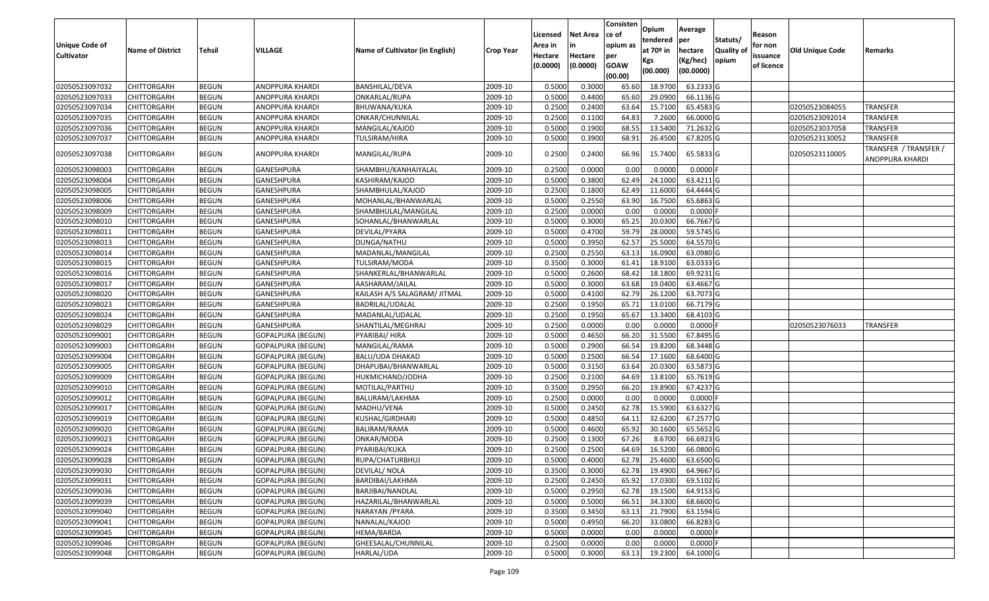|                                  |                                          |                              |                                               |                                         |                    | Licensed         | <b>Net Area</b>  | Consisten<br>ce of | Opium                    | Average                |                  | Reason     |                        |                                          |
|----------------------------------|------------------------------------------|------------------------------|-----------------------------------------------|-----------------------------------------|--------------------|------------------|------------------|--------------------|--------------------------|------------------------|------------------|------------|------------------------|------------------------------------------|
| <b>Unique Code of</b>            |                                          |                              |                                               |                                         |                    | Area in          |                  | opium as           | tendered                 | per                    | Statuts/         | for non    |                        |                                          |
| <b>Cultivator</b>                | <b>Name of District</b>                  | <b>Tehsil</b>                | VILLAGE                                       | Name of Cultivator (in English)         | <b>Crop Year</b>   | Hectare          | Hectare          | per                | at $70°$ in              | hectare                | <b>Quality o</b> | issuance   | <b>Old Unique Code</b> | Remarks                                  |
|                                  |                                          |                              |                                               |                                         |                    | (0.0000)         | (0.0000)         | <b>GOAW</b>        | Kgs                      | (Kg/hec)               | opium            | of licence |                        |                                          |
|                                  |                                          |                              |                                               |                                         |                    |                  |                  | (00.00)            | (00.000)                 | (00.0000)              |                  |            |                        |                                          |
| 02050523097032                   | CHITTORGARH                              | <b>BEGUN</b>                 | ANOPPURA KHARDI                               | BANSHILAL/DEVA                          | 2009-10            | 0.5000           | 0.3000           | 65.60              | 18.9700                  | 63.2333 G              |                  |            |                        |                                          |
| 02050523097033                   | CHITTORGARH                              | <b>BEGUN</b>                 | ANOPPURA KHARDI                               | ONKARLAL/RUPA                           | 2009-10            | 0.5000           | 0.4400           | 65.60              | 29.0900                  | 66.1136 G              |                  |            |                        |                                          |
| 02050523097034                   | CHITTORGARH                              | <b>BEGUN</b>                 | ANOPPURA KHARDI                               | BHUWANA/KUKA                            | 2009-10            | 0.2500           | 0.2400           | 63.64              | 15.7100                  | 65.4583 G              |                  |            | 02050523084055         | <b>TRANSFER</b>                          |
| 02050523097035                   | CHITTORGARH                              | <b>BEGUN</b>                 | ANOPPURA KHARDI                               | ONKAR/CHUNNILAL                         | 2009-10            | 0.2500           | 0.1100           | 64.83              | 7.2600                   | 66.0000G               |                  |            | 02050523092014         | <b>TRANSFER</b>                          |
| 02050523097036                   | CHITTORGARH                              | <b>BEGUN</b>                 | ANOPPURA KHARDI                               | MANGILAL/KAJOD                          | 2009-10            | 0.5000           | 0.1900           | 68.5               | 13.5400                  | 71.2632 G              |                  |            | 02050523037058         | <b>TRANSFER</b>                          |
| 02050523097037                   | CHITTORGARH                              | <b>BEGUN</b>                 | ANOPPURA KHARDI                               | TULSIRAM/HIRA                           | 2009-10            | 0.5000           | 0.3900           | 68.9               | 26.4500                  | 67.8205 G              |                  |            | 02050523130052         | <b>TRANSFER</b>                          |
| 02050523097038                   | CHITTORGARH                              | <b>BEGUN</b>                 | ANOPPURA KHARDI                               | MANGILAL/RUPA                           | 2009-10            | 0.2500           | 0.2400           | 66.96              | 15.7400                  | 65.5833 G              |                  |            | 02050523110005         | TRANSFER / TRANSFER /<br>ANOPPURA KHARDI |
| 02050523098003                   | CHITTORGARH                              | <b>BEGUN</b>                 | GANESHPURA                                    | SHAMBHU/KANHAIYALAL                     | 2009-10            | 0.2500           | 0.0000           | 0.00               | 0.0000                   | $0.0000$ F             |                  |            |                        |                                          |
| 02050523098004                   | CHITTORGARH                              | <b>BEGUN</b>                 | GANESHPURA                                    | KASHIRAM/KAJOD                          | 2009-10            | 0.5000           | 0.3800           | 62.49              | 24.1000                  | 63.4211 G              |                  |            |                        |                                          |
| 02050523098005                   | CHITTORGARH                              | <b>BEGUN</b>                 | GANESHPURA                                    | SHAMBHULAL/KAJOD                        | 2009-10            | 0.2500           | 0.1800           | 62.49              | 11.6000                  | 64.4444 G              |                  |            |                        |                                          |
| 02050523098006                   | CHITTORGARH                              | <b>BEGUN</b>                 | GANESHPURA                                    | MOHANLAL/BHANWARLAL                     | 2009-10            | 0.5000           | 0.2550           | 63.90              | 16.7500                  | 65.6863 G              |                  |            |                        |                                          |
| 02050523098009                   | <b>CHITTORGARH</b>                       | <b>BEGUN</b>                 | <b>GANESHPURA</b>                             | SHAMBHULAL/MANGILAL                     | 2009-10            | 0.2500           | 0.0000           | 0.00               | 0.0000                   | $0.0000$ F             |                  |            |                        |                                          |
| 02050523098010                   | <b>CHITTORGARH</b>                       | <b>BEGUN</b>                 | GANESHPURA                                    | SOHANLAL/BHANWARLAL                     | 2009-10            | 0.5000           | 0.3000           | 65.25              | 20.0300                  | 66.7667 G              |                  |            |                        |                                          |
| 02050523098011                   | CHITTORGARH                              | <b>BEGUN</b>                 | GANESHPURA                                    | DEVILAL/PYARA                           | 2009-10            | 0.5000           | 0.4700           | 59.79              | 28.0000                  | 59.5745 G              |                  |            |                        |                                          |
| 02050523098013                   | CHITTORGARH                              | <b>BEGUN</b>                 | GANESHPURA                                    | DUNGA/NATHU                             | 2009-10            | 0.5000           | 0.3950           | 62.57              | 25.5000                  | 64.5570 G              |                  |            |                        |                                          |
| 02050523098014                   | CHITTORGARH                              | <b>BEGUN</b>                 | <b>GANESHPURA</b>                             | MADANLAL/MANGILAL                       | 2009-10            | 0.2500           | 0.2550           | 63.13              | 16.0900                  | 63.0980 G              |                  |            |                        |                                          |
| 02050523098015                   | CHITTORGARH                              | <b>BEGUN</b>                 | GANESHPURA                                    | TULSIRAM/MODA                           | 2009-10            | 0.3500           | 0.3000           | 61.41              | 18.9100                  | 63.0333 G              |                  |            |                        |                                          |
| 02050523098016                   | CHITTORGARH                              | <b>BEGUN</b>                 | GANESHPURA                                    | SHANKERLAL/BHANWARLAL                   | 2009-10            | 0.5000           | 0.2600           | 68.42              | 18.1800                  | 69.9231 G              |                  |            |                        |                                          |
| 02050523098017                   | CHITTORGARH                              | <b>BEGUN</b>                 | GANESHPURA                                    | AASHARAM/JAILAL                         | 2009-10            | 0.5000           | 0.3000           | 63.68              | 19.0400                  | 63.4667 G              |                  |            |                        |                                          |
| 02050523098020                   | CHITTORGARH                              | <b>BEGUN</b>                 | <b>GANESHPURA</b>                             | KAILASH A/S SALAGRAM/ JITMAL            | 2009-10            | 0.5000           | 0.4100           | 62.79              | 26.1200                  | 63.7073 G              |                  |            |                        |                                          |
| 02050523098023                   | CHITTORGARH                              | <b>BEGUN</b>                 | GANESHPURA                                    | BADRILAL/UDALAL                         | 2009-10            | 0.2500           | 0.1950           | 65.7               | 13.0100                  | 66.7179 G              |                  |            |                        |                                          |
| 02050523098024                   | CHITTORGARH                              | <b>BEGUN</b>                 | GANESHPURA                                    | MADANLAL/UDALAL                         | 2009-10            | 0.2500           | 0.1950           | 65.67              | 13.3400                  | 68.4103 G              |                  |            |                        |                                          |
| 02050523098029                   | CHITTORGARH                              | <b>BEGUN</b>                 | GANESHPURA                                    | SHANTILAL/MEGHRAJ                       | 2009-10            | 0.2500           | 0.0000           | 0.00               | 0.0000                   | 0.0000F                |                  |            | 02050523076033         | <b>TRANSFER</b>                          |
| 02050523099001                   | CHITTORGARH                              | <b>BEGUN</b>                 | <b>GOPALPURA (BEGUN)</b>                      | PYARIBAI/ HIRA                          | 2009-10            | 0.5000           | 0.4650           | 66.20              | 31.5500                  | 67.8495 G              |                  |            |                        |                                          |
| 02050523099003                   | CHITTORGARH                              | <b>BEGUN</b>                 | <b>GOPALPURA (BEGUN)</b>                      | MANGILAL/RAMA                           | 2009-10            | 0.5000           | 0.2900           | 66.54              | 19.8200                  | 68.3448 G              |                  |            |                        |                                          |
| 02050523099004                   | CHITTORGARH                              | <b>BEGUN</b>                 | <b>GOPALPURA (BEGUN)</b>                      | BALU/UDA DHAKAD                         | 2009-10            | 0.5000           | 0.2500           | 66.5               | 17.1600                  | 68.6400 G              |                  |            |                        |                                          |
| 02050523099005                   | CHITTORGARH                              | <b>BEGUN</b>                 | GOPALPURA (BEGUN)                             | DHAPUBAI/BHANWARLAL                     | 2009-10            | 0.5000           | 0.3150           | 63.64              | 20.0300                  | 63.5873 G              |                  |            |                        |                                          |
| 02050523099009                   | CHITTORGARH                              | <b>BEGUN</b>                 | <b>GOPALPURA (BEGUN)</b>                      | HUKMICHAND/JODHA                        | 2009-10            | 0.2500           | 0.2100           | 64.69              | 13.8100                  | 65.7619 G              |                  |            |                        |                                          |
| 02050523099010                   | CHITTORGARH                              | <b>BEGUN</b>                 | <b>GOPALPURA (BEGUN)</b>                      | MOTILAL/PARTHU                          | 2009-10            | 0.3500           | 0.2950           | 66.20              | 19.8900                  | 67.4237 G              |                  |            |                        |                                          |
| 02050523099012                   | CHITTORGARH                              | <b>BEGUN</b>                 | GOPALPURA (BEGUN)                             | BALURAM/LAKHMA                          | 2009-10            | 0.2500           | 0.0000           | 0.00               | 0.0000                   | $0.0000$ F             |                  |            |                        |                                          |
| 02050523099017                   | CHITTORGARH                              | <b>BEGUN</b>                 | GOPALPURA (BEGUN)                             | MADHU/VENA                              | 2009-10            | 0.5000           | 0.2450           | 62.78              | 15.5900                  | 63.6327 G              |                  |            |                        |                                          |
| 02050523099019                   | CHITTORGARH                              | <b>BEGUN</b>                 | GOPALPURA (BEGUN)                             | KUSHAL/GIRDHARI                         | 2009-10            | 0.5000           | 0.4850<br>0.4600 | 64.11              | 32.6200                  | 67.2577 G              |                  |            |                        |                                          |
| 02050523099020                   | <b>CHITTORGARH</b>                       | <b>BEGUN</b>                 | GOPALPURA (BEGUN)                             | BALIRAM/RAMA                            | 2009-10            | 0.5000           |                  | 65.92              | 30.1600                  | 65.5652 G              |                  |            |                        |                                          |
| 02050523099023                   | CHITTORGARH                              | <b>BEGUN</b>                 | <b>GOPALPURA (BEGUN)</b>                      | ONKAR/MODA                              | 2009-10            | 0.250            | 0.1300           | 67.26              | 8.6700                   | 66.6923 G              |                  |            |                        |                                          |
| 02050523099024<br>02050523099028 | CHITTORGARH<br><b>CHITTORGARH</b>        | <b>BEGUN</b><br><b>BEGUN</b> | GOPALPURA (BEGUN)<br>GOPALPURA (BEGUN)        | PYARIBAI/KUKA<br>RUPA/CHATURBHUJ        | 2009-10<br>2009-10 | 0.2500<br>0.5000 | 0.2500<br>0.4000 | 64.69              | 16.5200<br>62.78 25.4600 | 66.0800 G<br>63.6500 G |                  |            |                        |                                          |
|                                  |                                          |                              |                                               |                                         |                    | 0.3500           |                  |                    |                          | 64.9667 G              |                  |            |                        |                                          |
| 02050523099030<br>02050523099031 | <b>CHITTORGARH</b><br><b>CHITTORGARH</b> | <b>BEGUN</b><br><b>BEGUN</b> | GOPALPURA (BEGUN)<br><b>GOPALPURA (BEGUN)</b> | DEVILAL/ NOLA<br>BARDIBAI/LAKHMA        | 2009-10            | 0.2500           | 0.3000<br>0.2450 | 62.78<br>65.92     | 19.4900<br>17.0300       | 69.5102 G              |                  |            |                        |                                          |
| 02050523099036                   | <b>CHITTORGARH</b>                       | <b>BEGUN</b>                 | GOPALPURA (BEGUN)                             | BARJIBAI/NANDLAL                        | 2009-10<br>2009-10 | 0.5000           | 0.2950           | 62.78              | 19.1500                  | $64.9153$ G            |                  |            |                        |                                          |
| 02050523099039                   |                                          | <b>BEGUN</b>                 | <b>GOPALPURA (BEGUN)</b>                      |                                         |                    | 0.5000           | 0.5000           | 66.51              | 34.3300                  | 68.6600 G              |                  |            |                        |                                          |
| 02050523099040                   | <b>CHITTORGARH</b><br><b>CHITTORGARH</b> | <b>BEGUN</b>                 | GOPALPURA (BEGUN)                             | HAZARILAL/BHANWARLAL<br>NARAYAN / PYARA | 2009-10<br>2009-10 | 0.3500           | 0.3450           | 63.13              | 21.7900                  | 63.1594 G              |                  |            |                        |                                          |
| 02050523099041                   | <b>CHITTORGARH</b>                       | <b>BEGUN</b>                 | <b>GOPALPURA (BEGUN)</b>                      | NANALAL/KAJOD                           | 2009-10            | 0.5000           | 0.4950           | 66.20              | 33.0800                  | 66.8283 G              |                  |            |                        |                                          |
| 02050523099045                   | <b>CHITTORGARH</b>                       | <b>BEGUN</b>                 | <b>GOPALPURA (BEGUN)</b>                      | HEMA/BARDA                              | 2009-10            | 0.5000           | 0.0000           | 0.00               | 0.0000                   | $0.0000$ F             |                  |            |                        |                                          |
| 02050523099046                   | <b>CHITTORGARH</b>                       | <b>BEGUN</b>                 | <b>GOPALPURA (BEGUN)</b>                      | GHEESALAL/CHUNNILAL                     | 2009-10            | 0.2500           | 0.0000           | 0.00               | 0.0000                   | $0.0000$ F             |                  |            |                        |                                          |
| 02050523099048                   | <b>CHITTORGARH</b>                       | <b>BEGUN</b>                 | GOPALPURA (BEGUN)                             | HARLAL/UDA                              | 2009-10            | 0.5000           | 0.3000           | 63.13              | 19.2300                  | 64.1000 G              |                  |            |                        |                                          |
|                                  |                                          |                              |                                               |                                         |                    |                  |                  |                    |                          |                        |                  |            |                        |                                          |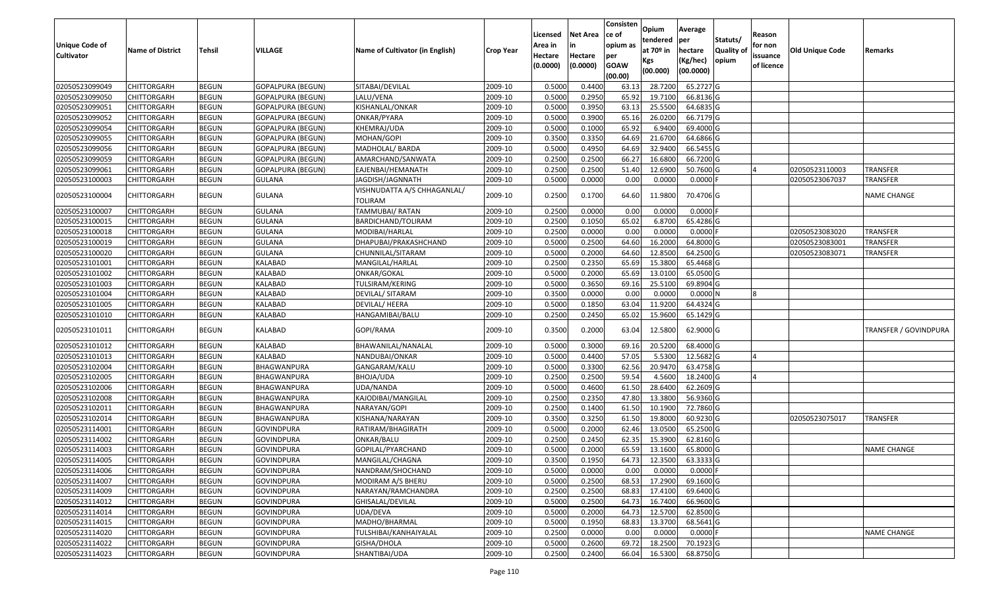|                       |                         |               |                          |                                 |                  |          |                 | Consisten        | Opium                 | Average    |                  |            |                        |                       |
|-----------------------|-------------------------|---------------|--------------------------|---------------------------------|------------------|----------|-----------------|------------------|-----------------------|------------|------------------|------------|------------------------|-----------------------|
|                       |                         |               |                          |                                 |                  | Licensed | <b>Net Area</b> | ce of            | tendered              | per        | Statuts/         | Reason     |                        |                       |
| <b>Unique Code of</b> | <b>Name of District</b> | <b>Tehsil</b> | VILLAGE                  | Name of Cultivator (in English) | <b>Crop Year</b> | Area in  |                 | opium as         | at 70 <sup>o</sup> in | hectare    | <b>Quality o</b> | for non    | <b>Old Unique Code</b> | Remarks               |
| <b>Cultivator</b>     |                         |               |                          |                                 |                  | Hectare  | Hectare         | per              | Kgs                   | (Kg/hec)   | opium            | issuance   |                        |                       |
|                       |                         |               |                          |                                 |                  | (0.0000) | (0.0000)        | <b>GOAW</b>      | (00.000)              | (00.0000)  |                  | of licence |                        |                       |
| 02050523099049        | CHITTORGARH             | <b>BEGUN</b>  | <b>GOPALPURA (BEGUN)</b> | SITABAI/DEVILAL                 | 2009-10          | 0.5000   | 0.4400          | (00.00)<br>63.13 | 28.7200               | 65.2727 G  |                  |            |                        |                       |
| 02050523099050        | CHITTORGARH             | <b>BEGUN</b>  | <b>GOPALPURA (BEGUN)</b> | LALU/VENA                       | 2009-10          | 0.5000   | 0.2950          | 65.92            | 19.7100               | 66.8136 G  |                  |            |                        |                       |
| 02050523099051        | CHITTORGARH             | <b>BEGUN</b>  | <b>GOPALPURA (BEGUN)</b> | KISHANLAL/ONKAR                 | 2009-10          | 0.5000   | 0.3950          | 63.13            | 25.5500               | 64.6835 G  |                  |            |                        |                       |
| 02050523099052        | <b>CHITTORGARH</b>      | <b>BEGUN</b>  | <b>GOPALPURA (BEGUN)</b> | ONKAR/PYARA                     | 2009-10          | 0.5000   | 0.3900          | 65.16            | 26.0200               | 66.7179 G  |                  |            |                        |                       |
| 02050523099054        | CHITTORGARH             | <b>BEGUN</b>  | <b>GOPALPURA (BEGUN)</b> | KHEMRAJ/UDA                     | 2009-10          | 0.5000   | 0.1000          | 65.92            | 6.9400                | 69.4000 G  |                  |            |                        |                       |
| 02050523099055        | CHITTORGARH             | <b>BEGUN</b>  | <b>GOPALPURA (BEGUN)</b> | MOHAN/GOPI                      | 2009-10          | 0.3500   | 0.3350          | 64.69            | 21.6700               | 64.6866 G  |                  |            |                        |                       |
| 02050523099056        | CHITTORGARH             | <b>BEGUN</b>  | GOPALPURA (BEGUN)        | MADHOLAL/ BARDA                 | 2009-10          | 0.5000   | 0.4950          | 64.69            | 32.9400               | 66.5455 G  |                  |            |                        |                       |
| 02050523099059        | CHITTORGARH             | <b>BEGUN</b>  | GOPALPURA (BEGUN)        | AMARCHAND/SANWATA               | 2009-10          | 0.2500   | 0.2500          | 66.27            | 16.6800               | 66.7200 G  |                  |            |                        |                       |
| 02050523099061        | CHITTORGARH             | <b>BEGUN</b>  | <b>GOPALPURA (BEGUN)</b> | EAJENBAI/HEMANATH               | 2009-10          | 0.2500   | 0.2500          | 51.40            | 12.6900               | 50.7600 G  |                  |            | 02050523110003         | <b>TRANSFER</b>       |
| 02050523100003        | CHITTORGARH             | <b>BEGUN</b>  | <b>GULANA</b>            | JAGDISH/JAGNNATH                | 2009-10          | 0.5000   | 0.0000          | 0.00             | 0.0000                | $0.0000$ F |                  |            | 02050523067037         | <b>TRANSFER</b>       |
|                       |                         |               |                          | VISHNUDATTA A/S CHHAGANLAL/     |                  |          |                 |                  |                       |            |                  |            |                        |                       |
| 02050523100004        | CHITTORGARH             | <b>BEGUN</b>  | <b>GULANA</b>            | TOLIRAM                         | 2009-10          | 0.2500   | 0.1700          | 64.60            | 11.9800               | 70.4706 G  |                  |            |                        | <b>NAME CHANGE</b>    |
| 02050523100007        | <b>CHITTORGARH</b>      | <b>BEGUN</b>  | <b>GULANA</b>            | TAMMUBAI/ RATAN                 | 2009-10          | 0.2500   | 0.0000          | 0.00             | 0.0000                | $0.0000$ F |                  |            |                        |                       |
| 02050523100015        | CHITTORGARH             | <b>BEGUN</b>  | <b>GULANA</b>            | BARDICHAND/TOLIRAM              | 2009-10          | 0.2500   | 0.1050          | 65.02            | 6.8700                | 65.4286 G  |                  |            |                        |                       |
| 02050523100018        | CHITTORGARH             | <b>BEGUN</b>  | <b>GULANA</b>            | MODIBAI/HARLAL                  | 2009-10          | 0.2500   | 0.0000          | 0.00             | 0.0000                | $0.0000$ F |                  |            | 02050523083020         | TRANSFER              |
| 02050523100019        | CHITTORGARH             | <b>BEGUN</b>  | <b>GULANA</b>            | DHAPUBAI/PRAKASHCHAND           | 2009-10          | 0.5000   | 0.2500          | 64.60            | 16.2000               | 64.8000 G  |                  |            | 02050523083001         | <b>TRANSFER</b>       |
| 02050523100020        | CHITTORGARH             | <b>BEGUN</b>  | <b>GULANA</b>            | CHUNNILAL/SITARAM               | 2009-10          | 0.5000   | 0.2000          | 64.60            | 12.8500               | 64.2500 G  |                  |            | 02050523083071         | <b>TRANSFER</b>       |
| 02050523101001        | CHITTORGARH             | <b>BEGUN</b>  | KALABAD                  | MANGILAL/HARLAL                 | 2009-10          | 0.250    | 0.2350          | 65.69            | 15.3800               | 65.4468 G  |                  |            |                        |                       |
| 02050523101002        | CHITTORGARH             | <b>BEGUN</b>  | KALABAD                  | ONKAR/GOKAL                     | 2009-10          | 0.5000   | 0.2000          | 65.69            | 13.0100               | 65.0500G   |                  |            |                        |                       |
| 02050523101003        | CHITTORGARH             | <b>BEGUN</b>  | KALABAD                  | TULSIRAM/KERING                 | 2009-10          | 0.5000   | 0.3650          | 69.16            | 25.5100               | 69.8904 G  |                  |            |                        |                       |
| 02050523101004        | CHITTORGARH             | <b>BEGUN</b>  | KALABAD                  | DEVILAL/ SITARAM                | 2009-10          | 0.3500   | 0.0000          | 0.00             | 0.0000                | 0.0000N    |                  |            |                        |                       |
| 02050523101005        | CHITTORGARH             | <b>BEGUN</b>  | KALABAD                  | DEVILAL/ HEERA                  | 2009-10          | 0.5000   | 0.1850          | 63.04            | 11.9200               | 64.4324 G  |                  |            |                        |                       |
| 02050523101010        | CHITTORGARH             | <b>BEGUN</b>  | KALABAD                  | HANGAMIBAI/BALU                 | 2009-10          | 0.2500   | 0.2450          | 65.02            | 15.9600               | 65.1429 G  |                  |            |                        |                       |
| 02050523101011        | CHITTORGARH             | <b>BEGUN</b>  | KALABAD                  | GOPI/RAMA                       | 2009-10          | 0.3500   | 0.2000          | 63.04            | 12.5800               | 62.9000 G  |                  |            |                        | TRANSFER / GOVINDPURA |
| 02050523101012        | CHITTORGARH             | <b>BEGUN</b>  | KALABAD                  | BHAWANILAL/NANALAL              | 2009-10          | 0.5000   | 0.3000          | 69.1             | 20.5200               | 68.4000 G  |                  |            |                        |                       |
| 02050523101013        | CHITTORGARH             | <b>BEGUN</b>  | KALABAD                  | NANDUBAI/ONKAR                  | 2009-10          | 0.5000   | 0.4400          | 57.05            | 5.5300                | 12.5682 G  |                  |            |                        |                       |
| 02050523102004        | CHITTORGARH             | <b>BEGUN</b>  | BHAGWANPURA              | GANGARAM/KALU                   | 2009-10          | 0.5000   | 0.3300          | 62.56            | 20.9470               | 63.4758 G  |                  |            |                        |                       |
| 02050523102005        | CHITTORGARH             | <b>BEGUN</b>  | BHAGWANPURA              | BHOJA/UDA                       | 2009-10          | 0.2500   | 0.2500          | 59.54            | 4.5600                | 18.2400 G  |                  |            |                        |                       |
| 02050523102006        | CHITTORGARH             | <b>BEGUN</b>  | BHAGWANPURA              | UDA/NANDA                       | 2009-10          | 0.5000   | 0.4600          | 61.50            | 28.6400               | 62.2609 G  |                  |            |                        |                       |
| 02050523102008        | CHITTORGARH             | <b>BEGUN</b>  | BHAGWANPURA              | KAJODIBAI/MANGILAL              | 2009-10          | 0.2500   | 0.2350          | 47.80            | 13.3800               | 56.9360 G  |                  |            |                        |                       |
| 02050523102011        | CHITTORGARH             | <b>BEGUN</b>  | BHAGWANPURA              | NARAYAN/GOPI                    | 2009-10          | 0.2500   | 0.1400          | 61.50            | 10.1900               | 72.7860 G  |                  |            |                        |                       |
| 02050523102014        | CHITTORGARH             | <b>BEGUN</b>  | BHAGWANPURA              | KISHANA/NARAYAN                 | 2009-10          | 0.3500   | 0.3250          | 61.50            | 19.8000               | 60.9230 G  |                  |            | 02050523075017         | <b>TRANSFER</b>       |
| 02050523114001        | <b>CHITTORGARH</b>      | <b>BEGUN</b>  | <b>GOVINDPURA</b>        | RATIRAM/BHAGIRATH               | 2009-10          | 0.5000   | 0.2000          | 62.46            | 13.0500               | 65.2500 G  |                  |            |                        |                       |
| 02050523114002        | CHITTORGARH             | <b>BEGUN</b>  | <b>GOVINDPURA</b>        | ONKAR/BALU                      | 2009-10          | 0.250    | 0.2450          | 62.35            | 15.3900               | 62.8160 G  |                  |            |                        |                       |
| 02050523114003        | CHITTORGARH             | <b>BEGUN</b>  | <b>GOVINDPURA</b>        | GOPILAL/PYARCHAND               | 2009-10          | 0.5000   | 0.2000          | 65.59            | 13.1600               | 65.8000 G  |                  |            |                        | <b>NAME CHANGE</b>    |
| 02050523114005        | <b>CHITTORGARH</b>      | <b>BEGUN</b>  | <b>GOVINDPURA</b>        | MANGILAL/CHAGNA                 | 2009-10          | 0.3500   | 0.1950          | 64.73            | 12.3500               | 63.3333 G  |                  |            |                        |                       |
| 02050523114006        | <b>CHITTORGARH</b>      | <b>BEGUN</b>  | <b>GOVINDPURA</b>        | NANDRAM/SHOCHAND                | 2009-10          | 0.5000   | 0.0000          | 0.00             | 0.0000                | $0.0000$ F |                  |            |                        |                       |
| 02050523114007        | <b>CHITTORGARH</b>      | <b>BEGUN</b>  | <b>GOVINDPURA</b>        | MODIRAM A/S BHERU               | 2009-10          | 0.5000   | 0.2500          | 68.53            | 17.2900               | 69.1600 G  |                  |            |                        |                       |
| 02050523114009        | <b>CHITTORGARH</b>      | <b>BEGUN</b>  | <b>GOVINDPURA</b>        | NARAYAN/RAMCHANDRA              | 2009-10          | 0.2500   | 0.2500          | 68.83            | 17.4100               | 69.6400 G  |                  |            |                        |                       |
| 02050523114012        | <b>CHITTORGARH</b>      | <b>BEGUN</b>  | <b>GOVINDPURA</b>        | GHISALAL/DEVILAL                | 2009-10          | 0.5000   | 0.2500          | 64.73            | 16.7400               | 66.9600 G  |                  |            |                        |                       |
| 02050523114014        | <b>CHITTORGARH</b>      | <b>BEGUN</b>  | <b>GOVINDPURA</b>        | UDA/DEVA                        | 2009-10          | 0.5000   | 0.2000          | 64.73            | 12.5700               | 62.8500 G  |                  |            |                        |                       |
| 02050523114015        | <b>CHITTORGARH</b>      | <b>BEGUN</b>  | <b>GOVINDPURA</b>        | MADHO/BHARMAL                   | 2009-10          | 0.5000   | 0.1950          | 68.83            | 13.3700               | 68.5641 G  |                  |            |                        |                       |
| 02050523114020        | <b>CHITTORGARH</b>      | <b>BEGUN</b>  | <b>GOVINDPURA</b>        | TULSHIBAI/KANHAIYALAL           | 2009-10          | 0.2500   | 0.0000          | 0.00             | 0.0000                | $0.0000$ F |                  |            |                        | <b>NAME CHANGE</b>    |
| 02050523114022        | <b>CHITTORGARH</b>      | <b>BEGUN</b>  | <b>GOVINDPURA</b>        | GISHA/DHOLA                     | 2009-10          | 0.5000   | 0.2600          | 69.72            | 18.2500               | 70.1923 G  |                  |            |                        |                       |
| 02050523114023        | <b>CHITTORGARH</b>      | <b>BEGUN</b>  | <b>GOVINDPURA</b>        | SHANTIBAI/UDA                   | 2009-10          | 0.2500   | 0.2400          | 66.04            | 16.5300               | 68.8750 G  |                  |            |                        |                       |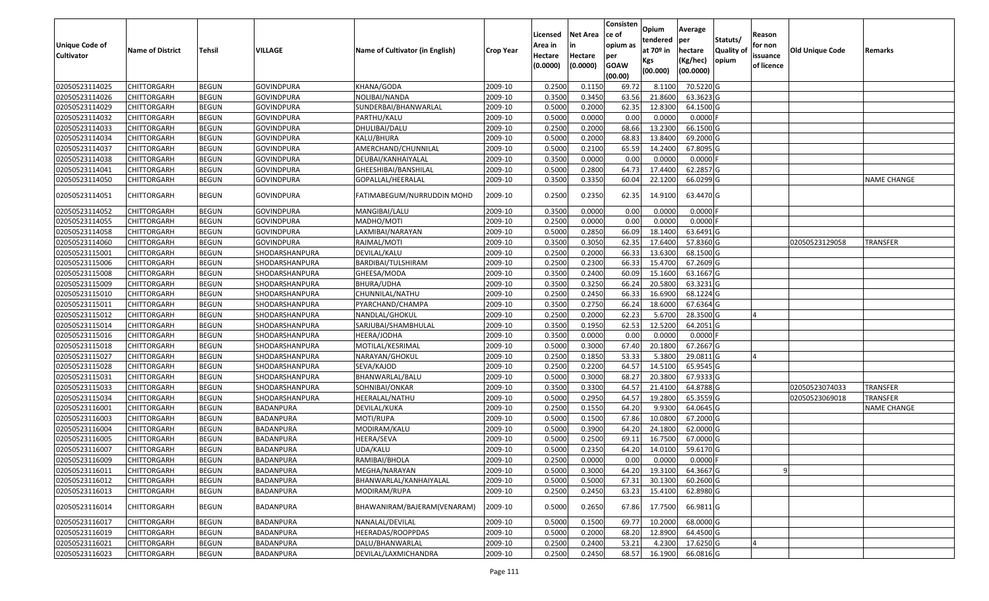|                       |                         |               |                   |                                 |                  |          |                 | Consisten   | Opium       | Average        |                  |            |                 |                    |
|-----------------------|-------------------------|---------------|-------------------|---------------------------------|------------------|----------|-----------------|-------------|-------------|----------------|------------------|------------|-----------------|--------------------|
|                       |                         |               |                   |                                 |                  | Licensed | <b>Net Area</b> | ce of       | tendered    |                | Statuts/         | Reason     |                 |                    |
| <b>Unique Code of</b> | <b>Name of District</b> | <b>Tehsil</b> | VILLAGE           | Name of Cultivator (in English) | <b>Crop Year</b> | Area in  |                 | opium as    | at $70°$ in | per<br>hectare | <b>Quality o</b> | for non    | Old Unique Code | Remarks            |
| <b>Cultivator</b>     |                         |               |                   |                                 |                  | Hectare  | Hectare         | per         | Kgs         | (Kg/hec)       | opium            | issuance   |                 |                    |
|                       |                         |               |                   |                                 |                  | (0.0000) | (0.0000)        | <b>GOAW</b> | (00.000)    | (00.0000)      |                  | of licence |                 |                    |
|                       |                         |               |                   |                                 |                  |          |                 | (00.00)     |             |                |                  |            |                 |                    |
| 02050523114025        | CHITTORGARH             | <b>BEGUN</b>  | <b>GOVINDPURA</b> | KHANA/GODA                      | 2009-10          | 0.2500   | 0.1150          | 69.72       | 8.1100      | 70.5220 G      |                  |            |                 |                    |
| 02050523114026        | CHITTORGARH             | <b>BEGUN</b>  | <b>GOVINDPURA</b> | NOLIBAI/NANDA                   | 2009-10          | 0.3500   | 0.3450          | 63.56       | 21.8600     | 63.3623 G      |                  |            |                 |                    |
| 02050523114029        | CHITTORGARH             | <b>BEGUN</b>  | <b>GOVINDPURA</b> | SUNDERBAI/BHANWARLAL            | 2009-10          | 0.5000   | 0.2000          | 62.35       | 12.8300     | 64.1500 G      |                  |            |                 |                    |
| 02050523114032        | <b>CHITTORGARH</b>      | <b>BEGUN</b>  | <b>GOVINDPURA</b> | PARTHU/KALU                     | 2009-10          | 0.5000   | 0.0000          | 0.00        | 0.0000      | $0.0000$ F     |                  |            |                 |                    |
| 02050523114033        | CHITTORGARH             | <b>BEGUN</b>  | <b>GOVINDPURA</b> | DHULIBAI/DALU                   | 2009-10          | 0.2500   | 0.2000          | 68.66       | 13.2300     | 66.1500 G      |                  |            |                 |                    |
| 02050523114034        | CHITTORGARH             | <b>BEGUN</b>  | <b>GOVINDPURA</b> | KALU/BHURA                      | 2009-10          | 0.5000   | 0.2000          | 68.83       | 13.8400     | 69.2000 G      |                  |            |                 |                    |
| 02050523114037        | CHITTORGARH             | <b>BEGUN</b>  | GOVINDPURA        | AMERCHAND/CHUNNILAL             | 2009-10          | 0.5000   | 0.2100          | 65.59       | 14.2400     | 67.8095 G      |                  |            |                 |                    |
| 02050523114038        | <b>CHITTORGARH</b>      | <b>BEGUN</b>  | <b>GOVINDPURA</b> | DEUBAI/KANHAIYALAL              | 2009-10          | 0.3500   | 0.0000          | 0.00        | 0.0000      | $0.0000$ F     |                  |            |                 |                    |
| 02050523114041        | CHITTORGARH             | <b>BEGUN</b>  | <b>GOVINDPURA</b> | GHEESHIBAI/BANSHILAL            | 2009-10          | 0.5000   | 0.2800          | 64.73       | 17.4400     | 62.2857 G      |                  |            |                 |                    |
| 02050523114050        | CHITTORGARH             | <b>BEGUN</b>  | <b>GOVINDPURA</b> | GOPALLAL/HEERALAL               | 2009-10          | 0.3500   | 0.3350          | 60.04       | 22.1200     | 66.0299 G      |                  |            |                 | <b>NAME CHANGE</b> |
| 02050523114051        | CHITTORGARH             | <b>BEGUN</b>  | <b>GOVINDPURA</b> | FATIMABEGUM/NURRUDDIN MOHD      | 2009-10          | 0.2500   | 0.2350          | 62.35       | 14.9100     | 63.4470 G      |                  |            |                 |                    |
| 02050523114052        | CHITTORGARH             | <b>BEGUN</b>  | <b>GOVINDPURA</b> | MANGIBAI/LALU                   | 2009-10          | 0.3500   | 0.0000          | 0.00        | 0.0000      | $0.0000$ F     |                  |            |                 |                    |
| 02050523114055        | CHITTORGARH             | <b>BEGUN</b>  | <b>GOVINDPURA</b> | MADHO/MOTI                      | 2009-10          | 0.2500   | 0.0000          | 0.00        | 0.0000      | $0.0000$ F     |                  |            |                 |                    |
| 02050523114058        | CHITTORGARH             | <b>BEGUN</b>  | <b>GOVINDPURA</b> | LAXMIBAI/NARAYAN                | 2009-10          | 0.5000   | 0.2850          | 66.09       | 18.1400     | 63.6491 G      |                  |            |                 |                    |
| 02050523114060        | CHITTORGARH             | <b>BEGUN</b>  | <b>GOVINDPURA</b> | RAJMAL/MOTI                     | 2009-10          | 0.3500   | 0.3050          | 62.35       | 17.6400     | 57.8360 G      |                  |            | 02050523129058  | <b>TRANSFER</b>    |
| 02050523115001        | CHITTORGARH             | <b>BEGUN</b>  | SHODARSHANPURA    | DEVILAL/KALU                    | 2009-10          | 0.2500   | 0.2000          | 66.33       | 13.6300     | 68.1500 G      |                  |            |                 |                    |
| 02050523115006        | CHITTORGARH             | <b>BEGUN</b>  | SHODARSHANPURA    | BARDIBAI/TULSHIRAM              | 2009-10          | 0.2500   | 0.2300          | 66.33       | 15.4700     | 67.2609 G      |                  |            |                 |                    |
| 02050523115008        | CHITTORGARH             | <b>BEGUN</b>  | SHODARSHANPURA    | GHEESA/MODA                     | 2009-10          | 0.3500   | 0.2400          | 60.09       | 15.1600     | 63.1667 G      |                  |            |                 |                    |
| 02050523115009        | CHITTORGARH             | <b>BEGUN</b>  | SHODARSHANPURA    | BHURA/UDHA                      | 2009-10          | 0.3500   | 0.3250          | 66.24       | 20.5800     | 63.3231G       |                  |            |                 |                    |
| 02050523115010        | CHITTORGARH             | <b>BEGUN</b>  | SHODARSHANPURA    | CHUNNILAL/NATHU                 | 2009-10          | 0.2500   | 0.2450          | 66.33       | 16.6900     | 68.1224 G      |                  |            |                 |                    |
| 02050523115011        | CHITTORGARH             | <b>BEGUN</b>  | SHODARSHANPURA    | PYARCHAND/CHAMPA                | 2009-10          | 0.3500   | 0.2750          | 66.24       | 18.6000     | 67.6364 G      |                  |            |                 |                    |
| 02050523115012        | CHITTORGARH             | <b>BEGUN</b>  | SHODARSHANPURA    | NANDLAL/GHOKUL                  | 2009-10          | 0.2500   | 0.2000          | 62.23       | 5.6700      | 28.3500 G      |                  |            |                 |                    |
| 02050523115014        | CHITTORGARH             | <b>BEGUN</b>  | SHODARSHANPURA    | SARJUBAI/SHAMBHULAL             | 2009-10          | 0.3500   | 0.1950          | 62.53       | 12.5200     | 64.2051 G      |                  |            |                 |                    |
| 02050523115016        | CHITTORGARH             | <b>BEGUN</b>  | SHODARSHANPURA    | HEERA/JODHA                     | 2009-10          | 0.3500   | 0.0000          | 0.00        | 0.0000      | $0.0000$ F     |                  |            |                 |                    |
| 02050523115018        | CHITTORGARH             | <b>BEGUN</b>  | SHODARSHANPURA    | MOTILAL/KESRIMAL                | 2009-10          | 0.5000   | 0.3000          | 67.40       | 20.1800     | 67.2667 G      |                  |            |                 |                    |
| 02050523115027        | CHITTORGARH             | <b>BEGUN</b>  | SHODARSHANPURA    | NARAYAN/GHOKUL                  | 2009-10          | 0.2500   | 0.1850          | 53.33       | 5.3800      | 29.0811G       |                  |            |                 |                    |
| 02050523115028        | CHITTORGARH             | <b>BEGUN</b>  | SHODARSHANPURA    | SEVA/KAJOD                      | 2009-10          | 0.2500   | 0.2200          | 64.57       | 14.5100     | 65.9545 G      |                  |            |                 |                    |
| 02050523115031        | <b>CHITTORGARH</b>      | <b>BEGUN</b>  | SHODARSHANPURA    | BHANWARLAL/BALU                 | 2009-10          | 0.5000   | 0.3000          | 68.27       | 20.3800     | 67.9333 G      |                  |            |                 |                    |
| 02050523115033        | CHITTORGARH             | <b>BEGUN</b>  | SHODARSHANPURA    | SOHNIBAI/ONKAR                  | 2009-10          | 0.3500   | 0.3300          | 64.57       | 21.4100     | 64.8788 G      |                  |            | 02050523074033  | <b>TRANSFER</b>    |
| 02050523115034        | CHITTORGARH             | <b>BEGUN</b>  | SHODARSHANPURA    | HEERALAL/NATHU                  | 2009-10          | 0.5000   | 0.2950          | 64.57       | 19.2800     | 65.3559 G      |                  |            | 02050523069018  | TRANSFER           |
| 02050523116001        | CHITTORGARH             | <b>BEGUN</b>  | BADANPURA         | DEVILAL/KUKA                    | 2009-10          | 0.2500   | 0.1550          | 64.20       | 9.9300      | 64.0645 G      |                  |            |                 | NAME CHANGE        |
| 02050523116003        | <b>CHITTORGARH</b>      | <b>BEGUN</b>  | BADANPURA         | MOTI/RUPA                       | 2009-10          | 0.5000   | 0.1500          | 67.86       | 10.0800     | 67.2000 G      |                  |            |                 |                    |
| 02050523116004        | <b>CHITTORGARH</b>      | <b>BEGUN</b>  | <b>BADANPURA</b>  | MODIRAM/KALU                    | 2009-10          | 0.5000   | 0.3900          | 64.20       | 24.1800     | 62.0000 G      |                  |            |                 |                    |
| 02050523116005        | CHITTORGARH             | <b>BEGUN</b>  | BADANPURA         | HEERA/SEVA                      | 2009-10          | 0.500    | 0.2500          | 69.1        | 16.7500     | 67.0000 G      |                  |            |                 |                    |
| 02050523116007        | CHITTORGARH             | <b>BEGUN</b>  | BADANPURA         | JDA/KALU                        | 2009-10          | 0.5000   | 0.2350          | 64.20       | 14.0100     | 59.6170G       |                  |            |                 |                    |
| 02050523116009        | <b>CHITTORGARH</b>      | <b>BEGUN</b>  | <b>BADANPURA</b>  | RAMIBAI/BHOLA                   | 2009-10          | 0.2500   | 0.0000          | 0.00        | 0.0000      | $0.0000$ F     |                  |            |                 |                    |
| 02050523116011        | <b>CHITTORGARH</b>      | <b>BEGUN</b>  | BADANPURA         | MEGHA/NARAYAN                   | 2009-10          | 0.5000   | 0.3000          | 64.20       | 19.3100     | 64.3667 G      |                  | q          |                 |                    |
| 02050523116012        | <b>CHITTORGARH</b>      | <b>BEGUN</b>  | BADANPURA         | BHANWARLAL/KANHAIYALAL          | 2009-10          | 0.5000   | 0.5000          | 67.31       | 30.1300     | 60.2600 G      |                  |            |                 |                    |
| 02050523116013        | <b>CHITTORGARH</b>      | <b>BEGUN</b>  | BADANPURA         | MODIRAM/RUPA                    | 2009-10          | 0.2500   | 0.2450          | 63.23       | 15.4100     | 62.8980 G      |                  |            |                 |                    |
| 02050523116014        | <b>CHITTORGARH</b>      | <b>BEGUN</b>  | BADANPURA         | BHAWANIRAM/BAJERAM(VENARAM)     | 2009-10          | 0.5000   | 0.2650          | 67.86       | 17.7500     | 66.9811 G      |                  |            |                 |                    |
| 02050523116017        | <b>CHITTORGARH</b>      | <b>BEGUN</b>  | BADANPURA         | NANALAL/DEVILAL                 | 2009-10          | 0.5000   | 0.1500          | 69.77       | 10.2000     | 68.0000G       |                  |            |                 |                    |
| 02050523116019        | <b>CHITTORGARH</b>      | <b>BEGUN</b>  | BADANPURA         | HEERADAS/ROOPPDAS               | 2009-10          | 0.5000   | 0.2000          | 68.20       | 12.8900     | 64.4500 G      |                  |            |                 |                    |
| 02050523116021        | <b>CHITTORGARH</b>      | <b>BEGUN</b>  | BADANPURA         | DALU/BHANWARLAL                 | 2009-10          | 0.2500   | 0.2400          | 53.21       | 4.2300      | 17.6250 G      |                  |            |                 |                    |
| 02050523116023        | <b>CHITTORGARH</b>      | <b>BEGUN</b>  | BADANPURA         | DEVILAL/LAXMICHANDRA            | 2009-10          | 0.2500   | 0.2450          | 68.57       | 16.1900     | 66.0816 G      |                  |            |                 |                    |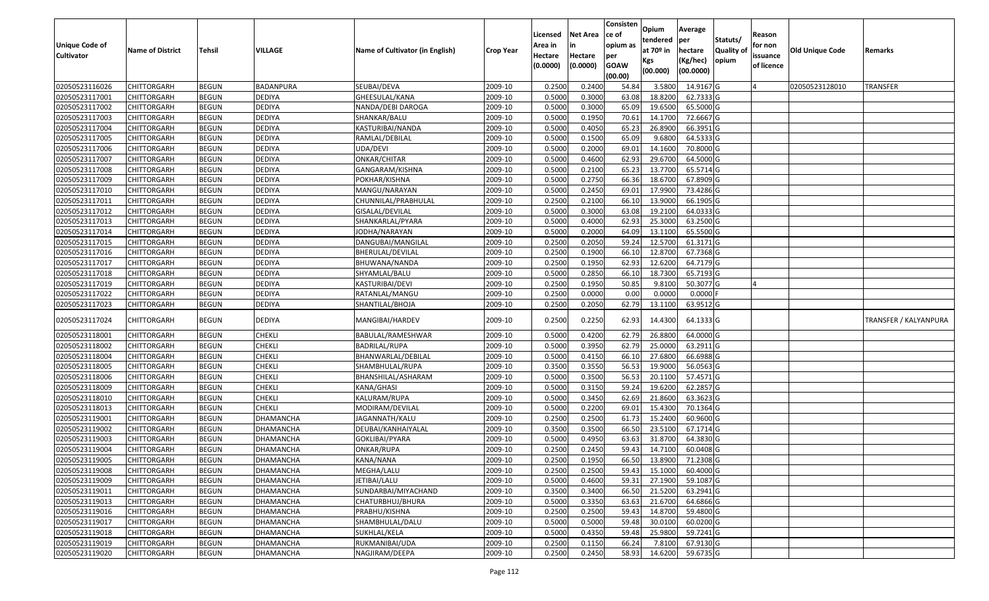|                   |                         |               |                  |                                 |                  | Licensed | <b>Net Area</b> | Consisten<br>ce of     | Opium                 | Average               |                  | Reason     |                 |                       |
|-------------------|-------------------------|---------------|------------------|---------------------------------|------------------|----------|-----------------|------------------------|-----------------------|-----------------------|------------------|------------|-----------------|-----------------------|
| Unique Code of    |                         |               |                  |                                 |                  | Area in  |                 | opium as               | tendered              | per                   | Statuts/         | for non    |                 |                       |
| <b>Cultivator</b> | <b>Name of District</b> | <b>Tehsil</b> | VILLAGE          | Name of Cultivator (in English) | <b>Crop Year</b> | Hectare  | Hectare         | per                    | at 70 <sup>o</sup> in | hectare               | <b>Quality o</b> | issuance   | Old Unique Code | Remarks               |
|                   |                         |               |                  |                                 |                  | (0.0000) | (0.0000)        | <b>GOAW</b><br>(00.00) | Kgs<br>(00.000)       | (Kg/hec)<br>(00.0000) | opium            | of licence |                 |                       |
| 02050523116026    | CHITTORGARH             | <b>BEGUN</b>  | BADANPURA        | SEUBAI/DEVA                     | 2009-10          | 0.2500   | 0.2400          | 54.84                  | 3.5800                | 14.9167 G             |                  |            | 02050523128010  | <b>TRANSFER</b>       |
| 02050523117001    | CHITTORGARH             | <b>BEGUN</b>  | <b>DEDIYA</b>    | GHEESULAL/KANA                  | 2009-10          | 0.5000   | 0.3000          | 63.08                  | 18.8200               | 62.7333 G             |                  |            |                 |                       |
| 02050523117002    | CHITTORGARH             | <b>BEGUN</b>  | DEDIYA           | NANDA/DEBI DAROGA               | 2009-10          | 0.5000   | 0.3000          | 65.09                  | 19.6500               | 65.5000G              |                  |            |                 |                       |
| 02050523117003    | <b>CHITTORGARH</b>      | <b>BEGUN</b>  | <b>DEDIYA</b>    | SHANKAR/BALU                    | 2009-10          | 0.5000   | 0.1950          | 70.61                  | 14.1700               | 72.6667 G             |                  |            |                 |                       |
| 02050523117004    | CHITTORGARH             | <b>BEGUN</b>  | <b>DEDIYA</b>    | KASTURIBAI/NANDA                | 2009-10          | 0.5000   | 0.4050          | 65.23                  | 26.8900               | 66.3951 G             |                  |            |                 |                       |
| 02050523117005    | CHITTORGARH             | <b>BEGUN</b>  | <b>DEDIYA</b>    | RAMLAL/DEBILAL                  | 2009-10          | 0.5000   | 0.1500          | 65.09                  | 9.6800                | 64.5333 G             |                  |            |                 |                       |
| 02050523117006    | CHITTORGARH             | <b>BEGUN</b>  | <b>DEDIYA</b>    | UDA/DEVI                        | 2009-10          | 0.5000   | 0.2000          | 69.01                  | 14.1600               | 70.8000 G             |                  |            |                 |                       |
| 02050523117007    | CHITTORGARH             | <b>BEGUN</b>  | <b>DEDIYA</b>    | ONKAR/CHITAR                    | 2009-10          | 0.5000   | 0.4600          | 62.93                  | 29.6700               | 64.5000 G             |                  |            |                 |                       |
| 02050523117008    | CHITTORGARH             | <b>BEGUN</b>  | <b>DEDIYA</b>    | GANGARAM/KISHNA                 | 2009-10          | 0.5000   | 0.2100          | 65.23                  | 13.7700               | 65.5714 G             |                  |            |                 |                       |
| 02050523117009    | <b>CHITTORGARH</b>      | <b>BEGUN</b>  | <b>DEDIYA</b>    | POKHAR/KISHNA                   | 2009-10          | 0.5000   | 0.2750          | 66.36                  | 18.6700               | 67.8909 G             |                  |            |                 |                       |
| 02050523117010    | CHITTORGARH             | <b>BEGUN</b>  | <b>DEDIYA</b>    | MANGU/NARAYAN                   | 2009-10          | 0.5000   | 0.2450          | 69.01                  | 17.9900               | 73.4286 G             |                  |            |                 |                       |
| 02050523117011    | <b>CHITTORGARH</b>      | <b>BEGUN</b>  | <b>DEDIYA</b>    | CHUNNILAL/PRABHULAL             | 2009-10          | 0.2500   | 0.2100          | 66.10                  | 13.9000               | 66.1905 G             |                  |            |                 |                       |
| 02050523117012    | <b>CHITTORGARH</b>      | <b>BEGUN</b>  | <b>DEDIYA</b>    | GISALAL/DEVILAL                 | 2009-10          | 0.5000   | 0.3000          | 63.08                  | 19.2100               | 64.0333 G             |                  |            |                 |                       |
| 02050523117013    | <b>CHITTORGARH</b>      | <b>BEGUN</b>  | <b>DEDIYA</b>    | SHANKARLAL/PYARA                | 2009-10          | 0.5000   | 0.4000          | 62.93                  | 25.3000               | 63.2500 G             |                  |            |                 |                       |
| 02050523117014    | <b>CHITTORGARH</b>      | <b>BEGUN</b>  | <b>DEDIYA</b>    | JODHA/NARAYAN                   | 2009-10          | 0.5000   | 0.2000          | 64.09                  | 13.1100               | 65.5500 G             |                  |            |                 |                       |
| 02050523117015    | CHITTORGARH             | <b>BEGUN</b>  | <b>DEDIYA</b>    | DANGUBAI/MANGILAL               | 2009-10          | 0.2500   | 0.2050          | 59.24                  | 12.5700               | 61.3171 G             |                  |            |                 |                       |
| 02050523117016    | CHITTORGARH             | <b>BEGUN</b>  | <b>DEDIYA</b>    | BHERULAL/DEVILAL                | 2009-10          | 0.2500   | 0.1900          | 66.10                  | 12.8700               | 67.7368 G             |                  |            |                 |                       |
| 02050523117017    | CHITTORGARH             | <b>BEGUN</b>  | <b>DEDIYA</b>    | BHUWANA/NANDA                   | 2009-10          | 0.2500   | 0.1950          | 62.93                  | 12.6200               | 64.7179 G             |                  |            |                 |                       |
| 02050523117018    | CHITTORGARH             | <b>BEGUN</b>  | <b>DEDIYA</b>    | SHYAMLAL/BALU                   | 2009-10          | 0.5000   | 0.2850          | 66.10                  | 18.7300               | 65.7193 G             |                  |            |                 |                       |
| 02050523117019    | CHITTORGARH             | <b>BEGUN</b>  | DEDIYA           | KASTURIBAI/DEVI                 | 2009-10          | 0.2500   | 0.1950          | 50.85                  | 9.8100                | 50.3077 G             |                  |            |                 |                       |
| 02050523117022    | CHITTORGARH             | <b>BEGUN</b>  | <b>DEDIYA</b>    | RATANLAL/MANGU                  | 2009-10          | 0.2500   | 0.0000          | 0.00                   | 0.0000                | 0.0000                |                  |            |                 |                       |
| 02050523117023    | CHITTORGARH             | <b>BEGUN</b>  | <b>DEDIYA</b>    | SHANTILAL/BHOJA                 | 2009-10          | 0.2500   | 0.2050          | 62.79                  | 13.1100               | 63.9512 G             |                  |            |                 |                       |
| 02050523117024    | CHITTORGARH             | <b>BEGUN</b>  | DEDIYA           | MANGIBAI/HARDEV                 | 2009-10          | 0.2500   | 0.2250          | 62.93                  | 14.4300               | 64.1333 G             |                  |            |                 | TRANSFER / KALYANPURA |
| 02050523118001    | <b>CHITTORGARH</b>      | <b>BEGUN</b>  | <b>CHEKLI</b>    | BABULAL/RAMESHWAR               | 2009-10          | 0.5000   | 0.4200          | 62.79                  | 26.8800               | 64.0000G              |                  |            |                 |                       |
| 02050523118002    | CHITTORGARH             | <b>BEGUN</b>  | <b>CHEKLI</b>    | BADRILAL/RUPA                   | 2009-10          | 0.5000   | 0.3950          | 62.79                  | 25.0000               | 63.2911 G             |                  |            |                 |                       |
| 02050523118004    | CHITTORGARH             | <b>BEGUN</b>  | <b>CHEKLI</b>    | BHANWARLAL/DEBILAL              | 2009-10          | 0.5000   | 0.4150          | 66.10                  | 27.6800               | 66.6988 G             |                  |            |                 |                       |
| 02050523118005    | CHITTORGARH             | <b>BEGUN</b>  | <b>CHEKLI</b>    | SHAMBHULAL/RUPA                 | 2009-10          | 0.3500   | 0.3550          | 56.53                  | 19.9000               | 56.0563 G             |                  |            |                 |                       |
| 02050523118006    | CHITTORGARH             | <b>BEGUN</b>  | <b>CHEKLI</b>    | BHANSHILAL/ASHARAM              | 2009-10          | 0.5000   | 0.3500          | 56.53                  | 20.1100               | 57.4571 G             |                  |            |                 |                       |
| 02050523118009    | CHITTORGARH             | <b>BEGUN</b>  | <b>CHEKLI</b>    | KANA/GHASI                      | 2009-10          | 0.5000   | 0.3150          | 59.24                  | 19.6200               | 62.2857 G             |                  |            |                 |                       |
| 02050523118010    | CHITTORGARH             | <b>BEGUN</b>  | <b>CHEKLI</b>    | KALURAM/RUPA                    | 2009-10          | 0.5000   | 0.3450          | 62.69                  | 21.8600               | 63.3623 G             |                  |            |                 |                       |
| 02050523118013    | CHITTORGARH             | <b>BEGUN</b>  | CHEKLI           | MODIRAM/DEVILAL                 | 2009-10          | 0.5000   | 0.2200          | 69.01                  | 15.4300               | 70.1364 G             |                  |            |                 |                       |
| 02050523119001    | <b>CHITTORGARH</b>      | <b>BEGUN</b>  | DHAMANCHA        | JAGANNATH/KALU                  | 2009-10          | 0.2500   | 0.2500          | 61.73                  | 15.2400               | 60.9600 G             |                  |            |                 |                       |
| 02050523119002    | <b>CHITTORGARH</b>      | <b>BEGUN</b>  | DHAMANCHA        | DEUBAI/KANHAIYALAL              | 2009-10          | 0.3500   | 0.3500          | 66.50                  | 23.5100               | 67.1714 G             |                  |            |                 |                       |
| 02050523119003    | CHITTORGARH             | <b>BEGUN</b>  | DHAMANCHA        | GOKLIBAI/PYARA                  | 2009-10          | 0.500    | 0.4950          | 63.63                  | 31.8700               | 64.3830 G             |                  |            |                 |                       |
| 02050523119004    | CHITTORGARH             | <b>BEGUN</b>  | DHAMANCHA        | ONKAR/RUPA                      | 2009-10          | 0.2500   | 0.2450          | 59.43                  | 14.7100               | 60.0408 G             |                  |            |                 |                       |
| 02050523119005    | <b>CHITTORGARH</b>      | <b>BEGUN</b>  | DHAMANCHA        | KANA/NANA                       | 2009-10          | 0.2500   | 0.1950          |                        | 66.50 13.8900         | 71.2308 G             |                  |            |                 |                       |
| 02050523119008    | <b>CHITTORGARH</b>      | <b>BEGUN</b>  | DHAMANCHA        | MEGHA/LALU                      | 2009-10          | 0.2500   | 0.2500          | 59.43                  | 15.1000               | 60.4000 G             |                  |            |                 |                       |
| 02050523119009    | <b>CHITTORGARH</b>      | <b>BEGUN</b>  | <b>DHAMANCHA</b> | JETIBAI/LALU                    | 2009-10          | 0.5000   | 0.4600          | 59.31                  | 27.1900               | 59.1087 G             |                  |            |                 |                       |
| 02050523119011    | <b>CHITTORGARH</b>      | <b>BEGUN</b>  | DHAMANCHA        | SUNDARBAI/MIYACHAND             | 2009-10          | 0.3500   | 0.3400          | 66.50                  | 21.5200               | 63.2941 G             |                  |            |                 |                       |
| 02050523119013    | <b>CHITTORGARH</b>      | <b>BEGUN</b>  | DHAMANCHA        | CHATURBHUJ/BHURA                | 2009-10          | 0.5000   | 0.3350          | 63.63                  | 21.6700               | 64.6866 G             |                  |            |                 |                       |
| 02050523119016    | <b>CHITTORGARH</b>      | <b>BEGUN</b>  | <b>DHAMANCHA</b> | PRABHU/KISHNA                   | 2009-10          | 0.2500   | 0.2500          | 59.43                  | 14.8700               | 59.4800 G             |                  |            |                 |                       |
| 02050523119017    | <b>CHITTORGARH</b>      | <b>BEGUN</b>  | DHAMANCHA        | SHAMBHULAL/DALU                 | 2009-10          | 0.5000   | 0.5000          | 59.48                  | 30.0100               | 60.0200 G             |                  |            |                 |                       |
| 02050523119018    | <b>CHITTORGARH</b>      | <b>BEGUN</b>  | DHAMANCHA        | SUKHLAL/KELA                    | 2009-10          | 0.5000   | 0.4350          | 59.48                  | 25.9800               | 59.7241 G             |                  |            |                 |                       |
| 02050523119019    | <b>CHITTORGARH</b>      | <b>BEGUN</b>  | DHAMANCHA        | RUKMANIBAI/UDA                  | 2009-10          | 0.2500   | 0.1150          | 66.24                  | 7.8100                | 67.9130 G             |                  |            |                 |                       |
| 02050523119020    | <b>CHITTORGARH</b>      | <b>BEGUN</b>  | <b>DHAMANCHA</b> | NAGJIRAM/DEEPA                  | 2009-10          | 0.2500   | 0.2450          | 58.93                  | 14.6200               | 59.6735 G             |                  |            |                 |                       |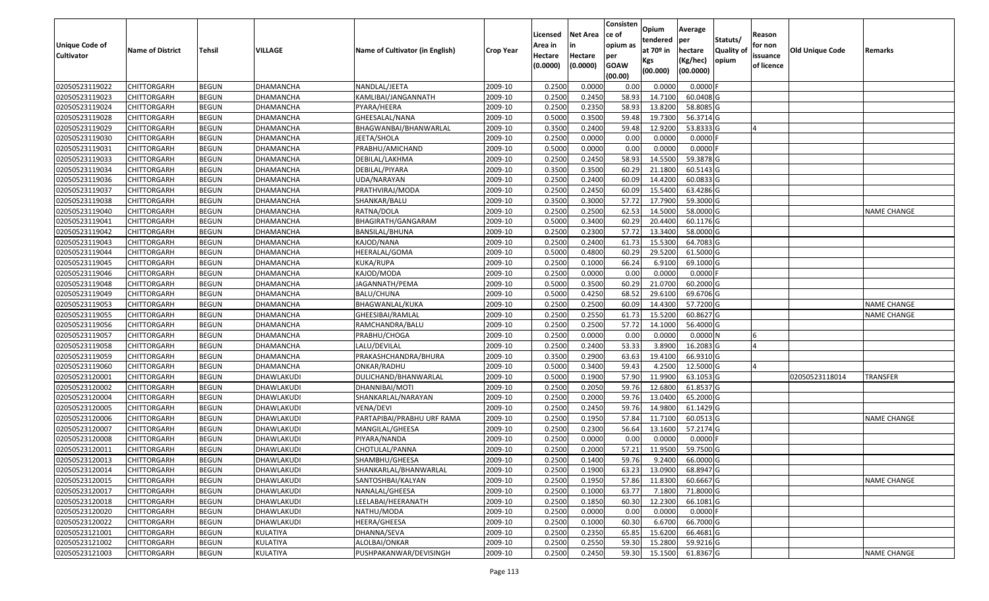|                   |                         |               |                  |                                 |                  | Licensed | <b>Net Area</b> | Consisten<br>lce of | Opium       | Average    |                  | Reason     |                        |                    |
|-------------------|-------------------------|---------------|------------------|---------------------------------|------------------|----------|-----------------|---------------------|-------------|------------|------------------|------------|------------------------|--------------------|
| Unique Code of    |                         |               |                  |                                 |                  | Area in  | in              | opium as            | tendered    | per        | Statuts/         | for non    |                        |                    |
| <b>Cultivator</b> | <b>Name of District</b> | <b>Tehsil</b> | VILLAGE          | Name of Cultivator (in English) | <b>Crop Year</b> | Hectare  | Hectare         | per                 | at $70°$ in | hectare    | <b>Quality o</b> | issuance   | <b>Old Unique Code</b> | Remarks            |
|                   |                         |               |                  |                                 |                  | (0.0000) | (0.0000)        | <b>GOAW</b>         | Kgs         | (Kg/hec)   | opium            | of licence |                        |                    |
|                   |                         |               |                  |                                 |                  |          |                 | (00.00)             | (00.000)    | (00.0000)  |                  |            |                        |                    |
| 02050523119022    | CHITTORGARH             | <b>BEGUN</b>  | DHAMANCHA        | NANDLAL/JEETA                   | 2009-10          | 0.2500   | 0.0000          | 0.00                | 0.0000      | 0.0000F    |                  |            |                        |                    |
| 02050523119023    | CHITTORGARH             | <b>BEGUN</b>  | DHAMANCHA        | KAMLIBAI/JANGANNATH             | 2009-10          | 0.2500   | 0.2450          | 58.93               | 14.7100     | 60.0408 G  |                  |            |                        |                    |
| 02050523119024    | CHITTORGARH             | <b>BEGUN</b>  | DHAMANCHA        | PYARA/HEERA                     | 2009-10          | 0.2500   | 0.2350          | 58.93               | 13.8200     | 58.8085 G  |                  |            |                        |                    |
| 02050523119028    | <b>CHITTORGARH</b>      | <b>BEGUN</b>  | DHAMANCHA        | GHEESALAL/NANA                  | 2009-10          | 0.5000   | 0.3500          | 59.48               | 19.7300     | 56.3714 G  |                  |            |                        |                    |
| 02050523119029    | CHITTORGARH             | <b>BEGUN</b>  | DHAMANCHA        | BHAGWANBAI/BHANWARLAL           | 2009-10          | 0.3500   | 0.2400          | 59.48               | 12.9200     | 53.8333 G  |                  |            |                        |                    |
| 02050523119030    | CHITTORGARH             | <b>BEGUN</b>  | <b>DHAMANCHA</b> | JEETA/SHOLA                     | 2009-10          | 0.2500   | 0.0000          | 0.00                | 0.0000      | 0.0000F    |                  |            |                        |                    |
| 02050523119031    | CHITTORGARH             | <b>BEGUN</b>  | DHAMANCHA        | PRABHU/AMICHAND                 | 2009-10          | 0.5000   | 0.0000          | 0.00                | 0.0000      | 0.0000     |                  |            |                        |                    |
| 02050523119033    | CHITTORGARH             | <b>BEGUN</b>  | DHAMANCHA        | DEBILAL/LAKHMA                  | 2009-10          | 0.2500   | 0.2450          | 58.93               | 14.5500     | 59.3878 G  |                  |            |                        |                    |
| 02050523119034    | CHITTORGARH             | <b>BEGUN</b>  | DHAMANCHA        | DEBILAL/PIYARA                  | 2009-10          | 0.3500   | 0.3500          | 60.29               | 21.1800     | 60.5143 G  |                  |            |                        |                    |
| 02050523119036    | CHITTORGARH             | <b>BEGUN</b>  | DHAMANCHA        | UDA/NARAYAN                     | 2009-10          | 0.2500   | 0.2400          | 60.09               | 14.4200     | 60.0833 G  |                  |            |                        |                    |
| 02050523119037    | CHITTORGARH             | <b>BEGUN</b>  | DHAMANCHA        | PRATHVIRAJ/MODA                 | 2009-10          | 0.2500   | 0.2450          | 60.09               | 15.5400     | 63.4286 G  |                  |            |                        |                    |
| 02050523119038    | CHITTORGARH             | <b>BEGUN</b>  | DHAMANCHA        | SHANKAR/BALU                    | 2009-10          | 0.3500   | 0.3000          | 57.72               | 17.7900     | 59.3000 G  |                  |            |                        |                    |
| 02050523119040    | <b>CHITTORGARH</b>      | <b>BEGUN</b>  | DHAMANCHA        | RATNA/DOLA                      | 2009-10          | 0.2500   | 0.2500          | 62.53               | 14.5000     | 58.0000 G  |                  |            |                        | <b>NAME CHANGE</b> |
| 02050523119041    | CHITTORGARH             | <b>BEGUN</b>  | DHAMANCHA        | BHAGIRATH/GANGARAM              | 2009-10          | 0.5000   | 0.3400          | 60.29               | 20.4400     | 60.1176 G  |                  |            |                        |                    |
| 02050523119042    | <b>CHITTORGARH</b>      | <b>BEGUN</b>  | DHAMANCHA        | BANSILAL/BHUNA                  | 2009-10          | 0.2500   | 0.2300          | 57.72               | 13.3400     | 58.0000G   |                  |            |                        |                    |
| 02050523119043    | CHITTORGARH             | <b>BEGUN</b>  | DHAMANCHA        | KAJOD/NANA                      | 2009-10          | 0.2500   | 0.2400          | 61.73               | 15.5300     | 64.7083 G  |                  |            |                        |                    |
| 02050523119044    | CHITTORGARH             | <b>BEGUN</b>  | DHAMANCHA        | HEERALAL/GOMA                   | 2009-10          | 0.5000   | 0.4800          | 60.29               | 29.5200     | 61.5000G   |                  |            |                        |                    |
| 02050523119045    | CHITTORGARH             | <b>BEGUN</b>  | DHAMANCHA        | KUKA/RUPA                       | 2009-10          | 0.2500   | 0.1000          | 66.24               | 6.9100      | 69.1000 G  |                  |            |                        |                    |
| 02050523119046    | CHITTORGARH             | <b>BEGUN</b>  | DHAMANCHA        | KAJOD/MODA                      | 2009-10          | 0.2500   | 0.0000          | 0.00                | 0.0000      | 0.0000F    |                  |            |                        |                    |
| 02050523119048    | CHITTORGARH             | <b>BEGUN</b>  | DHAMANCHA        | JAGANNATH/PEMA                  | 2009-10          | 0.5000   | 0.3500          | 60.29               | 21.0700     | 60.2000 G  |                  |            |                        |                    |
| 02050523119049    | CHITTORGARH             | <b>BEGUN</b>  | DHAMANCHA        | <b>BALU/CHUNA</b>               | 2009-10          | 0.5000   | 0.4250          | 68.52               | 29.6100     | 69.6706 G  |                  |            |                        |                    |
| 02050523119053    | CHITTORGARH             | <b>BEGUN</b>  | DHAMANCHA        | BHAGWANLAL/KUKA                 | 2009-10          | 0.2500   | 0.2500          | 60.09               | 14.4300     | 57.7200 G  |                  |            |                        | <b>NAME CHANGE</b> |
| 02050523119055    | CHITTORGARH             | <b>BEGUN</b>  | DHAMANCHA        | GHEESIBAI/RAMLAL                | 2009-10          | 0.2500   | 0.2550          | 61.73               | 15.5200     | 60.8627 G  |                  |            |                        | NAME CHANGE        |
| 02050523119056    | CHITTORGARH             | <b>BEGUN</b>  | DHAMANCHA        | RAMCHANDRA/BALU                 | 2009-10          | 0.2500   | 0.2500          | 57.72               | 14.1000     | 56.4000 G  |                  |            |                        |                    |
| 02050523119057    | <b>CHITTORGARH</b>      | <b>BEGUN</b>  | DHAMANCHA        | PRABHU/CHOGA                    | 2009-10          | 0.2500   | 0.0000          | 0.00                | 0.0000      | 0.0000N    |                  |            |                        |                    |
| 02050523119058    | CHITTORGARH             | <b>BEGUN</b>  | DHAMANCHA        | LALU/DEVILAL                    | 2009-10          | 0.2500   | 0.2400          | 53.33               | 3.8900      | 16.2083 G  |                  |            |                        |                    |
| 02050523119059    | CHITTORGARH             | <b>BEGUN</b>  | DHAMANCHA        | PRAKASHCHANDRA/BHURA            | 2009-10          | 0.3500   | 0.2900          | 63.63               | 19.4100     | 66.9310 G  |                  |            |                        |                    |
| 02050523119060    | CHITTORGARH             | <b>BEGUN</b>  | DHAMANCHA        | ONKAR/RADHU                     | 2009-10          | 0.5000   | 0.3400          | 59.43               | 4.2500      | 12.5000 G  |                  |            |                        |                    |
| 02050523120001    | CHITTORGARH             | <b>BEGUN</b>  | DHAWLAKUDI       | DULICHAND/BHANWARLAL            | 2009-10          | 0.5000   | 0.1900          | 57.90               | 11.9900     | 63.1053 G  |                  |            | 02050523118014         | <b>TRANSFER</b>    |
| 02050523120002    | CHITTORGARH             | <b>BEGUN</b>  | DHAWLAKUDI       | DHANNIBAI/MOTI                  | 2009-10          | 0.2500   | 0.2050          | 59.76               | 12.6800     | 61.8537 G  |                  |            |                        |                    |
| 02050523120004    | CHITTORGARH             | <b>BEGUN</b>  | DHAWLAKUDI       | SHANKARLAL/NARAYAN              | 2009-10          | 0.2500   | 0.2000          | 59.7                | 13.0400     | 65.2000 G  |                  |            |                        |                    |
| 02050523120005    | CHITTORGARH             | <b>BEGUN</b>  | DHAWLAKUDI       | VENA/DEVI                       | 2009-10          | 0.2500   | 0.2450          | 59.7                | 14.9800     | 61.1429 G  |                  |            |                        |                    |
| 02050523120006    | CHITTORGARH             | <b>BEGUN</b>  | DHAWLAKUDI       | PARTAPIBAI/PRABHU URF RAMA      | 2009-10          | 0.2500   | 0.1950          | 57.84               | 11.7100     | 60.0513 G  |                  |            |                        | <b>NAME CHANGE</b> |
| 02050523120007    | CHITTORGARH             | <b>BEGUN</b>  | DHAWLAKUDI       | MANGILAL/GHEESA                 | 2009-10          | 0.2500   | 0.2300          | 56.64               | 13.1600     | 57.2174 G  |                  |            |                        |                    |
| 02050523120008    | CHITTORGARH             | <b>BEGUN</b>  | DHAWLAKUDI       | PIYARA/NANDA                    | 2009-10          | 0.2500   | 0.0000          | 0.00                | 0.0000      | 0.0000F    |                  |            |                        |                    |
| 02050523120011    | CHITTORGARH             | <b>BEGUN</b>  | DHAWLAKUDI       | CHOTULAL/PANNA                  | 2009-10          | 0.2500   | 0.2000          | 57.21               | 11.9500     | 59.7500G   |                  |            |                        |                    |
| 02050523120013    | <b>CHITTORGARH</b>      | <b>BEGUN</b>  | DHAWLAKUDI       | SHAMBHU/GHEESA                  | 2009-10          | 0.2500   | 0.1400          | 59.76               | 9.2400      | 66.0000G   |                  |            |                        |                    |
| 02050523120014    | <b>CHITTORGARH</b>      | <b>BEGUN</b>  | DHAWLAKUDI       | SHANKARLAL/BHANWARLAL           | 2009-10          | 0.2500   | 0.1900          | 63.23               | 13.0900     | 68.8947 G  |                  |            |                        |                    |
| 02050523120015    | <b>CHITTORGARH</b>      | <b>BEGUN</b>  | DHAWLAKUDI       | SANTOSHBAI/KALYAN               | 2009-10          | 0.2500   | 0.1950          | 57.86               | 11.8300     | 60.6667 G  |                  |            |                        | <b>NAME CHANGE</b> |
| 02050523120017    | <b>CHITTORGARH</b>      | <b>BEGUN</b>  | DHAWLAKUDI       | NANALAL/GHEESA                  | 2009-10          | 0.2500   | 0.1000          | 63.77               | 7.1800      | 71.8000 G  |                  |            |                        |                    |
| 02050523120018    | CHITTORGARH             | <b>BEGUN</b>  | DHAWLAKUDI       | LEELABAI/HEERANATH              | 2009-10          | 0.2500   | 0.1850          | 60.30               | 12.2300     | 66.1081 G  |                  |            |                        |                    |
| 02050523120020    | <b>CHITTORGARH</b>      | <b>BEGUN</b>  | DHAWLAKUDI       | NATHU/MODA                      | 2009-10          | 0.2500   | 0.0000          | 0.00                | 0.0000      | $0.0000$ F |                  |            |                        |                    |
| 02050523120022    | <b>CHITTORGARH</b>      | <b>BEGUN</b>  | DHAWLAKUDI       | HEERA/GHEESA                    | 2009-10          | 0.2500   | 0.1000          | 60.30               | 6.6700      | 66.7000 G  |                  |            |                        |                    |
| 02050523121001    | <b>CHITTORGARH</b>      | <b>BEGUN</b>  | KULATIYA         | DHANNA/SEVA                     | 2009-10          | 0.2500   | 0.2350          | 65.85               | 15.6200     | 66.4681 G  |                  |            |                        |                    |
| 02050523121002    | <b>CHITTORGARH</b>      | <b>BEGUN</b>  | KULATIYA         | ALOLBAI/ONKAR                   | 2009-10          | 0.2500   | 0.2550          | 59.30               | 15.2800     | 59.9216 G  |                  |            |                        |                    |
| 02050523121003    | <b>CHITTORGARH</b>      | <b>BEGUN</b>  | KULATIYA         | PUSHPAKANWAR/DEVISINGH          | 2009-10          | 0.2500   | 0.2450          | 59.30               | 15.1500     | 61.8367 G  |                  |            |                        | <b>NAME CHANGE</b> |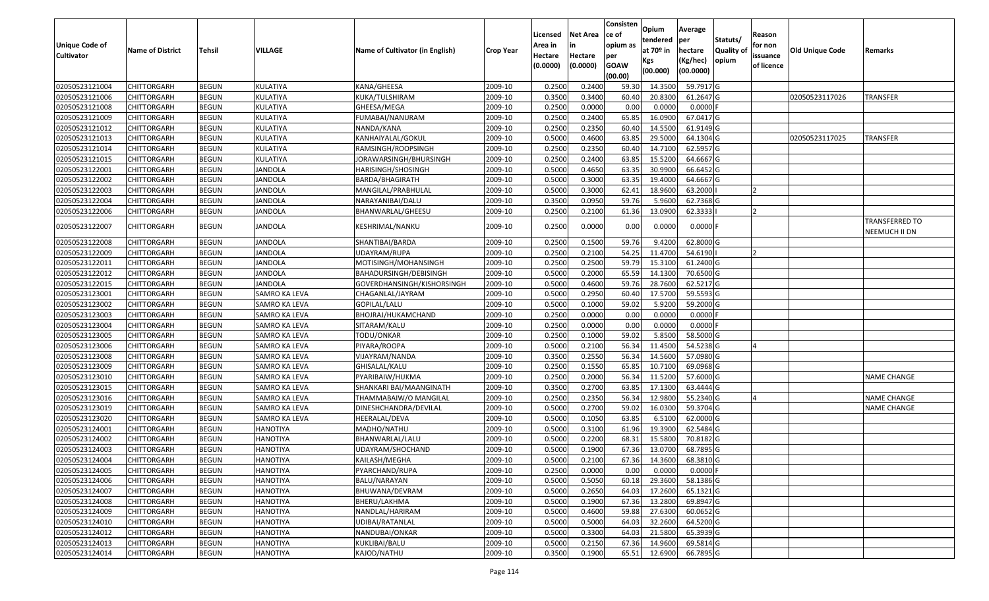|                       |                         |               |                      |                                 |                  | Licensed | <b>Net Area</b> | Consisten<br>ce of | Opium                 | Average    |                  | Reason         |                 |                                        |
|-----------------------|-------------------------|---------------|----------------------|---------------------------------|------------------|----------|-----------------|--------------------|-----------------------|------------|------------------|----------------|-----------------|----------------------------------------|
| <b>Unique Code of</b> |                         |               |                      |                                 |                  | Area in  |                 | opium as           | tendered              | per        | Statuts/         | for non        |                 |                                        |
| <b>Cultivator</b>     | <b>Name of District</b> | <b>Tehsil</b> | VILLAGE              | Name of Cultivator (in English) | <b>Crop Year</b> | Hectare  | Hectare         | per                | at 70 <sup>o</sup> in | hectare    | <b>Quality o</b> | issuance       | Old Unique Code | Remarks                                |
|                       |                         |               |                      |                                 |                  | (0.0000) | (0.0000)        | <b>GOAW</b>        | Kgs                   | (Kg/hec)   | opium            | of licence     |                 |                                        |
|                       |                         |               |                      |                                 |                  |          |                 | (00.00)            | (00.000)              | (00.0000)  |                  |                |                 |                                        |
| 02050523121004        | CHITTORGARH             | <b>BEGUN</b>  | KULATIYA             | KANA/GHEESA                     | 2009-10          | 0.2500   | 0.2400          | 59.30              | 14.3500               | 59.7917 G  |                  |                |                 |                                        |
| 02050523121006        | CHITTORGARH             | <b>BEGUN</b>  | KULATIYA             | KUKA/TULSHIRAM                  | 2009-10          | 0.3500   | 0.3400          | 60.40              | 20.8300               | 61.2647 G  |                  |                | 02050523117026  | TRANSFER                               |
| 02050523121008        | CHITTORGARH             | <b>BEGUN</b>  | KULATIYA             | GHEESA/MEGA                     | 2009-10          | 0.2500   | 0.0000          | 0.00               | 0.0000                | 0.0000F    |                  |                |                 |                                        |
| 02050523121009        | CHITTORGARH             | <b>BEGUN</b>  | KULATIYA             | FUMABAI/NANURAM                 | 2009-10          | 0.2500   | 0.2400          | 65.85              | 16.0900               | 67.0417 G  |                  |                |                 |                                        |
| 02050523121012        | CHITTORGARH             | <b>BEGUN</b>  | KULATIYA             | NANDA/KANA                      | 2009-10          | 0.2500   | 0.2350          | 60.40              | 14.5500               | 61.9149 G  |                  |                |                 |                                        |
| 02050523121013        | CHITTORGARH             | <b>BEGUN</b>  | KULATIYA             | KANHAIYALAL/GOKUL               | 2009-10          | 0.5000   | 0.4600          | 63.85              | 29.5000               | 64.1304 G  |                  |                | 02050523117025  | TRANSFER                               |
| 02050523121014        | CHITTORGARH             | <b>BEGUN</b>  | KULATIYA             | RAMSINGH/ROOPSINGH              | 2009-10          | 0.2500   | 0.2350          | 60.40              | 14.7100               | 62.5957 G  |                  |                |                 |                                        |
| 02050523121015        | CHITTORGARH             | <b>BEGUN</b>  | KULATIYA             | JORAWARSINGH/BHURSINGH          | 2009-10          | 0.2500   | 0.2400          | 63.85              | 15.5200               | 64.6667 G  |                  |                |                 |                                        |
| 02050523122001        | CHITTORGARH             | <b>BEGUN</b>  | JANDOLA              | HARISINGH/SHOSINGH              | 2009-10          | 0.5000   | 0.4650          | 63.35              | 30.9900               | 66.6452 G  |                  |                |                 |                                        |
| 02050523122002        | CHITTORGARH             | <b>BEGUN</b>  | <b>JANDOLA</b>       | BARDA/BHAGIRATH                 | 2009-10          | 0.5000   | 0.3000          | 63.35              | 19.4000               | 64.6667 G  |                  |                |                 |                                        |
| 02050523122003        | CHITTORGARH             | <b>BEGUN</b>  | JANDOLA              | MANGILAL/PRABHULAL              | 2009-10          | 0.5000   | 0.3000          | 62.41              | 18.9600               | 63.2000    |                  | $\overline{2}$ |                 |                                        |
| 02050523122004        | CHITTORGARH             | <b>BEGUN</b>  | <b>JANDOLA</b>       | NARAYANIBAI/DALU                | 2009-10          | 0.3500   | 0.0950          | 59.7               | 5.9600                | 62.7368 G  |                  |                |                 |                                        |
| 02050523122006        | CHITTORGARH             | <b>BEGUN</b>  | JANDOLA              | BHANWARLAL/GHEESU               | 2009-10          | 0.2500   | 0.2100          | 61.36              | 13.0900               | 62.3333    |                  |                |                 |                                        |
| 02050523122007        | CHITTORGARH             | <b>BEGUN</b>  | JANDOLA              | KESHRIMAL/NANKU                 | 2009-10          | 0.2500   | 0.0000          | 0.00               | 0.0000                | $0.0000$ F |                  |                |                 | <b>TRANSFERRED TO</b><br>NEEMUCH II DN |
| 02050523122008        | <b>CHITTORGARH</b>      | <b>BEGUN</b>  | <b>JANDOLA</b>       | SHANTIBAI/BARDA                 | 2009-10          | 0.250    | 0.1500          | 59.76              | 9.4200                | 62.8000G   |                  |                |                 |                                        |
| 02050523122009        | CHITTORGARH             | <b>BEGUN</b>  | JANDOLA              | UDAYRAM/RUPA                    | 2009-10          | 0.2500   | 0.2100          | 54.25              | 11.4700               | 54.6190    |                  |                |                 |                                        |
| 02050523122011        | CHITTORGARH             | <b>BEGUN</b>  | JANDOLA              | MOTISINGH/MOHANSINGH            | 2009-10          | 0.250    | 0.2500          | 59.79              | 15.3100               | 61.2400 G  |                  |                |                 |                                        |
| 02050523122012        | CHITTORGARH             | <b>BEGUN</b>  | JANDOLA              | BAHADURSINGH/DEBISINGH          | 2009-10          | 0.5000   | 0.2000          | 65.59              | 14.1300               | 70.6500 G  |                  |                |                 |                                        |
| 02050523122015        | CHITTORGARH             | <b>BEGUN</b>  | <b>JANDOLA</b>       | GOVERDHANSINGH/KISHORSINGH      | 2009-10          | 0.5000   | 0.4600          | 59.76              | 28.7600               | 62.5217 G  |                  |                |                 |                                        |
| 02050523123001        | CHITTORGARH             | <b>BEGUN</b>  | SAMRO KA LEVA        | CHAGANLAL/JAYRAM                | 2009-10          | 0.5000   | 0.2950          | 60.40              | 17.5700               | 59.5593 G  |                  |                |                 |                                        |
| 02050523123002        | CHITTORGARH             | <b>BEGUN</b>  | SAMRO KA LEVA        | GOPILAL/LALU                    | 2009-10          | 0.5000   | 0.1000          | 59.02              | 5.9200                | 59.2000 G  |                  |                |                 |                                        |
| 02050523123003        | CHITTORGARH             | <b>BEGUN</b>  | SAMRO KA LEVA        | BHOJRAJ/HUKAMCHAND              | 2009-10          | 0.2500   | 0.0000          | 0.00               | 0.0000                | $0.0000$ F |                  |                |                 |                                        |
| 02050523123004        | CHITTORGARH             | <b>BEGUN</b>  | SAMRO KA LEVA        | SITARAM/KALU                    | 2009-10          | 0.2500   | 0.0000          | 0.00               | 0.0000                | 0.0000     |                  |                |                 |                                        |
| 02050523123005        | CHITTORGARH             | <b>BEGUN</b>  | <b>SAMRO KA LEVA</b> | TODU/ONKAR                      | 2009-10          | 0.2500   | 0.1000          | 59.02              | 5.8500                | 58.5000G   |                  |                |                 |                                        |
| 02050523123006        | CHITTORGARH             | <b>BEGUN</b>  | SAMRO KA LEVA        | PIYARA/ROOPA                    | 2009-10          | 0.5000   | 0.2100          | 56.34              | 11.4500               | 54.5238 G  |                  |                |                 |                                        |
| 02050523123008        | CHITTORGARH             | <b>BEGUN</b>  | SAMRO KA LEVA        | VIJAYRAM/NANDA                  | 2009-10          | 0.3500   | 0.2550          | 56.34              | 14.5600               | 57.0980 G  |                  |                |                 |                                        |
| 02050523123009        | CHITTORGARH             | <b>BEGUN</b>  | SAMRO KA LEVA        | GHISALAL/KALU                   | 2009-10          | 0.2500   | 0.1550          | 65.85              | 10.7100               | 69.0968 G  |                  |                |                 |                                        |
| 02050523123010        | <b>CHITTORGARH</b>      | <b>BEGUN</b>  | <b>SAMRO KA LEVA</b> | PYARIBAIW/HUKMA                 | 2009-10          | 0.2500   | 0.2000          | 56.34              | 11.5200               | 57.6000 G  |                  |                |                 | <b>NAME CHANGE</b>                     |
| 02050523123015        | CHITTORGARH             | <b>BEGUN</b>  | SAMRO KA LEVA        | SHANKARI BAI/MAANGINATH         | 2009-10          | 0.3500   | 0.2700          | 63.85              | 17.1300               | 63.4444 G  |                  |                |                 |                                        |
| 02050523123016        | CHITTORGARH             | <b>BEGUN</b>  | SAMRO KA LEVA        | THAMMABAIW/O MANGILAL           | 2009-10          | 0.2500   | 0.2350          | 56.34              | 12.9800               | 55.2340 G  |                  |                |                 | NAME CHANGE                            |
| 02050523123019        | CHITTORGARH             | <b>BEGUN</b>  | SAMRO KA LEVA        | DINESHCHANDRA/DEVILAL           | 2009-10          | 0.5000   | 0.2700          | 59.02              | 16.0300               | 59.3704 G  |                  |                |                 | <b>NAME CHANGE</b>                     |
| 02050523123020        | CHITTORGARH             | <b>BEGUN</b>  | SAMRO KA LEVA        | HEERALAL/DEVA                   | 2009-10          | 0.5000   | 0.1050          | 63.85              | 6.5100                | 62.0000G   |                  |                |                 |                                        |
| 02050523124001        | <b>CHITTORGARH</b>      | <b>BEGUN</b>  | <b>HANOTIYA</b>      | MADHO/NATHU                     | 2009-10          | 0.5000   | 0.3100          | 61.96              | 19.3900               | 62.5484 G  |                  |                |                 |                                        |
| 02050523124002        | CHITTORGARH             | <b>BEGUN</b>  | <b>HANOTIYA</b>      | BHANWARLAL/LALU                 | 2009-10          | 0.500    | 0.2200          | 68.3               | 15.5800               | 70.8182 G  |                  |                |                 |                                        |
| 02050523124003        | CHITTORGARH             | <b>BEGUN</b>  | HANOTIYA             | JDAYRAM/SHOCHAND                | 2009-10          | 0.5000   | 0.1900          | 67.36              | 13.0700               | 68.7895 G  |                  |                |                 |                                        |
| 02050523124004        | <b>CHITTORGARH</b>      | <b>BEGUN</b>  | <b>HANOTIYA</b>      | KAILASH/MEGHA                   | 2009-10          | 0.5000   | 0.2100          | 67.36              | 14.3600               | 68.3810 G  |                  |                |                 |                                        |
| 02050523124005        | <b>CHITTORGARH</b>      | <b>BEGUN</b>  | <b>HANOTIYA</b>      | PYARCHAND/RUPA                  | 2009-10          | 0.2500   | 0.0000          | 0.00               | 0.0000                | $0.0000$ F |                  |                |                 |                                        |
| 02050523124006        | <b>CHITTORGARH</b>      | <b>BEGUN</b>  | <b>HANOTIYA</b>      | BALU/NARAYAN                    | 2009-10          | 0.5000   | 0.5050          | 60.18              | 29.3600               | 58.1386 G  |                  |                |                 |                                        |
| 02050523124007        | <b>CHITTORGARH</b>      | <b>BEGUN</b>  | <b>HANOTIYA</b>      | BHUWANA/DEVRAM                  | 2009-10          | 0.5000   | 0.2650          | 64.03              | 17.2600               | 65.1321 G  |                  |                |                 |                                        |
| 02050523124008        | CHITTORGARH             | <b>BEGUN</b>  | <b>HANOTIYA</b>      | BHERU/LAKHMA                    | 2009-10          | 0.5000   | 0.1900          | 67.36              | 13.2800               | 69.8947 G  |                  |                |                 |                                        |
| 02050523124009        | <b>CHITTORGARH</b>      | <b>BEGUN</b>  | <b>HANOTIYA</b>      | NANDLAL/HARIRAM                 | 2009-10          | 0.5000   | 0.4600          | 59.88              | 27.6300               | 60.0652 G  |                  |                |                 |                                        |
| 02050523124010        | <b>CHITTORGARH</b>      | <b>BEGUN</b>  | <b>HANOTIYA</b>      | UDIBAI/RATANLAL                 | 2009-10          | 0.5000   | 0.5000          | 64.03              | 32.2600               | 64.5200 G  |                  |                |                 |                                        |
| 02050523124012        | CHITTORGARH             | <b>BEGUN</b>  | <b>HANOTIYA</b>      | NANDUBAI/ONKAR                  | 2009-10          | 0.5000   | 0.3300          | 64.03              | 21.5800               | 65.3939 G  |                  |                |                 |                                        |
| 02050523124013        | CHITTORGARH             | <b>BEGUN</b>  | <b>HANOTIYA</b>      | KUKLIBAI/BALU                   | 2009-10          | 0.5000   | 0.2150          | 67.36              | 14.9600               | 69.5814 G  |                  |                |                 |                                        |
| 02050523124014        | <b>CHITTORGARH</b>      | <b>BEGUN</b>  | <b>HANOTIYA</b>      | KAJOD/NATHU                     | 2009-10          | 0.3500   | 0.1900          | 65.51              | 12.6900               | 66.7895 G  |                  |                |                 |                                        |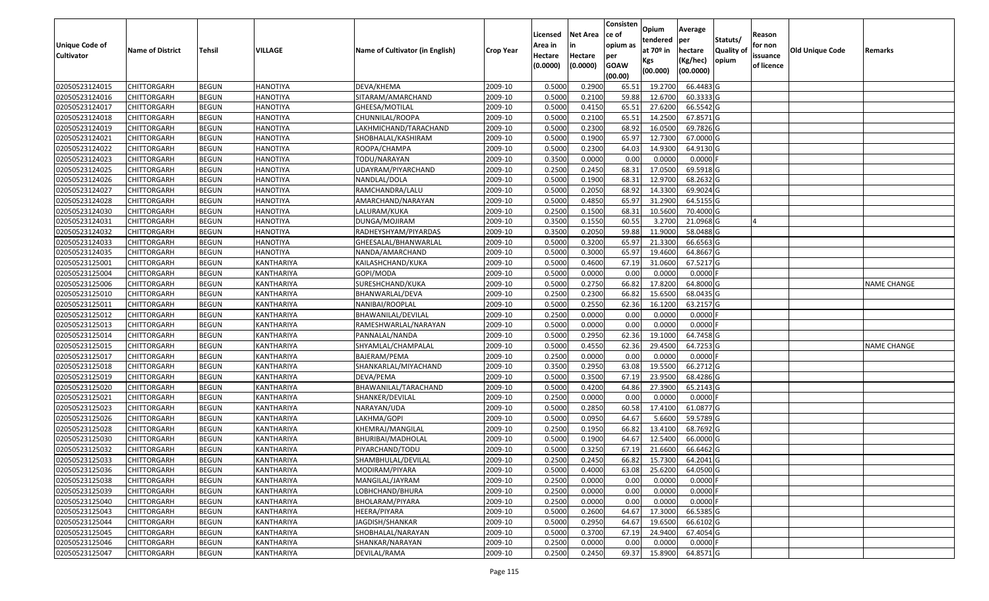|                   |                         |               |                   |                                 |                  |          |                 | Consisten              | Opium         | Average    |                  |            |                        |                    |
|-------------------|-------------------------|---------------|-------------------|---------------------------------|------------------|----------|-----------------|------------------------|---------------|------------|------------------|------------|------------------------|--------------------|
|                   |                         |               |                   |                                 |                  | Licensed | <b>Net Area</b> | lce of                 | tendered      | per        | Statuts/         | Reason     |                        |                    |
| Unique Code of    | <b>Name of District</b> | <b>Tehsil</b> | VILLAGE           | Name of Cultivator (in English) | <b>Crop Year</b> | Area in  |                 | opium as               | at $70°$ in   | hectare    | <b>Quality o</b> | for non    | <b>Old Unique Code</b> | Remarks            |
| <b>Cultivator</b> |                         |               |                   |                                 |                  | Hectare  | Hectare         | per                    | Kgs           | (Kg/hec)   | opium            | issuance   |                        |                    |
|                   |                         |               |                   |                                 |                  | (0.0000) | (0.0000)        | <b>GOAW</b><br>(00.00) | (00.000)      | (00.0000)  |                  | of licence |                        |                    |
| 02050523124015    | CHITTORGARH             | <b>BEGUN</b>  | <b>HANOTIYA</b>   | DEVA/KHEMA                      | 2009-10          | 0.5000   | 0.2900          | 65.5                   | 19.2700       | 66.4483 G  |                  |            |                        |                    |
| 02050523124016    | CHITTORGARH             | <b>BEGUN</b>  | <b>HANOTIYA</b>   | SITARAM/AMARCHAND               | 2009-10          | 0.5000   | 0.2100          | 59.88                  | 12.6700       | 60.3333 G  |                  |            |                        |                    |
| 02050523124017    | CHITTORGARH             | <b>BEGUN</b>  | <b>HANOTIYA</b>   | GHEESA/MOTILAL                  | 2009-10          | 0.5000   | 0.4150          | 65.5                   | 27.6200       | 66.5542 G  |                  |            |                        |                    |
| 02050523124018    | <b>CHITTORGARH</b>      | <b>BEGUN</b>  | <b>HANOTIYA</b>   | CHUNNILAL/ROOPA                 | 2009-10          | 0.5000   | 0.2100          | 65.5                   | 14.2500       | 67.8571 G  |                  |            |                        |                    |
| 02050523124019    | CHITTORGARH             | <b>BEGUN</b>  | <b>HANOTIYA</b>   | LAKHMICHAND/TARACHAND           | 2009-10          | 0.5000   | 0.2300          | 68.92                  | 16.0500       | 69.7826 G  |                  |            |                        |                    |
| 02050523124021    | CHITTORGARH             | <b>BEGUN</b>  | <b>HANOTIYA</b>   | SHOBHALAL/KASHIRAM              | 2009-10          | 0.5000   | 0.1900          | 65.97                  | 12.7300       | 67.0000 G  |                  |            |                        |                    |
| 02050523124022    | CHITTORGARH             | <b>BEGUN</b>  | <b>HANOTIYA</b>   | ROOPA/CHAMPA                    | 2009-10          | 0.5000   | 0.2300          | 64.03                  | 14.9300       | 64.9130 G  |                  |            |                        |                    |
| 02050523124023    | <b>CHITTORGARH</b>      | <b>BEGUN</b>  | <b>HANOTIYA</b>   | TODU/NARAYAN                    | 2009-10          | 0.3500   | 0.0000          | 0.00                   | 0.0000        | $0.0000$ F |                  |            |                        |                    |
| 02050523124025    | CHITTORGARH             | <b>BEGUN</b>  | <b>HANOTIYA</b>   | UDAYRAM/PIYARCHAND              | 2009-10          | 0.2500   | 0.2450          | 68.3                   | 17.0500       | 69.5918 G  |                  |            |                        |                    |
| 02050523124026    | CHITTORGARH             | <b>BEGUN</b>  | <b>HANOTIYA</b>   | NANDLAL/DOLA                    | 2009-10          | 0.5000   | 0.1900          | 68.3                   | 12.9700       | 68.2632 G  |                  |            |                        |                    |
| 02050523124027    | CHITTORGARH             | <b>BEGUN</b>  | <b>HANOTIYA</b>   | RAMCHANDRA/LALU                 | 2009-10          | 0.5000   | 0.2050          | 68.92                  | 14.3300       | 69.9024 G  |                  |            |                        |                    |
| 02050523124028    | CHITTORGARH             | <b>BEGUN</b>  | <b>HANOTIYA</b>   | AMARCHAND/NARAYAN               | 2009-10          | 0.5000   | 0.4850          | 65.97                  | 31.2900       | 64.5155 G  |                  |            |                        |                    |
| 02050523124030    | <b>CHITTORGARH</b>      | <b>BEGUN</b>  | <b>HANOTIYA</b>   | LALURAM/KUKA                    | 2009-10          | 0.2500   | 0.1500          | 68.31                  | 10.5600       | 70.4000 G  |                  |            |                        |                    |
| 02050523124031    | CHITTORGARH             | <b>BEGUN</b>  | <b>HANOTIYA</b>   | DUNGA/MOJIRAM                   | 2009-10          | 0.3500   | 0.1550          | 60.55                  | 3.2700        | 21.0968 G  |                  |            |                        |                    |
| 02050523124032    | CHITTORGARH             | <b>BEGUN</b>  | <b>HANOTIYA</b>   | RADHEYSHYAM/PIYARDAS            | 2009-10          | 0.3500   | 0.2050          | 59.88                  | 11.9000       | 58.0488G   |                  |            |                        |                    |
| 02050523124033    | CHITTORGARH             | <b>BEGUN</b>  | <b>HANOTIYA</b>   | GHEESALAL/BHANWARLAL            | 2009-10          | 0.5000   | 0.3200          | 65.97                  | 21.3300       | 66.6563 G  |                  |            |                        |                    |
| 02050523124035    | CHITTORGARH             | <b>BEGUN</b>  | <b>HANOTIYA</b>   | NANDA/AMARCHAND                 | 2009-10          | 0.5000   | 0.3000          | 65.97                  | 19.4600       | 64.8667 G  |                  |            |                        |                    |
| 02050523125001    | CHITTORGARH             | <b>BEGUN</b>  | KANTHARIYA        | KAILASHCHAND/KUKA               | 2009-10          | 0.5000   | 0.4600          | 67.19                  | 31.0600       | 67.5217 G  |                  |            |                        |                    |
| 02050523125004    | CHITTORGARH             | <b>BEGUN</b>  | KANTHARIYA        | GOPI/MODA                       | 2009-10          | 0.5000   | 0.0000          | 0.00                   | 0.0000        | 0.0000F    |                  |            |                        |                    |
| 02050523125006    | CHITTORGARH             | <b>BEGUN</b>  | KANTHARIYA        | SURESHCHAND/KUKA                | 2009-10          | 0.5000   | 0.2750          | 66.82                  | 17.8200       | 64.8000 G  |                  |            |                        | <b>NAME CHANGE</b> |
| 02050523125010    | CHITTORGARH             | <b>BEGUN</b>  | KANTHARIYA        | BHANWARLAL/DEVA                 | 2009-10          | 0.2500   | 0.2300          | 66.82                  | 15.6500       | 68.0435 G  |                  |            |                        |                    |
| 02050523125011    | CHITTORGARH             | <b>BEGUN</b>  | KANTHARIYA        | NANIBAI/ROOPLAL                 | 2009-10          | 0.5000   | 0.2550          | 62.36                  | 16.1200       | 63.2157 G  |                  |            |                        |                    |
| 02050523125012    | CHITTORGARH             | <b>BEGUN</b>  | KANTHARIYA        | BHAWANILAL/DEVILAL              | 2009-10          | 0.2500   | 0.0000          | 0.00                   | 0.0000        | 0.0000F    |                  |            |                        |                    |
| 02050523125013    | CHITTORGARH             | <b>BEGUN</b>  | KANTHARIYA        | RAMESHWARLAL/NARAYAN            | 2009-10          | 0.5000   | 0.0000          | 0.00                   | 0.0000        | 0.0000     |                  |            |                        |                    |
| 02050523125014    | CHITTORGARH             | <b>BEGUN</b>  | KANTHARIYA        | PANNALAL/NANDA                  | 2009-10          | 0.5000   | 0.2950          | 62.36                  | 19.1000       | 64.7458 G  |                  |            |                        |                    |
| 02050523125015    | CHITTORGARH             | <b>BEGUN</b>  | KANTHARIYA        | SHYAMLAL/CHAMPALAL              | 2009-10          | 0.5000   | 0.4550          | 62.36                  | 29.4500       | 64.7253 G  |                  |            |                        | <b>NAME CHANGE</b> |
| 02050523125017    | CHITTORGARH             | <b>BEGUN</b>  | KANTHARIYA        | BAJERAM/PEMA                    | 2009-10          | 0.2500   | 0.0000          | 0.00                   | 0.0000        | $0.0000$ F |                  |            |                        |                    |
| 02050523125018    | CHITTORGARH             | <b>BEGUN</b>  | KANTHARIYA        | SHANKARLAL/MIYACHAND            | 2009-10          | 0.3500   | 0.2950          | 63.08                  | 19.5500       | 66.2712 G  |                  |            |                        |                    |
| 02050523125019    | CHITTORGARH             | <b>BEGUN</b>  | KANTHARIYA        | DEVA/PEMA                       | 2009-10          | 0.5000   | 0.3500          | 67.19                  | 23.9500       | 68.4286 G  |                  |            |                        |                    |
| 02050523125020    | CHITTORGARH             | <b>BEGUN</b>  | KANTHARIYA        | BHAWANILAL/TARACHAND            | 2009-10          | 0.5000   | 0.4200          | 64.86                  | 27.3900       | 65.2143 G  |                  |            |                        |                    |
| 02050523125021    | CHITTORGARH             | <b>BEGUN</b>  | KANTHARIYA        | SHANKER/DEVILAL                 | 2009-10          | 0.2500   | 0.0000          | 0.00                   | 0.0000        | 0.0000F    |                  |            |                        |                    |
| 02050523125023    | CHITTORGARH             | <b>BEGUN</b>  | KANTHARIYA        | NARAYAN/UDA                     | 2009-10          | 0.5000   | 0.2850          | 60.58                  | 17.4100       | 61.0877 G  |                  |            |                        |                    |
| 02050523125026    | CHITTORGARH             | <b>BEGUN</b>  | KANTHARIYA        | LAKHMA/GOPI                     | 2009-10          | 0.5000   | 0.0950          | 64.67                  | 5.6600        | 59.5789 G  |                  |            |                        |                    |
| 02050523125028    | CHITTORGARH             | <b>BEGUN</b>  | KANTHARIYA        | KHEMRAJ/MANGILAL                | 2009-10          | 0.2500   | 0.1950          | 66.82                  | 13.4100       | 68.7692 G  |                  |            |                        |                    |
| 02050523125030    | CHITTORGARH             | <b>BEGUN</b>  | KANTHARIYA        | BHURIBAI/MADHOLAL               | 2009-10          | 0.500    | 0.1900          | 64.67                  | 12.5400       | 66.0000 G  |                  |            |                        |                    |
| 02050523125032    | CHITTORGARH             | <b>BEGUN</b>  | KANTHARIYA        | PIYARCHAND/TODU                 | 2009-10          | 0.5000   | 0.3250          | 67.19                  | 21.6600       | 66.6462 G  |                  |            |                        |                    |
| 02050523125033    | <b>CHITTORGARH</b>      | <b>BEGUN</b>  | KANTHARIYA        | SHAMBHULAL/DEVILAL              | 2009-10          | 0.2500   | 0.2450          |                        | 66.82 15.7300 | 64.2041 G  |                  |            |                        |                    |
| 02050523125036    | <b>CHITTORGARH</b>      | <b>BEGUN</b>  | KANTHARIYA        | MODIRAM/PIYARA                  | 2009-10          | 0.5000   | 0.4000          | 63.08                  | 25.6200       | 64.0500 G  |                  |            |                        |                    |
| 02050523125038    | <b>CHITTORGARH</b>      | <b>BEGUN</b>  | KANTHARIYA        | MANGILAL/JAYRAM                 | 2009-10          | 0.2500   | 0.0000          | 0.00                   | 0.0000        | $0.0000$ F |                  |            |                        |                    |
| 02050523125039    | <b>CHITTORGARH</b>      | <b>BEGUN</b>  | KANTHARIYA        | LOBHCHAND/BHURA                 | 2009-10          | 0.2500   | 0.0000          | 0.00                   | 0.0000        | $0.0000$ F |                  |            |                        |                    |
| 02050523125040    | <b>CHITTORGARH</b>      | <b>BEGUN</b>  | <b>KANTHARIYA</b> | BHOLARAM/PIYARA                 | 2009-10          | 0.2500   | 0.0000          | 0.00                   | 0.0000        | $0.0000$ F |                  |            |                        |                    |
| 02050523125043    | <b>CHITTORGARH</b>      | <b>BEGUN</b>  | KANTHARIYA        | HEERA/PIYARA                    | 2009-10          | 0.5000   | 0.2600          | 64.67                  | 17.3000       | 66.5385 G  |                  |            |                        |                    |
| 02050523125044    | <b>CHITTORGARH</b>      | <b>BEGUN</b>  | KANTHARIYA        | JAGDISH/SHANKAR                 | 2009-10          | 0.5000   | 0.2950          | 64.67                  | 19.6500       | 66.6102 G  |                  |            |                        |                    |
| 02050523125045    | CHITTORGARH             | <b>BEGUN</b>  | KANTHARIYA        | SHOBHALAL/NARAYAN               | 2009-10          | 0.5000   | 0.3700          | 67.19                  | 24.9400       | 67.4054 G  |                  |            |                        |                    |
| 02050523125046    | CHITTORGARH             | <b>BEGUN</b>  | KANTHARIYA        | SHANKAR/NARAYAN                 | 2009-10          | 0.2500   | 0.0000          | 0.00                   | 0.0000        | $0.0000$ F |                  |            |                        |                    |
| 02050523125047    | <b>CHITTORGARH</b>      | <b>BEGUN</b>  | KANTHARIYA        | DEVILAL/RAMA                    | 2009-10          | 0.2500   | 0.2450          | 69.37                  | 15.8900       | 64.8571 G  |                  |            |                        |                    |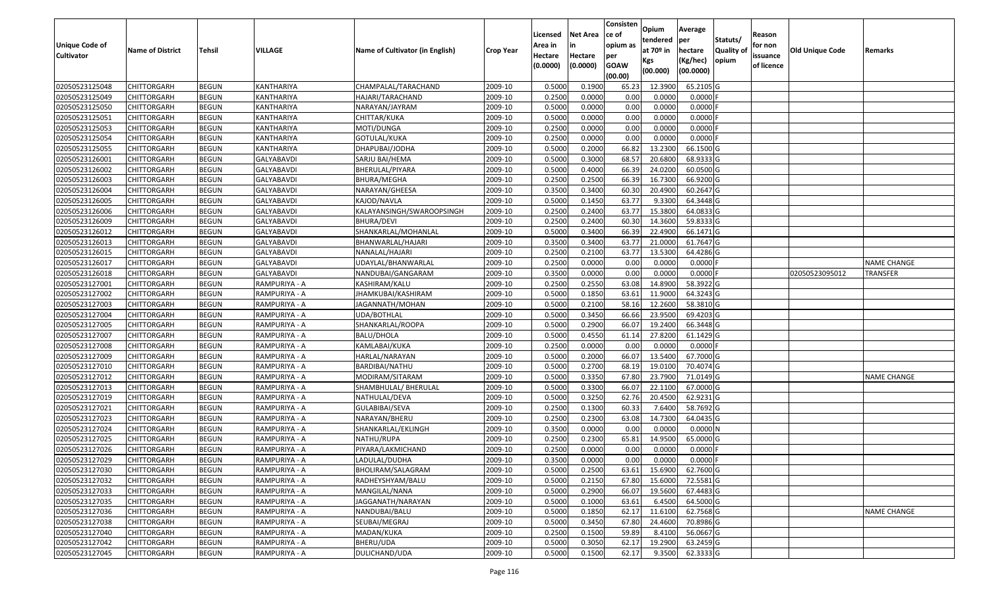|                                            |                         |               |                   |                                 |                  |                     |                     | Consisten          | Opium                 | Average    |                  |                        |                 |                    |
|--------------------------------------------|-------------------------|---------------|-------------------|---------------------------------|------------------|---------------------|---------------------|--------------------|-----------------------|------------|------------------|------------------------|-----------------|--------------------|
|                                            |                         |               |                   |                                 |                  | Licensed            | <b>Net Area</b>     | ce of              | tendered              | per        | Statuts/         | Reason                 |                 |                    |
| <b>Unique Code of</b><br><b>Cultivator</b> | <b>Name of District</b> | <b>Tehsil</b> | VILLAGE           | Name of Cultivator (in English) | <b>Crop Year</b> | Area in             |                     | opium as           | at 70 <sup>o</sup> in | hectare    | <b>Quality o</b> | for non                | Old Unique Code | Remarks            |
|                                            |                         |               |                   |                                 |                  | Hectare<br>(0.0000) | Hectare<br>(0.0000) | per<br><b>GOAW</b> | Kgs                   | (Kg/hec)   | opium            | issuance<br>of licence |                 |                    |
|                                            |                         |               |                   |                                 |                  |                     |                     | (00.00)            | (00.000)              | (00.0000)  |                  |                        |                 |                    |
| 02050523125048                             | CHITTORGARH             | <b>BEGUN</b>  | KANTHARIYA        | CHAMPALAL/TARACHAND             | 2009-10          | 0.5000              | 0.1900              | 65.23              | 12.3900               | 65.2105 G  |                  |                        |                 |                    |
| 02050523125049                             | CHITTORGARH             | <b>BEGUN</b>  | KANTHARIYA        | HAJARI/TARACHAND                | 2009-10          | 0.2500              | 0.0000              | 0.00               | 0.0000                | $0.0000$ F |                  |                        |                 |                    |
| 02050523125050                             | CHITTORGARH             | <b>BEGUN</b>  | KANTHARIYA        | NARAYAN/JAYRAM                  | 2009-10          | 0.5000              | 0.0000              | 0.00               | 0.0000                | 0.0000     |                  |                        |                 |                    |
| 02050523125051                             | <b>CHITTORGARH</b>      | <b>BEGUN</b>  | KANTHARIYA        | CHITTAR/KUKA                    | 2009-10          | 0.5000              | 0.0000              | 0.00               | 0.0000                | 0.0000F    |                  |                        |                 |                    |
| 02050523125053                             | CHITTORGARH             | <b>BEGUN</b>  | KANTHARIYA        | MOTI/DUNGA                      | 2009-10          | 0.2500              | 0.0000              | 0.00               | 0.0000                | 0.0000     |                  |                        |                 |                    |
| 02050523125054                             | CHITTORGARH             | <b>BEGUN</b>  | KANTHARIYA        | GOTULAL/KUKA                    | 2009-10          | 0.2500              | 0.0000              | 0.00               | 0.0000                | 0.0000F    |                  |                        |                 |                    |
| 02050523125055                             | CHITTORGARH             | <b>BEGUN</b>  | KANTHARIYA        | DHAPUBAI/JODHA                  | 2009-10          | 0.5000              | 0.2000              | 66.82              | 13.2300               | 66.1500 G  |                  |                        |                 |                    |
| 02050523126001                             | CHITTORGARH             | <b>BEGUN</b>  | <b>GALYABAVDI</b> | SARJU BAI/HEMA                  | 2009-10          | 0.5000              | 0.3000              | 68.57              | 20.6800               | 68.9333 G  |                  |                        |                 |                    |
| 02050523126002                             | CHITTORGARH             | <b>BEGUN</b>  | <b>GALYABAVDI</b> | BHERULAL/PIYARA                 | 2009-10          | 0.5000              | 0.4000              | 66.39              | 24.0200               | 60.0500 G  |                  |                        |                 |                    |
| 02050523126003                             | CHITTORGARH             | <b>BEGUN</b>  | GALYABAVDI        | BHURA/MEGHA                     | 2009-10          | 0.2500              | 0.2500              | 66.39              | 16.7300               | 66.9200 G  |                  |                        |                 |                    |
| 02050523126004                             | CHITTORGARH             | <b>BEGUN</b>  | GALYABAVDI        | NARAYAN/GHEESA                  | 2009-10          | 0.3500              | 0.3400              | 60.30              | 20.4900               | 60.2647 G  |                  |                        |                 |                    |
| 02050523126005                             | CHITTORGARH             | <b>BEGUN</b>  | <b>GALYABAVDI</b> | KAJOD/NAVLA                     | 2009-10          | 0.5000              | 0.1450              | 63.7               | 9.3300                | 64.3448 G  |                  |                        |                 |                    |
| 02050523126006                             | <b>CHITTORGARH</b>      | <b>BEGUN</b>  | <b>GALYABAVDI</b> | KALAYANSINGH/SWAROOPSINGH       | 2009-10          | 0.2500              | 0.2400              | 63.77              | 15.3800               | 64.0833 G  |                  |                        |                 |                    |
| 02050523126009                             | CHITTORGARH             | <b>BEGUN</b>  | <b>GALYABAVDI</b> | BHURA/DEVI                      | 2009-10          | 0.2500              | 0.2400              | 60.30              | 14.3600               | 59.8333 G  |                  |                        |                 |                    |
| 02050523126012                             | CHITTORGARH             | <b>BEGUN</b>  | GALYABAVDI        | SHANKARLAL/MOHANLAL             | 2009-10          | 0.5000              | 0.3400              | 66.39              | 22.4900               | 66.1471G   |                  |                        |                 |                    |
| 02050523126013                             | CHITTORGARH             | <b>BEGUN</b>  | <b>GALYABAVDI</b> | BHANWARLAL/HAJARI               | 2009-10          | 0.3500              | 0.3400              | 63.77              | 21.0000               | 61.7647 G  |                  |                        |                 |                    |
| 02050523126015                             | CHITTORGARH             | <b>BEGUN</b>  | GALYABAVDI        | NANALAL/HAJARI                  | 2009-10          | 0.2500              | 0.2100              | 63.77              | 13.5300               | 64.4286 G  |                  |                        |                 |                    |
| 02050523126017                             | CHITTORGARH             | <b>BEGUN</b>  | GALYABAVDI        | UDAYLAL/BHANWARLAL              | 2009-10          | 0.2500              | 0.0000              | 0.00               | 0.0000                | 0.0000F    |                  |                        |                 | <b>NAME CHANGE</b> |
| 02050523126018                             | CHITTORGARH             | <b>BEGUN</b>  | GALYABAVDI        | NANDUBAI/GANGARAM               | 2009-10          | 0.3500              | 0.0000              | 0.00               | 0.0000                | 0.0000     |                  |                        | 02050523095012  | <b>TRANSFER</b>    |
| 02050523127001                             | CHITTORGARH             | <b>BEGUN</b>  | RAMPURIYA - A     | KASHIRAM/KALU                   | 2009-10          | 0.2500              | 0.2550              | 63.08              | 14.8900               | 58.3922 G  |                  |                        |                 |                    |
| 02050523127002                             | CHITTORGARH             | <b>BEGUN</b>  | RAMPURIYA - A     | JHAMKUBAI/KASHIRAM              | 2009-10          | 0.5000              | 0.1850              | 63.6               | 11.9000               | 64.3243 G  |                  |                        |                 |                    |
| 02050523127003                             | CHITTORGARH             | <b>BEGUN</b>  | RAMPURIYA - A     | JAGANNATH/MOHAN                 | 2009-10          | 0.500               | 0.2100              | 58.16              | 12.2600               | 58.3810 G  |                  |                        |                 |                    |
| 02050523127004                             | CHITTORGARH             | <b>BEGUN</b>  | RAMPURIYA - A     | UDA/BOTHLAL                     | 2009-10          | 0.5000              | 0.3450              | 66.66              | 23.9500               | 69.4203 G  |                  |                        |                 |                    |
| 02050523127005                             | CHITTORGARH             | <b>BEGUN</b>  | RAMPURIYA - A     | SHANKARLAL/ROOPA                | 2009-10          | 0.5000              | 0.2900              | 66.07              | 19.2400               | 66.3448 G  |                  |                        |                 |                    |
| 02050523127007                             | CHITTORGARH             | <b>BEGUN</b>  | RAMPURIYA - A     | <b>BALU/DHOLA</b>               | 2009-10          | 0.5000              | 0.4550              | 61.14              | 27.8200               | 61.1429 G  |                  |                        |                 |                    |
| 02050523127008                             | CHITTORGARH             | <b>BEGUN</b>  | RAMPURIYA - A     | KAMLABAI/KUKA                   | 2009-10          | 0.2500              | 0.0000              | 0.00               | 0.0000                | $0.0000$ F |                  |                        |                 |                    |
| 02050523127009                             | CHITTORGARH             | <b>BEGUN</b>  | RAMPURIYA - A     | HARLAL/NARAYAN                  | 2009-10          | 0.5000              | 0.2000              | 66.07              | 13.5400               | 67.7000 G  |                  |                        |                 |                    |
| 02050523127010                             | CHITTORGARH             | <b>BEGUN</b>  | RAMPURIYA - A     | BARDIBAI/NATHU                  | 2009-10          | 0.5000              | 0.2700              | 68.19              | 19.0100               | 70.4074 G  |                  |                        |                 |                    |
| 02050523127012                             | CHITTORGARH             | <b>BEGUN</b>  | RAMPURIYA - A     | MODIRAM/SITARAM                 | 2009-10          | 0.5000              | 0.3350              | 67.80              | 23.7900               | 71.0149 G  |                  |                        |                 | <b>NAME CHANGE</b> |
| 02050523127013                             | CHITTORGARH             | <b>BEGUN</b>  | RAMPURIYA - A     | SHAMBHULAL/ BHERULAL            | 2009-10          | 0.5000              | 0.3300              | 66.07              | 22.1100               | 67.0000G   |                  |                        |                 |                    |
| 02050523127019                             | CHITTORGARH             | <b>BEGUN</b>  | RAMPURIYA - A     | NATHULAL/DEVA                   | 2009-10          | 0.5000              | 0.3250              | 62.7               | 20.4500               | 62.9231G   |                  |                        |                 |                    |
| 02050523127021                             | CHITTORGARH             | <b>BEGUN</b>  | RAMPURIYA - A     | GULABIBAI/SEVA                  | 2009-10          | 0.2500              | 0.1300              | 60.3               | 7.6400                | 58.7692 G  |                  |                        |                 |                    |
| 02050523127023                             | CHITTORGARH             | <b>BEGUN</b>  | RAMPURIYA - A     | NARAYAN/BHERU                   | 2009-10          | 0.2500              | 0.2300              | 63.08              | 14.7300               | 64.0435 G  |                  |                        |                 |                    |
| 02050523127024                             | CHITTORGARH             | <b>BEGUN</b>  | RAMPURIYA - A     | SHANKARLAL/EKLINGH              | 2009-10          | 0.3500              | 0.0000              | 0.00               | 0.0000                | 0.0000N    |                  |                        |                 |                    |
| 02050523127025                             | CHITTORGARH             | <b>BEGUN</b>  | RAMPURIYA - A     | NATHU/RUPA                      | 2009-10          | 0.250               | 0.2300              | 65.8               | 14.9500               | 65.0000 G  |                  |                        |                 |                    |
| 02050523127026                             | CHITTORGARH             | <b>BEGUN</b>  | RAMPURIYA - A     | PIYARA/LAKMICHAND               | 2009-10          | 0.2500              | 0.0000              | 0.00               | 0.0000                | 0.0000     |                  |                        |                 |                    |
| 02050523127029                             | <b>CHITTORGARH</b>      | <b>BEGUN</b>  | RAMPURIYA - A     | LADULAL/DUDHA                   | 2009-10          | 0.3500              | 0.0000              | 0.00               | 0.0000                | $0.0000$ F |                  |                        |                 |                    |
| 02050523127030                             | <b>CHITTORGARH</b>      | <b>BEGUN</b>  | RAMPURIYA - A     | BHOLIRAM/SALAGRAM               | 2009-10          | 0.5000              | 0.2500              | 63.61              | 15.6900               | 62.7600 G  |                  |                        |                 |                    |
| 02050523127032                             | <b>CHITTORGARH</b>      | <b>BEGUN</b>  | RAMPURIYA - A     | RADHEYSHYAM/BALU                | 2009-10          | 0.5000              | 0.2150              | 67.80              | 15.6000               | 72.5581 G  |                  |                        |                 |                    |
| 02050523127033                             | <b>CHITTORGARH</b>      | <b>BEGUN</b>  | RAMPURIYA - A     | MANGILAL/NANA                   | 2009-10          | 0.5000              | 0.2900              | 66.07              | 19.5600               | 67.4483 G  |                  |                        |                 |                    |
| 02050523127035                             | CHITTORGARH             | <b>BEGUN</b>  | RAMPURIYA - A     | JAGGANATH/NARAYAN               | 2009-10          | 0.5000              | 0.1000              | 63.61              | 6.4500                | 64.5000 G  |                  |                        |                 |                    |
| 02050523127036                             | <b>CHITTORGARH</b>      | <b>BEGUN</b>  | RAMPURIYA - A     | NANDUBAI/BALU                   | 2009-10          | 0.5000              | 0.1850              | 62.17              | 11.6100               | 62.7568 G  |                  |                        |                 | <b>NAME CHANGE</b> |
| 02050523127038                             | <b>CHITTORGARH</b>      | <b>BEGUN</b>  | RAMPURIYA - A     | SEUBAI/MEGRAJ                   | 2009-10          | 0.5000              | 0.3450              | 67.80              | 24.4600               | 70.8986 G  |                  |                        |                 |                    |
| 02050523127040                             | <b>CHITTORGARH</b>      | <b>BEGUN</b>  | RAMPURIYA - A     | MADAN/KUKA                      | 2009-10          | 0.2500              | 0.1500              | 59.89              | 8.4100                | 56.0667 G  |                  |                        |                 |                    |
| 02050523127042                             | <b>CHITTORGARH</b>      | <b>BEGUN</b>  | RAMPURIYA - A     | BHERU/UDA                       | 2009-10          | 0.5000              | 0.3050              | 62.17              | 19.2900               | 63.2459 G  |                  |                        |                 |                    |
| 02050523127045                             | <b>CHITTORGARH</b>      | <b>BEGUN</b>  | RAMPURIYA - A     | DULICHAND/UDA                   | 2009-10          | 0.5000              | 0.1500              | 62.17              | 9.3500                | 62.3333 G  |                  |                        |                 |                    |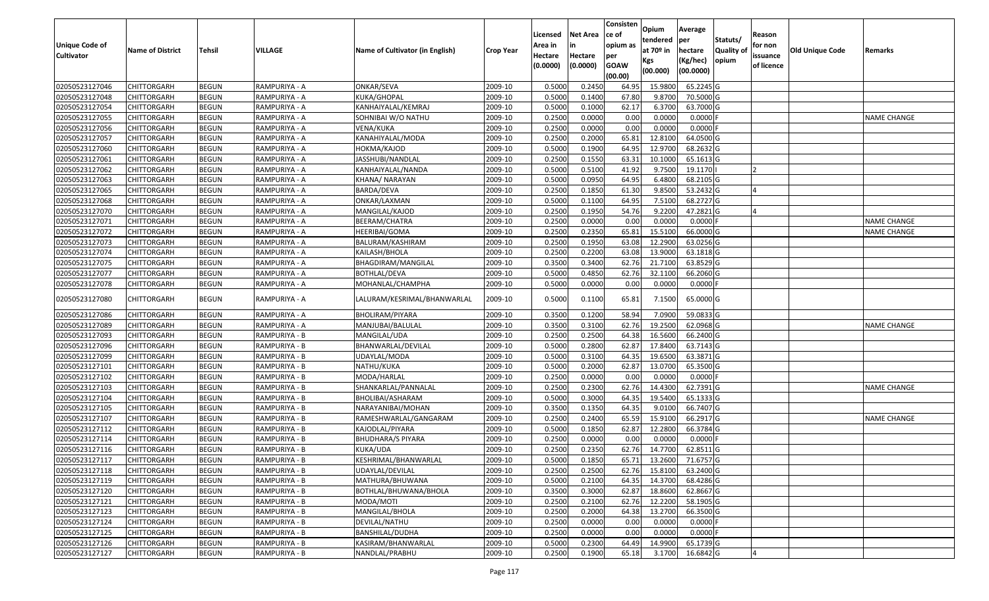| <b>Unique Code of</b> |                         |               |               |                                 |           | Licensed<br>Area in | <b>Net Area</b><br>in | Consisten<br>ce of<br>opium as | Opium<br>tendered            | Average<br>per                   | Statuts/                   | Reason<br>for non      |                        |                    |
|-----------------------|-------------------------|---------------|---------------|---------------------------------|-----------|---------------------|-----------------------|--------------------------------|------------------------------|----------------------------------|----------------------------|------------------------|------------------------|--------------------|
| <b>Cultivator</b>     | <b>Name of District</b> | <b>Tehsil</b> | VILLAGE       | Name of Cultivator (in English) | Crop Year | Hectare<br>(0.0000) | Hectare<br>(0.0000)   | per<br><b>GOAW</b><br>(00.00)  | at 70º in<br>Kgs<br>(00.000) | hectare<br>(Kg/hec)<br>(00.0000) | <b>Quality of</b><br>opium | issuance<br>of licence | <b>Old Unique Code</b> | Remarks            |
| 02050523127046        | <b>CHITTORGARH</b>      | <b>BEGUN</b>  | RAMPURIYA - A | ONKAR/SEVA                      | 2009-10   | 0.5000              | 0.2450                | 64.95                          | 15.9800                      | 65.2245 G                        |                            |                        |                        |                    |
| 02050523127048        | <b>CHITTORGARH</b>      | <b>BEGUN</b>  | RAMPURIYA - A | KUKA/GHOPAL                     | 2009-10   | 0.5000              | 0.1400                | 67.80                          | 9.8700                       | 70.5000 G                        |                            |                        |                        |                    |
| 02050523127054        | <b>CHITTORGARH</b>      | <b>BEGUN</b>  | RAMPURIYA - A | KANHAIYALAL/KEMRAJ              | 2009-10   | 0.5000              | 0.1000                | 62.17                          | 6.3700                       | 63.7000 G                        |                            |                        |                        |                    |
| 02050523127055        | <b>CHITTORGARH</b>      | <b>BEGUN</b>  | RAMPURIYA - A | SOHNIBAI W/O NATHU              | 2009-10   | 0.2500              | 0.0000                | 0.00                           | 0.0000                       | $0.0000$ F                       |                            |                        |                        | <b>NAME CHANGE</b> |
| 02050523127056        | <b>CHITTORGARH</b>      | <b>BEGUN</b>  | RAMPURIYA - A | VENA/KUKA                       | 2009-10   | 0.2500              | 0.0000                | 0.00                           | 0.0000                       | $0.0000$ F                       |                            |                        |                        |                    |
| 02050523127057        | <b>CHITTORGARH</b>      | <b>BEGUN</b>  | RAMPURIYA - A | KANAHIYALAL/MODA                | 2009-10   | 0.2500              | 0.2000                | 65.81                          | 12.8100                      | 64.0500 G                        |                            |                        |                        |                    |
| 02050523127060        | <b>CHITTORGARH</b>      | <b>BEGUN</b>  | RAMPURIYA - A | HOKMA/KAJOD                     | 2009-10   | 0.5000              | 0.1900                | 64.95                          | 12.9700                      | 68.2632 G                        |                            |                        |                        |                    |
| 02050523127061        | <b>CHITTORGARH</b>      | <b>BEGUN</b>  | RAMPURIYA - A | JASSHUBI/NANDLAL                | 2009-10   | 0.2500              | 0.1550                | 63.31                          | 10.1000                      | 65.1613 G                        |                            |                        |                        |                    |
| 02050523127062        | <b>CHITTORGARH</b>      | <b>BEGUN</b>  | RAMPURIYA - A | KANHAIYALAL/NANDA               | 2009-10   | 0.5000              | 0.5100                | 41.92                          | 9.7500                       | 19.1170                          |                            |                        |                        |                    |
| 02050523127063        | <b>CHITTORGARH</b>      | <b>BEGUN</b>  | RAMPURIYA - A | KHANA/ NARAYAN                  | 2009-10   | 0.5000              | 0.0950                | 64.95                          | 6.4800                       | 68.2105 G                        |                            |                        |                        |                    |
| 02050523127065        | <b>CHITTORGARH</b>      | <b>BEGUN</b>  | RAMPURIYA - A | BARDA/DEVA                      | 2009-10   | 0.2500              | 0.1850                | 61.30                          | 9.8500                       | 53.2432 G                        |                            | IΔ                     |                        |                    |
| 02050523127068        | <b>CHITTORGARH</b>      | <b>BEGUN</b>  | RAMPURIYA - A | ONKAR/LAXMAN                    | 2009-10   | 0.5000              | 0.1100                | 64.95                          | 7.5100                       | 68.2727 G                        |                            |                        |                        |                    |
| 02050523127070        | <b>CHITTORGARH</b>      | <b>BEGUN</b>  | RAMPURIYA - A | MANGILAL/KAJOD                  | 2009-10   | 0.2500              | 0.1950                | 54.76                          | 9.2200                       | 47.2821 G                        |                            |                        |                        |                    |
| 02050523127071        | <b>CHITTORGARH</b>      | <b>BEGUN</b>  | RAMPURIYA - A | BEERAM/CHATRA                   | 2009-10   | 0.2500              | 0.0000                | 0.00                           | 0.0000                       | $0.0000$ F                       |                            |                        |                        | <b>NAME CHANGE</b> |
| 02050523127072        | <b>CHITTORGARH</b>      | <b>BEGUN</b>  | RAMPURIYA - A | HEERIBAI/GOMA                   | 2009-10   | 0.2500              | 0.2350                | 65.81                          | 15.5100                      | 66.0000 G                        |                            |                        |                        | NAME CHANGE        |
| 02050523127073        | <b>CHITTORGARH</b>      | <b>BEGUN</b>  | RAMPURIYA - A | BALURAM/KASHIRAM                | 2009-10   | 0.2500              | 0.1950                | 63.08                          | 12.2900                      | 63.0256 G                        |                            |                        |                        |                    |
| 02050523127074        | <b>CHITTORGARH</b>      | <b>BEGUN</b>  | RAMPURIYA - A | KAILASH/BHOLA                   | 2009-10   | 0.2500              | 0.2200                | 63.08                          | 13.9000                      | 63.1818 G                        |                            |                        |                        |                    |
| 02050523127075        | <b>CHITTORGARH</b>      | <b>BEGUN</b>  | RAMPURIYA - A | BHAGDIRAM/MANGILAL              | 2009-10   | 0.3500              | 0.3400                | 62.76                          | 21.7100                      | 63.8529 G                        |                            |                        |                        |                    |
| 02050523127077        | <b>CHITTORGARH</b>      | <b>BEGUN</b>  | RAMPURIYA - A | BOTHLAL/DEVA                    | 2009-10   | 0.5000              | 0.4850                | 62.76                          | 32.1100                      | 66.2060 G                        |                            |                        |                        |                    |
| 02050523127078        | <b>CHITTORGARH</b>      | BEGUN         | RAMPURIYA - A | MOHANLAL/CHAMPHA                | 2009-10   | 0.5000              | 0.0000                | 0.00                           | 0.0000                       | 0.0000F                          |                            |                        |                        |                    |
| 02050523127080        | <b>CHITTORGARH</b>      | <b>BEGUN</b>  | RAMPURIYA - A | LALURAM/KESRIMAL/BHANWARLAL     | 2009-10   | 0.5000              | 0.1100                | 65.81                          | 7.1500                       | 65.0000 G                        |                            |                        |                        |                    |
| 02050523127086        | <b>CHITTORGARH</b>      | <b>BEGUN</b>  | RAMPURIYA - A | BHOLIRAM/PIYARA                 | 2009-10   | 0.3500              | 0.1200                | 58.94                          | 7.0900                       | 59.0833 G                        |                            |                        |                        |                    |
| 02050523127089        | <b>CHITTORGARH</b>      | <b>BEGUN</b>  | RAMPURIYA - A | MANJUBAI/BALULAL                | 2009-10   | 0.3500              | 0.3100                | 62.76                          | 19.2500                      | 62.0968 G                        |                            |                        |                        | <b>NAME CHANGE</b> |
| 02050523127093        | <b>CHITTORGARH</b>      | <b>BEGUN</b>  | RAMPURIYA - B | MANGILAL/UDA                    | 2009-10   | 0.2500              | 0.2500                | 64.38                          | 16.5600                      | 66.2400 G                        |                            |                        |                        |                    |
| 02050523127096        | <b>CHITTORGARH</b>      | <b>BEGUN</b>  | RAMPURIYA - B | BHANWARLAL/DEVILAL              | 2009-10   | 0.5000              | 0.2800                | 62.87                          | 17.8400                      | 63.7143 G                        |                            |                        |                        |                    |
| 02050523127099        | <b>CHITTORGARH</b>      | <b>BEGUN</b>  | RAMPURIYA - B | UDAYLAL/MODA                    | 2009-10   | 0.5000              | 0.3100                | 64.35                          | 19.6500                      | 63.3871 G                        |                            |                        |                        |                    |
| 02050523127101        | <b>CHITTORGARH</b>      | <b>BEGUN</b>  | RAMPURIYA - B | NATHU/KUKA                      | 2009-10   | 0.5000              | 0.2000                | 62.87                          | 13.0700                      | 65.3500 G                        |                            |                        |                        |                    |
| 02050523127102        | <b>CHITTORGARH</b>      | <b>BEGUN</b>  | RAMPURIYA - B | MODA/HARLAL                     | 2009-10   | 0.2500              | 0.0000                | 0.00                           | 0.0000                       | $0.0000$ F                       |                            |                        |                        |                    |
| 02050523127103        | <b>CHITTORGARH</b>      | <b>BEGUN</b>  | RAMPURIYA - B | SHANKARLAL/PANNALAL             | 2009-10   | 0.2500              | 0.2300                | 62.76                          | 14.4300                      | 62.7391 G                        |                            |                        |                        | <b>NAME CHANGE</b> |
| 02050523127104        | <b>CHITTORGARH</b>      | <b>BEGUN</b>  | RAMPURIYA - B | BHOLIBAI/ASHARAM                | 2009-10   | 0.5000              | 0.3000                | 64.35                          | 19.5400                      | 65.1333 G                        |                            |                        |                        |                    |
| 02050523127105        | <b>CHITTORGARH</b>      | <b>BEGUN</b>  | RAMPURIYA - B | NARAYANIBAI/MOHAN               | 2009-10   | 0.3500              | 0.1350                | 64.35                          | 9.0100                       | 66.7407 G                        |                            |                        |                        |                    |
| 02050523127107        | <b>CHITTORGARH</b>      | <b>BEGUN</b>  | RAMPURIYA - B | RAMESHWARLAL/GANGARAM           | 2009-10   | 0.2500              | 0.2400                | 65.59                          | 15.9100                      | 66.2917 G                        |                            |                        |                        | <b>NAME CHANGE</b> |
| 02050523127112        | <b>CHITTORGARH</b>      | <b>BEGUN</b>  | RAMPURIYA - B | KAJODLAL/PIYARA                 | 2009-10   | 0.5000              | 0.1850                | 62.87                          | 12.2800                      | 66.3784 G                        |                            |                        |                        |                    |
| 02050523127114        | <b>CHITTORGARH</b>      | <b>BEGUN</b>  | RAMPURIYA - B | <b>BHUDHARA/S PIYARA</b>        | 2009-10   | 0.2500              | 0.0000                | 0.00                           | 0.0000                       | $0.0000$ F                       |                            |                        |                        |                    |
| 02050523127116        | <b>CHITTORGARH</b>      | <b>BEGUN</b>  | RAMPURIYA - B | KUKA/UDA                        | 2009-10   | 0.2500              | 0.2350                | 62.76                          | 14.7700                      | 62.8511 G                        |                            |                        |                        |                    |
| 02050523127117        | <b>CHITTORGARH</b>      | <b>BEGUN</b>  | RAMPURIYA - B | KESHRIMAL/BHANWARLAL            | 2009-10   | 0.5000              | 0.1850                | 65.71                          | 13.2600                      | 71.6757 G                        |                            |                        |                        |                    |
| 02050523127118        | <b>CHITTORGARH</b>      | <b>BEGUN</b>  | RAMPURIYA - B | UDAYLAL/DEVILAL                 | 2009-10   | 0.2500              | 0.2500                | 62.76                          | 15.8100                      | 63.2400 G                        |                            |                        |                        |                    |
| 02050523127119        | <b>CHITTORGARH</b>      | <b>BEGUN</b>  | RAMPURIYA - B | MATHURA/BHUWANA                 | 2009-10   | 0.5000              | 0.2100                | 64.35                          | 14.3700                      | 68.4286 G                        |                            |                        |                        |                    |
| 02050523127120        | <b>CHITTORGARH</b>      | <b>BEGUN</b>  | RAMPURIYA - B | BOTHLAL/BHUWANA/BHOLA           | 2009-10   | 0.3500              | 0.3000                | 62.87                          | 18.8600                      | 62.8667 G                        |                            |                        |                        |                    |
| 02050523127121        | <b>CHITTORGARH</b>      | <b>BEGUN</b>  | RAMPURIYA - B | MODA/MOTI                       | 2009-10   | 0.2500              | 0.2100                | 62.76                          | 12.2200                      | 58.1905 G                        |                            |                        |                        |                    |
| 02050523127123        | <b>CHITTORGARH</b>      | <b>BEGUN</b>  | RAMPURIYA - B | MANGILAL/BHOLA                  | 2009-10   | 0.2500              | 0.2000                | 64.38                          | 13.2700                      | 66.3500 G                        |                            |                        |                        |                    |
| 02050523127124        | <b>CHITTORGARH</b>      | <b>BEGUN</b>  | RAMPURIYA - B | DEVILAL/NATHU                   | 2009-10   | 0.2500              | 0.0000                | 0.00                           | 0.0000                       | $0.0000$ F                       |                            |                        |                        |                    |
| 02050523127125        | <b>CHITTORGARH</b>      | <b>BEGUN</b>  | RAMPURIYA - B | BANSHILAL/DUDHA                 | 2009-10   | 0.2500              | 0.0000                | 0.00                           | 0.0000                       | $0.0000$ F                       |                            |                        |                        |                    |
| 02050523127126        | <b>CHITTORGARH</b>      | <b>BEGUN</b>  | RAMPURIYA - B | KASIRAM/BHANWARLAL              | 2009-10   | 0.5000              | 0.2300                | 64.49                          | 14.9900                      | 65.1739 G                        |                            |                        |                        |                    |
| 02050523127127        | <b>CHITTORGARH</b>      | <b>BEGUN</b>  | RAMPURIYA - B | NANDLAL/PRABHU                  | 2009-10   | 0.2500              | 0.1900                | 65.18                          | 3.1700                       | 16.6842 G                        |                            | 4                      |                        |                    |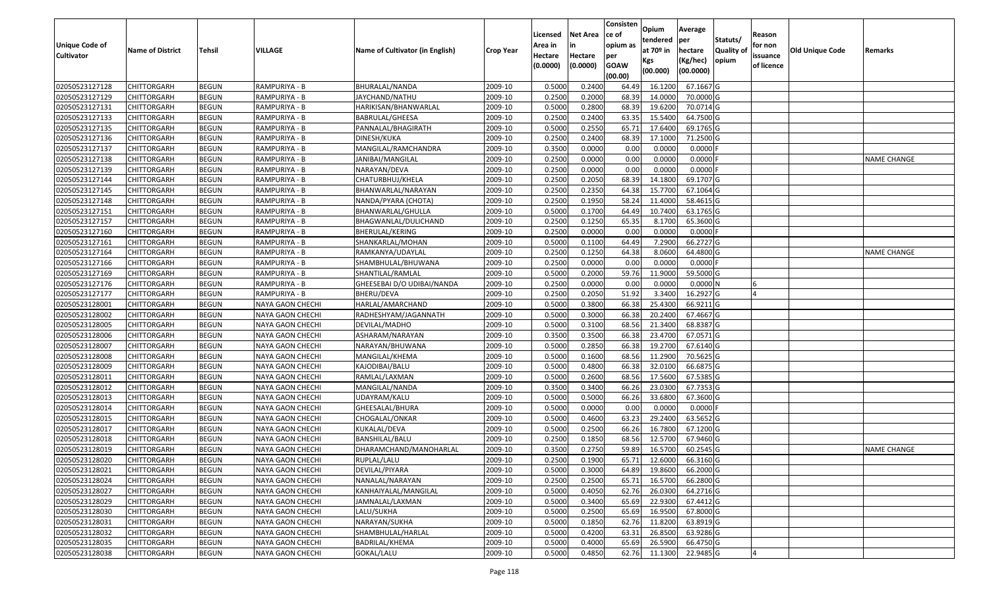|                   |                         |               |                  |                                 |                  |          |                 | Consisten   | Opium         | Average    |                  |            |                        |                    |
|-------------------|-------------------------|---------------|------------------|---------------------------------|------------------|----------|-----------------|-------------|---------------|------------|------------------|------------|------------------------|--------------------|
|                   |                         |               |                  |                                 |                  | Licensed | <b>Net Area</b> | ce of       | tendered      | per        | Statuts/         | Reason     |                        |                    |
| Unique Code of    | <b>Name of District</b> | <b>Tehsil</b> | VILLAGE          | Name of Cultivator (in English) | <b>Crop Year</b> | Area in  | in              | opium as    | at $70°$ in   | hectare    | <b>Quality o</b> | for non    | <b>Old Unique Code</b> | Remarks            |
| <b>Cultivator</b> |                         |               |                  |                                 |                  | Hectare  | Hectare         | per         | Kgs           | (Kg/hec)   | opium            | issuance   |                        |                    |
|                   |                         |               |                  |                                 |                  | (0.0000) | (0.0000)        | <b>GOAW</b> | (00.000)      | (00.0000)  |                  | of licence |                        |                    |
|                   |                         |               |                  |                                 |                  |          |                 | (00.00)     |               |            |                  |            |                        |                    |
| 02050523127128    | CHITTORGARH             | <b>BEGUN</b>  | RAMPURIYA - B    | BHURALAL/NANDA                  | 2009-10          | 0.5000   | 0.2400          | 64.49       | 16.1200       | 67.1667 G  |                  |            |                        |                    |
| 02050523127129    | CHITTORGARH             | <b>BEGUN</b>  | RAMPURIYA - B    | JAYCHAND/NATHU                  | 2009-10          | 0.2500   | 0.2000          | 68.39       | 14.0000       | 70.0000G   |                  |            |                        |                    |
| 02050523127131    | CHITTORGARH             | <b>BEGUN</b>  | RAMPURIYA - B    | HARIKISAN/BHANWARLAL            | 2009-10          | 0.5000   | 0.2800          | 68.39       | 19.6200       | 70.0714 G  |                  |            |                        |                    |
| 02050523127133    | <b>CHITTORGARH</b>      | <b>BEGUN</b>  | RAMPURIYA - B    | BABRULAL/GHEESA                 | 2009-10          | 0.2500   | 0.2400          | 63.35       | 15.5400       | 64.7500 G  |                  |            |                        |                    |
| 02050523127135    | CHITTORGARH             | <b>BEGUN</b>  | RAMPURIYA - B    | PANNALAL/BHAGIRATH              | 2009-10          | 0.5000   | 0.2550          | 65.7        | 17.6400       | 69.1765 G  |                  |            |                        |                    |
| 02050523127136    | CHITTORGARH             | <b>BEGUN</b>  | RAMPURIYA - B    | DINESH/KUKA                     | 2009-10          | 0.2500   | 0.2400          | 68.39       | 17.1000       | 71.2500G   |                  |            |                        |                    |
| 02050523127137    | CHITTORGARH             | <b>BEGUN</b>  | RAMPURIYA - B    | MANGILAL/RAMCHANDRA             | 2009-10          | 0.3500   | 0.0000          | 0.00        | 0.0000        | 0.0000     |                  |            |                        |                    |
| 02050523127138    | <b>CHITTORGARH</b>      | <b>BEGUN</b>  | RAMPURIYA - B    | JANIBAI/MANGILAL                | 2009-10          | 0.2500   | 0.0000          | 0.00        | 0.0000        | 0.0000F    |                  |            |                        | <b>NAME CHANGE</b> |
| 02050523127139    | CHITTORGARH             | <b>BEGUN</b>  | RAMPURIYA - B    | NARAYAN/DEVA                    | 2009-10          | 0.2500   | 0.0000          | 0.00        | 0.0000        | 0.0000F    |                  |            |                        |                    |
| 02050523127144    | CHITTORGARH             | <b>BEGUN</b>  | RAMPURIYA - B    | CHATURBHUJ/KHELA                | 2009-10          | 0.2500   | 0.2050          | 68.39       | 14.1800       | 69.1707 G  |                  |            |                        |                    |
| 02050523127145    | CHITTORGARH             | <b>BEGUN</b>  | RAMPURIYA - B    | BHANWARLAL/NARAYAN              | 2009-10          | 0.2500   | 0.2350          | 64.38       | 15.7700       | 67.1064 G  |                  |            |                        |                    |
| 02050523127148    | <b>CHITTORGARH</b>      | <b>BEGUN</b>  | RAMPURIYA - B    | NANDA/PYARA (CHOTA)             | 2009-10          | 0.2500   | 0.1950          | 58.24       | 11.4000       | 58.4615 G  |                  |            |                        |                    |
| 02050523127151    | <b>CHITTORGARH</b>      | <b>BEGUN</b>  | RAMPURIYA - B    | BHANWARLAL/GHULLA               | 2009-10          | 0.5000   | 0.1700          | 64.49       | 10.7400       | 63.1765 G  |                  |            |                        |                    |
| 02050523127157    | <b>CHITTORGARH</b>      | <b>BEGUN</b>  | RAMPURIYA - B    | BHAGWANLAL/DULICHAND            | 2009-10          | 0.2500   | 0.1250          | 65.35       | 8.1700        | 65.3600 G  |                  |            |                        |                    |
| 02050523127160    | CHITTORGARH             | <b>BEGUN</b>  | RAMPURIYA - B    | BHERULAL/KERING                 | 2009-10          | 0.2500   | 0.0000          | 0.00        | 0.0000        | $0.0000$ F |                  |            |                        |                    |
| 02050523127161    | <b>CHITTORGARH</b>      | <b>BEGUN</b>  | RAMPURIYA - B    | SHANKARLAL/MOHAN                | 2009-10          | 0.5000   | 0.1100          | 64.49       | 7.2900        | 66.2727 G  |                  |            |                        |                    |
| 02050523127164    | CHITTORGARH             | <b>BEGUN</b>  | RAMPURIYA - B    | RAMKANYA/UDAYLAL                | 2009-10          | 0.2500   | 0.1250          | 64.38       | 8.0600        | 64.4800 G  |                  |            |                        | <b>NAME CHANGE</b> |
| 02050523127166    | CHITTORGARH             | <b>BEGUN</b>  | RAMPURIYA - B    | SHAMBHULAL/BHUWANA              | 2009-10          | 0.2500   | 0.0000          | 0.00        | 0.0000        | 0.0000F    |                  |            |                        |                    |
| 02050523127169    | CHITTORGARH             | <b>BEGUN</b>  | RAMPURIYA - B    | SHANTILAL/RAMLAL                | 2009-10          | 0.5000   | 0.2000          | 59.76       | 11.9000       | 59.5000G   |                  |            |                        |                    |
| 02050523127176    | CHITTORGARH             | <b>BEGUN</b>  | RAMPURIYA - B    | GHEESEBAI D/O UDIBAI/NANDA      | 2009-10          | 0.2500   | 0.0000          | 0.00        | 0.0000        | 0.0000N    |                  |            |                        |                    |
| 02050523127177    | CHITTORGARH             | <b>BEGUN</b>  | RAMPURIYA - B    | <b>BHERU/DEVA</b>               | 2009-10          | 0.2500   | 0.2050          | 51.92       | 3.3400        | 16.2927 G  |                  |            |                        |                    |
| 02050523128001    | CHITTORGARH             | <b>BEGUN</b>  | NAYA GAON CHECHI | HARLAL/AMARCHAND                | 2009-10          | 0.5000   | 0.3800          | 66.38       | 25.4300       | 66.9211 G  |                  |            |                        |                    |
| 02050523128002    | CHITTORGARH             | <b>BEGUN</b>  | NAYA GAON CHECHI | RADHESHYAM/JAGANNATH            | 2009-10          | 0.5000   | 0.3000          | 66.38       | 20.2400       | 67.4667 G  |                  |            |                        |                    |
| 02050523128005    | CHITTORGARH             | <b>BEGUN</b>  | NAYA GAON CHECHI | DEVILAL/MADHO                   | 2009-10          | 0.5000   | 0.3100          | 68.5        | 21.3400       | 68.8387 G  |                  |            |                        |                    |
| 02050523128006    | CHITTORGARH             | <b>BEGUN</b>  | NAYA GAON CHECHI | ASHARAM/NARAYAN                 | 2009-10          | 0.3500   | 0.3500          | 66.38       | 23.4700       | 67.0571 G  |                  |            |                        |                    |
| 02050523128007    | CHITTORGARH             | <b>BEGUN</b>  | NAYA GAON CHECHI | NARAYAN/BHUWANA                 | 2009-10          | 0.5000   | 0.2850          | 66.38       | 19.2700       | 67.6140 G  |                  |            |                        |                    |
| 02050523128008    | CHITTORGARH             | <b>BEGUN</b>  | NAYA GAON CHECHI | MANGILAL/KHEMA                  | 2009-10          | 0.5000   | 0.1600          | 68.56       | 11.2900       | 70.5625 G  |                  |            |                        |                    |
| 02050523128009    | CHITTORGARH             | <b>BEGUN</b>  | NAYA GAON CHECHI | KAJODIBAI/BALU                  | 2009-10          | 0.5000   | 0.4800          | 66.38       | 32.0100       | 66.6875 G  |                  |            |                        |                    |
| 02050523128011    | CHITTORGARH             | <b>BEGUN</b>  | NAYA GAON CHECHI | RAMLAL/LAXMAN                   | 2009-10          | 0.5000   | 0.2600          | 68.56       | 17.5600       | 67.5385 G  |                  |            |                        |                    |
| 02050523128012    | CHITTORGARH             | <b>BEGUN</b>  | NAYA GAON CHECHI | MANGILAL/NANDA                  | 2009-10          | 0.3500   | 0.3400          | 66.26       | 23.0300       | 67.7353 G  |                  |            |                        |                    |
| 02050523128013    | CHITTORGARH             | <b>BEGUN</b>  | NAYA GAON CHECHI | UDAYRAM/KALU                    | 2009-10          | 0.5000   | 0.5000          | 66.26       | 33.6800       | 67.3600 G  |                  |            |                        |                    |
| 02050523128014    | CHITTORGARH             | <b>BEGUN</b>  | NAYA GAON CHECHI | GHEESALAL/BHURA                 | 2009-10          | 0.5000   | 0.0000          | 0.00        | 0.0000        | 0.0000     |                  |            |                        |                    |
| 02050523128015    | CHITTORGARH             | <b>BEGUN</b>  | NAYA GAON CHECHI | CHOGALAL/ONKAR                  | 2009-10          | 0.5000   | 0.4600          | 63.23       | 29.2400       | 63.5652 G  |                  |            |                        |                    |
| 02050523128017    | CHITTORGARH             | <b>BEGUN</b>  | NAYA GAON CHECHI | KUKALAL/DEVA                    | 2009-10          | 0.5000   | 0.2500          | 66.26       | 16.7800       | 67.1200 G  |                  |            |                        |                    |
| 02050523128018    | CHITTORGARH             | <b>BEGUN</b>  | NAYA GAON CHECHI | BANSHILAL/BALU                  | 2009-10          | 0.250    | 0.1850          | 68.56       | 12.5700       | 67.9460 G  |                  |            |                        |                    |
| 02050523128019    | CHITTORGARH             | <b>BEGUN</b>  | NAYA GAON CHECHI | DHARAMCHAND/MANOHARLAL          | 2009-10          | 0.3500   | 0.2750          | 59.89       | 16.5700       | 60.2545 G  |                  |            |                        | <b>NAME CHANGE</b> |
| 02050523128020    | <b>CHITTORGARH</b>      | <b>BEGUN</b>  | NAYA GAON CHECHI | RUPLAL/LALU                     | 2009-10          | 0.2500   | 0.1900          |             | 65.71 12.6000 | 66.3160 G  |                  |            |                        |                    |
| 02050523128021    | <b>CHITTORGARH</b>      | <b>BEGUN</b>  | NAYA GAON CHECHI | DEVILAL/PIYARA                  | 2009-10          | 0.5000   | 0.3000          | 64.89       | 19.8600       | 66.2000 G  |                  |            |                        |                    |
| 02050523128024    | <b>CHITTORGARH</b>      | <b>BEGUN</b>  | NAYA GAON CHECHI | NANALAL/NARAYAN                 | 2009-10          | 0.2500   | 0.2500          | 65.71       | 16.5700       | 66.2800 G  |                  |            |                        |                    |
| 02050523128027    | <b>CHITTORGARH</b>      | <b>BEGUN</b>  | NAYA GAON CHECHI | KANHAIYALAL/MANGILAL            | 2009-10          | 0.5000   | 0.4050          | 62.76       | 26.0300       | 64.2716 G  |                  |            |                        |                    |
| 02050523128029    | <b>CHITTORGARH</b>      | <b>BEGUN</b>  | NAYA GAON CHECHI | JAMNALAL/LAXMAN                 | 2009-10          | 0.5000   | 0.3400          | 65.69       | 22.9300       | 67.4412 G  |                  |            |                        |                    |
| 02050523128030    | <b>CHITTORGARH</b>      | <b>BEGUN</b>  | NAYA GAON CHECHI | LALU/SUKHA                      | 2009-10          | 0.5000   | 0.2500          | 65.69       | 16.9500       | 67.8000 G  |                  |            |                        |                    |
| 02050523128031    | <b>CHITTORGARH</b>      | <b>BEGUN</b>  | NAYA GAON CHECHI | NARAYAN/SUKHA                   | 2009-10          | 0.5000   | 0.1850          | 62.76       | 11.8200       | 63.8919 G  |                  |            |                        |                    |
| 02050523128032    | <b>CHITTORGARH</b>      | <b>BEGUN</b>  | NAYA GAON CHECHI | SHAMBHULAL/HARLAL               | 2009-10          | 0.5000   | 0.4200          | 63.31       | 26.8500       | 63.9286 G  |                  |            |                        |                    |
| 02050523128035    | <b>CHITTORGARH</b>      | <b>BEGUN</b>  | NAYA GAON CHECHI | BADRILAL/KHEMA                  | 2009-10          | 0.5000   | 0.4000          | 65.69       | 26.5900       | 66.4750 G  |                  |            |                        |                    |
| 02050523128038    | <b>CHITTORGARH</b>      | <b>BEGUN</b>  | NAYA GAON CHECHI | GOKAL/LALU                      | 2009-10          | 0.5000   | 0.4850          | 62.76       | 11.1300       | 22.9485 G  |                  |            |                        |                    |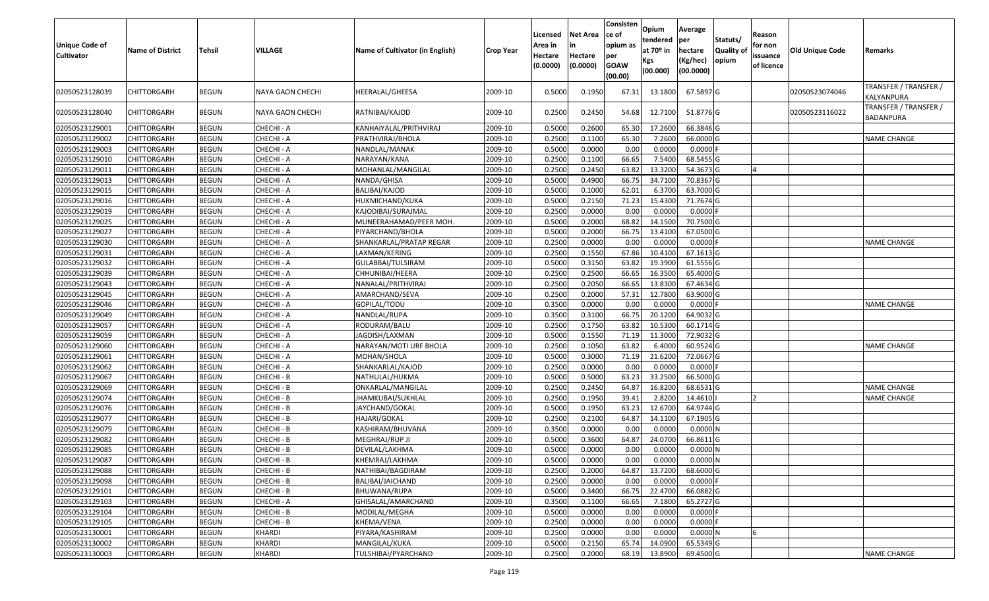| Unique Code of<br><b>Cultivator</b> | <b>Name of District</b> | <b>Tehsil</b> | VILLAGE          | Name of Cultivator (in English) | <b>Crop Year</b> | Licensed<br>Area in<br>Hectare<br>(0.0000) | <b>Net Area</b><br>in<br>Hectare<br>(0.0000) | Consisten<br>ce of<br>opium as<br>per<br><b>GOAW</b><br>(00.00) | Opium<br>tendered<br>at $70°$ in<br>Kgs<br>(00.000) | Average<br>per<br>hectare<br>(Kg/hec)<br>(00.0000) | Statuts/<br>Quality of<br>opium | Reason<br>for non<br>issuance<br>of licence | <b>Old Unique Code</b> | Remarks                                   |
|-------------------------------------|-------------------------|---------------|------------------|---------------------------------|------------------|--------------------------------------------|----------------------------------------------|-----------------------------------------------------------------|-----------------------------------------------------|----------------------------------------------------|---------------------------------|---------------------------------------------|------------------------|-------------------------------------------|
| 02050523128039                      | CHITTORGARH             | <b>BEGUN</b>  | NAYA GAON CHECHI | HEERALAL/GHEESA                 | 2009-10          | 0.5000                                     | 0.1950                                       | 67.31                                                           | 13.1800                                             | 67.5897 G                                          |                                 |                                             | 02050523074046         | TRANSFER / TRANSFER /<br>KALYANPURA       |
| 02050523128040                      | CHITTORGARH             | <b>BEGUN</b>  | NAYA GAON CHECHI | RATNIBAI/KAJOD                  | 2009-10          | 0.2500                                     | 0.2450                                       | 54.68                                                           | 12.7100                                             | 51.8776 G                                          |                                 |                                             | 02050523116022         | TRANSFER / TRANSFER /<br><b>BADANPURA</b> |
| 02050523129001                      | CHITTORGARH             | <b>BEGUN</b>  | CHECHI - A       | KANHAIYALAL/PRITHVIRAJ          | 2009-10          | 0.500                                      | 0.2600                                       | 65.30                                                           | 17.2600                                             | 66.3846 G                                          |                                 |                                             |                        |                                           |
| 02050523129002                      | <b>CHITTORGARH</b>      | <b>BEGUN</b>  | CHECHI - A       | PRATHVIRAJ/BHOLA                | 2009-10          | 0.2500                                     | 0.1100                                       | 65.30                                                           | 7.2600                                              | 66.0000 G                                          |                                 |                                             |                        | NAME CHANGE                               |
| 02050523129003                      | CHITTORGARH             | <b>BEGUN</b>  | CHECHI - A       | NANDLAL/MANAK                   | 2009-10          | 0.5000                                     | 0.0000                                       | 0.00                                                            | 0.0000                                              | $0.0000$ F                                         |                                 |                                             |                        |                                           |
| 02050523129010                      | CHITTORGARH             | <b>BEGUN</b>  | CHECHI - A       | NARAYAN/KANA                    | 2009-10          | 0.2500                                     | 0.1100                                       | 66.65                                                           | 7.5400                                              | 68.5455 G                                          |                                 |                                             |                        |                                           |
| 02050523129011                      | CHITTORGARH             | <b>BEGUN</b>  | CHECHI - A       | MOHANLAL/MANGILAL               | 2009-10          | 0.2500                                     | 0.2450                                       | 63.82                                                           | 13.3200                                             | 54.3673 G                                          |                                 |                                             |                        |                                           |
| 02050523129013                      | CHITTORGARH             | <b>BEGUN</b>  | CHECHI - A       | NANDA/GHISA                     | 2009-10          | 0.5000                                     | 0.4900                                       | 66.75                                                           | 34.7100                                             | 70.8367 G                                          |                                 |                                             |                        |                                           |
| 02050523129015                      | CHITTORGARH             | <b>BEGUN</b>  | CHECHI - A       | BALIBAI/KAJOD                   | 2009-10          | 0.5000                                     | 0.1000                                       | 62.01                                                           | 6.3700                                              | 63.7000 G                                          |                                 |                                             |                        |                                           |
| 02050523129016                      | CHITTORGARH             | <b>BEGUN</b>  | CHECHI - A       | HUKMICHAND/KUKA                 | 2009-10          | 0.5000                                     | 0.2150                                       | 71.23                                                           | 15.4300                                             | 71.7674 G                                          |                                 |                                             |                        |                                           |
| 02050523129019                      | CHITTORGARH             | <b>BEGUN</b>  | CHECHI - A       | KAJODIBAI/SURAJMAL              | 2009-10          | 0.2500                                     | 0.0000                                       | 0.00                                                            | 0.0000                                              | 0.0000F                                            |                                 |                                             |                        |                                           |
| 02050523129025                      | <b>CHITTORGARH</b>      | <b>BEGUN</b>  | CHECHI - A       | MUNEERAHAMAD/PEER MOH.          | 2009-10          | 0.5000                                     | 0.2000                                       | 68.82                                                           | 14.1500                                             | 70.7500 G                                          |                                 |                                             |                        |                                           |
| 02050523129027                      | <b>CHITTORGARH</b>      | <b>BEGUN</b>  | CHECHI - A       | PIYARCHAND/BHOLA                | 2009-10          | 0.5000                                     | 0.2000                                       | 66.75                                                           | 13.4100                                             | 67.0500G                                           |                                 |                                             |                        |                                           |
| 02050523129030                      | CHITTORGARH             | <b>BEGUN</b>  | CHECHI - A       | SHANKARLAL/PRATAP REGAR         | 2009-10          | 0.2500                                     | 0.0000                                       | 0.00                                                            | 0.0000                                              | 0.0000F                                            |                                 |                                             |                        | <b>NAME CHANGE</b>                        |
| 02050523129031                      | <b>CHITTORGARH</b>      | <b>BEGUN</b>  | CHECHI - A       | LAXMAN/KERING                   | 2009-10          | 0.2500                                     | 0.1550                                       | 67.86                                                           | 10.4100                                             | 67.1613 G                                          |                                 |                                             |                        |                                           |
| 02050523129032                      | CHITTORGARH             | <b>BEGUN</b>  | CHECHI - A       | GULABBAI/TULSIRAM               | 2009-10          | 0.500                                      | 0.3150                                       | 63.82                                                           | 19.3900                                             | 61.5556 G                                          |                                 |                                             |                        |                                           |
| 02050523129039                      | CHITTORGARH             | <b>BEGUN</b>  | CHECHI - A       | CHHUNIBAI/HEERA                 | 2009-10          | 0.2500                                     | 0.2500                                       | 66.65                                                           | 16.3500                                             | 65.4000 G                                          |                                 |                                             |                        |                                           |
| 02050523129043                      | CHITTORGARH             | <b>BEGUN</b>  | CHECHI - A       | NANALAL/PRITHVIRAJ              | 2009-10          | 0.2500                                     | 0.2050                                       | 66.65                                                           | 13.8300                                             | 67.4634 G                                          |                                 |                                             |                        |                                           |
| 02050523129045                      | CHITTORGARH             | <b>BEGUN</b>  | CHECHI - A       | AMARCHAND/SEVA                  | 2009-10          | 0.2500                                     | 0.2000                                       | 57.31                                                           | 12.7800                                             | 63.9000 G                                          |                                 |                                             |                        |                                           |
| 02050523129046                      | CHITTORGARH             | <b>BEGUN</b>  | CHECHI - A       | GOPILAL/TODU                    | 2009-10          | 0.3500                                     | 0.0000                                       | 0.00                                                            | 0.000                                               | 0.0000                                             |                                 |                                             |                        | <b>NAME CHANGE</b>                        |
| 02050523129049                      | CHITTORGARH             | <b>BEGUN</b>  | CHECHI - A       | NANDLAL/RUPA                    | 2009-10          | 0.3500                                     | 0.3100                                       | 66.75                                                           | 20.1200                                             | 64.9032 G                                          |                                 |                                             |                        |                                           |
| 02050523129057                      | CHITTORGARH             | <b>BEGUN</b>  | CHECHI - A       | RODURAM/BALU                    | 2009-10          | 0.250                                      | 0.1750                                       | 63.82                                                           | 10.5300                                             | 60.1714 G                                          |                                 |                                             |                        |                                           |
| 02050523129059                      | CHITTORGARH             | <b>BEGUN</b>  | CHECHI - A       | JAGDISH/LAXMAN                  | 2009-10          | 0.5000                                     | 0.1550                                       | 71.19                                                           | 11.3000                                             | 72.9032 G                                          |                                 |                                             |                        |                                           |
| 02050523129060                      | CHITTORGARH             | <b>BEGUN</b>  | CHECHI - A       | NARAYAN/MOTI URF BHOLA          | 2009-10          | 0.2500                                     | 0.1050                                       | 63.82                                                           | 6.4000                                              | 60.9524 G                                          |                                 |                                             |                        | <b>NAME CHANGE</b>                        |
| 02050523129061                      | CHITTORGARH             | <b>BEGUN</b>  | CHECHI - A       | MOHAN/SHOLA                     | 2009-10          | 0.5000                                     | 0.3000                                       | 71.19                                                           | 21.6200                                             | 72.0667 G                                          |                                 |                                             |                        |                                           |
| 02050523129062                      | CHITTORGARH             | <b>BEGUN</b>  | CHECHI - A       | SHANKARLAL/KAJOD                | 2009-10          | 0.2500                                     | 0.0000                                       | 0.00                                                            | 0.0000                                              | 0.0000F                                            |                                 |                                             |                        |                                           |
| 02050523129067                      | CHITTORGARH             | <b>BEGUN</b>  | CHECHI - B       | NATHULAL/HUKMA                  | 2009-10          | 0.5000                                     | 0.5000                                       | 63.23                                                           | 33.2500                                             | 66.5000G                                           |                                 |                                             |                        |                                           |
| 02050523129069                      | CHITTORGARH             | <b>BEGUN</b>  | CHECHI - B       | ONKARLAL/MANGILAL               | 2009-10          | 0.2500                                     | 0.2450                                       | 64.87                                                           | 16.8200                                             | 68.6531 G                                          |                                 |                                             |                        | <b>NAME CHANGE</b>                        |
| 02050523129074                      | CHITTORGARH             | <b>BEGUN</b>  | CHECHI - B       | JHAMKUBAI/SUKHLAL               | 2009-10          | 0.2500                                     | 0.1950                                       | 39.41                                                           | 2.8200                                              | 14.4610                                            |                                 |                                             |                        | NAME CHANGE                               |
| 02050523129076                      | CHITTORGARH             | <b>BEGUN</b>  | CHECHI - B       | JAYCHAND/GOKAL                  | 2009-10          | 0.5000                                     | 0.1950                                       | 63.23                                                           | 12.6700                                             | 64.9744 G                                          |                                 |                                             |                        |                                           |
| 02050523129077                      | CHITTORGARH             | <b>BEGUN</b>  | CHECHI - B       | HAJARI/GOKAL                    | 2009-10          | 0.2500                                     | 0.2100                                       | 64.87                                                           | 14.1100                                             | 67.1905 G                                          |                                 |                                             |                        |                                           |
| 02050523129079                      | CHITTORGARH             | <b>BEGUN</b>  | CHECHI - B       | KASHIRAM/BHUVANA                | 2009-10          | 0.3500                                     | 0.0000                                       | 0.00                                                            | 0.000                                               | 0.0000N                                            |                                 |                                             |                        |                                           |
| 02050523129082                      | CHITTORGARH             | <b>BEGUN</b>  | CHECHI - B       | MEGHRAJ/RUP JI                  | 2009-10          | 0.500                                      | 0.3600                                       | 64.87                                                           | 24.0700                                             | 66.8611 G                                          |                                 |                                             |                        |                                           |
| 02050523129085                      | CHITTORGARH             | <b>BEGUN</b>  | CHECHI - B       | DEVILAL/LAKHMA                  | 2009-10          | 0.5000                                     | 0.0000                                       | 0.00                                                            | 0.0000                                              | 0.0000N                                            |                                 |                                             |                        |                                           |
| 02050523129087                      | <b>CHITTORGARH</b>      | <b>BEGUN</b>  | CHECHI - B       | KHEMRAJ/LAKHMA                  | 2009-10          | 0.5000                                     | 0.0000                                       | 0.00                                                            | 0.0000                                              | 0.0000N                                            |                                 |                                             |                        |                                           |
| 02050523129088                      | <b>CHITTORGARH</b>      | <b>BEGUN</b>  | CHECHI - B       | NATHIBAI/BAGDIRAM               | 2009-10          | 0.2500                                     | 0.2000                                       | 64.87                                                           | 13.7200                                             | 68.6000 G                                          |                                 |                                             |                        |                                           |
| 02050523129098                      | <b>CHITTORGARH</b>      | <b>BEGUN</b>  | CHECHI - B       | BALIBAI/JAICHAND                | 2009-10          | 0.2500                                     | 0.0000                                       | 0.00                                                            | 0.0000                                              | $0.0000$ F                                         |                                 |                                             |                        |                                           |
| 02050523129101                      | <b>CHITTORGARH</b>      | <b>BEGUN</b>  | CHECHI - B       | BHUWANA/RUPA                    | 2009-10          | 0.5000                                     | 0.3400                                       | 66.75                                                           | 22.4700                                             | 66.0882 G                                          |                                 |                                             |                        |                                           |
| 02050523129103                      | CHITTORGARH             | <b>BEGUN</b>  | CHECHI - A       | GHISALAL/AMARCHAND              | 2009-10          | 0.3500                                     | 0.1100                                       | 66.65                                                           | 7.1800                                              | 65.2727 G                                          |                                 |                                             |                        |                                           |
| 02050523129104                      | <b>CHITTORGARH</b>      | <b>BEGUN</b>  | CHECHI - B       | MODILAL/MEGHA                   | 2009-10          | 0.5000                                     | 0.0000                                       | 0.00                                                            | 0.0000                                              | $0.0000$ F                                         |                                 |                                             |                        |                                           |
| 02050523129105                      | <b>CHITTORGARH</b>      | <b>BEGUN</b>  | CHECHI - B       | KHEMA/VENA                      | 2009-10          | 0.2500                                     | 0.0000                                       | 0.00                                                            | 0.0000                                              | $0.0000$ F                                         |                                 |                                             |                        |                                           |
| 02050523130001                      | <b>CHITTORGARH</b>      | <b>BEGUN</b>  | KHARDI           | PIYARA/KASHIRAM                 | 2009-10          | 0.2500                                     | 0.0000                                       | 0.00                                                            | 0.0000                                              | 0.0000N                                            |                                 |                                             |                        |                                           |
| 02050523130002                      | <b>CHITTORGARH</b>      | <b>BEGUN</b>  | <b>KHARDI</b>    | MANGILAL/KUKA                   | 2009-10          | 0.5000                                     | 0.2150                                       | 65.74                                                           | 14.0900                                             | 65.5349 G                                          |                                 |                                             |                        |                                           |
| 02050523130003                      | <b>CHITTORGARH</b>      | <b>BEGUN</b>  | KHARDI           | TULSHIBAI/PYARCHAND             | 2009-10          | 0.2500                                     | 0.2000                                       | 68.19                                                           | 13.8900                                             | 69.4500 G                                          |                                 |                                             |                        | <b>NAME CHANGE</b>                        |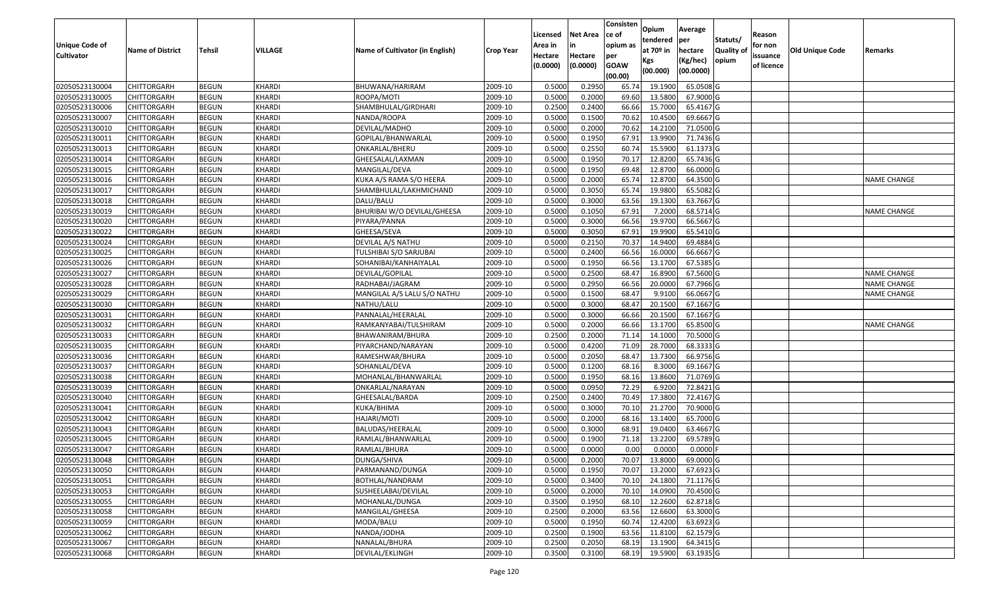| <b>Unique Code of</b><br><b>Cultivator</b> | <b>Name of District</b> | Tehsil       | VILLAGE       | Name of Cultivator (in English) | <b>Crop Year</b> | Licensed<br>Area in<br>Hectare<br>(0.0000) | Net Area<br>Hectare<br>(0.0000) | Consisten<br>ce of<br>opium as<br>per<br><b>GOAW</b> | Opium<br>tendered<br>at 70 <sup>o</sup> in<br>Kgs | Average<br>per<br>hectare<br>(Kg/hec) | Statuts/<br><b>Quality of</b><br>opium | Reason<br>for non<br>issuance<br>of licence | Old Unique Code | Remarks            |
|--------------------------------------------|-------------------------|--------------|---------------|---------------------------------|------------------|--------------------------------------------|---------------------------------|------------------------------------------------------|---------------------------------------------------|---------------------------------------|----------------------------------------|---------------------------------------------|-----------------|--------------------|
|                                            |                         |              |               |                                 |                  |                                            |                                 | (00.00)                                              | (00.000)                                          | (00.0000)                             |                                        |                                             |                 |                    |
| 02050523130004                             | <b>CHITTORGARH</b>      | <b>BEGUN</b> | KHARDI        | BHUWANA/HARIRAM                 | 2009-10          | 0.5000                                     | 0.2950                          | 65.74                                                | 19.1900                                           | 65.0508 G                             |                                        |                                             |                 |                    |
| 02050523130005                             | CHITTORGARH             | <b>BEGUN</b> | KHARDI        | ROOPA/MOTI                      | 2009-10          | 0.5000                                     | 0.2000                          | 69.60                                                | 13.5800                                           | 67.9000 G                             |                                        |                                             |                 |                    |
| 02050523130006                             | CHITTORGARH             | <b>BEGUN</b> | KHARDI        | SHAMBHULAL/GIRDHARI             | 2009-10          | 0.2500                                     | 0.2400                          | 66.66                                                | 15.7000                                           | 65.4167 G                             |                                        |                                             |                 |                    |
| 02050523130007                             | <b>CHITTORGARH</b>      | <b>BEGUN</b> | KHARDI        | NANDA/ROOPA                     | 2009-10          | 0.5000                                     | 0.1500                          | 70.62                                                | 10.4500                                           | 69.6667 G                             |                                        |                                             |                 |                    |
| 02050523130010                             | CHITTORGARH             | <b>BEGUN</b> | KHARDI        | DEVILAL/MADHO                   | 2009-10          | 0.5000                                     | 0.2000                          | 70.62                                                | 14.210                                            | 71.0500 G                             |                                        |                                             |                 |                    |
| 02050523130011                             | CHITTORGARH             | <b>BEGUN</b> | KHARDI        | GOPILAL/BHANWARLAL              | 2009-10          | 0.5000                                     | 0.1950                          | 67.91                                                | 13.9900                                           | 71.7436 G                             |                                        |                                             |                 |                    |
| 02050523130013                             | CHITTORGARH             | <b>BEGUN</b> | KHARDI        | ONKARLAL/BHERU                  | 2009-10          | 0.5000                                     | 0.2550                          | 60.74                                                | 15.5900                                           | 61.1373 G                             |                                        |                                             |                 |                    |
| 02050523130014                             | <b>CHITTORGARH</b>      | <b>BEGUN</b> | KHARDI        | GHEESALAL/LAXMAN                | 2009-10          | 0.5000                                     | 0.1950                          | 70.17                                                | 12.8200                                           | 65.7436 G                             |                                        |                                             |                 |                    |
| 02050523130015                             | CHITTORGARH             | <b>BEGUN</b> | KHARDI        | MANGILAL/DEVA                   | 2009-10          | 0.5000                                     | 0.1950                          | 69.48                                                | 12.870                                            | 66.0000 G                             |                                        |                                             |                 |                    |
| 02050523130016                             | CHITTORGARH             | <b>BEGUN</b> | KHARDI        | KUKA A/S RAMA S/O HEERA         | 2009-10          | 0.5000                                     | 0.2000                          | 65.74                                                | 12.8700                                           | 64.3500 G                             |                                        |                                             |                 | NAME CHANGE        |
| 02050523130017                             | CHITTORGARH             | <b>BEGUN</b> | KHARDI        | SHAMBHULAL/LAKHMICHAND          | 2009-10          | 0.5000                                     | 0.3050                          | 65.74                                                | 19.9800                                           | 65.5082 G                             |                                        |                                             |                 |                    |
| 02050523130018                             | <b>CHITTORGARH</b>      | <b>BEGUN</b> | KHARDI        | DALU/BALU                       | 2009-10          | 0.5000                                     | 0.3000                          | 63.56                                                | 19.1300                                           | 63.7667 G                             |                                        |                                             |                 |                    |
| 02050523130019                             | <b>CHITTORGARH</b>      | <b>BEGUN</b> | <b>KHARDI</b> | BHURIBAI W/O DEVILAL/GHEESA     | 2009-10          | 0.5000                                     | 0.1050                          | 67.91                                                | 7.2000                                            | 68.5714 G                             |                                        |                                             |                 | <b>NAME CHANGE</b> |
| 02050523130020                             | <b>CHITTORGARH</b>      | <b>BEGUN</b> | KHARDI        | PIYARA/PANNA                    | 2009-10          | 0.5000                                     | 0.3000                          | 66.56                                                | 19.9700                                           | 66.5667 G                             |                                        |                                             |                 |                    |
| 02050523130022                             | CHITTORGARH             | <b>BEGUN</b> | KHARDI        | GHEESA/SEVA                     | 2009-10          | 0.5000                                     | 0.3050                          | 67.91                                                | 19.9900                                           | 65.5410 G                             |                                        |                                             |                 |                    |
| 02050523130024                             | <b>CHITTORGARH</b>      | <b>BEGUN</b> | KHARDI        | DEVILAL A/S NATHU               | 2009-10          | 0.5000                                     | 0.2150                          | 70.37                                                | 14.9400                                           | 69.4884 G                             |                                        |                                             |                 |                    |
| 02050523130025                             | CHITTORGARH             | <b>BEGUN</b> | KHARDI        | TULSHIBAI S/O SARJUBAI          | 2009-10          | 0.5000                                     | 0.2400                          | 66.56                                                | 16.0000                                           | 66.6667 G                             |                                        |                                             |                 |                    |
| 02050523130026                             | CHITTORGARH             | <b>BEGUN</b> | KHARDI        | SOHANIBAI/KANHAIYALAL           | 2009-10          | 0.5000                                     | 0.1950                          | 66.56                                                | 13.1700                                           | 67.5385 G                             |                                        |                                             |                 |                    |
| 02050523130027                             | CHITTORGARH             | <b>BEGUN</b> | KHARDI        | DEVILAL/GOPILAL                 | 2009-10          | 0.5000                                     | 0.2500                          | 68.47                                                | 16.8900                                           | 67.5600 G                             |                                        |                                             |                 | <b>NAME CHANGE</b> |
| 02050523130028                             | CHITTORGARH             | <b>BEGUN</b> | KHARDI        | RADHABAI/JAGRAM                 | 2009-10          | 0.5000                                     | 0.2950                          | 66.56                                                | 20.0000                                           | 67.7966 G                             |                                        |                                             |                 | NAME CHANGE        |
| 02050523130029                             | CHITTORGARH             | <b>BEGUN</b> | KHARDI        | MANGILAL A/S LALU S/O NATHU     | 2009-10          | 0.5000                                     | 0.1500                          | 68.47                                                | 9.9100                                            | 66.0667 G                             |                                        |                                             |                 | <b>NAME CHANGE</b> |
| 02050523130030                             | CHITTORGARH             | <b>BEGUN</b> | KHARDI        | NATHU/LALU                      | 2009-10          | 0.5000                                     | 0.3000                          | 68.47                                                | 20.1500                                           | 67.1667 G                             |                                        |                                             |                 |                    |
| 02050523130031                             | CHITTORGARH             | <b>BEGUN</b> | KHARDI        | PANNALAL/HEERALAL               | 2009-10          | 0.5000                                     | 0.3000                          | 66.66                                                | 20.1500                                           | 67.1667 G                             |                                        |                                             |                 |                    |
| 02050523130032                             | CHITTORGARH             | <b>BEGUN</b> | KHARDI        | RAMKANYABAI/TULSHIRAM           | 2009-10          | 0.5000                                     | 0.2000                          | 66.66                                                | 13.1700                                           | 65.8500 G                             |                                        |                                             |                 | NAME CHANGE        |
| 02050523130033                             | CHITTORGARH             | <b>BEGUN</b> | <b>KHARDI</b> | BHAWANIRAM/BHURA                | 2009-10          | 0.2500                                     | 0.2000                          | 71.14                                                | 14.1000                                           | 70.5000 G                             |                                        |                                             |                 |                    |
| 02050523130035                             | CHITTORGARH             | <b>BEGUN</b> | KHARDI        | PIYARCHAND/NARAYAN              | 2009-10          | 0.5000                                     | 0.4200                          | 71.09                                                | 28.7000                                           | 68.3333 G                             |                                        |                                             |                 |                    |
| 02050523130036                             | CHITTORGARH             | <b>BEGUN</b> | KHARDI        | RAMESHWAR/BHURA                 | 2009-10          | 0.5000                                     | 0.2050                          | 68.47                                                | 13.7300                                           | 66.9756 G                             |                                        |                                             |                 |                    |
| 02050523130037                             | CHITTORGARH             | <b>BEGUN</b> | KHARDI        | SOHANLAL/DEVA                   | 2009-10          | 0.5000                                     | 0.1200                          | 68.16                                                | 8.3000                                            | 69.1667 G                             |                                        |                                             |                 |                    |
| 02050523130038                             | CHITTORGARH             | <b>BEGUN</b> | KHARDI        | MOHANLAL/BHANWARLAL             | 2009-10          | 0.5000                                     | 0.1950                          | 68.16                                                | 13.8600                                           | 71.0769 G                             |                                        |                                             |                 |                    |
| 02050523130039                             | CHITTORGARH             | <b>BEGUN</b> | KHARDI        | ONKARLAL/NARAYAN                | 2009-10          | 0.5000                                     | 0.0950                          | 72.29                                                | 6.9200                                            | 72.8421 G                             |                                        |                                             |                 |                    |
| 02050523130040                             | CHITTORGARH             | <b>BEGUN</b> | KHARDI        | GHEESALAL/BARDA                 | 2009-10          | 0.2500                                     | 0.2400                          | 70.49                                                | 17.3800                                           | 72.4167 G                             |                                        |                                             |                 |                    |
| 02050523130041                             | CHITTORGARH             | <b>BEGUN</b> | KHARDI        | KUKA/BHIMA                      | 2009-10          | 0.5000                                     | 0.3000                          | 70.1                                                 | 21.2700                                           | 70.9000 G                             |                                        |                                             |                 |                    |
| 02050523130042                             | CHITTORGARH             | <b>BEGUN</b> | KHARDI        | HAJARI/MOTI                     | 2009-10          | 0.5000                                     | 0.2000                          | 68.1                                                 | 13.1400                                           | 65.7000 G                             |                                        |                                             |                 |                    |
| 02050523130043                             | CHITTORGARH             | <b>BEGUN</b> | KHARDI        | BALUDAS/HEERALAL                | 2009-10          | 0.5000                                     | 0.3000                          | 68.91                                                | 19.0400                                           | 63.4667 G                             |                                        |                                             |                 |                    |
| 02050523130045                             | CHITTORGARH             | <b>BEGUN</b> | KHARDI        | RAMLAL/BHANWARLAL               | 2009-10          | 0.5000                                     | 0.1900                          | 71.18                                                | 13.2200                                           | 69.5789 G                             |                                        |                                             |                 |                    |
| 02050523130047                             | CHITTORGARH             | <b>BEGUN</b> | KHARDI        | RAMLAL/BHURA                    | 2009-10          | 0.5000                                     | 0.0000                          | 0.00                                                 | 0.0000                                            | 0.0000                                |                                        |                                             |                 |                    |
| 02050523130048                             | <b>CHITTORGARH</b>      | <b>BEGUN</b> | <b>KHARDI</b> | DUNGA/SHIVA                     | 2009-10          | 0.5000                                     | 0.2000                          | 70.07                                                |                                                   | 13.8000 69.0000 G                     |                                        |                                             |                 |                    |
| 02050523130050                             | <b>CHITTORGARH</b>      | <b>BEGUN</b> | <b>KHARDI</b> | PARMANAND/DUNGA                 | 2009-10          | 0.5000                                     | 0.1950                          | 70.07                                                | 13.2000                                           | 67.6923 G                             |                                        |                                             |                 |                    |
| 02050523130051                             | <b>CHITTORGARH</b>      | <b>BEGUN</b> | <b>KHARDI</b> | BOTHLAL/NANDRAM                 | 2009-10          | 0.5000                                     | 0.3400                          | 70.10                                                | 24.1800                                           | 71.1176 G                             |                                        |                                             |                 |                    |
| 02050523130053                             | <b>CHITTORGARH</b>      | <b>BEGUN</b> | <b>KHARDI</b> | SUSHEELABAI/DEVILAL             | 2009-10          | 0.5000                                     | 0.2000                          | 70.10                                                | 14.0900                                           | 70.4500 G                             |                                        |                                             |                 |                    |
| 02050523130055                             | <b>CHITTORGARH</b>      | <b>BEGUN</b> | <b>KHARDI</b> | MOHANLAL/DUNGA                  | 2009-10          | 0.3500                                     | 0.1950                          | 68.10                                                | 12.2600                                           | 62.8718 G                             |                                        |                                             |                 |                    |
| 02050523130058                             | <b>CHITTORGARH</b>      | <b>BEGUN</b> | KHARDI        | MANGILAL/GHEESA                 | 2009-10          | 0.2500                                     | 0.2000                          | 63.56                                                | 12.6600                                           | 63.3000 G                             |                                        |                                             |                 |                    |
| 02050523130059                             | <b>CHITTORGARH</b>      | <b>BEGUN</b> | <b>KHARDI</b> | MODA/BALU                       | 2009-10          | 0.5000                                     | 0.1950                          | 60.74                                                | 12.4200                                           | 63.6923 G                             |                                        |                                             |                 |                    |
| 02050523130062                             | <b>CHITTORGARH</b>      | <b>BEGUN</b> | KHARDI        | NANDA/JODHA                     | 2009-10          | 0.2500                                     | 0.1900                          | 63.56                                                | 11.8100                                           | 62.1579 G                             |                                        |                                             |                 |                    |
| 02050523130067                             | <b>CHITTORGARH</b>      | <b>BEGUN</b> | <b>KHARDI</b> | NANALAL/BHURA                   | 2009-10          | 0.2500                                     | 0.2050                          | 68.19                                                | 13.1900                                           | 64.3415 G                             |                                        |                                             |                 |                    |
| 02050523130068                             | <b>CHITTORGARH</b>      | <b>BEGUN</b> | <b>KHARDI</b> | DEVILAL/EKLINGH                 | 2009-10          | 0.3500                                     | 0.3100                          | 68.19                                                | 19.5900                                           | 63.1935 G                             |                                        |                                             |                 |                    |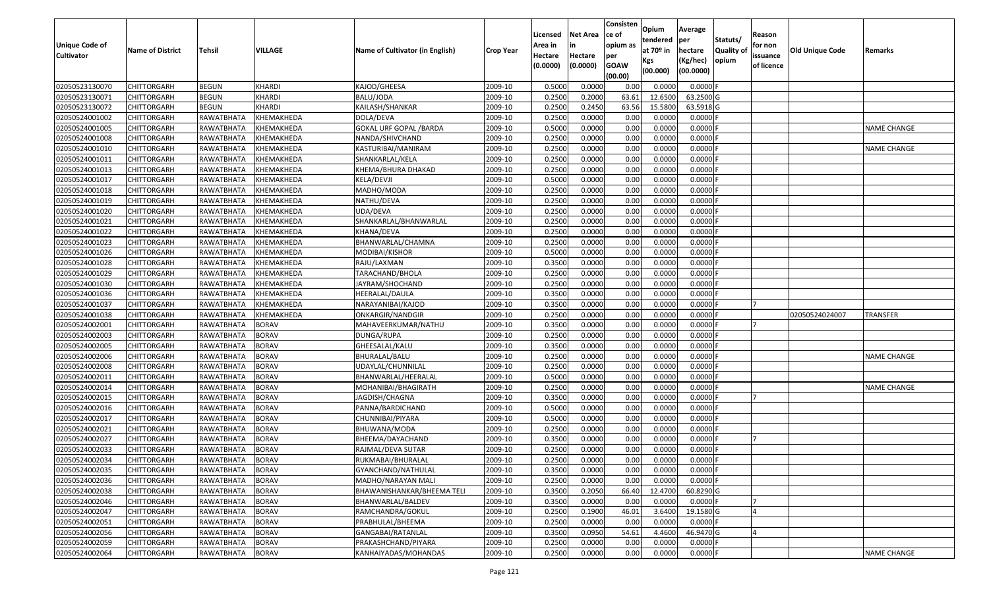| <b>Unique Code of</b> |                         |               |              |                                 |                      | Licensed<br>Area in | <b>Net Area</b><br>in | Consisten<br>ce of<br>opium as | <b>Opium</b><br>tendered     | Average<br><b>per</b>            | Statuts/                   | Reason<br>for non      |                        |                    |
|-----------------------|-------------------------|---------------|--------------|---------------------------------|----------------------|---------------------|-----------------------|--------------------------------|------------------------------|----------------------------------|----------------------------|------------------------|------------------------|--------------------|
| <b>Cultivator</b>     | <b>Name of District</b> | <b>Tehsil</b> | VILLAGE      | Name of Cultivator (in English) | Crop Year            | Hectare<br>(0.0000) | Hectare<br>(0.0000)   | per<br><b>GOAW</b><br>(00.00)  | at 70º in<br>Kgs<br>(00.000) | hectare<br>(Kg/hec)<br>(00.0000) | <b>Quality of</b><br>opium | issuance<br>of licence | <b>Old Unique Code</b> | Remarks            |
| 02050523130070        | <b>CHITTORGARH</b>      | <b>BEGUN</b>  | KHARDI       | KAJOD/GHEESA                    | 2009-10              | 0.5000              | 0.0000                | 0.00                           | 0.0000                       | $0.0000$ F                       |                            |                        |                        |                    |
| 02050523130071        | <b>CHITTORGARH</b>      | <b>BEGUN</b>  | KHARDI       | BALU/JODA                       | 2009-10              | 0.2500              | 0.2000                | 63.61                          | 12.6500                      | 63.2500 G                        |                            |                        |                        |                    |
| 02050523130072        | <b>CHITTORGARH</b>      | <b>BEGUN</b>  | KHARDI       | KAILASH/SHANKAR                 | 2009-10              | 0.2500              | 0.2450                | 63.56                          | 15.5800                      | 63.5918 G                        |                            |                        |                        |                    |
| 02050524001002        | <b>CHITTORGARH</b>      | RAWATBHATA    | KHEMAKHEDA   | DOLA/DEVA                       | 2009-10              | 0.2500              | 0.0000                | 0.00                           | 0.0000                       | $0.0000$ F                       |                            |                        |                        |                    |
| 02050524001005        | <b>CHITTORGARH</b>      | RAWATBHATA    | KHEMAKHEDA   | <b>GOKAL URF GOPAL /BARDA</b>   | 2009-10              | 0.5000              | 0.0000                | 0.00                           | 0.0000                       | $0.0000$ F                       |                            |                        |                        | <b>NAME CHANGE</b> |
| 02050524001008        | <b>CHITTORGARH</b>      | RAWATBHATA    | KHEMAKHEDA   | NANDA/SHIVCHAND                 | 2009-10              | 0.2500              | 0.0000                | 0.00                           | 0.0000                       | $0.0000$ F                       |                            |                        |                        |                    |
| 02050524001010        | <b>CHITTORGARH</b>      | RAWATBHATA    | KHEMAKHEDA   | KASTURIBAI/MANIRAM              | 2009-10              | 0.2500              | 0.0000                | 0.00                           | 0.0000                       | 0.0000                           |                            |                        |                        | NAME CHANGE        |
| 02050524001011        | <b>CHITTORGARH</b>      | RAWATBHATA    | KHEMAKHEDA   | SHANKARLAL/KELA                 | 2009-10              | 0.2500              | 0.0000                | 0.00                           | 0.0000                       | 0.0000                           |                            |                        |                        |                    |
| 02050524001013        | <b>CHITTORGARH</b>      | RAWATBHATA    | KHEMAKHEDA   | KHEMA/BHURA DHAKAD              | 2009-10              | 0.2500              | 0.0000                | 0.00                           | 0.0000                       | $0.0000$ F                       |                            |                        |                        |                    |
| 02050524001017        | <b>CHITTORGARH</b>      | RAWATBHATA    | KHEMAKHEDA   | KELA/DEVJI                      | 2009-10              | 0.5000              | 0.0000                | 0.00                           | 0.0000                       | $0.0000$ F                       |                            |                        |                        |                    |
| 02050524001018        | <b>CHITTORGARH</b>      | RAWATBHATA    | KHEMAKHEDA   | MADHO/MODA                      | 2009-10              | 0.2500              | 0.0000                | 0.00                           | 0.0000                       | $0.0000$ F                       |                            |                        |                        |                    |
| 02050524001019        | <b>CHITTORGARH</b>      | RAWATBHATA    | KHEMAKHEDA   | NATHU/DEVA                      | 2009-10              | 0.2500              | 0.0000                | 0.00                           | 0.0000                       | 0.0000                           |                            |                        |                        |                    |
| 02050524001020        | <b>CHITTORGARH</b>      | RAWATBHATA    | KHEMAKHEDA   | UDA/DEVA                        | 2009-10              | 0.2500              | 0.0000                | 0.00                           | 0.0000                       | $0.0000$ F                       |                            |                        |                        |                    |
| 02050524001021        | <b>CHITTORGARH</b>      | RAWATBHATA    | KHEMAKHEDA   | SHANKARLAL/BHANWARLAL           | 2009-10              | 0.2500              | 0.0000                | 0.00                           | 0.0000                       | $0.0000$ F                       |                            |                        |                        |                    |
| 02050524001022        | <b>CHITTORGARH</b>      | RAWATBHATA    | KHEMAKHEDA   | KHANA/DEVA                      | 2009-10              | 0.2500              | 0.0000                | 0.00                           | 0.0000                       | $0.0000$ F                       |                            |                        |                        |                    |
| 02050524001023        | <b>CHITTORGARH</b>      | RAWATBHATA    | KHEMAKHEDA   | BHANWARLAL/CHAMNA               | 2009-10              | 0.2500              | 0.0000                | 0.00                           | 0.0000                       | 0.0000F                          |                            |                        |                        |                    |
| 02050524001026        | <b>CHITTORGARH</b>      | RAWATBHATA    | KHEMAKHEDA   | MODIBAI/KISHOR                  | 2009-10              | 0.5000              | 0.0000                | 0.00                           | 0.0000                       | $0.0000$ F                       |                            |                        |                        |                    |
| 02050524001028        | <b>CHITTORGARH</b>      | RAWATBHATA    | KHEMAKHEDA   | RAJU/LAXMAN                     | 2009-10              | 0.3500              | 0.0000                | 0.00                           | 0.0000                       | $0.0000$ F                       |                            |                        |                        |                    |
| 02050524001029        | <b>CHITTORGARH</b>      | RAWATBHATA    | KHEMAKHEDA   | TARACHAND/BHOLA                 | 2009-10              | 0.2500              | 0.0000                | 0.00                           | 0.0000                       | $0.0000$ F                       |                            |                        |                        |                    |
| 02050524001030        | <b>CHITTORGARH</b>      | RAWATBHATA    | KHEMAKHEDA   | JAYRAM/SHOCHAND                 | 2009-10              | 0.2500              | 0.0000                | 0.00                           | 0.0000                       | $0.0000$ F                       |                            |                        |                        |                    |
| 02050524001036        | <b>CHITTORGARH</b>      | RAWATBHATA    | KHEMAKHEDA   | HEERALAL/DAULA                  | 2009-10              | 0.3500              | 0.0000                | 0.00                           | 0.0000                       | $0.0000$ F                       |                            |                        |                        |                    |
| 02050524001037        | <b>CHITTORGARH</b>      | RAWATBHATA    | KHEMAKHEDA   | NARAYANIBAI/KAJOD               | 2009-10              | 0.3500              | 0.0000                | 0.00                           | 0.0000                       | 0.0000                           |                            |                        |                        |                    |
| 02050524001038        | <b>CHITTORGARH</b>      | RAWATBHATA    | КНЕМАКНЕDА   | ONKARGIR/NANDGIR                | 2009-10              | 0.2500              | 0.0000                | 0.00                           | 0.0000                       | $0.0000$ F                       |                            |                        | 02050524024007         | TRANSFER           |
| 02050524002001        | <b>CHITTORGARH</b>      | RAWATBHATA    | BORAV        | MAHAVEERKUMAR/NATHU             | 2009-10              | 0.3500              | 0.0000                | 0.00                           | 0.0000                       | 0.0000F                          |                            |                        |                        |                    |
| 02050524002003        | <b>CHITTORGARH</b>      | RAWATBHATA    | <b>BORAV</b> | DUNGA/RUPA                      | 2009-10              | 0.2500              | 0.0000                | 0.00                           | 0.0000                       | $0.0000$ F                       |                            |                        |                        |                    |
| 02050524002005        | <b>CHITTORGARH</b>      | RAWATBHATA    | BORAV        | GHEESALAL/KALU                  | 2009-10              | 0.3500              | 0.0000                | 0.00                           | 0.0000                       | $0.0000$ F                       |                            |                        |                        |                    |
| 02050524002006        | <b>CHITTORGARH</b>      | RAWATBHATA    | <b>BORAV</b> | BHURALAL/BALU                   | 2009-10              | 0.2500              | 0.0000                | 0.00                           | 0.0000                       | $0.0000$ F                       |                            |                        |                        | <b>NAME CHANGE</b> |
| 02050524002008        | <b>CHITTORGARH</b>      | RAWATBHATA    | <b>BORAV</b> | UDAYLAL/CHUNNILAL               | 2009-10              | 0.2500              | 0.0000                | 0.00                           | 0.0000                       | $0.0000$ F                       |                            |                        |                        |                    |
| 02050524002011        | <b>CHITTORGARH</b>      | RAWATBHATA    | <b>BORAV</b> | BHANWARLAL/HEERALAL             | 2009-10              | 0.5000              | 0.0000                | 0.00                           | 0.0000                       | $0.0000$ F                       |                            |                        |                        |                    |
| 02050524002014        | <b>CHITTORGARH</b>      | RAWATBHATA    | <b>BORAV</b> | MOHANIBAI/BHAGIRATH             | 2009-10              | 0.2500              | 0.0000                | 0.00                           | 0.0000                       | $0.0000$ F                       |                            |                        |                        | <b>NAME CHANGE</b> |
| 02050524002015        | <b>CHITTORGARH</b>      | RAWATBHATA    | <b>BORAV</b> | JAGDISH/CHAGNA                  | 2009-10              | 0.3500              | 0.0000                | 0.00                           | 0.0000                       | 0.0000                           |                            |                        |                        |                    |
| 02050524002016        | <b>CHITTORGARH</b>      | RAWATBHATA    | <b>BORAV</b> | PANNA/BARDICHAND                | 2009-10              | 0.5000              | 0.0000                | 0.00                           | 0.0000                       | 0.0000                           |                            |                        |                        |                    |
| 02050524002017        | <b>CHITTORGARH</b>      | RAWATBHATA    | <b>BORAV</b> | CHUNNIBAI/PIYARA                | 2009-10              | 0.5000              | 0.0000                | 0.00                           | 0.0000                       | 0.0000F                          |                            |                        |                        |                    |
| 02050524002021        | <b>CHITTORGARH</b>      | RAWATBHATA    | BORAV        | BHUWANA/MODA                    | 2009-10              | 0.2500              | 0.0000                | 0.00                           | 0.0000                       | 0.0000F                          |                            |                        |                        |                    |
| 02050524002027        | <b>CHITTORGARH</b>      | RAWATBHATA    | <b>BORAV</b> | BHEEMA/DAYACHAND                | 2009-10              | 0.3500              | 0.0000                | 0.00                           | 0.0000                       | 0.0000F                          |                            |                        |                        |                    |
| 02050524002033        | <b>CHITTORGARH</b>      | RAWATBHATA    | <b>BORAV</b> | RAJMAL/DEVA SUTAR               | 2009-10              | 0.2500              | 0.0000                | 0.00                           | 0.0000                       | $0.0000$ F                       |                            |                        |                        |                    |
| 02050524002034        | CHITTORGARH             | RAWATBHATA    | <b>BORAV</b> | RUKMABAI/BHURALAL               | $\overline{2009-10}$ | 0.2500              | 0.0000                | 0.00                           | 0.0000                       | $0.0000$ F                       |                            |                        |                        |                    |
| 02050524002035        | CHITTORGARH             | RAWATBHATA    | <b>BORAV</b> | GYANCHAND/NATHULAL              | 2009-10              | 0.3500              | 0.0000                | 0.00                           | 0.0000                       | $0.0000$ F                       |                            |                        |                        |                    |
| 02050524002036        | <b>CHITTORGARH</b>      | RAWATBHATA    | <b>BORAV</b> | MADHO/NARAYAN MALI              | 2009-10              | 0.2500              | 0.0000                | 0.00                           | 0.0000                       | $0.0000$ F                       |                            |                        |                        |                    |
| 02050524002038        | <b>CHITTORGARH</b>      | RAWATBHATA    | <b>BORAV</b> | BHAWANISHANKAR/BHEEMA TELI      | 2009-10              | 0.3500              | 0.2050                | 66.40                          | 12.4700                      | 60.8290 G                        |                            |                        |                        |                    |
| 02050524002046        | <b>CHITTORGARH</b>      | RAWATBHATA    | <b>BORAV</b> | BHANWARLAL/BALDEV               | 2009-10              | 0.3500              | 0.0000                | 0.00                           | 0.0000                       | $0.0000$ F                       |                            |                        |                        |                    |
| 02050524002047        | <b>CHITTORGARH</b>      | RAWATBHATA    | <b>BORAV</b> | RAMCHANDRA/GOKUL                | 2009-10              | 0.2500              | 0.1900                | 46.01                          | 3.6400                       | 19.1580 G                        |                            |                        |                        |                    |
| 02050524002051        | <b>CHITTORGARH</b>      | RAWATBHATA    | <b>BORAV</b> | PRABHULAL/BHEEMA                | 2009-10              | 0.2500              | 0.0000                | 0.00                           | 0.0000                       | $0.0000$ F                       |                            |                        |                        |                    |
| 02050524002056        | <b>CHITTORGARH</b>      | RAWATBHATA    | <b>BORAV</b> | GANGABAI/RATANLAL               | 2009-10              | 0.3500              | 0.0950                | 54.61                          | 4.4600                       | 46.9470 G                        |                            |                        |                        |                    |
| 02050524002059        | <b>CHITTORGARH</b>      | RAWATBHATA    | BORAV        | PRAKASHCHAND/PIYARA             | 2009-10              | 0.2500              | 0.0000                | 0.00                           | 0.0000                       | $0.0000$ F                       |                            |                        |                        |                    |
| 02050524002064        | <b>CHITTORGARH</b>      | RAWATBHATA    | <b>BORAV</b> | KANHAIYADAS/MOHANDAS            | 2009-10              | 0.2500              | 0.0000                | 0.00                           | 0.0000                       | 0.0000 F                         |                            |                        |                        | <b>NAME CHANGE</b> |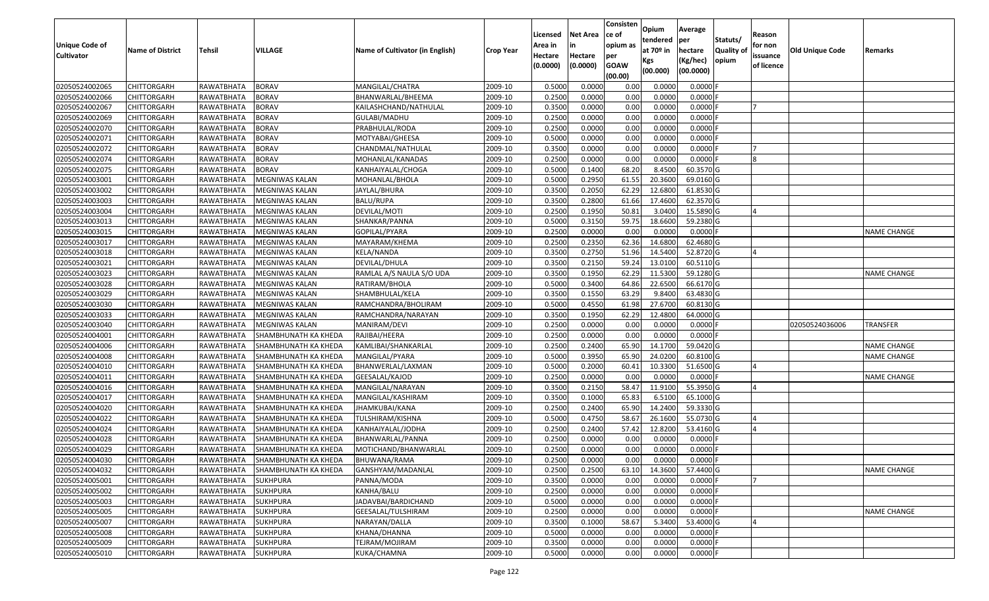| Unique Code of    |                         |               |                             |                                 |                  | Licensed<br>Area in | <b>Net Area</b> | Consisten<br>lce of<br>opium as | Opium<br>tendered | Average<br>per        | Statuts/         | Reason<br>for non |                 |                    |
|-------------------|-------------------------|---------------|-----------------------------|---------------------------------|------------------|---------------------|-----------------|---------------------------------|-------------------|-----------------------|------------------|-------------------|-----------------|--------------------|
| <b>Cultivator</b> | <b>Name of District</b> | <b>Tehsil</b> | VILLAGE                     | Name of Cultivator (in English) | <b>Crop Year</b> | Hectare             | Hectare         | per                             | at $70°$ in       | hectare               | <b>Quality o</b> | issuance          | Old Unique Code | Remarks            |
|                   |                         |               |                             |                                 |                  | (0.0000)            | (0.0000)        | <b>GOAW</b><br>(00.00)          | Kgs<br>(00.000)   | (Kg/hec)<br>(00.0000) | opium            | of licence        |                 |                    |
| 02050524002065    | CHITTORGARH             | RAWATBHATA    | <b>BORAV</b>                | MANGILAL/CHATRA                 | 2009-10          | 0.5000              | 0.0000          | 0.00                            | 0.0000            | 0.0000F               |                  |                   |                 |                    |
| 02050524002066    | CHITTORGARH             | RAWATBHATA    | <b>BORAV</b>                | BHANWARLAL/BHEEMA               | 2009-10          | 0.2500              | 0.0000          | 0.00                            | 0.0000            | $0.0000$ F            |                  |                   |                 |                    |
| 02050524002067    | CHITTORGARH             | RAWATBHATA    | <b>BORAV</b>                | KAILASHCHAND/NATHULAL           | 2009-10          | 0.3500              | 0.0000          | 0.00                            | 0.0000            | 0.0000                |                  |                   |                 |                    |
| 02050524002069    | CHITTORGARH             | RAWATBHATA    | <b>BORAV</b>                | GULABI/MADHU                    | 2009-10          | 0.2500              | 0.0000          | 0.00                            | 0.0000            | 0.0000F               |                  |                   |                 |                    |
| 02050524002070    | CHITTORGARH             | RAWATBHATA    | <b>BORAV</b>                | PRABHULAL/RODA                  | 2009-10          | 0.2500              | 0.0000          | 0.00                            | 0.0000            | 0.0000                |                  |                   |                 |                    |
| 02050524002071    | CHITTORGARH             | RAWATBHATA    | <b>BORAV</b>                | MOTYABAI/GHEESA                 | 2009-10          | 0.5000              | 0.0000          | 0.00                            | 0.0000            | 0.0000                |                  |                   |                 |                    |
| 02050524002072    | CHITTORGARH             | RAWATBHATA    | <b>BORAV</b>                | CHANDMAL/NATHULAL               | 2009-10          | 0.3500              | 0.0000          | 0.00                            | 0.0000            | 0.0000                |                  |                   |                 |                    |
| 02050524002074    | CHITTORGARH             | RAWATBHATA    | <b>BORAV</b>                | MOHANLAL/KANADAS                | 2009-10          | 0.2500              | 0.0000          | 0.00                            | 0.0000            | 0.0000F               |                  |                   |                 |                    |
| 02050524002075    | <b>CHITTORGARH</b>      | RAWATBHATA    | <b>BORAV</b>                | KANHAIYALAL/CHOGA               | 2009-10          | 0.5000              | 0.1400          | 68.20                           | 8.4500            | 60.3570 G             |                  |                   |                 |                    |
| 02050524003001    | <b>CHITTORGARH</b>      | RAWATBHATA    | MEGNIWAS KALAN              | MOHANLAL/BHOLA                  | 2009-10          | 0.5000              | 0.2950          | 61.55                           | 20.3600           | 69.0160 G             |                  |                   |                 |                    |
| 02050524003002    | CHITTORGARH             | RAWATBHATA    | MEGNIWAS KALAN              | JAYLAL/BHURA                    | 2009-10          | 0.3500              | 0.2050          | 62.29                           | 12.6800           | 61.8530 G             |                  |                   |                 |                    |
| 02050524003003    | CHITTORGARH             | RAWATBHATA    | MEGNIWAS KALAN              | <b>BALU/RUPA</b>                | 2009-10          | 0.3500              | 0.2800          | 61.66                           | 17.4600           | 62.3570 G             |                  |                   |                 |                    |
| 02050524003004    | <b>CHITTORGARH</b>      | RAWATBHATA    | MEGNIWAS KALAN              | DEVILAL/MOTI                    | 2009-10          | 0.2500              | 0.1950          | 50.81                           | 3.0400            | 15.5890 G             |                  |                   |                 |                    |
| 02050524003013    | <b>CHITTORGARH</b>      | RAWATBHATA    | MEGNIWAS KALAN              | SHANKAR/PANNA                   | 2009-10          | 0.5000              | 0.3150          | 59.75                           | 18.6600           | 59.2380 G             |                  |                   |                 |                    |
| 02050524003015    | CHITTORGARH             | RAWATBHATA    | MEGNIWAS KALAN              | GOPILAL/PYARA                   | 2009-10          | 0.2500              | 0.0000          | 0.00                            | 0.0000            | $0.0000$ F            |                  |                   |                 | <b>NAME CHANGE</b> |
| 02050524003017    | <b>CHITTORGARH</b>      | RAWATBHATA    | MEGNIWAS KALAN              | MAYARAM/KHEMA                   | 2009-10          | 0.2500              | 0.2350          | 62.36                           | 14.6800           | 62.4680 G             |                  |                   |                 |                    |
| 02050524003018    | <b>CHITTORGARH</b>      | RAWATBHATA    | MEGNIWAS KALAN              | KELA/NANDA                      | 2009-10          | 0.3500              | 0.2750          | 51.96                           | 14.5400           | 52.8720 G             |                  |                   |                 |                    |
| 02050524003021    | CHITTORGARH             | RAWATBHATA    | MEGNIWAS KALAN              | DEVILAL/DHULA                   | 2009-10          | 0.3500              | 0.2150          | 59.24                           | 13.0100           | 60.5110 G             |                  |                   |                 |                    |
| 02050524003023    | CHITTORGARH             | RAWATBHATA    | MEGNIWAS KALAN              | RAMLAL A/S NAULA S/O UDA        | 2009-10          | 0.3500              | 0.1950          | 62.29                           | 11.5300           | 59.1280G              |                  |                   |                 | <b>NAME CHANGE</b> |
| 02050524003028    | CHITTORGARH             | RAWATBHATA    | <b>MEGNIWAS KALAN</b>       | RATIRAM/BHOLA                   | 2009-10          | 0.5000              | 0.3400          | 64.86                           | 22.6500           | 66.6170 G             |                  |                   |                 |                    |
| 02050524003029    | CHITTORGARH             | RAWATBHATA    | MEGNIWAS KALAN              | SHAMBHULAL/KELA                 | 2009-10          | 0.3500              | 0.1550          | 63.29                           | 9.8400            | 63.4830 G             |                  |                   |                 |                    |
| 02050524003030    | CHITTORGARH             | RAWATBHATA    | MEGNIWAS KALAN              | RAMCHANDRA/BHOLIRAM             | 2009-10          | 0.5000              | 0.4550          | 61.98                           | 27.6700           | 60.8130 G             |                  |                   |                 |                    |
| 02050524003033    | CHITTORGARH             | RAWATBHATA    | MEGNIWAS KALAN              | RAMCHANDRA/NARAYAN              | 2009-10          | 0.3500              | 0.1950          | 62.29                           | 12.4800           | 64.0000 G             |                  |                   |                 |                    |
| 02050524003040    | <b>CHITTORGARH</b>      | RAWATBHATA    | MEGNIWAS KALAN              | MANIRAM/DEVI                    | 2009-10          | 0.2500              | 0.0000          | 0.00                            | 0.0000            | 0.0000                |                  |                   | 02050524036006  | <b>TRANSFER</b>    |
| 02050524004001    | CHITTORGARH             | RAWATBHATA    | <b>SHAMBHUNATH KA KHEDA</b> | RAJIBAI/HEERA                   | 2009-10          | 0.2500              | 0.0000          | 0.00                            | 0.0000            | 0.0000F               |                  |                   |                 |                    |
| 02050524004006    | CHITTORGARH             | RAWATBHATA    | SHAMBHUNATH KA KHEDA        | KAMLIBAI/SHANKARLAL             | 2009-10          | 0.2500              | 0.2400          | 65.90                           | 14.1700           | 59.0420 G             |                  |                   |                 | <b>NAME CHANGE</b> |
| 02050524004008    | CHITTORGARH             | RAWATBHATA    | SHAMBHUNATH KA KHEDA        | MANGILAL/PYARA                  | 2009-10          | 0.5000              | 0.3950          | 65.90                           | 24.0200           | 60.8100 G             |                  |                   |                 | <b>NAME CHANGE</b> |
| 02050524004010    | CHITTORGARH             | RAWATBHATA    | SHAMBHUNATH KA KHEDA        | BHANWERLAL/LAXMAN               | 2009-10          | 0.5000              | 0.2000          | 60.41                           | 10.3300           | 51.6500 G             |                  |                   |                 |                    |
| 02050524004011    | CHITTORGARH             | RAWATBHATA    | SHAMBHUNATH KA KHEDA        | GEESALAL/KAJOD                  | 2009-10          | 0.2500              | 0.0000          | 0.00                            | 0.0000            | $0.0000$ F            |                  |                   |                 | <b>NAME CHANGE</b> |
| 02050524004016    | CHITTORGARH             | RAWATBHATA    | SHAMBHUNATH KA KHEDA        | MANGILAL/NARAYAN                | 2009-10          | 0.3500              | 0.2150          | 58.47                           | 11.9100           | 55.3950 G             |                  |                   |                 |                    |
| 02050524004017    | CHITTORGARH             | RAWATBHATA    | SHAMBHUNATH KA KHEDA        | MANGILAL/KASHIRAM               | 2009-10          | 0.3500              | 0.1000          | 65.83                           | 6.5100            | 65.1000G              |                  |                   |                 |                    |
| 02050524004020    | CHITTORGARH             | RAWATBHATA    | SHAMBHUNATH KA KHEDA        | JHAMKUBAI/KANA                  | 2009-10          | 0.2500              | 0.2400          | 65.90                           | 14.2400           | 59.3330 G             |                  |                   |                 |                    |
| 02050524004022    | CHITTORGARH             | RAWATBHATA    | SHAMBHUNATH KA KHEDA        | TULSHIRAM/KISHNA                | 2009-10          | 0.5000              | 0.4750          | 58.67                           | 26.1600           | 55.0730G              |                  |                   |                 |                    |
| 02050524004024    | <b>CHITTORGARH</b>      | RAWATBHATA    | SHAMBHUNATH KA KHEDA        | KANHAIYALAL/JODHA               | 2009-10          | 0.2500              | 0.2400          | 57.42                           | 12.8200           | 53.4160 G             |                  |                   |                 |                    |
| 02050524004028    | CHITTORGARH             | RAWATBHATA    | SHAMBHUNATH KA KHEDA        | BHANWARLAL/PANNA                | 2009-10          | 0.250               | 0.0000          | 0.00                            | 0.0000            | 0.0000F               |                  |                   |                 |                    |
| 02050524004029    | CHITTORGARH             | RAWATBHATA    | SHAMBHUNATH KA KHEDA        | MOTICHAND/BHANWARLAL            | 2009-10          | 0.2500              | 0.0000          | 0.00                            | 0.0000            | 0.0000                |                  |                   |                 |                    |
| 02050524004030    | <b>CHITTORGARH</b>      | RAWATBHATA    | SHAMBHUNATH KA KHEDA        | BHUWANA/RAMA                    | 2009-10          | 0.2500              | 0.0000          | 0.00                            | 0.0000            | $0.0000$ F            |                  |                   |                 |                    |
| 02050524004032    | <b>CHITTORGARH</b>      | RAWATBHATA    | SHAMBHUNATH KA KHEDA        | GANSHYAM/MADANLAL               | 2009-10          | 0.2500              | 0.2500          | 63.10                           | 14.3600           | 57.4400 G             |                  |                   |                 | <b>NAME CHANGE</b> |
| 02050524005001    | <b>CHITTORGARH</b>      | RAWATBHATA    | <b>SUKHPURA</b>             | PANNA/MODA                      | 2009-10          | 0.3500              | 0.0000          | 0.00                            | 0.0000            | $0.0000$ F            |                  |                   |                 |                    |
| 02050524005002    | <b>CHITTORGARH</b>      | RAWATBHATA    | <b>SUKHPURA</b>             | KANHA/BALU                      | 2009-10          | 0.2500              | 0.0000          | 0.00                            | 0.0000            | $0.0000$ F            |                  |                   |                 |                    |
| 02050524005003    | CHITTORGARH             | RAWATBHATA    | <b>SUKHPURA</b>             | JADAVBAI/BARDICHAND             | 2009-10          | 0.5000              | 0.0000          | 0.00                            | 0.0000            | 0.0000                |                  |                   |                 |                    |
| 02050524005005    | <b>CHITTORGARH</b>      | RAWATBHATA    | <b>SUKHPURA</b>             | GEESALAL/TULSHIRAM              | 2009-10          | 0.2500              | 0.0000          | 0.00                            | 0.0000            | $0.0000$ F            |                  |                   |                 | <b>NAME CHANGE</b> |
| 02050524005007    | <b>CHITTORGARH</b>      | RAWATBHATA    | <b>SUKHPURA</b>             | NARAYAN/DALLA                   | 2009-10          | 0.3500              | 0.1000          | 58.67                           | 5.3400            | 53.4000 G             |                  |                   |                 |                    |
| 02050524005008    | CHITTORGARH             | RAWATBHATA    | <b>SUKHPURA</b>             | KHANA/DHANNA                    | 2009-10          | 0.5000              | 0.0000          | 0.00                            | 0.0000            | $0.0000$ F            |                  |                   |                 |                    |
| 02050524005009    | <b>CHITTORGARH</b>      | RAWATBHATA    | <b>SUKHPURA</b>             | TEJRAM/MOJIRAM                  | 2009-10          | 0.3500              | 0.0000          | 0.00                            | 0.0000            | 0.0000                |                  |                   |                 |                    |
| 02050524005010    | <b>CHITTORGARH</b>      | RAWATBHATA    | <b>SUKHPURA</b>             | KUKA/CHAMNA                     | 2009-10          | 0.5000              | 0.0000          | 0.00                            | 0.0000            | $0.0000$ F            |                  |                   |                 |                    |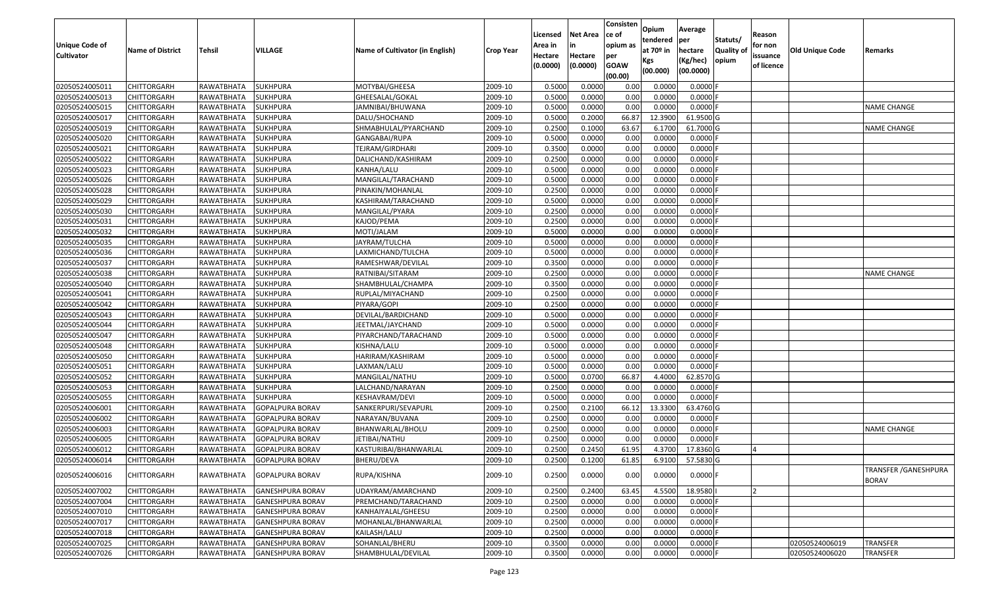| <b>Unique Code of</b><br><b>Cultivator</b> | <b>Name of District</b> | <b>Tehsil</b>     | VILLAGE                 | Name of Cultivator (in English) | <b>Crop Year</b> | Licensed<br>Area in<br>Hectare<br>(0.0000) | <b>Net Area</b><br>in<br>Hectare<br>(0.0000) | Consisten<br>ce of<br>opium as<br>per<br><b>GOAW</b> | Opium<br>tendered<br>at $70°$ in<br>Kgs | Average<br>per<br>hectare<br>(Kg/hec) | Statuts/<br><b>Quality o</b><br>opium | Reason<br>for non<br>issuance<br>of licence | <b>Old Unique Code</b> | Remarks                                      |
|--------------------------------------------|-------------------------|-------------------|-------------------------|---------------------------------|------------------|--------------------------------------------|----------------------------------------------|------------------------------------------------------|-----------------------------------------|---------------------------------------|---------------------------------------|---------------------------------------------|------------------------|----------------------------------------------|
|                                            |                         |                   |                         |                                 |                  |                                            |                                              | (00.00)                                              | (00.000)                                | (00.0000)                             |                                       |                                             |                        |                                              |
| 02050524005011                             | CHITTORGARH             | RAWATBHATA        | <b>SUKHPURA</b>         | MOTYBAI/GHEESA                  | 2009-10          | 0.5000                                     | 0.0000                                       | 0.00                                                 | 0.0000                                  | 0.0000F                               |                                       |                                             |                        |                                              |
| 02050524005013                             | CHITTORGARH             | RAWATBHATA        | <b>SUKHPURA</b>         | GHEESALAL/GOKAL                 | 2009-10          | 0.5000                                     | 0.0000                                       | 0.00                                                 | 0.0000                                  | 0.0000F                               |                                       |                                             |                        |                                              |
| 02050524005015                             | CHITTORGARH             | RAWATBHATA        | <b>SUKHPURA</b>         | JAMNIBAI/BHUWANA                | 2009-10          | 0.5000                                     | 0.0000                                       | 0.00                                                 | 0.0000                                  | 0.0000                                |                                       |                                             |                        | <b>NAME CHANGE</b>                           |
| 02050524005017                             | <b>CHITTORGARH</b>      | <b>RAWATBHATA</b> | <b>SUKHPURA</b>         | DALU/SHOCHAND                   | 2009-10          | 0.5000                                     | 0.2000                                       | 66.87                                                | 12.3900                                 | 61.9500 G                             |                                       |                                             |                        |                                              |
| 02050524005019                             | CHITTORGARH             | RAWATBHATA        | <b>SUKHPURA</b>         | SHMABHULAL/PYARCHAND            | 2009-10          | 0.2500                                     | 0.1000                                       | 63.67                                                | 6.1700                                  | 61.7000 G                             |                                       |                                             |                        | <b>NAME CHANGE</b>                           |
| 02050524005020                             | CHITTORGARH             | RAWATBHATA        | <b>SUKHPURA</b>         | GANGABAI/RUPA                   | 2009-10          | 0.5000                                     | 0.0000                                       | 0.00                                                 | 0.0000                                  | 0.0000F                               |                                       |                                             |                        |                                              |
| 02050524005021                             | CHITTORGARH             | RAWATBHATA        | <b>SUKHPURA</b>         | TEJRAM/GIRDHARI                 | 2009-10          | 0.3500                                     | 0.0000                                       | 0.00                                                 | 0.0000                                  | 0.0000                                |                                       |                                             |                        |                                              |
| 02050524005022                             | CHITTORGARH             | RAWATBHATA        | <b>SUKHPURA</b>         | DALICHAND/KASHIRAM              | 2009-10          | 0.2500                                     | 0.0000                                       | 0.00                                                 | 0.0000                                  | 0.0000                                |                                       |                                             |                        |                                              |
| 02050524005023                             | CHITTORGARH             | RAWATBHATA        | <b>SUKHPURA</b>         | KANHA/LALU                      | 2009-10          | 0.5000                                     | 0.0000                                       | 0.00                                                 | 0.0000                                  | 0.0000                                |                                       |                                             |                        |                                              |
| 02050524005026                             | CHITTORGARH             | RAWATBHATA        | <b>SUKHPURA</b>         | MANGILAL/TARACHAND              | 2009-10          | 0.5000                                     | 0.0000                                       | 0.00                                                 | 0.0000                                  | 0.0000                                |                                       |                                             |                        |                                              |
| 02050524005028                             | CHITTORGARH             | RAWATBHATA        | <b>SUKHPURA</b>         | PINAKIN/MOHANLAL                | 2009-10          | 0.2500                                     | 0.0000                                       | 0.00                                                 | 0.0000                                  | 0.0000                                |                                       |                                             |                        |                                              |
| 02050524005029                             | CHITTORGARH             | RAWATBHATA        | <b>SUKHPURA</b>         | KASHIRAM/TARACHAND              | 2009-10          | 0.5000                                     | 0.0000                                       | 0.00                                                 | 0.0000                                  | 0.0000                                |                                       |                                             |                        |                                              |
| 02050524005030                             | <b>CHITTORGARH</b>      | RAWATBHATA        | <b>SUKHPURA</b>         | MANGILAL/PYARA                  | 2009-10          | 0.2500                                     | 0.0000                                       | 0.00                                                 | 0.0000                                  | 0.0000F                               |                                       |                                             |                        |                                              |
| 02050524005031                             | <b>CHITTORGARH</b>      | RAWATBHATA        | <b>SUKHPURA</b>         | KAJOD/PEMA                      | 2009-10          | 0.2500                                     | 0.0000                                       | 0.00                                                 | 0.0000                                  | $0.0000$ F                            |                                       |                                             |                        |                                              |
| 02050524005032                             | <b>CHITTORGARH</b>      | RAWATBHATA        | <b>SUKHPURA</b>         | MOTI/JALAM                      | 2009-10          | 0.5000                                     | 0.0000                                       | 0.00                                                 | 0.0000                                  | $0.0000$ F                            |                                       |                                             |                        |                                              |
| 02050524005035                             | <b>CHITTORGARH</b>      | RAWATBHATA        | <b>SUKHPURA</b>         | JAYRAM/TULCHA                   | 2009-10          | 0.5000                                     | 0.0000                                       | 0.00                                                 | 0.0000                                  | 0.0000                                |                                       |                                             |                        |                                              |
| 02050524005036                             | <b>CHITTORGARH</b>      | RAWATBHATA        | <b>SUKHPURA</b>         | LAXMICHAND/TULCHA               | 2009-10          | 0.5000                                     | 0.0000                                       | 0.00                                                 | 0.0000                                  | 0.0000                                |                                       |                                             |                        |                                              |
| 02050524005037                             | CHITTORGARH             | RAWATBHATA        | <b>SUKHPURA</b>         | RAMESHWAR/DEVILAL               | 2009-10          | 0.3500                                     | 0.0000                                       | 0.00                                                 | 0.0000                                  | 0.0000                                |                                       |                                             |                        |                                              |
| 02050524005038                             | CHITTORGARH             | RAWATBHATA        | <b>SUKHPURA</b>         | RATNIBAI/SITARAM                | 2009-10          | 0.2500                                     | 0.0000                                       | 0.00                                                 | 0.0000                                  | 0.0000                                |                                       |                                             |                        | <b>NAME CHANGE</b>                           |
| 02050524005040                             | CHITTORGARH             | RAWATBHATA        | <b>SUKHPURA</b>         | SHAMBHULAL/CHAMPA               | 2009-10          | 0.3500                                     | 0.0000                                       | 0.00                                                 | 0.0000                                  | 0.0000                                |                                       |                                             |                        |                                              |
| 02050524005041                             | CHITTORGARH             | RAWATBHATA        | <b>SUKHPURA</b>         | RUPLAL/MIYACHAND                | 2009-10          | 0.2500                                     | 0.0000                                       | 0.00                                                 | 0.0000                                  | 0.0000                                |                                       |                                             |                        |                                              |
| 02050524005042                             | CHITTORGARH             | RAWATBHATA        | <b>SUKHPURA</b>         | PIYARA/GOPI                     | 2009-10          | 0.2500                                     | 0.0000                                       | 0.00                                                 | 0.0000                                  | 0.0000                                |                                       |                                             |                        |                                              |
| 02050524005043                             | CHITTORGARH             | RAWATBHATA        | <b>SUKHPURA</b>         | DEVILAL/BARDICHAND              | 2009-10          | 0.5000                                     | 0.0000                                       | 0.00                                                 | 0.0000                                  | 0.0000                                |                                       |                                             |                        |                                              |
| 02050524005044                             | CHITTORGARH             | RAWATBHATA        | <b>SUKHPURA</b>         | JEETMAL/JAYCHAND                | 2009-10          | 0.5000                                     | 0.0000                                       | 0.00                                                 | 0.0000                                  | 0.0000                                |                                       |                                             |                        |                                              |
| 02050524005047                             | <b>CHITTORGARH</b>      | <b>RAWATBHATA</b> | <b>SUKHPURA</b>         | PIYARCHAND/TARACHAND            | 2009-10          | 0.5000                                     | 0.0000                                       | 0.00                                                 | 0.0000                                  | 0.0000                                |                                       |                                             |                        |                                              |
| 02050524005048                             | CHITTORGARH             | RAWATBHATA        | <b>SUKHPURA</b>         | KISHNA/LALU                     | 2009-10          | 0.5000                                     | 0.0000                                       | 0.00                                                 | 0.0000                                  | 0.0000                                |                                       |                                             |                        |                                              |
| 02050524005050                             | CHITTORGARH             | RAWATBHATA        | <b>SUKHPURA</b>         | HARIRAM/KASHIRAM                | 2009-10          | 0.5000                                     | 0.0000                                       | 0.00                                                 | 0.0000                                  | 0.0000                                |                                       |                                             |                        |                                              |
| 02050524005051                             | CHITTORGARH             | RAWATBHATA        | <b>SUKHPURA</b>         | LAXMAN/LALU                     | 2009-10          | 0.5000                                     | 0.0000                                       | 0.00                                                 | 0.0000                                  | 0.0000                                |                                       |                                             |                        |                                              |
| 02050524005052                             | CHITTORGARH             | RAWATBHATA        | <b>SUKHPURA</b>         | MANGILAL/NATHU                  | 2009-10          | 0.5000                                     | 0.0700                                       | 66.87                                                | 4.4000                                  | 62.8570 G                             |                                       |                                             |                        |                                              |
| 02050524005053                             | <b>CHITTORGARH</b>      | RAWATBHATA        | <b>SUKHPURA</b>         | LALCHAND/NARAYAN                | 2009-10          | 0.2500                                     | 0.0000                                       | 0.00                                                 | 0.0000                                  | 0.0000                                |                                       |                                             |                        |                                              |
| 02050524005055                             | CHITTORGARH             | RAWATBHATA        | <b>SUKHPURA</b>         | KESHAVRAM/DEVI                  | 2009-10          | 0.5000                                     | 0.0000                                       | 0.00                                                 | 0.0000                                  | 0.0000                                |                                       |                                             |                        |                                              |
| 02050524006001                             | CHITTORGARH             | RAWATBHATA        | <b>GOPALPURA BORAV</b>  | SANKERPURI/SEVAPURL             | 2009-10          | 0.2500                                     | 0.2100                                       | 66.12                                                | 13.3300                                 | 63.4760 G                             |                                       |                                             |                        |                                              |
| 02050524006002                             | CHITTORGARH             | RAWATBHATA        | <b>GOPALPURA BORAV</b>  | NARAYAN/BUVANA                  | 2009-10          | 0.2500                                     | 0.0000                                       | 0.00                                                 | 0.0000                                  | 0.0000F                               |                                       |                                             |                        |                                              |
| 02050524006003                             | <b>CHITTORGARH</b>      | RAWATBHATA        | <b>GOPALPURA BORAV</b>  | BHANWARLAL/BHOLU                | 2009-10          | 0.2500                                     | 0.0000                                       | 0.00                                                 | 0.0000                                  | 0.0000                                |                                       |                                             |                        | <b>NAME CHANGE</b>                           |
| 02050524006005                             | CHITTORGARH             | RAWATBHATA        | <b>GOPALPURA BORAV</b>  | JETIBAI/NATHU                   | 2009-10          | 0.2500                                     | 0.0000                                       | 0.00                                                 | 0.0000                                  | $0.0000$ F                            |                                       |                                             |                        |                                              |
| 02050524006012                             | CHITTORGARH             | RAWATBHATA        | GOPALPURA BORAV         | KASTURIBAI/BHANWARLAL           | 2009-10          | 0.2500                                     | 0.2450                                       | 61.95                                                | 4.3700                                  | 17.8360 G                             |                                       |                                             |                        |                                              |
| 02050524006014                             | CHITTORGARH             | RAWATBHATA        | <b>GOPALPURA BORAV</b>  | <b>BHERU/DEVA</b>               | 2009-10          | 0.2500                                     | 0.1200                                       | 61.85                                                | 6.9100                                  | 57.5830 G                             |                                       |                                             |                        |                                              |
| 02050524006016                             | <b>CHITTORGARH</b>      | RAWATBHATA        | <b>GOPALPURA BORAV</b>  | RUPA/KISHNA                     | 2009-10          | 0.2500                                     | 0.0000                                       | 0.00                                                 | 0.0000                                  | $0.0000$ F                            |                                       |                                             |                        | <b>TRANSFER / GANESHPURA</b><br><b>BORAV</b> |
| 02050524007002                             | <b>CHITTORGARH</b>      | RAWATBHATA        | <b>GANESHPURA BORAV</b> | UDAYRAM/AMARCHAND               | 2009-10          | 0.2500                                     | 0.2400                                       | 63.45                                                | 4.5500                                  | 18.9580                               |                                       | I <sub>2</sub>                              |                        |                                              |
| 02050524007004                             | CHITTORGARH             | RAWATBHATA        | <b>GANESHPURA BORAV</b> | PREMCHAND/TARACHAND             | 2009-10          | 0.2500                                     | 0.0000                                       | 0.00                                                 | 0.0000                                  | 0.0000                                |                                       |                                             |                        |                                              |
| 02050524007010                             | <b>CHITTORGARH</b>      | RAWATBHATA        | <b>GANESHPURA BORAV</b> | KANHAIYALAL/GHEESU              | 2009-10          | 0.2500                                     | 0.0000                                       | 0.00                                                 | 0.0000                                  | 0.0000                                |                                       |                                             |                        |                                              |
| 02050524007017                             | <b>CHITTORGARH</b>      | RAWATBHATA        | <b>GANESHPURA BORAV</b> | MOHANLAL/BHANWARLAL             | 2009-10          | 0.2500                                     | 0.0000                                       | 0.00                                                 | 0.0000                                  | 0.0000                                |                                       |                                             |                        |                                              |
| 02050524007018                             | CHITTORGARH             | RAWATBHATA        | <b>GANESHPURA BORAV</b> | KAILASH/LALU                    | 2009-10          | 0.2500                                     | 0.0000                                       | 0.00                                                 | 0.0000                                  | $0.0000$ F                            |                                       |                                             |                        |                                              |
| 02050524007025                             | CHITTORGARH             | RAWATBHATA        | <b>GANESHPURA BORAV</b> | SOHANLAL/BHERU                  | 2009-10          | 0.3500                                     | 0.0000                                       | 0.00                                                 | 0.0000                                  | 0.0000                                |                                       |                                             | 02050524006019         | <b>TRANSFER</b>                              |
| 02050524007026                             | <b>CHITTORGARH</b>      | RAWATBHATA        | <b>GANESHPURA BORAV</b> | SHAMBHULAL/DEVILAL              | 2009-10          | 0.3500                                     | 0.0000                                       | 0.00                                                 | 0.0000                                  | 0.0000F                               |                                       |                                             | 02050524006020         | <b>TRANSFER</b>                              |
|                                            |                         |                   |                         |                                 |                  |                                            |                                              |                                                      |                                         |                                       |                                       |                                             |                        |                                              |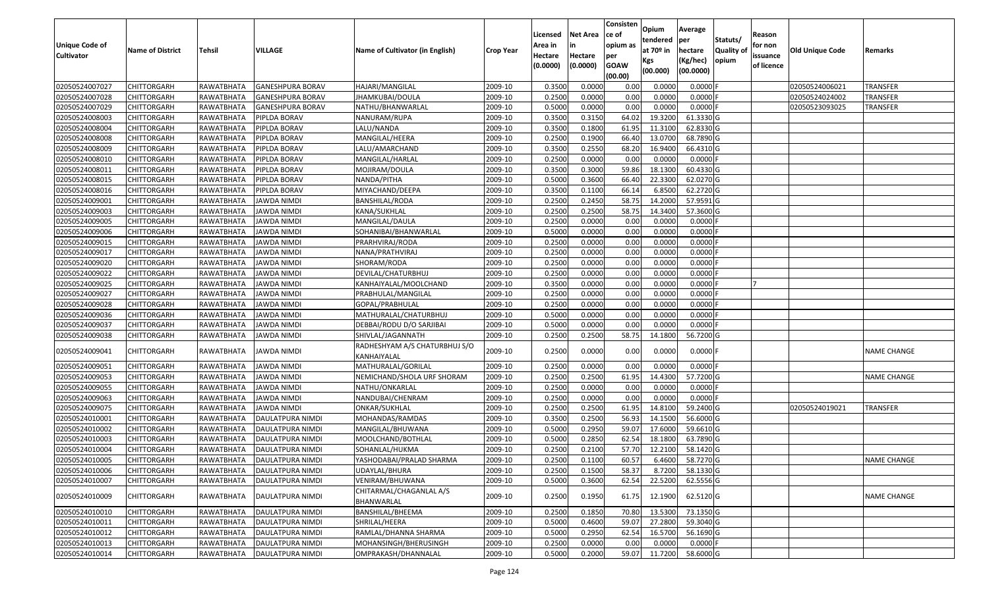| <b>Unique Code of</b><br><b>Cultivator</b> | <b>Name of District</b> | <b>Tehsil</b>     | VILLAGE                 | Name of Cultivator (in English)              | <b>Crop Year</b> | Licensed<br>Area in<br>Hectare<br>(0.0000) | <b>Net Area</b><br>in<br>Hectare<br>(0.0000) | Consisten<br>ce of<br>opium as<br>per<br><b>GOAW</b><br>(00.00) | Opium<br>tendered<br>at $70°$ in<br>Kgs<br>(00.000) | Average<br>per<br>hectare<br>(Kg/hec)<br>(00.0000) | Statuts/<br>Quality of<br>opium | Reason<br>for non<br>issuance<br>of licence | <b>Old Unique Code</b> | Remarks            |
|--------------------------------------------|-------------------------|-------------------|-------------------------|----------------------------------------------|------------------|--------------------------------------------|----------------------------------------------|-----------------------------------------------------------------|-----------------------------------------------------|----------------------------------------------------|---------------------------------|---------------------------------------------|------------------------|--------------------|
| 02050524007027                             | <b>CHITTORGARH</b>      | RAWATBHATA        | <b>GANESHPURA BORAV</b> | HAJARI/MANGILAL                              | 2009-10          | 0.3500                                     | 0.0000                                       | 0.00                                                            | 0.0000                                              | 0.0000                                             |                                 |                                             | 02050524006021         | <b>TRANSFER</b>    |
| 02050524007028                             | CHITTORGARH             | RAWATBHATA        | <b>GANESHPURA BORAV</b> | JHAMKUBAI/DOULA                              | 2009-10          | 0.2500                                     | 0.0000                                       | 0.00                                                            | 0.0000                                              | 0.0000F                                            |                                 |                                             | 02050524024002         | <b>TRANSFER</b>    |
| 02050524007029                             | CHITTORGARH             | RAWATBHATA        | <b>GANESHPURA BORAV</b> | NATHU/BHANWARLAL                             | 2009-10          | 0.5000                                     | 0.0000                                       | 0.00                                                            | 0.0000                                              | 0.0000                                             |                                 |                                             | 02050523093025         | TRANSFER           |
| 02050524008003                             | <b>CHITTORGARH</b>      | RAWATBHATA        | PIPLDA BORAV            | NANURAM/RUPA                                 | 2009-10          | 0.3500                                     | 0.3150                                       | 64.02                                                           | 19.3200                                             | 61.3330 G                                          |                                 |                                             |                        |                    |
| 02050524008004                             | <b>CHITTORGARH</b>      | RAWATBHATA        | PIPLDA BORAV            | LALU/NANDA                                   | 2009-10          | 0.3500                                     | 0.1800                                       | 61.95                                                           | 11.3100                                             | 62.8330 G                                          |                                 |                                             |                        |                    |
| 02050524008008                             | CHITTORGARH             | RAWATBHATA        | PIPLDA BORAV            | MANGILAL/HEERA                               | 2009-10          | 0.2500                                     | 0.1900                                       | 66.40                                                           | 13.0700                                             | 68.7890 G                                          |                                 |                                             |                        |                    |
| 02050524008009                             | <b>CHITTORGARH</b>      | RAWATBHATA        | PIPLDA BORAV            | LALU/AMARCHAND                               | 2009-10          | 0.3500                                     | 0.2550                                       | 68.20                                                           | 16.9400                                             | 66.4310 G                                          |                                 |                                             |                        |                    |
| 02050524008010                             | <b>CHITTORGARH</b>      | RAWATBHATA        | PIPLDA BORAV            | MANGILAL/HARLAL                              | 2009-10          | 0.2500                                     | 0.0000                                       | 0.00                                                            | 0.0000                                              | $0.0000$ F                                         |                                 |                                             |                        |                    |
| 02050524008011                             | <b>CHITTORGARH</b>      | RAWATBHATA        | PIPLDA BORAV            | MOJIRAM/DOULA                                | 2009-10          | 0.3500                                     | 0.3000                                       | 59.86                                                           | 18.1300                                             | 60.4330 G                                          |                                 |                                             |                        |                    |
| 02050524008015                             | CHITTORGARH             | RAWATBHATA        | PIPLDA BORAV            | NANDA/PITHA                                  | 2009-10          | 0.5000                                     | 0.3600                                       | 66.40                                                           | 22.3300                                             | 62.0270 G                                          |                                 |                                             |                        |                    |
| 02050524008016                             | <b>CHITTORGARH</b>      | RAWATBHATA        | PIPLDA BORAV            | MIYACHAND/DEEPA                              | 2009-10          | 0.3500                                     | 0.1100                                       | 66.1                                                            | 6.8500                                              | 62.2720 G                                          |                                 |                                             |                        |                    |
| 02050524009001                             | CHITTORGARH             | RAWATBHATA        | <b>JAWDA NIMDI</b>      | BANSHILAL/RODA                               | 2009-10          | 0.2500                                     | 0.2450                                       | 58.75                                                           | 14.2000                                             | 57.9591 G                                          |                                 |                                             |                        |                    |
| 02050524009003                             | CHITTORGARH             | RAWATBHATA        | <b>JAWDA NIMDI</b>      | KANA/SUKHLAL                                 | 2009-10          | 0.2500                                     | 0.2500                                       | 58.75                                                           | 14.3400                                             | 57.3600 G                                          |                                 |                                             |                        |                    |
| 02050524009005                             | CHITTORGARH             | RAWATBHATA        | JAWDA NIMDI             | MANGILAL/DAULA                               | 2009-10          | 0.2500                                     | 0.0000                                       | 0.00                                                            | 0.0000                                              | 0.0000                                             |                                 |                                             |                        |                    |
| 02050524009006                             | CHITTORGARH             | <b>RAWATBHATA</b> | <b>JAWDA NIMDI</b>      | SOHANIBAI/BHANWARLAL                         | 2009-10          | 0.5000                                     | 0.0000                                       | 0.00                                                            | 0.0000                                              | 0.0000                                             |                                 |                                             |                        |                    |
| 02050524009015                             | CHITTORGARH             | RAWATBHATA        | JAWDA NIMDI             | PRARHVIRAJ/RODA                              | 2009-10          | 0.250                                      | 0.0000                                       | 0.00                                                            | 0.0000                                              | 0.0000                                             |                                 |                                             |                        |                    |
| 02050524009017                             | CHITTORGARH             | RAWATBHATA        | <b>JAWDA NIMDI</b>      | NANA/PRATHVIRAJ                              | 2009-10          | 0.2500                                     | 0.0000                                       | 0.00                                                            | 0.0000                                              | 0.0000                                             |                                 |                                             |                        |                    |
| 02050524009020                             | <b>CHITTORGARH</b>      | RAWATBHATA        | <b>JAWDA NIMDI</b>      | SHORAM/RODA                                  | 2009-10          | 0.2500                                     | 0.0000                                       | 0.00                                                            | 0.0000                                              | 0.0000                                             |                                 |                                             |                        |                    |
| 02050524009022                             | <b>CHITTORGARH</b>      | <b>RAWATBHATA</b> | <b>JAWDA NIMDI</b>      | DEVILAL/CHATURBHUJ                           | 2009-10          | 0.2500                                     | 0.0000                                       | 0.00                                                            | 0.0000                                              | $0.0000$ F                                         |                                 |                                             |                        |                    |
| 02050524009025                             | CHITTORGARH             | RAWATBHATA        | JAWDA NIMDI             | KANHAIYALAL/MOOLCHAND                        | 2009-10          | 0.3500                                     | 0.0000                                       | 0.00                                                            | 0.0000                                              | 0.0000                                             |                                 |                                             |                        |                    |
| 02050524009027                             | <b>CHITTORGARH</b>      | RAWATBHATA        | <b>JAWDA NIMDI</b>      | PRABHULAL/MANGILAL                           | 2009-10          | 0.2500                                     | 0.0000                                       | 0.00                                                            | 0.0000                                              | 0.0000                                             |                                 |                                             |                        |                    |
| 02050524009028                             | CHITTORGARH             | RAWATBHATA        | JAWDA NIMDI             | GOPAL/PRABHULAL                              | 2009-10          | 0.2500                                     | 0.0000                                       | 0.00                                                            | 0.0000                                              | 0.0000                                             |                                 |                                             |                        |                    |
| 02050524009036                             | CHITTORGARH             | RAWATBHATA        | JAWDA NIMDI             | MATHURALAL/CHATURBHUJ                        | 2009-10          | 0.5000                                     | 0.0000                                       | 0.00                                                            | 0.0000                                              | $0.0000$ F                                         |                                 |                                             |                        |                    |
| 02050524009037                             | CHITTORGARH             | RAWATBHATA        | JAWDA NIMDI             | DEBBAI/RODU D/O SARJIBAI                     | 2009-10          | 0.5000                                     | 0.0000                                       | 0.00                                                            | 0.0000                                              | 0.0000                                             |                                 |                                             |                        |                    |
| 02050524009038                             | CHITTORGARH             | RAWATBHATA        | JAWDA NIMDI             | SHIVLAL/JAGANNATH                            | 2009-10          | 0.2500                                     | 0.2500                                       | 58.75                                                           | 14.1800                                             | 56.7200 G                                          |                                 |                                             |                        |                    |
| 02050524009041                             | CHITTORGARH             | RAWATBHATA        | JAWDA NIMDI             | RADHESHYAM A/S CHATURBHUJ S/O<br>KANHAIYALAL | 2009-10          | 0.2500                                     | 0.0000                                       | 0.00                                                            | 0.0000                                              | $0.0000$ F                                         |                                 |                                             |                        | <b>NAME CHANGE</b> |
| 02050524009051                             | <b>CHITTORGARH</b>      | RAWATBHATA        | <b>JAWDA NIMDI</b>      | MATHURALAL/GORILAL                           | 2009-10          | 0.2500                                     | 0.0000                                       | 0.00                                                            | 0.0000                                              | $0.0000$ F                                         |                                 |                                             |                        |                    |
| 02050524009053                             | <b>CHITTORGARH</b>      | RAWATBHATA        | <b>JAWDA NIMDI</b>      | NEMICHAND/SHOLA URF SHORAM                   | 2009-10          | 0.2500                                     | 0.2500                                       | 61.95                                                           | 14.4300                                             | 57.7200 G                                          |                                 |                                             |                        | <b>NAME CHANGE</b> |
| 02050524009055                             | <b>CHITTORGARH</b>      | RAWATBHATA        | <b>JAWDA NIMDI</b>      | NATHU/ONKARLAL                               | 2009-10          | 0.2500                                     | 0.0000                                       | 0.00                                                            | 0.0000                                              | 0.0000F                                            |                                 |                                             |                        |                    |
| 02050524009063                             | CHITTORGARH             | RAWATBHATA        | <b>JAWDA NIMDI</b>      | NANDUBAI/CHENRAM                             | 2009-10          | 0.2500                                     | 0.0000                                       | 0.00                                                            | 0.0000                                              | 0.0000                                             |                                 |                                             |                        |                    |
| 02050524009075                             | <b>CHITTORGARH</b>      | RAWATBHATA        | JAWDA NIMDI             | ONKAR/SUKHLAL                                | 2009-10          | 0.2500                                     | 0.2500                                       | 61.95                                                           | 14.8100                                             | 59.2400 G                                          |                                 |                                             | 02050524019021         | <b>TRANSFER</b>    |
| 02050524010001                             | CHITTORGARH             | RAWATBHATA        | DAULATPURA NIMDI        | MOHANDAS/RAMDAS                              | 2009-10          | 0.3500                                     | 0.2500                                       | 56.93                                                           | 14.1500                                             | 56.6000G                                           |                                 |                                             |                        |                    |
| 02050524010002                             | CHITTORGARH             | RAWATBHATA        | DAULATPURA NIMDI        | MANGILAL/BHUWANA                             | 2009-10          | 0.5000                                     | 0.2950                                       | 59.07                                                           | 17.6000                                             | 59.6610 G                                          |                                 |                                             |                        |                    |
| 02050524010003                             | CHITTORGARH             | RAWATBHATA        | DAULATPURA NIMDI        | MOOLCHAND/BOTHLAL                            | 2009-10          | 0.500                                      | 0.2850                                       | 62.54                                                           | 18.1800                                             | 63.7890 G                                          |                                 |                                             |                        |                    |
| 02050524010004                             | CHITTORGARH             | RAWATBHATA        | DAULATPURA NIMDI        | SOHANLAL/HUKMA                               | 2009-10          | 0.2500                                     | 0.2100                                       | 57.70                                                           | 12.2100                                             | 58.1420 G                                          |                                 |                                             |                        |                    |
| 02050524010005                             | <b>CHITTORGARH</b>      | RAWATBHATA        | DAULATPURA NIMDI        | YASHODABAI/PRALAD SHARMA                     | 2009-10          | 0.2500                                     | 0.1100                                       | 60.57                                                           | 6.4600                                              | 58.7270 G                                          |                                 |                                             |                        | <b>NAME CHANGE</b> |
| 02050524010006                             | <b>CHITTORGARH</b>      | RAWATBHATA        | DAULATPURA NIMDI        | UDAYLAL/BHURA                                | 2009-10          | 0.2500                                     | 0.1500                                       | 58.37                                                           | 8.7200                                              | 58.1330 G                                          |                                 |                                             |                        |                    |
| 02050524010007                             | <b>CHITTORGARH</b>      | RAWATBHATA        | DAULATPURA NIMDI        | VENIRAM/BHUWANA                              | 2009-10          | 0.5000                                     | 0.3600                                       | 62.54                                                           | 22.5200                                             | 62.5556 G                                          |                                 |                                             |                        |                    |
| 02050524010009                             | CHITTORGARH             | RAWATBHATA        | DAULATPURA NIMDI        | CHITARMAL/CHAGANLAL A/S<br>BHANWARLAL        | 2009-10          | 0.2500                                     | 0.1950                                       | 61.75                                                           | 12.1900                                             | 62.5120 G                                          |                                 |                                             |                        | <b>NAME CHANGE</b> |
| 02050524010010                             | <b>CHITTORGARH</b>      | RAWATBHATA        | DAULATPURA NIMDI        | BANSHILAL/BHEEMA                             | 2009-10          | 0.2500                                     | 0.1850                                       | 70.80                                                           | 13.5300                                             | 73.1350 G                                          |                                 |                                             |                        |                    |
| 02050524010011                             | <b>CHITTORGARH</b>      | RAWATBHATA        | DAULATPURA NIMDI        | SHRILAL/HEERA                                | 2009-10          | 0.5000                                     | 0.4600                                       | 59.07                                                           | 27.2800                                             | 59.3040 G                                          |                                 |                                             |                        |                    |
| 02050524010012                             | <b>CHITTORGARH</b>      | RAWATBHATA        | DAULATPURA NIMDI        | RAMLAL/DHANNA SHARMA                         | 2009-10          | 0.5000                                     | 0.2950                                       | 62.54                                                           | 16.5700                                             | 56.1690 G                                          |                                 |                                             |                        |                    |
| 02050524010013                             | CHITTORGARH             | RAWATBHATA        | DAULATPURA NIMDI        | MOHANSINGH/BHERUSINGH                        | 2009-10          | 0.2500                                     | 0.0000                                       | 0.00                                                            | 0.0000                                              | $0.0000$ F                                         |                                 |                                             |                        |                    |
| 02050524010014                             | <b>CHITTORGARH</b>      | RAWATBHATA        | <b>DAULATPURA NIMDI</b> | OMPRAKASH/DHANNALAL                          | 2009-10          | 0.5000                                     | 0.2000                                       | 59.07                                                           | 11.7200                                             | 58.6000 G                                          |                                 |                                             |                        |                    |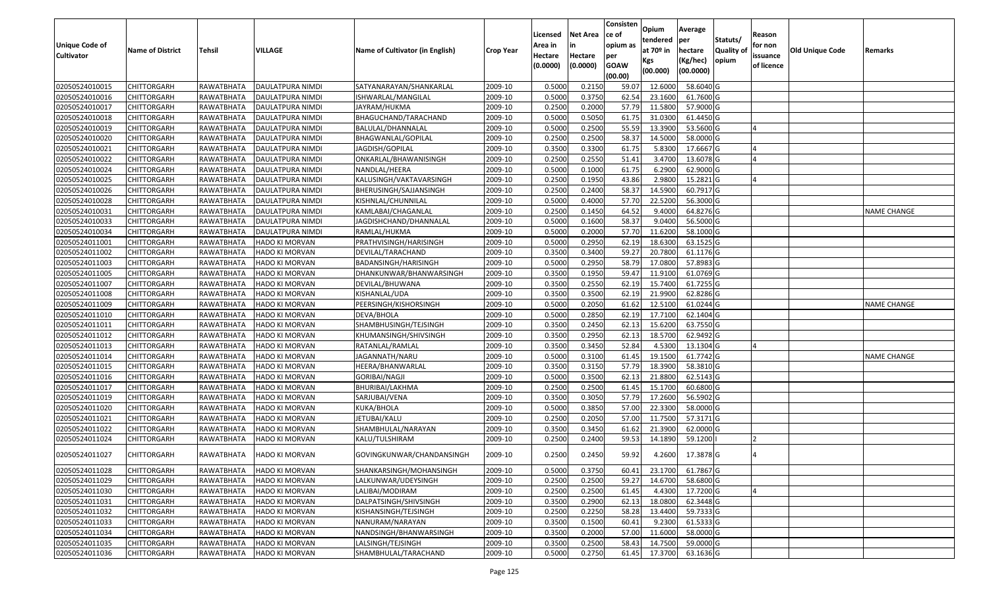| <b>Unique Code of</b><br><b>Cultivator</b> | <b>Name of District</b> | <b>Tehsil</b>     | VILLAGE                 | Name of Cultivator (in English) | <b>Crop Year</b> | Licensed<br>Area in<br>Hectare<br>(0.0000) | <b>Net Area</b><br>in<br>Hectare<br>(0.0000) | Consisten<br>ce of<br>opium as<br>per<br><b>GOAW</b><br>(00.00) | Opium<br>tendered<br>at $70°$ in<br>Kgs<br>(00.000) | Average<br>per<br>hectare<br>(Kg/hec)<br>(00.0000) | Statuts/<br>Quality of<br>opium | Reason<br>for non<br>issuance<br>of licence | <b>Old Unique Code</b> | Remarks            |
|--------------------------------------------|-------------------------|-------------------|-------------------------|---------------------------------|------------------|--------------------------------------------|----------------------------------------------|-----------------------------------------------------------------|-----------------------------------------------------|----------------------------------------------------|---------------------------------|---------------------------------------------|------------------------|--------------------|
| 02050524010015                             | <b>CHITTORGARH</b>      | RAWATBHATA        | <b>DAULATPURA NIMDI</b> | SATYANARAYAN/SHANKARLAL         | 2009-10          | 0.5000                                     | 0.2150                                       | 59.07                                                           | 12.6000                                             | 58.6040 G                                          |                                 |                                             |                        |                    |
| 02050524010016                             | CHITTORGARH             | RAWATBHATA        | DAULATPURA NIMDI        | ISHWARLAL/MANGILAL              | 2009-10          | 0.5000                                     | 0.3750                                       | 62.54                                                           | 23.1600                                             | 61.7600 G                                          |                                 |                                             |                        |                    |
| 02050524010017                             | CHITTORGARH             | RAWATBHATA        | DAULATPURA NIMDI        | JAYRAM/HUKMA                    | 2009-10          | 0.2500                                     | 0.2000                                       | 57.79                                                           | 11.5800                                             | 57.9000 G                                          |                                 |                                             |                        |                    |
| 02050524010018                             | <b>CHITTORGARH</b>      | RAWATBHATA        | <b>DAULATPURA NIMDI</b> | BHAGUCHAND/TARACHAND            | 2009-10          | 0.5000                                     | 0.5050                                       | 61.75                                                           | 31.0300                                             | 61.4450 G                                          |                                 |                                             |                        |                    |
| 02050524010019                             | <b>CHITTORGARH</b>      | RAWATBHATA        | DAULATPURA NIMDI        | BALULAL/DHANNALAL               | 2009-10          | 0.5000                                     | 0.2500                                       | 55.59                                                           | 13.3900                                             | 53.5600 G                                          |                                 |                                             |                        |                    |
| 02050524010020                             | CHITTORGARH             | RAWATBHATA        | DAULATPURA NIMDI        | BHAGWANLAL/GOPILAL              | 2009-10          | 0.250                                      | 0.2500                                       | 58.37                                                           | 14.5000                                             | 58.0000 G                                          |                                 |                                             |                        |                    |
| 02050524010021                             | CHITTORGARH             | RAWATBHATA        | DAULATPURA NIMDI        | JAGDISH/GOPILAL                 | 2009-10          | 0.3500                                     | 0.3300                                       | 61.75                                                           | 5.8300                                              | 17.6667 G                                          |                                 |                                             |                        |                    |
| 02050524010022                             | CHITTORGARH             | RAWATBHATA        | DAULATPURA NIMDI        | ONKARLAL/BHAWANISINGH           | 2009-10          | 0.2500                                     | 0.2550                                       | 51.41                                                           | 3.4700                                              | 13.6078 G                                          |                                 |                                             |                        |                    |
| 02050524010024                             | CHITTORGARH             | RAWATBHATA        | DAULATPURA NIMDI        | NANDLAL/HEERA                   | 2009-10          | 0.5000                                     | 0.1000                                       | 61.75                                                           | 6.2900                                              | 62.9000 G                                          |                                 |                                             |                        |                    |
| 02050524010025                             | CHITTORGARH             | RAWATBHATA        | DAULATPURA NIMDI        | KALUSINGH/VAKTAVARSINGH         | 2009-10          | 0.250                                      | 0.1950                                       | 43.86                                                           | 2.9800                                              | 15.2821 G                                          |                                 |                                             |                        |                    |
| 02050524010026                             | CHITTORGARH             | RAWATBHATA        | DAULATPURA NIMDI        | BHERUSINGH/SAJJANSINGH          | 2009-10          | 0.2500                                     | 0.2400                                       | 58.37                                                           | 14.5900                                             | 60.7917 G                                          |                                 |                                             |                        |                    |
| 02050524010028                             | CHITTORGARH             | RAWATBHATA        | DAULATPURA NIMDI        | KISHNLAL/CHUNNILAL              | 2009-10          | 0.5000                                     | 0.4000                                       | 57.70                                                           | 22.5200                                             | 56.3000G                                           |                                 |                                             |                        |                    |
| 02050524010031                             | CHITTORGARH             | RAWATBHATA        | DAULATPURA NIMDI        | KAMLABAI/CHAGANLAL              | 2009-10          | 0.2500                                     | 0.1450                                       | 64.52                                                           | 9.4000                                              | 64.8276 G                                          |                                 |                                             |                        | <b>NAME CHANGE</b> |
| 02050524010033                             | CHITTORGARH             | RAWATBHATA        | DAULATPURA NIMDI        | JAGDISHCHAND/DHANNALAL          | 2009-10          | 0.500                                      | 0.1600                                       | 58.37                                                           | 9.0400                                              | 56.5000G                                           |                                 |                                             |                        |                    |
| 02050524010034                             | CHITTORGARH             | RAWATBHATA        | DAULATPURA NIMDI        | RAMLAL/HUKMA                    | 2009-10          | 0.500                                      | 0.2000                                       | 57.70                                                           | 11.6200                                             | 58.1000G                                           |                                 |                                             |                        |                    |
| 02050524011001                             | CHITTORGARH             | RAWATBHATA        | HADO KI MORVAN          | PRATHVISINGH/HARISINGH          | 2009-10          | 0.5000                                     | 0.2950                                       | 62.19                                                           | 18.6300                                             | 63.1525 G                                          |                                 |                                             |                        |                    |
| 02050524011002                             | CHITTORGARH             | RAWATBHATA        | <b>HADO KI MORVAN</b>   | DEVILAL/TARACHAND               | 2009-10          | 0.3500                                     | 0.3400                                       | 59.27                                                           | 20.7800                                             | 61.1176 G                                          |                                 |                                             |                        |                    |
| 02050524011003                             | <b>CHITTORGARH</b>      | RAWATBHATA        | <b>HADO KI MORVAN</b>   | BADANSINGH/HARISINGH            | 2009-10          | 0.500                                      | 0.2950                                       | 58.79                                                           | 17.0800                                             | 57.8983 G                                          |                                 |                                             |                        |                    |
| 02050524011005                             | CHITTORGARH             | RAWATBHATA        | <b>HADO KI MORVAN</b>   | DHANKUNWAR/BHANWARSINGH         | 2009-10          | 0.3500                                     | 0.1950                                       | 59.47                                                           | 11.9100                                             | 61.0769 G                                          |                                 |                                             |                        |                    |
| 02050524011007                             | CHITTORGARH             | RAWATBHATA        | HADO KI MORVAN          | DEVILAL/BHUWANA                 | 2009-10          | 0.3500                                     | 0.2550                                       | 62.19                                                           | 15.7400                                             | 61.7255 G                                          |                                 |                                             |                        |                    |
| 02050524011008                             | <b>CHITTORGARH</b>      | RAWATBHATA        | <b>HADO KI MORVAN</b>   | KISHANLAL/UDA                   | 2009-10          | 0.3500                                     | 0.3500                                       | 62.19                                                           | 21.9900                                             | 62.8286 G                                          |                                 |                                             |                        |                    |
| 02050524011009                             | CHITTORGARH             | RAWATBHATA        | HADO KI MORVAN          | PEERSINGH/KISHORSINGH           | 2009-10          | 0.5000                                     | 0.2050                                       | 61.62                                                           | 12.5100                                             | 61.0244 G                                          |                                 |                                             |                        | <b>NAME CHANGE</b> |
| 02050524011010                             | CHITTORGARH             | RAWATBHATA        | HADO KI MORVAN          | DEVA/BHOLA                      | 2009-10          | 0.5000                                     | 0.2850                                       | 62.19                                                           | 17.7100                                             | 62.1404 G                                          |                                 |                                             |                        |                    |
| 02050524011011                             | CHITTORGARH             | RAWATBHATA        | HADO KI MORVAN          | SHAMBHUSINGH/TEJSINGH           | 2009-10          | 0.3500                                     | 0.2450                                       | 62.13                                                           | 15.6200                                             | 63.7550 G                                          |                                 |                                             |                        |                    |
| 02050524011012                             | CHITTORGARH             | RAWATBHATA        | <b>HADO KI MORVAN</b>   | KHUMANSINGH/SHIVSINGH           | 2009-10          | 0.3500                                     | 0.2950                                       | 62.13                                                           | 18.5700                                             | 62.9492 G                                          |                                 |                                             |                        |                    |
| 02050524011013                             | CHITTORGARH             | RAWATBHATA        | <b>HADO KI MORVAN</b>   | RATANLAL/RAMLAL                 | 2009-10          | 0.3500                                     | 0.3450                                       | 52.84                                                           | 4.5300                                              | 13.1304 G                                          |                                 |                                             |                        |                    |
| 02050524011014                             | CHITTORGARH             | RAWATBHATA        | <b>HADO KI MORVAN</b>   | JAGANNATH/NARU                  | 2009-10          | 0.5000                                     | 0.3100                                       | 61.45                                                           | 19.1500                                             | 61.7742 G                                          |                                 |                                             |                        | <b>NAME CHANGE</b> |
| 02050524011015                             | CHITTORGARH             | RAWATBHATA        | HADO KI MORVAN          | HEERA/BHANWARLAL                | 2009-10          | 0.3500                                     | 0.3150                                       | 57.79                                                           | 18.3900                                             | 58.3810 G                                          |                                 |                                             |                        |                    |
| 02050524011016                             | <b>CHITTORGARH</b>      | RAWATBHATA        | <b>HADO KI MORVAN</b>   | GORIBAI/NAGJI                   | 2009-10          | 0.5000                                     | 0.3500                                       | 62.13                                                           | 21.8800                                             | 62.5143 G                                          |                                 |                                             |                        |                    |
| 02050524011017                             | <b>CHITTORGARH</b>      | RAWATBHATA        | HADO KI MORVAN          | BHURIBAI/LAKHMA                 | 2009-10          | 0.2500                                     | 0.2500                                       | 61.45                                                           | 15.1700                                             | 60.6800 G                                          |                                 |                                             |                        |                    |
| 02050524011019                             | <b>CHITTORGARH</b>      | RAWATBHATA        | <b>HADO KI MORVAN</b>   | SARJUBAI/VENA                   | 2009-10          | 0.3500                                     | 0.3050                                       | 57.79                                                           | 17.2600                                             | 56.5902 G                                          |                                 |                                             |                        |                    |
| 02050524011020                             | CHITTORGARH             | RAWATBHATA        | HADO KI MORVAN          | KUKA/BHOLA                      | 2009-10          | 0.5000                                     | 0.3850                                       | 57.00                                                           | 22.3300                                             | 58.0000 G                                          |                                 |                                             |                        |                    |
| 02050524011021                             | <b>CHITTORGARH</b>      | RAWATBHATA        | HADO KI MORVAN          | JETUBAI/KALU                    | 2009-10          | 0.250                                      | 0.2050                                       | 57.00                                                           | 11.7500                                             | 57.3171 G                                          |                                 |                                             |                        |                    |
| 02050524011022                             | CHITTORGARH             | RAWATBHATA        | <b>HADO KI MORVAN</b>   | SHAMBHULAL/NARAYAN              | 2009-10          | 0.3500                                     | 0.3450                                       | 61.62                                                           | 21.3900                                             | 62.0000G                                           |                                 |                                             |                        |                    |
| 02050524011024                             | CHITTORGARH             | RAWATBHATA        | HADO KI MORVAN          | KALU/TULSHIRAM                  | 2009-10          | 0.250                                      | 0.2400                                       | 59.53                                                           | 14.1890                                             | 59.1200                                            |                                 |                                             |                        |                    |
| 02050524011027                             | <b>CHITTORGARH</b>      | RAWATBHATA        | <b>HADO KI MORVAN</b>   | GOVINGKUNWAR/CHANDANSINGH       | 2009-10          | 0.2500                                     | 0.2450                                       | 59.92                                                           | 4.2600                                              | 17.3878 G                                          |                                 |                                             |                        |                    |
| 02050524011028                             | <b>CHITTORGARH</b>      | RAWATBHATA        | <b>HADO KI MORVAN</b>   | SHANKARSINGH/MOHANSINGH         | 2009-10          | 0.5000                                     | 0.3750                                       | 60.41                                                           | 23.1700                                             | 61.7867 G                                          |                                 |                                             |                        |                    |
| 02050524011029                             | <b>CHITTORGARH</b>      | RAWATBHATA        | <b>HADO KI MORVAN</b>   | LALKUNWAR/UDEYSINGH             | 2009-10          | 0.2500                                     | 0.2500                                       | 59.27                                                           | 14.6700                                             | 58.6800 G                                          |                                 |                                             |                        |                    |
| 02050524011030                             | <b>CHITTORGARH</b>      | RAWATBHATA        | HADO KI MORVAN          | LALIBAI/MODIRAM                 | 2009-10          | 0.2500                                     | 0.2500                                       | 61.45                                                           | 4.4300                                              | 17.7200 G                                          |                                 |                                             |                        |                    |
| 02050524011031                             | CHITTORGARH             | RAWATBHATA        | HADO KI MORVAN          | DALPATSINGH/SHIVSINGH           | 2009-10          | 0.3500                                     | 0.2900                                       | 62.13                                                           | 18.0800                                             | 62.3448 G                                          |                                 |                                             |                        |                    |
| 02050524011032                             | <b>CHITTORGARH</b>      | <b>RAWATBHATA</b> | HADO KI MORVAN          | KISHANSINGH/TEJSINGH            | 2009-10          | 0.2500                                     | 0.2250                                       | 58.28                                                           | 13.4400                                             | 59.7333 G                                          |                                 |                                             |                        |                    |
| 02050524011033                             | <b>CHITTORGARH</b>      | RAWATBHATA        | HADO KI MORVAN          | NANURAM/NARAYAN                 | 2009-10          | 0.3500                                     | 0.1500                                       | 60.41                                                           | 9.2300                                              | 61.5333 G                                          |                                 |                                             |                        |                    |
| 02050524011034                             | CHITTORGARH             | RAWATBHATA        | HADO KI MORVAN          | NANDSINGH/BHANWARSINGH          | 2009-10          | 0.3500                                     | 0.2000                                       | 57.00                                                           | 11.6000                                             | 58.0000 G                                          |                                 |                                             |                        |                    |
| 02050524011035                             | CHITTORGARH             | RAWATBHATA        | HADO KI MORVAN          | LALSINGH/TEJSINGH               | 2009-10          | 0.3500                                     | 0.2500                                       | 58.43                                                           | 14.7500                                             | 59.0000 G                                          |                                 |                                             |                        |                    |
| 02050524011036                             | <b>CHITTORGARH</b>      | RAWATBHATA        | HADO KI MORVAN          | SHAMBHULAL/TARACHAND            | 2009-10          | 0.5000                                     | 0.2750                                       | 61.45                                                           | 17.3700                                             | 63.1636 G                                          |                                 |                                             |                        |                    |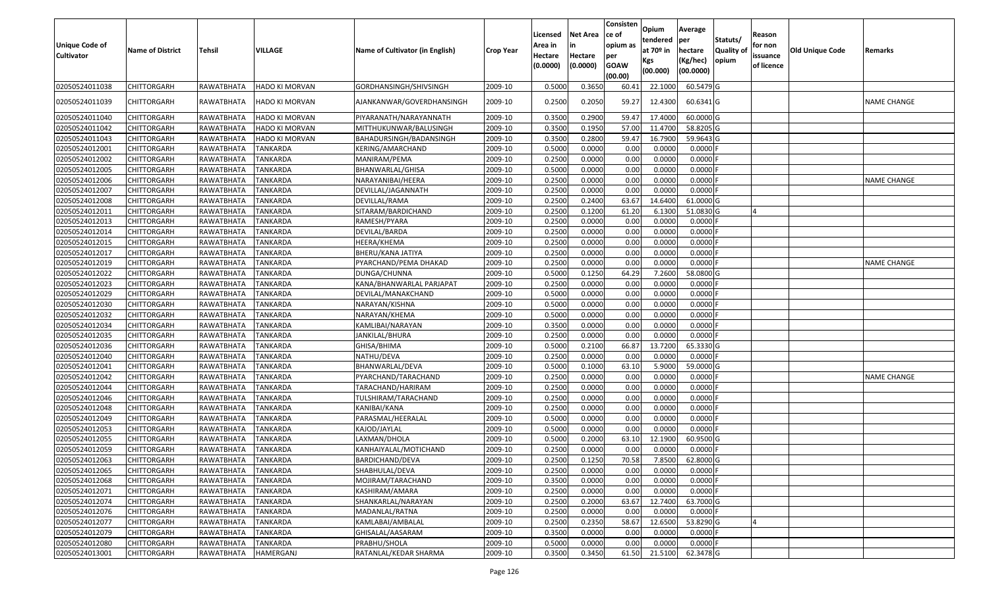| <b>Unique Code of</b><br><b>Cultivator</b> | <b>Name of District</b> | <b>Tehsil</b> | <b>VILLAGE</b>        | Name of Cultivator (in English) | <b>Crop Year</b> | Licensed<br>Area in<br>Hectare<br>(0.0000) | <b>Net Area</b><br>Hectare<br>(0.0000) | Consisten<br>ce of<br>opium as<br>per<br><b>GOAW</b><br>(00.00) | Opium<br>tendered<br>at $70°$ in<br>Kgs<br>(00.000) | Average<br>per<br>hectare<br>(Kg/hec)<br>(00.0000) | Statuts/<br>Quality of<br>opium | Reason<br>for non<br>issuance<br>of licence | <b>Old Unique Code</b> | Remarks            |
|--------------------------------------------|-------------------------|---------------|-----------------------|---------------------------------|------------------|--------------------------------------------|----------------------------------------|-----------------------------------------------------------------|-----------------------------------------------------|----------------------------------------------------|---------------------------------|---------------------------------------------|------------------------|--------------------|
| 02050524011038                             | <b>CHITTORGARH</b>      | RAWATBHATA    | <b>HADO KI MORVAN</b> | GORDHANSINGH/SHIVSINGH          | 2009-10          | 0.5000                                     | 0.3650                                 | 60.41                                                           | 22.1000                                             | 60.5479 G                                          |                                 |                                             |                        |                    |
| 02050524011039                             | CHITTORGARH             | RAWATBHATA    | HADO KI MORVAN        | AJANKANWAR/GOVERDHANSINGH       | 2009-10          | 0.2500                                     | 0.2050                                 | 59.27                                                           | 12.4300                                             | 60.6341 G                                          |                                 |                                             |                        | NAME CHANGE        |
| 02050524011040                             | <b>CHITTORGARH</b>      | RAWATBHATA    | <b>HADO KI MORVAN</b> | PIYARANATH/NARAYANNATH          | 2009-10          | 0.3500                                     | 0.2900                                 | 59.4                                                            | 17.4000                                             | 60.0000 G                                          |                                 |                                             |                        |                    |
| 02050524011042                             | <b>CHITTORGARH</b>      | RAWATBHATA    | <b>HADO KI MORVAN</b> | MITTHUKUNWAR/BALUSINGH          | 2009-10          | 0.3500                                     | 0.1950                                 | 57.00                                                           | 11.4700                                             | 58.8205 G                                          |                                 |                                             |                        |                    |
| 02050524011043                             | CHITTORGARH             | RAWATBHATA    | <b>HADO KI MORVAN</b> | BAHADURSINGH/BADANSINGH         | 2009-10          | 0.3500                                     | 0.2800                                 | 59.4                                                            | 16.7900                                             | 59.9643 G                                          |                                 |                                             |                        |                    |
| 02050524012001                             | CHITTORGARH             | RAWATBHATA    | TANKARDA              | KERING/AMARCHAND                | 2009-10          | 0.5000                                     | 0.0000                                 | 0.00                                                            | 0.0000                                              | 0.0000                                             |                                 |                                             |                        |                    |
| 02050524012002                             | <b>CHITTORGARH</b>      | RAWATBHATA    | <b>TANKARDA</b>       | MANIRAM/PEMA                    | 2009-10          | 0.2500                                     | 0.0000                                 | 0.00                                                            | 0.0000                                              | 0.0000                                             |                                 |                                             |                        |                    |
| 02050524012005                             | <b>CHITTORGARH</b>      | RAWATBHATA    | <b>TANKARDA</b>       | BHANWARLAL/GHISA                | 2009-10          | 0.5000                                     | 0.0000                                 | 0.00                                                            | 0.0000                                              | 0.0000F                                            |                                 |                                             |                        |                    |
| 02050524012006                             | <b>CHITTORGARH</b>      | RAWATBHATA    | <b>TANKARDA</b>       | NARAYANIBAI/HEERA               | 2009-10          | 0.2500                                     | 0.0000                                 | 0.00                                                            | 0.0000                                              | 0.0000F                                            |                                 |                                             |                        | NAME CHANGE        |
| 02050524012007                             | <b>CHITTORGARH</b>      | RAWATBHATA    | <b>TANKARDA</b>       | DEVILLAL/JAGANNATH              | 2009-10          | 0.2500                                     | 0.0000                                 | 0.00                                                            | 0.0000                                              | $0.0000$ F                                         |                                 |                                             |                        |                    |
| 02050524012008                             | <b>CHITTORGARH</b>      | RAWATBHATA    | <b>TANKARDA</b>       | DEVILLAL/RAMA                   | 2009-10          | 0.2500                                     | 0.2400                                 | 63.67                                                           | 14.6400                                             | 61.0000 G                                          |                                 |                                             |                        |                    |
| 02050524012011                             | CHITTORGARH             | RAWATBHATA    | <b>TANKARDA</b>       | SITARAM/BARDICHAND              | 2009-10          | 0.2500                                     | 0.1200                                 | 61.20                                                           | 6.1300                                              | 51.0830 G                                          |                                 |                                             |                        |                    |
| 02050524012013                             | <b>CHITTORGARH</b>      | RAWATBHATA    | TANKARDA              | RAMESH/PYARA                    | 2009-10          | 0.2500                                     | 0.0000                                 | 0.00                                                            | 0.0000                                              | 0.0000F                                            |                                 |                                             |                        |                    |
| 02050524012014                             | CHITTORGARH             | RAWATBHATA    | TANKARDA              | DEVILAL/BARDA                   | 2009-10          | 0.2500                                     | 0.0000                                 | 0.00                                                            | 0.0000                                              | 0.0000F                                            |                                 |                                             |                        |                    |
| 02050524012015                             | <b>CHITTORGARH</b>      | RAWATBHATA    | <b>TANKARDA</b>       | HEERA/KHEMA                     | 2009-10          | 0.2500                                     | 0.0000                                 | 0.00                                                            | 0.0000                                              | 0.0000                                             |                                 |                                             |                        |                    |
| 02050524012017                             | <b>CHITTORGARH</b>      | RAWATBHATA    | <b>TANKARDA</b>       | BHERU/KANA JATIYA               | 2009-10          | 0.2500                                     | 0.0000                                 | 0.00                                                            | 0.0000                                              | 0.0000                                             |                                 |                                             |                        |                    |
| 02050524012019                             | <b>CHITTORGARH</b>      | RAWATBHATA    | TANKARDA              | PYARCHAND/PEMA DHAKAD           | 2009-10          | 0.2500                                     | 0.0000                                 | 0.00                                                            | 0.0000                                              | 0.0000                                             |                                 |                                             |                        | NAME CHANGE        |
| 02050524012022                             | <b>CHITTORGARH</b>      | RAWATBHATA    | <b>TANKARDA</b>       | DUNGA/CHUNNA                    | 2009-10          | 0.5000                                     | 0.1250                                 | 64.29                                                           | 7.2600                                              | 58.0800 G                                          |                                 |                                             |                        |                    |
| 02050524012023                             | <b>CHITTORGARH</b>      | RAWATBHATA    | <b>TANKARDA</b>       | KANA/BHANWARLAL PARJAPAT        | 2009-10          | 0.2500                                     | 0.0000                                 | 0.00                                                            | 0.0000                                              | 0.0000                                             |                                 |                                             |                        |                    |
| 02050524012029                             | <b>CHITTORGARH</b>      | RAWATBHATA    | <b>TANKARDA</b>       | DEVILAL/MANAKCHAND              | 2009-10          | 0.5000                                     | 0.0000                                 | 0.00                                                            | 0.0000                                              | 0.0000F                                            |                                 |                                             |                        |                    |
| 02050524012030                             | <b>CHITTORGARH</b>      | RAWATBHATA    | TANKARDA              | NARAYAN/KISHNA                  | 2009-10          | 0.5000                                     | 0.0000                                 | 0.00                                                            | 0.0000                                              | 0.0000                                             |                                 |                                             |                        |                    |
| 02050524012032                             | <b>CHITTORGARH</b>      | RAWATBHATA    | <b>TANKARDA</b>       | NARAYAN/KHEMA                   | 2009-10          | 0.5000                                     | 0.0000                                 | 0.00                                                            | 0.0000                                              | $0.0000$ F                                         |                                 |                                             |                        |                    |
| 02050524012034                             | <b>CHITTORGARH</b>      | RAWATBHATA    | TANKARDA              | KAMLIBAI/NARAYAN                | 2009-10          | 0.3500                                     | 0.0000                                 | 0.00                                                            | 0.0000                                              | 0.0000F                                            |                                 |                                             |                        |                    |
| 02050524012035                             | <b>CHITTORGARH</b>      | RAWATBHATA    | <b>TANKARDA</b>       | JANKILAL/BHURA                  | 2009-10          | 0.2500                                     | 0.0000                                 | 0.00                                                            | 0.0000                                              | $0.0000$ F                                         |                                 |                                             |                        |                    |
| 02050524012036                             | <b>CHITTORGARH</b>      | RAWATBHATA    | TANKARDA              | GHISA/BHIMA                     | 2009-10          | 0.5000                                     | 0.2100                                 | 66.87                                                           | 13.7200                                             | 65.3330 G                                          |                                 |                                             |                        |                    |
| 02050524012040                             | CHITTORGARH             | RAWATBHATA    | TANKARDA              | NATHU/DEVA                      | 2009-10          | 0.2500                                     | 0.0000                                 | 0.00                                                            | 0.0000                                              | $0.0000$ F                                         |                                 |                                             |                        |                    |
| 02050524012041                             | <b>CHITTORGARH</b>      | RAWATBHATA    | TANKARDA              | BHANWARLAL/DEVA                 | 2009-10          | 0.5000                                     | 0.1000                                 | 63.10                                                           | 5.9000                                              | 59.0000 G                                          |                                 |                                             |                        |                    |
| 02050524012042                             | <b>CHITTORGARH</b>      | RAWATBHATA    | <b>TANKARDA</b>       | PYARCHAND/TARACHAND             | 2009-10          | 0.2500                                     | 0.0000                                 | 0.00                                                            | 0.0000                                              | 0.0000                                             |                                 |                                             |                        | <b>NAME CHANGE</b> |
| 02050524012044                             | CHITTORGARH             | RAWATBHATA    | <b>TANKARDA</b>       | TARACHAND/HARIRAM               | 2009-10          | 0.2500                                     | 0.0000                                 | 0.00                                                            | 0.0000                                              | 0.0000F                                            |                                 |                                             |                        |                    |
| 02050524012046                             | CHITTORGARH             | RAWATBHATA    | <b>TANKARDA</b>       | TULSHIRAM/TARACHAND             | 2009-10          | 0.2500                                     | 0.0000                                 | 0.00                                                            | 0.0000                                              | 0.0000                                             |                                 |                                             |                        |                    |
| 02050524012048                             | CHITTORGARH             | RAWATBHATA    | TANKARDA              | KANIBAI/KANA                    | 2009-10          | 0.2500                                     | 0.0000                                 | 0.00                                                            | 0.0000                                              | 0.0000                                             |                                 |                                             |                        |                    |
| 02050524012049                             | <b>CHITTORGARH</b>      | RAWATBHATA    | <b>TANKARDA</b>       | PARASMAL/HEERALAL               | 2009-10          | 0.5000                                     | 0.0000                                 | 0.00                                                            | 0.0000                                              | 0.0000F                                            |                                 |                                             |                        |                    |
| 02050524012053                             | <b>CHITTORGARH</b>      | RAWATBHATA    | <b>TANKARDA</b>       | KAJOD/JAYLAL                    | 2009-10          | 0.5000                                     | 0.0000                                 | 0.00                                                            | 0.0000                                              | 0.0000F                                            |                                 |                                             |                        |                    |
| 02050524012055                             | CHITTORGARH             | RAWATBHATA    | TANKARDA              | LAXMAN/DHOLA                    | 2009-10          | 0.500                                      | 0.2000                                 | 63.10                                                           | 12.1900                                             | 60.9500 G                                          |                                 |                                             |                        |                    |
| 02050524012059                             | <b>CHITTORGARH</b>      | RAWATBHATA    | <b>TANKARDA</b>       | KANHAIYALAL/MOTICHAND           | 2009-10          | 0.2500                                     | 0.0000                                 | 0.00                                                            | 0.0000                                              | $0.0000$ F                                         |                                 |                                             |                        |                    |
| 02050524012063                             | <b>CHITTORGARH</b>      | RAWATBHATA    | TANKARDA              | BARDICHAND/DEVA                 | 2009-10          | 0.2500                                     | 0.1250                                 | 70.58                                                           | 7.8500                                              | 62.8000 G                                          |                                 |                                             |                        |                    |
| 02050524012065                             | <b>CHITTORGARH</b>      | RAWATBHATA    | <b>TANKARDA</b>       | SHABHULAL/DEVA                  | 2009-10          | 0.2500                                     | 0.0000                                 | 0.00                                                            | 0.0000                                              | $0.0000$ F                                         |                                 |                                             |                        |                    |
| 02050524012068                             | <b>CHITTORGARH</b>      | RAWATBHATA    | <b>TANKARDA</b>       | MOJIRAM/TARACHAND               | 2009-10          | 0.3500                                     | 0.0000                                 | 0.00                                                            | 0.0000                                              | 0.0000F                                            |                                 |                                             |                        |                    |
| 02050524012071                             | CHITTORGARH             | RAWATBHATA    | TANKARDA              | KASHIRAM/AMARA                  | 2009-10          | 0.2500                                     | 0.0000                                 | 0.00                                                            | 0.0000                                              | $0.0000$ F                                         |                                 |                                             |                        |                    |
| 02050524012074                             | <b>CHITTORGARH</b>      | RAWATBHATA    | <b>TANKARDA</b>       | SHANKARLAL/NARAYAN              | 2009-10          | 0.2500                                     | 0.2000                                 | 63.67                                                           | 12.7400                                             | 63.7000 G                                          |                                 |                                             |                        |                    |
| 02050524012076                             | <b>CHITTORGARH</b>      | RAWATBHATA    | <b>TANKARDA</b>       | MADANLAL/RATNA                  | 2009-10          | 0.2500                                     | 0.0000                                 | 0.00                                                            | 0.0000                                              | $0.0000$ F                                         |                                 |                                             |                        |                    |
| 02050524012077                             | <b>CHITTORGARH</b>      | RAWATBHATA    | <b>TANKARDA</b>       | KAMLABAI/AMBALAL                | 2009-10          | 0.2500                                     | 0.2350                                 | 58.67                                                           | 12.6500                                             | 53.8290 G                                          |                                 | <b>4</b>                                    |                        |                    |
| 02050524012079                             | <b>CHITTORGARH</b>      | RAWATBHATA    | <b>TANKARDA</b>       | GHISALAL/AASARAM                | 2009-10          | 0.3500                                     | 0.0000                                 | 0.00                                                            | 0.0000                                              | $0.0000$ F                                         |                                 |                                             |                        |                    |
| 02050524012080                             | <b>CHITTORGARH</b>      | RAWATBHATA    | TANKARDA              | PRABHU/SHOLA                    | 2009-10          | 0.5000                                     | 0.0000                                 | 0.00                                                            | 0.0000                                              | $0.0000$ F                                         |                                 |                                             |                        |                    |
| 02050524013001                             | <b>CHITTORGARH</b>      | RAWATBHATA    | HAMERGANJ             | RATANLAL/KEDAR SHARMA           | 2009-10          | 0.3500                                     | 0.3450                                 | 61.50                                                           | 21.5100                                             | 62.3478 G                                          |                                 |                                             |                        |                    |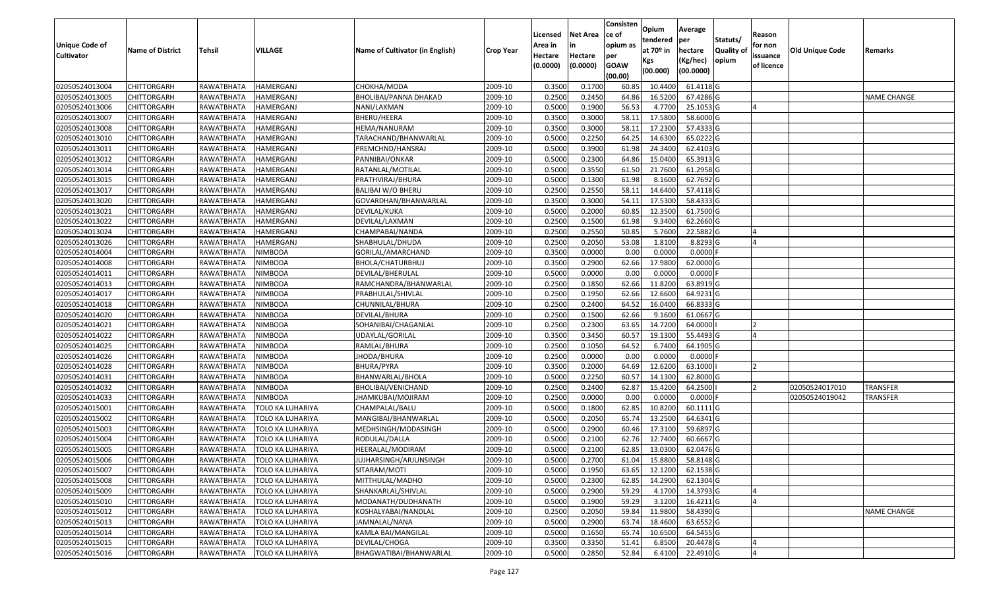| <b>Unique Code of</b> | <b>Name of District</b> | Tehsil     | VILLAGE                 | Name of Cultivator (in English) | <b>Crop Year</b> | Licensed<br>Area in | <b>Net Area</b><br>in | Consisten<br>lce of<br>opium as | Opium<br>tendered<br>at $70°$ in | Average<br>per<br>hectare | Statuts/<br><b>Quality o</b> | Reason<br>for non      | Old Unique Code | Remarks            |
|-----------------------|-------------------------|------------|-------------------------|---------------------------------|------------------|---------------------|-----------------------|---------------------------------|----------------------------------|---------------------------|------------------------------|------------------------|-----------------|--------------------|
| <b>Cultivator</b>     |                         |            |                         |                                 |                  | Hectare<br>(0.0000) | Hectare<br>(0.0000)   | per<br><b>GOAW</b><br>(00.00)   | Kgs<br>(00.000)                  | (Kg/hec)<br>(00.0000)     | opium                        | issuance<br>of licence |                 |                    |
| 02050524013004        | <b>CHITTORGARH</b>      | RAWATBHATA | <b>HAMERGANJ</b>        | CHOKHA/MODA                     | 2009-10          | 0.3500              | 0.1700                | 60.85                           | 10.4400                          | 61.4118 G                 |                              |                        |                 |                    |
| 02050524013005        | <b>CHITTORGARH</b>      | RAWATBHATA | HAMERGANJ               | BHOLIBAI/PANNA DHAKAD           | 2009-10          | 0.2500              | 0.2450                | 64.86                           | 16.5200                          | 67.4286 G                 |                              |                        |                 | <b>NAME CHANGE</b> |
| 02050524013006        | <b>CHITTORGARH</b>      | RAWATBHATA | HAMERGANJ               | NANI/LAXMAN                     | 2009-10          | 0.5000              | 0.1900                | 56.53                           | 4.7700                           | 25.1053 G                 |                              |                        |                 |                    |
| 02050524013007        | <b>CHITTORGARH</b>      | RAWATBHATA | <b>HAMERGANJ</b>        | BHERU/HEERA                     | 2009-10          | 0.3500              | 0.3000                | 58.11                           | 17.5800                          | 58.6000 G                 |                              |                        |                 |                    |
| 02050524013008        | <b>CHITTORGARH</b>      | RAWATBHATA | HAMERGANJ               | HEMA/NANURAM                    | 2009-10          | 0.3500              | 0.3000                | 58.1                            | 17.2300                          | 57.4333 G                 |                              |                        |                 |                    |
| 02050524013010        | <b>CHITTORGARH</b>      | RAWATBHATA | HAMERGANJ               | TARACHAND/BHANWARLAL            | 2009-10          | 0.5000              | 0.2250                | 64.25                           | 14.6300                          | 65.0222G                  |                              |                        |                 |                    |
| 02050524013011        | CHITTORGARH             | RAWATBHATA | HAMERGANJ               | PREMCHND/HANSRAJ                | 2009-10          | 0.5000              | 0.3900                | 61.98                           | 24.3400                          | 62.4103 G                 |                              |                        |                 |                    |
| 02050524013012        | <b>CHITTORGARH</b>      | RAWATBHATA | HAMERGANJ               | PANNIBAI/ONKAR                  | 2009-10          | 0.5000              | 0.2300                | 64.86                           | 15.0400                          | 65.3913 G                 |                              |                        |                 |                    |
| 02050524013014        | <b>CHITTORGARH</b>      | RAWATBHATA | HAMERGANJ               | RATANLAL/MOTILAL                | 2009-10          | 0.5000              | 0.3550                | 61.50                           | 21.7600                          | 61.2958 G                 |                              |                        |                 |                    |
| 02050524013015        | <b>CHITTORGARH</b>      | RAWATBHATA | HAMERGANJ               | PRATHVIRAJ/BHURA                | 2009-10          | 0.5000              | 0.1300                | 61.98                           | 8.1600                           | 62.7692 G                 |                              |                        |                 |                    |
| 02050524013017        | <b>CHITTORGARH</b>      | RAWATBHATA | HAMERGANJ               | BALIBAI W/O BHERU               | 2009-10          | 0.2500              | 0.2550                | 58.11                           | 14.6400                          | 57.4118 G                 |                              |                        |                 |                    |
| 02050524013020        | <b>CHITTORGARH</b>      | RAWATBHATA | HAMERGANJ               | GOVARDHAN/BHANWARLAL            | 2009-10          | 0.3500              | 0.3000                | 54.11                           | 17.5300                          | 58.4333 G                 |                              |                        |                 |                    |
| 02050524013021        | <b>CHITTORGARH</b>      | RAWATBHATA | HAMERGANJ               | DEVILAL/KUKA                    | 2009-10          | 0.5000              | 0.2000                | 60.85                           | 12.3500                          | 61.7500 G                 |                              |                        |                 |                    |
| 02050524013022        | <b>CHITTORGARH</b>      | RAWATBHATA | <b>HAMERGANJ</b>        | DEVILAL/LAXMAN                  | 2009-10          | 0.2500              | 0.1500                | 61.98                           | 9.3400                           | 62.2660 G                 |                              |                        |                 |                    |
| 02050524013024        | CHITTORGARH             | RAWATBHATA | HAMERGANJ               | CHAMPABAI/NANDA                 | 2009-10          | 0.2500              | 0.2550                | 50.85                           | 5.7600                           | 22.5882 G                 |                              |                        |                 |                    |
| 02050524013026        | <b>CHITTORGARH</b>      | RAWATBHATA | <b>HAMERGANJ</b>        | SHABHULAL/DHUDA                 | 2009-10          | 0.2500              | 0.2050                | 53.08                           | 1.8100                           | 8.8293 G                  |                              |                        |                 |                    |
| 02050524014004        | <b>CHITTORGARH</b>      | RAWATBHATA | <b>NIMBODA</b>          | GORILAL/AMARCHAND               | 2009-10          | 0.3500              | 0.0000                | 0.00                            | 0.0000                           | 0.0000                    |                              |                        |                 |                    |
| 02050524014008        | <b>CHITTORGARH</b>      | RAWATBHATA | NIMBODA                 | BHOLA/CHATURBHUJ                | 2009-10          | 0.3500              | 0.2900                | 62.66                           | 17.9800                          | 62.0000 G                 |                              |                        |                 |                    |
| 02050524014011        | <b>CHITTORGARH</b>      | RAWATBHATA | <b>NIMBODA</b>          | DEVILAL/BHERULAL                | 2009-10          | 0.5000              | 0.0000                | 0.00                            | 0.0000                           | 0.0000                    |                              |                        |                 |                    |
| 02050524014013        | <b>CHITTORGARH</b>      | RAWATBHATA | <b>NIMBODA</b>          | RAMCHANDRA/BHANWARLAL           | 2009-10          | 0.2500              | 0.1850                | 62.66                           | 11.8200                          | 63.8919 G                 |                              |                        |                 |                    |
| 02050524014017        | <b>CHITTORGARH</b>      | RAWATBHATA | <b>NIMBODA</b>          | PRABHULAL/SHIVLAL               | 2009-10          | 0.2500              | 0.1950                | 62.66                           | 12.6600                          | 64.9231 G                 |                              |                        |                 |                    |
| 02050524014018        | <b>CHITTORGARH</b>      | RAWATBHATA | <b>NIMBODA</b>          | CHUNNILAL/BHURA                 | 2009-10          | 0.2500              | 0.2400                | 64.52                           | 16.0400                          | 66.8333 G                 |                              |                        |                 |                    |
| 02050524014020        | <b>CHITTORGARH</b>      | RAWATBHATA | NIMBODA                 | DEVILAL/BHURA                   | 2009-10          | 0.2500              | 0.1500                | 62.66                           | 9.1600                           | 61.0667 G                 |                              |                        |                 |                    |
| 02050524014021        | <b>CHITTORGARH</b>      | RAWATBHATA | NIMBODA                 | SOHANIBAI/CHAGANLAL             | 2009-10          | 0.2500              | 0.2300                | 63.65                           | 14.7200                          | 64.0000                   |                              |                        |                 |                    |
| 02050524014022        | <b>CHITTORGARH</b>      | RAWATBHATA | <b>NIMBODA</b>          | UDAYLAL/GORILAL                 | 2009-10          | 0.3500              | 0.3450                | 60.57                           | 19.1300                          | 55.4493 G                 |                              |                        |                 |                    |
| 02050524014025        | <b>CHITTORGARH</b>      | RAWATBHATA | NIMBODA                 | RAMLAL/BHURA                    | 2009-10          | 0.2500              | 0.1050                | 64.52                           | 6.7400                           | 64.1905 G                 |                              |                        |                 |                    |
| 02050524014026        | <b>CHITTORGARH</b>      | RAWATBHATA | <b>NIMBODA</b>          | IHODA/BHURA                     | 2009-10          | 0.2500              | 0.0000                | 0.00                            | 0.0000                           | 0.0000                    |                              |                        |                 |                    |
| 02050524014028        | <b>CHITTORGARH</b>      | RAWATBHATA | NIMBODA                 | BHURA/PYRA                      | 2009-10          | 0.3500              | 0.2000                | 64.69                           | 12.6200                          | 63.1000                   |                              |                        |                 |                    |
| 02050524014031        | <b>CHITTORGARH</b>      | RAWATBHATA | <b>NIMBODA</b>          | BHANWARLAL/BHOLA                | 2009-10          | 0.5000              | 0.2250                | 60.57                           | 14.1300                          | 62.8000 G                 |                              |                        |                 |                    |
| 02050524014032        | <b>CHITTORGARH</b>      | RAWATBHATA | <b>NIMBODA</b>          | BHOLIBAI/VENICHAND              | 2009-10          | 0.2500              | 0.2400                | 62.87                           | 15.4200                          | 64.2500                   |                              |                        | 02050524017010  | TRANSFER           |
| 02050524014033        | <b>CHITTORGARH</b>      | RAWATBHATA | <b>NIMBODA</b>          | IHAMKUBAI/MOJIRAM               | 2009-10          | 0.2500              | 0.0000                | 0.00                            | 0.0000                           | 0.0000                    |                              |                        | 02050524019042  | TRANSFER           |
| 02050524015001        | CHITTORGARH             | RAWATBHATA | TOLO KA LUHARIYA        | CHAMPALAL/BALU                  | 2009-10          | 0.5000              | 0.1800                | 62.85                           | 10.8200                          | 60.1111G                  |                              |                        |                 |                    |
| 02050524015002        | <b>CHITTORGARH</b>      | RAWATBHATA | TOLO KA LUHARIYA        | MANGIBAI/BHANWARLAL             | 2009-10          | 0.5000              | 0.2050                | 65.74                           | 13.2500                          | 64.6341 G                 |                              |                        |                 |                    |
| 02050524015003        | <b>CHITTORGARH</b>      | RAWATBHATA | TOLO KA LUHARIYA        | MEDHSINGH/MODASINGH             | 2009-10          | 0.5000              | 0.2900                | 60.46                           | 17.3100                          | 59.6897 G                 |                              |                        |                 |                    |
| 02050524015004        | CHITTORGARH             | RAWATBHATA | TOLO KA LUHARIYA        | RODULAL/DALLA                   | 2009-10          | 0.5000              | 0.2100                | 62.7                            | 12.7400                          | 60.6667 G                 |                              |                        |                 |                    |
| 02050524015005        | <b>CHITTORGARH</b>      | RAWATBHATA | TOLO KA LUHARIYA        | HEERALAL/MODIRAM                | 2009-10          | 0.5000              | 0.2100                | 62.85                           | 13.0300                          | 62.0476 G                 |                              |                        |                 |                    |
| 02050524015006        | <b>CHITTORGARH</b>      | RAWATBHATA | TOLO KA LUHARIYA        | JUJHARSINGH/ARJUNSINGH          | 2009-10          | 0.5000              | 0.2700                | 61.04                           | 15.8800                          | 58.8148 G                 |                              |                        |                 |                    |
| 02050524015007        | <b>CHITTORGARH</b>      | RAWATBHATA | TOLO KA LUHARIYA        | SITARAM/MOTI                    | 2009-10          | 0.5000              | 0.1950                | 63.65                           | 12.1200                          | 62.1538 G                 |                              |                        |                 |                    |
| 02050524015008        | CHITTORGARH             | RAWATBHATA | TOLO KA LUHARIYA        | MITTHULAL/MADHO                 | 2009-10          | 0.5000              | 0.2300                | 62.85                           | 14.2900                          | 62.1304 G                 |                              |                        |                 |                    |
| 02050524015009        | <b>CHITTORGARH</b>      | RAWATBHATA | <b>TOLO KA LUHARIYA</b> | SHANKARLAL/SHIVLAL              | 2009-10          | 0.5000              | 0.2900                | 59.29                           | 4.1700                           | 14.3793 G                 |                              |                        |                 |                    |
| 02050524015010        | <b>CHITTORGARH</b>      | RAWATBHATA | TOLO KA LUHARIYA        | MODANATH/DUDHANATH              | 2009-10          | 0.5000              | 0.1900                | 59.29                           | 3.1200                           | 16.4211G                  |                              |                        |                 |                    |
| 02050524015012        | <b>CHITTORGARH</b>      | RAWATBHATA | <b>TOLO KA LUHARIYA</b> | KOSHALYABAI/NANDLAL             | 2009-10          | 0.2500              | 0.2050                | 59.84                           | 11.9800                          | 58.4390 G                 |                              |                        |                 | <b>NAME CHANGE</b> |
| 02050524015013        | <b>CHITTORGARH</b>      | RAWATBHATA | TOLO KA LUHARIYA        | JAMNALAL/NANA                   | 2009-10          | 0.5000              | 0.2900                | 63.74                           | 18.4600                          | 63.6552 G                 |                              |                        |                 |                    |
| 02050524015014        | <b>CHITTORGARH</b>      | RAWATBHATA | <b>TOLO KA LUHARIYA</b> | KAMLA BAI/MANGILAL              | 2009-10          | 0.5000              | 0.1650                | 65.74                           | 10.6500                          | 64.5455 G                 |                              |                        |                 |                    |
| 02050524015015        | <b>CHITTORGARH</b>      | RAWATBHATA | TOLO KA LUHARIYA        | DEVILAL/CHOGA                   | 2009-10          | 0.3500              | 0.3350                | 51.41                           | 6.8500                           | 20.4478 G                 |                              |                        |                 |                    |
| 02050524015016        | <b>CHITTORGARH</b>      | RAWATBHATA | <b>TOLO KA LUHARIYA</b> | BHAGWATIBAI/BHANWARLAL          | 2009-10          | 0.5000              | 0.2850                | 52.84                           | 6.4100                           | 22.4910 G                 |                              |                        |                 |                    |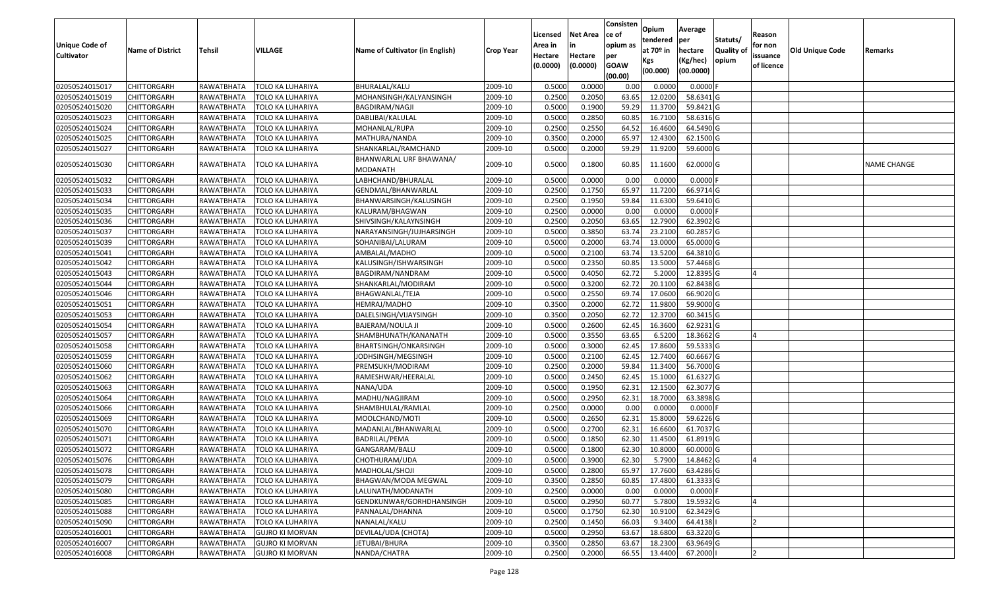| <b>Unique Code of</b><br><b>Cultivator</b> | <b>Name of District</b> | <b>Tehsil</b> | VILLAGE                 | Name of Cultivator (in English)     | <b>Crop Year</b> | Licensed<br>Area in<br>Hectare<br>(0.0000) | <b>Net Area</b><br>in<br>Hectare<br>(0.0000) | Consisten<br>ce of<br>opium as<br>per<br><b>GOAW</b><br>(00.00) | Opium<br>tendered<br>at $70°$ in<br>Kgs<br>(00.000) | Average<br>per<br>hectare<br>(Kg/hec)<br>(00.0000) | Statuts/<br>Quality of<br>opium | Reason<br>for non<br>issuance<br>of licence | <b>Old Unique Code</b> | Remarks            |
|--------------------------------------------|-------------------------|---------------|-------------------------|-------------------------------------|------------------|--------------------------------------------|----------------------------------------------|-----------------------------------------------------------------|-----------------------------------------------------|----------------------------------------------------|---------------------------------|---------------------------------------------|------------------------|--------------------|
| 02050524015017                             | <b>CHITTORGARH</b>      | RAWATBHATA    | <b>TOLO KA LUHARIYA</b> | BHURALAL/KALU                       | 2009-10          | 0.5000                                     | 0.0000                                       | 0.00                                                            | 0.000                                               | 0.0000                                             |                                 |                                             |                        |                    |
| 02050524015019                             | CHITTORGARH             | RAWATBHATA    | <b>TOLO KA LUHARIYA</b> | MOHANSINGH/KALYANSINGH              | 2009-10          | 0.2500                                     | 0.2050                                       | 63.65                                                           | 12.0200                                             | 58.6341 G                                          |                                 |                                             |                        |                    |
| 02050524015020                             | CHITTORGARH             | RAWATBHATA    | TOLO KA LUHARIYA        | BAGDIRAM/NAGJI                      | 2009-10          | 0.5000                                     | 0.1900                                       | 59.29                                                           | 11.3700                                             | 59.8421 G                                          |                                 |                                             |                        |                    |
| 02050524015023                             | <b>CHITTORGARH</b>      | RAWATBHATA    | <b>TOLO KA LUHARIYA</b> | DABLIBAI/KALULAL                    | 2009-10          | 0.5000                                     | 0.2850                                       | 60.85                                                           | 16.7100                                             | 58.6316 G                                          |                                 |                                             |                        |                    |
| 02050524015024                             | <b>CHITTORGARH</b>      | RAWATBHATA    | <b>TOLO KA LUHARIYA</b> | MOHANLAL/RUPA                       | 2009-10          | 0.2500                                     | 0.2550                                       | 64.52                                                           | 16.4600                                             | 64.5490 G                                          |                                 |                                             |                        |                    |
| 02050524015025                             | CHITTORGARH             | RAWATBHATA    | TOLO KA LUHARIYA        | MATHURA/NANDA                       | 2009-10          | 0.350                                      | 0.2000                                       | 65.9                                                            | 12.4300                                             | 62.1500G                                           |                                 |                                             |                        |                    |
| 02050524015027                             | CHITTORGARH             | RAWATBHATA    | TOLO KA LUHARIYA        | SHANKARLAL/RAMCHAND                 | 2009-10          | 0.5000                                     | 0.2000                                       | 59.29                                                           | 11.9200                                             | 59.6000 G                                          |                                 |                                             |                        |                    |
| 02050524015030                             | CHITTORGARH             | RAWATBHATA    | TOLO KA LUHARIYA        | BHANWARLAL URF BHAWANA/<br>MODANATH | 2009-10          | 0.5000                                     | 0.1800                                       | 60.85                                                           | 11.1600                                             | 62.0000 G                                          |                                 |                                             |                        | <b>NAME CHANGE</b> |
| 02050524015032                             | CHITTORGARH             | RAWATBHATA    | TOLO KA LUHARIYA        | LABHCHAND/BHURALAL                  | 2009-10          | 0.500                                      | 0.0000                                       | 0.00                                                            | 0.0000                                              | 0.0000                                             |                                 |                                             |                        |                    |
| 02050524015033                             | CHITTORGARH             | RAWATBHATA    | <b>TOLO KA LUHARIYA</b> | GENDMAL/BHANWARLAL                  | 2009-10          | 0.2500                                     | 0.1750                                       | 65.97                                                           | 11.7200                                             | 66.9714 G                                          |                                 |                                             |                        |                    |
| 02050524015034                             | CHITTORGARH             | RAWATBHATA    | <b>TOLO KA LUHARIYA</b> | BHANWARSINGH/KALUSINGH              | 2009-10          | 0.2500                                     | 0.1950                                       | 59.84                                                           | 11.6300                                             | 59.6410 G                                          |                                 |                                             |                        |                    |
| 02050524015035                             | CHITTORGARH             | RAWATBHATA    | <b>TOLO KA LUHARIYA</b> | KALURAM/BHAGWAN                     | 2009-10          | 0.2500                                     | 0.0000                                       | 0.00                                                            | 0.0000                                              | 0.0000                                             |                                 |                                             |                        |                    |
| 02050524015036                             | CHITTORGARH             | RAWATBHATA    | <b>TOLO KA LUHARIYA</b> | SHIVSINGH/KALAYNSINGH               | 2009-10          | 0.250                                      | 0.2050                                       | 63.65                                                           | 12.7900                                             | 62.3902 G                                          |                                 |                                             |                        |                    |
| 02050524015037                             | CHITTORGARH             | RAWATBHATA    | <b>TOLO KA LUHARIYA</b> | NARAYANSINGH/JUJHARSINGH            | 2009-10          | 0.5000                                     | 0.3850                                       | 63.7                                                            | 23.2100                                             | 60.2857 G                                          |                                 |                                             |                        |                    |
| 02050524015039                             | CHITTORGARH             | RAWATBHATA    | <b>TOLO KA LUHARIYA</b> | SOHANIBAI/LALURAM                   | 2009-10          | 0.5000                                     | 0.2000                                       | 63.7                                                            | 13.0000                                             | 65.0000G                                           |                                 |                                             |                        |                    |
| 02050524015041                             | CHITTORGARH             | RAWATBHATA    | <b>TOLO KA LUHARIYA</b> | AMBALAL/MADHO                       | 2009-10          | 0.5000                                     | 0.2100                                       | 63.7                                                            | 13.5200                                             | 64.3810 G                                          |                                 |                                             |                        |                    |
| 02050524015042                             | CHITTORGARH             | RAWATBHATA    | <b>TOLO KA LUHARIYA</b> | KALUSINGH/ISHWARSINGH               | 2009-10          | 0.5000                                     | 0.2350                                       | 60.85                                                           | 13.5000                                             | 57.4468 G                                          |                                 |                                             |                        |                    |
| 02050524015043                             | CHITTORGARH             | RAWATBHATA    | <b>TOLO KA LUHARIYA</b> | BAGDIRAM/NANDRAM                    | 2009-10          | 0.5000                                     | 0.4050                                       | 62.72                                                           | 5.2000                                              | 12.8395 G                                          |                                 |                                             |                        |                    |
| 02050524015044                             | CHITTORGARH             | RAWATBHATA    | <b>TOLO KA LUHARIYA</b> | SHANKARLAL/MODIRAM                  | 2009-10          | 0.5000                                     | 0.3200                                       | 62.72                                                           | 20.1100                                             | 62.8438 G                                          |                                 |                                             |                        |                    |
| 02050524015046                             | <b>CHITTORGARH</b>      | RAWATBHATA    | <b>TOLO KA LUHARIYA</b> | BHAGWANLAL/TEJA                     | 2009-10          | 0.5000                                     | 0.2550                                       | 69.7                                                            | 17.0600                                             | 66.9020 G                                          |                                 |                                             |                        |                    |
| 02050524015051                             | CHITTORGARH             | RAWATBHATA    | TOLO KA LUHARIYA        | HEMRAJ/MADHO                        | 2009-10          | 0.3500                                     | 0.2000                                       | 62.72                                                           | 11.9800                                             | 59.9000G                                           |                                 |                                             |                        |                    |
| 02050524015053                             | CHITTORGARH             | RAWATBHATA    | <b>TOLO KA LUHARIYA</b> | DALELSINGH/VIJAYSINGH               | 2009-10          | 0.3500                                     | 0.2050                                       | 62.72                                                           | 12.3700                                             | 60.3415 G                                          |                                 |                                             |                        |                    |
| 02050524015054                             | CHITTORGARH             | RAWATBHATA    | TOLO KA LUHARIYA        | BAJERAM/NOULA JI                    | 2009-10          | 0.5000                                     | 0.2600                                       | 62.45                                                           | 16.3600                                             | 62.9231G                                           |                                 |                                             |                        |                    |
| 02050524015057                             | CHITTORGARH             | RAWATBHATA    | <b>TOLO KA LUHARIYA</b> | SHAMBHUNATH/KANANATH                | 2009-10          | 0.5000                                     | 0.3550                                       | 63.65                                                           | 6.5200                                              | 18.3662 G                                          |                                 |                                             |                        |                    |
| 02050524015058                             | CHITTORGARH             | RAWATBHATA    | TOLO KA LUHARIYA        | BHARTSINGH/ONKARSINGH               | 2009-10          | 0.5000                                     | 0.3000                                       | 62.45                                                           | 17.8600                                             | 59.5333 G                                          |                                 |                                             |                        |                    |
| 02050524015059                             | CHITTORGARH             | RAWATBHATA    | TOLO KA LUHARIYA        | JODHSINGH/MEGSINGH                  | 2009-10          | 0.5000                                     | 0.2100                                       | 62.45                                                           | 12.7400                                             | 60.6667 G                                          |                                 |                                             |                        |                    |
| 02050524015060                             | CHITTORGARH             | RAWATBHATA    | TOLO KA LUHARIYA        | PREMSUKH/MODIRAM                    | 2009-10          | 0.2500                                     | 0.2000                                       | 59.84                                                           | 11.3400                                             | 56.7000 G                                          |                                 |                                             |                        |                    |
| 02050524015062                             | <b>CHITTORGARH</b>      | RAWATBHATA    | <b>TOLO KA LUHARIYA</b> | RAMESHWAR/HEERALAL                  | 2009-10          | 0.5000                                     | 0.2450                                       | 62.45                                                           | 15.1000                                             | 61.6327 G                                          |                                 |                                             |                        |                    |
| 02050524015063                             | <b>CHITTORGARH</b>      | RAWATBHATA    | <b>TOLO KA LUHARIYA</b> | NANA/UDA                            | 2009-10          | 0.5000                                     | 0.1950                                       | 62.31                                                           | 12.1500                                             | 62.3077 G                                          |                                 |                                             |                        |                    |
| 02050524015064                             | CHITTORGARH             | RAWATBHATA    | TOLO KA LUHARIYA        | MADHU/NAGJIRAM                      | 2009-10          | 0.5000                                     | 0.2950                                       | 62.31                                                           | 18.7000                                             | 63.3898 G                                          |                                 |                                             |                        |                    |
| 02050524015066                             | CHITTORGARH             | RAWATBHATA    | <b>TOLO KA LUHARIYA</b> | SHAMBHULAL/RAMLAL                   | 2009-10          | 0.2500                                     | 0.0000                                       | 0.00                                                            | 0.0000                                              | $0.0000$ F                                         |                                 |                                             |                        |                    |
| 02050524015069                             | CHITTORGARH             | RAWATBHATA    | TOLO KA LUHARIYA        | MOOLCHAND/MOTI                      | 2009-10          | 0.5000                                     | 0.2650                                       | 62.31                                                           | 15.8000                                             | 59.6226 G                                          |                                 |                                             |                        |                    |
| 02050524015070                             | <b>CHITTORGARH</b>      | RAWATBHATA    | TOLO KA LUHARIYA        | MADANLAL/BHANWARLAL                 | 2009-10          | 0.5000                                     | 0.2700                                       | 62.3                                                            | 16.6600                                             | 61.7037 G                                          |                                 |                                             |                        |                    |
| 02050524015071                             | CHITTORGARH             | RAWATBHATA    | TOLO KA LUHARIYA        | BADRILAL/PEMA                       | 2009-10          | 0.500                                      | 0.1850                                       | 62.30                                                           | 11.4500                                             | 61.8919 G                                          |                                 |                                             |                        |                    |
| 02050524015072                             | CHITTORGARH             | RAWATBHATA    | <b>TOLO KA LUHARIYA</b> | GANGARAM/BALU                       | 2009-10          | 0.500                                      | 0.1800                                       | 62.30                                                           | 10.8000                                             | 60.0000 G                                          |                                 |                                             |                        |                    |
| 02050524015076                             | <b>CHITTORGARH</b>      | RAWATBHATA    | TOLO KA LUHARIYA        | CHOTHURAM/UDA                       | 2009-10          | 0.5000                                     | 0.3900                                       | 62.30                                                           | 5.7900                                              | 14.8462 G                                          |                                 |                                             |                        |                    |
| 02050524015078                             | <b>CHITTORGARH</b>      | RAWATBHATA    | <b>TOLO KA LUHARIYA</b> | MADHOLAL/SHOJI                      | 2009-10          | 0.5000                                     | 0.2800                                       | 65.97                                                           | 17.7600                                             | 63.4286 G                                          |                                 |                                             |                        |                    |
| 02050524015079                             | <b>CHITTORGARH</b>      | RAWATBHATA    | TOLO KA LUHARIYA        | BHAGWAN/MODA MEGWAL                 | 2009-10          | 0.3500                                     | 0.2850                                       | 60.85                                                           | 17.4800                                             | 61.3333 G                                          |                                 |                                             |                        |                    |
| 02050524015080                             | <b>CHITTORGARH</b>      | RAWATBHATA    | <b>TOLO KA LUHARIYA</b> | LALUNATH/MODANATH                   | 2009-10          | 0.2500                                     | 0.0000                                       | 0.00                                                            | 0.0000                                              | $0.0000$ F                                         |                                 |                                             |                        |                    |
| 02050524015085                             | <b>CHITTORGARH</b>      | RAWATBHATA    | <b>TOLO KA LUHARIYA</b> | GENDKUNWAR/GORHDHANSINGH            | 2009-10          | 0.5000                                     | 0.2950                                       | 60.77                                                           | 5.7800                                              | 19.5932 G                                          |                                 | $\overline{A}$                              |                        |                    |
| 02050524015088                             | <b>CHITTORGARH</b>      | RAWATBHATA    | <b>TOLO KA LUHARIYA</b> | PANNALAL/DHANNA                     | 2009-10          | 0.5000                                     | 0.1750                                       | 62.30                                                           | 10.9100                                             | 62.3429 G                                          |                                 |                                             |                        |                    |
| 02050524015090                             | <b>CHITTORGARH</b>      | RAWATBHATA    | <b>TOLO KA LUHARIYA</b> | NANALAL/KALU                        | 2009-10          | 0.2500                                     | 0.1450                                       | 66.03                                                           | 9.3400                                              | 64.4138                                            |                                 |                                             |                        |                    |
| 02050524016001                             | <b>CHITTORGARH</b>      | RAWATBHATA    | <b>GUJRO KI MORVAN</b>  | DEVILAL/UDA (CHOTA)                 | 2009-10          | 0.5000                                     | 0.2950                                       | 63.67                                                           | 18.6800                                             | 63.3220 G                                          |                                 |                                             |                        |                    |
| 02050524016007                             | CHITTORGARH             | RAWATBHATA    | <b>GUJRO KI MORVAN</b>  | JETUBAI/BHURA                       | 2009-10          | 0.3500                                     | 0.2850                                       | 63.67                                                           | 18.2300                                             | 63.9649 G                                          |                                 |                                             |                        |                    |
| 02050524016008                             | <b>CHITTORGARH</b>      | RAWATBHATA    | <b>GUJRO KI MORVAN</b>  | NANDA/CHATRA                        | 2009-10          | 0.2500                                     | 0.2000                                       | 66.55                                                           | 13.4400                                             | 67.2000                                            |                                 | <b>2</b>                                    |                        |                    |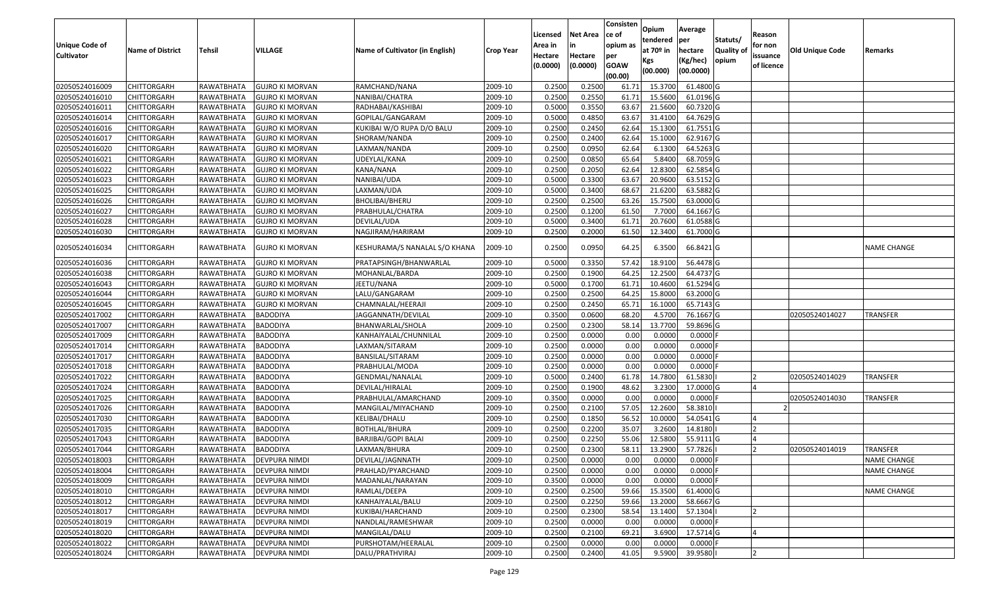| <b>Unique Code of</b> | <b>Name of District</b> | <b>Tehsil</b> | <b>VILLAGE</b>         | <b>Name of Cultivator (in English)</b> | <b>Crop Year</b> | Licensed<br>Area in | <b>Net Area</b>     | Consisten<br>ce of<br>opium as | Opium<br>tendered<br>at $70°$ in | Average<br>per<br>hectare | Statuts/<br><b>Quality of</b> | Reason<br>for non      | <b>Old Unique Code</b> | Remarks            |
|-----------------------|-------------------------|---------------|------------------------|----------------------------------------|------------------|---------------------|---------------------|--------------------------------|----------------------------------|---------------------------|-------------------------------|------------------------|------------------------|--------------------|
| <b>Cultivator</b>     |                         |               |                        |                                        |                  | Hectare<br>(0.0000) | Hectare<br>(0.0000) | per<br><b>GOAW</b><br>(00.00)  | Kgs<br>(00.000)                  | (Kg/hec)<br>(00.0000)     | opium                         | issuance<br>of licence |                        |                    |
| 02050524016009        | <b>CHITTORGARH</b>      | RAWATBHATA    | <b>GUJRO KI MORVAN</b> | RAMCHAND/NANA                          | 2009-10          | 0.250               | 0.2500              | 61.7                           | 15.3700                          | 61.4800 G                 |                               |                        |                        |                    |
| 02050524016010        | CHITTORGARH             | RAWATBHATA    | <b>GUJRO KI MORVAN</b> | NANIBAI/CHATRA                         | 2009-10          | 0.2500              | 0.2550              | 61.7                           | 15.5600                          | 61.0196 G                 |                               |                        |                        |                    |
| 02050524016011        | <b>CHITTORGARH</b>      | RAWATBHATA    | <b>GUJRO KI MORVAN</b> | RADHABAI/KASHIBAI                      | 2009-10          | 0.5000              | 0.3550              | 63.67                          | 21.5600                          | 60.7320 G                 |                               |                        |                        |                    |
| 02050524016014        | <b>CHITTORGARH</b>      | RAWATBHATA    | <b>GUJRO KI MORVAN</b> | GOPILAL/GANGARAM                       | 2009-10          | 0.5000              | 0.4850              | 63.67                          | 31.4100                          | 64.7629 G                 |                               |                        |                        |                    |
| 02050524016016        | <b>CHITTORGARH</b>      | RAWATBHATA    | <b>GUJRO KI MORVAN</b> | KUKIBAI W/O RUPA D/O BALU              | 2009-10          | 0.2500              | 0.2450              | 62.64                          | 15.1300                          | 61.7551G                  |                               |                        |                        |                    |
| 02050524016017        | CHITTORGARH             | RAWATBHATA    | <b>GUJRO KI MORVAN</b> | SHORAM/NANDA                           | 2009-10          | 0.2500              | 0.2400              | 62.64                          | 15.1000                          | 62.9167 G                 |                               |                        |                        |                    |
| 02050524016020        | CHITTORGARH             | RAWATBHATA    | <b>GUJRO KI MORVAN</b> | LAXMAN/NANDA                           | 2009-10          | 0.2500              | 0.0950              | 62.64                          | 6.1300                           | 64.5263 G                 |                               |                        |                        |                    |
| 02050524016021        | <b>CHITTORGARH</b>      | RAWATBHATA    | <b>GUJRO KI MORVAN</b> | UDEYLAL/KANA                           | 2009-10          | 0.2500              | 0.0850              | 65.64                          | 5.8400                           | 68.7059 G                 |                               |                        |                        |                    |
| 02050524016022        | <b>CHITTORGARH</b>      | RAWATBHATA    | <b>GUJRO KI MORVAN</b> | KANA/NANA                              | 2009-10          | 0.2500              | 0.2050              | 62.64                          | 12.8300                          | 62.5854 G                 |                               |                        |                        |                    |
| 02050524016023        | CHITTORGARH             | RAWATBHATA    | <b>GUJRO KI MORVAN</b> | NANIBAI/UDA                            | 2009-10          | 0.5000              | 0.3300              | 63.67                          | 20.9600                          | 63.5152 G                 |                               |                        |                        |                    |
| 02050524016025        | <b>CHITTORGARH</b>      | RAWATBHATA    | <b>GUJRO KI MORVAN</b> | LAXMAN/UDA                             | 2009-10          | 0.5000              | 0.3400              | 68.67                          | 21.6200                          | 63.5882 G                 |                               |                        |                        |                    |
| 02050524016026        | <b>CHITTORGARH</b>      | RAWATBHATA    | <b>GUJRO KI MORVAN</b> | BHOLIBAI/BHERU                         | 2009-10          | 0.2500              | 0.2500              | 63.26                          | 15.7500                          | 63.0000 G                 |                               |                        |                        |                    |
| 02050524016027        | <b>CHITTORGARH</b>      | RAWATBHATA    | <b>GUJRO KI MORVAN</b> | PRABHULAL/CHATRA                       | 2009-10          | 0.2500              | 0.1200              | 61.50                          | 7.7000                           | 64.1667 G                 |                               |                        |                        |                    |
| 02050524016028        | <b>CHITTORGARH</b>      | RAWATBHATA    | <b>GUJRO KI MORVAN</b> | DEVILAL/UDA                            | 2009-10          | 0.5000              | 0.3400              | 61.7                           | 20.7600                          | 61.0588 G                 |                               |                        |                        |                    |
| 02050524016030        | CHITTORGARH             | RAWATBHATA    | <b>GUJRO KI MORVAN</b> | NAGJIRAM/HARIRAM                       | 2009-10          | 0.2500              | 0.2000              | 61.50                          | 12.3400                          | 61.7000 G                 |                               |                        |                        |                    |
| 02050524016034        | CHITTORGARH             | RAWATBHATA    | <b>GUJRO KI MORVAN</b> | KESHURAMA/S NANALAL S/O KHANA          | 2009-10          | 0.2500              | 0.0950              | 64.25                          | 6.3500                           | 66.8421 G                 |                               |                        |                        | NAME CHANGE        |
| 02050524016036        | CHITTORGARH             | RAWATBHATA    | <b>GUJRO KI MORVAN</b> | PRATAPSINGH/BHANWARLAL                 | 2009-10          | 0.500               | 0.3350              | 57.42                          | 18.9100                          | 56.4478 G                 |                               |                        |                        |                    |
| 02050524016038        | CHITTORGARH             | RAWATBHATA    | <b>GUJRO KI MORVAN</b> | MOHANLAL/BARDA                         | 2009-10          | 0.2500              | 0.1900              | 64.25                          | 12.2500                          | 64.4737 G                 |                               |                        |                        |                    |
| 02050524016043        | <b>CHITTORGARH</b>      | RAWATBHATA    | <b>GUJRO KI MORVAN</b> | JEETU/NANA                             | 2009-10          | 0.5000              | 0.1700              | 61.7                           | 10.4600                          | 61.5294 G                 |                               |                        |                        |                    |
| 02050524016044        | <b>CHITTORGARH</b>      | RAWATBHATA    | <b>GUJRO KI MORVAN</b> | LALU/GANGARAM                          | 2009-10          | 0.2500              | 0.2500              | 64.25                          | 15.8000                          | 63.2000 G                 |                               |                        |                        |                    |
| 02050524016045        | <b>CHITTORGARH</b>      | RAWATBHATA    | <b>GUJRO KI MORVAN</b> | CHAMNALAL/HEERAJI                      | 2009-10          | 0.2500              | 0.2450              | 65.7                           | 16.1000                          | 65.7143 G                 |                               |                        |                        |                    |
| 02050524017002        | CHITTORGARH             | RAWATBHATA    | <b>BADODIYA</b>        | IAGGANNATH/DEVILAL                     | 2009-10          | 0.3500              | 0.0600              | 68.20                          | 4.5700                           | 76.1667 G                 |                               |                        | 02050524014027         | TRANSFER           |
| 02050524017007        | <b>CHITTORGARH</b>      | RAWATBHATA    | <b>BADODIYA</b>        | BHANWARLAL/SHOLA                       | 2009-10          | 0.2500              | 0.2300              | 58.1                           | 13.7700                          | 59.8696 G                 |                               |                        |                        |                    |
| 02050524017009        | <b>CHITTORGARH</b>      | RAWATBHATA    | <b>BADODIYA</b>        | KANHAIYALAL/CHUNNILAL                  | 2009-10          | 0.2500              | 0.0000              | 0.00                           | 0.0000                           | $0.0000$ F                |                               |                        |                        |                    |
| 02050524017014        | <b>CHITTORGARH</b>      | RAWATBHATA    | <b>BADODIYA</b>        | LAXMAN/SITARAM                         | 2009-10          | 0.2500              | 0.0000              | 0.00                           | 0.0000                           | 0.0000F                   |                               |                        |                        |                    |
| 02050524017017        | CHITTORGARH             | RAWATBHATA    | <b>BADODIYA</b>        | BANSILAL/SITARAM                       | 2009-10          | 0.2500              | 0.0000              | 0.00                           | 0.0000                           | 0.0000F                   |                               |                        |                        |                    |
| 02050524017018        | <b>CHITTORGARH</b>      | RAWATBHATA    | <b>BADODIYA</b>        | PRABHULAL/MODA                         | 2009-10          | 0.2500              | 0.0000              | 0.00                           | 0.0000                           | 0.0000                    |                               |                        |                        |                    |
| 02050524017022        | <b>CHITTORGARH</b>      | RAWATBHATA    | <b>BADODIYA</b>        | <b>GENDMAL/NANALAL</b>                 | 2009-10          | 0.5000              | 0.2400              | 61.78                          | 14.7800                          | 61.5830                   |                               | $\overline{2}$         | 02050524014029         | TRANSFER           |
| 02050524017024        | CHITTORGARH             | RAWATBHATA    | <b>BADODIYA</b>        | DEVILAL/HIRALAL                        | 2009-10          | 0.2500              | 0.1900              | 48.62                          | 3.2300                           | 17.0000 G                 |                               | IΔ                     |                        |                    |
| 02050524017025        | CHITTORGARH             | RAWATBHATA    | <b>BADODIYA</b>        | PRABHULAL/AMARCHAND                    | 2009-10          | 0.3500              | 0.0000              | 0.00                           | 0.0000                           | 0.0000F                   |                               |                        | 02050524014030         | TRANSFER           |
| 02050524017026        | CHITTORGARH             | RAWATBHATA    | BADODIYA               | MANGILAL/MIYACHAND                     | 2009-10          | 0.2500              | 0.2100              | 57.0                           | 12.2600                          | 58.3810                   |                               |                        |                        |                    |
| 02050524017030        | <b>CHITTORGARH</b>      | RAWATBHATA    | <b>BADODIYA</b>        | KELIBAI/DHALU                          | 2009-10          | 0.2500              | 0.1850              | 56.52                          | 10.0000                          | 54.0541 G                 |                               |                        |                        |                    |
| 02050524017035        | <b>CHITTORGARH</b>      | RAWATBHATA    | <b>BADODIYA</b>        | <b>BOTHLAL/BHURA</b>                   | 2009-10          | 0.2500              | 0.2200              | 35.07                          | 3.2600                           | 14.8180                   |                               | 12                     |                        |                    |
| 02050524017043        | <b>CHITTORGARH</b>      | RAWATBHATA    | <b>BADODIYA</b>        | BARJIBAI/GOPI BALAI                    | 2009-10          | 0.2500              | 0.2250              | 55.06                          | 12.5800                          | 55.9111 G                 |                               | <b>4</b>               |                        |                    |
| 02050524017044        | <b>CHITTORGARH</b>      | RAWATBHATA    | <b>BADODIYA</b>        | LAXMAN/BHURA                           | 2009-10          | 0.2500              | 0.2300              | 58.13                          | 13.2900                          | 57.7826                   |                               | <b>2</b>               | 02050524014019         | TRANSFER           |
| 02050524018003        | <b>CHITTORGARH</b>      | RAWATBHATA    | <b>DEVPURA NIMDI</b>   | DEVILAL/JAGNNATH                       | 2009-10          | 0.2500              | 0.0000              | 0.00                           | 0.0000                           | 0.0000 F                  |                               |                        |                        | NAME CHANGE        |
| 02050524018004        | <b>CHITTORGARH</b>      | RAWATBHATA    | <b>DEVPURA NIMDI</b>   | PRAHLAD/PYARCHAND                      | 2009-10          | 0.2500              | 0.0000              | 0.00                           | 0.0000                           | $0.0000$ F                |                               |                        |                        | <b>NAME CHANGE</b> |
| 02050524018009        | <b>CHITTORGARH</b>      | RAWATBHATA    | <b>DEVPURA NIMDI</b>   | MADANLAL/NARAYAN                       | 2009-10          | 0.3500              | 0.0000              | 0.00                           | 0.0000                           | $0.0000$ F                |                               |                        |                        |                    |
| 02050524018010        | CHITTORGARH             | RAWATBHATA    | <b>DEVPURA NIMDI</b>   | RAMLAL/DEEPA                           | 2009-10          | 0.2500              | 0.2500              | 59.66                          | 15.3500                          | 61.4000 G                 |                               |                        |                        | <b>NAME CHANGE</b> |
| 02050524018012        | CHITTORGARH             | RAWATBHATA    | <b>DEVPURA NIMDI</b>   | KANHAIYALAL/BALU                       | 2009-10          | 0.2500              | 0.2250              | 59.66                          | 13.2000                          | 58.6667 G                 |                               |                        |                        |                    |
| 02050524018017        | <b>CHITTORGARH</b>      | RAWATBHATA    | <b>DEVPURA NIMDI</b>   | KUKIBAI/HARCHAND                       | 2009-10          | 0.2500              | 0.2300              | 58.54                          | 13.1400                          | 57.1304                   |                               |                        |                        |                    |
| 02050524018019        | <b>CHITTORGARH</b>      | RAWATBHATA    | <b>DEVPURA NIMDI</b>   | NANDLAL/RAMESHWAR                      | 2009-10          | 0.2500              | 0.0000              | 0.00                           | 0.0000                           | $0.0000$ F                |                               |                        |                        |                    |
| 02050524018020        | <b>CHITTORGARH</b>      | RAWATBHATA    | DEVPURA NIMDI          | MANGILAL/DALU                          | 2009-10          | 0.2500              | 0.2100              | 69.21                          | 3.6900                           | 17.5714 G                 |                               | $\overline{a}$         |                        |                    |
| 02050524018022        | CHITTORGARH             | RAWATBHATA    | <b>DEVPURA NIMDI</b>   | PURSHOTAM/HEERALAL                     | 2009-10          | 0.2500              | 0.0000              | 0.00                           | 0.0000                           | $0.0000$ F                |                               |                        |                        |                    |
| 02050524018024        | <b>CHITTORGARH</b>      | RAWATBHATA    | <b>DEVPURA NIMDI</b>   | DALU/PRATHVIRAJ                        | 2009-10          | 0.2500              | 0.2400              | 41.05                          | 9.5900                           | 39.9580                   |                               | <b>2</b>               |                        |                    |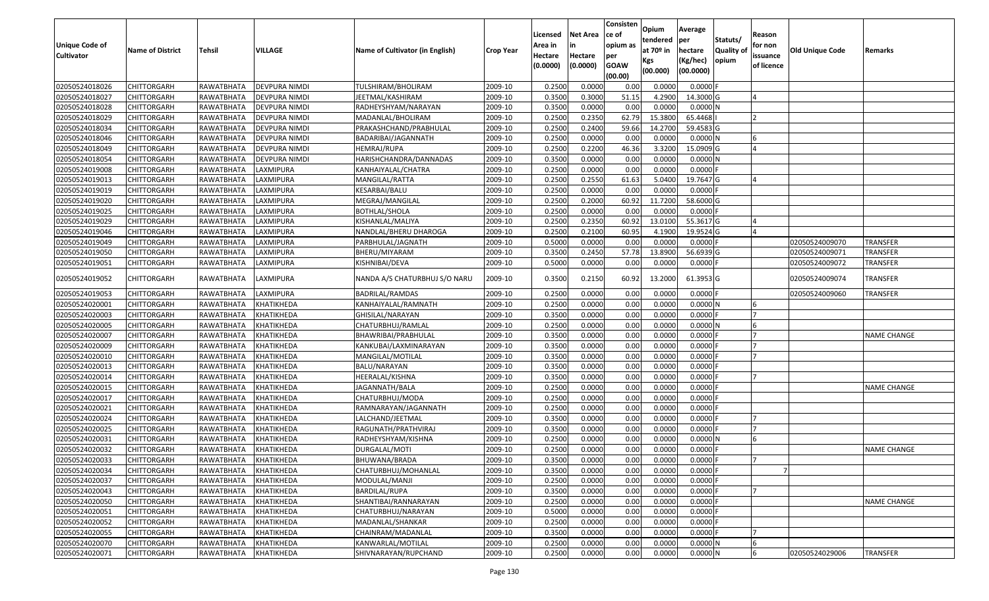| <b>Unique Code of</b><br><b>Cultivator</b> | <b>Name of District</b> | <b>Tehsil</b>     | <b>VILLAGE</b>       | Name of Cultivator (in English) | <b>Crop Year</b> | Licensed<br>Area in<br>Hectare<br>(0.0000) | <b>Net Area</b><br>Hectare<br>(0.0000) | Consisten<br>ce of<br>opium as<br>per<br><b>GOAW</b> | Opium<br>tendered<br>at $70°$ in<br>Kgs | Average<br>per<br>hectare<br>(Kg/hec) | Statuts/<br>Quality of<br>opium | Reason<br>for non<br>issuance<br>of licence | <b>Old Unique Code</b> | Remarks            |
|--------------------------------------------|-------------------------|-------------------|----------------------|---------------------------------|------------------|--------------------------------------------|----------------------------------------|------------------------------------------------------|-----------------------------------------|---------------------------------------|---------------------------------|---------------------------------------------|------------------------|--------------------|
|                                            |                         |                   |                      |                                 |                  |                                            |                                        | (00.00)                                              | (00.000)                                | (00.0000)                             |                                 |                                             |                        |                    |
| 02050524018026                             | <b>CHITTORGARH</b>      | RAWATBHATA        | <b>DEVPURA NIMDI</b> | TULSHIRAM/BHOLIRAM              | 2009-10          | 0.2500                                     | 0.0000                                 | 0.00                                                 | 0.0000                                  | $0.0000$ F                            |                                 |                                             |                        |                    |
| 02050524018027                             | CHITTORGARH             | RAWATBHATA        | <b>DEVPURA NIMDI</b> | JEETMAL/KASHIRAM                | 2009-10          | 0.3500                                     | 0.3000                                 | 51.15                                                | 4.2900                                  | 14.3000 G                             |                                 |                                             |                        |                    |
| 02050524018028                             | <b>CHITTORGARH</b>      | RAWATBHATA        | <b>DEVPURA NIMDI</b> | RADHEYSHYAM/NARAYAN             | 2009-10          | 0.3500                                     | 0.0000                                 | 0.00                                                 | 0.0000                                  | 0.0000N                               |                                 |                                             |                        |                    |
| 02050524018029                             | <b>CHITTORGARH</b>      | RAWATBHATA        | <b>DEVPURA NIMDI</b> | MADANLAL/BHOLIRAM               | 2009-10          | 0.2500                                     | 0.2350                                 | 62.79                                                | 15.3800                                 | 65.4468                               |                                 | l 2                                         |                        |                    |
| 02050524018034                             | <b>CHITTORGARH</b>      | RAWATBHATA        | <b>DEVPURA NIMDI</b> | PRAKASHCHAND/PRABHULAL          | 2009-10          | 0.2500                                     | 0.2400                                 | 59.66                                                | 14.2700                                 | 59.4583 G                             |                                 |                                             |                        |                    |
| 02050524018046                             | CHITTORGARH             | RAWATBHATA        | <b>DEVPURA NIMDI</b> | BADARIBAI/JAGANNATH             | 2009-10          | 0.2500                                     | 0.0000                                 | 0.00                                                 | 0.0000                                  | 0.0000N                               |                                 | -6                                          |                        |                    |
| 02050524018049                             | CHITTORGARH             | RAWATBHATA        | <b>DEVPURA NIMDI</b> | HEMRAJ/RUPA                     | 2009-10          | 0.2500                                     | 0.2200                                 | 46.36                                                | 3.3200                                  | 15.0909 G                             |                                 | $\overline{a}$                              |                        |                    |
| 02050524018054                             | <b>CHITTORGARH</b>      | RAWATBHATA        | <b>DEVPURA NIMDI</b> | HARISHCHANDRA/DANNADAS          | 2009-10          | 0.3500                                     | 0.0000                                 | 0.00                                                 | 0.0000                                  | 0.0000N                               |                                 |                                             |                        |                    |
| 02050524019008                             | <b>CHITTORGARH</b>      | RAWATBHATA        | LAXMIPURA            | KANHAIYALAL/CHATRA              | 2009-10          | 0.2500                                     | 0.0000                                 | 0.00                                                 | 0.0000                                  | $0.0000$ F                            |                                 |                                             |                        |                    |
| 02050524019013                             | CHITTORGARH             | RAWATBHATA        | LAXMIPURA            | MANGILAL/RATTA                  | 2009-10          | 0.2500                                     | 0.2550                                 | 61.63                                                | 5.0400                                  | 19.7647 G                             |                                 |                                             |                        |                    |
| 02050524019019                             | <b>CHITTORGARH</b>      | RAWATBHATA        | LAXMIPURA            | KESARBAI/BALU                   | 2009-10          | 0.2500                                     | 0.0000                                 | 0.00                                                 | 0.0000                                  | $0.0000$ F                            |                                 |                                             |                        |                    |
| 02050524019020                             | <b>CHITTORGARH</b>      | RAWATBHATA        | LAXMIPURA            | MEGRAJ/MANGILAL                 | 2009-10          | 0.2500                                     | 0.2000                                 | 60.92                                                | 11.7200                                 | 58.6000 G                             |                                 |                                             |                        |                    |
| 02050524019025                             | <b>CHITTORGARH</b>      | RAWATBHATA        | LAXMIPURA            | BOTHLAL/SHOLA                   | 2009-10          | 0.2500                                     | 0.0000                                 | 0.00                                                 | 0.0000                                  | $0.0000$ F                            |                                 |                                             |                        |                    |
| 02050524019029                             | <b>CHITTORGARH</b>      | RAWATBHATA        | LAXMIPURA            | KISHANLAL/MALIYA                | 2009-10          | 0.2500                                     | 0.2350                                 | 60.92                                                | 13.0100                                 | 55.3617 G                             |                                 |                                             |                        |                    |
| 02050524019046                             | <b>CHITTORGARH</b>      | RAWATBHATA        | LAXMIPURA            | NANDLAL/BHERU DHAROGA           | 2009-10          | 0.2500                                     | 0.2100                                 | 60.95                                                | 4.1900                                  | 19.9524 G                             |                                 | $\overline{a}$                              |                        |                    |
| 02050524019049                             | <b>CHITTORGARH</b>      | RAWATBHATA        | LAXMIPURA            | PARBHULAL/JAGNATH               | 2009-10          | 0.5000                                     | 0.0000                                 | 0.00                                                 | 0.0000                                  | 0.0000F                               |                                 |                                             | 02050524009070         | TRANSFER           |
| 02050524019050                             | <b>CHITTORGARH</b>      | RAWATBHATA        | LAXMIPURA            | BHERU/MIYARAM                   | 2009-10          | 0.3500                                     | 0.2450                                 | 57.78                                                | 13.8900                                 | 56.6939 G                             |                                 |                                             | 02050524009071         | <b>TRANSFER</b>    |
| 02050524019051                             | CHITTORGARH             | RAWATBHATA        | LAXMIPURA            | KISHNIBAI/DEVA                  | 2009-10          | 0.5000                                     | 0.0000                                 | 0.00                                                 | 0.0000                                  | 0.0000F                               |                                 |                                             | 02050524009072         | <b>TRANSFER</b>    |
| 02050524019052                             | CHITTORGARH             | RAWATBHATA        | LAXMIPURA            | NANDA A/S CHATURBHUJ S/O NARU   | 2009-10          | 0.3500                                     | 0.2150                                 | 60.92                                                | 13.2000                                 | 61.3953 G                             |                                 |                                             | 02050524009074         | TRANSFER           |
| 02050524019053                             | <b>CHITTORGARH</b>      | <b>RAWATBHATA</b> | LAXMIPURA            | BADRILAL/RAMDAS                 | 2009-10          | 0.2500                                     | 0.0000                                 | 0.00                                                 | 0.0000                                  | 0.0000F                               |                                 |                                             | 02050524009060         | <b>TRANSFER</b>    |
| 02050524020001                             | <b>CHITTORGARH</b>      | RAWATBHATA        | KHATIKHEDA           | KANHAIYALAL/RAMNATH             | 2009-10          | 0.2500                                     | 0.0000                                 | 0.00                                                 | 0.0000                                  | 0.0000N                               |                                 | 16                                          |                        |                    |
| 02050524020003                             | CHITTORGARH             | RAWATBHATA        | KHATIKHEDA           | GHISILAL/NARAYAN                | 2009-10          | 0.3500                                     | 0.0000                                 | 0.00                                                 | 0.0000                                  | $0.0000$ F                            |                                 |                                             |                        |                    |
| 02050524020005                             | <b>CHITTORGARH</b>      | RAWATBHATA        | KHATIKHEDA           | CHATURBHUJ/RAMLAL               | 2009-10          | 0.2500                                     | 0.0000                                 | 0.00                                                 | 0.0000                                  | 0.0000N                               |                                 | 6                                           |                        |                    |
| 02050524020007                             | <b>CHITTORGARH</b>      | RAWATBHATA        | KHATIKHEDA           | BHAWRIBAI/PRABHULAL             | 2009-10          | 0.3500                                     | 0.0000                                 | 0.00                                                 | 0.0000                                  | $0.0000$ F                            |                                 | $\overline{z}$                              |                        | <b>NAME CHANGE</b> |
| 02050524020009                             | <b>CHITTORGARH</b>      | RAWATBHATA        | KHATIKHEDA           | KANKUBAI/LAXMINARAYAN           | 2009-10          | 0.3500                                     | 0.0000                                 | 0.00                                                 | 0.0000                                  | $0.0000$ F                            |                                 |                                             |                        |                    |
| 02050524020010                             | CHITTORGARH             | RAWATBHATA        | KHATIKHEDA           | MANGILAL/MOTILAL                | 2009-10          | 0.3500                                     | 0.0000                                 | 0.00                                                 | 0.0000                                  | $0.0000$ F                            |                                 |                                             |                        |                    |
| 02050524020013                             | <b>CHITTORGARH</b>      | RAWATBHATA        | KHATIKHEDA           | BALU/NARAYAN                    | 2009-10          | 0.3500                                     | 0.0000                                 | 0.00                                                 | 0.0000                                  | 0.0000F                               |                                 |                                             |                        |                    |
| 02050524020014                             | <b>CHITTORGARH</b>      | RAWATBHATA        | KHATIKHEDA           | HEERALAL/KISHNA                 | 2009-10          | 0.3500                                     | 0.0000                                 | 0.00                                                 | 0.0000                                  | 0.0000                                |                                 |                                             |                        |                    |
| 02050524020015                             | CHITTORGARH             | RAWATBHATA        | KHATIKHEDA           | JAGANNATH/BALA                  | 2009-10          | 0.2500                                     | 0.0000                                 | 0.00                                                 | 0.0000                                  | 0.0000F                               |                                 |                                             |                        | NAME CHANGE        |
| 02050524020017                             | CHITTORGARH             | RAWATBHATA        | KHATIKHEDA           | CHATURBHUJ/MODA                 | 2009-10          | 0.2500                                     | 0.0000                                 | 0.00                                                 | 0.0000                                  | 0.0000                                |                                 |                                             |                        |                    |
| 02050524020021                             | CHITTORGARH             | RAWATBHATA        | KHATIKHEDA           | RAMNARAYAN/JAGANNATH            | 2009-10          | 0.2500                                     | 0.0000                                 | 0.00                                                 | 0.0000                                  | 0.0000                                |                                 |                                             |                        |                    |
| 02050524020024                             | <b>CHITTORGARH</b>      | RAWATBHATA        | KHATIKHEDA           | LALCHAND/JEETMAL                | 2009-10          | 0.3500                                     | 0.0000                                 | 0.00                                                 | 0.0000                                  | 0.0000F                               |                                 | $\overline{z}$                              |                        |                    |
| 02050524020025                             | <b>CHITTORGARH</b>      | RAWATBHATA        | KHATIKHEDA           | RAGUNATH/PRATHVIRAJ             | 2009-10          | 0.3500                                     | 0.0000                                 | 0.00                                                 | 0.0000                                  | $0.0000$ F                            |                                 | 17                                          |                        |                    |
| 02050524020031                             | CHITTORGARH             | RAWATBHATA        | KHATIKHEDA           | RADHEYSHYAM/KISHNA              | 2009-10          | 0.2500                                     | 0.0000                                 | 0.00                                                 | 0.0000                                  | 0.0000N                               |                                 | <b>6</b>                                    |                        |                    |
| 02050524020032                             | <b>CHITTORGARH</b>      | RAWATBHATA        | <b>KHATIKHEDA</b>    | DURGALAL/MOTI                   | 2009-10          | 0.2500                                     | 0.0000                                 | 0.00                                                 | 0.0000                                  | $0.0000$ F                            |                                 |                                             |                        | NAME CHANGE        |
| 02050524020033                             | <b>CHITTORGARH</b>      | RAWATBHATA        | KHATIKHEDA           | BHUWANA/BRADA                   | 2009-10          | 0.3500                                     | 0.0000                                 | 0.00                                                 | 0.0000                                  | $0.0000$ F                            |                                 |                                             |                        |                    |
| 02050524020034                             | <b>CHITTORGARH</b>      | RAWATBHATA        | KHATIKHEDA           | CHATURBHUJ/MOHANLAL             | 2009-10          | 0.3500                                     | 0.0000                                 | 0.00                                                 | 0.0000                                  | $0.0000$ F                            |                                 |                                             |                        |                    |
| 02050524020037                             | <b>CHITTORGARH</b>      | RAWATBHATA        | KHATIKHEDA           | MODULAL/MANJI                   | 2009-10          | 0.2500                                     | 0.0000                                 | 0.00                                                 | 0.0000                                  | 0.0000F                               |                                 |                                             |                        |                    |
| 02050524020043                             | CHITTORGARH             | RAWATBHATA        | KHATIKHEDA           | BARDILAL/RUPA                   | 2009-10          | 0.3500                                     | 0.0000                                 | 0.00                                                 | 0.0000                                  | $0.0000$ F                            |                                 | 17                                          |                        |                    |
| 02050524020050                             | CHITTORGARH             | RAWATBHATA        | KHATIKHEDA           | SHANTIBAI/RANNARAYAN            | 2009-10          | 0.2500                                     | 0.0000                                 | 0.00                                                 | 0.0000                                  | 0.0000                                |                                 |                                             |                        | NAME CHANGE        |
| 02050524020051                             | <b>CHITTORGARH</b>      | RAWATBHATA        | KHATIKHEDA           | CHATURBHUJ/NARAYAN              | 2009-10          | 0.5000                                     | 0.0000                                 | 0.00                                                 | 0.0000                                  | $0.0000$ F                            |                                 |                                             |                        |                    |
| 02050524020052                             | <b>CHITTORGARH</b>      | RAWATBHATA        | KHATIKHEDA           | MADANLAL/SHANKAR                | 2009-10          | 0.2500                                     | 0.0000                                 | 0.00                                                 | 0.0000                                  | 0.0000F                               |                                 |                                             |                        |                    |
| 02050524020055                             | <b>CHITTORGARH</b>      | RAWATBHATA        | KHATIKHEDA           | CHAINRAM/MADANLAL               | 2009-10          | 0.3500                                     | 0.0000                                 | 0.00                                                 | 0.0000                                  | $0.0000$ F                            |                                 |                                             |                        |                    |
| 02050524020070                             | <b>CHITTORGARH</b>      | RAWATBHATA        | KHATIKHEDA           | KANWARLAL/MOTILAL               | 2009-10          | 0.2500                                     | 0.0000                                 | 0.00                                                 | 0.0000                                  | 0.0000N                               |                                 | 6                                           |                        |                    |
| 02050524020071                             | <b>CHITTORGARH</b>      | RAWATBHATA        | KHATIKHEDA           | SHIVNARAYAN/RUPCHAND            | 2009-10          | 0.2500                                     | 0.0000                                 | 0.00                                                 | 0.0000                                  | 0.0000N                               |                                 | 6                                           | 02050524029006         | <b>TRANSFER</b>    |